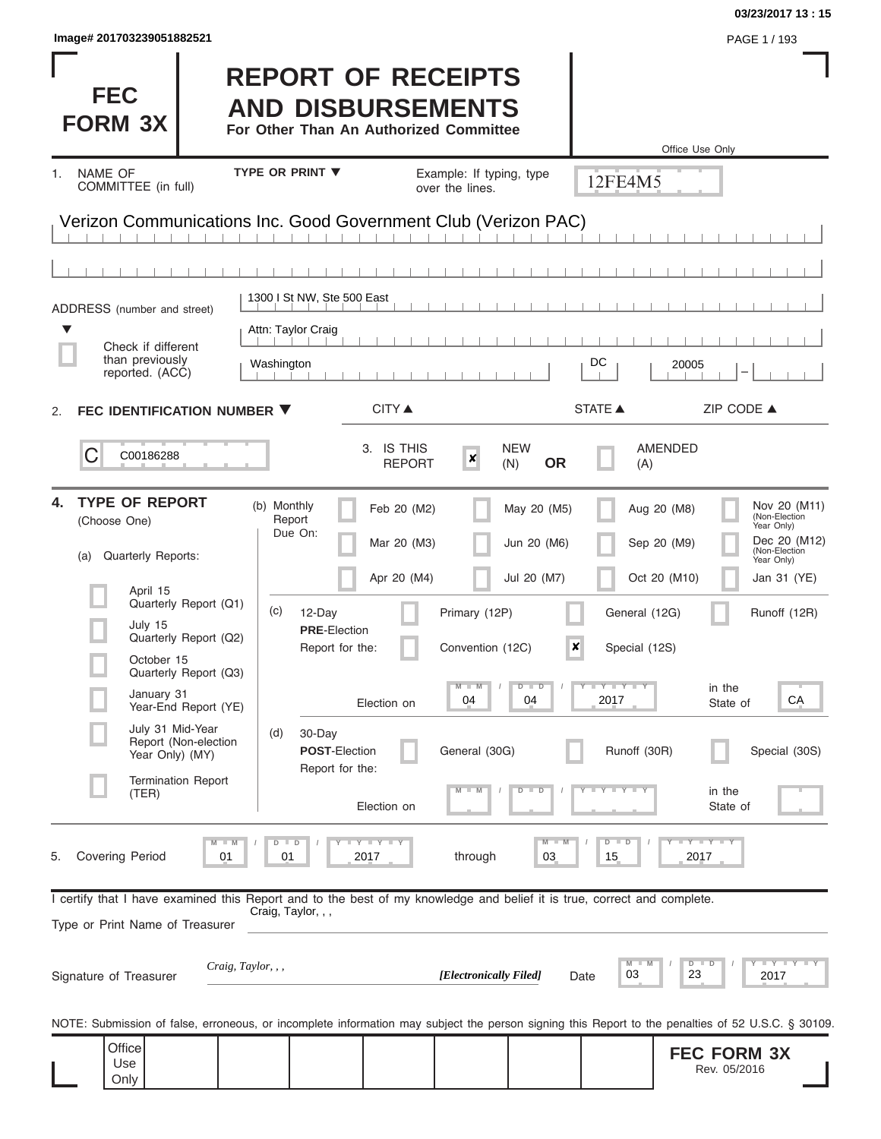| Image# 201703239051882521                                                                                                                                                                                                                                                         |                                                                                                                             |                                                                                                 |                                                                                                |                                                                                                   | PAGE 1 / 193                                                                                                                                          |
|-----------------------------------------------------------------------------------------------------------------------------------------------------------------------------------------------------------------------------------------------------------------------------------|-----------------------------------------------------------------------------------------------------------------------------|-------------------------------------------------------------------------------------------------|------------------------------------------------------------------------------------------------|---------------------------------------------------------------------------------------------------|-------------------------------------------------------------------------------------------------------------------------------------------------------|
| <b>FEC</b><br><b>FORM 3X</b>                                                                                                                                                                                                                                                      | <b>REPORT OF RECEIPTS</b><br><b>AND DISBURSEMENTS</b><br>For Other Than An Authorized Committee                             |                                                                                                 |                                                                                                |                                                                                                   | Office Use Only                                                                                                                                       |
| NAME OF<br>1.<br>COMMITTEE (in full)                                                                                                                                                                                                                                              | <b>TYPE OR PRINT ▼</b>                                                                                                      | Example: If typing, type<br>over the lines.                                                     |                                                                                                | 12FE4M5                                                                                           |                                                                                                                                                       |
| Verizon Communications Inc. Good Government Club (Verizon PAC)                                                                                                                                                                                                                    |                                                                                                                             |                                                                                                 |                                                                                                |                                                                                                   |                                                                                                                                                       |
|                                                                                                                                                                                                                                                                                   |                                                                                                                             |                                                                                                 |                                                                                                |                                                                                                   |                                                                                                                                                       |
| ADDRESS (number and street)                                                                                                                                                                                                                                                       | 1300 I St NW, Ste 500 East                                                                                                  |                                                                                                 |                                                                                                |                                                                                                   |                                                                                                                                                       |
| ▼<br>Check if different                                                                                                                                                                                                                                                           | Attn: Taylor Craig                                                                                                          |                                                                                                 |                                                                                                |                                                                                                   |                                                                                                                                                       |
| than previously<br>reported. (ACC)                                                                                                                                                                                                                                                | Washington                                                                                                                  |                                                                                                 |                                                                                                | DC<br>20005                                                                                       |                                                                                                                                                       |
| FEC IDENTIFICATION NUMBER ▼<br>2.                                                                                                                                                                                                                                                 | <b>CITY</b> ▲                                                                                                               |                                                                                                 |                                                                                                | <b>STATE ▲</b>                                                                                    | ZIP CODE ▲                                                                                                                                            |
| C<br>C00186288                                                                                                                                                                                                                                                                    | 3. IS THIS                                                                                                                  | $\boldsymbol{x}$<br><b>REPORT</b>                                                               | <b>NEW</b><br><b>OR</b><br>(N)                                                                 | <b>AMENDED</b><br>(A)                                                                             |                                                                                                                                                       |
| <b>TYPE OF REPORT</b><br>4.<br>(Choose One)<br><b>Quarterly Reports:</b><br>(a)<br>April 15<br>Quarterly Report (Q1)<br>July 15<br>Quarterly Report (Q2)<br>October 15<br>Quarterly Report (Q3)<br>January 31<br>Year-End Report (YE)<br>July 31 Mid-Year<br>Report (Non-election | (b) Monthly<br>Report<br>Due On:<br>(c)<br>12-Day<br><b>PRE</b> Election<br>Report for the:<br>Election on<br>(d)<br>30-Day | Feb 20 (M2)<br>Mar 20 (M3)<br>Apr 20 (M4)<br>Primary (12P)<br>Convention (12C)<br>$M - M$<br>04 | May 20 (M5)<br>Jun 20 (M6)<br>Jul 20 (M7)<br>$\boldsymbol{\mathsf{x}}$<br>$D$ $\Box$ $D$<br>04 | Aug 20 (M8)<br>Sep 20 (M9)<br>Oct 20 (M10)<br>General (12G)<br>Special (12S)<br>Y FYLY TY<br>2017 | Nov 20 (M11)<br>(Non-Election<br>Year Only)<br>Dec 20 (M12)<br>(Non-Election<br>Year Only)<br>Jan 31 (YE)<br>Runoff (12R)<br>in the<br>CA<br>State of |
| Year Only) (MY)<br><b>Termination Report</b><br>(TER)                                                                                                                                                                                                                             | <b>POST-Election</b><br>Report for the:                                                                                     | General (30G)                                                                                   | $\overline{D}$<br>D                                                                            | Runoff (30R)<br>Y TYT                                                                             | Special (30S)<br>in the                                                                                                                               |
| $M$ $M$<br>Covering Period<br>01<br>5.<br>I certify that I have examined this Report and to the best of my knowledge and belief it is true, correct and complete.<br>Type or Print Name of Treasurer                                                                              | Election on<br>Y I Y I Y<br>D<br>$\blacksquare$<br>2017<br>01<br>Craig, Taylor, , ,                                         | through                                                                                         | $M - M$<br>03                                                                                  | $D$ $D$<br>15                                                                                     | State of<br>$\mathsf{L} \mathsf{Y} \mathsf{L} \mathsf{Y} \mathsf{L} \mathsf{Y}$<br>2017                                                               |
| Craig, Taylor, , ,<br>Signature of Treasurer                                                                                                                                                                                                                                      |                                                                                                                             | [Electronically Filed]                                                                          | Date                                                                                           | $M$ $\Box$<br>03                                                                                  | $Y + Y + Y + Y$<br>$D$ $D$<br>23<br>2017                                                                                                              |
| NOTE: Submission of false, erroneous, or incomplete information may subject the person signing this Report to the penalties of 52 U.S.C. § 30109.                                                                                                                                 |                                                                                                                             |                                                                                                 |                                                                                                |                                                                                                   |                                                                                                                                                       |
| Office<br>Use<br>Only                                                                                                                                                                                                                                                             |                                                                                                                             |                                                                                                 |                                                                                                |                                                                                                   | <b>FEC FORM 3X</b><br>Rev. 05/2016                                                                                                                    |

**03/23/2017 13 : 15**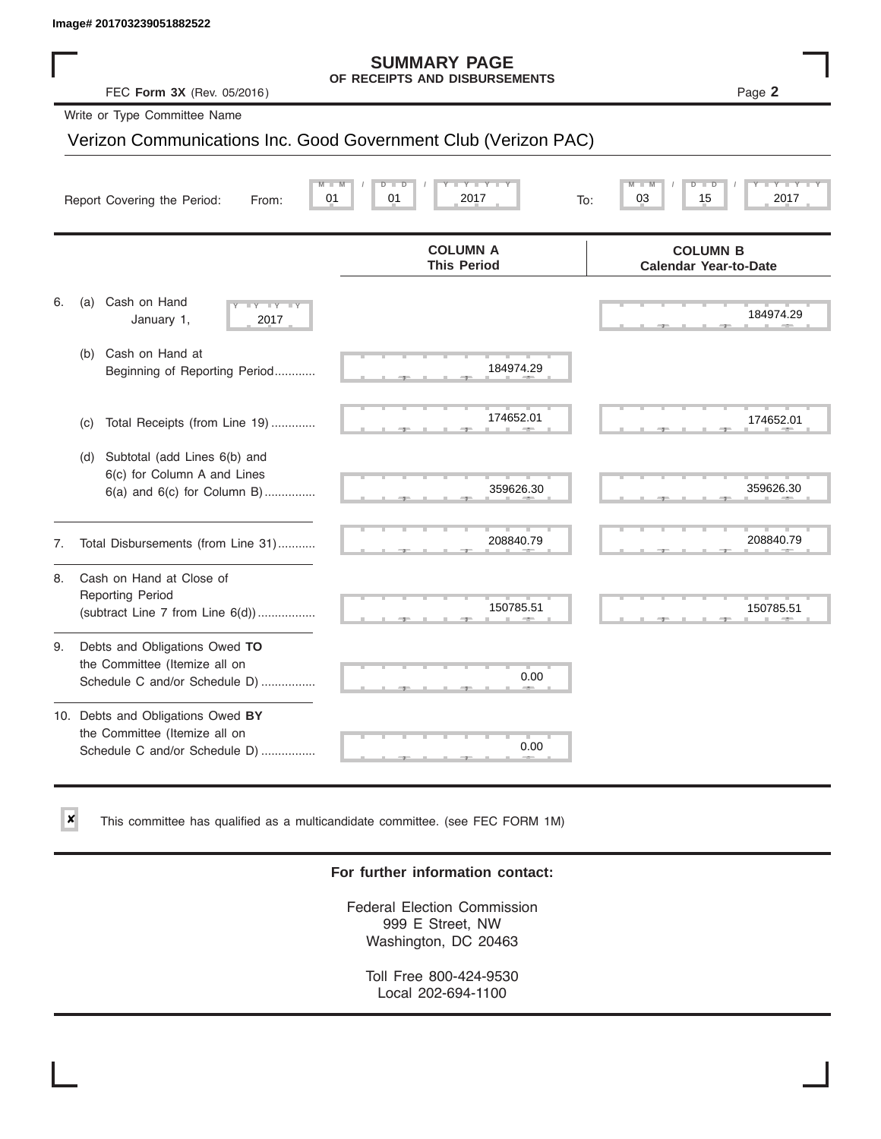✘

#### **SUMMARY PAGE OF RECEIPTS AND DISBURSEMENTS**

|    | lmage# 201703239051882522                                                                             |                                                                |                                                 |
|----|-------------------------------------------------------------------------------------------------------|----------------------------------------------------------------|-------------------------------------------------|
|    | FEC Form 3X (Rev. 05/2016)                                                                            | <b>SUMMARY PAGE</b><br>OF RECEIPTS AND DISBURSEMENTS           | Page 2                                          |
|    | Write or Type Committee Name                                                                          |                                                                |                                                 |
|    |                                                                                                       | Verizon Communications Inc. Good Government Club (Verizon PAC) |                                                 |
|    | Report Covering the Period:<br>From:                                                                  | Y L<br>D I<br>D<br>01<br>01<br>2017<br>To:                     | D<br>TD.<br>2017<br>03<br>15                    |
|    |                                                                                                       | <b>COLUMN A</b><br><b>This Period</b>                          | <b>COLUMN B</b><br><b>Calendar Year-to-Date</b> |
| 6. | Cash on Hand<br>(a)<br>$-\gamma$<br>January 1,<br>2017                                                |                                                                | 184974.29                                       |
|    | Cash on Hand at<br>(b)<br>Beginning of Reporting Period                                               | 184974.29                                                      |                                                 |
|    | Total Receipts (from Line 19)<br>(c)                                                                  | 174652.01                                                      | 174652.01                                       |
|    | Subtotal (add Lines 6(b) and<br>(d)<br>6(c) for Column A and Lines<br>$6(a)$ and $6(c)$ for Column B) | 359626.30                                                      | 359626.30                                       |
| 7. | Total Disbursements (from Line 31)                                                                    | 208840.79                                                      | 208840.79                                       |
| 8. | Cash on Hand at Close of<br><b>Reporting Period</b><br>(subtract Line $7$ from Line $6(d)$ )          | 150785.51                                                      | 150785.51                                       |
| 9. | Debts and Obligations Owed TO<br>the Committee (Itemize all on<br>Schedule C and/or Schedule D)       | 0.00                                                           |                                                 |
|    | 10. Debts and Obligations Owed BY<br>the Committee (Itemize all on<br>Schedule C and/or Schedule D)   | 0.00                                                           |                                                 |

This committee has qualified as a multicandidate committee. (see FEC FORM 1M)

#### **For further information contact:**

Federal Election Commission 999 E Street, NW Washington, DC 20463

Toll Free 800-424-9530 Local 202-694-1100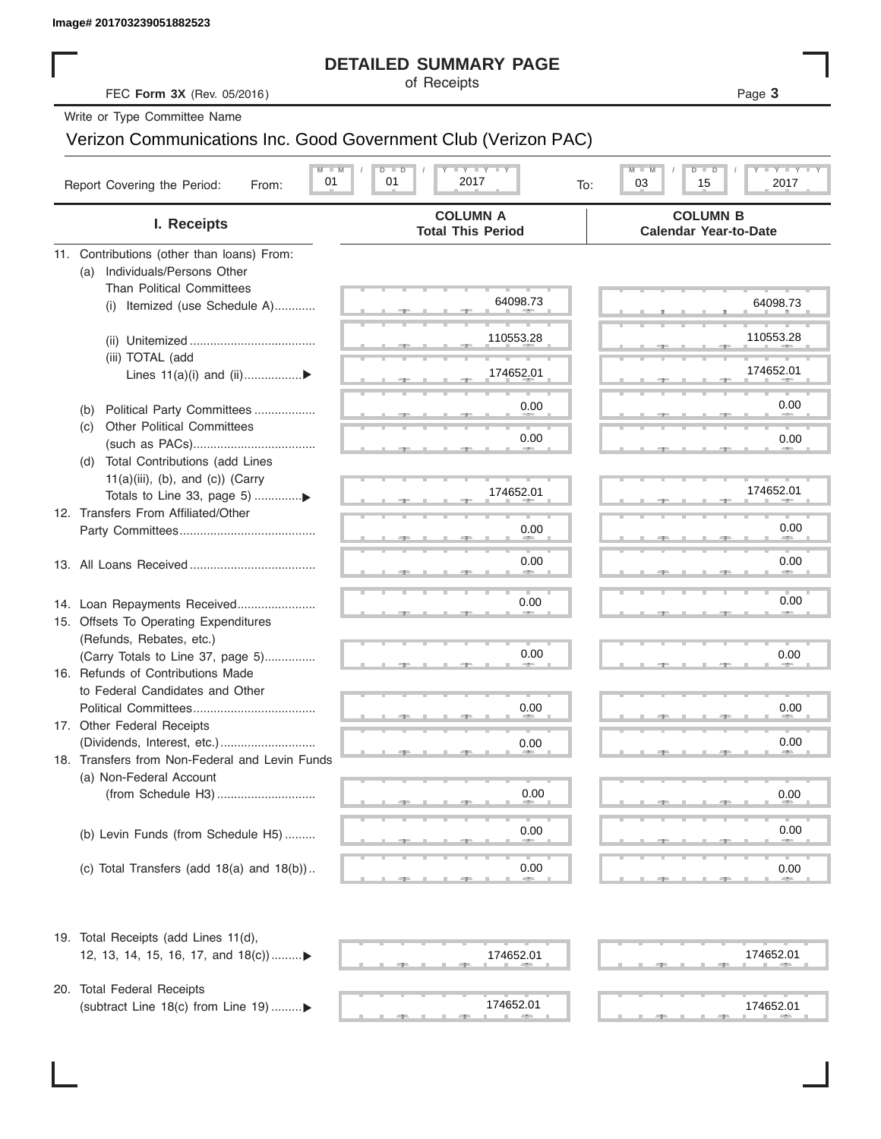| Image# 201703239051882523 |  |  |
|---------------------------|--|--|
|                           |  |  |

#### **DETAILED SUMMARY PAGE**

#### Verizon Communications Inc. Good Government Club (Verizon PAC)

|                                                                              | <b>DETAILED SUMMARY PAGE</b>                                     |                                                     |
|------------------------------------------------------------------------------|------------------------------------------------------------------|-----------------------------------------------------|
| FEC Form 3X (Rev. 05/2016)                                                   | of Receipts                                                      | Page 3                                              |
| Write or Type Committee Name                                                 |                                                                  |                                                     |
|                                                                              | Verizon Communications Inc. Good Government Club (Verizon PAC)   |                                                     |
| Report Covering the Period:<br>From:                                         | <b>LY LY LY</b><br>$M$ $M$<br>$D$ $D$<br>01<br>01<br>2017<br>To: | $T - Y$ $T - Y$<br>$M - M$<br>D<br>03<br>15<br>2017 |
| I. Receipts                                                                  | <b>COLUMN A</b><br><b>Total This Period</b>                      | <b>COLUMN B</b><br><b>Calendar Year-to-Date</b>     |
| 11. Contributions (other than loans) From:                                   |                                                                  |                                                     |
| Individuals/Persons Other<br>(a)                                             |                                                                  |                                                     |
| <b>Than Political Committees</b>                                             | 64098.73                                                         | 64098.73                                            |
| (i) Itemized (use Schedule A)                                                |                                                                  |                                                     |
|                                                                              | 110553.28                                                        | 110553.28                                           |
| (iii) TOTAL (add                                                             |                                                                  |                                                     |
| Lines $11(a)(i)$ and $(ii)$                                                  | 174652.01                                                        | 174652.01                                           |
|                                                                              |                                                                  |                                                     |
| Political Party Committees<br>(b)                                            | 0.00                                                             | 0.00                                                |
| <b>Other Political Committees</b><br>(C)                                     | 0.00                                                             | 0.00                                                |
|                                                                              |                                                                  |                                                     |
| Total Contributions (add Lines<br>(d)<br>$11(a)(iii)$ , (b), and (c)) (Carry |                                                                  |                                                     |
|                                                                              | 174652.01                                                        | 174652.01                                           |
| 12. Transfers From Affiliated/Other                                          |                                                                  |                                                     |
|                                                                              | 0.00                                                             | 0.00                                                |
|                                                                              |                                                                  |                                                     |
|                                                                              | 0.00                                                             | 0.00                                                |
|                                                                              |                                                                  |                                                     |
| 14. Loan Repayments Received                                                 | 0.00                                                             | 0.00                                                |
| 15. Offsets To Operating Expenditures                                        |                                                                  |                                                     |
| (Refunds, Rebates, etc.)                                                     | 0.00                                                             | 0.00                                                |
| (Carry Totals to Line 37, page 5)<br>16. Refunds of Contributions Made       |                                                                  |                                                     |
| to Federal Candidates and Other                                              |                                                                  |                                                     |
| Political Committees                                                         | 0.00                                                             | 0.00                                                |
| 17. Other Federal Receipts                                                   |                                                                  |                                                     |
|                                                                              | 0.00                                                             | 0.00                                                |
| 18. Transfers from Non-Federal and Levin Funds                               |                                                                  |                                                     |
| (a) Non-Federal Account                                                      |                                                                  |                                                     |
|                                                                              | 0.00                                                             | 0.00                                                |
|                                                                              | 0.00                                                             | 0.00                                                |
| (b) Levin Funds (from Schedule H5)                                           |                                                                  |                                                     |
| (c) Total Transfers (add $18(a)$ and $18(b)$ )                               | 0.00                                                             | 0.00                                                |
|                                                                              |                                                                  |                                                     |
| 19. Total Receipts (add Lines 11(d),<br>12, 13, 14, 15, 16, 17, and $18(c)$  | 174652.01                                                        | 174652.01                                           |
|                                                                              |                                                                  |                                                     |
| 20. Total Federal Receipts                                                   |                                                                  |                                                     |
| (subtract Line 18(c) from Line 19)▶                                          | 174652.01                                                        | 174652.01                                           |

 $\frac{174652.01}{2}$  ...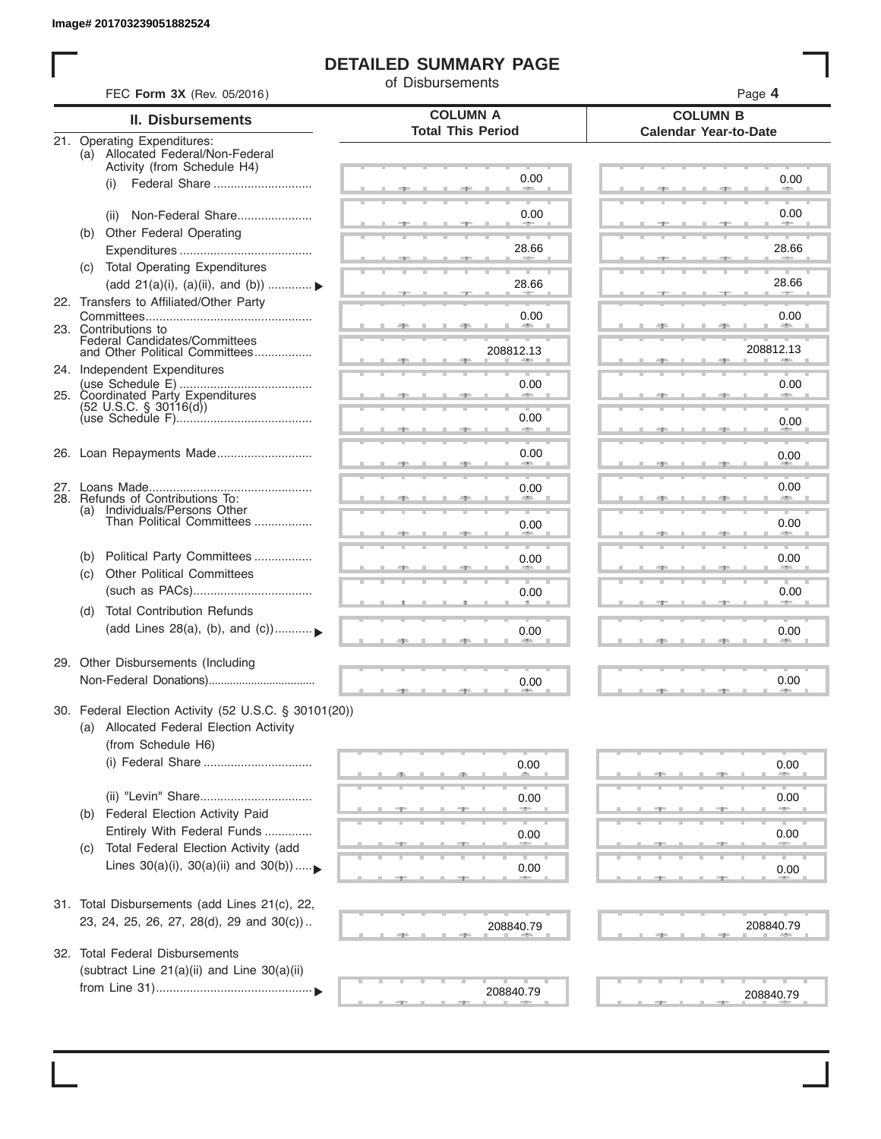I

#### **DETAILED SUMMARY PAGE**

of Disbursements

| FEC Form 3X (Rev. 05/2016)                                                                      |                                             | Page 4                                          |
|-------------------------------------------------------------------------------------------------|---------------------------------------------|-------------------------------------------------|
| <b>II. Disbursements</b>                                                                        | <b>COLUMN A</b><br><b>Total This Period</b> | <b>COLUMN B</b><br><b>Calendar Year-to-Date</b> |
| 21. Operating Expenditures:<br>(a) Allocated Federal/Non-Federal<br>Activity (from Schedule H4) |                                             |                                                 |
| Federal Share<br>(i)                                                                            | 0.00                                        | 0.00                                            |
| Non-Federal Share<br>(ii)                                                                       | 0.00                                        | 0.00                                            |
| (b) Other Federal Operating                                                                     | 28.66                                       | 28.66                                           |
| (c) Total Operating Expenditures<br>(add 21(a)(i), (a)(ii), and (b))  ▶                         | 28.66                                       | 28.66                                           |
| 22. Transfers to Affiliated/Other Party                                                         |                                             |                                                 |
| 23. Contributions to                                                                            | 0.00                                        | 0.00                                            |
| Federal Candidates/Committees<br>and Other Political Committees<br>24. Independent Expenditures | 208812.13                                   | 208812.13                                       |
| 25. Coordinated Party Expenditures                                                              | 0.00                                        | 0.00                                            |
| $(52 \text{ U.S.C. }$ § 30116(d))                                                               | 0.00<br><b>Allen</b>                        | 0.00                                            |
| 26. Loan Repayments Made                                                                        | 0.00                                        | 0.00                                            |
|                                                                                                 | 0.00                                        | 0.00                                            |
| 28. Refunds of Contributions To:<br>(a) Individuals/Persons Other                               |                                             |                                                 |
| Than Political Committees                                                                       | 0.00                                        | 0.00                                            |
| Political Party Committees<br>(b)<br><b>Other Political Committees</b><br>(c)                   | 0.00                                        | 0.00                                            |
| <b>Total Contribution Refunds</b>                                                               | 0.00                                        | 0.00                                            |
| (d)<br>(add Lines 28(a), (b), and (c))                                                          | 0.00                                        | 0.00                                            |
| 29. Other Disbursements (Including                                                              | 0.00                                        | 0.00                                            |
| 30. Federal Election Activity (52 U.S.C. § 30101(20))                                           |                                             |                                                 |
| (a) Allocated Federal Election Activity<br>(from Schedule H6)                                   |                                             |                                                 |
| (i) Federal Share                                                                               | 0.00                                        | 0.00                                            |
|                                                                                                 | 0.00                                        | 0.00                                            |
| Federal Election Activity Paid<br>(b)<br>Entirely With Federal Funds                            | 0.00                                        | 0.00                                            |
| Total Federal Election Activity (add<br>(C)<br>Lines $30(a)(i)$ , $30(a)(ii)$ and $30(b))$      | 0.00                                        |                                                 |
|                                                                                                 |                                             | 0.00                                            |
| 31. Total Disbursements (add Lines 21(c), 22,<br>23, 24, 25, 26, 27, 28(d), 29 and 30(c))       | 208840.79                                   | 208840.79                                       |
| 32. Total Federal Disbursements                                                                 |                                             |                                                 |
| (subtract Line $21(a)(ii)$ and Line $30(a)(ii)$                                                 |                                             |                                                 |
|                                                                                                 | 208840.79                                   | 208840.79                                       |
|                                                                                                 |                                             |                                                 |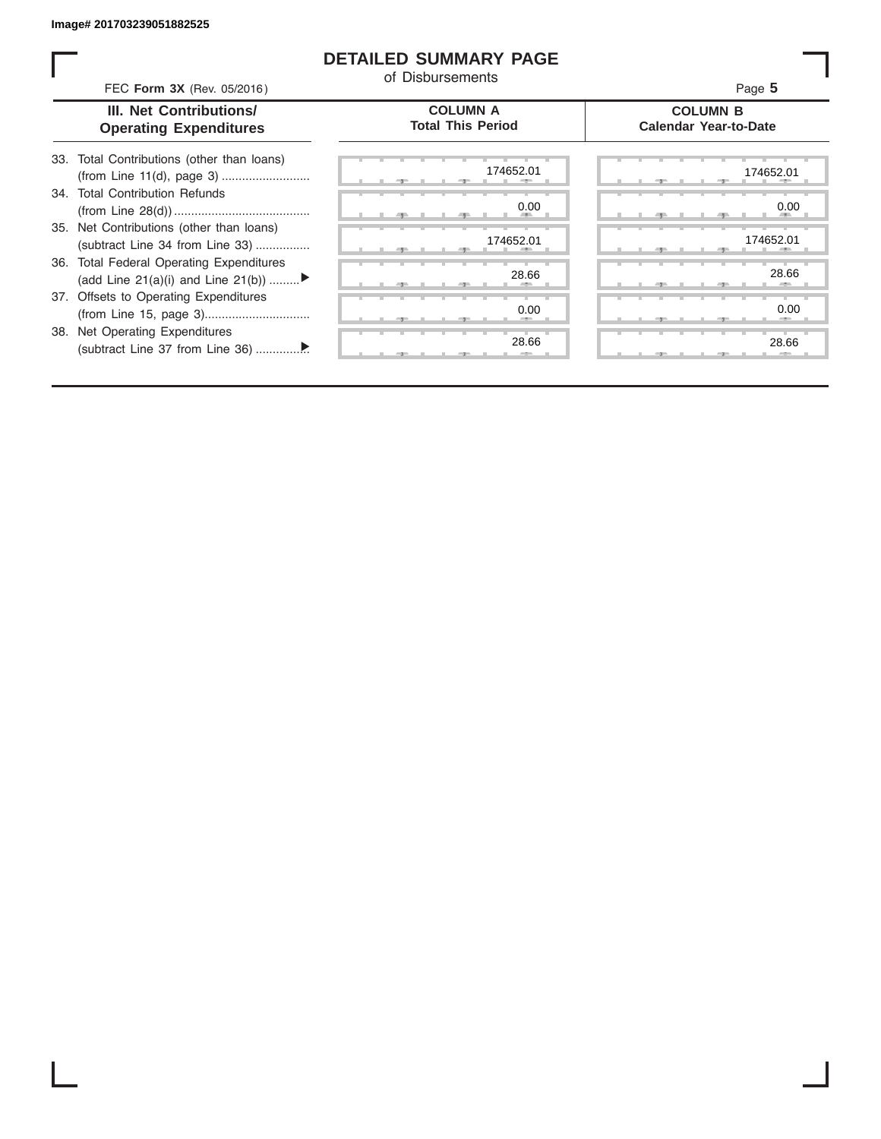#### **DETAILED SUMMARY PAGE**

of Disbursements

FEC **Form 3X** (Rev. 05/2016) Page **5**

|  | III. Net Contributions/       |
|--|-------------------------------|
|  | <b>Operating Expenditures</b> |

#### **COLUMN A Total This Period**

#### **COLUMN B Calendar Year-to-Date**

| 33. Total Contributions (other than loans) |
|--------------------------------------------|
|                                            |
| 34. Total Contribution Refunds             |
|                                            |
| 35. Net Contributions (other than loans)   |
| (subtract Line 34 from Line 33)            |
| 36. Total Federal Operating Expenditures   |
| (add Line 21(a)(i) and Line 21(b))         |
| 37. Offsets to Operating Expenditures      |
|                                            |
| 38. Net Operating Expenditures             |
|                                            |

|   |   | --    |   | л  | - 7 - | 174652.01<br>$-$<br>п    |
|---|---|-------|---|----|-------|--------------------------|
| ٠ |   |       |   |    |       | w<br>0.00                |
|   |   | - 7 - |   | ٠  | 5     | ÷                        |
|   |   |       |   |    |       | 174652.01                |
| ш |   | 里     | ٠ |    | -91   | ٠                        |
|   |   |       |   |    |       | 28.66<br>٠<br>٠          |
|   |   | ユー    | и | a. | $-7-$ | ш                        |
| ٠ |   | т     | т | v  | ٠     | т<br>т<br>٠<br>т<br>0.00 |
|   |   | --    |   |    | ユー    | -                        |
| ٠ | Ш | т     | т | т  | т     | т<br>т<br>т<br>28.66     |
|   |   |       |   |    | ×     | п                        |

|       |  | 174652.01           |  |  |  | 174652.01           |
|-------|--|---------------------|--|--|--|---------------------|
|       |  | 0.00<br><b>AREA</b> |  |  |  | 0.00<br><b>AREA</b> |
|       |  | 174652.01           |  |  |  | 174652.01           |
|       |  | 28.66<br>-          |  |  |  | 28.66               |
|       |  | 0.00<br>--          |  |  |  | 0.00<br>--          |
| $-7-$ |  | 28.66               |  |  |  | 28.66               |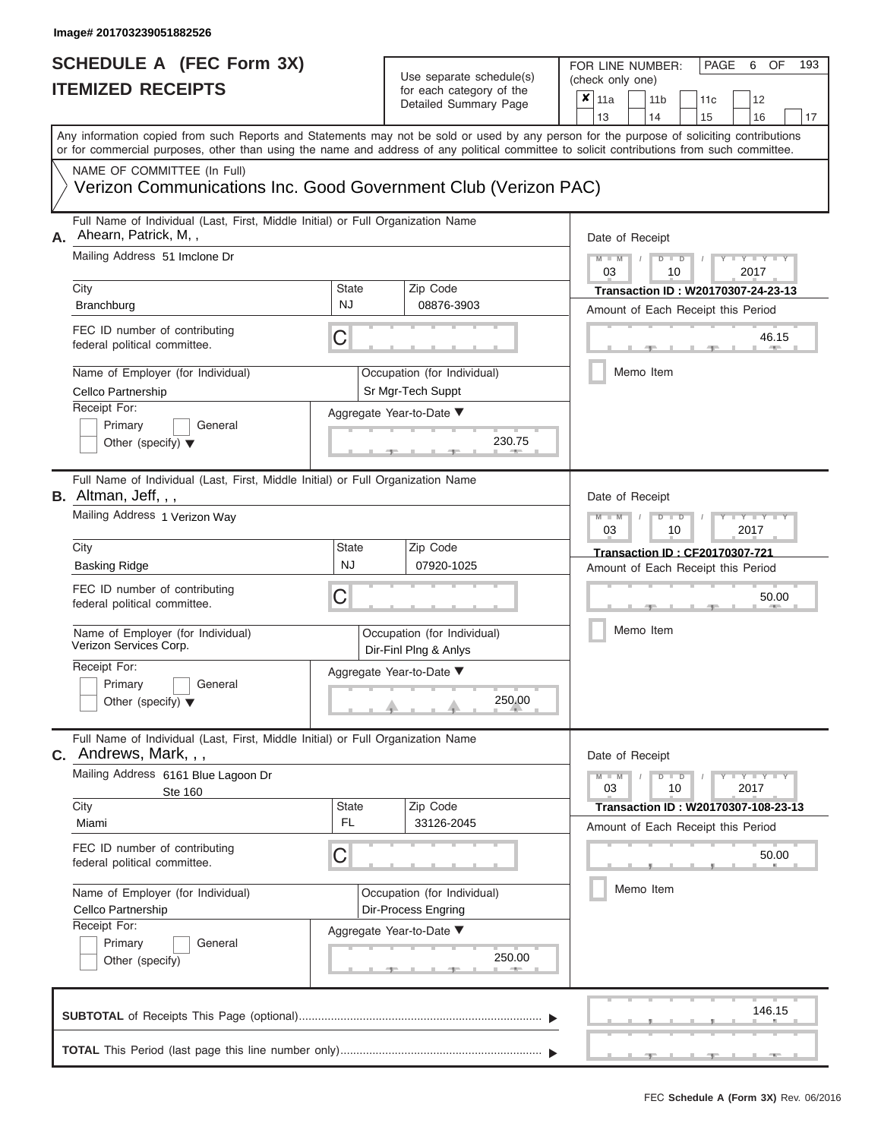| SCHEDULE A (FEC Form 3X)<br><b>ITEMIZED RECEIPTS</b>                                                                                                                                                                                                                                                                    |                           | Use separate schedule(s)<br>for each category of the<br>Detailed Summary Page                          | 193<br>FOR LINE NUMBER:<br>PAGE<br>6<br>OF<br>(check only one)<br>×<br>11a<br>11 <sub>b</sub><br>11 <sub>c</sub><br>12                                                                                 |
|-------------------------------------------------------------------------------------------------------------------------------------------------------------------------------------------------------------------------------------------------------------------------------------------------------------------------|---------------------------|--------------------------------------------------------------------------------------------------------|--------------------------------------------------------------------------------------------------------------------------------------------------------------------------------------------------------|
| Any information copied from such Reports and Statements may not be sold or used by any person for the purpose of soliciting contributions<br>or for commercial purposes, other than using the name and address of any political committee to solicit contributions from such committee.                                 |                           |                                                                                                        | 13<br>14<br>15<br>16<br>17                                                                                                                                                                             |
| NAME OF COMMITTEE (In Full)<br>Verizon Communications Inc. Good Government Club (Verizon PAC)                                                                                                                                                                                                                           |                           |                                                                                                        |                                                                                                                                                                                                        |
| Full Name of Individual (Last, First, Middle Initial) or Full Organization Name<br>Ahearn, Patrick, M,,<br>А.<br>Mailing Address 51 Imclone Dr<br>City<br><b>Branchburg</b><br>FEC ID number of contributing<br>federal political committee.<br>Name of Employer (for Individual)<br>Cellco Partnership<br>Receipt For: | State<br><b>NJ</b><br>С   | Zip Code<br>08876-3903<br>Occupation (for Individual)<br>Sr Mgr-Tech Suppt<br>Aggregate Year-to-Date ▼ | Date of Receipt<br>$M - M$<br>$Y - Y - Y$<br>$D$ $D$<br>$\sqrt{2}$<br>03<br>2017<br>10<br>Transaction ID: W20170307-24-23-13<br>Amount of Each Receipt this Period<br>46.15<br><b>AND</b><br>Memo Item |
| Primary<br>General<br>Other (specify) $\blacktriangledown$                                                                                                                                                                                                                                                              |                           | 230.75                                                                                                 |                                                                                                                                                                                                        |
| Full Name of Individual (Last, First, Middle Initial) or Full Organization Name<br><b>B.</b> Altman, Jeff, $,$ ,<br>Mailing Address 1 Verizon Way                                                                                                                                                                       |                           |                                                                                                        | Date of Receipt<br>$M - M$<br>$D$ $D$<br>$Y - Y$<br>03<br>2017<br>10                                                                                                                                   |
| City<br><b>Basking Ridge</b>                                                                                                                                                                                                                                                                                            | <b>State</b><br><b>NJ</b> | Zip Code<br>07920-1025                                                                                 | Transaction ID: CF20170307-721<br>Amount of Each Receipt this Period                                                                                                                                   |
| FEC ID number of contributing<br>federal political committee.                                                                                                                                                                                                                                                           | С                         |                                                                                                        | 50.00                                                                                                                                                                                                  |
| Name of Employer (for Individual)<br>Verizon Services Corp.                                                                                                                                                                                                                                                             |                           | Occupation (for Individual)<br>Dir-Finl Plng & Anlys                                                   | Memo Item                                                                                                                                                                                              |
| Receipt For:<br>Primary<br>General<br>Other (specify) $\blacktriangledown$                                                                                                                                                                                                                                              |                           | Aggregate Year-to-Date ▼<br>250.00                                                                     |                                                                                                                                                                                                        |
| Full Name of Individual (Last, First, Middle Initial) or Full Organization Name<br>Andrews, Mark, , ,<br>С.                                                                                                                                                                                                             |                           |                                                                                                        | Date of Receipt                                                                                                                                                                                        |
| Mailing Address 6161 Blue Lagoon Dr<br><b>Ste 160</b>                                                                                                                                                                                                                                                                   |                           |                                                                                                        | $M - M$<br>$D$ $D$<br>$  Y$ $  Y$ $  Y$<br>03<br>10<br>2017                                                                                                                                            |
| City<br>Miami                                                                                                                                                                                                                                                                                                           | State<br>FL.              | Zip Code<br>33126-2045                                                                                 | Transaction ID: W20170307-108-23-13<br>Amount of Each Receipt this Period                                                                                                                              |
| FEC ID number of contributing<br>federal political committee.                                                                                                                                                                                                                                                           | С                         |                                                                                                        | 50.00                                                                                                                                                                                                  |
| Name of Employer (for Individual)<br>Cellco Partnership<br>Receipt For:<br>Primary<br>General<br>Other (specify)                                                                                                                                                                                                        |                           | Occupation (for Individual)<br>Dir-Process Engring<br>Aggregate Year-to-Date ▼<br>250.00               | Memo Item                                                                                                                                                                                              |
|                                                                                                                                                                                                                                                                                                                         |                           |                                                                                                        | 146.15                                                                                                                                                                                                 |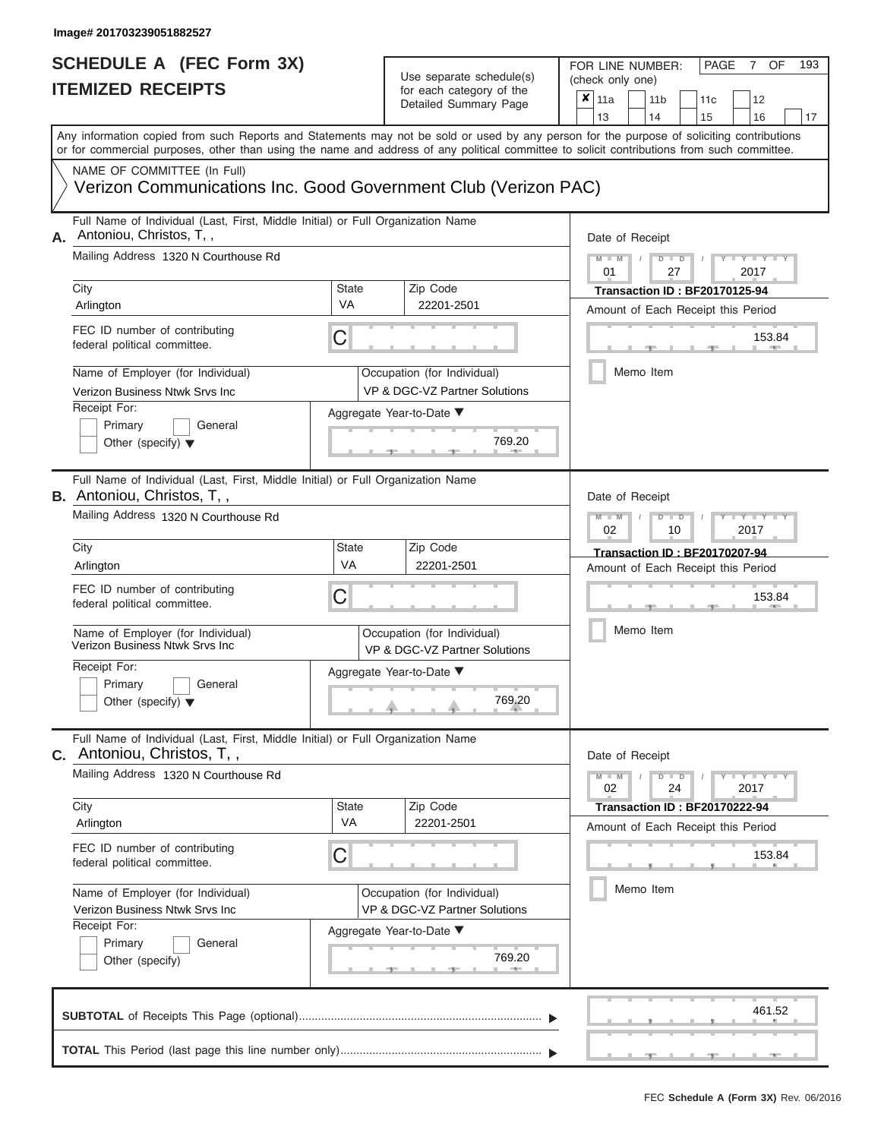# Use separate schedule(s)<br>for each category of the

FOR LINE NUMBER:<br>(check only one)

PAGE 7 OF 193

| IIEMILED REVEIFIJ                                                                                                                                                                                                                                                                       |              | ior each calegory of the<br>Detailed Summary Page            | x | 11a             |  | 11 <sub>b</sub>   |  | 11c | 12                                                                                    |    |  |  |  |
|-----------------------------------------------------------------------------------------------------------------------------------------------------------------------------------------------------------------------------------------------------------------------------------------|--------------|--------------------------------------------------------------|---|-----------------|--|-------------------|--|-----|---------------------------------------------------------------------------------------|----|--|--|--|
|                                                                                                                                                                                                                                                                                         |              |                                                              |   | 13              |  | 14                |  | 15  | 16                                                                                    | 17 |  |  |  |
| Any information copied from such Reports and Statements may not be sold or used by any person for the purpose of soliciting contributions<br>or for commercial purposes, other than using the name and address of any political committee to solicit contributions from such committee. |              |                                                              |   |                 |  |                   |  |     |                                                                                       |    |  |  |  |
| NAME OF COMMITTEE (In Full)                                                                                                                                                                                                                                                             |              |                                                              |   |                 |  |                   |  |     |                                                                                       |    |  |  |  |
| Verizon Communications Inc. Good Government Club (Verizon PAC)                                                                                                                                                                                                                          |              |                                                              |   |                 |  |                   |  |     |                                                                                       |    |  |  |  |
| Full Name of Individual (Last, First, Middle Initial) or Full Organization Name<br>Antoniou, Christos, T,,<br>Α.                                                                                                                                                                        |              |                                                              |   | Date of Receipt |  |                   |  |     |                                                                                       |    |  |  |  |
| Mailing Address 1320 N Courthouse Rd                                                                                                                                                                                                                                                    |              |                                                              |   | $M - M$<br>01   |  | $D$ $D$<br>27     |  |     | <b>TELEVISION</b><br>2017                                                             |    |  |  |  |
| City                                                                                                                                                                                                                                                                                    | <b>State</b> | Zip Code                                                     |   |                 |  |                   |  |     | Transaction ID: BF20170125-94                                                         |    |  |  |  |
| Arlington                                                                                                                                                                                                                                                                               | <b>VA</b>    | 22201-2501                                                   |   |                 |  |                   |  |     | Amount of Each Receipt this Period                                                    |    |  |  |  |
| FEC ID number of contributing<br>federal political committee.                                                                                                                                                                                                                           | С            |                                                              |   |                 |  |                   |  |     | 153.84                                                                                |    |  |  |  |
| Name of Employer (for Individual)<br>Verizon Business Ntwk Srvs Inc                                                                                                                                                                                                                     |              | Occupation (for Individual)<br>VP & DGC-VZ Partner Solutions |   |                 |  | Memo Item         |  |     |                                                                                       |    |  |  |  |
| Receipt For:                                                                                                                                                                                                                                                                            |              | Aggregate Year-to-Date ▼                                     |   |                 |  |                   |  |     |                                                                                       |    |  |  |  |
| Primary<br>General<br>Other (specify) $\blacktriangledown$                                                                                                                                                                                                                              |              | 769.20                                                       |   |                 |  |                   |  |     |                                                                                       |    |  |  |  |
| Full Name of Individual (Last, First, Middle Initial) or Full Organization Name<br><b>B.</b> Antoniou, Christos, T,,                                                                                                                                                                    |              |                                                              |   | Date of Receipt |  |                   |  |     |                                                                                       |    |  |  |  |
| Mailing Address 1320 N Courthouse Rd                                                                                                                                                                                                                                                    |              |                                                              |   | $M - M$<br>02   |  | $\Box$<br>ъ<br>10 |  |     | $\overline{\phantom{a}}$<br>2017                                                      |    |  |  |  |
| City                                                                                                                                                                                                                                                                                    | State        | Zip Code                                                     |   |                 |  |                   |  |     | <b>Transaction ID: BF20170207-94</b>                                                  |    |  |  |  |
| Arlington                                                                                                                                                                                                                                                                               | VA           | 22201-2501                                                   |   |                 |  |                   |  |     | Amount of Each Receipt this Period                                                    |    |  |  |  |
| FEC ID number of contributing<br>federal political committee.                                                                                                                                                                                                                           | С            |                                                              |   | 153.84          |  |                   |  |     |                                                                                       |    |  |  |  |
| Name of Employer (for Individual)<br>Verizon Business Ntwk Srvs Inc                                                                                                                                                                                                                     |              | Occupation (for Individual)<br>VP & DGC-VZ Partner Solutions |   |                 |  | Memo Item         |  |     |                                                                                       |    |  |  |  |
| Receipt For:<br>Primary<br>General<br>Other (specify) $\blacktriangledown$                                                                                                                                                                                                              |              | Aggregate Year-to-Date ▼<br>769.20                           |   |                 |  |                   |  |     |                                                                                       |    |  |  |  |
| Full Name of Individual (Last, First, Middle Initial) or Full Organization Name<br>Antoniou, Christos, T,,<br>С.                                                                                                                                                                        |              |                                                              |   | Date of Receipt |  |                   |  |     |                                                                                       |    |  |  |  |
| Mailing Address 1320 N Courthouse Rd                                                                                                                                                                                                                                                    |              |                                                              |   | $M - M$<br>02   |  | $D$ $D$<br>24     |  |     | $\blacksquare$ $\vdash$ $\vdash$ $\vdash$ $\vdash$ $\vdash$ $\vdash$ $\vdash$<br>2017 |    |  |  |  |
| City                                                                                                                                                                                                                                                                                    | <b>State</b> | Zip Code                                                     |   |                 |  |                   |  |     | <b>Transaction ID: BF20170222-94</b>                                                  |    |  |  |  |
| Arlington                                                                                                                                                                                                                                                                               | VA           | 22201-2501                                                   |   |                 |  |                   |  |     | Amount of Each Receipt this Period                                                    |    |  |  |  |
| FEC ID number of contributing<br>federal political committee.                                                                                                                                                                                                                           | C            |                                                              |   |                 |  |                   |  |     | 153.84                                                                                |    |  |  |  |
| Name of Employer (for Individual)<br>Verizon Business Ntwk Srvs Inc                                                                                                                                                                                                                     |              | Occupation (for Individual)<br>VP & DGC-VZ Partner Solutions |   |                 |  | Memo Item         |  |     |                                                                                       |    |  |  |  |
| Receipt For:                                                                                                                                                                                                                                                                            |              | Aggregate Year-to-Date ▼                                     |   |                 |  |                   |  |     |                                                                                       |    |  |  |  |
| General<br>Primary<br>Other (specify)                                                                                                                                                                                                                                                   |              | 769.20                                                       |   |                 |  |                   |  |     |                                                                                       |    |  |  |  |
|                                                                                                                                                                                                                                                                                         |              |                                                              |   |                 |  |                   |  |     | 461.52                                                                                |    |  |  |  |
|                                                                                                                                                                                                                                                                                         |              |                                                              |   |                 |  |                   |  |     |                                                                                       |    |  |  |  |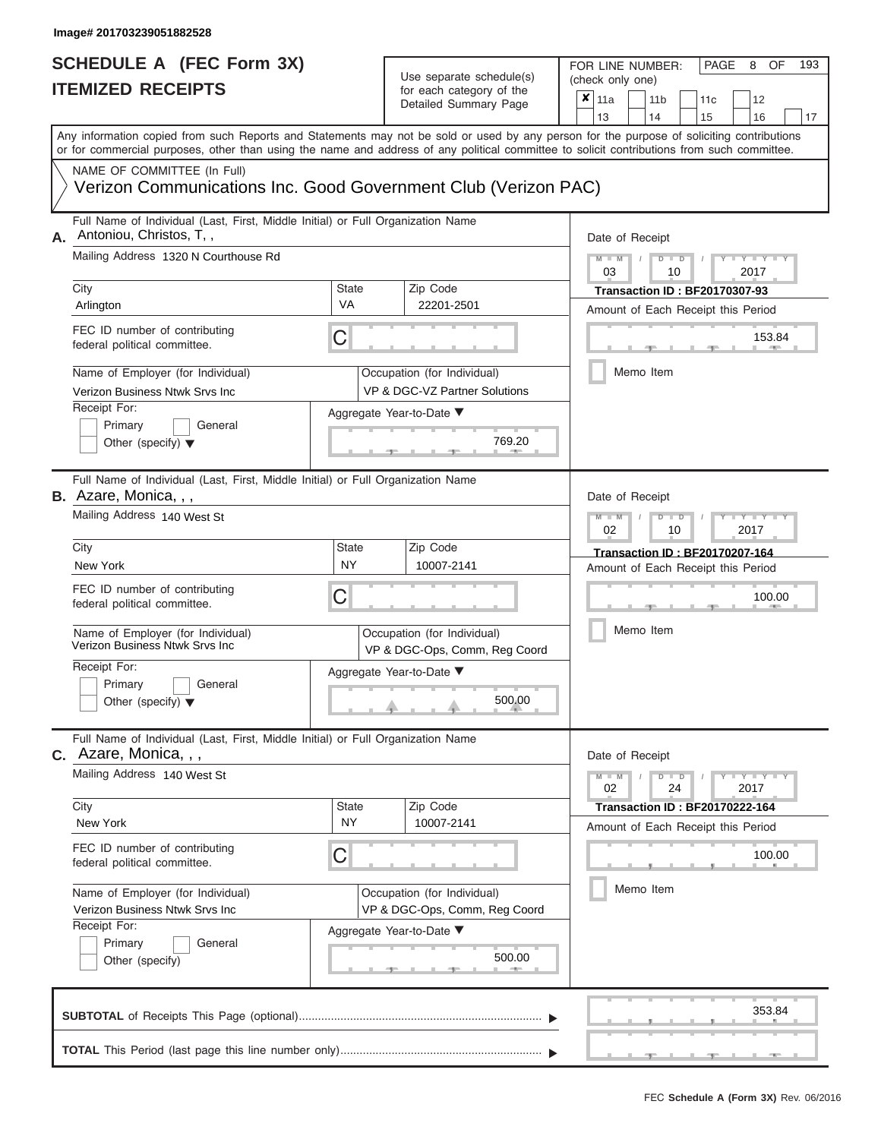ı

## **SCHEDULE A (FEC Form 3X) ITEMIZED RECEIPTS**

FOR LINE NUMBER:<br>(check only one)

PAGE 8 OF 193

|    | IIEMILED REVEIFIJ                                                                                               |                                                                                                                                                                                                                                                                                                                                                                                                                                                                                                                                                                                                                                                                                                                                                                                                                                                                                                                                                                                                                                                                                                                                                                                                                                                                                                                                                                                                                                                                                                                                                                                      | ior each calegory of the | × | 11a |  | 11 <sub>b</sub> |  | 11c |  |        |  |  |  |  |
|----|-----------------------------------------------------------------------------------------------------------------|--------------------------------------------------------------------------------------------------------------------------------------------------------------------------------------------------------------------------------------------------------------------------------------------------------------------------------------------------------------------------------------------------------------------------------------------------------------------------------------------------------------------------------------------------------------------------------------------------------------------------------------------------------------------------------------------------------------------------------------------------------------------------------------------------------------------------------------------------------------------------------------------------------------------------------------------------------------------------------------------------------------------------------------------------------------------------------------------------------------------------------------------------------------------------------------------------------------------------------------------------------------------------------------------------------------------------------------------------------------------------------------------------------------------------------------------------------------------------------------------------------------------------------------------------------------------------------------|--------------------------|---|-----|--|-----------------|--|-----|--|--------|--|--|--|--|
|    |                                                                                                                 | 12<br>Detailed Summary Page<br>13<br>14<br>15<br>16<br>Any information copied from such Reports and Statements may not be sold or used by any person for the purpose of soliciting contributions<br>or for commercial purposes, other than using the name and address of any political committee to solicit contributions from such committee.<br>Verizon Communications Inc. Good Government Club (Verizon PAC)<br>Date of Receipt<br>$M - M$<br>$Y = Y$<br>$D$ $D$<br>03<br>2017<br>10<br>Zip Code<br><b>State</b><br><b>Transaction ID: BF20170307-93</b><br>VA<br>22201-2501<br>Amount of Each Receipt this Period<br>С<br>153.84<br>Memo Item<br>Occupation (for Individual)<br>VP & DGC-VZ Partner Solutions<br>Aggregate Year-to-Date ▼<br>769.20<br>Date of Receipt<br>$M - M$<br>$T-T$<br>ъ<br>$\Box$<br>02<br>10<br>2017<br>Zip Code<br><b>State</b><br><b>Transaction ID: BF20170207-164</b><br><b>NY</b><br>10007-2141<br>Amount of Each Receipt this Period<br>С<br>100.00<br>Memo Item<br>Occupation (for Individual)<br>VP & DGC-Ops, Comm, Reg Coord<br>Aggregate Year-to-Date ▼<br>500.00<br>Date of Receipt<br>$\frac{1}{2}$ $\frac{1}{2}$ $\frac{1}{2}$ $\frac{1}{2}$ $\frac{1}{2}$ $\frac{1}{2}$ $\frac{1}{2}$ $\frac{1}{2}$ $\frac{1}{2}$ $\frac{1}{2}$ $\frac{1}{2}$ $\frac{1}{2}$<br>$M - M$<br>$D$ $D$<br>02<br>2017<br>24<br>Zip Code<br><b>State</b><br><b>Transaction ID: BF20170222-164</b><br><b>NY</b><br>10007-2141<br>Amount of Each Receipt this Period<br>C<br>100.00<br>Memo Item<br>Occupation (for Individual)<br>VP & DGC-Ops, Comm, Reg Coord | 17                       |   |     |  |                 |  |     |  |        |  |  |  |  |
|    |                                                                                                                 |                                                                                                                                                                                                                                                                                                                                                                                                                                                                                                                                                                                                                                                                                                                                                                                                                                                                                                                                                                                                                                                                                                                                                                                                                                                                                                                                                                                                                                                                                                                                                                                      |                          |   |     |  |                 |  |     |  |        |  |  |  |  |
|    | NAME OF COMMITTEE (In Full)                                                                                     |                                                                                                                                                                                                                                                                                                                                                                                                                                                                                                                                                                                                                                                                                                                                                                                                                                                                                                                                                                                                                                                                                                                                                                                                                                                                                                                                                                                                                                                                                                                                                                                      |                          |   |     |  |                 |  |     |  |        |  |  |  |  |
|    |                                                                                                                 |                                                                                                                                                                                                                                                                                                                                                                                                                                                                                                                                                                                                                                                                                                                                                                                                                                                                                                                                                                                                                                                                                                                                                                                                                                                                                                                                                                                                                                                                                                                                                                                      |                          |   |     |  |                 |  |     |  |        |  |  |  |  |
| А. | Full Name of Individual (Last, First, Middle Initial) or Full Organization Name<br>Antoniou, Christos, T,,      |                                                                                                                                                                                                                                                                                                                                                                                                                                                                                                                                                                                                                                                                                                                                                                                                                                                                                                                                                                                                                                                                                                                                                                                                                                                                                                                                                                                                                                                                                                                                                                                      |                          |   |     |  |                 |  |     |  |        |  |  |  |  |
|    | Mailing Address 1320 N Courthouse Rd                                                                            |                                                                                                                                                                                                                                                                                                                                                                                                                                                                                                                                                                                                                                                                                                                                                                                                                                                                                                                                                                                                                                                                                                                                                                                                                                                                                                                                                                                                                                                                                                                                                                                      |                          |   |     |  |                 |  |     |  |        |  |  |  |  |
|    | City                                                                                                            |                                                                                                                                                                                                                                                                                                                                                                                                                                                                                                                                                                                                                                                                                                                                                                                                                                                                                                                                                                                                                                                                                                                                                                                                                                                                                                                                                                                                                                                                                                                                                                                      |                          |   |     |  |                 |  |     |  |        |  |  |  |  |
|    | Arlington                                                                                                       |                                                                                                                                                                                                                                                                                                                                                                                                                                                                                                                                                                                                                                                                                                                                                                                                                                                                                                                                                                                                                                                                                                                                                                                                                                                                                                                                                                                                                                                                                                                                                                                      |                          |   |     |  |                 |  |     |  |        |  |  |  |  |
|    | FEC ID number of contributing<br>federal political committee.                                                   |                                                                                                                                                                                                                                                                                                                                                                                                                                                                                                                                                                                                                                                                                                                                                                                                                                                                                                                                                                                                                                                                                                                                                                                                                                                                                                                                                                                                                                                                                                                                                                                      |                          |   |     |  |                 |  |     |  |        |  |  |  |  |
|    | Name of Employer (for Individual)<br>Verizon Business Ntwk Srvs Inc                                             |                                                                                                                                                                                                                                                                                                                                                                                                                                                                                                                                                                                                                                                                                                                                                                                                                                                                                                                                                                                                                                                                                                                                                                                                                                                                                                                                                                                                                                                                                                                                                                                      |                          |   |     |  |                 |  |     |  |        |  |  |  |  |
|    | Receipt For:                                                                                                    |                                                                                                                                                                                                                                                                                                                                                                                                                                                                                                                                                                                                                                                                                                                                                                                                                                                                                                                                                                                                                                                                                                                                                                                                                                                                                                                                                                                                                                                                                                                                                                                      |                          |   |     |  |                 |  |     |  |        |  |  |  |  |
|    | Primary<br>General                                                                                              |                                                                                                                                                                                                                                                                                                                                                                                                                                                                                                                                                                                                                                                                                                                                                                                                                                                                                                                                                                                                                                                                                                                                                                                                                                                                                                                                                                                                                                                                                                                                                                                      |                          |   |     |  |                 |  |     |  |        |  |  |  |  |
|    | Other (specify) $\blacktriangledown$                                                                            |                                                                                                                                                                                                                                                                                                                                                                                                                                                                                                                                                                                                                                                                                                                                                                                                                                                                                                                                                                                                                                                                                                                                                                                                                                                                                                                                                                                                                                                                                                                                                                                      |                          |   |     |  |                 |  |     |  |        |  |  |  |  |
|    | Full Name of Individual (Last, First, Middle Initial) or Full Organization Name<br><b>B.</b> Azare, Monica, , , |                                                                                                                                                                                                                                                                                                                                                                                                                                                                                                                                                                                                                                                                                                                                                                                                                                                                                                                                                                                                                                                                                                                                                                                                                                                                                                                                                                                                                                                                                                                                                                                      |                          |   |     |  |                 |  |     |  |        |  |  |  |  |
|    | Mailing Address 140 West St                                                                                     |                                                                                                                                                                                                                                                                                                                                                                                                                                                                                                                                                                                                                                                                                                                                                                                                                                                                                                                                                                                                                                                                                                                                                                                                                                                                                                                                                                                                                                                                                                                                                                                      |                          |   |     |  |                 |  |     |  |        |  |  |  |  |
|    | City                                                                                                            |                                                                                                                                                                                                                                                                                                                                                                                                                                                                                                                                                                                                                                                                                                                                                                                                                                                                                                                                                                                                                                                                                                                                                                                                                                                                                                                                                                                                                                                                                                                                                                                      |                          |   |     |  |                 |  |     |  |        |  |  |  |  |
|    | New York                                                                                                        |                                                                                                                                                                                                                                                                                                                                                                                                                                                                                                                                                                                                                                                                                                                                                                                                                                                                                                                                                                                                                                                                                                                                                                                                                                                                                                                                                                                                                                                                                                                                                                                      |                          |   |     |  |                 |  |     |  |        |  |  |  |  |
|    | FEC ID number of contributing<br>federal political committee.                                                   |                                                                                                                                                                                                                                                                                                                                                                                                                                                                                                                                                                                                                                                                                                                                                                                                                                                                                                                                                                                                                                                                                                                                                                                                                                                                                                                                                                                                                                                                                                                                                                                      |                          |   |     |  |                 |  |     |  |        |  |  |  |  |
|    | Name of Employer (for Individual)<br>Verizon Business Ntwk Srvs Inc                                             |                                                                                                                                                                                                                                                                                                                                                                                                                                                                                                                                                                                                                                                                                                                                                                                                                                                                                                                                                                                                                                                                                                                                                                                                                                                                                                                                                                                                                                                                                                                                                                                      |                          |   |     |  |                 |  |     |  |        |  |  |  |  |
|    | Receipt For:                                                                                                    |                                                                                                                                                                                                                                                                                                                                                                                                                                                                                                                                                                                                                                                                                                                                                                                                                                                                                                                                                                                                                                                                                                                                                                                                                                                                                                                                                                                                                                                                                                                                                                                      |                          |   |     |  |                 |  |     |  |        |  |  |  |  |
|    | Primary<br>General<br>Other (specify) $\blacktriangledown$                                                      |                                                                                                                                                                                                                                                                                                                                                                                                                                                                                                                                                                                                                                                                                                                                                                                                                                                                                                                                                                                                                                                                                                                                                                                                                                                                                                                                                                                                                                                                                                                                                                                      |                          |   |     |  |                 |  |     |  |        |  |  |  |  |
| С. | Full Name of Individual (Last, First, Middle Initial) or Full Organization Name<br>Azare, Monica, , ,           |                                                                                                                                                                                                                                                                                                                                                                                                                                                                                                                                                                                                                                                                                                                                                                                                                                                                                                                                                                                                                                                                                                                                                                                                                                                                                                                                                                                                                                                                                                                                                                                      |                          |   |     |  |                 |  |     |  |        |  |  |  |  |
|    | Mailing Address 140 West St                                                                                     |                                                                                                                                                                                                                                                                                                                                                                                                                                                                                                                                                                                                                                                                                                                                                                                                                                                                                                                                                                                                                                                                                                                                                                                                                                                                                                                                                                                                                                                                                                                                                                                      |                          |   |     |  |                 |  |     |  |        |  |  |  |  |
|    | City                                                                                                            |                                                                                                                                                                                                                                                                                                                                                                                                                                                                                                                                                                                                                                                                                                                                                                                                                                                                                                                                                                                                                                                                                                                                                                                                                                                                                                                                                                                                                                                                                                                                                                                      |                          |   |     |  |                 |  |     |  |        |  |  |  |  |
|    | New York                                                                                                        |                                                                                                                                                                                                                                                                                                                                                                                                                                                                                                                                                                                                                                                                                                                                                                                                                                                                                                                                                                                                                                                                                                                                                                                                                                                                                                                                                                                                                                                                                                                                                                                      |                          |   |     |  |                 |  |     |  |        |  |  |  |  |
|    | FEC ID number of contributing<br>federal political committee.                                                   |                                                                                                                                                                                                                                                                                                                                                                                                                                                                                                                                                                                                                                                                                                                                                                                                                                                                                                                                                                                                                                                                                                                                                                                                                                                                                                                                                                                                                                                                                                                                                                                      |                          |   |     |  |                 |  |     |  |        |  |  |  |  |
|    | Name of Employer (for Individual)                                                                               |                                                                                                                                                                                                                                                                                                                                                                                                                                                                                                                                                                                                                                                                                                                                                                                                                                                                                                                                                                                                                                                                                                                                                                                                                                                                                                                                                                                                                                                                                                                                                                                      |                          |   |     |  |                 |  |     |  |        |  |  |  |  |
|    | Verizon Business Ntwk Srvs Inc                                                                                  |                                                                                                                                                                                                                                                                                                                                                                                                                                                                                                                                                                                                                                                                                                                                                                                                                                                                                                                                                                                                                                                                                                                                                                                                                                                                                                                                                                                                                                                                                                                                                                                      |                          |   |     |  |                 |  |     |  |        |  |  |  |  |
|    | Receipt For:                                                                                                    |                                                                                                                                                                                                                                                                                                                                                                                                                                                                                                                                                                                                                                                                                                                                                                                                                                                                                                                                                                                                                                                                                                                                                                                                                                                                                                                                                                                                                                                                                                                                                                                      | Aggregate Year-to-Date ▼ |   |     |  |                 |  |     |  |        |  |  |  |  |
|    | General<br>Primary                                                                                              |                                                                                                                                                                                                                                                                                                                                                                                                                                                                                                                                                                                                                                                                                                                                                                                                                                                                                                                                                                                                                                                                                                                                                                                                                                                                                                                                                                                                                                                                                                                                                                                      |                          |   |     |  |                 |  |     |  |        |  |  |  |  |
|    | Other (specify)                                                                                                 |                                                                                                                                                                                                                                                                                                                                                                                                                                                                                                                                                                                                                                                                                                                                                                                                                                                                                                                                                                                                                                                                                                                                                                                                                                                                                                                                                                                                                                                                                                                                                                                      | 500.00                   |   |     |  |                 |  |     |  |        |  |  |  |  |
|    |                                                                                                                 |                                                                                                                                                                                                                                                                                                                                                                                                                                                                                                                                                                                                                                                                                                                                                                                                                                                                                                                                                                                                                                                                                                                                                                                                                                                                                                                                                                                                                                                                                                                                                                                      |                          |   |     |  |                 |  |     |  | 353.84 |  |  |  |  |
|    |                                                                                                                 |                                                                                                                                                                                                                                                                                                                                                                                                                                                                                                                                                                                                                                                                                                                                                                                                                                                                                                                                                                                                                                                                                                                                                                                                                                                                                                                                                                                                                                                                                                                                                                                      |                          |   |     |  |                 |  |     |  |        |  |  |  |  |
|    |                                                                                                                 |                                                                                                                                                                                                                                                                                                                                                                                                                                                                                                                                                                                                                                                                                                                                                                                                                                                                                                                                                                                                                                                                                                                                                                                                                                                                                                                                                                                                                                                                                                                                                                                      |                          |   |     |  |                 |  |     |  |        |  |  |  |  |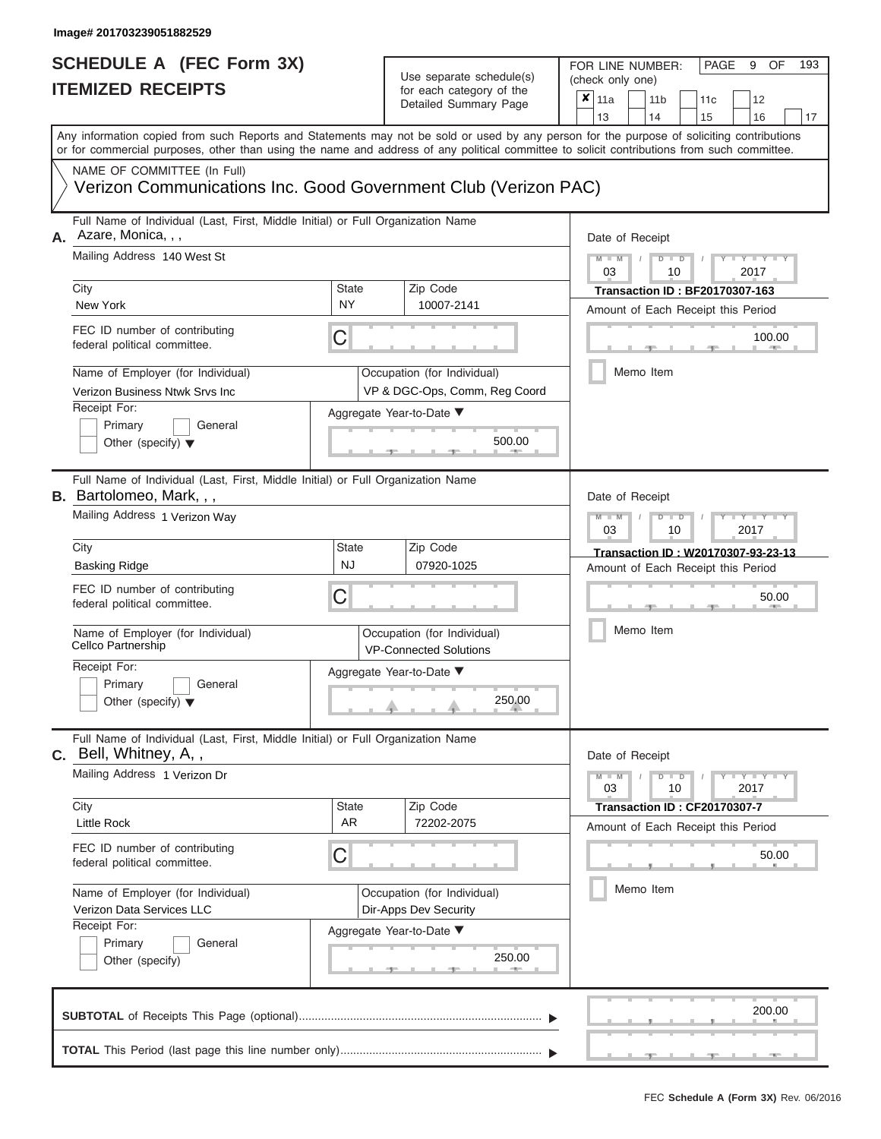# **SCHEDULE A (FEC Form 3X)**

| SCHEDULE A (FEC Form 3X)<br><b>ITEMIZED RECEIPTS</b>                                                                                                |                           | Use separate schedule(s)<br>for each category of the<br>Detailed Summary Page | 193<br>FOR LINE NUMBER:<br>PAGE<br>OF<br>9<br>(check only one)<br>$\boldsymbol{x}$<br>11a<br>11 <sub>b</sub><br>12<br>11c                                               |
|-----------------------------------------------------------------------------------------------------------------------------------------------------|---------------------------|-------------------------------------------------------------------------------|-------------------------------------------------------------------------------------------------------------------------------------------------------------------------|
|                                                                                                                                                     |                           |                                                                               | 13<br>14<br>15<br>16<br>17<br>Any information copied from such Reports and Statements may not be sold or used by any person for the purpose of soliciting contributions |
| or for commercial purposes, other than using the name and address of any political committee to solicit contributions from such committee.          |                           |                                                                               |                                                                                                                                                                         |
| NAME OF COMMITTEE (In Full)<br>Verizon Communications Inc. Good Government Club (Verizon PAC)                                                       |                           |                                                                               |                                                                                                                                                                         |
| Full Name of Individual (Last, First, Middle Initial) or Full Organization Name<br>Azare, Monica, , ,<br>А.                                         |                           |                                                                               | Date of Receipt                                                                                                                                                         |
| Mailing Address 140 West St<br>City                                                                                                                 | <b>State</b>              | Zip Code                                                                      | $M - M$<br>$D$ $D$<br>Y I Y I<br>03<br>2017<br>10                                                                                                                       |
| New York                                                                                                                                            | <b>NY</b>                 | 10007-2141                                                                    | Transaction ID : BF20170307-163<br>Amount of Each Receipt this Period                                                                                                   |
| FEC ID number of contributing<br>federal political committee.                                                                                       | C                         |                                                                               | 100.00<br><b>AND IN</b>                                                                                                                                                 |
| Name of Employer (for Individual)<br>Verizon Business Ntwk Srvs Inc                                                                                 |                           | Occupation (for Individual)<br>VP & DGC-Ops, Comm, Reg Coord                  | Memo Item                                                                                                                                                               |
| Receipt For:<br>Primary<br>General<br>Other (specify) $\blacktriangledown$                                                                          |                           | Aggregate Year-to-Date ▼<br>500.00                                            |                                                                                                                                                                         |
| Full Name of Individual (Last, First, Middle Initial) or Full Organization Name<br><b>B.</b> Bartolomeo, Mark, , ,<br>Mailing Address 1 Verizon Way |                           |                                                                               | Date of Receipt                                                                                                                                                         |
|                                                                                                                                                     |                           |                                                                               | $M - M$<br>$D$ $D$<br>Y TY<br>2017<br>03<br>10                                                                                                                          |
| City<br><b>Basking Ridge</b>                                                                                                                        | <b>State</b><br><b>NJ</b> | Zip Code<br>07920-1025                                                        | Transaction ID: W20170307-93-23-13<br>Amount of Each Receipt this Period                                                                                                |
| FEC ID number of contributing<br>federal political committee.                                                                                       | C                         |                                                                               | 50.00                                                                                                                                                                   |
| Name of Employer (for Individual)<br>Cellco Partnership                                                                                             |                           | Occupation (for Individual)<br><b>VP-Connected Solutions</b>                  | Memo Item                                                                                                                                                               |
| Receipt For:                                                                                                                                        |                           | Aggregate Year-to-Date ▼                                                      |                                                                                                                                                                         |
| Primary<br>General<br>Other (specify) $\blacktriangledown$                                                                                          |                           | 250.00                                                                        |                                                                                                                                                                         |
| Full Name of Individual (Last, First, Middle Initial) or Full Organization Name<br>C. Bell, Whitney, A,,                                            |                           |                                                                               | Date of Receipt                                                                                                                                                         |
| Mailing Address 1 Verizon Dr                                                                                                                        |                           |                                                                               | $M - M$<br>$D$ $D$<br>$\mathbf{I} = \mathbf{Y} - \mathbf{I} - \mathbf{Y} - \mathbf{I}$<br>03<br>10<br>2017                                                              |
| City<br><b>Little Rock</b>                                                                                                                          | <b>State</b><br><b>AR</b> | Zip Code<br>72202-2075                                                        | Transaction ID: CF20170307-7<br>Amount of Each Receipt this Period                                                                                                      |
| FEC ID number of contributing<br>federal political committee.                                                                                       | C                         |                                                                               | 50.00                                                                                                                                                                   |
| Name of Employer (for Individual)<br>Verizon Data Services LLC                                                                                      |                           | Occupation (for Individual)<br>Dir-Apps Dev Security                          | Memo Item                                                                                                                                                               |
| Receipt For:<br>Primary<br>General<br>Other (specify)                                                                                               |                           | Aggregate Year-to-Date ▼<br>250.00                                            |                                                                                                                                                                         |
|                                                                                                                                                     |                           |                                                                               | 200.00                                                                                                                                                                  |
|                                                                                                                                                     |                           |                                                                               |                                                                                                                                                                         |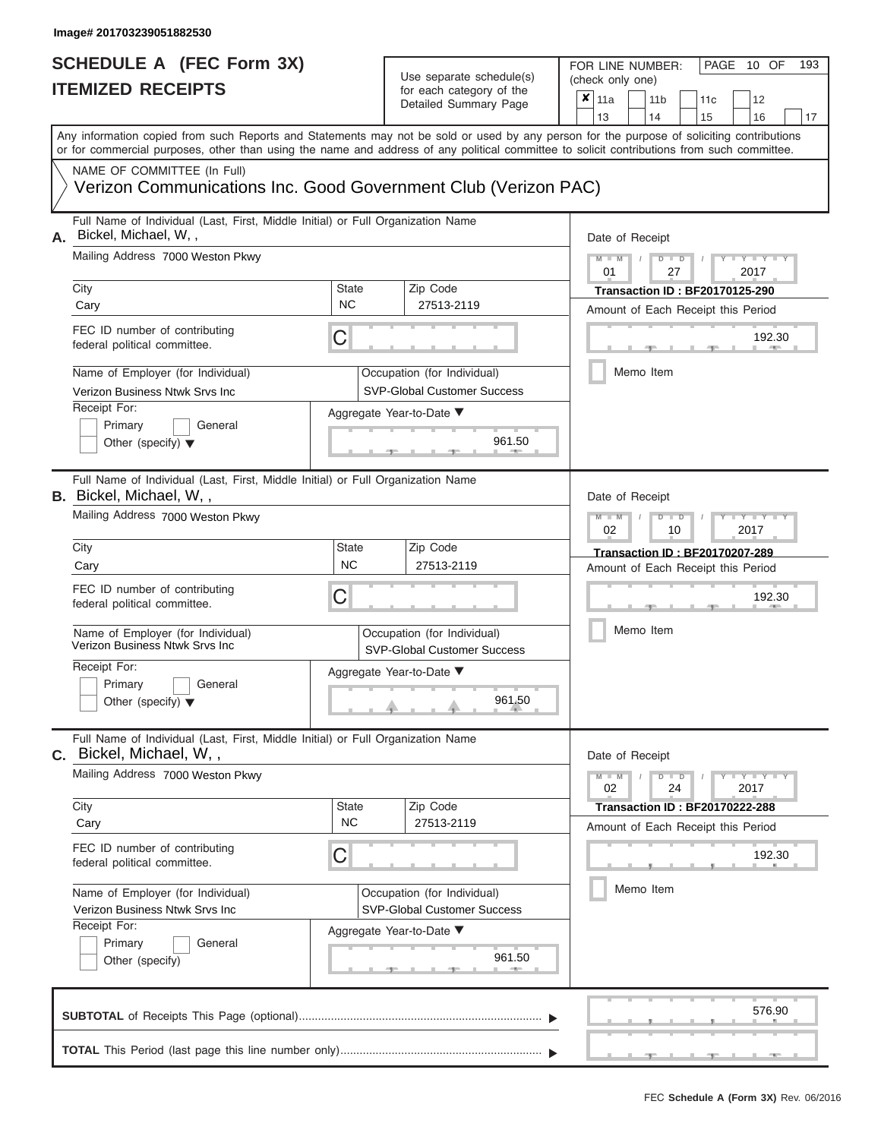| SCHEDULE A (FEC Form 3X)<br><b>ITEMIZED RECEIPTS</b>                                                                                                                                                                                                                                                                                                                                    |                         | Use separate schedule(s)<br>for each category of the<br>Detailed Summary Page                                                     | 193<br>FOR LINE NUMBER:<br>PAGE 10 OF<br>(check only one)<br>$\overline{\mathbf{x}}$   11a<br>11 <sub>b</sub><br>11 <sub>c</sub><br>12                                                    |
|-----------------------------------------------------------------------------------------------------------------------------------------------------------------------------------------------------------------------------------------------------------------------------------------------------------------------------------------------------------------------------------------|-------------------------|-----------------------------------------------------------------------------------------------------------------------------------|-------------------------------------------------------------------------------------------------------------------------------------------------------------------------------------------|
| Any information copied from such Reports and Statements may not be sold or used by any person for the purpose of soliciting contributions<br>or for commercial purposes, other than using the name and address of any political committee to solicit contributions from such committee.<br>NAME OF COMMITTEE (In Full)                                                                  |                         |                                                                                                                                   | 13<br>14<br>15<br>16<br>17                                                                                                                                                                |
| Verizon Communications Inc. Good Government Club (Verizon PAC)                                                                                                                                                                                                                                                                                                                          |                         |                                                                                                                                   |                                                                                                                                                                                           |
| Full Name of Individual (Last, First, Middle Initial) or Full Organization Name<br>Bickel, Michael, W,,<br>А.<br>Mailing Address 7000 Weston Pkwy<br>City<br>Cary<br>FEC ID number of contributing<br>federal political committee.<br>Name of Employer (for Individual)<br>Verizon Business Ntwk Srvs Inc<br>Receipt For:<br>Primary<br>General<br>Other (specify) $\blacktriangledown$ | State<br><b>NC</b><br>C | Zip Code<br>27513-2119<br>Occupation (for Individual)<br><b>SVP-Global Customer Success</b><br>Aggregate Year-to-Date ▼<br>961.50 | Date of Receipt<br>$M - M$ /<br>$D$ $D$<br>Y TY T<br>01<br>27<br>2017<br><b>Transaction ID: BF20170125-290</b><br>Amount of Each Receipt this Period<br>192.30<br><b>AND</b><br>Memo Item |
| Full Name of Individual (Last, First, Middle Initial) or Full Organization Name<br><b>B.</b> Bickel, Michael, W,,<br>Mailing Address 7000 Weston Pkwy<br>City                                                                                                                                                                                                                           | <b>State</b>            | Zip Code                                                                                                                          | Date of Receipt<br>$M - M$<br>$D$ $D$<br>Y Y I<br>02<br>2017<br>10<br>Transaction ID: BF20170207-289                                                                                      |
| Cary<br>FEC ID number of contributing<br>federal political committee.<br>Name of Employer (for Individual)<br>Verizon Business Ntwk Srvs Inc<br>Receipt For:<br>Primary<br>General<br>Other (specify) $\blacktriangledown$                                                                                                                                                              | <b>NC</b><br>С          | 27513-2119<br>Occupation (for Individual)<br><b>SVP-Global Customer Success</b><br>Aggregate Year-to-Date ▼<br>961.50             | Amount of Each Receipt this Period<br>192.30<br>Memo Item                                                                                                                                 |
| Full Name of Individual (Last, First, Middle Initial) or Full Organization Name<br>C. Bickel, Michael, W,,<br>Mailing Address 7000 Weston Pkwy                                                                                                                                                                                                                                          |                         |                                                                                                                                   | Date of Receipt<br>$M - M$<br>$D$ $D$<br>$T - Y - T - Y - T - Y$<br>02<br>24<br>2017                                                                                                      |
| City<br>Cary<br>FEC ID number of contributing<br>federal political committee.<br>Name of Employer (for Individual)<br>Verizon Business Ntwk Srvs Inc                                                                                                                                                                                                                                    | State<br><b>NC</b><br>С | Zip Code<br>27513-2119<br>Occupation (for Individual)<br>SVP-Global Customer Success                                              | Transaction ID: BF20170222-288<br>Amount of Each Receipt this Period<br>192.30<br>Memo Item                                                                                               |
| Receipt For:<br>General<br>Primary<br>Other (specify)                                                                                                                                                                                                                                                                                                                                   |                         | Aggregate Year-to-Date ▼<br>961.50                                                                                                |                                                                                                                                                                                           |
|                                                                                                                                                                                                                                                                                                                                                                                         |                         |                                                                                                                                   | 576.90                                                                                                                                                                                    |
|                                                                                                                                                                                                                                                                                                                                                                                         |                         |                                                                                                                                   | $-1$                                                                                                                                                                                      |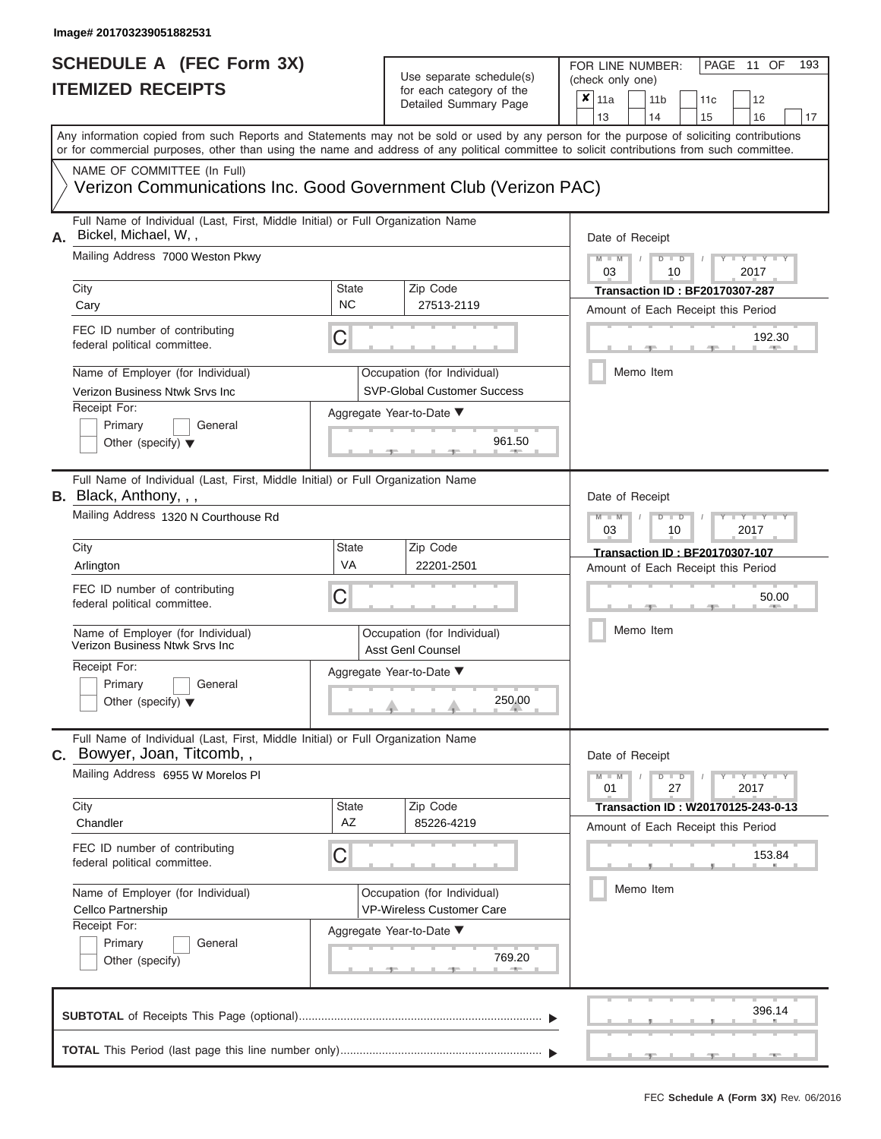FOR LINE NUMBER:<br>(check only one)

PAGE 11 OF 193

|    | IILMILLU I\LVLII IJ                                                                                              | iul cauli calcyuly ul lile<br>×<br>12<br>11a<br>11 <sub>b</sub><br>11c<br>Detailed Summary Page<br>13<br>14<br>15<br>16<br>Any information copied from such Reports and Statements may not be sold or used by any person for the purpose of soliciting contributions<br>or for commercial purposes, other than using the name and address of any political committee to solicit contributions from such committee.<br>Verizon Communications Inc. Good Government Club (Verizon PAC)<br>Date of Receipt<br>$M - M$<br>$D$ $D$<br>03<br>2017<br>10<br>Zip Code<br><b>State</b><br><b>Transaction ID: BF20170307-287</b><br><b>NC</b><br>27513-2119<br>Amount of Each Receipt this Period<br>C<br>192.30<br>Memo Item<br>Occupation (for Individual)<br><b>SVP-Global Customer Success</b><br>Aggregate Year-to-Date ▼<br>961.50<br>Date of Receipt<br>$M - M$<br>Y<br>$\overline{\mathsf{D}}$<br>$\blacksquare$<br>03<br>2017<br>10<br>Zip Code<br>State<br><b>Transaction ID: BF20170307-107</b><br>VA<br>22201-2501<br>Amount of Each Receipt this Period<br>C<br>50.00<br>Memo Item<br>Occupation (for Individual)<br><b>Asst Genl Counsel</b><br>Aggregate Year-to-Date ▼<br>250.00<br>Date of Receipt<br>$M - M$<br>$Y = Y = Y$<br>$D$ $D$<br>01<br>27<br>2017<br>Zip Code<br><b>State</b><br>Transaction ID: W20170125-243-0-13<br>AZ<br>85226-4219<br>Amount of Each Receipt this Period<br>С<br>153.84<br>Memo Item<br>Occupation (for Individual)<br>VP-Wireless Customer Care |                          |  |  |  |  |  |  |        |    |  |  |
|----|------------------------------------------------------------------------------------------------------------------|----------------------------------------------------------------------------------------------------------------------------------------------------------------------------------------------------------------------------------------------------------------------------------------------------------------------------------------------------------------------------------------------------------------------------------------------------------------------------------------------------------------------------------------------------------------------------------------------------------------------------------------------------------------------------------------------------------------------------------------------------------------------------------------------------------------------------------------------------------------------------------------------------------------------------------------------------------------------------------------------------------------------------------------------------------------------------------------------------------------------------------------------------------------------------------------------------------------------------------------------------------------------------------------------------------------------------------------------------------------------------------------------------------------------------------------------------------------------------------------|--------------------------|--|--|--|--|--|--|--------|----|--|--|
|    |                                                                                                                  |                                                                                                                                                                                                                                                                                                                                                                                                                                                                                                                                                                                                                                                                                                                                                                                                                                                                                                                                                                                                                                                                                                                                                                                                                                                                                                                                                                                                                                                                                        |                          |  |  |  |  |  |  |        | 17 |  |  |
|    |                                                                                                                  |                                                                                                                                                                                                                                                                                                                                                                                                                                                                                                                                                                                                                                                                                                                                                                                                                                                                                                                                                                                                                                                                                                                                                                                                                                                                                                                                                                                                                                                                                        |                          |  |  |  |  |  |  |        |    |  |  |
|    | NAME OF COMMITTEE (In Full)                                                                                      |                                                                                                                                                                                                                                                                                                                                                                                                                                                                                                                                                                                                                                                                                                                                                                                                                                                                                                                                                                                                                                                                                                                                                                                                                                                                                                                                                                                                                                                                                        |                          |  |  |  |  |  |  |        |    |  |  |
|    |                                                                                                                  |                                                                                                                                                                                                                                                                                                                                                                                                                                                                                                                                                                                                                                                                                                                                                                                                                                                                                                                                                                                                                                                                                                                                                                                                                                                                                                                                                                                                                                                                                        |                          |  |  |  |  |  |  |        |    |  |  |
| А. | Full Name of Individual (Last, First, Middle Initial) or Full Organization Name<br>Bickel, Michael, W,,          |                                                                                                                                                                                                                                                                                                                                                                                                                                                                                                                                                                                                                                                                                                                                                                                                                                                                                                                                                                                                                                                                                                                                                                                                                                                                                                                                                                                                                                                                                        |                          |  |  |  |  |  |  |        |    |  |  |
|    | Mailing Address 7000 Weston Pkwy                                                                                 |                                                                                                                                                                                                                                                                                                                                                                                                                                                                                                                                                                                                                                                                                                                                                                                                                                                                                                                                                                                                                                                                                                                                                                                                                                                                                                                                                                                                                                                                                        |                          |  |  |  |  |  |  |        |    |  |  |
|    | City                                                                                                             |                                                                                                                                                                                                                                                                                                                                                                                                                                                                                                                                                                                                                                                                                                                                                                                                                                                                                                                                                                                                                                                                                                                                                                                                                                                                                                                                                                                                                                                                                        |                          |  |  |  |  |  |  |        |    |  |  |
|    | Cary                                                                                                             |                                                                                                                                                                                                                                                                                                                                                                                                                                                                                                                                                                                                                                                                                                                                                                                                                                                                                                                                                                                                                                                                                                                                                                                                                                                                                                                                                                                                                                                                                        |                          |  |  |  |  |  |  |        |    |  |  |
|    | FEC ID number of contributing<br>federal political committee.                                                    |                                                                                                                                                                                                                                                                                                                                                                                                                                                                                                                                                                                                                                                                                                                                                                                                                                                                                                                                                                                                                                                                                                                                                                                                                                                                                                                                                                                                                                                                                        |                          |  |  |  |  |  |  |        |    |  |  |
|    | Name of Employer (for Individual)<br>Verizon Business Ntwk Srvs Inc                                              |                                                                                                                                                                                                                                                                                                                                                                                                                                                                                                                                                                                                                                                                                                                                                                                                                                                                                                                                                                                                                                                                                                                                                                                                                                                                                                                                                                                                                                                                                        |                          |  |  |  |  |  |  |        |    |  |  |
|    | Receipt For:                                                                                                     |                                                                                                                                                                                                                                                                                                                                                                                                                                                                                                                                                                                                                                                                                                                                                                                                                                                                                                                                                                                                                                                                                                                                                                                                                                                                                                                                                                                                                                                                                        |                          |  |  |  |  |  |  |        |    |  |  |
|    | Primary<br>General                                                                                               |                                                                                                                                                                                                                                                                                                                                                                                                                                                                                                                                                                                                                                                                                                                                                                                                                                                                                                                                                                                                                                                                                                                                                                                                                                                                                                                                                                                                                                                                                        |                          |  |  |  |  |  |  |        |    |  |  |
|    | Other (specify) $\blacktriangledown$                                                                             |                                                                                                                                                                                                                                                                                                                                                                                                                                                                                                                                                                                                                                                                                                                                                                                                                                                                                                                                                                                                                                                                                                                                                                                                                                                                                                                                                                                                                                                                                        |                          |  |  |  |  |  |  |        |    |  |  |
|    | Full Name of Individual (Last, First, Middle Initial) or Full Organization Name<br><b>B.</b> Black, Anthony, , , |                                                                                                                                                                                                                                                                                                                                                                                                                                                                                                                                                                                                                                                                                                                                                                                                                                                                                                                                                                                                                                                                                                                                                                                                                                                                                                                                                                                                                                                                                        |                          |  |  |  |  |  |  |        |    |  |  |
|    | Mailing Address 1320 N Courthouse Rd                                                                             |                                                                                                                                                                                                                                                                                                                                                                                                                                                                                                                                                                                                                                                                                                                                                                                                                                                                                                                                                                                                                                                                                                                                                                                                                                                                                                                                                                                                                                                                                        |                          |  |  |  |  |  |  |        |    |  |  |
|    | City                                                                                                             |                                                                                                                                                                                                                                                                                                                                                                                                                                                                                                                                                                                                                                                                                                                                                                                                                                                                                                                                                                                                                                                                                                                                                                                                                                                                                                                                                                                                                                                                                        |                          |  |  |  |  |  |  |        |    |  |  |
|    | Arlington                                                                                                        |                                                                                                                                                                                                                                                                                                                                                                                                                                                                                                                                                                                                                                                                                                                                                                                                                                                                                                                                                                                                                                                                                                                                                                                                                                                                                                                                                                                                                                                                                        |                          |  |  |  |  |  |  |        |    |  |  |
|    | FEC ID number of contributing<br>federal political committee.                                                    |                                                                                                                                                                                                                                                                                                                                                                                                                                                                                                                                                                                                                                                                                                                                                                                                                                                                                                                                                                                                                                                                                                                                                                                                                                                                                                                                                                                                                                                                                        |                          |  |  |  |  |  |  |        |    |  |  |
|    | Name of Employer (for Individual)<br>Verizon Business Ntwk Srvs Inc                                              |                                                                                                                                                                                                                                                                                                                                                                                                                                                                                                                                                                                                                                                                                                                                                                                                                                                                                                                                                                                                                                                                                                                                                                                                                                                                                                                                                                                                                                                                                        |                          |  |  |  |  |  |  |        |    |  |  |
|    | Receipt For:                                                                                                     |                                                                                                                                                                                                                                                                                                                                                                                                                                                                                                                                                                                                                                                                                                                                                                                                                                                                                                                                                                                                                                                                                                                                                                                                                                                                                                                                                                                                                                                                                        |                          |  |  |  |  |  |  |        |    |  |  |
|    | Primary<br>General<br>Other (specify) $\blacktriangledown$                                                       |                                                                                                                                                                                                                                                                                                                                                                                                                                                                                                                                                                                                                                                                                                                                                                                                                                                                                                                                                                                                                                                                                                                                                                                                                                                                                                                                                                                                                                                                                        |                          |  |  |  |  |  |  |        |    |  |  |
| С. | Full Name of Individual (Last, First, Middle Initial) or Full Organization Name<br>Bowyer, Joan, Titcomb,,       |                                                                                                                                                                                                                                                                                                                                                                                                                                                                                                                                                                                                                                                                                                                                                                                                                                                                                                                                                                                                                                                                                                                                                                                                                                                                                                                                                                                                                                                                                        |                          |  |  |  |  |  |  |        |    |  |  |
|    | Mailing Address 6955 W Morelos PI                                                                                |                                                                                                                                                                                                                                                                                                                                                                                                                                                                                                                                                                                                                                                                                                                                                                                                                                                                                                                                                                                                                                                                                                                                                                                                                                                                                                                                                                                                                                                                                        |                          |  |  |  |  |  |  |        |    |  |  |
|    | City                                                                                                             |                                                                                                                                                                                                                                                                                                                                                                                                                                                                                                                                                                                                                                                                                                                                                                                                                                                                                                                                                                                                                                                                                                                                                                                                                                                                                                                                                                                                                                                                                        |                          |  |  |  |  |  |  |        |    |  |  |
|    | Chandler                                                                                                         |                                                                                                                                                                                                                                                                                                                                                                                                                                                                                                                                                                                                                                                                                                                                                                                                                                                                                                                                                                                                                                                                                                                                                                                                                                                                                                                                                                                                                                                                                        |                          |  |  |  |  |  |  |        |    |  |  |
|    | FEC ID number of contributing<br>federal political committee.                                                    |                                                                                                                                                                                                                                                                                                                                                                                                                                                                                                                                                                                                                                                                                                                                                                                                                                                                                                                                                                                                                                                                                                                                                                                                                                                                                                                                                                                                                                                                                        |                          |  |  |  |  |  |  |        |    |  |  |
|    | Name of Employer (for Individual)<br>Cellco Partnership                                                          |                                                                                                                                                                                                                                                                                                                                                                                                                                                                                                                                                                                                                                                                                                                                                                                                                                                                                                                                                                                                                                                                                                                                                                                                                                                                                                                                                                                                                                                                                        |                          |  |  |  |  |  |  |        |    |  |  |
|    | Receipt For:                                                                                                     |                                                                                                                                                                                                                                                                                                                                                                                                                                                                                                                                                                                                                                                                                                                                                                                                                                                                                                                                                                                                                                                                                                                                                                                                                                                                                                                                                                                                                                                                                        |                          |  |  |  |  |  |  |        |    |  |  |
|    | Primary<br>General                                                                                               |                                                                                                                                                                                                                                                                                                                                                                                                                                                                                                                                                                                                                                                                                                                                                                                                                                                                                                                                                                                                                                                                                                                                                                                                                                                                                                                                                                                                                                                                                        | Aggregate Year-to-Date ▼ |  |  |  |  |  |  |        |    |  |  |
|    | Other (specify)                                                                                                  |                                                                                                                                                                                                                                                                                                                                                                                                                                                                                                                                                                                                                                                                                                                                                                                                                                                                                                                                                                                                                                                                                                                                                                                                                                                                                                                                                                                                                                                                                        | 769.20                   |  |  |  |  |  |  |        |    |  |  |
|    |                                                                                                                  |                                                                                                                                                                                                                                                                                                                                                                                                                                                                                                                                                                                                                                                                                                                                                                                                                                                                                                                                                                                                                                                                                                                                                                                                                                                                                                                                                                                                                                                                                        |                          |  |  |  |  |  |  | 396.14 |    |  |  |
|    |                                                                                                                  |                                                                                                                                                                                                                                                                                                                                                                                                                                                                                                                                                                                                                                                                                                                                                                                                                                                                                                                                                                                                                                                                                                                                                                                                                                                                                                                                                                                                                                                                                        |                          |  |  |  |  |  |  |        |    |  |  |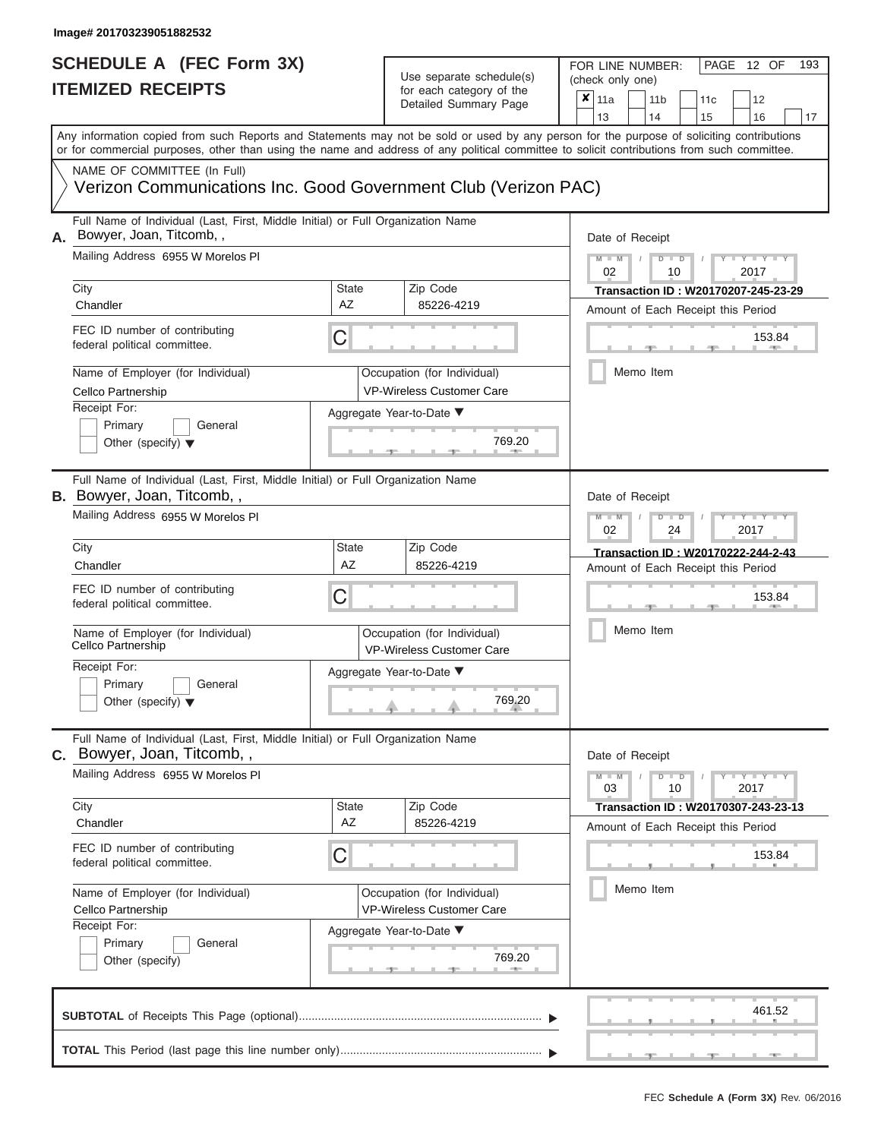ı

## **SCHEDULE A (FEC Form 3X) ITEMIZED RECEIPTS**

| SCHEDULE A (FEC Form 3X)<br><b>ITEMIZED RECEIPTS</b>                                                                                                                                                                                                                                                                                                                                     |                         | Use separate schedule(s)<br>for each category of the<br>Detailed Summary Page                                                   | 193<br>FOR LINE NUMBER:<br>PAGE 12 OF<br>(check only one)<br>$\overline{\mathbf{x}}$   11a<br>11 <sub>b</sub><br>11 <sub>c</sub><br>12<br>13<br>14<br>15<br>16<br>17                                        |
|------------------------------------------------------------------------------------------------------------------------------------------------------------------------------------------------------------------------------------------------------------------------------------------------------------------------------------------------------------------------------------------|-------------------------|---------------------------------------------------------------------------------------------------------------------------------|-------------------------------------------------------------------------------------------------------------------------------------------------------------------------------------------------------------|
| Any information copied from such Reports and Statements may not be sold or used by any person for the purpose of soliciting contributions<br>or for commercial purposes, other than using the name and address of any political committee to solicit contributions from such committee.<br>NAME OF COMMITTEE (In Full)<br>Verizon Communications Inc. Good Government Club (Verizon PAC) |                         |                                                                                                                                 |                                                                                                                                                                                                             |
| Full Name of Individual (Last, First, Middle Initial) or Full Organization Name<br>Bowyer, Joan, Titcomb,,<br>А.<br>Mailing Address 6955 W Morelos PI<br>City<br>Chandler<br>FEC ID number of contributing<br>federal political committee.<br>Name of Employer (for Individual)<br>Cellco Partnership<br>Receipt For:<br>Primary<br>General<br>Other (specify) $\blacktriangledown$      | State<br>AZ<br>C        | Zip Code<br>85226-4219<br>Occupation (for Individual)<br><b>VP-Wireless Customer Care</b><br>Aggregate Year-to-Date ▼<br>769.20 | Date of Receipt<br>$M - M$<br>$Y - Y - Y$<br>$D$ $D$<br>$\sqrt{2}$<br>02<br>2017<br>10<br>Transaction ID: W20170207-245-23-29<br>Amount of Each Receipt this Period<br>153.84<br><b>1. 200</b><br>Memo Item |
| Full Name of Individual (Last, First, Middle Initial) or Full Organization Name<br><b>B.</b> Bowyer, Joan, Titcomb,,<br>Mailing Address 6955 W Morelos Pl<br>City<br>Chandler<br>FEC ID number of contributing<br>federal political committee.<br>Name of Employer (for Individual)<br>Cellco Partnership<br>Receipt For:<br>Primary<br>General<br>Other (specify) $\blacktriangledown$  | State<br><b>AZ</b><br>С | Zip Code<br>85226-4219<br>Occupation (for Individual)<br><b>VP-Wireless Customer Care</b><br>Aggregate Year-to-Date ▼<br>769.20 | Date of Receipt<br>$M - M$<br>Y I Y I<br>$D$ $D$<br>02<br>2017<br>24<br>Transaction ID: W20170222-244-2-43<br>Amount of Each Receipt this Period<br>153.84<br>Memo Item                                     |
| Full Name of Individual (Last, First, Middle Initial) or Full Organization Name<br>Bowyer, Joan, Titcomb,,<br>С.<br>Mailing Address 6955 W Morelos PI<br>City<br>Chandler<br>FEC ID number of contributing<br>federal political committee.<br>Name of Employer (for Individual)<br>Cellco Partnership<br>Receipt For:<br>Primary<br>General<br>Other (specify)                           | State<br>AZ<br>С        | Zip Code<br>85226-4219<br>Occupation (for Individual)<br>VP-Wireless Customer Care<br>Aggregate Year-to-Date ▼<br>769.20        | Date of Receipt<br>$M - M$<br>$D$ $D$<br>$T - Y - T - Y - T - Y$<br>03<br>10<br>2017<br>Transaction ID : W20170307-243-23-13<br>Amount of Each Receipt this Period<br>153.84<br>Memo Item                   |
|                                                                                                                                                                                                                                                                                                                                                                                          |                         |                                                                                                                                 | 461.52                                                                                                                                                                                                      |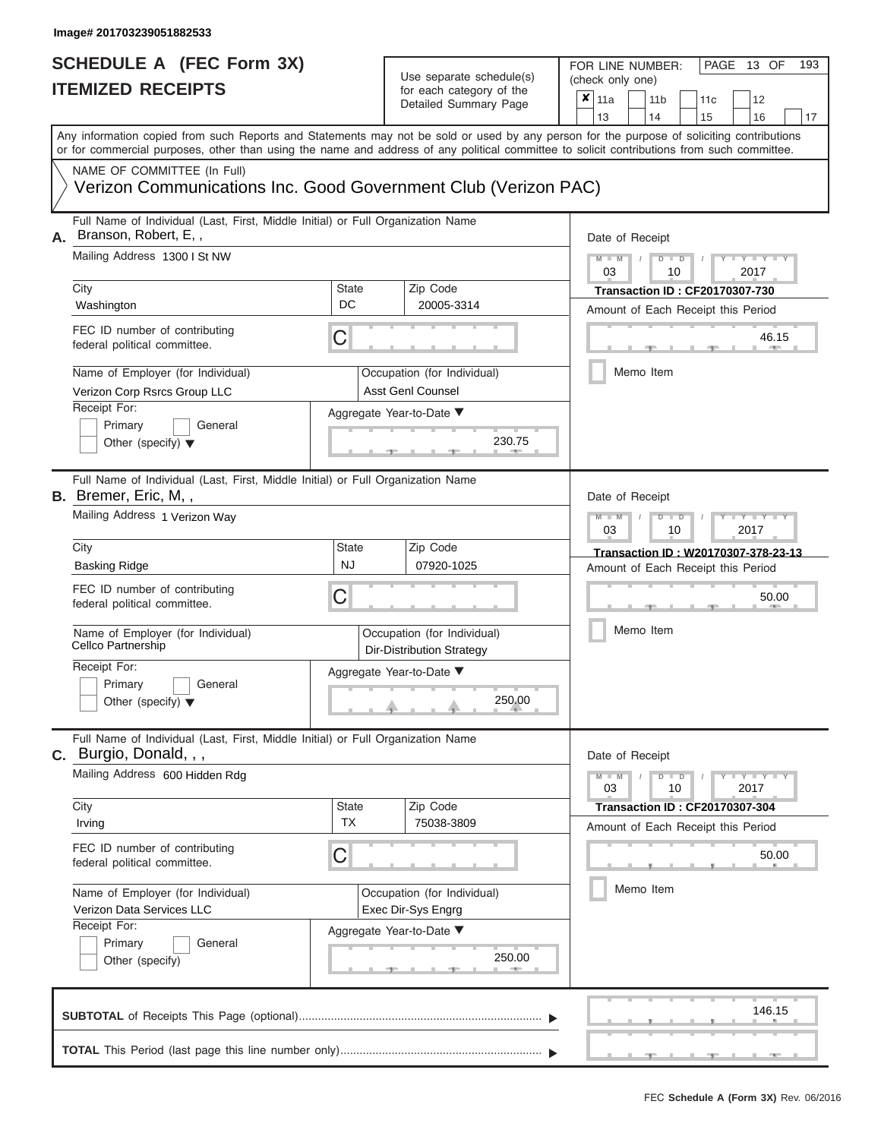| SCHEDULE A (FEC Form 3X)<br><b>ITEMIZED RECEIPTS</b>                                                                                                                                                                                                                                                                                                                                      |                         | Use separate schedule(s)<br>for each category of the<br>Detailed Summary Page                                                   | 193<br>FOR LINE NUMBER:<br>PAGE 13 OF<br>(check only one)<br>$\boldsymbol{x}$<br>11a<br>11 <sub>b</sub><br>12<br>11 <sub>c</sub>                                                            |
|-------------------------------------------------------------------------------------------------------------------------------------------------------------------------------------------------------------------------------------------------------------------------------------------------------------------------------------------------------------------------------------------|-------------------------|---------------------------------------------------------------------------------------------------------------------------------|---------------------------------------------------------------------------------------------------------------------------------------------------------------------------------------------|
| Any information copied from such Reports and Statements may not be sold or used by any person for the purpose of soliciting contributions<br>or for commercial purposes, other than using the name and address of any political committee to solicit contributions from such committee.                                                                                                   |                         |                                                                                                                                 | 13<br>14<br>15<br>16<br>17                                                                                                                                                                  |
| NAME OF COMMITTEE (In Full)<br>Verizon Communications Inc. Good Government Club (Verizon PAC)                                                                                                                                                                                                                                                                                             |                         |                                                                                                                                 |                                                                                                                                                                                             |
| Full Name of Individual (Last, First, Middle Initial) or Full Organization Name<br>Branson, Robert, E,,<br>А.<br>Mailing Address 1300 I St NW<br>City<br>Washington<br>FEC ID number of contributing<br>federal political committee.<br>Name of Employer (for Individual)<br>Verizon Corp Rsrcs Group LLC<br>Receipt For:<br>Primary<br>General<br>Other (specify) $\blacktriangledown$   | State<br>DC<br>С        | Zip Code<br>20005-3314<br>Occupation (for Individual)<br><b>Asst Genl Counsel</b><br>Aggregate Year-to-Date ▼<br>230.75         | Date of Receipt<br>$M - M$ /<br>Y I Y I<br>$D$ $D$<br>03<br>2017<br>10<br><b>Transaction ID: CF20170307-730</b><br>Amount of Each Receipt this Period<br>46.15<br><b>AND A</b><br>Memo Item |
| Full Name of Individual (Last, First, Middle Initial) or Full Organization Name<br><b>B.</b> Bremer, Eric, M,,<br>Mailing Address 1 Verizon Way<br>City<br><b>Basking Ridge</b><br>FEC ID number of contributing<br>federal political committee.<br>Name of Employer (for Individual)<br>Cellco Partnership<br>Receipt For:<br>Primary<br>General<br>Other (specify) $\blacktriangledown$ | State<br><b>NJ</b><br>С | Zip Code<br>07920-1025<br>Occupation (for Individual)<br><b>Dir-Distribution Strategy</b><br>Aggregate Year-to-Date ▼<br>250.00 | Date of Receipt<br>$M - M$<br>Y TYT<br>$D$ $D$<br>03<br>2017<br>10<br>Transaction ID: W20170307-378-23-13<br>Amount of Each Receipt this Period<br>50.00<br>Memo Item                       |
| Full Name of Individual (Last, First, Middle Initial) or Full Organization Name<br>C. Burgio, Donald, , ,<br>Mailing Address 600 Hidden Rdg<br>City<br>Irving<br>FEC ID number of contributing<br>federal political committee.<br>Name of Employer (for Individual)<br>Verizon Data Services LLC<br>Receipt For:<br>Primary<br>General<br>Other (specify)                                 | State<br><b>TX</b><br>С | Zip Code<br>75038-3809<br>Occupation (for Individual)<br>Exec Dir-Sys Engrg<br>Aggregate Year-to-Date ▼<br>250.00               | Date of Receipt<br>$M - M$<br>$D$ $D$<br>$  Y$ $  Y$ $  Y$<br>03<br>10<br>2017<br><b>Transaction ID: CF20170307-304</b><br>Amount of Each Receipt this Period<br>50.00<br>Memo Item         |
|                                                                                                                                                                                                                                                                                                                                                                                           |                         |                                                                                                                                 | 146.15<br>$-1$<br>$-1$                                                                                                                                                                      |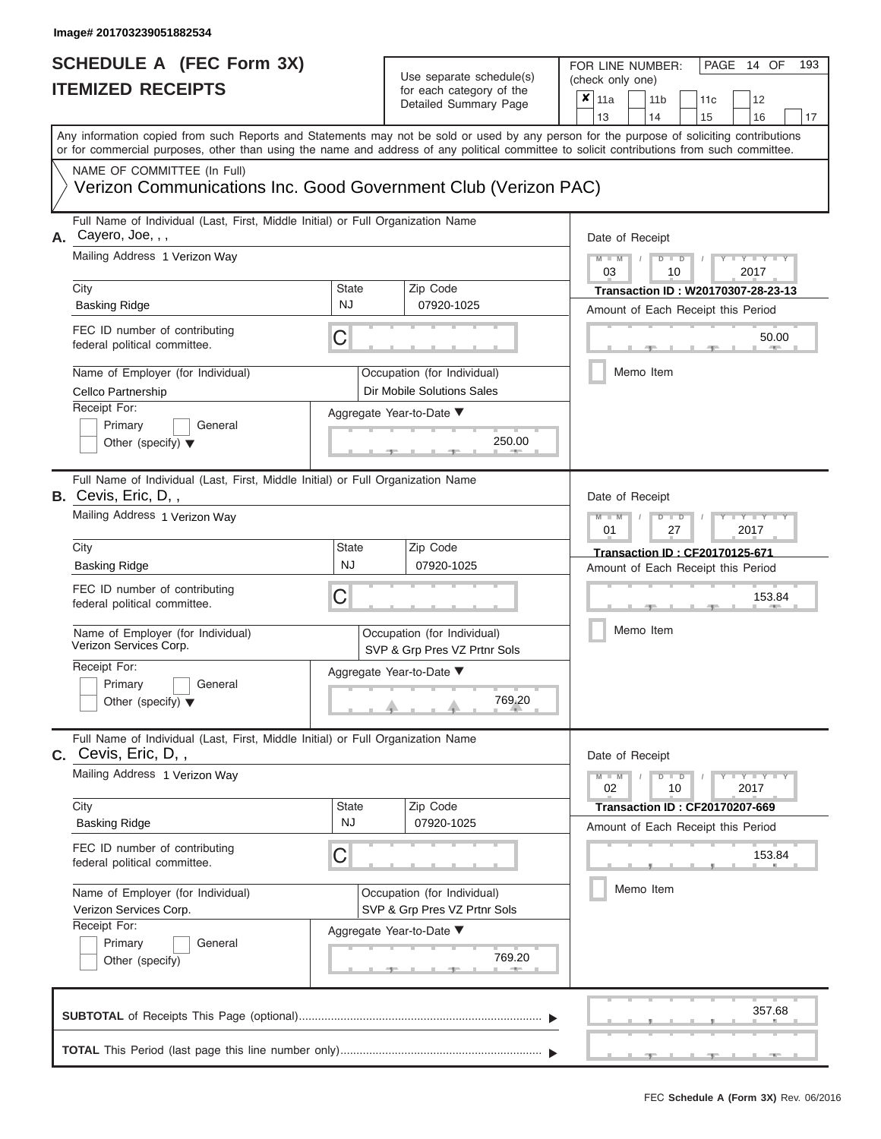#### **SCHEDULE A (FEC Form 3X) ITEMIZED RECEIPTS**

# Use separate schedule(s)  $\frac{1}{\pi}$  for each category of the

FOR LINE NUMBER:<br>(check only one)

PAGE 14 OF 193

|    | IIEMILED REVEIFIJ                                                                                                                                                                                                                                                                       |                                                                                 |                          | for each category of the<br>Detailed Summary Page         | × | 11a                                               |           | 11 <sub>b</sub> |               | 11c                                   |  | 12                          |    |  |  |  |  |  |  |
|----|-----------------------------------------------------------------------------------------------------------------------------------------------------------------------------------------------------------------------------------------------------------------------------------------|---------------------------------------------------------------------------------|--------------------------|-----------------------------------------------------------|---|---------------------------------------------------|-----------|-----------------|---------------|---------------------------------------|--|-----------------------------|----|--|--|--|--|--|--|
|    |                                                                                                                                                                                                                                                                                         |                                                                                 |                          |                                                           |   | 13                                                |           | 14              |               | 15                                    |  | 16                          | 17 |  |  |  |  |  |  |
|    | Any information copied from such Reports and Statements may not be sold or used by any person for the purpose of soliciting contributions<br>or for commercial purposes, other than using the name and address of any political committee to solicit contributions from such committee. |                                                                                 |                          |                                                           |   |                                                   |           |                 |               |                                       |  |                             |    |  |  |  |  |  |  |
|    | NAME OF COMMITTEE (In Full)                                                                                                                                                                                                                                                             |                                                                                 |                          |                                                           |   |                                                   |           |                 |               |                                       |  |                             |    |  |  |  |  |  |  |
|    | Verizon Communications Inc. Good Government Club (Verizon PAC)                                                                                                                                                                                                                          |                                                                                 |                          |                                                           |   |                                                   |           |                 |               |                                       |  |                             |    |  |  |  |  |  |  |
| А. | Cayero, Joe, , ,                                                                                                                                                                                                                                                                        | Full Name of Individual (Last, First, Middle Initial) or Full Organization Name |                          |                                                           |   |                                                   |           |                 |               | Date of Receipt                       |  |                             |    |  |  |  |  |  |  |
|    | Mailing Address 1 Verizon Way                                                                                                                                                                                                                                                           |                                                                                 |                          |                                                           |   | $M - M$<br>Y L Y L<br>$D$ $D$<br>03<br>10<br>2017 |           |                 |               |                                       |  |                             |    |  |  |  |  |  |  |
|    | City                                                                                                                                                                                                                                                                                    | State                                                                           |                          | Zip Code                                                  |   |                                                   |           |                 |               | Transaction ID: W20170307-28-23-13    |  |                             |    |  |  |  |  |  |  |
|    | <b>Basking Ridge</b>                                                                                                                                                                                                                                                                    | <b>NJ</b>                                                                       |                          | 07920-1025                                                |   |                                                   |           |                 |               | Amount of Each Receipt this Period    |  |                             |    |  |  |  |  |  |  |
|    | FEC ID number of contributing<br>federal political committee.                                                                                                                                                                                                                           | C                                                                               |                          |                                                           |   |                                                   |           |                 |               |                                       |  | 50.00                       |    |  |  |  |  |  |  |
|    | Name of Employer (for Individual)<br>Cellco Partnership                                                                                                                                                                                                                                 |                                                                                 |                          | Occupation (for Individual)<br>Dir Mobile Solutions Sales |   |                                                   | Memo Item |                 |               |                                       |  |                             |    |  |  |  |  |  |  |
|    | Receipt For:                                                                                                                                                                                                                                                                            |                                                                                 |                          | Aggregate Year-to-Date ▼                                  |   |                                                   |           |                 |               |                                       |  |                             |    |  |  |  |  |  |  |
|    | Primary<br>General<br>Other (specify) $\blacktriangledown$                                                                                                                                                                                                                              |                                                                                 |                          | 250.00                                                    |   |                                                   |           |                 |               |                                       |  |                             |    |  |  |  |  |  |  |
|    | Full Name of Individual (Last, First, Middle Initial) or Full Organization Name<br><b>B.</b> Cevis, Eric, D,,                                                                                                                                                                           |                                                                                 |                          |                                                           |   | Date of Receipt                                   |           |                 |               |                                       |  |                             |    |  |  |  |  |  |  |
|    | Mailing Address 1 Verizon Way                                                                                                                                                                                                                                                           |                                                                                 |                          |                                                           |   | $M - M$<br>$Y - Y$<br>$D$ $D$<br>01<br>27<br>2017 |           |                 |               |                                       |  |                             |    |  |  |  |  |  |  |
|    | City                                                                                                                                                                                                                                                                                    | State                                                                           | Zip Code                 | <b>Transaction ID: CF20170125-671</b>                     |   |                                                   |           |                 |               |                                       |  |                             |    |  |  |  |  |  |  |
|    | <b>Basking Ridge</b>                                                                                                                                                                                                                                                                    | <b>NJ</b>                                                                       |                          | Amount of Each Receipt this Period                        |   |                                                   |           |                 |               |                                       |  |                             |    |  |  |  |  |  |  |
|    | FEC ID number of contributing<br>federal political committee.                                                                                                                                                                                                                           | С                                                                               |                          |                                                           |   | 153.84                                            |           |                 |               |                                       |  |                             |    |  |  |  |  |  |  |
|    | Name of Employer (for Individual)<br>Verizon Services Corp.                                                                                                                                                                                                                             | Occupation (for Individual)<br>SVP & Grp Pres VZ Prtnr Sols                     |                          | Memo Item                                                 |   |                                                   |           |                 |               |                                       |  |                             |    |  |  |  |  |  |  |
|    | Receipt For:                                                                                                                                                                                                                                                                            |                                                                                 | Aggregate Year-to-Date ▼ |                                                           |   |                                                   |           |                 |               |                                       |  |                             |    |  |  |  |  |  |  |
|    | Primary<br>General<br>Other (specify) $\blacktriangledown$                                                                                                                                                                                                                              |                                                                                 |                          | 769.20                                                    |   |                                                   |           |                 |               |                                       |  |                             |    |  |  |  |  |  |  |
|    | Full Name of Individual (Last, First, Middle Initial) or Full Organization Name<br><b>C.</b> Cevis, Eric, D, ,                                                                                                                                                                          |                                                                                 |                          |                                                           |   | Date of Receipt                                   |           |                 |               |                                       |  |                             |    |  |  |  |  |  |  |
|    | Mailing Address 1 Verizon Way                                                                                                                                                                                                                                                           |                                                                                 |                          |                                                           |   | $M - M$<br>02                                     |           |                 | $D$ $D$<br>10 |                                       |  | $Y - Y - Y - Y - Y$<br>2017 |    |  |  |  |  |  |  |
|    | City                                                                                                                                                                                                                                                                                    | State                                                                           |                          | Zip Code                                                  |   |                                                   |           |                 |               | <b>Transaction ID: CF20170207-669</b> |  |                             |    |  |  |  |  |  |  |
|    | <b>Basking Ridge</b>                                                                                                                                                                                                                                                                    | <b>NJ</b>                                                                       |                          | 07920-1025                                                |   |                                                   |           |                 |               | Amount of Each Receipt this Period    |  |                             |    |  |  |  |  |  |  |
|    | FEC ID number of contributing<br>federal political committee.                                                                                                                                                                                                                           | C                                                                               |                          |                                                           |   |                                                   |           |                 |               |                                       |  | 153.84                      |    |  |  |  |  |  |  |
|    | Name of Employer (for Individual)                                                                                                                                                                                                                                                       |                                                                                 |                          | Occupation (for Individual)                               |   |                                                   | Memo Item |                 |               |                                       |  |                             |    |  |  |  |  |  |  |
|    | Verizon Services Corp.                                                                                                                                                                                                                                                                  |                                                                                 |                          | SVP & Grp Pres VZ Prtnr Sols                              |   |                                                   |           |                 |               |                                       |  |                             |    |  |  |  |  |  |  |
|    | Receipt For:                                                                                                                                                                                                                                                                            |                                                                                 |                          | Aggregate Year-to-Date ▼                                  |   |                                                   |           |                 |               |                                       |  |                             |    |  |  |  |  |  |  |
|    | Primary<br>General                                                                                                                                                                                                                                                                      |                                                                                 |                          |                                                           |   |                                                   |           |                 |               |                                       |  |                             |    |  |  |  |  |  |  |
|    | Other (specify)                                                                                                                                                                                                                                                                         |                                                                                 |                          | 769.20                                                    |   |                                                   |           |                 |               |                                       |  |                             |    |  |  |  |  |  |  |
|    |                                                                                                                                                                                                                                                                                         |                                                                                 |                          |                                                           |   |                                                   |           |                 |               |                                       |  | 357.68                      |    |  |  |  |  |  |  |
|    |                                                                                                                                                                                                                                                                                         |                                                                                 |                          |                                                           |   |                                                   |           |                 |               |                                       |  |                             |    |  |  |  |  |  |  |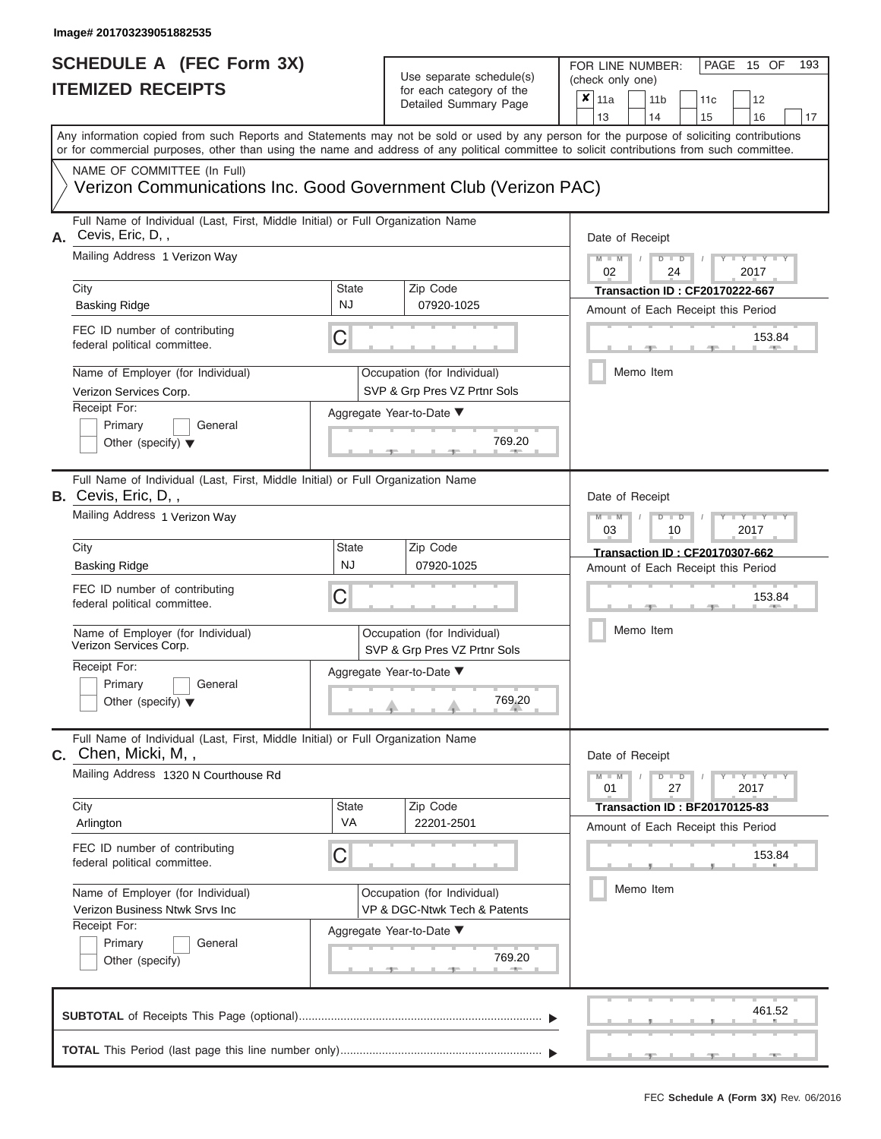# **SCHEDULE A (FEC Form 3X)**

| SCHEDULE A (FEC Form 3X)<br><b>ITEMIZED RECEIPTS</b>                                                                                                                                                                                                                                                                                                                                         |                                | Use separate schedule(s)<br>for each category of the<br>Detailed Summary Page                                               | 193<br>FOR LINE NUMBER:<br>PAGE 15 OF<br>(check only one)<br>$\overline{\mathbf{x}}$   11a<br>11 <sub>b</sub><br>12<br>11c<br>13<br>14<br>15<br>16<br>17                                 |
|----------------------------------------------------------------------------------------------------------------------------------------------------------------------------------------------------------------------------------------------------------------------------------------------------------------------------------------------------------------------------------------------|--------------------------------|-----------------------------------------------------------------------------------------------------------------------------|------------------------------------------------------------------------------------------------------------------------------------------------------------------------------------------|
| Any information copied from such Reports and Statements may not be sold or used by any person for the purpose of soliciting contributions<br>or for commercial purposes, other than using the name and address of any political committee to solicit contributions from such committee.<br>NAME OF COMMITTEE (In Full)<br>Verizon Communications Inc. Good Government Club (Verizon PAC)     |                                |                                                                                                                             |                                                                                                                                                                                          |
| Full Name of Individual (Last, First, Middle Initial) or Full Organization Name<br>A. Cevis, Eric, D,,<br>Mailing Address 1 Verizon Way<br>City<br><b>Basking Ridge</b><br>FEC ID number of contributing<br>federal political committee.<br>Name of Employer (for Individual)<br>Verizon Services Corp.<br>Receipt For:<br>Primary<br>General<br>Other (specify) $\blacktriangledown$        | <b>State</b><br><b>NJ</b><br>C | Zip Code<br>07920-1025<br>Occupation (for Individual)<br>SVP & Grp Pres VZ Prtnr Sols<br>Aggregate Year-to-Date ▼<br>769.20 | Date of Receipt<br>$M - M$<br>$D$ $D$<br>Y I Y I<br>$\sqrt{2}$<br>02<br>24<br>2017<br><b>Transaction ID: CF20170222-667</b><br>Amount of Each Receipt this Period<br>153.84<br>Memo Item |
| Full Name of Individual (Last, First, Middle Initial) or Full Organization Name<br><b>B.</b> Cevis, Eric, D,,<br>Mailing Address 1 Verizon Way<br>City<br><b>Basking Ridge</b><br>FEC ID number of contributing<br>federal political committee.<br>Name of Employer (for Individual)<br>Verizon Services Corp.<br>Receipt For:<br>Primary<br>General<br>Other (specify) $\blacktriangledown$ | State<br><b>NJ</b><br>С        | Zip Code<br>07920-1025<br>Occupation (for Individual)<br>SVP & Grp Pres VZ Prtnr Sols<br>Aggregate Year-to-Date ▼<br>769.20 | Date of Receipt<br>$M - M$<br>$D$ $\Box$ $D$<br>Y TY<br>03<br>2017<br>10<br><b>Transaction ID: CF20170307-662</b><br>Amount of Each Receipt this Period<br>153.84<br>Memo Item           |
| Full Name of Individual (Last, First, Middle Initial) or Full Organization Name<br>$C.$ Chen, Micki, M, ,<br>Mailing Address 1320 N Courthouse Rd<br>City<br>Arlington<br>FEC ID number of contributing<br>federal political committee.<br>Name of Employer (for Individual)<br>Verizon Business Ntwk Srvs Inc<br>Receipt For:<br>General<br>Primary<br>Other (specify)                      | <b>State</b><br><b>VA</b><br>С | Zip Code<br>22201-2501<br>Occupation (for Individual)<br>VP & DGC-Ntwk Tech & Patents<br>Aggregate Year-to-Date ▼<br>769.20 | Date of Receipt<br>$M - M$<br>$D$ $D$<br>$T - Y = T - Y$<br>01<br>27<br>2017<br><b>Transaction ID: BF20170125-83</b><br>Amount of Each Receipt this Period<br>153.84<br>Memo Item        |
|                                                                                                                                                                                                                                                                                                                                                                                              |                                |                                                                                                                             | 461.52                                                                                                                                                                                   |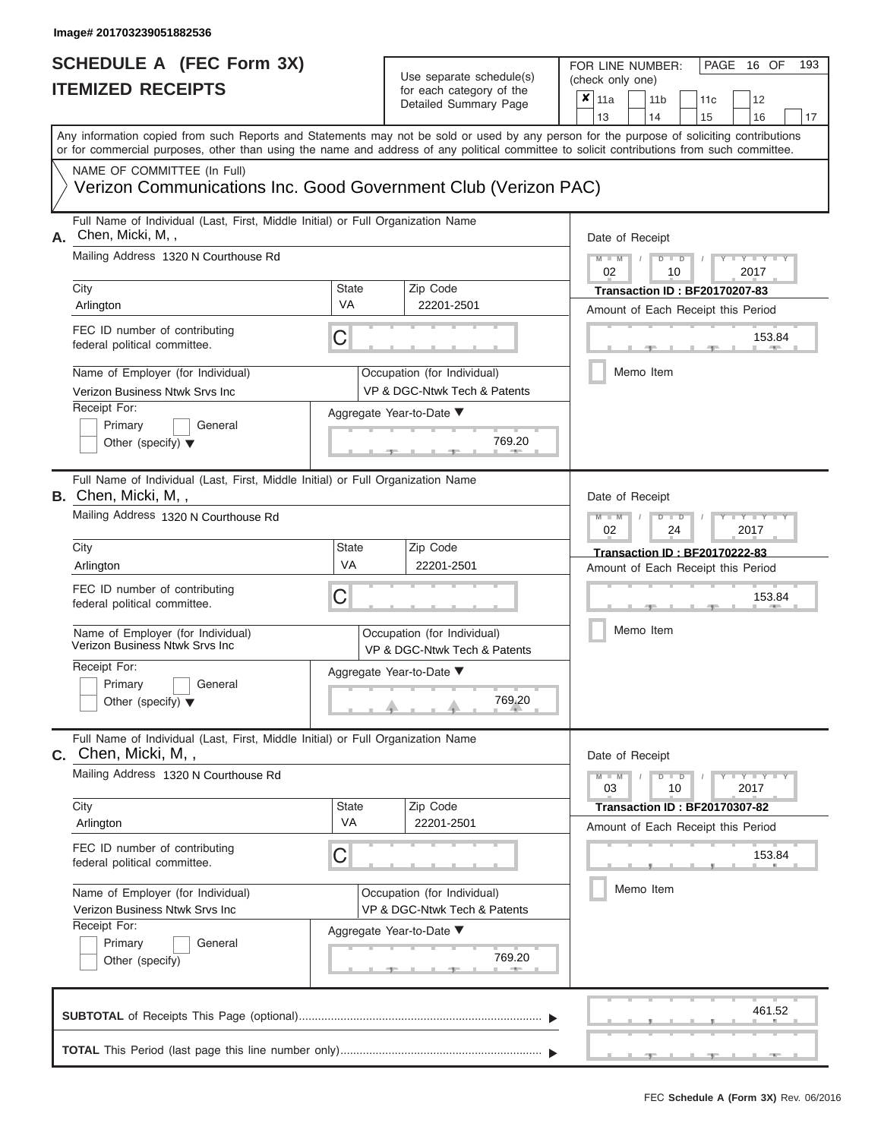| SCHEDULE A (FEC Form 3X)<br><b>ITEMIZED RECEIPTS</b>                                                                                                                                                                                                                                                                                                                                             |                         | Use separate schedule(s)<br>for each category of the<br>Detailed Summary Page                                               | 193<br>FOR LINE NUMBER:<br>PAGE 16 OF<br>(check only one)<br>$\overline{\mathbf{x}}$   11a<br>11 <sub>b</sub><br>11 <sub>c</sub><br>12                                                               |
|--------------------------------------------------------------------------------------------------------------------------------------------------------------------------------------------------------------------------------------------------------------------------------------------------------------------------------------------------------------------------------------------------|-------------------------|-----------------------------------------------------------------------------------------------------------------------------|------------------------------------------------------------------------------------------------------------------------------------------------------------------------------------------------------|
| Any information copied from such Reports and Statements may not be sold or used by any person for the purpose of soliciting contributions<br>or for commercial purposes, other than using the name and address of any political committee to solicit contributions from such committee.<br>NAME OF COMMITTEE (In Full)<br>Verizon Communications Inc. Good Government Club (Verizon PAC)         |                         |                                                                                                                             | 13<br>14<br>15<br>16<br>17                                                                                                                                                                           |
| Full Name of Individual (Last, First, Middle Initial) or Full Organization Name<br>Chen, Micki, M,,<br>А.<br>Mailing Address 1320 N Courthouse Rd<br>City<br>Arlington<br>FEC ID number of contributing<br>federal political committee.<br>Name of Employer (for Individual)<br>Verizon Business Ntwk Srvs Inc<br>Receipt For:<br>Primary<br>General<br>Other (specify) $\blacktriangledown$     | State<br><b>VA</b><br>C | Zip Code<br>22201-2501<br>Occupation (for Individual)<br>VP & DGC-Ntwk Tech & Patents<br>Aggregate Year-to-Date ▼<br>769.20 | Date of Receipt<br>$M - M$<br>$D$ $D$<br>Y TY T<br>$\sqrt{2}$<br>02<br>2017<br>10<br><b>Transaction ID: BF20170207-83</b><br>Amount of Each Receipt this Period<br>153.84<br><b>AND</b><br>Memo Item |
| Full Name of Individual (Last, First, Middle Initial) or Full Organization Name<br><b>B.</b> Chen, Micki, M,,<br>Mailing Address 1320 N Courthouse Rd<br>City<br>Arlington<br>FEC ID number of contributing<br>federal political committee.<br>Name of Employer (for Individual)<br>Verizon Business Ntwk Srvs Inc<br>Receipt For:<br>Primary<br>General<br>Other (specify) $\blacktriangledown$ | <b>State</b><br>VA<br>С | Zip Code<br>22201-2501<br>Occupation (for Individual)<br>VP & DGC-Ntwk Tech & Patents<br>Aggregate Year-to-Date ▼<br>769.20 | Date of Receipt<br>$M - M$<br>$D$ $D$<br>Y L Y L<br>02<br>2017<br>24<br><b>Transaction ID: BF20170222-83</b><br>Amount of Each Receipt this Period<br>153.84<br>Memo Item                            |
| Full Name of Individual (Last, First, Middle Initial) or Full Organization Name<br>C. Chen, Micki, M,,<br>Mailing Address 1320 N Courthouse Rd<br>City<br>Arlington<br>FEC ID number of contributing<br>federal political committee.<br>Name of Employer (for Individual)<br>Verizon Business Ntwk Srvs Inc<br>Receipt For:<br>Primary<br>General<br>Other (specify)                             | State<br><b>VA</b><br>С | Zip Code<br>22201-2501<br>Occupation (for Individual)<br>VP & DGC-Ntwk Tech & Patents<br>Aggregate Year-to-Date ▼<br>769.20 | Date of Receipt<br>$M - M$<br>$D$ $D$<br>$+Y+Y+Y$<br>03<br>10<br>2017<br><b>Transaction ID: BF20170307-82</b><br>Amount of Each Receipt this Period<br>153.84<br>Memo Item                           |
|                                                                                                                                                                                                                                                                                                                                                                                                  |                         |                                                                                                                             | 461.52                                                                                                                                                                                               |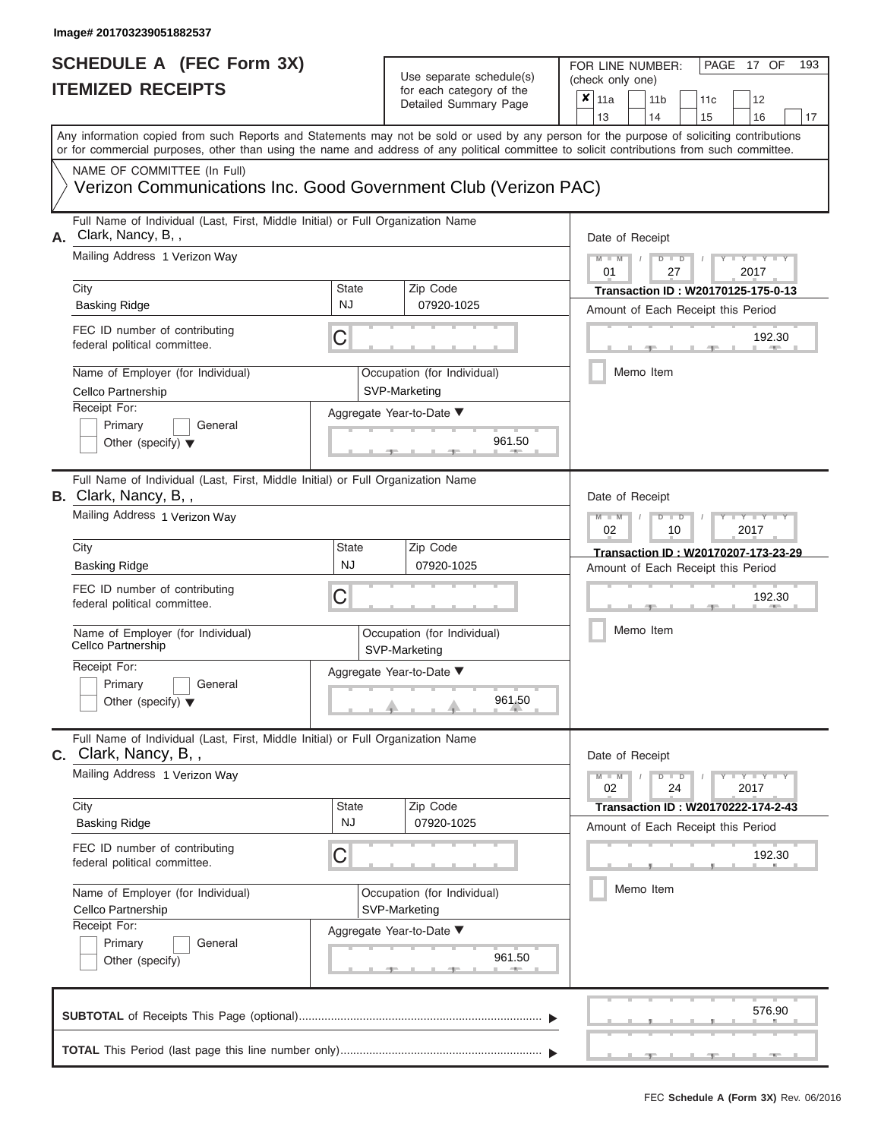#### **SCHEDULE A (FEC Form 3X) ITEMIZED RECEIPTS**

# Use separate schedule(s)

FOR LINE NUMBER:<br>(check only one)

PAGE 17 OF 193

|    | IIEMIZEU REVEIFIJ                                                                                                                                                                                                                                                                       |                           | for each category of the                     | ×<br>11a<br>11 <sub>b</sub><br>12<br>11c                                                        |  |  |  |  |  |  |  |  |  |
|----|-----------------------------------------------------------------------------------------------------------------------------------------------------------------------------------------------------------------------------------------------------------------------------------------|---------------------------|----------------------------------------------|-------------------------------------------------------------------------------------------------|--|--|--|--|--|--|--|--|--|
|    |                                                                                                                                                                                                                                                                                         |                           | Detailed Summary Page                        | 13<br>14<br>15<br>16<br>17                                                                      |  |  |  |  |  |  |  |  |  |
|    | Any information copied from such Reports and Statements may not be sold or used by any person for the purpose of soliciting contributions<br>or for commercial purposes, other than using the name and address of any political committee to solicit contributions from such committee. |                           |                                              |                                                                                                 |  |  |  |  |  |  |  |  |  |
|    | NAME OF COMMITTEE (In Full)                                                                                                                                                                                                                                                             |                           |                                              |                                                                                                 |  |  |  |  |  |  |  |  |  |
|    | Verizon Communications Inc. Good Government Club (Verizon PAC)                                                                                                                                                                                                                          |                           |                                              |                                                                                                 |  |  |  |  |  |  |  |  |  |
| А. | Full Name of Individual (Last, First, Middle Initial) or Full Organization Name<br>Clark, Nancy, B,,                                                                                                                                                                                    |                           |                                              | Date of Receipt                                                                                 |  |  |  |  |  |  |  |  |  |
|    | Mailing Address 1 Verizon Way                                                                                                                                                                                                                                                           |                           |                                              | $M - M$<br>Y I Y I<br>$D$ $D$<br>01<br>27<br>2017                                               |  |  |  |  |  |  |  |  |  |
|    | City                                                                                                                                                                                                                                                                                    | <b>State</b>              | Zip Code                                     | Transaction ID: W20170125-175-0-13                                                              |  |  |  |  |  |  |  |  |  |
|    | <b>Basking Ridge</b>                                                                                                                                                                                                                                                                    | <b>NJ</b>                 | 07920-1025                                   | Amount of Each Receipt this Period                                                              |  |  |  |  |  |  |  |  |  |
|    | FEC ID number of contributing<br>federal political committee.                                                                                                                                                                                                                           | С                         |                                              | 192.30                                                                                          |  |  |  |  |  |  |  |  |  |
|    | Name of Employer (for Individual)<br>Cellco Partnership                                                                                                                                                                                                                                 |                           | Occupation (for Individual)<br>SVP-Marketing | Memo Item                                                                                       |  |  |  |  |  |  |  |  |  |
|    | Receipt For:                                                                                                                                                                                                                                                                            |                           | Aggregate Year-to-Date ▼                     |                                                                                                 |  |  |  |  |  |  |  |  |  |
|    | Primary<br>General<br>Other (specify) $\blacktriangledown$                                                                                                                                                                                                                              |                           | 961.50                                       |                                                                                                 |  |  |  |  |  |  |  |  |  |
|    | Full Name of Individual (Last, First, Middle Initial) or Full Organization Name<br><b>B.</b> Clark, Nancy, B,,                                                                                                                                                                          |                           |                                              | Date of Receipt                                                                                 |  |  |  |  |  |  |  |  |  |
|    | Mailing Address 1 Verizon Way                                                                                                                                                                                                                                                           |                           |                                              | $M - M$<br>Y I Y I<br>$D$ $\Box$ $D$<br>02<br>10<br>2017<br>Transaction ID: W20170207-173-23-29 |  |  |  |  |  |  |  |  |  |
|    | City                                                                                                                                                                                                                                                                                    | State                     | Zip Code                                     |                                                                                                 |  |  |  |  |  |  |  |  |  |
|    | <b>Basking Ridge</b>                                                                                                                                                                                                                                                                    | <b>NJ</b>                 | 07920-1025                                   | Amount of Each Receipt this Period<br>192.30                                                    |  |  |  |  |  |  |  |  |  |
|    | FEC ID number of contributing<br>federal political committee.                                                                                                                                                                                                                           | C                         |                                              |                                                                                                 |  |  |  |  |  |  |  |  |  |
|    | Name of Employer (for Individual)<br>Cellco Partnership                                                                                                                                                                                                                                 |                           | Occupation (for Individual)<br>SVP-Marketing | Memo Item                                                                                       |  |  |  |  |  |  |  |  |  |
|    | Receipt For:<br>Primary<br>General<br>Other (specify) $\blacktriangledown$                                                                                                                                                                                                              |                           | Aggregate Year-to-Date ▼<br>961.50           |                                                                                                 |  |  |  |  |  |  |  |  |  |
|    |                                                                                                                                                                                                                                                                                         |                           |                                              |                                                                                                 |  |  |  |  |  |  |  |  |  |
|    | Full Name of Individual (Last, First, Middle Initial) or Full Organization Name<br>$c.$ Clark, Nancy, B,,                                                                                                                                                                               |                           |                                              | Date of Receipt                                                                                 |  |  |  |  |  |  |  |  |  |
|    | Mailing Address 1 Verizon Way                                                                                                                                                                                                                                                           |                           |                                              | Y TY TY TY<br>$M - M$<br>$D$ $D$<br>02<br>24<br>2017                                            |  |  |  |  |  |  |  |  |  |
|    | City                                                                                                                                                                                                                                                                                    | <b>State</b><br><b>NJ</b> | Zip Code                                     | Transaction ID: W20170222-174-2-43                                                              |  |  |  |  |  |  |  |  |  |
|    | <b>Basking Ridge</b>                                                                                                                                                                                                                                                                    |                           | 07920-1025                                   | Amount of Each Receipt this Period                                                              |  |  |  |  |  |  |  |  |  |
|    | FEC ID number of contributing<br>federal political committee.                                                                                                                                                                                                                           | C                         |                                              | 192.30                                                                                          |  |  |  |  |  |  |  |  |  |
|    | Name of Employer (for Individual)                                                                                                                                                                                                                                                       |                           | Occupation (for Individual)                  | Memo Item                                                                                       |  |  |  |  |  |  |  |  |  |
|    | Cellco Partnership                                                                                                                                                                                                                                                                      |                           | SVP-Marketing                                |                                                                                                 |  |  |  |  |  |  |  |  |  |
|    | Receipt For:                                                                                                                                                                                                                                                                            |                           | Aggregate Year-to-Date ▼                     |                                                                                                 |  |  |  |  |  |  |  |  |  |
|    | Primary<br>General                                                                                                                                                                                                                                                                      |                           |                                              |                                                                                                 |  |  |  |  |  |  |  |  |  |
|    | Other (specify)                                                                                                                                                                                                                                                                         |                           | 961.50<br><b>AND</b>                         |                                                                                                 |  |  |  |  |  |  |  |  |  |
|    |                                                                                                                                                                                                                                                                                         |                           |                                              | 576.90                                                                                          |  |  |  |  |  |  |  |  |  |
|    |                                                                                                                                                                                                                                                                                         |                           |                                              |                                                                                                 |  |  |  |  |  |  |  |  |  |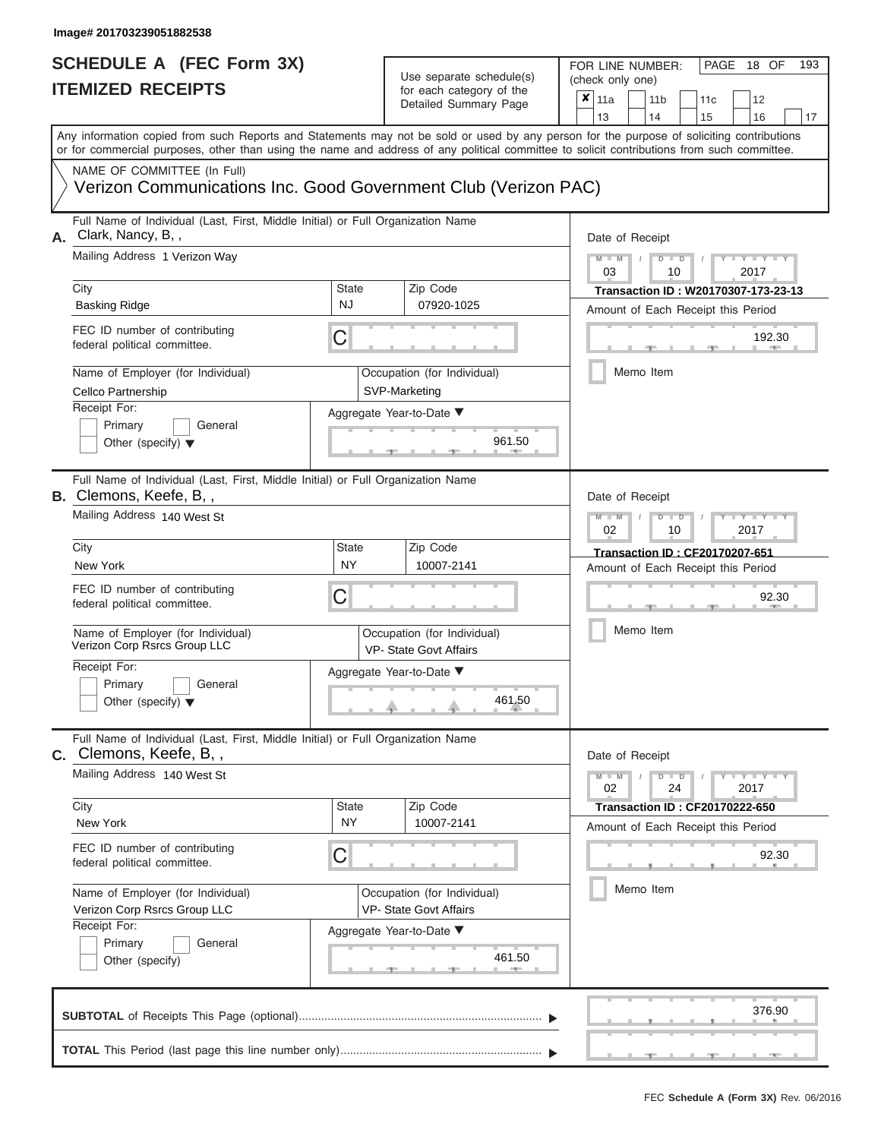| SCHEDULE A (FEC Form 3X)<br><b>ITEMIZED RECEIPTS</b>                                                                                                                                                                                                                                                                                                                                     |                     | Use separate schedule(s)<br>for each category of the<br>Detailed Summary Page | 193<br>FOR LINE NUMBER:<br>PAGE 18 OF<br>(check only one)<br>$\overline{\mathbf{x}}$   11a<br>11 <sub>b</sub><br>11 <sub>c</sub><br>12<br>13<br>14 |
|------------------------------------------------------------------------------------------------------------------------------------------------------------------------------------------------------------------------------------------------------------------------------------------------------------------------------------------------------------------------------------------|---------------------|-------------------------------------------------------------------------------|----------------------------------------------------------------------------------------------------------------------------------------------------|
| Any information copied from such Reports and Statements may not be sold or used by any person for the purpose of soliciting contributions<br>or for commercial purposes, other than using the name and address of any political committee to solicit contributions from such committee.<br>NAME OF COMMITTEE (In Full)<br>Verizon Communications Inc. Good Government Club (Verizon PAC) |                     |                                                                               | 15<br>16<br>17                                                                                                                                     |
| Full Name of Individual (Last, First, Middle Initial) or Full Organization Name<br>Clark, Nancy, B,,<br>А.                                                                                                                                                                                                                                                                               |                     |                                                                               | Date of Receipt                                                                                                                                    |
| Mailing Address 1 Verizon Way<br>City                                                                                                                                                                                                                                                                                                                                                    | State               | Zip Code                                                                      | $M - M$ /<br>$Y - Y - Y$<br>$D$ $D$<br>03<br>2017<br>10                                                                                            |
| <b>Basking Ridge</b>                                                                                                                                                                                                                                                                                                                                                                     | <b>NJ</b>           | 07920-1025                                                                    | Transaction ID: W20170307-173-23-13<br>Amount of Each Receipt this Period                                                                          |
| FEC ID number of contributing<br>federal political committee.                                                                                                                                                                                                                                                                                                                            | C                   |                                                                               | 192.30<br><b>COLLECTIVE</b>                                                                                                                        |
| Name of Employer (for Individual)<br>Cellco Partnership                                                                                                                                                                                                                                                                                                                                  |                     | Occupation (for Individual)<br>SVP-Marketing                                  | Memo Item                                                                                                                                          |
| Receipt For:<br>Primary<br>General<br>Other (specify) $\blacktriangledown$                                                                                                                                                                                                                                                                                                               |                     | Aggregate Year-to-Date ▼<br>961.50                                            |                                                                                                                                                    |
| Full Name of Individual (Last, First, Middle Initial) or Full Organization Name<br><b>B.</b> Clemons, Keefe, B,,<br>Mailing Address 140 West St                                                                                                                                                                                                                                          |                     |                                                                               | Date of Receipt<br>$M - M$<br>Y Y I<br>$D$ $D$                                                                                                     |
| City                                                                                                                                                                                                                                                                                                                                                                                     | State               | Zip Code                                                                      | 02<br>2017<br>10                                                                                                                                   |
| New York                                                                                                                                                                                                                                                                                                                                                                                 | <b>NY</b>           | 10007-2141                                                                    | Transaction ID: CF20170207-651<br>Amount of Each Receipt this Period                                                                               |
| FEC ID number of contributing<br>federal political committee.                                                                                                                                                                                                                                                                                                                            | С                   |                                                                               | 92.30                                                                                                                                              |
| Name of Employer (for Individual)<br>Verizon Corp Rsrcs Group LLC                                                                                                                                                                                                                                                                                                                        |                     | Occupation (for Individual)<br><b>VP- State Govt Affairs</b>                  | Memo Item                                                                                                                                          |
| Receipt For:<br>Primary<br>General<br>Other (specify) $\blacktriangledown$                                                                                                                                                                                                                                                                                                               |                     | Aggregate Year-to-Date ▼<br>461.50                                            |                                                                                                                                                    |
| Full Name of Individual (Last, First, Middle Initial) or Full Organization Name<br>C. Clemons, Keefe, B,,                                                                                                                                                                                                                                                                                |                     |                                                                               | Date of Receipt                                                                                                                                    |
| Mailing Address 140 West St                                                                                                                                                                                                                                                                                                                                                              |                     |                                                                               | $M - M$<br>$D$ $D$<br>$+Y+Y+Y$<br>02<br>24<br>2017                                                                                                 |
| City<br>New York                                                                                                                                                                                                                                                                                                                                                                         | <b>State</b><br>NY. | Zip Code<br>10007-2141                                                        | Transaction ID: CF20170222-650<br>Amount of Each Receipt this Period                                                                               |
| FEC ID number of contributing<br>federal political committee.                                                                                                                                                                                                                                                                                                                            | С                   |                                                                               | 92.30                                                                                                                                              |
| Name of Employer (for Individual)<br>Verizon Corp Rsrcs Group LLC                                                                                                                                                                                                                                                                                                                        |                     | Occupation (for Individual)<br>VP- State Govt Affairs                         | Memo Item                                                                                                                                          |
| Receipt For:<br>Primary<br>General<br>Other (specify)                                                                                                                                                                                                                                                                                                                                    |                     | Aggregate Year-to-Date ▼<br>461.50                                            |                                                                                                                                                    |
|                                                                                                                                                                                                                                                                                                                                                                                          |                     |                                                                               | 376.90                                                                                                                                             |
|                                                                                                                                                                                                                                                                                                                                                                                          |                     |                                                                               | $-1$                                                                                                                                               |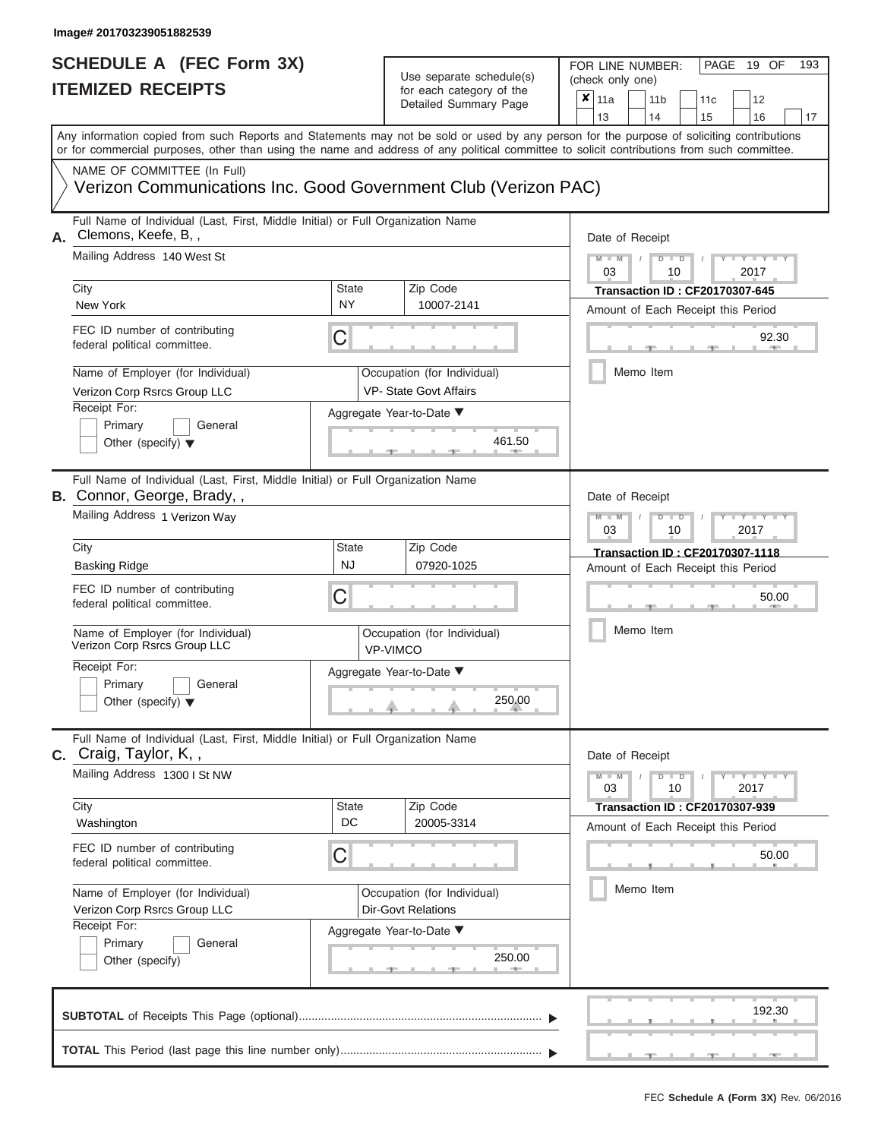#### **SCHEDULE A (FEC Form 3X) ITEMIZED RECEIPTS**

# Use separate schedule(s)

FOR LINE NUMBER:<br>(check only one)

PAGE 19 OF 193

|    | <b>ILEMIZED REGEIPIS</b>                                                                                                                   |                                                               | for each category of the<br>Detailed Summary Page | ×<br>11a<br>11 <sub>b</sub><br>11c<br>12                     |  |  |  |  |  |  |  |  |
|----|--------------------------------------------------------------------------------------------------------------------------------------------|---------------------------------------------------------------|---------------------------------------------------|--------------------------------------------------------------|--|--|--|--|--|--|--|--|
|    | Any information copied from such Reports and Statements may not be sold or used by any person for the purpose of soliciting contributions  |                                                               |                                                   | 13<br>14<br>15<br>16<br>17                                   |  |  |  |  |  |  |  |  |
|    | or for commercial purposes, other than using the name and address of any political committee to solicit contributions from such committee. |                                                               |                                                   |                                                              |  |  |  |  |  |  |  |  |
|    | NAME OF COMMITTEE (In Full)                                                                                                                |                                                               |                                                   |                                                              |  |  |  |  |  |  |  |  |
|    | Verizon Communications Inc. Good Government Club (Verizon PAC)                                                                             |                                                               |                                                   |                                                              |  |  |  |  |  |  |  |  |
| Α. | Full Name of Individual (Last, First, Middle Initial) or Full Organization Name<br>Clemons, Keefe, B,,                                     |                                                               |                                                   | Date of Receipt<br>$M - M$<br>$Y = Y = Y$<br>$D$ $D$         |  |  |  |  |  |  |  |  |
|    | Mailing Address 140 West St                                                                                                                |                                                               |                                                   |                                                              |  |  |  |  |  |  |  |  |
|    |                                                                                                                                            |                                                               |                                                   | 03<br>2017<br>10                                             |  |  |  |  |  |  |  |  |
|    | City<br>New York                                                                                                                           | <b>State</b><br><b>NY</b>                                     | Zip Code<br>10007-2141                            | <b>Transaction ID: CF20170307-645</b>                        |  |  |  |  |  |  |  |  |
|    | FEC ID number of contributing                                                                                                              |                                                               |                                                   | Amount of Each Receipt this Period                           |  |  |  |  |  |  |  |  |
|    | federal political committee.                                                                                                               | C                                                             |                                                   | 92.30                                                        |  |  |  |  |  |  |  |  |
|    | Name of Employer (for Individual)                                                                                                          |                                                               | Occupation (for Individual)                       | Memo Item                                                    |  |  |  |  |  |  |  |  |
|    | Verizon Corp Rsrcs Group LLC<br>Receipt For:                                                                                               |                                                               | <b>VP- State Govt Affairs</b>                     |                                                              |  |  |  |  |  |  |  |  |
|    | Primary<br>General                                                                                                                         |                                                               | Aggregate Year-to-Date ▼                          |                                                              |  |  |  |  |  |  |  |  |
|    | Other (specify) $\blacktriangledown$                                                                                                       |                                                               | 461.50                                            |                                                              |  |  |  |  |  |  |  |  |
|    | Full Name of Individual (Last, First, Middle Initial) or Full Organization Name                                                            |                                                               |                                                   |                                                              |  |  |  |  |  |  |  |  |
|    | B. Connor, George, Brady,,                                                                                                                 | Date of Receipt                                               |                                                   |                                                              |  |  |  |  |  |  |  |  |
|    | Mailing Address 1 Verizon Way                                                                                                              | $M - M$<br>$D$ $D$<br>$T - Y - T - Y - T$<br>03<br>10<br>2017 |                                                   |                                                              |  |  |  |  |  |  |  |  |
|    | City                                                                                                                                       | <b>State</b>                                                  | Zip Code                                          | Transaction ID: CF20170307-1118                              |  |  |  |  |  |  |  |  |
|    | <b>Basking Ridge</b>                                                                                                                       | <b>NJ</b>                                                     | 07920-1025                                        | Amount of Each Receipt this Period                           |  |  |  |  |  |  |  |  |
|    | FEC ID number of contributing<br>federal political committee.                                                                              | C                                                             |                                                   | 50.00<br>Memo Item                                           |  |  |  |  |  |  |  |  |
|    | Name of Employer (for Individual)<br>Verizon Corp Rsrcs Group LLC                                                                          |                                                               | Occupation (for Individual)<br><b>VP-VIMCO</b>    |                                                              |  |  |  |  |  |  |  |  |
|    | Receipt For:                                                                                                                               |                                                               | Aggregate Year-to-Date ▼                          |                                                              |  |  |  |  |  |  |  |  |
|    | Primary<br>General<br>Other (specify) $\blacktriangledown$                                                                                 |                                                               | 250.00                                            |                                                              |  |  |  |  |  |  |  |  |
|    | Full Name of Individual (Last, First, Middle Initial) or Full Organization Name                                                            |                                                               |                                                   |                                                              |  |  |  |  |  |  |  |  |
|    | C. Craig, Taylor, K.,                                                                                                                      |                                                               |                                                   | Date of Receipt                                              |  |  |  |  |  |  |  |  |
|    | Mailing Address 1300 I St NW                                                                                                               |                                                               |                                                   | $Y = Y = Y$<br>$M - M$<br>$D$ $\Box$ $D$<br>03<br>10<br>2017 |  |  |  |  |  |  |  |  |
|    | City                                                                                                                                       | <b>State</b>                                                  | Zip Code                                          | <b>Transaction ID: CF20170307-939</b>                        |  |  |  |  |  |  |  |  |
|    | Washington                                                                                                                                 | DC                                                            | 20005-3314                                        | Amount of Each Receipt this Period                           |  |  |  |  |  |  |  |  |
|    | FEC ID number of contributing<br>federal political committee.                                                                              | С                                                             |                                                   | 50.00                                                        |  |  |  |  |  |  |  |  |
|    | Name of Employer (for Individual)                                                                                                          |                                                               | Occupation (for Individual)                       | Memo Item                                                    |  |  |  |  |  |  |  |  |
|    | Verizon Corp Rsrcs Group LLC                                                                                                               |                                                               | <b>Dir-Govt Relations</b>                         |                                                              |  |  |  |  |  |  |  |  |
|    | Receipt For:                                                                                                                               |                                                               | Aggregate Year-to-Date ▼                          |                                                              |  |  |  |  |  |  |  |  |
|    | Primary<br>General                                                                                                                         |                                                               |                                                   |                                                              |  |  |  |  |  |  |  |  |
|    | Other (specify)                                                                                                                            |                                                               | 250.00<br><b>Contract Contract</b>                |                                                              |  |  |  |  |  |  |  |  |
|    |                                                                                                                                            |                                                               |                                                   | 192.30                                                       |  |  |  |  |  |  |  |  |
|    |                                                                                                                                            |                                                               |                                                   |                                                              |  |  |  |  |  |  |  |  |
|    |                                                                                                                                            |                                                               |                                                   |                                                              |  |  |  |  |  |  |  |  |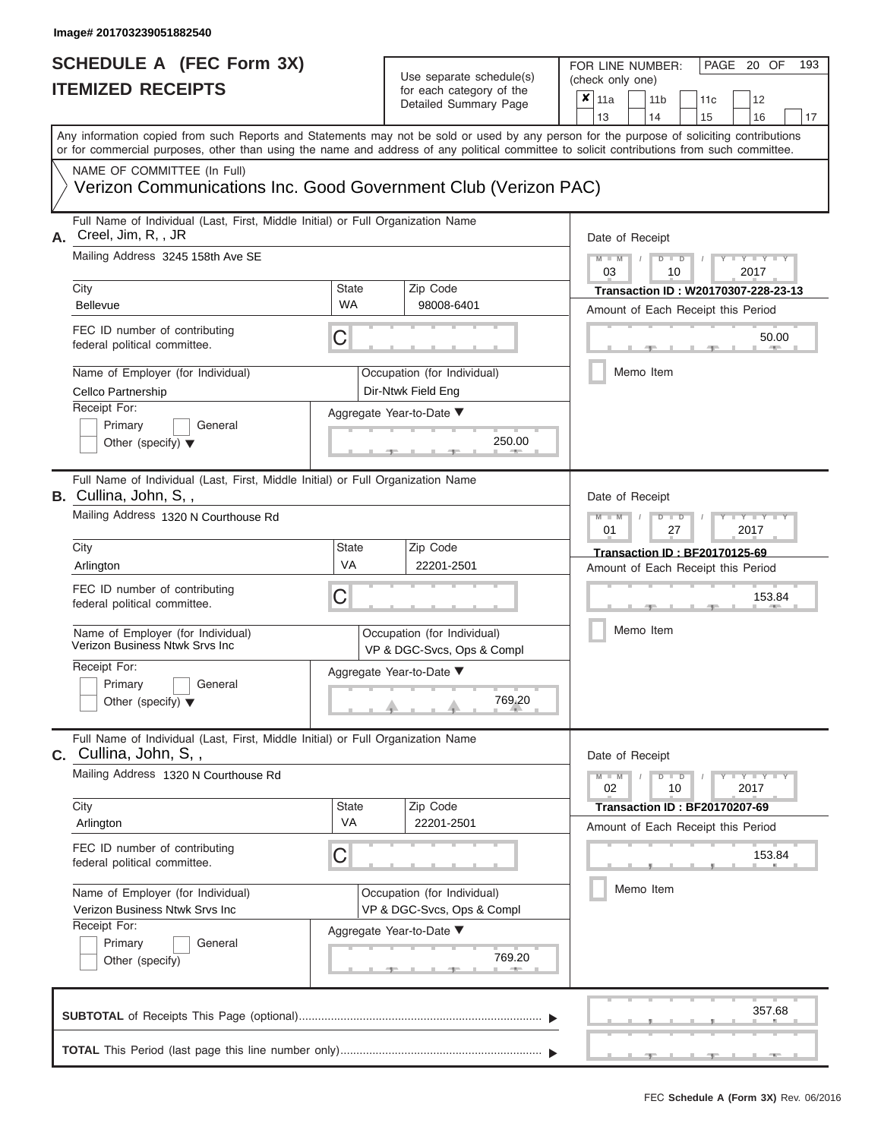# Use separate schedule(s)  $\frac{1}{\pi}$  for each category of the

FOR LINE NUMBER:<br>(check only one)

PAGE 20 OF 193

|    | IIEMILED REVEIFIJ                                                                                                                          |                          | for each category of the<br>Detailed Summary Page         | × | 11a                                                                             |           | 11 <sub>b</sub> |               | 11c | 12                                   |    |  |  |  |
|----|--------------------------------------------------------------------------------------------------------------------------------------------|--------------------------|-----------------------------------------------------------|---|---------------------------------------------------------------------------------|-----------|-----------------|---------------|-----|--------------------------------------|----|--|--|--|
|    | Any information copied from such Reports and Statements may not be sold or used by any person for the purpose of soliciting contributions  |                          |                                                           |   | 13                                                                              |           | 14              |               | 15  | 16                                   | 17 |  |  |  |
|    | or for commercial purposes, other than using the name and address of any political committee to solicit contributions from such committee. |                          |                                                           |   |                                                                                 |           |                 |               |     |                                      |    |  |  |  |
|    | NAME OF COMMITTEE (In Full)                                                                                                                |                          |                                                           |   |                                                                                 |           |                 |               |     |                                      |    |  |  |  |
|    | Verizon Communications Inc. Good Government Club (Verizon PAC)                                                                             |                          |                                                           |   |                                                                                 |           |                 |               |     |                                      |    |  |  |  |
| А. | Full Name of Individual (Last, First, Middle Initial) or Full Organization Name<br>Creel, Jim, R, , JR                                     |                          |                                                           |   | Date of Receipt<br>$M - M$<br>$Y - Y - Y$<br>$D$ $\Box$ $D$<br>03<br>10<br>2017 |           |                 |               |     |                                      |    |  |  |  |
|    | Mailing Address 3245 158th Ave SE                                                                                                          |                          |                                                           |   |                                                                                 |           |                 |               |     |                                      |    |  |  |  |
|    | City                                                                                                                                       | <b>State</b>             | Zip Code                                                  |   |                                                                                 |           |                 |               |     | Transaction ID: W20170307-228-23-13  |    |  |  |  |
|    | <b>Bellevue</b>                                                                                                                            | <b>WA</b>                | 98008-6401                                                |   |                                                                                 |           |                 |               |     | Amount of Each Receipt this Period   |    |  |  |  |
|    | FEC ID number of contributing<br>federal political committee.                                                                              | С                        |                                                           |   |                                                                                 |           |                 |               |     | 50.00                                |    |  |  |  |
|    | Name of Employer (for Individual)<br>Cellco Partnership                                                                                    |                          | Occupation (for Individual)<br>Dir-Ntwk Field Eng         |   |                                                                                 | Memo Item |                 |               |     |                                      |    |  |  |  |
|    | Receipt For:                                                                                                                               | Aggregate Year-to-Date ▼ |                                                           |   |                                                                                 |           |                 |               |     |                                      |    |  |  |  |
|    | Primary<br>General<br>Other (specify) $\blacktriangledown$                                                                                 |                          | 250.00                                                    |   |                                                                                 |           |                 |               |     |                                      |    |  |  |  |
|    | Full Name of Individual (Last, First, Middle Initial) or Full Organization Name<br><b>B.</b> Cullina, John, S,,                            |                          |                                                           |   |                                                                                 |           |                 |               |     |                                      |    |  |  |  |
|    | Mailing Address 1320 N Courthouse Rd                                                                                                       |                          |                                                           |   | Date of Receipt<br>$M - M$<br>Y TYT<br>$D$ $D$<br>01<br>27<br>2017              |           |                 |               |     |                                      |    |  |  |  |
|    | City                                                                                                                                       | <b>State</b>             | <b>Transaction ID: BF20170125-69</b>                      |   |                                                                                 |           |                 |               |     |                                      |    |  |  |  |
|    | Arlington                                                                                                                                  | VA                       | 22201-2501                                                |   | Amount of Each Receipt this Period                                              |           |                 |               |     |                                      |    |  |  |  |
|    | FEC ID number of contributing<br>federal political committee.                                                                              | С                        |                                                           |   | 153.84                                                                          |           |                 |               |     |                                      |    |  |  |  |
|    | Name of Employer (for Individual)<br>Verizon Business Ntwk Srvs Inc                                                                        |                          | Occupation (for Individual)<br>VP & DGC-Svcs, Ops & Compl |   |                                                                                 | Memo Item |                 |               |     |                                      |    |  |  |  |
|    | Receipt For:                                                                                                                               | Aggregate Year-to-Date ▼ |                                                           |   |                                                                                 |           |                 |               |     |                                      |    |  |  |  |
|    | Primary<br>General<br>Other (specify) $\blacktriangledown$                                                                                 |                          | 769.20                                                    |   |                                                                                 |           |                 |               |     |                                      |    |  |  |  |
|    | Full Name of Individual (Last, First, Middle Initial) or Full Organization Name<br><b>C.</b> Cullina, John, S,,                            |                          |                                                           |   | Date of Receipt                                                                 |           |                 |               |     |                                      |    |  |  |  |
|    | Mailing Address 1320 N Courthouse Rd                                                                                                       |                          |                                                           |   | $M - M$<br>02                                                                   |           |                 | $D$ $D$<br>10 |     | $Y = Y = Y + Y$<br>2017              |    |  |  |  |
|    | City                                                                                                                                       | <b>State</b>             | Zip Code                                                  |   |                                                                                 |           |                 |               |     | <b>Transaction ID: BF20170207-69</b> |    |  |  |  |
|    | Arlington                                                                                                                                  | VA                       | 22201-2501                                                |   |                                                                                 |           |                 |               |     | Amount of Each Receipt this Period   |    |  |  |  |
|    | FEC ID number of contributing<br>federal political committee.                                                                              | C                        |                                                           |   |                                                                                 |           |                 |               |     | 153.84                               |    |  |  |  |
|    | Name of Employer (for Individual)<br>Verizon Business Ntwk Srvs Inc                                                                        |                          | Occupation (for Individual)<br>VP & DGC-Svcs, Ops & Compl |   |                                                                                 | Memo Item |                 |               |     |                                      |    |  |  |  |
|    | Receipt For:                                                                                                                               |                          | Aggregate Year-to-Date ▼                                  |   |                                                                                 |           |                 |               |     |                                      |    |  |  |  |
|    | Primary<br>General                                                                                                                         |                          |                                                           |   |                                                                                 |           |                 |               |     |                                      |    |  |  |  |
|    | Other (specify)                                                                                                                            |                          | 769.20                                                    |   |                                                                                 |           |                 |               |     |                                      |    |  |  |  |
|    |                                                                                                                                            |                          |                                                           |   |                                                                                 |           |                 |               |     | 357.68                               |    |  |  |  |
|    |                                                                                                                                            |                          |                                                           |   |                                                                                 |           |                 |               |     |                                      |    |  |  |  |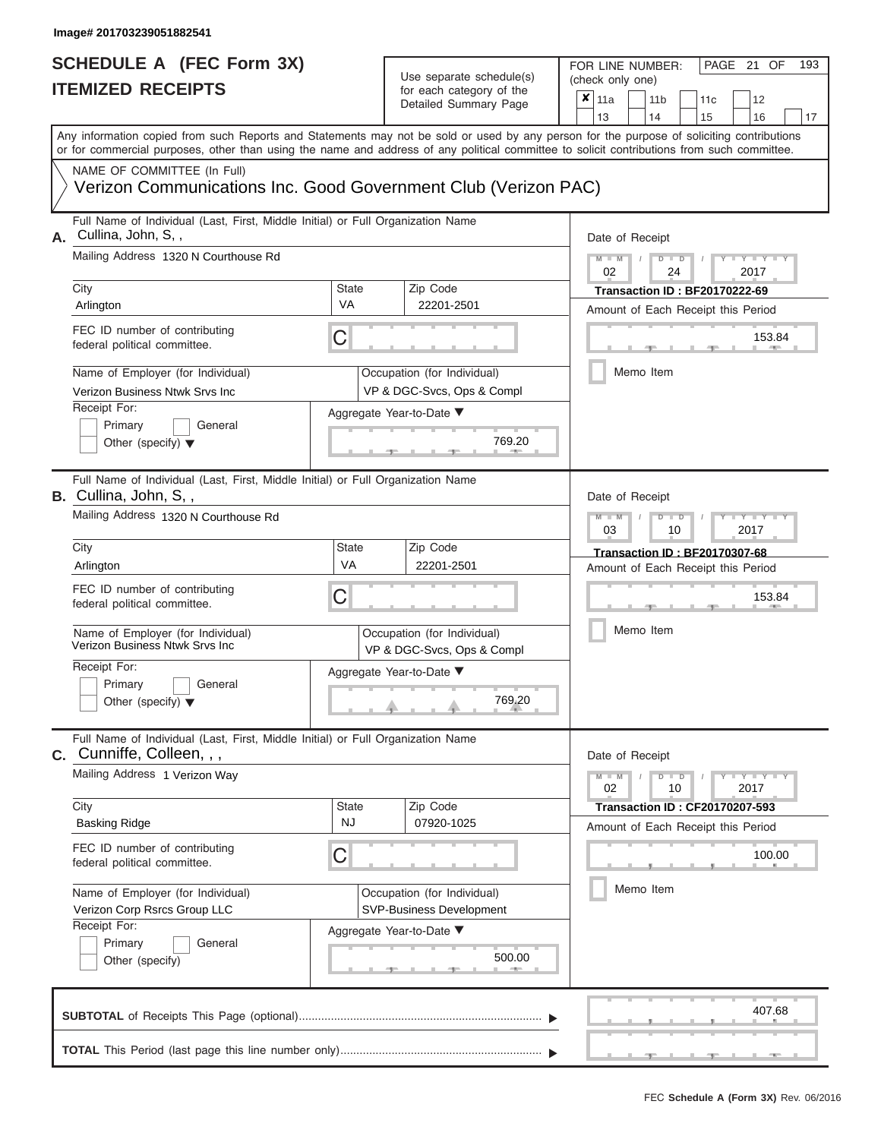# Use separate schedule(s)  $\frac{1}{\pi}$  for each category of the

FOR LINE NUMBER:<br>(check only one)

PAGE 21 OF 193

|    | IIEMILED REVEIFIJ                                                                                                                                                                                                                                                                       |                                                           | ior each category of the                                       | ×                                                     | 11a             |           | 11 <sub>b</sub>                       |  | 11c    |      | 12                       |    |
|----|-----------------------------------------------------------------------------------------------------------------------------------------------------------------------------------------------------------------------------------------------------------------------------------------|-----------------------------------------------------------|----------------------------------------------------------------|-------------------------------------------------------|-----------------|-----------|---------------------------------------|--|--------|------|--------------------------|----|
|    |                                                                                                                                                                                                                                                                                         |                                                           | Detailed Summary Page                                          |                                                       | 13              |           | 14                                    |  | 15     |      | 16                       | 17 |
|    | Any information copied from such Reports and Statements may not be sold or used by any person for the purpose of soliciting contributions<br>or for commercial purposes, other than using the name and address of any political committee to solicit contributions from such committee. |                                                           |                                                                |                                                       |                 |           |                                       |  |        |      |                          |    |
|    | NAME OF COMMITTEE (In Full)                                                                                                                                                                                                                                                             |                                                           |                                                                |                                                       |                 |           |                                       |  |        |      |                          |    |
|    | Verizon Communications Inc. Good Government Club (Verizon PAC)                                                                                                                                                                                                                          |                                                           |                                                                |                                                       |                 |           |                                       |  |        |      |                          |    |
| А. | Full Name of Individual (Last, First, Middle Initial) or Full Organization Name<br>Cullina, John, S,,                                                                                                                                                                                   |                                                           |                                                                | Date of Receipt                                       |                 |           |                                       |  |        |      |                          |    |
|    | Mailing Address 1320 N Courthouse Rd                                                                                                                                                                                                                                                    |                                                           |                                                                | $M - M$<br>$Y - Y - I$<br>$D$ $D$<br>02<br>24<br>2017 |                 |           |                                       |  |        |      |                          |    |
|    | City                                                                                                                                                                                                                                                                                    | State                                                     | Zip Code                                                       | <b>Transaction ID: BF20170222-69</b>                  |                 |           |                                       |  |        |      |                          |    |
|    | Arlington                                                                                                                                                                                                                                                                               | VA                                                        | 22201-2501                                                     |                                                       |                 |           | Amount of Each Receipt this Period    |  |        |      |                          |    |
|    | FEC ID number of contributing<br>federal political committee.                                                                                                                                                                                                                           | С                                                         |                                                                |                                                       |                 |           |                                       |  |        |      | 153.84                   |    |
|    | Name of Employer (for Individual)<br>Verizon Business Ntwk Srvs Inc                                                                                                                                                                                                                     |                                                           | Occupation (for Individual)<br>VP & DGC-Svcs, Ops & Compl      |                                                       |                 |           | Memo Item                             |  |        |      |                          |    |
|    | Receipt For:                                                                                                                                                                                                                                                                            |                                                           | Aggregate Year-to-Date ▼                                       |                                                       |                 |           |                                       |  |        |      |                          |    |
|    | Primary<br>General<br>Other (specify) $\blacktriangledown$                                                                                                                                                                                                                              |                                                           | 769.20                                                         |                                                       |                 |           |                                       |  |        |      |                          |    |
|    | Full Name of Individual (Last, First, Middle Initial) or Full Organization Name<br><b>B.</b> Cullina, John, S,,                                                                                                                                                                         |                                                           |                                                                |                                                       | Date of Receipt |           |                                       |  |        |      |                          |    |
|    | Mailing Address 1320 N Courthouse Rd                                                                                                                                                                                                                                                    |                                                           |                                                                |                                                       | $M - M$<br>03   |           | $D$ $D$<br>10                         |  |        | 2017 | $\overline{\phantom{a}}$ |    |
|    | City                                                                                                                                                                                                                                                                                    | State                                                     | Zip Code                                                       |                                                       |                 |           | <b>Transaction ID: BF20170307-68</b>  |  |        |      |                          |    |
|    | Arlington                                                                                                                                                                                                                                                                               | VA                                                        | 22201-2501                                                     |                                                       |                 |           | Amount of Each Receipt this Period    |  |        |      |                          |    |
|    | FEC ID number of contributing<br>federal political committee.                                                                                                                                                                                                                           |                                                           |                                                                |                                                       |                 |           |                                       |  | 153.84 |      |                          |    |
|    | Name of Employer (for Individual)<br>Verizon Business Ntwk Srvs Inc                                                                                                                                                                                                                     | Occupation (for Individual)<br>VP & DGC-Svcs, Ops & Compl |                                                                |                                                       |                 | Memo Item |                                       |  |        |      |                          |    |
|    | Receipt For:                                                                                                                                                                                                                                                                            |                                                           | Aggregate Year-to-Date ▼                                       |                                                       |                 |           |                                       |  |        |      |                          |    |
|    | Primary<br>General<br>Other (specify) $\blacktriangledown$                                                                                                                                                                                                                              |                                                           | 769.20                                                         |                                                       |                 |           |                                       |  |        |      |                          |    |
| С. | Full Name of Individual (Last, First, Middle Initial) or Full Organization Name<br>Cunniffe, Colleen, , ,                                                                                                                                                                               |                                                           |                                                                |                                                       | Date of Receipt |           |                                       |  |        |      |                          |    |
|    | Mailing Address 1 Verizon Way                                                                                                                                                                                                                                                           |                                                           |                                                                |                                                       | $M - M$<br>02   |           | $D$ $D$<br>10                         |  |        | 2017 | $T - Y = T - Y = T Y$    |    |
|    | City                                                                                                                                                                                                                                                                                    | State                                                     | Zip Code                                                       |                                                       |                 |           | <b>Transaction ID: CF20170207-593</b> |  |        |      |                          |    |
|    | <b>Basking Ridge</b>                                                                                                                                                                                                                                                                    | NJ                                                        | 07920-1025                                                     |                                                       |                 |           | Amount of Each Receipt this Period    |  |        |      |                          |    |
|    | FEC ID number of contributing<br>federal political committee.                                                                                                                                                                                                                           | C                                                         |                                                                |                                                       |                 |           |                                       |  |        |      | 100.00                   |    |
|    | Name of Employer (for Individual)<br>Verizon Corp Rsrcs Group LLC                                                                                                                                                                                                                       |                                                           | Occupation (for Individual)<br><b>SVP-Business Development</b> |                                                       |                 |           | Memo Item                             |  |        |      |                          |    |
|    | Receipt For:                                                                                                                                                                                                                                                                            |                                                           | Aggregate Year-to-Date ▼                                       |                                                       |                 |           |                                       |  |        |      |                          |    |
|    | General<br>Primary<br>Other (specify)                                                                                                                                                                                                                                                   |                                                           | 500.00                                                         |                                                       |                 |           |                                       |  |        |      |                          |    |
|    |                                                                                                                                                                                                                                                                                         |                                                           |                                                                |                                                       |                 |           |                                       |  |        |      |                          |    |
|    |                                                                                                                                                                                                                                                                                         |                                                           |                                                                |                                                       |                 |           |                                       |  |        |      | 407.68                   |    |
|    |                                                                                                                                                                                                                                                                                         |                                                           |                                                                |                                                       |                 |           |                                       |  |        |      |                          |    |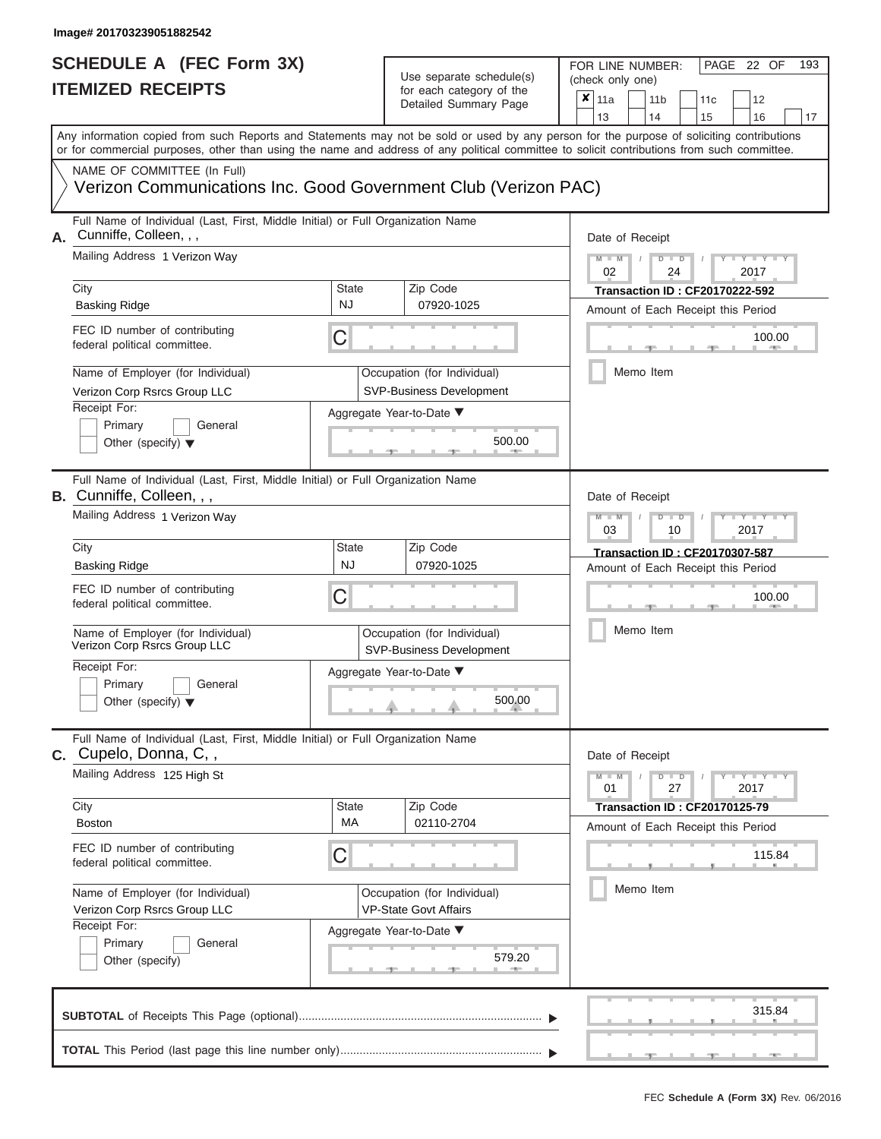#### **SCHEDULE A (FEC Form 3X) ITEMIZED RECEIPTS**

# Use separate schedule(s)<br>for each category of the

FOR LINE NUMBER:<br>(check only one)

PAGE 22 OF 193

|    | UKLP REVEIL I                                                                                                                                                                                                                                                                           |                           | iui cauli ualcyuly ul lilc<br>Detailed Summary Page            | x                                                                  | 11a<br>13                  |  | 11 <sub>b</sub><br>14 |    | 11c<br>15                             |  | 12<br>16        | 17 |
|----|-----------------------------------------------------------------------------------------------------------------------------------------------------------------------------------------------------------------------------------------------------------------------------------------|---------------------------|----------------------------------------------------------------|--------------------------------------------------------------------|----------------------------|--|-----------------------|----|---------------------------------------|--|-----------------|----|
|    | Any information copied from such Reports and Statements may not be sold or used by any person for the purpose of soliciting contributions<br>or for commercial purposes, other than using the name and address of any political committee to solicit contributions from such committee. |                           |                                                                |                                                                    |                            |  |                       |    |                                       |  |                 |    |
|    | NAME OF COMMITTEE (In Full)<br>Verizon Communications Inc. Good Government Club (Verizon PAC)                                                                                                                                                                                           |                           |                                                                |                                                                    |                            |  |                       |    |                                       |  |                 |    |
| А. | Full Name of Individual (Last, First, Middle Initial) or Full Organization Name<br>Cunniffe, Colleen, , ,<br>Mailing Address 1 Verizon Way                                                                                                                                              |                           |                                                                |                                                                    | Date of Receipt<br>$M - M$ |  | $D$ $\Box$ $D$        |    |                                       |  |                 |    |
|    | City                                                                                                                                                                                                                                                                                    | <b>State</b>              | Zip Code                                                       |                                                                    | 02                         |  |                       | 24 | <b>Transaction ID: CF20170222-592</b> |  | 2017            |    |
|    | <b>Basking Ridge</b>                                                                                                                                                                                                                                                                    | <b>NJ</b>                 | 07920-1025                                                     |                                                                    |                            |  |                       |    | Amount of Each Receipt this Period    |  |                 |    |
|    | FEC ID number of contributing<br>federal political committee.                                                                                                                                                                                                                           | C                         |                                                                | 100.00                                                             |                            |  |                       |    |                                       |  |                 |    |
|    | Name of Employer (for Individual)<br>Verizon Corp Rsrcs Group LLC                                                                                                                                                                                                                       |                           | Occupation (for Individual)<br><b>SVP-Business Development</b> |                                                                    |                            |  | Memo Item             |    |                                       |  |                 |    |
|    | Receipt For:<br>Primary<br>General<br>Other (specify) $\blacktriangledown$                                                                                                                                                                                                              | Aggregate Year-to-Date ▼  | 500.00                                                         |                                                                    |                            |  |                       |    |                                       |  |                 |    |
|    | Full Name of Individual (Last, First, Middle Initial) or Full Organization Name<br>B. Cunniffe, Colleen, , ,                                                                                                                                                                            |                           |                                                                |                                                                    | Date of Receipt            |  |                       |    |                                       |  |                 |    |
|    | Mailing Address 1 Verizon Way                                                                                                                                                                                                                                                           |                           |                                                                | $M - M$<br>$D$ $D$<br>$\overline{\phantom{a}}$<br>03<br>2017<br>10 |                            |  |                       |    |                                       |  |                 |    |
|    | City<br><b>Basking Ridge</b>                                                                                                                                                                                                                                                            | <b>State</b><br><b>NJ</b> | Zip Code<br>07920-1025                                         |                                                                    |                            |  |                       |    | <b>Transaction ID: CF20170307-587</b> |  |                 |    |
|    | FEC ID number of contributing<br>federal political committee.                                                                                                                                                                                                                           | С                         |                                                                |                                                                    |                            |  |                       |    | Amount of Each Receipt this Period    |  | 100.00          |    |
|    | Name of Employer (for Individual)<br>Verizon Corp Rsrcs Group LLC                                                                                                                                                                                                                       |                           | Occupation (for Individual)<br><b>SVP-Business Development</b> |                                                                    |                            |  | Memo Item             |    |                                       |  |                 |    |
|    | Receipt For:<br>Primary<br>General<br>Other (specify) $\blacktriangledown$                                                                                                                                                                                                              | Aggregate Year-to-Date ▼  | 500.00                                                         |                                                                    |                            |  |                       |    |                                       |  |                 |    |
|    | Full Name of Individual (Last, First, Middle Initial) or Full Organization Name<br>C. Cupelo, Donna, C,,                                                                                                                                                                                |                           |                                                                |                                                                    | Date of Receipt            |  |                       |    |                                       |  |                 |    |
|    | Mailing Address 125 High St                                                                                                                                                                                                                                                             |                           |                                                                |                                                                    | $M - M$<br>01              |  | $D$ $\Box$ $D$        | 27 |                                       |  | $Y = Y$<br>2017 |    |
|    | City<br><b>Boston</b>                                                                                                                                                                                                                                                                   | <b>State</b><br>МA        | Zip Code<br>02110-2704                                         |                                                                    |                            |  |                       |    | <b>Transaction ID: CF20170125-79</b>  |  |                 |    |
|    | FEC ID number of contributing<br>federal political committee.                                                                                                                                                                                                                           | С                         |                                                                |                                                                    |                            |  |                       |    | Amount of Each Receipt this Period    |  | 115.84          |    |
|    | Name of Employer (for Individual)<br>Verizon Corp Rsrcs Group LLC                                                                                                                                                                                                                       |                           | Occupation (for Individual)<br><b>VP-State Govt Affairs</b>    |                                                                    |                            |  | Memo Item             |    |                                       |  |                 |    |
|    | Receipt For:<br>Primary<br>General<br>Other (specify)                                                                                                                                                                                                                                   | Aggregate Year-to-Date ▼  | 579.20                                                         |                                                                    |                            |  |                       |    |                                       |  |                 |    |
|    |                                                                                                                                                                                                                                                                                         |                           |                                                                |                                                                    |                            |  |                       |    |                                       |  | 315.84          |    |
|    |                                                                                                                                                                                                                                                                                         |                           |                                                                |                                                                    |                            |  |                       |    |                                       |  |                 |    |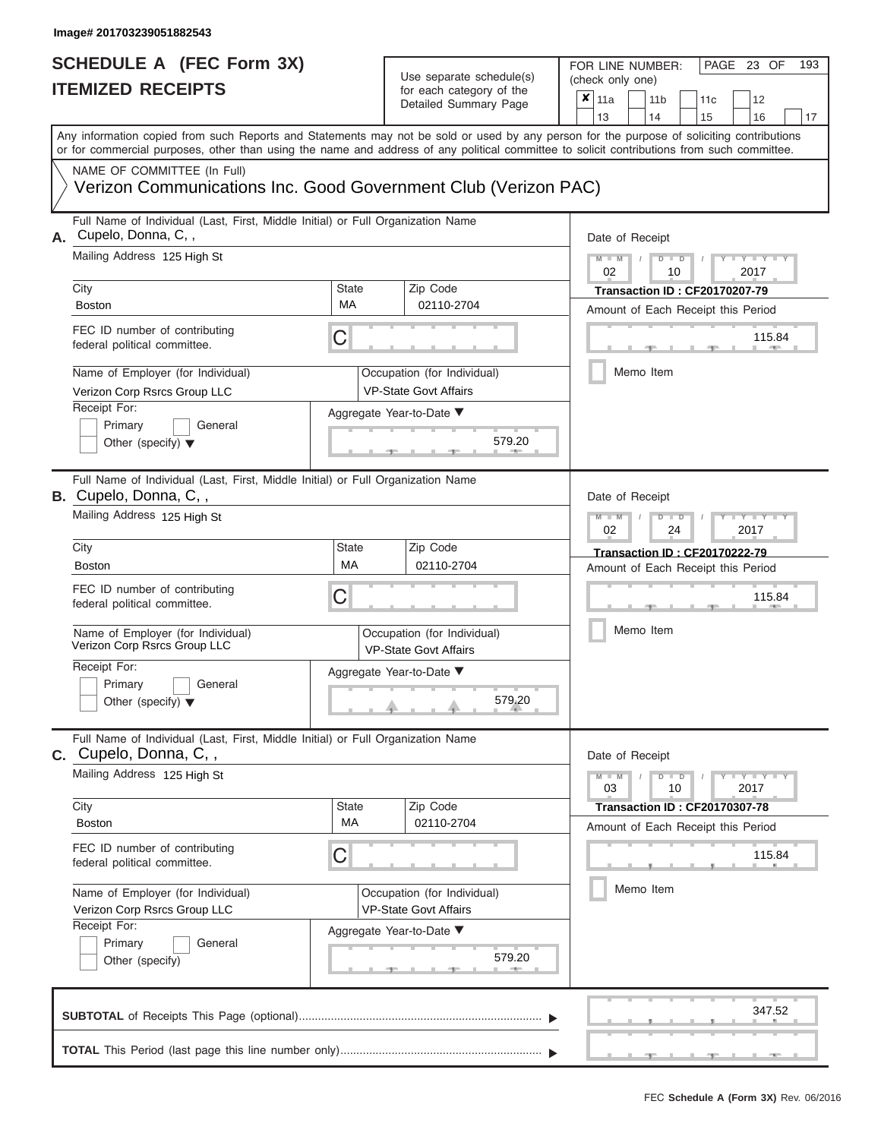#### **SCHEDULE A (FEC Form 3X) ITEMIZED RECEIPTS**

# Use separate schedule(s)

FOR LINE NUMBER:<br>(check only one)

PAGE 23 OF 193

| IIEMIZED KEUEIPIS                                                                                                                                  |                                                               | for each category of the<br>Detailed Summary Page                                       | ×<br>11a<br>11 <sub>b</sub><br>11c<br>12<br>13<br>14<br>15<br>16<br>17                                                                    |  |  |  |  |  |  |  |
|----------------------------------------------------------------------------------------------------------------------------------------------------|---------------------------------------------------------------|-----------------------------------------------------------------------------------------|-------------------------------------------------------------------------------------------------------------------------------------------|--|--|--|--|--|--|--|
| or for commercial purposes, other than using the name and address of any political committee to solicit contributions from such committee.         |                                                               |                                                                                         | Any information copied from such Reports and Statements may not be sold or used by any person for the purpose of soliciting contributions |  |  |  |  |  |  |  |
| NAME OF COMMITTEE (In Full)<br>Verizon Communications Inc. Good Government Club (Verizon PAC)                                                      |                                                               |                                                                                         |                                                                                                                                           |  |  |  |  |  |  |  |
| Full Name of Individual (Last, First, Middle Initial) or Full Organization Name<br>Cupelo, Donna, C,,<br>А.<br>Mailing Address 125 High St<br>City | <b>State</b>                                                  | Zip Code                                                                                | Date of Receipt<br>$M - M$<br>Y LTY LT<br>$D$ $D$<br>02<br>2017<br>10<br><b>Transaction ID: CF20170207-79</b>                             |  |  |  |  |  |  |  |
| <b>Boston</b>                                                                                                                                      | MA                                                            | 02110-2704                                                                              | Amount of Each Receipt this Period                                                                                                        |  |  |  |  |  |  |  |
| FEC ID number of contributing<br>federal political committee.                                                                                      | C                                                             |                                                                                         | 115.84                                                                                                                                    |  |  |  |  |  |  |  |
| Name of Employer (for Individual)<br>Verizon Corp Rsrcs Group LLC<br>Receipt For:                                                                  |                                                               | Occupation (for Individual)<br><b>VP-State Govt Affairs</b><br>Aggregate Year-to-Date ▼ | Memo Item                                                                                                                                 |  |  |  |  |  |  |  |
| Primary<br>General<br>Other (specify) $\blacktriangledown$                                                                                         |                                                               | 579.20                                                                                  |                                                                                                                                           |  |  |  |  |  |  |  |
| Full Name of Individual (Last, First, Middle Initial) or Full Organization Name<br><b>B.</b> Cupelo, Donna, C.,                                    |                                                               |                                                                                         | Date of Receipt                                                                                                                           |  |  |  |  |  |  |  |
| Mailing Address 125 High St                                                                                                                        | $M - M$<br><b>LYLYL</b><br>$D$ $\Box$ $D$<br>02<br>24<br>2017 |                                                                                         |                                                                                                                                           |  |  |  |  |  |  |  |
| City<br><b>Boston</b>                                                                                                                              | State<br>МA                                                   | Zip Code<br>02110-2704                                                                  | <b>Transaction ID: CF20170222-79</b><br>Amount of Each Receipt this Period                                                                |  |  |  |  |  |  |  |
| FEC ID number of contributing<br>federal political committee.                                                                                      | C                                                             | 115.84                                                                                  |                                                                                                                                           |  |  |  |  |  |  |  |
| Name of Employer (for Individual)<br>Verizon Corp Rsrcs Group LLC                                                                                  |                                                               | Occupation (for Individual)<br><b>VP-State Govt Affairs</b>                             | Memo Item                                                                                                                                 |  |  |  |  |  |  |  |
| Receipt For:<br>Primary<br>General<br>Other (specify) $\blacktriangledown$                                                                         |                                                               | Aggregate Year-to-Date ▼<br>579.20                                                      |                                                                                                                                           |  |  |  |  |  |  |  |
| Full Name of Individual (Last, First, Middle Initial) or Full Organization Name<br><b>C.</b> Cupelo, Donna, C,,                                    |                                                               |                                                                                         | Date of Receipt                                                                                                                           |  |  |  |  |  |  |  |
| Mailing Address 125 High St                                                                                                                        |                                                               |                                                                                         | $-Y - Y - Y - Y$<br>$M - M$<br>$D$ $D$<br>10<br>03<br>2017                                                                                |  |  |  |  |  |  |  |
| City<br><b>Boston</b>                                                                                                                              | <b>State</b><br>МA                                            | Zip Code<br>02110-2704                                                                  | <b>Transaction ID: CF20170307-78</b><br>Amount of Each Receipt this Period                                                                |  |  |  |  |  |  |  |
| FEC ID number of contributing<br>federal political committee.                                                                                      | C                                                             |                                                                                         | 115.84                                                                                                                                    |  |  |  |  |  |  |  |
| Name of Employer (for Individual)<br>Verizon Corp Rsrcs Group LLC                                                                                  |                                                               | Occupation (for Individual)<br><b>VP-State Govt Affairs</b>                             | Memo Item                                                                                                                                 |  |  |  |  |  |  |  |
| Receipt For:<br>Primary<br>General<br>Other (specify)                                                                                              |                                                               | Aggregate Year-to-Date ▼<br>579.20<br><b>AND IN</b>                                     |                                                                                                                                           |  |  |  |  |  |  |  |
|                                                                                                                                                    |                                                               |                                                                                         | 347.52                                                                                                                                    |  |  |  |  |  |  |  |
|                                                                                                                                                    |                                                               |                                                                                         |                                                                                                                                           |  |  |  |  |  |  |  |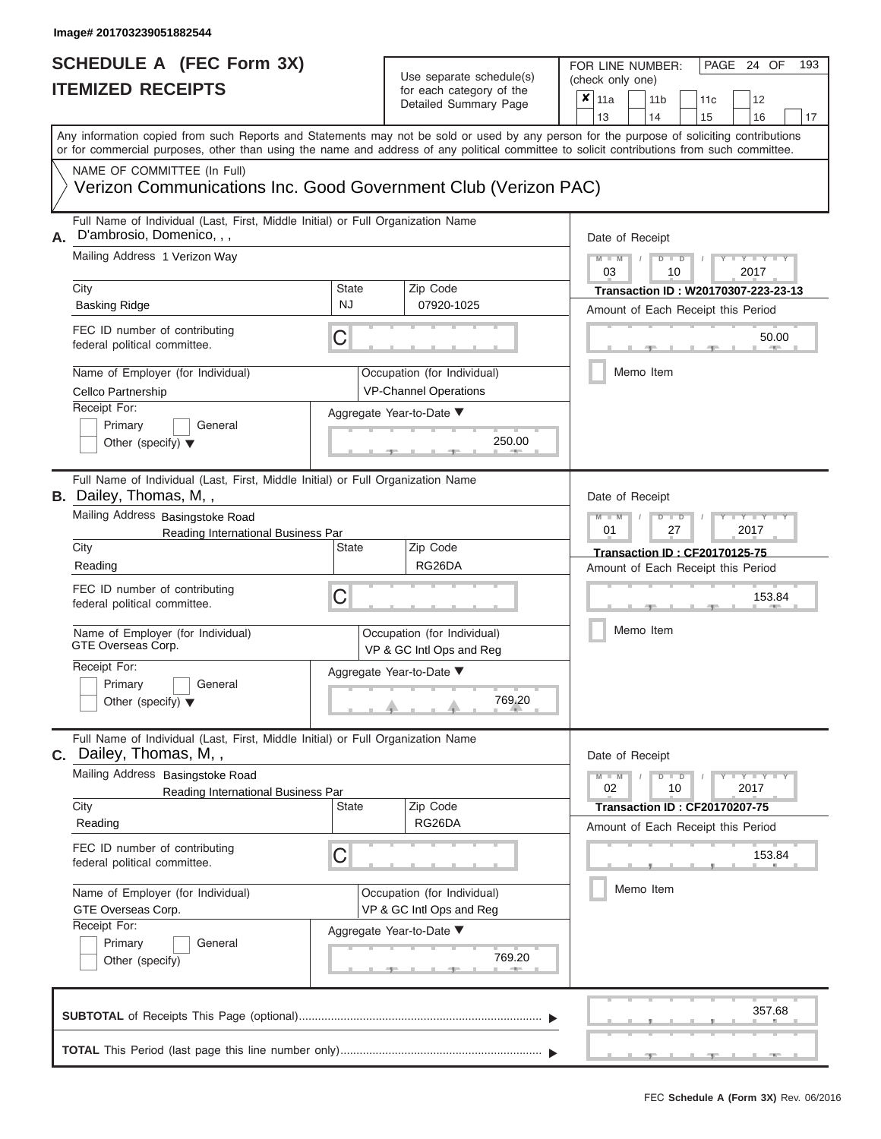#### **SCHEDULE A (FEC Form 3X) ITEMIZED RECEIPTS**

# Use separate schedule(s)

FOR LINE NUMBER:<br>(check only one)

PAGE 24 OF 193

|    | IIEMIZED KEUEIPIS                                                                                                                                                                                                                                                                       |              | for each category of the<br>Detailed Summary Page                    | ×<br>11a<br>11 <sub>b</sub><br>11c<br>12<br>13<br>14<br>15<br>16<br>17     |  |  |  |  |
|----|-----------------------------------------------------------------------------------------------------------------------------------------------------------------------------------------------------------------------------------------------------------------------------------------|--------------|----------------------------------------------------------------------|----------------------------------------------------------------------------|--|--|--|--|
|    | Any information copied from such Reports and Statements may not be sold or used by any person for the purpose of soliciting contributions<br>or for commercial purposes, other than using the name and address of any political committee to solicit contributions from such committee. |              |                                                                      |                                                                            |  |  |  |  |
|    | NAME OF COMMITTEE (In Full)<br>Verizon Communications Inc. Good Government Club (Verizon PAC)                                                                                                                                                                                           |              |                                                                      |                                                                            |  |  |  |  |
| Α. | Full Name of Individual (Last, First, Middle Initial) or Full Organization Name<br>D'ambrosio, Domenico, , ,<br>Mailing Address 1 Verizon Way                                                                                                                                           |              |                                                                      | Date of Receipt<br>$M - M$<br>$Y - Y - Y$<br>$D$ $D$<br>03<br>2017<br>10   |  |  |  |  |
|    | City<br>NJ<br><b>Basking Ridge</b>                                                                                                                                                                                                                                                      | <b>State</b> | Zip Code<br>07920-1025                                               | Transaction ID: W20170307-223-23-13<br>Amount of Each Receipt this Period  |  |  |  |  |
|    | FEC ID number of contributing<br>C<br>federal political committee.                                                                                                                                                                                                                      |              |                                                                      | 50.00                                                                      |  |  |  |  |
|    | Name of Employer (for Individual)<br>Cellco Partnership                                                                                                                                                                                                                                 |              | Occupation (for Individual)<br><b>VP-Channel Operations</b>          | Memo Item                                                                  |  |  |  |  |
|    | Receipt For:<br>Primary<br>General<br>Other (specify) $\blacktriangledown$                                                                                                                                                                                                              |              | Aggregate Year-to-Date ▼<br>250.00                                   |                                                                            |  |  |  |  |
|    | Full Name of Individual (Last, First, Middle Initial) or Full Organization Name<br><b>B.</b> Dailey, Thomas, M.,                                                                                                                                                                        |              |                                                                      | Date of Receipt                                                            |  |  |  |  |
|    | Mailing Address Basingstoke Road<br>Reading International Business Par                                                                                                                                                                                                                  |              | $T - Y = T - Y = T$<br>$M - M$<br>$D$ $\Box$ $D$<br>01<br>27<br>2017 |                                                                            |  |  |  |  |
|    | City<br>Reading                                                                                                                                                                                                                                                                         | State        | Zip Code<br>RG26DA                                                   | <b>Transaction ID: CF20170125-75</b><br>Amount of Each Receipt this Period |  |  |  |  |
|    | FEC ID number of contributing<br>C<br>federal political committee.                                                                                                                                                                                                                      |              | 153.84                                                               |                                                                            |  |  |  |  |
|    | Name of Employer (for Individual)<br>GTE Overseas Corp.                                                                                                                                                                                                                                 |              | Occupation (for Individual)<br>VP & GC Intl Ops and Reg              | Memo Item                                                                  |  |  |  |  |
|    | Receipt For:<br>Primary<br>General<br>Other (specify) $\blacktriangledown$                                                                                                                                                                                                              |              | Aggregate Year-to-Date ▼<br>769.20                                   |                                                                            |  |  |  |  |
|    | Full Name of Individual (Last, First, Middle Initial) or Full Organization Name<br><b>C.</b> Dailey, Thomas, M,,                                                                                                                                                                        |              |                                                                      | Date of Receipt                                                            |  |  |  |  |
|    | Mailing Address Basingstoke Road<br>Reading International Business Par                                                                                                                                                                                                                  |              |                                                                      | $Y - Y - Y$<br>$M - M$<br>$D$ $D$<br>10<br>02<br>2017                      |  |  |  |  |
|    | City<br>Reading                                                                                                                                                                                                                                                                         | <b>State</b> | Zip Code<br>RG26DA                                                   | <b>Transaction ID: CF20170207-75</b><br>Amount of Each Receipt this Period |  |  |  |  |
|    | FEC ID number of contributing<br>C<br>federal political committee.                                                                                                                                                                                                                      |              |                                                                      | 153.84                                                                     |  |  |  |  |
|    | Name of Employer (for Individual)<br>GTE Overseas Corp.<br>Receipt For:                                                                                                                                                                                                                 |              | Occupation (for Individual)<br>VP & GC Intl Ops and Reg              | Memo Item                                                                  |  |  |  |  |
|    | Primary<br>General<br>Other (specify)                                                                                                                                                                                                                                                   |              | Aggregate Year-to-Date ▼<br>769.20<br><b>AND IN</b>                  |                                                                            |  |  |  |  |
|    |                                                                                                                                                                                                                                                                                         |              |                                                                      | 357.68                                                                     |  |  |  |  |
|    |                                                                                                                                                                                                                                                                                         |              |                                                                      |                                                                            |  |  |  |  |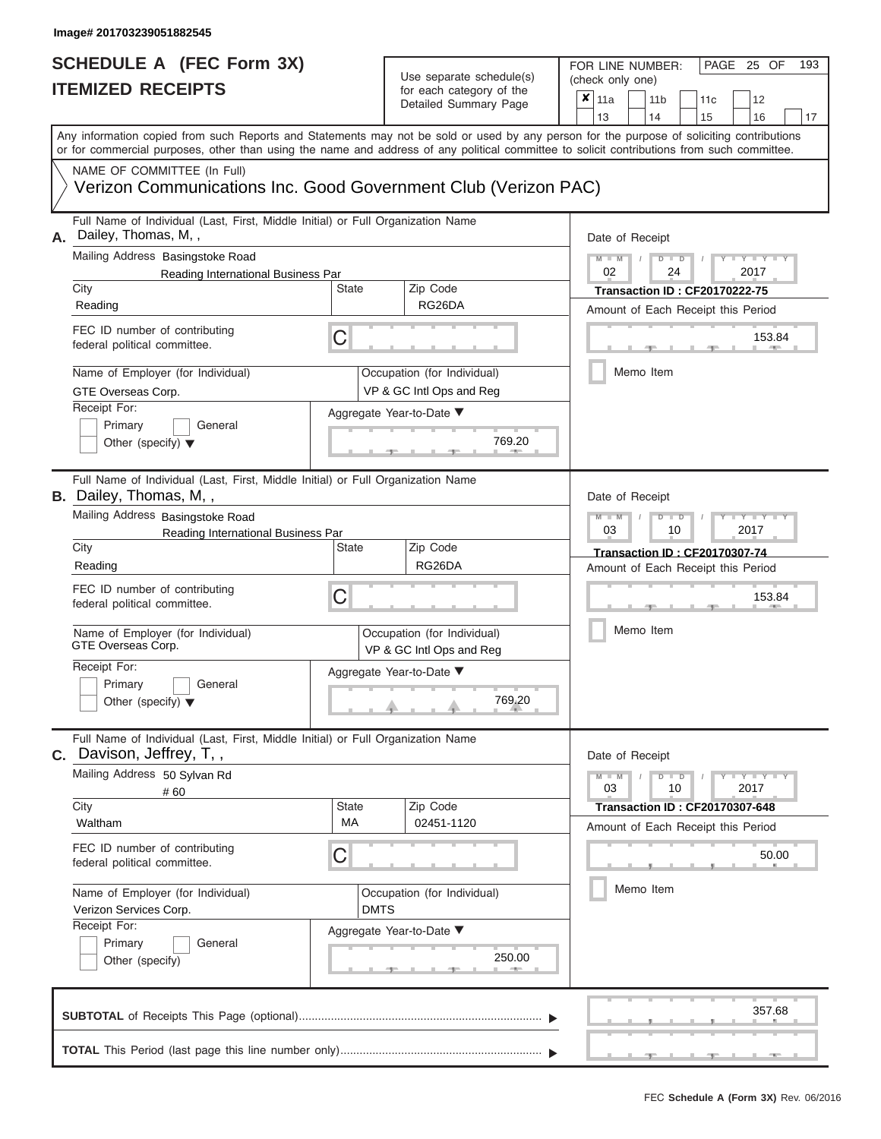ı

## **SCHEDULE A (FEC Form 3X) ITEMIZED RECEIPTS**

# Use separate schedule(s)<br>for each category of the

FOR LINE NUMBER:<br>(check only one)

PAGE 25 OF 193

|    | IILMILLY INLVLII I                                                                                                                                                                                                                                                                      |                                                         | ινι σανιι ναισγυιγ νι ιιισ<br>Detailed Summary Page     | x                                                                              | 11a<br>13       |           | 11 <sub>b</sub><br>14 |                      | 11c                                                                         |  | 12                |    |
|----|-----------------------------------------------------------------------------------------------------------------------------------------------------------------------------------------------------------------------------------------------------------------------------------------|---------------------------------------------------------|---------------------------------------------------------|--------------------------------------------------------------------------------|-----------------|-----------|-----------------------|----------------------|-----------------------------------------------------------------------------|--|-------------------|----|
|    | Any information copied from such Reports and Statements may not be sold or used by any person for the purpose of soliciting contributions<br>or for commercial purposes, other than using the name and address of any political committee to solicit contributions from such committee. |                                                         |                                                         |                                                                                |                 |           |                       |                      | 15                                                                          |  | 16                | 17 |
|    | NAME OF COMMITTEE (In Full)<br>Verizon Communications Inc. Good Government Club (Verizon PAC)                                                                                                                                                                                           |                                                         |                                                         |                                                                                |                 |           |                       |                      |                                                                             |  |                   |    |
| А. | Full Name of Individual (Last, First, Middle Initial) or Full Organization Name<br>Dailey, Thomas, M,,                                                                                                                                                                                  |                                                         |                                                         | Date of Receipt                                                                |                 |           |                       |                      |                                                                             |  |                   |    |
|    | Mailing Address Basingstoke Road<br>Reading International Business Par<br>City                                                                                                                                                                                                          | <b>State</b>                                            | Zip Code<br>RG26DA                                      | $M - M$<br>$D$ $D$<br>02<br>24<br>2017<br><b>Transaction ID: CF20170222-75</b> |                 |           |                       |                      |                                                                             |  |                   |    |
|    | Reading<br>FEC ID number of contributing<br>C<br>federal political committee.                                                                                                                                                                                                           |                                                         |                                                         | Amount of Each Receipt this Period<br>153.84                                   |                 |           |                       |                      |                                                                             |  |                   |    |
|    | Name of Employer (for Individual)<br>GTE Overseas Corp.<br>Receipt For:                                                                                                                                                                                                                 |                                                         | Occupation (for Individual)<br>VP & GC Intl Ops and Reg |                                                                                |                 |           | Memo Item             |                      |                                                                             |  |                   |    |
|    | Primary<br>General<br>Other (specify) $\blacktriangledown$                                                                                                                                                                                                                              |                                                         | Aggregate Year-to-Date ▼<br>769.20                      |                                                                                |                 |           |                       |                      |                                                                             |  |                   |    |
|    | Full Name of Individual (Last, First, Middle Initial) or Full Organization Name<br>B. Dailey, Thomas, M,,                                                                                                                                                                               |                                                         |                                                         |                                                                                | Date of Receipt |           |                       |                      |                                                                             |  |                   |    |
|    | Mailing Address Basingstoke Road<br>Reading International Business Par<br>City                                                                                                                                                                                                          | <b>State</b>                                            | Zip Code                                                | $M - M$<br>$D$ $D$<br>03<br>2017<br>10<br><b>Transaction ID: CF20170307-74</b> |                 |           |                       |                      |                                                                             |  |                   |    |
|    | Reading                                                                                                                                                                                                                                                                                 |                                                         | RG26DA                                                  |                                                                                |                 |           |                       |                      | Amount of Each Receipt this Period                                          |  |                   |    |
|    | FEC ID number of contributing<br>C<br>federal political committee.                                                                                                                                                                                                                      |                                                         | 153.84                                                  |                                                                                |                 |           |                       |                      |                                                                             |  |                   |    |
|    | Name of Employer (for Individual)<br>GTE Overseas Corp.                                                                                                                                                                                                                                 | Occupation (for Individual)<br>VP & GC Intl Ops and Reg |                                                         |                                                                                |                 | Memo Item |                       |                      |                                                                             |  |                   |    |
|    | Receipt For:<br>Primary<br>General<br>Other (specify) $\blacktriangledown$                                                                                                                                                                                                              |                                                         | Aggregate Year-to-Date ▼<br>769.20                      |                                                                                |                 |           |                       |                      |                                                                             |  |                   |    |
| С. | Full Name of Individual (Last, First, Middle Initial) or Full Organization Name<br>Davison, Jeffrey, T,,                                                                                                                                                                                |                                                         |                                                         |                                                                                | Date of Receipt |           |                       |                      |                                                                             |  |                   |    |
|    | Mailing Address 50 Sylvan Rd<br>#60                                                                                                                                                                                                                                                     | <b>State</b>                                            | Zip Code                                                |                                                                                | $M - M$<br>03   |           |                       | $D$ $\Box$ $D$<br>10 |                                                                             |  | $Y - Y -$<br>2017 |    |
|    | City<br>Waltham                                                                                                                                                                                                                                                                         | МA                                                      | 02451-1120                                              |                                                                                |                 |           |                       |                      | <b>Transaction ID: CF20170307-648</b><br>Amount of Each Receipt this Period |  |                   |    |
|    | FEC ID number of contributing<br>C<br>federal political committee.                                                                                                                                                                                                                      |                                                         |                                                         |                                                                                |                 |           |                       |                      |                                                                             |  | 50.00             |    |
|    | Name of Employer (for Individual)<br>Verizon Services Corp.                                                                                                                                                                                                                             | <b>DMTS</b>                                             | Occupation (for Individual)                             |                                                                                |                 |           | Memo Item             |                      |                                                                             |  |                   |    |
|    | Receipt For:<br>Primary<br>General<br>Other (specify)                                                                                                                                                                                                                                   |                                                         | Aggregate Year-to-Date ▼<br>250.00                      |                                                                                |                 |           |                       |                      |                                                                             |  |                   |    |
|    |                                                                                                                                                                                                                                                                                         |                                                         |                                                         |                                                                                |                 |           |                       |                      |                                                                             |  | 357.68            |    |
|    |                                                                                                                                                                                                                                                                                         |                                                         |                                                         |                                                                                |                 |           |                       |                      |                                                                             |  |                   |    |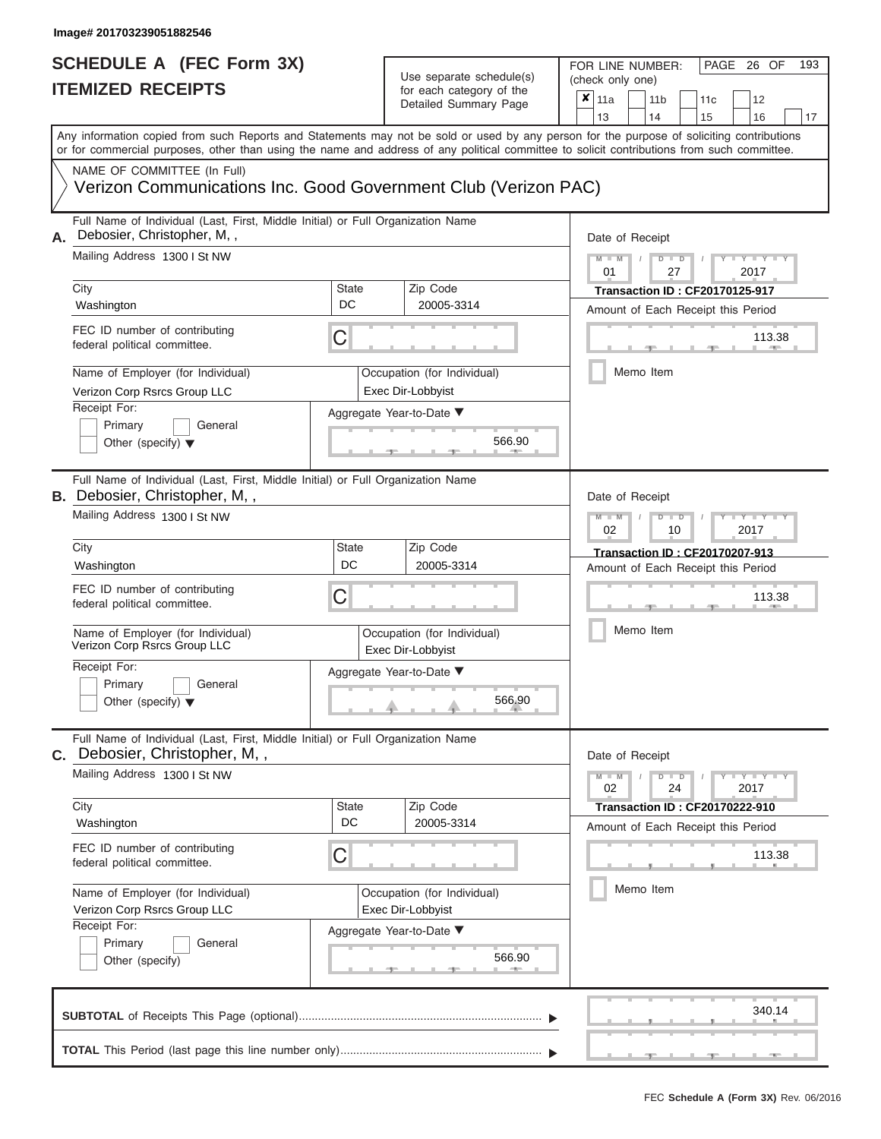| SCHEDULE A (FEC Form 3X)<br><b>ITEMIZED RECEIPTS</b>                                                                                                                                                                                                                                                                                                                                              |                         | Use separate schedule(s)<br>for each category of the<br>Detailed Summary Page                                    | 193<br>FOR LINE NUMBER:<br>PAGE 26 OF<br>(check only one)<br>$\overline{\mathbf{x}}$   11a<br>11 <sub>b</sub><br>12<br>11c<br>13<br>14<br>15<br>16<br>17                                 |
|---------------------------------------------------------------------------------------------------------------------------------------------------------------------------------------------------------------------------------------------------------------------------------------------------------------------------------------------------------------------------------------------------|-------------------------|------------------------------------------------------------------------------------------------------------------|------------------------------------------------------------------------------------------------------------------------------------------------------------------------------------------|
| Any information copied from such Reports and Statements may not be sold or used by any person for the purpose of soliciting contributions<br>or for commercial purposes, other than using the name and address of any political committee to solicit contributions from such committee.<br>NAME OF COMMITTEE (In Full)<br>Verizon Communications Inc. Good Government Club (Verizon PAC)          |                         |                                                                                                                  |                                                                                                                                                                                          |
| Full Name of Individual (Last, First, Middle Initial) or Full Organization Name<br>Debosier, Christopher, M,,<br>А.<br>Mailing Address 1300 I St NW<br>City<br>Washington<br>FEC ID number of contributing<br>federal political committee.<br>Name of Employer (for Individual)<br>Verizon Corp Rsrcs Group LLC<br>Receipt For:<br>Primary<br>General<br>Other (specify) $\blacktriangledown$     | <b>State</b><br>DC<br>C | Zip Code<br>20005-3314<br>Occupation (for Individual)<br>Exec Dir-Lobbyist<br>Aggregate Year-to-Date ▼<br>566.90 | Date of Receipt<br>$M - M$<br>$D$ $D$<br>Y I Y I<br>$\sqrt{ }$<br>01<br>27<br>2017<br><b>Transaction ID: CF20170125-917</b><br>Amount of Each Receipt this Period<br>113.38<br>Memo Item |
| Full Name of Individual (Last, First, Middle Initial) or Full Organization Name<br><b>B.</b> Debosier, Christopher, M,,<br>Mailing Address 1300 I St NW<br>City<br>Washington<br>FEC ID number of contributing<br>federal political committee.<br>Name of Employer (for Individual)<br>Verizon Corp Rsrcs Group LLC<br>Receipt For:<br>Primary<br>General<br>Other (specify) $\blacktriangledown$ | State<br>DC<br>С        | Zip Code<br>20005-3314<br>Occupation (for Individual)<br>Exec Dir-Lobbyist<br>Aggregate Year-to-Date ▼<br>566.90 | Date of Receipt<br>$M - M$<br>$D$ $\Box$ $D$<br>Y TY<br>2017<br>02<br>10<br>Transaction ID: CF20170207-913<br>Amount of Each Receipt this Period<br>113.38<br>Memo Item                  |
| Full Name of Individual (Last, First, Middle Initial) or Full Organization Name<br>Debosier, Christopher, M,,<br>С.<br>Mailing Address 1300 I St NW<br>City<br>Washington<br>FEC ID number of contributing<br>federal political committee.<br>Name of Employer (for Individual)<br>Verizon Corp Rsrcs Group LLC<br>Receipt For:<br>Primary<br>General<br>Other (specify)                          | <b>State</b><br>DC<br>С | Zip Code<br>20005-3314<br>Occupation (for Individual)<br>Exec Dir-Lobbyist<br>Aggregate Year-to-Date ▼<br>566.90 | Date of Receipt<br>$M - M$<br>$D$ $D$<br>$+Y+Y+Y$<br>24<br>2017<br>02<br><b>Transaction ID: CF20170222-910</b><br>Amount of Each Receipt this Period<br>113.38<br>Memo Item              |
|                                                                                                                                                                                                                                                                                                                                                                                                   |                         |                                                                                                                  | 340.14                                                                                                                                                                                   |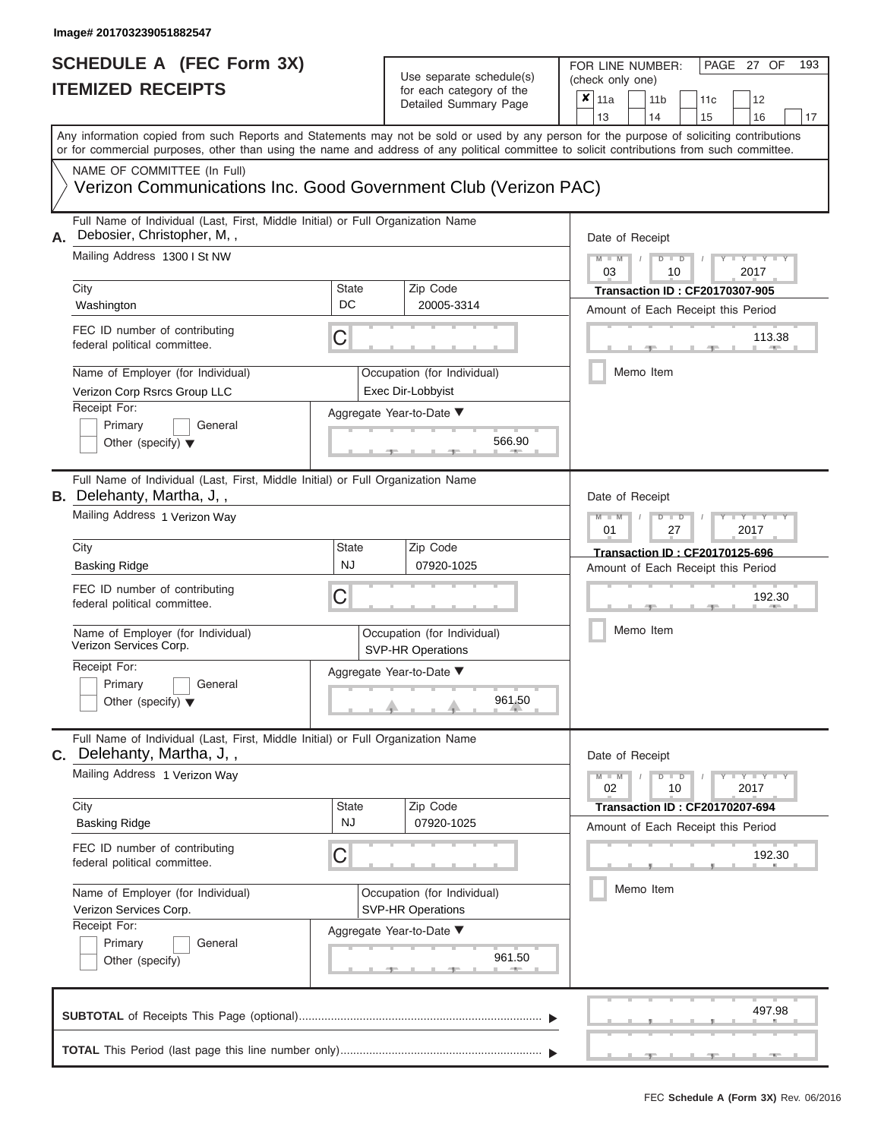# Use separate schedule(s)

| SCHEDULE A (FEC Form 3X)<br><b>ITEMIZED RECEIPTS</b>                                                                                                                                                                                                                                                                                                                                               |                         | Use separate schedule(s)<br>for each category of the<br>Detailed Summary Page                                           | 193<br>FOR LINE NUMBER:<br>PAGE 27 OF<br>(check only one)<br>$\overline{\mathbf{x}}$   11a<br>11 <sub>b</sub><br>12<br>11 <sub>c</sub><br>13<br>14<br>15<br>16<br>17                                     |
|----------------------------------------------------------------------------------------------------------------------------------------------------------------------------------------------------------------------------------------------------------------------------------------------------------------------------------------------------------------------------------------------------|-------------------------|-------------------------------------------------------------------------------------------------------------------------|----------------------------------------------------------------------------------------------------------------------------------------------------------------------------------------------------------|
| Any information copied from such Reports and Statements may not be sold or used by any person for the purpose of soliciting contributions<br>or for commercial purposes, other than using the name and address of any political committee to solicit contributions from such committee.<br>NAME OF COMMITTEE (In Full)<br>Verizon Communications Inc. Good Government Club (Verizon PAC)           |                         |                                                                                                                         |                                                                                                                                                                                                          |
| Full Name of Individual (Last, First, Middle Initial) or Full Organization Name<br>Debosier, Christopher, M,,<br>А.<br>Mailing Address 1300 I St NW<br>City<br>Washington<br>FEC ID number of contributing<br>federal political committee.<br>Name of Employer (for Individual)<br>Verizon Corp Rsrcs Group LLC<br>Receipt For:<br>Primary<br>General<br>Other (specify) $\blacktriangledown$      | <b>State</b><br>DC<br>С | Zip Code<br>20005-3314<br>Occupation (for Individual)<br>Exec Dir-Lobbyist<br>Aggregate Year-to-Date ▼<br>566.90        | Date of Receipt<br>$M - M$<br>$D$ $D$<br>Y TY T<br>$\sqrt{ }$<br>03<br>2017<br>10<br><b>Transaction ID: CF20170307-905</b><br>Amount of Each Receipt this Period<br>113.38<br><b>AND IN</b><br>Memo Item |
| Full Name of Individual (Last, First, Middle Initial) or Full Organization Name<br><b>B.</b> Delehanty, Martha, J,,<br>Mailing Address 1 Verizon Way<br>City<br><b>Basking Ridge</b><br>FEC ID number of contributing<br>federal political committee.<br>Name of Employer (for Individual)<br>Verizon Services Corp.<br>Receipt For:<br>Primary<br>General<br>Other (specify) $\blacktriangledown$ | State<br><b>NJ</b><br>С | Zip Code<br>07920-1025<br>Occupation (for Individual)<br><b>SVP-HR Operations</b><br>Aggregate Year-to-Date ▼<br>961.50 | Date of Receipt<br>$M - M$<br>$D$ $\Box$ $D$<br>Y TY<br>01<br>2017<br>27<br>Transaction ID: CF20170125-696<br>Amount of Each Receipt this Period<br>192.30<br>Memo Item                                  |
| Full Name of Individual (Last, First, Middle Initial) or Full Organization Name<br>C. Delehanty, Martha, J,,<br>Mailing Address 1 Verizon Way<br>City<br><b>Basking Ridge</b><br>FEC ID number of contributing<br>federal political committee.<br>Name of Employer (for Individual)<br>Verizon Services Corp.<br>Receipt For:<br>Primary<br>General<br>Other (specify)                             | State<br><b>NJ</b><br>С | Zip Code<br>07920-1025<br>Occupation (for Individual)<br><b>SVP-HR Operations</b><br>Aggregate Year-to-Date ▼<br>961.50 | Date of Receipt<br>$M - M$<br>$D$ $D$<br>$T - Y = Y - T Y$<br>02<br>2017<br>10<br><b>Transaction ID: CF20170207-694</b><br>Amount of Each Receipt this Period<br>192.30<br>Memo Item                     |
|                                                                                                                                                                                                                                                                                                                                                                                                    |                         |                                                                                                                         | 497.98                                                                                                                                                                                                   |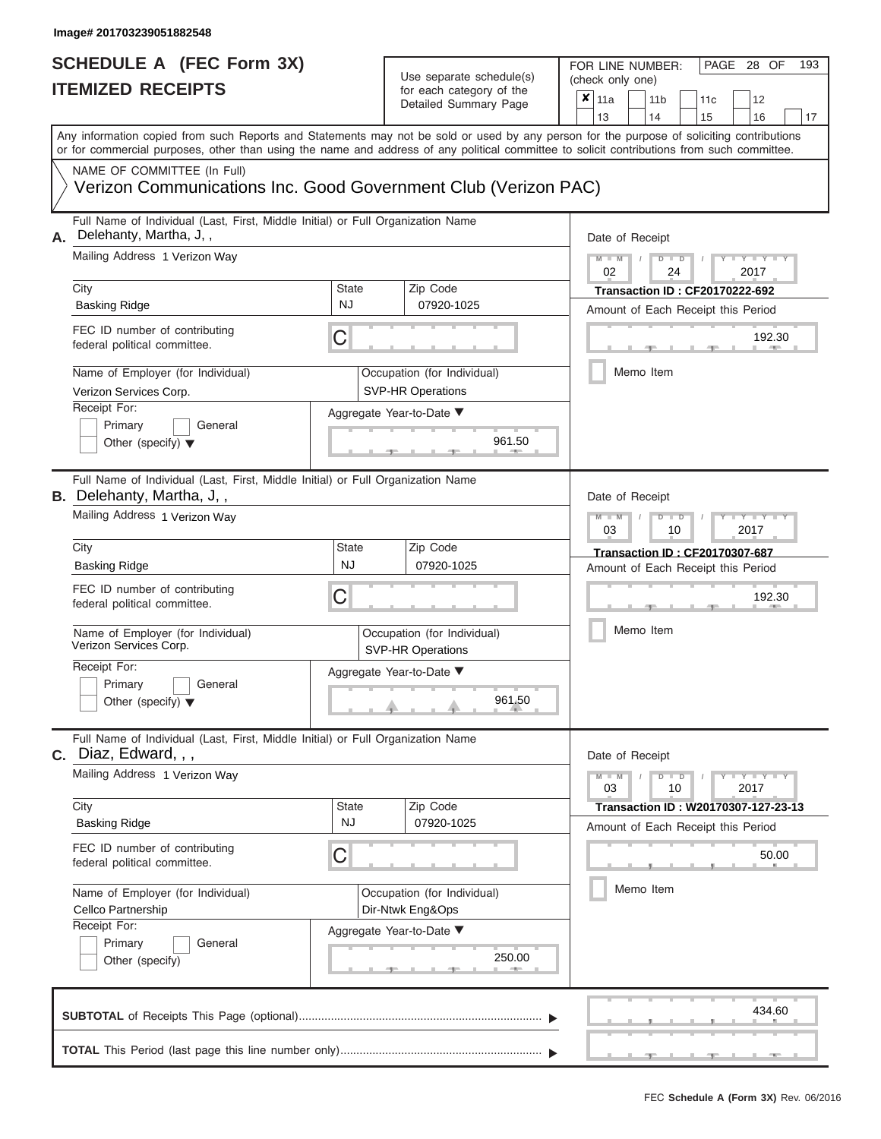#### **SCHEDULE A (FEC Form 3X) ITEMIZED RECEIPTS**

# Use separate schedule(s)<br>for each category of the

FOR LINE NUMBER:<br>(check only one)

PAGE 28 OF 193

| II EMILED REVEIF I J                                                                                                                                                                                                                                                                    |                                                         | ior each category or the                                | ×               | 11a                                                   |           | 11 <sub>b</sub> |  | 11c                                   |        | 12                                                                                                                                                                                            |    |
|-----------------------------------------------------------------------------------------------------------------------------------------------------------------------------------------------------------------------------------------------------------------------------------------|---------------------------------------------------------|---------------------------------------------------------|-----------------|-------------------------------------------------------|-----------|-----------------|--|---------------------------------------|--------|-----------------------------------------------------------------------------------------------------------------------------------------------------------------------------------------------|----|
|                                                                                                                                                                                                                                                                                         |                                                         | Detailed Summary Page                                   |                 | 13                                                    |           | 14              |  | 15                                    |        | 16                                                                                                                                                                                            | 17 |
| Any information copied from such Reports and Statements may not be sold or used by any person for the purpose of soliciting contributions<br>or for commercial purposes, other than using the name and address of any political committee to solicit contributions from such committee. |                                                         |                                                         |                 |                                                       |           |                 |  |                                       |        |                                                                                                                                                                                               |    |
| NAME OF COMMITTEE (In Full)                                                                                                                                                                                                                                                             |                                                         |                                                         |                 |                                                       |           |                 |  |                                       |        |                                                                                                                                                                                               |    |
| Verizon Communications Inc. Good Government Club (Verizon PAC)                                                                                                                                                                                                                          |                                                         |                                                         |                 |                                                       |           |                 |  |                                       |        |                                                                                                                                                                                               |    |
| Full Name of Individual (Last, First, Middle Initial) or Full Organization Name<br>Delehanty, Martha, J,,<br>Α.                                                                                                                                                                         |                                                         |                                                         | Date of Receipt |                                                       |           |                 |  |                                       |        |                                                                                                                                                                                               |    |
| Mailing Address 1 Verizon Way                                                                                                                                                                                                                                                           |                                                         |                                                         |                 | $M - M$<br>$Y - Y - I$<br>$D$ $D$<br>02<br>24<br>2017 |           |                 |  |                                       |        |                                                                                                                                                                                               |    |
| City                                                                                                                                                                                                                                                                                    | State                                                   | Zip Code                                                |                 | <b>Transaction ID: CF20170222-692</b>                 |           |                 |  |                                       |        |                                                                                                                                                                                               |    |
| <b>Basking Ridge</b>                                                                                                                                                                                                                                                                    | NJ                                                      | 07920-1025                                              |                 |                                                       |           |                 |  | Amount of Each Receipt this Period    |        |                                                                                                                                                                                               |    |
| FEC ID number of contributing<br>federal political committee.                                                                                                                                                                                                                           | С                                                       |                                                         | 192.30          |                                                       |           |                 |  |                                       |        |                                                                                                                                                                                               |    |
| Name of Employer (for Individual)<br>Verizon Services Corp.                                                                                                                                                                                                                             |                                                         | Occupation (for Individual)<br><b>SVP-HR Operations</b> |                 |                                                       |           | Memo Item       |  |                                       |        |                                                                                                                                                                                               |    |
| Receipt For:                                                                                                                                                                                                                                                                            |                                                         | Aggregate Year-to-Date ▼                                |                 |                                                       |           |                 |  |                                       |        |                                                                                                                                                                                               |    |
| Primary<br>General<br>Other (specify) $\blacktriangledown$                                                                                                                                                                                                                              |                                                         | 961.50                                                  |                 |                                                       |           |                 |  |                                       |        |                                                                                                                                                                                               |    |
| Full Name of Individual (Last, First, Middle Initial) or Full Organization Name<br><b>B.</b> Delehanty, Martha, J,,                                                                                                                                                                     |                                                         |                                                         |                 | Date of Receipt                                       |           |                 |  |                                       |        |                                                                                                                                                                                               |    |
| Mailing Address 1 Verizon Way                                                                                                                                                                                                                                                           |                                                         |                                                         |                 | $M - M$<br>03                                         |           | $D$ $D$<br>10   |  |                                       | 2017   | $-Y$                                                                                                                                                                                          |    |
| City                                                                                                                                                                                                                                                                                    | <b>State</b>                                            | Zip Code                                                |                 |                                                       |           |                 |  | <b>Transaction ID: CF20170307-687</b> |        |                                                                                                                                                                                               |    |
| <b>Basking Ridge</b>                                                                                                                                                                                                                                                                    | <b>NJ</b>                                               | 07920-1025                                              |                 |                                                       |           |                 |  | Amount of Each Receipt this Period    |        |                                                                                                                                                                                               |    |
| FEC ID number of contributing<br>federal political committee.                                                                                                                                                                                                                           |                                                         |                                                         |                 |                                                       |           |                 |  |                                       | 192.30 |                                                                                                                                                                                               |    |
| Name of Employer (for Individual)<br>Verizon Services Corp.                                                                                                                                                                                                                             | Occupation (for Individual)<br><b>SVP-HR Operations</b> |                                                         |                 |                                                       | Memo Item |                 |  |                                       |        |                                                                                                                                                                                               |    |
| Receipt For:                                                                                                                                                                                                                                                                            |                                                         | Aggregate Year-to-Date ▼                                |                 |                                                       |           |                 |  |                                       |        |                                                                                                                                                                                               |    |
| Primary<br>General<br>Other (specify) $\blacktriangledown$                                                                                                                                                                                                                              |                                                         | 961.50                                                  |                 |                                                       |           |                 |  |                                       |        |                                                                                                                                                                                               |    |
| Full Name of Individual (Last, First, Middle Initial) or Full Organization Name                                                                                                                                                                                                         |                                                         |                                                         |                 |                                                       |           |                 |  |                                       |        |                                                                                                                                                                                               |    |
| Diaz, Edward, , ,<br>С.<br>Mailing Address 1 Verizon Way                                                                                                                                                                                                                                |                                                         |                                                         |                 | Date of Receipt<br>$M - M$<br>03                      |           | $D$ $D$<br>10   |  |                                       |        | $\frac{1}{2}$ $\frac{1}{2}$ $\frac{1}{2}$ $\frac{1}{2}$ $\frac{1}{2}$ $\frac{1}{2}$ $\frac{1}{2}$ $\frac{1}{2}$ $\frac{1}{2}$ $\frac{1}{2}$ $\frac{1}{2}$ $\frac{1}{2}$ $\frac{1}{2}$<br>2017 |    |
| City                                                                                                                                                                                                                                                                                    | <b>State</b>                                            | Zip Code                                                |                 |                                                       |           |                 |  | Transaction ID: W20170307-127-23-13   |        |                                                                                                                                                                                               |    |
| <b>Basking Ridge</b>                                                                                                                                                                                                                                                                    | NJ.                                                     | 07920-1025                                              |                 |                                                       |           |                 |  | Amount of Each Receipt this Period    |        |                                                                                                                                                                                               |    |
| FEC ID number of contributing<br>federal political committee.                                                                                                                                                                                                                           | С                                                       |                                                         |                 |                                                       |           |                 |  |                                       |        | 50.00                                                                                                                                                                                         |    |
| Name of Employer (for Individual)<br>Cellco Partnership                                                                                                                                                                                                                                 |                                                         | Occupation (for Individual)<br>Dir-Ntwk Eng&Ops         |                 |                                                       |           | Memo Item       |  |                                       |        |                                                                                                                                                                                               |    |
| Receipt For:                                                                                                                                                                                                                                                                            |                                                         | Aggregate Year-to-Date ▼                                |                 |                                                       |           |                 |  |                                       |        |                                                                                                                                                                                               |    |
| General<br>Primary                                                                                                                                                                                                                                                                      |                                                         |                                                         |                 |                                                       |           |                 |  |                                       |        |                                                                                                                                                                                               |    |
| Other (specify)                                                                                                                                                                                                                                                                         |                                                         | 250.00                                                  |                 |                                                       |           |                 |  |                                       |        |                                                                                                                                                                                               |    |
|                                                                                                                                                                                                                                                                                         |                                                         |                                                         |                 |                                                       |           |                 |  |                                       |        | 434.60                                                                                                                                                                                        |    |
|                                                                                                                                                                                                                                                                                         |                                                         |                                                         |                 |                                                       |           |                 |  |                                       |        |                                                                                                                                                                                               |    |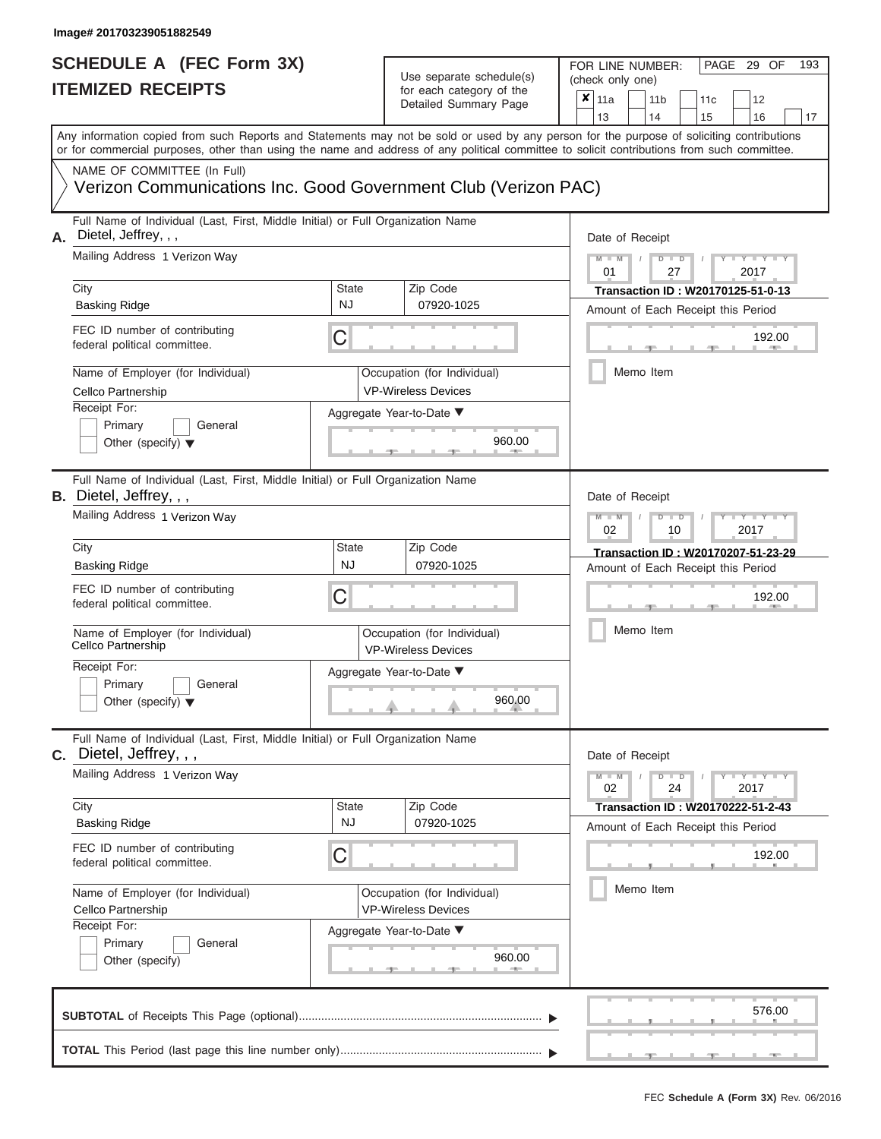# **SCHEDULE A (FEC Form 3X)**

| SCHEDULE A (FEC Form 3X)<br><b>ITEMIZED RECEIPTS</b>                                                                                                                                                                                                                                                                                                                                     |                                | Use separate schedule(s)<br>for each category of the<br>Detailed Summary Page                                             | 193<br>FOR LINE NUMBER:<br>PAGE 29 OF<br>(check only one)<br>$\overline{\mathbf{x}}$   11a<br>11 <sub>b</sub><br>12<br>11c<br>13<br>14<br>15<br>16<br>17                                          |
|------------------------------------------------------------------------------------------------------------------------------------------------------------------------------------------------------------------------------------------------------------------------------------------------------------------------------------------------------------------------------------------|--------------------------------|---------------------------------------------------------------------------------------------------------------------------|---------------------------------------------------------------------------------------------------------------------------------------------------------------------------------------------------|
| Any information copied from such Reports and Statements may not be sold or used by any person for the purpose of soliciting contributions<br>or for commercial purposes, other than using the name and address of any political committee to solicit contributions from such committee.<br>NAME OF COMMITTEE (In Full)<br>Verizon Communications Inc. Good Government Club (Verizon PAC) |                                |                                                                                                                           |                                                                                                                                                                                                   |
| Full Name of Individual (Last, First, Middle Initial) or Full Organization Name<br>Dietel, Jeffrey, , ,<br>А.<br>Mailing Address 1 Verizon Way<br>City<br><b>Basking Ridge</b><br>FEC ID number of contributing<br>federal political committee.<br>Name of Employer (for Individual)<br>Cellco Partnership<br>Receipt For:<br>Primary<br>General<br>Other (specify) $\blacktriangledown$ | <b>State</b><br><b>NJ</b><br>C | Zip Code<br>07920-1025<br>Occupation (for Individual)<br><b>VP-Wireless Devices</b><br>Aggregate Year-to-Date ▼<br>960.00 | Date of Receipt<br>$M = M$ /<br>$Y - Y - Y$<br>$D$ $D$<br>01<br>27<br>2017<br>Transaction ID: W20170125-51-0-13<br>Amount of Each Receipt this Period<br>192.00<br><b>CONTRACTOR</b><br>Memo Item |
| Full Name of Individual (Last, First, Middle Initial) or Full Organization Name<br>B. Dietel, Jeffrey, , ,<br>Mailing Address 1 Verizon Way<br>City<br><b>Basking Ridge</b><br>FEC ID number of contributing<br>federal political committee.<br>Name of Employer (for Individual)<br>Cellco Partnership<br>Receipt For:<br>Primary<br>General<br>Other (specify) $\blacktriangledown$    | State<br><b>NJ</b><br>С        | Zip Code<br>07920-1025<br>Occupation (for Individual)<br><b>VP-Wireless Devices</b><br>Aggregate Year-to-Date ▼<br>960.00 | Date of Receipt<br>$M - M$<br>$D$ $\Box$ $D$<br>Y L Y L<br>2017<br>02<br>10<br>Transaction ID: W20170207-51-23-29<br>Amount of Each Receipt this Period<br>192.00<br>Memo Item                    |
| Full Name of Individual (Last, First, Middle Initial) or Full Organization Name<br>C. Dietel, Jeffrey, , ,<br>Mailing Address 1 Verizon Way<br>City<br><b>Basking Ridge</b><br>FEC ID number of contributing<br>federal political committee.<br>Name of Employer (for Individual)<br>Cellco Partnership<br>Receipt For:<br>Primary<br>General<br>Other (specify)                         | <b>State</b><br><b>NJ</b><br>С | Zip Code<br>07920-1025<br>Occupation (for Individual)<br><b>VP-Wireless Devices</b><br>Aggregate Year-to-Date ▼<br>960.00 | Date of Receipt<br>$M - M$<br>$D$ $D$<br>$+Y+Y+Y$<br>24<br>02<br>2017<br>Transaction ID: W20170222-51-2-43<br>Amount of Each Receipt this Period<br>192.00<br>Memo Item                           |
|                                                                                                                                                                                                                                                                                                                                                                                          |                                |                                                                                                                           | 576.00                                                                                                                                                                                            |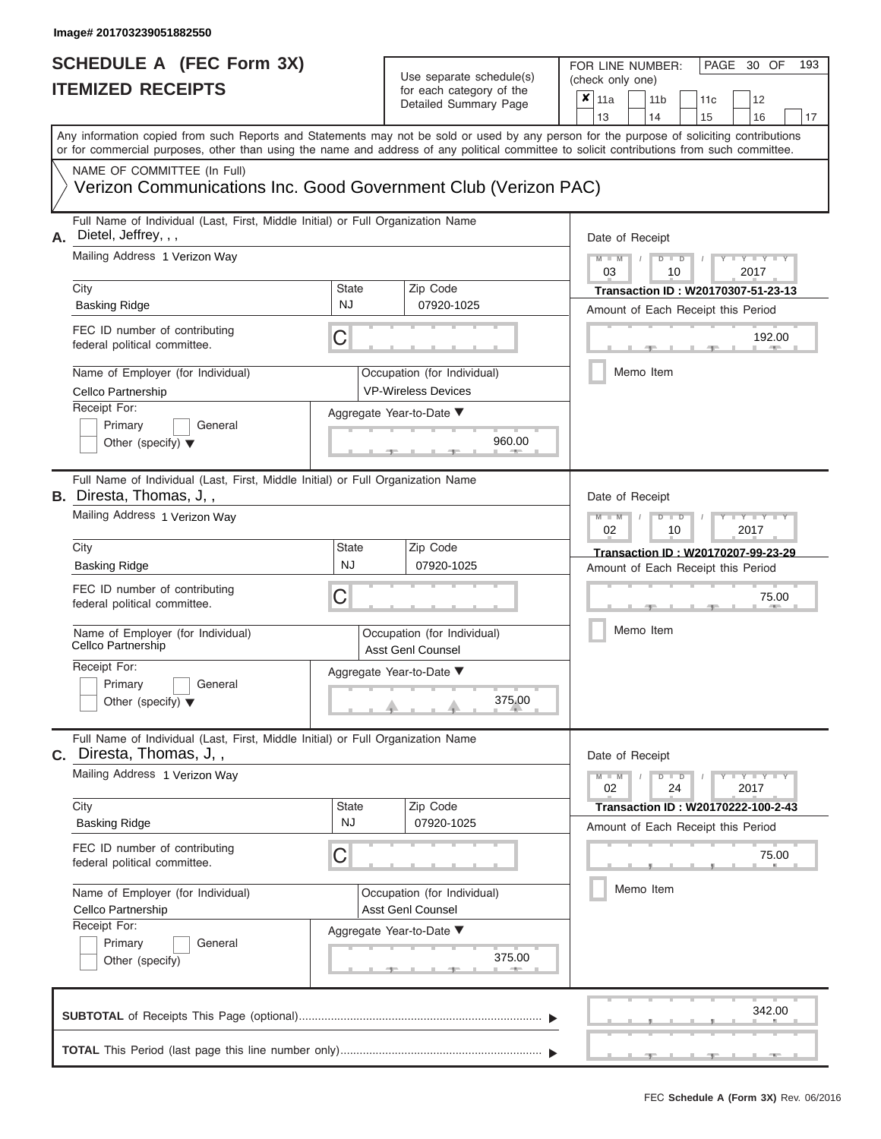# **SCHEDULE A (FEC Form 3X)**

| SCHEDULE A (FEC Form 3X)<br><b>ITEMIZED RECEIPTS</b>                                                                                                                                                                                                                                                                                                                                         |                                | Use separate schedule(s)<br>for each category of the<br>Detailed Summary Page                                             | 193<br>FOR LINE NUMBER:<br>PAGE 30 OF<br>(check only one)<br>$\overline{\mathbf{x}}$   11a<br>11 <sub>b</sub><br>11 <sub>c</sub><br>12<br>13<br>14<br>15<br>16<br>17                              |
|----------------------------------------------------------------------------------------------------------------------------------------------------------------------------------------------------------------------------------------------------------------------------------------------------------------------------------------------------------------------------------------------|--------------------------------|---------------------------------------------------------------------------------------------------------------------------|---------------------------------------------------------------------------------------------------------------------------------------------------------------------------------------------------|
| Any information copied from such Reports and Statements may not be sold or used by any person for the purpose of soliciting contributions<br>or for commercial purposes, other than using the name and address of any political committee to solicit contributions from such committee.<br>NAME OF COMMITTEE (In Full)<br>Verizon Communications Inc. Good Government Club (Verizon PAC)     |                                |                                                                                                                           |                                                                                                                                                                                                   |
| Full Name of Individual (Last, First, Middle Initial) or Full Organization Name<br>Dietel, Jeffrey, , ,<br>А.<br>Mailing Address 1 Verizon Way<br>City<br><b>Basking Ridge</b><br>FEC ID number of contributing<br>federal political committee.<br>Name of Employer (for Individual)<br>Cellco Partnership<br>Receipt For:<br>Primary<br>General<br>Other (specify) $\blacktriangledown$     | <b>State</b><br><b>NJ</b><br>C | Zip Code<br>07920-1025<br>Occupation (for Individual)<br><b>VP-Wireless Devices</b><br>Aggregate Year-to-Date ▼<br>960.00 | Date of Receipt<br>$M$ – $M$ /<br>$Y - Y - Y$<br>$D$ $D$<br>03<br>2017<br>10<br>Transaction ID: W20170307-51-23-13<br>Amount of Each Receipt this Period<br>192.00<br><b>COLLEGE</b><br>Memo Item |
| Full Name of Individual (Last, First, Middle Initial) or Full Organization Name<br><b>B.</b> Diresta, Thomas, J,,<br>Mailing Address 1 Verizon Way<br>City<br><b>Basking Ridge</b><br>FEC ID number of contributing<br>federal political committee.<br>Name of Employer (for Individual)<br>Cellco Partnership<br>Receipt For:<br>Primary<br>General<br>Other (specify) $\blacktriangledown$ | State<br><b>NJ</b><br>С        | Zip Code<br>07920-1025<br>Occupation (for Individual)<br><b>Asst Genl Counsel</b><br>Aggregate Year-to-Date ▼<br>375.00   | Date of Receipt<br>$M - M$<br>$Y - Y - Y$<br>$D$ $D$<br>02<br>2017<br>10<br>Transaction ID: W20170207-99-23-29<br>Amount of Each Receipt this Period<br>75.00<br>Memo Item                        |
| Full Name of Individual (Last, First, Middle Initial) or Full Organization Name<br><b>C.</b> Diresta, Thomas, J,,<br>Mailing Address 1 Verizon Way<br>City<br><b>Basking Ridge</b><br>FEC ID number of contributing<br>federal political committee.<br>Name of Employer (for Individual)<br>Cellco Partnership<br>Receipt For:<br>Primary<br>General<br>Other (specify)                      | <b>State</b><br><b>NJ</b><br>С | Zip Code<br>07920-1025<br>Occupation (for Individual)<br><b>Asst Genl Counsel</b><br>Aggregate Year-to-Date ▼<br>375.00   | Date of Receipt<br>$M - M$<br>$D$ $D$<br>$T - Y - T - Y - T - Y$<br>02<br>24<br>2017<br>Transaction ID: W20170222-100-2-43<br>Amount of Each Receipt this Period<br>75.00<br>Memo Item            |
|                                                                                                                                                                                                                                                                                                                                                                                              |                                |                                                                                                                           | 342.00<br>$-9$<br>$-1$                                                                                                                                                                            |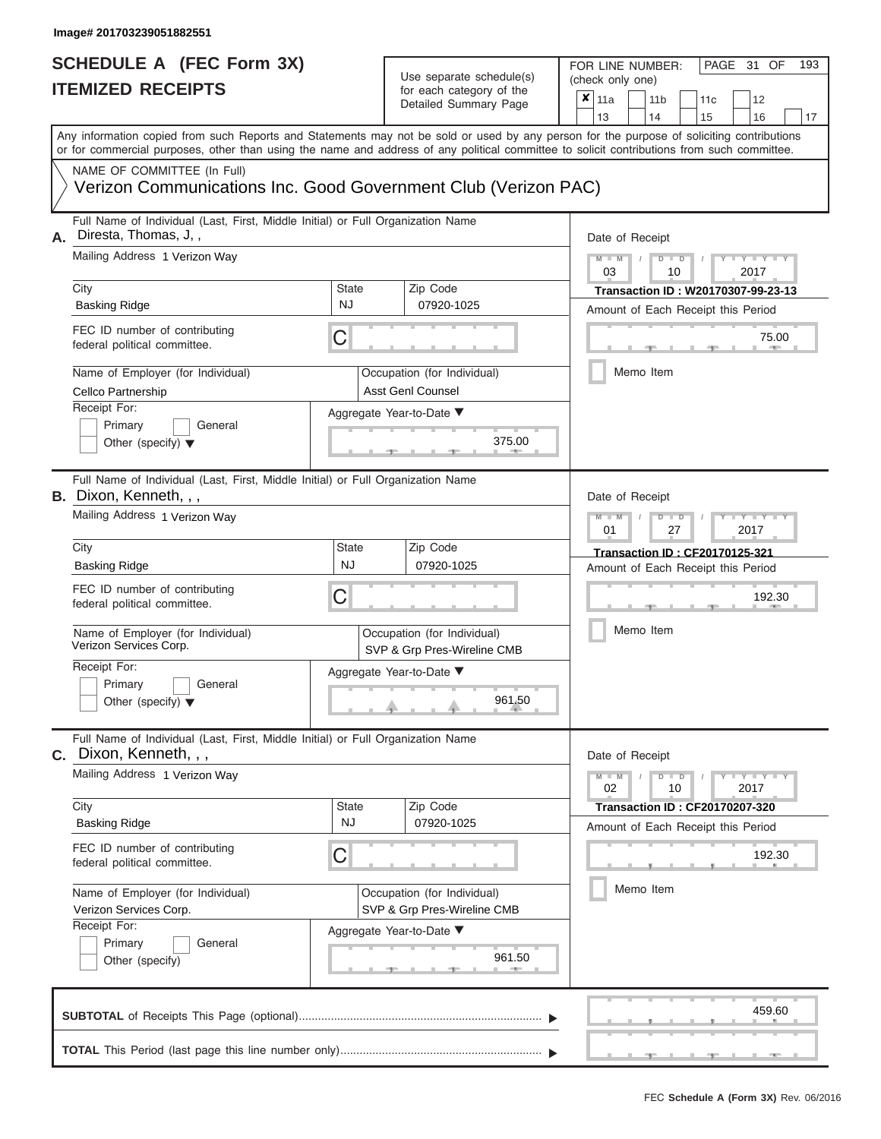# **SCHEDULE A (FEC Form 3X)**

# Use separate schedule(s)

| SCHEDULE A (FEC Form 3X)<br><b>ITEMIZED RECEIPTS</b>                                                                                                                                                                                                                                                                                                                                            |                                | Use separate schedule(s)<br>for each category of the<br>Detailed Summary Page                                                    | 193<br>FOR LINE NUMBER:<br>PAGE<br>31 OF<br>(check only one)<br>$\boldsymbol{x}$<br>11a<br>11 <sub>b</sub><br>12<br>11c<br>13<br>14<br>15<br>16<br>17                                                                  |
|-------------------------------------------------------------------------------------------------------------------------------------------------------------------------------------------------------------------------------------------------------------------------------------------------------------------------------------------------------------------------------------------------|--------------------------------|----------------------------------------------------------------------------------------------------------------------------------|------------------------------------------------------------------------------------------------------------------------------------------------------------------------------------------------------------------------|
| Any information copied from such Reports and Statements may not be sold or used by any person for the purpose of soliciting contributions<br>or for commercial purposes, other than using the name and address of any political committee to solicit contributions from such committee.<br>NAME OF COMMITTEE (In Full)<br>Verizon Communications Inc. Good Government Club (Verizon PAC)        |                                |                                                                                                                                  |                                                                                                                                                                                                                        |
| Full Name of Individual (Last, First, Middle Initial) or Full Organization Name<br>Diresta, Thomas, J,,<br>А.<br>Mailing Address 1 Verizon Way<br>City<br><b>Basking Ridge</b><br>FEC ID number of contributing<br>federal political committee.<br>Name of Employer (for Individual)<br>Cellco Partnership<br>Receipt For:<br>Primary<br>General<br>Other (specify) $\blacktriangledown$        | <b>State</b><br><b>NJ</b><br>C | Zip Code<br>07920-1025<br>Occupation (for Individual)<br><b>Asst Genl Counsel</b><br>Aggregate Year-to-Date ▼<br>375.00          | Date of Receipt<br>$M - M$<br>$Y = Y + Y$<br>$D$ $D$<br>03<br>2017<br>10<br>Transaction ID: W20170307-99-23-13<br>Amount of Each Receipt this Period<br>75.00<br><b>ARCHITECT</b><br>Memo Item                         |
| Full Name of Individual (Last, First, Middle Initial) or Full Organization Name<br><b>B.</b> Dixon, Kenneth, , ,<br>Mailing Address 1 Verizon Way<br>City<br><b>Basking Ridge</b><br>FEC ID number of contributing<br>federal political committee.<br>Name of Employer (for Individual)<br>Verizon Services Corp.<br>Receipt For:<br>Primary<br>General<br>Other (specify) $\blacktriangledown$ | State<br><b>NJ</b><br>С        | Zip Code<br>07920-1025<br>Occupation (for Individual)<br>SVP & Grp Pres-Wireline CMB<br>Aggregate Year-to-Date ▼<br>961.50<br>a. | Date of Receipt<br>$M - M$<br>$D$ $D$<br>$Y - I - Y$<br>01<br>2017<br>27<br><b>Transaction ID: CF20170125-321</b><br>Amount of Each Receipt this Period<br>192.30<br>Memo Item                                         |
| Full Name of Individual (Last, First, Middle Initial) or Full Organization Name<br>$C.$ Dixon, Kenneth, $, ,$<br>Mailing Address 1 Verizon Way<br>City<br><b>Basking Ridge</b><br>FEC ID number of contributing<br>federal political committee.<br>Name of Employer (for Individual)<br>Verizon Services Corp.<br>Receipt For:<br>Primary<br>General<br>Other (specify)                         | State<br><b>NJ</b><br>С        | Zip Code<br>07920-1025<br>Occupation (for Individual)<br>SVP & Grp Pres-Wireline CMB<br>Aggregate Year-to-Date ▼<br>961.50       | Date of Receipt<br>$M - M$<br>$D$ $D$<br>$\mathbf{I} = \mathbf{Y} + \mathbf{Y} + \mathbf{I}$<br>10<br>2017<br>02<br><b>Transaction ID: CF20170207-320</b><br>Amount of Each Receipt this Period<br>192.30<br>Memo Item |
|                                                                                                                                                                                                                                                                                                                                                                                                 |                                |                                                                                                                                  | 459.60                                                                                                                                                                                                                 |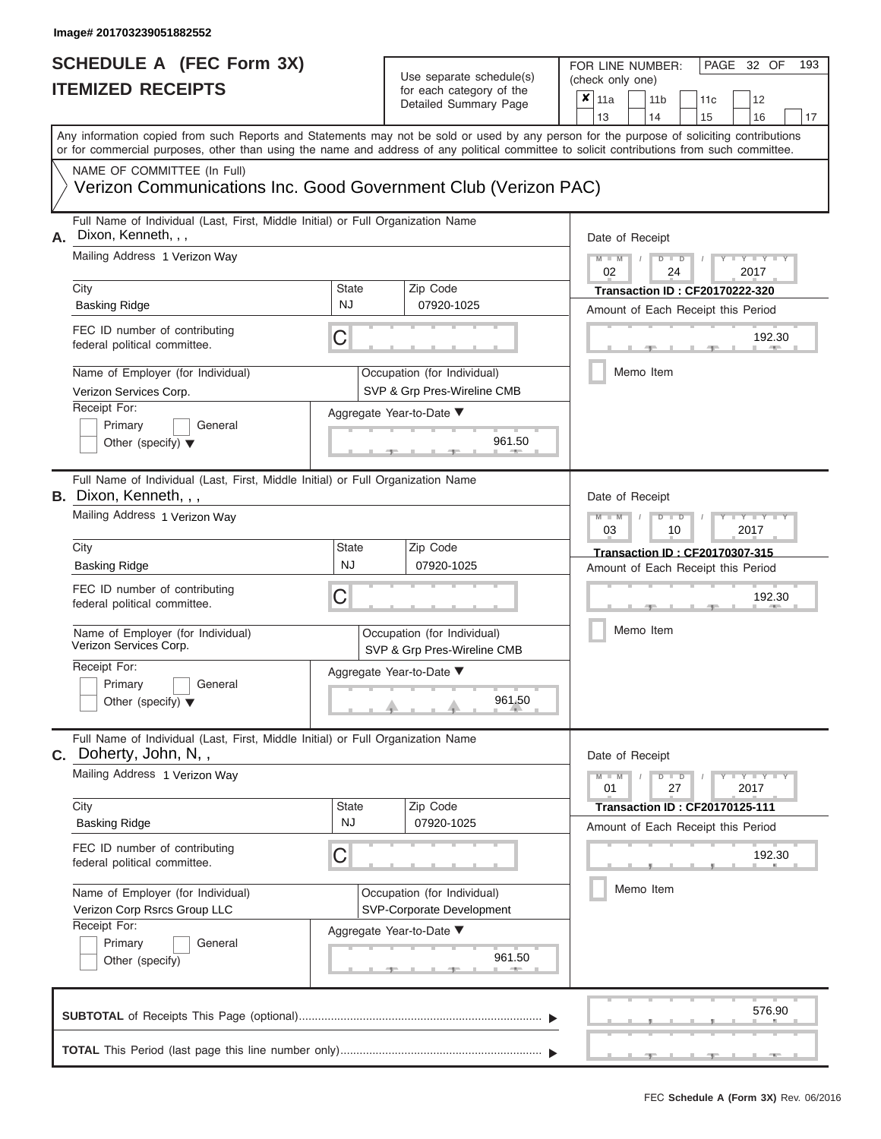| NAME OF COMMITTEE (In Full)<br>Verizon Communications Inc. Good Government Club (Verizon PAC)<br>Full Name of Individual (Last, First, Middle Initial) or Full Organization Name<br>Dixon, Kenneth, , ,<br>А.<br>Mailing Address 1 Verizon Wav<br>City<br><b>State</b><br><b>NJ</b><br><b>Basking Ridge</b><br>FEC ID number of contributing<br>C<br>federal political committee.<br>Name of Employer (for Individual)<br>Verizon Services Corp.<br>Receipt For:<br>Aggregate Year-to-Date ▼<br>Primary<br>General<br>Other (specify) $\blacktriangledown$<br>Full Name of Individual (Last, First, Middle Initial) or Full Organization Name<br><b>B.</b> Dixon, Kenneth, , ,<br>Mailing Address 1 Verizon Way<br>City<br>State<br><b>NJ</b><br><b>Basking Ridge</b><br>FEC ID number of contributing<br>С<br>federal political committee. | 13<br>14<br>15<br>16<br>17<br>Any information copied from such Reports and Statements may not be sold or used by any person for the purpose of soliciting contributions<br>or for commercial purposes, other than using the name and address of any political committee to solicit contributions from such committee. |
|---------------------------------------------------------------------------------------------------------------------------------------------------------------------------------------------------------------------------------------------------------------------------------------------------------------------------------------------------------------------------------------------------------------------------------------------------------------------------------------------------------------------------------------------------------------------------------------------------------------------------------------------------------------------------------------------------------------------------------------------------------------------------------------------------------------------------------------------|-----------------------------------------------------------------------------------------------------------------------------------------------------------------------------------------------------------------------------------------------------------------------------------------------------------------------|
|                                                                                                                                                                                                                                                                                                                                                                                                                                                                                                                                                                                                                                                                                                                                                                                                                                             |                                                                                                                                                                                                                                                                                                                       |
|                                                                                                                                                                                                                                                                                                                                                                                                                                                                                                                                                                                                                                                                                                                                                                                                                                             |                                                                                                                                                                                                                                                                                                                       |
|                                                                                                                                                                                                                                                                                                                                                                                                                                                                                                                                                                                                                                                                                                                                                                                                                                             | Date of Receipt<br>$M - M$<br>$D$ $D$<br>Y I Y I<br>$\sqrt{2}$<br>02<br>24<br>2017<br>Zip Code<br><b>Transaction ID: CF20170222-320</b><br>07920-1025<br>Amount of Each Receipt this Period<br>192.30<br><b>AND IN</b><br>Memo Item<br>Occupation (for Individual)<br>SVP & Grp Pres-Wireline CMB<br>961.50           |
| Name of Employer (for Individual)<br>Verizon Services Corp.<br>Receipt For:<br>Aggregate Year-to-Date ▼<br>Primary<br>General<br>Other (specify) $\blacktriangledown$                                                                                                                                                                                                                                                                                                                                                                                                                                                                                                                                                                                                                                                                       | Date of Receipt<br>$M - M$<br>$D$ $\Box$ $D$<br>Y TY<br>03<br>2017<br>10<br>Zip Code<br>Transaction ID: CF20170307-315<br>07920-1025<br>Amount of Each Receipt this Period<br>192.30<br>Memo Item<br>Occupation (for Individual)<br>SVP & Grp Pres-Wireline CMB<br>961.50                                             |
| Full Name of Individual (Last, First, Middle Initial) or Full Organization Name<br>C. Doherty, John, N,,<br>Mailing Address 1 Verizon Way<br>City<br><b>State</b><br><b>NJ</b><br><b>Basking Ridge</b><br>FEC ID number of contributing<br>С<br>federal political committee.<br>Name of Employer (for Individual)<br>Verizon Corp Rsrcs Group LLC<br>Receipt For:<br>Aggregate Year-to-Date ▼<br>Primary<br>General<br>Other (specify)                                                                                                                                                                                                                                                                                                                                                                                                      | Date of Receipt<br>$M - M$<br>$D$ $D$<br>$+Y+Y+Y$<br>01<br>27<br>2017<br>Zip Code<br><b>Transaction ID: CF20170125-111</b><br>07920-1025<br>Amount of Each Receipt this Period<br>192.30<br>Memo Item<br>Occupation (for Individual)<br>SVP-Corporate Development<br>961.50                                           |
|                                                                                                                                                                                                                                                                                                                                                                                                                                                                                                                                                                                                                                                                                                                                                                                                                                             | 576.90                                                                                                                                                                                                                                                                                                                |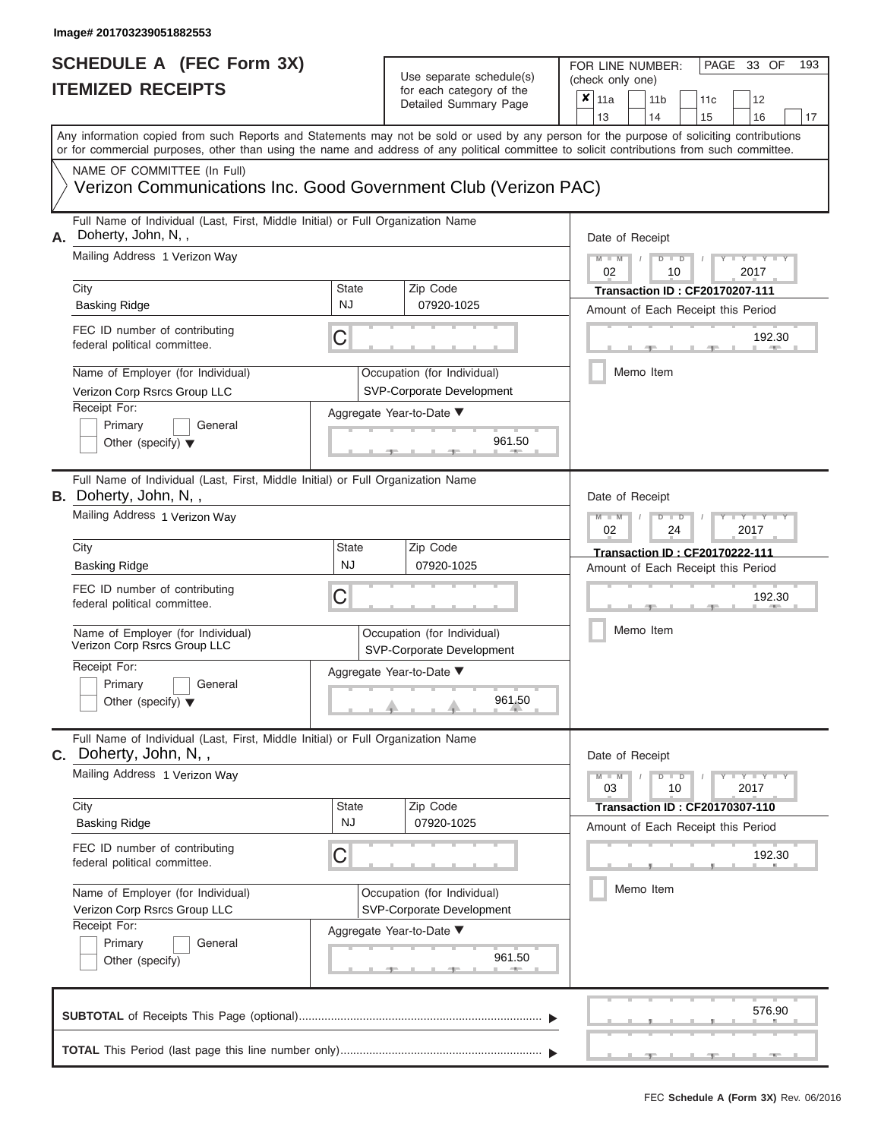ı

#### **SCHEDULE A (FEC Form 3X) ITEMIZED RECEIPTS**

# Use separate schedule(s)  $\frac{1}{\pi}$  for each category of the

FOR LINE NUMBER:<br>(check only one)

PAGE 33 OF 193

| IIEMIZEU REVEIFIJ                                                                                               | for each category of the<br>Detailed Summary Page        | ×<br>11a<br>11c<br>12<br>11 <sub>b</sub>                                                                                                                                                                                                                                                |  |
|-----------------------------------------------------------------------------------------------------------------|----------------------------------------------------------|-----------------------------------------------------------------------------------------------------------------------------------------------------------------------------------------------------------------------------------------------------------------------------------------|--|
|                                                                                                                 |                                                          | 13<br>14<br>15<br>16<br>17                                                                                                                                                                                                                                                              |  |
|                                                                                                                 |                                                          | Any information copied from such Reports and Statements may not be sold or used by any person for the purpose of soliciting contributions<br>or for commercial purposes, other than using the name and address of any political committee to solicit contributions from such committee. |  |
| NAME OF COMMITTEE (In Full)<br>Verizon Communications Inc. Good Government Club (Verizon PAC)                   |                                                          |                                                                                                                                                                                                                                                                                         |  |
| Full Name of Individual (Last, First, Middle Initial) or Full Organization Name<br>Doherty, John, N,,<br>Α.     | Date of Receipt                                          |                                                                                                                                                                                                                                                                                         |  |
| Mailing Address 1 Verizon Way                                                                                   | $M - M$<br>$Y - Y - Y$<br>$D$ $D$<br>02<br>10<br>2017    |                                                                                                                                                                                                                                                                                         |  |
| City<br><b>Basking Ridge</b>                                                                                    | Zip Code<br><b>State</b><br><b>NJ</b><br>07920-1025      | <b>Transaction ID: CF20170207-111</b><br>Amount of Each Receipt this Period                                                                                                                                                                                                             |  |
| FEC ID number of contributing<br>federal political committee.                                                   | С                                                        | 192.30                                                                                                                                                                                                                                                                                  |  |
| Name of Employer (for Individual)<br>Verizon Corp Rsrcs Group LLC                                               | Occupation (for Individual)<br>SVP-Corporate Development | Memo Item                                                                                                                                                                                                                                                                               |  |
| Receipt For:<br>Primary<br>General<br>Other (specify) $\blacktriangledown$                                      | Aggregate Year-to-Date ▼                                 | 961.50                                                                                                                                                                                                                                                                                  |  |
| Full Name of Individual (Last, First, Middle Initial) or Full Organization Name<br><b>B.</b> Doherty, John, N,, |                                                          | Date of Receipt                                                                                                                                                                                                                                                                         |  |
| Mailing Address 1 Verizon Way                                                                                   | $M - M$<br>Y I Y I<br>$D$ $D$<br>02<br>24<br>2017        |                                                                                                                                                                                                                                                                                         |  |
| City<br><b>Basking Ridge</b>                                                                                    | Zip Code<br><b>State</b><br><b>NJ</b><br>07920-1025      | <b>Transaction ID: CF20170222-111</b><br>Amount of Each Receipt this Period                                                                                                                                                                                                             |  |
| FEC ID number of contributing<br>federal political committee.                                                   | С                                                        | 192.30                                                                                                                                                                                                                                                                                  |  |
| Name of Employer (for Individual)<br>Verizon Corp Rsrcs Group LLC                                               | Occupation (for Individual)<br>SVP-Corporate Development | Memo Item                                                                                                                                                                                                                                                                               |  |
| Receipt For:<br>Primary<br>General<br>Other (specify) $\blacktriangledown$                                      | Aggregate Year-to-Date ▼                                 | 961.50                                                                                                                                                                                                                                                                                  |  |
| Full Name of Individual (Last, First, Middle Initial) or Full Organization Name<br>$C.$ Doherty, John, N,,      |                                                          | Date of Receipt                                                                                                                                                                                                                                                                         |  |
| Mailing Address 1 Verizon Way                                                                                   |                                                          |                                                                                                                                                                                                                                                                                         |  |
| City<br><b>Basking Ridge</b>                                                                                    | <b>State</b><br>Zip Code<br><b>NJ</b><br>07920-1025      | <b>Transaction ID: CF20170307-110</b><br>Amount of Each Receipt this Period                                                                                                                                                                                                             |  |
| FEC ID number of contributing<br>federal political committee.                                                   | С                                                        | 192.30                                                                                                                                                                                                                                                                                  |  |
| Name of Employer (for Individual)<br>Verizon Corp Rsrcs Group LLC                                               | Occupation (for Individual)<br>SVP-Corporate Development | Memo Item                                                                                                                                                                                                                                                                               |  |
| Receipt For:<br>Primary<br>General<br>Other (specify)                                                           | Aggregate Year-to-Date ▼                                 | 961.50<br><b>ARTISE</b>                                                                                                                                                                                                                                                                 |  |
|                                                                                                                 |                                                          | 576.90                                                                                                                                                                                                                                                                                  |  |
|                                                                                                                 |                                                          |                                                                                                                                                                                                                                                                                         |  |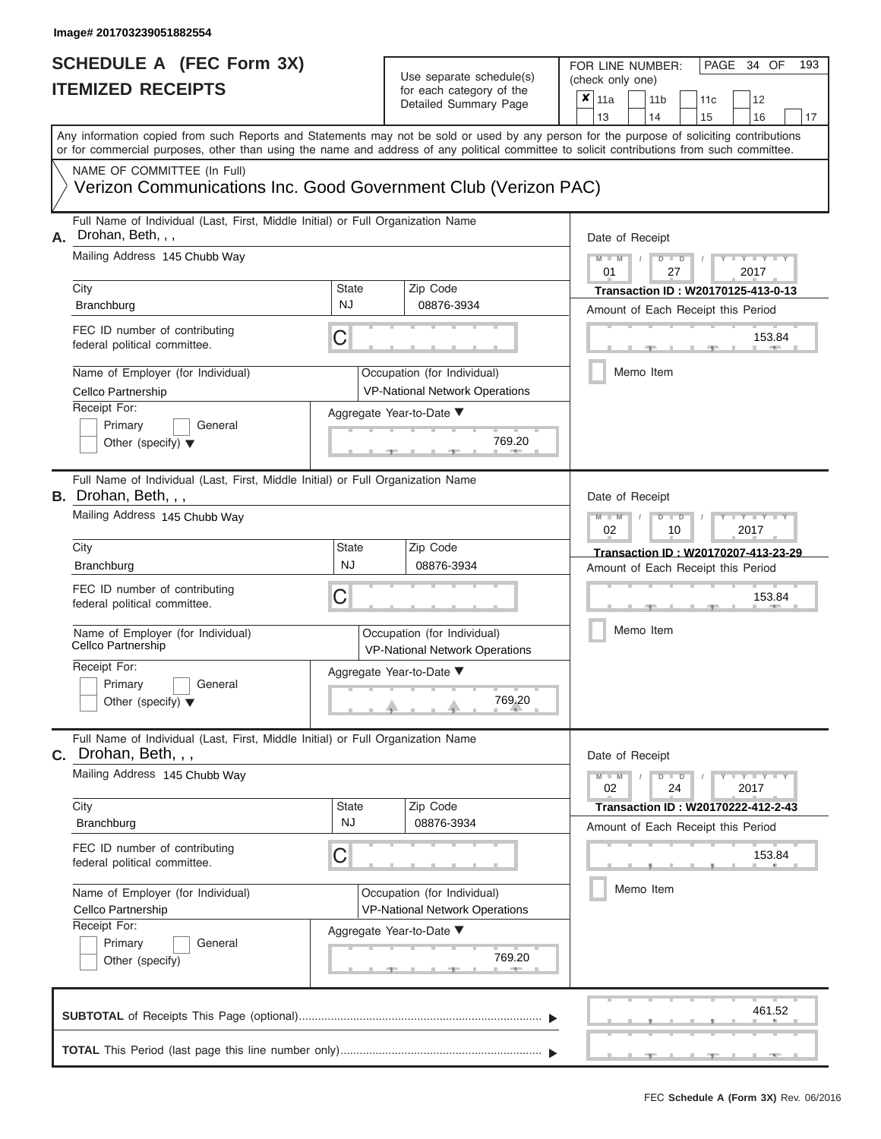| SCHEDULE A (FEC Form 3X)<br><b>ITEMIZED RECEIPTS</b>                                                                                                                                                                                                                                                                                                                                     |                                | Use separate schedule(s)<br>for each category of the<br>Detailed Summary Page                                                        | 193<br>FOR LINE NUMBER:<br>PAGE 34 OF<br>(check only one)<br>×<br>11a<br>11 <sub>b</sub><br>11 <sub>c</sub><br>12<br>13<br>14<br>15<br>16<br>17                                                      |
|------------------------------------------------------------------------------------------------------------------------------------------------------------------------------------------------------------------------------------------------------------------------------------------------------------------------------------------------------------------------------------------|--------------------------------|--------------------------------------------------------------------------------------------------------------------------------------|------------------------------------------------------------------------------------------------------------------------------------------------------------------------------------------------------|
| Any information copied from such Reports and Statements may not be sold or used by any person for the purpose of soliciting contributions<br>or for commercial purposes, other than using the name and address of any political committee to solicit contributions from such committee.<br>NAME OF COMMITTEE (In Full)<br>Verizon Communications Inc. Good Government Club (Verizon PAC) |                                |                                                                                                                                      |                                                                                                                                                                                                      |
| Full Name of Individual (Last, First, Middle Initial) or Full Organization Name<br>Drohan, Beth, , ,<br>А.<br>Mailing Address 145 Chubb Way<br>City<br>Branchburg<br>FEC ID number of contributing<br>federal political committee.<br>Name of Employer (for Individual)<br>Cellco Partnership<br>Receipt For:<br>Primary<br>General<br>Other (specify) $\blacktriangledown$              | State<br><b>NJ</b><br>C        | Zip Code<br>08876-3934<br>Occupation (for Individual)<br><b>VP-National Network Operations</b><br>Aggregate Year-to-Date ▼<br>769.20 | Date of Receipt<br>$M$ – $M$ /<br>$Y - Y - Y$<br>$D$ $D$<br>01<br>27<br>2017<br>Transaction ID: W20170125-413-0-13<br>Amount of Each Receipt this Period<br>153.84<br><b>STATISTICS</b><br>Memo Item |
| Full Name of Individual (Last, First, Middle Initial) or Full Organization Name<br><b>B.</b> Drohan, Beth, $, \,$<br>Mailing Address 145 Chubb Way<br>City<br>Branchburg<br>FEC ID number of contributing<br>federal political committee.<br>Name of Employer (for Individual)<br>Cellco Partnership<br>Receipt For:<br>Primary<br>General<br>Other (specify) $\blacktriangledown$       | <b>State</b><br><b>NJ</b><br>С | Zip Code<br>08876-3934<br>Occupation (for Individual)<br><b>VP-National Network Operations</b><br>Aggregate Year-to-Date ▼<br>769.20 | Date of Receipt<br>$M - M$<br>$D$ $D$<br>Y TYT<br>02<br>2017<br>10<br>Transaction ID: W20170207-413-23-29<br>Amount of Each Receipt this Period<br>153.84<br>Memo Item                               |
| Full Name of Individual (Last, First, Middle Initial) or Full Organization Name<br><b>C.</b> Drohan, Beth, , ,<br>Mailing Address 145 Chubb Way<br>City<br>Branchburg<br>FEC ID number of contributing<br>federal political committee.<br>Name of Employer (for Individual)<br>Cellco Partnership<br>Receipt For:<br>Primary<br>General<br>Other (specify)                               | <b>State</b><br><b>NJ</b><br>С | Zip Code<br>08876-3934<br>Occupation (for Individual)<br><b>VP-National Network Operations</b><br>Aggregate Year-to-Date ▼<br>769.20 | Date of Receipt<br>$M - M$<br>$D$ $D$<br>$T - Y = Y + Y$<br>02<br>24<br>2017<br>Transaction ID: W20170222-412-2-43<br>Amount of Each Receipt this Period<br>153.84<br>Memo Item                      |
|                                                                                                                                                                                                                                                                                                                                                                                          |                                |                                                                                                                                      | 461.52                                                                                                                                                                                               |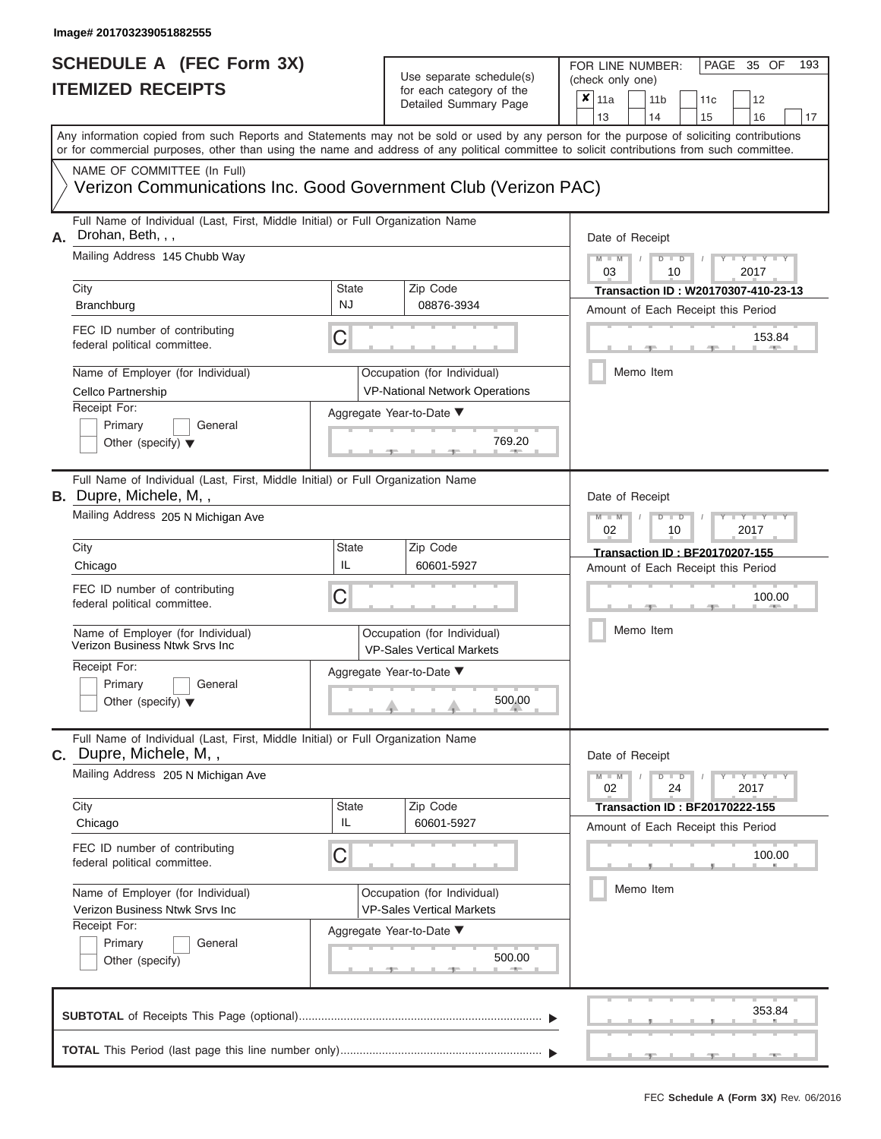| SCHEDULE A (FEC Form 3X)<br><b>ITEMIZED RECEIPTS</b>                                                                                                                                                                                                                                                                                                                                            | Use separate schedule(s)<br>for each category of the<br>Detailed Summary Page                                                                                          | 193<br>FOR LINE NUMBER:<br>PAGE 35 OF<br>(check only one)<br>$\overline{\mathbf{x}}$   11a<br>11 <sub>b</sub><br>11 <sub>c</sub><br>12<br>13<br>14<br>15<br>16<br>17                             |
|-------------------------------------------------------------------------------------------------------------------------------------------------------------------------------------------------------------------------------------------------------------------------------------------------------------------------------------------------------------------------------------------------|------------------------------------------------------------------------------------------------------------------------------------------------------------------------|--------------------------------------------------------------------------------------------------------------------------------------------------------------------------------------------------|
| Any information copied from such Reports and Statements may not be sold or used by any person for the purpose of soliciting contributions<br>or for commercial purposes, other than using the name and address of any political committee to solicit contributions from such committee.<br>NAME OF COMMITTEE (In Full)                                                                          | Verizon Communications Inc. Good Government Club (Verizon PAC)                                                                                                         |                                                                                                                                                                                                  |
| Full Name of Individual (Last, First, Middle Initial) or Full Organization Name<br>Drohan, Beth, , ,<br>А.<br>Mailing Address 145 Chubb Way<br>City<br>Branchburg<br>FEC ID number of contributing<br>federal political committee.<br>Name of Employer (for Individual)<br>Cellco Partnership<br>Receipt For:<br>Primary<br>General<br>Other (specify) $\blacktriangledown$                     | Zip Code<br><b>State</b><br><b>NJ</b><br>08876-3934<br>C<br>Occupation (for Individual)<br><b>VP-National Network Operations</b><br>Aggregate Year-to-Date ▼<br>769.20 | Date of Receipt<br>$M$ – $M$ /<br>$Y - Y - Y$<br>$D$ $D$<br>03<br>2017<br>10<br>Transaction ID: W20170307-410-23-13<br>Amount of Each Receipt this Period<br>153.84<br><b>AND A</b><br>Memo Item |
| Full Name of Individual (Last, First, Middle Initial) or Full Organization Name<br><b>B.</b> Dupre, Michele, M,,<br>Mailing Address 205 N Michigan Ave<br>City<br>Chicago<br>FEC ID number of contributing<br>federal political committee.<br>Name of Employer (for Individual)<br>Verizon Business Ntwk Srvs Inc<br>Receipt For:<br>Primary<br>General<br>Other (specify) $\blacktriangledown$ | State<br>Zip Code<br>IL<br>60601-5927<br>C<br>Occupation (for Individual)<br><b>VP-Sales Vertical Markets</b><br>Aggregate Year-to-Date ▼<br>500.00                    | Date of Receipt<br>$M - M$<br>Y TY<br>$D$ $D$<br>02<br>2017<br>10<br>Transaction ID: BF20170207-155<br>Amount of Each Receipt this Period<br>100.00<br>Memo Item                                 |
| Full Name of Individual (Last, First, Middle Initial) or Full Organization Name<br>C. Dupre, Michele, M,,<br>Mailing Address 205 N Michigan Ave<br>City<br>Chicago<br>FEC ID number of contributing<br>federal political committee.<br>Name of Employer (for Individual)<br>Verizon Business Ntwk Srvs Inc<br>Receipt For:<br>Primary<br>General<br>Other (specify)                             | Zip Code<br><b>State</b><br>IL<br>60601-5927<br>С<br>Occupation (for Individual)<br><b>VP-Sales Vertical Markets</b><br>Aggregate Year-to-Date ▼<br>500.00             | Date of Receipt<br>$M - M$<br>$D$ $D$<br>$T - Y = Y + Y$<br>02<br>24<br>2017<br><b>Transaction ID: BF20170222-155</b><br>Amount of Each Receipt this Period<br>100.00<br>Memo Item               |
|                                                                                                                                                                                                                                                                                                                                                                                                 |                                                                                                                                                                        | 353.84<br>$-1$                                                                                                                                                                                   |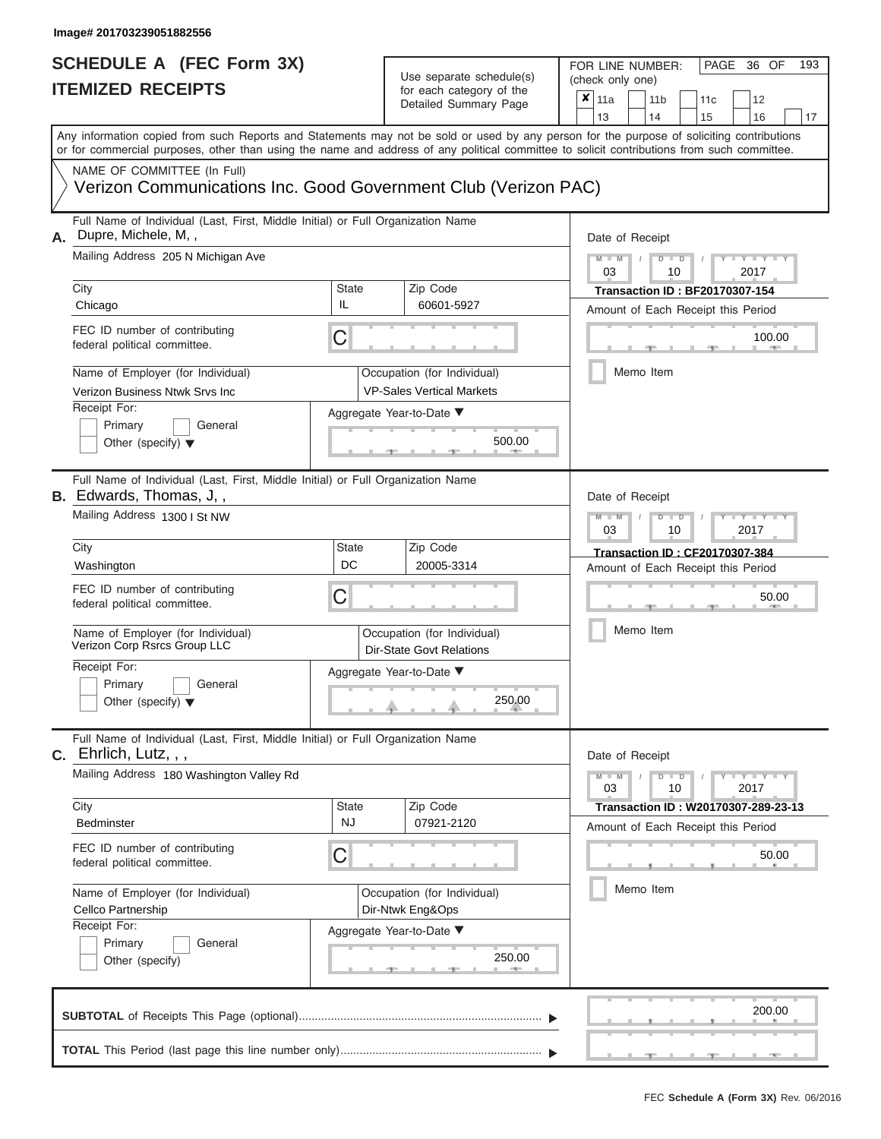| SCHEDULE A (FEC Form 3X)<br><b>ITEMIZED RECEIPTS</b>                                                                                                                                                                                                                                                                                                                                        |                                | Use separate schedule(s)<br>for each category of the<br>Detailed Summary Page                                                   | 193<br>FOR LINE NUMBER:<br>PAGE<br>36 OF<br>(check only one)<br>$\overline{\mathbf{x}}$   11a<br>11 <sub>b</sub><br>12<br>11c<br>13<br>14                                                                 |
|---------------------------------------------------------------------------------------------------------------------------------------------------------------------------------------------------------------------------------------------------------------------------------------------------------------------------------------------------------------------------------------------|--------------------------------|---------------------------------------------------------------------------------------------------------------------------------|-----------------------------------------------------------------------------------------------------------------------------------------------------------------------------------------------------------|
| Any information copied from such Reports and Statements may not be sold or used by any person for the purpose of soliciting contributions<br>or for commercial purposes, other than using the name and address of any political committee to solicit contributions from such committee.<br>NAME OF COMMITTEE (In Full)<br>Verizon Communications Inc. Good Government Club (Verizon PAC)    |                                |                                                                                                                                 | 15<br>16<br>17                                                                                                                                                                                            |
| Full Name of Individual (Last, First, Middle Initial) or Full Organization Name<br>Dupre, Michele, M,,<br>А.<br>Mailing Address 205 N Michigan Ave<br>City<br>Chicago<br>FEC ID number of contributing<br>federal political committee.<br>Name of Employer (for Individual)<br>Verizon Business Ntwk Srvs Inc<br>Receipt For:<br>Primary<br>General<br>Other (specify) $\blacktriangledown$ | <b>State</b><br>IL<br>C        | Zip Code<br>60601-5927<br>Occupation (for Individual)<br><b>VP-Sales Vertical Markets</b><br>Aggregate Year-to-Date ▼<br>500.00 | Date of Receipt<br>$M - M$<br>$D$ $D$<br>Y I Y I<br>$\sqrt{2}$<br>03<br>2017<br>10<br><b>Transaction ID: BF20170307-154</b><br>Amount of Each Receipt this Period<br>100.00<br><b>AND IN</b><br>Memo Item |
| Full Name of Individual (Last, First, Middle Initial) or Full Organization Name<br>B. Edwards, Thomas, J,,<br>Mailing Address 1300 I St NW<br>City<br>Washington<br>FEC ID number of contributing<br>federal political committee.<br>Name of Employer (for Individual)<br>Verizon Corp Rsrcs Group LLC<br>Receipt For:<br>Primary<br>General<br>Other (specify) $\blacktriangledown$        | State<br>DC<br>С               | Zip Code<br>20005-3314<br>Occupation (for Individual)<br><b>Dir-State Govt Relations</b><br>Aggregate Year-to-Date ▼<br>250.00  | Date of Receipt<br>$M - M$<br>$D$ $\Box$ $D$<br>Y I Y I<br>03<br>2017<br>10<br><b>Transaction ID: CF20170307-384</b><br>Amount of Each Receipt this Period<br>50.00<br>Memo Item                          |
| Full Name of Individual (Last, First, Middle Initial) or Full Organization Name<br>$C.$ Ehrlich, Lutz, , ,<br>Mailing Address 180 Washington Valley Rd<br>City<br><b>Bedminster</b><br>FEC ID number of contributing<br>federal political committee.<br>Name of Employer (for Individual)<br>Cellco Partnership<br>Receipt For:<br>Primary<br>General<br>Other (specify)                    | <b>State</b><br><b>NJ</b><br>С | Zip Code<br>07921-2120<br>Occupation (for Individual)<br>Dir-Ntwk Eng&Ops<br>Aggregate Year-to-Date ▼<br>250.00                 | Date of Receipt<br>$M - M$<br>$D$ $D$<br>$T - Y = Y + Y$<br>10<br>03<br>2017<br>Transaction ID: W20170307-289-23-13<br>Amount of Each Receipt this Period<br>50.00<br>Memo Item                           |
|                                                                                                                                                                                                                                                                                                                                                                                             |                                |                                                                                                                                 | 200.00                                                                                                                                                                                                    |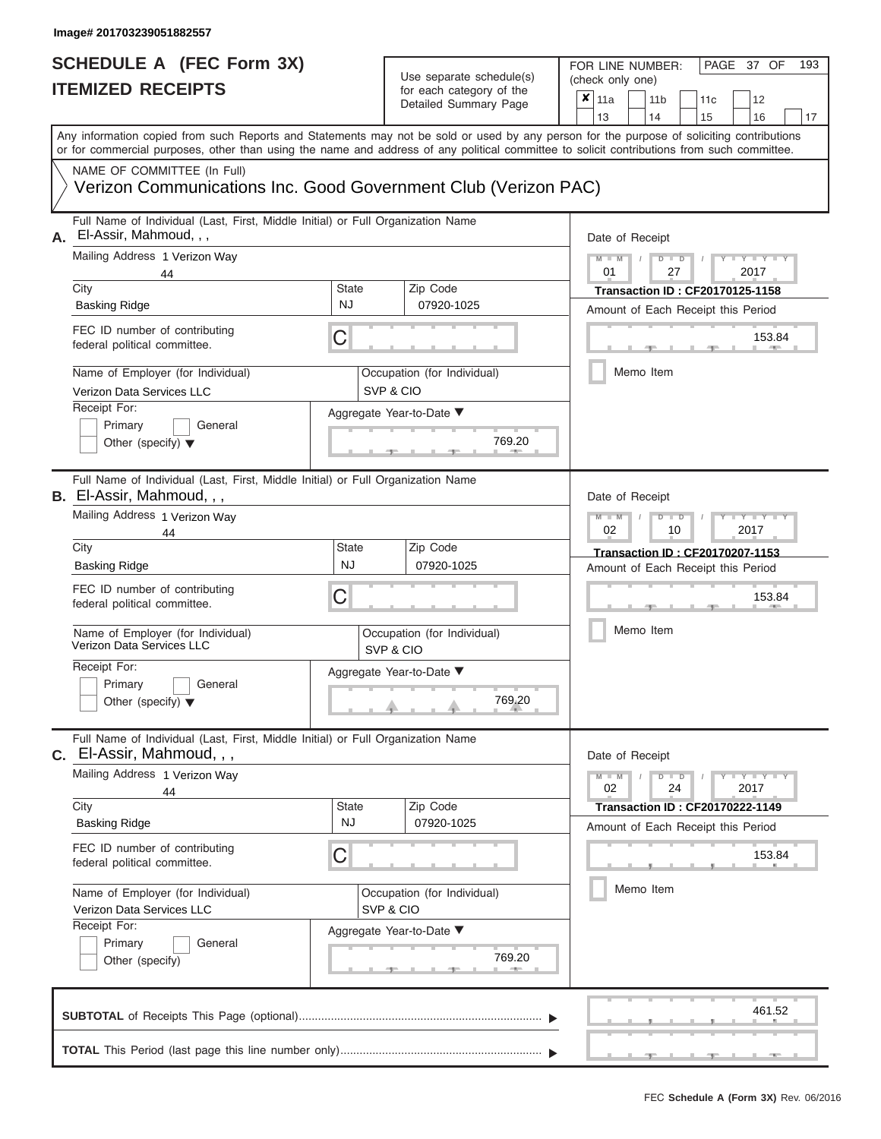| SCHEDULE A (FEC Form 3X)<br><b>ITEMIZED RECEIPTS</b>                                                                                                                                                                                                                                                                                                                                                        |                         | Use separate schedule(s)<br>for each category of the<br>Detailed Summary Page                                                                | 193<br>FOR LINE NUMBER:<br>PAGE 37 OF<br>(check only one)<br>$\overline{\mathbf{x}}$   11a<br>11 <sub>b</sub><br>12<br>11c                                                            |
|-------------------------------------------------------------------------------------------------------------------------------------------------------------------------------------------------------------------------------------------------------------------------------------------------------------------------------------------------------------------------------------------------------------|-------------------------|----------------------------------------------------------------------------------------------------------------------------------------------|---------------------------------------------------------------------------------------------------------------------------------------------------------------------------------------|
| Any information copied from such Reports and Statements may not be sold or used by any person for the purpose of soliciting contributions<br>or for commercial purposes, other than using the name and address of any political committee to solicit contributions from such committee.                                                                                                                     |                         |                                                                                                                                              | 13<br>14<br>15<br>16<br>17                                                                                                                                                            |
| NAME OF COMMITTEE (In Full)<br>Verizon Communications Inc. Good Government Club (Verizon PAC)                                                                                                                                                                                                                                                                                                               |                         |                                                                                                                                              |                                                                                                                                                                                       |
| Full Name of Individual (Last, First, Middle Initial) or Full Organization Name<br>El-Assir, Mahmoud, , ,<br>А.<br>Mailing Address 1 Verizon Way<br>44<br>City<br><b>Basking Ridge</b><br>FEC ID number of contributing<br>federal political committee.<br>Name of Employer (for Individual)<br>Verizon Data Services LLC<br>Receipt For:<br>Primary<br>General<br>Other (specify) $\blacktriangledown$     | State<br><b>NJ</b><br>C | Zip Code<br>07920-1025<br>Occupation (for Individual)<br>SVP & CIO<br>Aggregate Year-to-Date ▼<br>769.20                                     | Date of Receipt<br>$M = M$ /<br>$D$ $D$<br>$Y - Y - Y$<br>01<br>27<br>2017<br>Transaction ID: CF20170125-1158<br>Amount of Each Receipt this Period<br>153.84<br>Memo Item            |
| Full Name of Individual (Last, First, Middle Initial) or Full Organization Name<br><b>B.</b> El-Assir, Mahmoud, , ,<br>Mailing Address 1 Verizon Way<br>44<br>City<br><b>Basking Ridge</b><br>FEC ID number of contributing<br>federal political committee.<br>Name of Employer (for Individual)<br>Verizon Data Services LLC<br>Receipt For:<br>Primary<br>General<br>Other (specify) $\blacktriangledown$ | State<br><b>NJ</b><br>С | Zip Code<br>07920-1025<br>Occupation (for Individual)<br>SVP & CIO<br>Aggregate Year-to-Date ▼<br>$\begin{array}{c}\n 769.20 \\ \end{array}$ | Date of Receipt<br>$M - M$<br>$D$ $\Box$ $D$<br>Y I Y I<br>2017<br>02<br>10<br>Transaction ID: CF20170207-1153<br>Amount of Each Receipt this Period<br>153.84<br>Memo Item           |
| Full Name of Individual (Last, First, Middle Initial) or Full Organization Name<br>C. El-Assir, Mahmoud, , ,<br>Mailing Address 1 Verizon Way<br>44<br>City<br><b>Basking Ridge</b><br>FEC ID number of contributing<br>federal political committee.<br>Name of Employer (for Individual)<br>Verizon Data Services LLC<br>Receipt For:<br>General<br>Primary<br>Other (specify)                             | State<br><b>NJ</b><br>С | Zip Code<br>07920-1025<br>Occupation (for Individual)<br>SVP & CIO<br>Aggregate Year-to-Date ▼<br>769.20                                     | Date of Receipt<br>$M - M$<br>$D$ $D$<br>$T - Y = Y - T Y$<br>24<br>02<br>2017<br><b>Transaction ID: CF20170222-1149</b><br>Amount of Each Receipt this Period<br>153.84<br>Memo Item |
|                                                                                                                                                                                                                                                                                                                                                                                                             |                         |                                                                                                                                              | 461.52                                                                                                                                                                                |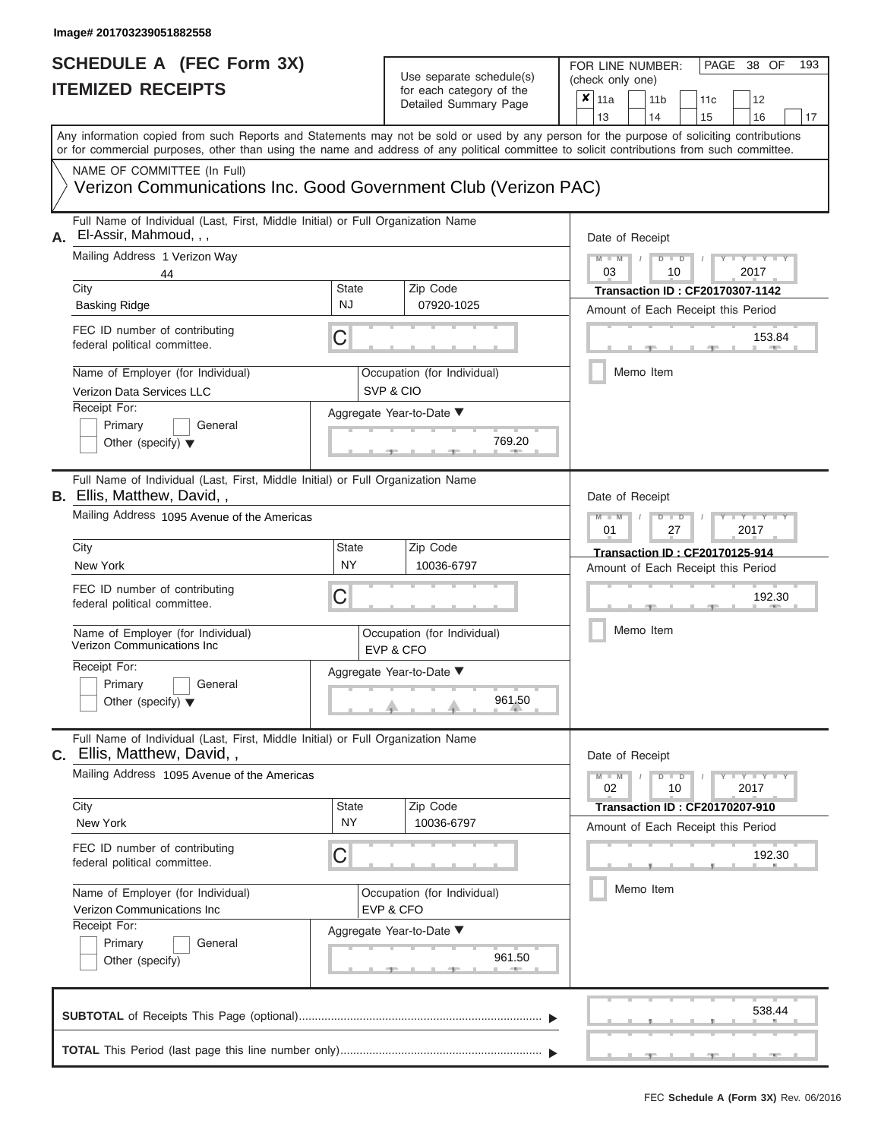# Use separate schedule(s)

| SCHEDULE A (FEC Form 3X)<br><b>ITEMIZED RECEIPTS</b>                                                                                                                                                                                                                                                                                                                                                    |                         | Use separate schedule(s)<br>for each category of the<br>Detailed Summary Page                            | 193<br>FOR LINE NUMBER:<br>PAGE 38 OF<br>(check only one)<br>×<br>11a<br>11 <sub>b</sub><br>12<br>11 <sub>c</sub>                                                                                 |
|---------------------------------------------------------------------------------------------------------------------------------------------------------------------------------------------------------------------------------------------------------------------------------------------------------------------------------------------------------------------------------------------------------|-------------------------|----------------------------------------------------------------------------------------------------------|---------------------------------------------------------------------------------------------------------------------------------------------------------------------------------------------------|
| Any information copied from such Reports and Statements may not be sold or used by any person for the purpose of soliciting contributions<br>or for commercial purposes, other than using the name and address of any political committee to solicit contributions from such committee.                                                                                                                 |                         |                                                                                                          | 13<br>14<br>15<br>16<br>17                                                                                                                                                                        |
| NAME OF COMMITTEE (In Full)<br>Verizon Communications Inc. Good Government Club (Verizon PAC)                                                                                                                                                                                                                                                                                                           |                         |                                                                                                          |                                                                                                                                                                                                   |
| Full Name of Individual (Last, First, Middle Initial) or Full Organization Name<br>El-Assir, Mahmoud, , ,<br>А.<br>Mailing Address 1 Verizon Way<br>44<br>City<br><b>Basking Ridge</b><br>FEC ID number of contributing<br>federal political committee.<br>Name of Employer (for Individual)<br>Verizon Data Services LLC<br>Receipt For:<br>Primary<br>General<br>Other (specify) $\blacktriangledown$ | State<br><b>NJ</b><br>С | Zip Code<br>07920-1025<br>Occupation (for Individual)<br>SVP & CIO<br>Aggregate Year-to-Date ▼<br>769.20 | Date of Receipt<br>$M$ – $M$ /<br>$D$ $D$<br>$Y - Y - Y$<br>03<br>2017<br>10<br>Transaction ID: CF20170307-1142<br>Amount of Each Receipt this Period<br>153.84<br><b>CONTRACTOR</b><br>Memo Item |
| Full Name of Individual (Last, First, Middle Initial) or Full Organization Name<br><b>B.</b> Ellis, Matthew, David,,<br>Mailing Address 1095 Avenue of the Americas                                                                                                                                                                                                                                     |                         |                                                                                                          | Date of Receipt<br>$M - M$<br>Y I Y I<br>$D$ $D$                                                                                                                                                  |
| City<br>New York<br>FEC ID number of contributing<br>federal political committee.                                                                                                                                                                                                                                                                                                                       | State<br><b>NY</b><br>С | Zip Code<br>10036-6797                                                                                   | 01<br>2017<br>27<br>Transaction ID: CF20170125-914<br>Amount of Each Receipt this Period<br>192.30<br>Memo Item                                                                                   |
| Name of Employer (for Individual)<br><b>Verizon Communications Inc</b><br>Receipt For:<br>Primary<br>General<br>Other (specify) $\blacktriangledown$                                                                                                                                                                                                                                                    |                         | Occupation (for Individual)<br>EVP & CFO<br>Aggregate Year-to-Date ▼<br>961.50                           |                                                                                                                                                                                                   |
| Full Name of Individual (Last, First, Middle Initial) or Full Organization Name<br><b>C.</b> Ellis, Matthew, David,,<br>Mailing Address 1095 Avenue of the Americas                                                                                                                                                                                                                                     |                         |                                                                                                          | Date of Receipt<br>$M - M$<br>$D$ $D$<br>$T - Y = Y - T Y$                                                                                                                                        |
| City<br>New York                                                                                                                                                                                                                                                                                                                                                                                        | State<br><b>NY</b>      | Zip Code<br>10036-6797                                                                                   | 02<br>10<br>2017<br><b>Transaction ID: CF20170207-910</b><br>Amount of Each Receipt this Period                                                                                                   |
| FEC ID number of contributing<br>federal political committee.<br>Name of Employer (for Individual)                                                                                                                                                                                                                                                                                                      | С                       | Occupation (for Individual)                                                                              | 192.30<br>Memo Item                                                                                                                                                                               |
| Verizon Communications Inc<br>Receipt For:<br>Primary<br>General<br>Other (specify)                                                                                                                                                                                                                                                                                                                     |                         | EVP & CFO<br>Aggregate Year-to-Date ▼<br>961.50                                                          |                                                                                                                                                                                                   |
|                                                                                                                                                                                                                                                                                                                                                                                                         |                         |                                                                                                          | 538.44<br>$-9$                                                                                                                                                                                    |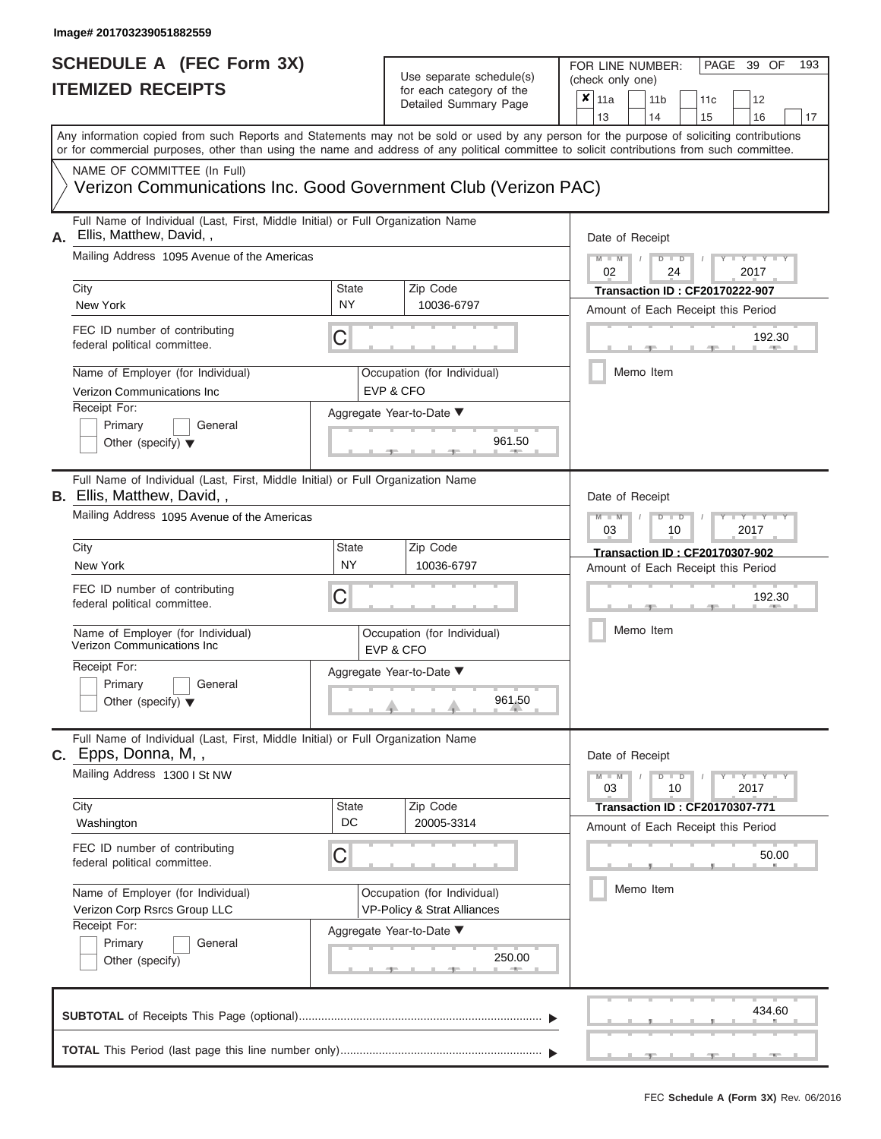FOR LINE NUMBER:<br>(check only one)

PAGE 39 OF 193

|    | IILMILLY INLVLII I                                                                                                                         |                         | iui cauli ualcyuly ul lilc<br>Detailed Summary Page        | × | 11a                                                                |        | 11 <sub>b</sub>                    |               | 11 <sub>c</sub>                       | 12                                    |    |  |
|----|--------------------------------------------------------------------------------------------------------------------------------------------|-------------------------|------------------------------------------------------------|---|--------------------------------------------------------------------|--------|------------------------------------|---------------|---------------------------------------|---------------------------------------|----|--|
|    | Any information copied from such Reports and Statements may not be sold or used by any person for the purpose of soliciting contributions  |                         |                                                            |   | 13                                                                 |        | 14                                 |               | 15                                    | 16                                    | 17 |  |
|    | or for commercial purposes, other than using the name and address of any political committee to solicit contributions from such committee. |                         |                                                            |   |                                                                    |        |                                    |               |                                       |                                       |    |  |
|    | NAME OF COMMITTEE (In Full)                                                                                                                |                         |                                                            |   |                                                                    |        |                                    |               |                                       |                                       |    |  |
|    | Verizon Communications Inc. Good Government Club (Verizon PAC)                                                                             |                         |                                                            |   |                                                                    |        |                                    |               |                                       |                                       |    |  |
| А. | Full Name of Individual (Last, First, Middle Initial) or Full Organization Name<br>Ellis, Matthew, David,,                                 |                         |                                                            |   | Date of Receipt                                                    |        |                                    |               |                                       |                                       |    |  |
|    | Mailing Address 1095 Avenue of the Americas                                                                                                |                         |                                                            |   | $M - M$<br>02                                                      |        |                                    | $D$ $D$<br>24 |                                       | 2017                                  |    |  |
|    | City                                                                                                                                       | State                   | Zip Code                                                   |   |                                                                    |        |                                    |               |                                       | <b>Transaction ID: CF20170222-907</b> |    |  |
|    | New York                                                                                                                                   | <b>NY</b>               | 10036-6797                                                 |   |                                                                    |        |                                    |               |                                       | Amount of Each Receipt this Period    |    |  |
|    | FEC ID number of contributing<br>federal political committee.                                                                              | C                       |                                                            |   |                                                                    |        |                                    |               |                                       | 192.30                                |    |  |
|    | Name of Employer (for Individual)<br>Verizon Communications Inc                                                                            |                         | Occupation (for Individual)<br>EVP & CFO                   |   |                                                                    |        | Memo Item                          |               |                                       |                                       |    |  |
|    | Receipt For:                                                                                                                               |                         | Aggregate Year-to-Date ▼                                   |   |                                                                    |        |                                    |               |                                       |                                       |    |  |
|    | Primary<br>General<br>Other (specify) $\blacktriangledown$                                                                                 |                         | 961.50                                                     |   |                                                                    |        |                                    |               |                                       |                                       |    |  |
|    | Full Name of Individual (Last, First, Middle Initial) or Full Organization Name<br><b>B.</b> Ellis, Matthew, David,,                       |                         |                                                            |   | Date of Receipt                                                    |        |                                    |               |                                       |                                       |    |  |
|    | Mailing Address 1095 Avenue of the Americas                                                                                                |                         |                                                            |   | $M - M$<br>$D$ $D$<br>$\overline{\phantom{a}}$<br>03<br>10<br>2017 |        |                                    |               |                                       |                                       |    |  |
|    | City                                                                                                                                       | Zip Code                |                                                            |   |                                                                    |        |                                    |               | <b>Transaction ID: CF20170307-902</b> |                                       |    |  |
|    | New York                                                                                                                                   | <b>NY</b><br>10036-6797 |                                                            |   |                                                                    |        | Amount of Each Receipt this Period |               |                                       |                                       |    |  |
|    | FEC ID number of contributing<br>federal political committee.                                                                              | C                       |                                                            |   |                                                                    | 192.30 |                                    |               |                                       |                                       |    |  |
|    | Name of Employer (for Individual)<br>Verizon Communications Inc                                                                            |                         | Occupation (for Individual)<br>EVP & CFO                   |   | Memo Item                                                          |        |                                    |               |                                       |                                       |    |  |
|    | Receipt For:                                                                                                                               |                         | Aggregate Year-to-Date ▼                                   |   |                                                                    |        |                                    |               |                                       |                                       |    |  |
|    | Primary<br>General<br>Other (specify) $\blacktriangledown$                                                                                 |                         | 961.50                                                     |   |                                                                    |        |                                    |               |                                       |                                       |    |  |
|    | Full Name of Individual (Last, First, Middle Initial) or Full Organization Name<br>C. Epps, Donna, M,,                                     |                         |                                                            |   | Date of Receipt                                                    |        |                                    |               |                                       |                                       |    |  |
|    | Mailing Address 1300 I St NW                                                                                                               |                         |                                                            |   | $M - M$<br>03                                                      |        |                                    | $D$ $D$<br>10 |                                       | $Y - Y - Y$<br>2017                   |    |  |
|    | City                                                                                                                                       | State                   | Zip Code                                                   |   |                                                                    |        |                                    |               |                                       | <b>Transaction ID: CF20170307-771</b> |    |  |
|    | Washington                                                                                                                                 | DC                      | 20005-3314                                                 |   |                                                                    |        |                                    |               |                                       | Amount of Each Receipt this Period    |    |  |
|    | FEC ID number of contributing<br>federal political committee.                                                                              |                         |                                                            |   |                                                                    |        |                                    |               | 50.00                                 |                                       |    |  |
|    | Name of Employer (for Individual)<br>Verizon Corp Rsrcs Group LLC                                                                          |                         | Occupation (for Individual)<br>VP-Policy & Strat Alliances |   | Memo Item                                                          |        |                                    |               |                                       |                                       |    |  |
|    | Receipt For:<br>Aggregate Year-to-Date ▼                                                                                                   |                         |                                                            |   |                                                                    |        |                                    |               |                                       |                                       |    |  |
|    | Primary<br>General                                                                                                                         |                         |                                                            |   |                                                                    |        |                                    |               |                                       |                                       |    |  |
|    | Other (specify)                                                                                                                            |                         | 250.00                                                     |   |                                                                    |        |                                    |               |                                       |                                       |    |  |
|    |                                                                                                                                            |                         |                                                            |   |                                                                    |        |                                    |               |                                       | 434.60                                |    |  |
|    |                                                                                                                                            |                         |                                                            |   |                                                                    |        |                                    |               |                                       |                                       |    |  |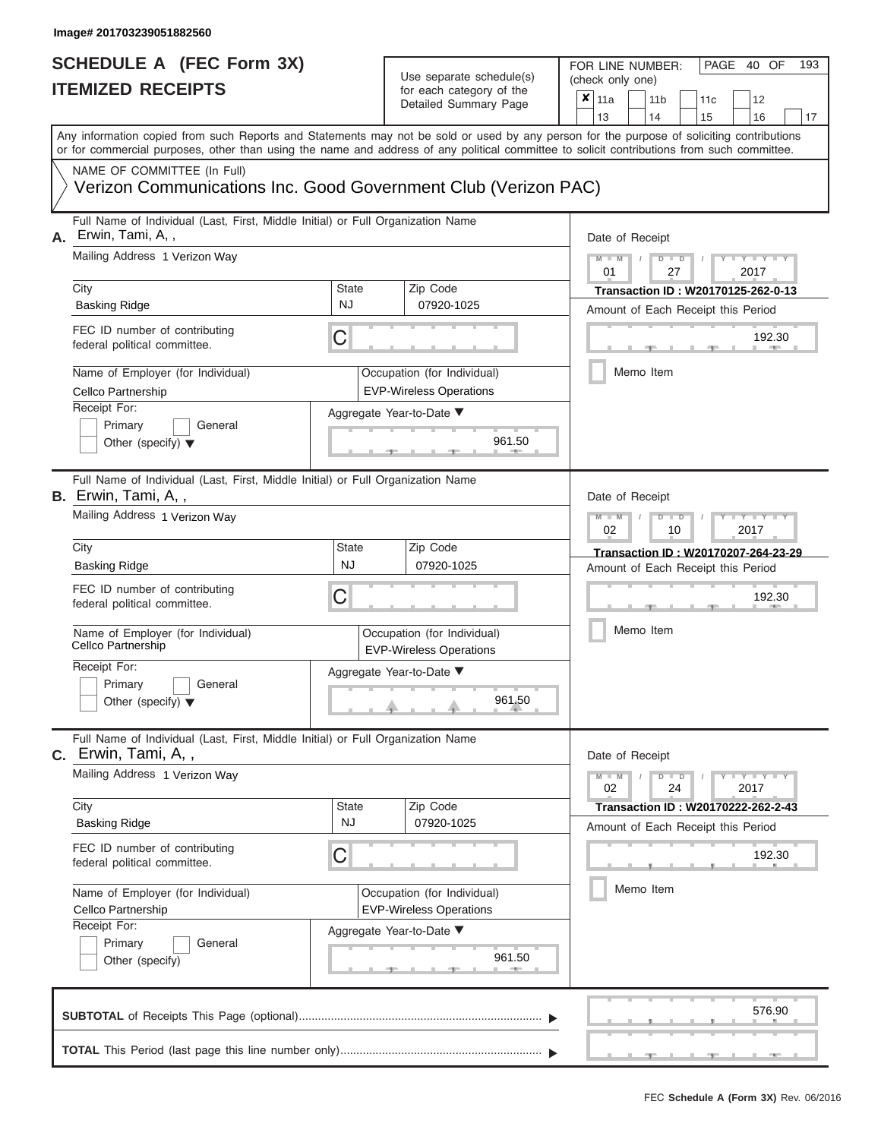| SCHEDULE A (FEC Form 3X)<br><b>ITEMIZED RECEIPTS</b>                                                                                                                                                                                                                                                                                                                                                                      |                                | Use separate schedule(s)<br>for each category of the<br>Detailed Summary Page                                                           | 193<br>FOR LINE NUMBER:<br>PAGE 40 OF<br>(check only one)<br>$\overline{\mathbf{x}}$   11a<br>11 <sub>b</sub><br>11 <sub>c</sub><br>12<br>13<br>14<br>15<br>16<br>17                                      |
|---------------------------------------------------------------------------------------------------------------------------------------------------------------------------------------------------------------------------------------------------------------------------------------------------------------------------------------------------------------------------------------------------------------------------|--------------------------------|-----------------------------------------------------------------------------------------------------------------------------------------|-----------------------------------------------------------------------------------------------------------------------------------------------------------------------------------------------------------|
| Any information copied from such Reports and Statements may not be sold or used by any person for the purpose of soliciting contributions<br>or for commercial purposes, other than using the name and address of any political committee to solicit contributions from such committee.<br>NAME OF COMMITTEE (In Full)<br>Verizon Communications Inc. Good Government Club (Verizon PAC)                                  |                                |                                                                                                                                         |                                                                                                                                                                                                           |
| Full Name of Individual (Last, First, Middle Initial) or Full Organization Name<br>Erwin, Tami, A,,<br>А.<br>Mailing Address 1 Verizon Way<br>City<br><b>Basking Ridge</b><br>FEC ID number of contributing<br>federal political committee.<br>Name of Employer (for Individual)<br>Cellco Partnership<br>Receipt For:<br>Primary<br>General                                                                              | State<br><b>NJ</b><br>C        | Zip Code<br>07920-1025<br>Occupation (for Individual)<br><b>EVP-Wireless Operations</b><br>Aggregate Year-to-Date ▼                     | Date of Receipt<br>$M - M$<br>$Y = Y = Y$<br>$D$ $D$<br>$\sqrt{2}$<br>01<br>27<br>2017<br>Transaction ID: W20170125-262-0-13<br>Amount of Each Receipt this Period<br>192.30<br><b>AND A</b><br>Memo Item |
| Other (specify) $\blacktriangledown$<br>Full Name of Individual (Last, First, Middle Initial) or Full Organization Name<br><b>B.</b> Erwin, Tami, A,,<br>Mailing Address 1 Verizon Way<br>City<br>Basking Ridge<br>FEC ID number of contributing<br>federal political committee.<br>Name of Employer (for Individual)<br>Cellco Partnership<br>Receipt For:<br>Primary<br>General<br>Other (specify) $\blacktriangledown$ | <b>State</b><br><b>NJ</b><br>С | 961.50<br>Zip Code<br>07920-1025<br>Occupation (for Individual)<br><b>EVP-Wireless Operations</b><br>Aggregate Year-to-Date ▼<br>961.50 | Date of Receipt<br>$M - M$<br>Y I Y I<br>$D$ $D$<br>02<br>2017<br>10<br>Transaction ID: W20170207-264-23-29<br>Amount of Each Receipt this Period<br>192.30<br>Memo Item                                  |
| Full Name of Individual (Last, First, Middle Initial) or Full Organization Name<br><b>C.</b> Erwin, Tami, A, ,<br>Mailing Address 1 Verizon Way<br>City<br><b>Basking Ridge</b><br>FEC ID number of contributing<br>federal political committee.<br>Name of Employer (for Individual)<br>Cellco Partnership<br>Receipt For:<br>Primary<br>General<br>Other (specify)                                                      | State<br><b>NJ</b><br>С        | Zip Code<br>07920-1025<br>Occupation (for Individual)<br><b>EVP-Wireless Operations</b><br>Aggregate Year-to-Date ▼<br>961.50           | Date of Receipt<br>$M - M$<br>$D$ $D$<br>$T - Y - T - Y - T - Y$<br>02<br>24<br>2017<br>Transaction ID : W20170222-262-2-43<br>Amount of Each Receipt this Period<br>192.30<br>Memo Item                  |
|                                                                                                                                                                                                                                                                                                                                                                                                                           |                                |                                                                                                                                         | 576.90<br>$-9$<br>$-1$                                                                                                                                                                                    |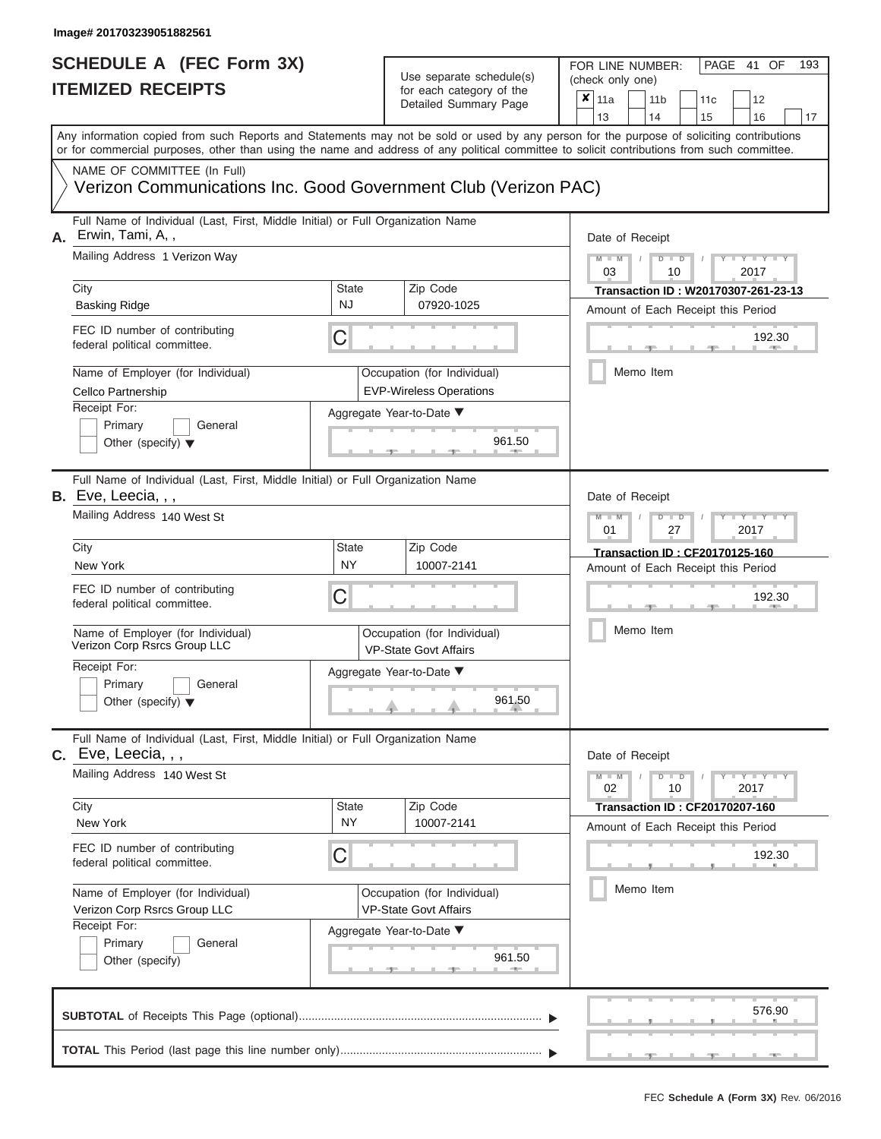# Use separate schedule(s)

FOR LINE NUMBER:<br>(check only one)

PAGE 41 OF 193

|    | IIEMIZEV REVEIPIJ                                                                                                                                                                                                                                                                       |              | for each category of the<br>Detailed Summary Page             | $\pmb{\times}$<br>11a<br>11 <sub>b</sub><br>11c                  | 12                          |    |  |  |  |
|----|-----------------------------------------------------------------------------------------------------------------------------------------------------------------------------------------------------------------------------------------------------------------------------------------|--------------|---------------------------------------------------------------|------------------------------------------------------------------|-----------------------------|----|--|--|--|
|    |                                                                                                                                                                                                                                                                                         |              |                                                               | 13<br>14<br>15                                                   | 16                          | 17 |  |  |  |
|    | Any information copied from such Reports and Statements may not be sold or used by any person for the purpose of soliciting contributions<br>or for commercial purposes, other than using the name and address of any political committee to solicit contributions from such committee. |              |                                                               |                                                                  |                             |    |  |  |  |
|    | NAME OF COMMITTEE (In Full)                                                                                                                                                                                                                                                             |              |                                                               |                                                                  |                             |    |  |  |  |
|    | Verizon Communications Inc. Good Government Club (Verizon PAC)                                                                                                                                                                                                                          |              |                                                               |                                                                  |                             |    |  |  |  |
| А. | Full Name of Individual (Last, First, Middle Initial) or Full Organization Name<br>Erwin, Tami, A,,                                                                                                                                                                                     |              |                                                               | Date of Receipt                                                  |                             |    |  |  |  |
|    | Mailing Address 1 Verizon Way                                                                                                                                                                                                                                                           |              |                                                               | $M - M$<br>$D$ $D$<br>03<br>10                                   | $Y - Y - Y$<br>2017         |    |  |  |  |
|    | City                                                                                                                                                                                                                                                                                    | <b>State</b> | Zip Code                                                      | Transaction ID: W20170307-261-23-13                              |                             |    |  |  |  |
|    | <b>Basking Ridge</b>                                                                                                                                                                                                                                                                    | <b>NJ</b>    | 07920-1025                                                    | Amount of Each Receipt this Period                               |                             |    |  |  |  |
|    | FEC ID number of contributing<br>federal political committee.                                                                                                                                                                                                                           | C            |                                                               |                                                                  | 192.30                      |    |  |  |  |
|    | Name of Employer (for Individual)<br>Cellco Partnership                                                                                                                                                                                                                                 |              | Occupation (for Individual)<br><b>EVP-Wireless Operations</b> | Memo Item                                                        |                             |    |  |  |  |
|    | Receipt For:                                                                                                                                                                                                                                                                            |              | Aggregate Year-to-Date ▼                                      |                                                                  |                             |    |  |  |  |
|    | Primary<br>General<br>Other (specify) $\blacktriangledown$                                                                                                                                                                                                                              |              | 961.50                                                        |                                                                  |                             |    |  |  |  |
|    | Full Name of Individual (Last, First, Middle Initial) or Full Organization Name<br><b>B.</b> Eve, Leecia, , ,                                                                                                                                                                           |              |                                                               | Date of Receipt                                                  |                             |    |  |  |  |
|    | Mailing Address 140 West St                                                                                                                                                                                                                                                             |              |                                                               | $M - M$<br>$D$ $\Box$ $D$<br>$T - Y = T - T$<br>01<br>27<br>2017 |                             |    |  |  |  |
|    | City                                                                                                                                                                                                                                                                                    | State        | Zip Code                                                      | <b>Transaction ID: CF20170125-160</b>                            |                             |    |  |  |  |
|    | New York                                                                                                                                                                                                                                                                                | <b>NY</b>    | 10007-2141                                                    | Amount of Each Receipt this Period                               |                             |    |  |  |  |
|    | FEC ID number of contributing<br>federal political committee.                                                                                                                                                                                                                           | С            |                                                               |                                                                  | 192.30                      |    |  |  |  |
|    | Name of Employer (for Individual)<br>Verizon Corp Rsrcs Group LLC                                                                                                                                                                                                                       |              | Occupation (for Individual)<br><b>VP-State Govt Affairs</b>   | Memo Item                                                        |                             |    |  |  |  |
|    | Receipt For:                                                                                                                                                                                                                                                                            |              | Aggregate Year-to-Date ▼                                      |                                                                  |                             |    |  |  |  |
|    | Primary<br>General<br>Other (specify) $\blacktriangledown$                                                                                                                                                                                                                              |              | 961.50                                                        |                                                                  |                             |    |  |  |  |
|    | Full Name of Individual (Last, First, Middle Initial) or Full Organization Name<br><b>C.</b> Eve, Leecia, , ,                                                                                                                                                                           |              |                                                               | Date of Receipt                                                  |                             |    |  |  |  |
|    | Mailing Address 140 West St                                                                                                                                                                                                                                                             |              |                                                               | $M - M$<br>$D$ $D$<br>02<br>10                                   | $Y - Y - Y - Y - Y$<br>2017 |    |  |  |  |
|    | City                                                                                                                                                                                                                                                                                    | <b>State</b> | Zip Code                                                      | <b>Transaction ID: CF20170207-160</b>                            |                             |    |  |  |  |
|    | New York                                                                                                                                                                                                                                                                                | <b>NY</b>    | 10007-2141                                                    | Amount of Each Receipt this Period                               |                             |    |  |  |  |
|    | FEC ID number of contributing<br>federal political committee.                                                                                                                                                                                                                           | С            |                                                               |                                                                  | 192.30                      |    |  |  |  |
|    | Name of Employer (for Individual)<br>Verizon Corp Rsrcs Group LLC                                                                                                                                                                                                                       |              | Occupation (for Individual)<br><b>VP-State Govt Affairs</b>   | Memo Item                                                        |                             |    |  |  |  |
|    | Receipt For:                                                                                                                                                                                                                                                                            |              | Aggregate Year-to-Date ▼                                      |                                                                  |                             |    |  |  |  |
|    | Primary<br>General                                                                                                                                                                                                                                                                      |              |                                                               |                                                                  |                             |    |  |  |  |
|    | Other (specify)                                                                                                                                                                                                                                                                         |              | 961.50<br>$1 - 400$                                           |                                                                  |                             |    |  |  |  |
|    |                                                                                                                                                                                                                                                                                         |              |                                                               |                                                                  | 576.90                      |    |  |  |  |
|    |                                                                                                                                                                                                                                                                                         |              |                                                               |                                                                  |                             |    |  |  |  |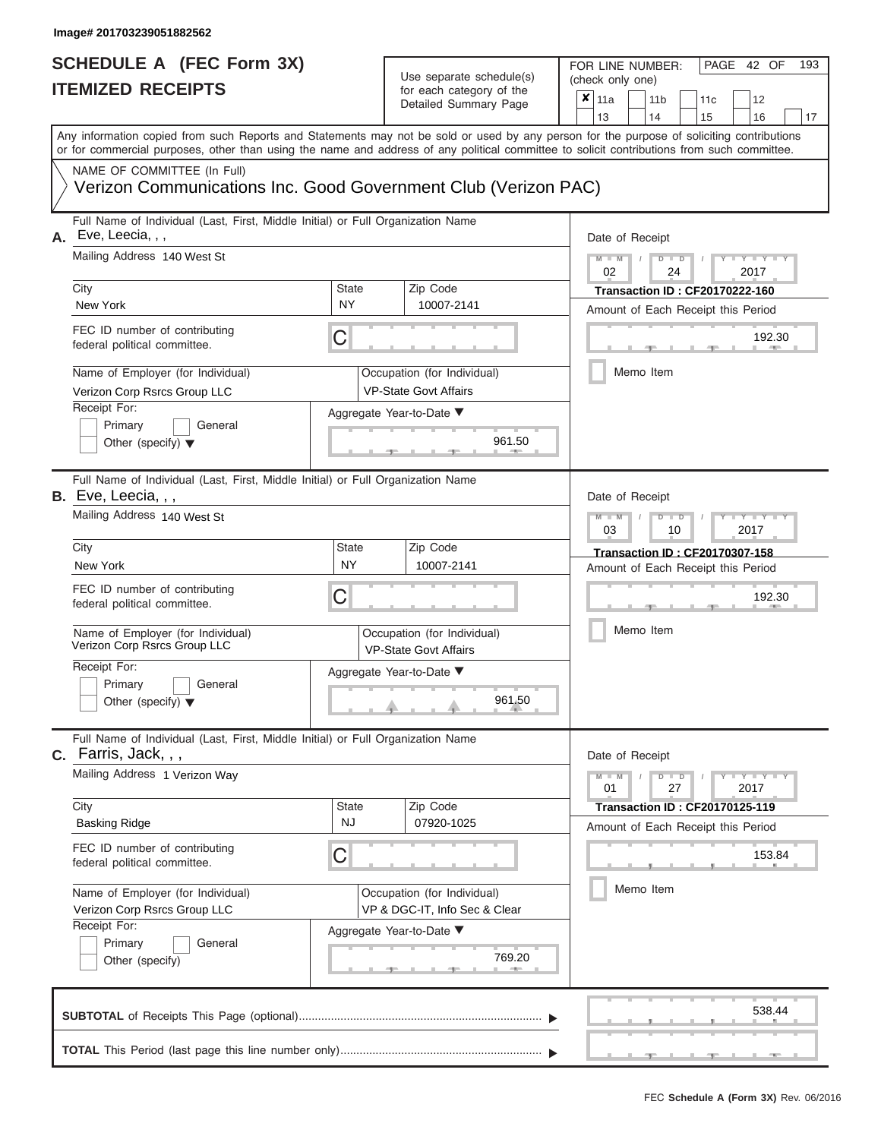#### **Image# 201703239051882562**

#### **SCHEDULE A (FEC Form 3X) ITEMIZED RECEIPTS**

## Use separate schedule(s)

FOR LINE NUMBER:<br>(check only one)

PAGE 42 OF 193

|    | <b>IIEMIZED RECEIPIS</b>                                                                                                                                                                                                                                                                |                           | for each category of the<br>Detailed Summary Page            |                      | ×<br>11a<br>11 <sub>b</sub><br>12<br>11c<br>13<br>17<br>14<br>15<br>16      |  |  |  |
|----|-----------------------------------------------------------------------------------------------------------------------------------------------------------------------------------------------------------------------------------------------------------------------------------------|---------------------------|--------------------------------------------------------------|----------------------|-----------------------------------------------------------------------------|--|--|--|
|    | Any information copied from such Reports and Statements may not be sold or used by any person for the purpose of soliciting contributions<br>or for commercial purposes, other than using the name and address of any political committee to solicit contributions from such committee. |                           |                                                              |                      |                                                                             |  |  |  |
|    | NAME OF COMMITTEE (In Full)<br>Verizon Communications Inc. Good Government Club (Verizon PAC)                                                                                                                                                                                           |                           |                                                              |                      |                                                                             |  |  |  |
| Α. | Full Name of Individual (Last, First, Middle Initial) or Full Organization Name<br>Eve, Leecia, , ,                                                                                                                                                                                     |                           |                                                              |                      | Date of Receipt                                                             |  |  |  |
|    | Mailing Address 140 West St                                                                                                                                                                                                                                                             |                           |                                                              |                      | $-1$ $ Y$<br>2017<br>02<br>24                                               |  |  |  |
|    | City<br>New York                                                                                                                                                                                                                                                                        | <b>State</b><br><b>NY</b> | Zip Code<br>10007-2141                                       |                      | <b>Transaction ID: CF20170222-160</b><br>Amount of Each Receipt this Period |  |  |  |
|    | FEC ID number of contributing<br>federal political committee.                                                                                                                                                                                                                           | C                         |                                                              |                      | 192.30                                                                      |  |  |  |
|    | Name of Employer (for Individual)<br>Verizon Corp Rsrcs Group LLC                                                                                                                                                                                                                       |                           | Occupation (for Individual)<br><b>VP-State Govt Affairs</b>  |                      | Memo Item                                                                   |  |  |  |
|    | Receipt For:<br>Primary<br>General<br>Other (specify) $\blacktriangledown$                                                                                                                                                                                                              |                           | Aggregate Year-to-Date ▼                                     | 961.50               |                                                                             |  |  |  |
|    | Full Name of Individual (Last, First, Middle Initial) or Full Organization Name<br>B. Eve, Leecia, , ,                                                                                                                                                                                  |                           |                                                              |                      | Date of Receipt                                                             |  |  |  |
|    | Mailing Address 140 West St                                                                                                                                                                                                                                                             |                           |                                                              |                      | Y I Y I<br>03<br>10<br>2017                                                 |  |  |  |
|    | City<br>New York                                                                                                                                                                                                                                                                        | <b>State</b><br>NY        | Zip Code<br>10007-2141                                       |                      | Transaction ID: CF20170307-158<br>Amount of Each Receipt this Period        |  |  |  |
|    | FEC ID number of contributing<br>federal political committee.                                                                                                                                                                                                                           | С                         |                                                              |                      | 192.30                                                                      |  |  |  |
|    | Name of Employer (for Individual)<br>Verizon Corp Rsrcs Group LLC                                                                                                                                                                                                                       |                           | Occupation (for Individual)<br><b>VP-State Govt Affairs</b>  |                      | Memo Item                                                                   |  |  |  |
|    | Receipt For:<br>Primary<br>General<br>Other (specify) $\blacktriangledown$                                                                                                                                                                                                              |                           | Aggregate Year-to-Date ▼                                     | 961.50               |                                                                             |  |  |  |
|    | Full Name of Individual (Last, First, Middle Initial) or Full Organization Name<br>$C.$ Farris, Jack, , ,                                                                                                                                                                               |                           |                                                              |                      | Date of Receipt                                                             |  |  |  |
|    | Mailing Address 1 Verizon Way                                                                                                                                                                                                                                                           |                           |                                                              |                      | $Y - Y$<br>$\overline{D}$<br>D<br>27<br>2017<br>01                          |  |  |  |
|    | City<br><b>Basking Ridge</b>                                                                                                                                                                                                                                                            | <b>State</b><br><b>NJ</b> | Zip Code<br>07920-1025                                       |                      | <b>Transaction ID: CF20170125-119</b><br>Amount of Each Receipt this Period |  |  |  |
|    | FEC ID number of contributing<br>federal political committee.                                                                                                                                                                                                                           | C                         |                                                              |                      | 153.84                                                                      |  |  |  |
|    | Name of Employer (for Individual)<br>Verizon Corp Rsrcs Group LLC                                                                                                                                                                                                                       |                           | Occupation (for Individual)<br>VP & DGC-IT, Info Sec & Clear |                      | Memo Item                                                                   |  |  |  |
|    | Receipt For:<br>Primary<br>General<br>Other (specify)                                                                                                                                                                                                                                   |                           | Aggregate Year-to-Date ▼                                     | 769.20<br><b>AND</b> |                                                                             |  |  |  |
|    |                                                                                                                                                                                                                                                                                         |                           |                                                              |                      | 538.44                                                                      |  |  |  |
|    |                                                                                                                                                                                                                                                                                         |                           |                                                              |                      |                                                                             |  |  |  |

 ▲ ▲ ▲ , , .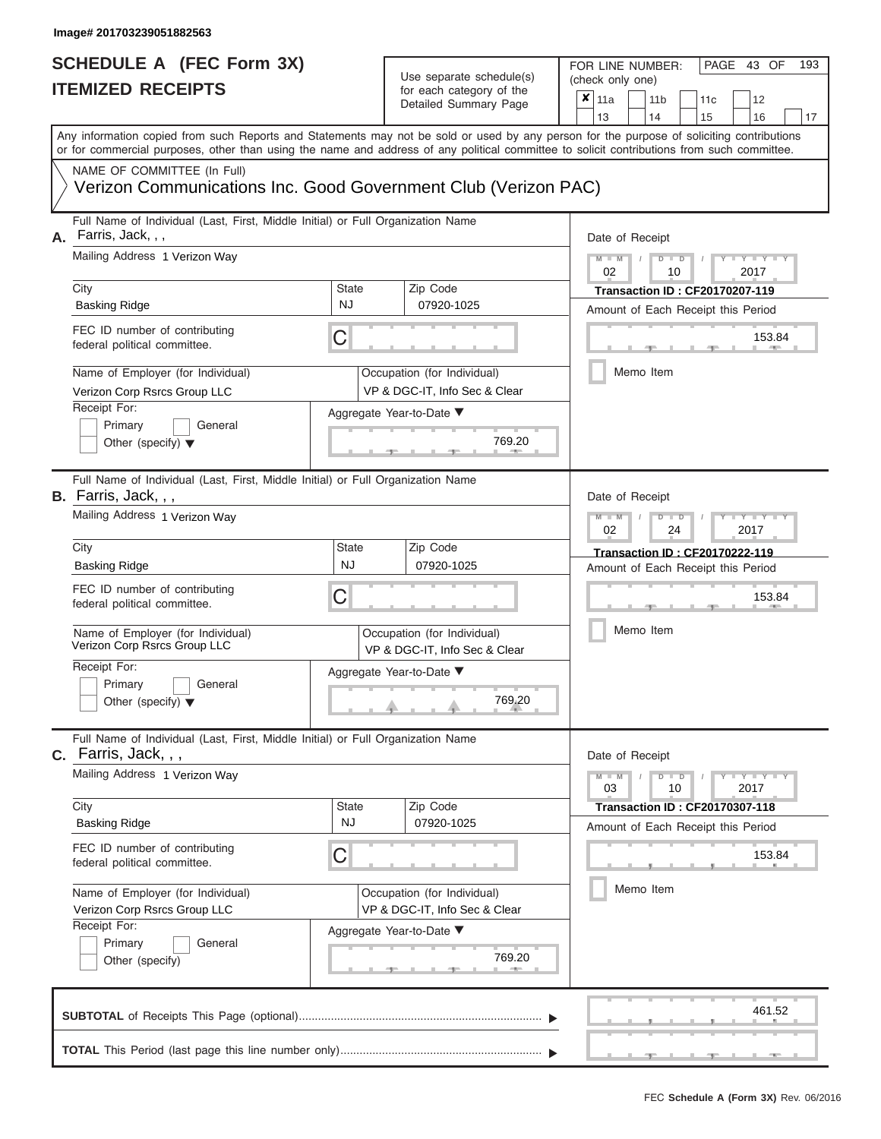# Use separate schedule(s)<br>for each category of the

FOR LINE NUMBER:<br>(check only one)

PAGE 43 OF 193

|    | IILMILLU I\LVLII IJ                                                                                                                        |              | iui cauli calcyuly ul lile<br>Detailed Summary Page          | ×  | 11a             |  | 11 <sub>b</sub>         |               | 11 <sub>c</sub> | 12                                    |    |
|----|--------------------------------------------------------------------------------------------------------------------------------------------|--------------|--------------------------------------------------------------|----|-----------------|--|-------------------------|---------------|-----------------|---------------------------------------|----|
|    | Any information copied from such Reports and Statements may not be sold or used by any person for the purpose of soliciting contributions  |              |                                                              |    | 13              |  | 14                      |               | 15              | 16                                    | 17 |
|    | or for commercial purposes, other than using the name and address of any political committee to solicit contributions from such committee. |              |                                                              |    |                 |  |                         |               |                 |                                       |    |
|    | NAME OF COMMITTEE (In Full)                                                                                                                |              |                                                              |    |                 |  |                         |               |                 |                                       |    |
|    | Verizon Communications Inc. Good Government Club (Verizon PAC)                                                                             |              |                                                              |    |                 |  |                         |               |                 |                                       |    |
| А. | Full Name of Individual (Last, First, Middle Initial) or Full Organization Name<br>Farris, Jack, , ,                                       |              |                                                              |    | Date of Receipt |  |                         |               |                 |                                       |    |
|    | Mailing Address 1 Verizon Wav                                                                                                              |              |                                                              |    | $M - M$         |  |                         | $D$ $D$       |                 |                                       |    |
|    |                                                                                                                                            |              |                                                              |    | 02              |  |                         | 10            |                 | 2017                                  |    |
|    | City                                                                                                                                       | <b>State</b> | Zip Code                                                     |    |                 |  |                         |               |                 | <b>Transaction ID: CF20170207-119</b> |    |
|    | <b>Basking Ridge</b>                                                                                                                       | <b>NJ</b>    | 07920-1025                                                   |    |                 |  |                         |               |                 | Amount of Each Receipt this Period    |    |
|    | FEC ID number of contributing<br>federal political committee.                                                                              | C            |                                                              |    |                 |  |                         |               |                 | 153.84                                |    |
|    | Name of Employer (for Individual)                                                                                                          |              | Occupation (for Individual)                                  |    |                 |  | Memo Item               |               |                 |                                       |    |
|    | Verizon Corp Rsrcs Group LLC                                                                                                               |              | VP & DGC-IT, Info Sec & Clear                                |    |                 |  |                         |               |                 |                                       |    |
|    | Receipt For:                                                                                                                               |              | Aggregate Year-to-Date ▼                                     |    |                 |  |                         |               |                 |                                       |    |
|    | Primary<br>General                                                                                                                         |              |                                                              |    |                 |  |                         |               |                 |                                       |    |
|    | Other (specify) $\blacktriangledown$                                                                                                       |              | 769.20                                                       |    |                 |  |                         |               |                 |                                       |    |
|    |                                                                                                                                            |              |                                                              |    |                 |  |                         |               |                 |                                       |    |
|    | Full Name of Individual (Last, First, Middle Initial) or Full Organization Name<br><b>B.</b> Farris, Jack, , ,                             |              |                                                              |    | Date of Receipt |  |                         |               |                 |                                       |    |
|    | Mailing Address 1 Verizon Way                                                                                                              |              |                                                              |    | $M - M$         |  | $\overline{\mathsf{D}}$ | $\Box$        |                 | Y<br>т                                |    |
|    |                                                                                                                                            |              |                                                              | 02 |                 |  | 24                      |               | 2017            |                                       |    |
|    | City                                                                                                                                       | State        | Zip Code                                                     |    |                 |  |                         |               |                 | <b>Transaction ID: CF20170222-119</b> |    |
|    | <b>Basking Ridge</b>                                                                                                                       | <b>NJ</b>    | 07920-1025                                                   |    |                 |  |                         |               |                 | Amount of Each Receipt this Period    |    |
|    | FEC ID number of contributing                                                                                                              |              |                                                              |    |                 |  |                         |               |                 |                                       |    |
|    | federal political committee.                                                                                                               | С            |                                                              |    |                 |  |                         |               | 153.84          |                                       |    |
|    | Name of Employer (for Individual)<br>Verizon Corp Rsrcs Group LLC                                                                          |              | Occupation (for Individual)<br>VP & DGC-IT, Info Sec & Clear |    | Memo Item       |  |                         |               |                 |                                       |    |
|    | Receipt For:                                                                                                                               |              | Aggregate Year-to-Date ▼                                     |    |                 |  |                         |               |                 |                                       |    |
|    | Primary<br>General                                                                                                                         |              |                                                              |    |                 |  |                         |               |                 |                                       |    |
|    | Other (specify) $\blacktriangledown$                                                                                                       |              | 769.20                                                       |    |                 |  |                         |               |                 |                                       |    |
|    | Full Name of Individual (Last, First, Middle Initial) or Full Organization Name                                                            |              |                                                              |    |                 |  |                         |               |                 |                                       |    |
| С. | Farris, Jack, , ,                                                                                                                          |              |                                                              |    | Date of Receipt |  |                         |               |                 |                                       |    |
|    | Mailing Address 1 Verizon Way                                                                                                              |              |                                                              |    | $M - M$<br>03   |  |                         | $D$ $D$<br>10 |                 | $Y - Y - Y$<br>2017                   |    |
|    | City                                                                                                                                       | <b>State</b> | Zip Code                                                     |    |                 |  |                         |               |                 | <b>Transaction ID: CF20170307-118</b> |    |
|    | <b>Basking Ridge</b>                                                                                                                       | <b>NJ</b>    | 07920-1025                                                   |    |                 |  |                         |               |                 | Amount of Each Receipt this Period    |    |
|    | FEC ID number of contributing                                                                                                              |              |                                                              |    |                 |  |                         |               |                 |                                       |    |
|    | federal political committee.                                                                                                               | С            |                                                              |    |                 |  |                         |               |                 | 153.84                                |    |
|    | Name of Employer (for Individual)                                                                                                          |              | Occupation (for Individual)                                  |    |                 |  | Memo Item               |               |                 |                                       |    |
|    | Verizon Corp Rsrcs Group LLC                                                                                                               |              | VP & DGC-IT, Info Sec & Clear                                |    |                 |  |                         |               |                 |                                       |    |
|    | Receipt For:                                                                                                                               |              |                                                              |    |                 |  |                         |               |                 |                                       |    |
|    | Primary<br>General                                                                                                                         |              | Aggregate Year-to-Date ▼                                     |    |                 |  |                         |               |                 |                                       |    |
|    | Other (specify)                                                                                                                            |              | 769.20                                                       |    |                 |  |                         |               |                 |                                       |    |
|    |                                                                                                                                            |              |                                                              |    |                 |  |                         |               |                 |                                       |    |
|    |                                                                                                                                            |              |                                                              |    |                 |  |                         |               |                 | 461.52                                |    |
|    |                                                                                                                                            |              |                                                              |    |                 |  |                         |               |                 |                                       |    |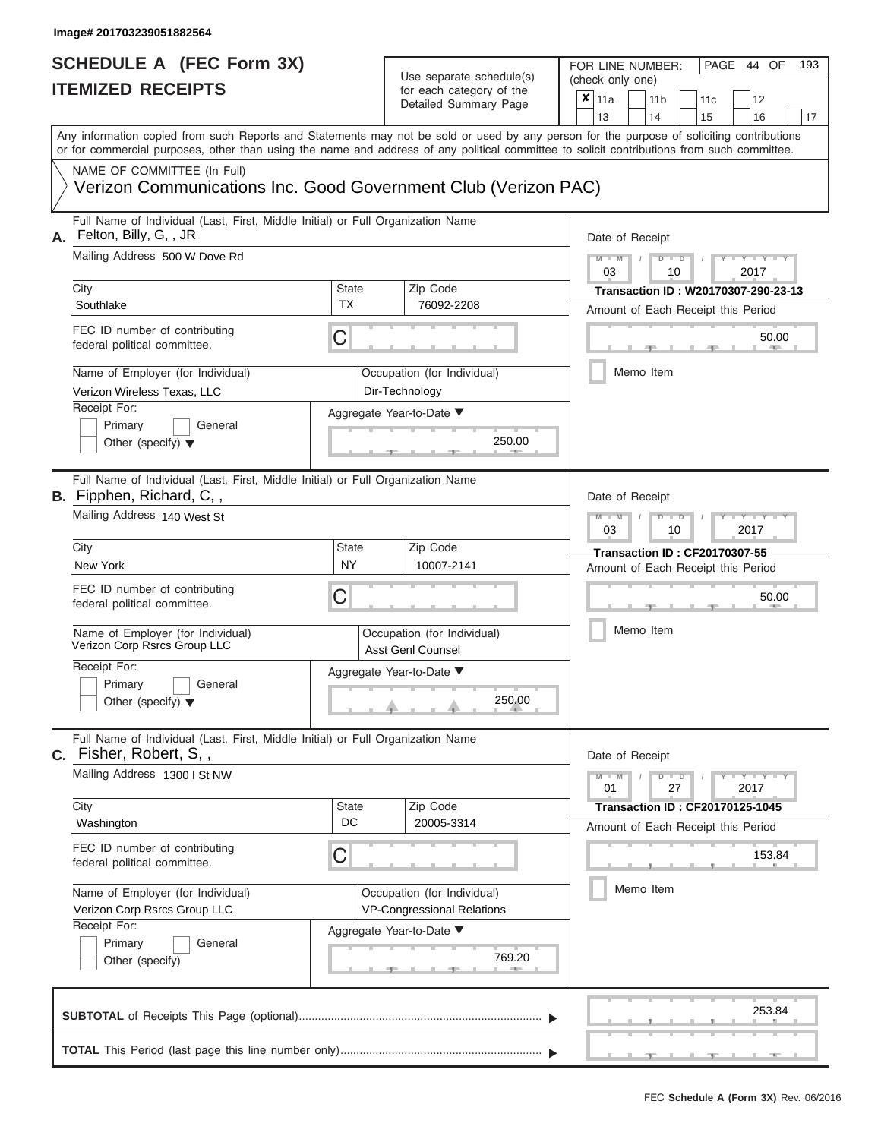| SCHEDULE A (FEC Form 3X)<br><b>ITEMIZED RECEIPTS</b>                                                                                                                                                                                                                                                                                                                                      |                                | Use separate schedule(s)<br>for each category of the<br>Detailed Summary Page                                                    | 193<br>FOR LINE NUMBER:<br>PAGE 44 OF<br>(check only one)<br>$\mathbf{\overline{x}}$   11a<br>11 <sub>b</sub><br>11 <sub>c</sub><br>12                                                                                                                     |
|-------------------------------------------------------------------------------------------------------------------------------------------------------------------------------------------------------------------------------------------------------------------------------------------------------------------------------------------------------------------------------------------|--------------------------------|----------------------------------------------------------------------------------------------------------------------------------|------------------------------------------------------------------------------------------------------------------------------------------------------------------------------------------------------------------------------------------------------------|
| Any information copied from such Reports and Statements may not be sold or used by any person for the purpose of soliciting contributions<br>or for commercial purposes, other than using the name and address of any political committee to solicit contributions from such committee.                                                                                                   |                                |                                                                                                                                  | 13<br>14<br>15<br>16<br>17                                                                                                                                                                                                                                 |
| NAME OF COMMITTEE (In Full)<br>Verizon Communications Inc. Good Government Club (Verizon PAC)                                                                                                                                                                                                                                                                                             |                                |                                                                                                                                  |                                                                                                                                                                                                                                                            |
| Full Name of Individual (Last, First, Middle Initial) or Full Organization Name<br>Felton, Billy, G, , JR<br>А.<br>Mailing Address 500 W Dove Rd<br>City<br>Southlake<br>FEC ID number of contributing<br>federal political committee.<br>Name of Employer (for Individual)<br>Verizon Wireless Texas, LLC<br>Receipt For:<br>Primary<br>General<br>Other (specify) $\blacktriangledown$  | <b>State</b><br><b>TX</b><br>С | Zip Code<br>76092-2208<br>Occupation (for Individual)<br>Dir-Technology<br>Aggregate Year-to-Date ▼<br>250.00                    | Date of Receipt<br>$M$ – $M$ /<br>$Y - Y - Y$<br>$D$ $D$<br>03<br>2017<br>10<br>Transaction ID: W20170307-290-23-13<br>Amount of Each Receipt this Period<br>50.00<br><b>AND A</b><br>Memo Item                                                            |
| Full Name of Individual (Last, First, Middle Initial) or Full Organization Name<br><b>B.</b> Fipphen, Richard, C,,<br>Mailing Address 140 West St<br>City<br>New York<br>FEC ID number of contributing<br>federal political committee.<br>Name of Employer (for Individual)<br>Verizon Corp Rsrcs Group LLC<br>Receipt For:<br>Primary<br>General<br>Other (specify) $\blacktriangledown$ | State<br><b>NY</b><br>С        | Zip Code<br>10007-2141<br>Occupation (for Individual)<br>Asst Genl Counsel<br>Aggregate Year-to-Date ▼<br>250.00                 | Date of Receipt<br>$M - M$<br>$\blacksquare$ $\blacksquare$ $\blacksquare$ $\blacksquare$ $\blacksquare$ $\blacksquare$<br>$D$ $D$<br>03<br>2017<br>10<br><b>Transaction ID: CF20170307-55</b><br>Amount of Each Receipt this Period<br>50.00<br>Memo Item |
| Full Name of Individual (Last, First, Middle Initial) or Full Organization Name<br>C. Fisher, Robert, S,,<br>Mailing Address 1300 I St NW<br>City<br>Washington<br>FEC ID number of contributing<br>federal political committee.<br>Name of Employer (for Individual)<br>Verizon Corp Rsrcs Group LLC<br>Receipt For:<br>Primary<br>General<br>Other (specify)                            | <b>State</b><br>DC<br>С        | Zip Code<br>20005-3314<br>Occupation (for Individual)<br><b>VP-Congressional Relations</b><br>Aggregate Year-to-Date ▼<br>769.20 | Date of Receipt<br>$M - M$<br>$D$ $D$<br>$  Y$ $  Y$ $  Y$<br>01<br>27<br>2017<br><b>Transaction ID: CF20170125-1045</b><br>Amount of Each Receipt this Period<br>153.84<br>Memo Item                                                                      |
|                                                                                                                                                                                                                                                                                                                                                                                           |                                |                                                                                                                                  | 253.84                                                                                                                                                                                                                                                     |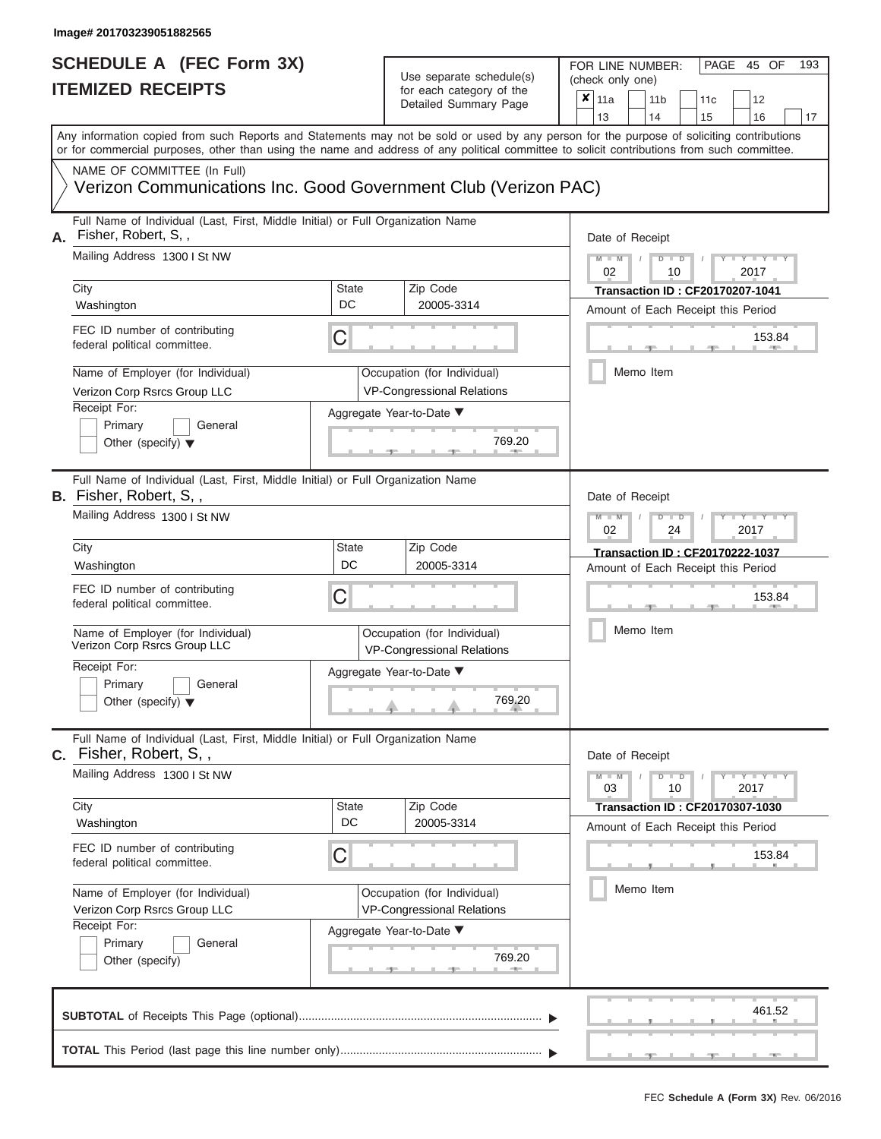| SCHEDULE A (FEC Form 3X)<br><b>ITEMIZED RECEIPTS</b>                                                                                                                      |                    | Use separate schedule(s)<br>for each category of the<br>Detailed Summary Page                                                                           | 193<br>FOR LINE NUMBER:<br>PAGE 45 OF<br>(check only one)<br>×<br>11a<br>11 <sub>b</sub><br>12<br>11 <sub>c</sub>                                                       |
|---------------------------------------------------------------------------------------------------------------------------------------------------------------------------|--------------------|---------------------------------------------------------------------------------------------------------------------------------------------------------|-------------------------------------------------------------------------------------------------------------------------------------------------------------------------|
| or for commercial purposes, other than using the name and address of any political committee to solicit contributions from such committee.<br>NAME OF COMMITTEE (In Full) |                    |                                                                                                                                                         | 13<br>14<br>15<br>16<br>17<br>Any information copied from such Reports and Statements may not be sold or used by any person for the purpose of soliciting contributions |
| Verizon Communications Inc. Good Government Club (Verizon PAC)                                                                                                            |                    |                                                                                                                                                         |                                                                                                                                                                         |
| Full Name of Individual (Last, First, Middle Initial) or Full Organization Name<br>Fisher, Robert, S,,<br>Mailing Address 1300   St NW                                    |                    |                                                                                                                                                         | Date of Receipt<br>$M - M$ /<br>$D$ $D$<br>$Y - Y - Y$                                                                                                                  |
| City<br>Washington                                                                                                                                                        | <b>State</b><br>DC | Zip Code<br>20005-3314                                                                                                                                  | 02<br>2017<br>10<br><b>Transaction ID: CF20170207-1041</b>                                                                                                              |
| FEC ID number of contributing<br>federal political committee.                                                                                                             | C                  |                                                                                                                                                         | Amount of Each Receipt this Period<br>153.84<br><b>AND IN</b>                                                                                                           |
| Name of Employer (for Individual)<br>Verizon Corp Rsrcs Group LLC                                                                                                         |                    | Occupation (for Individual)<br><b>VP-Congressional Relations</b>                                                                                        | Memo Item                                                                                                                                                               |
| Receipt For:<br>Primary<br>General<br>Other (specify) $\blacktriangledown$                                                                                                |                    | Aggregate Year-to-Date ▼<br>769.20                                                                                                                      |                                                                                                                                                                         |
| Full Name of Individual (Last, First, Middle Initial) or Full Organization Name<br><b>B.</b> Fisher, Robert, S,,<br>Mailing Address 1300 I St NW                          |                    | Date of Receipt<br>$M - M$<br>$D$ $\Box$ $D$<br>$\blacksquare \blacksquare Y \blacksquare \blacksquare Y \blacksquare \blacksquare$<br>2017<br>02<br>24 |                                                                                                                                                                         |
| City<br>Washington                                                                                                                                                        | <b>State</b><br>DC | Zip Code<br>20005-3314                                                                                                                                  | Transaction ID: CF20170222-1037<br>Amount of Each Receipt this Period                                                                                                   |
| FEC ID number of contributing<br>federal political committee.                                                                                                             | С                  |                                                                                                                                                         | 153.84                                                                                                                                                                  |
| Name of Employer (for Individual)<br>Verizon Corp Rsrcs Group LLC                                                                                                         |                    | Occupation (for Individual)<br>VP-Congressional Relations                                                                                               | Memo Item                                                                                                                                                               |
| Receipt For:<br>Primary<br>General<br>Other (specify) $\blacktriangledown$                                                                                                |                    | Aggregate Year-to-Date ▼<br>$\begin{array}{c}\n 769.20 \\ \hline\n \end{array}$                                                                         |                                                                                                                                                                         |
| Full Name of Individual (Last, First, Middle Initial) or Full Organization Name<br>C. Fisher, Robert, S.,                                                                 |                    |                                                                                                                                                         | Date of Receipt                                                                                                                                                         |
| Mailing Address 1300 I St NW<br>City                                                                                                                                      | <b>State</b>       | Zip Code                                                                                                                                                | $M - M$<br>$D$ $D$<br>$+Y+Y+Y$<br>03<br>10<br>2017<br>Transaction ID : CF20170307-1030                                                                                  |
| Washington                                                                                                                                                                | DC.                | 20005-3314                                                                                                                                              | Amount of Each Receipt this Period                                                                                                                                      |
| FEC ID number of contributing<br>federal political committee.                                                                                                             | С                  |                                                                                                                                                         | 153.84<br>Memo Item                                                                                                                                                     |
| Name of Employer (for Individual)<br>Verizon Corp Rsrcs Group LLC<br>Receipt For:                                                                                         |                    | Occupation (for Individual)<br><b>VP-Congressional Relations</b><br>Aggregate Year-to-Date ▼                                                            |                                                                                                                                                                         |
| Primary<br>General<br>Other (specify)                                                                                                                                     |                    | 769.20                                                                                                                                                  |                                                                                                                                                                         |
|                                                                                                                                                                           |                    |                                                                                                                                                         | 461.52                                                                                                                                                                  |
|                                                                                                                                                                           |                    |                                                                                                                                                         |                                                                                                                                                                         |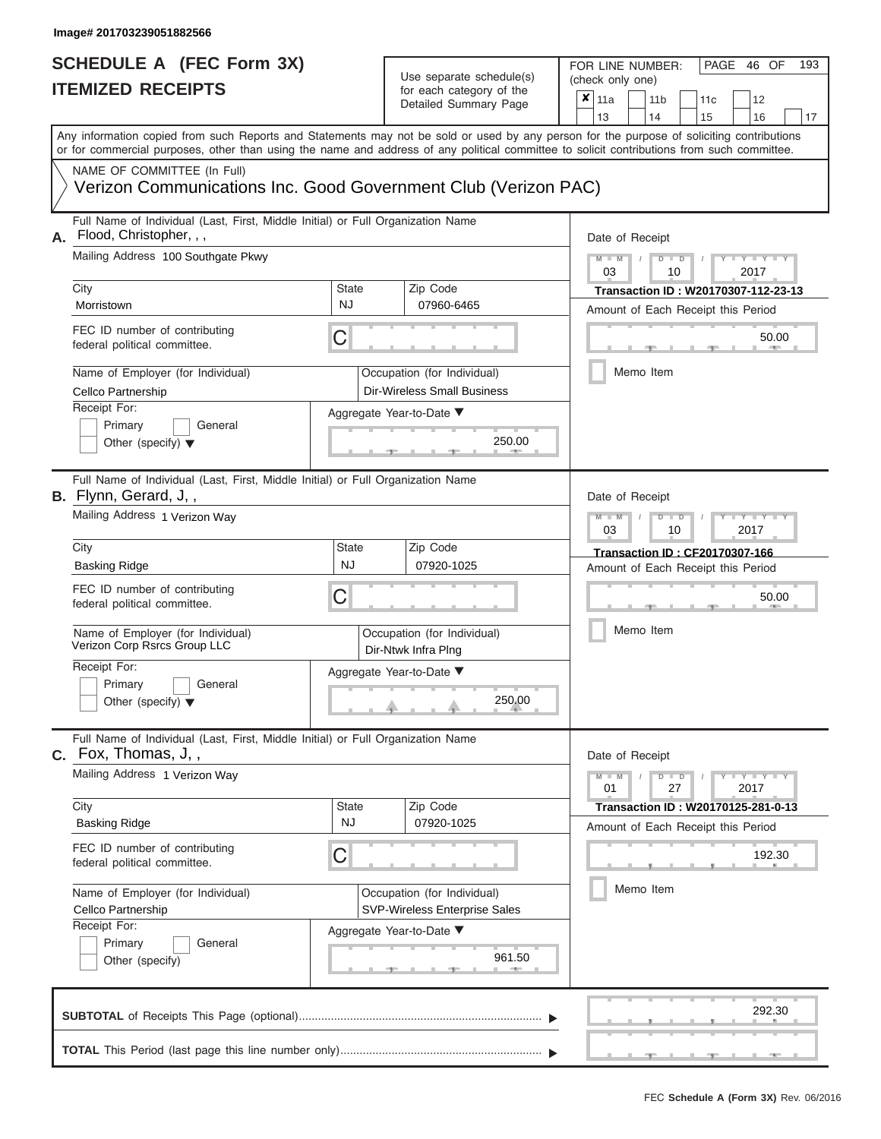| SCHEDULE A (FEC Form 3X)<br><b>ITEMIZED RECEIPTS</b>                                                                                                                                                                                                                                                                                                                                                                                                     |                                | Use separate schedule(s)<br>for each category of the<br>Detailed Summary Page                                                     | 193<br>FOR LINE NUMBER:<br>PAGE 46 OF<br>(check only one)<br>$\overline{\mathbf{x}}$   11a<br>11 <sub>b</sub><br>12<br>11c<br>13<br>14<br>15<br>16                                                         |
|----------------------------------------------------------------------------------------------------------------------------------------------------------------------------------------------------------------------------------------------------------------------------------------------------------------------------------------------------------------------------------------------------------------------------------------------------------|--------------------------------|-----------------------------------------------------------------------------------------------------------------------------------|------------------------------------------------------------------------------------------------------------------------------------------------------------------------------------------------------------|
| Any information copied from such Reports and Statements may not be sold or used by any person for the purpose of soliciting contributions<br>or for commercial purposes, other than using the name and address of any political committee to solicit contributions from such committee.<br>NAME OF COMMITTEE (In Full)                                                                                                                                   |                                |                                                                                                                                   | 17                                                                                                                                                                                                         |
| Verizon Communications Inc. Good Government Club (Verizon PAC)<br>Full Name of Individual (Last, First, Middle Initial) or Full Organization Name<br>Flood, Christopher, , ,<br>А.<br>Mailing Address 100 Southgate Pkwy<br>City<br>Morristown<br>FEC ID number of contributing<br>federal political committee.<br>Name of Employer (for Individual)<br>Cellco Partnership<br>Receipt For:<br>Primary<br>General<br>Other (specify) $\blacktriangledown$ | <b>State</b><br><b>NJ</b><br>C | Zip Code<br>07960-6465<br>Occupation (for Individual)<br><b>Dir-Wireless Small Business</b><br>Aggregate Year-to-Date ▼<br>250.00 | Date of Receipt<br>$M - M$<br>$Y - Y - Y$<br>$D$ $D$<br>$\sqrt{2}$<br>03<br>2017<br>10<br>Transaction ID: W20170307-112-23-13<br>Amount of Each Receipt this Period<br>50.00<br><b>AND IN</b><br>Memo Item |
| Full Name of Individual (Last, First, Middle Initial) or Full Organization Name<br>B. Flynn, Gerard, J,,<br>Mailing Address 1 Verizon Way<br>City<br><b>Basking Ridge</b><br>FEC ID number of contributing<br>federal political committee.<br>Name of Employer (for Individual)<br>Verizon Corp Rsrcs Group LLC<br>Receipt For:<br>Primary<br>General<br>Other (specify) $\blacktriangledown$                                                            | State<br><b>NJ</b><br>С        | Zip Code<br>07920-1025<br>Occupation (for Individual)<br>Dir-Ntwk Infra Plng<br>Aggregate Year-to-Date ▼<br>250.00                | Date of Receipt<br>$M - M$<br>$D$ $\Box$ $D$<br>Y I Y<br>03<br>2017<br>10<br>Transaction ID: CF20170307-166<br>Amount of Each Receipt this Period<br>50.00<br>Memo Item                                    |
| Full Name of Individual (Last, First, Middle Initial) or Full Organization Name<br>$c.$ Fox, Thomas, J,,<br>Mailing Address 1 Verizon Way<br>City<br><b>Basking Ridge</b><br>FEC ID number of contributing<br>federal political committee.<br>Name of Employer (for Individual)<br>Cellco Partnership<br>Receipt For:<br>Primary<br>General<br>Other (specify)                                                                                           | <b>State</b><br><b>NJ</b><br>С | Zip Code<br>07920-1025<br>Occupation (for Individual)<br>SVP-Wireless Enterprise Sales<br>Aggregate Year-to-Date ▼<br>961.50      | Date of Receipt<br>$M - M$<br>$D$ $D$<br>$T - Y - T - Y - T - Y$<br>27<br>2017<br>01<br>Transaction ID: W20170125-281-0-13<br>Amount of Each Receipt this Period<br>192.30<br>Memo Item                    |
|                                                                                                                                                                                                                                                                                                                                                                                                                                                          |                                |                                                                                                                                   | 292.30                                                                                                                                                                                                     |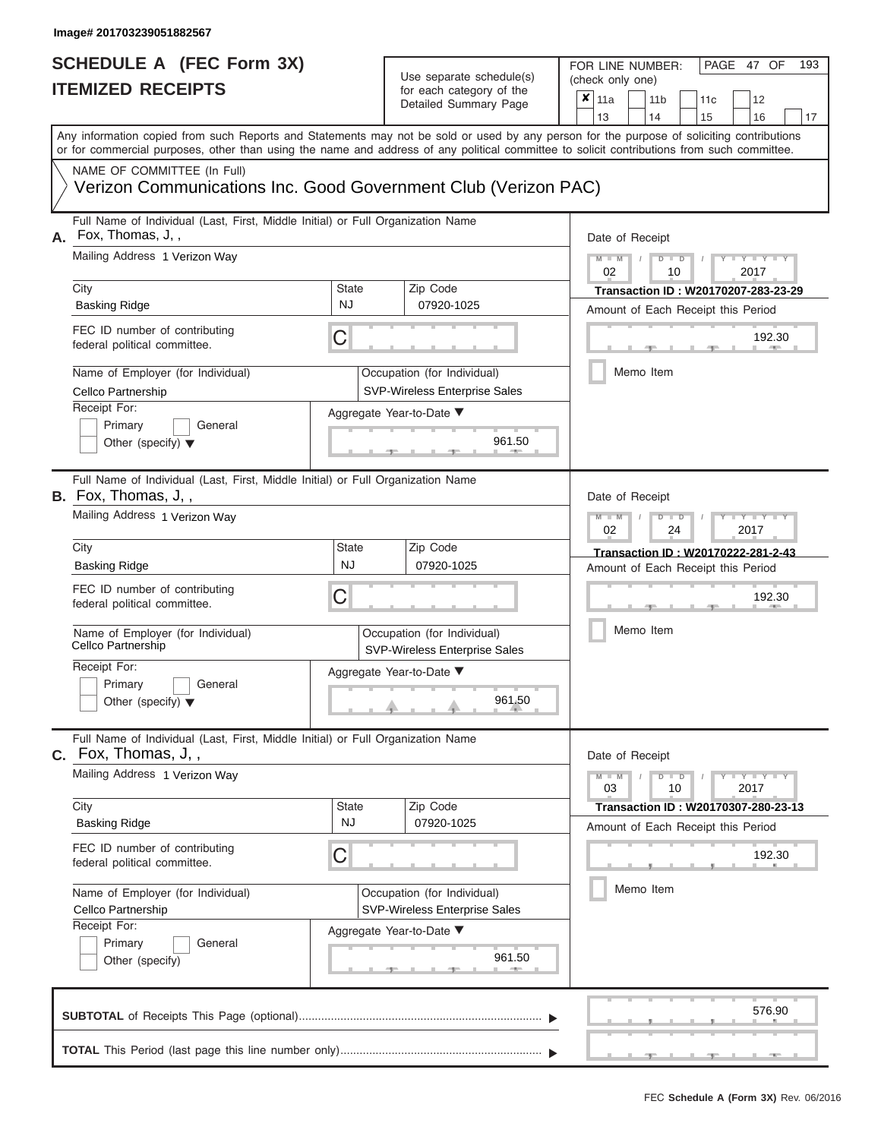| SCHEDULE A (FEC Form 3X)<br><b>ITEMIZED RECEIPTS</b>                                                                                                                                                                                                                                                                                                                                     |                                | Use separate schedule(s)<br>for each category of the<br>Detailed Summary Page                                                       | 193<br>FOR LINE NUMBER:<br>PAGE 47 OF<br>(check only one)<br>$\overline{\mathbf{x}}$   11a<br>11 <sub>b</sub><br>11 <sub>c</sub><br>12<br>13<br>14<br>15<br>16<br>17                                        |
|------------------------------------------------------------------------------------------------------------------------------------------------------------------------------------------------------------------------------------------------------------------------------------------------------------------------------------------------------------------------------------------|--------------------------------|-------------------------------------------------------------------------------------------------------------------------------------|-------------------------------------------------------------------------------------------------------------------------------------------------------------------------------------------------------------|
| Any information copied from such Reports and Statements may not be sold or used by any person for the purpose of soliciting contributions<br>or for commercial purposes, other than using the name and address of any political committee to solicit contributions from such committee.<br>NAME OF COMMITTEE (In Full)<br>Verizon Communications Inc. Good Government Club (Verizon PAC) |                                |                                                                                                                                     |                                                                                                                                                                                                             |
| Full Name of Individual (Last, First, Middle Initial) or Full Organization Name<br>Fox, Thomas, J,,<br>А.<br>Mailing Address 1 Verizon Way<br>City<br><b>Basking Ridge</b><br>FEC ID number of contributing<br>federal political committee.<br>Name of Employer (for Individual)<br>Cellco Partnership<br>Receipt For:<br>Primary<br>General<br>Other (specify) $\blacktriangledown$     | State<br><b>NJ</b><br>C        | Zip Code<br>07920-1025<br>Occupation (for Individual)<br><b>SVP-Wireless Enterprise Sales</b><br>Aggregate Year-to-Date ▼<br>961.50 | Date of Receipt<br>$M - M$<br>$Y - Y - Y$<br>$D$ $D$<br>$\sqrt{2}$<br>02<br>2017<br>10<br>Transaction ID: W20170207-283-23-29<br>Amount of Each Receipt this Period<br>192.30<br><b>1. 200</b><br>Memo Item |
| Full Name of Individual (Last, First, Middle Initial) or Full Organization Name<br><b>B.</b> Fox, Thomas, J,,<br>Mailing Address 1 Verizon Way<br>City<br>Basking Ridge<br>FEC ID number of contributing<br>federal political committee.<br>Name of Employer (for Individual)<br>Cellco Partnership<br>Receipt For:<br>Primary<br>General<br>Other (specify) $\blacktriangledown$        | <b>State</b><br><b>NJ</b><br>С | Zip Code<br>07920-1025<br>Occupation (for Individual)<br>SVP-Wireless Enterprise Sales<br>Aggregate Year-to-Date ▼<br>961.50        | Date of Receipt<br>$M - M$<br>Y I Y I<br>$D$ $D$<br>02<br>2017<br>24<br>Transaction ID: W20170222-281-2-43<br>Amount of Each Receipt this Period<br>192.30<br>Memo Item                                     |
| Full Name of Individual (Last, First, Middle Initial) or Full Organization Name<br>$C.$ Fox, Thomas, J,,<br>Mailing Address 1 Verizon Way<br>City<br><b>Basking Ridge</b><br>FEC ID number of contributing<br>federal political committee.<br>Name of Employer (for Individual)<br>Cellco Partnership<br>Receipt For:<br>Primary<br>General<br>Other (specify)                           | State<br><b>NJ</b><br>С        | Zip Code<br>07920-1025<br>Occupation (for Individual)<br>SVP-Wireless Enterprise Sales<br>Aggregate Year-to-Date ▼<br>961.50        | Date of Receipt<br>$M - M$<br>$D$ $D$<br>$T - Y - T - Y - T - Y$<br>03<br>10<br>2017<br>Transaction ID : W20170307-280-23-13<br>Amount of Each Receipt this Period<br>192.30<br>Memo Item                   |
|                                                                                                                                                                                                                                                                                                                                                                                          |                                |                                                                                                                                     | 576.90                                                                                                                                                                                                      |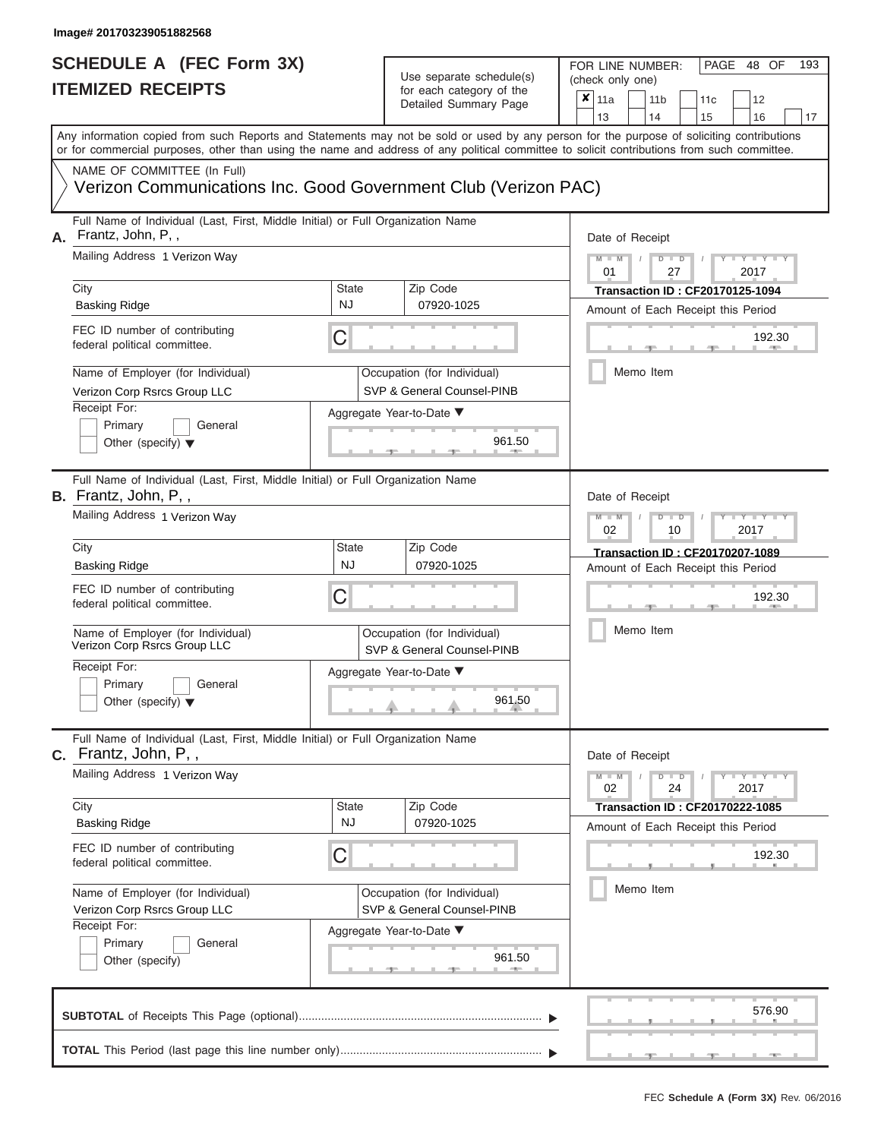| SCHEDULE A (FEC Form 3X)<br><b>ITEMIZED RECEIPTS</b>                                                                                                                                                                                                                                                                                                                                            |                         | Use separate schedule(s)<br>for each category of the<br>Detailed Summary Page                                             | 193<br>FOR LINE NUMBER:<br>PAGE 48 OF<br>(check only one)<br>$\overline{\mathbf{x}}$   11a<br>11 <sub>b</sub><br>11 <sub>c</sub><br>12<br>13<br>14                                                      |
|-------------------------------------------------------------------------------------------------------------------------------------------------------------------------------------------------------------------------------------------------------------------------------------------------------------------------------------------------------------------------------------------------|-------------------------|---------------------------------------------------------------------------------------------------------------------------|---------------------------------------------------------------------------------------------------------------------------------------------------------------------------------------------------------|
| Any information copied from such Reports and Statements may not be sold or used by any person for the purpose of soliciting contributions<br>or for commercial purposes, other than using the name and address of any political committee to solicit contributions from such committee.<br>NAME OF COMMITTEE (In Full)<br>Verizon Communications Inc. Good Government Club (Verizon PAC)        |                         |                                                                                                                           | 15<br>16<br>17                                                                                                                                                                                          |
| Full Name of Individual (Last, First, Middle Initial) or Full Organization Name<br>Frantz, John, P,,<br>А.<br>Mailing Address 1 Verizon Way<br>City<br><b>Basking Ridge</b><br>FEC ID number of contributing<br>federal political committee.<br>Name of Employer (for Individual)<br>Verizon Corp Rsrcs Group LLC<br>Receipt For:<br>Primary<br>General<br>Other (specify) $\blacktriangledown$ | State<br><b>NJ</b><br>C | Zip Code<br>07920-1025<br>Occupation (for Individual)<br>SVP & General Counsel-PINB<br>Aggregate Year-to-Date ▼<br>961.50 | Date of Receipt<br>$M - M$<br>$D$ $D$<br>Y TYT<br>$\sqrt{2}$<br>01<br>27<br>2017<br><b>Transaction ID: CF20170125-1094</b><br>Amount of Each Receipt this Period<br>192.30<br><b>AND A</b><br>Memo Item |
| Full Name of Individual (Last, First, Middle Initial) or Full Organization Name<br><b>B.</b> Frantz, John, P,,<br>Mailing Address 1 Verizon Way<br>City<br>Basking Ridge<br>FEC ID number of contributing<br>federal political committee.<br>Name of Employer (for Individual)<br>Verizon Corp Rsrcs Group LLC<br>Receipt For:<br>Primary<br>General<br>Other (specify) $\blacktriangledown$    | State<br><b>NJ</b><br>С | Zip Code<br>07920-1025<br>Occupation (for Individual)<br>SVP & General Counsel-PINB<br>Aggregate Year-to-Date ▼<br>961.50 | Date of Receipt<br>$M - M$<br>Y Y I<br>$D$ $D$<br>02<br>2017<br>10<br>Transaction ID: CF20170207-1089<br>Amount of Each Receipt this Period<br>192.30<br>Memo Item                                      |
| Full Name of Individual (Last, First, Middle Initial) or Full Organization Name<br>C. Frantz, John, P,,<br>Mailing Address 1 Verizon Way<br>City<br><b>Basking Ridge</b><br>FEC ID number of contributing<br>federal political committee.<br>Name of Employer (for Individual)<br>Verizon Corp Rsrcs Group LLC<br>Receipt For:<br>Primary<br>General<br>Other (specify)                         | State<br><b>NJ</b><br>С | Zip Code<br>07920-1025<br>Occupation (for Individual)<br>SVP & General Counsel-PINB<br>Aggregate Year-to-Date ▼<br>961.50 | Date of Receipt<br>$M - M$<br>$D$ $D$<br>$T - Y - T - Y - T - Y$<br>02<br>24<br>2017<br>Transaction ID : CF20170222-1085<br>Amount of Each Receipt this Period<br>192.30<br>Memo Item                   |
|                                                                                                                                                                                                                                                                                                                                                                                                 |                         |                                                                                                                           | 576.90<br>$-1$                                                                                                                                                                                          |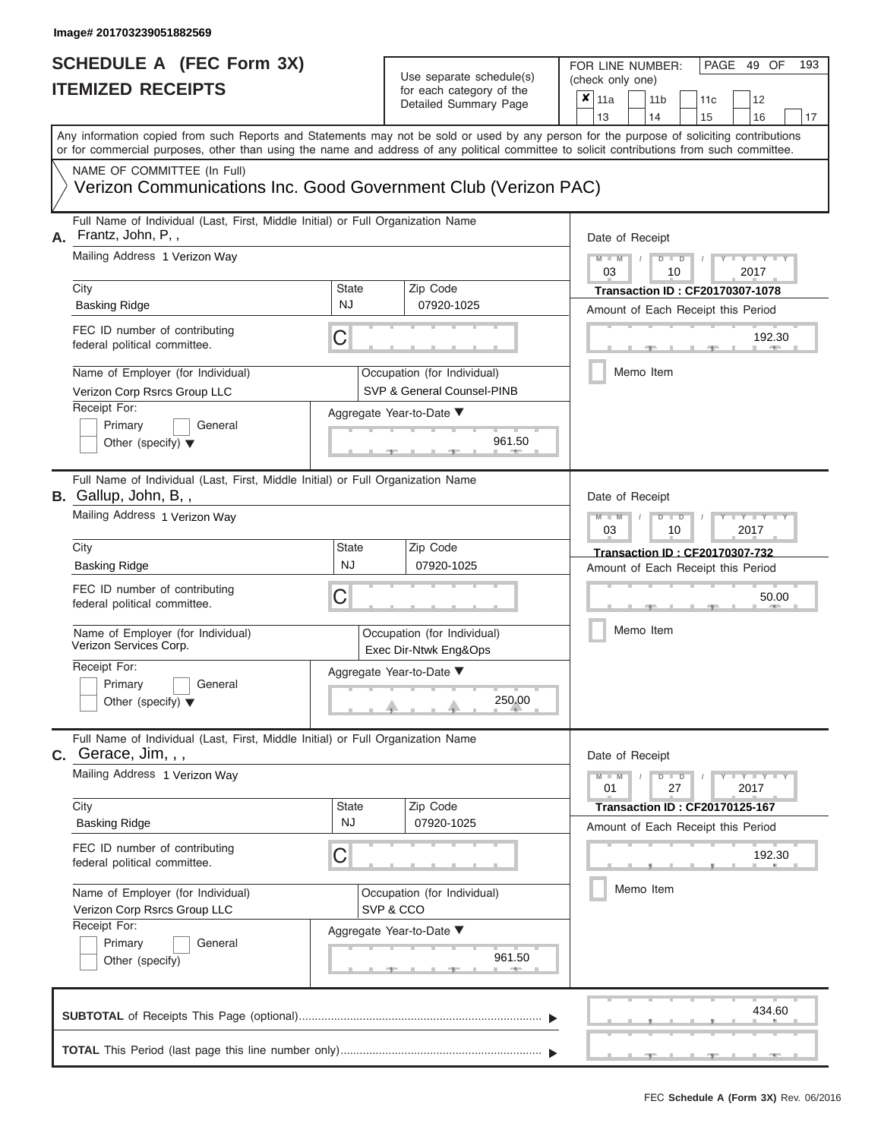| SCHEDULE A (FEC Form 3X)<br><b>ITEMIZED RECEIPTS</b>                                                                                                                                                                                                                                                                                                                                            |                                | Use separate schedule(s)<br>for each category of the<br>Detailed Summary Page                                             | 193<br>FOR LINE NUMBER:<br>PAGE 49 OF<br>(check only one)<br>$\overline{\mathbf{x}}$   11a<br>11 <sub>b</sub><br>11 <sub>c</sub><br>12                                                                    |
|-------------------------------------------------------------------------------------------------------------------------------------------------------------------------------------------------------------------------------------------------------------------------------------------------------------------------------------------------------------------------------------------------|--------------------------------|---------------------------------------------------------------------------------------------------------------------------|-----------------------------------------------------------------------------------------------------------------------------------------------------------------------------------------------------------|
| Any information copied from such Reports and Statements may not be sold or used by any person for the purpose of soliciting contributions<br>or for commercial purposes, other than using the name and address of any political committee to solicit contributions from such committee.<br>NAME OF COMMITTEE (In Full)                                                                          |                                |                                                                                                                           | 13<br>14<br>15<br>16<br>17                                                                                                                                                                                |
| Verizon Communications Inc. Good Government Club (Verizon PAC)                                                                                                                                                                                                                                                                                                                                  |                                |                                                                                                                           |                                                                                                                                                                                                           |
| Full Name of Individual (Last, First, Middle Initial) or Full Organization Name<br>Frantz, John, P,,<br>А.<br>Mailing Address 1 Verizon Way<br>City<br><b>Basking Ridge</b><br>FEC ID number of contributing<br>federal political committee.<br>Name of Employer (for Individual)<br>Verizon Corp Rsrcs Group LLC<br>Receipt For:<br>Primary<br>General<br>Other (specify) $\blacktriangledown$ | State<br><b>NJ</b><br>C        | Zip Code<br>07920-1025<br>Occupation (for Individual)<br>SVP & General Counsel-PINB<br>Aggregate Year-to-Date ▼<br>961.50 | Date of Receipt<br>$M - M$<br>$D$ $D$<br>Y L Y L<br>$\sqrt{2}$<br>03<br>2017<br>10<br><b>Transaction ID: CF20170307-1078</b><br>Amount of Each Receipt this Period<br>192.30<br><b>AND A</b><br>Memo Item |
| Full Name of Individual (Last, First, Middle Initial) or Full Organization Name<br>B. Gallup, John, B,,<br>Mailing Address 1 Verizon Way<br>City<br>Basking Ridge<br>FEC ID number of contributing<br>federal political committee.<br>Name of Employer (for Individual)<br>Verizon Services Corp.<br>Receipt For:                                                                               | <b>State</b><br><b>NJ</b><br>С | Zip Code<br>07920-1025<br>Occupation (for Individual)<br>Exec Dir-Ntwk Eng&Ops                                            | Date of Receipt<br>$M - M$<br>Y Y I<br>$D$ $D$<br>03<br>2017<br>10<br>Transaction ID: CF20170307-732<br>Amount of Each Receipt this Period<br>50.00<br>Memo Item                                          |
| Primary<br>General<br>Other (specify) $\blacktriangledown$<br>Full Name of Individual (Last, First, Middle Initial) or Full Organization Name<br>C. Gerace, Jim, , ,<br>Mailing Address 1 Verizon Way                                                                                                                                                                                           |                                | Aggregate Year-to-Date ▼<br>250.00                                                                                        | Date of Receipt<br>$M - M$<br>$D$ $D$<br>$T - Y - T - Y - T - Y$<br>01<br>27<br>2017                                                                                                                      |
| City<br><b>Basking Ridge</b><br>FEC ID number of contributing<br>federal political committee.<br>Name of Employer (for Individual)<br>Verizon Corp Rsrcs Group LLC<br>Receipt For:<br>Primary<br>General<br>Other (specify)                                                                                                                                                                     | State<br><b>NJ</b><br>С        | Zip Code<br>07920-1025<br>Occupation (for Individual)<br>SVP & CCO<br>Aggregate Year-to-Date ▼<br>961.50                  | <b>Transaction ID: CF20170125-167</b><br>Amount of Each Receipt this Period<br>192.30<br>Memo Item                                                                                                        |
|                                                                                                                                                                                                                                                                                                                                                                                                 |                                |                                                                                                                           | 434.60                                                                                                                                                                                                    |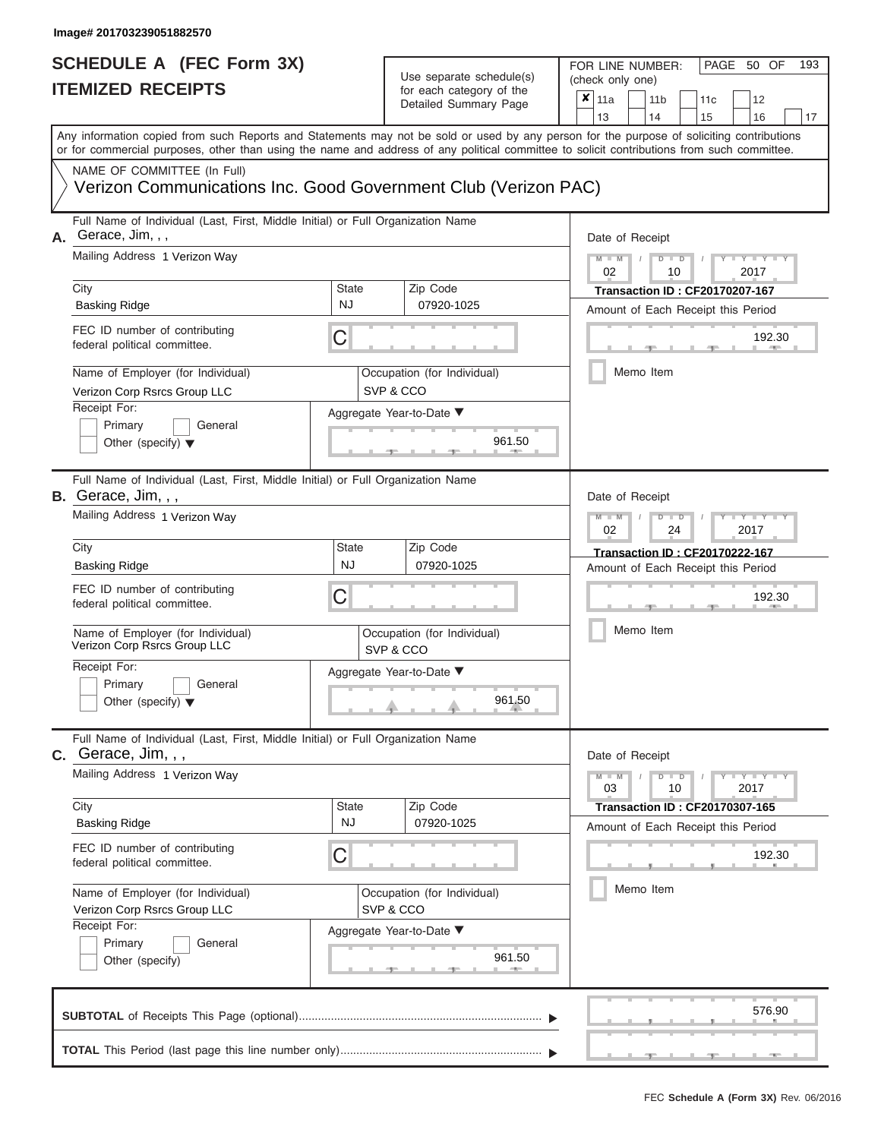#### **Image# 201703239051882570**

# **SCHEDULE A (FEC Form 3X)**

| SCHEDULE A (FEC Form 3X)<br><b>ITEMIZED RECEIPTS</b>                                                                                                                                                                                                                                                                                                                                                 |                                | Use separate schedule(s)<br>for each category of the<br>Detailed Summary Page                            | 193<br>FOR LINE NUMBER:<br>PAGE 50 OF<br>(check only one)<br>$\overline{\mathbf{x}}$   11a<br>11 <sub>b</sub><br>12<br>11c<br>13<br>14<br>15<br>16<br>17                                                  |
|------------------------------------------------------------------------------------------------------------------------------------------------------------------------------------------------------------------------------------------------------------------------------------------------------------------------------------------------------------------------------------------------------|--------------------------------|----------------------------------------------------------------------------------------------------------|-----------------------------------------------------------------------------------------------------------------------------------------------------------------------------------------------------------|
| Any information copied from such Reports and Statements may not be sold or used by any person for the purpose of soliciting contributions<br>or for commercial purposes, other than using the name and address of any political committee to solicit contributions from such committee.<br>NAME OF COMMITTEE (In Full)<br>Verizon Communications Inc. Good Government Club (Verizon PAC)             |                                |                                                                                                          |                                                                                                                                                                                                           |
| Full Name of Individual (Last, First, Middle Initial) or Full Organization Name<br>Gerace, Jim, , ,<br>А.<br>Mailing Address 1 Verizon Way<br>City<br><b>Basking Ridge</b><br>FEC ID number of contributing<br>federal political committee.<br>Name of Employer (for Individual)<br>Verizon Corp Rsrcs Group LLC<br>Receipt For:<br>Primary<br>General<br>Other (specify) $\blacktriangledown$       | <b>State</b><br><b>NJ</b><br>C | Zip Code<br>07920-1025<br>Occupation (for Individual)<br>SVP & CCO<br>Aggregate Year-to-Date ▼<br>961.50 | Date of Receipt<br>$M - M$<br>$D$ $D$<br>Y I Y I<br>$\sqrt{2}$<br>02<br>2017<br>10<br><b>Transaction ID: CF20170207-167</b><br>Amount of Each Receipt this Period<br>192.30<br><b>AND IN</b><br>Memo Item |
| Full Name of Individual (Last, First, Middle Initial) or Full Organization Name<br><b>B.</b> Gerace, Jim, $,$ ,<br>Mailing Address 1 Verizon Way<br>City<br><b>Basking Ridge</b><br>FEC ID number of contributing<br>federal political committee.<br>Name of Employer (for Individual)<br>Verizon Corp Rsrcs Group LLC<br>Receipt For:<br>Primary<br>General<br>Other (specify) $\blacktriangledown$ | State<br><b>NJ</b><br>С        | Zip Code<br>07920-1025<br>Occupation (for Individual)<br>SVP & CCO<br>Aggregate Year-to-Date ▼<br>961.50 | Date of Receipt<br>$M - M$<br>$D$ $\Box$ $D$<br>Y L Y<br>2017<br>02<br>24<br><b>Transaction ID: CF20170222-167</b><br>Amount of Each Receipt this Period<br>192.30<br>Memo Item                           |
| Full Name of Individual (Last, First, Middle Initial) or Full Organization Name<br>$c.$ Gerace, Jim, , ,<br>Mailing Address 1 Verizon Way<br>City<br><b>Basking Ridge</b><br>FEC ID number of contributing<br>federal political committee.<br>Name of Employer (for Individual)<br>Verizon Corp Rsrcs Group LLC<br>Receipt For:<br>Primary<br>General<br>Other (specify)                             | <b>State</b><br><b>NJ</b><br>С | Zip Code<br>07920-1025<br>Occupation (for Individual)<br>SVP & CCO<br>Aggregate Year-to-Date ▼<br>961.50 | Date of Receipt<br>$M - M$<br>$D$ $D$<br>$T-T$ $T$ $T$ $T$ $T$ $T$<br>10<br>03<br>2017<br><b>Transaction ID: CF20170307-165</b><br>Amount of Each Receipt this Period<br>192.30<br>Memo Item              |
|                                                                                                                                                                                                                                                                                                                                                                                                      |                                |                                                                                                          | 576.90                                                                                                                                                                                                    |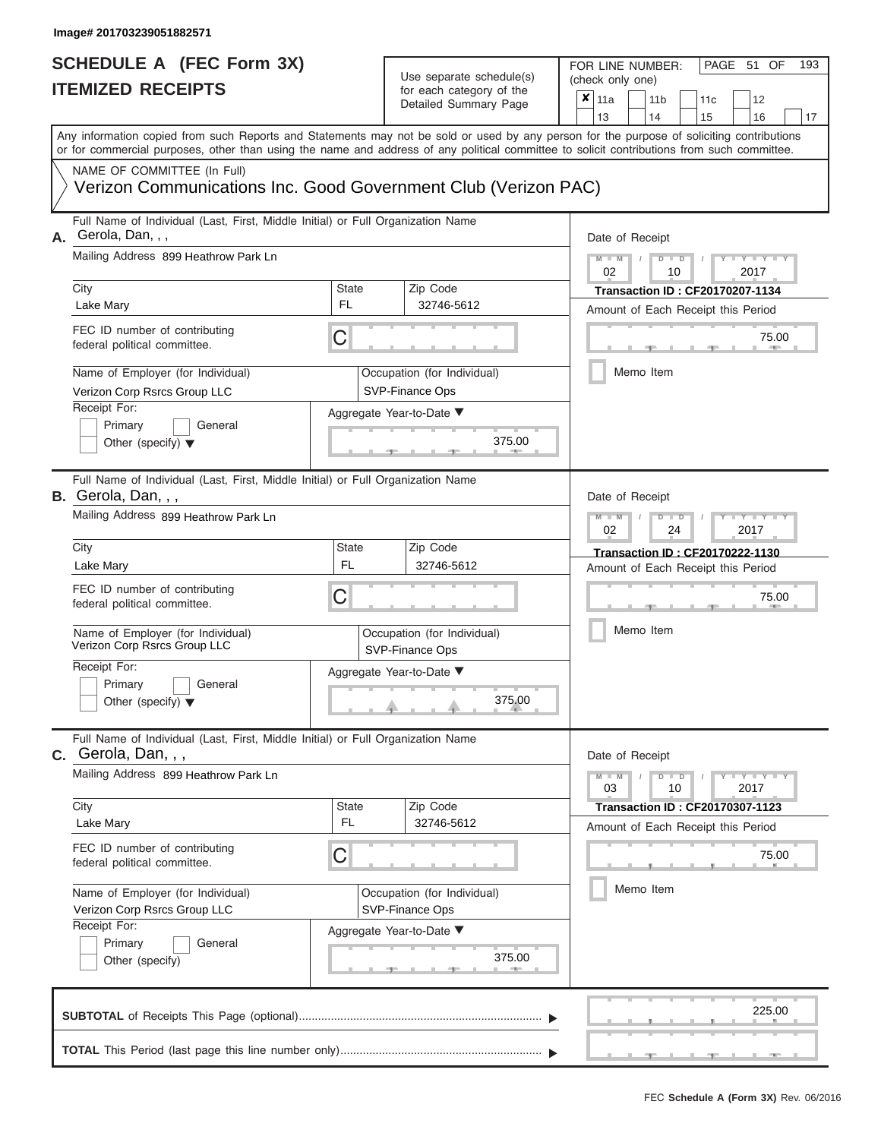# Use separate schedule(s)

| SCHEDULE A (FEC Form 3X)<br><b>ITEMIZED RECEIPTS</b>                                                                                                                                                                                                                                                                                                                                     |                                | Use separate schedule(s)<br>for each category of the<br>Detailed Summary Page                                  | 193<br>FOR LINE NUMBER:<br>PAGE 51 OF<br>(check only one)<br>$\overline{\mathbf{x}}$   11a<br>11 <sub>b</sub><br>12<br>11c<br>13<br>14<br>15<br>16                                                     |
|------------------------------------------------------------------------------------------------------------------------------------------------------------------------------------------------------------------------------------------------------------------------------------------------------------------------------------------------------------------------------------------|--------------------------------|----------------------------------------------------------------------------------------------------------------|--------------------------------------------------------------------------------------------------------------------------------------------------------------------------------------------------------|
| Any information copied from such Reports and Statements may not be sold or used by any person for the purpose of soliciting contributions<br>or for commercial purposes, other than using the name and address of any political committee to solicit contributions from such committee.<br>NAME OF COMMITTEE (In Full)<br>Verizon Communications Inc. Good Government Club (Verizon PAC) |                                |                                                                                                                | 17                                                                                                                                                                                                     |
| Full Name of Individual (Last, First, Middle Initial) or Full Organization Name<br>A. Gerola, Dan, , ,<br>Mailing Address 899 Heathrow Park Ln<br>City<br>Lake Mary<br>FEC ID number of contributing<br>federal political committee.<br>Name of Employer (for Individual)<br>Verizon Corp Rsrcs Group LLC<br>Receipt For:<br>Primary<br>General<br>Other (specify) $\blacktriangledown$  | <b>State</b><br><b>FL</b><br>C | Zip Code<br>32746-5612<br>Occupation (for Individual)<br>SVP-Finance Ops<br>Aggregate Year-to-Date ▼<br>375.00 | Date of Receipt<br>$M - M$<br>$D$ $D$<br>Y I Y I<br>$\sqrt{2}$<br>02<br>10<br>2017<br><b>Transaction ID: CF20170207-1134</b><br>Amount of Each Receipt this Period<br>75.00<br><b>AND</b><br>Memo Item |
| Full Name of Individual (Last, First, Middle Initial) or Full Organization Name<br>B. Gerola, Dan, , ,<br>Mailing Address 899 Heathrow Park Ln<br>City<br>Lake Mary<br>FEC ID number of contributing<br>federal political committee.<br>Name of Employer (for Individual)<br>Verizon Corp Rsrcs Group LLC<br>Receipt For:<br>Primary<br>General<br>Other (specify) $\blacktriangledown$  | State<br><b>FL</b><br>С        | Zip Code<br>32746-5612<br>Occupation (for Individual)<br>SVP-Finance Ops<br>Aggregate Year-to-Date ▼<br>375.00 | Date of Receipt<br>$M - M$<br>$D$ $\Box$ $D$<br>Y I Y<br>2017<br>02<br>24<br>Transaction ID: CF20170222-1130<br>Amount of Each Receipt this Period<br>75.00<br>Memo Item                               |
| Full Name of Individual (Last, First, Middle Initial) or Full Organization Name<br>C. Gerola, Dan, , ,<br>Mailing Address 899 Heathrow Park Ln<br>City<br>Lake Mary<br>FEC ID number of contributing<br>federal political committee.<br>Name of Employer (for Individual)<br>Verizon Corp Rsrcs Group LLC<br>Receipt For:<br>Primary<br>General<br>Other (specify)                       | <b>State</b><br>FL.<br>С       | Zip Code<br>32746-5612<br>Occupation (for Individual)<br>SVP-Finance Ops<br>Aggregate Year-to-Date ▼<br>375.00 | Date of Receipt<br>$M - M$<br>$D$ $D$<br>$+Y + Y + Y$<br>10<br>03<br>2017<br><b>Transaction ID: CF20170307-1123</b><br>Amount of Each Receipt this Period<br>75.00<br>Memo Item                        |
|                                                                                                                                                                                                                                                                                                                                                                                          |                                |                                                                                                                | 225.00                                                                                                                                                                                                 |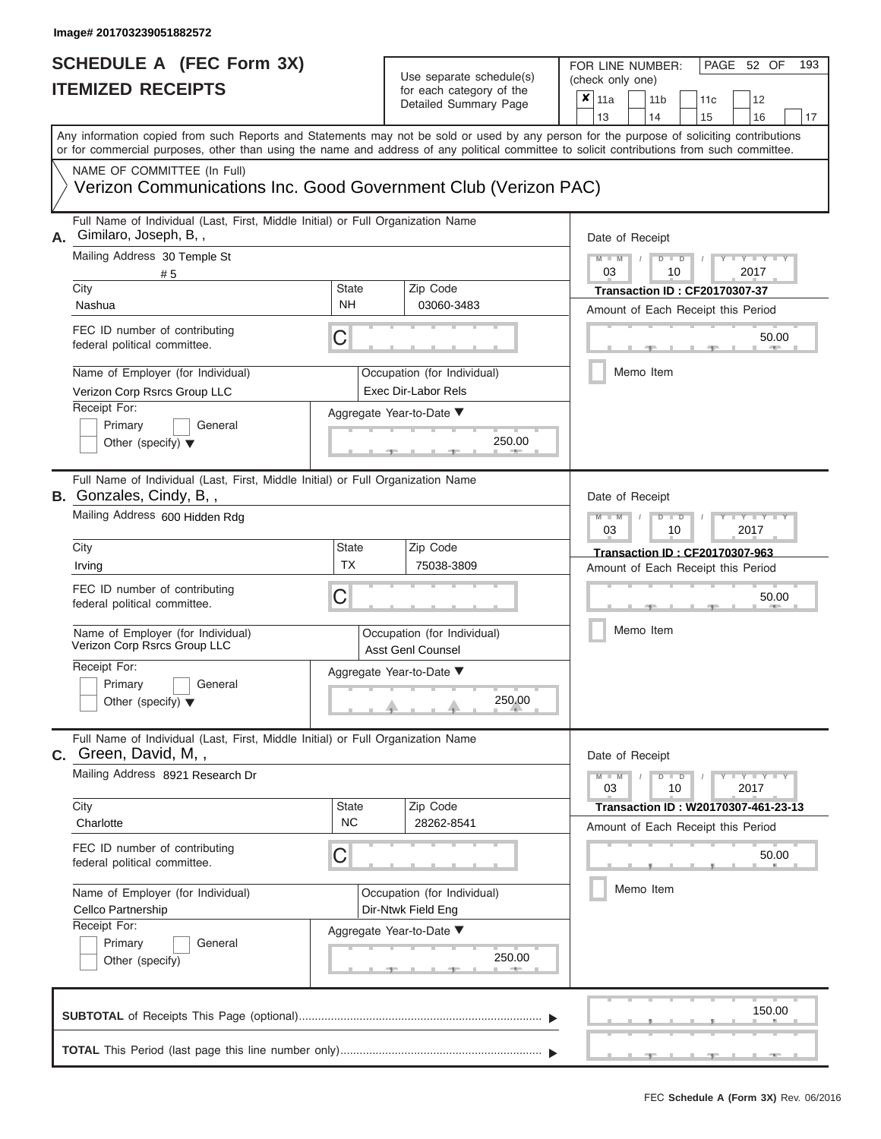| SCHEDULE A (FEC Form 3X)<br><b>ITEMIZED RECEIPTS</b>                                                                                                                                                                                                                                                                                                                                        |                                | Use separate schedule(s)<br>for each category of the<br>Detailed Summary Page                                           | 193<br>FOR LINE NUMBER:<br>PAGE 52 OF<br>(check only one)<br>$\overline{\mathbf{x}}$   11a<br>11 <sub>b</sub><br>12<br>11c<br>13<br>14<br>15<br>16<br>17                                                  |  |  |  |  |  |
|---------------------------------------------------------------------------------------------------------------------------------------------------------------------------------------------------------------------------------------------------------------------------------------------------------------------------------------------------------------------------------------------|--------------------------------|-------------------------------------------------------------------------------------------------------------------------|-----------------------------------------------------------------------------------------------------------------------------------------------------------------------------------------------------------|--|--|--|--|--|
| Any information copied from such Reports and Statements may not be sold or used by any person for the purpose of soliciting contributions<br>or for commercial purposes, other than using the name and address of any political committee to solicit contributions from such committee.<br>NAME OF COMMITTEE (In Full)<br>Verizon Communications Inc. Good Government Club (Verizon PAC)    |                                |                                                                                                                         |                                                                                                                                                                                                           |  |  |  |  |  |
| Full Name of Individual (Last, First, Middle Initial) or Full Organization Name<br>Gimilaro, Joseph, B,,<br>А.<br>Mailing Address 30 Temple St<br># 5<br>City<br>Nashua<br>FEC ID number of contributing<br>federal political committee.<br>Name of Employer (for Individual)<br>Verizon Corp Rsrcs Group LLC<br>Receipt For:<br>Primary<br>General<br>Other (specify) $\blacktriangledown$ | State<br><b>NH</b><br>С        | Zip Code<br>03060-3483<br>Occupation (for Individual)<br>Exec Dir-Labor Rels<br>Aggregate Year-to-Date ▼<br>250.00      | Date of Receipt<br>$M - M$<br>$D$ $D$<br>Y TY T<br>$\sqrt{ }$<br>03<br>2017<br>10<br><b>Transaction ID: CF20170307-37</b><br>Amount of Each Receipt this Period<br>50.00<br><b>ARCHITECT</b><br>Memo Item |  |  |  |  |  |
| Full Name of Individual (Last, First, Middle Initial) or Full Organization Name<br><b>B.</b> Gonzales, Cindy, B,,<br>Mailing Address 600 Hidden Rdg<br>City<br>Irving<br>FEC ID number of contributing<br>federal political committee.<br>Name of Employer (for Individual)<br>Verizon Corp Rsrcs Group LLC<br>Receipt For:<br>Primary<br>General<br>Other (specify) $\blacktriangledown$   | <b>State</b><br><b>TX</b><br>С | Zip Code<br>75038-3809<br>Occupation (for Individual)<br><b>Asst Genl Counsel</b><br>Aggregate Year-to-Date ▼<br>250.00 | Date of Receipt<br>$M - M$<br>$D$ $\Box$ $D$<br>Y TY<br>03<br>2017<br>10<br>Transaction ID: CF20170307-963<br>Amount of Each Receipt this Period<br>50.00<br>Memo Item                                    |  |  |  |  |  |
| Full Name of Individual (Last, First, Middle Initial) or Full Organization Name<br>C. Green, David, M,,<br>Mailing Address 8921 Research Dr<br>City<br>Charlotte<br>FEC ID number of contributing<br>federal political committee.<br>Name of Employer (for Individual)<br>Cellco Partnership<br>Receipt For:<br>Primary<br>General<br>Other (specify)                                       | State<br><b>NC</b><br>С        | Zip Code<br>28262-8541<br>Occupation (for Individual)<br>Dir-Ntwk Field Eng<br>Aggregate Year-to-Date ▼<br>250.00       | Date of Receipt<br>$M - M$<br>$D$ $D$<br>$Y - Y - Y - Y - Y$<br>10<br>2017<br>03<br>Transaction ID: W20170307-461-23-13<br>Amount of Each Receipt this Period<br>50.00<br>Memo Item                       |  |  |  |  |  |
|                                                                                                                                                                                                                                                                                                                                                                                             |                                |                                                                                                                         | 150.00<br>$-1$<br>$-9$<br>$-1$                                                                                                                                                                            |  |  |  |  |  |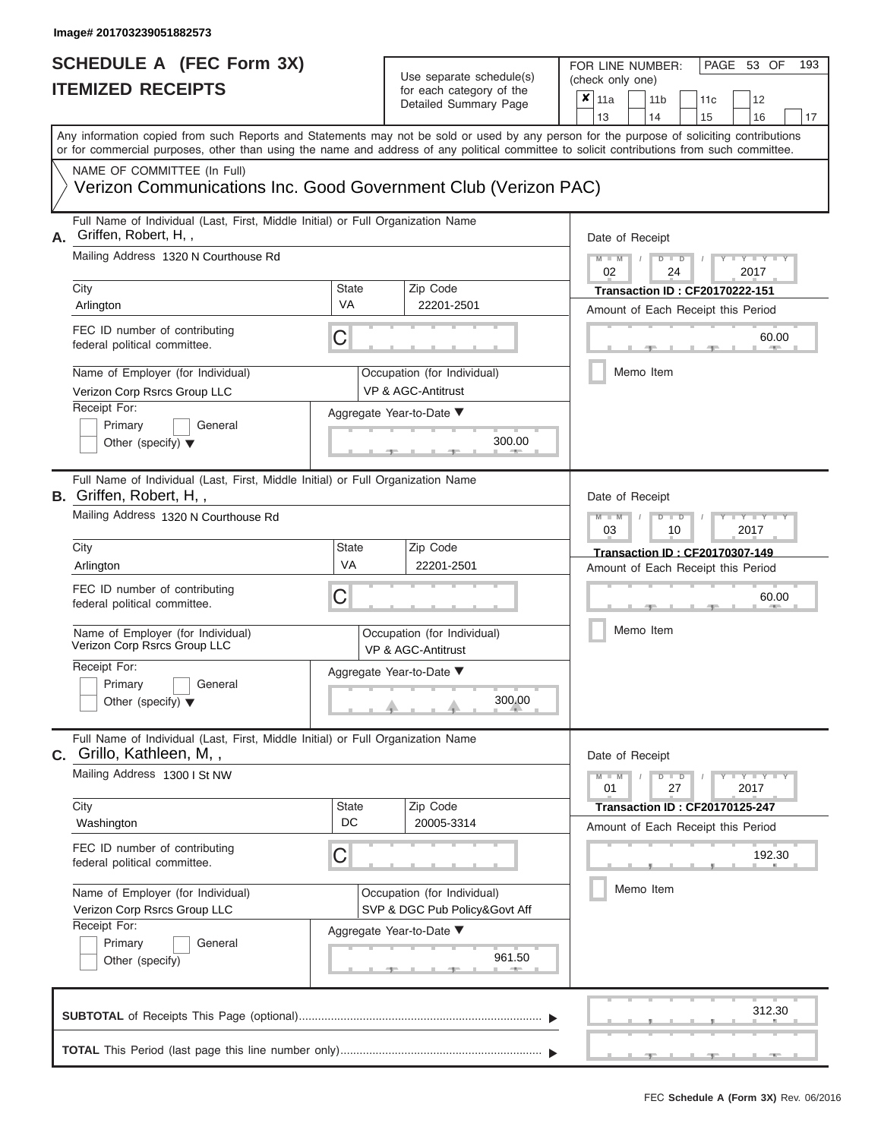# Use separate schedule(s)<br>for each category of the

FOR LINE NUMBER:<br>(check only one)

PAGE 53 OF 193

|                                                                                                                                            |              | ioi caoil calogory of the<br>Detailed Summary Page           | x                                                                      | 11a                                            |  | 11 <sub>b</sub> | 11c                                   | 12                          |    |  |  |  |  |  |  |  |
|--------------------------------------------------------------------------------------------------------------------------------------------|--------------|--------------------------------------------------------------|------------------------------------------------------------------------|------------------------------------------------|--|-----------------|---------------------------------------|-----------------------------|----|--|--|--|--|--|--|--|
| Any information copied from such Reports and Statements may not be sold or used by any person for the purpose of soliciting contributions  |              |                                                              |                                                                        | 13                                             |  | 14              | 15                                    | 16                          | 17 |  |  |  |  |  |  |  |
| or for commercial purposes, other than using the name and address of any political committee to solicit contributions from such committee. |              |                                                              |                                                                        |                                                |  |                 |                                       |                             |    |  |  |  |  |  |  |  |
| NAME OF COMMITTEE (In Full)                                                                                                                |              |                                                              |                                                                        |                                                |  |                 |                                       |                             |    |  |  |  |  |  |  |  |
| Verizon Communications Inc. Good Government Club (Verizon PAC)                                                                             |              |                                                              |                                                                        |                                                |  |                 |                                       |                             |    |  |  |  |  |  |  |  |
| Full Name of Individual (Last, First, Middle Initial) or Full Organization Name<br>Griffen, Robert, H,,<br>А.                              |              |                                                              |                                                                        | Date of Receipt                                |  |                 |                                       |                             |    |  |  |  |  |  |  |  |
| Mailing Address 1320 N Courthouse Rd                                                                                                       |              |                                                              | $M - M$<br>$D$ $D$<br>$Y - Y - I$<br>02<br>24<br>2017                  |                                                |  |                 |                                       |                             |    |  |  |  |  |  |  |  |
| City                                                                                                                                       | <b>State</b> | Zip Code                                                     | <b>Transaction ID: CF20170222-151</b>                                  |                                                |  |                 |                                       |                             |    |  |  |  |  |  |  |  |
| Arlington                                                                                                                                  | <b>VA</b>    | 22201-2501                                                   | Amount of Each Receipt this Period<br>60.00<br><b>AND</b><br>Memo Item |                                                |  |                 |                                       |                             |    |  |  |  |  |  |  |  |
| FEC ID number of contributing<br>federal political committee.                                                                              | С            |                                                              |                                                                        |                                                |  |                 |                                       |                             |    |  |  |  |  |  |  |  |
| Name of Employer (for Individual)                                                                                                          |              | Occupation (for Individual)                                  |                                                                        |                                                |  |                 |                                       |                             |    |  |  |  |  |  |  |  |
| Verizon Corp Rsrcs Group LLC                                                                                                               |              | VP & AGC-Antitrust                                           |                                                                        |                                                |  |                 |                                       |                             |    |  |  |  |  |  |  |  |
| Receipt For:<br>Primary<br>General                                                                                                         |              | Aggregate Year-to-Date ▼                                     |                                                                        |                                                |  |                 |                                       |                             |    |  |  |  |  |  |  |  |
| Other (specify) $\blacktriangledown$                                                                                                       |              | 300.00                                                       |                                                                        |                                                |  |                 |                                       |                             |    |  |  |  |  |  |  |  |
| Full Name of Individual (Last, First, Middle Initial) or Full Organization Name<br><b>B.</b> Griffen, Robert, H,,                          |              |                                                              |                                                                        | Date of Receipt                                |  |                 |                                       |                             |    |  |  |  |  |  |  |  |
| Mailing Address 1320 N Courthouse Rd                                                                                                       |              |                                                              |                                                                        | $M - M$<br>$D$ $D$<br>Y TY<br>03<br>2017<br>10 |  |                 |                                       |                             |    |  |  |  |  |  |  |  |
| City                                                                                                                                       | State        | Zip Code                                                     | Transaction ID: CF20170307-149                                         |                                                |  |                 |                                       |                             |    |  |  |  |  |  |  |  |
| Arlington                                                                                                                                  | VA           | 22201-2501                                                   |                                                                        |                                                |  |                 | Amount of Each Receipt this Period    |                             |    |  |  |  |  |  |  |  |
| FEC ID number of contributing<br>federal political committee.                                                                              | С            |                                                              |                                                                        |                                                |  |                 |                                       | 60.00                       |    |  |  |  |  |  |  |  |
| Name of Employer (for Individual)<br>Verizon Corp Rsrcs Group LLC                                                                          |              | Occupation (for Individual)<br>VP & AGC-Antitrust            |                                                                        |                                                |  | Memo Item       |                                       |                             |    |  |  |  |  |  |  |  |
| Receipt For:                                                                                                                               |              | Aggregate Year-to-Date ▼                                     |                                                                        |                                                |  |                 |                                       |                             |    |  |  |  |  |  |  |  |
| Primary<br>General<br>Other (specify) $\blacktriangledown$                                                                                 |              | 300.00                                                       |                                                                        |                                                |  |                 |                                       |                             |    |  |  |  |  |  |  |  |
| Full Name of Individual (Last, First, Middle Initial) or Full Organization Name<br>Grillo, Kathleen, M,,<br>С.                             |              |                                                              |                                                                        | Date of Receipt                                |  |                 |                                       |                             |    |  |  |  |  |  |  |  |
| Mailing Address 1300 I St NW                                                                                                               |              |                                                              |                                                                        | $M - M$<br>01                                  |  | $D$ $D$<br>27   |                                       | $T - Y = T - Y - T$<br>2017 |    |  |  |  |  |  |  |  |
| City                                                                                                                                       | <b>State</b> | Zip Code                                                     |                                                                        |                                                |  |                 | <b>Transaction ID: CF20170125-247</b> |                             |    |  |  |  |  |  |  |  |
| Washington                                                                                                                                 | DC           | 20005-3314                                                   |                                                                        |                                                |  |                 | Amount of Each Receipt this Period    |                             |    |  |  |  |  |  |  |  |
| FEC ID number of contributing<br>federal political committee.                                                                              | С            |                                                              |                                                                        |                                                |  |                 |                                       | 192.30                      |    |  |  |  |  |  |  |  |
| Name of Employer (for Individual)<br>Verizon Corp Rsrcs Group LLC                                                                          |              | Occupation (for Individual)<br>SVP & DGC Pub Policy&Govt Aff |                                                                        |                                                |  | Memo Item       |                                       |                             |    |  |  |  |  |  |  |  |
| Receipt For:                                                                                                                               |              | Aggregate Year-to-Date ▼                                     |                                                                        |                                                |  |                 |                                       |                             |    |  |  |  |  |  |  |  |
| Primary<br>General                                                                                                                         |              |                                                              |                                                                        |                                                |  |                 |                                       |                             |    |  |  |  |  |  |  |  |
| Other (specify)                                                                                                                            |              | 961.50                                                       |                                                                        |                                                |  |                 |                                       |                             |    |  |  |  |  |  |  |  |
|                                                                                                                                            |              |                                                              |                                                                        |                                                |  |                 |                                       | 312.30                      |    |  |  |  |  |  |  |  |
|                                                                                                                                            |              |                                                              |                                                                        |                                                |  |                 |                                       |                             |    |  |  |  |  |  |  |  |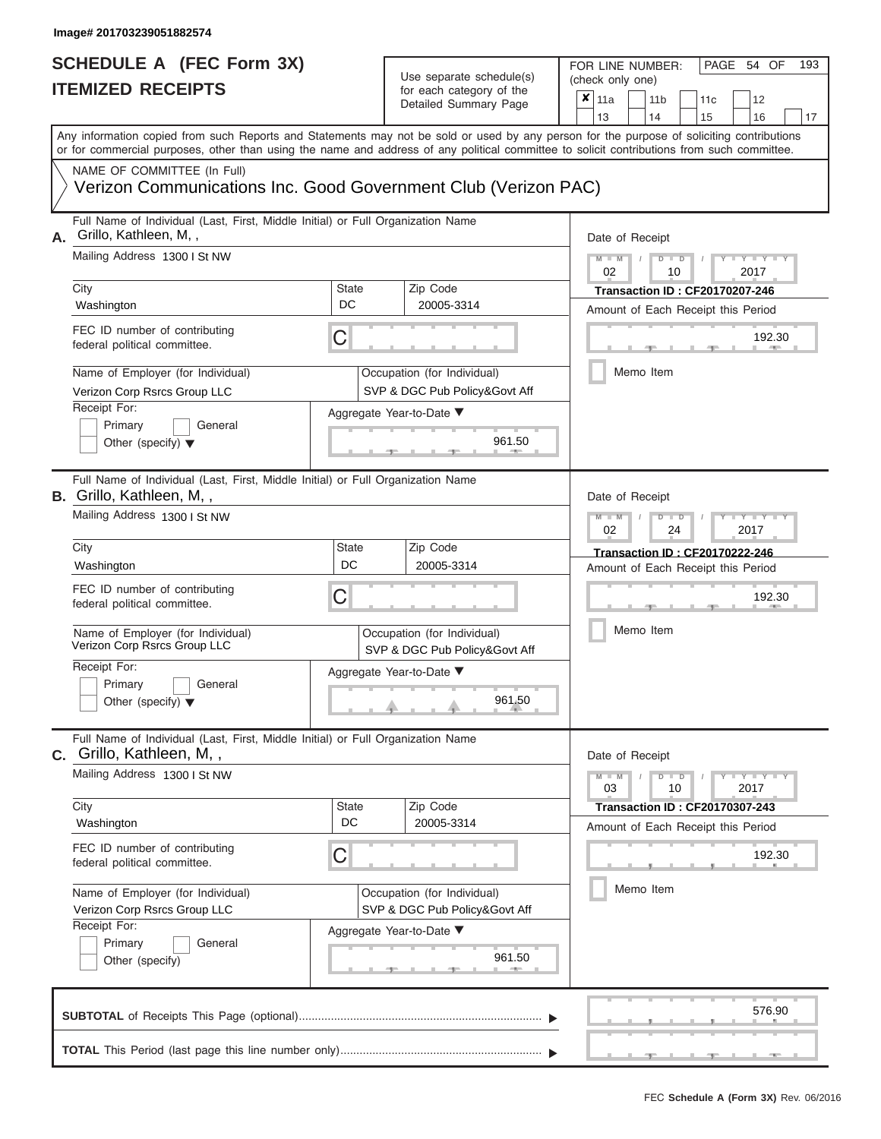# Use separate schedule(s)

| SCHEDULE A (FEC Form 3X)<br><b>ITEMIZED RECEIPTS</b>                                                                                                                                                                                                                                                                                                                                     |                    | Use separate schedule(s)<br>for each category of the<br>Detailed Summary Page                                                | 193<br>FOR LINE NUMBER:<br>PAGE 54 OF<br>(check only one)<br>$\overline{\mathbf{x}}$   11a<br>11 <sub>b</sub><br>11 <sub>c</sub><br>12                                                                |
|------------------------------------------------------------------------------------------------------------------------------------------------------------------------------------------------------------------------------------------------------------------------------------------------------------------------------------------------------------------------------------------|--------------------|------------------------------------------------------------------------------------------------------------------------------|-------------------------------------------------------------------------------------------------------------------------------------------------------------------------------------------------------|
| or for commercial purposes, other than using the name and address of any political committee to solicit contributions from such committee.<br>NAME OF COMMITTEE (In Full)                                                                                                                                                                                                                |                    |                                                                                                                              | 13<br>14<br>15<br>16<br>17<br>Any information copied from such Reports and Statements may not be sold or used by any person for the purpose of soliciting contributions                               |
| Verizon Communications Inc. Good Government Club (Verizon PAC)                                                                                                                                                                                                                                                                                                                           |                    |                                                                                                                              |                                                                                                                                                                                                       |
| Full Name of Individual (Last, First, Middle Initial) or Full Organization Name<br>Grillo, Kathleen, M,,<br>А.<br>Mailing Address 1300 I St NW<br>City<br>Washington<br>FEC ID number of contributing<br>federal political committee.<br>Name of Employer (for Individual)<br>Verizon Corp Rsrcs Group LLC<br>Receipt For:<br>Primary<br>General<br>Other (specify) $\blacktriangledown$ | State<br>DC<br>C   | Zip Code<br>20005-3314<br>Occupation (for Individual)<br>SVP & DGC Pub Policy&Govt Aff<br>Aggregate Year-to-Date ▼<br>961.50 | Date of Receipt<br>$M - M$<br>$D$ $D$<br>Y TY T<br>$\sqrt{2}$<br>02<br>2017<br>10<br><b>Transaction ID: CF20170207-246</b><br>Amount of Each Receipt this Period<br>192.30<br><b>AND</b><br>Memo Item |
| Full Name of Individual (Last, First, Middle Initial) or Full Organization Name<br><b>B.</b> Grillo, Kathleen, M,,<br>Mailing Address 1300 I St NW<br>City<br>Washington                                                                                                                                                                                                                 | <b>State</b><br>DC | Zip Code<br>20005-3314                                                                                                       | Date of Receipt<br>$M - M$<br>Y Y I<br>$D$ $D$<br>02<br>2017<br>24<br>Transaction ID: CF20170222-246<br>Amount of Each Receipt this Period                                                            |
| FEC ID number of contributing<br>federal political committee.<br>Name of Employer (for Individual)<br>Verizon Corp Rsrcs Group LLC<br>Receipt For:<br>Primary<br>General<br>Other (specify) $\blacktriangledown$                                                                                                                                                                         | С                  | Occupation (for Individual)<br>SVP & DGC Pub Policy&Govt Aff<br>Aggregate Year-to-Date ▼<br>961.50                           | 192.30<br>Memo Item                                                                                                                                                                                   |
| Full Name of Individual (Last, First, Middle Initial) or Full Organization Name<br><b>C.</b> Grillo, Kathleen, M,,<br>Mailing Address 1300 I St NW<br>City                                                                                                                                                                                                                               | <b>State</b>       | Zip Code                                                                                                                     | Date of Receipt<br>$M - M$<br>$D$ $D$<br>$T - Y - T - Y - T - Y$<br>03<br>10<br>2017<br>Transaction ID: CF20170307-243                                                                                |
| Washington<br>FEC ID number of contributing<br>federal political committee.                                                                                                                                                                                                                                                                                                              | DC<br>С            | 20005-3314                                                                                                                   | Amount of Each Receipt this Period<br>192.30                                                                                                                                                          |
| Name of Employer (for Individual)<br>Verizon Corp Rsrcs Group LLC<br>Receipt For:<br>Primary<br>General<br>Other (specify)                                                                                                                                                                                                                                                               |                    | Occupation (for Individual)<br>SVP & DGC Pub Policy&Govt Aff<br>Aggregate Year-to-Date ▼<br>961.50                           | Memo Item                                                                                                                                                                                             |
|                                                                                                                                                                                                                                                                                                                                                                                          |                    |                                                                                                                              | 576.90                                                                                                                                                                                                |
|                                                                                                                                                                                                                                                                                                                                                                                          |                    |                                                                                                                              |                                                                                                                                                                                                       |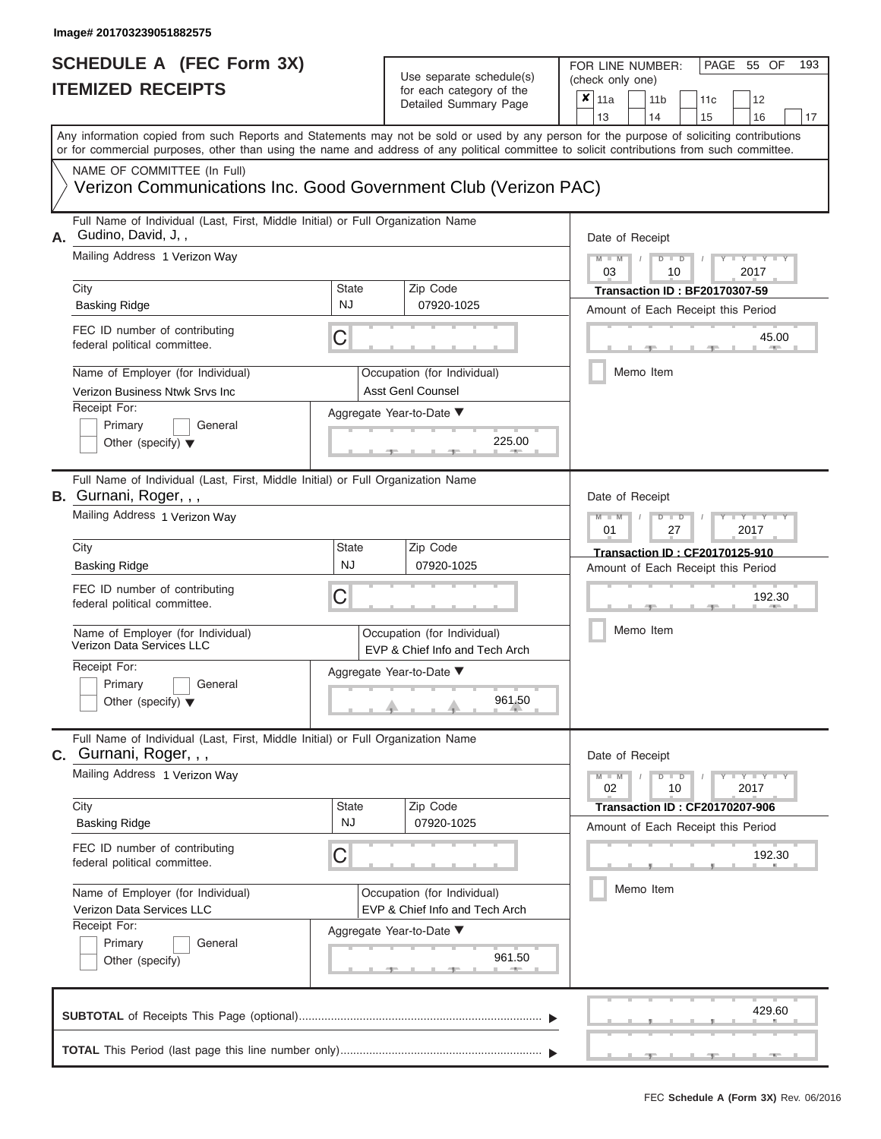#### **Image# 201703239051882575**

# **SCHEDULE A (FEC Form 3X)**

| SCHEDULE A (FEC Form 3X)<br><b>ITEMIZED RECEIPTS</b>                                                                                                                                                                                                                                                                                                                                               |                                | Use separate schedule(s)<br>for each category of the<br>Detailed Summary Page                                                 | 193<br>FOR LINE NUMBER:<br>PAGE 55 OF<br>(check only one)<br>$\overline{\mathbf{x}}$   11a<br>11 <sub>b</sub><br>12<br>11c<br>13<br>14<br>16                                                                                        |
|----------------------------------------------------------------------------------------------------------------------------------------------------------------------------------------------------------------------------------------------------------------------------------------------------------------------------------------------------------------------------------------------------|--------------------------------|-------------------------------------------------------------------------------------------------------------------------------|-------------------------------------------------------------------------------------------------------------------------------------------------------------------------------------------------------------------------------------|
| Any information copied from such Reports and Statements may not be sold or used by any person for the purpose of soliciting contributions<br>or for commercial purposes, other than using the name and address of any political committee to solicit contributions from such committee.<br>NAME OF COMMITTEE (In Full)<br>Verizon Communications Inc. Good Government Club (Verizon PAC)           |                                |                                                                                                                               | 15<br>17                                                                                                                                                                                                                            |
| Full Name of Individual (Last, First, Middle Initial) or Full Organization Name<br>Gudino, David, J,,<br>А.<br>Mailing Address 1 Verizon Way<br>City<br><b>Basking Ridge</b><br>FEC ID number of contributing<br>federal political committee.<br>Name of Employer (for Individual)<br>Verizon Business Ntwk Srvs Inc<br>Receipt For:<br>Primary<br>General<br>Other (specify) $\blacktriangledown$ | <b>State</b><br><b>NJ</b><br>C | Zip Code<br>07920-1025<br>Occupation (for Individual)<br>Asst Genl Counsel<br>Aggregate Year-to-Date ▼<br>225.00              | Date of Receipt<br>$M - M$<br>$D$ $D$<br>Y TY T<br>$\sqrt{2}$<br>03<br>2017<br>10<br><b>Transaction ID: BF20170307-59</b><br>Amount of Each Receipt this Period<br>45.00<br><b>AND</b><br>Memo Item                                 |
| Full Name of Individual (Last, First, Middle Initial) or Full Organization Name<br><b>B.</b> Gurnani, Roger, , ,<br>Mailing Address 1 Verizon Way<br>City<br><b>Basking Ridge</b><br>FEC ID number of contributing<br>federal political committee.<br>Name of Employer (for Individual)<br>Verizon Data Services LLC<br>Receipt For:<br>Primary<br>General<br>Other (specify) $\blacktriangledown$ | State<br><b>NJ</b><br>С        | Zip Code<br>07920-1025<br>Occupation (for Individual)<br>EVP & Chief Info and Tech Arch<br>Aggregate Year-to-Date ▼<br>961.50 | Date of Receipt<br>$M - M$<br>$D$ $\Box$ $D$<br>$Y - Y$<br>01<br>2017<br>27<br><b>Transaction ID: CF20170125-910</b><br>Amount of Each Receipt this Period<br>192.30<br>Memo Item                                                   |
| Full Name of Individual (Last, First, Middle Initial) or Full Organization Name<br>C. Gurnani, Roger, , ,<br>Mailing Address 1 Verizon Way<br>City<br><b>Basking Ridge</b><br>FEC ID number of contributing<br>federal political committee.<br>Name of Employer (for Individual)<br>Verizon Data Services LLC<br>Receipt For:<br>General<br>Primary<br>Other (specify)                             | <b>State</b><br><b>NJ</b><br>С | Zip Code<br>07920-1025<br>Occupation (for Individual)<br>EVP & Chief Info and Tech Arch<br>Aggregate Year-to-Date ▼<br>961.50 | Date of Receipt<br>$M - M$<br>$D$ $D$<br>$\mathbf{I} = \mathbf{Y} + \mathbf{I} + \mathbf{Y} + \mathbf{I}$<br>10<br>02<br>2017<br><b>Transaction ID: CF20170207-906</b><br>Amount of Each Receipt this Period<br>192.30<br>Memo Item |
|                                                                                                                                                                                                                                                                                                                                                                                                    |                                |                                                                                                                               | 429.60                                                                                                                                                                                                                              |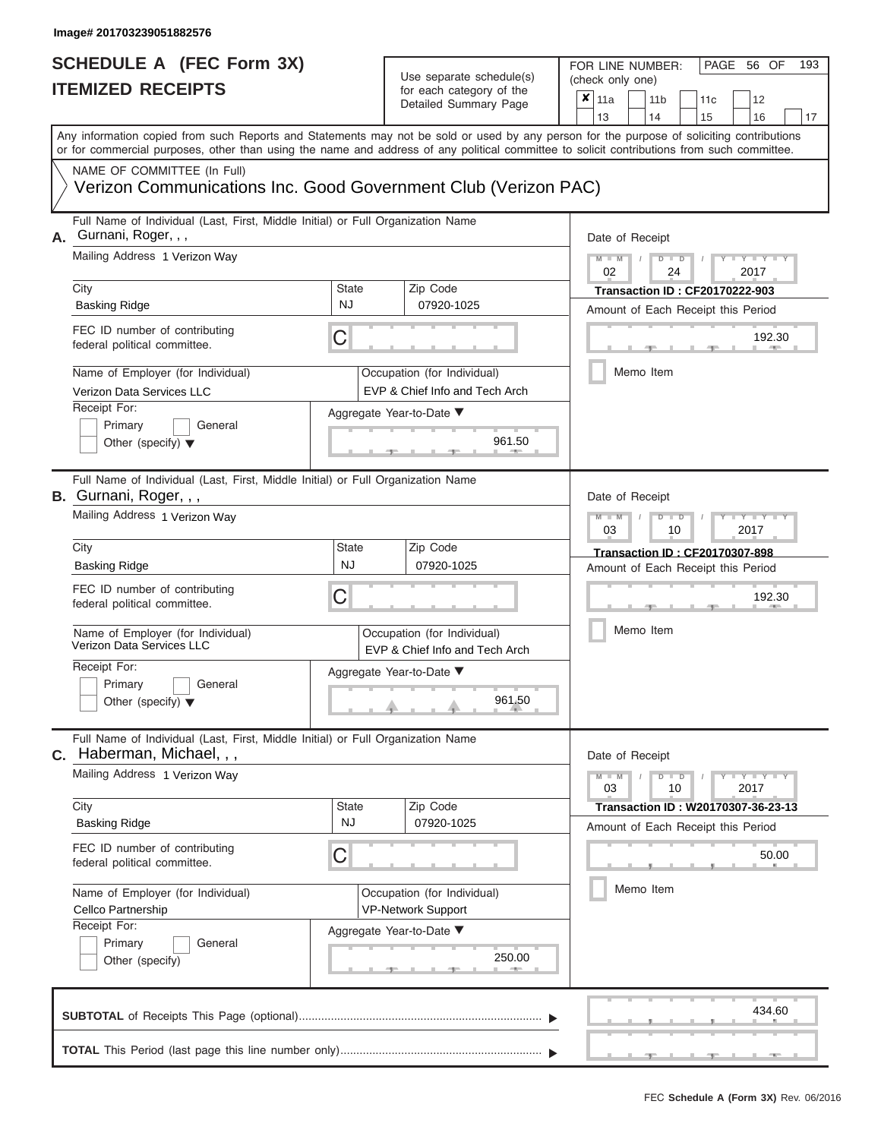#### **Image# 201703239051882576**

#### **SCHEDULE A (FEC Form 3X) ITEMIZED RECEIPTS**

## Use separate schedule(s)

| SCHEDULE A (FEC Form 3X)<br><b>ITEMIZED RECEIPTS</b>                                                                                              |                           | Use separate schedule(s)<br>for each category of the<br>Detailed Summary Page | 193<br>FOR LINE NUMBER:<br>PAGE 56 OF<br>(check only one)<br>$\boldsymbol{x}$<br>11a<br>11 <sub>b</sub><br>12<br>11c                                                                                                                                                                                                  |
|---------------------------------------------------------------------------------------------------------------------------------------------------|---------------------------|-------------------------------------------------------------------------------|-----------------------------------------------------------------------------------------------------------------------------------------------------------------------------------------------------------------------------------------------------------------------------------------------------------------------|
| NAME OF COMMITTEE (In Full)                                                                                                                       |                           |                                                                               | 13<br>14<br>15<br>16<br>17<br>Any information copied from such Reports and Statements may not be sold or used by any person for the purpose of soliciting contributions<br>or for commercial purposes, other than using the name and address of any political committee to solicit contributions from such committee. |
| Verizon Communications Inc. Good Government Club (Verizon PAC)<br>Full Name of Individual (Last, First, Middle Initial) or Full Organization Name |                           |                                                                               |                                                                                                                                                                                                                                                                                                                       |
| Gurnani, Roger, , ,<br>А.<br>Mailing Address 1 Verizon Wav                                                                                        |                           |                                                                               | Date of Receipt<br>$M - M$<br>$D$ $D$<br>$Y - Y - I$<br>02<br>24<br>2017                                                                                                                                                                                                                                              |
| City<br><b>Basking Ridge</b>                                                                                                                      | <b>State</b><br><b>NJ</b> | Zip Code<br>07920-1025                                                        | <b>Transaction ID: CF20170222-903</b><br>Amount of Each Receipt this Period                                                                                                                                                                                                                                           |
| FEC ID number of contributing<br>federal political committee.                                                                                     | C                         |                                                                               | 192.30<br><b>STATE</b>                                                                                                                                                                                                                                                                                                |
| Name of Employer (for Individual)<br>Verizon Data Services LLC                                                                                    |                           | Occupation (for Individual)<br>EVP & Chief Info and Tech Arch                 | Memo Item                                                                                                                                                                                                                                                                                                             |
| Receipt For:<br>Primary<br>General<br>Other (specify) $\blacktriangledown$                                                                        |                           | Aggregate Year-to-Date ▼<br>961.50                                            |                                                                                                                                                                                                                                                                                                                       |
| Full Name of Individual (Last, First, Middle Initial) or Full Organization Name<br><b>B.</b> Gurnani, Roger, , ,<br>Mailing Address 1 Verizon Way |                           |                                                                               | Date of Receipt<br>$M - M$<br>$D$ $\Box$ $D$<br>$Y - I - Y$                                                                                                                                                                                                                                                           |
| City                                                                                                                                              | State                     | Zip Code                                                                      | 03<br>2017<br>10<br>Transaction ID: CF20170307-898                                                                                                                                                                                                                                                                    |
| <b>Basking Ridge</b>                                                                                                                              | <b>NJ</b>                 | 07920-1025                                                                    | Amount of Each Receipt this Period                                                                                                                                                                                                                                                                                    |
| FEC ID number of contributing<br>federal political committee.                                                                                     | С                         |                                                                               | 192.30                                                                                                                                                                                                                                                                                                                |
| Name of Employer (for Individual)<br><b>Verizon Data Services LLC</b>                                                                             |                           | Occupation (for Individual)<br>EVP & Chief Info and Tech Arch                 | Memo Item                                                                                                                                                                                                                                                                                                             |
| Receipt For:<br>General                                                                                                                           |                           | Aggregate Year-to-Date ▼                                                      |                                                                                                                                                                                                                                                                                                                       |
| Primary<br>Other (specify) $\blacktriangledown$                                                                                                   |                           | 961.50                                                                        |                                                                                                                                                                                                                                                                                                                       |
| Full Name of Individual (Last, First, Middle Initial) or Full Organization Name<br>$c.$ Haberman, Michael, , ,                                    |                           |                                                                               | Date of Receipt                                                                                                                                                                                                                                                                                                       |
| Mailing Address 1 Verizon Way                                                                                                                     |                           |                                                                               | $M - M$<br>$D$ $D$<br>$Y - Y - Y - Y$<br>10<br>2017<br>03                                                                                                                                                                                                                                                             |
| City<br><b>Basking Ridge</b>                                                                                                                      | State<br><b>NJ</b>        | Zip Code<br>07920-1025                                                        | Transaction ID : W20170307-36-23-13<br>Amount of Each Receipt this Period                                                                                                                                                                                                                                             |
| FEC ID number of contributing<br>federal political committee.                                                                                     | С                         |                                                                               | 50.00                                                                                                                                                                                                                                                                                                                 |
| Name of Employer (for Individual)<br>Cellco Partnership                                                                                           |                           | Occupation (for Individual)<br><b>VP-Network Support</b>                      | Memo Item                                                                                                                                                                                                                                                                                                             |
| Receipt For:<br>Primary<br>General<br>Other (specify)                                                                                             |                           | Aggregate Year-to-Date ▼<br>250.00                                            |                                                                                                                                                                                                                                                                                                                       |
|                                                                                                                                                   |                           |                                                                               | 434.60                                                                                                                                                                                                                                                                                                                |
|                                                                                                                                                   |                           |                                                                               |                                                                                                                                                                                                                                                                                                                       |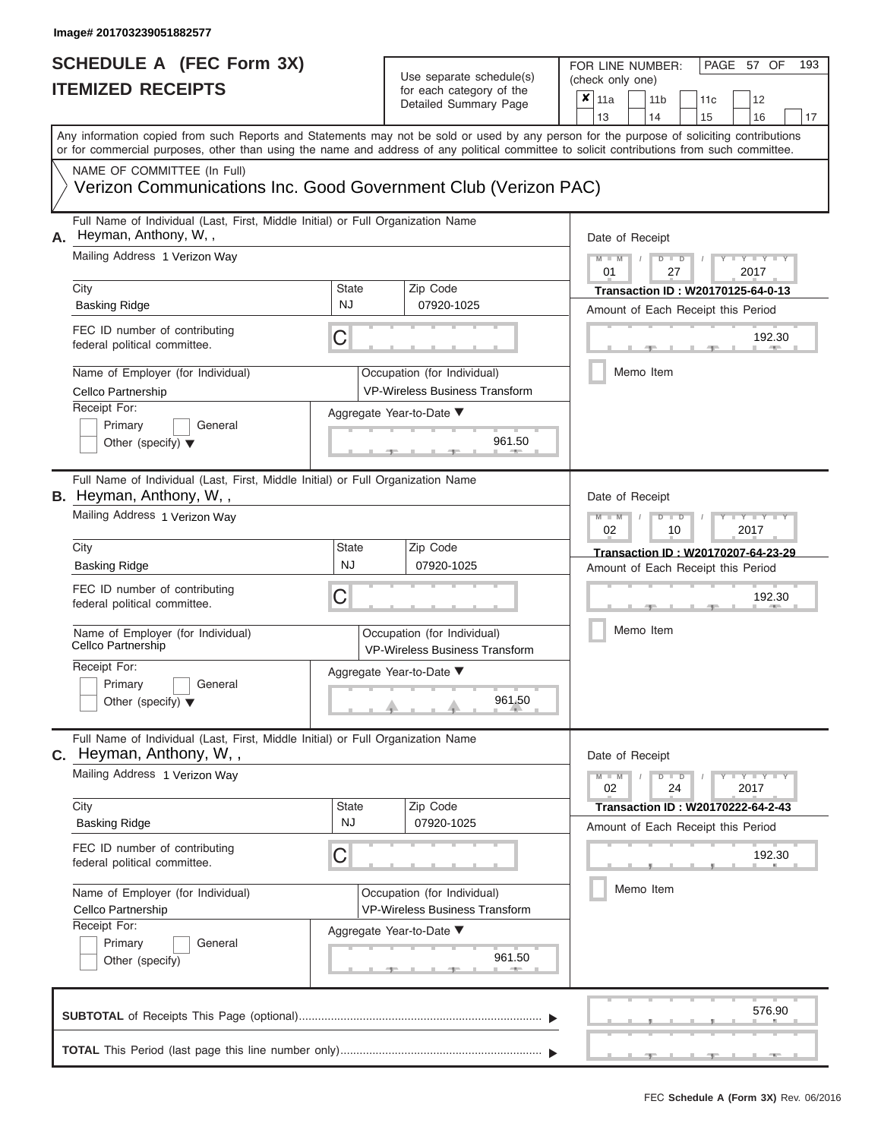| SCHEDULE A (FEC Form 3X)<br><b>ITEMIZED RECEIPTS</b>                                                                                                                                                                                                                                                                                                                                         |                                | Use separate schedule(s)<br>for each category of the<br>Detailed Summary Page                                                        | 193<br>FOR LINE NUMBER:<br>PAGE 57 OF<br>(check only one)<br>×<br>11a<br>11 <sub>b</sub><br>12<br>11 <sub>c</sub><br>13<br>14<br>15<br>16<br>17                                              |
|----------------------------------------------------------------------------------------------------------------------------------------------------------------------------------------------------------------------------------------------------------------------------------------------------------------------------------------------------------------------------------------------|--------------------------------|--------------------------------------------------------------------------------------------------------------------------------------|----------------------------------------------------------------------------------------------------------------------------------------------------------------------------------------------|
| Any information copied from such Reports and Statements may not be sold or used by any person for the purpose of soliciting contributions<br>or for commercial purposes, other than using the name and address of any political committee to solicit contributions from such committee.<br>NAME OF COMMITTEE (In Full)<br>Verizon Communications Inc. Good Government Club (Verizon PAC)     |                                |                                                                                                                                      |                                                                                                                                                                                              |
| Full Name of Individual (Last, First, Middle Initial) or Full Organization Name<br>Heyman, Anthony, W,,<br>А.<br>Mailing Address 1 Verizon Way<br>City<br><b>Basking Ridge</b><br>FEC ID number of contributing<br>federal political committee.<br>Name of Employer (for Individual)<br>Cellco Partnership<br>Receipt For:<br>Primary<br>General<br>Other (specify) $\blacktriangledown$     | State<br><b>NJ</b><br>C        | Zip Code<br>07920-1025<br>Occupation (for Individual)<br><b>VP-Wireless Business Transform</b><br>Aggregate Year-to-Date ▼<br>961.50 | Date of Receipt<br>$M$ – $M$ /<br>$D$ $D$<br>$Y - Y - Y$<br>01<br>27<br>2017<br>Transaction ID: W20170125-64-0-13<br>Amount of Each Receipt this Period<br>192.30<br><b>AND</b><br>Memo Item |
| Full Name of Individual (Last, First, Middle Initial) or Full Organization Name<br><b>B.</b> Heyman, Anthony, W,,<br>Mailing Address 1 Verizon Way<br>City<br><b>Basking Ridge</b><br>FEC ID number of contributing<br>federal political committee.<br>Name of Employer (for Individual)<br>Cellco Partnership<br>Receipt For:<br>Primary<br>General<br>Other (specify) $\blacktriangledown$ | <b>State</b><br><b>NJ</b><br>С | Zip Code<br>07920-1025<br>Occupation (for Individual)<br><b>VP-Wireless Business Transform</b><br>Aggregate Year-to-Date ▼<br>961.50 | Date of Receipt<br>$M - M$<br>$D$ $D$<br>Y TYT<br>02<br>2017<br>10<br>Transaction ID: W20170207-64-23-29<br>Amount of Each Receipt this Period<br>192.30<br>Memo Item                        |
| Full Name of Individual (Last, First, Middle Initial) or Full Organization Name<br><b>C.</b> Heyman, Anthony, W,,<br>Mailing Address 1 Verizon Way<br>City<br><b>Basking Ridge</b><br>FEC ID number of contributing<br>federal political committee.<br>Name of Employer (for Individual)<br>Cellco Partnership<br>Receipt For:<br>Primary<br>General<br>Other (specify)                      | <b>State</b><br><b>NJ</b><br>С | Zip Code<br>07920-1025<br>Occupation (for Individual)<br>VP-Wireless Business Transform<br>Aggregate Year-to-Date ▼<br>961.50        | Date of Receipt<br>$M - M$<br>$D$ $D$<br>$T - Y = Y - T Y$<br>02<br>24<br>2017<br>Transaction ID: W20170222-64-2-43<br>Amount of Each Receipt this Period<br>192.30<br>Memo Item             |
|                                                                                                                                                                                                                                                                                                                                                                                              |                                |                                                                                                                                      | 576.90                                                                                                                                                                                       |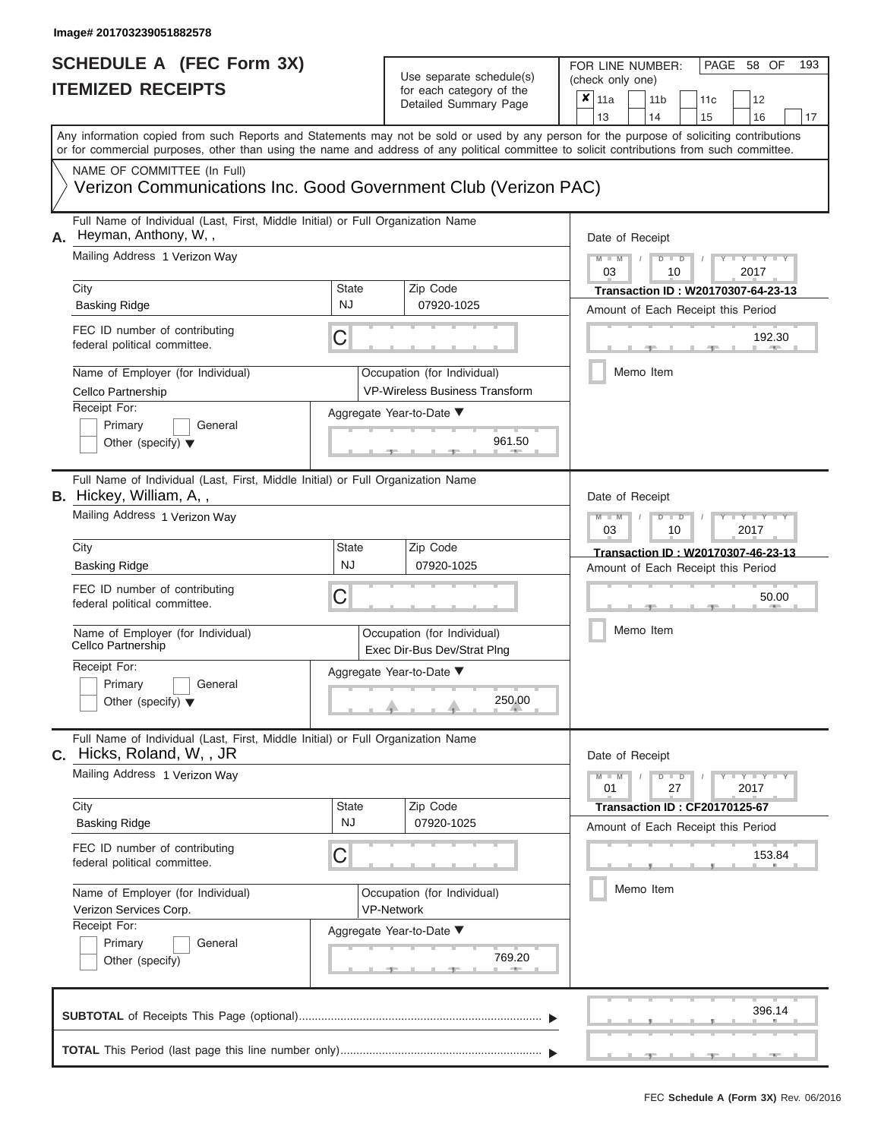#### **Image# 201703239051882578**

#### **SCHEDULE A (FEC Form 3X) ITEMIZED RECEIPTS**

## Use separate schedule(s)

| SCHEDULE A (FEC Form 3X)<br><b>ITEMIZED RECEIPTS</b>                                                                                                                                                                                                                                                                                                                                         |                                | Use separate schedule(s)<br>for each category of the<br>Detailed Summary Page                                                        | 193<br>FOR LINE NUMBER:<br>PAGE 58 OF<br>(check only one)<br>$\overline{\mathbf{x}}$   11a<br>11 <sub>b</sub><br>12<br>11c<br>13<br>14<br>15<br>16<br>17                                                                                                                   |
|----------------------------------------------------------------------------------------------------------------------------------------------------------------------------------------------------------------------------------------------------------------------------------------------------------------------------------------------------------------------------------------------|--------------------------------|--------------------------------------------------------------------------------------------------------------------------------------|----------------------------------------------------------------------------------------------------------------------------------------------------------------------------------------------------------------------------------------------------------------------------|
| Any information copied from such Reports and Statements may not be sold or used by any person for the purpose of soliciting contributions<br>or for commercial purposes, other than using the name and address of any political committee to solicit contributions from such committee.<br>NAME OF COMMITTEE (In Full)<br>Verizon Communications Inc. Good Government Club (Verizon PAC)     |                                |                                                                                                                                      |                                                                                                                                                                                                                                                                            |
| Full Name of Individual (Last, First, Middle Initial) or Full Organization Name<br>Heyman, Anthony, W,,<br>А.<br>Mailing Address 1 Verizon Wav<br>City<br><b>Basking Ridge</b><br>FEC ID number of contributing<br>federal political committee.<br>Name of Employer (for Individual)<br>Cellco Partnership<br>Receipt For:<br>Primary<br>General<br>Other (specify) $\blacktriangledown$     | <b>State</b><br><b>NJ</b><br>C | Zip Code<br>07920-1025<br>Occupation (for Individual)<br><b>VP-Wireless Business Transform</b><br>Aggregate Year-to-Date ▼<br>961.50 | Date of Receipt<br>$M - M$<br>$Y - Y - Y$<br>$D$ $D$<br>$\sqrt{2}$<br>03<br>2017<br>10<br>Transaction ID: W20170307-64-23-13<br>Amount of Each Receipt this Period<br>192.30<br><b>CONTRACTOR</b><br>Memo Item                                                             |
| Full Name of Individual (Last, First, Middle Initial) or Full Organization Name<br><b>B.</b> Hickey, William, A,,<br>Mailing Address 1 Verizon Way<br>City<br><b>Basking Ridge</b><br>FEC ID number of contributing<br>federal political committee.<br>Name of Employer (for Individual)<br>Cellco Partnership<br>Receipt For:<br>Primary<br>General<br>Other (specify) $\blacktriangledown$ | State<br><b>NJ</b><br>С        | Zip Code<br>07920-1025<br>Occupation (for Individual)<br>Exec Dir-Bus Dev/Strat Plng<br>Aggregate Year-to-Date ▼<br>250.00           | Date of Receipt<br>$M - M$<br>$D$ $\Box$ $D$<br>Y I Y I<br>03<br>2017<br>10<br>Transaction ID: W20170307-46-23-13<br>Amount of Each Receipt this Period<br>50.00<br>Memo Item                                                                                              |
| Full Name of Individual (Last, First, Middle Initial) or Full Organization Name<br>C. Hicks, Roland, W,, JR<br>Mailing Address 1 Verizon Way<br>City<br><b>Basking Ridge</b><br>FEC ID number of contributing<br>federal political committee.<br>Name of Employer (for Individual)<br>Verizon Services Corp.<br>Receipt For:<br>Primary<br>General<br>Other (specify)                        | <b>State</b><br><b>NJ</b><br>С | Zip Code<br>07920-1025<br>Occupation (for Individual)<br><b>VP-Network</b><br>Aggregate Year-to-Date ▼<br>769.20                     | Date of Receipt<br>$M - M$<br>$D$ $D$<br>$\blacksquare \blacksquare \mathsf{Y} \mathrel{\sqsubseteq} \mathsf{Y} \mathrel{\sqsubseteq} \mathsf{Y}$<br>01<br>27<br>2017<br><b>Transaction ID: CF20170125-67</b><br>Amount of Each Receipt this Period<br>153.84<br>Memo Item |
|                                                                                                                                                                                                                                                                                                                                                                                              |                                |                                                                                                                                      | 396.14                                                                                                                                                                                                                                                                     |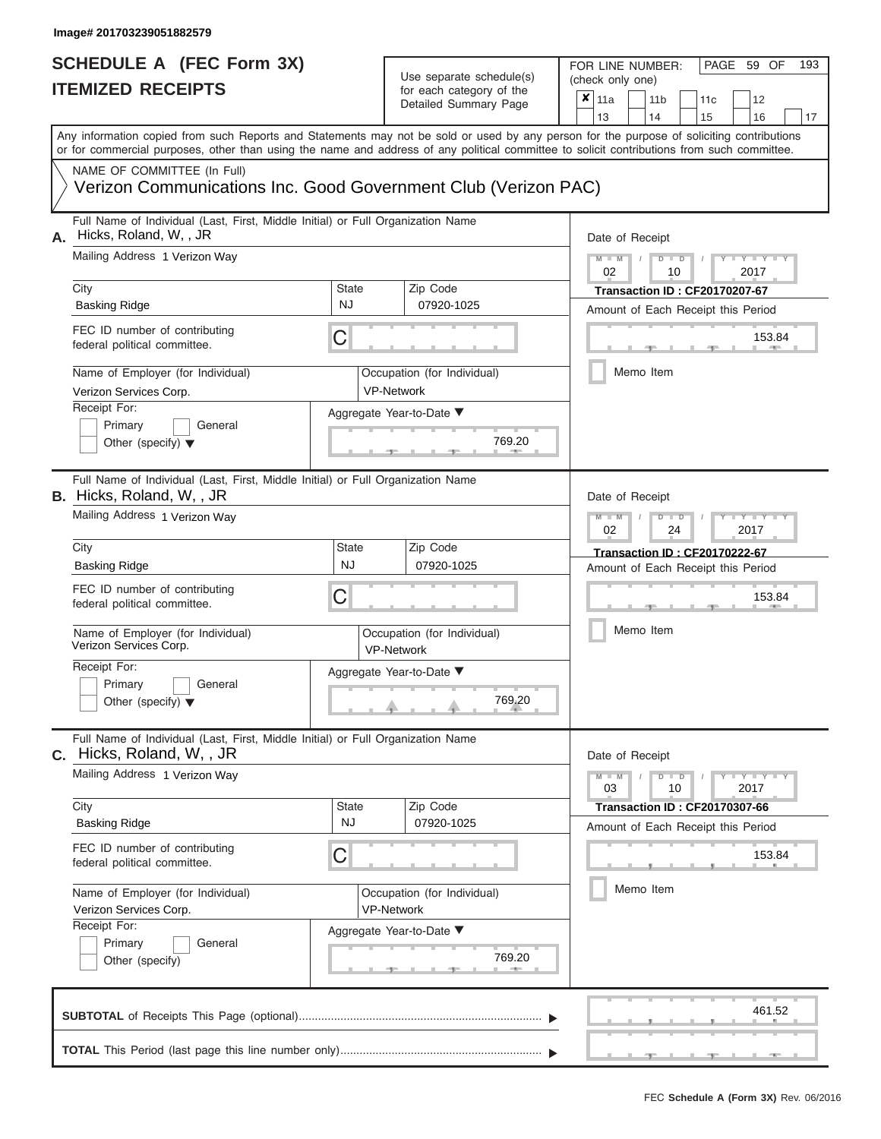#### **Image# 201703239051882579**

#### **SCHEDULE A (FEC Form 3X) ITEMIZED RECEIPTS**

# Use separate schedule(s)<br>for each category of the

FOR LINE NUMBER:<br>(check only one)

PAGE 59 OF 193

|    | IILMILLU NLVLIF IJ                                                                                                                                                                                                                                                                      |                           | iul each caleguly of the<br>Detailed Summary Page | x                                                                                                                    | 11a                                                                        |           |    | 11 <sub>b</sub> |  | 11c |  | 12                  |    |  |  |  |
|----|-----------------------------------------------------------------------------------------------------------------------------------------------------------------------------------------------------------------------------------------------------------------------------------------|---------------------------|---------------------------------------------------|----------------------------------------------------------------------------------------------------------------------|----------------------------------------------------------------------------|-----------|----|-----------------|--|-----|--|---------------------|----|--|--|--|
|    | Any information copied from such Reports and Statements may not be sold or used by any person for the purpose of soliciting contributions<br>or for commercial purposes, other than using the name and address of any political committee to solicit contributions from such committee. |                           |                                                   |                                                                                                                      | 13                                                                         |           | 14 |                 |  | 15  |  | 16                  | 17 |  |  |  |
|    | NAME OF COMMITTEE (In Full)<br>Verizon Communications Inc. Good Government Club (Verizon PAC)                                                                                                                                                                                           |                           |                                                   |                                                                                                                      |                                                                            |           |    |                 |  |     |  |                     |    |  |  |  |
| Α. | Full Name of Individual (Last, First, Middle Initial) or Full Organization Name<br>Hicks, Roland, W,, JR                                                                                                                                                                                | Date of Receipt           |                                                   |                                                                                                                      |                                                                            |           |    |                 |  |     |  |                     |    |  |  |  |
|    | Mailing Address 1 Verizon Way                                                                                                                                                                                                                                                           |                           |                                                   | $M - M$<br>$D$ $D$<br>02<br>10<br>2017                                                                               |                                                                            |           |    |                 |  |     |  |                     |    |  |  |  |
|    | City<br><b>Basking Ridge</b>                                                                                                                                                                                                                                                            | <b>State</b><br>NJ        | Zip Code<br>07920-1025                            |                                                                                                                      | <b>Transaction ID: CF20170207-67</b>                                       |           |    |                 |  |     |  |                     |    |  |  |  |
|    | FEC ID number of contributing<br>federal political committee.                                                                                                                                                                                                                           | C                         |                                                   | Amount of Each Receipt this Period<br>153.84                                                                         |                                                                            |           |    |                 |  |     |  |                     |    |  |  |  |
|    | Name of Employer (for Individual)<br>Verizon Services Corp.                                                                                                                                                                                                                             |                           | Occupation (for Individual)<br><b>VP-Network</b>  | Memo Item                                                                                                            |                                                                            |           |    |                 |  |     |  |                     |    |  |  |  |
|    | Receipt For:<br>Primary<br>General<br>Other (specify) $\blacktriangledown$                                                                                                                                                                                                              |                           | Aggregate Year-to-Date ▼<br>769.20                |                                                                                                                      |                                                                            |           |    |                 |  |     |  |                     |    |  |  |  |
|    | Full Name of Individual (Last, First, Middle Initial) or Full Organization Name<br><b>B.</b> Hicks, Roland, W,, JR                                                                                                                                                                      |                           |                                                   | Date of Receipt                                                                                                      |                                                                            |           |    |                 |  |     |  |                     |    |  |  |  |
|    | Mailing Address 1 Verizon Way                                                                                                                                                                                                                                                           |                           |                                                   | $M - M$<br>$D$ $D$<br>02<br>2017<br>24<br><b>Transaction ID: CF20170222-67</b><br>Amount of Each Receipt this Period |                                                                            |           |    |                 |  |     |  |                     |    |  |  |  |
|    | City<br><b>Basking Ridge</b>                                                                                                                                                                                                                                                            | <b>State</b><br><b>NJ</b> | Zip Code<br>07920-1025                            |                                                                                                                      |                                                                            |           |    |                 |  |     |  |                     |    |  |  |  |
|    | FEC ID number of contributing<br>federal political committee.                                                                                                                                                                                                                           | С                         |                                                   |                                                                                                                      | 153.84                                                                     |           |    |                 |  |     |  |                     |    |  |  |  |
|    | Name of Employer (for Individual)<br>Verizon Services Corp.                                                                                                                                                                                                                             |                           | Occupation (for Individual)<br><b>VP-Network</b>  |                                                                                                                      |                                                                            | Memo Item |    |                 |  |     |  |                     |    |  |  |  |
|    | Receipt For:<br>Primary<br>General<br>Other (specify) $\blacktriangledown$                                                                                                                                                                                                              |                           | Aggregate Year-to-Date ▼<br>769.20                |                                                                                                                      |                                                                            |           |    |                 |  |     |  |                     |    |  |  |  |
| С. | Full Name of Individual (Last, First, Middle Initial) or Full Organization Name<br>Hicks, Roland, W,, JR                                                                                                                                                                                |                           |                                                   |                                                                                                                      | Date of Receipt                                                            |           |    |                 |  |     |  |                     |    |  |  |  |
|    | Mailing Address 1 Verizon Way                                                                                                                                                                                                                                                           |                           |                                                   |                                                                                                                      | $M - M$<br>03                                                              |           |    | $D$ $D$<br>10   |  |     |  | $Y + Y + Y$<br>2017 |    |  |  |  |
|    | City<br><b>Basking Ridge</b>                                                                                                                                                                                                                                                            | <b>State</b><br>NJ        | Zip Code<br>07920-1025                            |                                                                                                                      | <b>Transaction ID: CF20170307-66</b><br>Amount of Each Receipt this Period |           |    |                 |  |     |  |                     |    |  |  |  |
|    | FEC ID number of contributing<br>federal political committee.                                                                                                                                                                                                                           | С                         |                                                   |                                                                                                                      |                                                                            |           |    |                 |  |     |  | 153.84              |    |  |  |  |
|    | Name of Employer (for Individual)<br>Verizon Services Corp.                                                                                                                                                                                                                             | <b>VP-Network</b>         | Occupation (for Individual)                       |                                                                                                                      | Memo Item                                                                  |           |    |                 |  |     |  |                     |    |  |  |  |
|    | Receipt For:<br>Primary<br>General<br>Other (specify)                                                                                                                                                                                                                                   |                           | Aggregate Year-to-Date ▼<br>769.20                |                                                                                                                      |                                                                            |           |    |                 |  |     |  |                     |    |  |  |  |
|    |                                                                                                                                                                                                                                                                                         |                           |                                                   |                                                                                                                      |                                                                            |           |    |                 |  |     |  | 461.52              |    |  |  |  |
|    |                                                                                                                                                                                                                                                                                         |                           |                                                   |                                                                                                                      |                                                                            |           |    |                 |  |     |  |                     |    |  |  |  |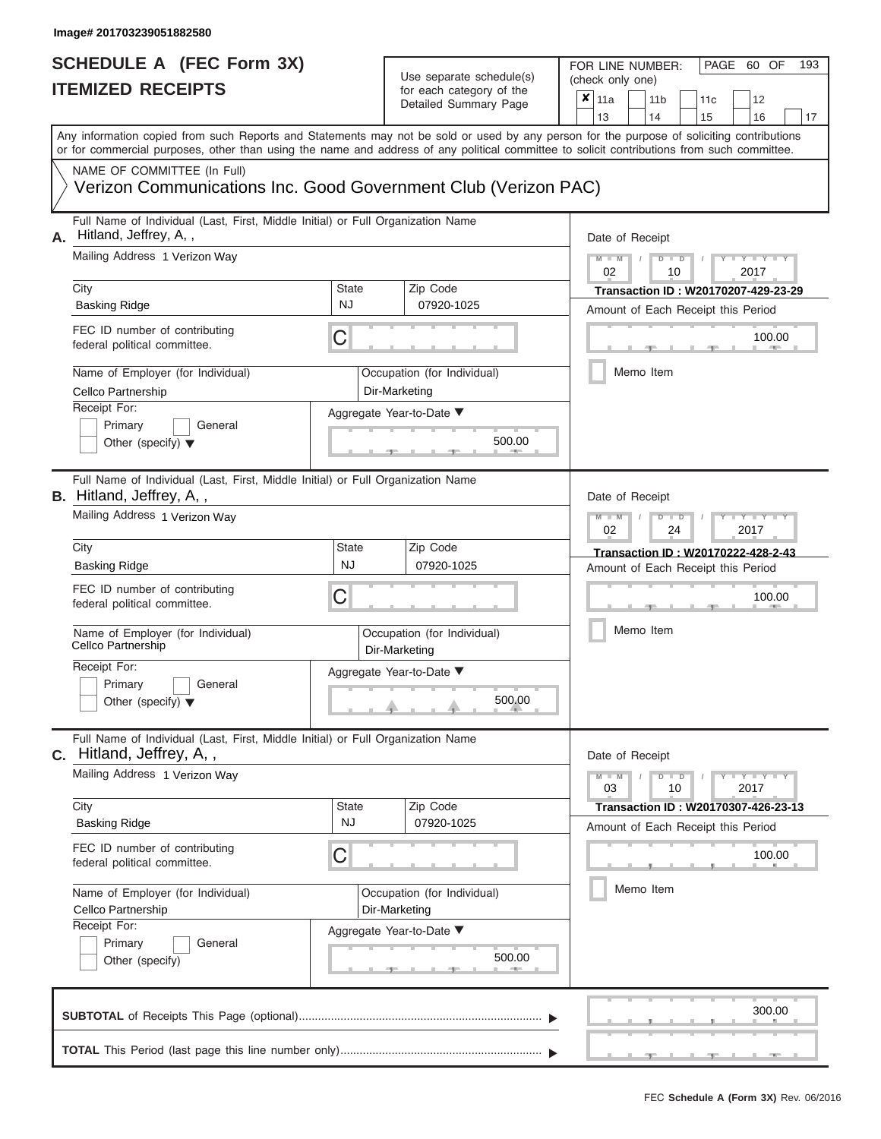| SCHEDULE A (FEC Form 3X)<br><b>ITEMIZED RECEIPTS</b>                                                                                                                                                                                                                                                                                                                                                        |                                | Use separate schedule(s)<br>for each category of the<br>Detailed Summary Page                                          | 193<br>FOR LINE NUMBER:<br>PAGE 60 OF<br>(check only one)<br>$\overline{\mathbf{x}}$   11a<br>11 <sub>b</sub><br>11 <sub>c</sub><br>12<br>13<br>14<br>15<br>16<br>17                                            |
|-------------------------------------------------------------------------------------------------------------------------------------------------------------------------------------------------------------------------------------------------------------------------------------------------------------------------------------------------------------------------------------------------------------|--------------------------------|------------------------------------------------------------------------------------------------------------------------|-----------------------------------------------------------------------------------------------------------------------------------------------------------------------------------------------------------------|
| Any information copied from such Reports and Statements may not be sold or used by any person for the purpose of soliciting contributions<br>or for commercial purposes, other than using the name and address of any political committee to solicit contributions from such committee.<br>NAME OF COMMITTEE (In Full)<br>Verizon Communications Inc. Good Government Club (Verizon PAC)                    |                                |                                                                                                                        |                                                                                                                                                                                                                 |
| Full Name of Individual (Last, First, Middle Initial) or Full Organization Name<br>Hitland, Jeffrey, A,,<br>А.<br>Mailing Address 1 Verizon Way<br>City<br><b>Basking Ridge</b><br>FEC ID number of contributing<br>federal political committee.<br>Name of Employer (for Individual)<br>Cellco Partnership<br>Receipt For:<br>Primary<br>General                                                           | State<br><b>NJ</b><br>C        | Zip Code<br>07920-1025<br>Occupation (for Individual)<br>Dir-Marketing<br>Aggregate Year-to-Date ▼                     | Date of Receipt<br>$M - M$<br>$Y - Y - Y$<br>$D$ $D$<br>$\sqrt{2}$<br>02<br>2017<br>10<br>Transaction ID: W20170207-429-23-29<br>Amount of Each Receipt this Period<br>100.00<br><b>COLLECTIVE</b><br>Memo Item |
| Other (specify) $\blacktriangledown$<br>Full Name of Individual (Last, First, Middle Initial) or Full Organization Name<br><b>B.</b> Hitland, Jeffrey, A,,<br>Mailing Address 1 Verizon Way<br>City<br>Basking Ridge<br>FEC ID number of contributing<br>federal political committee.<br>Name of Employer (for Individual)<br>Cellco Partnership<br>Receipt For:<br>Primary<br>General                      | <b>State</b><br><b>NJ</b><br>С | 500.00<br>Zip Code<br>07920-1025<br>Occupation (for Individual)<br>Dir-Marketing<br>Aggregate Year-to-Date ▼           | Date of Receipt<br>$M - M$<br>Y L Y L<br>$D$ $D$<br>02<br>2017<br>24<br>Transaction ID: W20170222-428-2-43<br>Amount of Each Receipt this Period<br>100.00<br>Memo Item                                         |
| Other (specify) $\blacktriangledown$<br>Full Name of Individual (Last, First, Middle Initial) or Full Organization Name<br>$C.$ Hitland, Jeffrey, A,,<br>Mailing Address 1 Verizon Way<br>City<br><b>Basking Ridge</b><br>FEC ID number of contributing<br>federal political committee.<br>Name of Employer (for Individual)<br>Cellco Partnership<br>Receipt For:<br>Primary<br>General<br>Other (specify) | State<br><b>NJ</b><br>С        | 500.00<br>Zip Code<br>07920-1025<br>Occupation (for Individual)<br>Dir-Marketing<br>Aggregate Year-to-Date ▼<br>500.00 | Date of Receipt<br>$M - M$<br>$D$ $D$<br>$T - Y - T - Y - T - Y$<br>03<br>10<br>2017<br>Transaction ID : W20170307-426-23-13<br>Amount of Each Receipt this Period<br>100.00<br>Memo Item                       |
|                                                                                                                                                                                                                                                                                                                                                                                                             |                                |                                                                                                                        | 300.00<br>$-1$<br>$-1$                                                                                                                                                                                          |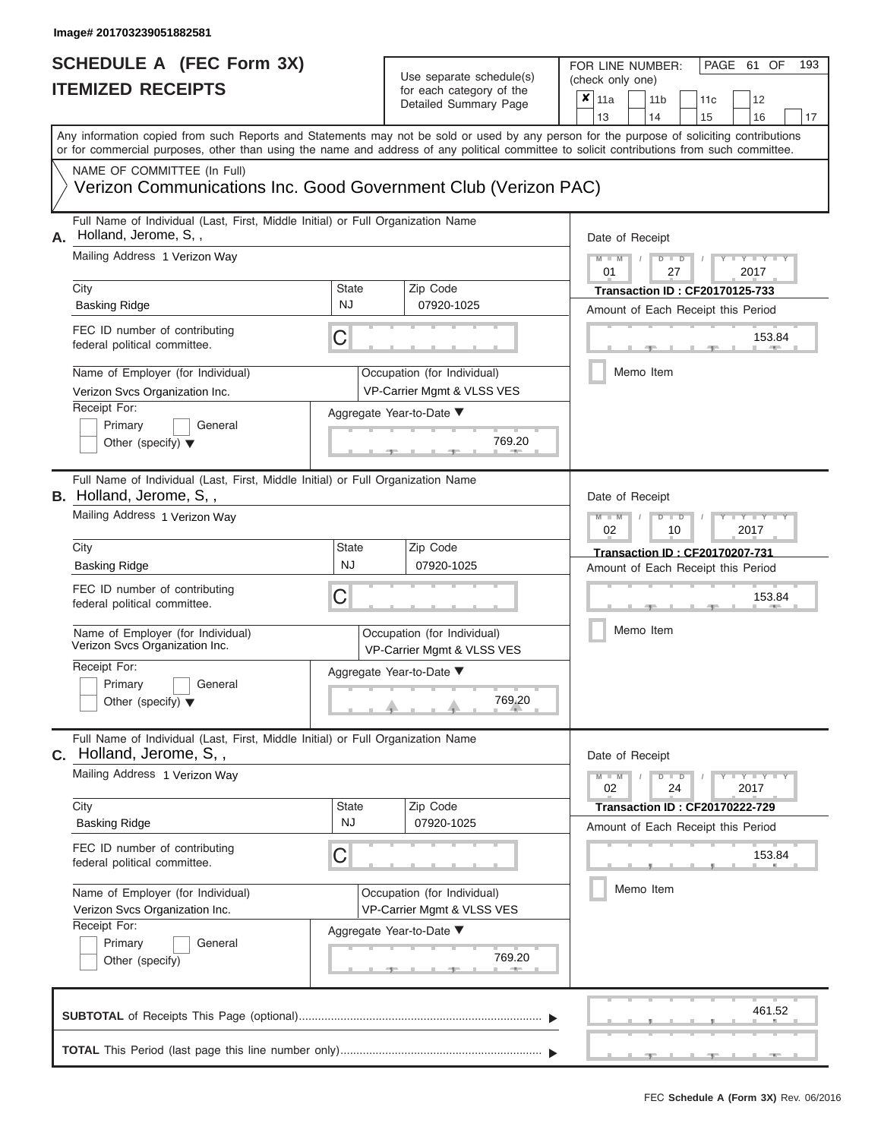# Use separate schedule(s)<br>for each category of the

FOR LINE NUMBER:<br>(check only one)

PAGE 61 OF 193

| IILMILLU NLVLIF IJ |                                                                                                                                                                                                                                                                                         |                    |                                                           | ior each calegory or the<br>Detailed Summary Page         | × | 11a<br>13       |           | 11 <sub>b</sub><br>14                                                |               | 11c<br>15                                                                   |        | 12<br>16                 | 17 |
|--------------------|-----------------------------------------------------------------------------------------------------------------------------------------------------------------------------------------------------------------------------------------------------------------------------------------|--------------------|-----------------------------------------------------------|-----------------------------------------------------------|---|-----------------|-----------|----------------------------------------------------------------------|---------------|-----------------------------------------------------------------------------|--------|--------------------------|----|
|                    | Any information copied from such Reports and Statements may not be sold or used by any person for the purpose of soliciting contributions<br>or for commercial purposes, other than using the name and address of any political committee to solicit contributions from such committee. |                    |                                                           |                                                           |   |                 |           |                                                                      |               |                                                                             |        |                          |    |
|                    | NAME OF COMMITTEE (In Full)<br>Verizon Communications Inc. Good Government Club (Verizon PAC)                                                                                                                                                                                           |                    |                                                           |                                                           |   |                 |           |                                                                      |               |                                                                             |        |                          |    |
| Α.                 | Full Name of Individual (Last, First, Middle Initial) or Full Organization Name<br>Holland, Jerome, S,,                                                                                                                                                                                 |                    |                                                           |                                                           |   | Date of Receipt |           |                                                                      |               |                                                                             |        |                          |    |
|                    | Mailing Address 1 Verizon Way                                                                                                                                                                                                                                                           |                    |                                                           |                                                           |   | $M - M$<br>01   |           |                                                                      | $D$ $D$<br>27 |                                                                             |        | 2017                     |    |
|                    | City<br>State<br><b>NJ</b><br><b>Basking Ridge</b>                                                                                                                                                                                                                                      |                    |                                                           | Zip Code<br>07920-1025                                    |   |                 |           |                                                                      |               | <b>Transaction ID: CF20170125-733</b><br>Amount of Each Receipt this Period |        |                          |    |
|                    | FEC ID number of contributing<br>С<br>federal political committee.                                                                                                                                                                                                                      |                    |                                                           |                                                           |   |                 |           |                                                                      |               |                                                                             |        | 153.84                   |    |
|                    | Name of Employer (for Individual)<br>Verizon Svcs Organization Inc.                                                                                                                                                                                                                     |                    |                                                           | Occupation (for Individual)<br>VP-Carrier Mgmt & VLSS VES |   |                 |           | Memo Item                                                            |               |                                                                             |        |                          |    |
|                    | Receipt For:<br>Aggregate Year-to-Date ▼<br>Primary<br>General<br>769.20<br>Other (specify) $\blacktriangledown$                                                                                                                                                                        |                    |                                                           |                                                           |   |                 |           |                                                                      |               |                                                                             |        |                          |    |
|                    | Full Name of Individual (Last, First, Middle Initial) or Full Organization Name<br><b>B.</b> Holland, Jerome, S,,                                                                                                                                                                       |                    |                                                           |                                                           |   | Date of Receipt |           |                                                                      |               |                                                                             |        |                          |    |
|                    | Mailing Address 1 Verizon Way                                                                                                                                                                                                                                                           |                    |                                                           | $M - M$<br>ъ<br>$\Box$<br>02<br>2017<br>10                |   |                 |           |                                                                      |               |                                                                             |        |                          |    |
|                    | City<br><b>Basking Ridge</b>                                                                                                                                                                                                                                                            | State<br><b>NJ</b> |                                                           |                                                           |   |                 |           | Transaction ID: CF20170207-731<br>Amount of Each Receipt this Period |               |                                                                             |        |                          |    |
|                    | FEC ID number of contributing<br>federal political committee.                                                                                                                                                                                                                           | С                  |                                                           |                                                           |   |                 |           |                                                                      |               |                                                                             | 153.84 |                          |    |
|                    | Name of Employer (for Individual)<br>Verizon Svcs Organization Inc.                                                                                                                                                                                                                     |                    | Occupation (for Individual)<br>VP-Carrier Mgmt & VLSS VES |                                                           |   |                 | Memo Item |                                                                      |               |                                                                             |        |                          |    |
|                    | Receipt For:<br>Primary<br>General<br>Other (specify) $\blacktriangledown$                                                                                                                                                                                                              |                    |                                                           | Aggregate Year-to-Date ▼<br>769.20                        |   |                 |           |                                                                      |               |                                                                             |        |                          |    |
| С.                 | Full Name of Individual (Last, First, Middle Initial) or Full Organization Name<br>Holland, Jerome, S,,                                                                                                                                                                                 |                    |                                                           |                                                           |   | Date of Receipt |           |                                                                      |               |                                                                             |        |                          |    |
|                    | Mailing Address 1 Verizon Way                                                                                                                                                                                                                                                           |                    |                                                           |                                                           |   | $M - M$<br>02   |           |                                                                      | $D$ $D$<br>24 |                                                                             |        | $-Y - Y - Y - Y$<br>2017 |    |
|                    | City<br><b>Basking Ridge</b>                                                                                                                                                                                                                                                            | State<br><b>NJ</b> |                                                           | Zip Code<br>07920-1025                                    |   |                 |           |                                                                      |               | <b>Transaction ID: CF20170222-729</b><br>Amount of Each Receipt this Period |        |                          |    |
|                    | FEC ID number of contributing<br>federal political committee.                                                                                                                                                                                                                           | С                  |                                                           |                                                           |   |                 |           |                                                                      |               |                                                                             |        | 153.84                   |    |
|                    | Name of Employer (for Individual)<br>Verizon Svcs Organization Inc.                                                                                                                                                                                                                     |                    |                                                           | Occupation (for Individual)<br>VP-Carrier Mgmt & VLSS VES |   |                 |           | Memo Item                                                            |               |                                                                             |        |                          |    |
|                    | Receipt For:<br>Primary<br>General<br>Other (specify)                                                                                                                                                                                                                                   |                    |                                                           | Aggregate Year-to-Date ▼<br>769.20                        |   |                 |           |                                                                      |               |                                                                             |        |                          |    |
|                    |                                                                                                                                                                                                                                                                                         |                    |                                                           |                                                           |   |                 |           |                                                                      |               |                                                                             |        | 461.52                   |    |
|                    |                                                                                                                                                                                                                                                                                         |                    |                                                           |                                                           |   |                 |           |                                                                      |               |                                                                             |        |                          |    |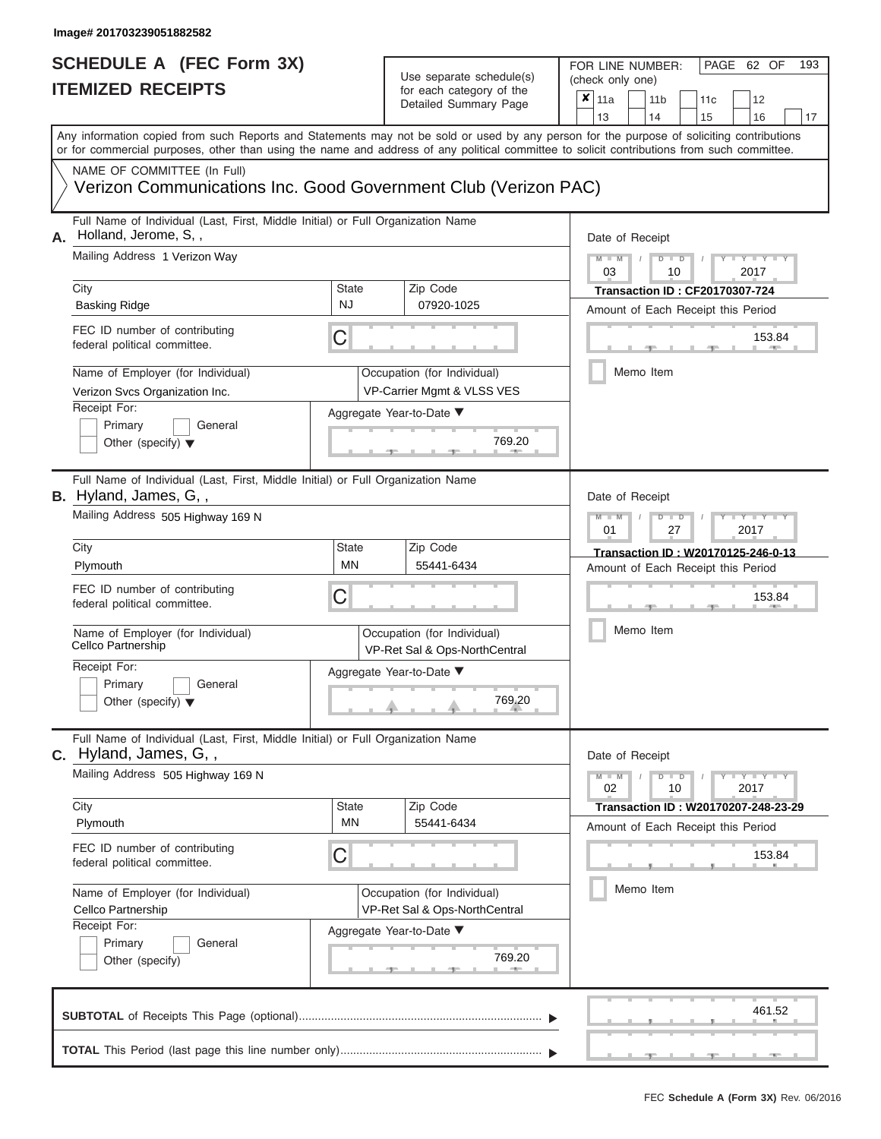| SCHEDULE A (FEC Form 3X)<br><b>ITEMIZED RECEIPTS</b>                                                                                                                                                                                                                                                                                                                                                 |                                | Use separate schedule(s)<br>for each category of the<br>Detailed Summary Page                                                | 193<br>FOR LINE NUMBER:<br>PAGE 62 OF<br>(check only one)<br>$\overline{\mathbf{x}}$   11a<br>11 <sub>b</sub><br>11 <sub>c</sub><br>12                                               |
|------------------------------------------------------------------------------------------------------------------------------------------------------------------------------------------------------------------------------------------------------------------------------------------------------------------------------------------------------------------------------------------------------|--------------------------------|------------------------------------------------------------------------------------------------------------------------------|--------------------------------------------------------------------------------------------------------------------------------------------------------------------------------------|
| Any information copied from such Reports and Statements may not be sold or used by any person for the purpose of soliciting contributions<br>or for commercial purposes, other than using the name and address of any political committee to solicit contributions from such committee.                                                                                                              |                                |                                                                                                                              | 13<br>14<br>15<br>16<br>17                                                                                                                                                           |
| NAME OF COMMITTEE (In Full)<br>Verizon Communications Inc. Good Government Club (Verizon PAC)                                                                                                                                                                                                                                                                                                        |                                |                                                                                                                              |                                                                                                                                                                                      |
| Full Name of Individual (Last, First, Middle Initial) or Full Organization Name<br>Holland, Jerome, S,,<br>А.<br>Mailing Address 1 Verizon Way<br>City<br><b>Basking Ridge</b><br>FEC ID number of contributing<br>federal political committee.<br>Name of Employer (for Individual)<br>Verizon Svcs Organization Inc.<br>Receipt For:<br>Primary<br>General<br>Other (specify) $\blacktriangledown$ | <b>State</b><br><b>NJ</b><br>С | Zip Code<br>07920-1025<br>Occupation (for Individual)<br>VP-Carrier Mgmt & VLSS VES<br>Aggregate Year-to-Date ▼<br>769.20    | Date of Receipt<br>$M = M$ /<br>Y I Y I<br>$D$ $D$<br>03<br>2017<br>10<br><b>Transaction ID: CF20170307-724</b><br>Amount of Each Receipt this Period<br>153.84<br>Memo Item         |
| Full Name of Individual (Last, First, Middle Initial) or Full Organization Name<br><b>B.</b> Hyland, James, G,,<br>Mailing Address 505 Highway 169 N<br>City<br>Plymouth<br>FEC ID number of contributing<br>federal political committee.<br>Name of Employer (for Individual)<br>Cellco Partnership<br>Receipt For:<br>Primary<br>General<br>Other (specify) $\blacktriangledown$                   | <b>State</b><br><b>MN</b><br>С | Zip Code<br>55441-6434<br>Occupation (for Individual)<br>VP-Ret Sal & Ops-NorthCentral<br>Aggregate Year-to-Date ▼<br>769.20 | Date of Receipt<br>$M - M$<br>Y TY<br>$D$ $D$<br>01<br>2017<br>27<br>Transaction ID: W20170125-246-0-13<br>Amount of Each Receipt this Period<br>153.84<br>Memo Item                 |
| Full Name of Individual (Last, First, Middle Initial) or Full Organization Name<br>C. Hyland, James, G,,<br>Mailing Address 505 Highway 169 N<br>City<br>Plymouth<br>FEC ID number of contributing<br>federal political committee.<br>Name of Employer (for Individual)<br>Cellco Partnership<br>Receipt For:<br>Primary<br>General<br>Other (specify)                                               | <b>State</b><br>MN<br>С        | Zip Code<br>55441-6434<br>Occupation (for Individual)<br>VP-Ret Sal & Ops-NorthCentral<br>Aggregate Year-to-Date ▼<br>769.20 | Date of Receipt<br>$M - M$<br>$D$ $D$<br>$Y - Y - Y - Y - Y$<br>02<br>10<br>2017<br>Transaction ID: W20170207-248-23-29<br>Amount of Each Receipt this Period<br>153.84<br>Memo Item |
|                                                                                                                                                                                                                                                                                                                                                                                                      |                                |                                                                                                                              | 461.52<br>$-1$<br>$-1$<br>$-1$                                                                                                                                                       |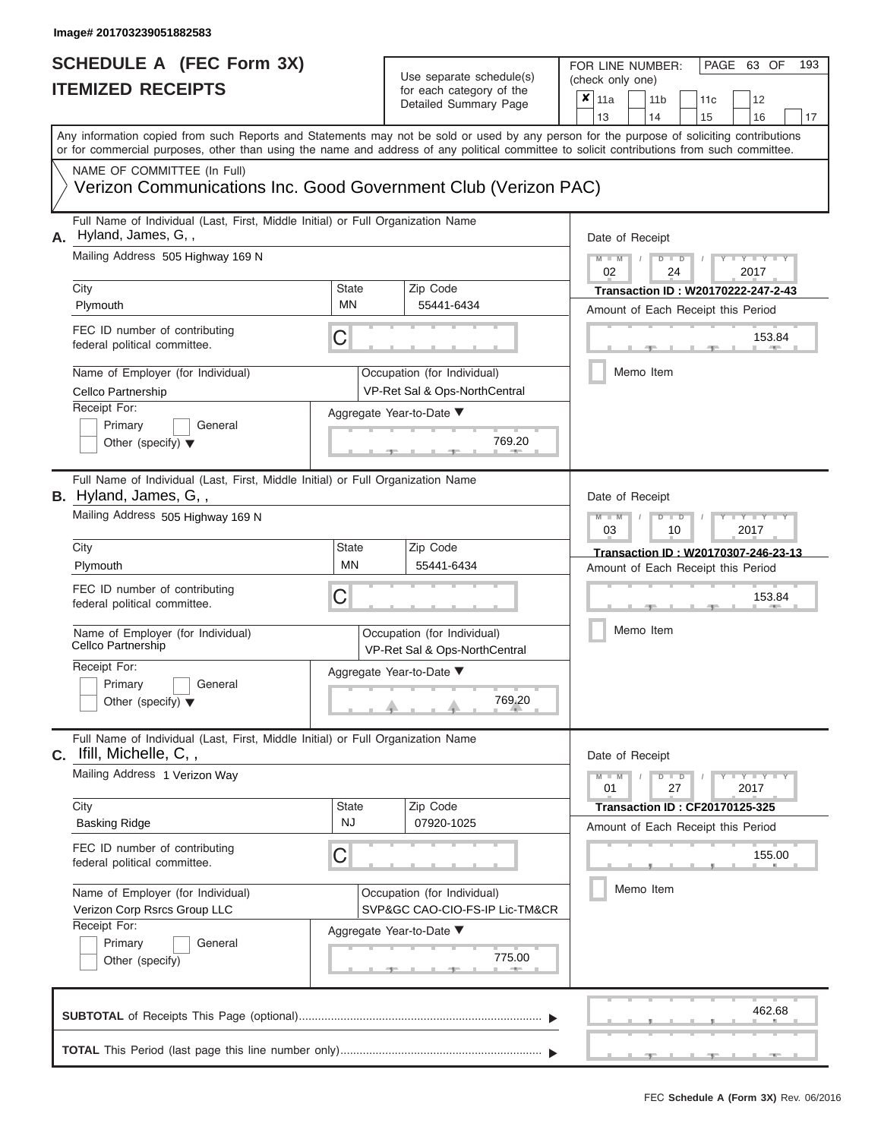# Use separate schedule(s)  $\frac{1}{\pi}$  for each category of the

FOR LINE NUMBER:<br>(check only one)

PAGE 63 OF 193

|    | <u>II EMILED REVEIF I J</u>                                                                                                                                                                                                                                                             |                    | for each category of the<br>Detailed Summary Page             | ×<br>11a<br>11 <sub>b</sub><br>12<br>11c                                    |  |  |  |
|----|-----------------------------------------------------------------------------------------------------------------------------------------------------------------------------------------------------------------------------------------------------------------------------------------|--------------------|---------------------------------------------------------------|-----------------------------------------------------------------------------|--|--|--|
|    |                                                                                                                                                                                                                                                                                         |                    |                                                               | 13<br>14<br>15<br>16<br>17                                                  |  |  |  |
|    | Any information copied from such Reports and Statements may not be sold or used by any person for the purpose of soliciting contributions<br>or for commercial purposes, other than using the name and address of any political committee to solicit contributions from such committee. |                    |                                                               |                                                                             |  |  |  |
|    | NAME OF COMMITTEE (In Full)<br>Verizon Communications Inc. Good Government Club (Verizon PAC)                                                                                                                                                                                           |                    |                                                               |                                                                             |  |  |  |
| Α. | Full Name of Individual (Last, First, Middle Initial) or Full Organization Name<br>Hyland, James, G,,                                                                                                                                                                                   |                    |                                                               | Date of Receipt                                                             |  |  |  |
|    | Mailing Address 505 Highway 169 N                                                                                                                                                                                                                                                       |                    |                                                               | $M - M$<br>$Y = Y + Y$<br>$D$ $D$<br>02<br>24<br>2017                       |  |  |  |
|    | City<br>Plymouth                                                                                                                                                                                                                                                                        | <b>State</b><br>MN | Zip Code<br>55441-6434                                        | Transaction ID: W20170222-247-2-43<br>Amount of Each Receipt this Period    |  |  |  |
|    | FEC ID number of contributing<br>federal political committee.                                                                                                                                                                                                                           | C                  |                                                               | 153.84                                                                      |  |  |  |
|    | Name of Employer (for Individual)<br>Cellco Partnership                                                                                                                                                                                                                                 |                    | Occupation (for Individual)<br>VP-Ret Sal & Ops-NorthCentral  | Memo Item                                                                   |  |  |  |
|    | Receipt For:<br>Primary<br>General<br>Other (specify) $\blacktriangledown$                                                                                                                                                                                                              |                    | Aggregate Year-to-Date ▼<br>769.20                            |                                                                             |  |  |  |
|    | Full Name of Individual (Last, First, Middle Initial) or Full Organization Name<br>B. Hyland, James, G,,                                                                                                                                                                                |                    |                                                               | Date of Receipt                                                             |  |  |  |
|    | Mailing Address 505 Highway 169 N                                                                                                                                                                                                                                                       |                    |                                                               | $M - M$<br>Y I Y I<br>$D$ $D$<br>03<br>10<br>2017                           |  |  |  |
|    | City<br>Plymouth                                                                                                                                                                                                                                                                        | State<br><b>MN</b> | Zip Code<br>55441-6434                                        | Transaction ID: W20170307-246-23-13<br>Amount of Each Receipt this Period   |  |  |  |
|    | FEC ID number of contributing<br>federal political committee.                                                                                                                                                                                                                           | C                  |                                                               | 153.84                                                                      |  |  |  |
|    | Name of Employer (for Individual)<br>Cellco Partnership                                                                                                                                                                                                                                 |                    | Occupation (for Individual)<br>VP-Ret Sal & Ops-NorthCentral  | Memo Item                                                                   |  |  |  |
|    | Receipt For:<br>Primary<br>General<br>Other (specify) $\blacktriangledown$                                                                                                                                                                                                              |                    | Aggregate Year-to-Date ▼<br>769.20                            |                                                                             |  |  |  |
|    | Full Name of Individual (Last, First, Middle Initial) or Full Organization Name<br>$C.$ Ifill, Michelle, $C,$ ,                                                                                                                                                                         |                    |                                                               | Date of Receipt                                                             |  |  |  |
|    | Mailing Address 1 Verizon Way                                                                                                                                                                                                                                                           |                    | $M - M$<br>$Y - Y - Y - Y - Y$<br>$D$ $D$<br>01<br>27<br>2017 |                                                                             |  |  |  |
|    | City<br><b>Basking Ridge</b>                                                                                                                                                                                                                                                            | State<br><b>NJ</b> | Zip Code<br>07920-1025                                        | <b>Transaction ID: CF20170125-325</b><br>Amount of Each Receipt this Period |  |  |  |
|    | FEC ID number of contributing<br>federal political committee.                                                                                                                                                                                                                           | C                  |                                                               | 155.00                                                                      |  |  |  |
|    | Name of Employer (for Individual)<br>Verizon Corp Rsrcs Group LLC                                                                                                                                                                                                                       |                    | Occupation (for Individual)<br>SVP&GC CAO-CIO-FS-IP Lic-TM&CR | Memo Item                                                                   |  |  |  |
|    | Receipt For:<br>Primary<br>General<br>Other (specify)                                                                                                                                                                                                                                   |                    | Aggregate Year-to-Date ▼<br>775.00                            |                                                                             |  |  |  |
|    |                                                                                                                                                                                                                                                                                         |                    |                                                               | 462.68                                                                      |  |  |  |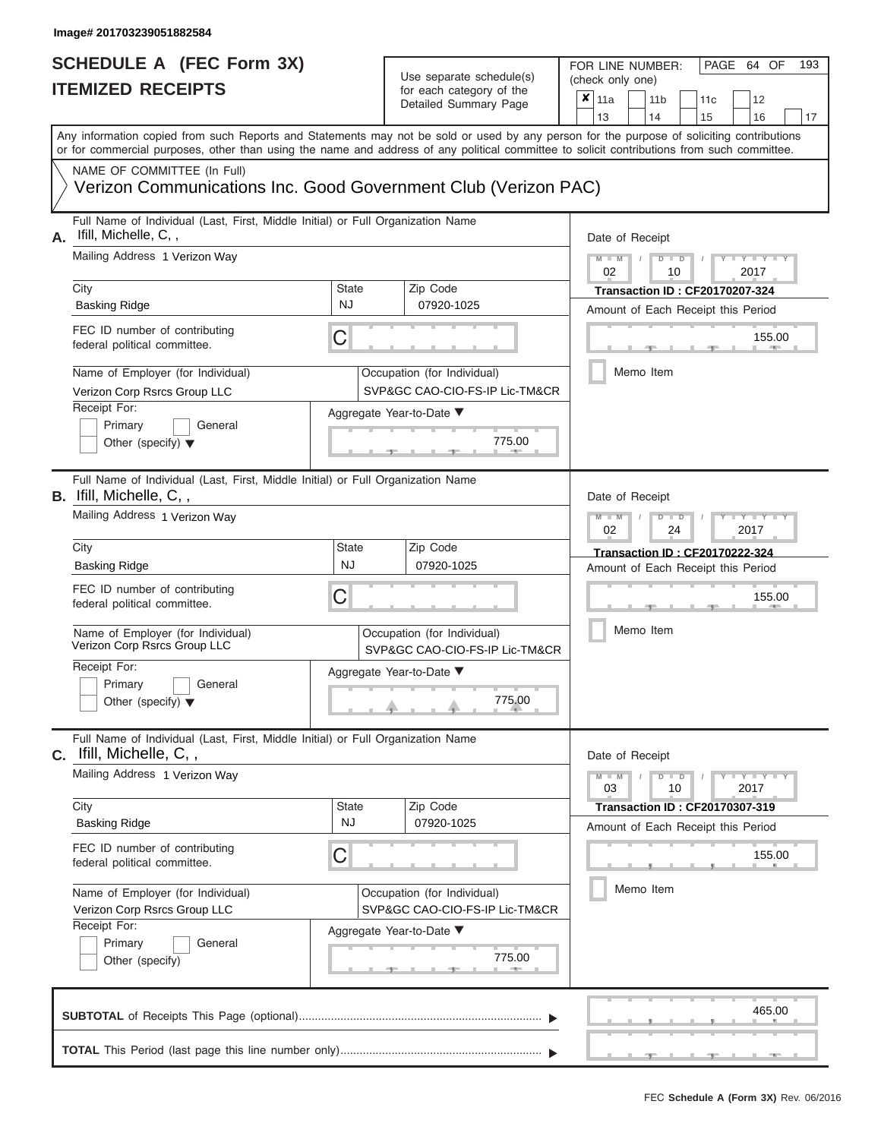| SCHEDULE A (FEC Form 3X)<br><b>ITEMIZED RECEIPTS</b>                                                                                                                                                                                                                                                                                                                                                   |                                | Use separate schedule(s)<br>for each category of the<br>Detailed Summary Page                                                                                              | 193<br>FOR LINE NUMBER:<br>PAGE 64 OF<br>(check only one)<br>$\overline{\mathbf{x}}$   11a<br>11 <sub>b</sub><br>12<br>11c                                                                                                                                                  |
|--------------------------------------------------------------------------------------------------------------------------------------------------------------------------------------------------------------------------------------------------------------------------------------------------------------------------------------------------------------------------------------------------------|--------------------------------|----------------------------------------------------------------------------------------------------------------------------------------------------------------------------|-----------------------------------------------------------------------------------------------------------------------------------------------------------------------------------------------------------------------------------------------------------------------------|
| Any information copied from such Reports and Statements may not be sold or used by any person for the purpose of soliciting contributions<br>or for commercial purposes, other than using the name and address of any political committee to solicit contributions from such committee.<br>NAME OF COMMITTEE (In Full)<br>Verizon Communications Inc. Good Government Club (Verizon PAC)               |                                |                                                                                                                                                                            | 13<br>14<br>15<br>16<br>17                                                                                                                                                                                                                                                  |
| Full Name of Individual (Last, First, Middle Initial) or Full Organization Name<br>Ifill, Michelle, C,,<br>А.<br>Mailing Address 1 Verizon Way<br>City<br><b>Basking Ridge</b><br>FEC ID number of contributing<br>federal political committee.<br>Name of Employer (for Individual)<br>Verizon Corp Rsrcs Group LLC<br>Receipt For:<br>Primary<br>General<br>Other (specify) $\blacktriangledown$     | <b>State</b><br><b>NJ</b><br>C | Zip Code<br>07920-1025<br>Occupation (for Individual)<br>SVP&GC CAO-CIO-FS-IP Lic-TM&CR<br>Aggregate Year-to-Date ▼<br>775.00                                              | Date of Receipt<br>$M - M$<br>$D$ $D$<br>$Y - Y - T$<br>$\sqrt{2}$<br>02<br>2017<br>10<br><b>Transaction ID: CF20170207-324</b><br>Amount of Each Receipt this Period<br>155.00<br><b>CONTRACTOR</b><br>Memo Item                                                           |
| Full Name of Individual (Last, First, Middle Initial) or Full Organization Name<br><b>B.</b> Ifill, Michelle, C,,<br>Mailing Address 1 Verizon Way<br>City<br><b>Basking Ridge</b><br>FEC ID number of contributing<br>federal political committee.<br>Name of Employer (for Individual)<br>Verizon Corp Rsrcs Group LLC<br>Receipt For:<br>Primary<br>General<br>Other (specify) $\blacktriangledown$ | State<br><b>NJ</b><br>С        | Zip Code<br>07920-1025<br>Occupation (for Individual)<br>SVP&GC CAO-CIO-FS-IP Lic-TM&CR<br>Aggregate Year-to-Date ▼<br>$\begin{array}{c}\n 775.00 \\ \hline\n \end{array}$ | Date of Receipt<br>$M - M$<br>$D$ $\Box$ $D$<br>Y I Y I<br>2017<br>02<br>24<br><b>Transaction ID: CF20170222-324</b><br>Amount of Each Receipt this Period<br>155.00<br>Memo Item                                                                                           |
| Full Name of Individual (Last, First, Middle Initial) or Full Organization Name<br>$c.$ Ifill, Michelle, $C,$ ,<br>Mailing Address 1 Verizon Way<br>City<br><b>Basking Ridge</b><br>FEC ID number of contributing<br>federal political committee.<br>Name of Employer (for Individual)<br>Verizon Corp Rsrcs Group LLC<br>Receipt For:<br>Primary<br>General<br>Other (specify)                        | <b>State</b><br><b>NJ</b><br>С | Zip Code<br>07920-1025<br>Occupation (for Individual)<br>SVP&GC CAO-CIO-FS-IP Lic-TM&CR<br>Aggregate Year-to-Date ▼<br>775.00                                              | Date of Receipt<br>$M - M$<br>$D$ $D$<br>$\blacksquare \blacksquare \mathsf{Y} \mathrel{\sqsubseteq} \mathsf{Y} \mathrel{\sqsubseteq} \mathsf{Y}$<br>10<br>03<br>2017<br><b>Transaction ID: CF20170307-319</b><br>Amount of Each Receipt this Period<br>155.00<br>Memo Item |
|                                                                                                                                                                                                                                                                                                                                                                                                        |                                |                                                                                                                                                                            | 465.00                                                                                                                                                                                                                                                                      |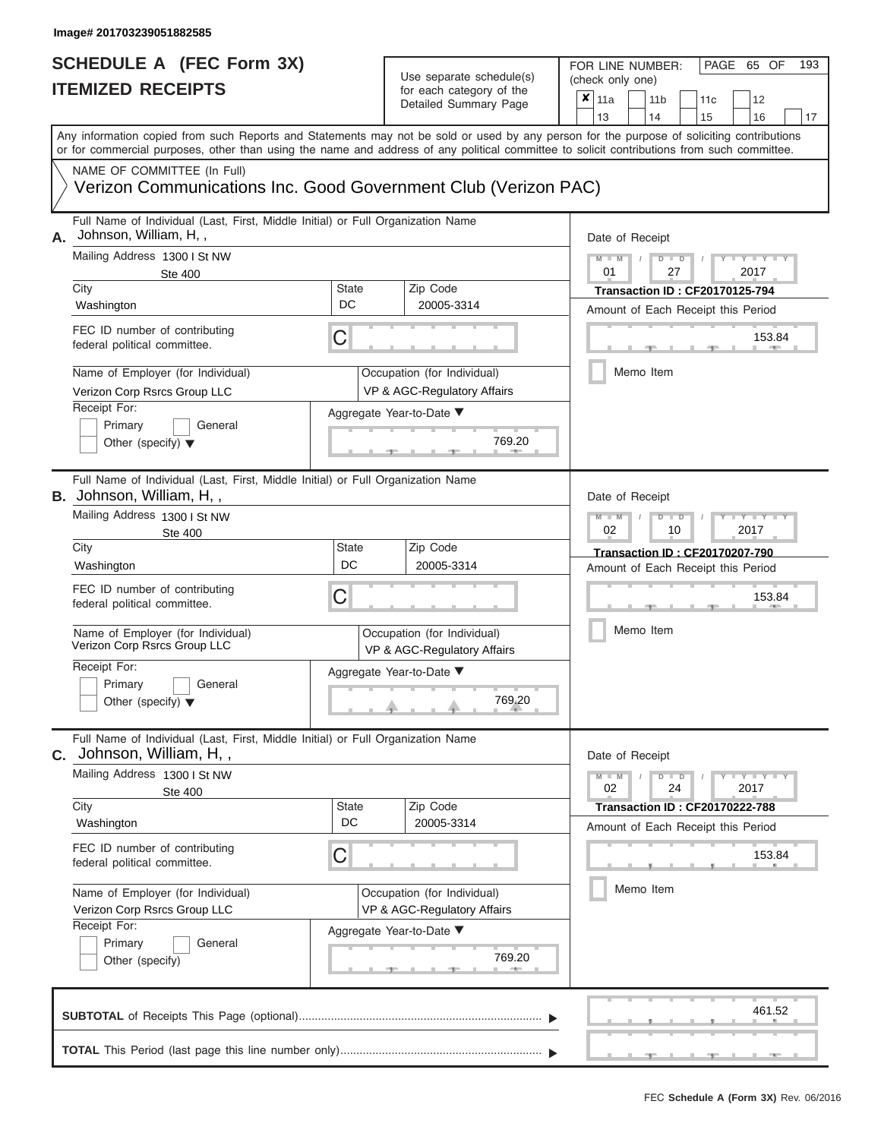| SCHEDULE A (FEC Form 3X)<br><b>ITEMIZED RECEIPTS</b>                                                                                                                                                                                                                                                                                                                                                       |                         | Use separate schedule(s)<br>for each category of the<br>Detailed Summary Page                                              | 193<br>FOR LINE NUMBER:<br>PAGE 65 OF<br>(check only one)<br>×<br>11a<br>11 <sub>b</sub><br>12<br>11 <sub>c</sub><br>13<br>14<br>15<br>16<br>17                                                |
|------------------------------------------------------------------------------------------------------------------------------------------------------------------------------------------------------------------------------------------------------------------------------------------------------------------------------------------------------------------------------------------------------------|-------------------------|----------------------------------------------------------------------------------------------------------------------------|------------------------------------------------------------------------------------------------------------------------------------------------------------------------------------------------|
| Any information copied from such Reports and Statements may not be sold or used by any person for the purpose of soliciting contributions<br>or for commercial purposes, other than using the name and address of any political committee to solicit contributions from such committee.<br>NAME OF COMMITTEE (In Full)<br>Verizon Communications Inc. Good Government Club (Verizon PAC)                   |                         |                                                                                                                            |                                                                                                                                                                                                |
| Full Name of Individual (Last, First, Middle Initial) or Full Organization Name<br>Johnson, William, H,,<br>А.<br>Mailing Address 1300 I St NW<br><b>Ste 400</b><br>City<br>Washington<br>FEC ID number of contributing<br>federal political committee.<br>Name of Employer (for Individual)<br>Verizon Corp Rsrcs Group LLC<br>Receipt For:<br>Primary<br>General<br>Other (specify) $\blacktriangledown$ | State<br>DC<br>С        | Zip Code<br>20005-3314<br>Occupation (for Individual)<br>VP & AGC-Regulatory Affairs<br>Aggregate Year-to-Date ▼<br>769.20 | Date of Receipt<br>$M$ – $M$ /<br>$D$ $D$<br>Y TY T<br>01<br>27<br>2017<br><b>Transaction ID: CF20170125-794</b><br>Amount of Each Receipt this Period<br>153.84<br><b>AND IN</b><br>Memo Item |
| Full Name of Individual (Last, First, Middle Initial) or Full Organization Name<br>B. Johnson, William, H,,<br>Mailing Address 1300 I St NW<br>Ste 400<br>City<br>Washington<br>FEC ID number of contributing<br>federal political committee.<br>Name of Employer (for Individual)<br>Verizon Corp Rsrcs Group LLC<br>Receipt For:<br>Primary<br>General<br>Other (specify) $\blacktriangledown$           | State<br>DC<br>С        | Zip Code<br>20005-3314<br>Occupation (for Individual)<br>VP & AGC-Regulatory Affairs<br>Aggregate Year-to-Date ▼<br>769.20 | Date of Receipt<br>$M - M$<br>Y Y I<br>$D$ $D$<br>02<br>2017<br>10<br>Transaction ID: CF20170207-790<br>Amount of Each Receipt this Period<br>153.84<br>Memo Item                              |
| Full Name of Individual (Last, First, Middle Initial) or Full Organization Name<br>Johnson, William, H,,<br>С.<br>Mailing Address 1300 I St NW<br><b>Ste 400</b><br>City<br>Washington<br>FEC ID number of contributing<br>federal political committee.<br>Name of Employer (for Individual)<br>Verizon Corp Rsrcs Group LLC<br>Receipt For:<br>Primary<br>General<br>Other (specify)                      | <b>State</b><br>DC<br>С | Zip Code<br>20005-3314<br>Occupation (for Individual)<br>VP & AGC-Regulatory Affairs<br>Aggregate Year-to-Date ▼<br>769.20 | Date of Receipt<br>$M - M$<br>$D$ $D$<br>$T - Y - T - Y - T - Y$<br>02<br>24<br>2017<br><b>Transaction ID: CF20170222-788</b><br>Amount of Each Receipt this Period<br>153.84<br>Memo Item     |
|                                                                                                                                                                                                                                                                                                                                                                                                            |                         |                                                                                                                            | 461.52<br>$-1$<br>$-1$                                                                                                                                                                         |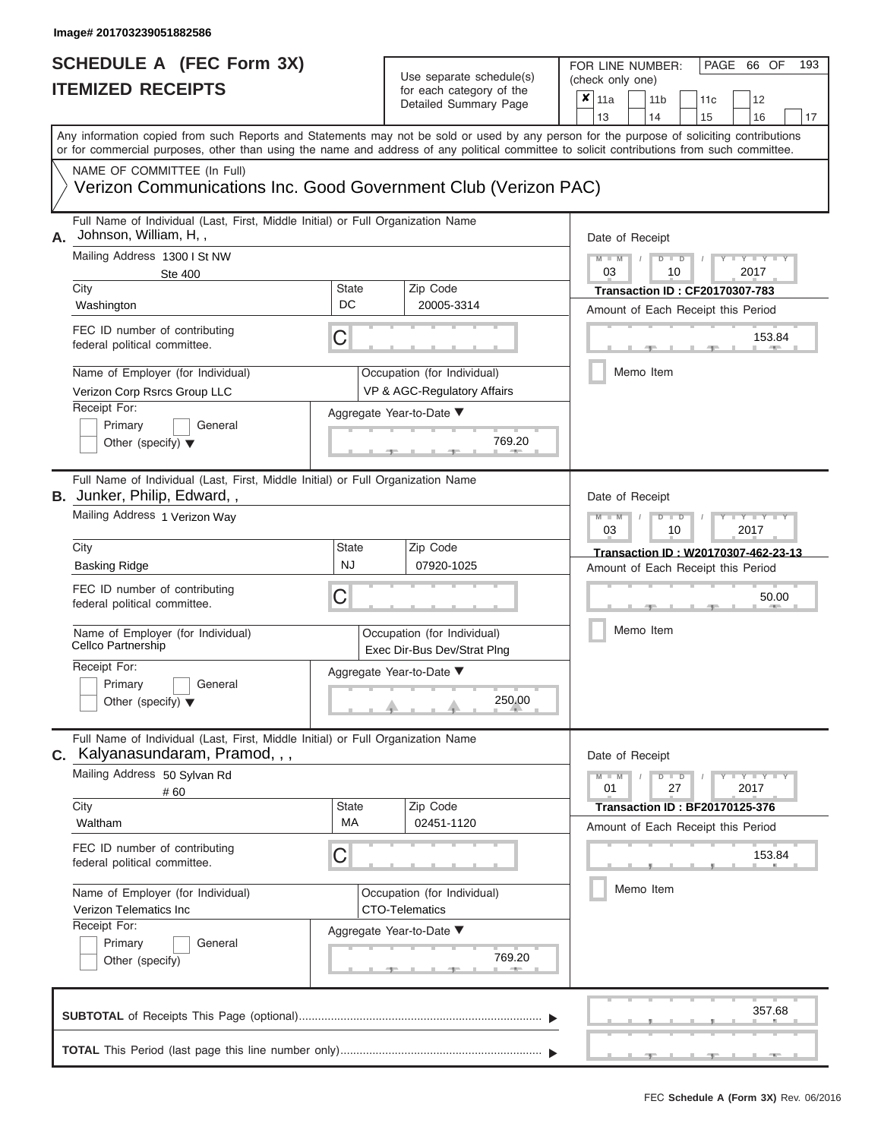| SCHEDULE A (FEC Form 3X)<br><b>ITEMIZED RECEIPTS</b>                                                                                                                      |                                                                      | Use separate schedule(s)<br>for each category of the<br>Detailed Summary Page                    | 193<br>FOR LINE NUMBER:<br>PAGE 66 OF<br>(check only one)<br>$\overline{\mathbf{x}}$   11a<br>11 <sub>b</sub><br>12<br>11c                                              |
|---------------------------------------------------------------------------------------------------------------------------------------------------------------------------|----------------------------------------------------------------------|--------------------------------------------------------------------------------------------------|-------------------------------------------------------------------------------------------------------------------------------------------------------------------------|
| or for commercial purposes, other than using the name and address of any political committee to solicit contributions from such committee.<br>NAME OF COMMITTEE (In Full) |                                                                      |                                                                                                  | 14<br>13<br>15<br>16<br>17<br>Any information copied from such Reports and Statements may not be sold or used by any person for the purpose of soliciting contributions |
| Verizon Communications Inc. Good Government Club (Verizon PAC)                                                                                                            |                                                                      |                                                                                                  |                                                                                                                                                                         |
| Full Name of Individual (Last, First, Middle Initial) or Full Organization Name<br>A. Johnson, William, H,,<br>Mailing Address 1300 I St NW<br><b>Ste 400</b><br>City     | <b>State</b>                                                         | Zip Code                                                                                         | Date of Receipt<br>$M - M$<br>$D$ $D$<br>$Y - Y - I$<br>$\sqrt{ }$<br>03<br>2017<br>10<br><b>Transaction ID: CF20170307-783</b>                                         |
| Washington<br>FEC ID number of contributing<br>federal political committee.                                                                                               | DC.<br>С                                                             | 20005-3314                                                                                       | Amount of Each Receipt this Period<br>153.84                                                                                                                            |
| Name of Employer (for Individual)<br>Verizon Corp Rsrcs Group LLC<br>Receipt For:<br>Primary<br>General<br>Other (specify) $\blacktriangledown$                           |                                                                      | Occupation (for Individual)<br>VP & AGC-Regulatory Affairs<br>Aggregate Year-to-Date ▼<br>769.20 | Memo Item                                                                                                                                                               |
| Full Name of Individual (Last, First, Middle Initial) or Full Organization Name<br>B. Junker, Philip, Edward,,<br>Mailing Address 1 Verizon Way                           | Date of Receipt<br>$M - M$<br>Y I Y I<br>$D$ $D$<br>2017<br>03<br>10 |                                                                                                  |                                                                                                                                                                         |
| City<br><b>Basking Ridge</b>                                                                                                                                              | <b>State</b><br><b>NJ</b>                                            | Zip Code<br>07920-1025                                                                           | Transaction ID: W20170307-462-23-13<br>Amount of Each Receipt this Period                                                                                               |
| FEC ID number of contributing<br>federal political committee.                                                                                                             | С                                                                    |                                                                                                  | 50.00                                                                                                                                                                   |
| Name of Employer (for Individual)<br>Cellco Partnership                                                                                                                   |                                                                      | Occupation (for Individual)<br>Exec Dir-Bus Dev/Strat Plng                                       | Memo Item                                                                                                                                                               |
| Receipt For:<br>Primary<br>General<br>Other (specify) $\blacktriangledown$                                                                                                |                                                                      | Aggregate Year-to-Date ▼<br>250.00                                                               |                                                                                                                                                                         |
| Full Name of Individual (Last, First, Middle Initial) or Full Organization Name<br>C. Kalyanasundaram, Pramod, , ,                                                        |                                                                      |                                                                                                  | Date of Receipt                                                                                                                                                         |
| Mailing Address 50 Sylvan Rd<br>#60<br>City                                                                                                                               | <b>State</b>                                                         | Zip Code                                                                                         | $M - M$<br>$D$ $D$<br>$T-T$ $T$ $T$ $T$ $T$ $T$<br>01<br>27<br>2017<br><b>Transaction ID: BF20170125-376</b>                                                            |
| Waltham<br>FEC ID number of contributing                                                                                                                                  | MA                                                                   | 02451-1120                                                                                       | Amount of Each Receipt this Period                                                                                                                                      |
| federal political committee.<br>Name of Employer (for Individual)                                                                                                         | С                                                                    | Occupation (for Individual)                                                                      | 153.84<br>Memo Item                                                                                                                                                     |
| Verizon Telematics Inc<br>Receipt For:<br>Primary<br>General<br>Other (specify)                                                                                           |                                                                      | <b>CTO-Telematics</b><br>Aggregate Year-to-Date ▼<br>769.20                                      |                                                                                                                                                                         |
|                                                                                                                                                                           |                                                                      |                                                                                                  | 357.68                                                                                                                                                                  |
|                                                                                                                                                                           |                                                                      |                                                                                                  |                                                                                                                                                                         |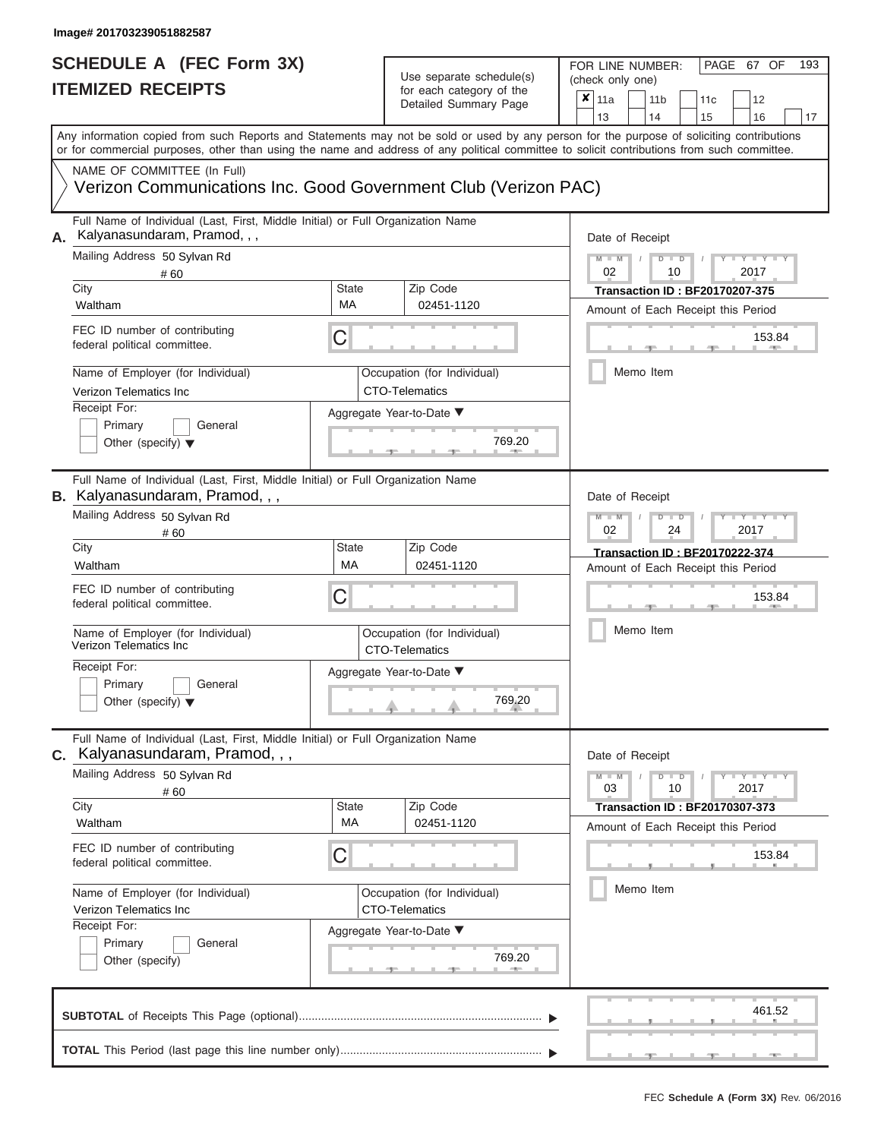# Use separate schedule(s)

| SCHEDULE A (FEC Form 3X)<br><b>ITEMIZED RECEIPTS</b>                                                                                                                                                                                                                                                                                                                                       |                         | Use separate schedule(s)<br>for each category of the<br>Detailed Summary Page                                        | 193<br>FOR LINE NUMBER:<br>PAGE 67 OF<br>(check only one)<br>×<br>11a<br>11 <sub>b</sub><br>12<br>11 <sub>c</sub><br>13<br>14<br>15<br>16<br>17                                                    |
|--------------------------------------------------------------------------------------------------------------------------------------------------------------------------------------------------------------------------------------------------------------------------------------------------------------------------------------------------------------------------------------------|-------------------------|----------------------------------------------------------------------------------------------------------------------|----------------------------------------------------------------------------------------------------------------------------------------------------------------------------------------------------|
| Any information copied from such Reports and Statements may not be sold or used by any person for the purpose of soliciting contributions<br>or for commercial purposes, other than using the name and address of any political committee to solicit contributions from such committee.<br>NAME OF COMMITTEE (In Full)<br>Verizon Communications Inc. Good Government Club (Verizon PAC)   |                         |                                                                                                                      |                                                                                                                                                                                                    |
| Full Name of Individual (Last, First, Middle Initial) or Full Organization Name<br>Kalyanasundaram, Pramod, , ,<br>Mailing Address 50 Sylvan Rd<br># 60<br>City<br>Waltham<br>FEC ID number of contributing<br>federal political committee.<br>Name of Employer (for Individual)<br>Verizon Telematics Inc<br>Receipt For:<br>Primary<br>General<br>Other (specify) $\blacktriangledown$   | State<br>MA<br>С        | Zip Code<br>02451-1120<br>Occupation (for Individual)<br><b>CTO-Telematics</b><br>Aggregate Year-to-Date ▼<br>769.20 | Date of Receipt<br>$M$ – $M$ /<br>$D$ $D$<br>Y TY T<br>02<br>2017<br>10<br><b>Transaction ID: BF20170207-375</b><br>Amount of Each Receipt this Period<br>153.84<br><b>CONTRACTOR</b><br>Memo Item |
| Full Name of Individual (Last, First, Middle Initial) or Full Organization Name<br>B. Kalyanasundaram, Pramod, , ,<br>Mailing Address 50 Sylvan Rd<br>#60<br>City<br>Waltham<br>FEC ID number of contributing<br>federal political committee.<br>Name of Employer (for Individual)<br>Verizon Telematics Inc<br>Receipt For:<br>Primary<br>General<br>Other (specify) $\blacktriangledown$ | State<br><b>MA</b><br>С | Zip Code<br>02451-1120<br>Occupation (for Individual)<br><b>CTO-Telematics</b><br>Aggregate Year-to-Date ▼<br>769.20 | Date of Receipt<br>$M - M$<br>Y Y T<br>$D$ $D$<br>02<br>2017<br>24<br>Transaction ID: BF20170222-374<br>Amount of Each Receipt this Period<br>153.84<br>Memo Item                                  |
| Full Name of Individual (Last, First, Middle Initial) or Full Organization Name<br>C. Kalyanasundaram, Pramod, , ,<br>Mailing Address 50 Sylvan Rd<br>#60<br>City<br>Waltham<br>FEC ID number of contributing<br>federal political committee.<br>Name of Employer (for Individual)<br>Verizon Telematics Inc<br>Receipt For:<br>Primary<br>General<br>Other (specify)                      | State<br>MA<br>С        | Zip Code<br>02451-1120<br>Occupation (for Individual)<br><b>CTO-Telematics</b><br>Aggregate Year-to-Date ▼<br>769.20 | Date of Receipt<br>$M - M$<br>$D$ $D$<br>$Y - Y - Y - Y$<br>03<br>10<br>2017<br><b>Transaction ID: BF20170307-373</b><br>Amount of Each Receipt this Period<br>153.84<br>Memo Item                 |
|                                                                                                                                                                                                                                                                                                                                                                                            |                         |                                                                                                                      | 461.52<br>$-9$<br>$-1$                                                                                                                                                                             |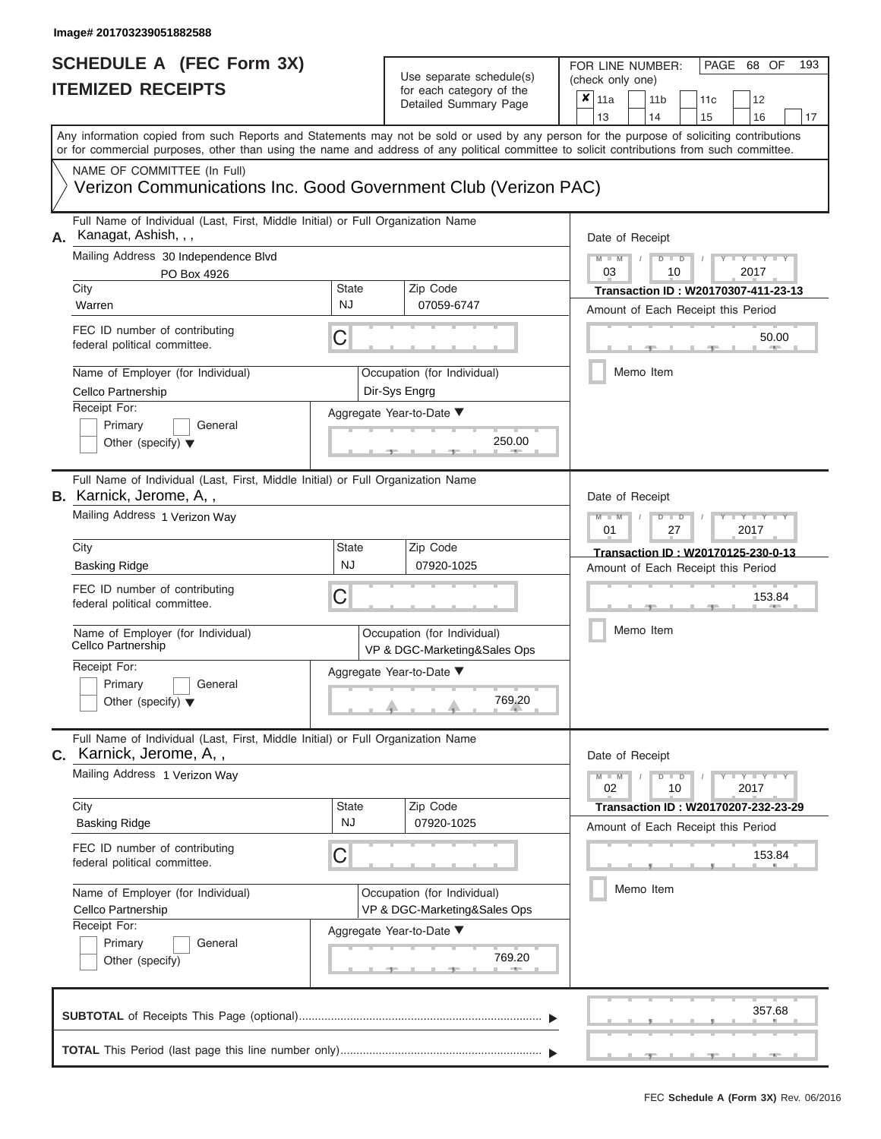| SCHEDULE A (FEC Form 3X)<br><b>ITEMIZED RECEIPTS</b>                                                                                                                                                                                                                                         |                                                                                                                   | Use separate schedule(s)<br>for each category of the<br>Detailed Summary Page | 193<br>FOR LINE NUMBER:<br>PAGE 68 OF<br>(check only one)<br>$\overline{\mathbf{x}}$   11a<br>11 <sub>b</sub><br>12<br>11c                                                                              |
|----------------------------------------------------------------------------------------------------------------------------------------------------------------------------------------------------------------------------------------------------------------------------------------------|-------------------------------------------------------------------------------------------------------------------|-------------------------------------------------------------------------------|---------------------------------------------------------------------------------------------------------------------------------------------------------------------------------------------------------|
|                                                                                                                                                                                                                                                                                              |                                                                                                                   |                                                                               | 13<br>14<br>15<br>16<br>17<br>Any information copied from such Reports and Statements may not be sold or used by any person for the purpose of soliciting contributions                                 |
| or for commercial purposes, other than using the name and address of any political committee to solicit contributions from such committee.                                                                                                                                                   |                                                                                                                   |                                                                               |                                                                                                                                                                                                         |
| NAME OF COMMITTEE (In Full)<br>Verizon Communications Inc. Good Government Club (Verizon PAC)                                                                                                                                                                                                |                                                                                                                   |                                                                               |                                                                                                                                                                                                         |
| Full Name of Individual (Last, First, Middle Initial) or Full Organization Name<br>Kanagat, Ashish, , ,<br>А.<br>Mailing Address 30 Independence Blvd<br>PO Box 4926<br>City<br>Warren<br>FEC ID number of contributing<br>federal political committee.<br>Name of Employer (for Individual) | <b>State</b><br><b>NJ</b><br>C                                                                                    | Zip Code<br>07059-6747<br>Occupation (for Individual)                         | Date of Receipt<br>$M - M$<br>$Y - Y - Y$<br>$D$ $D$<br>$\sqrt{2}$<br>03<br>2017<br>10<br>Transaction ID: W20170307-411-23-13<br>Amount of Each Receipt this Period<br>50.00<br><b>AND</b><br>Memo Item |
| Cellco Partnership<br>Receipt For:<br>Primary<br>General<br>Other (specify) $\blacktriangledown$                                                                                                                                                                                             |                                                                                                                   | Dir-Sys Engrg<br>Aggregate Year-to-Date ▼<br>250.00                           |                                                                                                                                                                                                         |
| Full Name of Individual (Last, First, Middle Initial) or Full Organization Name<br><b>B.</b> Karnick, Jerome, A,,<br>Mailing Address 1 Verizon Way<br>City                                                                                                                                   | Date of Receipt<br>$M - M$<br>$D$ $\Box$ $D$<br>Y I Y I<br>01<br>2017<br>27<br>Transaction ID: W20170125-230-0-13 |                                                                               |                                                                                                                                                                                                         |
| <b>Basking Ridge</b>                                                                                                                                                                                                                                                                         | <b>NJ</b>                                                                                                         | 07920-1025                                                                    | Amount of Each Receipt this Period                                                                                                                                                                      |
| FEC ID number of contributing<br>federal political committee.                                                                                                                                                                                                                                | С                                                                                                                 |                                                                               | 153.84                                                                                                                                                                                                  |
| Name of Employer (for Individual)<br>Cellco Partnership                                                                                                                                                                                                                                      |                                                                                                                   | Occupation (for Individual)<br>VP & DGC-Marketing&Sales Ops                   | Memo Item                                                                                                                                                                                               |
| Receipt For:<br>Primary<br>General<br>Other (specify) $\blacktriangledown$                                                                                                                                                                                                                   |                                                                                                                   | Aggregate Year-to-Date ▼<br>769.20                                            |                                                                                                                                                                                                         |
| Full Name of Individual (Last, First, Middle Initial) or Full Organization Name<br>C. Karnick, Jerome, A,,                                                                                                                                                                                   |                                                                                                                   |                                                                               | Date of Receipt                                                                                                                                                                                         |
| Mailing Address 1 Verizon Way                                                                                                                                                                                                                                                                |                                                                                                                   |                                                                               | $M - M$<br>$D$ $D$<br>$T - Y = Y - T Y$<br>10<br>2017<br>02                                                                                                                                             |
| City<br><b>Basking Ridge</b>                                                                                                                                                                                                                                                                 | <b>State</b><br><b>NJ</b>                                                                                         | Zip Code<br>07920-1025                                                        | Transaction ID: W20170207-232-23-29<br>Amount of Each Receipt this Period                                                                                                                               |
| FEC ID number of contributing<br>federal political committee.                                                                                                                                                                                                                                | С                                                                                                                 |                                                                               | 153.84                                                                                                                                                                                                  |
| Name of Employer (for Individual)<br>Cellco Partnership                                                                                                                                                                                                                                      |                                                                                                                   | Occupation (for Individual)<br>VP & DGC-Marketing&Sales Ops                   | Memo Item                                                                                                                                                                                               |
| Receipt For:<br>Primary<br>General<br>Other (specify)                                                                                                                                                                                                                                        |                                                                                                                   | Aggregate Year-to-Date ▼<br>769.20                                            |                                                                                                                                                                                                         |
|                                                                                                                                                                                                                                                                                              |                                                                                                                   |                                                                               | 357.68                                                                                                                                                                                                  |
|                                                                                                                                                                                                                                                                                              |                                                                                                                   |                                                                               |                                                                                                                                                                                                         |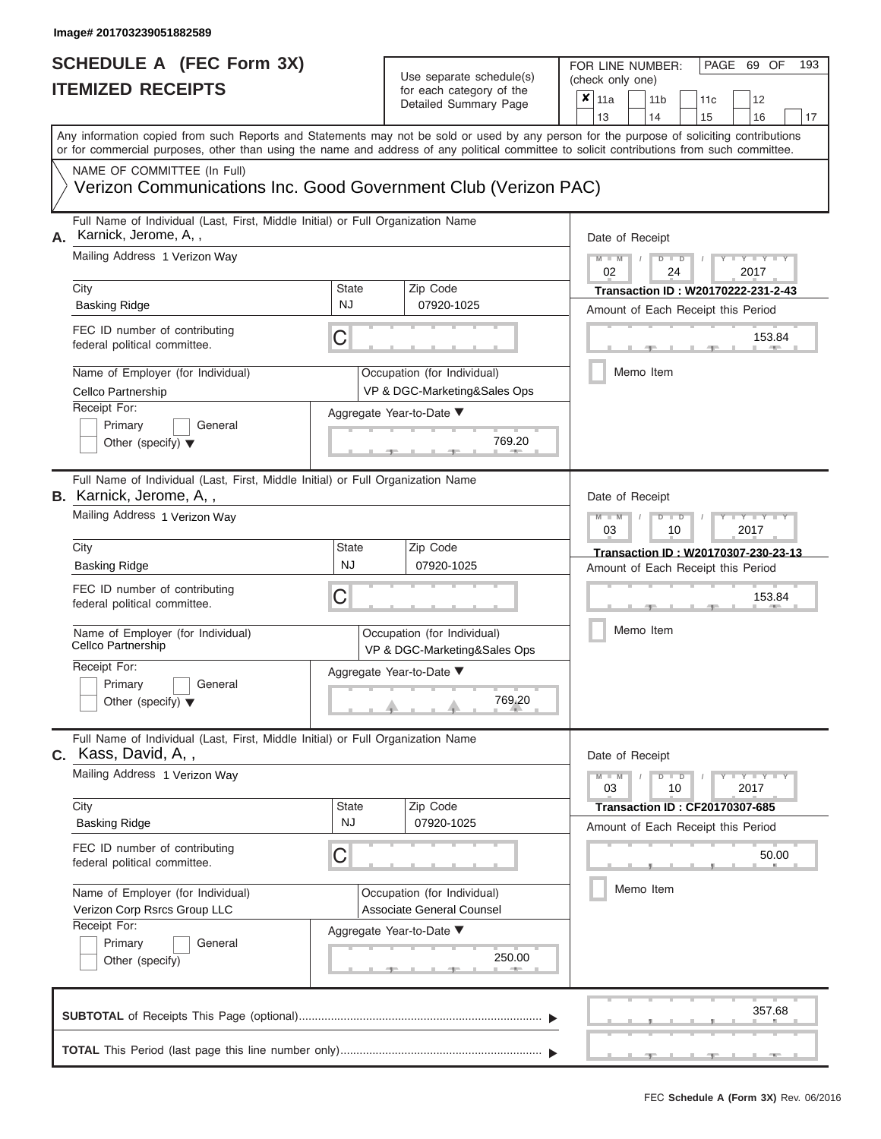| SCHEDULE A (FEC Form 3X)<br><b>ITEMIZED RECEIPTS</b>                                                                                                                                                                                                                                                                                                                                     |                                                                                                                                                               | Use separate schedule(s)<br>for each category of the<br>Detailed Summary Page                                                   | 193<br>FOR LINE NUMBER:<br>PAGE 69 OF<br>(check only one)<br>$\overline{\mathbf{x}}$   11a<br>11 <sub>b</sub><br>11 <sub>c</sub><br>12<br>13<br>14<br>15<br>16<br>17                                      |
|------------------------------------------------------------------------------------------------------------------------------------------------------------------------------------------------------------------------------------------------------------------------------------------------------------------------------------------------------------------------------------------|---------------------------------------------------------------------------------------------------------------------------------------------------------------|---------------------------------------------------------------------------------------------------------------------------------|-----------------------------------------------------------------------------------------------------------------------------------------------------------------------------------------------------------|
| Any information copied from such Reports and Statements may not be sold or used by any person for the purpose of soliciting contributions<br>or for commercial purposes, other than using the name and address of any political committee to solicit contributions from such committee.<br>NAME OF COMMITTEE (In Full)<br>Verizon Communications Inc. Good Government Club (Verizon PAC) |                                                                                                                                                               |                                                                                                                                 |                                                                                                                                                                                                           |
| Full Name of Individual (Last, First, Middle Initial) or Full Organization Name<br>Karnick, Jerome, A,,<br>А.<br>Mailing Address 1 Verizon Way<br>City<br><b>Basking Ridge</b><br>FEC ID number of contributing<br>federal political committee.<br>Name of Employer (for Individual)<br>Cellco Partnership<br>Receipt For:<br>Primary<br>General<br>Other (specify) $\blacktriangledown$ | State<br><b>NJ</b><br>C                                                                                                                                       | Zip Code<br>07920-1025<br>Occupation (for Individual)<br>VP & DGC-Marketing&Sales Ops<br>Aggregate Year-to-Date ▼<br>769.20     | Date of Receipt<br>$M - M$<br>$Y - Y - Y$<br>$D$ $D$<br>$\prime$<br>02<br>24<br>2017<br>Transaction ID: W20170222-231-2-43<br>Amount of Each Receipt this Period<br>153.84<br><b>COLLEGE</b><br>Memo Item |
| Full Name of Individual (Last, First, Middle Initial) or Full Organization Name<br>B. Karnick, Jerome, A,,<br>Mailing Address 1 Verizon Way<br>City<br>Basking Ridge<br>FEC ID number of contributing<br>federal political committee.<br>Name of Employer (for Individual)<br>Cellco Partnership<br>Receipt For:<br>Primary<br>General<br>Other (specify) $\blacktriangledown$           | <b>State</b><br>Zip Code<br><b>NJ</b><br>07920-1025<br>С<br>Occupation (for Individual)<br>VP & DGC-Marketing&Sales Ops<br>Aggregate Year-to-Date ▼<br>769.20 |                                                                                                                                 | Date of Receipt<br>$M - M$<br>Y I Y I<br>$D$ $D$<br>03<br>2017<br>10<br>Transaction ID: W20170307-230-23-13<br>Amount of Each Receipt this Period<br>153.84<br>Memo Item                                  |
| Full Name of Individual (Last, First, Middle Initial) or Full Organization Name<br>C. Kass, David, A,,<br>Mailing Address 1 Verizon Way<br>City<br><b>Basking Ridge</b><br>FEC ID number of contributing<br>federal political committee.<br>Name of Employer (for Individual)<br>Verizon Corp Rsrcs Group LLC<br>Receipt For:<br>Primary<br>General<br>Other (specify)                   | State<br><b>NJ</b><br>С                                                                                                                                       | Zip Code<br>07920-1025<br>Occupation (for Individual)<br><b>Associate General Counsel</b><br>Aggregate Year-to-Date ▼<br>250.00 | Date of Receipt<br>$M - M$<br>$D$ $D$<br>$T - Y - T - Y - T - Y$<br>03<br>10<br>2017<br>Transaction ID: CF20170307-685<br>Amount of Each Receipt this Period<br>50.00<br>Memo Item                        |
|                                                                                                                                                                                                                                                                                                                                                                                          |                                                                                                                                                               |                                                                                                                                 | 357.68                                                                                                                                                                                                    |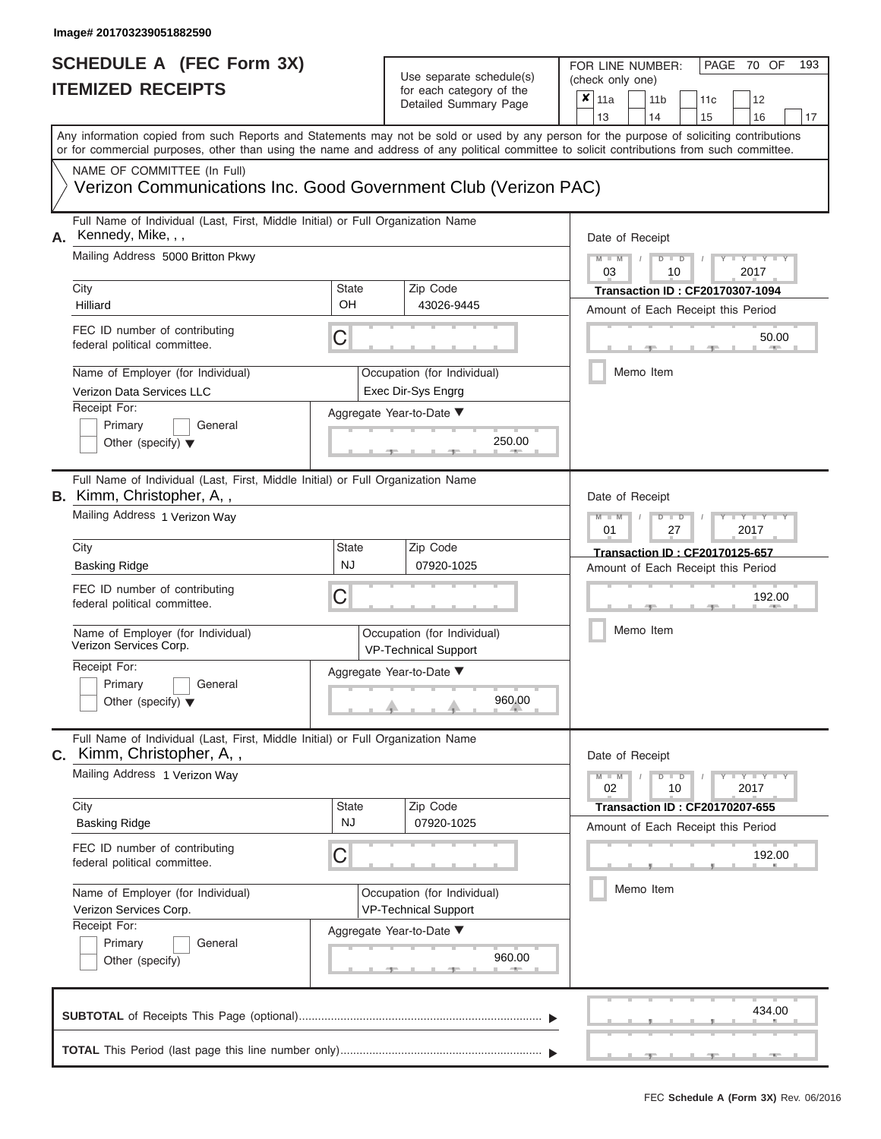| SCHEDULE A (FEC Form 3X)<br><b>ITEMIZED RECEIPTS</b>                                                                                                                                                                                                                                                                                                                                               |                                | Use separate schedule(s)<br>for each category of the<br>Detailed Summary Page                                              | 193<br>FOR LINE NUMBER:<br>PAGE 70 OF<br>(check only one)<br>$\overline{\mathbf{x}}$   11a<br>11 <sub>b</sub><br>12<br>11c<br>13<br>14<br>15<br>16                                                                                  |
|----------------------------------------------------------------------------------------------------------------------------------------------------------------------------------------------------------------------------------------------------------------------------------------------------------------------------------------------------------------------------------------------------|--------------------------------|----------------------------------------------------------------------------------------------------------------------------|-------------------------------------------------------------------------------------------------------------------------------------------------------------------------------------------------------------------------------------|
| Any information copied from such Reports and Statements may not be sold or used by any person for the purpose of soliciting contributions<br>or for commercial purposes, other than using the name and address of any political committee to solicit contributions from such committee.<br>NAME OF COMMITTEE (In Full)                                                                             |                                |                                                                                                                            | 17                                                                                                                                                                                                                                  |
| Verizon Communications Inc. Good Government Club (Verizon PAC)                                                                                                                                                                                                                                                                                                                                     |                                |                                                                                                                            |                                                                                                                                                                                                                                     |
| Full Name of Individual (Last, First, Middle Initial) or Full Organization Name<br>Kennedy, Mike, , ,<br>А.<br>Mailing Address 5000 Britton Pkwy<br>City<br>Hilliard<br>FEC ID number of contributing<br>federal political committee.<br>Name of Employer (for Individual)<br>Verizon Data Services LLC<br>Receipt For:<br>Primary<br>General<br>Other (specify) $\blacktriangledown$              | <b>State</b><br>OH<br>C        | Zip Code<br>43026-9445<br>Occupation (for Individual)<br>Exec Dir-Sys Engrg<br>Aggregate Year-to-Date ▼<br>250.00          | Date of Receipt<br>$M - M$<br>$D$ $D$<br>Y I Y I<br>$\sqrt{2}$<br>03<br>2017<br>10<br><b>Transaction ID: CF20170307-1094</b><br>Amount of Each Receipt this Period<br>50.00<br><b>ARCHITECT</b><br>Memo Item                        |
| Full Name of Individual (Last, First, Middle Initial) or Full Organization Name<br><b>B.</b> Kimm, Christopher, A,,<br>Mailing Address 1 Verizon Way<br>City<br><b>Basking Ridge</b><br>FEC ID number of contributing<br>federal political committee.<br>Name of Employer (for Individual)<br>Verizon Services Corp.<br>Receipt For:<br>Primary<br>General<br>Other (specify) $\blacktriangledown$ | State<br><b>NJ</b><br>С        | Zip Code<br>07920-1025<br>Occupation (for Individual)<br><b>VP-Technical Support</b><br>Aggregate Year-to-Date ▼<br>960.00 | Date of Receipt<br>$M - M$<br>$D$ $\Box$ $D$<br>Y I Y<br>01<br>2017<br>27<br><b>Transaction ID: CF20170125-657</b><br>Amount of Each Receipt this Period<br>192.00<br>Memo Item                                                     |
| Full Name of Individual (Last, First, Middle Initial) or Full Organization Name<br><b>C.</b> Kimm, Christopher, A,,<br>Mailing Address 1 Verizon Way<br>City<br><b>Basking Ridge</b><br>FEC ID number of contributing<br>federal political committee.<br>Name of Employer (for Individual)<br>Verizon Services Corp.<br>Receipt For:<br>Primary<br>General<br>Other (specify)                      | <b>State</b><br><b>NJ</b><br>С | Zip Code<br>07920-1025<br>Occupation (for Individual)<br><b>VP-Technical Support</b><br>Aggregate Year-to-Date ▼<br>960.00 | Date of Receipt<br>$M - M$<br>$D$ $D$<br>$\mathbf{I} = \mathbf{Y} + \mathbf{I} + \mathbf{Y} + \mathbf{I}$<br>10<br>2017<br>02<br><b>Transaction ID: CF20170207-655</b><br>Amount of Each Receipt this Period<br>192.00<br>Memo Item |
|                                                                                                                                                                                                                                                                                                                                                                                                    |                                |                                                                                                                            | 434.00                                                                                                                                                                                                                              |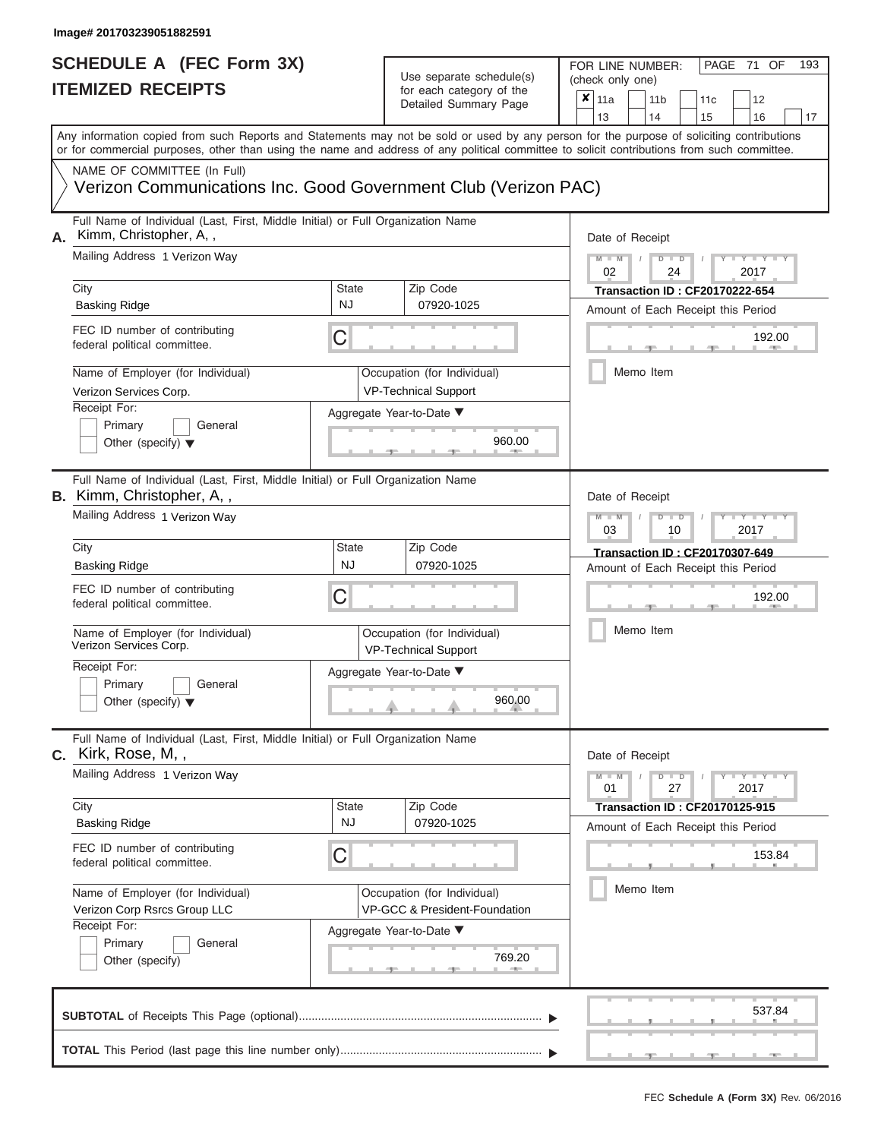# Use separate schedule(s)

FOR LINE NUMBER:<br>(check only one)

PAGE 71 OF 193

| IIEMIZED KEUEIPIS                                                                                                                          |                           | for each category of the<br>Detailed Summary Page            | ×<br>11a<br>12<br>11 <sub>b</sub><br>11c<br>13<br>14<br>15<br>16<br>17                                                                    |
|--------------------------------------------------------------------------------------------------------------------------------------------|---------------------------|--------------------------------------------------------------|-------------------------------------------------------------------------------------------------------------------------------------------|
| or for commercial purposes, other than using the name and address of any political committee to solicit contributions from such committee. |                           |                                                              | Any information copied from such Reports and Statements may not be sold or used by any person for the purpose of soliciting contributions |
| NAME OF COMMITTEE (In Full)<br>Verizon Communications Inc. Good Government Club (Verizon PAC)                                              |                           |                                                              |                                                                                                                                           |
| Full Name of Individual (Last, First, Middle Initial) or Full Organization Name<br>Kimm, Christopher, A,,<br>А.                            |                           |                                                              | Date of Receipt                                                                                                                           |
| Mailing Address 1 Verizon Way                                                                                                              |                           |                                                              | $M - M$<br>Y I Y I<br>$D$ $D$<br>02<br>24<br>2017                                                                                         |
| City<br><b>Basking Ridge</b>                                                                                                               | <b>State</b><br>NJ        | Zip Code<br>07920-1025                                       | <b>Transaction ID: CF20170222-654</b><br>Amount of Each Receipt this Period                                                               |
| FEC ID number of contributing<br>federal political committee.                                                                              | C                         |                                                              | 192.00                                                                                                                                    |
| Name of Employer (for Individual)<br>Verizon Services Corp.                                                                                |                           | Occupation (for Individual)<br><b>VP-Technical Support</b>   | Memo Item                                                                                                                                 |
| Receipt For:<br>Primary<br>General<br>Other (specify) $\blacktriangledown$                                                                 |                           | Aggregate Year-to-Date ▼<br>960.00                           |                                                                                                                                           |
| Full Name of Individual (Last, First, Middle Initial) or Full Organization Name<br><b>B.</b> Kimm, Christopher, A,,                        |                           |                                                              | Date of Receipt                                                                                                                           |
| Mailing Address 1 Verizon Way                                                                                                              |                           |                                                              | $M - M$<br>Y TYT<br>$D$ $D$<br>03<br>10<br>2017                                                                                           |
| City<br><b>Basking Ridge</b>                                                                                                               | State<br><b>NJ</b>        | Zip Code<br>07920-1025                                       | <b>Transaction ID: CF20170307-649</b><br>Amount of Each Receipt this Period                                                               |
| FEC ID number of contributing<br>federal political committee.                                                                              | C                         |                                                              | 192.00                                                                                                                                    |
| Name of Employer (for Individual)<br>Verizon Services Corp.                                                                                |                           | Occupation (for Individual)<br><b>VP-Technical Support</b>   | Memo Item                                                                                                                                 |
| Receipt For:<br>Primary<br>General<br>Other (specify) $\blacktriangledown$                                                                 |                           | Aggregate Year-to-Date ▼<br>960.00                           |                                                                                                                                           |
| Full Name of Individual (Last, First, Middle Initial) or Full Organization Name<br><b>c.</b> Kirk, Rose, M, ,                              |                           |                                                              | Date of Receipt                                                                                                                           |
| Mailing Address 1 Verizon Way                                                                                                              |                           |                                                              | $D$ $\Box$ $D$<br>Y - Y - Y<br>$M - M$<br>27<br>01<br>2017                                                                                |
| City<br><b>Basking Ridge</b>                                                                                                               | <b>State</b><br><b>NJ</b> | Zip Code<br>07920-1025                                       | <b>Transaction ID: CF20170125-915</b><br>Amount of Each Receipt this Period                                                               |
| FEC ID number of contributing<br>federal political committee.                                                                              | $\mathsf C$               |                                                              | 153.84                                                                                                                                    |
| Name of Employer (for Individual)<br>Verizon Corp Rsrcs Group LLC                                                                          |                           | Occupation (for Individual)<br>VP-GCC & President-Foundation | Memo Item                                                                                                                                 |
| Receipt For:<br>Primary<br>General                                                                                                         |                           | Aggregate Year-to-Date ▼                                     |                                                                                                                                           |
| Other (specify)                                                                                                                            |                           | 769.20<br><b>STATISTICS</b>                                  |                                                                                                                                           |
|                                                                                                                                            |                           |                                                              | 537.84                                                                                                                                    |
|                                                                                                                                            |                           |                                                              |                                                                                                                                           |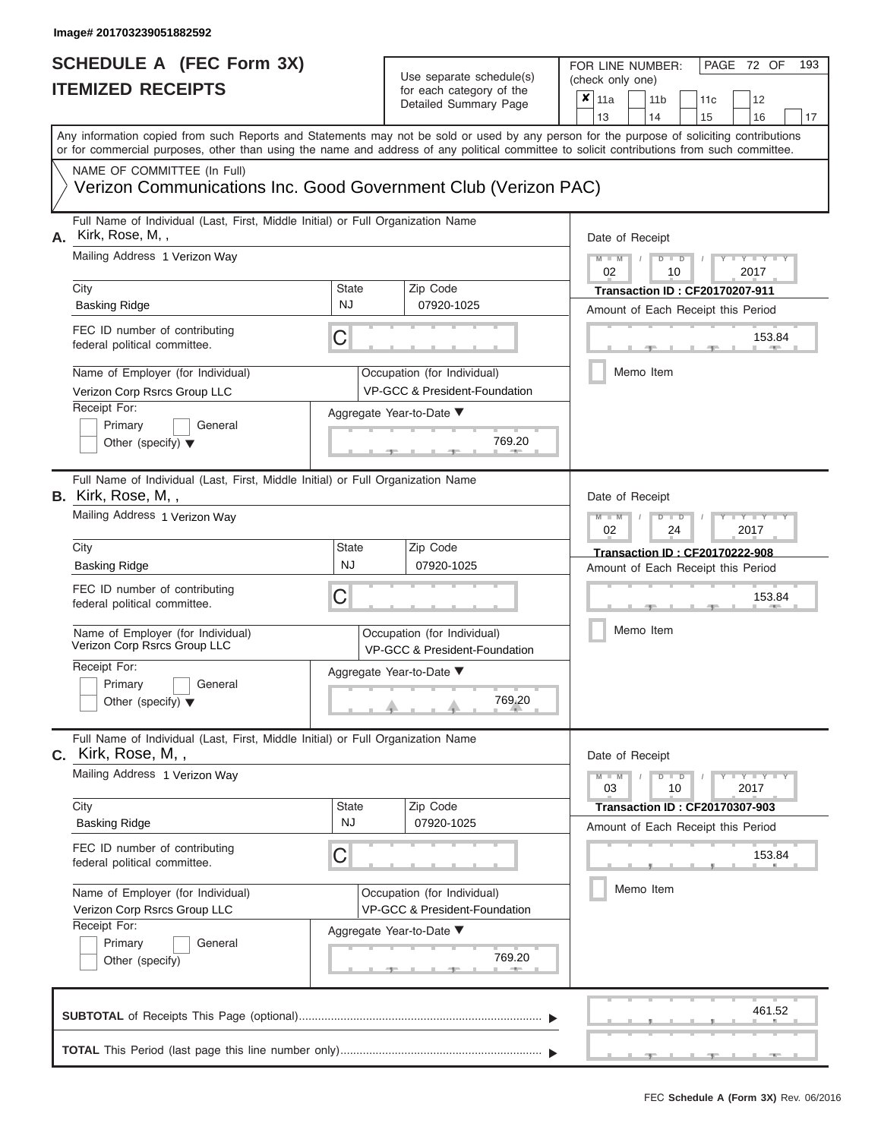| SCHEDULE A (FEC Form 3X)<br><b>ITEMIZED RECEIPTS</b>                                                                                                                                                                                                                                                                                                                                          |                                                                                 | Use separate schedule(s)<br>for each category of the<br>Detailed Summary Page                                                | 193<br>FOR LINE NUMBER:<br>PAGE 72 OF<br>(check only one)<br>$\overline{\mathbf{x}}$   11a<br>11 <sub>b</sub><br>11 <sub>c</sub><br>12                                                                                   |  |  |
|-----------------------------------------------------------------------------------------------------------------------------------------------------------------------------------------------------------------------------------------------------------------------------------------------------------------------------------------------------------------------------------------------|---------------------------------------------------------------------------------|------------------------------------------------------------------------------------------------------------------------------|--------------------------------------------------------------------------------------------------------------------------------------------------------------------------------------------------------------------------|--|--|
| Any information copied from such Reports and Statements may not be sold or used by any person for the purpose of soliciting contributions<br>or for commercial purposes, other than using the name and address of any political committee to solicit contributions from such committee.<br>NAME OF COMMITTEE (In Full)                                                                        |                                                                                 |                                                                                                                              | 13<br>14<br>15<br>16<br>17                                                                                                                                                                                               |  |  |
| Verizon Communications Inc. Good Government Club (Verizon PAC)                                                                                                                                                                                                                                                                                                                                |                                                                                 |                                                                                                                              |                                                                                                                                                                                                                          |  |  |
| Full Name of Individual (Last, First, Middle Initial) or Full Organization Name<br>Kirk, Rose, M,,<br>А.<br>Mailing Address 1 Verizon Way<br>City<br><b>Basking Ridge</b><br>FEC ID number of contributing<br>federal political committee.<br>Name of Employer (for Individual)<br>Verizon Corp Rsrcs Group LLC<br>Receipt For:<br>Primary<br>General<br>Other (specify) $\blacktriangledown$ | State<br><b>NJ</b><br>C                                                         | Zip Code<br>07920-1025<br>Occupation (for Individual)<br>VP-GCC & President-Foundation<br>Aggregate Year-to-Date ▼<br>769.20 | Date of Receipt<br>$M - M$<br>$D$ $D$<br>$Y - Y - I$<br>$\sqrt{2}$<br>02<br>2017<br>10<br><b>Transaction ID: CF20170207-911</b><br>Amount of Each Receipt this Period<br>153.84<br><b>Contract Contract</b><br>Memo Item |  |  |
| Full Name of Individual (Last, First, Middle Initial) or Full Organization Name<br><b>B.</b> Kirk, Rose, M,,<br>Mailing Address 1 Verizon Way<br>City<br>Basking Ridge                                                                                                                                                                                                                        | State<br><b>NJ</b>                                                              | Zip Code<br>07920-1025                                                                                                       | Date of Receipt<br>$M - M$<br>Y I Y I<br>$D$ $D$<br>02<br>2017<br>24<br>Transaction ID: CF20170222-908<br>Amount of Each Receipt this Period                                                                             |  |  |
| FEC ID number of contributing<br>federal political committee.<br>Name of Employer (for Individual)<br>Verizon Corp Rsrcs Group LLC<br>Receipt For:<br>Primary<br>General<br>Other (specify) $\blacktriangledown$                                                                                                                                                                              | С                                                                               | Occupation (for Individual)<br>VP-GCC & President-Foundation<br>Aggregate Year-to-Date ▼<br>769.20                           | 153.84<br>Memo Item                                                                                                                                                                                                      |  |  |
| $c.$ Kirk, Rose, M, ,<br>Mailing Address 1 Verizon Way                                                                                                                                                                                                                                                                                                                                        | Full Name of Individual (Last, First, Middle Initial) or Full Organization Name |                                                                                                                              |                                                                                                                                                                                                                          |  |  |
| City<br><b>Basking Ridge</b><br>FEC ID number of contributing<br>federal political committee.                                                                                                                                                                                                                                                                                                 | State<br><b>NJ</b><br>С                                                         | Zip Code<br>07920-1025                                                                                                       | 03<br>10<br>2017<br>Transaction ID: CF20170307-903<br>Amount of Each Receipt this Period<br>153.84                                                                                                                       |  |  |
| Name of Employer (for Individual)<br>Verizon Corp Rsrcs Group LLC<br>Receipt For:<br>Primary<br>General<br>Other (specify)                                                                                                                                                                                                                                                                    |                                                                                 | Occupation (for Individual)<br>VP-GCC & President-Foundation<br>Aggregate Year-to-Date ▼<br>769.20                           | Memo Item                                                                                                                                                                                                                |  |  |
|                                                                                                                                                                                                                                                                                                                                                                                               |                                                                                 |                                                                                                                              | 461.52                                                                                                                                                                                                                   |  |  |
|                                                                                                                                                                                                                                                                                                                                                                                               |                                                                                 |                                                                                                                              | $-1$                                                                                                                                                                                                                     |  |  |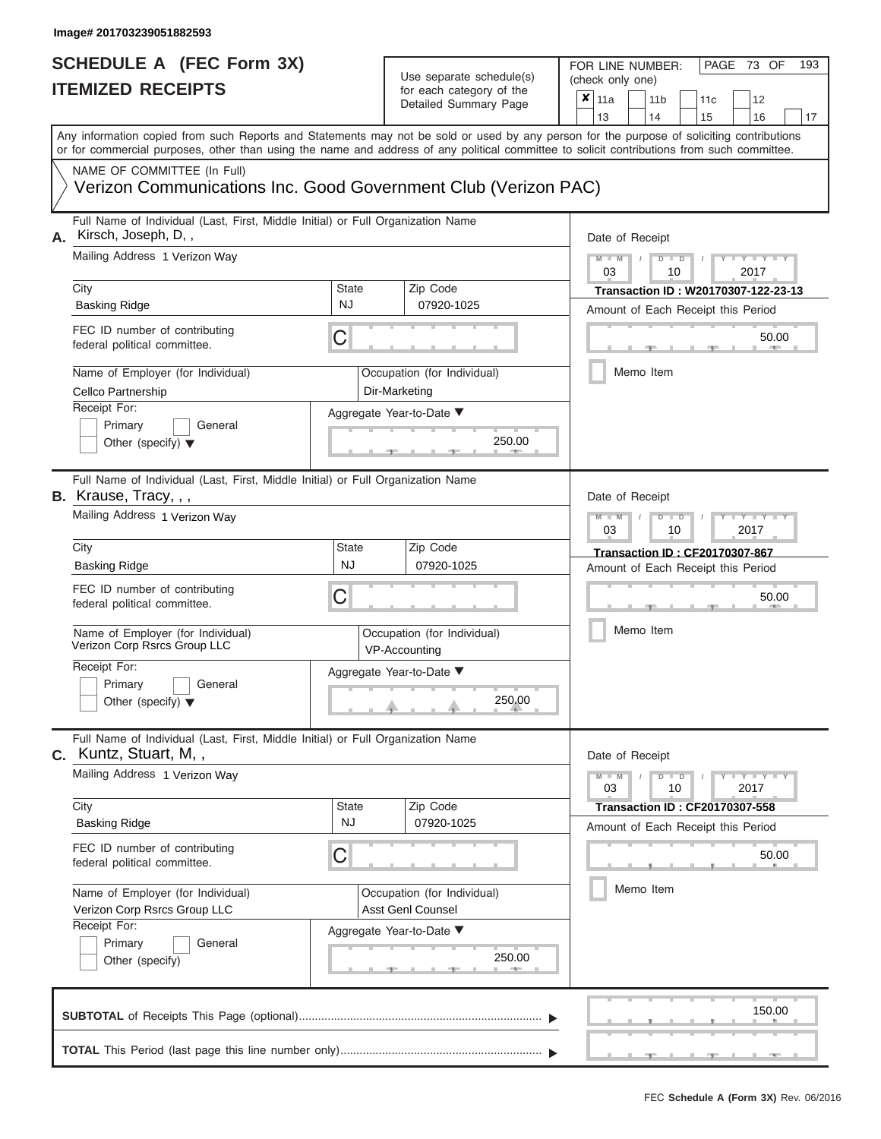## Use separate schedule(s)<br>for each category of the

FOR LINE NUMBER:<br>(check only one)

PAGE 73 OF 193

|                               | IILMILLU INLVLII I                                                                                                                                                                                                                                                                      |                                                  |  | iul caull calcyuly ul lille<br>Detailed Summary Page | ×                                                    | 11a             |           |                                        | 11 <sub>b</sub> | 11c |  | 12                                    |    |  |  |  |  |  |
|-------------------------------|-----------------------------------------------------------------------------------------------------------------------------------------------------------------------------------------------------------------------------------------------------------------------------------------|--------------------------------------------------|--|------------------------------------------------------|------------------------------------------------------|-----------------|-----------|----------------------------------------|-----------------|-----|--|---------------------------------------|----|--|--|--|--|--|
|                               |                                                                                                                                                                                                                                                                                         |                                                  |  |                                                      |                                                      | 13              |           | 14                                     |                 | 15  |  | 16                                    | 17 |  |  |  |  |  |
|                               | Any information copied from such Reports and Statements may not be sold or used by any person for the purpose of soliciting contributions<br>or for commercial purposes, other than using the name and address of any political committee to solicit contributions from such committee. |                                                  |  |                                                      |                                                      |                 |           |                                        |                 |     |  |                                       |    |  |  |  |  |  |
|                               | NAME OF COMMITTEE (In Full)                                                                                                                                                                                                                                                             |                                                  |  |                                                      |                                                      |                 |           |                                        |                 |     |  |                                       |    |  |  |  |  |  |
|                               | Verizon Communications Inc. Good Government Club (Verizon PAC)                                                                                                                                                                                                                          |                                                  |  |                                                      |                                                      |                 |           |                                        |                 |     |  |                                       |    |  |  |  |  |  |
| А.                            |                                                                                                                                                                                                                                                                                         | Date of Receipt                                  |  |                                                      |                                                      |                 |           |                                        |                 |     |  |                                       |    |  |  |  |  |  |
| Mailing Address 1 Verizon Way |                                                                                                                                                                                                                                                                                         |                                                  |  |                                                      |                                                      |                 |           | $M - M$<br>$D$ $D$<br>03<br>2017<br>10 |                 |     |  |                                       |    |  |  |  |  |  |
|                               | City                                                                                                                                                                                                                                                                                    | <b>State</b>                                     |  | Zip Code                                             |                                                      |                 |           |                                        |                 |     |  | Transaction ID: W20170307-122-23-13   |    |  |  |  |  |  |
|                               | <b>Basking Ridge</b>                                                                                                                                                                                                                                                                    | <b>NJ</b>                                        |  | 07920-1025                                           |                                                      |                 |           |                                        |                 |     |  | Amount of Each Receipt this Period    |    |  |  |  |  |  |
|                               | FEC ID number of contributing<br>federal political committee.                                                                                                                                                                                                                           | C                                                |  |                                                      |                                                      |                 |           |                                        |                 |     |  | 50.00                                 |    |  |  |  |  |  |
|                               | Name of Employer (for Individual)<br>Cellco Partnership                                                                                                                                                                                                                                 |                                                  |  | Occupation (for Individual)<br>Dir-Marketing         |                                                      |                 | Memo Item |                                        |                 |     |  |                                       |    |  |  |  |  |  |
|                               | Receipt For:                                                                                                                                                                                                                                                                            |                                                  |  | Aggregate Year-to-Date ▼                             |                                                      |                 |           |                                        |                 |     |  |                                       |    |  |  |  |  |  |
|                               | Primary<br>General<br>Other (specify) $\blacktriangledown$                                                                                                                                                                                                                              |                                                  |  | 250.00                                               |                                                      |                 |           |                                        |                 |     |  |                                       |    |  |  |  |  |  |
|                               | Full Name of Individual (Last, First, Middle Initial) or Full Organization Name<br>B. Krause, Tracy, , ,                                                                                                                                                                                |                                                  |  |                                                      |                                                      | Date of Receipt |           |                                        |                 |     |  |                                       |    |  |  |  |  |  |
|                               | Mailing Address 1 Verizon Way                                                                                                                                                                                                                                                           |                                                  |  |                                                      | $M - M$<br>Y<br>D<br>$\Box$<br>т<br>03<br>2017<br>10 |                 |           |                                        |                 |     |  |                                       |    |  |  |  |  |  |
|                               | City                                                                                                                                                                                                                                                                                    | State                                            |  | Zip Code                                             |                                                      |                 |           |                                        |                 |     |  | <b>Transaction ID: CF20170307-867</b> |    |  |  |  |  |  |
|                               | <b>Basking Ridge</b>                                                                                                                                                                                                                                                                    | <b>NJ</b>                                        |  | 07920-1025                                           |                                                      |                 |           |                                        |                 |     |  | Amount of Each Receipt this Period    |    |  |  |  |  |  |
|                               | FEC ID number of contributing<br>federal political committee.                                                                                                                                                                                                                           | С                                                |  |                                                      |                                                      |                 | 50.00     |                                        |                 |     |  |                                       |    |  |  |  |  |  |
|                               | Name of Employer (for Individual)<br>Verizon Corp Rsrcs Group LLC                                                                                                                                                                                                                       |                                                  |  | Occupation (for Individual)<br>VP-Accounting         |                                                      |                 | Memo Item |                                        |                 |     |  |                                       |    |  |  |  |  |  |
|                               | Receipt For:                                                                                                                                                                                                                                                                            |                                                  |  | Aggregate Year-to-Date ▼                             |                                                      |                 |           |                                        |                 |     |  |                                       |    |  |  |  |  |  |
|                               | Primary<br>General<br>Other (specify) $\blacktriangledown$                                                                                                                                                                                                                              |                                                  |  | 250.00                                               |                                                      |                 |           |                                        |                 |     |  |                                       |    |  |  |  |  |  |
| С.                            | Full Name of Individual (Last, First, Middle Initial) or Full Organization Name<br>Kuntz, Stuart, M,,                                                                                                                                                                                   |                                                  |  |                                                      |                                                      | Date of Receipt |           |                                        |                 |     |  |                                       |    |  |  |  |  |  |
|                               | Mailing Address 1 Verizon Way                                                                                                                                                                                                                                                           |                                                  |  |                                                      |                                                      | $M - M$<br>03   |           |                                        | $D$ $D$<br>10   |     |  | $Y - Y - Y$<br>2017                   |    |  |  |  |  |  |
|                               | City                                                                                                                                                                                                                                                                                    | State                                            |  | Zip Code                                             |                                                      |                 |           |                                        |                 |     |  | <b>Transaction ID: CF20170307-558</b> |    |  |  |  |  |  |
|                               | <b>Basking Ridge</b>                                                                                                                                                                                                                                                                    | <b>NJ</b>                                        |  | 07920-1025                                           |                                                      |                 |           |                                        |                 |     |  | Amount of Each Receipt this Period    |    |  |  |  |  |  |
|                               | FEC ID number of contributing<br>С<br>federal political committee.                                                                                                                                                                                                                      |                                                  |  |                                                      |                                                      |                 |           |                                        |                 |     |  | 50.00                                 |    |  |  |  |  |  |
|                               | Name of Employer (for Individual)<br>Verizon Corp Rsrcs Group LLC                                                                                                                                                                                                                       | Occupation (for Individual)<br>Asst Genl Counsel |  |                                                      |                                                      |                 | Memo Item |                                        |                 |     |  |                                       |    |  |  |  |  |  |
|                               | Receipt For:                                                                                                                                                                                                                                                                            |                                                  |  | Aggregate Year-to-Date ▼                             |                                                      |                 |           |                                        |                 |     |  |                                       |    |  |  |  |  |  |
|                               | Primary<br>General                                                                                                                                                                                                                                                                      |                                                  |  |                                                      |                                                      |                 |           |                                        |                 |     |  |                                       |    |  |  |  |  |  |
|                               | Other (specify)                                                                                                                                                                                                                                                                         |                                                  |  | 250.00                                               |                                                      |                 |           |                                        |                 |     |  |                                       |    |  |  |  |  |  |
|                               |                                                                                                                                                                                                                                                                                         |                                                  |  |                                                      |                                                      |                 |           |                                        |                 |     |  | 150.00                                |    |  |  |  |  |  |
|                               |                                                                                                                                                                                                                                                                                         |                                                  |  |                                                      |                                                      |                 |           |                                        |                 |     |  |                                       |    |  |  |  |  |  |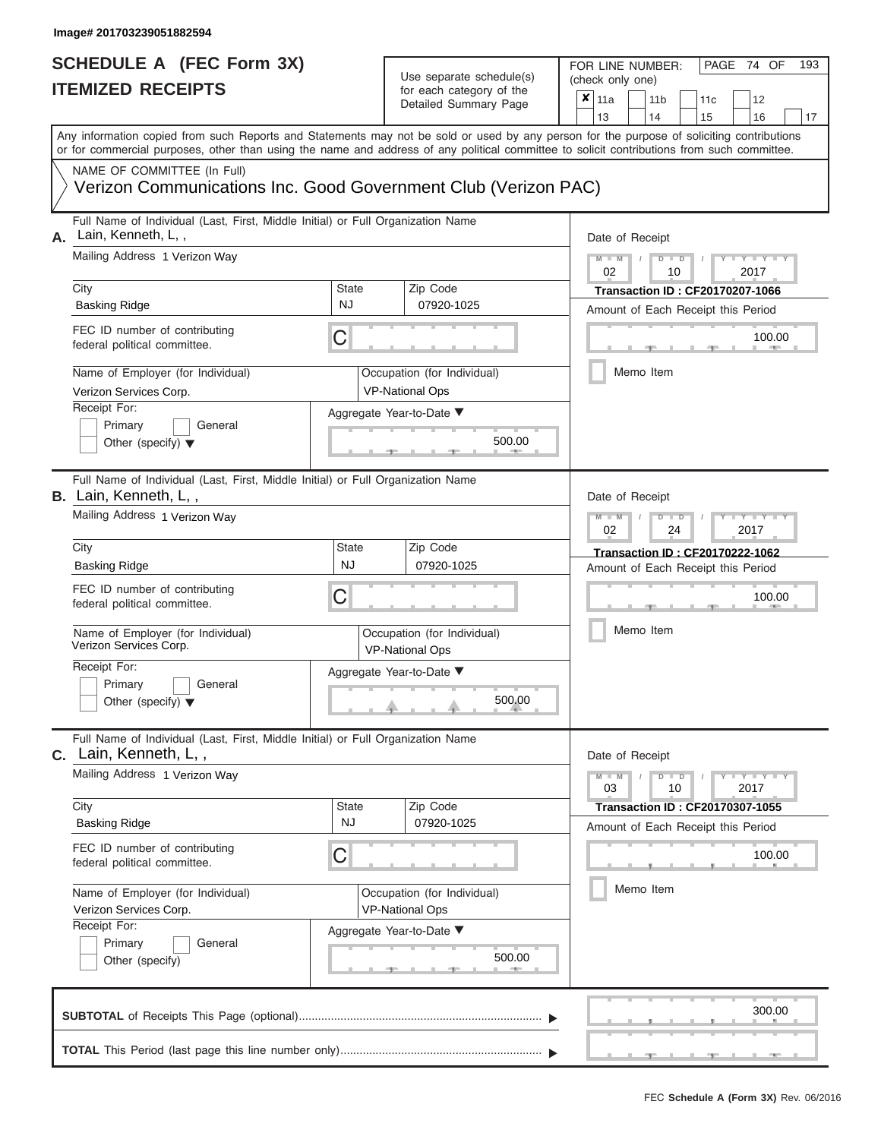| SCHEDULE A (FEC Form 3X)<br><b>ITEMIZED RECEIPTS</b>                                                                                                                                                                                                                                                                                                                                           |                                | Use separate schedule(s)<br>for each category of the<br>Detailed Summary Page                                         | 193<br>FOR LINE NUMBER:<br>PAGE 74 OF<br>(check only one)<br>×<br>11a<br>11 <sub>b</sub><br>12<br>11 <sub>c</sub><br>13<br>14<br>16                                                              |
|------------------------------------------------------------------------------------------------------------------------------------------------------------------------------------------------------------------------------------------------------------------------------------------------------------------------------------------------------------------------------------------------|--------------------------------|-----------------------------------------------------------------------------------------------------------------------|--------------------------------------------------------------------------------------------------------------------------------------------------------------------------------------------------|
| Any information copied from such Reports and Statements may not be sold or used by any person for the purpose of soliciting contributions<br>or for commercial purposes, other than using the name and address of any political committee to solicit contributions from such committee.<br>NAME OF COMMITTEE (In Full)<br>Verizon Communications Inc. Good Government Club (Verizon PAC)       |                                |                                                                                                                       | 15<br>17                                                                                                                                                                                         |
| Full Name of Individual (Last, First, Middle Initial) or Full Organization Name<br>Lain, Kenneth, L,,<br>А.<br>Mailing Address 1 Verizon Way<br>City<br><b>Basking Ridge</b><br>FEC ID number of contributing<br>federal political committee.<br>Name of Employer (for Individual)<br>Verizon Services Corp.<br>Receipt For:<br>Primary<br>General<br>Other (specify) $\blacktriangledown$     | State<br><b>NJ</b><br>С        | Zip Code<br>07920-1025<br>Occupation (for Individual)<br><b>VP-National Ops</b><br>Aggregate Year-to-Date ▼<br>500.00 | Date of Receipt<br>$M - M$<br>$D$ $D$<br>Y I Y I<br>$\sqrt{ }$<br>02<br>2017<br>10<br>Transaction ID: CF20170207-1066<br>Amount of Each Receipt this Period<br>100.00<br><b>AND</b><br>Memo Item |
| Full Name of Individual (Last, First, Middle Initial) or Full Organization Name<br><b>B.</b> Lain, Kenneth, L,,<br>Mailing Address 1 Verizon Way<br>City<br><b>Basking Ridge</b><br>FEC ID number of contributing<br>federal political committee.<br>Name of Employer (for Individual)<br>Verizon Services Corp.<br>Receipt For:<br>Primary<br>General<br>Other (specify) $\blacktriangledown$ | State<br><b>NJ</b><br>С        | Zip Code<br>07920-1025<br>Occupation (for Individual)<br><b>VP-National Ops</b><br>Aggregate Year-to-Date ▼<br>500.00 | Date of Receipt<br>$M - M$<br>$D$ $D$<br>Y TY<br>02<br>2017<br>24<br>Transaction ID: CF20170222-1062<br>Amount of Each Receipt this Period<br>100.00<br>Memo Item                                |
| Full Name of Individual (Last, First, Middle Initial) or Full Organization Name<br>C. Lain, Kenneth, L,,<br>Mailing Address 1 Verizon Way<br>City<br><b>Basking Ridge</b><br>FEC ID number of contributing<br>federal political committee.<br>Name of Employer (for Individual)<br>Verizon Services Corp.<br>Receipt For:<br>Primary<br>General<br>Other (specify)                             | <b>State</b><br><b>NJ</b><br>С | Zip Code<br>07920-1025<br>Occupation (for Individual)<br><b>VP-National Ops</b><br>Aggregate Year-to-Date ▼<br>500.00 | Date of Receipt<br>$M - M$<br>$D$ $D$<br>$T - Y = Y - T Y$<br>03<br>10<br>2017<br><b>Transaction ID: CF20170307-1055</b><br>Amount of Each Receipt this Period<br>100.00<br>Memo Item            |
|                                                                                                                                                                                                                                                                                                                                                                                                |                                |                                                                                                                       | 300.00<br>$-1$<br>$-1$                                                                                                                                                                           |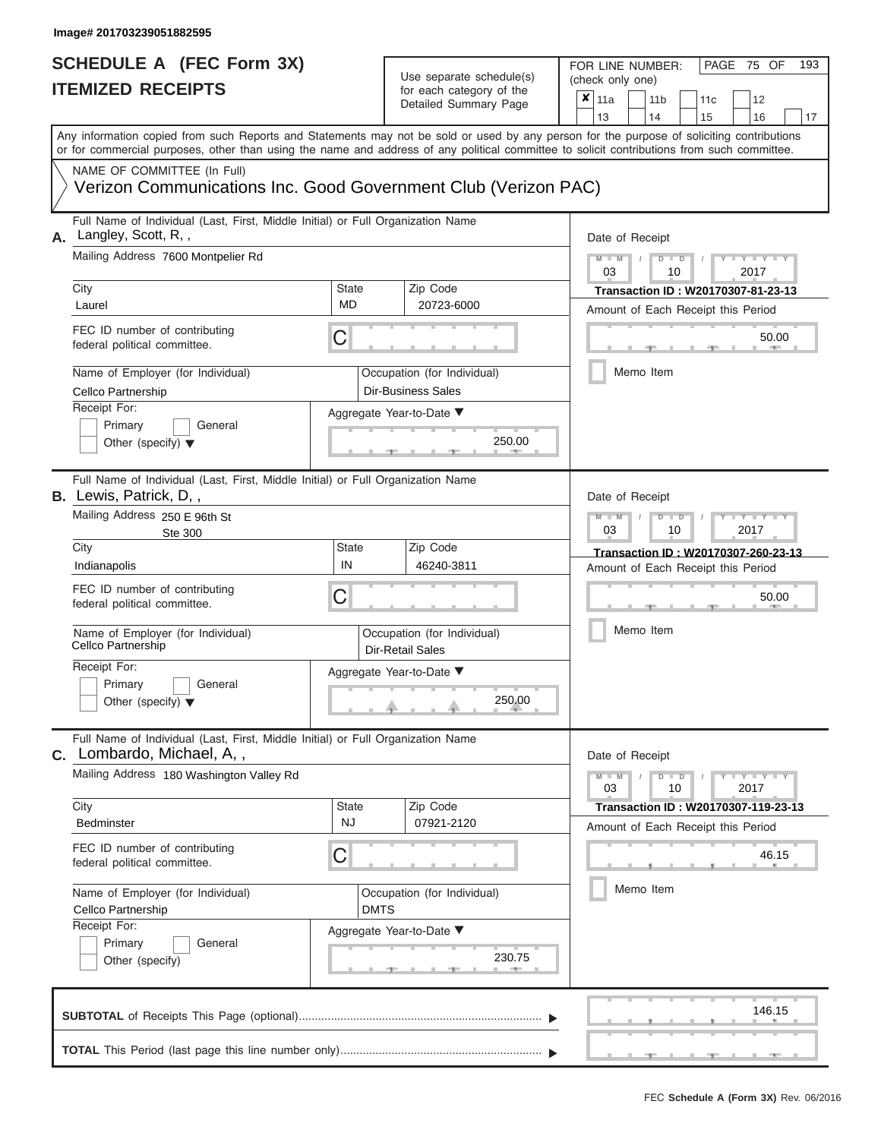| SCHEDULE A (FEC Form 3X)<br><b>ITEMIZED RECEIPTS</b>                                                                                                                                                                                                                                                                                                                                           |                                        | Use separate schedule(s)<br>for each category of the<br>Detailed Summary Page                                            | 193<br>FOR LINE NUMBER:<br>PAGE 75 OF<br>(check only one)<br>$\overline{\mathbf{x}}$   11a<br>11 <sub>b</sub><br>11 <sub>c</sub><br>12<br>13<br>14<br>15<br>16<br>17                        |
|------------------------------------------------------------------------------------------------------------------------------------------------------------------------------------------------------------------------------------------------------------------------------------------------------------------------------------------------------------------------------------------------|----------------------------------------|--------------------------------------------------------------------------------------------------------------------------|---------------------------------------------------------------------------------------------------------------------------------------------------------------------------------------------|
| Any information copied from such Reports and Statements may not be sold or used by any person for the purpose of soliciting contributions<br>or for commercial purposes, other than using the name and address of any political committee to solicit contributions from such committee.<br>NAME OF COMMITTEE (In Full)<br>Verizon Communications Inc. Good Government Club (Verizon PAC)       |                                        |                                                                                                                          |                                                                                                                                                                                             |
| Full Name of Individual (Last, First, Middle Initial) or Full Organization Name<br>Langley, Scott, R,,<br>А.<br>Mailing Address 7600 Montpelier Rd<br>City<br>Laurel<br>FEC ID number of contributing<br>federal political committee.<br>Name of Employer (for Individual)<br>Cellco Partnership<br>Receipt For:<br>Primary<br>General<br>Other (specify) $\blacktriangledown$                 | State<br>MD.<br>C                      | Zip Code<br>20723-6000<br>Occupation (for Individual)<br><b>Dir-Business Sales</b><br>Aggregate Year-to-Date ▼<br>250.00 | Date of Receipt<br>$M - M$ /<br>$Y - Y - Y$<br>$D$ $D$<br>03<br>2017<br>10<br>Transaction ID: W20170307-81-23-13<br>Amount of Each Receipt this Period<br>50.00<br><b>AND </b><br>Memo Item |
| Full Name of Individual (Last, First, Middle Initial) or Full Organization Name<br><b>B.</b> Lewis, Patrick, D,,<br>Mailing Address 250 E 96th St<br>Ste 300<br>City<br>Indianapolis<br>FEC ID number of contributing<br>federal political committee.<br>Name of Employer (for Individual)<br>Cellco Partnership<br>Receipt For:<br>Primary<br>General<br>Other (specify) $\blacktriangledown$ | State<br>IN<br>С                       | Zip Code<br>46240-3811<br>Occupation (for Individual)<br>Dir-Retail Sales<br>Aggregate Year-to-Date ▼<br>250.00          | Date of Receipt<br>$M - M$<br>Y TY<br>$D$ $D$<br>03<br>2017<br>10<br>Transaction ID: W20170307-260-23-13<br>Amount of Each Receipt this Period<br>50.00<br>Memo Item                        |
| Full Name of Individual (Last, First, Middle Initial) or Full Organization Name<br>C. Lombardo, Michael, A,,<br>Mailing Address 180 Washington Valley Rd<br>City<br><b>Bedminster</b><br>FEC ID number of contributing<br>federal political committee.<br>Name of Employer (for Individual)<br>Cellco Partnership<br>Receipt For:<br>Primary<br>General<br>Other (specify)                     | State<br><b>NJ</b><br>С<br><b>DMTS</b> | Zip Code<br>07921-2120<br>Occupation (for Individual)<br>Aggregate Year-to-Date ▼<br>230.75                              | Date of Receipt<br>$M - M$<br>$D$ $D$<br>$  Y$ $  Y$ $  Y$<br>03<br>10<br>2017<br>Transaction ID : W20170307-119-23-13<br>Amount of Each Receipt this Period<br>46.15<br>Memo Item          |
|                                                                                                                                                                                                                                                                                                                                                                                                |                                        |                                                                                                                          | 146.15<br><b>Allen</b>                                                                                                                                                                      |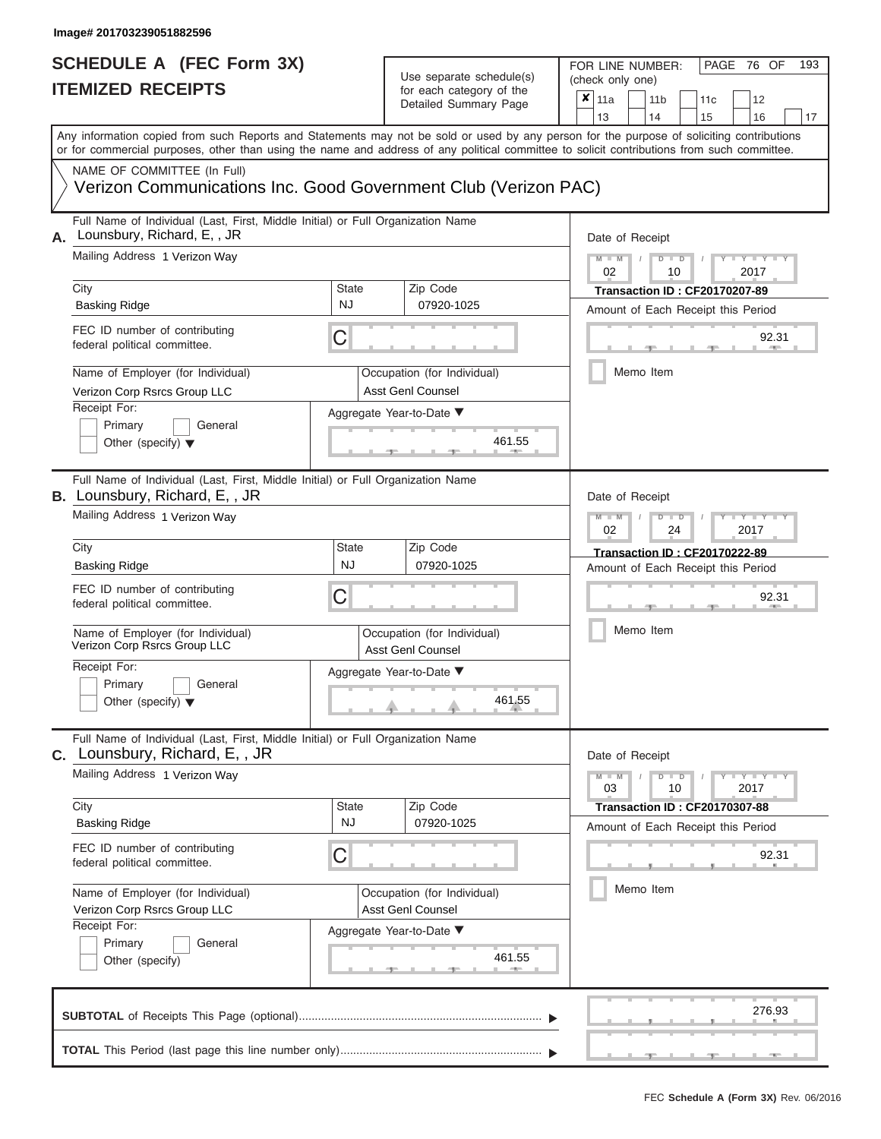## Use separate schedule(s)  $\frac{1}{\pi}$  for each category of the

FOR LINE NUMBER:<br>(check only one)

PAGE 76 OF 193

| IIEMIZEU REVEIFIJ |                                                                                                                                                                                                                                                                                         | for each category of the                                | ×                                                       | 11a                                                                        |                                                 | 11 <sub>b</sub> |    | 11c           |                                                                            | 12                      |        |    |  |
|-------------------|-----------------------------------------------------------------------------------------------------------------------------------------------------------------------------------------------------------------------------------------------------------------------------------------|---------------------------------------------------------|---------------------------------------------------------|----------------------------------------------------------------------------|-------------------------------------------------|-----------------|----|---------------|----------------------------------------------------------------------------|-------------------------|--------|----|--|
|                   |                                                                                                                                                                                                                                                                                         |                                                         | Detailed Summary Page                                   |                                                                            | 13                                              |                 | 14 |               | 15                                                                         |                         | 16     | 17 |  |
|                   | Any information copied from such Reports and Statements may not be sold or used by any person for the purpose of soliciting contributions<br>or for commercial purposes, other than using the name and address of any political committee to solicit contributions from such committee. |                                                         |                                                         |                                                                            |                                                 |                 |    |               |                                                                            |                         |        |    |  |
|                   | NAME OF COMMITTEE (In Full)<br>Verizon Communications Inc. Good Government Club (Verizon PAC)                                                                                                                                                                                           |                                                         |                                                         |                                                                            |                                                 |                 |    |               |                                                                            |                         |        |    |  |
| А.                | Full Name of Individual (Last, First, Middle Initial) or Full Organization Name<br>Lounsbury, Richard, E, , JR                                                                                                                                                                          |                                                         |                                                         | Date of Receipt                                                            |                                                 |                 |    |               |                                                                            |                         |        |    |  |
|                   | Mailing Address 1 Verizon Way                                                                                                                                                                                                                                                           |                                                         |                                                         |                                                                            | $M - M$<br>Y TYT<br>$D$ $D$<br>02<br>10<br>2017 |                 |    |               |                                                                            |                         |        |    |  |
|                   | City<br><b>State</b><br><b>NJ</b><br><b>Basking Ridge</b>                                                                                                                                                                                                                               |                                                         | Zip Code<br>07920-1025                                  | <b>Transaction ID: CF20170207-89</b><br>Amount of Each Receipt this Period |                                                 |                 |    |               |                                                                            |                         |        |    |  |
|                   | FEC ID number of contributing<br>C<br>federal political committee.                                                                                                                                                                                                                      |                                                         |                                                         |                                                                            |                                                 |                 |    |               |                                                                            |                         | 92.31  |    |  |
|                   | Name of Employer (for Individual)<br>Verizon Corp Rsrcs Group LLC                                                                                                                                                                                                                       |                                                         | Occupation (for Individual)<br><b>Asst Genl Counsel</b> |                                                                            |                                                 | Memo Item       |    |               |                                                                            |                         |        |    |  |
|                   | Receipt For:<br>Primary<br>General<br>Other (specify) $\blacktriangledown$                                                                                                                                                                                                              |                                                         | Aggregate Year-to-Date ▼<br>461.55                      |                                                                            |                                                 |                 |    |               |                                                                            |                         |        |    |  |
|                   | Full Name of Individual (Last, First, Middle Initial) or Full Organization Name<br><b>B.</b> Lounsbury, Richard, E., JR                                                                                                                                                                 |                                                         |                                                         |                                                                            | Date of Receipt                                 |                 |    |               |                                                                            |                         |        |    |  |
|                   | Mailing Address 1 Verizon Way                                                                                                                                                                                                                                                           |                                                         |                                                         | $M - M$<br><b>LEY LEY LE</b><br>$D$ $D$<br>02<br>24<br>2017                |                                                 |                 |    |               |                                                                            |                         |        |    |  |
|                   | City<br>State<br><b>NJ</b><br><b>Basking Ridge</b>                                                                                                                                                                                                                                      |                                                         | Zip Code<br>07920-1025                                  |                                                                            |                                                 |                 |    |               | <b>Transaction ID: CF20170222-89</b><br>Amount of Each Receipt this Period |                         |        |    |  |
|                   | FEC ID number of contributing<br>С<br>federal political committee.                                                                                                                                                                                                                      |                                                         |                                                         |                                                                            |                                                 |                 |    |               |                                                                            | 92.31                   |        |    |  |
|                   | Name of Employer (for Individual)<br>Verizon Corp Rsrcs Group LLC                                                                                                                                                                                                                       |                                                         | Occupation (for Individual)<br><b>Asst Genl Counsel</b> |                                                                            | Memo Item                                       |                 |    |               |                                                                            |                         |        |    |  |
|                   | Receipt For:<br>Primary<br>General<br>Other (specify) $\blacktriangledown$                                                                                                                                                                                                              |                                                         | Aggregate Year-to-Date ▼<br>461.55                      |                                                                            |                                                 |                 |    |               |                                                                            |                         |        |    |  |
|                   | Full Name of Individual (Last, First, Middle Initial) or Full Organization Name<br><b>C.</b> Lounsbury, Richard, $E,$ , JR                                                                                                                                                              |                                                         |                                                         |                                                                            | Date of Receipt                                 |                 |    |               |                                                                            |                         |        |    |  |
|                   | Mailing Address 1 Verizon Way                                                                                                                                                                                                                                                           |                                                         |                                                         |                                                                            | $M - M$<br>03                                   |                 |    | $D$ $D$<br>10 |                                                                            | $Y = Y = Y + Y$<br>2017 |        |    |  |
|                   | City<br><b>State</b><br><b>NJ</b><br><b>Basking Ridge</b>                                                                                                                                                                                                                               |                                                         | Zip Code<br>07920-1025                                  |                                                                            |                                                 |                 |    |               | <b>Transaction ID: CF20170307-88</b>                                       |                         |        |    |  |
|                   | FEC ID number of contributing<br>C<br>federal political committee.                                                                                                                                                                                                                      |                                                         |                                                         | Amount of Each Receipt this Period<br>92.31                                |                                                 |                 |    |               |                                                                            |                         |        |    |  |
|                   | Name of Employer (for Individual)<br>Verizon Corp Rsrcs Group LLC                                                                                                                                                                                                                       | Occupation (for Individual)<br><b>Asst Genl Counsel</b> |                                                         |                                                                            | Memo Item                                       |                 |    |               |                                                                            |                         |        |    |  |
|                   | Receipt For:<br>Primary<br>General<br>Other (specify)                                                                                                                                                                                                                                   |                                                         | Aggregate Year-to-Date ▼<br>461.55<br>$-$               |                                                                            |                                                 |                 |    |               |                                                                            |                         |        |    |  |
|                   |                                                                                                                                                                                                                                                                                         |                                                         |                                                         |                                                                            |                                                 |                 |    |               |                                                                            |                         | 276.93 |    |  |
|                   |                                                                                                                                                                                                                                                                                         |                                                         |                                                         |                                                                            |                                                 |                 |    |               |                                                                            |                         |        |    |  |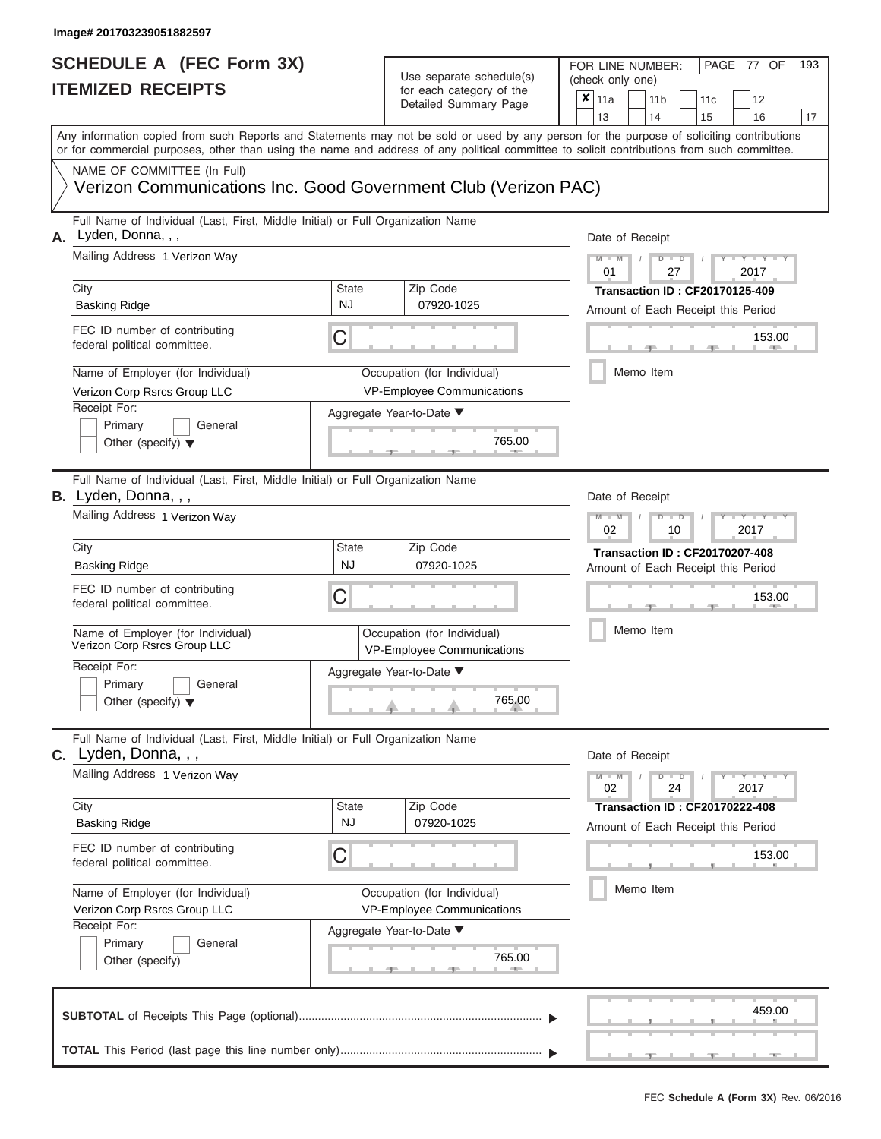| SCHEDULE A (FEC Form 3X)<br><b>ITEMIZED RECEIPTS</b>                                                                                                                                                                                                                                                                                                                                            |                                | Use separate schedule(s)<br>for each category of the<br>Detailed Summary Page                                                    | 193<br>FOR LINE NUMBER:<br>PAGE 77 OF<br>(check only one)<br>$\overline{\mathsf{x}}$   11a<br>11 <sub>b</sub><br>11 <sub>c</sub><br>12<br>13<br>14<br>15<br>16<br>17                                       |
|-------------------------------------------------------------------------------------------------------------------------------------------------------------------------------------------------------------------------------------------------------------------------------------------------------------------------------------------------------------------------------------------------|--------------------------------|----------------------------------------------------------------------------------------------------------------------------------|------------------------------------------------------------------------------------------------------------------------------------------------------------------------------------------------------------|
| Any information copied from such Reports and Statements may not be sold or used by any person for the purpose of soliciting contributions<br>or for commercial purposes, other than using the name and address of any political committee to solicit contributions from such committee.<br>NAME OF COMMITTEE (In Full)<br>Verizon Communications Inc. Good Government Club (Verizon PAC)        |                                |                                                                                                                                  |                                                                                                                                                                                                            |
| Full Name of Individual (Last, First, Middle Initial) or Full Organization Name<br>Lyden, Donna, , ,<br>А.<br>Mailing Address 1 Verizon Way<br>City<br><b>Basking Ridge</b><br>FEC ID number of contributing<br>federal political committee.<br>Name of Employer (for Individual)<br>Verizon Corp Rsrcs Group LLC<br>Receipt For:<br>Primary<br>General<br>Other (specify) $\blacktriangledown$ | State<br><b>NJ</b><br>C        | Zip Code<br>07920-1025<br>Occupation (for Individual)<br>VP-Employee Communications<br>Aggregate Year-to-Date ▼<br>765.00        | Date of Receipt<br>$M - M$<br>$D$ $D$<br>$Y - Y - I$<br>$\sqrt{ }$<br>01<br>27<br>2017<br><b>Transaction ID: CF20170125-409</b><br>Amount of Each Receipt this Period<br>153.00<br><b>AND</b><br>Memo Item |
| Full Name of Individual (Last, First, Middle Initial) or Full Organization Name<br><b>B.</b> Lyden, Donna, , ,<br>Mailing Address 1 Verizon Way<br>City<br>Basking Ridge<br>FEC ID number of contributing<br>federal political committee.<br>Name of Employer (for Individual)<br>Verizon Corp Rsrcs Group LLC<br>Receipt For:<br>Primary<br>General<br>Other (specify) $\blacktriangledown$    | <b>State</b><br><b>NJ</b><br>С | Zip Code<br>07920-1025<br>Occupation (for Individual)<br>VP-Employee Communications<br>Aggregate Year-to-Date ▼<br>765.00        | Date of Receipt<br>$M - M$<br>Y Y I<br>$D$ $D$<br>02<br>2017<br>10<br>Transaction ID: CF20170207-408<br>Amount of Each Receipt this Period<br>153.00<br>Memo Item                                          |
| Full Name of Individual (Last, First, Middle Initial) or Full Organization Name<br>C. Lyden, Donna, , ,<br>Mailing Address 1 Verizon Way<br>City<br><b>Basking Ridge</b><br>FEC ID number of contributing<br>federal political committee.<br>Name of Employer (for Individual)<br>Verizon Corp Rsrcs Group LLC<br>Receipt For:<br>Primary<br>General<br>Other (specify)                         | State<br><b>NJ</b><br>С        | Zip Code<br>07920-1025<br>Occupation (for Individual)<br><b>VP-Employee Communications</b><br>Aggregate Year-to-Date ▼<br>765.00 | Date of Receipt<br>$M - M$<br>$D$ $D$<br>$T - Y - T - Y - T - Y$<br>02<br>24<br>2017<br>Transaction ID: CF20170222-408<br>Amount of Each Receipt this Period<br>153.00<br>Memo Item                        |
|                                                                                                                                                                                                                                                                                                                                                                                                 |                                |                                                                                                                                  | 459.00                                                                                                                                                                                                     |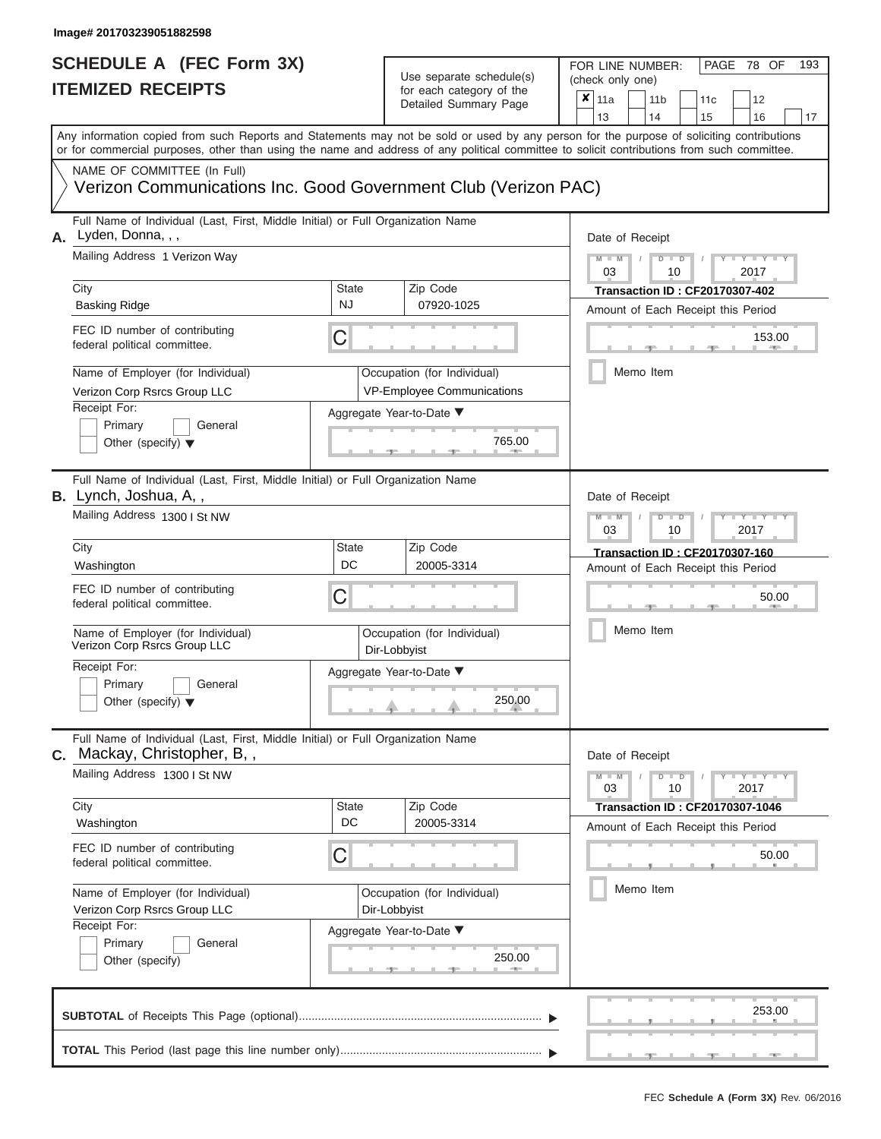| SCHEDULE A (FEC Form 3X)<br><b>ITEMIZED RECEIPTS</b>                                                                                                                                                                                                                                                                                                                                            |                                | Use separate schedule(s)<br>for each category of the<br>Detailed Summary Page                                                    | 193<br>FOR LINE NUMBER:<br>PAGE 78 OF<br>(check only one)<br>$\boldsymbol{x}$<br>11a<br>11 <sub>b</sub><br>12<br>11c<br>13<br>14<br>15<br>16<br>17                                                                                                                   |
|-------------------------------------------------------------------------------------------------------------------------------------------------------------------------------------------------------------------------------------------------------------------------------------------------------------------------------------------------------------------------------------------------|--------------------------------|----------------------------------------------------------------------------------------------------------------------------------|----------------------------------------------------------------------------------------------------------------------------------------------------------------------------------------------------------------------------------------------------------------------|
| or for commercial purposes, other than using the name and address of any political committee to solicit contributions from such committee.<br>NAME OF COMMITTEE (In Full)<br>Verizon Communications Inc. Good Government Club (Verizon PAC)                                                                                                                                                     |                                |                                                                                                                                  | Any information copied from such Reports and Statements may not be sold or used by any person for the purpose of soliciting contributions                                                                                                                            |
| Full Name of Individual (Last, First, Middle Initial) or Full Organization Name<br>Lyden, Donna, , ,<br>А.<br>Mailing Address 1 Verizon Wav<br>City<br><b>Basking Ridge</b><br>FEC ID number of contributing<br>federal political committee.<br>Name of Employer (for Individual)<br>Verizon Corp Rsrcs Group LLC<br>Receipt For:<br>Primary<br>General<br>Other (specify) $\blacktriangledown$ | <b>State</b><br><b>NJ</b><br>C | Zip Code<br>07920-1025<br>Occupation (for Individual)<br><b>VP-Employee Communications</b><br>Aggregate Year-to-Date ▼<br>765.00 | Date of Receipt<br>$M - M$<br>$D$ $D$<br>$Y - Y - I$<br>$\sqrt{ }$<br>03<br>10<br>2017<br><b>Transaction ID: CF20170307-402</b><br>Amount of Each Receipt this Period<br>153.00<br><b>AND</b><br>Memo Item                                                           |
| Full Name of Individual (Last, First, Middle Initial) or Full Organization Name<br><b>B.</b> Lynch, Joshua, A,,<br>Mailing Address 1300 I St NW<br>City<br>Washington<br>FEC ID number of contributing<br>federal political committee.<br>Name of Employer (for Individual)<br>Verizon Corp Rsrcs Group LLC<br>Receipt For:<br>Primary<br>General<br>Other (specify) $\blacktriangledown$       | State<br>DC<br>С               | Zip Code<br>20005-3314<br>Occupation (for Individual)<br>Dir-Lobbyist<br>Aggregate Year-to-Date ▼<br>250.00                      | Date of Receipt<br>$M - M$<br>$Y - I - Y$<br>$D$ $D$<br>03<br>2017<br>10<br>Transaction ID: CF20170307-160<br>Amount of Each Receipt this Period<br>50.00<br>Memo Item                                                                                               |
| Full Name of Individual (Last, First, Middle Initial) or Full Organization Name<br><b>C.</b> Mackay, Christopher, B,,<br>Mailing Address 1300 I St NW<br>City<br>Washington<br>FEC ID number of contributing<br>federal political committee.<br>Name of Employer (for Individual)<br>Verizon Corp Rsrcs Group LLC<br>Receipt For:<br>Primary<br>General<br>Other (specify)                      | State<br>DC<br>С               | Zip Code<br>20005-3314<br>Occupation (for Individual)<br>Dir-Lobbyist<br>Aggregate Year-to-Date ▼<br>250.00                      | Date of Receipt<br>$M - M$<br>$D$ $D$<br>$\blacksquare \blacksquare \mathsf{Y} \mathrel{\sqsubseteq} \mathsf{Y} \mathrel{\sqsubseteq} \mathsf{Y}$<br>10<br>2017<br>03<br>Transaction ID: CF20170307-1046<br>Amount of Each Receipt this Period<br>50.00<br>Memo Item |
|                                                                                                                                                                                                                                                                                                                                                                                                 |                                |                                                                                                                                  | 253.00                                                                                                                                                                                                                                                               |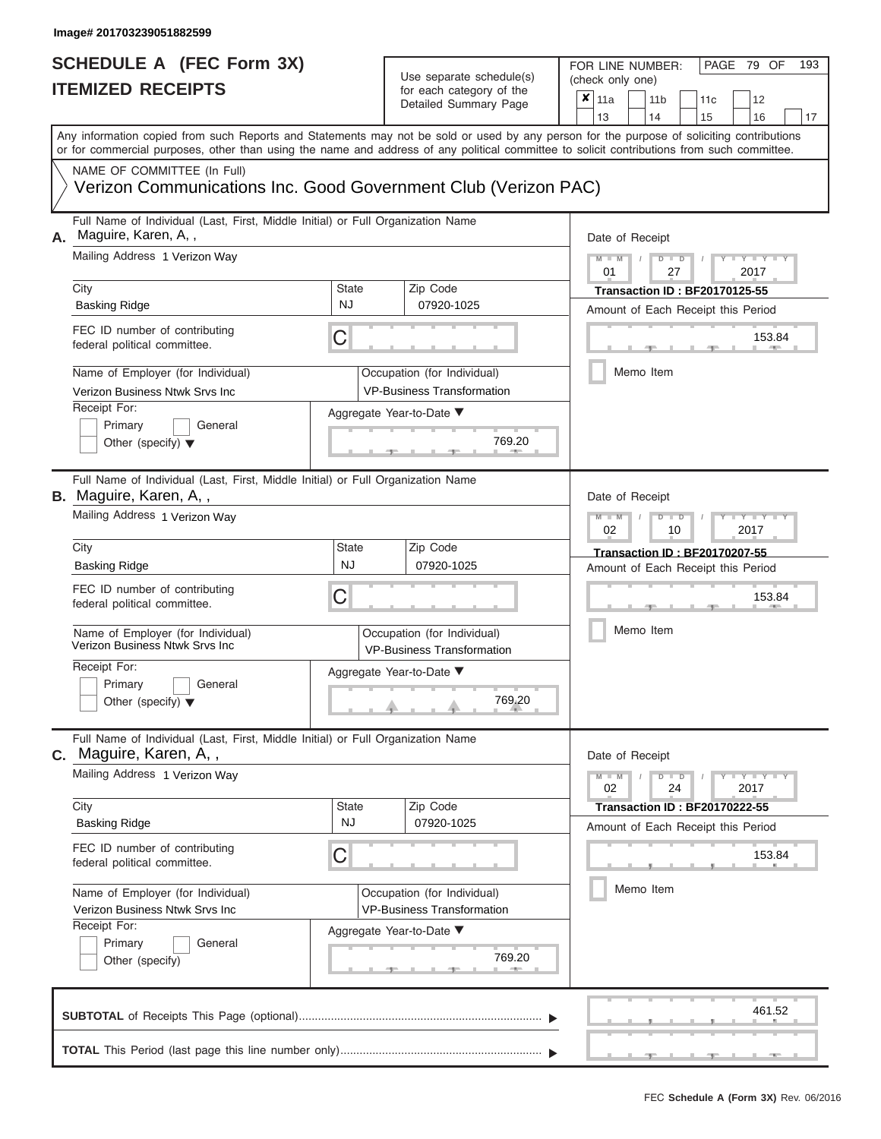| SCHEDULE A (FEC Form 3X)<br><b>ITEMIZED RECEIPTS</b>                                                                                                                                                                                                                                                                                                                                                    |                                | Use separate schedule(s)<br>for each category of the<br>Detailed Summary Page                                                    | 193<br>FOR LINE NUMBER:<br>PAGE 79 OF<br>(check only one)<br>$\overline{\mathbf{x}}$   11a<br>11 <sub>b</sub><br>12<br>11c                                                                                                         |
|---------------------------------------------------------------------------------------------------------------------------------------------------------------------------------------------------------------------------------------------------------------------------------------------------------------------------------------------------------------------------------------------------------|--------------------------------|----------------------------------------------------------------------------------------------------------------------------------|------------------------------------------------------------------------------------------------------------------------------------------------------------------------------------------------------------------------------------|
| Any information copied from such Reports and Statements may not be sold or used by any person for the purpose of soliciting contributions<br>or for commercial purposes, other than using the name and address of any political committee to solicit contributions from such committee.<br>NAME OF COMMITTEE (In Full)                                                                                  |                                |                                                                                                                                  | 13<br>14<br>15<br>16<br>17                                                                                                                                                                                                         |
| Verizon Communications Inc. Good Government Club (Verizon PAC)                                                                                                                                                                                                                                                                                                                                          |                                |                                                                                                                                  |                                                                                                                                                                                                                                    |
| Full Name of Individual (Last, First, Middle Initial) or Full Organization Name<br>Maguire, Karen, A,,<br>А.<br>Mailing Address 1 Verizon Way<br>City<br><b>Basking Ridge</b><br>FEC ID number of contributing<br>federal political committee.<br>Name of Employer (for Individual)<br>Verizon Business Ntwk Srvs Inc<br>Receipt For:<br>Primary<br>General<br>Other (specify) $\blacktriangledown$     | <b>State</b><br><b>NJ</b><br>C | Zip Code<br>07920-1025<br>Occupation (for Individual)<br><b>VP-Business Transformation</b><br>Aggregate Year-to-Date ▼<br>769.20 | Date of Receipt<br>$M - M$<br>$D$ $D$<br>Y TY T<br>$\sqrt{ }$<br>01<br>2017<br>27<br><b>Transaction ID: BF20170125-55</b><br>Amount of Each Receipt this Period<br>153.84<br>Memo Item                                             |
| Full Name of Individual (Last, First, Middle Initial) or Full Organization Name<br><b>B.</b> Maguire, Karen, A,,<br>Mailing Address 1 Verizon Way<br>City<br><b>Basking Ridge</b><br>FEC ID number of contributing<br>federal political committee.<br>Name of Employer (for Individual)<br>Verizon Business Ntwk Srvs Inc<br>Receipt For:<br>Primary<br>General<br>Other (specify) $\blacktriangledown$ | State<br><b>NJ</b><br>С        | Zip Code<br>07920-1025<br>Occupation (for Individual)<br><b>VP-Business Transformation</b><br>Aggregate Year-to-Date ▼<br>769.20 | Date of Receipt<br>$M - M$<br>$D$ $\Box$ $D$<br>Y TYT<br>02<br>2017<br>10<br><b>Transaction ID: BF20170207-55</b><br>Amount of Each Receipt this Period<br>153.84<br>Memo Item                                                     |
| Full Name of Individual (Last, First, Middle Initial) or Full Organization Name<br>C. Maguire, Karen, A,,<br>Mailing Address 1 Verizon Way<br>City<br><b>Basking Ridge</b><br>FEC ID number of contributing<br>federal political committee.<br>Name of Employer (for Individual)<br>Verizon Business Ntwk Srvs Inc<br>Receipt For:<br>General<br>Primary<br>Other (specify)                             | <b>State</b><br><b>NJ</b><br>С | Zip Code<br>07920-1025<br>Occupation (for Individual)<br><b>VP-Business Transformation</b><br>Aggregate Year-to-Date ▼<br>769.20 | Date of Receipt<br>$M - M$<br>$D$ $D$<br>$\mathbf{I} = \mathbf{Y} - \mathbf{I} - \mathbf{Y} - \mathbf{I}$<br>24<br>2017<br>02<br><b>Transaction ID: BF20170222-55</b><br>Amount of Each Receipt this Period<br>153.84<br>Memo Item |
|                                                                                                                                                                                                                                                                                                                                                                                                         |                                |                                                                                                                                  | 461.52                                                                                                                                                                                                                             |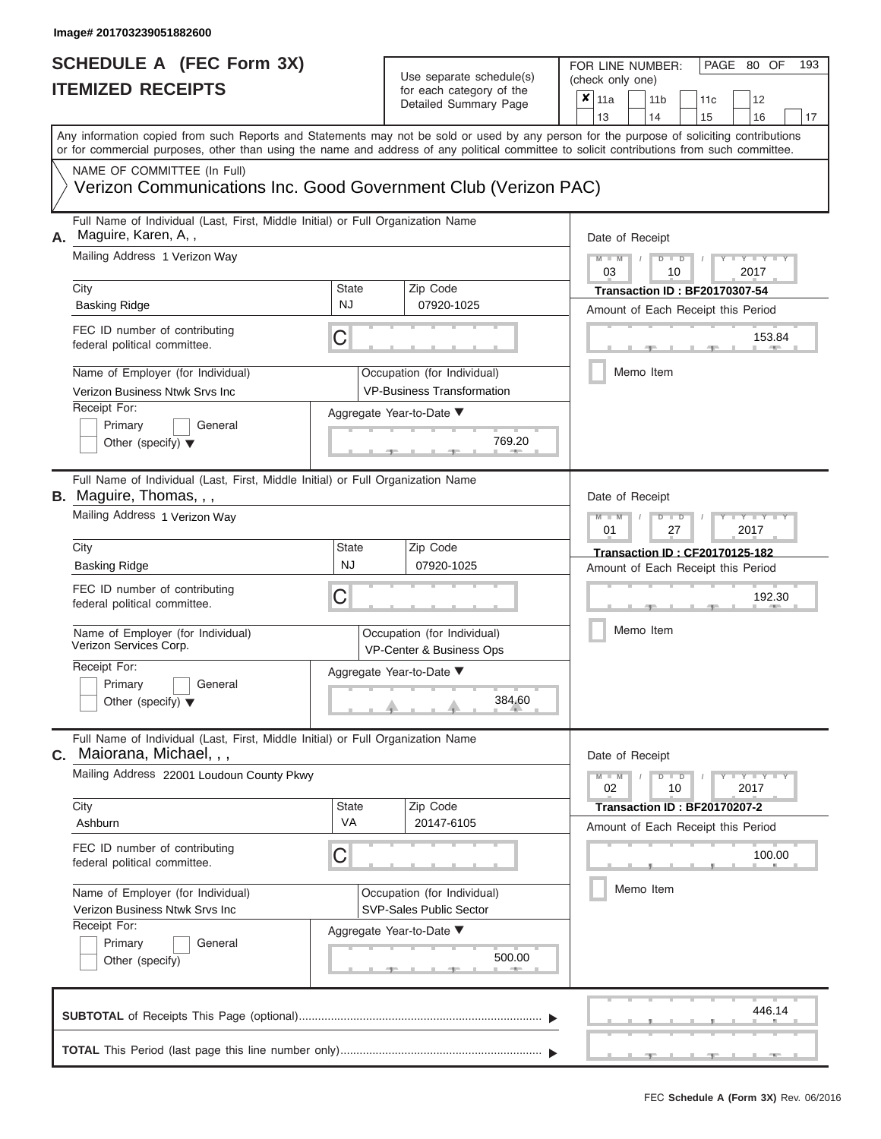| SCHEDULE A (FEC Form 3X)<br><b>ITEMIZED RECEIPTS</b>                                                                                                                                                                                                                                                                                                                                                |                                | Use separate schedule(s)<br>for each category of the<br>Detailed Summary Page                                                    | 193<br>FOR LINE NUMBER:<br>PAGE 80 OF<br>(check only one)<br>$\overline{\mathbf{x}}$   11a<br>11 <sub>b</sub><br>12<br>11c<br>13<br>14<br>15<br>16<br>17                                                                                                                         |
|-----------------------------------------------------------------------------------------------------------------------------------------------------------------------------------------------------------------------------------------------------------------------------------------------------------------------------------------------------------------------------------------------------|--------------------------------|----------------------------------------------------------------------------------------------------------------------------------|----------------------------------------------------------------------------------------------------------------------------------------------------------------------------------------------------------------------------------------------------------------------------------|
| Any information copied from such Reports and Statements may not be sold or used by any person for the purpose of soliciting contributions<br>or for commercial purposes, other than using the name and address of any political committee to solicit contributions from such committee.<br>NAME OF COMMITTEE (In Full)<br>Verizon Communications Inc. Good Government Club (Verizon PAC)            |                                |                                                                                                                                  |                                                                                                                                                                                                                                                                                  |
| Full Name of Individual (Last, First, Middle Initial) or Full Organization Name<br>Maguire, Karen, A,,<br>А.<br>Mailing Address 1 Verizon Way<br>City<br><b>Basking Ridge</b><br>FEC ID number of contributing<br>federal political committee.<br>Name of Employer (for Individual)<br>Verizon Business Ntwk Srvs Inc<br>Receipt For:<br>Primary<br>General<br>Other (specify) $\blacktriangledown$ | <b>State</b><br>NJ<br>С        | Zip Code<br>07920-1025<br>Occupation (for Individual)<br><b>VP-Business Transformation</b><br>Aggregate Year-to-Date ▼<br>769.20 | Date of Receipt<br>$M - M$<br>$D$ $D$<br>$Y - Y - I$<br>$\prime$<br>03<br>2017<br>10<br><b>Transaction ID: BF20170307-54</b><br>Amount of Each Receipt this Period<br>153.84<br>Memo Item                                                                                        |
| Full Name of Individual (Last, First, Middle Initial) or Full Organization Name<br>B. Maguire, Thomas, , ,<br>Mailing Address 1 Verizon Way<br>City<br><b>Basking Ridge</b><br>FEC ID number of contributing<br>federal political committee.<br>Name of Employer (for Individual)<br>Verizon Services Corp.<br>Receipt For:<br>Primary<br>General<br>Other (specify) $\blacktriangledown$           | <b>State</b><br><b>NJ</b><br>С | Zip Code<br>07920-1025<br>Occupation (for Individual)<br>VP-Center & Business Ops<br>Aggregate Year-to-Date ▼<br>384.60<br>J.    | Date of Receipt<br>$M - M$<br>$D$ $D$<br>Y TYT<br>01<br>2017<br>27<br>Transaction ID: CF20170125-182<br>Amount of Each Receipt this Period<br>192.30<br>Memo Item                                                                                                                |
| Full Name of Individual (Last, First, Middle Initial) or Full Organization Name<br>Maiorana, Michael, , ,<br>C.<br>Mailing Address 22001 Loudoun County Pkwy<br>City<br>Ashburn<br>FEC ID number of contributing<br>federal political committee.<br>Name of Employer (for Individual)<br>Verizon Business Ntwk Srvs Inc<br>Receipt For:<br>Primary<br>General<br>Other (specify)                    | <b>State</b><br><b>VA</b><br>С | Zip Code<br>20147-6105<br>Occupation (for Individual)<br>SVP-Sales Public Sector<br>Aggregate Year-to-Date ▼<br>500.00           | Date of Receipt<br>$M - M$<br>$D$ $\Box$ $D$<br>$\blacksquare \blacksquare \mathsf{Y} \mathrel{\sqsubseteq} \mathsf{Y} \mathrel{\sqsubseteq} \mathsf{Y}$<br>10<br>02<br>2017<br><b>Transaction ID: BF20170207-2</b><br>Amount of Each Receipt this Period<br>100.00<br>Memo Item |
|                                                                                                                                                                                                                                                                                                                                                                                                     |                                |                                                                                                                                  | 446.14                                                                                                                                                                                                                                                                           |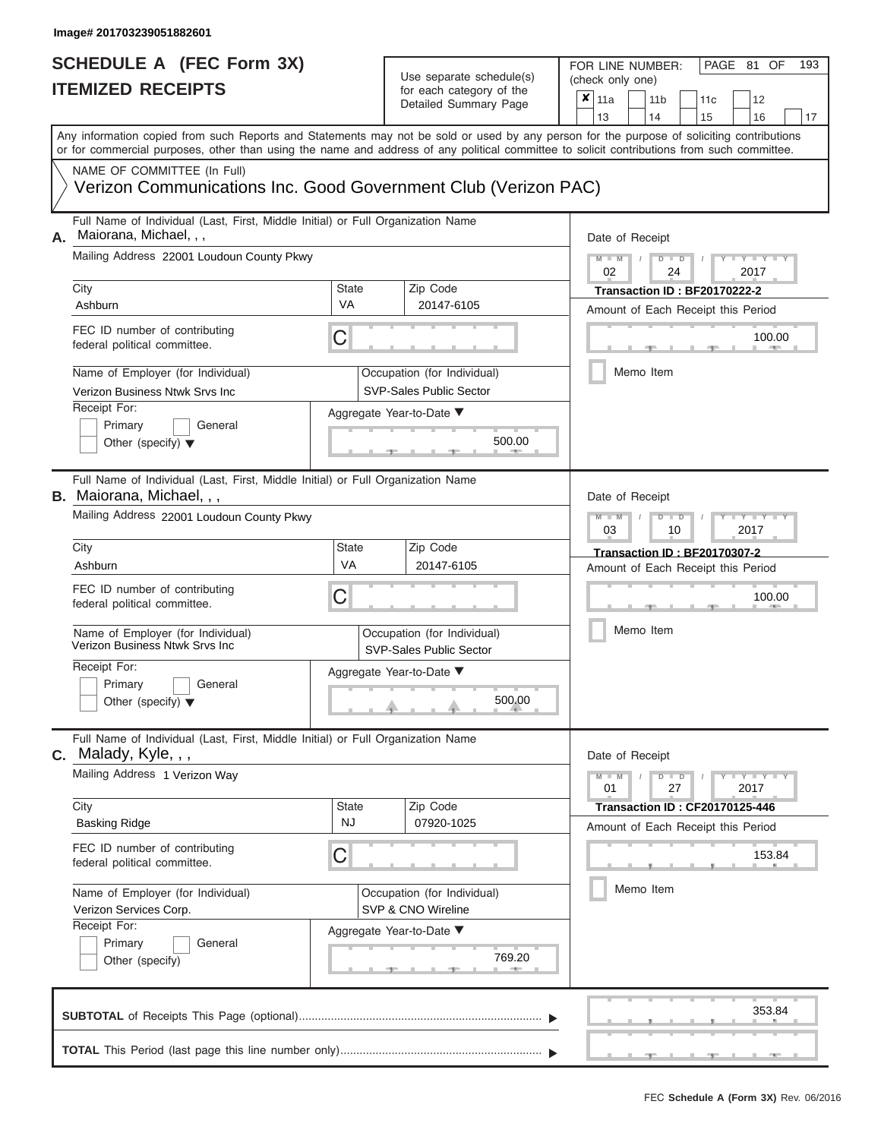## Use separate schedule(s)

| SCHEDULE A (FEC Form 3X)<br><b>ITEMIZED RECEIPTS</b>                                                                                                                                                                                                                                                                                                                                                      |                                | Use separate schedule(s)<br>for each category of the<br>Detailed Summary Page                                                 | 193<br>FOR LINE NUMBER:<br>PAGE 81 OF<br>(check only one)<br>$\boldsymbol{x}$<br>11a<br>11 <sub>b</sub><br>11c<br>12<br>13<br>14<br>15<br>16<br>17                                      |
|-----------------------------------------------------------------------------------------------------------------------------------------------------------------------------------------------------------------------------------------------------------------------------------------------------------------------------------------------------------------------------------------------------------|--------------------------------|-------------------------------------------------------------------------------------------------------------------------------|-----------------------------------------------------------------------------------------------------------------------------------------------------------------------------------------|
| Any information copied from such Reports and Statements may not be sold or used by any person for the purpose of soliciting contributions<br>or for commercial purposes, other than using the name and address of any political committee to solicit contributions from such committee.<br>NAME OF COMMITTEE (In Full)<br>Verizon Communications Inc. Good Government Club (Verizon PAC)                  |                                |                                                                                                                               |                                                                                                                                                                                         |
| Full Name of Individual (Last, First, Middle Initial) or Full Organization Name<br>Maiorana, Michael, , ,<br>А.<br>Mailing Address 22001 Loudoun County Pkwy<br>City<br>Ashburn<br>FEC ID number of contributing<br>federal political committee.<br>Name of Employer (for Individual)<br>Verizon Business Ntwk Srvs Inc<br>Receipt For:<br>Primary<br>General<br>Other (specify) $\blacktriangledown$     | <b>State</b><br><b>VA</b><br>C | Zip Code<br>20147-6105<br>Occupation (for Individual)<br><b>SVP-Sales Public Sector</b><br>Aggregate Year-to-Date ▼<br>500.00 | Date of Receipt<br>$M - M$<br>$D$ $D$<br>$Y - Y - I$<br>02<br>24<br>2017<br>Transaction ID: BF20170222-2<br>Amount of Each Receipt this Period<br>100.00<br><b>AND IN</b><br>Memo Item  |
| Full Name of Individual (Last, First, Middle Initial) or Full Organization Name<br><b>B.</b> Maiorana, Michael, , ,<br>Mailing Address 22001 Loudoun County Pkwy<br>City<br>Ashburn<br>FEC ID number of contributing<br>federal political committee.<br>Name of Employer (for Individual)<br>Verizon Business Ntwk Srvs Inc<br>Receipt For:<br>Primary<br>General<br>Other (specify) $\blacktriangledown$ | State<br>VA<br>С               | Zip Code<br>20147-6105<br>Occupation (for Individual)<br>SVP-Sales Public Sector<br>Aggregate Year-to-Date ▼<br>500.00        | Date of Receipt<br>$M - M$<br>$D$ $\Box$ $D$<br>$Y - Y$<br>03<br>2017<br>10<br><b>Transaction ID: BF20170307-2</b><br>Amount of Each Receipt this Period<br>100.00<br>Memo Item         |
| Full Name of Individual (Last, First, Middle Initial) or Full Organization Name<br>$c.$ Malady, Kyle, $, ,$<br>Mailing Address 1 Verizon Way<br>City<br><b>Basking Ridge</b><br>FEC ID number of contributing<br>federal political committee.<br>Name of Employer (for Individual)<br>Verizon Services Corp.<br>Receipt For:<br>Primary<br>General<br>Other (specify)                                     | State<br><b>NJ</b><br>С        | Zip Code<br>07920-1025<br>Occupation (for Individual)<br>SVP & CNO Wireline<br>Aggregate Year-to-Date ▼<br>769.20             | Date of Receipt<br>$M - M$<br>$D$ $D$<br>$-1 - Y - 1 - Y - 1$<br>01<br>27<br>2017<br><b>Transaction ID: CF20170125-446</b><br>Amount of Each Receipt this Period<br>153.84<br>Memo Item |
|                                                                                                                                                                                                                                                                                                                                                                                                           |                                |                                                                                                                               | 353.84                                                                                                                                                                                  |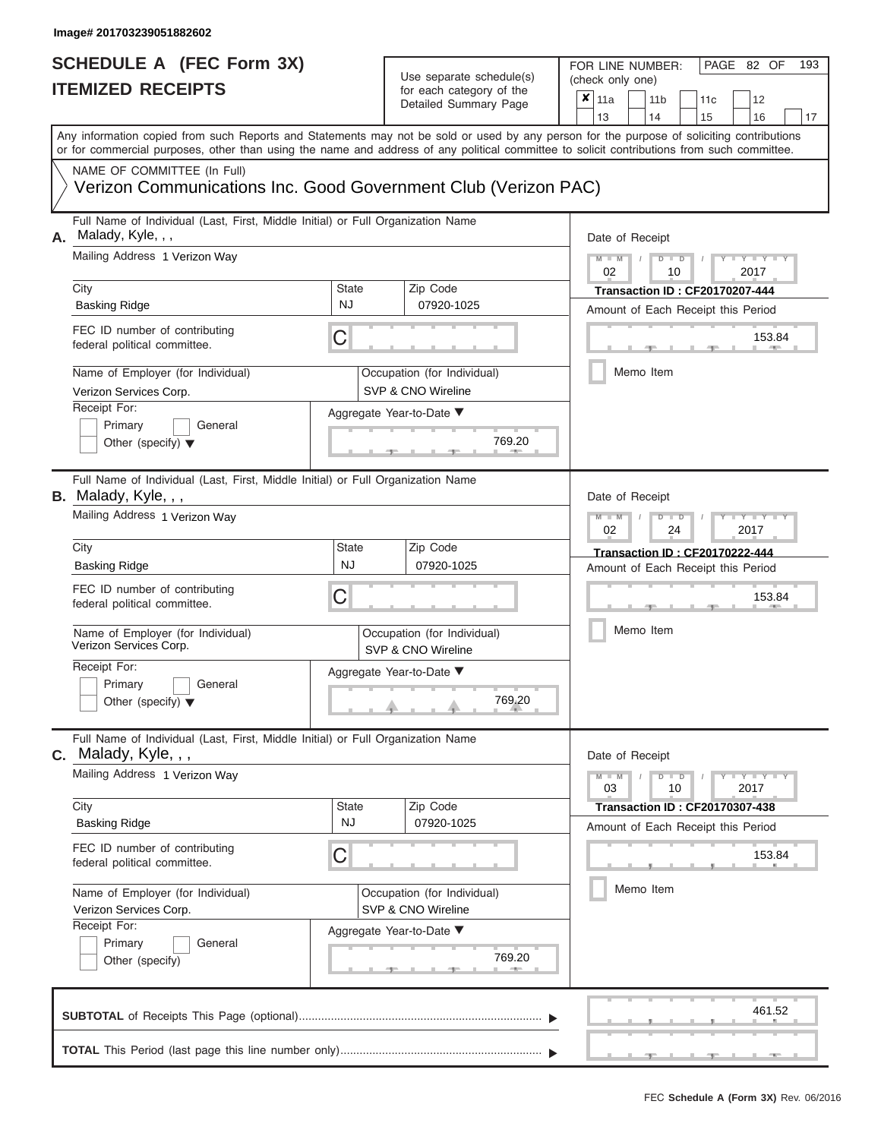## Use separate schedule(s)<br>for each category of the

FOR LINE NUMBER:<br>(check only one)

PAGE 82 OF 193

|                               |                                                                                                                                            |           | ivi cacii calcyory or life<br>Detailed Summary Page | x                                                     | 11a             |                                       | 11 <sub>b</sub>                                       | 11c | 12                      |    |  |  |  |  |  |  |  |
|-------------------------------|--------------------------------------------------------------------------------------------------------------------------------------------|-----------|-----------------------------------------------------|-------------------------------------------------------|-----------------|---------------------------------------|-------------------------------------------------------|-----|-------------------------|----|--|--|--|--|--|--|--|
|                               | Any information copied from such Reports and Statements may not be sold or used by any person for the purpose of soliciting contributions  |           |                                                     |                                                       | 13              |                                       | 14                                                    | 15  | 16                      | 17 |  |  |  |  |  |  |  |
|                               | or for commercial purposes, other than using the name and address of any political committee to solicit contributions from such committee. |           |                                                     |                                                       |                 |                                       |                                                       |     |                         |    |  |  |  |  |  |  |  |
|                               | NAME OF COMMITTEE (In Full)                                                                                                                |           |                                                     |                                                       |                 |                                       |                                                       |     |                         |    |  |  |  |  |  |  |  |
|                               | Verizon Communications Inc. Good Government Club (Verizon PAC)                                                                             |           |                                                     |                                                       |                 |                                       |                                                       |     |                         |    |  |  |  |  |  |  |  |
| А.                            | Full Name of Individual (Last, First, Middle Initial) or Full Organization Name<br>Malady, Kyle, , ,                                       |           | Date of Receipt                                     |                                                       |                 |                                       |                                                       |     |                         |    |  |  |  |  |  |  |  |
| Mailing Address 1 Verizon Way |                                                                                                                                            |           |                                                     |                                                       |                 |                                       | $M - M$<br>$D$ $D$<br>$Y - Y - I$<br>02<br>2017<br>10 |     |                         |    |  |  |  |  |  |  |  |
|                               | Zip Code<br>City<br><b>State</b>                                                                                                           |           |                                                     |                                                       |                 | <b>Transaction ID: CF20170207-444</b> |                                                       |     |                         |    |  |  |  |  |  |  |  |
|                               | <b>Basking Ridge</b>                                                                                                                       | <b>NJ</b> | 07920-1025                                          | Amount of Each Receipt this Period                    |                 |                                       |                                                       |     |                         |    |  |  |  |  |  |  |  |
|                               | FEC ID number of contributing<br>federal political committee.                                                                              | C         |                                                     |                                                       |                 |                                       |                                                       |     | 153.84                  |    |  |  |  |  |  |  |  |
|                               | Name of Employer (for Individual)<br>Verizon Services Corp.                                                                                |           | Occupation (for Individual)<br>SVP & CNO Wireline   |                                                       |                 |                                       | Memo Item                                             |     |                         |    |  |  |  |  |  |  |  |
|                               | Receipt For:                                                                                                                               |           | Aggregate Year-to-Date ▼                            |                                                       |                 |                                       |                                                       |     |                         |    |  |  |  |  |  |  |  |
|                               | Primary<br>General<br>Other (specify) $\blacktriangledown$                                                                                 |           | 769.20                                              |                                                       |                 |                                       |                                                       |     |                         |    |  |  |  |  |  |  |  |
|                               | Full Name of Individual (Last, First, Middle Initial) or Full Organization Name<br><b>B.</b> Malady, Kyle, , ,                             |           |                                                     |                                                       | Date of Receipt |                                       |                                                       |     |                         |    |  |  |  |  |  |  |  |
|                               | Mailing Address 1 Verizon Way                                                                                                              |           |                                                     | $M - M$<br>$D$ $\Box$ $D$<br>Y TY<br>02<br>2017<br>24 |                 |                                       |                                                       |     |                         |    |  |  |  |  |  |  |  |
|                               | City                                                                                                                                       | State     | Zip Code                                            |                                                       |                 |                                       | <b>Transaction ID: CF20170222-444</b>                 |     |                         |    |  |  |  |  |  |  |  |
|                               | <b>Basking Ridge</b>                                                                                                                       | <b>NJ</b> | 07920-1025                                          |                                                       |                 |                                       | Amount of Each Receipt this Period                    |     |                         |    |  |  |  |  |  |  |  |
|                               | FEC ID number of contributing<br>federal political committee.                                                                              | С         |                                                     |                                                       |                 | 153.84                                |                                                       |     |                         |    |  |  |  |  |  |  |  |
|                               | Name of Employer (for Individual)<br>Verizon Services Corp.                                                                                |           | Occupation (for Individual)<br>SVP & CNO Wireline   |                                                       |                 |                                       | Memo Item                                             |     |                         |    |  |  |  |  |  |  |  |
|                               | Receipt For:                                                                                                                               |           | Aggregate Year-to-Date ▼                            |                                                       |                 |                                       |                                                       |     |                         |    |  |  |  |  |  |  |  |
|                               | Primary<br>General<br>Other (specify) $\blacktriangledown$                                                                                 |           | 769.20                                              |                                                       |                 |                                       |                                                       |     |                         |    |  |  |  |  |  |  |  |
| С.                            | Full Name of Individual (Last, First, Middle Initial) or Full Organization Name<br>Malady, Kyle, , ,                                       |           |                                                     |                                                       | Date of Receipt |                                       |                                                       |     |                         |    |  |  |  |  |  |  |  |
|                               | Mailing Address 1 Verizon Way                                                                                                              |           |                                                     |                                                       | $M - M$<br>03   |                                       | $D$ $D$<br>10                                         |     | $T - Y = T - Y$<br>2017 |    |  |  |  |  |  |  |  |
|                               | City                                                                                                                                       | State     | Zip Code                                            |                                                       |                 |                                       | <b>Transaction ID: CF20170307-438</b>                 |     |                         |    |  |  |  |  |  |  |  |
|                               | <b>Basking Ridge</b>                                                                                                                       | <b>NJ</b> | 07920-1025                                          |                                                       |                 |                                       | Amount of Each Receipt this Period                    |     |                         |    |  |  |  |  |  |  |  |
|                               | FEC ID number of contributing<br>federal political committee.                                                                              | С         |                                                     |                                                       |                 |                                       |                                                       |     | 153.84                  |    |  |  |  |  |  |  |  |
|                               | Name of Employer (for Individual)<br>Verizon Services Corp.                                                                                |           | Memo Item                                           |                                                       |                 |                                       |                                                       |     |                         |    |  |  |  |  |  |  |  |
|                               | Receipt For:                                                                                                                               |           | Aggregate Year-to-Date ▼                            |                                                       |                 |                                       |                                                       |     |                         |    |  |  |  |  |  |  |  |
|                               | General<br>Primary                                                                                                                         |           |                                                     |                                                       |                 |                                       |                                                       |     |                         |    |  |  |  |  |  |  |  |
|                               | Other (specify)                                                                                                                            |           | 769.20                                              |                                                       |                 |                                       |                                                       |     |                         |    |  |  |  |  |  |  |  |
|                               |                                                                                                                                            |           |                                                     |                                                       |                 |                                       |                                                       |     | 461.52                  |    |  |  |  |  |  |  |  |
|                               |                                                                                                                                            |           |                                                     |                                                       |                 |                                       |                                                       |     |                         |    |  |  |  |  |  |  |  |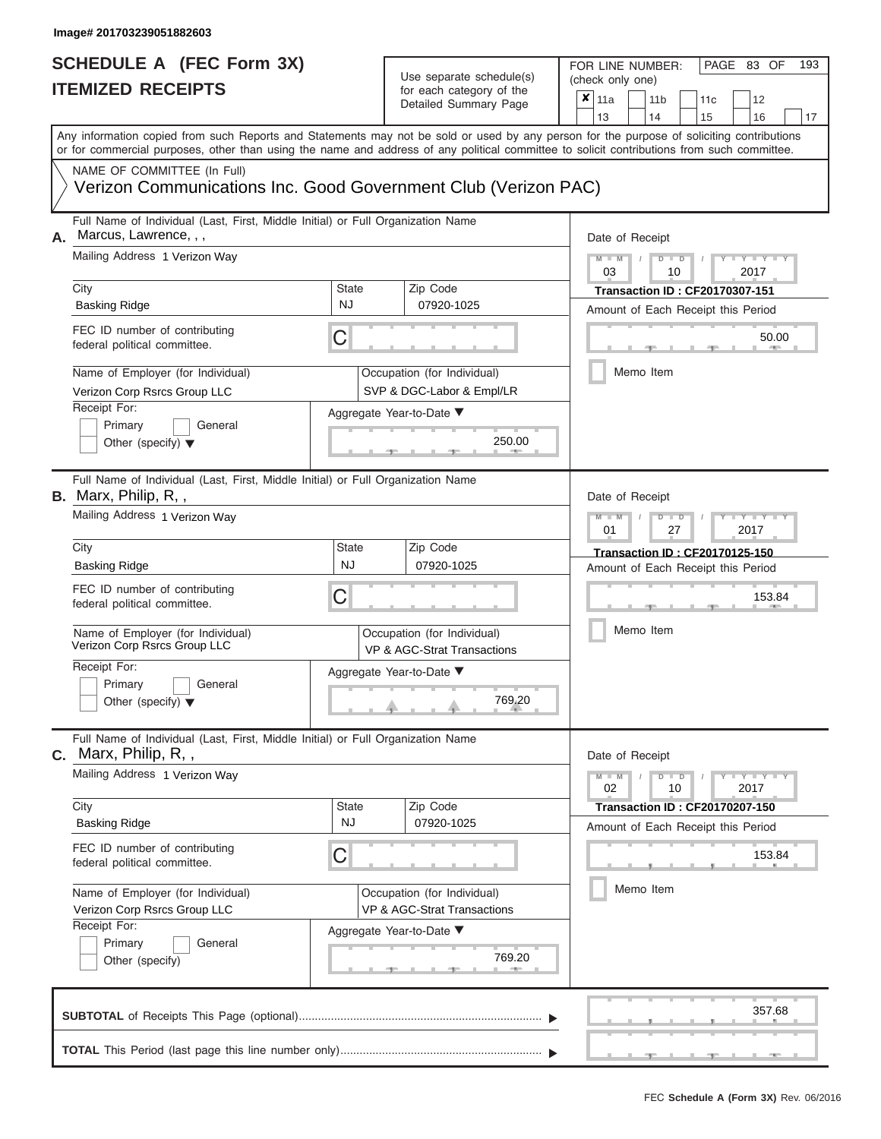ı

### **SCHEDULE A (FEC Form 3X) ITEMIZED RECEIPTS**

## Use separate schedule(s)

| SCHEDULE A (FEC Form 3X)<br><b>ITEMIZED RECEIPTS</b>                                                                                                                                                                                                                                                                                                                                                |                                | Use separate schedule(s)<br>for each category of the<br>Detailed Summary Page                                              | 193<br>FOR LINE NUMBER:<br>PAGE 83 OF<br>(check only one)<br>$\boldsymbol{x}$<br>11a<br>11 <sub>b</sub><br>12<br>11c<br>13                                                                                   |
|-----------------------------------------------------------------------------------------------------------------------------------------------------------------------------------------------------------------------------------------------------------------------------------------------------------------------------------------------------------------------------------------------------|--------------------------------|----------------------------------------------------------------------------------------------------------------------------|--------------------------------------------------------------------------------------------------------------------------------------------------------------------------------------------------------------|
| Any information copied from such Reports and Statements may not be sold or used by any person for the purpose of soliciting contributions<br>or for commercial purposes, other than using the name and address of any political committee to solicit contributions from such committee.<br>NAME OF COMMITTEE (In Full)                                                                              |                                |                                                                                                                            | 14<br>15<br>16<br>17                                                                                                                                                                                         |
| Verizon Communications Inc. Good Government Club (Verizon PAC)                                                                                                                                                                                                                                                                                                                                      |                                |                                                                                                                            |                                                                                                                                                                                                              |
| Full Name of Individual (Last, First, Middle Initial) or Full Organization Name<br>Marcus, Lawrence, , ,<br>А.<br>Mailing Address 1 Verizon Wav<br>City<br><b>Basking Ridge</b><br>FEC ID number of contributing<br>federal political committee.<br>Name of Employer (for Individual)<br>Verizon Corp Rsrcs Group LLC<br>Receipt For:<br>Primary<br>General<br>Other (specify) $\blacktriangledown$ | State<br><b>NJ</b><br>С        | Zip Code<br>07920-1025<br>Occupation (for Individual)<br>SVP & DGC-Labor & Empl/LR<br>Aggregate Year-to-Date ▼<br>250.00   | Date of Receipt<br>$M - M$<br>$D$ $D$<br>$Y - Y - T$<br>$\sqrt{ }$<br>03<br>2017<br>10<br><b>Transaction ID: CF20170307-151</b><br>Amount of Each Receipt this Period<br>50.00<br><b>AND IN</b><br>Memo Item |
| Full Name of Individual (Last, First, Middle Initial) or Full Organization Name<br><b>B.</b> Marx, Philip, R,,<br>Mailing Address 1 Verizon Way<br>City<br><b>Basking Ridge</b><br>FEC ID number of contributing<br>federal political committee.<br>Name of Employer (for Individual)<br>Verizon Corp Rsrcs Group LLC<br>Receipt For:<br>Primary<br>General<br>Other (specify) $\blacktriangledown$ | <b>State</b><br><b>NJ</b><br>С | Zip Code<br>07920-1025<br>Occupation (for Individual)<br>VP & AGC-Strat Transactions<br>Aggregate Year-to-Date ▼<br>769.20 | Date of Receipt<br>$M - M$<br>$D$ $\Box$ $D$<br>Y TY<br>01<br>2017<br>27<br>Transaction ID: CF20170125-150<br>Amount of Each Receipt this Period<br>153.84<br>Memo Item                                      |
| Full Name of Individual (Last, First, Middle Initial) or Full Organization Name<br>$C.$ Marx, Philip, R,,<br>Mailing Address 1 Verizon Way<br>City<br><b>Basking Ridge</b><br>FEC ID number of contributing<br>federal political committee.<br>Name of Employer (for Individual)<br>Verizon Corp Rsrcs Group LLC<br>Receipt For:<br>Primary<br>General<br>Other (specify)                           | <b>State</b><br><b>NJ</b><br>С | Zip Code<br>07920-1025<br>Occupation (for Individual)<br>VP & AGC-Strat Transactions<br>Aggregate Year-to-Date ▼<br>769.20 | Date of Receipt<br>$M - M$<br>$D$ $D$<br>$T-T$ $T$ $T$ $T$ $T$ $T$<br>10<br>02<br>2017<br><b>Transaction ID: CF20170207-150</b><br>Amount of Each Receipt this Period<br>153.84<br>Memo Item                 |
|                                                                                                                                                                                                                                                                                                                                                                                                     |                                |                                                                                                                            | 357.68                                                                                                                                                                                                       |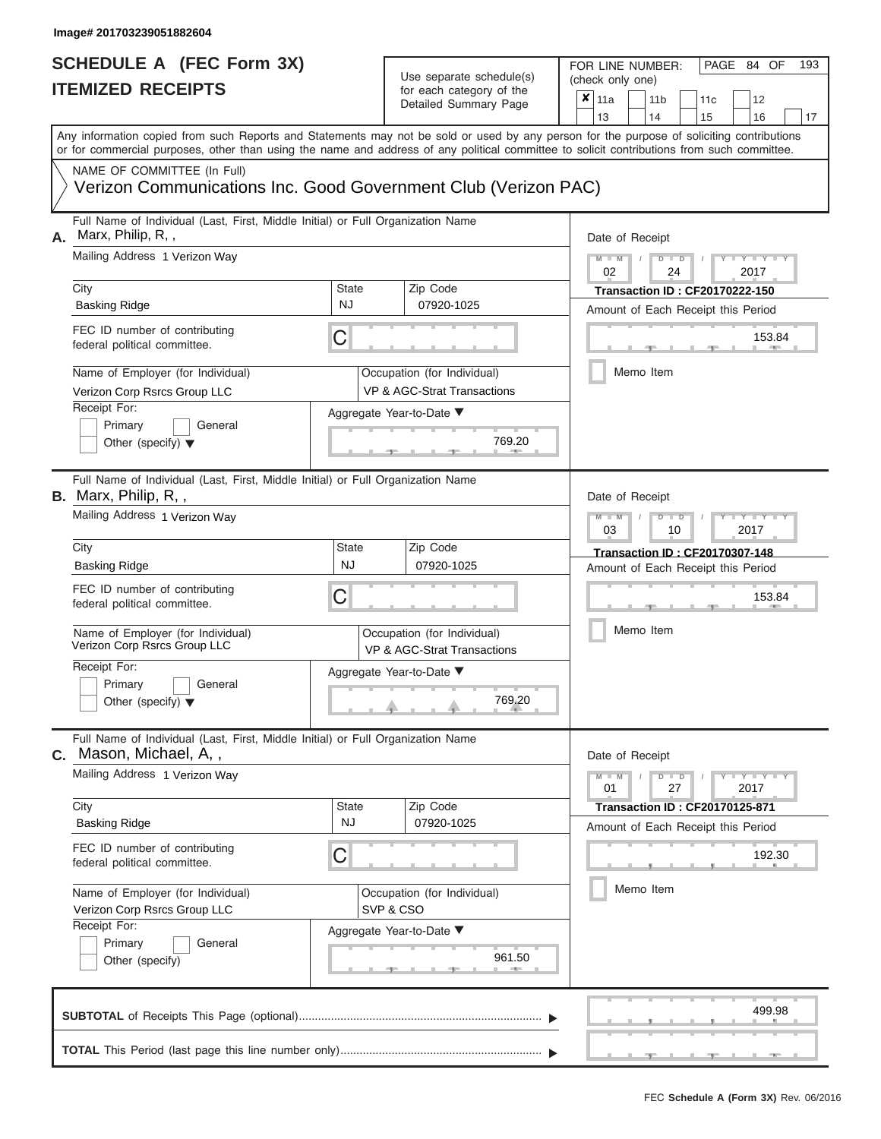| Any information copied from such Reports and Statements may not be sold or used by any person for the purpose of soliciting contributions<br>or for commercial purposes, other than using the name and address of any political committee to solicit contributions from such committee.<br>NAME OF COMMITTEE (In Full)<br>Verizon Communications Inc. Good Government Club (Verizon PAC)<br>Full Name of Individual (Last, First, Middle Initial) or Full Organization Name<br>Marx, Philip, R,,<br>Date of Receipt<br>Mailing Address 1 Verizon Way<br>$M - M$<br>$D$ $D$<br>Y TY T<br>$\sqrt{ }$<br>02<br>24<br>2017<br>Zip Code<br>City<br>State<br><b>Transaction ID: CF20170222-150</b><br><b>NJ</b><br>07920-1025<br><b>Basking Ridge</b><br>Amount of Each Receipt this Period<br>FEC ID number of contributing<br>C<br>153.84<br>federal political committee.<br><b>COLLEGE</b><br>Memo Item<br>Name of Employer (for Individual)<br>Occupation (for Individual)<br>VP & AGC-Strat Transactions<br>Verizon Corp Rsrcs Group LLC<br>Receipt For:<br>Aggregate Year-to-Date ▼<br>Primary<br>General<br>769.20<br>Other (specify) $\blacktriangledown$<br>Full Name of Individual (Last, First, Middle Initial) or Full Organization Name<br>Date of Receipt<br>Mailing Address 1 Verizon Way<br>$M - M$<br>Y I Y I<br>$D$ $D$<br>03<br>2017<br>10<br>City<br><b>State</b><br>Zip Code<br>Transaction ID: CF20170307-148<br><b>NJ</b><br>07920-1025<br>Basking Ridge<br>Amount of Each Receipt this Period<br>FEC ID number of contributing<br>С<br>153.84<br>federal political committee.<br>Memo Item<br>Name of Employer (for Individual)<br>Occupation (for Individual)<br>Verizon Corp Rsrcs Group LLC<br>VP & AGC-Strat Transactions<br>Receipt For:<br>Aggregate Year-to-Date ▼<br>Primary<br>General<br>769.20<br>Other (specify) $\blacktriangledown$<br>Full Name of Individual (Last, First, Middle Initial) or Full Organization Name<br>Mason, Michael, A,,<br>Date of Receipt<br>Mailing Address 1 Verizon Way<br>$M - M$<br>$D$ $D$<br>$T - Y - T - Y - T - Y$<br>01<br>27<br>2017<br>Zip Code<br>City<br>State<br><b>Transaction ID: CF20170125-871</b><br><b>NJ</b><br>07920-1025<br><b>Basking Ridge</b><br>Amount of Each Receipt this Period<br>FEC ID number of contributing<br>С<br>192.30<br>federal political committee.<br>Memo Item<br>Name of Employer (for Individual)<br>Occupation (for Individual)<br>SVP & CSO<br>Verizon Corp Rsrcs Group LLC<br>Receipt For:<br>Aggregate Year-to-Date ▼<br>Primary<br>General<br>961.50<br>Other (specify)<br>499.98 | SCHEDULE A (FEC Form 3X)<br><b>ITEMIZED RECEIPTS</b> | Use separate schedule(s)<br>for each category of the<br>Detailed Summary Page | 193<br>FOR LINE NUMBER:<br>PAGE 84 OF<br>(check only one)<br>$\overline{\mathbf{x}}$   11a<br>11 <sub>b</sub><br>11 <sub>c</sub><br>12 |
|----------------------------------------------------------------------------------------------------------------------------------------------------------------------------------------------------------------------------------------------------------------------------------------------------------------------------------------------------------------------------------------------------------------------------------------------------------------------------------------------------------------------------------------------------------------------------------------------------------------------------------------------------------------------------------------------------------------------------------------------------------------------------------------------------------------------------------------------------------------------------------------------------------------------------------------------------------------------------------------------------------------------------------------------------------------------------------------------------------------------------------------------------------------------------------------------------------------------------------------------------------------------------------------------------------------------------------------------------------------------------------------------------------------------------------------------------------------------------------------------------------------------------------------------------------------------------------------------------------------------------------------------------------------------------------------------------------------------------------------------------------------------------------------------------------------------------------------------------------------------------------------------------------------------------------------------------------------------------------------------------------------------------------------------------------------------------------------------------------------------------------------------------------------------------------------------------------------------------------------------------------------------------------------------------------------------------------------------------------------------------------------------------------------------------------------------------------------------------------------------------------------------------------------------------------------------------------------------|------------------------------------------------------|-------------------------------------------------------------------------------|----------------------------------------------------------------------------------------------------------------------------------------|
|                                                                                                                                                                                                                                                                                                                                                                                                                                                                                                                                                                                                                                                                                                                                                                                                                                                                                                                                                                                                                                                                                                                                                                                                                                                                                                                                                                                                                                                                                                                                                                                                                                                                                                                                                                                                                                                                                                                                                                                                                                                                                                                                                                                                                                                                                                                                                                                                                                                                                                                                                                                              |                                                      |                                                                               | 13<br>14<br>15<br>16<br>17                                                                                                             |
|                                                                                                                                                                                                                                                                                                                                                                                                                                                                                                                                                                                                                                                                                                                                                                                                                                                                                                                                                                                                                                                                                                                                                                                                                                                                                                                                                                                                                                                                                                                                                                                                                                                                                                                                                                                                                                                                                                                                                                                                                                                                                                                                                                                                                                                                                                                                                                                                                                                                                                                                                                                              |                                                      |                                                                               |                                                                                                                                        |
|                                                                                                                                                                                                                                                                                                                                                                                                                                                                                                                                                                                                                                                                                                                                                                                                                                                                                                                                                                                                                                                                                                                                                                                                                                                                                                                                                                                                                                                                                                                                                                                                                                                                                                                                                                                                                                                                                                                                                                                                                                                                                                                                                                                                                                                                                                                                                                                                                                                                                                                                                                                              | А.                                                   |                                                                               |                                                                                                                                        |
| С.                                                                                                                                                                                                                                                                                                                                                                                                                                                                                                                                                                                                                                                                                                                                                                                                                                                                                                                                                                                                                                                                                                                                                                                                                                                                                                                                                                                                                                                                                                                                                                                                                                                                                                                                                                                                                                                                                                                                                                                                                                                                                                                                                                                                                                                                                                                                                                                                                                                                                                                                                                                           | <b>B.</b> Marx, Philip, R,,                          |                                                                               |                                                                                                                                        |
|                                                                                                                                                                                                                                                                                                                                                                                                                                                                                                                                                                                                                                                                                                                                                                                                                                                                                                                                                                                                                                                                                                                                                                                                                                                                                                                                                                                                                                                                                                                                                                                                                                                                                                                                                                                                                                                                                                                                                                                                                                                                                                                                                                                                                                                                                                                                                                                                                                                                                                                                                                                              |                                                      |                                                                               |                                                                                                                                        |
|                                                                                                                                                                                                                                                                                                                                                                                                                                                                                                                                                                                                                                                                                                                                                                                                                                                                                                                                                                                                                                                                                                                                                                                                                                                                                                                                                                                                                                                                                                                                                                                                                                                                                                                                                                                                                                                                                                                                                                                                                                                                                                                                                                                                                                                                                                                                                                                                                                                                                                                                                                                              |                                                      |                                                                               |                                                                                                                                        |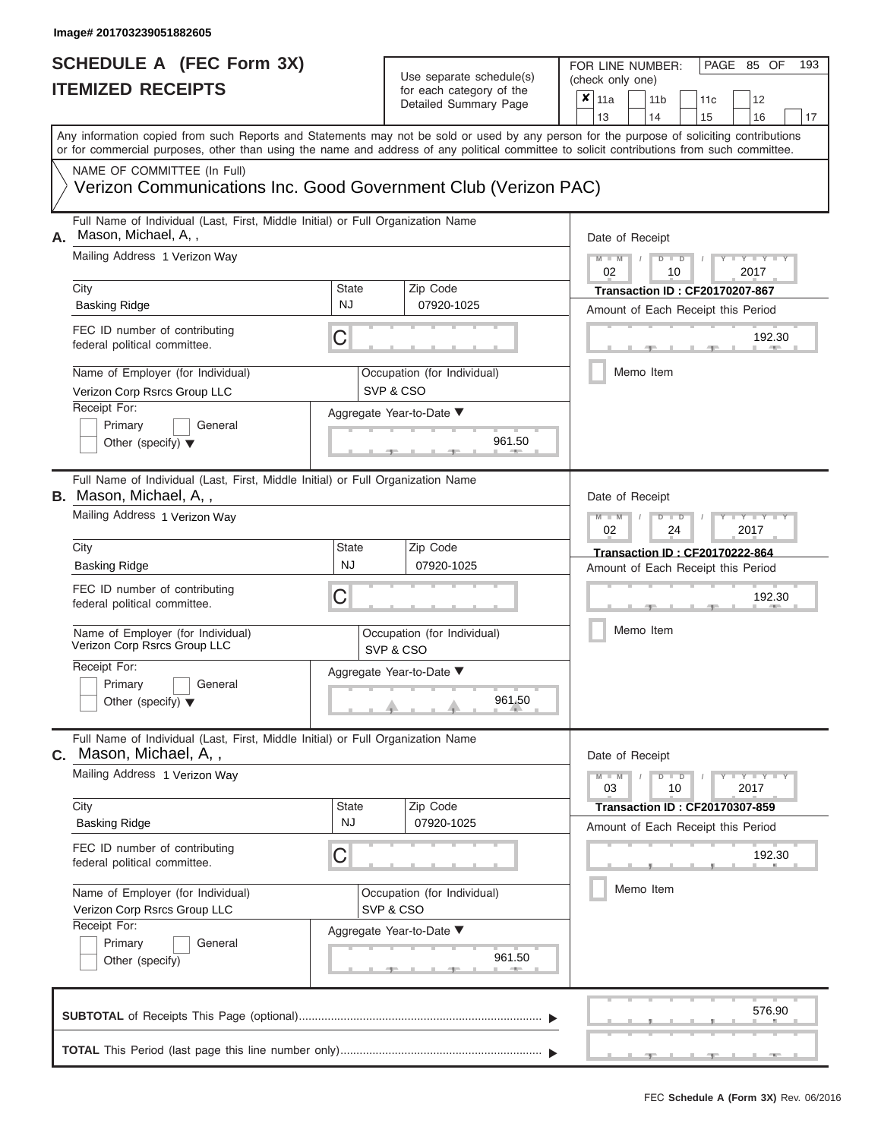ı

### **SCHEDULE A (FEC Form 3X) ITEMIZED RECEIPTS**

## Use separate schedule(s)

FOR LINE NUMBER:<br>(check only one)

PAGE 85 OF 193

| IIEMIZEU REUEIPIJ                                                                                                | for each category of the<br>Detailed Summary Page                               | ×<br>11a<br>11 <sub>b</sub><br>11c<br>12                                                                                                                                                                                                                                                                              |
|------------------------------------------------------------------------------------------------------------------|---------------------------------------------------------------------------------|-----------------------------------------------------------------------------------------------------------------------------------------------------------------------------------------------------------------------------------------------------------------------------------------------------------------------|
|                                                                                                                  |                                                                                 | 13<br>14<br>15<br>16<br>17<br>Any information copied from such Reports and Statements may not be sold or used by any person for the purpose of soliciting contributions<br>or for commercial purposes, other than using the name and address of any political committee to solicit contributions from such committee. |
| NAME OF COMMITTEE (In Full)                                                                                      | Verizon Communications Inc. Good Government Club (Verizon PAC)                  |                                                                                                                                                                                                                                                                                                                       |
| Mason, Michael, A,,<br>Α.<br>Mailing Address 1 Verizon Way                                                       | Full Name of Individual (Last, First, Middle Initial) or Full Organization Name | Date of Receipt<br>$M - M$<br>$D$ $\Box$ $D$<br>$Y - Y - Y$                                                                                                                                                                                                                                                           |
| City                                                                                                             | <b>State</b><br>Zip Code                                                        | 02<br>2017<br>10<br><b>Transaction ID: CF20170207-867</b>                                                                                                                                                                                                                                                             |
| <b>Basking Ridge</b>                                                                                             | <b>NJ</b><br>07920-1025                                                         | Amount of Each Receipt this Period                                                                                                                                                                                                                                                                                    |
| FEC ID number of contributing<br>federal political committee.                                                    | C                                                                               | 192.30                                                                                                                                                                                                                                                                                                                |
| Name of Employer (for Individual)<br>Verizon Corp Rsrcs Group LLC                                                | Occupation (for Individual)<br>SVP & CSO                                        | Memo Item                                                                                                                                                                                                                                                                                                             |
| Receipt For:<br>Primary<br>General<br>Other (specify) $\blacktriangledown$                                       | Aggregate Year-to-Date ▼                                                        | 961.50                                                                                                                                                                                                                                                                                                                |
| Full Name of Individual (Last, First, Middle Initial) or Full Organization Name<br><b>B.</b> Mason, Michael, A,, | Date of Receipt                                                                 |                                                                                                                                                                                                                                                                                                                       |
| Mailing Address 1 Verizon Way                                                                                    |                                                                                 | $M - M$<br>$D$ $D$<br>$T - Y = T - Y = T$<br>02<br>24<br>2017                                                                                                                                                                                                                                                         |
| City<br><b>Basking Ridge</b>                                                                                     | <b>State</b><br>Zip Code<br><b>NJ</b><br>07920-1025                             | <b>Transaction ID: CF20170222-864</b><br>Amount of Each Receipt this Period                                                                                                                                                                                                                                           |
| FEC ID number of contributing<br>federal political committee.                                                    | С                                                                               | 192.30                                                                                                                                                                                                                                                                                                                |
| Name of Employer (for Individual)<br>Verizon Corp Rsrcs Group LLC                                                | Occupation (for Individual)<br>SVP & CSO                                        | Memo Item                                                                                                                                                                                                                                                                                                             |
| Receipt For:<br>Primary<br>General<br>Other (specify) $\blacktriangledown$                                       | Aggregate Year-to-Date ▼                                                        | 961.50                                                                                                                                                                                                                                                                                                                |
| <b>C.</b> Mason, Michael, A,,                                                                                    | Full Name of Individual (Last, First, Middle Initial) or Full Organization Name | Date of Receipt                                                                                                                                                                                                                                                                                                       |
| Mailing Address 1 Verizon Way                                                                                    |                                                                                 | $Y = Y = Y + Y$<br>$M - M$<br>$D$ $D$<br>03<br>10<br>2017                                                                                                                                                                                                                                                             |
| City<br><b>Basking Ridge</b>                                                                                     | <b>State</b><br>Zip Code<br><b>NJ</b><br>07920-1025                             | <b>Transaction ID: CF20170307-859</b><br>Amount of Each Receipt this Period                                                                                                                                                                                                                                           |
| FEC ID number of contributing<br>federal political committee.                                                    | С                                                                               | 192.30                                                                                                                                                                                                                                                                                                                |
| Name of Employer (for Individual)<br>Verizon Corp Rsrcs Group LLC                                                | Occupation (for Individual)<br>SVP & CSO                                        | Memo Item                                                                                                                                                                                                                                                                                                             |
| Receipt For:<br>Primary<br>General<br>Other (specify)                                                            | Aggregate Year-to-Date ▼                                                        | 961.50<br><b>AND</b>                                                                                                                                                                                                                                                                                                  |
|                                                                                                                  |                                                                                 | 576.90                                                                                                                                                                                                                                                                                                                |
|                                                                                                                  |                                                                                 |                                                                                                                                                                                                                                                                                                                       |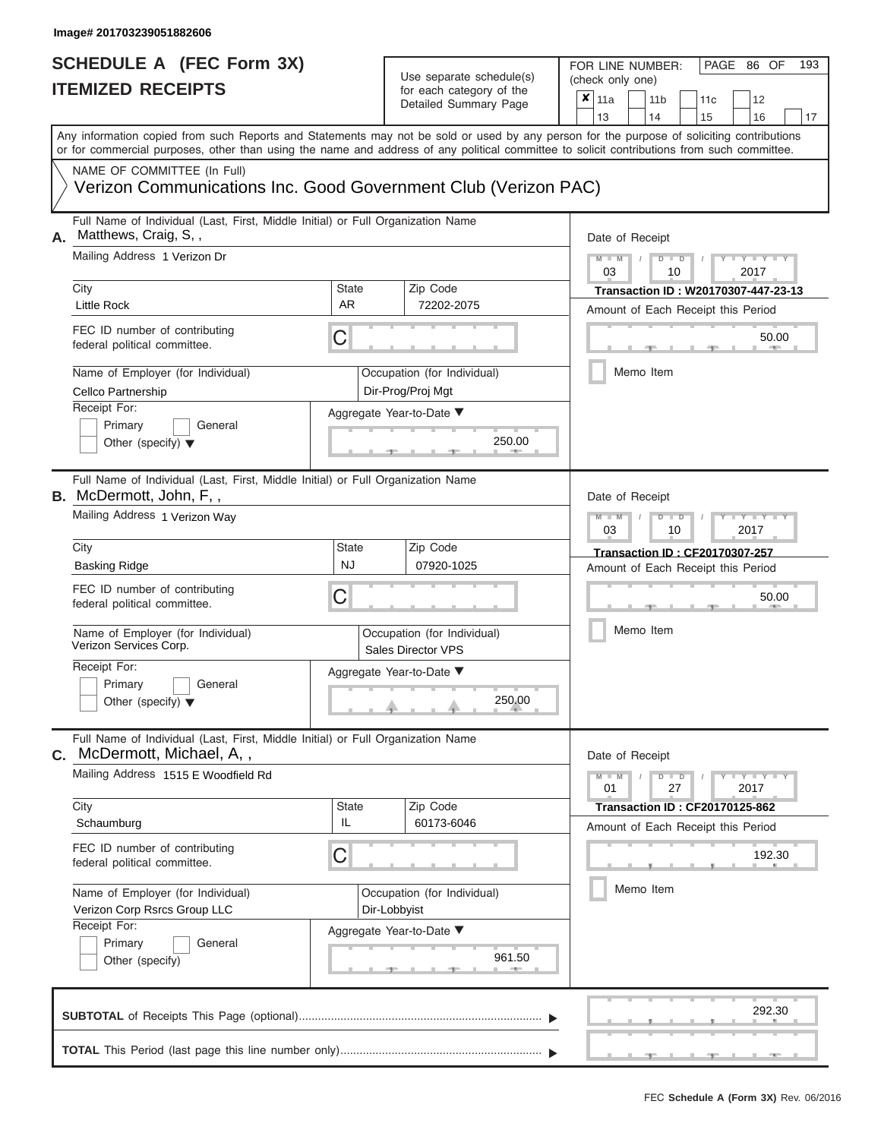|    | SCHEDULE A (FEC Form 3X)<br><b>ITEMIZED RECEIPTS</b>                                                                                                                                                                                                                                                                                                                            |                   | Use separate schedule(s)<br>for each category of the<br>Detailed Summary Page                                    | 193<br>FOR LINE NUMBER:<br>PAGE 86 OF<br>(check only one)<br>$\overline{\mathbf{x}}$   11a<br>11 <sub>b</sub><br>11 <sub>c</sub><br>12                                                      |  |  |  |  |  |  |
|----|---------------------------------------------------------------------------------------------------------------------------------------------------------------------------------------------------------------------------------------------------------------------------------------------------------------------------------------------------------------------------------|-------------------|------------------------------------------------------------------------------------------------------------------|---------------------------------------------------------------------------------------------------------------------------------------------------------------------------------------------|--|--|--|--|--|--|
|    | Any information copied from such Reports and Statements may not be sold or used by any person for the purpose of soliciting contributions<br>or for commercial purposes, other than using the name and address of any political committee to solicit contributions from such committee.                                                                                         |                   |                                                                                                                  | 13<br>14<br>15<br>16<br>17                                                                                                                                                                  |  |  |  |  |  |  |
|    | NAME OF COMMITTEE (In Full)<br>Verizon Communications Inc. Good Government Club (Verizon PAC)                                                                                                                                                                                                                                                                                   |                   |                                                                                                                  |                                                                                                                                                                                             |  |  |  |  |  |  |
| А. | Full Name of Individual (Last, First, Middle Initial) or Full Organization Name<br>Matthews, Craig, S,,<br>Mailing Address 1 Verizon Dr<br>City<br><b>Little Rock</b><br>FEC ID number of contributing<br>federal political committee.<br>Name of Employer (for Individual)<br>Cellco Partnership<br>Receipt For:<br>Primary<br>General<br>Other (specify) $\blacktriangledown$ | State<br>AR.<br>C | Zip Code<br>72202-2075<br>Occupation (for Individual)<br>Dir-Prog/Proj Mgt<br>Aggregate Year-to-Date ▼<br>250.00 | Date of Receipt<br>$M - M$ /<br>$Y - Y - Y$<br>$D$ $D$<br>03<br>2017<br>10<br>Transaction ID: W20170307-447-23-13<br>Amount of Each Receipt this Period<br>50.00<br><b>AND</b><br>Memo Item |  |  |  |  |  |  |
|    | Full Name of Individual (Last, First, Middle Initial) or Full Organization Name<br><b>B.</b> McDermott, John, F,,<br>Mailing Address 1 Verizon Way<br>City                                                                                                                                                                                                                      | <b>State</b>      | Zip Code                                                                                                         | Date of Receipt<br>$M - M$<br>Y Y I<br>$D$ $D$<br>03<br>2017<br>10<br>Transaction ID: CF20170307-257                                                                                        |  |  |  |  |  |  |
|    | Basking Ridge<br>FEC ID number of contributing<br>federal political committee.<br>Name of Employer (for Individual)<br>Verizon Services Corp.<br>Receipt For:<br>Primary<br>General<br>Other (specify) $\blacktriangledown$                                                                                                                                                     | <b>NJ</b><br>С    | 07920-1025<br>Occupation (for Individual)<br><b>Sales Director VPS</b><br>Aggregate Year-to-Date ▼<br>250.00     | Amount of Each Receipt this Period<br>50.00<br>Memo Item                                                                                                                                    |  |  |  |  |  |  |
| С. | Full Name of Individual (Last, First, Middle Initial) or Full Organization Name<br>McDermott, Michael, A,,<br>Mailing Address 1515 E Woodfield Rd<br>City                                                                                                                                                                                                                       | State             | Zip Code                                                                                                         | Date of Receipt<br>$M - M$<br>$D$ $D$<br>$T - Y - T - Y - T - Y$<br>01<br>27<br>2017<br>Transaction ID: CF20170125-862                                                                      |  |  |  |  |  |  |
|    | Schaumburg<br>FEC ID number of contributing<br>federal political committee.                                                                                                                                                                                                                                                                                                     | IL<br>C           | 60173-6046                                                                                                       | Amount of Each Receipt this Period<br>192.30                                                                                                                                                |  |  |  |  |  |  |
|    | Name of Employer (for Individual)<br>Verizon Corp Rsrcs Group LLC<br>Receipt For:<br>Primary<br>General<br>Other (specify)                                                                                                                                                                                                                                                      |                   | Occupation (for Individual)<br>Dir-Lobbyist<br>Aggregate Year-to-Date ▼<br>961.50                                | Memo Item                                                                                                                                                                                   |  |  |  |  |  |  |
|    |                                                                                                                                                                                                                                                                                                                                                                                 |                   |                                                                                                                  | 292.30                                                                                                                                                                                      |  |  |  |  |  |  |
|    |                                                                                                                                                                                                                                                                                                                                                                                 |                   |                                                                                                                  |                                                                                                                                                                                             |  |  |  |  |  |  |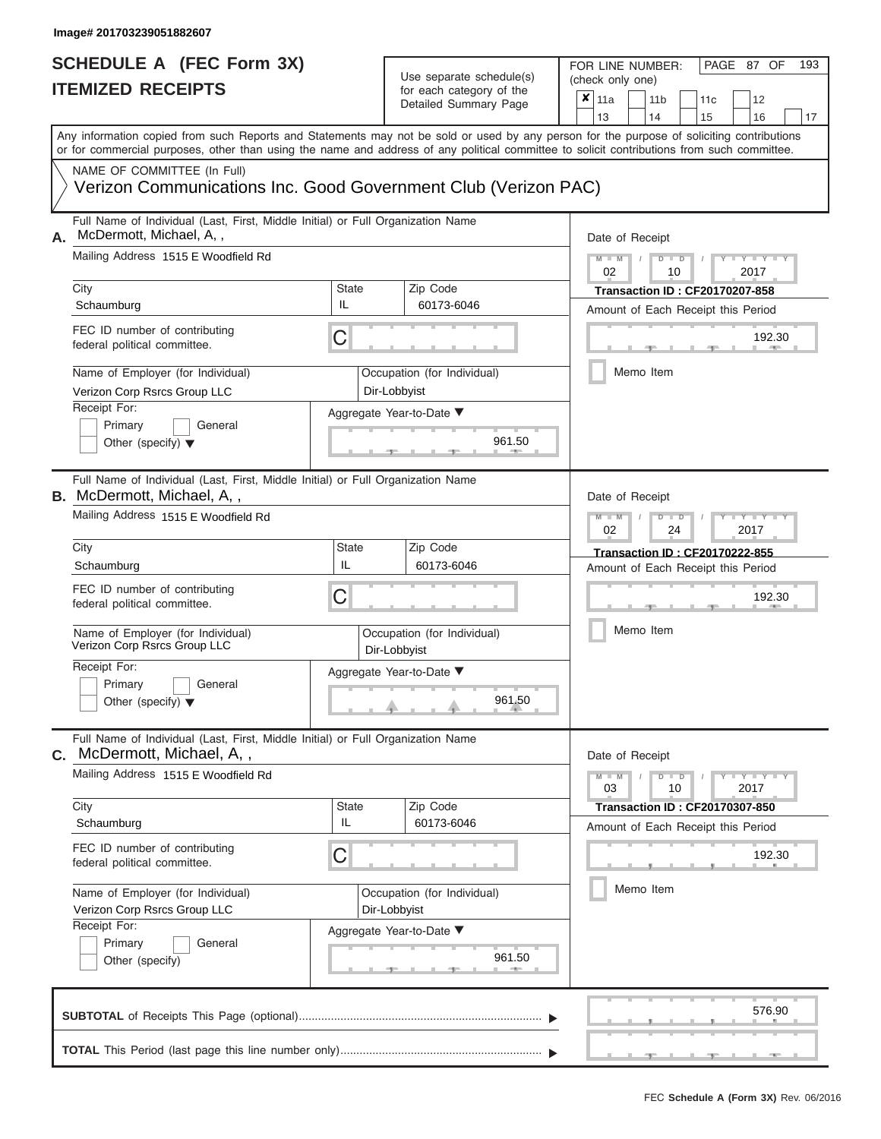| SCHEDULE A (FEC Form 3X)<br><b>ITEMIZED RECEIPTS</b>                                                                                                                                                                                                                                                                                                                                                  | Use separate schedule(s)<br>for each category of the<br>Detailed Summary Page                                                          | 193<br>FOR LINE NUMBER:<br>PAGE 87 OF<br>(check only one)<br>$\overline{\mathbf{x}}$   11a<br>11 <sub>b</sub><br>11 <sub>c</sub><br>12                                                           |
|-------------------------------------------------------------------------------------------------------------------------------------------------------------------------------------------------------------------------------------------------------------------------------------------------------------------------------------------------------------------------------------------------------|----------------------------------------------------------------------------------------------------------------------------------------|--------------------------------------------------------------------------------------------------------------------------------------------------------------------------------------------------|
| Any information copied from such Reports and Statements may not be sold or used by any person for the purpose of soliciting contributions<br>or for commercial purposes, other than using the name and address of any political committee to solicit contributions from such committee.                                                                                                               |                                                                                                                                        | 13<br>14<br>15<br>16<br>17                                                                                                                                                                       |
| NAME OF COMMITTEE (In Full)<br>Verizon Communications Inc. Good Government Club (Verizon PAC)                                                                                                                                                                                                                                                                                                         |                                                                                                                                        |                                                                                                                                                                                                  |
| Full Name of Individual (Last, First, Middle Initial) or Full Organization Name<br>McDermott, Michael, A,,<br>А.<br>Mailing Address 1515 E Woodfield Rd<br>City<br>Schaumburg<br>FEC ID number of contributing<br>federal political committee.<br>Name of Employer (for Individual)<br>Verizon Corp Rsrcs Group LLC<br>Receipt For:<br>Primary<br>General<br>Other (specify) $\blacktriangledown$     | Zip Code<br><b>State</b><br>IL<br>60173-6046<br>С<br>Occupation (for Individual)<br>Dir-Lobbyist<br>Aggregate Year-to-Date ▼<br>961.50 | Date of Receipt<br>$M = M$ /<br>Y I Y I<br>$D$ $D$<br>02<br>10<br>2017<br><b>Transaction ID: CF20170207-858</b><br>Amount of Each Receipt this Period<br>192.30<br>Memo Item                     |
| Full Name of Individual (Last, First, Middle Initial) or Full Organization Name<br><b>B.</b> McDermott, Michael, A,,<br>Mailing Address 1515 E Woodfield Rd<br>City<br>Schaumburg<br>FEC ID number of contributing<br>federal political committee.<br>Name of Employer (for Individual)<br>Verizon Corp Rsrcs Group LLC<br>Receipt For:<br>Primary<br>General<br>Other (specify) $\blacktriangledown$ | Zip Code<br><b>State</b><br>IL<br>60173-6046<br>С<br>Occupation (for Individual)<br>Dir-Lobbyist<br>Aggregate Year-to-Date ▼<br>961.50 | Date of Receipt<br>$M - M$<br>Y TYT<br>$D$ $D$<br>02<br>2017<br>24<br>Transaction ID: CF20170222-855<br>Amount of Each Receipt this Period<br>192.30<br>Memo Item                                |
| Full Name of Individual (Last, First, Middle Initial) or Full Organization Name<br>McDermott, Michael, A,,<br>С.<br>Mailing Address 1515 E Woodfield Rd<br>City<br>Schaumburg<br>FEC ID number of contributing<br>federal political committee.<br>Name of Employer (for Individual)<br>Verizon Corp Rsrcs Group LLC<br>Receipt For:<br>Primary<br>General<br>Other (specify)                          | Zip Code<br><b>State</b><br>IL<br>60173-6046<br>С<br>Occupation (for Individual)<br>Dir-Lobbyist<br>Aggregate Year-to-Date ▼<br>961.50 | Date of Receipt<br>$M - M$<br>$D$ $D$<br>$T-T$ $T$ $T$ $T$ $T$ $T$ $T$<br>03<br>10<br>2017<br><b>Transaction ID: CF20170307-850</b><br>Amount of Each Receipt this Period<br>192.30<br>Memo Item |
|                                                                                                                                                                                                                                                                                                                                                                                                       |                                                                                                                                        | 576.90                                                                                                                                                                                           |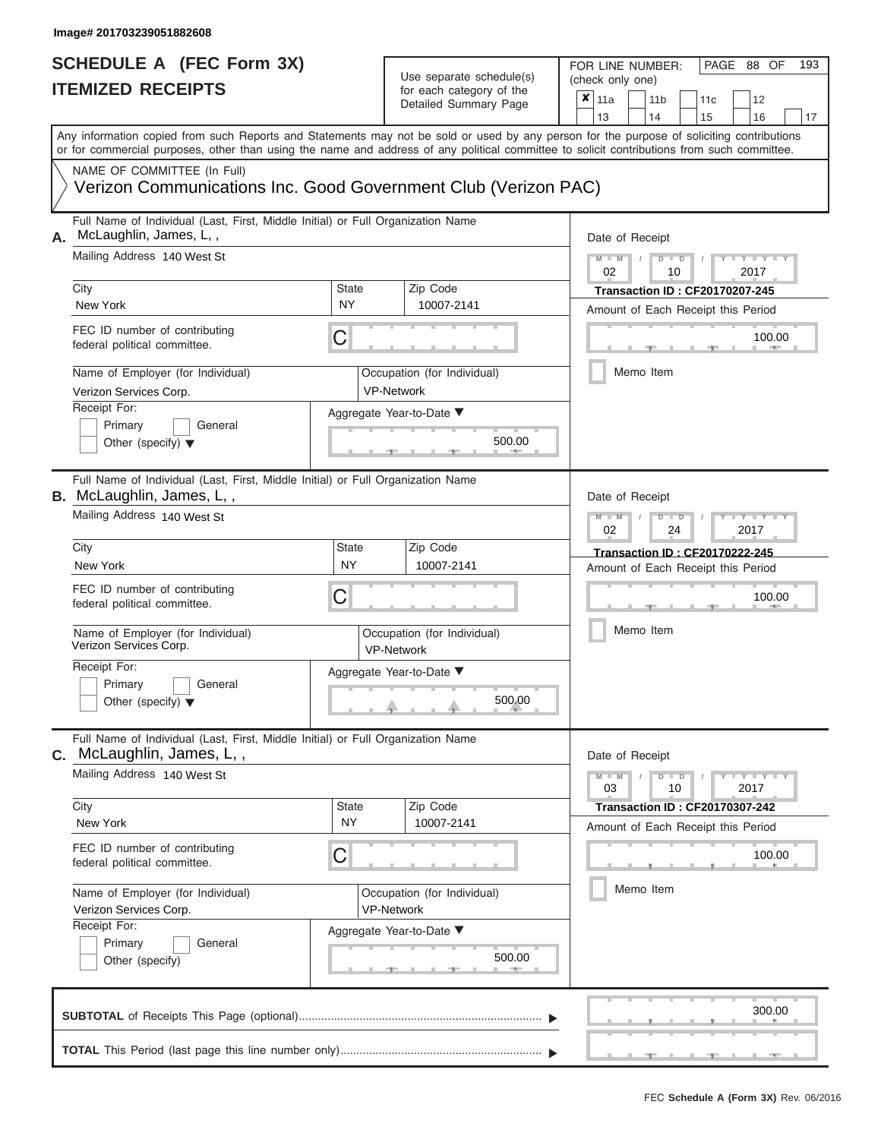### **SCHEDULE A (FEC Form 3X) ITEMIZED RECEIPTS**

## Use separate schedule(s)

| SCHEDULE A (FEC Form 3X)<br><b>ITEMIZED RECEIPTS</b>                                                                                           | Use separate schedule(s)<br>for each category of the<br>Detailed Summary Page |                                                  |                                                                                                                                                                         |  |  |  |  |
|------------------------------------------------------------------------------------------------------------------------------------------------|-------------------------------------------------------------------------------|--------------------------------------------------|-------------------------------------------------------------------------------------------------------------------------------------------------------------------------|--|--|--|--|
|                                                                                                                                                |                                                                               |                                                  | 13<br>16<br>14<br>15<br>17<br>Any information copied from such Reports and Statements may not be sold or used by any person for the purpose of soliciting contributions |  |  |  |  |
|                                                                                                                                                |                                                                               |                                                  | or for commercial purposes, other than using the name and address of any political committee to solicit contributions from such committee.                              |  |  |  |  |
| NAME OF COMMITTEE (In Full)<br>Verizon Communications Inc. Good Government Club (Verizon PAC)                                                  |                                                                               |                                                  |                                                                                                                                                                         |  |  |  |  |
| Full Name of Individual (Last, First, Middle Initial) or Full Organization Name<br>McLaughlin, James, L,,<br>А.<br>Mailing Address 140 West St |                                                                               |                                                  | Date of Receipt                                                                                                                                                         |  |  |  |  |
|                                                                                                                                                |                                                                               |                                                  | $M - M$<br>$D$ $D$<br>$Y - Y - T$<br>02<br>10<br>2017                                                                                                                   |  |  |  |  |
| City<br>New York                                                                                                                               | <b>State</b><br>NY                                                            | Zip Code<br>10007-2141                           | <b>Transaction ID: CF20170207-245</b>                                                                                                                                   |  |  |  |  |
| FEC ID number of contributing                                                                                                                  | С                                                                             |                                                  | Amount of Each Receipt this Period<br>100.00                                                                                                                            |  |  |  |  |
| federal political committee.                                                                                                                   |                                                                               |                                                  |                                                                                                                                                                         |  |  |  |  |
| Name of Employer (for Individual)<br>Verizon Services Corp.                                                                                    |                                                                               | Occupation (for Individual)<br><b>VP-Network</b> | Memo Item                                                                                                                                                               |  |  |  |  |
| Receipt For:                                                                                                                                   |                                                                               | Aggregate Year-to-Date ▼                         |                                                                                                                                                                         |  |  |  |  |
| Primary<br>General<br>Other (specify) $\blacktriangledown$                                                                                     |                                                                               | 500.00                                           |                                                                                                                                                                         |  |  |  |  |
| Full Name of Individual (Last, First, Middle Initial) or Full Organization Name<br><b>B.</b> McLaughlin, James, L,,                            |                                                                               |                                                  | Date of Receipt                                                                                                                                                         |  |  |  |  |
| Mailing Address 140 West St                                                                                                                    |                                                                               |                                                  | $M - M$<br>$D$ $D$<br>Y Y Y<br>2017<br>02<br>24                                                                                                                         |  |  |  |  |
| City                                                                                                                                           | <b>State</b>                                                                  | Zip Code                                         | <b>Transaction ID: CF20170222-245</b>                                                                                                                                   |  |  |  |  |
| New York                                                                                                                                       | <b>NY</b>                                                                     | 10007-2141                                       | Amount of Each Receipt this Period                                                                                                                                      |  |  |  |  |
| FEC ID number of contributing<br>federal political committee.                                                                                  | С                                                                             |                                                  | 100.00                                                                                                                                                                  |  |  |  |  |
| Name of Employer (for Individual)<br>Verizon Services Corp.                                                                                    |                                                                               | Occupation (for Individual)<br><b>VP-Network</b> | Memo Item                                                                                                                                                               |  |  |  |  |
| Receipt For:                                                                                                                                   |                                                                               | Aggregate Year-to-Date ▼                         |                                                                                                                                                                         |  |  |  |  |
| Primary<br>General<br>Other (specify) $\blacktriangledown$                                                                                     |                                                                               | 500.00                                           |                                                                                                                                                                         |  |  |  |  |
| Full Name of Individual (Last, First, Middle Initial) or Full Organization Name<br>C. McLaughlin, James, L,,                                   |                                                                               |                                                  | Date of Receipt                                                                                                                                                         |  |  |  |  |
| Mailing Address 140 West St                                                                                                                    |                                                                               |                                                  | $M - M$<br>$D$ $D$<br>$\mathbf{I} = \mathbf{Y} - \mathbf{I} - \mathbf{Y} - \mathbf{I}$<br>03<br>10<br>2017                                                              |  |  |  |  |
| City<br>New York                                                                                                                               | <b>State</b><br><b>NY</b>                                                     | Zip Code<br>10007-2141                           | <b>Transaction ID: CF20170307-242</b>                                                                                                                                   |  |  |  |  |
| FEC ID number of contributing<br>federal political committee.                                                                                  | С                                                                             |                                                  | Amount of Each Receipt this Period<br>100.00                                                                                                                            |  |  |  |  |
| Name of Employer (for Individual)                                                                                                              |                                                                               | Occupation (for Individual)                      | Memo Item                                                                                                                                                               |  |  |  |  |
| Verizon Services Corp.                                                                                                                         |                                                                               | <b>VP-Network</b>                                |                                                                                                                                                                         |  |  |  |  |
| Receipt For:<br>Primary<br>General<br>Other (specify)                                                                                          |                                                                               | Aggregate Year-to-Date ▼<br>500.00               |                                                                                                                                                                         |  |  |  |  |
|                                                                                                                                                |                                                                               |                                                  | 300.00                                                                                                                                                                  |  |  |  |  |
|                                                                                                                                                |                                                                               |                                                  |                                                                                                                                                                         |  |  |  |  |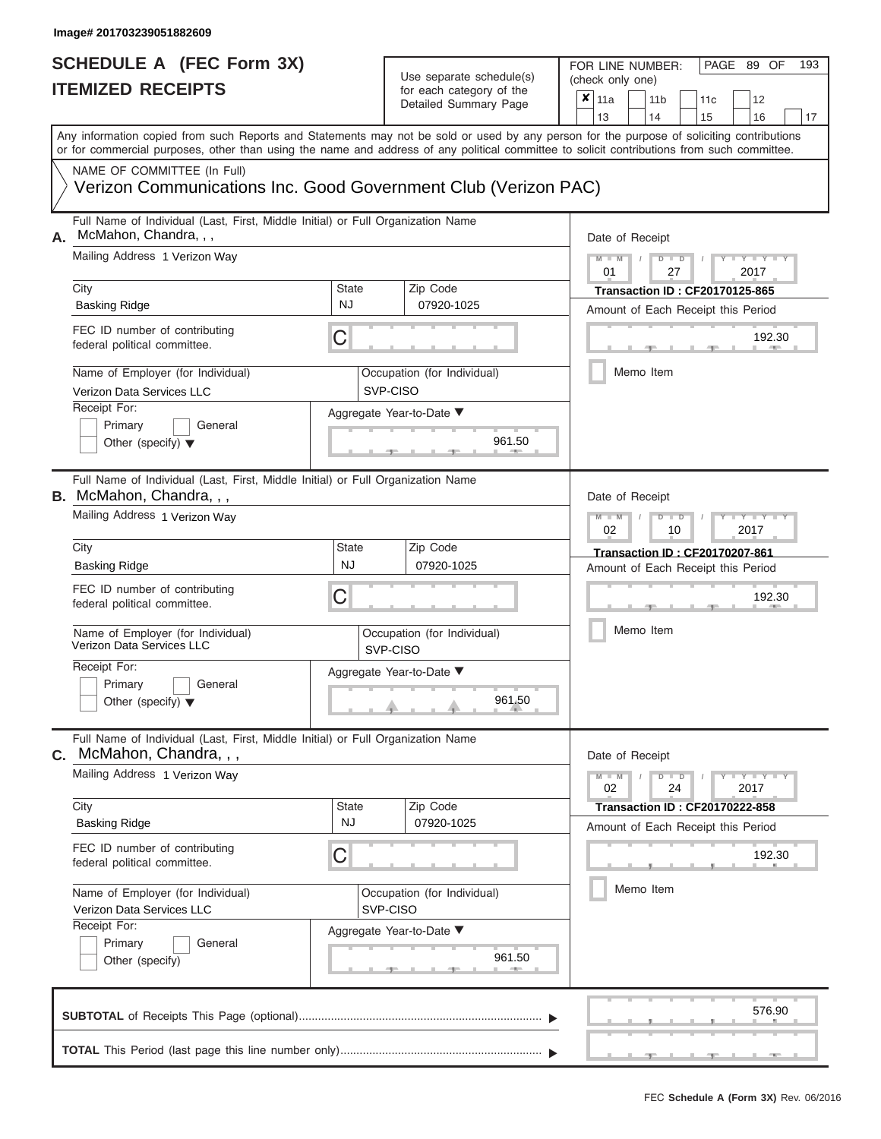| SCHEDULE A (FEC Form 3X)<br><b>ITEMIZED RECEIPTS</b>                                                                                                                                                                                                                                                                                                                                             |                                | Use separate schedule(s)<br>for each category of the<br>Detailed Summary Page                           | 193<br>FOR LINE NUMBER:<br>PAGE 89 OF<br>(check only one)<br>$\boldsymbol{x}$<br>11a<br>11 <sub>b</sub><br>11c<br>12<br>13<br>14<br>15<br>16<br>17                                    |
|--------------------------------------------------------------------------------------------------------------------------------------------------------------------------------------------------------------------------------------------------------------------------------------------------------------------------------------------------------------------------------------------------|--------------------------------|---------------------------------------------------------------------------------------------------------|---------------------------------------------------------------------------------------------------------------------------------------------------------------------------------------|
| Any information copied from such Reports and Statements may not be sold or used by any person for the purpose of soliciting contributions<br>or for commercial purposes, other than using the name and address of any political committee to solicit contributions from such committee.<br>NAME OF COMMITTEE (In Full)                                                                           |                                |                                                                                                         |                                                                                                                                                                                       |
| Verizon Communications Inc. Good Government Club (Verizon PAC)                                                                                                                                                                                                                                                                                                                                   |                                |                                                                                                         |                                                                                                                                                                                       |
| Full Name of Individual (Last, First, Middle Initial) or Full Organization Name<br>McMahon, Chandra, , ,<br>А.<br>Mailing Address 1 Verizon Way<br>City<br><b>Basking Ridge</b><br>FEC ID number of contributing<br>federal political committee.<br>Name of Employer (for Individual)<br>Verizon Data Services LLC<br>Receipt For:<br>Primary<br>General<br>Other (specify) $\blacktriangledown$ | <b>State</b><br><b>NJ</b><br>C | Zip Code<br>07920-1025<br>Occupation (for Individual)<br>SVP-CISO<br>Aggregate Year-to-Date ▼<br>961.50 | Date of Receipt<br>$M - M$<br>$D$ $D$<br>$Y - Y - I$<br>01<br>27<br>2017<br><b>Transaction ID: CF20170125-865</b><br>Amount of Each Receipt this Period<br>192.30<br>Memo Item        |
| Full Name of Individual (Last, First, Middle Initial) or Full Organization Name<br><b>B.</b> McMahon, Chandra, , ,<br>Mailing Address 1 Verizon Way<br>City<br><b>Basking Ridge</b><br>FEC ID number of contributing<br>federal political committee.<br>Name of Employer (for Individual)<br>Verizon Data Services LLC<br>Receipt For:<br>Primary<br>General                                     | State<br><b>NJ</b><br>С        | Zip Code<br>07920-1025<br>Occupation (for Individual)<br>SVP-CISO<br>Aggregate Year-to-Date ▼           | Date of Receipt<br>$M - M$<br>$D$ $\Box$ $D$<br>$Y - I - Y$<br>2017<br>02<br>10<br><b>Transaction ID: CF20170207-861</b><br>Amount of Each Receipt this Period<br>192.30<br>Memo Item |
| Other (specify) $\blacktriangledown$<br>Full Name of Individual (Last, First, Middle Initial) or Full Organization Name<br>$c.$ McMahon, Chandra, , ,<br>Mailing Address 1 Verizon Way                                                                                                                                                                                                           |                                | 961.50                                                                                                  | Date of Receipt<br>$M - M$<br>$D$ $D$<br>$\mathbf{I} = \mathbf{Y} - \mathbf{I} - \mathbf{Y} - \mathbf{I}$                                                                             |
| City<br><b>Basking Ridge</b><br>FEC ID number of contributing<br>federal political committee.<br>Name of Employer (for Individual)<br>Verizon Data Services LLC<br>Receipt For:<br>Primary<br>General                                                                                                                                                                                            | State<br><b>NJ</b><br>С        | Zip Code<br>07920-1025<br>Occupation (for Individual)<br>SVP-CISO<br>Aggregate Year-to-Date ▼           | 24<br>2017<br>02<br><b>Transaction ID: CF20170222-858</b><br>Amount of Each Receipt this Period<br>192.30<br>Memo Item                                                                |
| Other (specify)                                                                                                                                                                                                                                                                                                                                                                                  |                                | 961.50                                                                                                  | 576.90                                                                                                                                                                                |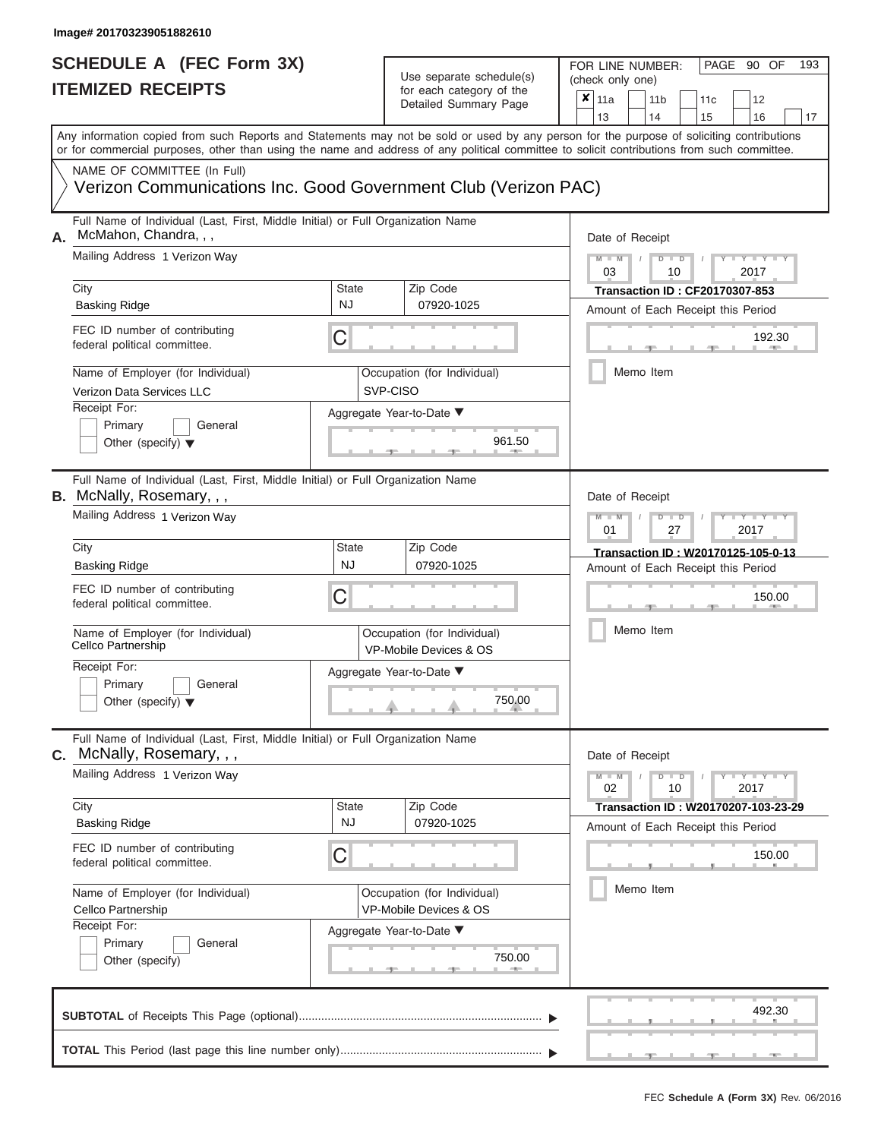### **SCHEDULE A (FEC Form 3X) ITEMIZED RECEIPTS**

## Use separate schedule(s)  $\frac{1}{\pi}$  for each category of the

FOR LINE NUMBER:<br>(check only one)

PAGE 90 OF 193

| II EMILED REVEIF I J          |                                                                                                                                            |                                                                                 | for each category of the<br>Detailed Summary Page | ×                                                     | 11a                                                                         |                                                                          |           | 11 <sub>b</sub> | 11c           |                                                                           | 12 |                                 |                 |  |  |  |  |  |  |  |  |  |
|-------------------------------|--------------------------------------------------------------------------------------------------------------------------------------------|---------------------------------------------------------------------------------|---------------------------------------------------|-------------------------------------------------------|-----------------------------------------------------------------------------|--------------------------------------------------------------------------|-----------|-----------------|---------------|---------------------------------------------------------------------------|----|---------------------------------|-----------------|--|--|--|--|--|--|--|--|--|
|                               | Any information copied from such Reports and Statements may not be sold or used by any person for the purpose of soliciting contributions  |                                                                                 |                                                   |                                                       |                                                                             | 13                                                                       |           | 14              |               | 15                                                                        |    | 16                              | 17              |  |  |  |  |  |  |  |  |  |
|                               | or for commercial purposes, other than using the name and address of any political committee to solicit contributions from such committee. |                                                                                 |                                                   |                                                       |                                                                             |                                                                          |           |                 |               |                                                                           |    |                                 |                 |  |  |  |  |  |  |  |  |  |
|                               | NAME OF COMMITTEE (In Full)<br>Verizon Communications Inc. Good Government Club (Verizon PAC)                                              |                                                                                 |                                                   |                                                       |                                                                             |                                                                          |           |                 |               |                                                                           |    |                                 |                 |  |  |  |  |  |  |  |  |  |
| Α.                            | McMahon, Chandra, , ,                                                                                                                      | Full Name of Individual (Last, First, Middle Initial) or Full Organization Name |                                                   |                                                       |                                                                             |                                                                          |           |                 |               |                                                                           |    |                                 | Date of Receipt |  |  |  |  |  |  |  |  |  |
|                               | Mailing Address 1 Verizon Way                                                                                                              |                                                                                 |                                                   |                                                       |                                                                             | $M - M$<br>$D$ $D$<br>$Y = Y$<br>03<br>10<br>2017                        |           |                 |               |                                                                           |    |                                 |                 |  |  |  |  |  |  |  |  |  |
|                               | City<br><b>Basking Ridge</b>                                                                                                               | <b>State</b><br>NJ                                                              |                                                   | Zip Code<br>07920-1025                                | <b>Transaction ID: CF20170307-853</b><br>Amount of Each Receipt this Period |                                                                          |           |                 |               |                                                                           |    |                                 |                 |  |  |  |  |  |  |  |  |  |
|                               | FEC ID number of contributing<br>federal political committee.                                                                              | С                                                                               |                                                   |                                                       | 192.30                                                                      |                                                                          |           |                 |               |                                                                           |    |                                 |                 |  |  |  |  |  |  |  |  |  |
|                               | Name of Employer (for Individual)<br>Verizon Data Services LLC                                                                             |                                                                                 | SVP-CISO                                          | Occupation (for Individual)                           |                                                                             |                                                                          | Memo Item |                 |               |                                                                           |    |                                 |                 |  |  |  |  |  |  |  |  |  |
|                               | Receipt For:<br>Primary<br>General<br>Other (specify) $\blacktriangledown$                                                                 | Aggregate Year-to-Date ▼                                                        |                                                   | 961.50                                                |                                                                             |                                                                          |           |                 |               |                                                                           |    |                                 |                 |  |  |  |  |  |  |  |  |  |
|                               | Full Name of Individual (Last, First, Middle Initial) or Full Organization Name<br>B. McNally, Rosemary, , ,                               |                                                                                 |                                                   |                                                       |                                                                             | Date of Receipt                                                          |           |                 |               |                                                                           |    |                                 |                 |  |  |  |  |  |  |  |  |  |
| Mailing Address 1 Verizon Way |                                                                                                                                            |                                                                                 |                                                   |                                                       |                                                                             | $M - M$<br>$-Y-I$<br>$D$ $\Box$ $D$<br>01<br>27<br>2017                  |           |                 |               |                                                                           |    |                                 |                 |  |  |  |  |  |  |  |  |  |
|                               | City<br><b>Basking Ridge</b>                                                                                                               | <b>State</b><br><b>NJ</b>                                                       |                                                   | Zip Code<br>07920-1025                                |                                                                             | Transaction ID: W20170125-105-0-13<br>Amount of Each Receipt this Period |           |                 |               |                                                                           |    |                                 |                 |  |  |  |  |  |  |  |  |  |
|                               | FEC ID number of contributing<br>federal political committee.                                                                              | С                                                                               |                                                   | 150.00                                                |                                                                             |                                                                          |           |                 |               |                                                                           |    |                                 |                 |  |  |  |  |  |  |  |  |  |
|                               | Name of Employer (for Individual)<br>Cellco Partnership                                                                                    |                                                                                 |                                                   | Occupation (for Individual)<br>VP-Mobile Devices & OS |                                                                             | Memo Item                                                                |           |                 |               |                                                                           |    |                                 |                 |  |  |  |  |  |  |  |  |  |
|                               | Receipt For:<br>Primary<br>General<br>Other (specify) $\blacktriangledown$                                                                 | Aggregate Year-to-Date ▼                                                        |                                                   | 750.00                                                |                                                                             |                                                                          |           |                 |               |                                                                           |    |                                 |                 |  |  |  |  |  |  |  |  |  |
| С.                            | Full Name of Individual (Last, First, Middle Initial) or Full Organization Name<br>McNally, Rosemary, , ,                                  |                                                                                 |                                                   |                                                       |                                                                             | Date of Receipt                                                          |           |                 |               |                                                                           |    |                                 |                 |  |  |  |  |  |  |  |  |  |
|                               | Mailing Address 1 Verizon Way                                                                                                              |                                                                                 |                                                   |                                                       |                                                                             | $M - M$<br>02                                                            |           |                 | $D$ $D$<br>10 |                                                                           |    | $Y - Y - Y - Y - I - Y$<br>2017 |                 |  |  |  |  |  |  |  |  |  |
|                               | City<br><b>Basking Ridge</b>                                                                                                               | <b>State</b><br><b>NJ</b>                                                       |                                                   | Zip Code<br>07920-1025                                |                                                                             |                                                                          |           |                 |               | Transaction ID: W20170207-103-23-29<br>Amount of Each Receipt this Period |    |                                 |                 |  |  |  |  |  |  |  |  |  |
|                               | FEC ID number of contributing<br>federal political committee.                                                                              | С                                                                               |                                                   |                                                       |                                                                             |                                                                          |           |                 |               |                                                                           |    | 150.00                          |                 |  |  |  |  |  |  |  |  |  |
|                               | Name of Employer (for Individual)<br>Cellco Partnership                                                                                    |                                                                                 |                                                   | Occupation (for Individual)<br>VP-Mobile Devices & OS |                                                                             | Memo Item                                                                |           |                 |               |                                                                           |    |                                 |                 |  |  |  |  |  |  |  |  |  |
|                               | Receipt For:<br>Primary<br>General                                                                                                         | Aggregate Year-to-Date ▼                                                        |                                                   |                                                       |                                                                             |                                                                          |           |                 |               |                                                                           |    |                                 |                 |  |  |  |  |  |  |  |  |  |
|                               | Other (specify)                                                                                                                            |                                                                                 |                                                   | 750.00                                                |                                                                             |                                                                          |           |                 |               |                                                                           |    |                                 |                 |  |  |  |  |  |  |  |  |  |
|                               |                                                                                                                                            |                                                                                 |                                                   |                                                       |                                                                             |                                                                          |           |                 |               |                                                                           |    | 492.30                          |                 |  |  |  |  |  |  |  |  |  |
|                               |                                                                                                                                            |                                                                                 |                                                   |                                                       |                                                                             |                                                                          |           |                 |               |                                                                           |    |                                 |                 |  |  |  |  |  |  |  |  |  |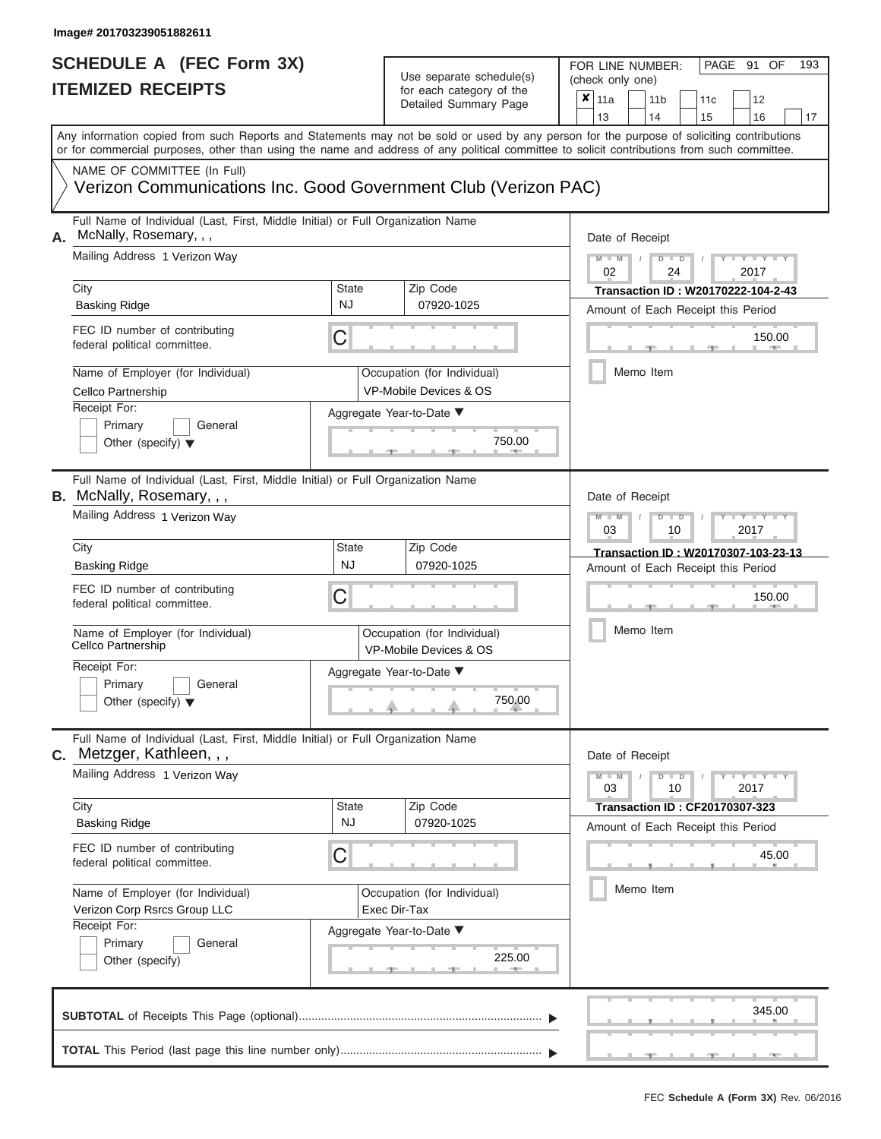FOR LINE NUMBER:<br>(check only one)

PAGE 91 OF 193

| IIEMILED REVEIFIJ |                                                                                                                                                                                                                                                                                         | for each category of the<br>Detailed Summary Page                               | × | 11a                                                   |                                                                          | 11 <sub>b</sub>                                                           |           | 11c       | 12            |        |                                                                             |                 |  |  |  |  |  |  |  |  |  |  |
|-------------------|-----------------------------------------------------------------------------------------------------------------------------------------------------------------------------------------------------------------------------------------------------------------------------------------|---------------------------------------------------------------------------------|---|-------------------------------------------------------|--------------------------------------------------------------------------|---------------------------------------------------------------------------|-----------|-----------|---------------|--------|-----------------------------------------------------------------------------|-----------------|--|--|--|--|--|--|--|--|--|--|
|                   |                                                                                                                                                                                                                                                                                         |                                                                                 |   |                                                       |                                                                          | 13                                                                        |           | 14        |               | 15     | 16                                                                          | 17              |  |  |  |  |  |  |  |  |  |  |
|                   | Any information copied from such Reports and Statements may not be sold or used by any person for the purpose of soliciting contributions<br>or for commercial purposes, other than using the name and address of any political committee to solicit contributions from such committee. |                                                                                 |   |                                                       |                                                                          |                                                                           |           |           |               |        |                                                                             |                 |  |  |  |  |  |  |  |  |  |  |
|                   | NAME OF COMMITTEE (In Full)<br>Verizon Communications Inc. Good Government Club (Verizon PAC)                                                                                                                                                                                           |                                                                                 |   |                                                       |                                                                          |                                                                           |           |           |               |        |                                                                             |                 |  |  |  |  |  |  |  |  |  |  |
| А.                | McNally, Rosemary, , ,                                                                                                                                                                                                                                                                  | Full Name of Individual (Last, First, Middle Initial) or Full Organization Name |   |                                                       |                                                                          |                                                                           |           |           |               |        |                                                                             | Date of Receipt |  |  |  |  |  |  |  |  |  |  |
|                   | Mailing Address 1 Verizon Way                                                                                                                                                                                                                                                           |                                                                                 |   |                                                       |                                                                          | $M - M$<br>$Y - Y - Y$<br>$D$ $D$<br>02<br>24<br>2017                     |           |           |               |        |                                                                             |                 |  |  |  |  |  |  |  |  |  |  |
|                   | City<br><b>Basking Ridge</b>                                                                                                                                                                                                                                                            | <b>State</b><br>NJ                                                              |   | Zip Code<br>07920-1025                                | Transaction ID: W20170222-104-2-43<br>Amount of Each Receipt this Period |                                                                           |           |           |               |        |                                                                             |                 |  |  |  |  |  |  |  |  |  |  |
|                   | FEC ID number of contributing<br>federal political committee.                                                                                                                                                                                                                           | С                                                                               |   |                                                       |                                                                          |                                                                           |           |           |               |        | 150.00                                                                      |                 |  |  |  |  |  |  |  |  |  |  |
|                   | Name of Employer (for Individual)<br>Cellco Partnership                                                                                                                                                                                                                                 |                                                                                 |   | Occupation (for Individual)<br>VP-Mobile Devices & OS |                                                                          |                                                                           | Memo Item |           |               |        |                                                                             |                 |  |  |  |  |  |  |  |  |  |  |
|                   | Receipt For:<br>Primary<br>General<br>Other (specify) $\blacktriangledown$                                                                                                                                                                                                              |                                                                                 |   | Aggregate Year-to-Date ▼<br>750.00                    |                                                                          |                                                                           |           |           |               |        |                                                                             |                 |  |  |  |  |  |  |  |  |  |  |
|                   | Full Name of Individual (Last, First, Middle Initial) or Full Organization Name<br><b>B.</b> McNally, Rosemary, , ,                                                                                                                                                                     |                                                                                 |   |                                                       |                                                                          | Date of Receipt                                                           |           |           |               |        |                                                                             |                 |  |  |  |  |  |  |  |  |  |  |
|                   | Mailing Address 1 Verizon Way                                                                                                                                                                                                                                                           |                                                                                 |   |                                                       |                                                                          | $M - M$<br>03                                                             |           |           | $D$ $D$<br>10 |        | Y I Y I<br>2017                                                             |                 |  |  |  |  |  |  |  |  |  |  |
|                   | City<br><b>Basking Ridge</b>                                                                                                                                                                                                                                                            | State<br><b>NJ</b>                                                              |   | Zip Code<br>07920-1025                                |                                                                          | Transaction ID: W20170307-103-23-13<br>Amount of Each Receipt this Period |           |           |               |        |                                                                             |                 |  |  |  |  |  |  |  |  |  |  |
|                   | FEC ID number of contributing<br>federal political committee.                                                                                                                                                                                                                           | С                                                                               |   |                                                       |                                                                          |                                                                           |           |           |               | 150.00 |                                                                             |                 |  |  |  |  |  |  |  |  |  |  |
|                   | Name of Employer (for Individual)<br>Cellco Partnership                                                                                                                                                                                                                                 |                                                                                 |   | Occupation (for Individual)<br>VP-Mobile Devices & OS |                                                                          |                                                                           | Memo Item |           |               |        |                                                                             |                 |  |  |  |  |  |  |  |  |  |  |
|                   | Receipt For:<br>Primary<br>General<br>Other (specify) $\blacktriangledown$                                                                                                                                                                                                              |                                                                                 |   | Aggregate Year-to-Date ▼<br>750.00                    |                                                                          |                                                                           |           |           |               |        |                                                                             |                 |  |  |  |  |  |  |  |  |  |  |
| С.                | Full Name of Individual (Last, First, Middle Initial) or Full Organization Name<br>Metzger, Kathleen, , ,                                                                                                                                                                               |                                                                                 |   |                                                       |                                                                          | Date of Receipt                                                           |           |           |               |        |                                                                             |                 |  |  |  |  |  |  |  |  |  |  |
|                   | Mailing Address 1 Verizon Way                                                                                                                                                                                                                                                           |                                                                                 |   |                                                       |                                                                          | $M - M$<br>$Y - Y - Y - Y - I - Y$<br>$D$ $D$<br>03<br>10<br>2017         |           |           |               |        |                                                                             |                 |  |  |  |  |  |  |  |  |  |  |
|                   | City<br><b>Basking Ridge</b>                                                                                                                                                                                                                                                            | <b>State</b><br><b>NJ</b>                                                       |   | Zip Code<br>07920-1025                                |                                                                          |                                                                           |           |           |               |        | <b>Transaction ID: CF20170307-323</b><br>Amount of Each Receipt this Period |                 |  |  |  |  |  |  |  |  |  |  |
|                   | FEC ID number of contributing<br>federal political committee.                                                                                                                                                                                                                           | C                                                                               |   |                                                       |                                                                          |                                                                           |           |           |               |        | 45.00                                                                       |                 |  |  |  |  |  |  |  |  |  |  |
|                   | Name of Employer (for Individual)<br>Verizon Corp Rsrcs Group LLC                                                                                                                                                                                                                       | Occupation (for Individual)<br>Exec Dir-Tax                                     |   |                                                       |                                                                          |                                                                           |           | Memo Item |               |        |                                                                             |                 |  |  |  |  |  |  |  |  |  |  |
|                   | Receipt For:<br>Primary<br>General<br>Other (specify)                                                                                                                                                                                                                                   |                                                                                 |   | Aggregate Year-to-Date ▼<br>225.00                    |                                                                          |                                                                           |           |           |               |        |                                                                             |                 |  |  |  |  |  |  |  |  |  |  |
|                   |                                                                                                                                                                                                                                                                                         |                                                                                 |   |                                                       |                                                                          |                                                                           |           |           |               |        | 345.00                                                                      |                 |  |  |  |  |  |  |  |  |  |  |
|                   |                                                                                                                                                                                                                                                                                         |                                                                                 |   |                                                       |                                                                          |                                                                           |           |           |               |        |                                                                             |                 |  |  |  |  |  |  |  |  |  |  |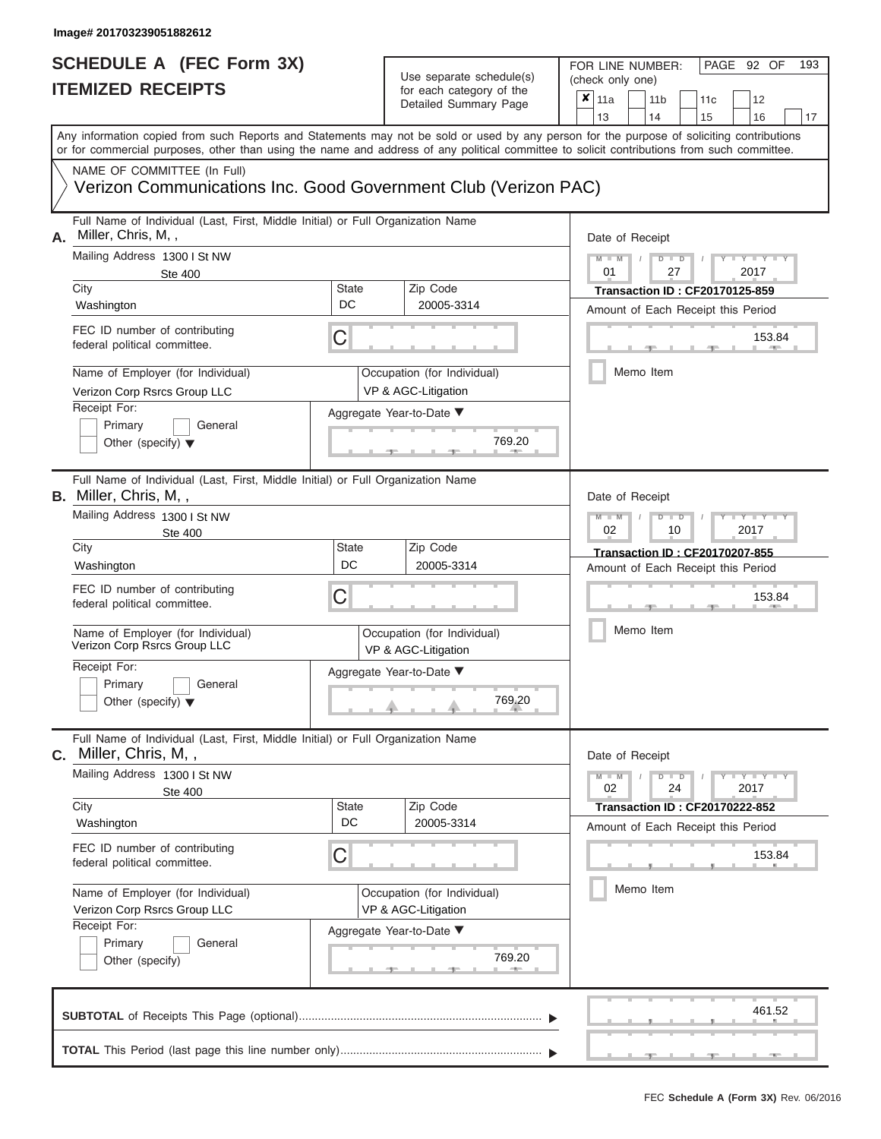| SCHEDULE A (FEC Form 3X)<br><b>ITEMIZED RECEIPTS</b>                                                                                                                                                                                                                                                                                                                                                    | Use separate schedule(s)<br>for each category of the<br>Detailed Summary Page                                                                 | 193<br>FOR LINE NUMBER:<br>PAGE 92 OF<br>(check only one)<br>$\overline{\mathbf{x}}$   11a<br>11 <sub>b</sub><br>12<br>11c<br>13<br>14<br>15<br>16<br>17                                     |
|---------------------------------------------------------------------------------------------------------------------------------------------------------------------------------------------------------------------------------------------------------------------------------------------------------------------------------------------------------------------------------------------------------|-----------------------------------------------------------------------------------------------------------------------------------------------|----------------------------------------------------------------------------------------------------------------------------------------------------------------------------------------------|
| or for commercial purposes, other than using the name and address of any political committee to solicit contributions from such committee.<br>NAME OF COMMITTEE (In Full)<br>Verizon Communications Inc. Good Government Club (Verizon PAC)                                                                                                                                                             |                                                                                                                                               | Any information copied from such Reports and Statements may not be sold or used by any person for the purpose of soliciting contributions                                                    |
| Full Name of Individual (Last, First, Middle Initial) or Full Organization Name<br>Miller, Chris, M,,<br>А.<br>Mailing Address 1300   St NW<br><b>Ste 400</b><br>City<br>Washington<br>FEC ID number of contributing<br>federal political committee.<br>Name of Employer (for Individual)<br>Verizon Corp Rsrcs Group LLC<br>Receipt For:<br>Primary<br>General<br>Other (specify) $\blacktriangledown$ | Zip Code<br>State<br>DC<br>20005-3314<br>С<br>Occupation (for Individual)<br>VP & AGC-Litigation<br>Aggregate Year-to-Date ▼<br>769.20        | Date of Receipt<br>$M = M$ /<br>$D$ $D$<br>Y TY T<br>01<br>2017<br>27<br><b>Transaction ID: CF20170125-859</b><br>Amount of Each Receipt this Period<br>153.84<br><b>AND IN</b><br>Memo Item |
| Full Name of Individual (Last, First, Middle Initial) or Full Organization Name<br><b>B.</b> Miller, Chris, M,,<br>Mailing Address 1300 I St NW<br>Ste 400<br>City<br>Washington<br>FEC ID number of contributing<br>federal political committee.<br>Name of Employer (for Individual)<br>Verizon Corp Rsrcs Group LLC<br>Receipt For:<br>Primary<br>General<br>Other (specify) $\blacktriangledown$    | <b>State</b><br>Zip Code<br>DC<br>20005-3314<br>С<br>Occupation (for Individual)<br>VP & AGC-Litigation<br>Aggregate Year-to-Date ▼<br>769.20 | Date of Receipt<br>$M - M$<br>$D$ $\Box$ $D$<br>Y TY<br>2017<br>02<br>10<br>Transaction ID: CF20170207-855<br>Amount of Each Receipt this Period<br>153.84<br>Memo Item                      |
| Full Name of Individual (Last, First, Middle Initial) or Full Organization Name<br>C. Miller, Chris, M,,<br>Mailing Address 1300 I St NW<br>Ste 400<br>City<br>Washington<br>FEC ID number of contributing<br>federal political committee.<br>Name of Employer (for Individual)<br>Verizon Corp Rsrcs Group LLC<br>Receipt For:<br>Primary<br>General<br>Other (specify)                                | Zip Code<br>State<br>DC<br>20005-3314<br>С<br>Occupation (for Individual)<br>VP & AGC-Litigation<br>Aggregate Year-to-Date ▼<br>769.20        | Date of Receipt<br>$M - M$<br>$D$ $D$<br>$T - Y = Y - T Y$<br>24<br>2017<br>02<br><b>Transaction ID: CF20170222-852</b><br>Amount of Each Receipt this Period<br>153.84<br>Memo Item         |
|                                                                                                                                                                                                                                                                                                                                                                                                         |                                                                                                                                               | 461.52<br>$-1 -$                                                                                                                                                                             |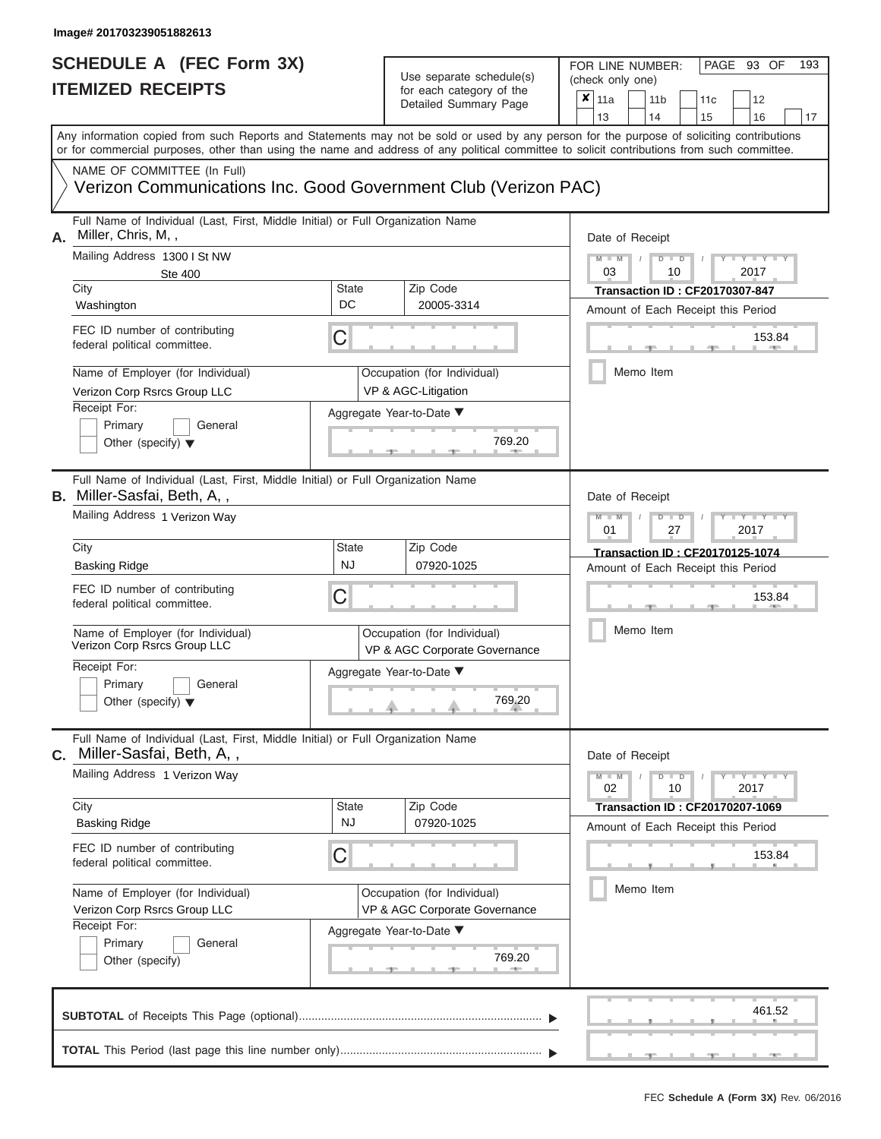| SCHEDULE A (FEC Form 3X)<br><b>ITEMIZED RECEIPTS</b>                                                                                                                                                                                                                                                                                                                                                    |                                | Use separate schedule(s)<br>for each category of the<br>Detailed Summary Page                                                | 193<br>FOR LINE NUMBER:<br>PAGE 93 OF<br>(check only one)<br>$\overline{\mathbf{x}}$   11a<br>11 <sub>b</sub><br>12<br>11c<br>13<br>14<br>15<br>16<br>17                                     |
|---------------------------------------------------------------------------------------------------------------------------------------------------------------------------------------------------------------------------------------------------------------------------------------------------------------------------------------------------------------------------------------------------------|--------------------------------|------------------------------------------------------------------------------------------------------------------------------|----------------------------------------------------------------------------------------------------------------------------------------------------------------------------------------------|
| Any information copied from such Reports and Statements may not be sold or used by any person for the purpose of soliciting contributions<br>or for commercial purposes, other than using the name and address of any political committee to solicit contributions from such committee.<br>NAME OF COMMITTEE (In Full)<br>Verizon Communications Inc. Good Government Club (Verizon PAC)                |                                |                                                                                                                              |                                                                                                                                                                                              |
| Full Name of Individual (Last, First, Middle Initial) or Full Organization Name<br>Miller, Chris, M,,<br>А.<br>Mailing Address 1300   St NW<br><b>Ste 400</b><br>City<br>Washington<br>FEC ID number of contributing<br>federal political committee.<br>Name of Employer (for Individual)<br>Verizon Corp Rsrcs Group LLC<br>Receipt For:<br>Primary<br>General<br>Other (specify) $\blacktriangledown$ | <b>State</b><br>DC<br>С        | Zip Code<br>20005-3314<br>Occupation (for Individual)<br>VP & AGC-Litigation<br>Aggregate Year-to-Date ▼<br>769.20           | Date of Receipt<br>$M - M$<br>$D$ $D$<br>Y I Y I<br>$\frac{1}{2}$<br>03<br>2017<br>10<br><b>Transaction ID: CF20170307-847</b><br>Amount of Each Receipt this Period<br>153.84<br>Memo Item  |
| Full Name of Individual (Last, First, Middle Initial) or Full Organization Name<br>B. Miller-Sasfai, Beth, A,,<br>Mailing Address 1 Verizon Way<br>City<br><b>Basking Ridge</b><br>FEC ID number of contributing<br>federal political committee.<br>Name of Employer (for Individual)<br>Verizon Corp Rsrcs Group LLC<br>Receipt For:<br>Primary<br>General<br>Other (specify) $\blacktriangledown$     | <b>State</b><br><b>NJ</b><br>С | Zip Code<br>07920-1025<br>Occupation (for Individual)<br>VP & AGC Corporate Governance<br>Aggregate Year-to-Date ▼<br>769.20 | Date of Receipt<br>$M - M$<br>$D$ $\Box$ $D$<br>Y I Y I<br>01<br>2017<br>27<br>Transaction ID: CF20170125-1074<br>Amount of Each Receipt this Period<br>153.84<br>Memo Item                  |
| Full Name of Individual (Last, First, Middle Initial) or Full Organization Name<br>Miller-Sasfai, Beth, A,,<br>С.<br>Mailing Address 1 Verizon Way<br>City<br><b>Basking Ridge</b><br>FEC ID number of contributing<br>federal political committee.<br>Name of Employer (for Individual)<br>Verizon Corp Rsrcs Group LLC<br>Receipt For:<br>Primary<br>General<br>Other (specify)                       | <b>State</b><br><b>NJ</b><br>С | Zip Code<br>07920-1025<br>Occupation (for Individual)<br>VP & AGC Corporate Governance<br>Aggregate Year-to-Date ▼<br>769.20 | Date of Receipt<br>$M - M$<br>$D$ $\Box$ $D$<br>$T - Y = Y - T Y$<br>10<br>2017<br>02<br><b>Transaction ID: CF20170207-1069</b><br>Amount of Each Receipt this Period<br>153.84<br>Memo Item |
|                                                                                                                                                                                                                                                                                                                                                                                                         |                                |                                                                                                                              | 461.52                                                                                                                                                                                       |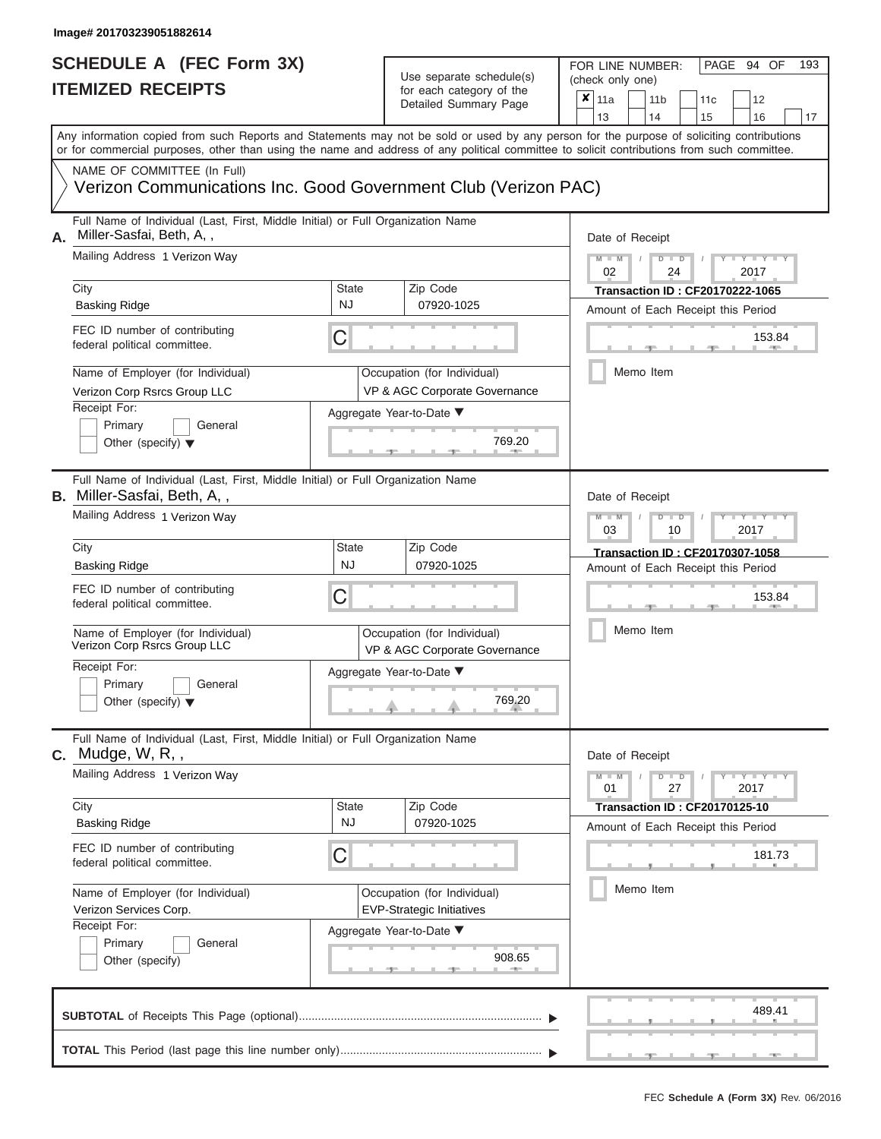### **SCHEDULE A (FEC Form 3X) ITEMIZED RECEIPTS**

## Use separate schedule(s)<br>for each category of the

FOR LINE NUMBER:<br>(check only one)

PAGE 94 OF 193

|    | IILMILLU INLVLII I                                                                                                                                                                                                                                                                      |              | iui cauli calcyuly ul lilic<br>Detailed Summary Page         | ×                                      | 11a                                |  | 11 <sub>b</sub>                         | 11c                                  |  | 12                  |    |  |  |  |  |
|----|-----------------------------------------------------------------------------------------------------------------------------------------------------------------------------------------------------------------------------------------------------------------------------------------|--------------|--------------------------------------------------------------|----------------------------------------|------------------------------------|--|-----------------------------------------|--------------------------------------|--|---------------------|----|--|--|--|--|
|    |                                                                                                                                                                                                                                                                                         |              |                                                              |                                        | 13                                 |  | 14                                      | 15                                   |  | 16                  | 17 |  |  |  |  |
|    | Any information copied from such Reports and Statements may not be sold or used by any person for the purpose of soliciting contributions<br>or for commercial purposes, other than using the name and address of any political committee to solicit contributions from such committee. |              |                                                              |                                        |                                    |  |                                         |                                      |  |                     |    |  |  |  |  |
|    | NAME OF COMMITTEE (In Full)                                                                                                                                                                                                                                                             |              |                                                              |                                        |                                    |  |                                         |                                      |  |                     |    |  |  |  |  |
|    | Verizon Communications Inc. Good Government Club (Verizon PAC)                                                                                                                                                                                                                          |              |                                                              |                                        |                                    |  |                                         |                                      |  |                     |    |  |  |  |  |
| Α. | Full Name of Individual (Last, First, Middle Initial) or Full Organization Name<br>Miller-Sasfai, Beth, A,,                                                                                                                                                                             |              |                                                              | Date of Receipt                        |                                    |  |                                         |                                      |  |                     |    |  |  |  |  |
|    | Mailing Address 1 Verizon Way                                                                                                                                                                                                                                                           |              |                                                              | $M - M$<br>$D$ $D$<br>02<br>24<br>2017 |                                    |  |                                         |                                      |  |                     |    |  |  |  |  |
|    | City                                                                                                                                                                                                                                                                                    | <b>State</b> | Zip Code                                                     | <b>Transaction ID: CF20170222-1065</b> |                                    |  |                                         |                                      |  |                     |    |  |  |  |  |
|    | <b>Basking Ridge</b>                                                                                                                                                                                                                                                                    | <b>NJ</b>    | 07920-1025                                                   |                                        | Amount of Each Receipt this Period |  |                                         |                                      |  |                     |    |  |  |  |  |
|    | FEC ID number of contributing<br>federal political committee.                                                                                                                                                                                                                           | C            |                                                              | 153.84                                 |                                    |  |                                         |                                      |  |                     |    |  |  |  |  |
|    | Name of Employer (for Individual)<br>Verizon Corp Rsrcs Group LLC                                                                                                                                                                                                                       |              | Occupation (for Individual)<br>VP & AGC Corporate Governance |                                        |                                    |  | Memo Item                               |                                      |  |                     |    |  |  |  |  |
|    | Receipt For:                                                                                                                                                                                                                                                                            |              | Aggregate Year-to-Date ▼                                     |                                        |                                    |  |                                         |                                      |  |                     |    |  |  |  |  |
|    | Primary<br>General<br>Other (specify) $\blacktriangledown$                                                                                                                                                                                                                              |              | 769.20                                                       |                                        |                                    |  |                                         |                                      |  |                     |    |  |  |  |  |
|    | Full Name of Individual (Last, First, Middle Initial) or Full Organization Name<br>B. Miller-Sasfai, Beth, A,,                                                                                                                                                                          |              |                                                              |                                        | Date of Receipt                    |  |                                         |                                      |  |                     |    |  |  |  |  |
|    | Mailing Address 1 Verizon Way                                                                                                                                                                                                                                                           |              |                                                              |                                        | $M - M$<br>03                      |  | $\overline{\mathsf{D}}$<br>$\Box$<br>10 |                                      |  | 2017                |    |  |  |  |  |
|    | City                                                                                                                                                                                                                                                                                    | <b>State</b> | Zip Code                                                     |                                        |                                    |  |                                         | Transaction ID: CF20170307-1058      |  |                     |    |  |  |  |  |
|    | <b>Basking Ridge</b>                                                                                                                                                                                                                                                                    | <b>NJ</b>    | 07920-1025                                                   |                                        | Amount of Each Receipt this Period |  |                                         |                                      |  |                     |    |  |  |  |  |
|    | FEC ID number of contributing<br>federal political committee.                                                                                                                                                                                                                           | C            |                                                              |                                        |                                    |  |                                         |                                      |  | 153.84              |    |  |  |  |  |
|    | Name of Employer (for Individual)<br>Verizon Corp Rsrcs Group LLC                                                                                                                                                                                                                       |              | Occupation (for Individual)<br>VP & AGC Corporate Governance |                                        |                                    |  | Memo Item                               |                                      |  |                     |    |  |  |  |  |
|    | Receipt For:                                                                                                                                                                                                                                                                            |              | Aggregate Year-to-Date ▼                                     |                                        |                                    |  |                                         |                                      |  |                     |    |  |  |  |  |
|    | Primary<br>General<br>Other (specify) $\blacktriangledown$                                                                                                                                                                                                                              |              | 769.20                                                       |                                        |                                    |  |                                         |                                      |  |                     |    |  |  |  |  |
| С. | Full Name of Individual (Last, First, Middle Initial) or Full Organization Name<br>Mudge, W, R, ,                                                                                                                                                                                       |              |                                                              |                                        | Date of Receipt                    |  |                                         |                                      |  |                     |    |  |  |  |  |
|    | Mailing Address 1 Verizon Way                                                                                                                                                                                                                                                           |              |                                                              |                                        | $M - M$<br>01                      |  | $D$ $D$<br>27                           |                                      |  | $Y - Y - Y$<br>2017 |    |  |  |  |  |
|    | City                                                                                                                                                                                                                                                                                    | <b>State</b> | Zip Code                                                     |                                        |                                    |  |                                         | <b>Transaction ID: CF20170125-10</b> |  |                     |    |  |  |  |  |
|    | <b>Basking Ridge</b>                                                                                                                                                                                                                                                                    | <b>NJ</b>    | 07920-1025                                                   |                                        |                                    |  |                                         | Amount of Each Receipt this Period   |  |                     |    |  |  |  |  |
|    | FEC ID number of contributing<br>federal political committee.                                                                                                                                                                                                                           | С            |                                                              |                                        |                                    |  |                                         |                                      |  | 181.73              |    |  |  |  |  |
|    | Name of Employer (for Individual)                                                                                                                                                                                                                                                       |              | Occupation (for Individual)                                  |                                        |                                    |  | Memo Item                               |                                      |  |                     |    |  |  |  |  |
|    | Verizon Services Corp.                                                                                                                                                                                                                                                                  |              | <b>EVP-Strategic Initiatives</b>                             |                                        |                                    |  |                                         |                                      |  |                     |    |  |  |  |  |
|    | Receipt For:                                                                                                                                                                                                                                                                            |              | Aggregate Year-to-Date ▼                                     |                                        |                                    |  |                                         |                                      |  |                     |    |  |  |  |  |
|    | Primary<br>General<br>Other (specify)                                                                                                                                                                                                                                                   |              | 908.65                                                       |                                        |                                    |  |                                         |                                      |  |                     |    |  |  |  |  |
|    |                                                                                                                                                                                                                                                                                         |              |                                                              |                                        |                                    |  |                                         |                                      |  | 489.41              |    |  |  |  |  |
|    |                                                                                                                                                                                                                                                                                         |              |                                                              |                                        |                                    |  |                                         |                                      |  |                     |    |  |  |  |  |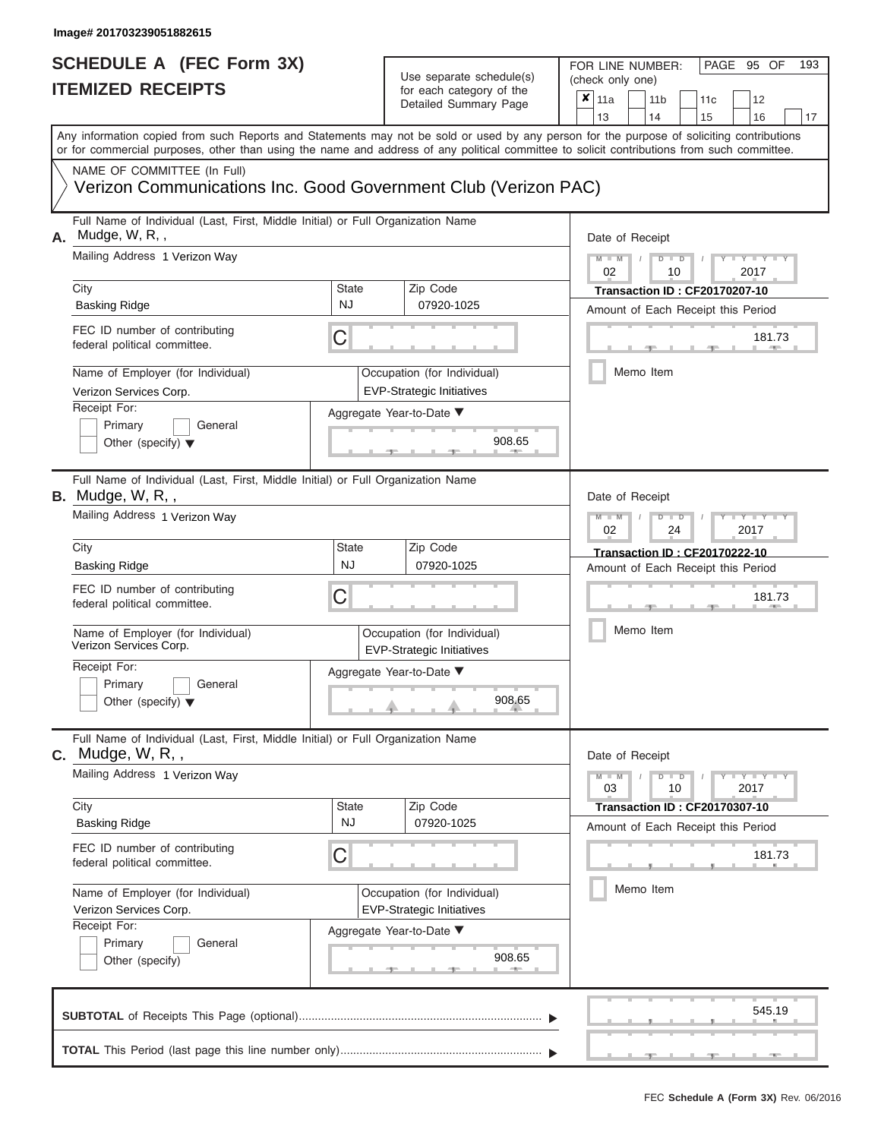### **SCHEDULE A (FEC Form 3X) ITEMIZED RECEIPTS**

## Use separate schedule(s)<br>for each category of the

FOR LINE NUMBER:<br>(check only one)

PAGE 95 OF 193

|    | णा∠∟∟ I\LVLII                                                                                                                                                                                                                                                                           |                                                                                 | iui cauli ualcyuly ul lilo<br>Detailed Summary Page             | x                                                                                              | 11a<br>13                                                                  |        | 11 <sub>b</sub><br>14                | 11c<br>15 |  | 12<br>16               | 17 |  |  |  |
|----|-----------------------------------------------------------------------------------------------------------------------------------------------------------------------------------------------------------------------------------------------------------------------------------------|---------------------------------------------------------------------------------|-----------------------------------------------------------------|------------------------------------------------------------------------------------------------|----------------------------------------------------------------------------|--------|--------------------------------------|-----------|--|------------------------|----|--|--|--|
|    | Any information copied from such Reports and Statements may not be sold or used by any person for the purpose of soliciting contributions<br>or for commercial purposes, other than using the name and address of any political committee to solicit contributions from such committee. |                                                                                 |                                                                 |                                                                                                |                                                                            |        |                                      |           |  |                        |    |  |  |  |
|    | NAME OF COMMITTEE (In Full)<br>Verizon Communications Inc. Good Government Club (Verizon PAC)                                                                                                                                                                                           |                                                                                 |                                                                 |                                                                                                |                                                                            |        |                                      |           |  |                        |    |  |  |  |
| А. | Mudge, W, R,,<br>Mailing Address 1 Verizon Way                                                                                                                                                                                                                                          | Full Name of Individual (Last, First, Middle Initial) or Full Organization Name |                                                                 |                                                                                                |                                                                            |        |                                      |           |  |                        |    |  |  |  |
|    | City<br><b>Basking Ridge</b>                                                                                                                                                                                                                                                            | State<br><b>NJ</b>                                                              | Zip Code<br>07920-1025                                          | 02<br>10<br>2017<br><b>Transaction ID: CF20170207-10</b><br>Amount of Each Receipt this Period |                                                                            |        |                                      |           |  |                        |    |  |  |  |
|    | FEC ID number of contributing<br>federal political committee.                                                                                                                                                                                                                           | C                                                                               |                                                                 |                                                                                                |                                                                            | 181.73 |                                      |           |  |                        |    |  |  |  |
|    | Name of Employer (for Individual)<br>Verizon Services Corp.                                                                                                                                                                                                                             |                                                                                 | Occupation (for Individual)<br><b>EVP-Strategic Initiatives</b> |                                                                                                |                                                                            |        | Memo Item                            |           |  |                        |    |  |  |  |
|    | Receipt For:<br>Primary<br>General<br>Other (specify) $\blacktriangledown$                                                                                                                                                                                                              |                                                                                 | Aggregate Year-to-Date ▼<br>908.65                              |                                                                                                |                                                                            |        |                                      |           |  |                        |    |  |  |  |
|    | Full Name of Individual (Last, First, Middle Initial) or Full Organization Name<br><b>B.</b> Mudge, $W, R,$ ,                                                                                                                                                                           |                                                                                 |                                                                 | Date of Receipt                                                                                |                                                                            |        |                                      |           |  |                        |    |  |  |  |
|    | Mailing Address 1 Verizon Way<br>City                                                                                                                                                                                                                                                   | State                                                                           | Zip Code                                                        |                                                                                                | $M - M$<br>02                                                              |        | $D$ $D$<br>24                        |           |  | $\overline{Y}$<br>2017 |    |  |  |  |
|    | <b>Basking Ridge</b>                                                                                                                                                                                                                                                                    | <b>NJ</b>                                                                       | 07920-1025                                                      |                                                                                                | <b>Transaction ID: CF20170222-10</b><br>Amount of Each Receipt this Period |        |                                      |           |  |                        |    |  |  |  |
|    | FEC ID number of contributing<br>federal political committee.                                                                                                                                                                                                                           | C                                                                               |                                                                 |                                                                                                | 181.73                                                                     |        |                                      |           |  |                        |    |  |  |  |
|    | Name of Employer (for Individual)<br>Verizon Services Corp.                                                                                                                                                                                                                             |                                                                                 | Occupation (for Individual)<br><b>EVP-Strategic Initiatives</b> |                                                                                                | Memo Item                                                                  |        |                                      |           |  |                        |    |  |  |  |
|    | Receipt For:<br>Primary<br>General<br>Other (specify) $\blacktriangledown$                                                                                                                                                                                                              |                                                                                 | Aggregate Year-to-Date ▼<br>908.65                              |                                                                                                |                                                                            |        |                                      |           |  |                        |    |  |  |  |
| С. | Mudge, W, R, ,                                                                                                                                                                                                                                                                          | Full Name of Individual (Last, First, Middle Initial) or Full Organization Name |                                                                 |                                                                                                |                                                                            |        |                                      |           |  |                        |    |  |  |  |
|    | Mailing Address 1 Verizon Way                                                                                                                                                                                                                                                           |                                                                                 |                                                                 |                                                                                                | $M - M$<br>03                                                              |        | $D$ $D$<br>10                        |           |  | $Y - Y - Y$<br>2017    |    |  |  |  |
|    | City<br><b>Basking Ridge</b>                                                                                                                                                                                                                                                            | State<br><b>NJ</b>                                                              | Zip Code<br>07920-1025                                          |                                                                                                |                                                                            |        | <b>Transaction ID: CF20170307-10</b> |           |  |                        |    |  |  |  |
|    | FEC ID number of contributing<br>federal political committee.                                                                                                                                                                                                                           | C                                                                               |                                                                 |                                                                                                | Amount of Each Receipt this Period<br>181.73<br>Memo Item                  |        |                                      |           |  |                        |    |  |  |  |
|    | Name of Employer (for Individual)<br>Verizon Services Corp.                                                                                                                                                                                                                             |                                                                                 | Occupation (for Individual)<br><b>EVP-Strategic Initiatives</b> |                                                                                                |                                                                            |        |                                      |           |  |                        |    |  |  |  |
|    | Receipt For:<br>Primary<br>General<br>Other (specify)                                                                                                                                                                                                                                   |                                                                                 | Aggregate Year-to-Date ▼<br>908.65                              |                                                                                                |                                                                            |        |                                      |           |  |                        |    |  |  |  |
|    |                                                                                                                                                                                                                                                                                         |                                                                                 |                                                                 |                                                                                                |                                                                            |        |                                      |           |  | 545.19                 |    |  |  |  |
|    |                                                                                                                                                                                                                                                                                         |                                                                                 |                                                                 |                                                                                                |                                                                            |        |                                      |           |  |                        |    |  |  |  |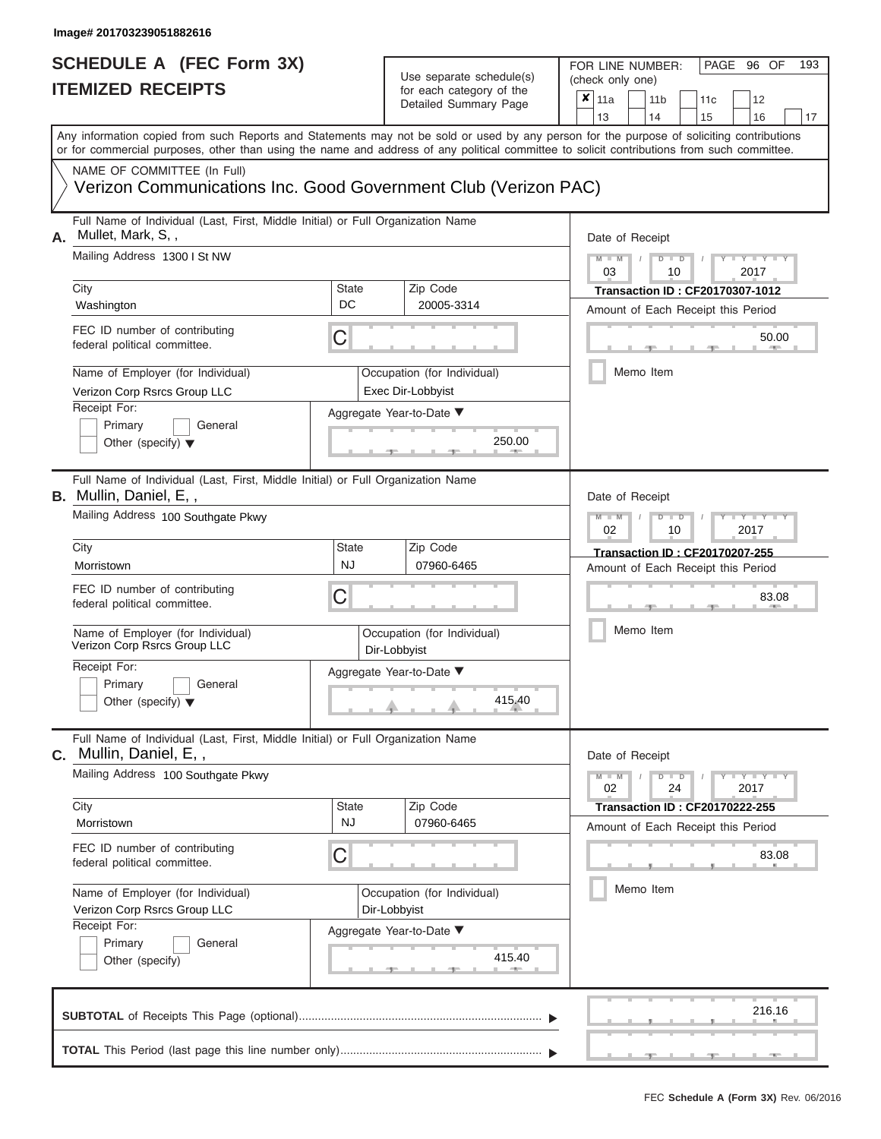### **SCHEDULE A (FEC Form 3X) ITEMIZED RECEIPTS**

## Use separate schedule(s)

| SCHEDULE A (FEC Form 3X)                                                                                                                                                                                                                                                                |                           | Use separate schedule(s)                            | 193<br>FOR LINE NUMBER:<br>PAGE 96 OF<br>(check only one)                                 |  |  |  |  |  |
|-----------------------------------------------------------------------------------------------------------------------------------------------------------------------------------------------------------------------------------------------------------------------------------------|---------------------------|-----------------------------------------------------|-------------------------------------------------------------------------------------------|--|--|--|--|--|
| <b>ITEMIZED RECEIPTS</b>                                                                                                                                                                                                                                                                |                           | for each category of the<br>Detailed Summary Page   | ×<br>11a<br>11 <sub>b</sub><br>12<br>11c<br>13<br>14<br>15<br>16<br>17                    |  |  |  |  |  |
| Any information copied from such Reports and Statements may not be sold or used by any person for the purpose of soliciting contributions<br>or for commercial purposes, other than using the name and address of any political committee to solicit contributions from such committee. |                           |                                                     |                                                                                           |  |  |  |  |  |
| NAME OF COMMITTEE (In Full)<br>Verizon Communications Inc. Good Government Club (Verizon PAC)                                                                                                                                                                                           |                           |                                                     |                                                                                           |  |  |  |  |  |
| Full Name of Individual (Last, First, Middle Initial) or Full Organization Name<br>Mullet, Mark, S,,<br>Α.<br>Mailing Address 1300 I St NW                                                                                                                                              |                           |                                                     | Date of Receipt<br>Y I Y I<br>$M - M$<br>$D$ $D$                                          |  |  |  |  |  |
| City<br>Washington                                                                                                                                                                                                                                                                      | State<br>DC               | Zip Code<br>20005-3314                              | 03<br>2017<br>10<br>Transaction ID: CF20170307-1012<br>Amount of Each Receipt this Period |  |  |  |  |  |
| FEC ID number of contributing<br>federal political committee.                                                                                                                                                                                                                           | С                         |                                                     | 50.00<br><b>AND IN</b>                                                                    |  |  |  |  |  |
| Name of Employer (for Individual)<br>Verizon Corp Rsrcs Group LLC                                                                                                                                                                                                                       |                           | Occupation (for Individual)<br>Exec Dir-Lobbyist    | Memo Item                                                                                 |  |  |  |  |  |
| Receipt For:<br>Primary<br>General<br>Other (specify) $\blacktriangledown$                                                                                                                                                                                                              |                           | Aggregate Year-to-Date ▼<br>250.00<br><b>AND IN</b> |                                                                                           |  |  |  |  |  |
| Full Name of Individual (Last, First, Middle Initial) or Full Organization Name<br>B. Mullin, Daniel, E,,<br>Mailing Address 100 Southgate Pkwy                                                                                                                                         |                           |                                                     | Date of Receipt<br>$M - M$<br>$D$ $\Box$ $D$<br>$Y = Y - I$<br>02<br>2017<br>10           |  |  |  |  |  |
| City                                                                                                                                                                                                                                                                                    | <b>State</b><br><b>NJ</b> | Zip Code                                            | Transaction ID: CF20170207-255                                                            |  |  |  |  |  |
| Morristown<br>FEC ID number of contributing<br>federal political committee.                                                                                                                                                                                                             | С                         | 07960-6465                                          | Amount of Each Receipt this Period<br>83.08                                               |  |  |  |  |  |
| Name of Employer (for Individual)<br>Verizon Corp Rsrcs Group LLC                                                                                                                                                                                                                       |                           | Occupation (for Individual)<br>Dir-Lobbyist         | Memo Item                                                                                 |  |  |  |  |  |
| Receipt For:<br>Primary<br>General<br>Other (specify) $\blacktriangledown$                                                                                                                                                                                                              |                           | Aggregate Year-to-Date ▼<br>415.40                  |                                                                                           |  |  |  |  |  |
| Full Name of Individual (Last, First, Middle Initial) or Full Organization Name<br>C. Mullin, Daniel, E,,                                                                                                                                                                               |                           |                                                     | Date of Receipt                                                                           |  |  |  |  |  |
| Mailing Address 100 Southgate Pkwy                                                                                                                                                                                                                                                      |                           |                                                     | $T-T$ $T$ $T$ $T$ $T$ $T$<br>$M - M$<br>$D$ $D$<br>02<br>24<br>2017                       |  |  |  |  |  |
| City<br>Morristown                                                                                                                                                                                                                                                                      | <b>State</b><br><b>NJ</b> | Zip Code<br>07960-6465                              | <b>Transaction ID: CF20170222-255</b><br>Amount of Each Receipt this Period               |  |  |  |  |  |
| FEC ID number of contributing<br>federal political committee.                                                                                                                                                                                                                           | С                         |                                                     | 83.08                                                                                     |  |  |  |  |  |
| Name of Employer (for Individual)<br>Verizon Corp Rsrcs Group LLC<br>Receipt For:                                                                                                                                                                                                       |                           | Occupation (for Individual)<br>Dir-Lobbyist         | Memo Item                                                                                 |  |  |  |  |  |
| Primary<br>General<br>Other (specify)                                                                                                                                                                                                                                                   |                           | Aggregate Year-to-Date ▼<br>415.40<br>$-1$          |                                                                                           |  |  |  |  |  |
|                                                                                                                                                                                                                                                                                         |                           |                                                     | 216.16                                                                                    |  |  |  |  |  |
|                                                                                                                                                                                                                                                                                         |                           |                                                     | $-1$<br>--                                                                                |  |  |  |  |  |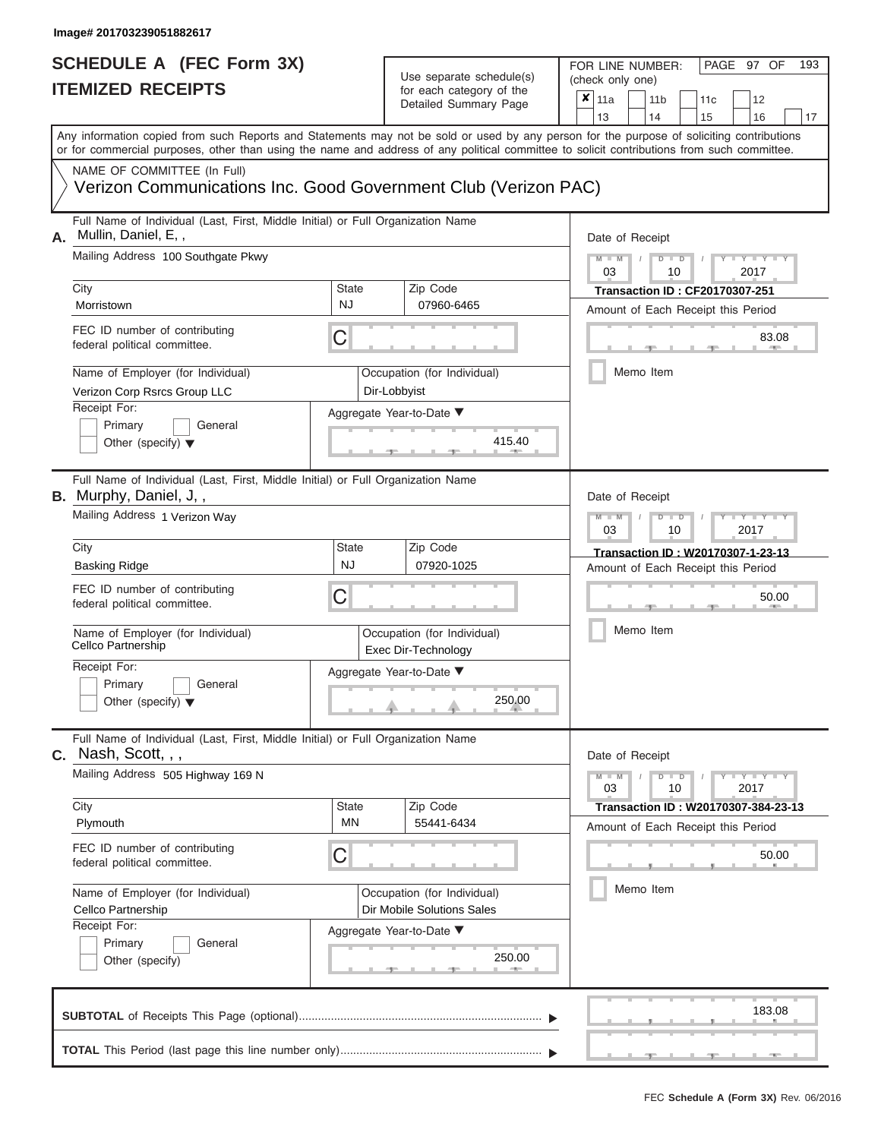| SCHEDULE A (FEC Form 3X)<br><b>ITEMIZED RECEIPTS</b>                                                                                                                                                                                                                                                                                                                                         |                                | Use separate schedule(s)<br>for each category of the<br>Detailed Summary Page                                             | 193<br>FOR LINE NUMBER:<br>PAGE 97 OF<br>(check only one)<br>$\overline{\mathbf{x}}$   11a<br>11 <sub>b</sub><br>11 <sub>c</sub><br>12<br>13<br>14<br>15<br>16<br>17                        |
|----------------------------------------------------------------------------------------------------------------------------------------------------------------------------------------------------------------------------------------------------------------------------------------------------------------------------------------------------------------------------------------------|--------------------------------|---------------------------------------------------------------------------------------------------------------------------|---------------------------------------------------------------------------------------------------------------------------------------------------------------------------------------------|
| Any information copied from such Reports and Statements may not be sold or used by any person for the purpose of soliciting contributions<br>or for commercial purposes, other than using the name and address of any political committee to solicit contributions from such committee.<br>NAME OF COMMITTEE (In Full)<br>Verizon Communications Inc. Good Government Club (Verizon PAC)     |                                |                                                                                                                           |                                                                                                                                                                                             |
| Full Name of Individual (Last, First, Middle Initial) or Full Organization Name<br>Mullin, Daniel, E,,<br>А.<br>Mailing Address 100 Southgate Pkwy<br>City<br>Morristown<br>FEC ID number of contributing<br>federal political committee.<br>Name of Employer (for Individual)<br>Verizon Corp Rsrcs Group LLC<br>Receipt For:<br>Primary<br>General<br>Other (specify) $\blacktriangledown$ | State<br><b>NJ</b><br>C        | Zip Code<br>07960-6465<br>Occupation (for Individual)<br>Dir-Lobbyist<br>Aggregate Year-to-Date ▼<br>415.40               | Date of Receipt<br>$M - M$ /<br>$D$ $D$<br>Y TY T<br>03<br>2017<br>10<br><b>Transaction ID: CF20170307-251</b><br>Amount of Each Receipt this Period<br>83.08<br><b>AND IN</b><br>Memo Item |
| Full Name of Individual (Last, First, Middle Initial) or Full Organization Name<br>B. Murphy, Daniel, J,,<br>Mailing Address 1 Verizon Way<br>City<br>Basking Ridge<br>FEC ID number of contributing<br>federal political committee.<br>Name of Employer (for Individual)<br>Cellco Partnership<br>Receipt For:<br>Primary<br>General<br>Other (specify) $\blacktriangledown$                | <b>State</b><br><b>NJ</b><br>С | Zip Code<br>07920-1025<br>Occupation (for Individual)<br>Exec Dir-Technology<br>Aggregate Year-to-Date ▼<br>250.00        | Date of Receipt<br>$M - M$<br>YIYI<br>$D$ $D$<br>03<br>2017<br>10<br>Transaction ID: W20170307-1-23-13<br>Amount of Each Receipt this Period<br>50.00<br>Memo Item                          |
| Full Name of Individual (Last, First, Middle Initial) or Full Organization Name<br>$c.$ Nash, Scott, , ,<br>Mailing Address 505 Highway 169 N<br>City<br>Plymouth<br>FEC ID number of contributing<br>federal political committee.<br>Name of Employer (for Individual)<br>Cellco Partnership<br>Receipt For:<br>Primary<br>General<br>Other (specify)                                       | <b>State</b><br>ΜN<br>С        | Zip Code<br>55441-6434<br>Occupation (for Individual)<br>Dir Mobile Solutions Sales<br>Aggregate Year-to-Date ▼<br>250.00 | Date of Receipt<br>$M - M$<br>$D$ $D$<br>$T - Y - T - Y - T - Y$<br>03<br>10<br>2017<br>Transaction ID : W20170307-384-23-13<br>Amount of Each Receipt this Period<br>50.00<br>Memo Item    |
|                                                                                                                                                                                                                                                                                                                                                                                              |                                |                                                                                                                           | 183.08<br>$-1$<br>$-1$                                                                                                                                                                      |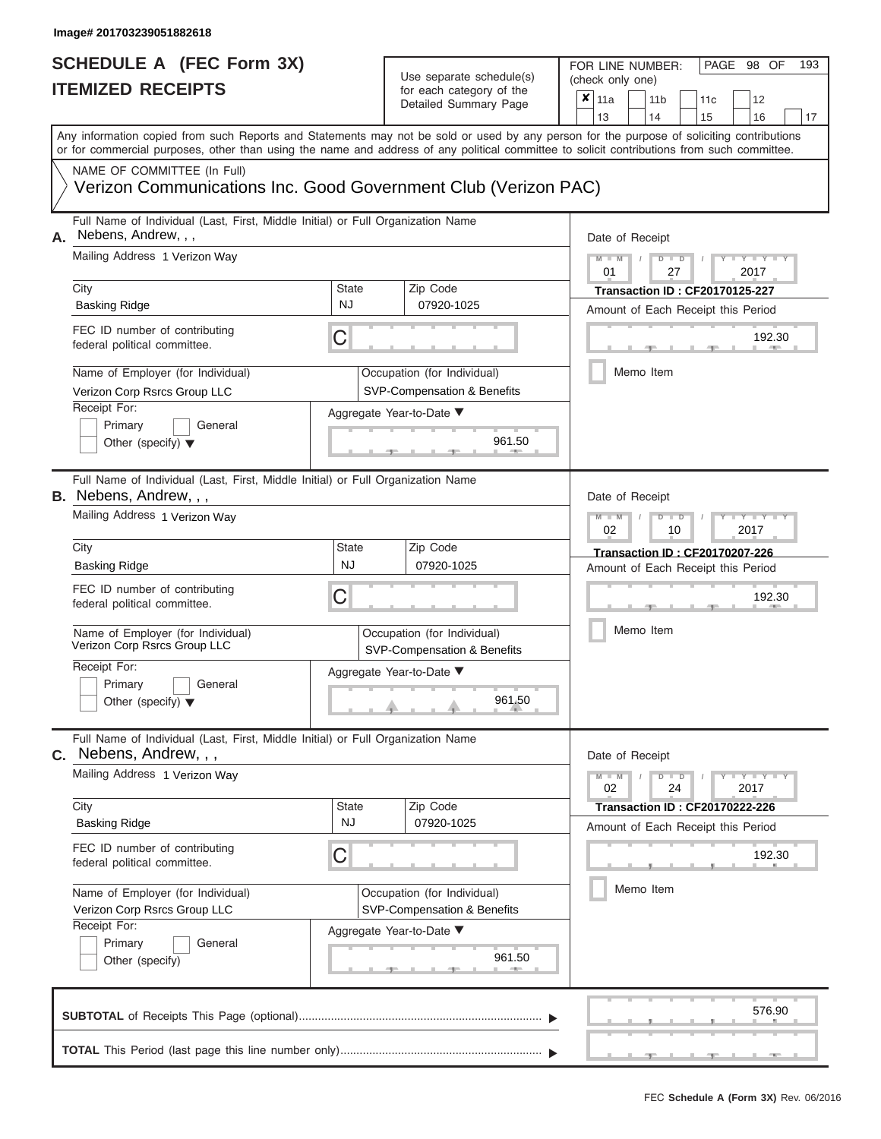ı

### **SCHEDULE A (FEC Form 3X) ITEMIZED RECEIPTS**

## Use separate schedule(s)<br>for each category of the

FOR LINE NUMBER:<br>(check only one)

PAGE 98 OF 193

|    | IILMILLU INLVLII I                                                                                                                                                                                                                                                                      |                           | iui cauli calcyuly ul lilic<br>Detailed Summary Page       | × | 11a             |           | 11 <sub>b</sub> |                                         | 11c                                   | 12                |    |
|----|-----------------------------------------------------------------------------------------------------------------------------------------------------------------------------------------------------------------------------------------------------------------------------------------|---------------------------|------------------------------------------------------------|---|-----------------|-----------|-----------------|-----------------------------------------|---------------------------------------|-------------------|----|
|    |                                                                                                                                                                                                                                                                                         |                           |                                                            |   | 13              |           | 14              |                                         | 15                                    | 16                | 17 |
|    | Any information copied from such Reports and Statements may not be sold or used by any person for the purpose of soliciting contributions<br>or for commercial purposes, other than using the name and address of any political committee to solicit contributions from such committee. |                           |                                                            |   |                 |           |                 |                                         |                                       |                   |    |
|    | NAME OF COMMITTEE (In Full)                                                                                                                                                                                                                                                             |                           |                                                            |   |                 |           |                 |                                         |                                       |                   |    |
|    | Verizon Communications Inc. Good Government Club (Verizon PAC)                                                                                                                                                                                                                          |                           |                                                            |   |                 |           |                 |                                         |                                       |                   |    |
| А. | Full Name of Individual (Last, First, Middle Initial) or Full Organization Name<br>Nebens, Andrew, , ,                                                                                                                                                                                  |                           |                                                            |   | Date of Receipt |           |                 |                                         |                                       |                   |    |
|    | Mailing Address 1 Verizon Way                                                                                                                                                                                                                                                           |                           |                                                            |   | $M - M$<br>01   |           |                 | $D$ $D$<br>27                           |                                       | 2017              |    |
|    | City                                                                                                                                                                                                                                                                                    | <b>State</b>              | Zip Code                                                   |   |                 |           |                 |                                         | <b>Transaction ID: CF20170125-227</b> |                   |    |
|    | <b>Basking Ridge</b>                                                                                                                                                                                                                                                                    | <b>NJ</b>                 | 07920-1025                                                 |   |                 |           |                 |                                         | Amount of Each Receipt this Period    |                   |    |
|    | FEC ID number of contributing<br>federal political committee.                                                                                                                                                                                                                           | C                         |                                                            |   |                 |           |                 |                                         |                                       | 192.30            |    |
|    | Name of Employer (for Individual)<br>Verizon Corp Rsrcs Group LLC                                                                                                                                                                                                                       |                           | Occupation (for Individual)<br>SVP-Compensation & Benefits |   |                 | Memo Item |                 |                                         |                                       |                   |    |
|    | Receipt For:                                                                                                                                                                                                                                                                            |                           | Aggregate Year-to-Date ▼                                   |   |                 |           |                 |                                         |                                       |                   |    |
|    | Primary<br>General<br>Other (specify) $\blacktriangledown$                                                                                                                                                                                                                              |                           | 961.50                                                     |   |                 |           |                 |                                         |                                       |                   |    |
|    | Full Name of Individual (Last, First, Middle Initial) or Full Organization Name<br><b>B.</b> Nebens, Andrew, , ,                                                                                                                                                                        |                           |                                                            |   | Date of Receipt |           |                 |                                         |                                       |                   |    |
|    | Mailing Address 1 Verizon Way                                                                                                                                                                                                                                                           |                           |                                                            |   | $M - M$<br>02   |           |                 | $\overline{\mathsf{D}}$<br>$\Box$<br>10 |                                       | 2017              |    |
|    | City                                                                                                                                                                                                                                                                                    | <b>State</b>              | Zip Code                                                   |   |                 |           |                 |                                         | <b>Transaction ID: CF20170207-226</b> |                   |    |
|    | <b>Basking Ridge</b>                                                                                                                                                                                                                                                                    | <b>NJ</b>                 | 07920-1025                                                 |   |                 |           |                 |                                         | Amount of Each Receipt this Period    |                   |    |
|    | FEC ID number of contributing<br>federal political committee.                                                                                                                                                                                                                           | C                         |                                                            |   |                 |           |                 |                                         |                                       | 192.30            |    |
|    | Name of Employer (for Individual)<br>Verizon Corp Rsrcs Group LLC                                                                                                                                                                                                                       |                           | Occupation (for Individual)<br>SVP-Compensation & Benefits |   |                 | Memo Item |                 |                                         |                                       |                   |    |
|    | Receipt For:                                                                                                                                                                                                                                                                            |                           | Aggregate Year-to-Date ▼                                   |   |                 |           |                 |                                         |                                       |                   |    |
|    | Primary<br>General<br>Other (specify) $\blacktriangledown$                                                                                                                                                                                                                              |                           | 961.50                                                     |   |                 |           |                 |                                         |                                       |                   |    |
| С. | Full Name of Individual (Last, First, Middle Initial) or Full Organization Name<br>Nebens, Andrew, , ,                                                                                                                                                                                  |                           |                                                            |   | Date of Receipt |           |                 |                                         |                                       |                   |    |
|    | Mailing Address 1 Verizon Way                                                                                                                                                                                                                                                           |                           |                                                            |   | $M - M$<br>02   |           |                 | $D$ $\Box$ $D$<br>24                    |                                       | Y - Y - Y<br>2017 |    |
|    | City                                                                                                                                                                                                                                                                                    | <b>State</b><br><b>NJ</b> | Zip Code                                                   |   |                 |           |                 |                                         | <b>Transaction ID: CF20170222-226</b> |                   |    |
|    | <b>Basking Ridge</b>                                                                                                                                                                                                                                                                    |                           | 07920-1025                                                 |   |                 |           |                 |                                         | Amount of Each Receipt this Period    |                   |    |
|    | FEC ID number of contributing<br>federal political committee.                                                                                                                                                                                                                           | С                         |                                                            |   |                 |           |                 |                                         |                                       | 192.30            |    |
|    | Name of Employer (for Individual)<br>Verizon Corp Rsrcs Group LLC                                                                                                                                                                                                                       |                           | Occupation (for Individual)<br>SVP-Compensation & Benefits |   |                 | Memo Item |                 |                                         |                                       |                   |    |
|    | Receipt For:                                                                                                                                                                                                                                                                            |                           | Aggregate Year-to-Date ▼                                   |   |                 |           |                 |                                         |                                       |                   |    |
|    | Primary<br>General                                                                                                                                                                                                                                                                      |                           |                                                            |   |                 |           |                 |                                         |                                       |                   |    |
|    | Other (specify)                                                                                                                                                                                                                                                                         |                           | 961.50                                                     |   |                 |           |                 |                                         |                                       |                   |    |
|    |                                                                                                                                                                                                                                                                                         |                           |                                                            |   |                 |           |                 |                                         |                                       | 576.90            |    |
|    |                                                                                                                                                                                                                                                                                         |                           |                                                            |   |                 |           |                 |                                         |                                       |                   |    |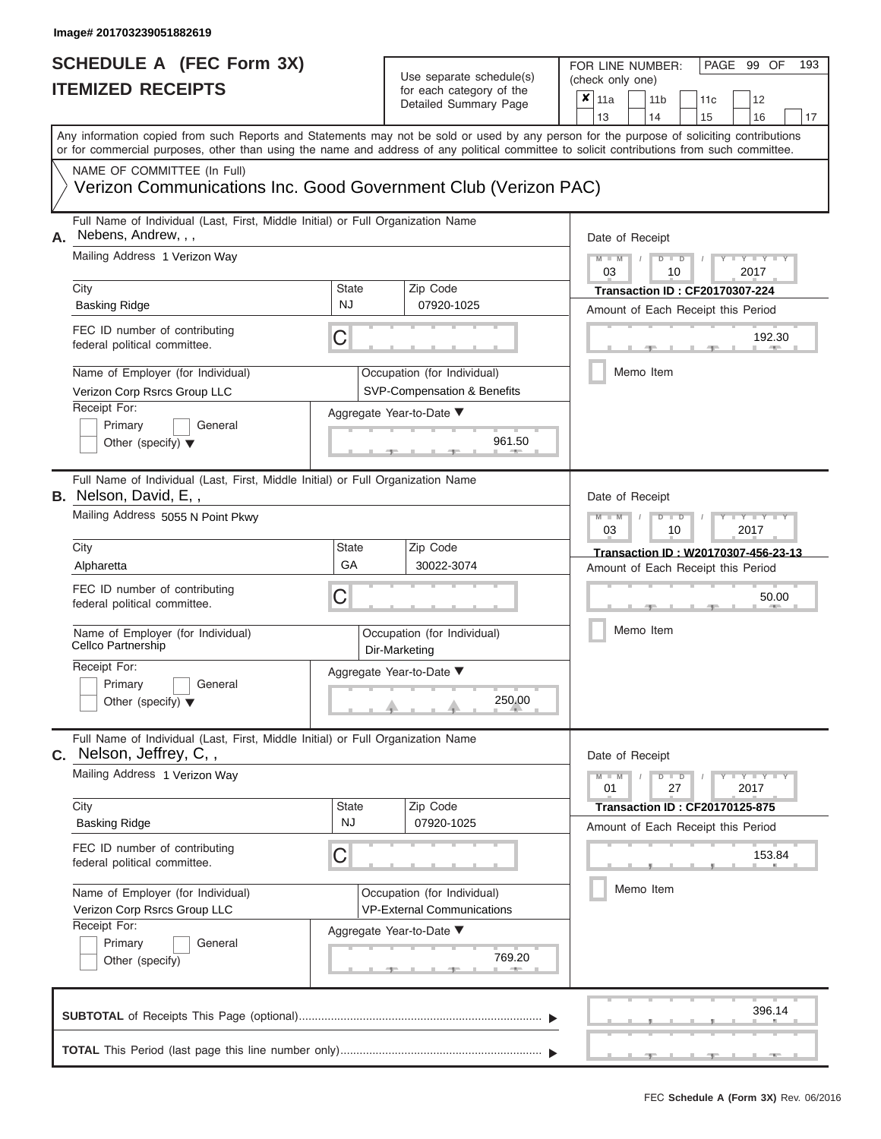### **SCHEDULE A (FEC Form 3X) ITEMIZED RECEIPTS**

## Use separate schedule(s)  $\frac{1}{\pi}$  for each category of the

FOR LINE NUMBER:<br>(check only one)

PAGE 99 OF 193

| IIEMIZEU REVEIFIJ                                                                                                                          |                    | for each category of the                                         | ×<br>11a<br>11 <sub>b</sub><br>12<br>11c                                                                                                  |
|--------------------------------------------------------------------------------------------------------------------------------------------|--------------------|------------------------------------------------------------------|-------------------------------------------------------------------------------------------------------------------------------------------|
|                                                                                                                                            |                    | Detailed Summary Page                                            | 13<br>14<br>15<br>16<br>17                                                                                                                |
| or for commercial purposes, other than using the name and address of any political committee to solicit contributions from such committee. |                    |                                                                  | Any information copied from such Reports and Statements may not be sold or used by any person for the purpose of soliciting contributions |
| NAME OF COMMITTEE (In Full)<br>Verizon Communications Inc. Good Government Club (Verizon PAC)                                              |                    |                                                                  |                                                                                                                                           |
|                                                                                                                                            |                    |                                                                  |                                                                                                                                           |
| Full Name of Individual (Last, First, Middle Initial) or Full Organization Name<br>Nebens, Andrew, , ,<br>А.                               |                    |                                                                  | Date of Receipt                                                                                                                           |
| Mailing Address 1 Verizon Way                                                                                                              |                    |                                                                  | $M - M$<br>$Y = Y$<br>$D$ $D$<br>03<br>2017<br>10                                                                                         |
| City                                                                                                                                       | <b>State</b><br>NJ | Zip Code<br>07920-1025                                           | <b>Transaction ID: CF20170307-224</b>                                                                                                     |
| <b>Basking Ridge</b>                                                                                                                       |                    |                                                                  | Amount of Each Receipt this Period                                                                                                        |
| FEC ID number of contributing<br>federal political committee.                                                                              | С                  |                                                                  | 192.30                                                                                                                                    |
| Name of Employer (for Individual)<br>Verizon Corp Rsrcs Group LLC                                                                          |                    | Occupation (for Individual)<br>SVP-Compensation & Benefits       | Memo Item                                                                                                                                 |
| Receipt For:                                                                                                                               |                    | Aggregate Year-to-Date ▼                                         |                                                                                                                                           |
| Primary<br>General<br>Other (specify) $\blacktriangledown$                                                                                 |                    | 961.50                                                           |                                                                                                                                           |
| Full Name of Individual (Last, First, Middle Initial) or Full Organization Name<br><b>B.</b> Nelson, David, E,,                            |                    |                                                                  | Date of Receipt                                                                                                                           |
| Mailing Address 5055 N Point Pkwy                                                                                                          |                    |                                                                  | $M - M$<br>Y TYT<br>$D$ $D$<br>03<br>2017<br>10                                                                                           |
| City                                                                                                                                       | <b>State</b>       | Zip Code                                                         | Transaction ID: W20170307-456-23-13                                                                                                       |
| Alpharetta                                                                                                                                 | GA                 | 30022-3074                                                       | Amount of Each Receipt this Period                                                                                                        |
| FEC ID number of contributing<br>federal political committee.                                                                              | С                  |                                                                  | 50.00                                                                                                                                     |
| Name of Employer (for Individual)<br>Cellco Partnership                                                                                    |                    | Occupation (for Individual)<br>Dir-Marketing                     | Memo Item                                                                                                                                 |
| Receipt For:                                                                                                                               |                    | Aggregate Year-to-Date ▼                                         |                                                                                                                                           |
| Primary<br>General<br>Other (specify) $\blacktriangledown$                                                                                 |                    | 250.00                                                           |                                                                                                                                           |
| Full Name of Individual (Last, First, Middle Initial) or Full Organization Name<br>C. Nelson, Jeffrey, C,,                                 |                    |                                                                  | Date of Receipt                                                                                                                           |
| Mailing Address 1 Verizon Way                                                                                                              |                    |                                                                  | $Y = Y = Y + Y$<br>$M - M$<br>$D$ $D$<br>01<br>27<br>2017                                                                                 |
| City                                                                                                                                       | <b>State</b>       | Zip Code                                                         | <b>Transaction ID: CF20170125-875</b>                                                                                                     |
| <b>Basking Ridge</b>                                                                                                                       | <b>NJ</b>          | 07920-1025                                                       | Amount of Each Receipt this Period                                                                                                        |
| FEC ID number of contributing<br>federal political committee.                                                                              | C                  |                                                                  | 153.84                                                                                                                                    |
| Name of Employer (for Individual)<br>Verizon Corp Rsrcs Group LLC                                                                          |                    | Occupation (for Individual)<br><b>VP-External Communications</b> | Memo Item                                                                                                                                 |
| Receipt For:                                                                                                                               |                    | Aggregate Year-to-Date ▼                                         |                                                                                                                                           |
| Primary<br>General<br>Other (specify)                                                                                                      |                    | 769.20<br><b>AND</b>                                             |                                                                                                                                           |
|                                                                                                                                            |                    |                                                                  | 396.14                                                                                                                                    |
|                                                                                                                                            |                    |                                                                  |                                                                                                                                           |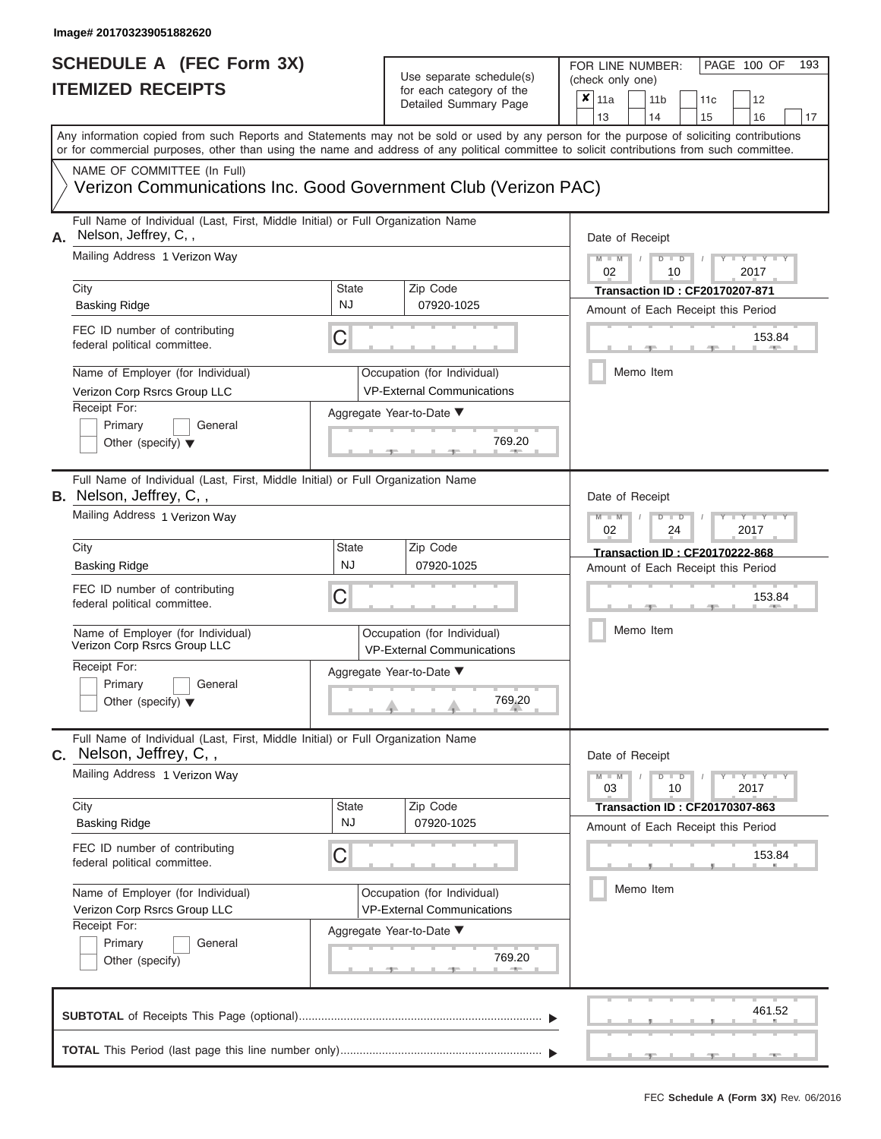| SCHEDULE A (FEC Form 3X)<br><b>ITEMIZED RECEIPTS</b>                                                                                                                                                                                                                                                                                                                                                   |                                | Use separate schedule(s)<br>for each category of the<br>Detailed Summary Page                                                    | 193<br>FOR LINE NUMBER:<br>PAGE 100 OF<br>(check only one)<br>$\overline{\mathbf{x}}$   11a<br>11 <sub>b</sub><br>12<br>11c                                                                                                         |
|--------------------------------------------------------------------------------------------------------------------------------------------------------------------------------------------------------------------------------------------------------------------------------------------------------------------------------------------------------------------------------------------------------|--------------------------------|----------------------------------------------------------------------------------------------------------------------------------|-------------------------------------------------------------------------------------------------------------------------------------------------------------------------------------------------------------------------------------|
| Any information copied from such Reports and Statements may not be sold or used by any person for the purpose of soliciting contributions<br>or for commercial purposes, other than using the name and address of any political committee to solicit contributions from such committee.                                                                                                                |                                |                                                                                                                                  | 13<br>14<br>15<br>16<br>17                                                                                                                                                                                                          |
| NAME OF COMMITTEE (In Full)<br>Verizon Communications Inc. Good Government Club (Verizon PAC)                                                                                                                                                                                                                                                                                                          |                                |                                                                                                                                  |                                                                                                                                                                                                                                     |
| Full Name of Individual (Last, First, Middle Initial) or Full Organization Name<br>Nelson, Jeffrey, C,,<br>А.<br>Mailing Address 1 Verizon Way<br>City<br><b>Basking Ridge</b><br>FEC ID number of contributing<br>federal political committee.<br>Name of Employer (for Individual)<br>Verizon Corp Rsrcs Group LLC<br>Receipt For:<br>Primary<br>General<br>Other (specify) $\blacktriangledown$     | <b>State</b><br><b>NJ</b><br>C | Zip Code<br>07920-1025<br>Occupation (for Individual)<br><b>VP-External Communications</b><br>Aggregate Year-to-Date ▼<br>769.20 | Date of Receipt<br>$M - M$<br>$D$ $D$<br>$Y - Y - T$<br>$\sqrt{2}$<br>02<br>2017<br>10<br><b>Transaction ID: CF20170207-871</b><br>Amount of Each Receipt this Period<br>153.84<br>Memo Item                                        |
| Full Name of Individual (Last, First, Middle Initial) or Full Organization Name<br><b>B.</b> Nelson, Jeffrey, C,,<br>Mailing Address 1 Verizon Way<br>City<br><b>Basking Ridge</b><br>FEC ID number of contributing<br>federal political committee.<br>Name of Employer (for Individual)<br>Verizon Corp Rsrcs Group LLC<br>Receipt For:<br>Primary<br>General<br>Other (specify) $\blacktriangledown$ | State<br><b>NJ</b><br>С        | Zip Code<br>07920-1025<br>Occupation (for Individual)<br><b>VP-External Communications</b><br>Aggregate Year-to-Date ▼<br>769.20 | Date of Receipt<br>$M - M$<br>$D$ $\Box$ $D$<br>Y I Y<br>02<br>2017<br>24<br>Transaction ID: CF20170222-868<br>Amount of Each Receipt this Period<br>153.84<br>Memo Item                                                            |
| Full Name of Individual (Last, First, Middle Initial) or Full Organization Name<br>C. Nelson, Jeffrey, C,,<br>Mailing Address 1 Verizon Way<br>City<br><b>Basking Ridge</b><br>FEC ID number of contributing<br>federal political committee.<br>Name of Employer (for Individual)<br>Verizon Corp Rsrcs Group LLC<br>Receipt For:<br>Primary<br>General<br>Other (specify)                             | <b>State</b><br><b>NJ</b><br>С | Zip Code<br>07920-1025<br>Occupation (for Individual)<br><b>VP-External Communications</b><br>Aggregate Year-to-Date ▼<br>769.20 | Date of Receipt<br>$M - M$<br>$D$ $D$<br>$\mathbf{I} = \mathbf{Y} - \mathbf{I} - \mathbf{Y} - \mathbf{I}$<br>10<br>2017<br>03<br><b>Transaction ID: CF20170307-863</b><br>Amount of Each Receipt this Period<br>153.84<br>Memo Item |
|                                                                                                                                                                                                                                                                                                                                                                                                        |                                |                                                                                                                                  | 461.52                                                                                                                                                                                                                              |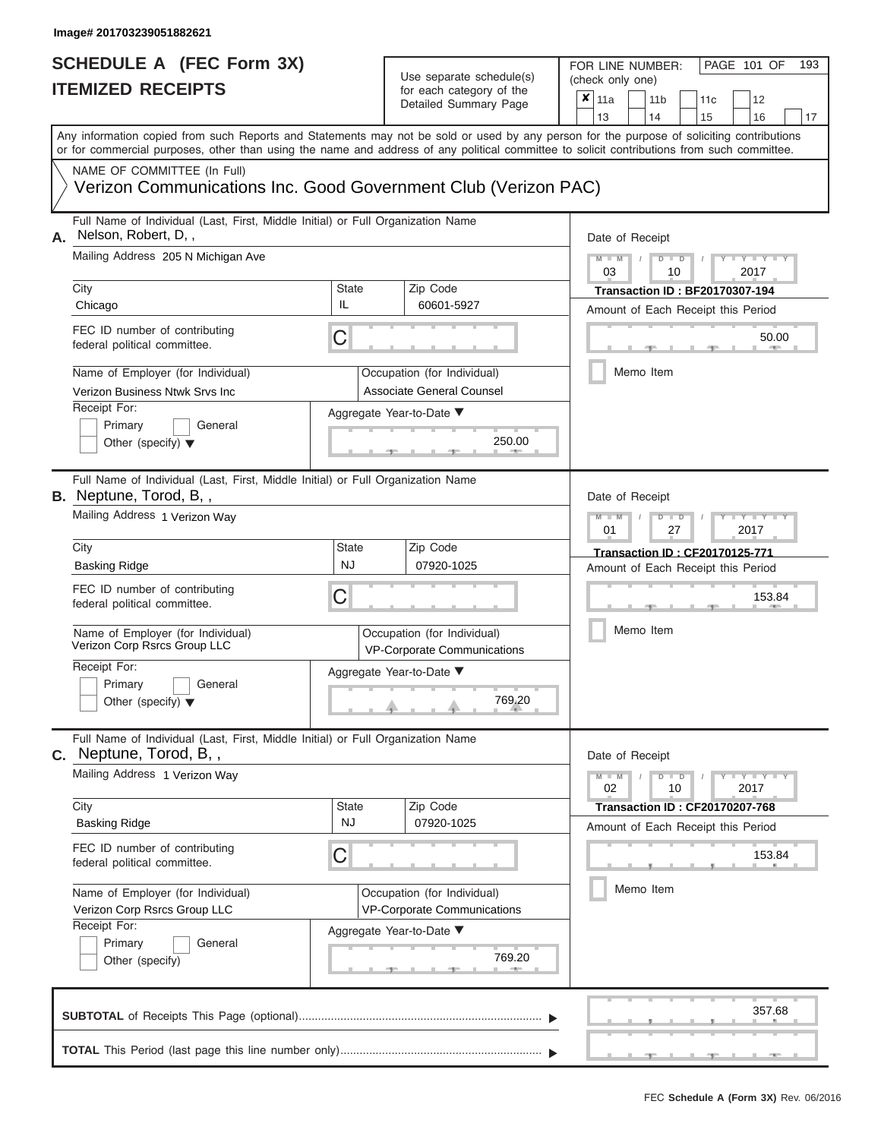| SCHEDULE A (FEC Form 3X)<br><b>ITEMIZED RECEIPTS</b>                                                                                                                                                                                                                                                                                                                                           |                                | Use separate schedule(s)<br>for each category of the<br>Detailed Summary Page                                              | 193<br>FOR LINE NUMBER:<br>PAGE 101 OF<br>(check only one)<br>$\overline{\mathbf{x}}$   11a<br>11 <sub>b</sub><br>11 <sub>c</sub><br>12<br>13<br>14<br>15<br>16<br>17                       |
|------------------------------------------------------------------------------------------------------------------------------------------------------------------------------------------------------------------------------------------------------------------------------------------------------------------------------------------------------------------------------------------------|--------------------------------|----------------------------------------------------------------------------------------------------------------------------|---------------------------------------------------------------------------------------------------------------------------------------------------------------------------------------------|
| Any information copied from such Reports and Statements may not be sold or used by any person for the purpose of soliciting contributions<br>or for commercial purposes, other than using the name and address of any political committee to solicit contributions from such committee.<br>NAME OF COMMITTEE (In Full)<br>Verizon Communications Inc. Good Government Club (Verizon PAC)       |                                |                                                                                                                            |                                                                                                                                                                                             |
| Full Name of Individual (Last, First, Middle Initial) or Full Organization Name<br>Nelson, Robert, D,,<br>А.<br>Mailing Address 205 N Michigan Ave<br>City<br>Chicago<br>FEC ID number of contributing<br>federal political committee.<br>Name of Employer (for Individual)<br>Verizon Business Ntwk Srvs Inc<br>Receipt For:<br>Primary<br>General<br>Other (specify) $\blacktriangledown$    | State<br>IL<br>C               | Zip Code<br>60601-5927<br>Occupation (for Individual)<br>Associate General Counsel<br>Aggregate Year-to-Date ▼<br>250.00   | Date of Receipt<br>$M - M$ /<br>$D$ $D$<br>Y TY T<br>03<br>2017<br>10<br><b>Transaction ID: BF20170307-194</b><br>Amount of Each Receipt this Period<br>50.00<br><b>AND IN</b><br>Memo Item |
| Full Name of Individual (Last, First, Middle Initial) or Full Organization Name<br><b>B.</b> Neptune, Torod, B,,<br>Mailing Address 1 Verizon Way<br>City<br>Basking Ridge<br>FEC ID number of contributing<br>federal political committee.<br>Name of Employer (for Individual)<br>Verizon Corp Rsrcs Group LLC<br>Receipt For:<br>Primary<br>General<br>Other (specify) $\blacktriangledown$ | <b>State</b><br><b>NJ</b><br>С | Zip Code<br>07920-1025<br>Occupation (for Individual)<br>VP-Corporate Communications<br>Aggregate Year-to-Date ▼<br>769.20 | Date of Receipt<br>$M - M$<br>Y L Y L<br>$D$ $D$<br>01<br>2017<br>27<br>Transaction ID: CF20170125-771<br>Amount of Each Receipt this Period<br>153.84<br>Memo Item                         |
| Full Name of Individual (Last, First, Middle Initial) or Full Organization Name<br>C. Neptune, Torod, B,,<br>Mailing Address 1 Verizon Way<br>City<br><b>Basking Ridge</b><br>FEC ID number of contributing<br>federal political committee.<br>Name of Employer (for Individual)<br>Verizon Corp Rsrcs Group LLC<br>Receipt For:<br>Primary<br>General<br>Other (specify)                      | State<br><b>NJ</b><br>С        | Zip Code<br>07920-1025<br>Occupation (for Individual)<br>VP-Corporate Communications<br>Aggregate Year-to-Date ▼<br>769.20 | Date of Receipt<br>$M - M$<br>$D$ $D$<br>$T - Y - T - Y - T - Y$<br>02<br>10<br>2017<br>Transaction ID: CF20170207-768<br>Amount of Each Receipt this Period<br>153.84<br>Memo Item         |
|                                                                                                                                                                                                                                                                                                                                                                                                |                                |                                                                                                                            | 357.68                                                                                                                                                                                      |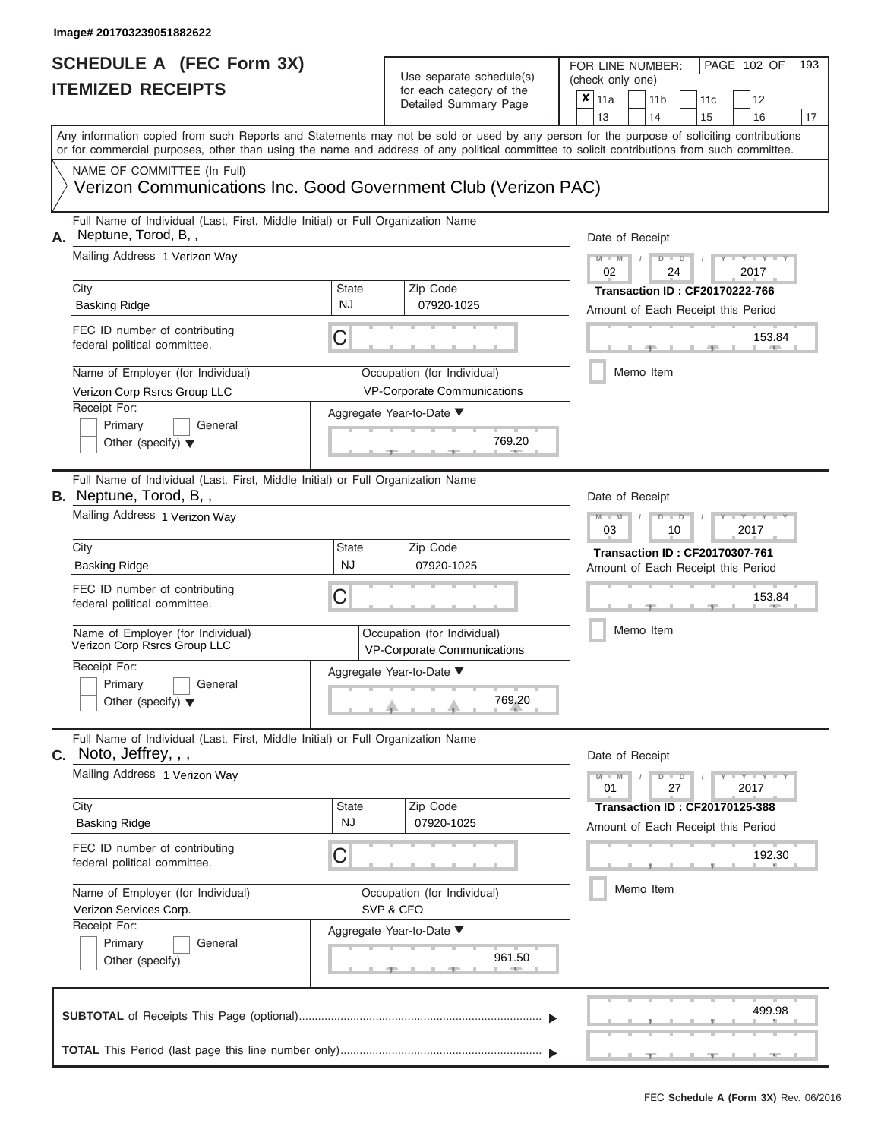ı

# **SCHEDULE A (FEC Form 3X)**

| SCHEDULE A (FEC Form 3X)<br><b>ITEMIZED RECEIPTS</b>                                                                                                                                                                                                                                                                                                                                                  |                          | Use separate schedule(s)<br>for each category of the<br>Detailed Summary Page                                                     | 193<br>FOR LINE NUMBER:<br>PAGE 102 OF<br>(check only one)<br>$\overline{\mathbf{x}}$   11a<br>11 <sub>b</sub><br>12<br>11 <sub>c</sub><br>13<br>14<br>15<br>16<br>17                            |
|-------------------------------------------------------------------------------------------------------------------------------------------------------------------------------------------------------------------------------------------------------------------------------------------------------------------------------------------------------------------------------------------------------|--------------------------|-----------------------------------------------------------------------------------------------------------------------------------|--------------------------------------------------------------------------------------------------------------------------------------------------------------------------------------------------|
| or for commercial purposes, other than using the name and address of any political committee to solicit contributions from such committee.<br>NAME OF COMMITTEE (In Full)<br>Verizon Communications Inc. Good Government Club (Verizon PAC)                                                                                                                                                           |                          |                                                                                                                                   | Any information copied from such Reports and Statements may not be sold or used by any person for the purpose of soliciting contributions                                                        |
| Full Name of Individual (Last, First, Middle Initial) or Full Organization Name<br>Neptune, Torod, B,,<br>Mailing Address 1 Verizon Way<br>City<br><b>Basking Ridge</b><br>FEC ID number of contributing<br>federal political committee.<br>Name of Employer (for Individual)<br>Verizon Corp Rsrcs Group LLC<br>Receipt For:<br>Primary<br>General<br>Other (specify) $\blacktriangledown$           | <b>State</b><br>NJ.<br>C | Zip Code<br>07920-1025<br>Occupation (for Individual)<br><b>VP-Corporate Communications</b><br>Aggregate Year-to-Date ▼<br>769.20 | Date of Receipt<br>$M - M$<br>$D$ $D$<br>Y TY T<br>$\sqrt{ }$<br>02<br>24<br>2017<br><b>Transaction ID: CF20170222-766</b><br>Amount of Each Receipt this Period<br>153.84<br>Memo Item          |
| Full Name of Individual (Last, First, Middle Initial) or Full Organization Name<br><b>B.</b> Neptune, Torod, B,,<br>Mailing Address 1 Verizon Way<br>City<br><b>Basking Ridge</b><br>FEC ID number of contributing<br>federal political committee.<br>Name of Employer (for Individual)<br>Verizon Corp Rsrcs Group LLC<br>Receipt For:<br>Primary<br>General<br>Other (specify) $\blacktriangledown$ | State<br><b>NJ</b><br>С  | Zip Code<br>07920-1025<br>Occupation (for Individual)<br>VP-Corporate Communications<br>Aggregate Year-to-Date ▼<br>769.20        | Date of Receipt<br>$M - M$<br>$D$ $D$<br>Y TY<br>03<br>2017<br>10<br>Transaction ID: CF20170307-761<br>Amount of Each Receipt this Period<br>153.84<br>Memo Item                                 |
| Full Name of Individual (Last, First, Middle Initial) or Full Organization Name<br>$C.$ Noto, Jeffrey, , ,<br>Mailing Address 1 Verizon Way<br>City<br><b>Basking Ridge</b><br>FEC ID number of contributing<br>federal political committee.<br>Name of Employer (for Individual)<br>Verizon Services Corp.<br>Receipt For:<br>Primary<br>General<br>Other (specify)                                  | State<br><b>NJ</b><br>С  | Zip Code<br>07920-1025<br>Occupation (for Individual)<br>SVP & CFO<br>Aggregate Year-to-Date ▼<br>961.50                          | Date of Receipt<br>$M - M$<br>$D$ $D$<br>$-1$ $ Y$ $-1$ $ Y$ $-1$ $ Y$<br>01<br>27<br>2017<br><b>Transaction ID: CF20170125-388</b><br>Amount of Each Receipt this Period<br>192.30<br>Memo Item |
|                                                                                                                                                                                                                                                                                                                                                                                                       |                          |                                                                                                                                   | 499.98                                                                                                                                                                                           |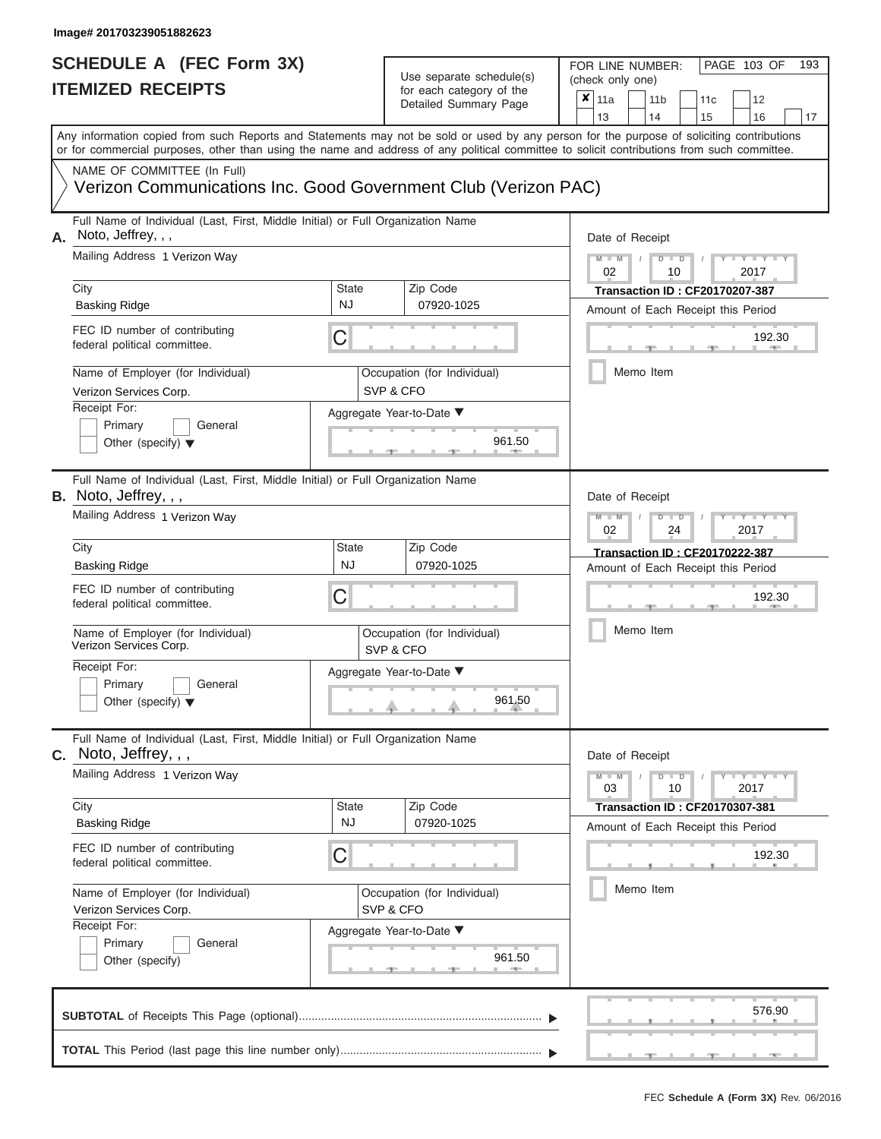### **SCHEDULE A (FEC Form 3X) ITEMIZED RECEIPTS**

## Use separate schedule(s)<br>for each category of the

FOR LINE NUMBER:<br>(check only one)

PAGE 103 OF 193

|    |                                                                                                                                                                                                                                                                                         |                           |           | ivi cacii calcyory or life<br>Detailed Summary Page | × | 11a<br>13                          |  | 11 <sub>b</sub><br>14                                                       | 11 <sub>c</sub><br>15 |                 | 12<br>16                 | 17 |
|----|-----------------------------------------------------------------------------------------------------------------------------------------------------------------------------------------------------------------------------------------------------------------------------------------|---------------------------|-----------|-----------------------------------------------------|---|------------------------------------|--|-----------------------------------------------------------------------------|-----------------------|-----------------|--------------------------|----|
|    | Any information copied from such Reports and Statements may not be sold or used by any person for the purpose of soliciting contributions<br>or for commercial purposes, other than using the name and address of any political committee to solicit contributions from such committee. |                           |           |                                                     |   |                                    |  |                                                                             |                       |                 |                          |    |
|    | NAME OF COMMITTEE (In Full)<br>Verizon Communications Inc. Good Government Club (Verizon PAC)                                                                                                                                                                                           |                           |           |                                                     |   |                                    |  |                                                                             |                       |                 |                          |    |
| А. | Full Name of Individual (Last, First, Middle Initial) or Full Organization Name<br>Noto, Jeffrey, , ,<br>Mailing Address 1 Verizon Way                                                                                                                                                  |                           |           |                                                     |   | Date of Receipt<br>$M - M$ /<br>02 |  | $D$ $D$<br>10                                                               |                       | 2017            | $\overline{\phantom{a}}$ |    |
|    | City<br><b>Basking Ridge</b>                                                                                                                                                                                                                                                            | <b>State</b><br><b>NJ</b> |           | Zip Code<br>07920-1025                              |   |                                    |  | <b>Transaction ID: CF20170207-387</b><br>Amount of Each Receipt this Period |                       |                 |                          |    |
|    | FEC ID number of contributing<br>federal political committee.                                                                                                                                                                                                                           | С                         |           |                                                     |   |                                    |  |                                                                             |                       |                 | 192.30                   |    |
|    | Name of Employer (for Individual)<br>Verizon Services Corp.<br>Receipt For:                                                                                                                                                                                                             |                           | SVP & CFO | Occupation (for Individual)                         |   |                                    |  | Memo Item                                                                   |                       |                 |                          |    |
|    | Primary<br>General<br>Other (specify) $\blacktriangledown$                                                                                                                                                                                                                              |                           |           | Aggregate Year-to-Date ▼<br>961.50                  |   |                                    |  |                                                                             |                       |                 |                          |    |
|    | Full Name of Individual (Last, First, Middle Initial) or Full Organization Name<br>B. Noto, Jeffrey, , ,                                                                                                                                                                                |                           |           |                                                     |   | Date of Receipt                    |  |                                                                             |                       |                 |                          |    |
|    | Mailing Address 1 Verizon Way                                                                                                                                                                                                                                                           |                           |           |                                                     |   | $M - M$<br>02                      |  | $D$ $D$<br>24                                                               |                       | $Y - Y$<br>2017 |                          |    |
|    | City<br><b>Basking Ridge</b>                                                                                                                                                                                                                                                            | <b>State</b><br><b>NJ</b> |           | Zip Code<br>07920-1025                              |   |                                    |  | <b>Transaction ID: CF20170222-387</b><br>Amount of Each Receipt this Period |                       |                 |                          |    |
|    | FEC ID number of contributing<br>federal political committee.                                                                                                                                                                                                                           | С                         |           |                                                     |   |                                    |  |                                                                             |                       |                 | 192.30                   |    |
|    | Name of Employer (for Individual)<br>Verizon Services Corp.                                                                                                                                                                                                                             |                           |           | Occupation (for Individual)<br>SVP & CFO            |   |                                    |  | Memo Item                                                                   |                       |                 |                          |    |
|    | Receipt For:<br>Primary<br>General<br>Other (specify) $\blacktriangledown$                                                                                                                                                                                                              |                           |           | Aggregate Year-to-Date ▼<br>961.50                  |   |                                    |  |                                                                             |                       |                 |                          |    |
| С. | Full Name of Individual (Last, First, Middle Initial) or Full Organization Name<br>Noto, Jeffrey, , ,                                                                                                                                                                                   |                           |           |                                                     |   | Date of Receipt                    |  |                                                                             |                       |                 |                          |    |
|    | Mailing Address 1 Verizon Way                                                                                                                                                                                                                                                           |                           |           |                                                     |   | $M - M$<br>03                      |  | $D$ $D$<br>10                                                               |                       | 2017            | $-1$ $-1$ $-1$ $-1$ $-1$ |    |
|    | City<br><b>Basking Ridge</b>                                                                                                                                                                                                                                                            | <b>State</b><br><b>NJ</b> |           | Zip Code<br>07920-1025                              |   |                                    |  | <b>Transaction ID: CF20170307-381</b><br>Amount of Each Receipt this Period |                       |                 |                          |    |
|    | FEC ID number of contributing<br>federal political committee.                                                                                                                                                                                                                           | С                         |           |                                                     |   |                                    |  |                                                                             |                       |                 | 192.30                   |    |
|    | Name of Employer (for Individual)<br>Verizon Services Corp.                                                                                                                                                                                                                             |                           | SVP & CFO | Occupation (for Individual)                         |   |                                    |  | Memo Item                                                                   |                       |                 |                          |    |
|    | Receipt For:<br>Primary<br>General<br>Other (specify)                                                                                                                                                                                                                                   |                           |           | Aggregate Year-to-Date ▼<br>961.50                  |   |                                    |  |                                                                             |                       |                 |                          |    |
|    |                                                                                                                                                                                                                                                                                         |                           |           |                                                     |   |                                    |  |                                                                             |                       |                 | 576.90                   |    |
|    |                                                                                                                                                                                                                                                                                         |                           |           |                                                     |   |                                    |  |                                                                             |                       |                 |                          |    |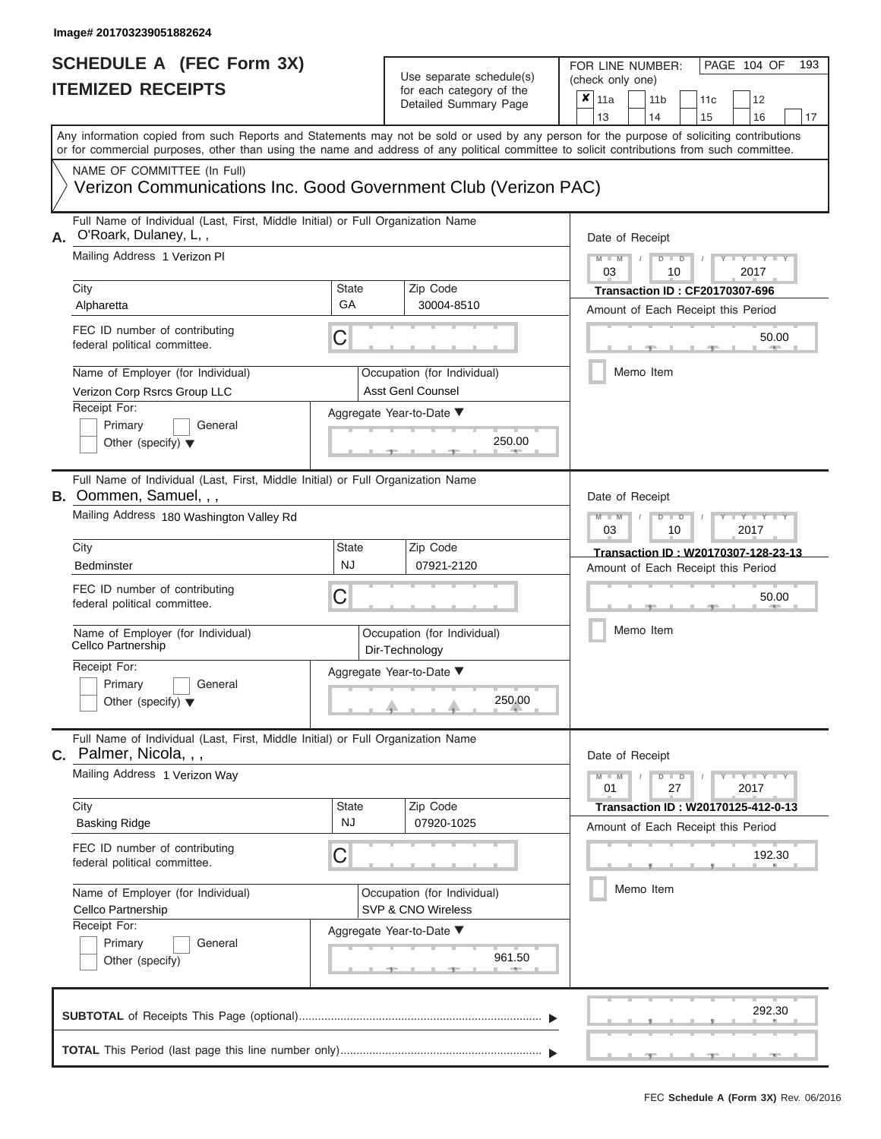## Use separate schedule(s)

FOR LINE NUMBER:<br>(check only one)

PAGE 104 OF 193

|    | IIEMIZED REGEIPIJ                                                                                                                                                                                                                                                                       |                           | for each category of the<br>Detailed Summary Page       | X | 11a                        |           | 11 <sub>b</sub> |               | 11c                                                                         | 12                              |        |    |  |  |
|----|-----------------------------------------------------------------------------------------------------------------------------------------------------------------------------------------------------------------------------------------------------------------------------------------|---------------------------|---------------------------------------------------------|---|----------------------------|-----------|-----------------|---------------|-----------------------------------------------------------------------------|---------------------------------|--------|----|--|--|
|    |                                                                                                                                                                                                                                                                                         |                           |                                                         |   | 13                         |           | 14              |               | 15                                                                          | 16                              |        | 17 |  |  |
|    | Any information copied from such Reports and Statements may not be sold or used by any person for the purpose of soliciting contributions<br>or for commercial purposes, other than using the name and address of any political committee to solicit contributions from such committee. |                           |                                                         |   |                            |           |                 |               |                                                                             |                                 |        |    |  |  |
|    | NAME OF COMMITTEE (In Full)<br>Verizon Communications Inc. Good Government Club (Verizon PAC)                                                                                                                                                                                           |                           |                                                         |   |                            |           |                 |               |                                                                             |                                 |        |    |  |  |
| А. | Full Name of Individual (Last, First, Middle Initial) or Full Organization Name<br>O'Roark, Dulaney, L,,                                                                                                                                                                                |                           |                                                         |   | Date of Receipt<br>$Y = Y$ |           |                 |               |                                                                             |                                 |        |    |  |  |
|    | Mailing Address 1 Verizon PI                                                                                                                                                                                                                                                            |                           |                                                         |   | $M - M$<br>03              |           |                 | $D$ $D$<br>10 |                                                                             | 2017                            |        |    |  |  |
|    | City<br>Alpharetta                                                                                                                                                                                                                                                                      | <b>State</b><br>GA        | Zip Code<br>30004-8510                                  |   |                            |           |                 |               | <b>Transaction ID: CF20170307-696</b><br>Amount of Each Receipt this Period |                                 |        |    |  |  |
|    | FEC ID number of contributing<br>С<br>federal political committee.                                                                                                                                                                                                                      |                           |                                                         |   |                            |           |                 |               |                                                                             |                                 | 50.00  |    |  |  |
|    | Name of Employer (for Individual)<br>Verizon Corp Rsrcs Group LLC                                                                                                                                                                                                                       |                           | Occupation (for Individual)<br><b>Asst Genl Counsel</b> |   |                            | Memo Item |                 |               |                                                                             |                                 |        |    |  |  |
|    | Receipt For:<br>Primary<br>General<br>Other (specify) $\blacktriangledown$                                                                                                                                                                                                              |                           | Aggregate Year-to-Date ▼<br>250.00                      |   |                            |           |                 |               |                                                                             |                                 |        |    |  |  |
|    | Full Name of Individual (Last, First, Middle Initial) or Full Organization Name<br><b>B.</b> Oommen, Samuel, , ,                                                                                                                                                                        |                           |                                                         |   | Date of Receipt            |           |                 |               |                                                                             |                                 |        |    |  |  |
|    | Mailing Address 180 Washington Valley Rd                                                                                                                                                                                                                                                |                           |                                                         |   | $M - M$<br>03              |           |                 | $D$ $D$<br>10 |                                                                             | $T - Y = T - Y - T$<br>2017     |        |    |  |  |
|    | City<br><b>Bedminster</b>                                                                                                                                                                                                                                                               | State<br><b>NJ</b>        | Zip Code<br>07921-2120                                  |   |                            |           |                 |               | Transaction ID: W20170307-128-23-13<br>Amount of Each Receipt this Period   |                                 |        |    |  |  |
|    | FEC ID number of contributing<br>С<br>federal political committee.                                                                                                                                                                                                                      |                           |                                                         |   |                            |           |                 |               |                                                                             |                                 | 50.00  |    |  |  |
|    | Name of Employer (for Individual)<br>Cellco Partnership                                                                                                                                                                                                                                 |                           | Occupation (for Individual)<br>Dir-Technology           |   |                            | Memo Item |                 |               |                                                                             |                                 |        |    |  |  |
|    | Receipt For:<br>Primary<br>General<br>Other (specify) $\blacktriangledown$                                                                                                                                                                                                              |                           | Aggregate Year-to-Date ▼<br>250.00                      |   |                            |           |                 |               |                                                                             |                                 |        |    |  |  |
|    | Full Name of Individual (Last, First, Middle Initial) or Full Organization Name<br><b>C.</b> Palmer, Nicola, , ,                                                                                                                                                                        |                           |                                                         |   | Date of Receipt            |           |                 |               |                                                                             |                                 |        |    |  |  |
|    | Mailing Address 1 Verizon Way                                                                                                                                                                                                                                                           |                           |                                                         |   | $M - M$<br>01              |           |                 | $D$ $D$<br>27 |                                                                             | $Y - Y - Y - Y - I - Y$<br>2017 |        |    |  |  |
|    | City<br><b>Basking Ridge</b>                                                                                                                                                                                                                                                            | <b>State</b><br><b>NJ</b> | Zip Code<br>07920-1025                                  |   |                            |           |                 |               | Transaction ID: W20170125-412-0-13<br>Amount of Each Receipt this Period    |                                 |        |    |  |  |
|    | FEC ID number of contributing<br>С<br>federal political committee.                                                                                                                                                                                                                      |                           |                                                         |   |                            |           |                 |               |                                                                             |                                 | 192.30 |    |  |  |
|    | Name of Employer (for Individual)<br>Cellco Partnership                                                                                                                                                                                                                                 |                           | Occupation (for Individual)<br>SVP & CNO Wireless       |   |                            | Memo Item |                 |               |                                                                             |                                 |        |    |  |  |
|    | Receipt For:<br>Primary<br>General<br>Other (specify)                                                                                                                                                                                                                                   |                           | Aggregate Year-to-Date ▼<br>961.50<br>$1 - 40$          |   |                            |           |                 |               |                                                                             |                                 |        |    |  |  |
|    |                                                                                                                                                                                                                                                                                         |                           |                                                         |   |                            |           |                 |               |                                                                             |                                 | 292.30 |    |  |  |
|    |                                                                                                                                                                                                                                                                                         |                           |                                                         |   |                            |           |                 |               |                                                                             |                                 |        |    |  |  |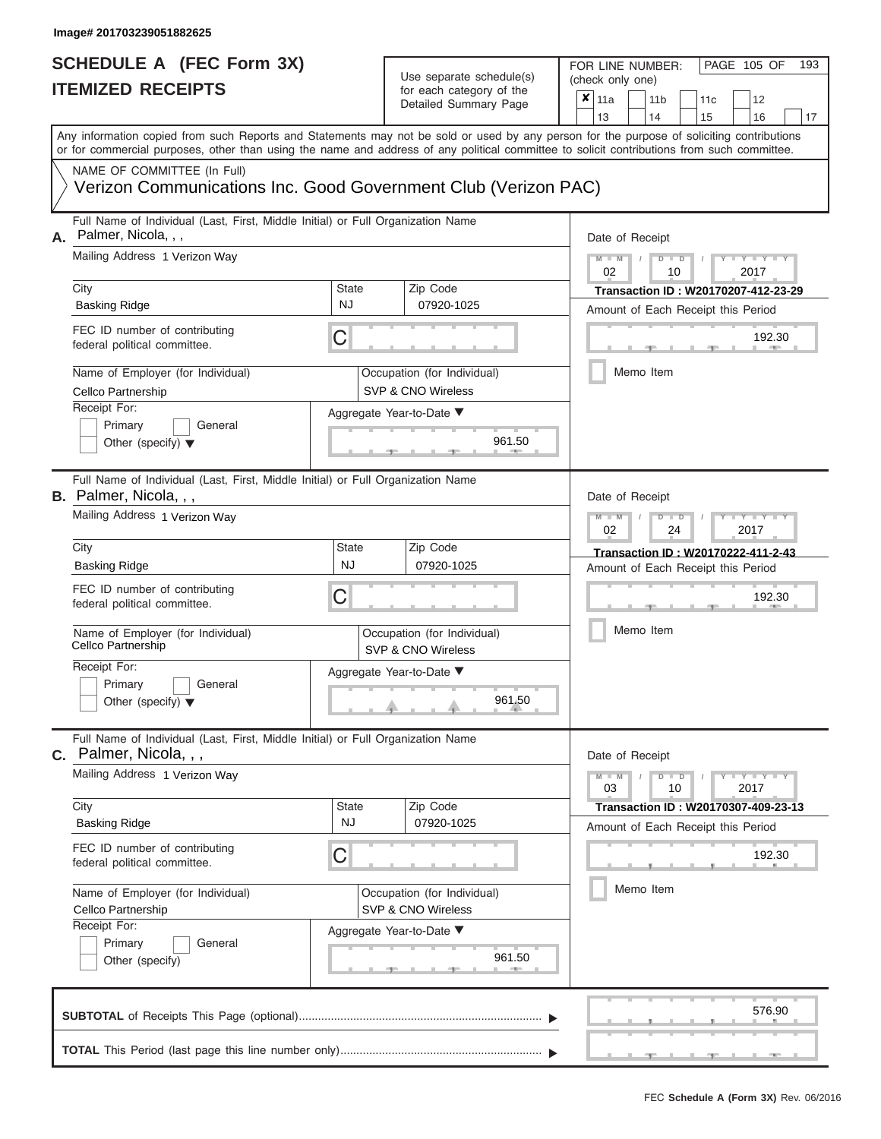### **SCHEDULE A (FEC Form 3X) ITEMIZED RECEIPTS**

## Use separate schedule(s)<br>for each category of the

FOR LINE NUMBER:<br>(check only one)

PAGE 105 OF 193

|    | IILMILLV IILVLII I                                                                                                                         |                    | וטו סמטוו טמוסטטון טו נווכ<br>Detailed Summary Page | x | 11a             | 11 <sub>b</sub>                     | 11c | 12                               |    |
|----|--------------------------------------------------------------------------------------------------------------------------------------------|--------------------|-----------------------------------------------------|---|-----------------|-------------------------------------|-----|----------------------------------|----|
|    | Any information copied from such Reports and Statements may not be sold or used by any person for the purpose of soliciting contributions  |                    |                                                     |   | 13              | 14                                  | 15  | 16                               | 17 |
|    | or for commercial purposes, other than using the name and address of any political committee to solicit contributions from such committee. |                    |                                                     |   |                 |                                     |     |                                  |    |
|    | NAME OF COMMITTEE (In Full)                                                                                                                |                    |                                                     |   |                 |                                     |     |                                  |    |
|    | Verizon Communications Inc. Good Government Club (Verizon PAC)                                                                             |                    |                                                     |   |                 |                                     |     |                                  |    |
| А. | Full Name of Individual (Last, First, Middle Initial) or Full Organization Name<br>Palmer, Nicola, , ,                                     |                    |                                                     |   | Date of Receipt |                                     |     |                                  |    |
|    | Mailing Address 1 Verizon Way                                                                                                              |                    |                                                     |   | $M - M$         | $D$ $\Box$ $D$                      |     |                                  |    |
|    |                                                                                                                                            |                    |                                                     |   | 02              | 10                                  |     | 2017                             |    |
|    | City<br><b>Basking Ridge</b>                                                                                                               | State<br><b>NJ</b> | Zip Code<br>07920-1025                              |   |                 | Transaction ID: W20170207-412-23-29 |     |                                  |    |
|    |                                                                                                                                            |                    |                                                     |   |                 | Amount of Each Receipt this Period  |     |                                  |    |
|    | FEC ID number of contributing<br>federal political committee.                                                                              | C                  |                                                     |   |                 |                                     |     | 192.30<br><b>AND</b>             |    |
|    | Name of Employer (for Individual)<br>Cellco Partnership                                                                                    |                    | Occupation (for Individual)<br>SVP & CNO Wireless   |   |                 | Memo Item                           |     |                                  |    |
|    | Receipt For:                                                                                                                               |                    |                                                     |   |                 |                                     |     |                                  |    |
|    | Primary<br>General                                                                                                                         |                    | Aggregate Year-to-Date ▼                            |   |                 |                                     |     |                                  |    |
|    | Other (specify) $\blacktriangledown$                                                                                                       |                    | 961.50                                              |   |                 |                                     |     |                                  |    |
|    | Full Name of Individual (Last, First, Middle Initial) or Full Organization Name<br><b>B.</b> Palmer, Nicola, , ,                           |                    |                                                     |   | Date of Receipt |                                     |     |                                  |    |
|    | Mailing Address 1 Verizon Way                                                                                                              |                    |                                                     |   | $M - M$<br>02   | $D$ $D$<br>24                       |     | $\overline{\phantom{a}}$<br>2017 |    |
|    | City                                                                                                                                       | State              | Zip Code                                            |   |                 | Transaction ID: W20170222-411-2-43  |     |                                  |    |
|    | <b>Basking Ridge</b>                                                                                                                       | <b>NJ</b>          | 07920-1025                                          |   |                 | Amount of Each Receipt this Period  |     |                                  |    |
|    | FEC ID number of contributing<br>federal political committee.                                                                              | C                  |                                                     |   |                 |                                     |     | 192.30                           |    |
|    | Name of Employer (for Individual)<br>Cellco Partnership                                                                                    |                    | Occupation (for Individual)<br>SVP & CNO Wireless   |   |                 | Memo Item                           |     |                                  |    |
|    | Receipt For:                                                                                                                               |                    | Aggregate Year-to-Date ▼                            |   |                 |                                     |     |                                  |    |
|    | Primary<br>General<br>Other (specify) $\blacktriangledown$                                                                                 |                    | 961.50                                              |   |                 |                                     |     |                                  |    |
| С. | Full Name of Individual (Last, First, Middle Initial) or Full Organization Name<br>Palmer, Nicola, , ,                                     |                    |                                                     |   | Date of Receipt |                                     |     |                                  |    |
|    | Mailing Address 1 Verizon Way                                                                                                              |                    |                                                     |   | $M - M$<br>03   | $D$ $D$<br>10                       |     | $Y - Y - Y$<br>2017              |    |
|    | City                                                                                                                                       | State              | Zip Code                                            |   |                 | Transaction ID: W20170307-409-23-13 |     |                                  |    |
|    | <b>Basking Ridge</b>                                                                                                                       | <b>NJ</b>          | 07920-1025                                          |   |                 | Amount of Each Receipt this Period  |     |                                  |    |
|    | FEC ID number of contributing<br>federal political committee.                                                                              | C                  |                                                     |   |                 |                                     |     | 192.30                           |    |
|    | Name of Employer (for Individual)                                                                                                          |                    | Occupation (for Individual)                         |   |                 | Memo Item                           |     |                                  |    |
|    | Cellco Partnership<br>Receipt For:                                                                                                         |                    | SVP & CNO Wireless                                  |   |                 |                                     |     |                                  |    |
|    | Primary<br>General                                                                                                                         |                    | Aggregate Year-to-Date ▼                            |   |                 |                                     |     |                                  |    |
|    | Other (specify)                                                                                                                            |                    | 961.50                                              |   |                 |                                     |     |                                  |    |
|    |                                                                                                                                            |                    |                                                     |   |                 |                                     |     | 576.90                           |    |
|    |                                                                                                                                            |                    |                                                     |   |                 |                                     |     |                                  |    |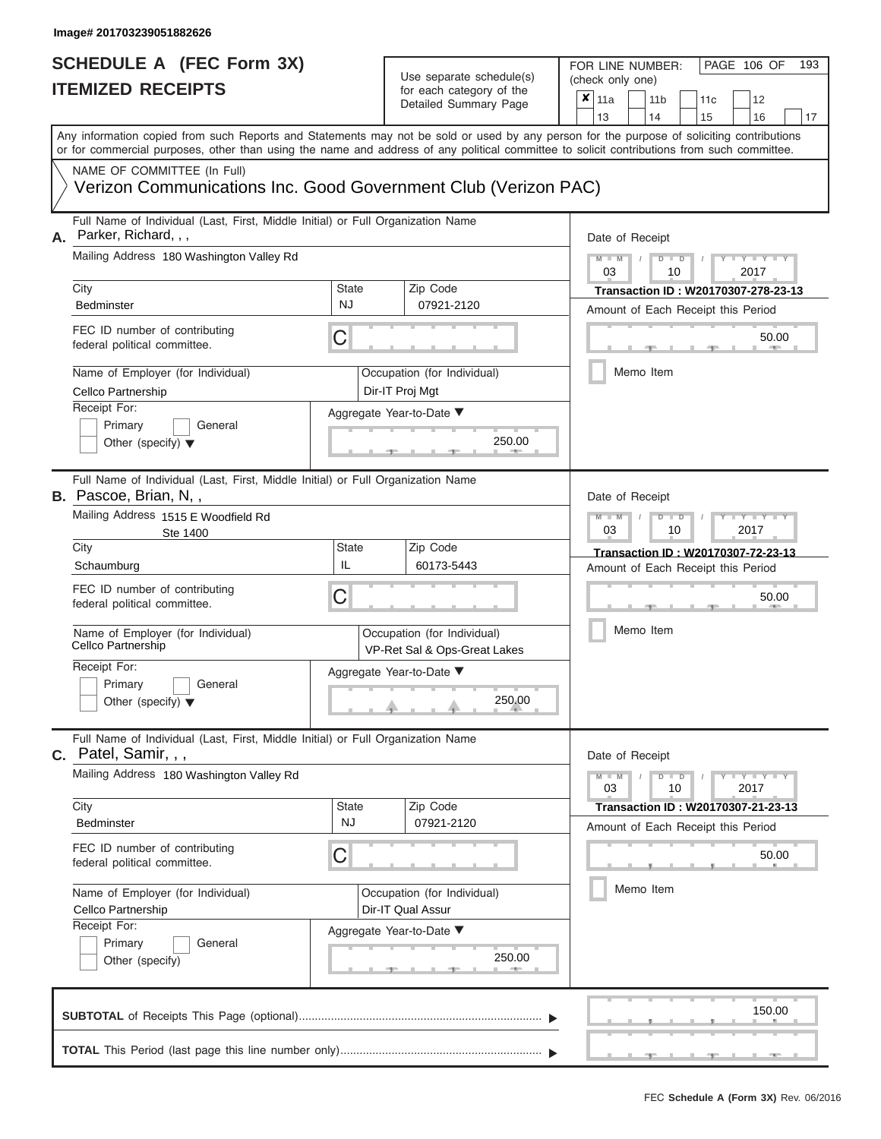FOR LINE NUMBER:<br>(check only one)

PAGE 106 OF 193

|    | IIEMIZEV REVEIFIJ                                                                                                                                                                                                                                                                       |             | for each category of the                                    | × | 11a             |           | 11 <sub>b</sub> |               | 11 <sub>c</sub> | 12                                                                        |    |  |  |  |
|----|-----------------------------------------------------------------------------------------------------------------------------------------------------------------------------------------------------------------------------------------------------------------------------------------|-------------|-------------------------------------------------------------|---|-----------------|-----------|-----------------|---------------|-----------------|---------------------------------------------------------------------------|----|--|--|--|
|    |                                                                                                                                                                                                                                                                                         |             | Detailed Summary Page                                       |   | 13              |           | 14              |               | 15              | 16                                                                        | 17 |  |  |  |
|    | Any information copied from such Reports and Statements may not be sold or used by any person for the purpose of soliciting contributions<br>or for commercial purposes, other than using the name and address of any political committee to solicit contributions from such committee. |             |                                                             |   |                 |           |                 |               |                 |                                                                           |    |  |  |  |
|    | NAME OF COMMITTEE (In Full)<br>Verizon Communications Inc. Good Government Club (Verizon PAC)                                                                                                                                                                                           |             |                                                             |   |                 |           |                 |               |                 |                                                                           |    |  |  |  |
| А. | Full Name of Individual (Last, First, Middle Initial) or Full Organization Name<br>Parker, Richard, , ,                                                                                                                                                                                 |             |                                                             |   | Date of Receipt |           |                 |               |                 |                                                                           |    |  |  |  |
|    | Mailing Address 180 Washington Valley Rd                                                                                                                                                                                                                                                |             |                                                             |   | $M - M$<br>03   |           |                 | $D$ $D$<br>10 |                 | $Y = Y = Y$<br>2017                                                       |    |  |  |  |
|    | City<br>NJ<br><b>Bedminster</b>                                                                                                                                                                                                                                                         | State       | Zip Code<br>07921-2120                                      |   |                 |           |                 |               |                 | Transaction ID: W20170307-278-23-13<br>Amount of Each Receipt this Period |    |  |  |  |
|    | FEC ID number of contributing<br>C<br>federal political committee.                                                                                                                                                                                                                      |             |                                                             |   |                 |           |                 |               |                 | 50.00                                                                     |    |  |  |  |
|    | Name of Employer (for Individual)<br>Cellco Partnership                                                                                                                                                                                                                                 |             | Occupation (for Individual)<br>Dir-IT Proj Mgt              |   |                 | Memo Item |                 |               |                 |                                                                           |    |  |  |  |
|    | Receipt For:<br>Primary<br>General<br>Other (specify) $\blacktriangledown$                                                                                                                                                                                                              |             | Aggregate Year-to-Date ▼<br>250.00                          |   |                 |           |                 |               |                 |                                                                           |    |  |  |  |
|    | Full Name of Individual (Last, First, Middle Initial) or Full Organization Name<br>B. Pascoe, Brian, N,,                                                                                                                                                                                |             |                                                             |   | Date of Receipt |           |                 |               |                 |                                                                           |    |  |  |  |
|    | Mailing Address 1515 E Woodfield Rd<br>Ste 1400                                                                                                                                                                                                                                         |             |                                                             |   | $M - M$<br>03   |           |                 | $D$ $D$<br>10 |                 | Y TYT<br>2017                                                             |    |  |  |  |
|    | City<br>IL<br>Schaumburg                                                                                                                                                                                                                                                                | State       | Zip Code<br>60173-5443                                      |   |                 |           |                 |               |                 | Transaction ID: W20170307-72-23-13<br>Amount of Each Receipt this Period  |    |  |  |  |
|    | FEC ID number of contributing<br>С<br>federal political committee.                                                                                                                                                                                                                      |             |                                                             |   |                 |           |                 |               |                 | 50.00                                                                     |    |  |  |  |
|    | Name of Employer (for Individual)<br>Cellco Partnership                                                                                                                                                                                                                                 |             | Occupation (for Individual)<br>VP-Ret Sal & Ops-Great Lakes |   |                 | Memo Item |                 |               |                 |                                                                           |    |  |  |  |
|    | Receipt For:<br>Primary<br>General<br>Other (specify) $\blacktriangledown$                                                                                                                                                                                                              |             | Aggregate Year-to-Date ▼<br>250.00                          |   |                 |           |                 |               |                 |                                                                           |    |  |  |  |
| С. | Full Name of Individual (Last, First, Middle Initial) or Full Organization Name<br>Patel, Samir, , ,                                                                                                                                                                                    |             |                                                             |   | Date of Receipt |           |                 |               |                 |                                                                           |    |  |  |  |
|    | Mailing Address 180 Washington Valley Rd                                                                                                                                                                                                                                                |             |                                                             |   | $M - M$<br>03   |           |                 | $D$ $D$<br>10 |                 | $Y - Y - Y - Y - I - Y$<br>2017                                           |    |  |  |  |
|    | City<br>Bedminster                                                                                                                                                                                                                                                                      | State<br>NJ | Zip Code<br>07921-2120                                      |   |                 |           |                 |               |                 | Transaction ID: W20170307-21-23-13<br>Amount of Each Receipt this Period  |    |  |  |  |
|    | FEC ID number of contributing<br>C<br>federal political committee.                                                                                                                                                                                                                      |             |                                                             |   |                 |           |                 |               |                 | 50.00                                                                     |    |  |  |  |
|    | Name of Employer (for Individual)<br>Cellco Partnership                                                                                                                                                                                                                                 |             | Occupation (for Individual)<br>Dir-IT Qual Assur            |   |                 | Memo Item |                 |               |                 |                                                                           |    |  |  |  |
|    | Receipt For:<br>Primary<br>General<br>Other (specify)                                                                                                                                                                                                                                   |             | Aggregate Year-to-Date ▼<br>250.00                          |   |                 |           |                 |               |                 |                                                                           |    |  |  |  |
|    |                                                                                                                                                                                                                                                                                         |             |                                                             |   |                 |           |                 |               |                 | 150.00                                                                    |    |  |  |  |
|    |                                                                                                                                                                                                                                                                                         |             |                                                             |   |                 |           |                 |               |                 |                                                                           |    |  |  |  |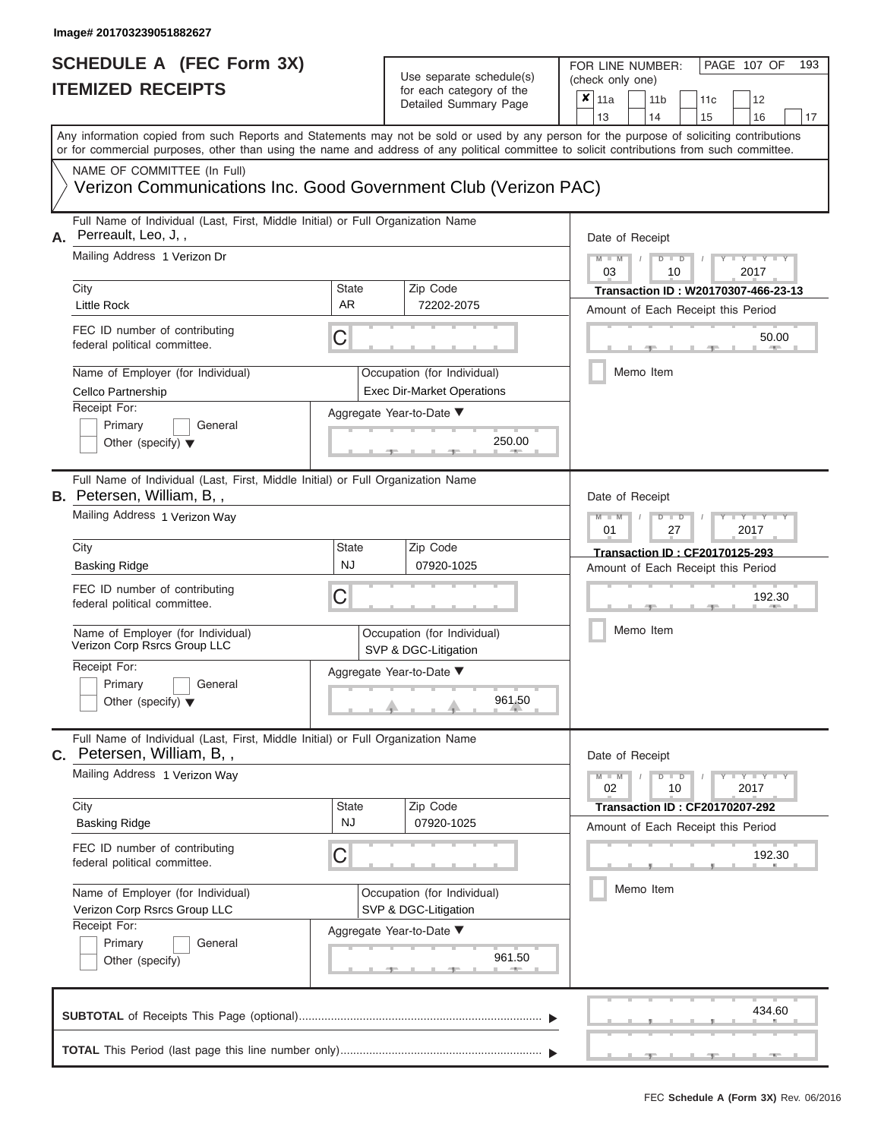## Use separate schedule(s)

| SCHEDULE A (FEC Form 3X)<br><b>ITEMIZED RECEIPTS</b>                                                                                                                                                                                                                                                                                                                                              |                                | Use separate schedule(s)<br>for each category of the<br>Detailed Summary Page                                                    | 193<br>FOR LINE NUMBER:<br>PAGE 107 OF<br>(check only one)<br>$\overline{\mathbf{x}}$   11a<br>11 <sub>b</sub><br>11 <sub>c</sub><br>12<br>13<br>14<br>15<br>16<br>17                       |
|---------------------------------------------------------------------------------------------------------------------------------------------------------------------------------------------------------------------------------------------------------------------------------------------------------------------------------------------------------------------------------------------------|--------------------------------|----------------------------------------------------------------------------------------------------------------------------------|---------------------------------------------------------------------------------------------------------------------------------------------------------------------------------------------|
| Any information copied from such Reports and Statements may not be sold or used by any person for the purpose of soliciting contributions<br>or for commercial purposes, other than using the name and address of any political committee to solicit contributions from such committee.<br>NAME OF COMMITTEE (In Full)<br>Verizon Communications Inc. Good Government Club (Verizon PAC)          |                                |                                                                                                                                  |                                                                                                                                                                                             |
| Full Name of Individual (Last, First, Middle Initial) or Full Organization Name<br>Perreault, Leo, J,,<br>А.<br>Mailing Address 1 Verizon Dr<br>City<br><b>Little Rock</b><br>FEC ID number of contributing<br>federal political committee.<br>Name of Employer (for Individual)<br>Cellco Partnership<br>Receipt For:<br>Primary<br>General<br>Other (specify) $\blacktriangledown$              | State<br>AR.<br>C              | Zip Code<br>72202-2075<br>Occupation (for Individual)<br><b>Exec Dir-Market Operations</b><br>Aggregate Year-to-Date ▼<br>250.00 | Date of Receipt<br>$M - M$ /<br>$Y - Y - Y$<br>$D$ $D$<br>03<br>2017<br>10<br>Transaction ID: W20170307-466-23-13<br>Amount of Each Receipt this Period<br>50.00<br><b>AND</b><br>Memo Item |
| Full Name of Individual (Last, First, Middle Initial) or Full Organization Name<br><b>B.</b> Petersen, William, B,,<br>Mailing Address 1 Verizon Way<br>City<br>Basking Ridge<br>FEC ID number of contributing<br>federal political committee.<br>Name of Employer (for Individual)<br>Verizon Corp Rsrcs Group LLC<br>Receipt For:<br>Primary<br>General<br>Other (specify) $\blacktriangledown$ | <b>State</b><br><b>NJ</b><br>С | Zip Code<br>07920-1025<br>Occupation (for Individual)<br>SVP & DGC-Litigation<br>Aggregate Year-to-Date ▼<br>961.50              | Date of Receipt<br>$M - M$<br>Y I Y I<br>$D$ $D$<br>01<br>2017<br>27<br>Transaction ID: CF20170125-293<br>Amount of Each Receipt this Period<br>192.30<br>Memo Item                         |
| Full Name of Individual (Last, First, Middle Initial) or Full Organization Name<br>Petersen, William, B,,<br>С.<br>Mailing Address 1 Verizon Way<br>City<br><b>Basking Ridge</b><br>FEC ID number of contributing<br>federal political committee.<br>Name of Employer (for Individual)<br>Verizon Corp Rsrcs Group LLC<br>Receipt For:<br>Primary<br>General<br>Other (specify)                   | State<br><b>NJ</b><br>С        | Zip Code<br>07920-1025<br>Occupation (for Individual)<br>SVP & DGC-Litigation<br>Aggregate Year-to-Date ▼<br>961.50              | Date of Receipt<br>$M - M$<br>$D$ $D$<br>$T - Y - T - Y - T - Y$<br>02<br>10<br>2017<br>Transaction ID: CF20170207-292<br>Amount of Each Receipt this Period<br>192.30<br>Memo Item         |
|                                                                                                                                                                                                                                                                                                                                                                                                   |                                |                                                                                                                                  | 434.60                                                                                                                                                                                      |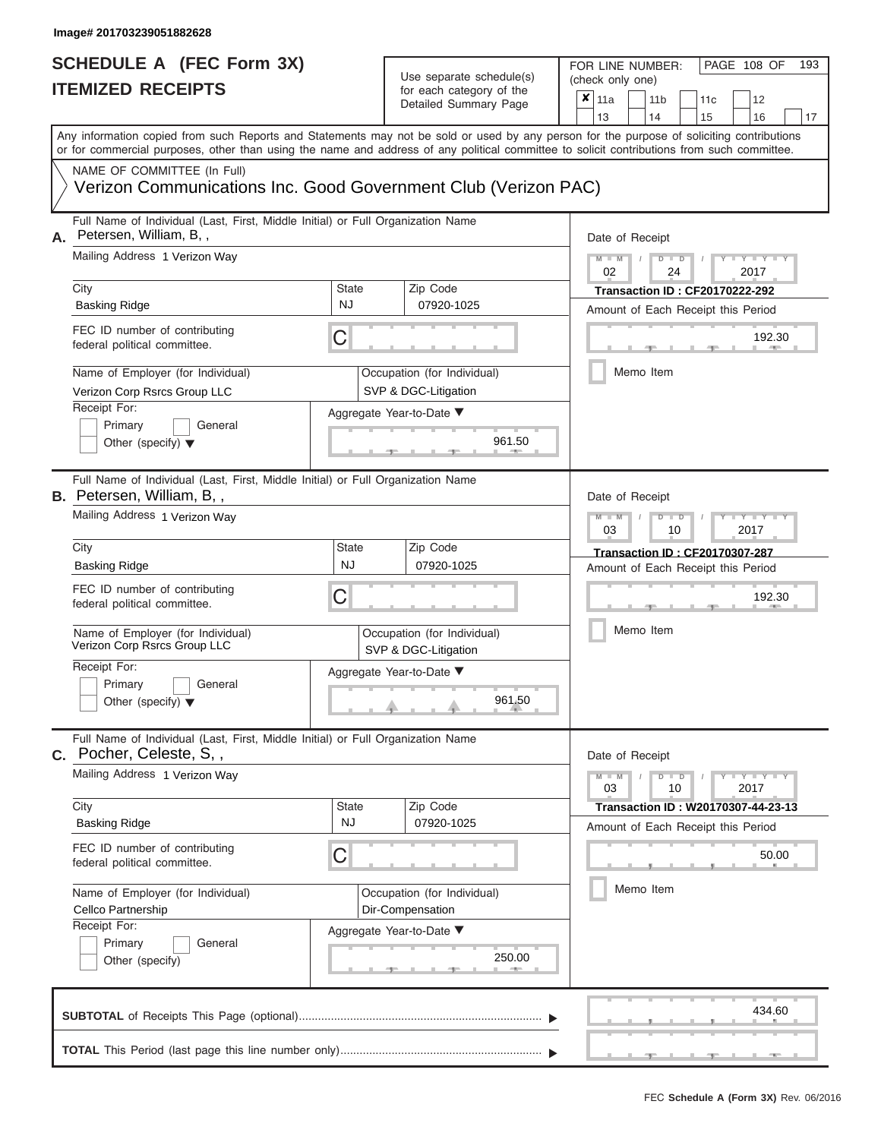ı

### **SCHEDULE A (FEC Form 3X) ITEMIZED RECEIPTS**

## Use separate schedule(s)  $\frac{1}{\pi}$  for each category of the

FOR LINE NUMBER:<br>(check only one)

PAGE 108 OF 193

|    | II EMILED REVEIF I J                                                                                                                                                                                                                                                                    |              | ior each category or the                            | × | 11a             | 11 <sub>b</sub> | 11c                                   | 12                       |    |
|----|-----------------------------------------------------------------------------------------------------------------------------------------------------------------------------------------------------------------------------------------------------------------------------------------|--------------|-----------------------------------------------------|---|-----------------|-----------------|---------------------------------------|--------------------------|----|
|    |                                                                                                                                                                                                                                                                                         |              | Detailed Summary Page                               |   | 13              | 14              | 15                                    | 16                       | 17 |
|    | Any information copied from such Reports and Statements may not be sold or used by any person for the purpose of soliciting contributions<br>or for commercial purposes, other than using the name and address of any political committee to solicit contributions from such committee. |              |                                                     |   |                 |                 |                                       |                          |    |
|    | NAME OF COMMITTEE (In Full)                                                                                                                                                                                                                                                             |              |                                                     |   |                 |                 |                                       |                          |    |
|    | Verizon Communications Inc. Good Government Club (Verizon PAC)                                                                                                                                                                                                                          |              |                                                     |   |                 |                 |                                       |                          |    |
| Α. | Full Name of Individual (Last, First, Middle Initial) or Full Organization Name<br>Petersen, William, B,,                                                                                                                                                                               |              |                                                     |   | Date of Receipt |                 |                                       |                          |    |
|    | Mailing Address 1 Verizon Way                                                                                                                                                                                                                                                           |              |                                                     |   | $M - M$<br>02   | $D$ $D$<br>24   |                                       | $Y - Y - I$<br>2017      |    |
|    | City                                                                                                                                                                                                                                                                                    | State        | Zip Code                                            |   |                 |                 | <b>Transaction ID: CF20170222-292</b> |                          |    |
|    | <b>Basking Ridge</b>                                                                                                                                                                                                                                                                    | NJ           | 07920-1025                                          |   |                 |                 | Amount of Each Receipt this Period    |                          |    |
|    | FEC ID number of contributing<br>federal political committee.                                                                                                                                                                                                                           | С            |                                                     |   |                 |                 |                                       | 192.30                   |    |
|    | Name of Employer (for Individual)<br>Verizon Corp Rsrcs Group LLC                                                                                                                                                                                                                       |              | Occupation (for Individual)<br>SVP & DGC-Litigation |   |                 | Memo Item       |                                       |                          |    |
|    | Receipt For:                                                                                                                                                                                                                                                                            |              | Aggregate Year-to-Date ▼                            |   |                 |                 |                                       |                          |    |
|    | Primary<br>General<br>Other (specify) $\blacktriangledown$                                                                                                                                                                                                                              |              | 961.50                                              |   |                 |                 |                                       |                          |    |
|    | Full Name of Individual (Last, First, Middle Initial) or Full Organization Name<br><b>B.</b> Petersen, William, B,,                                                                                                                                                                     |              |                                                     |   | Date of Receipt |                 |                                       |                          |    |
|    | Mailing Address 1 Verizon Way                                                                                                                                                                                                                                                           |              |                                                     |   | $M - M$<br>03   | $D$ $D$<br>10   |                                       | $-Y$<br>2017             |    |
|    | City                                                                                                                                                                                                                                                                                    | <b>State</b> | Zip Code                                            |   |                 |                 | <b>Transaction ID: CF20170307-287</b> |                          |    |
|    | <b>Basking Ridge</b>                                                                                                                                                                                                                                                                    | <b>NJ</b>    | 07920-1025                                          |   |                 |                 | Amount of Each Receipt this Period    |                          |    |
|    | FEC ID number of contributing<br>federal political committee.                                                                                                                                                                                                                           | С            |                                                     |   |                 |                 |                                       | 192.30                   |    |
|    | Name of Employer (for Individual)<br>Verizon Corp Rsrcs Group LLC                                                                                                                                                                                                                       |              | Occupation (for Individual)<br>SVP & DGC-Litigation |   |                 | Memo Item       |                                       |                          |    |
|    | Receipt For:                                                                                                                                                                                                                                                                            |              | Aggregate Year-to-Date ▼                            |   |                 |                 |                                       |                          |    |
|    | Primary<br>General<br>Other (specify) $\blacktriangledown$                                                                                                                                                                                                                              |              | 961.50                                              |   |                 |                 |                                       |                          |    |
|    | Full Name of Individual (Last, First, Middle Initial) or Full Organization Name<br>C. Pocher, Celeste, S,,                                                                                                                                                                              |              |                                                     |   | Date of Receipt |                 |                                       |                          |    |
|    | Mailing Address 1 Verizon Way                                                                                                                                                                                                                                                           |              |                                                     |   | $M - M$<br>03   | $D$ $D$<br>10   |                                       | $-Y - Y - Y - Y$<br>2017 |    |
|    | City                                                                                                                                                                                                                                                                                    | <b>State</b> | Zip Code                                            |   |                 |                 | Transaction ID: W20170307-44-23-13    |                          |    |
|    | <b>Basking Ridge</b>                                                                                                                                                                                                                                                                    | NJ.          | 07920-1025                                          |   |                 |                 | Amount of Each Receipt this Period    |                          |    |
|    | FEC ID number of contributing<br>federal political committee.                                                                                                                                                                                                                           | С            |                                                     |   |                 |                 |                                       | 50.00                    |    |
|    | Name of Employer (for Individual)                                                                                                                                                                                                                                                       |              | Occupation (for Individual)                         |   |                 | Memo Item       |                                       |                          |    |
|    | Cellco Partnership                                                                                                                                                                                                                                                                      |              | Dir-Compensation                                    |   |                 |                 |                                       |                          |    |
|    | Receipt For:                                                                                                                                                                                                                                                                            |              | Aggregate Year-to-Date ▼                            |   |                 |                 |                                       |                          |    |
|    | General<br>Primary                                                                                                                                                                                                                                                                      |              |                                                     |   |                 |                 |                                       |                          |    |
|    | Other (specify)                                                                                                                                                                                                                                                                         |              | 250.00                                              |   |                 |                 |                                       |                          |    |
|    |                                                                                                                                                                                                                                                                                         |              |                                                     |   |                 |                 |                                       | 434.60                   |    |
|    |                                                                                                                                                                                                                                                                                         |              |                                                     |   |                 |                 |                                       |                          |    |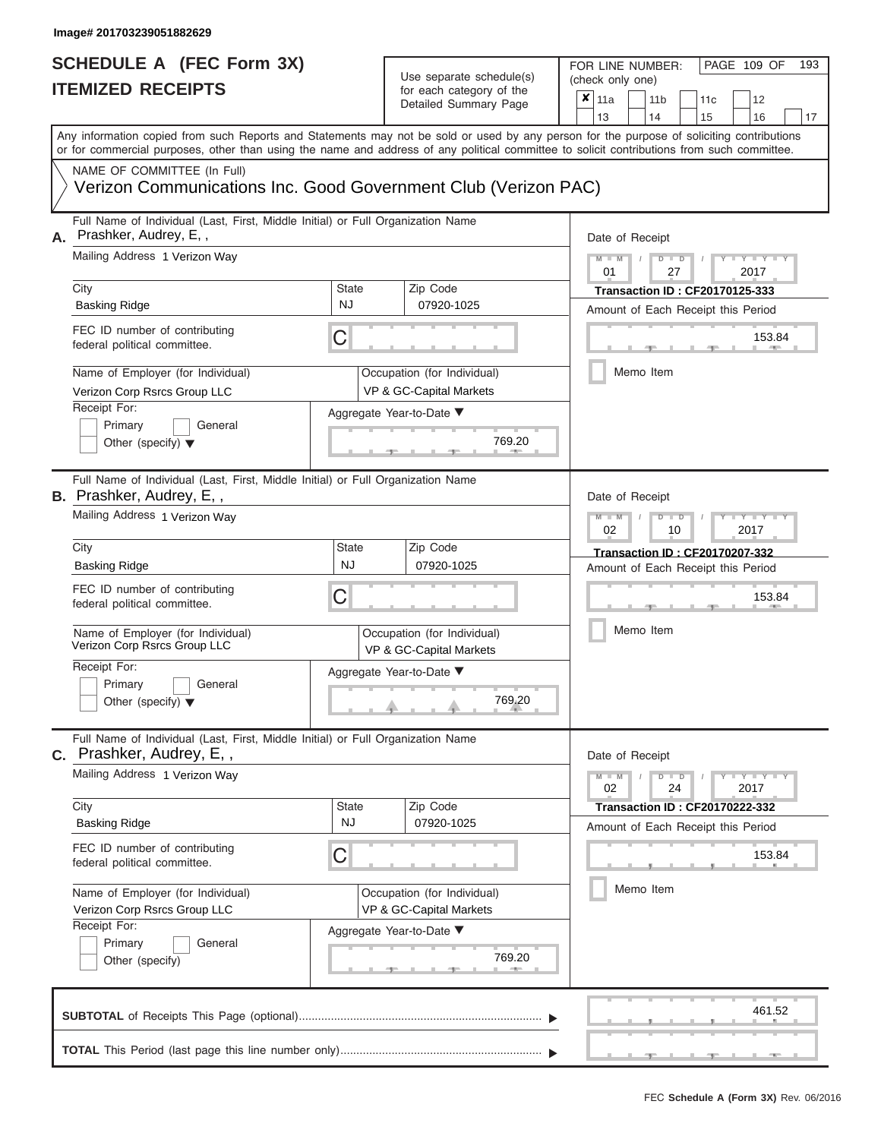| SCHEDULE A (FEC Form 3X)<br><b>ITEMIZED RECEIPTS</b>                                                                                                                                                                                                                                                                                                                                                |                                | Use separate schedule(s)<br>for each category of the<br>Detailed Summary Page                                          | 193<br>FOR LINE NUMBER:<br>PAGE 109 OF<br>(check only one)<br>$\overline{\mathbf{x}}$   11a<br>11 <sub>b</sub><br>11 <sub>c</sub><br>12<br>13<br>14<br>15<br>16                                              |
|-----------------------------------------------------------------------------------------------------------------------------------------------------------------------------------------------------------------------------------------------------------------------------------------------------------------------------------------------------------------------------------------------------|--------------------------------|------------------------------------------------------------------------------------------------------------------------|--------------------------------------------------------------------------------------------------------------------------------------------------------------------------------------------------------------|
| Any information copied from such Reports and Statements may not be sold or used by any person for the purpose of soliciting contributions<br>or for commercial purposes, other than using the name and address of any political committee to solicit contributions from such committee.<br>NAME OF COMMITTEE (In Full)<br>Verizon Communications Inc. Good Government Club (Verizon PAC)            |                                |                                                                                                                        | 17                                                                                                                                                                                                           |
| Full Name of Individual (Last, First, Middle Initial) or Full Organization Name<br>Prashker, Audrey, E,,<br>А.<br>Mailing Address 1 Verizon Way<br>City<br><b>Basking Ridge</b><br>FEC ID number of contributing<br>federal political committee.<br>Name of Employer (for Individual)<br>Verizon Corp Rsrcs Group LLC<br>Receipt For:<br>Primary<br>General<br>Other (specify) $\blacktriangledown$ | State<br><b>NJ</b><br>C        | Zip Code<br>07920-1025<br>Occupation (for Individual)<br>VP & GC-Capital Markets<br>Aggregate Year-to-Date ▼<br>769.20 | Date of Receipt<br>$M - M$<br>$D$ $D$<br>Y TY T<br>$\sqrt{2}$<br>01<br>27<br>2017<br><b>Transaction ID: CF20170125-333</b><br>Amount of Each Receipt this Period<br>153.84<br><b>STATISTICS</b><br>Memo Item |
| Full Name of Individual (Last, First, Middle Initial) or Full Organization Name<br>B. Prashker, Audrey, E,,<br>Mailing Address 1 Verizon Way<br>City<br><b>Basking Ridge</b><br>FEC ID number of contributing<br>federal political committee.<br>Name of Employer (for Individual)<br>Verizon Corp Rsrcs Group LLC<br>Receipt For:<br>Primary<br>General<br>Other (specify) $\blacktriangledown$    | <b>State</b><br><b>NJ</b><br>С | Zip Code<br>07920-1025<br>Occupation (for Individual)<br>VP & GC-Capital Markets<br>Aggregate Year-to-Date ▼<br>769.20 | Date of Receipt<br>$M - M$<br>Y Y I<br>$D$ $D$<br>02<br>2017<br>10<br>Transaction ID: CF20170207-332<br>Amount of Each Receipt this Period<br>153.84<br>Memo Item                                            |
| Full Name of Individual (Last, First, Middle Initial) or Full Organization Name<br>Prashker, Audrey, E,,<br>С.<br>Mailing Address 1 Verizon Way<br>City<br><b>Basking Ridge</b><br>FEC ID number of contributing<br>federal political committee.<br>Name of Employer (for Individual)<br>Verizon Corp Rsrcs Group LLC<br>Receipt For:<br>Primary<br>General<br>Other (specify)                      | State<br><b>NJ</b><br>C        | Zip Code<br>07920-1025<br>Occupation (for Individual)<br>VP & GC-Capital Markets<br>Aggregate Year-to-Date ▼<br>769.20 | Date of Receipt<br>$M - M$<br>$D$ $D$<br>$T - Y - T - Y - T - Y$<br>02<br>24<br>2017<br>Transaction ID: CF20170222-332<br>Amount of Each Receipt this Period<br>153.84<br>Memo Item                          |
|                                                                                                                                                                                                                                                                                                                                                                                                     |                                |                                                                                                                        | 461.52<br>$-1$                                                                                                                                                                                               |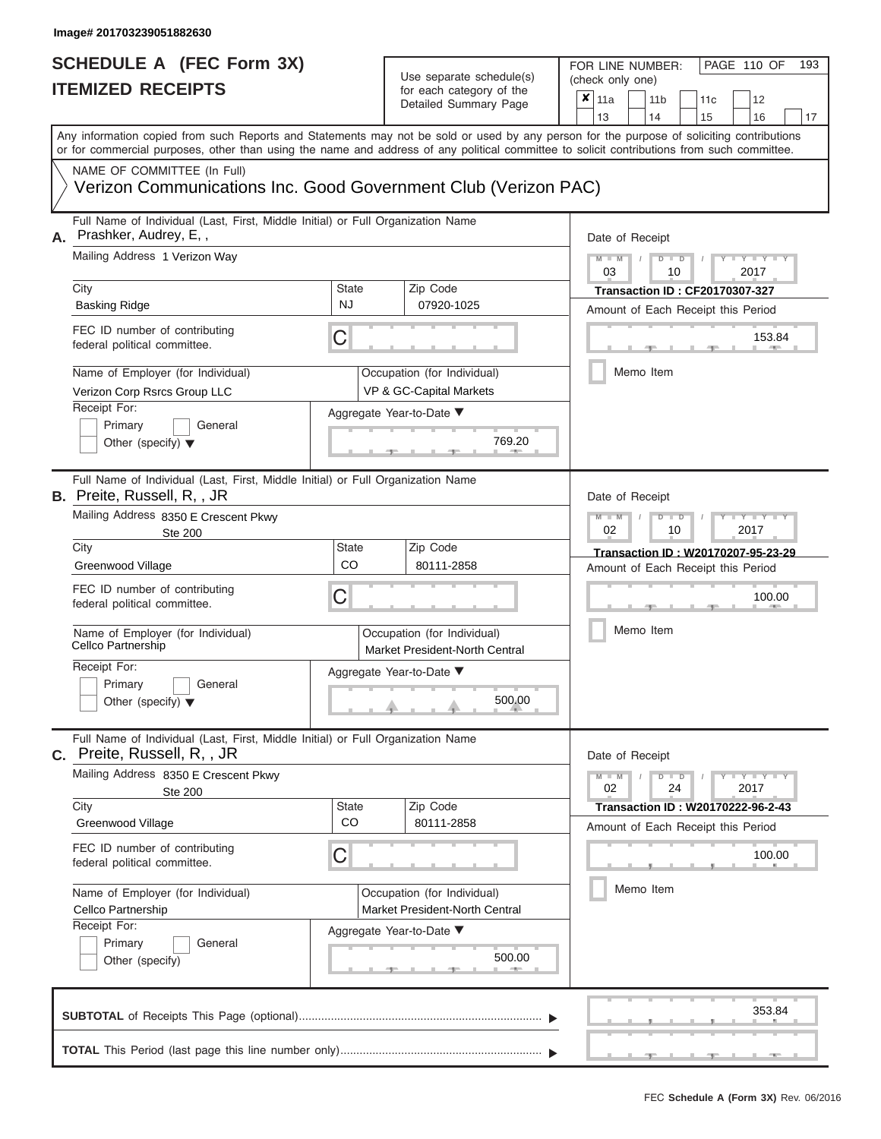## Use separate schedule(s)  $\frac{1}{\pi}$  for each category of the

FOR LINE NUMBER:<br>(check only one)

PAGE 110 OF 193

|    | II EMILED REVEIF I J                                                                                                                       |              | for each category of the<br>Detailed Summary Page             |  | × | 11a             | 11 <sub>b</sub> |                      | 11c                                   |      | 12              |    |
|----|--------------------------------------------------------------------------------------------------------------------------------------------|--------------|---------------------------------------------------------------|--|---|-----------------|-----------------|----------------------|---------------------------------------|------|-----------------|----|
|    | Any information copied from such Reports and Statements may not be sold or used by any person for the purpose of soliciting contributions  |              |                                                               |  |   | 13              | 14              |                      | 15                                    |      | 16              | 17 |
|    | or for commercial purposes, other than using the name and address of any political committee to solicit contributions from such committee. |              |                                                               |  |   |                 |                 |                      |                                       |      |                 |    |
|    | NAME OF COMMITTEE (In Full)                                                                                                                |              |                                                               |  |   |                 |                 |                      |                                       |      |                 |    |
|    | Verizon Communications Inc. Good Government Club (Verizon PAC)                                                                             |              |                                                               |  |   |                 |                 |                      |                                       |      |                 |    |
| Α. | Full Name of Individual (Last, First, Middle Initial) or Full Organization Name<br>Prashker, Audrey, E,,                                   |              |                                                               |  |   | Date of Receipt |                 |                      |                                       |      |                 |    |
|    | Mailing Address 1 Verizon Way                                                                                                              |              |                                                               |  |   | $M - M$<br>03   |                 | $D$ $\Box$ $D$<br>10 |                                       |      | Y I Y I<br>2017 |    |
|    | City                                                                                                                                       | <b>State</b> | Zip Code                                                      |  |   |                 |                 |                      | <b>Transaction ID: CF20170307-327</b> |      |                 |    |
|    | <b>Basking Ridge</b>                                                                                                                       | NJ           | 07920-1025                                                    |  |   |                 |                 |                      | Amount of Each Receipt this Period    |      |                 |    |
|    | FEC ID number of contributing<br>federal political committee.                                                                              | С            |                                                               |  |   |                 |                 |                      |                                       |      | 153.84          |    |
|    | Name of Employer (for Individual)<br>Verizon Corp Rsrcs Group LLC                                                                          |              | Occupation (for Individual)<br>VP & GC-Capital Markets        |  |   |                 | Memo Item       |                      |                                       |      |                 |    |
|    | Receipt For:                                                                                                                               |              | Aggregate Year-to-Date ▼                                      |  |   |                 |                 |                      |                                       |      |                 |    |
|    | Primary<br>General                                                                                                                         |              |                                                               |  |   |                 |                 |                      |                                       |      |                 |    |
|    | Other (specify) $\blacktriangledown$                                                                                                       |              | 769.20                                                        |  |   |                 |                 |                      |                                       |      |                 |    |
|    | Full Name of Individual (Last, First, Middle Initial) or Full Organization Name<br><b>B.</b> Preite, Russell, R,, JR                       |              |                                                               |  |   | Date of Receipt |                 |                      |                                       |      |                 |    |
|    | Mailing Address 8350 E Crescent Pkwy<br><b>Ste 200</b>                                                                                     |              |                                                               |  |   | $M - M$<br>02   |                 | $D$ $D$<br>10        |                                       | 2017 | Y L Y L         |    |
|    | City                                                                                                                                       | <b>State</b> | Zip Code                                                      |  |   |                 |                 |                      | Transaction ID: W20170207-95-23-29    |      |                 |    |
|    | Greenwood Village                                                                                                                          | CO           | 80111-2858                                                    |  |   |                 |                 |                      | Amount of Each Receipt this Period    |      |                 |    |
|    | FEC ID number of contributing<br>С<br>federal political committee.                                                                         |              |                                                               |  |   |                 |                 |                      |                                       |      | 100.00          |    |
|    | Name of Employer (for Individual)<br>Cellco Partnership                                                                                    |              | Occupation (for Individual)<br>Market President-North Central |  |   |                 | Memo Item       |                      |                                       |      |                 |    |
|    | Receipt For:                                                                                                                               |              | Aggregate Year-to-Date ▼                                      |  |   |                 |                 |                      |                                       |      |                 |    |
|    | Primary<br>General<br>Other (specify) $\blacktriangledown$                                                                                 |              | 500.00                                                        |  |   |                 |                 |                      |                                       |      |                 |    |
|    | Full Name of Individual (Last, First, Middle Initial) or Full Organization Name<br>C. Preite, Russell, R,, JR                              |              |                                                               |  |   | Date of Receipt |                 |                      |                                       |      |                 |    |
|    | Mailing Address 8350 E Crescent Pkwy<br><b>Ste 200</b>                                                                                     |              |                                                               |  |   | $M - M$<br>02   |                 | $D$ $D$<br>24        |                                       | 2017 | $Y - Y - Y - Y$ |    |
|    | City                                                                                                                                       | <b>State</b> | Zip Code                                                      |  |   |                 |                 |                      | Transaction ID: W20170222-96-2-43     |      |                 |    |
|    | Greenwood Village                                                                                                                          | CO           | 80111-2858                                                    |  |   |                 |                 |                      | Amount of Each Receipt this Period    |      |                 |    |
|    | FEC ID number of contributing<br>federal political committee.                                                                              | С            |                                                               |  |   |                 |                 |                      |                                       |      | 100.00          |    |
|    | Name of Employer (for Individual)                                                                                                          |              | Occupation (for Individual)                                   |  |   |                 | Memo Item       |                      |                                       |      |                 |    |
|    | Cellco Partnership                                                                                                                         |              | Market President-North Central                                |  |   |                 |                 |                      |                                       |      |                 |    |
|    | Receipt For:                                                                                                                               |              | Aggregate Year-to-Date ▼                                      |  |   |                 |                 |                      |                                       |      |                 |    |
|    | Primary<br>General                                                                                                                         |              |                                                               |  |   |                 |                 |                      |                                       |      |                 |    |
|    | Other (specify)                                                                                                                            |              | 500.00                                                        |  |   |                 |                 |                      |                                       |      |                 |    |
|    |                                                                                                                                            |              |                                                               |  |   |                 |                 |                      |                                       |      | 353.84          |    |
|    |                                                                                                                                            |              |                                                               |  |   |                 |                 |                      |                                       |      |                 |    |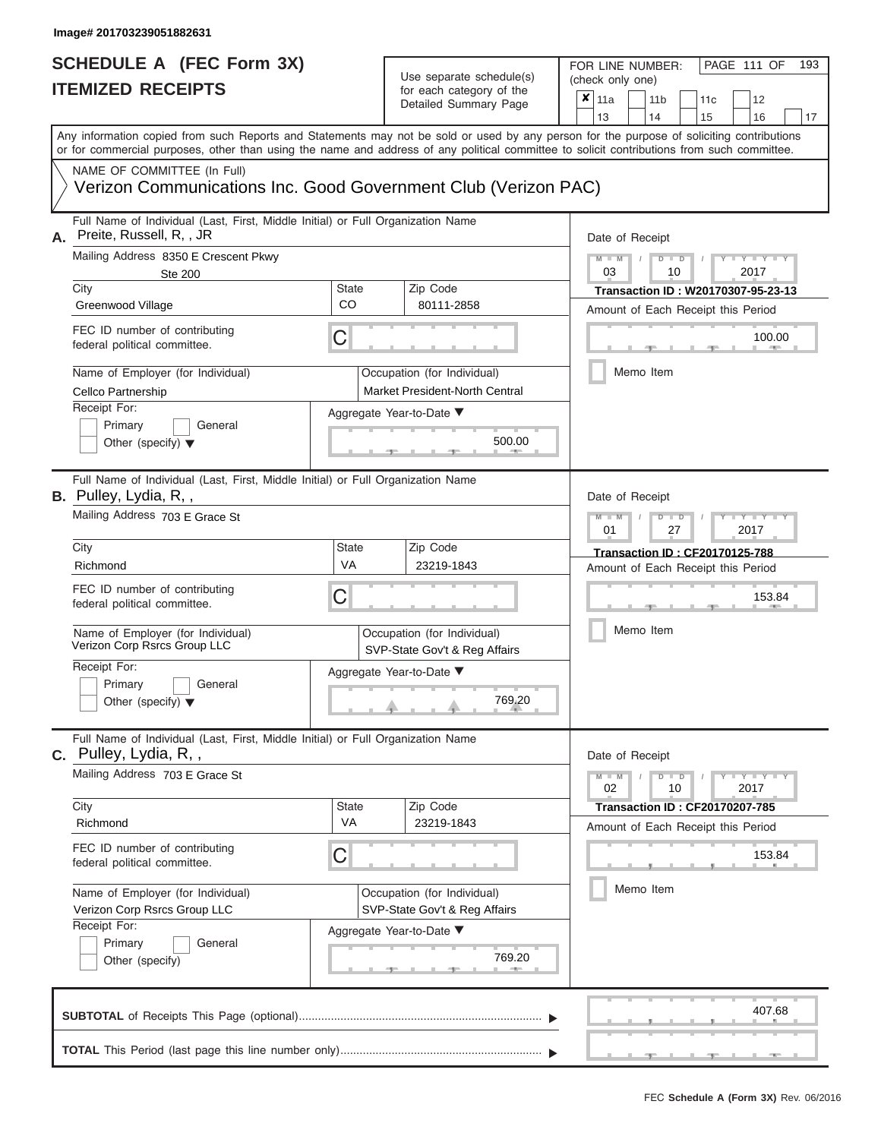## Use separate schedule(s)

| SCHEDULE A (FEC Form 3X)<br><b>ITEMIZED RECEIPTS</b>                                                                                                                                                                                                                                                                                                                                                              |                         | Use separate schedule(s)<br>for each category of the<br>Detailed Summary Page                                                 | FOR LINE NUMBER:<br>PAGE 111 OF<br>193<br>(check only one)<br>$\boldsymbol{x}$<br>11a<br>11 <sub>b</sub><br>12<br>11c<br>13<br>14<br>15<br>16<br>17                                            |
|-------------------------------------------------------------------------------------------------------------------------------------------------------------------------------------------------------------------------------------------------------------------------------------------------------------------------------------------------------------------------------------------------------------------|-------------------------|-------------------------------------------------------------------------------------------------------------------------------|------------------------------------------------------------------------------------------------------------------------------------------------------------------------------------------------|
| Any information copied from such Reports and Statements may not be sold or used by any person for the purpose of soliciting contributions<br>or for commercial purposes, other than using the name and address of any political committee to solicit contributions from such committee.<br>NAME OF COMMITTEE (In Full)<br>Verizon Communications Inc. Good Government Club (Verizon PAC)                          |                         |                                                                                                                               |                                                                                                                                                                                                |
| Full Name of Individual (Last, First, Middle Initial) or Full Organization Name<br>Preite, Russell, R,, JR<br>А.<br>Mailing Address 8350 E Crescent Pkwy<br><b>Ste 200</b><br>City<br>Greenwood Village<br>FEC ID number of contributing<br>federal political committee.<br>Name of Employer (for Individual)<br>Cellco Partnership<br>Receipt For:<br>Primary<br>General<br>Other (specify) $\blacktriangledown$ | State<br>CO.<br>С       | Zip Code<br>80111-2858<br>Occupation (for Individual)<br>Market President-North Central<br>Aggregate Year-to-Date ▼<br>500.00 | Date of Receipt<br>$M - M$ /<br>$Y - Y - Y$<br>$D$ $D$<br>03<br>10<br>2017<br>Transaction ID: W20170307-95-23-13<br>Amount of Each Receipt this Period<br>100.00<br><b>1. 400</b><br>Memo Item |
| Full Name of Individual (Last, First, Middle Initial) or Full Organization Name<br>B. Pulley, Lydia, R,,<br>Mailing Address 703 E Grace St<br>City<br>Richmond<br>FEC ID number of contributing<br>federal political committee.<br>Name of Employer (for Individual)<br>Verizon Corp Rsrcs Group LLC<br>Receipt For:<br>Primary<br>General<br>Other (specify) $\blacktriangledown$                                | State<br>VA<br>С        | Zip Code<br>23219-1843<br>Occupation (for Individual)<br>SVP-State Gov't & Reg Affairs<br>Aggregate Year-to-Date ▼<br>769.20  | Date of Receipt<br>$M - M$<br>$D$ $\Box$ $D$<br>Y Y Y<br>01<br>2017<br>27<br><b>Transaction ID: CF20170125-788</b><br>Amount of Each Receipt this Period<br>153.84<br>Memo Item                |
| Full Name of Individual (Last, First, Middle Initial) or Full Organization Name<br>C. Pulley, Lydia, R,,<br>Mailing Address 703 E Grace St<br>City<br>Richmond<br>FEC ID number of contributing<br>federal political committee.<br>Name of Employer (for Individual)<br>Verizon Corp Rsrcs Group LLC<br>Receipt For:<br>Primary<br>General<br>Other (specify)                                                     | State<br><b>VA</b><br>С | Zip Code<br>23219-1843<br>Occupation (for Individual)<br>SVP-State Gov't & Reg Affairs<br>Aggregate Year-to-Date ▼<br>769.20  | Date of Receipt<br>$M - M$<br>$D$ $D$<br>10<br>02<br>2017<br><b>Transaction ID: CF20170207-785</b><br>Amount of Each Receipt this Period<br>153.84<br>Memo Item                                |
|                                                                                                                                                                                                                                                                                                                                                                                                                   |                         |                                                                                                                               | 407.68                                                                                                                                                                                         |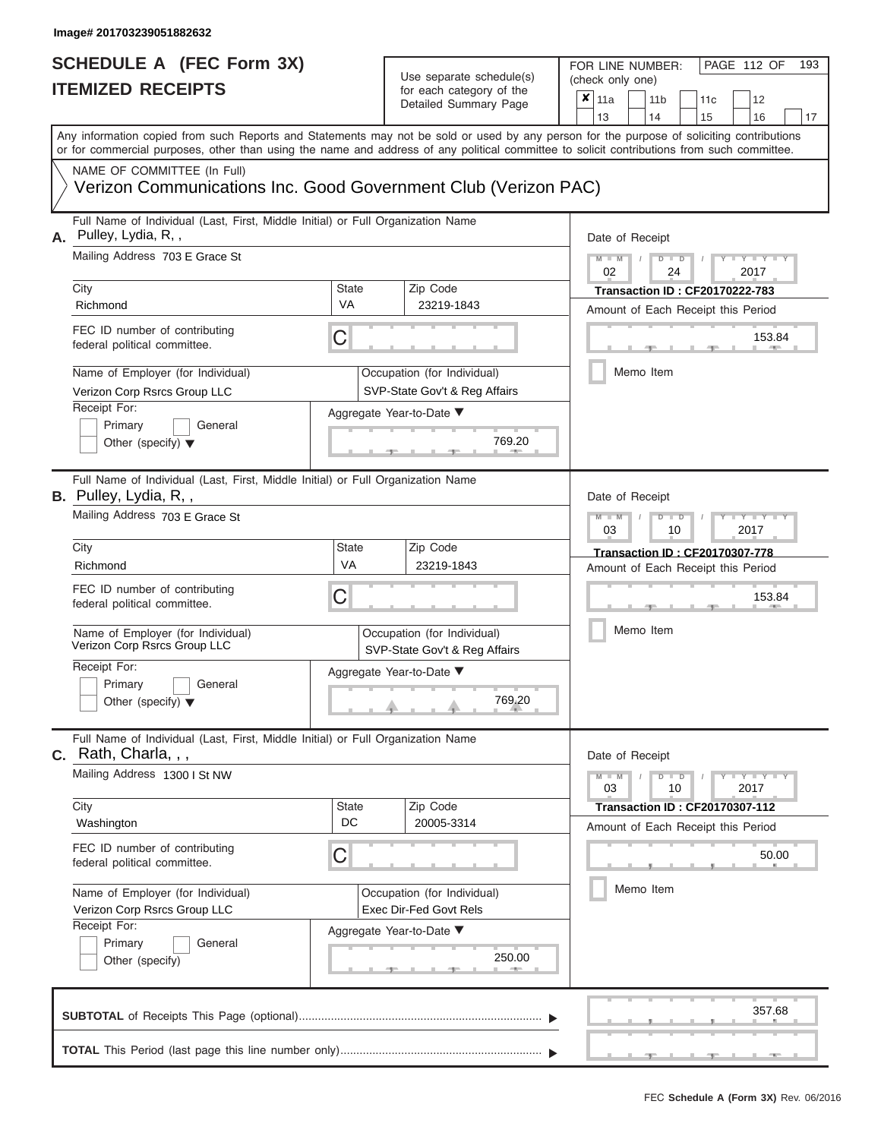## Use separate schedule(s)<br>for each category of the

FOR LINE NUMBER:<br>(check only one)

PAGE 112 OF 193

|    | IILMILLU RLVLIF IJ                                                                                                                                                                                                                                                                      |                                                              |                                                              | iul each caleguly of the<br>Detailed Summary Page     | x                                                                               | 11a             |           | 11 <sub>b</sub> |               | 11c | 12                                    |    |  |  |  |  |
|----|-----------------------------------------------------------------------------------------------------------------------------------------------------------------------------------------------------------------------------------------------------------------------------------------|--------------------------------------------------------------|--------------------------------------------------------------|-------------------------------------------------------|---------------------------------------------------------------------------------|-----------------|-----------|-----------------|---------------|-----|---------------------------------------|----|--|--|--|--|
|    |                                                                                                                                                                                                                                                                                         |                                                              |                                                              |                                                       |                                                                                 | 13              |           | 14              |               | 15  | 16                                    | 17 |  |  |  |  |
|    | Any information copied from such Reports and Statements may not be sold or used by any person for the purpose of soliciting contributions<br>or for commercial purposes, other than using the name and address of any political committee to solicit contributions from such committee. |                                                              |                                                              |                                                       |                                                                                 |                 |           |                 |               |     |                                       |    |  |  |  |  |
|    | NAME OF COMMITTEE (In Full)                                                                                                                                                                                                                                                             |                                                              |                                                              |                                                       |                                                                                 |                 |           |                 |               |     |                                       |    |  |  |  |  |
|    | Verizon Communications Inc. Good Government Club (Verizon PAC)                                                                                                                                                                                                                          |                                                              |                                                              |                                                       |                                                                                 |                 |           |                 |               |     |                                       |    |  |  |  |  |
| Α. | Full Name of Individual (Last, First, Middle Initial) or Full Organization Name<br>Pulley, Lydia, R,,                                                                                                                                                                                   |                                                              |                                                              |                                                       | Date of Receipt                                                                 |                 |           |                 |               |     |                                       |    |  |  |  |  |
|    | Mailing Address 703 E Grace St                                                                                                                                                                                                                                                          |                                                              |                                                              |                                                       | $M - M$<br>$D$ $D$<br>02<br>2017<br>24<br><b>Transaction ID: CF20170222-783</b> |                 |           |                 |               |     |                                       |    |  |  |  |  |
|    | City                                                                                                                                                                                                                                                                                    | State                                                        |                                                              | Zip Code                                              |                                                                                 |                 |           |                 |               |     |                                       |    |  |  |  |  |
|    | Richmond                                                                                                                                                                                                                                                                                | VA                                                           |                                                              | 23219-1843                                            |                                                                                 |                 |           |                 |               |     | Amount of Each Receipt this Period    |    |  |  |  |  |
|    | FEC ID number of contributing<br>federal political committee.                                                                                                                                                                                                                           | С                                                            |                                                              |                                                       |                                                                                 |                 |           |                 |               |     | 153.84                                |    |  |  |  |  |
|    | Name of Employer (for Individual)<br>Verizon Corp Rsrcs Group LLC                                                                                                                                                                                                                       | Occupation (for Individual)<br>SVP-State Gov't & Reg Affairs | Memo Item                                                    |                                                       |                                                                                 |                 |           |                 |               |     |                                       |    |  |  |  |  |
|    | Receipt For:                                                                                                                                                                                                                                                                            |                                                              |                                                              | Aggregate Year-to-Date ▼                              |                                                                                 |                 |           |                 |               |     |                                       |    |  |  |  |  |
|    | Primary<br>General                                                                                                                                                                                                                                                                      |                                                              |                                                              |                                                       |                                                                                 |                 |           |                 |               |     |                                       |    |  |  |  |  |
|    | Other (specify) $\blacktriangledown$                                                                                                                                                                                                                                                    |                                                              |                                                              | 769.20                                                |                                                                                 |                 |           |                 |               |     |                                       |    |  |  |  |  |
|    | Full Name of Individual (Last, First, Middle Initial) or Full Organization Name<br><b>B.</b> Pulley, Lydia, R,,                                                                                                                                                                         |                                                              |                                                              |                                                       |                                                                                 | Date of Receipt |           |                 |               |     |                                       |    |  |  |  |  |
|    | Mailing Address 703 E Grace St                                                                                                                                                                                                                                                          |                                                              |                                                              |                                                       |                                                                                 | $M$ $M$<br>03   |           |                 | $\Box$<br>10  |     | 2017                                  |    |  |  |  |  |
|    | City                                                                                                                                                                                                                                                                                    | State                                                        |                                                              | Zip Code                                              |                                                                                 |                 |           |                 |               |     | <b>Transaction ID: CF20170307-778</b> |    |  |  |  |  |
|    | Richmond                                                                                                                                                                                                                                                                                | VA                                                           |                                                              | 23219-1843                                            |                                                                                 |                 |           |                 |               |     | Amount of Each Receipt this Period    |    |  |  |  |  |
|    | FEC ID number of contributing<br>С<br>federal political committee.                                                                                                                                                                                                                      |                                                              |                                                              | 153.84                                                |                                                                                 |                 |           |                 |               |     |                                       |    |  |  |  |  |
|    | Name of Employer (for Individual)<br>Verizon Corp Rsrcs Group LLC                                                                                                                                                                                                                       |                                                              | Occupation (for Individual)<br>SVP-State Gov't & Reg Affairs |                                                       |                                                                                 | Memo Item       |           |                 |               |     |                                       |    |  |  |  |  |
|    | Receipt For:                                                                                                                                                                                                                                                                            |                                                              |                                                              | Aggregate Year-to-Date ▼                              |                                                                                 |                 |           |                 |               |     |                                       |    |  |  |  |  |
|    | Primary<br>General<br>Other (specify) $\blacktriangledown$                                                                                                                                                                                                                              |                                                              |                                                              | 769.20                                                |                                                                                 |                 |           |                 |               |     |                                       |    |  |  |  |  |
| С. | Full Name of Individual (Last, First, Middle Initial) or Full Organization Name<br>Rath, Charla, , ,                                                                                                                                                                                    |                                                              |                                                              |                                                       |                                                                                 | Date of Receipt |           |                 |               |     |                                       |    |  |  |  |  |
|    | Mailing Address 1300 I St NW                                                                                                                                                                                                                                                            |                                                              |                                                              |                                                       |                                                                                 | $M - M$<br>03   |           |                 | $D$ $D$<br>10 |     | $Y = Y =$<br>2017                     |    |  |  |  |  |
|    | City                                                                                                                                                                                                                                                                                    | State                                                        |                                                              | Zip Code                                              |                                                                                 |                 |           |                 |               |     | <b>Transaction ID: CF20170307-112</b> |    |  |  |  |  |
|    | Washington                                                                                                                                                                                                                                                                              | DC                                                           |                                                              | 20005-3314                                            |                                                                                 |                 |           |                 |               |     | Amount of Each Receipt this Period    |    |  |  |  |  |
|    | FEC ID number of contributing<br>federal political committee.                                                                                                                                                                                                                           | С                                                            |                                                              |                                                       |                                                                                 |                 |           |                 |               |     | 50.00                                 |    |  |  |  |  |
|    | Name of Employer (for Individual)<br>Verizon Corp Rsrcs Group LLC                                                                                                                                                                                                                       |                                                              |                                                              | Occupation (for Individual)<br>Exec Dir-Fed Govt Rels |                                                                                 |                 | Memo Item |                 |               |     |                                       |    |  |  |  |  |
|    | Receipt For:                                                                                                                                                                                                                                                                            |                                                              |                                                              |                                                       |                                                                                 |                 |           |                 |               |     |                                       |    |  |  |  |  |
|    | General<br>Primary                                                                                                                                                                                                                                                                      |                                                              |                                                              | Aggregate Year-to-Date ▼                              |                                                                                 |                 |           |                 |               |     |                                       |    |  |  |  |  |
|    | Other (specify)                                                                                                                                                                                                                                                                         |                                                              |                                                              | 250.00                                                |                                                                                 |                 |           |                 |               |     |                                       |    |  |  |  |  |
|    |                                                                                                                                                                                                                                                                                         |                                                              |                                                              |                                                       |                                                                                 |                 |           |                 |               |     | 357.68                                |    |  |  |  |  |
|    |                                                                                                                                                                                                                                                                                         |                                                              |                                                              |                                                       |                                                                                 |                 |           |                 |               |     |                                       |    |  |  |  |  |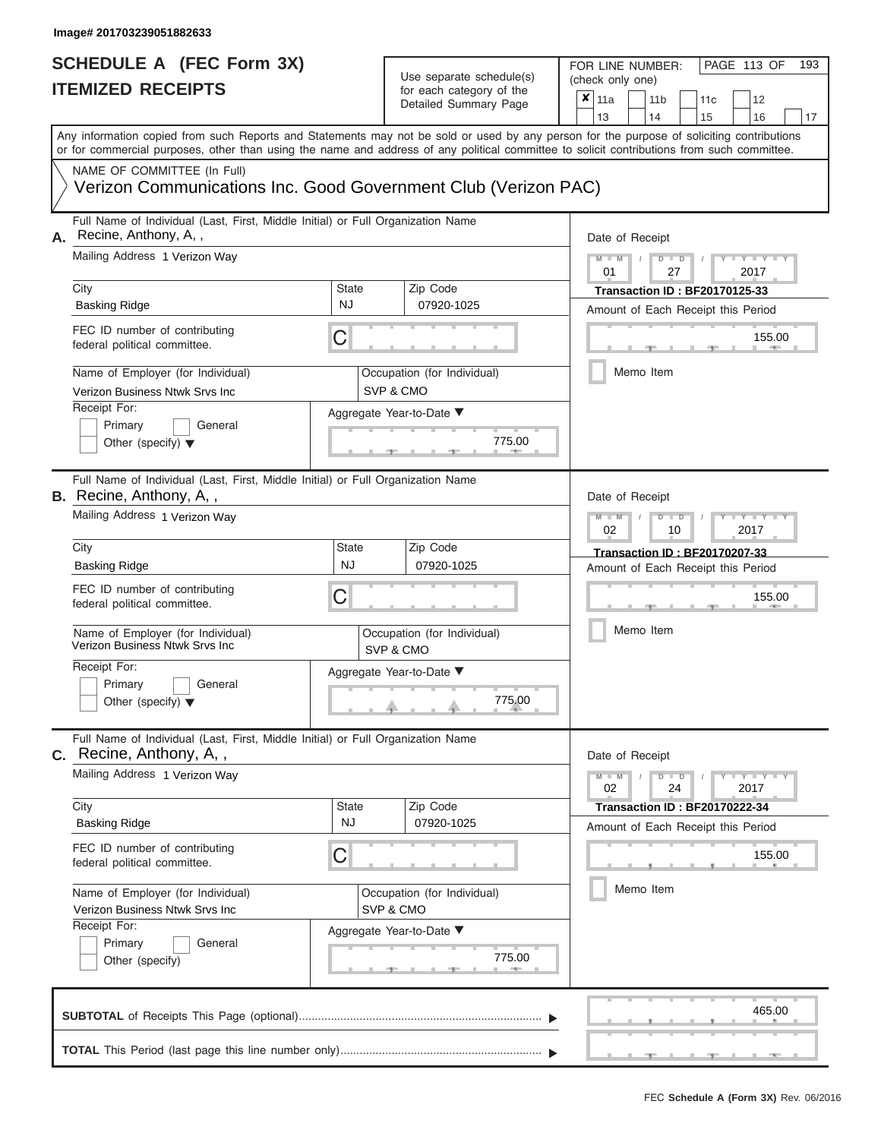### **SCHEDULE A (FEC Form 3X) ITEMIZED RECEIPTS**

## Use separate schedule(s)  $\frac{1}{\pi}$  for each category of the

FOR LINE NUMBER:<br>(check only one)

PAGE 113 OF 193

|    | IIEMILED REVEIFIJ                                                                                                                          |                    | for each category of the<br>Detailed Summary Page | ×                                                                          | 11a                                               |           | 11 <sub>b</sub> |               | 11c                                                                        |  | 12                          |    |  |  |
|----|--------------------------------------------------------------------------------------------------------------------------------------------|--------------------|---------------------------------------------------|----------------------------------------------------------------------------|---------------------------------------------------|-----------|-----------------|---------------|----------------------------------------------------------------------------|--|-----------------------------|----|--|--|
|    | Any information copied from such Reports and Statements may not be sold or used by any person for the purpose of soliciting contributions  |                    |                                                   |                                                                            | 13                                                |           | 14              |               | 15                                                                         |  | 16                          | 17 |  |  |
|    | or for commercial purposes, other than using the name and address of any political committee to solicit contributions from such committee. |                    |                                                   |                                                                            |                                                   |           |                 |               |                                                                            |  |                             |    |  |  |
|    | NAME OF COMMITTEE (In Full)<br>Verizon Communications Inc. Good Government Club (Verizon PAC)                                              |                    |                                                   |                                                                            |                                                   |           |                 |               |                                                                            |  |                             |    |  |  |
| А. | Full Name of Individual (Last, First, Middle Initial) or Full Organization Name<br>Recine, Anthony, A,,                                    |                    |                                                   | Date of Receipt                                                            |                                                   |           |                 |               |                                                                            |  |                             |    |  |  |
|    | Mailing Address 1 Verizon Way                                                                                                              |                    |                                                   |                                                                            | $M - M$<br>$D$ $D$<br>$Y = Y$<br>01<br>27<br>2017 |           |                 |               |                                                                            |  |                             |    |  |  |
|    | City<br><b>Basking Ridge</b>                                                                                                               | State<br><b>NJ</b> | Zip Code<br>07920-1025                            | <b>Transaction ID: BF20170125-33</b><br>Amount of Each Receipt this Period |                                                   |           |                 |               |                                                                            |  |                             |    |  |  |
|    | FEC ID number of contributing<br>federal political committee.                                                                              | C                  |                                                   |                                                                            |                                                   |           |                 |               |                                                                            |  | 155.00                      |    |  |  |
|    | Name of Employer (for Individual)<br>Verizon Business Ntwk Srvs Inc                                                                        |                    | Occupation (for Individual)<br>SVP & CMO          |                                                                            |                                                   | Memo Item |                 |               |                                                                            |  |                             |    |  |  |
|    | Receipt For:<br>Primary<br>General<br>Other (specify) $\blacktriangledown$                                                                 |                    | Aggregate Year-to-Date ▼<br>775.00                |                                                                            |                                                   |           |                 |               |                                                                            |  |                             |    |  |  |
|    | Full Name of Individual (Last, First, Middle Initial) or Full Organization Name<br><b>B.</b> Recine, Anthony, A,,                          |                    |                                                   |                                                                            | Date of Receipt                                   |           |                 |               |                                                                            |  |                             |    |  |  |
|    | Mailing Address 1 Verizon Way                                                                                                              |                    |                                                   |                                                                            | $M - M$<br>02                                     |           |                 | $D$ $D$<br>10 |                                                                            |  | $Y - Y$<br>2017             |    |  |  |
|    | City<br><b>Basking Ridge</b>                                                                                                               | State<br><b>NJ</b> | Zip Code<br>07920-1025                            |                                                                            |                                                   |           |                 |               | <b>Transaction ID: BF20170207-33</b><br>Amount of Each Receipt this Period |  |                             |    |  |  |
|    | FEC ID number of contributing<br>federal political committee.                                                                              |                    | 155.00                                            |                                                                            |                                                   |           |                 |               |                                                                            |  |                             |    |  |  |
|    | Name of Employer (for Individual)<br>Verizon Business Ntwk Srvs Inc                                                                        |                    | Occupation (for Individual)<br>SVP & CMO          |                                                                            |                                                   | Memo Item |                 |               |                                                                            |  |                             |    |  |  |
|    | Receipt For:<br>Primary<br>General<br>Other (specify) $\blacktriangledown$                                                                 |                    | Aggregate Year-to-Date ▼<br>775.00                |                                                                            |                                                   |           |                 |               |                                                                            |  |                             |    |  |  |
| С. | Full Name of Individual (Last, First, Middle Initial) or Full Organization Name<br>Recine, Anthony, A,,                                    |                    |                                                   |                                                                            | Date of Receipt                                   |           |                 |               |                                                                            |  |                             |    |  |  |
|    | Mailing Address 1 Verizon Way                                                                                                              |                    |                                                   |                                                                            | $M - M$<br>02                                     |           |                 | $D$ $D$<br>24 |                                                                            |  | $Y - Y - Y - Y - Y$<br>2017 |    |  |  |
|    | City<br><b>Basking Ridge</b>                                                                                                               | State<br><b>NJ</b> | Zip Code<br>07920-1025                            |                                                                            |                                                   |           |                 |               | <b>Transaction ID: BF20170222-34</b>                                       |  |                             |    |  |  |
|    | FEC ID number of contributing<br>federal political committee.                                                                              | C                  |                                                   |                                                                            |                                                   |           |                 |               | Amount of Each Receipt this Period                                         |  | 155.00                      |    |  |  |
|    | Name of Employer (for Individual)<br>Verizon Business Ntwk Srvs Inc                                                                        | SVP & CMO          | Occupation (for Individual)                       |                                                                            |                                                   | Memo Item |                 |               |                                                                            |  |                             |    |  |  |
|    | Receipt For:<br>Primary<br>General                                                                                                         |                    | Aggregate Year-to-Date ▼                          |                                                                            |                                                   |           |                 |               |                                                                            |  |                             |    |  |  |
|    | Other (specify)                                                                                                                            |                    | 775.00                                            |                                                                            |                                                   |           |                 |               |                                                                            |  |                             |    |  |  |
|    |                                                                                                                                            |                    |                                                   |                                                                            |                                                   |           |                 |               |                                                                            |  | 465.00                      |    |  |  |
|    |                                                                                                                                            |                    |                                                   |                                                                            |                                                   |           |                 |               |                                                                            |  |                             |    |  |  |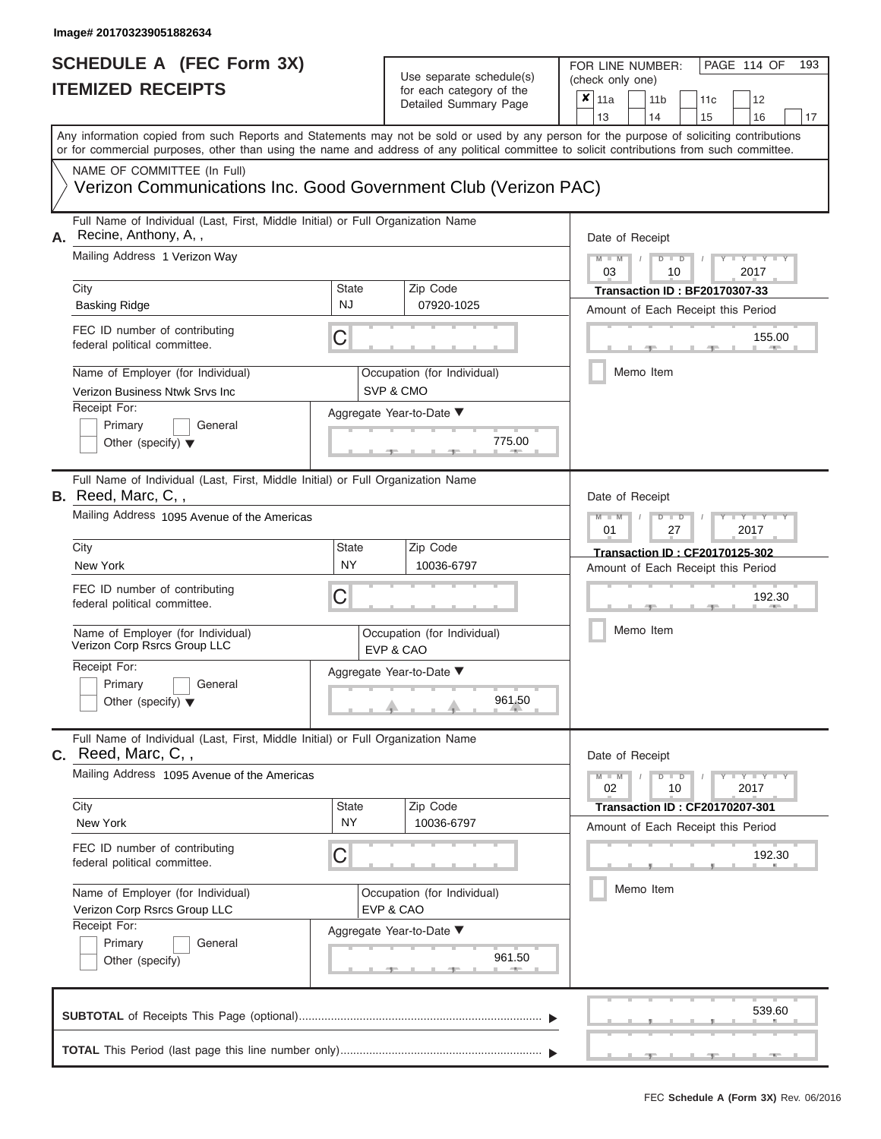ı

### **SCHEDULE A (FEC Form 3X) ITEMIZED RECEIPTS**

## Use separate schedule(s)<br>for each category of the

FOR LINE NUMBER:<br>(check only one)

PAGE 114 OF 193

|    | IILMILLU INLVLII I                                                                                                                                                                                                                                                                      |                                            |  | iul eauli caleguly ul lile<br>Detailed Summary Page | ×               | 11a                                    |  | 11 <sub>b</sub> |                                      | 11c                                   |  | 12                  |    |  |  |  |  |  |
|----|-----------------------------------------------------------------------------------------------------------------------------------------------------------------------------------------------------------------------------------------------------------------------------------------|--------------------------------------------|--|-----------------------------------------------------|-----------------|----------------------------------------|--|-----------------|--------------------------------------|---------------------------------------|--|---------------------|----|--|--|--|--|--|
|    | Any information copied from such Reports and Statements may not be sold or used by any person for the purpose of soliciting contributions<br>or for commercial purposes, other than using the name and address of any political committee to solicit contributions from such committee. |                                            |  |                                                     |                 | 13                                     |  | 14              |                                      | 15                                    |  | 16                  | 17 |  |  |  |  |  |
|    | NAME OF COMMITTEE (In Full)                                                                                                                                                                                                                                                             |                                            |  |                                                     |                 |                                        |  |                 |                                      |                                       |  |                     |    |  |  |  |  |  |
|    | Verizon Communications Inc. Good Government Club (Verizon PAC)                                                                                                                                                                                                                          |                                            |  |                                                     |                 |                                        |  |                 |                                      |                                       |  |                     |    |  |  |  |  |  |
| А. | Full Name of Individual (Last, First, Middle Initial) or Full Organization Name<br>Recine, Anthony, A,,                                                                                                                                                                                 |                                            |  |                                                     | Date of Receipt |                                        |  |                 |                                      |                                       |  |                     |    |  |  |  |  |  |
|    | Mailing Address 1 Verizon Way                                                                                                                                                                                                                                                           |                                            |  |                                                     |                 | $M - M$<br>$D$ $D$<br>2017<br>03<br>10 |  |                 |                                      |                                       |  |                     |    |  |  |  |  |  |
|    | City                                                                                                                                                                                                                                                                                    | Zip Code<br>State                          |  |                                                     |                 |                                        |  |                 | <b>Transaction ID: BF20170307-33</b> |                                       |  |                     |    |  |  |  |  |  |
|    | <b>Basking Ridge</b>                                                                                                                                                                                                                                                                    | <b>NJ</b>                                  |  | 07920-1025                                          |                 |                                        |  |                 |                                      | Amount of Each Receipt this Period    |  |                     |    |  |  |  |  |  |
|    | FEC ID number of contributing<br>federal political committee.                                                                                                                                                                                                                           | C                                          |  |                                                     |                 |                                        |  |                 |                                      |                                       |  | 155.00              |    |  |  |  |  |  |
|    | Name of Employer (for Individual)<br>Verizon Business Ntwk Srvs Inc                                                                                                                                                                                                                     | Occupation (for Individual)<br>SVP & CMO   |  |                                                     |                 |                                        |  |                 | Memo Item                            |                                       |  |                     |    |  |  |  |  |  |
|    | Receipt For:                                                                                                                                                                                                                                                                            |                                            |  | Aggregate Year-to-Date ▼                            |                 |                                        |  |                 |                                      |                                       |  |                     |    |  |  |  |  |  |
|    | Primary<br>General<br>Other (specify) $\blacktriangledown$                                                                                                                                                                                                                              |                                            |  | 775.00                                              |                 |                                        |  |                 |                                      |                                       |  |                     |    |  |  |  |  |  |
|    | Full Name of Individual (Last, First, Middle Initial) or Full Organization Name<br><b>B.</b> Reed, Marc, C,,                                                                                                                                                                            |                                            |  |                                                     |                 | Date of Receipt                        |  |                 |                                      |                                       |  |                     |    |  |  |  |  |  |
|    | Mailing Address 1095 Avenue of the Americas                                                                                                                                                                                                                                             | $M - M$<br>D<br>$\Box$<br>01<br>27<br>2017 |  |                                                     |                 |                                        |  |                 |                                      |                                       |  |                     |    |  |  |  |  |  |
|    | City                                                                                                                                                                                                                                                                                    | State                                      |  | Zip Code                                            |                 |                                        |  |                 |                                      | <b>Transaction ID: CF20170125-302</b> |  |                     |    |  |  |  |  |  |
|    | New York                                                                                                                                                                                                                                                                                | <b>NY</b>                                  |  | 10036-6797                                          |                 |                                        |  |                 |                                      | Amount of Each Receipt this Period    |  |                     |    |  |  |  |  |  |
|    | FEC ID number of contributing<br>federal political committee.                                                                                                                                                                                                                           |                                            |  |                                                     |                 |                                        |  |                 |                                      | 192.30                                |  |                     |    |  |  |  |  |  |
|    | Name of Employer (for Individual)<br>Verizon Corp Rsrcs Group LLC                                                                                                                                                                                                                       |                                            |  | Occupation (for Individual)<br>EVP & CAO            | Memo Item       |                                        |  |                 |                                      |                                       |  |                     |    |  |  |  |  |  |
|    | Receipt For:                                                                                                                                                                                                                                                                            |                                            |  | Aggregate Year-to-Date ▼                            |                 |                                        |  |                 |                                      |                                       |  |                     |    |  |  |  |  |  |
|    | Primary<br>General<br>Other (specify) $\blacktriangledown$                                                                                                                                                                                                                              |                                            |  | 961.50                                              |                 |                                        |  |                 |                                      |                                       |  |                     |    |  |  |  |  |  |
| С. | Full Name of Individual (Last, First, Middle Initial) or Full Organization Name<br>Reed, Marc, C,,                                                                                                                                                                                      |                                            |  |                                                     |                 | Date of Receipt                        |  |                 |                                      |                                       |  |                     |    |  |  |  |  |  |
|    | Mailing Address 1095 Avenue of the Americas                                                                                                                                                                                                                                             |                                            |  |                                                     |                 | $M - M$<br>02                          |  |                 | $D$ $D$<br>10                        |                                       |  | $Y = Y = Y$<br>2017 |    |  |  |  |  |  |
|    | City                                                                                                                                                                                                                                                                                    | State<br><b>NY</b>                         |  | Zip Code<br>10036-6797                              |                 |                                        |  |                 |                                      | <b>Transaction ID: CF20170207-301</b> |  |                     |    |  |  |  |  |  |
|    | New York                                                                                                                                                                                                                                                                                |                                            |  |                                                     |                 |                                        |  |                 |                                      | Amount of Each Receipt this Period    |  |                     |    |  |  |  |  |  |
|    | FEC ID number of contributing<br>federal political committee.                                                                                                                                                                                                                           | C                                          |  |                                                     |                 |                                        |  |                 |                                      |                                       |  | 192.30              |    |  |  |  |  |  |
|    | Name of Employer (for Individual)<br>Verizon Corp Rsrcs Group LLC                                                                                                                                                                                                                       | Occupation (for Individual)<br>EVP & CAO   |  |                                                     |                 | Memo Item                              |  |                 |                                      |                                       |  |                     |    |  |  |  |  |  |
|    | Receipt For:                                                                                                                                                                                                                                                                            |                                            |  | Aggregate Year-to-Date ▼                            |                 |                                        |  |                 |                                      |                                       |  |                     |    |  |  |  |  |  |
|    | Primary<br>General<br>Other (specify)                                                                                                                                                                                                                                                   |                                            |  | 961.50                                              |                 |                                        |  |                 |                                      |                                       |  |                     |    |  |  |  |  |  |
|    |                                                                                                                                                                                                                                                                                         |                                            |  |                                                     |                 |                                        |  |                 |                                      |                                       |  |                     |    |  |  |  |  |  |
|    |                                                                                                                                                                                                                                                                                         |                                            |  |                                                     |                 |                                        |  |                 |                                      |                                       |  | 539.60              |    |  |  |  |  |  |
|    |                                                                                                                                                                                                                                                                                         |                                            |  |                                                     |                 |                                        |  |                 |                                      |                                       |  |                     |    |  |  |  |  |  |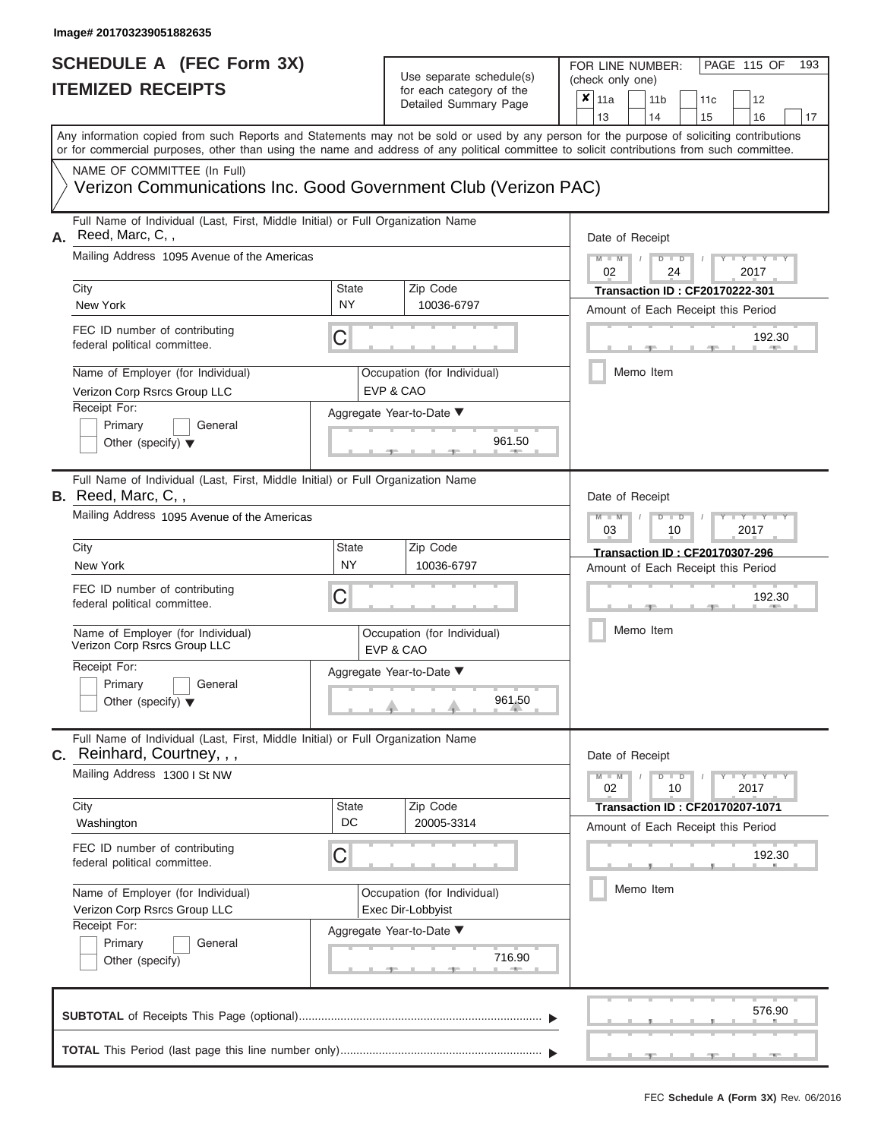## Use separate schedule(s)

| SCHEDULE A (FEC Form 3X)<br><b>ITEMIZED RECEIPTS</b>                                                                                                                                                                                                                                                                                                                                                |                          | Use separate schedule(s)<br>for each category of the<br>Detailed Summary Page                                    | 193<br>FOR LINE NUMBER:<br>PAGE 115 OF<br>(check only one)<br>$\overline{\mathbf{x}}$   11a<br>11 <sub>b</sub><br>12<br>11c                                                                                  |
|-----------------------------------------------------------------------------------------------------------------------------------------------------------------------------------------------------------------------------------------------------------------------------------------------------------------------------------------------------------------------------------------------------|--------------------------|------------------------------------------------------------------------------------------------------------------|--------------------------------------------------------------------------------------------------------------------------------------------------------------------------------------------------------------|
| Any information copied from such Reports and Statements may not be sold or used by any person for the purpose of soliciting contributions<br>or for commercial purposes, other than using the name and address of any political committee to solicit contributions from such committee.                                                                                                             |                          |                                                                                                                  | 13<br>14<br>15<br>16<br>17                                                                                                                                                                                   |
| NAME OF COMMITTEE (In Full)<br>Verizon Communications Inc. Good Government Club (Verizon PAC)                                                                                                                                                                                                                                                                                                       |                          |                                                                                                                  |                                                                                                                                                                                                              |
| Full Name of Individual (Last, First, Middle Initial) or Full Organization Name<br>Reed, Marc, C,,<br>А.<br>Mailing Address 1095 Avenue of the Americas<br>City<br>New York<br>FEC ID number of contributing<br>federal political committee.<br>Name of Employer (for Individual)<br>Verizon Corp Rsrcs Group LLC<br>Receipt For:<br>Primary<br>General<br>Other (specify) $\blacktriangledown$     | <b>State</b><br>NY.<br>С | Zip Code<br>10036-6797<br>Occupation (for Individual)<br>EVP & CAO<br>Aggregate Year-to-Date ▼<br>961.50         | Date of Receipt<br>$M - M$<br>$D$ $D$<br>$Y - Y - T$<br>$\sqrt{2}$<br>02<br>2017<br>24<br><b>Transaction ID: CF20170222-301</b><br>Amount of Each Receipt this Period<br>192.30<br><b>Allen</b><br>Memo Item |
| Full Name of Individual (Last, First, Middle Initial) or Full Organization Name<br><b>B.</b> Reed, Marc, C,,<br>Mailing Address 1095 Avenue of the Americas<br>City<br>New York<br>FEC ID number of contributing<br>federal political committee.<br>Name of Employer (for Individual)<br>Verizon Corp Rsrcs Group LLC<br>Receipt For:<br>Primary<br>General<br>Other (specify) $\blacktriangledown$ | State<br><b>NY</b><br>С  | Zip Code<br>10036-6797<br>Occupation (for Individual)<br>EVP & CAO<br>Aggregate Year-to-Date ▼<br>961.50         | Date of Receipt<br>$M - M$<br>$D$ $\Box$ $D$<br>YIY<br>03<br>2017<br>10<br><b>Transaction ID: CF20170307-296</b><br>Amount of Each Receipt this Period<br>192.30<br>Memo Item                                |
| Full Name of Individual (Last, First, Middle Initial) or Full Organization Name<br>Reinhard, Courtney, , ,<br>С.<br>Mailing Address 1300 I St NW<br>City<br>Washington<br>FEC ID number of contributing<br>federal political committee.<br>Name of Employer (for Individual)<br>Verizon Corp Rsrcs Group LLC<br>Receipt For:<br>Primary<br>General<br>Other (specify)                               | State<br>DC<br>С         | Zip Code<br>20005-3314<br>Occupation (for Individual)<br>Exec Dir-Lobbyist<br>Aggregate Year-to-Date ▼<br>716.90 | Date of Receipt<br>$M - M$<br>$D$ $D$<br>$+Y + Y + Y$<br>10<br>2017<br>02<br><b>Transaction ID: CF20170207-1071</b><br>Amount of Each Receipt this Period<br>192.30<br>Memo Item                             |
|                                                                                                                                                                                                                                                                                                                                                                                                     |                          |                                                                                                                  | 576.90                                                                                                                                                                                                       |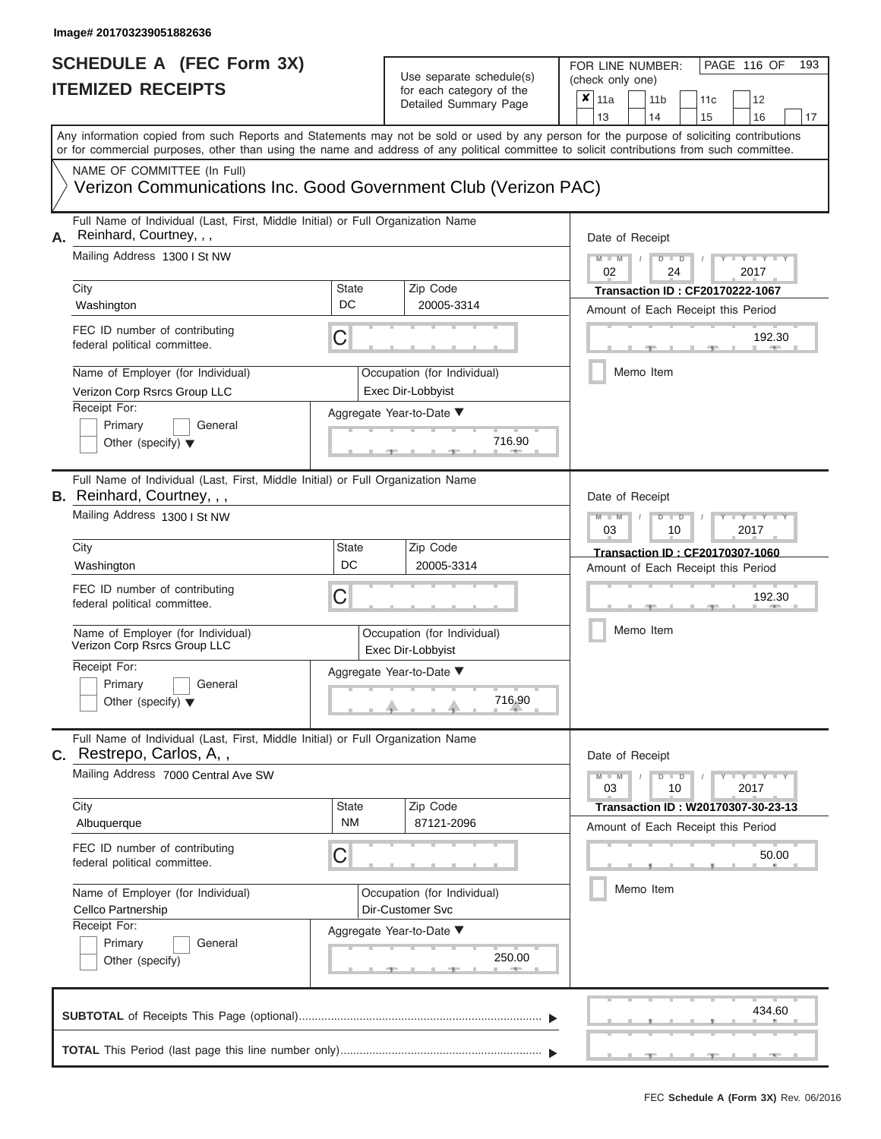## Use separate schedule(s)

| SCHEDULE A (FEC Form 3X)<br><b>ITEMIZED RECEIPTS</b>                                                                                                                                                                                                                                                                         |                    | Use separate schedule(s)<br>for each category of the<br>Detailed Summary Page                                                     | 193<br>FOR LINE NUMBER:<br>PAGE 116 OF<br>(check only one)<br>×<br>11a<br>11 <sub>b</sub><br>12<br>11 <sub>c</sub><br>13<br>14<br>15<br>16<br>17                                                       |
|------------------------------------------------------------------------------------------------------------------------------------------------------------------------------------------------------------------------------------------------------------------------------------------------------------------------------|--------------------|-----------------------------------------------------------------------------------------------------------------------------------|--------------------------------------------------------------------------------------------------------------------------------------------------------------------------------------------------------|
| Any information copied from such Reports and Statements may not be sold or used by any person for the purpose of soliciting contributions<br>or for commercial purposes, other than using the name and address of any political committee to solicit contributions from such committee.                                      |                    |                                                                                                                                   |                                                                                                                                                                                                        |
| NAME OF COMMITTEE (In Full)<br>Verizon Communications Inc. Good Government Club (Verizon PAC)                                                                                                                                                                                                                                |                    |                                                                                                                                   |                                                                                                                                                                                                        |
| Full Name of Individual (Last, First, Middle Initial) or Full Organization Name<br>Reinhard, Courtney, , ,<br>А.<br>Mailing Address 1300 I St NW<br>City<br>Washington<br>FEC ID number of contributing<br>federal political committee.<br>Name of Employer (for Individual)<br>Verizon Corp Rsrcs Group LLC<br>Receipt For: | State<br>DC<br>С   | Zip Code<br>20005-3314<br>Occupation (for Individual)<br>Exec Dir-Lobbyist<br>Aggregate Year-to-Date ▼                            | Date of Receipt<br>$M - M$<br>$Y - Y - Y$<br>$D$ $D$<br>$\sqrt{ }$<br>02<br>24<br>2017<br>Transaction ID: CF20170222-1067<br>Amount of Each Receipt this Period<br>192.30<br><b>STATE</b><br>Memo Item |
| Primary<br>General<br>Other (specify) $\blacktriangledown$                                                                                                                                                                                                                                                                   |                    | 716.90                                                                                                                            |                                                                                                                                                                                                        |
| Full Name of Individual (Last, First, Middle Initial) or Full Organization Name<br><b>B.</b> Reinhard, Courtney, , ,<br>Mailing Address 1300 I St NW<br>City<br>Washington                                                                                                                                                   | State<br>DC        | Zip Code<br>20005-3314                                                                                                            | Date of Receipt<br>$M - M$<br>Y Y T<br>$D$ $D$<br>03<br>2017<br>10<br>Transaction ID: CF20170307-1060                                                                                                  |
| FEC ID number of contributing<br>federal political committee.<br>Name of Employer (for Individual)<br>Verizon Corp Rsrcs Group LLC<br>Receipt For:<br>Primary<br>General<br>Other (specify) $\blacktriangledown$                                                                                                             | С                  | Occupation (for Individual)<br>Exec Dir-Lobbyist<br>Aggregate Year-to-Date ▼<br>$\begin{array}{c}\n716.90 \\ \hline\n\end{array}$ | Amount of Each Receipt this Period<br>192.30<br>Memo Item                                                                                                                                              |
| Full Name of Individual (Last, First, Middle Initial) or Full Organization Name<br><b>C.</b> Restrepo, Carlos, A,,<br>Mailing Address 7000 Central Ave SW                                                                                                                                                                    |                    |                                                                                                                                   | Date of Receipt<br>$M - M$<br>$D$ $D$<br>$T - Y = Y - T Y$                                                                                                                                             |
| City<br>Albuquerque                                                                                                                                                                                                                                                                                                          | State<br><b>NM</b> | Zip Code<br>87121-2096                                                                                                            | 2017<br>03<br>10<br>Transaction ID: W20170307-30-23-13<br>Amount of Each Receipt this Period                                                                                                           |
| FEC ID number of contributing<br>federal political committee.<br>Name of Employer (for Individual)<br>Cellco Partnership                                                                                                                                                                                                     | С                  | Occupation (for Individual)<br>Dir-Customer Svc                                                                                   | 50.00<br>Memo Item                                                                                                                                                                                     |
| Receipt For:<br>Primary<br>General<br>Other (specify)                                                                                                                                                                                                                                                                        |                    | Aggregate Year-to-Date ▼<br>250.00                                                                                                |                                                                                                                                                                                                        |
|                                                                                                                                                                                                                                                                                                                              |                    |                                                                                                                                   | 434.60<br>$-9$<br>$-1$                                                                                                                                                                                 |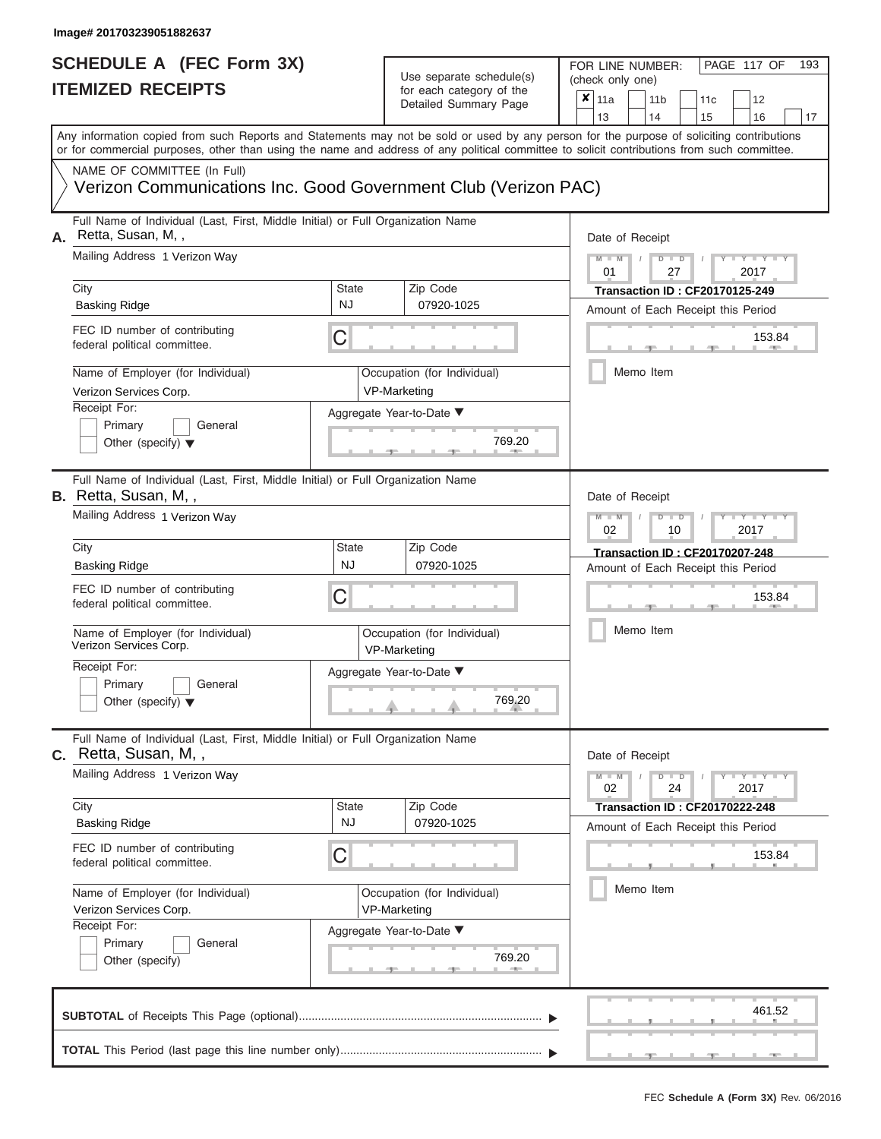### **SCHEDULE A (FEC Form 3X) ITEMIZED RECEIPTS**

## Use separate schedule(s)<br>for each category of the

FOR LINE NUMBER:<br>(check only one)

PAGE 117 OF 193

|    | MILLD ILLVLII I                                                                                                                                                                                                                                                                         |                                                    | iui cauli ualcyuly ul lilc<br>Detailed Summary Page | x                                                         | 11a<br>13                  |           | 11 <sub>b</sub><br>14 |                                                                             | 11c<br>15                                    |  | 12<br>16          | 17 |  |  |  |  |
|----|-----------------------------------------------------------------------------------------------------------------------------------------------------------------------------------------------------------------------------------------------------------------------------------------|----------------------------------------------------|-----------------------------------------------------|-----------------------------------------------------------|----------------------------|-----------|-----------------------|-----------------------------------------------------------------------------|----------------------------------------------|--|-------------------|----|--|--|--|--|
|    | Any information copied from such Reports and Statements may not be sold or used by any person for the purpose of soliciting contributions<br>or for commercial purposes, other than using the name and address of any political committee to solicit contributions from such committee. |                                                    |                                                     |                                                           |                            |           |                       |                                                                             |                                              |  |                   |    |  |  |  |  |
|    | NAME OF COMMITTEE (In Full)<br>Verizon Communications Inc. Good Government Club (Verizon PAC)                                                                                                                                                                                           |                                                    |                                                     |                                                           |                            |           |                       |                                                                             |                                              |  |                   |    |  |  |  |  |
| А. | Full Name of Individual (Last, First, Middle Initial) or Full Organization Name<br>Retta, Susan, M,,<br>Mailing Address 1 Verizon Way                                                                                                                                                   |                                                    |                                                     |                                                           | Date of Receipt<br>$M - M$ |           | $D$ $D$               |                                                                             |                                              |  |                   |    |  |  |  |  |
|    | City                                                                                                                                                                                                                                                                                    | State<br><b>NJ</b>                                 | Zip Code                                            | 01<br>27<br>2017<br><b>Transaction ID: CF20170125-249</b> |                            |           |                       |                                                                             |                                              |  |                   |    |  |  |  |  |
|    | <b>Basking Ridge</b><br>FEC ID number of contributing<br>federal political committee.                                                                                                                                                                                                   | 07920-1025<br>C                                    |                                                     |                                                           |                            |           |                       |                                                                             | Amount of Each Receipt this Period<br>153.84 |  |                   |    |  |  |  |  |
|    | Name of Employer (for Individual)<br>Verizon Services Corp.                                                                                                                                                                                                                             | Occupation (for Individual)<br>VP-Marketing        |                                                     |                                                           |                            | Memo Item |                       |                                                                             |                                              |  |                   |    |  |  |  |  |
|    | Primary<br>General<br>Other (specify) $\blacktriangledown$                                                                                                                                                                                                                              | Receipt For:<br>Aggregate Year-to-Date ▼<br>769.20 |                                                     |                                                           |                            |           |                       |                                                                             |                                              |  |                   |    |  |  |  |  |
|    | Full Name of Individual (Last, First, Middle Initial) or Full Organization Name<br>B. Retta, Susan, M,,<br>Mailing Address 1 Verizon Way                                                                                                                                                |                                                    |                                                     |                                                           | Date of Receipt<br>$M - M$ |           | $D$ $D$               |                                                                             |                                              |  |                   |    |  |  |  |  |
|    | City<br><b>Basking Ridge</b>                                                                                                                                                                                                                                                            | Zip Code<br>07920-1025                             |                                                     | 02                                                        |                            |           | 10                    | <b>Transaction ID: CF20170207-248</b><br>Amount of Each Receipt this Period | 2017                                         |  |                   |    |  |  |  |  |
|    | FEC ID number of contributing<br>federal political committee.                                                                                                                                                                                                                           | C                                                  |                                                     |                                                           | 153.84<br>Memo Item        |           |                       |                                                                             |                                              |  |                   |    |  |  |  |  |
|    | Name of Employer (for Individual)<br>Verizon Services Corp.                                                                                                                                                                                                                             |                                                    | Occupation (for Individual)<br>VP-Marketing         |                                                           |                            |           |                       |                                                                             |                                              |  |                   |    |  |  |  |  |
|    | Receipt For:<br>Primary<br>General<br>Other (specify) $\blacktriangledown$                                                                                                                                                                                                              |                                                    | Aggregate Year-to-Date ▼<br>769.20                  |                                                           |                            |           |                       |                                                                             |                                              |  |                   |    |  |  |  |  |
|    | Full Name of Individual (Last, First, Middle Initial) or Full Organization Name<br>$c.$ Retta, Susan, M, ,<br>Mailing Address 1 Verizon Way                                                                                                                                             |                                                    |                                                     |                                                           | Date of Receipt            |           |                       |                                                                             |                                              |  |                   |    |  |  |  |  |
|    | City                                                                                                                                                                                                                                                                                    | State                                              | Zip Code                                            |                                                           | $M - M$<br>02              |           | $D$ $D$               | 24                                                                          | <b>Transaction ID: CF20170222-248</b>        |  | $Y = Y =$<br>2017 |    |  |  |  |  |
|    | <b>Basking Ridge</b>                                                                                                                                                                                                                                                                    | <b>NJ</b>                                          | 07920-1025                                          |                                                           |                            |           |                       |                                                                             | Amount of Each Receipt this Period           |  |                   |    |  |  |  |  |
|    | FEC ID number of contributing<br>federal political committee.                                                                                                                                                                                                                           | C                                                  |                                                     |                                                           |                            |           |                       |                                                                             |                                              |  | 153.84            |    |  |  |  |  |
|    | Name of Employer (for Individual)<br>Verizon Services Corp.<br>Receipt For:                                                                                                                                                                                                             |                                                    | Occupation (for Individual)<br>VP-Marketing         |                                                           |                            |           | Memo Item             |                                                                             |                                              |  |                   |    |  |  |  |  |
|    | Primary<br>General<br>Other (specify)                                                                                                                                                                                                                                                   |                                                    | Aggregate Year-to-Date ▼<br>769.20                  |                                                           |                            |           |                       |                                                                             |                                              |  |                   |    |  |  |  |  |
|    |                                                                                                                                                                                                                                                                                         |                                                    |                                                     |                                                           |                            |           |                       |                                                                             |                                              |  | 461.52            |    |  |  |  |  |
|    |                                                                                                                                                                                                                                                                                         |                                                    |                                                     |                                                           |                            |           |                       |                                                                             |                                              |  |                   |    |  |  |  |  |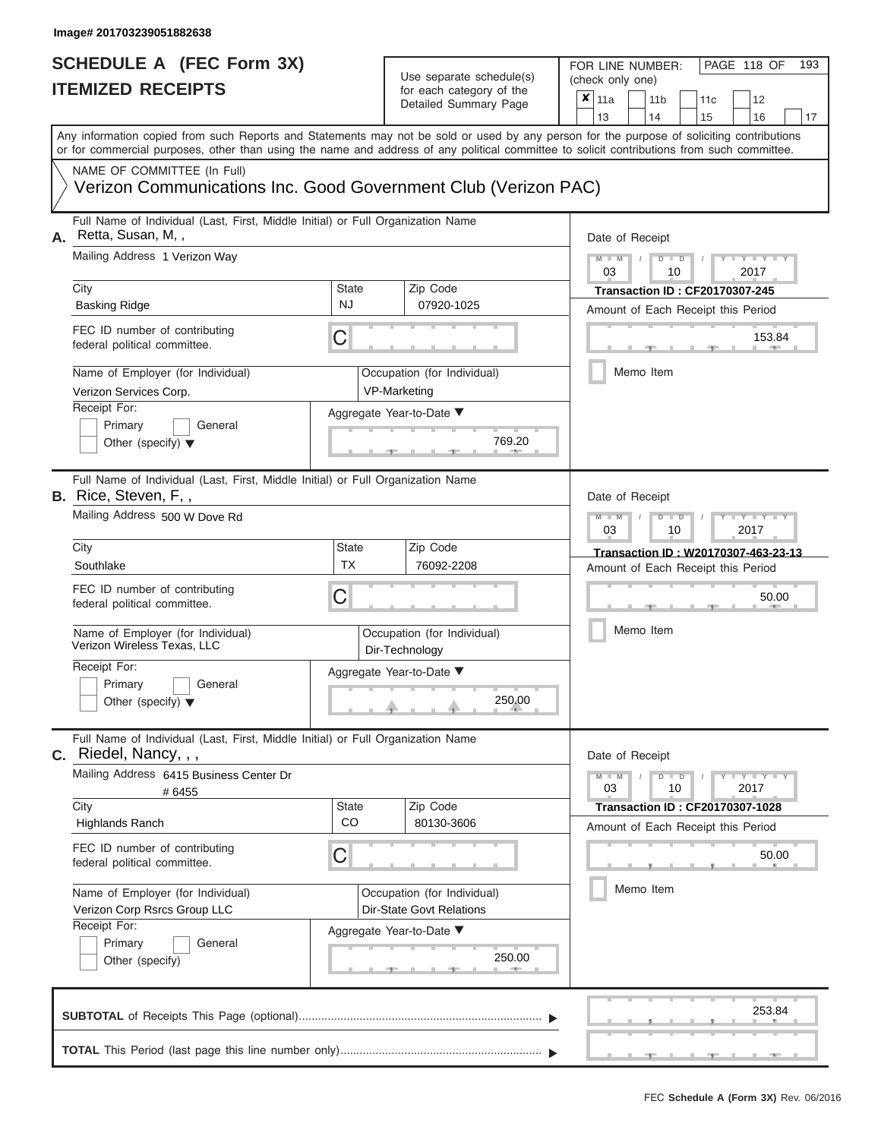# **SCHEDULE A (FEC Form 3X)**

| SCHEDULE A (FEC Form 3X)<br><b>ITEMIZED RECEIPTS</b>                                                                                                                                                                                                                                                                   |                           | Use separate schedule(s)<br>for each category of the<br>Detailed Summary Page | 193<br>FOR LINE NUMBER:<br>PAGE 118 OF<br>(check only one)<br>$\overline{\mathbf{x}}$   11a<br>11 <sub>b</sub><br>11 <sub>c</sub><br>12<br>13<br>14<br>15<br>16<br>17 |
|------------------------------------------------------------------------------------------------------------------------------------------------------------------------------------------------------------------------------------------------------------------------------------------------------------------------|---------------------------|-------------------------------------------------------------------------------|-----------------------------------------------------------------------------------------------------------------------------------------------------------------------|
| Any information copied from such Reports and Statements may not be sold or used by any person for the purpose of soliciting contributions<br>or for commercial purposes, other than using the name and address of any political committee to solicit contributions from such committee.<br>NAME OF COMMITTEE (In Full) |                           |                                                                               |                                                                                                                                                                       |
| Verizon Communications Inc. Good Government Club (Verizon PAC)                                                                                                                                                                                                                                                         |                           |                                                                               |                                                                                                                                                                       |
| Full Name of Individual (Last, First, Middle Initial) or Full Organization Name<br>A. Retta, Susan, M,,<br>Mailing Address 1 Verizon Way                                                                                                                                                                               |                           |                                                                               | Date of Receipt<br>$M$ – $M$ /<br>$D$ $D$<br>Y TY T                                                                                                                   |
| City<br><b>Basking Ridge</b>                                                                                                                                                                                                                                                                                           | <b>State</b><br><b>NJ</b> | Zip Code<br>07920-1025                                                        | 03<br>2017<br>10<br><b>Transaction ID: CF20170307-245</b><br>Amount of Each Receipt this Period                                                                       |
| FEC ID number of contributing<br>federal political committee.                                                                                                                                                                                                                                                          | С                         |                                                                               | 153.84<br><b>CONTRACTOR</b>                                                                                                                                           |
| Name of Employer (for Individual)<br>Verizon Services Corp.                                                                                                                                                                                                                                                            |                           | Occupation (for Individual)<br>VP-Marketing                                   | Memo Item                                                                                                                                                             |
| Receipt For:<br>Primary<br>General<br>Other (specify) $\blacktriangledown$                                                                                                                                                                                                                                             |                           | Aggregate Year-to-Date ▼<br>769.20                                            |                                                                                                                                                                       |
| Full Name of Individual (Last, First, Middle Initial) or Full Organization Name<br>B. Rice, Steven, F,,<br>Mailing Address 500 W Dove Rd                                                                                                                                                                               |                           |                                                                               | Date of Receipt<br>$M - M$<br>$Y - Y - Y$<br>$D$ $D$                                                                                                                  |
| City<br>Southlake                                                                                                                                                                                                                                                                                                      | State<br><b>TX</b>        | Zip Code<br>76092-2208                                                        | 03<br>2017<br>10<br>Transaction ID: W20170307-463-23-13<br>Amount of Each Receipt this Period                                                                         |
| FEC ID number of contributing<br>federal political committee.                                                                                                                                                                                                                                                          | С                         |                                                                               | 50.00                                                                                                                                                                 |
| Name of Employer (for Individual)<br>Verizon Wireless Texas, LLC                                                                                                                                                                                                                                                       |                           | Occupation (for Individual)<br>Dir-Technology                                 | Memo Item                                                                                                                                                             |
| Receipt For:<br>Primary<br>General<br>Other (specify) $\blacktriangledown$                                                                                                                                                                                                                                             |                           | Aggregate Year-to-Date ▼<br>250.00                                            |                                                                                                                                                                       |
| Full Name of Individual (Last, First, Middle Initial) or Full Organization Name<br>C. Riedel, Nancy, , ,                                                                                                                                                                                                               |                           |                                                                               | Date of Receipt                                                                                                                                                       |
| Mailing Address 6415 Business Center Dr<br># 6455                                                                                                                                                                                                                                                                      |                           |                                                                               | $M - M$<br>$D$ $D$<br>$-Y - Y - Y - Y$<br>03<br>10<br>2017                                                                                                            |
| City<br><b>Highlands Ranch</b>                                                                                                                                                                                                                                                                                         | <b>State</b><br>CO        | Zip Code<br>80130-3606                                                        | <b>Transaction ID: CF20170307-1028</b><br>Amount of Each Receipt this Period                                                                                          |
| FEC ID number of contributing<br>federal political committee.                                                                                                                                                                                                                                                          | С                         |                                                                               | 50.00                                                                                                                                                                 |
| Name of Employer (for Individual)<br>Verizon Corp Rsrcs Group LLC<br>Receipt For:                                                                                                                                                                                                                                      |                           | Occupation (for Individual)<br><b>Dir-State Govt Relations</b>                | Memo Item                                                                                                                                                             |
| Primary<br>General<br>Other (specify)                                                                                                                                                                                                                                                                                  |                           | Aggregate Year-to-Date ▼<br>250.00                                            |                                                                                                                                                                       |
|                                                                                                                                                                                                                                                                                                                        |                           |                                                                               | 253.84                                                                                                                                                                |
|                                                                                                                                                                                                                                                                                                                        |                           |                                                                               | $-1$                                                                                                                                                                  |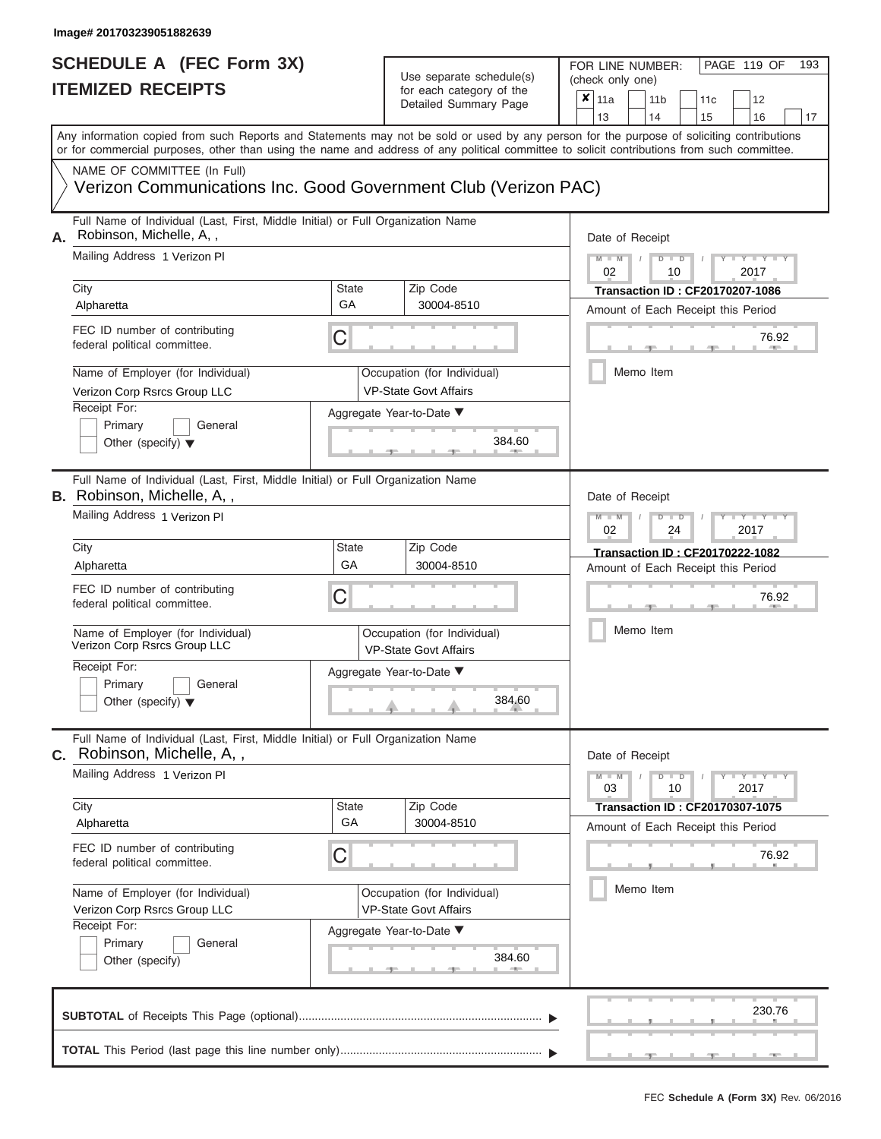### **SCHEDULE A (FEC Form 3X) ITEMIZED RECEIPTS**

## Use separate schedule(s)

FOR LINE NUMBER:<br>(check only one)

PAGE 119 OF 193

| IIEMIZED REJEIPIJ                                                                                                                                |                    | for each category of the<br>Detailed Summary Page           | ×<br>11a<br>11 <sub>b</sub><br>11c<br>12<br>13<br>14<br>15<br>16<br>17                                                                                                                                                                                                                  |  |  |  |  |  |  |  |
|--------------------------------------------------------------------------------------------------------------------------------------------------|--------------------|-------------------------------------------------------------|-----------------------------------------------------------------------------------------------------------------------------------------------------------------------------------------------------------------------------------------------------------------------------------------|--|--|--|--|--|--|--|
|                                                                                                                                                  |                    |                                                             | Any information copied from such Reports and Statements may not be sold or used by any person for the purpose of soliciting contributions<br>or for commercial purposes, other than using the name and address of any political committee to solicit contributions from such committee. |  |  |  |  |  |  |  |
| NAME OF COMMITTEE (In Full)<br>Verizon Communications Inc. Good Government Club (Verizon PAC)                                                    |                    |                                                             |                                                                                                                                                                                                                                                                                         |  |  |  |  |  |  |  |
| Full Name of Individual (Last, First, Middle Initial) or Full Organization Name<br>Robinson, Michelle, A,,<br>А.<br>Mailing Address 1 Verizon Pl |                    | Date of Receipt<br>$M - M$<br>$Y = Y$<br>$D$ $D$            |                                                                                                                                                                                                                                                                                         |  |  |  |  |  |  |  |
| City                                                                                                                                             | State<br>GA        | Zip Code                                                    | 02<br>2017<br>10<br><b>Transaction ID: CF20170207-1086</b>                                                                                                                                                                                                                              |  |  |  |  |  |  |  |
| Alpharetta<br>FEC ID number of contributing<br>federal political committee.                                                                      | C                  | 30004-8510                                                  | Amount of Each Receipt this Period<br>76.92                                                                                                                                                                                                                                             |  |  |  |  |  |  |  |
| Name of Employer (for Individual)<br>Verizon Corp Rsrcs Group LLC<br>Receipt For:                                                                |                    | Occupation (for Individual)<br><b>VP-State Govt Affairs</b> | Memo Item                                                                                                                                                                                                                                                                               |  |  |  |  |  |  |  |
| Primary<br>General<br>Other (specify) $\blacktriangledown$                                                                                       |                    | Aggregate Year-to-Date ▼<br>384.60                          |                                                                                                                                                                                                                                                                                         |  |  |  |  |  |  |  |
| Full Name of Individual (Last, First, Middle Initial) or Full Organization Name<br><b>B.</b> Robinson, Michelle, A.,                             |                    |                                                             | Date of Receipt                                                                                                                                                                                                                                                                         |  |  |  |  |  |  |  |
| Mailing Address 1 Verizon PI                                                                                                                     |                    |                                                             | $M - M$<br>$D$ $\Box$ $D$<br>Y TYT<br>02<br>24<br>2017                                                                                                                                                                                                                                  |  |  |  |  |  |  |  |
| City<br>Alpharetta                                                                                                                               | State<br>GA        | Zip Code<br>30004-8510                                      | Transaction ID: CF20170222-1082<br>Amount of Each Receipt this Period                                                                                                                                                                                                                   |  |  |  |  |  |  |  |
| FEC ID number of contributing<br>federal political committee.                                                                                    | C                  |                                                             | 76.92                                                                                                                                                                                                                                                                                   |  |  |  |  |  |  |  |
| Name of Employer (for Individual)<br>Verizon Corp Rsrcs Group LLC                                                                                |                    | Occupation (for Individual)<br><b>VP-State Govt Affairs</b> | Memo Item                                                                                                                                                                                                                                                                               |  |  |  |  |  |  |  |
| Receipt For:<br>Primary<br>General<br>Other (specify) $\blacktriangledown$                                                                       |                    | Aggregate Year-to-Date ▼<br>384.60                          |                                                                                                                                                                                                                                                                                         |  |  |  |  |  |  |  |
| Full Name of Individual (Last, First, Middle Initial) or Full Organization Name<br><b>C.</b> Robinson, Michelle, A,,                             |                    |                                                             | Date of Receipt                                                                                                                                                                                                                                                                         |  |  |  |  |  |  |  |
| Mailing Address 1 Verizon Pl                                                                                                                     |                    |                                                             | $Y - Y - Y - Y - Y$<br>$M - M$<br>$D$ $D$<br>03<br>10<br>2017                                                                                                                                                                                                                           |  |  |  |  |  |  |  |
| City<br>Alpharetta                                                                                                                               | <b>State</b><br>GA | Zip Code<br>30004-8510                                      | <b>Transaction ID: CF20170307-1075</b><br>Amount of Each Receipt this Period                                                                                                                                                                                                            |  |  |  |  |  |  |  |
| FEC ID number of contributing<br>federal political committee.                                                                                    | C                  |                                                             | 76.92<br>$\mathbf{H}$                                                                                                                                                                                                                                                                   |  |  |  |  |  |  |  |
| Name of Employer (for Individual)<br>Verizon Corp Rsrcs Group LLC<br>Receipt For:                                                                |                    | Occupation (for Individual)<br><b>VP-State Govt Affairs</b> | Memo Item                                                                                                                                                                                                                                                                               |  |  |  |  |  |  |  |
| Primary<br>General<br>Other (specify)                                                                                                            |                    | Aggregate Year-to-Date ▼<br>384.60<br><b>AND</b>            |                                                                                                                                                                                                                                                                                         |  |  |  |  |  |  |  |
|                                                                                                                                                  |                    |                                                             | 230.76                                                                                                                                                                                                                                                                                  |  |  |  |  |  |  |  |
|                                                                                                                                                  |                    |                                                             |                                                                                                                                                                                                                                                                                         |  |  |  |  |  |  |  |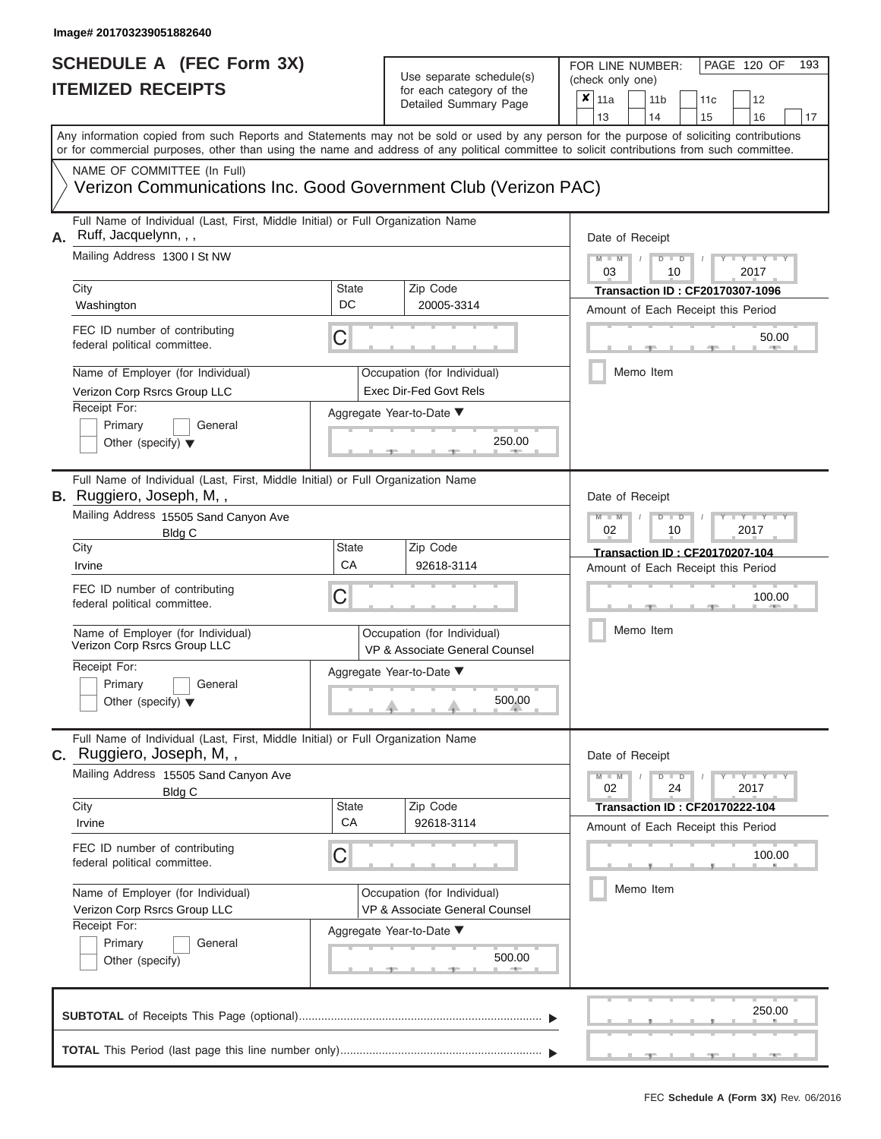| SCHEDULE A (FEC Form 3X)<br><b>ITEMIZED RECEIPTS</b>                                                                                                                                                                                                                                                                                                                                                        |                         | Use separate schedule(s)<br>for each category of the<br>Detailed Summary Page                                                 | 193<br>FOR LINE NUMBER:<br>PAGE 120 OF<br>(check only one)<br>$\overline{\mathbf{x}}$   11a<br>11 <sub>b</sub><br>12<br>11c<br>13<br>14<br>15<br>16<br>17                                                        |
|-------------------------------------------------------------------------------------------------------------------------------------------------------------------------------------------------------------------------------------------------------------------------------------------------------------------------------------------------------------------------------------------------------------|-------------------------|-------------------------------------------------------------------------------------------------------------------------------|------------------------------------------------------------------------------------------------------------------------------------------------------------------------------------------------------------------|
| Any information copied from such Reports and Statements may not be sold or used by any person for the purpose of soliciting contributions<br>or for commercial purposes, other than using the name and address of any political committee to solicit contributions from such committee.<br>NAME OF COMMITTEE (In Full)<br>Verizon Communications Inc. Good Government Club (Verizon PAC)                    |                         |                                                                                                                               |                                                                                                                                                                                                                  |
| Full Name of Individual (Last, First, Middle Initial) or Full Organization Name<br>Ruff, Jacquelynn, , ,<br>А.<br>Mailing Address 1300 I St NW<br>City<br>Washington<br>FEC ID number of contributing<br>federal political committee.<br>Name of Employer (for Individual)<br>Verizon Corp Rsrcs Group LLC<br>Receipt For:<br>Primary<br>General<br>Other (specify) $\blacktriangledown$                    | State<br>DC<br>С        | Zip Code<br>20005-3314<br>Occupation (for Individual)<br><b>Exec Dir-Fed Govt Rels</b><br>Aggregate Year-to-Date ▼<br>250.00  | Date of Receipt<br>$M - M$<br>$D$ $D$<br>$Y - Y - Y$<br>$\sqrt{2}$<br>03<br>2017<br>10<br><b>Transaction ID: CF20170307-1096</b><br>Amount of Each Receipt this Period<br>50.00<br><b>ARCHITECT</b><br>Memo Item |
| Full Name of Individual (Last, First, Middle Initial) or Full Organization Name<br><b>B.</b> Ruggiero, Joseph, M,,<br>Mailing Address 15505 Sand Canyon Ave<br>Bldg C<br>City<br>Irvine<br>FEC ID number of contributing<br>federal political committee.<br>Name of Employer (for Individual)<br>Verizon Corp Rsrcs Group LLC<br>Receipt For:<br>Primary<br>General<br>Other (specify) $\blacktriangledown$ | State<br>CA<br>С        | Zip Code<br>92618-3114<br>Occupation (for Individual)<br>VP & Associate General Counsel<br>Aggregate Year-to-Date ▼<br>500.00 | Date of Receipt<br>$M - M$<br>$D$ $\Box$ $D$<br>Y TY<br>2017<br>02<br>10<br><b>Transaction ID: CF20170207-104</b><br>Amount of Each Receipt this Period<br>100.00<br>Memo Item                                   |
| Full Name of Individual (Last, First, Middle Initial) or Full Organization Name<br>C. Ruggiero, Joseph, M,,<br>Mailing Address 15505 Sand Canyon Ave<br><b>Bldg C</b><br>City<br>Irvine<br>FEC ID number of contributing<br>federal political committee.<br>Name of Employer (for Individual)<br>Verizon Corp Rsrcs Group LLC<br>Receipt For:<br>Primary<br>General<br>Other (specify)                      | <b>State</b><br>CA<br>С | Zip Code<br>92618-3114<br>Occupation (for Individual)<br>VP & Associate General Counsel<br>Aggregate Year-to-Date ▼<br>500.00 | Date of Receipt<br>$M - M$<br>$D$ $D$<br>$-1$ $-1$ $-1$ $-1$ $-1$<br>24<br>02<br>2017<br><b>Transaction ID: CF20170222-104</b><br>Amount of Each Receipt this Period<br>100.00<br>Memo Item                      |
|                                                                                                                                                                                                                                                                                                                                                                                                             |                         |                                                                                                                               | 250.00                                                                                                                                                                                                           |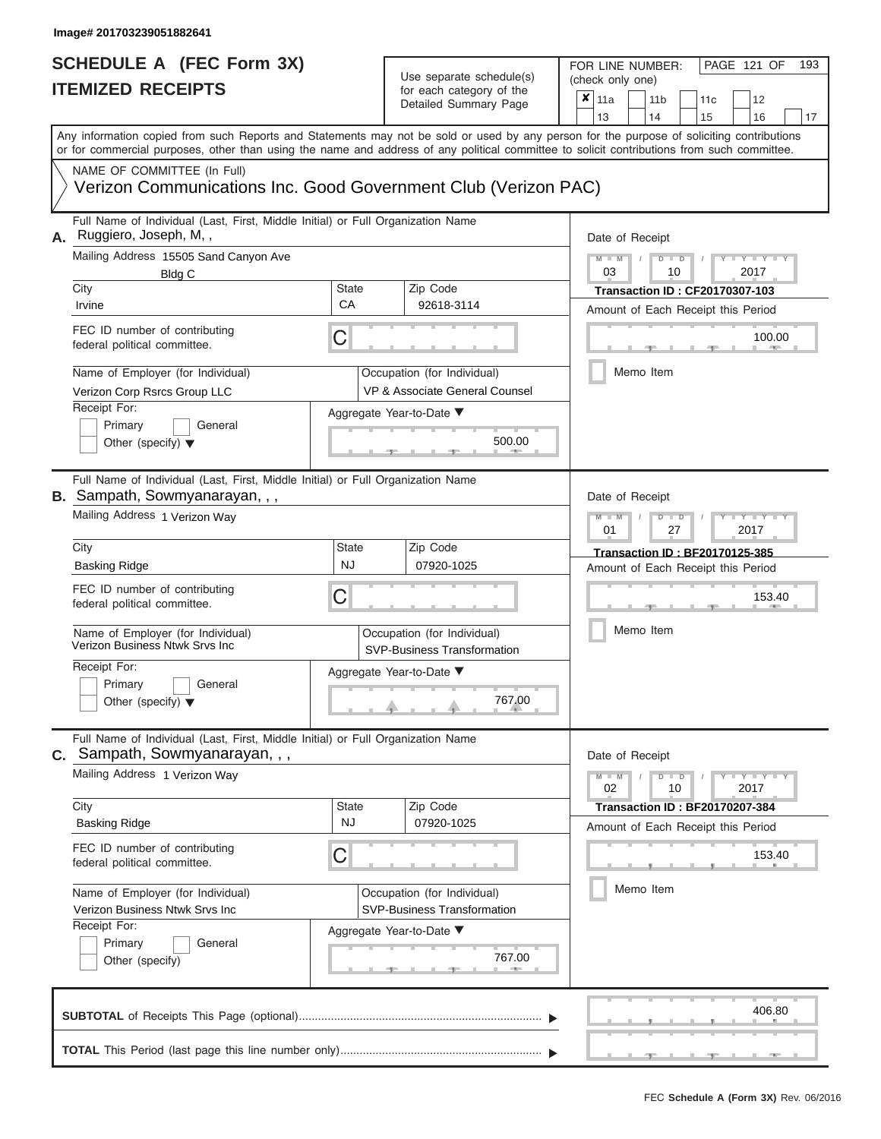| SCHEDULE A (FEC Form 3X)<br><b>ITEMIZED RECEIPTS</b>                                                                                                                                                                                                                                                                                             | FOR LINE NUMBER:<br>Use separate schedule(s)<br>(check only one)<br>for each category of the<br>Detailed Summary Page |                                                                                         |                                                                                                                                                                                                               |  |  |  |  |
|--------------------------------------------------------------------------------------------------------------------------------------------------------------------------------------------------------------------------------------------------------------------------------------------------------------------------------------------------|-----------------------------------------------------------------------------------------------------------------------|-----------------------------------------------------------------------------------------|---------------------------------------------------------------------------------------------------------------------------------------------------------------------------------------------------------------|--|--|--|--|
| Any information copied from such Reports and Statements may not be sold or used by any person for the purpose of soliciting contributions                                                                                                                                                                                                        |                                                                                                                       |                                                                                         | 13<br>14<br>15<br>16<br>17                                                                                                                                                                                    |  |  |  |  |
| or for commercial purposes, other than using the name and address of any political committee to solicit contributions from such committee.                                                                                                                                                                                                       |                                                                                                                       |                                                                                         |                                                                                                                                                                                                               |  |  |  |  |
| NAME OF COMMITTEE (In Full)<br>Verizon Communications Inc. Good Government Club (Verizon PAC)                                                                                                                                                                                                                                                    |                                                                                                                       |                                                                                         |                                                                                                                                                                                                               |  |  |  |  |
| Full Name of Individual (Last, First, Middle Initial) or Full Organization Name<br>Ruggiero, Joseph, M,,<br>А.<br>Mailing Address 15505 Sand Canyon Ave<br><b>Bldg C</b><br>City<br>Irvine<br>FEC ID number of contributing<br>federal political committee.<br>Name of Employer (for Individual)<br>Verizon Corp Rsrcs Group LLC<br>Receipt For: | <b>State</b><br>CA<br>C                                                                                               | Zip Code<br>92618-3114<br>Occupation (for Individual)<br>VP & Associate General Counsel | Date of Receipt<br>$M - M$<br>$D$ $D$<br>Y I Y I<br>$\sqrt{2}$<br>03<br>2017<br>10<br><b>Transaction ID: CF20170307-103</b><br>Amount of Each Receipt this Period<br>100.00<br><b>COLLECTIVE</b><br>Memo Item |  |  |  |  |
| Primary<br>General<br>Other (specify) $\blacktriangledown$                                                                                                                                                                                                                                                                                       |                                                                                                                       | Aggregate Year-to-Date ▼<br>500.00                                                      |                                                                                                                                                                                                               |  |  |  |  |
| Full Name of Individual (Last, First, Middle Initial) or Full Organization Name<br><b>B.</b> Sampath, Sowmyanarayan, , ,<br>Mailing Address 1 Verizon Way                                                                                                                                                                                        |                                                                                                                       |                                                                                         | Date of Receipt<br>$M - M$<br>$D$ $\Box$ $D$<br>Y L Y<br>01<br>2017<br>27                                                                                                                                     |  |  |  |  |
| City                                                                                                                                                                                                                                                                                                                                             | State                                                                                                                 | Zip Code                                                                                | Transaction ID: BF20170125-385                                                                                                                                                                                |  |  |  |  |
| <b>Basking Ridge</b><br>FEC ID number of contributing<br>federal political committee.                                                                                                                                                                                                                                                            | <b>NJ</b><br>С                                                                                                        | 07920-1025                                                                              | Amount of Each Receipt this Period<br>153.40                                                                                                                                                                  |  |  |  |  |
| Name of Employer (for Individual)<br>Verizon Business Ntwk Srvs Inc                                                                                                                                                                                                                                                                              |                                                                                                                       | Occupation (for Individual)<br>SVP-Business Transformation                              | Memo Item                                                                                                                                                                                                     |  |  |  |  |
| Receipt For:<br>Primary<br>General<br>Other (specify) $\blacktriangledown$                                                                                                                                                                                                                                                                       |                                                                                                                       | Aggregate Year-to-Date ▼<br>$\begin{array}{c}\n767.00 \\ \hline\n\end{array}$           |                                                                                                                                                                                                               |  |  |  |  |
| Full Name of Individual (Last, First, Middle Initial) or Full Organization Name<br><b>C.</b> Sampath, Sowmyanarayan, , ,                                                                                                                                                                                                                         |                                                                                                                       |                                                                                         | Date of Receipt                                                                                                                                                                                               |  |  |  |  |
| Mailing Address 1 Verizon Way                                                                                                                                                                                                                                                                                                                    |                                                                                                                       |                                                                                         | $M - M$<br>$D$ $D$<br>$\mathbf{I} = \mathbf{Y} - \mathbf{I} - \mathbf{Y} - \mathbf{I}$<br>10<br>02<br>2017                                                                                                    |  |  |  |  |
| City<br><b>Basking Ridge</b>                                                                                                                                                                                                                                                                                                                     | <b>State</b><br><b>NJ</b>                                                                                             | Zip Code<br>07920-1025                                                                  | <b>Transaction ID: BF20170207-384</b><br>Amount of Each Receipt this Period                                                                                                                                   |  |  |  |  |
| FEC ID number of contributing<br>federal political committee.                                                                                                                                                                                                                                                                                    | С                                                                                                                     |                                                                                         | 153.40                                                                                                                                                                                                        |  |  |  |  |
| Name of Employer (for Individual)<br>Verizon Business Ntwk Srvs Inc<br>Receipt For:                                                                                                                                                                                                                                                              |                                                                                                                       | Occupation (for Individual)<br>SVP-Business Transformation                              | Memo Item                                                                                                                                                                                                     |  |  |  |  |
| General<br>Primary<br>Other (specify)                                                                                                                                                                                                                                                                                                            |                                                                                                                       | Aggregate Year-to-Date ▼<br>767.00                                                      |                                                                                                                                                                                                               |  |  |  |  |
|                                                                                                                                                                                                                                                                                                                                                  |                                                                                                                       |                                                                                         | 406.80                                                                                                                                                                                                        |  |  |  |  |
|                                                                                                                                                                                                                                                                                                                                                  |                                                                                                                       |                                                                                         |                                                                                                                                                                                                               |  |  |  |  |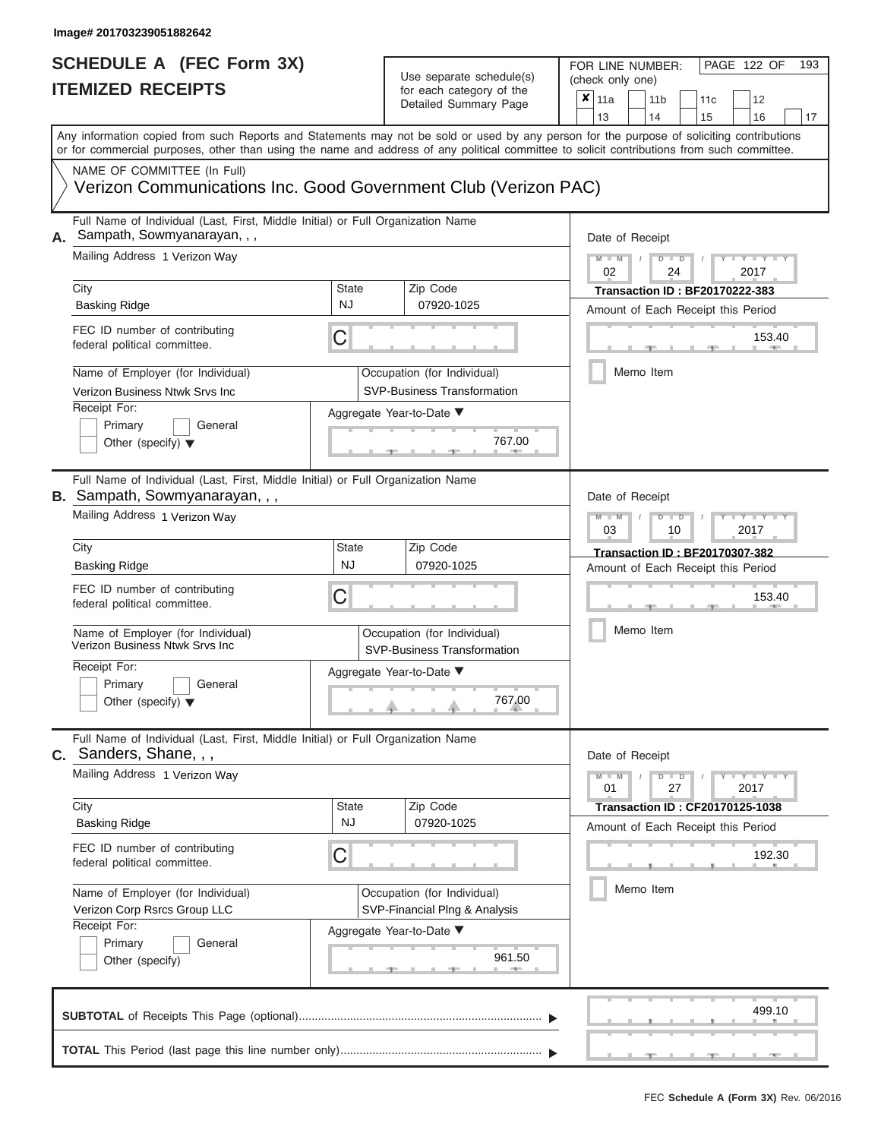### **SCHEDULE A (FEC Form 3X) ITEMIZED RECEIPTS**

## Use separate schedule(s)  $\frac{1}{\pi}$  for each category of the

FOR LINE NUMBER:<br>(check only one)

PAGE 122 OF 193

|    | IIEMIZEU REVEIFIJ                                                                                                                                                                                                                                                                       |                           | for each category of the<br>Detailed Summary Page                 | × | 11a             | 11 <sub>b</sub> |                               | 11c                                    |      | 12                  |    |
|----|-----------------------------------------------------------------------------------------------------------------------------------------------------------------------------------------------------------------------------------------------------------------------------------------|---------------------------|-------------------------------------------------------------------|---|-----------------|-----------------|-------------------------------|----------------------------------------|------|---------------------|----|
|    |                                                                                                                                                                                                                                                                                         |                           |                                                                   |   | 13              | 14              |                               | 15                                     |      | 16                  | 17 |
|    | Any information copied from such Reports and Statements may not be sold or used by any person for the purpose of soliciting contributions<br>or for commercial purposes, other than using the name and address of any political committee to solicit contributions from such committee. |                           |                                                                   |   |                 |                 |                               |                                        |      |                     |    |
|    | NAME OF COMMITTEE (In Full)                                                                                                                                                                                                                                                             |                           |                                                                   |   |                 |                 |                               |                                        |      |                     |    |
|    | Verizon Communications Inc. Good Government Club (Verizon PAC)                                                                                                                                                                                                                          |                           |                                                                   |   |                 |                 |                               |                                        |      |                     |    |
| А. | Full Name of Individual (Last, First, Middle Initial) or Full Organization Name<br>Sampath, Sowmyanarayan, , ,                                                                                                                                                                          |                           |                                                                   |   | Date of Receipt |                 |                               |                                        |      |                     |    |
|    | Mailing Address 1 Verizon Way                                                                                                                                                                                                                                                           |                           |                                                                   |   | $M - M$<br>02   | D               | $\overline{\mathsf{D}}$<br>24 |                                        |      | $Y - Y -$<br>2017   |    |
|    | City<br><b>Basking Ridge</b>                                                                                                                                                                                                                                                            | <b>State</b><br><b>NJ</b> | Zip Code<br>07920-1025                                            |   |                 |                 |                               | <b>Transaction ID: BF20170222-383</b>  |      |                     |    |
|    |                                                                                                                                                                                                                                                                                         |                           |                                                                   |   |                 |                 |                               | Amount of Each Receipt this Period     |      |                     |    |
|    | FEC ID number of contributing<br>federal political committee.                                                                                                                                                                                                                           | C                         |                                                                   |   |                 |                 |                               |                                        |      | 153.40              |    |
|    | Name of Employer (for Individual)<br>Verizon Business Ntwk Srvs Inc                                                                                                                                                                                                                     |                           | Occupation (for Individual)<br>SVP-Business Transformation        |   |                 | Memo Item       |                               |                                        |      |                     |    |
|    | Receipt For:                                                                                                                                                                                                                                                                            |                           | Aggregate Year-to-Date ▼                                          |   |                 |                 |                               |                                        |      |                     |    |
|    | Primary<br>General<br>Other (specify) $\blacktriangledown$                                                                                                                                                                                                                              |                           | 767.00                                                            |   |                 |                 |                               |                                        |      |                     |    |
|    | Full Name of Individual (Last, First, Middle Initial) or Full Organization Name<br>B. Sampath, Sowmyanarayan, , ,                                                                                                                                                                       |                           |                                                                   |   | Date of Receipt |                 |                               |                                        |      |                     |    |
|    | Mailing Address 1 Verizon Way                                                                                                                                                                                                                                                           |                           |                                                                   |   | $M - M$<br>03   | $D$ $D$         | 10                            |                                        | 2017 | Y TY T              |    |
|    | City                                                                                                                                                                                                                                                                                    | <b>State</b>              | Zip Code                                                          |   |                 |                 |                               | Transaction ID: BF20170307-382         |      |                     |    |
|    | <b>Basking Ridge</b>                                                                                                                                                                                                                                                                    | <b>NJ</b>                 | 07920-1025                                                        |   |                 |                 |                               | Amount of Each Receipt this Period     |      |                     |    |
|    | FEC ID number of contributing<br>federal political committee.                                                                                                                                                                                                                           | С                         |                                                                   |   |                 |                 |                               |                                        |      | 153.40              |    |
|    | Name of Employer (for Individual)<br>Verizon Business Ntwk Srvs Inc                                                                                                                                                                                                                     |                           | Occupation (for Individual)<br><b>SVP-Business Transformation</b> |   |                 | Memo Item       |                               |                                        |      |                     |    |
|    | Receipt For:<br>Primary<br>General<br>Other (specify) $\blacktriangledown$                                                                                                                                                                                                              |                           | Aggregate Year-to-Date ▼<br>767.00                                |   |                 |                 |                               |                                        |      |                     |    |
|    | Full Name of Individual (Last, First, Middle Initial) or Full Organization Name<br>$c.$ Sanders, Shane, , ,                                                                                                                                                                             |                           |                                                                   |   | Date of Receipt |                 |                               |                                        |      |                     |    |
|    | Mailing Address 1 Verizon Way                                                                                                                                                                                                                                                           |                           |                                                                   |   | $M - M$<br>01   | $D$ $D$         | 27                            |                                        |      | $Y - Y - Y$<br>2017 |    |
|    | City                                                                                                                                                                                                                                                                                    | <b>State</b>              | Zip Code                                                          |   |                 |                 |                               | <b>Transaction ID: CF20170125-1038</b> |      |                     |    |
|    | <b>Basking Ridge</b>                                                                                                                                                                                                                                                                    | <b>NJ</b>                 | 07920-1025                                                        |   |                 |                 |                               | Amount of Each Receipt this Period     |      |                     |    |
|    | FEC ID number of contributing<br>federal political committee.                                                                                                                                                                                                                           | С                         |                                                                   |   |                 |                 |                               |                                        |      | 192.30              |    |
|    | Name of Employer (for Individual)<br>Verizon Corp Rsrcs Group LLC                                                                                                                                                                                                                       |                           | Occupation (for Individual)<br>SVP-Financial Plng & Analysis      |   |                 | Memo Item       |                               |                                        |      |                     |    |
|    | Receipt For:<br>Primary<br>General<br>Other (specify)                                                                                                                                                                                                                                   |                           | Aggregate Year-to-Date ▼<br>961.50<br><b>AND A</b>                |   |                 |                 |                               |                                        |      |                     |    |
|    |                                                                                                                                                                                                                                                                                         |                           |                                                                   |   |                 |                 |                               |                                        |      | 499.10              |    |
|    |                                                                                                                                                                                                                                                                                         |                           |                                                                   |   |                 |                 |                               |                                        |      |                     |    |

 ▲ ▲ ▲ , , .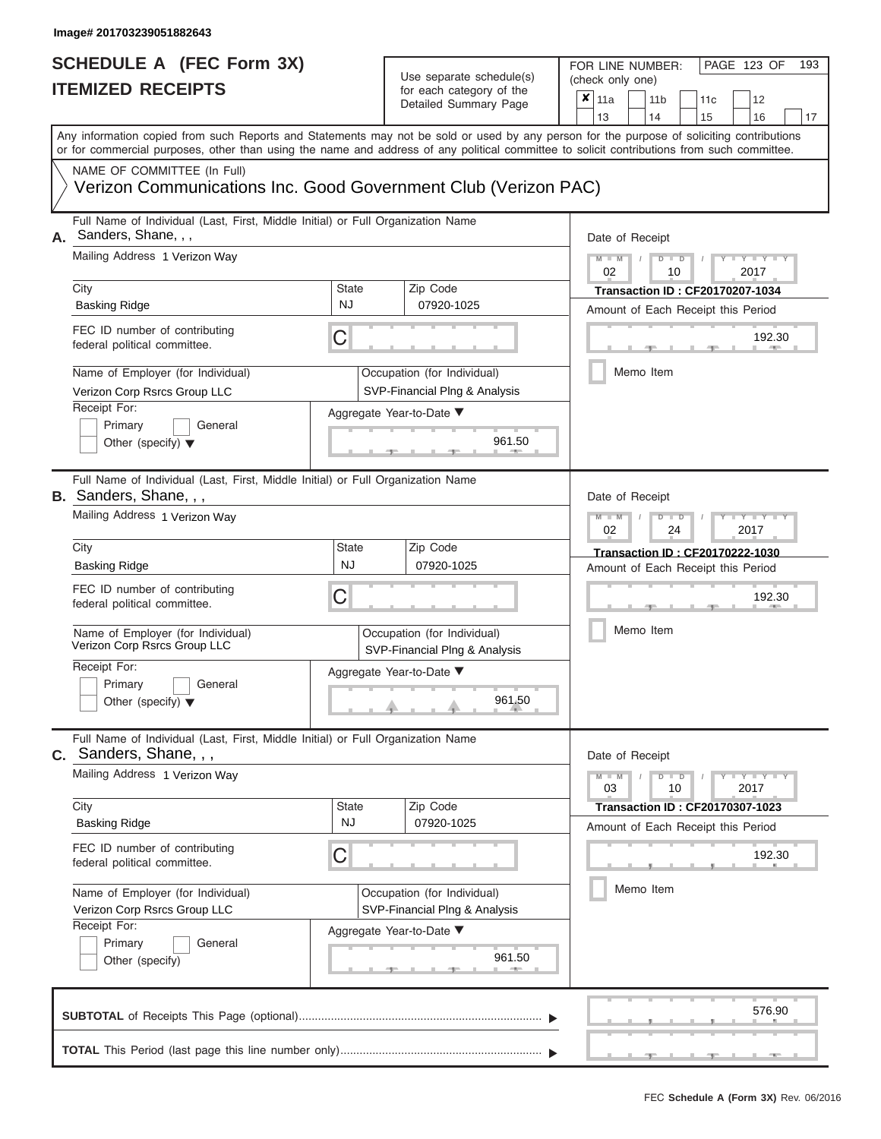ı

### **SCHEDULE A (FEC Form 3X) ITEMIZED RECEIPTS**

## Use separate schedule(s)<br>for each category of the

FOR LINE NUMBER:<br>(check only one)

PAGE 123 OF 193

|                                                                    | IILMILLU NLVLIF IJ                                                                                                                         |              | iul each caleguly of the<br>Detailed Summary Page            | x | 11a                                    |        | 11 <sub>b</sub>                        |  | 11c |      | 12                  |    |  |  |
|--------------------------------------------------------------------|--------------------------------------------------------------------------------------------------------------------------------------------|--------------|--------------------------------------------------------------|---|----------------------------------------|--------|----------------------------------------|--|-----|------|---------------------|----|--|--|
|                                                                    | Any information copied from such Reports and Statements may not be sold or used by any person for the purpose of soliciting contributions  |              |                                                              |   | 13                                     |        | 14                                     |  | 15  |      | 16                  | 17 |  |  |
|                                                                    | or for commercial purposes, other than using the name and address of any political committee to solicit contributions from such committee. |              |                                                              |   |                                        |        |                                        |  |     |      |                     |    |  |  |
|                                                                    | NAME OF COMMITTEE (In Full)                                                                                                                |              |                                                              |   |                                        |        |                                        |  |     |      |                     |    |  |  |
|                                                                    | Verizon Communications Inc. Good Government Club (Verizon PAC)                                                                             |              |                                                              |   |                                        |        |                                        |  |     |      |                     |    |  |  |
| А.                                                                 | Full Name of Individual (Last, First, Middle Initial) or Full Organization Name<br>Sanders, Shane, , ,                                     |              |                                                              |   | Date of Receipt                        |        |                                        |  |     |      |                     |    |  |  |
|                                                                    | Mailing Address 1 Verizon Way                                                                                                              |              |                                                              |   | $M - M$<br>$D$ $D$<br>02<br>10<br>2017 |        |                                        |  |     |      |                     |    |  |  |
|                                                                    | City                                                                                                                                       | <b>State</b> | Zip Code                                                     |   |                                        |        | <b>Transaction ID: CF20170207-1034</b> |  |     |      |                     |    |  |  |
|                                                                    | <b>Basking Ridge</b>                                                                                                                       | NJ           | 07920-1025                                                   |   |                                        |        | Amount of Each Receipt this Period     |  |     |      |                     |    |  |  |
|                                                                    | FEC ID number of contributing<br>federal political committee.                                                                              | С            |                                                              |   |                                        |        |                                        |  |     |      | 192.30              |    |  |  |
|                                                                    | Name of Employer (for Individual)<br>Verizon Corp Rsrcs Group LLC                                                                          |              | Occupation (for Individual)<br>SVP-Financial Plng & Analysis |   |                                        |        | Memo Item                              |  |     |      |                     |    |  |  |
|                                                                    | Receipt For:                                                                                                                               |              | Aggregate Year-to-Date ▼                                     |   |                                        |        |                                        |  |     |      |                     |    |  |  |
|                                                                    | Primary<br>General<br>Other (specify) $\blacktriangledown$                                                                                 |              | 961.50                                                       |   |                                        |        |                                        |  |     |      |                     |    |  |  |
|                                                                    | Full Name of Individual (Last, First, Middle Initial) or Full Organization Name<br>B. Sanders, Shane, , ,                                  |              |                                                              |   | Date of Receipt                        |        |                                        |  |     |      |                     |    |  |  |
|                                                                    | Mailing Address 1 Verizon Way                                                                                                              |              |                                                              |   | $M - M$<br>02                          |        | ъ<br>$\Box$<br>24                      |  |     | 2017 |                     |    |  |  |
|                                                                    | City                                                                                                                                       | <b>State</b> | Zip Code                                                     |   |                                        |        | Transaction ID: CF20170222-1030        |  |     |      |                     |    |  |  |
|                                                                    | <b>Basking Ridge</b>                                                                                                                       | <b>NJ</b>    | 07920-1025                                                   |   |                                        |        | Amount of Each Receipt this Period     |  |     |      |                     |    |  |  |
| FEC ID number of contributing<br>С<br>federal political committee. |                                                                                                                                            |              |                                                              |   |                                        | 192.30 |                                        |  |     |      |                     |    |  |  |
|                                                                    | Name of Employer (for Individual)<br>Verizon Corp Rsrcs Group LLC                                                                          |              | Occupation (for Individual)<br>SVP-Financial Plng & Analysis |   |                                        |        | Memo Item                              |  |     |      |                     |    |  |  |
|                                                                    | Receipt For:                                                                                                                               |              | Aggregate Year-to-Date ▼                                     |   |                                        |        |                                        |  |     |      |                     |    |  |  |
|                                                                    | Primary<br>General<br>Other (specify) $\blacktriangledown$                                                                                 |              | 961.50                                                       |   |                                        |        |                                        |  |     |      |                     |    |  |  |
| С.                                                                 | Full Name of Individual (Last, First, Middle Initial) or Full Organization Name<br>Sanders, Shane, , ,                                     |              |                                                              |   | Date of Receipt                        |        |                                        |  |     |      |                     |    |  |  |
|                                                                    | Mailing Address 1 Verizon Way                                                                                                              |              |                                                              |   | $M - M$<br>03                          |        | $D$ $D$<br>10                          |  |     |      | $Y - Y - Y$<br>2017 |    |  |  |
|                                                                    | City                                                                                                                                       | <b>State</b> | Zip Code                                                     |   |                                        |        | <b>Transaction ID: CF20170307-1023</b> |  |     |      |                     |    |  |  |
|                                                                    | <b>Basking Ridge</b>                                                                                                                       | NJ           | 07920-1025                                                   |   |                                        |        | Amount of Each Receipt this Period     |  |     |      |                     |    |  |  |
|                                                                    | FEC ID number of contributing<br>federal political committee.                                                                              | С            |                                                              |   |                                        |        |                                        |  |     |      | 192.30              |    |  |  |
|                                                                    | Name of Employer (for Individual)                                                                                                          |              | Occupation (for Individual)                                  |   |                                        |        | Memo Item                              |  |     |      |                     |    |  |  |
|                                                                    | Verizon Corp Rsrcs Group LLC                                                                                                               |              | SVP-Financial Plng & Analysis                                |   |                                        |        |                                        |  |     |      |                     |    |  |  |
|                                                                    | Receipt For:                                                                                                                               |              | Aggregate Year-to-Date ▼                                     |   |                                        |        |                                        |  |     |      |                     |    |  |  |
|                                                                    | Primary<br>General                                                                                                                         |              |                                                              |   |                                        |        |                                        |  |     |      |                     |    |  |  |
|                                                                    | Other (specify)                                                                                                                            |              | 961.50                                                       |   |                                        |        |                                        |  |     |      |                     |    |  |  |
|                                                                    |                                                                                                                                            |              |                                                              |   |                                        |        |                                        |  |     |      | 576.90              |    |  |  |
|                                                                    |                                                                                                                                            |              |                                                              |   |                                        |        |                                        |  |     |      |                     |    |  |  |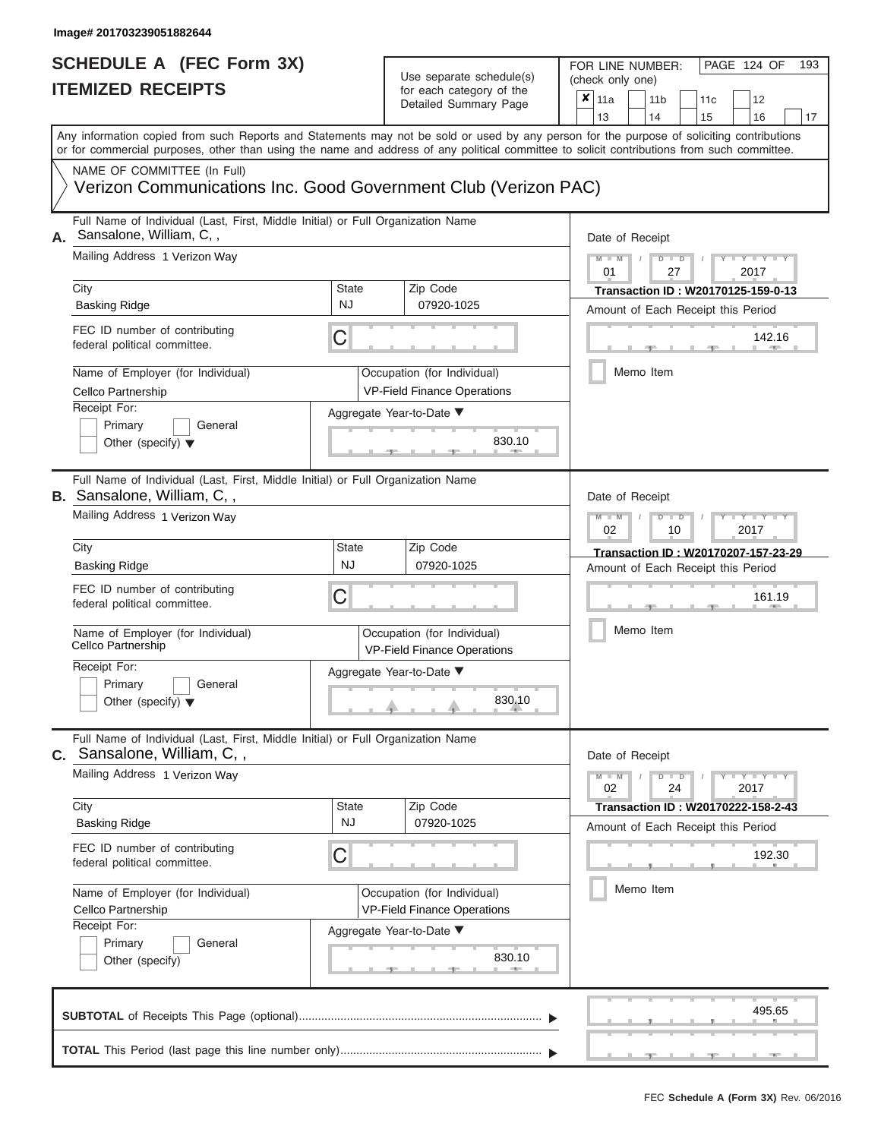### **SCHEDULE A (FEC Form 3X) ITEMIZED RECEIPTS**

## Use separate schedule(s)

FOR LINE NUMBER:<br>(check only one)

PAGE 124 OF 193

|    | IIEMIZEU REVEIFIJ                                                                                                                                                                                                                                                                       |              | for each category of the<br>Detailed Summary Page                 |                                                       | ×<br>11a        |  |  | 11 <sub>b</sub> | 11c                                 |  | 12                  |    |
|----|-----------------------------------------------------------------------------------------------------------------------------------------------------------------------------------------------------------------------------------------------------------------------------------------|--------------|-------------------------------------------------------------------|-------------------------------------------------------|-----------------|--|--|-----------------|-------------------------------------|--|---------------------|----|
|    |                                                                                                                                                                                                                                                                                         |              |                                                                   |                                                       | 13              |  |  | 14              | 15                                  |  | 16                  | 17 |
|    | Any information copied from such Reports and Statements may not be sold or used by any person for the purpose of soliciting contributions<br>or for commercial purposes, other than using the name and address of any political committee to solicit contributions from such committee. |              |                                                                   |                                                       |                 |  |  |                 |                                     |  |                     |    |
|    | NAME OF COMMITTEE (In Full)                                                                                                                                                                                                                                                             |              |                                                                   |                                                       |                 |  |  |                 |                                     |  |                     |    |
|    | Verizon Communications Inc. Good Government Club (Verizon PAC)                                                                                                                                                                                                                          |              |                                                                   |                                                       |                 |  |  |                 |                                     |  |                     |    |
| А. | Full Name of Individual (Last, First, Middle Initial) or Full Organization Name<br>Sansalone, William, C,,                                                                                                                                                                              |              |                                                                   |                                                       | Date of Receipt |  |  |                 |                                     |  |                     |    |
|    | Mailing Address 1 Verizon Way                                                                                                                                                                                                                                                           |              |                                                                   | $M - M$<br>D<br><b>TELEVISION</b><br>01<br>27<br>2017 |                 |  |  |                 |                                     |  |                     |    |
|    | City                                                                                                                                                                                                                                                                                    | <b>State</b> | Zip Code                                                          |                                                       |                 |  |  |                 | Transaction ID: W20170125-159-0-13  |  |                     |    |
|    | <b>Basking Ridge</b>                                                                                                                                                                                                                                                                    | <b>NJ</b>    | 07920-1025                                                        |                                                       |                 |  |  |                 | Amount of Each Receipt this Period  |  |                     |    |
|    | FEC ID number of contributing<br>federal political committee.                                                                                                                                                                                                                           | C            |                                                                   |                                                       |                 |  |  |                 |                                     |  | 142.16              |    |
|    | Name of Employer (for Individual)<br>Cellco Partnership                                                                                                                                                                                                                                 |              | Occupation (for Individual)<br><b>VP-Field Finance Operations</b> |                                                       |                 |  |  | Memo Item       |                                     |  |                     |    |
|    | Receipt For:                                                                                                                                                                                                                                                                            |              | Aggregate Year-to-Date ▼                                          |                                                       |                 |  |  |                 |                                     |  |                     |    |
|    | Primary<br>General<br>Other (specify) $\blacktriangledown$                                                                                                                                                                                                                              |              | 830.10                                                            |                                                       |                 |  |  |                 |                                     |  |                     |    |
|    | Full Name of Individual (Last, First, Middle Initial) or Full Organization Name<br><b>B.</b> Sansalone, William, C,,                                                                                                                                                                    |              |                                                                   |                                                       | Date of Receipt |  |  |                 |                                     |  |                     |    |
|    | Mailing Address 1 Verizon Way                                                                                                                                                                                                                                                           |              |                                                                   |                                                       | $M - M$<br>02   |  |  | $D$ $D$<br>10   |                                     |  | Y TYT<br>2017       |    |
|    | City                                                                                                                                                                                                                                                                                    | <b>State</b> | Zip Code                                                          |                                                       |                 |  |  |                 | Transaction ID: W20170207-157-23-29 |  |                     |    |
|    | <b>Basking Ridge</b>                                                                                                                                                                                                                                                                    | <b>NJ</b>    | 07920-1025                                                        |                                                       |                 |  |  |                 | Amount of Each Receipt this Period  |  |                     |    |
|    | FEC ID number of contributing<br>federal political committee.                                                                                                                                                                                                                           | С            |                                                                   |                                                       |                 |  |  |                 |                                     |  | 161.19              |    |
|    | Name of Employer (for Individual)<br>Cellco Partnership                                                                                                                                                                                                                                 |              | Occupation (for Individual)<br><b>VP-Field Finance Operations</b> |                                                       |                 |  |  | Memo Item       |                                     |  |                     |    |
|    | Receipt For:                                                                                                                                                                                                                                                                            |              | Aggregate Year-to-Date ▼                                          |                                                       |                 |  |  |                 |                                     |  |                     |    |
|    | Primary<br>General<br>Other (specify) $\blacktriangledown$                                                                                                                                                                                                                              |              | 830.10                                                            |                                                       |                 |  |  |                 |                                     |  |                     |    |
|    | Full Name of Individual (Last, First, Middle Initial) or Full Organization Name<br><b>C.</b> Sansalone, William, C,,                                                                                                                                                                    |              |                                                                   |                                                       | Date of Receipt |  |  |                 |                                     |  |                     |    |
|    | Mailing Address 1 Verizon Way                                                                                                                                                                                                                                                           |              |                                                                   |                                                       | $M - M$<br>02   |  |  | $D$ $D$<br>24   |                                     |  | $Y - Y - Y$<br>2017 |    |
|    | City                                                                                                                                                                                                                                                                                    | <b>State</b> | Zip Code                                                          |                                                       |                 |  |  |                 | Transaction ID: W20170222-158-2-43  |  |                     |    |
|    | <b>Basking Ridge</b>                                                                                                                                                                                                                                                                    | <b>NJ</b>    | 07920-1025                                                        |                                                       |                 |  |  |                 | Amount of Each Receipt this Period  |  |                     |    |
|    | FEC ID number of contributing<br>federal political committee.                                                                                                                                                                                                                           | С            |                                                                   |                                                       |                 |  |  |                 |                                     |  | 192.30              |    |
|    | Name of Employer (for Individual)                                                                                                                                                                                                                                                       |              | Occupation (for Individual)                                       |                                                       |                 |  |  | Memo Item       |                                     |  |                     |    |
|    | Cellco Partnership                                                                                                                                                                                                                                                                      |              | <b>VP-Field Finance Operations</b>                                |                                                       |                 |  |  |                 |                                     |  |                     |    |
|    | Receipt For:                                                                                                                                                                                                                                                                            |              | Aggregate Year-to-Date ▼                                          |                                                       |                 |  |  |                 |                                     |  |                     |    |
|    | Primary<br>General<br>Other (specify)                                                                                                                                                                                                                                                   |              | 830.10<br><b>AND</b>                                              |                                                       |                 |  |  |                 |                                     |  |                     |    |
|    |                                                                                                                                                                                                                                                                                         |              |                                                                   |                                                       |                 |  |  |                 |                                     |  | 495.65              |    |
|    |                                                                                                                                                                                                                                                                                         |              |                                                                   |                                                       |                 |  |  |                 |                                     |  |                     |    |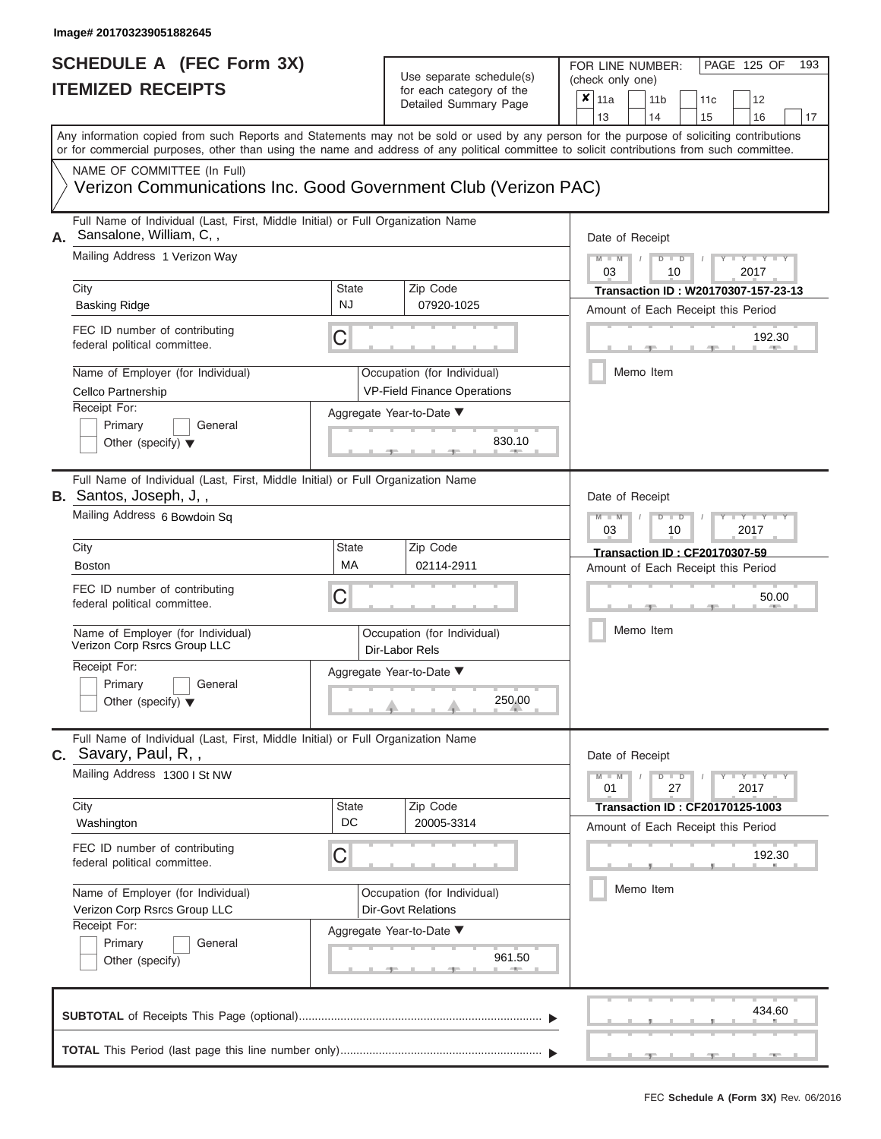ı

### **SCHEDULE A (FEC Form 3X) ITEMIZED RECEIPTS**

## Use separate schedule(s)<br>for each category of the

FOR LINE NUMBER:<br>(check only one)

PAGE 125 OF 193

|    | IILMILLU RLVLIF IJ                                                                                                                         |              | iul each caleguly of the<br>Detailed Summary Page                 | ×                                                   | 11a             |  | 11 <sub>b</sub>                        | 11 <sub>c</sub> | 12    |         |    |  |  |  |  |  |  |
|----|--------------------------------------------------------------------------------------------------------------------------------------------|--------------|-------------------------------------------------------------------|-----------------------------------------------------|-----------------|--|----------------------------------------|-----------------|-------|---------|----|--|--|--|--|--|--|
|    | Any information copied from such Reports and Statements may not be sold or used by any person for the purpose of soliciting contributions  |              |                                                                   |                                                     | 13              |  | 14                                     | 15              |       | 16      | 17 |  |  |  |  |  |  |
|    | or for commercial purposes, other than using the name and address of any political committee to solicit contributions from such committee. |              |                                                                   |                                                     |                 |  |                                        |                 |       |         |    |  |  |  |  |  |  |
|    | NAME OF COMMITTEE (In Full)                                                                                                                |              |                                                                   |                                                     |                 |  |                                        |                 |       |         |    |  |  |  |  |  |  |
|    | Verizon Communications Inc. Good Government Club (Verizon PAC)                                                                             |              |                                                                   |                                                     |                 |  |                                        |                 |       |         |    |  |  |  |  |  |  |
| А. | Full Name of Individual (Last, First, Middle Initial) or Full Organization Name<br>Sansalone, William, C,,                                 |              |                                                                   | Date of Receipt                                     |                 |  |                                        |                 |       |         |    |  |  |  |  |  |  |
|    | Mailing Address 1 Verizon Way                                                                                                              |              |                                                                   | $M - M$<br>$D$ $D$<br>$-$ Y $-$<br>03<br>2017<br>10 |                 |  |                                        |                 |       |         |    |  |  |  |  |  |  |
|    | City                                                                                                                                       | Zip Code     | Transaction ID: W20170307-157-23-13                               |                                                     |                 |  |                                        |                 |       |         |    |  |  |  |  |  |  |
|    | <b>Basking Ridge</b>                                                                                                                       | <b>NJ</b>    | 07920-1025                                                        |                                                     |                 |  | Amount of Each Receipt this Period     |                 |       |         |    |  |  |  |  |  |  |
|    | FEC ID number of contributing<br>federal political committee.                                                                              | С            |                                                                   |                                                     |                 |  |                                        |                 |       | 192.30  |    |  |  |  |  |  |  |
|    | Name of Employer (for Individual)<br>Cellco Partnership                                                                                    |              | Occupation (for Individual)<br><b>VP-Field Finance Operations</b> |                                                     |                 |  | Memo Item                              |                 |       |         |    |  |  |  |  |  |  |
|    | Receipt For:                                                                                                                               |              | Aggregate Year-to-Date ▼                                          |                                                     |                 |  |                                        |                 |       |         |    |  |  |  |  |  |  |
|    | Primary<br>General<br>Other (specify) $\blacktriangledown$                                                                                 |              | 830.10                                                            |                                                     |                 |  |                                        |                 |       |         |    |  |  |  |  |  |  |
|    | Full Name of Individual (Last, First, Middle Initial) or Full Organization Name<br><b>B.</b> Santos, Joseph, J,,                           |              |                                                                   |                                                     | Date of Receipt |  |                                        |                 |       |         |    |  |  |  |  |  |  |
|    | Mailing Address 6 Bowdoin Sq                                                                                                               |              |                                                                   |                                                     | $M$ $M$<br>03   |  | $\Box$<br>D<br>10                      |                 | 2017  |         |    |  |  |  |  |  |  |
|    | City                                                                                                                                       | <b>State</b> | Zip Code                                                          |                                                     |                 |  | <b>Transaction ID: CF20170307-59</b>   |                 |       |         |    |  |  |  |  |  |  |
|    | <b>Boston</b>                                                                                                                              | MA           | 02114-2911                                                        |                                                     |                 |  | Amount of Each Receipt this Period     |                 |       |         |    |  |  |  |  |  |  |
|    | FEC ID number of contributing<br>federal political committee.                                                                              | С            |                                                                   |                                                     |                 |  |                                        |                 | 50.00 |         |    |  |  |  |  |  |  |
|    | Name of Employer (for Individual)<br>Verizon Corp Rsrcs Group LLC                                                                          |              | Occupation (for Individual)<br>Dir-Labor Rels                     |                                                     |                 |  | Memo Item                              |                 |       |         |    |  |  |  |  |  |  |
|    | Receipt For:                                                                                                                               |              | Aggregate Year-to-Date ▼                                          |                                                     |                 |  |                                        |                 |       |         |    |  |  |  |  |  |  |
|    | Primary<br>General<br>Other (specify) $\blacktriangledown$                                                                                 |              | 250.00                                                            |                                                     |                 |  |                                        |                 |       |         |    |  |  |  |  |  |  |
|    | Full Name of Individual (Last, First, Middle Initial) or Full Organization Name<br>$c.$ Savary, Paul, R,,                                  |              |                                                                   |                                                     | Date of Receipt |  |                                        |                 |       |         |    |  |  |  |  |  |  |
|    | Mailing Address 1300 I St NW                                                                                                               |              |                                                                   |                                                     | $M - M$<br>01   |  | $D$ $D$<br>27                          |                 | 2017  | Y I Y I |    |  |  |  |  |  |  |
|    | City                                                                                                                                       | <b>State</b> | Zip Code                                                          |                                                     |                 |  | <b>Transaction ID: CF20170125-1003</b> |                 |       |         |    |  |  |  |  |  |  |
|    | Washington                                                                                                                                 | DC           | 20005-3314                                                        |                                                     |                 |  | Amount of Each Receipt this Period     |                 |       |         |    |  |  |  |  |  |  |
|    | FEC ID number of contributing<br>federal political committee.                                                                              | С            |                                                                   |                                                     |                 |  |                                        |                 |       | 192.30  |    |  |  |  |  |  |  |
|    | Name of Employer (for Individual)                                                                                                          |              | Occupation (for Individual)                                       |                                                     |                 |  | Memo Item                              |                 |       |         |    |  |  |  |  |  |  |
|    | Verizon Corp Rsrcs Group LLC                                                                                                               |              | <b>Dir-Govt Relations</b>                                         |                                                     |                 |  |                                        |                 |       |         |    |  |  |  |  |  |  |
|    | Receipt For:                                                                                                                               |              | Aggregate Year-to-Date ▼                                          |                                                     |                 |  |                                        |                 |       |         |    |  |  |  |  |  |  |
|    | Primary<br>General                                                                                                                         |              |                                                                   |                                                     |                 |  |                                        |                 |       |         |    |  |  |  |  |  |  |
|    | Other (specify)                                                                                                                            |              | 961.50                                                            |                                                     |                 |  |                                        |                 |       |         |    |  |  |  |  |  |  |
|    |                                                                                                                                            |              |                                                                   |                                                     |                 |  |                                        |                 |       | 434.60  |    |  |  |  |  |  |  |
|    |                                                                                                                                            |              |                                                                   |                                                     |                 |  |                                        |                 |       |         |    |  |  |  |  |  |  |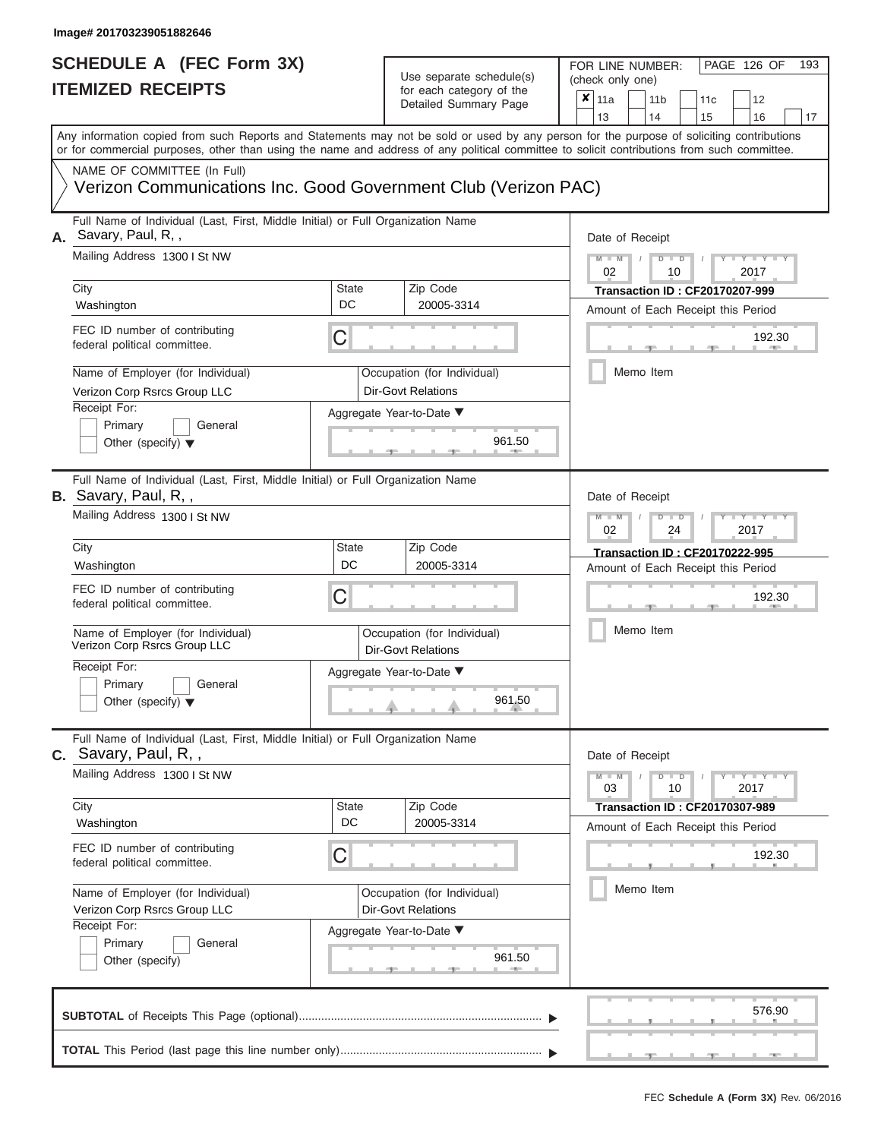| SCHEDULE A (FEC Form 3X)<br><b>ITEMIZED RECEIPTS</b>                                                                                                                                                                                                                                                                                                                                     | Use separate schedule(s)<br>for each category of the<br>Detailed Summary Page                                                                       | 193<br>FOR LINE NUMBER:<br>PAGE 126 OF<br>(check only one)<br>$\overline{\mathbf{x}}$   11a<br>11 <sub>b</sub><br>11 <sub>c</sub><br>12<br>13<br>14<br>15<br>16<br>17                                 |
|------------------------------------------------------------------------------------------------------------------------------------------------------------------------------------------------------------------------------------------------------------------------------------------------------------------------------------------------------------------------------------------|-----------------------------------------------------------------------------------------------------------------------------------------------------|-------------------------------------------------------------------------------------------------------------------------------------------------------------------------------------------------------|
| Any information copied from such Reports and Statements may not be sold or used by any person for the purpose of soliciting contributions<br>or for commercial purposes, other than using the name and address of any political committee to solicit contributions from such committee.<br>NAME OF COMMITTEE (In Full)<br>Verizon Communications Inc. Good Government Club (Verizon PAC) |                                                                                                                                                     |                                                                                                                                                                                                       |
| Full Name of Individual (Last, First, Middle Initial) or Full Organization Name<br>Savary, Paul, R,,<br>А.<br>Mailing Address 1300   St NW<br>City<br>Washington<br>FEC ID number of contributing<br>federal political committee.<br>Name of Employer (for Individual)<br>Verizon Corp Rsrcs Group LLC<br>Receipt For:<br>Primary<br>General<br>Other (specify) $\blacktriangledown$     | Zip Code<br>State<br>DC<br>20005-3314<br>C<br>Occupation (for Individual)<br><b>Dir-Govt Relations</b><br>Aggregate Year-to-Date ▼<br>961.50        | Date of Receipt<br>$M - M$<br>$D$ $D$<br>Y TY T<br>$\sqrt{2}$<br>02<br>2017<br>10<br><b>Transaction ID: CF20170207-999</b><br>Amount of Each Receipt this Period<br>192.30<br><b>AND</b><br>Memo Item |
| Full Name of Individual (Last, First, Middle Initial) or Full Organization Name<br><b>B.</b> Savary, Paul, R,,<br>Mailing Address 1300 I St NW<br>City<br>Washington<br>FEC ID number of contributing<br>federal political committee.<br>Name of Employer (for Individual)<br>Verizon Corp Rsrcs Group LLC<br>Receipt For:<br>Primary<br>General<br>Other (specify) $\blacktriangledown$ | Zip Code<br><b>State</b><br>DC<br>20005-3314<br>С<br>Occupation (for Individual)<br><b>Dir-Govt Relations</b><br>Aggregate Year-to-Date ▼<br>961.50 | Date of Receipt<br>$M - M$<br>Y I Y I<br>$D$ $D$<br>02<br>2017<br>24<br>Transaction ID: CF20170222-995<br>Amount of Each Receipt this Period<br>192.30<br>Memo Item                                   |
| Full Name of Individual (Last, First, Middle Initial) or Full Organization Name<br>C. Savary, Paul, R,,<br>Mailing Address 1300 I St NW<br>City<br>Washington<br>FEC ID number of contributing<br>federal political committee.<br>Name of Employer (for Individual)<br>Verizon Corp Rsrcs Group LLC<br>Receipt For:<br>Primary<br>General<br>Other (specify)                             | Zip Code<br><b>State</b><br>DC<br>20005-3314<br>С<br>Occupation (for Individual)<br><b>Dir-Govt Relations</b><br>Aggregate Year-to-Date ▼<br>961.50 | Date of Receipt<br>$M - M$<br>$D$ $D$<br>$T - Y - T - Y - T - Y$<br>03<br>10<br>2017<br>Transaction ID: CF20170307-989<br>Amount of Each Receipt this Period<br>192.30<br>Memo Item                   |
|                                                                                                                                                                                                                                                                                                                                                                                          |                                                                                                                                                     | 576.90                                                                                                                                                                                                |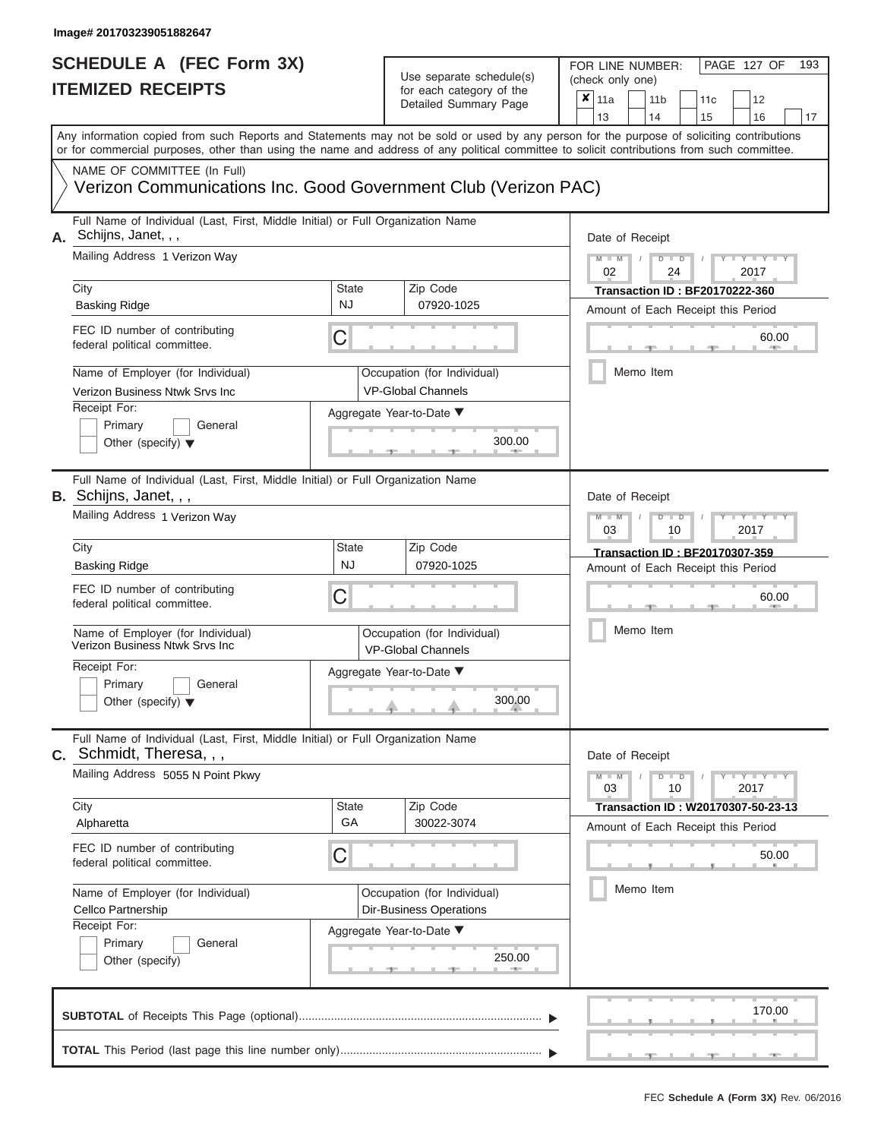# **SCHEDULE A (FEC Form 3X)**

| SCHEDULE A (FEC Form 3X)<br><b>ITEMIZED RECEIPTS</b>                                                                                                                                                                                                                                                                                                                                                           |                                | Use separate schedule(s)<br>for each category of the<br>Detailed Summary Page                                                 | 193<br>FOR LINE NUMBER:<br>PAGE 127 OF<br>(check only one)<br>$\overline{\mathbf{x}}$   11a<br>11 <sub>b</sub><br>12<br>11c<br>13<br>14<br>15<br>16<br>17                                                   |
|----------------------------------------------------------------------------------------------------------------------------------------------------------------------------------------------------------------------------------------------------------------------------------------------------------------------------------------------------------------------------------------------------------------|--------------------------------|-------------------------------------------------------------------------------------------------------------------------------|-------------------------------------------------------------------------------------------------------------------------------------------------------------------------------------------------------------|
| Any information copied from such Reports and Statements may not be sold or used by any person for the purpose of soliciting contributions<br>or for commercial purposes, other than using the name and address of any political committee to solicit contributions from such committee.<br>NAME OF COMMITTEE (In Full)<br>Verizon Communications Inc. Good Government Club (Verizon PAC)                       |                                |                                                                                                                               |                                                                                                                                                                                                             |
| Full Name of Individual (Last, First, Middle Initial) or Full Organization Name<br>A. Schijns, Janet, , ,<br>Mailing Address 1 Verizon Way<br>City<br><b>Basking Ridge</b><br>FEC ID number of contributing<br>federal political committee.<br>Name of Employer (for Individual)<br>Verizon Business Ntwk Srvs Inc<br>Receipt For:<br>Primary<br>General<br>Other (specify) $\blacktriangledown$               | <b>State</b><br><b>NJ</b><br>C | Zip Code<br>07920-1025<br>Occupation (for Individual)<br><b>VP-Global Channels</b><br>Aggregate Year-to-Date ▼<br>300.00      | Date of Receipt<br>$M - M$<br>$D$ $D$<br>Y I Y I<br>$\sqrt{2}$<br>02<br>24<br>2017<br><b>Transaction ID: BF20170222-360</b><br>Amount of Each Receipt this Period<br>60.00<br><b>ARCHITECT</b><br>Memo Item |
| Full Name of Individual (Last, First, Middle Initial) or Full Organization Name<br><b>B.</b> Schijns, Janet, , ,<br>Mailing Address 1 Verizon Way<br>City<br><b>Basking Ridge</b><br>FEC ID number of contributing<br>federal political committee.<br>Name of Employer (for Individual)<br><b>Verizon Business Ntwk Srvs Inc</b><br>Receipt For:<br>Primary<br>General<br>Other (specify) $\blacktriangledown$ | State<br><b>NJ</b><br>С        | Zip Code<br>07920-1025<br>Occupation (for Individual)<br><b>VP-Global Channels</b><br>Aggregate Year-to-Date ▼<br>300.00      | Date of Receipt<br>$M - M$<br>$D$ $\Box$ $D$<br>Y L Y<br>03<br>10<br>2017<br>Transaction ID: BF20170307-359<br>Amount of Each Receipt this Period<br>60.00<br>Memo Item                                     |
| Full Name of Individual (Last, First, Middle Initial) or Full Organization Name<br><b>C.</b> Schmidt, Theresa, , ,<br>Mailing Address 5055 N Point Pkwy<br>City<br>Alpharetta<br>FEC ID number of contributing<br>federal political committee.<br>Name of Employer (for Individual)<br>Cellco Partnership<br>Receipt For:<br>Primary<br>General<br>Other (specify)                                             | <b>State</b><br>GA<br>С        | Zip Code<br>30022-3074<br>Occupation (for Individual)<br><b>Dir-Business Operations</b><br>Aggregate Year-to-Date ▼<br>250.00 | Date of Receipt<br>$M - M$<br>$D$ $D$<br>$T - Y - T - Y - T - Y$<br>10<br>2017<br>03<br>Transaction ID: W20170307-50-23-13<br>Amount of Each Receipt this Period<br>50.00<br>Memo Item                      |
|                                                                                                                                                                                                                                                                                                                                                                                                                |                                |                                                                                                                               | 170.00                                                                                                                                                                                                      |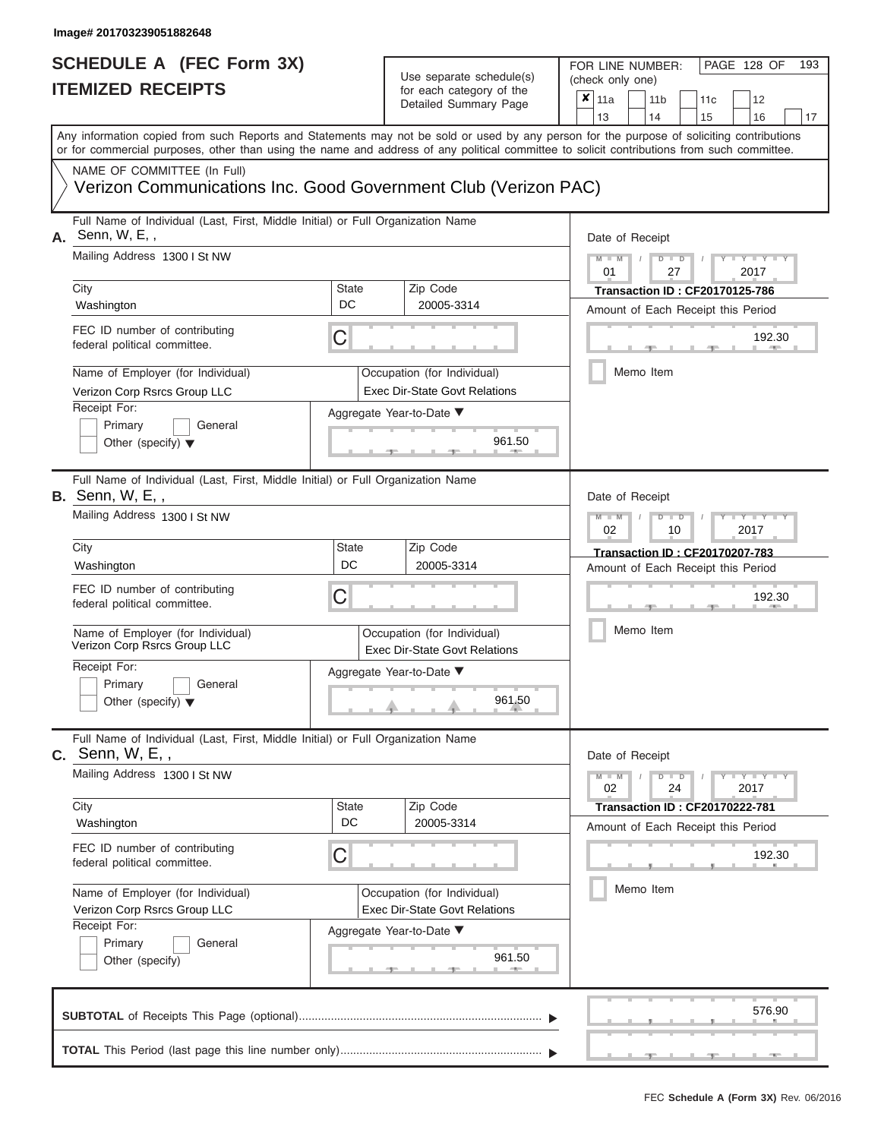### **SCHEDULE A (FEC Form 3X) ITEMIZED RECEIPTS**

## Use separate schedule(s)  $\frac{1}{\pi}$  for each category of the

FOR LINE NUMBER:<br>(check only one)

PAGE 128 OF 193

|    | IIEMILED REVEIFIJ                                                                                                                                                                                                                                                                       | ior each category of the |  |                                                                     |                 | ×<br>11a<br>12<br>11 <sub>b</sub><br>11c              |           |        |               |                                       |      |                          |    |  |  |  |
|----|-----------------------------------------------------------------------------------------------------------------------------------------------------------------------------------------------------------------------------------------------------------------------------------------|--------------------------|--|---------------------------------------------------------------------|-----------------|-------------------------------------------------------|-----------|--------|---------------|---------------------------------------|------|--------------------------|----|--|--|--|
|    |                                                                                                                                                                                                                                                                                         |                          |  | Detailed Summary Page                                               |                 | 13                                                    |           | 14     |               | 15                                    |      | 16                       | 17 |  |  |  |
|    | Any information copied from such Reports and Statements may not be sold or used by any person for the purpose of soliciting contributions<br>or for commercial purposes, other than using the name and address of any political committee to solicit contributions from such committee. |                          |  |                                                                     |                 |                                                       |           |        |               |                                       |      |                          |    |  |  |  |
|    | NAME OF COMMITTEE (In Full)                                                                                                                                                                                                                                                             |                          |  |                                                                     |                 |                                                       |           |        |               |                                       |      |                          |    |  |  |  |
|    | Verizon Communications Inc. Good Government Club (Verizon PAC)                                                                                                                                                                                                                          |                          |  |                                                                     |                 |                                                       |           |        |               |                                       |      |                          |    |  |  |  |
| А. | Full Name of Individual (Last, First, Middle Initial) or Full Organization Name<br>Senn, W, E,,                                                                                                                                                                                         |                          |  |                                                                     | Date of Receipt |                                                       |           |        |               |                                       |      |                          |    |  |  |  |
|    | Mailing Address 1300 I St NW                                                                                                                                                                                                                                                            |                          |  |                                                                     |                 | $M - M$<br>$Y - Y - I$<br>$D$ $D$<br>01<br>27<br>2017 |           |        |               |                                       |      |                          |    |  |  |  |
|    | City                                                                                                                                                                                                                                                                                    | State                    |  | Zip Code                                                            |                 |                                                       |           |        |               | <b>Transaction ID: CF20170125-786</b> |      |                          |    |  |  |  |
|    | Washington                                                                                                                                                                                                                                                                              | DC                       |  | 20005-3314                                                          |                 |                                                       |           |        |               | Amount of Each Receipt this Period    |      |                          |    |  |  |  |
|    | FEC ID number of contributing<br>federal political committee.                                                                                                                                                                                                                           | С                        |  |                                                                     |                 |                                                       |           |        |               |                                       |      | 192.30                   |    |  |  |  |
|    | Name of Employer (for Individual)<br>Verizon Corp Rsrcs Group LLC                                                                                                                                                                                                                       |                          |  | Occupation (for Individual)<br><b>Exec Dir-State Govt Relations</b> |                 |                                                       | Memo Item |        |               |                                       |      |                          |    |  |  |  |
|    | Receipt For:                                                                                                                                                                                                                                                                            |                          |  | Aggregate Year-to-Date ▼                                            |                 |                                                       |           |        |               |                                       |      |                          |    |  |  |  |
|    | Primary<br>General<br>Other (specify) $\blacktriangledown$                                                                                                                                                                                                                              |                          |  | 961.50                                                              |                 |                                                       |           |        |               |                                       |      |                          |    |  |  |  |
|    | Full Name of Individual (Last, First, Middle Initial) or Full Organization Name<br><b>B.</b> Senn, W, E,,                                                                                                                                                                               |                          |  |                                                                     |                 | Date of Receipt                                       |           |        |               |                                       |      |                          |    |  |  |  |
|    | Mailing Address 1300 I St NW                                                                                                                                                                                                                                                            |                          |  |                                                                     |                 | $M - M$<br>02                                         |           |        | $D$ $D$<br>10 |                                       | 2017 | $\overline{\phantom{a}}$ |    |  |  |  |
|    | City                                                                                                                                                                                                                                                                                    | State                    |  | Zip Code                                                            |                 |                                                       |           |        |               | <b>Transaction ID: CF20170207-783</b> |      |                          |    |  |  |  |
|    | Washington                                                                                                                                                                                                                                                                              | DC                       |  | 20005-3314                                                          |                 |                                                       |           |        |               | Amount of Each Receipt this Period    |      |                          |    |  |  |  |
|    | FEC ID number of contributing<br>С<br>federal political committee.                                                                                                                                                                                                                      |                          |  |                                                                     |                 |                                                       |           | 192.30 |               |                                       |      |                          |    |  |  |  |
|    | Name of Employer (for Individual)<br>Verizon Corp Rsrcs Group LLC                                                                                                                                                                                                                       |                          |  | Occupation (for Individual)<br><b>Exec Dir-State Govt Relations</b> |                 |                                                       | Memo Item |        |               |                                       |      |                          |    |  |  |  |
|    | Receipt For:                                                                                                                                                                                                                                                                            |                          |  | Aggregate Year-to-Date ▼                                            |                 |                                                       |           |        |               |                                       |      |                          |    |  |  |  |
|    | Primary<br>General<br>Other (specify) $\blacktriangledown$                                                                                                                                                                                                                              |                          |  | 961.50                                                              |                 |                                                       |           |        |               |                                       |      |                          |    |  |  |  |
|    | Full Name of Individual (Last, First, Middle Initial) or Full Organization Name<br><b>C.</b> Senn, W, E, ,                                                                                                                                                                              |                          |  |                                                                     |                 | Date of Receipt                                       |           |        |               |                                       |      |                          |    |  |  |  |
|    | Mailing Address 1300 I St NW                                                                                                                                                                                                                                                            |                          |  |                                                                     |                 | $M - M$<br>02                                         |           |        | $D$ $D$<br>24 |                                       |      | $+Y+Y+Y$<br>2017         |    |  |  |  |
|    | City                                                                                                                                                                                                                                                                                    | State                    |  | Zip Code                                                            |                 |                                                       |           |        |               | <b>Transaction ID: CF20170222-781</b> |      |                          |    |  |  |  |
|    | Washington                                                                                                                                                                                                                                                                              | DC                       |  | 20005-3314                                                          |                 |                                                       |           |        |               | Amount of Each Receipt this Period    |      |                          |    |  |  |  |
|    | FEC ID number of contributing<br>federal political committee.                                                                                                                                                                                                                           | C                        |  |                                                                     |                 |                                                       |           |        |               |                                       |      | 192.30                   |    |  |  |  |
|    | Name of Employer (for Individual)<br>Verizon Corp Rsrcs Group LLC                                                                                                                                                                                                                       |                          |  | Occupation (for Individual)<br><b>Exec Dir-State Govt Relations</b> |                 |                                                       | Memo Item |        |               |                                       |      |                          |    |  |  |  |
|    | Receipt For:                                                                                                                                                                                                                                                                            |                          |  |                                                                     |                 |                                                       |           |        |               |                                       |      |                          |    |  |  |  |
|    | General<br>Primary                                                                                                                                                                                                                                                                      |                          |  | Aggregate Year-to-Date ▼                                            |                 |                                                       |           |        |               |                                       |      |                          |    |  |  |  |
|    | Other (specify)                                                                                                                                                                                                                                                                         |                          |  | 961.50                                                              |                 |                                                       |           |        |               |                                       |      |                          |    |  |  |  |
|    |                                                                                                                                                                                                                                                                                         |                          |  |                                                                     |                 |                                                       |           |        |               |                                       |      | 576.90                   |    |  |  |  |
|    |                                                                                                                                                                                                                                                                                         |                          |  |                                                                     |                 |                                                       |           |        |               |                                       |      |                          |    |  |  |  |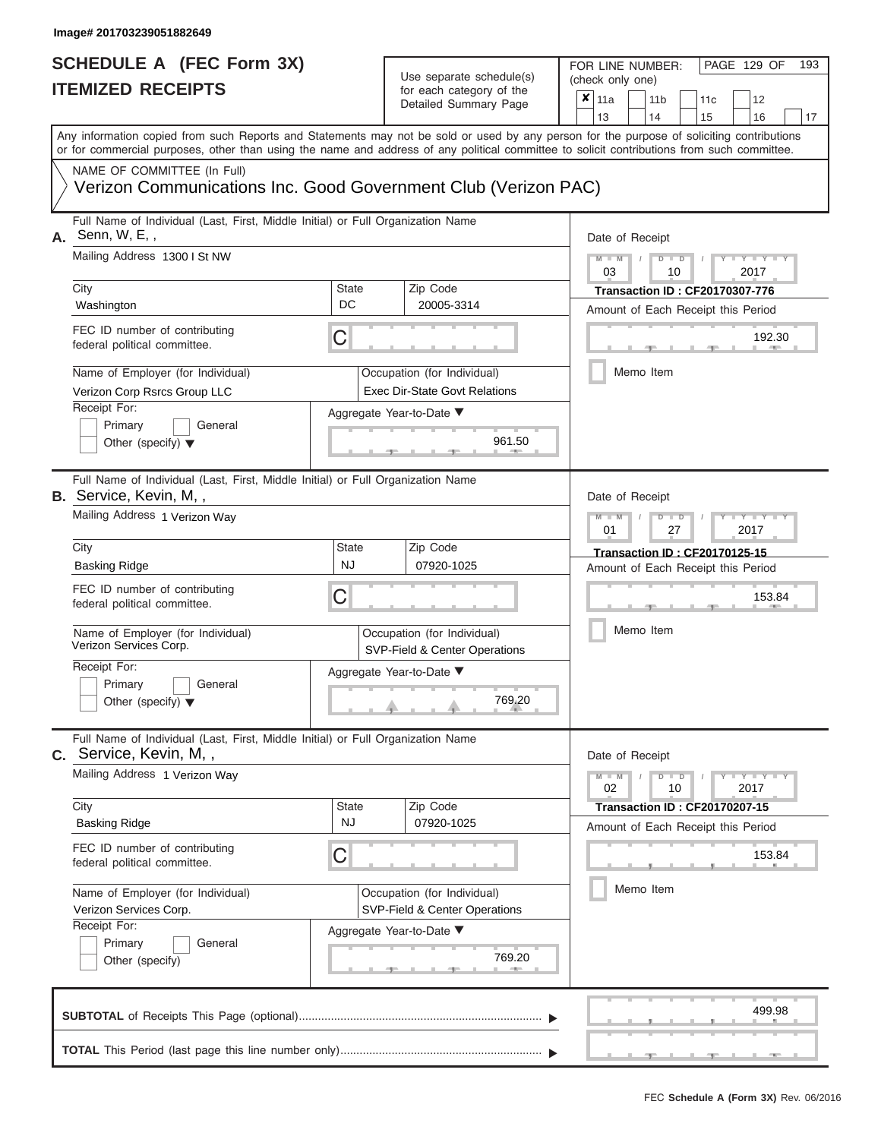### **SCHEDULE A (FEC Form 3X) ITEMIZED RECEIPTS**

## Use separate schedule(s)

| SCHEDULE A (FEC Form 3X)                                                                                                                          |                           | Use separate schedule(s)                                                                                                       | FOR LINE NUMBER:<br>PAGE 129 OF<br>193<br>(check only one)                                                                                                                                                                                                                              |
|---------------------------------------------------------------------------------------------------------------------------------------------------|---------------------------|--------------------------------------------------------------------------------------------------------------------------------|-----------------------------------------------------------------------------------------------------------------------------------------------------------------------------------------------------------------------------------------------------------------------------------------|
| <b>ITEMIZED RECEIPTS</b>                                                                                                                          |                           | for each category of the<br>Detailed Summary Page                                                                              | ×<br>l 11a<br>11 <sub>b</sub><br>12<br>11c<br>13<br>14<br>15<br>16<br>17                                                                                                                                                                                                                |
|                                                                                                                                                   |                           |                                                                                                                                | Any information copied from such Reports and Statements may not be sold or used by any person for the purpose of soliciting contributions<br>or for commercial purposes, other than using the name and address of any political committee to solicit contributions from such committee. |
| NAME OF COMMITTEE (In Full)<br>Verizon Communications Inc. Good Government Club (Verizon PAC)                                                     |                           |                                                                                                                                |                                                                                                                                                                                                                                                                                         |
| Full Name of Individual (Last, First, Middle Initial) or Full Organization Name<br>Senn, W, E,,<br>Mailing Address 1300 I St NW                   |                           |                                                                                                                                | Date of Receipt<br>$M - M$<br>Y I Y I<br>$D$ $D$                                                                                                                                                                                                                                        |
| City<br>Washington                                                                                                                                | <b>State</b><br>DC        | Zip Code<br>20005-3314                                                                                                         | 03<br>2017<br>10<br><b>Transaction ID: CF20170307-776</b><br>Amount of Each Receipt this Period                                                                                                                                                                                         |
| FEC ID number of contributing<br>federal political committee.                                                                                     | С                         |                                                                                                                                | 192.30<br><b>CONTRACTOR</b>                                                                                                                                                                                                                                                             |
| Name of Employer (for Individual)<br>Verizon Corp Rsrcs Group LLC<br>Receipt For:<br>Primary<br>General<br>Other (specify) $\blacktriangledown$   |                           | Occupation (for Individual)<br><b>Exec Dir-State Govt Relations</b><br>Aggregate Year-to-Date ▼<br>961.50<br><b>CONTRACTOR</b> | Memo Item                                                                                                                                                                                                                                                                               |
| Full Name of Individual (Last, First, Middle Initial) or Full Organization Name<br><b>B.</b> Service, Kevin, M,,<br>Mailing Address 1 Verizon Way |                           |                                                                                                                                | Date of Receipt<br>$M - M$<br>Y L Y L<br>$D$ $D$<br>01<br>2017<br>27                                                                                                                                                                                                                    |
| City<br><b>Basking Ridge</b>                                                                                                                      | <b>State</b><br><b>NJ</b> | Zip Code<br>07920-1025                                                                                                         | <b>Transaction ID: CF20170125-15</b><br>Amount of Each Receipt this Period                                                                                                                                                                                                              |
| FEC ID number of contributing<br>federal political committee.                                                                                     | С                         |                                                                                                                                | 153.84                                                                                                                                                                                                                                                                                  |
| Name of Employer (for Individual)<br>Verizon Services Corp.                                                                                       |                           | Occupation (for Individual)<br>SVP-Field & Center Operations                                                                   | Memo Item                                                                                                                                                                                                                                                                               |
| Receipt For:<br>Primary<br>General<br>Other (specify) $\blacktriangledown$                                                                        |                           | Aggregate Year-to-Date ▼<br>769.20                                                                                             |                                                                                                                                                                                                                                                                                         |
| Full Name of Individual (Last, First, Middle Initial) or Full Organization Name<br>C. Service, Kevin, M,,                                         |                           |                                                                                                                                | Date of Receipt                                                                                                                                                                                                                                                                         |
| Mailing Address 1 Verizon Way                                                                                                                     |                           |                                                                                                                                | $\mathbf{I} = \mathbf{Y} + \mathbf{Y}$<br>$M - M$<br>$D$ $D$<br>02<br>10<br>2017                                                                                                                                                                                                        |
| City<br><b>Basking Ridge</b>                                                                                                                      | <b>State</b><br><b>NJ</b> | Zip Code<br>07920-1025                                                                                                         | <b>Transaction ID : CF20170207-15</b><br>Amount of Each Receipt this Period                                                                                                                                                                                                             |
| FEC ID number of contributing<br>federal political committee.                                                                                     | С                         |                                                                                                                                | 153.84                                                                                                                                                                                                                                                                                  |
| Name of Employer (for Individual)<br>Verizon Services Corp.<br>Receipt For:                                                                       |                           | Occupation (for Individual)<br>SVP-Field & Center Operations                                                                   | Memo Item                                                                                                                                                                                                                                                                               |
| Primary<br>General<br>Other (specify)                                                                                                             |                           | Aggregate Year-to-Date ▼<br>769.20                                                                                             |                                                                                                                                                                                                                                                                                         |
|                                                                                                                                                   |                           |                                                                                                                                | 499.98                                                                                                                                                                                                                                                                                  |
|                                                                                                                                                   |                           |                                                                                                                                |                                                                                                                                                                                                                                                                                         |

 ▲ ▲ ▲ , , .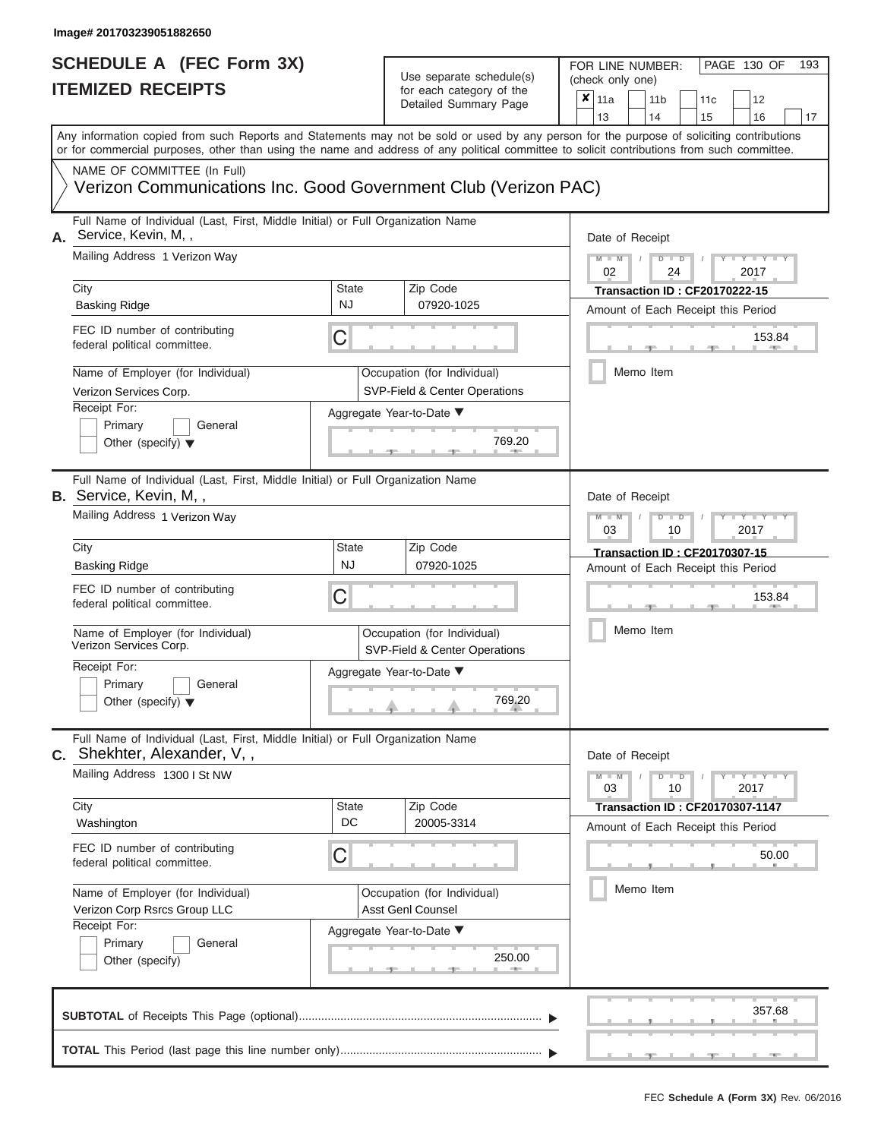## Use separate schedule(s)

| SCHEDULE A (FEC Form 3X)<br><b>ITEMIZED RECEIPTS</b>                                                                                              |                    | Use separate schedule(s)<br>for each category of the<br>Detailed Summary Page | 193<br>FOR LINE NUMBER:<br>PAGE 130 OF<br>(check only one)<br>$\boldsymbol{x}$<br>11a<br>11 <sub>b</sub><br>12<br>11c                                                   |
|---------------------------------------------------------------------------------------------------------------------------------------------------|--------------------|-------------------------------------------------------------------------------|-------------------------------------------------------------------------------------------------------------------------------------------------------------------------|
| or for commercial purposes, other than using the name and address of any political committee to solicit contributions from such committee.        |                    |                                                                               | 13<br>14<br>15<br>16<br>17<br>Any information copied from such Reports and Statements may not be sold or used by any person for the purpose of soliciting contributions |
| NAME OF COMMITTEE (In Full)<br>Verizon Communications Inc. Good Government Club (Verizon PAC)                                                     |                    |                                                                               |                                                                                                                                                                         |
| Full Name of Individual (Last, First, Middle Initial) or Full Organization Name<br>Service, Kevin, M,,<br>А.<br>Mailing Address 1 Verizon Way     |                    |                                                                               | Date of Receipt<br>$M - M$<br>$D$ $D$<br>$Y - Y - I$<br>02<br>24<br>2017                                                                                                |
| City<br><b>Basking Ridge</b>                                                                                                                      | State<br><b>NJ</b> | Zip Code<br>07920-1025                                                        | <b>Transaction ID: CF20170222-15</b><br>Amount of Each Receipt this Period                                                                                              |
| FEC ID number of contributing<br>federal political committee.                                                                                     | C                  |                                                                               | 153.84                                                                                                                                                                  |
| Name of Employer (for Individual)<br>Verizon Services Corp.                                                                                       |                    | Occupation (for Individual)<br>SVP-Field & Center Operations                  | Memo Item                                                                                                                                                               |
| Receipt For:<br>Primary<br>General<br>Other (specify) $\blacktriangledown$                                                                        |                    | Aggregate Year-to-Date ▼<br>769.20                                            |                                                                                                                                                                         |
| Full Name of Individual (Last, First, Middle Initial) or Full Organization Name<br><b>B.</b> Service, Kevin, M,,<br>Mailing Address 1 Verizon Way |                    |                                                                               | Date of Receipt<br>$M - M$<br>$D$ $\Box$ $D$<br>$Y - Y$                                                                                                                 |
| City                                                                                                                                              | State              | Zip Code                                                                      | 03<br>2017<br>10                                                                                                                                                        |
| <b>Basking Ridge</b>                                                                                                                              | <b>NJ</b>          | 07920-1025                                                                    | Transaction ID: CF20170307-15<br>Amount of Each Receipt this Period                                                                                                     |
| FEC ID number of contributing<br>federal political committee.                                                                                     | С                  |                                                                               | 153.84                                                                                                                                                                  |
| Name of Employer (for Individual)<br>Verizon Services Corp.                                                                                       |                    | Occupation (for Individual)<br>SVP-Field & Center Operations                  | Memo Item                                                                                                                                                               |
| Receipt For:                                                                                                                                      |                    | Aggregate Year-to-Date ▼                                                      |                                                                                                                                                                         |
| Primary<br>General<br>Other (specify) $\blacktriangledown$                                                                                        |                    | 769.20                                                                        |                                                                                                                                                                         |
| Full Name of Individual (Last, First, Middle Initial) or Full Organization Name<br>c. Shekhter, Alexander, V,,                                    |                    |                                                                               | Date of Receipt                                                                                                                                                         |
| Mailing Address 1300 I St NW                                                                                                                      |                    |                                                                               | $M - M$<br>$D$ $D$<br>$\blacksquare \blacksquare \mathsf{Y} \blacksquare \blacksquare \mathsf{Y} \blacksquare \blacksquare \mathsf{Y}$<br>10<br>2017<br>03              |
| City<br>Washington                                                                                                                                | State<br>DC        | Zip Code<br>20005-3314                                                        | <b>Transaction ID: CF20170307-1147</b><br>Amount of Each Receipt this Period                                                                                            |
| FEC ID number of contributing<br>federal political committee.                                                                                     | С                  |                                                                               | 50.00                                                                                                                                                                   |
| Name of Employer (for Individual)<br>Verizon Corp Rsrcs Group LLC                                                                                 |                    | Occupation (for Individual)<br>Asst Genl Counsel                              | Memo Item                                                                                                                                                               |
| Receipt For:<br>Primary<br>General<br>Other (specify)                                                                                             |                    | Aggregate Year-to-Date ▼<br>250.00                                            |                                                                                                                                                                         |
|                                                                                                                                                   |                    |                                                                               | 357.68                                                                                                                                                                  |
|                                                                                                                                                   |                    |                                                                               |                                                                                                                                                                         |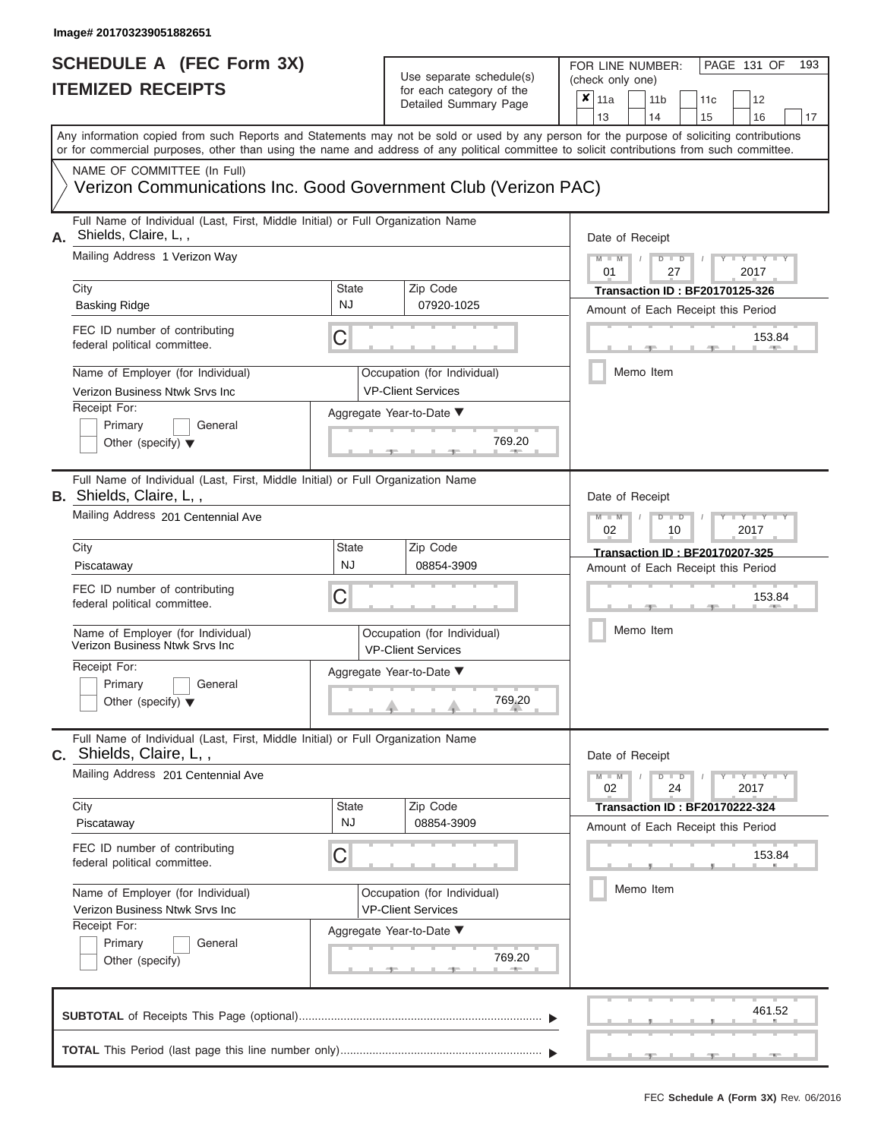### **SCHEDULE A (FEC Form 3X) ITEMIZED RECEIPTS**

## Use separate schedule(s)

| SCHEDULE A (FEC Form 3X)<br><b>ITEMIZED RECEIPTS</b>                                                                                                                                                                                                                                                                                                                                                 |                                | Use separate schedule(s)<br>for each category of the<br>Detailed Summary Page                                                                                       | 193<br>FOR LINE NUMBER:<br>PAGE 131 OF<br>(check only one)<br>$\overline{\mathbf{x}}$   11a<br>11 <sub>b</sub><br>12<br>11c<br>14<br>13<br>15<br>16<br>17                                    |
|------------------------------------------------------------------------------------------------------------------------------------------------------------------------------------------------------------------------------------------------------------------------------------------------------------------------------------------------------------------------------------------------------|--------------------------------|---------------------------------------------------------------------------------------------------------------------------------------------------------------------|----------------------------------------------------------------------------------------------------------------------------------------------------------------------------------------------|
| or for commercial purposes, other than using the name and address of any political committee to solicit contributions from such committee.<br>NAME OF COMMITTEE (In Full)<br>Verizon Communications Inc. Good Government Club (Verizon PAC)                                                                                                                                                          |                                |                                                                                                                                                                     | Any information copied from such Reports and Statements may not be sold or used by any person for the purpose of soliciting contributions                                                    |
| Full Name of Individual (Last, First, Middle Initial) or Full Organization Name<br>A. Shields, Claire, L,,<br>Mailing Address 1 Verizon Way<br>City<br><b>Basking Ridge</b><br>FEC ID number of contributing<br>federal political committee.<br>Name of Employer (for Individual)<br>Verizon Business Ntwk Srvs Inc<br>Receipt For:                                                                  | State<br><b>NJ</b><br>С        | Zip Code<br>07920-1025<br>Occupation (for Individual)<br><b>VP-Client Services</b><br>Aggregate Year-to-Date ▼                                                      | Date of Receipt<br>$M - M$<br>$D$ $D$<br>$Y - Y - T$<br>$\sqrt{ }$<br>01<br>27<br>2017<br><b>Transaction ID: BF20170125-326</b><br>Amount of Each Receipt this Period<br>153.84<br>Memo Item |
| Primary<br>General<br>Other (specify) $\blacktriangledown$                                                                                                                                                                                                                                                                                                                                           |                                | 769.20                                                                                                                                                              |                                                                                                                                                                                              |
| Full Name of Individual (Last, First, Middle Initial) or Full Organization Name<br><b>B.</b> Shields, Claire, L,,<br>Mailing Address 201 Centennial Ave<br>City<br>Piscataway<br>FEC ID number of contributing<br>federal political committee.<br>Name of Employer (for Individual)<br>Verizon Business Ntwk Srvs Inc.<br>Receipt For:<br>Primary<br>General<br>Other (specify) $\blacktriangledown$ | <b>State</b><br><b>NJ</b><br>С | Zip Code<br>08854-3909<br>Occupation (for Individual)<br><b>VP-Client Services</b><br>Aggregate Year-to-Date ▼<br>$\begin{array}{c}\n769.20 \\ \hline\n\end{array}$ | Date of Receipt<br>$M - M$<br>$D$ $\Box$ $D$<br>$Y - I - Y$<br>2017<br>02<br>10<br>Transaction ID: BF20170207-325<br>Amount of Each Receipt this Period<br>153.84<br>Memo Item               |
| Full Name of Individual (Last, First, Middle Initial) or Full Organization Name<br>C. Shields, Claire, L,,<br>Mailing Address 201 Centennial Ave<br>City<br>Piscataway<br>FEC ID number of contributing<br>federal political committee.<br>Name of Employer (for Individual)<br>Verizon Business Ntwk Srvs Inc<br>Receipt For:<br>Primary<br>General<br>Other (specify)                              | State<br>NJ.<br>С              | Zip Code<br>08854-3909<br>Occupation (for Individual)<br><b>VP-Client Services</b><br>Aggregate Year-to-Date ▼<br>769.20                                            | Date of Receipt<br>$M - M$<br>$D$ $D$<br>$T-T$ $T$ $T$ $T$ $T$ $T$<br>02<br>24<br>2017<br><b>Transaction ID: BF20170222-324</b><br>Amount of Each Receipt this Period<br>153.84<br>Memo Item |
|                                                                                                                                                                                                                                                                                                                                                                                                      |                                |                                                                                                                                                                     | 461.52                                                                                                                                                                                       |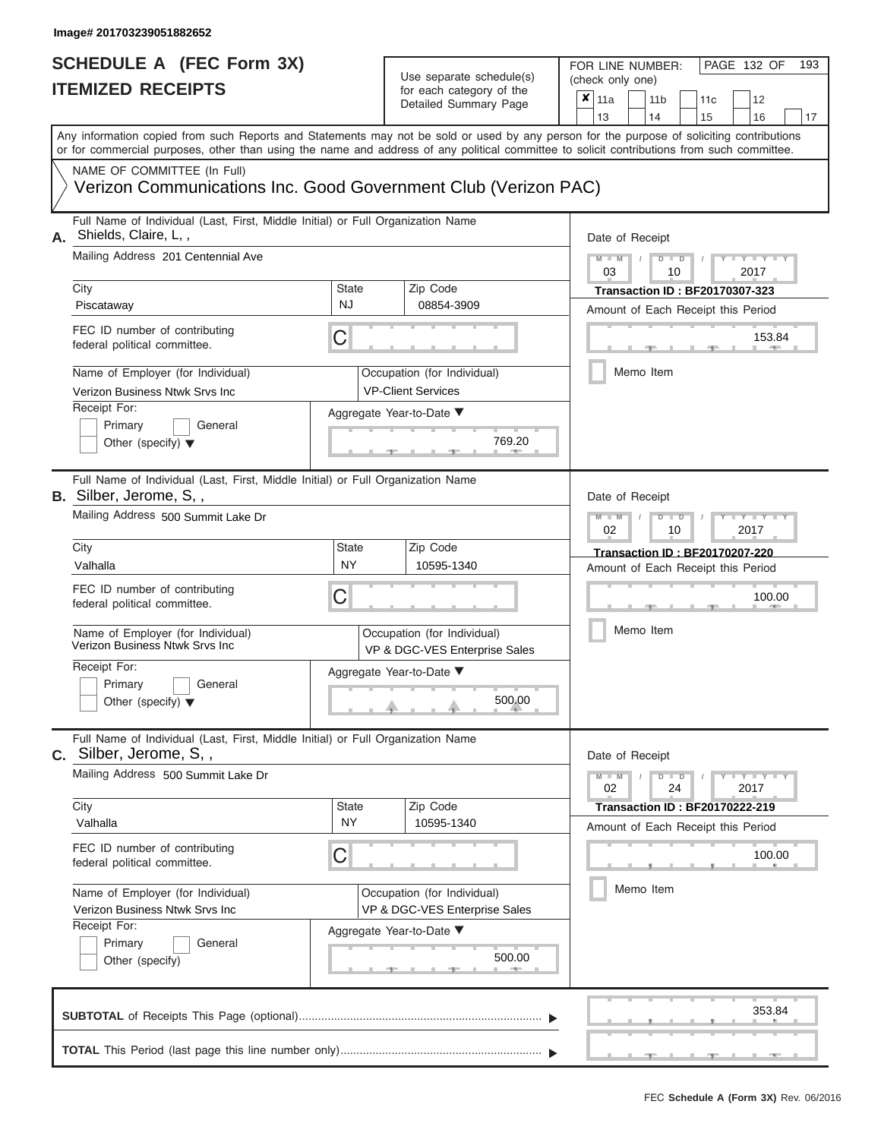| SCHEDULE A (FEC Form 3X)<br><b>ITEMIZED RECEIPTS</b>                                                                                                                                                                                                                                                                                                                                            |                                | Use separate schedule(s)<br>for each category of the<br>Detailed Summary Page                                                | 193<br>FOR LINE NUMBER:<br>PAGE 132 OF<br>(check only one)<br>$\overline{\mathbf{x}}$   11a<br>11 <sub>b</sub><br>11 <sub>c</sub><br>12                                                          |
|-------------------------------------------------------------------------------------------------------------------------------------------------------------------------------------------------------------------------------------------------------------------------------------------------------------------------------------------------------------------------------------------------|--------------------------------|------------------------------------------------------------------------------------------------------------------------------|--------------------------------------------------------------------------------------------------------------------------------------------------------------------------------------------------|
| Any information copied from such Reports and Statements may not be sold or used by any person for the purpose of soliciting contributions                                                                                                                                                                                                                                                       |                                |                                                                                                                              | 13<br>14<br>15<br>16<br>17                                                                                                                                                                       |
| or for commercial purposes, other than using the name and address of any political committee to solicit contributions from such committee.<br>NAME OF COMMITTEE (In Full)<br>Verizon Communications Inc. Good Government Club (Verizon PAC)                                                                                                                                                     |                                |                                                                                                                              |                                                                                                                                                                                                  |
| Full Name of Individual (Last, First, Middle Initial) or Full Organization Name<br>Shields, Claire, L,,<br>А.<br>Mailing Address 201 Centennial Ave<br>City<br>Piscataway<br>FEC ID number of contributing<br>federal political committee.<br>Name of Employer (for Individual)<br>Verizon Business Ntwk Srvs Inc<br>Receipt For:<br>Primary<br>General<br>Other (specify) $\blacktriangledown$ | State<br><b>NJ</b><br>C        | Zip Code<br>08854-3909<br>Occupation (for Individual)<br><b>VP-Client Services</b><br>Aggregate Year-to-Date ▼<br>769.20     | Date of Receipt<br>$M - M$ /<br>$D$ $D$<br>Y TY T<br>03<br>2017<br>10<br><b>Transaction ID: BF20170307-323</b><br>Amount of Each Receipt this Period<br>153.84<br><b>CONTRACTOR</b><br>Memo Item |
| Full Name of Individual (Last, First, Middle Initial) or Full Organization Name<br>B. Silber, Jerome, S,,<br>Mailing Address 500 Summit Lake Dr<br>City<br>Valhalla<br>FEC ID number of contributing<br>federal political committee.<br>Name of Employer (for Individual)<br>Verizon Business Ntwk Srvs Inc<br>Receipt For:<br>Primary<br>General<br>Other (specify) $\blacktriangledown$       | <b>State</b><br><b>NY</b><br>С | Zip Code<br>10595-1340<br>Occupation (for Individual)<br>VP & DGC-VES Enterprise Sales<br>Aggregate Year-to-Date ▼<br>500.00 | Date of Receipt<br>$M - M$<br>Y Y I<br>$D$ $D$<br>02<br>2017<br>10<br>Transaction ID: BF20170207-220<br>Amount of Each Receipt this Period<br>100.00<br>Memo Item                                |
| Full Name of Individual (Last, First, Middle Initial) or Full Organization Name<br>C. Silber, Jerome, S,,<br>Mailing Address 500 Summit Lake Dr<br>City<br>Valhalla<br>FEC ID number of contributing<br>federal political committee.<br>Name of Employer (for Individual)<br>Verizon Business Ntwk Srvs Inc<br>Receipt For:<br>Primary<br>General<br>Other (specify)                            | <b>State</b><br>NY.<br>С       | Zip Code<br>10595-1340<br>Occupation (for Individual)<br>VP & DGC-VES Enterprise Sales<br>Aggregate Year-to-Date ▼<br>500.00 | Date of Receipt<br>$M - M$<br>$D$ $D$<br>$T - Y - T - Y - T - Y$<br>02<br>24<br>2017<br>Transaction ID : BF20170222-219<br>Amount of Each Receipt this Period<br>100.00<br>Memo Item             |
|                                                                                                                                                                                                                                                                                                                                                                                                 |                                |                                                                                                                              | 353.84                                                                                                                                                                                           |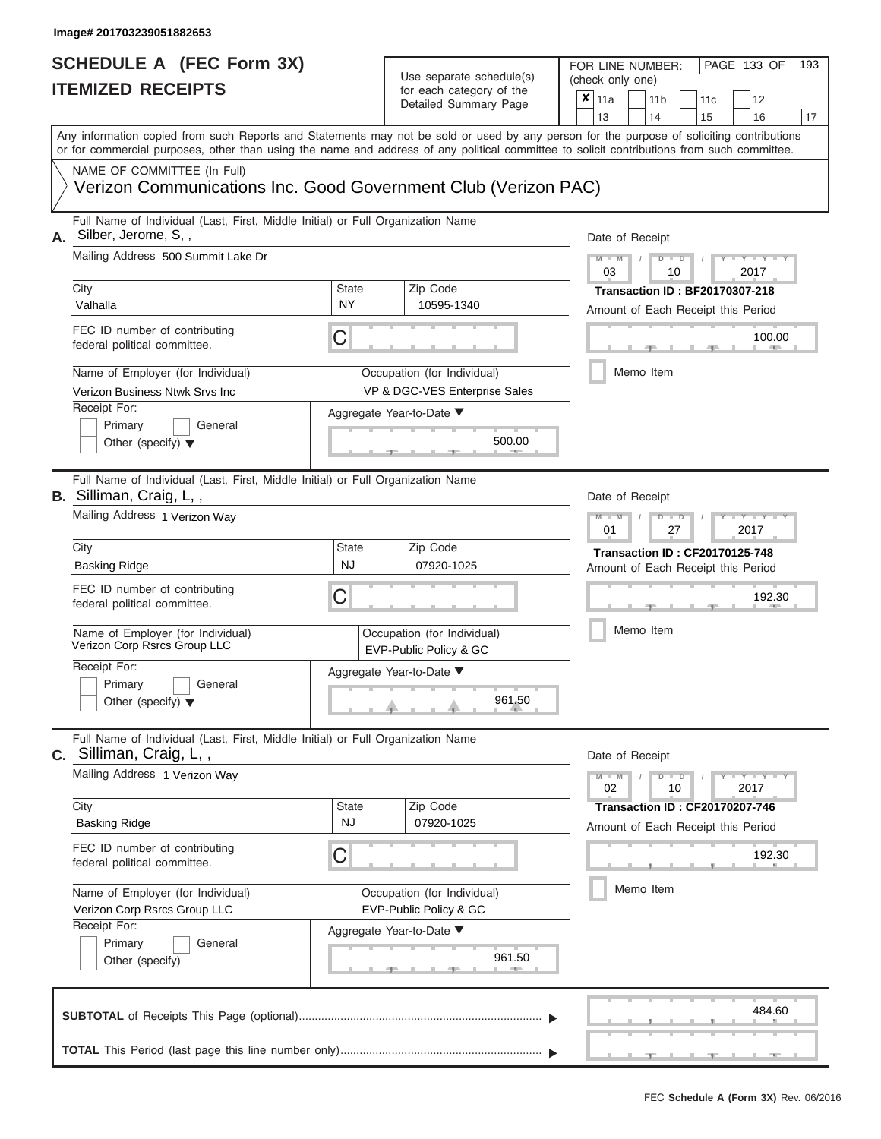## Use separate schedule(s)

| SCHEDULE A (FEC Form 3X)<br><b>ITEMIZED RECEIPTS</b>                                                                                                                                                                                                                                                                                                                                                   |                                | Use separate schedule(s)<br>for each category of the<br>Detailed Summary Page                                                | 193<br>FOR LINE NUMBER:<br>PAGE 133 OF<br>(check only one)<br>$\overline{\mathbf{x}}$   11a<br>11 <sub>b</sub><br>12<br>11c<br>13<br>14<br>15<br>16<br>17                                               |
|--------------------------------------------------------------------------------------------------------------------------------------------------------------------------------------------------------------------------------------------------------------------------------------------------------------------------------------------------------------------------------------------------------|--------------------------------|------------------------------------------------------------------------------------------------------------------------------|---------------------------------------------------------------------------------------------------------------------------------------------------------------------------------------------------------|
| Any information copied from such Reports and Statements may not be sold or used by any person for the purpose of soliciting contributions<br>or for commercial purposes, other than using the name and address of any political committee to solicit contributions from such committee.<br>NAME OF COMMITTEE (In Full)<br>Verizon Communications Inc. Good Government Club (Verizon PAC)               |                                |                                                                                                                              |                                                                                                                                                                                                         |
| Full Name of Individual (Last, First, Middle Initial) or Full Organization Name<br>A. Silber, Jerome, S,,<br>Mailing Address 500 Summit Lake Dr<br>City<br>Valhalla<br>FEC ID number of contributing<br>federal political committee.<br>Name of Employer (for Individual)<br>Verizon Business Ntwk Srvs Inc<br>Receipt For:<br>Primary<br>General<br>Other (specify) $\blacktriangledown$              | <b>State</b><br>NY<br>С        | Zip Code<br>10595-1340<br>Occupation (for Individual)<br>VP & DGC-VES Enterprise Sales<br>Aggregate Year-to-Date ▼<br>500.00 | Date of Receipt<br>$M - M$<br>$D$ $D$<br>Y I Y I<br>$\prime$<br>03<br>2017<br>10<br><b>Transaction ID: BF20170307-218</b><br>Amount of Each Receipt this Period<br>100.00<br><b>AND IN</b><br>Memo Item |
| Full Name of Individual (Last, First, Middle Initial) or Full Organization Name<br><b>B.</b> Silliman, Craig, L,,<br>Mailing Address 1 Verizon Way<br>City<br><b>Basking Ridge</b><br>FEC ID number of contributing<br>federal political committee.<br>Name of Employer (for Individual)<br>Verizon Corp Rsrcs Group LLC<br>Receipt For:<br>Primary<br>General<br>Other (specify) $\blacktriangledown$ | <b>State</b><br><b>NJ</b><br>С | Zip Code<br>07920-1025<br>Occupation (for Individual)<br>EVP-Public Policy & GC<br>Aggregate Year-to-Date ▼<br>961.50<br>a.  | Date of Receipt<br>$M - M$<br>$D$ $\Box$ $D$<br>Y TYT<br>01<br>2017<br>27<br>Transaction ID: CF20170125-748<br>Amount of Each Receipt this Period<br>192.30<br>Memo Item                                |
| Full Name of Individual (Last, First, Middle Initial) or Full Organization Name<br><b>C.</b> Silliman, Craig, L,,<br>Mailing Address 1 Verizon Way<br>City<br><b>Basking Ridge</b><br>FEC ID number of contributing<br>federal political committee.<br>Name of Employer (for Individual)<br>Verizon Corp Rsrcs Group LLC<br>Receipt For:<br>Primary<br>General<br>Other (specify)                      | <b>State</b><br><b>NJ</b><br>С | Zip Code<br>07920-1025<br>Occupation (for Individual)<br>EVP-Public Policy & GC<br>Aggregate Year-to-Date ▼<br>961.50        | Date of Receipt<br>$M - M$<br>$D$ $\Box$ $D$<br>$+Y+Y+Y$<br>10<br>02<br>2017<br><b>Transaction ID: CF20170207-746</b><br>Amount of Each Receipt this Period<br>192.30<br>Memo Item                      |
|                                                                                                                                                                                                                                                                                                                                                                                                        |                                |                                                                                                                              | 484.60                                                                                                                                                                                                  |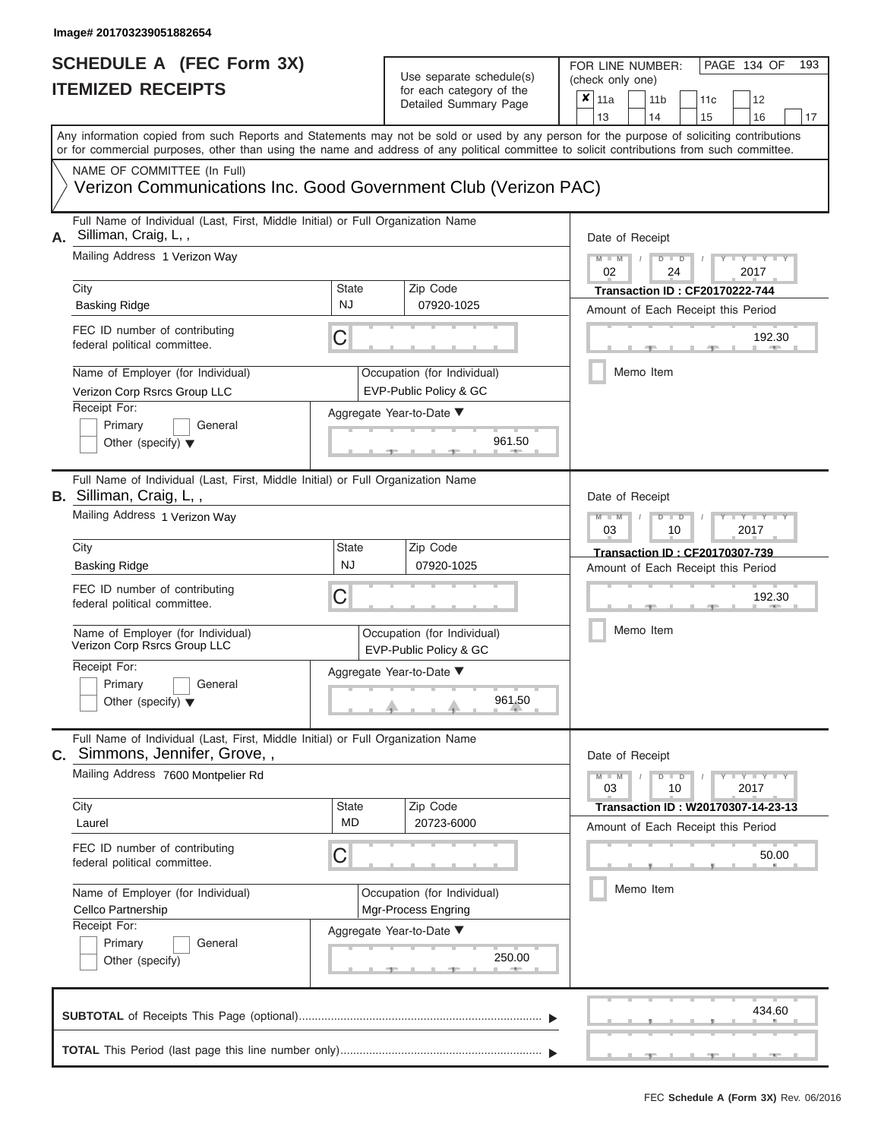# **SCHEDULE A (FEC Form 3X)**

| SCHEDULE A (FEC Form 3X)<br><b>ITEMIZED RECEIPTS</b>                                                                                                                                                                                                                                                                                                                                                   |                         | Use separate schedule(s)<br>for each category of the<br>Detailed Summary Page                                         | 193<br>FOR LINE NUMBER:<br>PAGE 134 OF<br>(check only one)<br>$\overline{\mathbf{x}}$   11a<br>11 <sub>b</sub><br>12<br>11c                                                                               |
|--------------------------------------------------------------------------------------------------------------------------------------------------------------------------------------------------------------------------------------------------------------------------------------------------------------------------------------------------------------------------------------------------------|-------------------------|-----------------------------------------------------------------------------------------------------------------------|-----------------------------------------------------------------------------------------------------------------------------------------------------------------------------------------------------------|
| Any information copied from such Reports and Statements may not be sold or used by any person for the purpose of soliciting contributions<br>or for commercial purposes, other than using the name and address of any political committee to solicit contributions from such committee.<br>NAME OF COMMITTEE (In Full)                                                                                 |                         |                                                                                                                       | 13<br>14<br>15<br>16<br>17                                                                                                                                                                                |
| Verizon Communications Inc. Good Government Club (Verizon PAC)                                                                                                                                                                                                                                                                                                                                         |                         |                                                                                                                       |                                                                                                                                                                                                           |
| Full Name of Individual (Last, First, Middle Initial) or Full Organization Name<br>Silliman, Craig, L,,<br>А.<br>Mailing Address 1 Verizon Way<br>City<br><b>Basking Ridge</b><br>FEC ID number of contributing<br>federal political committee.<br>Name of Employer (for Individual)<br>Verizon Corp Rsrcs Group LLC<br>Receipt For:<br>Primary<br>General<br>Other (specify) $\blacktriangledown$     | State<br><b>NJ</b><br>C | Zip Code<br>07920-1025<br>Occupation (for Individual)<br>EVP-Public Policy & GC<br>Aggregate Year-to-Date ▼<br>961.50 | Date of Receipt<br>$M - M$<br>$D$ $D$<br>Y I Y I<br>$\sqrt{2}$<br>02<br>24<br>2017<br><b>Transaction ID: CF20170222-744</b><br>Amount of Each Receipt this Period<br>192.30<br><b>AND IN</b><br>Memo Item |
| Full Name of Individual (Last, First, Middle Initial) or Full Organization Name<br><b>B.</b> Silliman, Craig, L,,<br>Mailing Address 1 Verizon Way<br>City<br><b>Basking Ridge</b><br>FEC ID number of contributing<br>federal political committee.<br>Name of Employer (for Individual)<br>Verizon Corp Rsrcs Group LLC<br>Receipt For:<br>Primary<br>General<br>Other (specify) $\blacktriangledown$ | State<br><b>NJ</b><br>С | Zip Code<br>07920-1025<br>Occupation (for Individual)<br>EVP-Public Policy & GC<br>Aggregate Year-to-Date ▼<br>961.50 | Date of Receipt<br>$M - M$<br>$D$ $\Box$ $D$<br>Y TY<br>03<br>2017<br>10<br>Transaction ID: CF20170307-739<br>Amount of Each Receipt this Period<br>192.30<br>Memo Item                                   |
| Full Name of Individual (Last, First, Middle Initial) or Full Organization Name<br>Simmons, Jennifer, Grove,,<br>С.<br>Mailing Address 7600 Montpelier Rd<br>City<br>Laurel<br>FEC ID number of contributing<br>federal political committee.                                                                                                                                                           | State<br>MD.<br>С       | Zip Code<br>20723-6000                                                                                                | Date of Receipt<br>$M - M$<br>$D$ $D$<br>$T - Y - T - Y - T - Y$<br>10<br>03<br>2017<br>Transaction ID: W20170307-14-23-13<br>Amount of Each Receipt this Period<br>50.00                                 |
| Name of Employer (for Individual)<br>Cellco Partnership<br>Receipt For:<br>Primary<br>General<br>Other (specify)                                                                                                                                                                                                                                                                                       |                         | Occupation (for Individual)<br>Mgr-Process Engring<br>Aggregate Year-to-Date ▼<br>250.00                              | Memo Item                                                                                                                                                                                                 |
|                                                                                                                                                                                                                                                                                                                                                                                                        |                         |                                                                                                                       | 434.60                                                                                                                                                                                                    |
|                                                                                                                                                                                                                                                                                                                                                                                                        |                         |                                                                                                                       |                                                                                                                                                                                                           |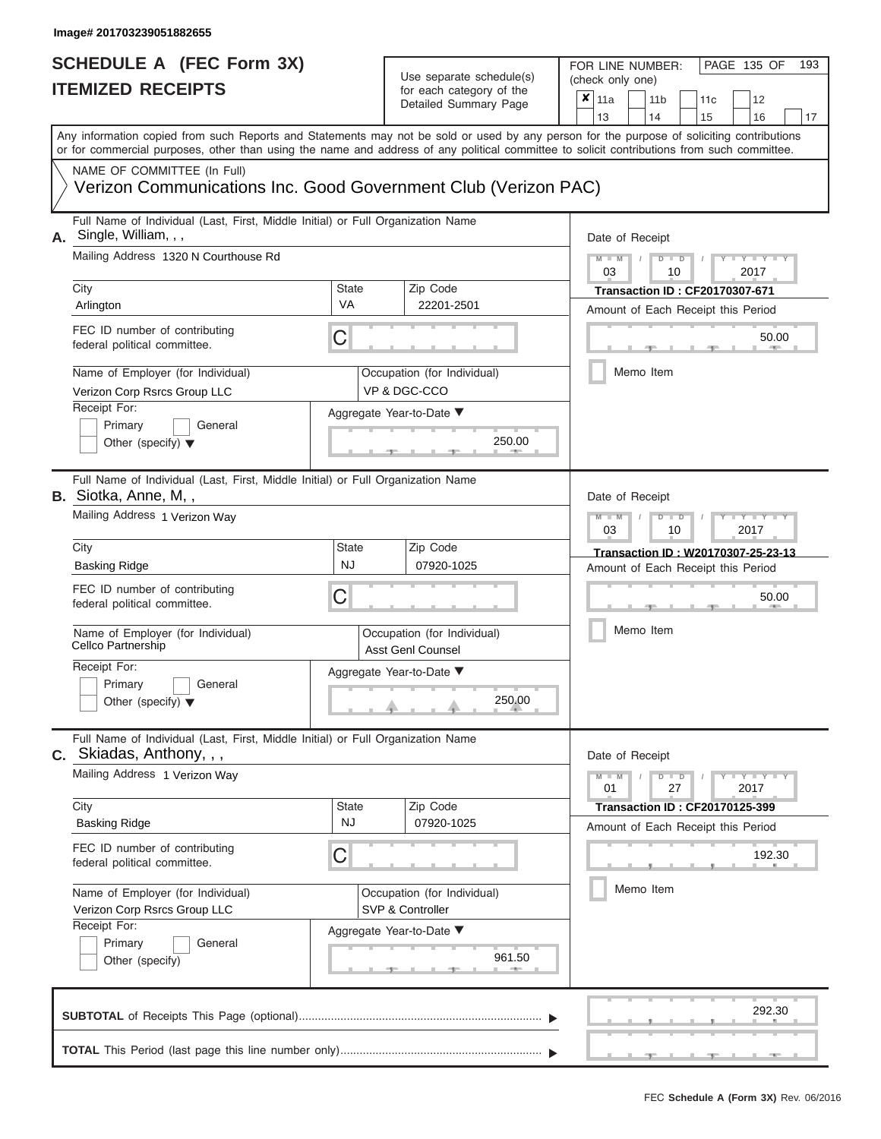## Use separate schedule(s)<br>for each category of the

FOR LINE NUMBER:<br>(check only one)

PAGE 135 OF 193

|    | IILMILLU RLVLIF IJ                                                                                                                                                                                                                          |                                                 | iul each caleguly of the<br>Detailed Summary Page       | X.                                                 | 11a             |               | 11 <sub>b</sub> |               |                                                                          | 11 <sub>c</sub> | 12                                                                          |    |  |  |  |  |  |  |  |
|----|---------------------------------------------------------------------------------------------------------------------------------------------------------------------------------------------------------------------------------------------|-------------------------------------------------|---------------------------------------------------------|----------------------------------------------------|-----------------|---------------|-----------------|---------------|--------------------------------------------------------------------------|-----------------|-----------------------------------------------------------------------------|----|--|--|--|--|--|--|--|
|    | Any information copied from such Reports and Statements may not be sold or used by any person for the purpose of soliciting contributions                                                                                                   |                                                 |                                                         |                                                    | 13              |               | 14              |               |                                                                          | 15              | 16                                                                          | 17 |  |  |  |  |  |  |  |
|    | or for commercial purposes, other than using the name and address of any political committee to solicit contributions from such committee.<br>NAME OF COMMITTEE (In Full)<br>Verizon Communications Inc. Good Government Club (Verizon PAC) |                                                 |                                                         |                                                    |                 |               |                 |               |                                                                          |                 |                                                                             |    |  |  |  |  |  |  |  |
| А. | Full Name of Individual (Last, First, Middle Initial) or Full Organization Name<br>Single, William, , ,                                                                                                                                     | Date of Receipt                                 |                                                         |                                                    |                 |               |                 |               |                                                                          |                 |                                                                             |    |  |  |  |  |  |  |  |
|    | Mailing Address 1320 N Courthouse Rd                                                                                                                                                                                                        |                                                 | $M - M$<br>03                                           |                                                    |                 | $D$ $D$<br>10 |                 |               | 2017                                                                     |                 |                                                                             |    |  |  |  |  |  |  |  |
|    | City<br>State<br>VA<br>Arlington                                                                                                                                                                                                            |                                                 | Zip Code<br>22201-2501                                  |                                                    |                 |               |                 |               |                                                                          |                 | Transaction ID: CF20170307-671<br>Amount of Each Receipt this Period        |    |  |  |  |  |  |  |  |
|    | FEC ID number of contributing<br>С<br>federal political committee.                                                                                                                                                                          |                                                 |                                                         |                                                    |                 |               |                 |               |                                                                          |                 | 50.00                                                                       |    |  |  |  |  |  |  |  |
|    | Name of Employer (for Individual)<br>Verizon Corp Rsrcs Group LLC                                                                                                                                                                           |                                                 | Occupation (for Individual)<br>VP & DGC-CCO             |                                                    |                 | Memo Item     |                 |               |                                                                          |                 |                                                                             |    |  |  |  |  |  |  |  |
|    | Receipt For:<br>Primary<br>General<br>Other (specify) $\blacktriangledown$                                                                                                                                                                  |                                                 | Aggregate Year-to-Date ▼<br>250.00                      |                                                    |                 |               |                 |               |                                                                          |                 |                                                                             |    |  |  |  |  |  |  |  |
|    | Full Name of Individual (Last, First, Middle Initial) or Full Organization Name<br><b>B.</b> Siotka, Anne, M,,                                                                                                                              |                                                 |                                                         |                                                    | Date of Receipt |               |                 |               |                                                                          |                 |                                                                             |    |  |  |  |  |  |  |  |
|    | Mailing Address 1 Verizon Way                                                                                                                                                                                                               |                                                 |                                                         | $M - M$<br>D<br>$\blacksquare$<br>03<br>2017<br>10 |                 |               |                 |               |                                                                          |                 |                                                                             |    |  |  |  |  |  |  |  |
|    | City<br><b>NJ</b><br><b>Basking Ridge</b>                                                                                                                                                                                                   | Zip Code<br>State<br>07920-1025                 |                                                         |                                                    |                 |               |                 |               | Transaction ID: W20170307-25-23-13<br>Amount of Each Receipt this Period |                 |                                                                             |    |  |  |  |  |  |  |  |
|    | FEC ID number of contributing<br>C<br>federal political committee.                                                                                                                                                                          |                                                 |                                                         |                                                    |                 |               |                 |               |                                                                          |                 | 50.00                                                                       |    |  |  |  |  |  |  |  |
|    | Name of Employer (for Individual)<br>Cellco Partnership                                                                                                                                                                                     |                                                 | Occupation (for Individual)<br><b>Asst Genl Counsel</b> |                                                    |                 | Memo Item     |                 |               |                                                                          |                 |                                                                             |    |  |  |  |  |  |  |  |
|    | Receipt For:<br>Primary<br>General<br>Other (specify) $\blacktriangledown$                                                                                                                                                                  |                                                 | Aggregate Year-to-Date ▼<br>250.00                      |                                                    |                 |               |                 |               |                                                                          |                 |                                                                             |    |  |  |  |  |  |  |  |
| С. | Full Name of Individual (Last, First, Middle Initial) or Full Organization Name<br>Skiadas, Anthony, , ,                                                                                                                                    |                                                 |                                                         |                                                    | Date of Receipt |               |                 |               |                                                                          |                 |                                                                             |    |  |  |  |  |  |  |  |
|    | Mailing Address 1 Verizon Way                                                                                                                                                                                                               |                                                 |                                                         |                                                    | $M - M$<br>01   |               |                 | $D$ $D$<br>27 |                                                                          |                 | $-Y - Y - Y - Y$<br>2017                                                    |    |  |  |  |  |  |  |  |
|    | <b>State</b><br>City<br><b>NJ</b><br><b>Basking Ridge</b>                                                                                                                                                                                   |                                                 | Zip Code<br>07920-1025                                  |                                                    |                 |               |                 |               |                                                                          |                 | <b>Transaction ID: CF20170125-399</b><br>Amount of Each Receipt this Period |    |  |  |  |  |  |  |  |
|    | FEC ID number of contributing<br>C<br>federal political committee.                                                                                                                                                                          |                                                 |                                                         |                                                    |                 |               |                 |               | 192.30                                                                   |                 |                                                                             |    |  |  |  |  |  |  |  |
|    | Name of Employer (for Individual)<br>Verizon Corp Rsrcs Group LLC                                                                                                                                                                           | Occupation (for Individual)<br>SVP & Controller | Memo Item                                               |                                                    |                 |               |                 |               |                                                                          |                 |                                                                             |    |  |  |  |  |  |  |  |
|    | Receipt For:<br>Primary<br>General<br>Other (specify)                                                                                                                                                                                       |                                                 | Aggregate Year-to-Date ▼<br>961.50                      |                                                    |                 |               |                 |               |                                                                          |                 |                                                                             |    |  |  |  |  |  |  |  |
|    |                                                                                                                                                                                                                                             |                                                 |                                                         |                                                    |                 |               |                 |               |                                                                          |                 | 292.30                                                                      |    |  |  |  |  |  |  |  |
|    |                                                                                                                                                                                                                                             |                                                 |                                                         |                                                    |                 |               |                 |               |                                                                          |                 |                                                                             |    |  |  |  |  |  |  |  |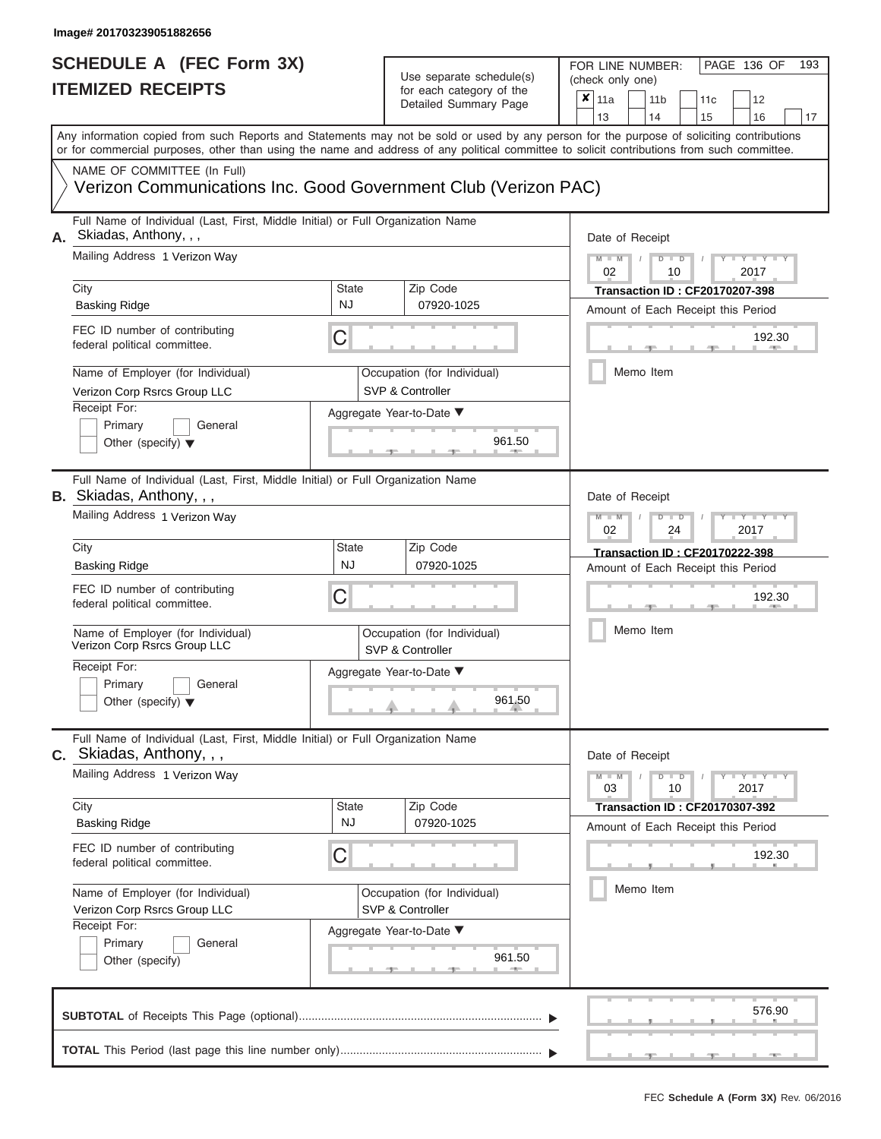## Use separate schedule(s)

FOR LINE NUMBER:<br>(check only one)

PAGE 136 OF 193

| IIEMIZED KEUEIPIS                                                                                                                               |                           | for each category of the<br>Detailed Summary Page | ×<br>11a<br>11 <sub>b</sub><br>11c<br>12<br>13<br>14<br>15<br>16<br>17                                                                    |  |  |  |  |  |  |  |  |  |  |  |
|-------------------------------------------------------------------------------------------------------------------------------------------------|---------------------------|---------------------------------------------------|-------------------------------------------------------------------------------------------------------------------------------------------|--|--|--|--|--|--|--|--|--|--|--|
| or for commercial purposes, other than using the name and address of any political committee to solicit contributions from such committee.      |                           |                                                   | Any information copied from such Reports and Statements may not be sold or used by any person for the purpose of soliciting contributions |  |  |  |  |  |  |  |  |  |  |  |
| NAME OF COMMITTEE (In Full)<br>Verizon Communications Inc. Good Government Club (Verizon PAC)                                                   |                           |                                                   |                                                                                                                                           |  |  |  |  |  |  |  |  |  |  |  |
| Full Name of Individual (Last, First, Middle Initial) or Full Organization Name<br>Skiadas, Anthony, , ,<br>А.<br>Mailing Address 1 Verizon Way |                           |                                                   | Date of Receipt<br>$M - M$<br>Y TYT<br>$D$ $D$<br>02<br>2017<br>10                                                                        |  |  |  |  |  |  |  |  |  |  |  |
| City                                                                                                                                            | <b>State</b><br><b>NJ</b> | Zip Code                                          | <b>Transaction ID: CF20170207-398</b>                                                                                                     |  |  |  |  |  |  |  |  |  |  |  |
| <b>Basking Ridge</b><br>FEC ID number of contributing<br>federal political committee.                                                           | C                         | 07920-1025                                        | Amount of Each Receipt this Period<br>192.30                                                                                              |  |  |  |  |  |  |  |  |  |  |  |
| Name of Employer (for Individual)<br>Verizon Corp Rsrcs Group LLC<br>Receipt For:                                                               |                           | Occupation (for Individual)<br>SVP & Controller   | Memo Item                                                                                                                                 |  |  |  |  |  |  |  |  |  |  |  |
| Primary<br>General<br>Other (specify) $\blacktriangledown$                                                                                      |                           | Aggregate Year-to-Date ▼<br>961.50                |                                                                                                                                           |  |  |  |  |  |  |  |  |  |  |  |
| Full Name of Individual (Last, First, Middle Initial) or Full Organization Name<br><b>B.</b> Skiadas, Anthony, , ,                              |                           |                                                   | Date of Receipt                                                                                                                           |  |  |  |  |  |  |  |  |  |  |  |
| Mailing Address 1 Verizon Way                                                                                                                   |                           |                                                   | $M - M$<br>$T - Y = T - T$<br>$D$ $\Box$ $D$<br>02<br>24<br>2017                                                                          |  |  |  |  |  |  |  |  |  |  |  |
| City<br><b>Basking Ridge</b>                                                                                                                    | State<br><b>NJ</b>        | Zip Code<br>07920-1025                            | <b>Transaction ID: CF20170222-398</b><br>Amount of Each Receipt this Period                                                               |  |  |  |  |  |  |  |  |  |  |  |
| FEC ID number of contributing<br>federal political committee.                                                                                   | C                         |                                                   | 192.30                                                                                                                                    |  |  |  |  |  |  |  |  |  |  |  |
| Name of Employer (for Individual)<br>Verizon Corp Rsrcs Group LLC                                                                               |                           | Occupation (for Individual)<br>SVP & Controller   | Memo Item                                                                                                                                 |  |  |  |  |  |  |  |  |  |  |  |
| Receipt For:<br>Primary<br>General<br>Other (specify) $\blacktriangledown$                                                                      |                           | Aggregate Year-to-Date ▼<br>961.50                |                                                                                                                                           |  |  |  |  |  |  |  |  |  |  |  |
| Full Name of Individual (Last, First, Middle Initial) or Full Organization Name<br>$c.$ Skiadas, Anthony, , ,                                   |                           |                                                   | Date of Receipt                                                                                                                           |  |  |  |  |  |  |  |  |  |  |  |
| Mailing Address 1 Verizon Way                                                                                                                   |                           |                                                   | $Y = Y = Y$<br>$M - M$<br>$D$ $D$<br>10<br>03<br>2017                                                                                     |  |  |  |  |  |  |  |  |  |  |  |
| City<br><b>Basking Ridge</b>                                                                                                                    | <b>State</b><br><b>NJ</b> | Zip Code<br>07920-1025                            | <b>Transaction ID: CF20170307-392</b><br>Amount of Each Receipt this Period                                                               |  |  |  |  |  |  |  |  |  |  |  |
| FEC ID number of contributing<br>federal political committee.                                                                                   | C                         |                                                   |                                                                                                                                           |  |  |  |  |  |  |  |  |  |  |  |
| Name of Employer (for Individual)<br>Verizon Corp Rsrcs Group LLC                                                                               |                           | Occupation (for Individual)<br>SVP & Controller   | Memo Item                                                                                                                                 |  |  |  |  |  |  |  |  |  |  |  |
| Receipt For:<br>Primary<br>General<br>Other (specify)                                                                                           |                           | Aggregate Year-to-Date ▼<br>961.50<br><b>AND</b>  |                                                                                                                                           |  |  |  |  |  |  |  |  |  |  |  |
|                                                                                                                                                 |                           |                                                   | 576.90                                                                                                                                    |  |  |  |  |  |  |  |  |  |  |  |
|                                                                                                                                                 |                           |                                                   |                                                                                                                                           |  |  |  |  |  |  |  |  |  |  |  |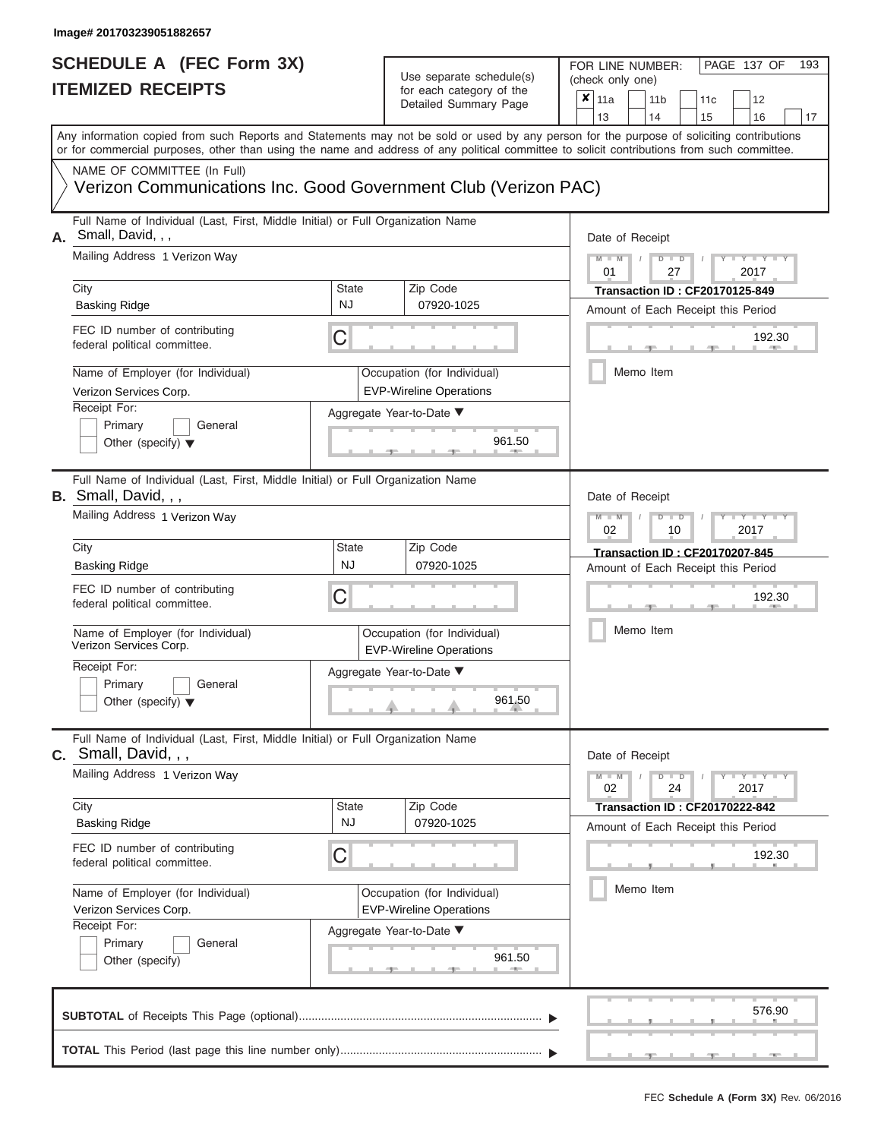# **SCHEDULE A (FEC Form 3X)**

| SCHEDULE A (FEC Form 3X)<br><b>ITEMIZED RECEIPTS</b>                                                                                                                                                                                                                                                                                                                                          |                         | Use separate schedule(s)<br>for each category of the<br>Detailed Summary Page                                                 | 193<br>FOR LINE NUMBER:<br>PAGE 137 OF<br>(check only one)<br>$\overline{\mathbf{x}}$   11a<br>11 <sub>b</sub><br>12<br>11c<br>13<br>14<br>15<br>16<br>17                                                |
|-----------------------------------------------------------------------------------------------------------------------------------------------------------------------------------------------------------------------------------------------------------------------------------------------------------------------------------------------------------------------------------------------|-------------------------|-------------------------------------------------------------------------------------------------------------------------------|----------------------------------------------------------------------------------------------------------------------------------------------------------------------------------------------------------|
| Any information copied from such Reports and Statements may not be sold or used by any person for the purpose of soliciting contributions<br>or for commercial purposes, other than using the name and address of any political committee to solicit contributions from such committee.<br>NAME OF COMMITTEE (In Full)<br>Verizon Communications Inc. Good Government Club (Verizon PAC)      |                         |                                                                                                                               |                                                                                                                                                                                                          |
| Full Name of Individual (Last, First, Middle Initial) or Full Organization Name<br>A. Small, David, , ,<br>Mailing Address 1 Verizon Way<br>City<br><b>Basking Ridge</b><br>FEC ID number of contributing<br>federal political committee.<br>Name of Employer (for Individual)<br>Verizon Services Corp.<br>Receipt For:<br>Primary<br>General<br>Other (specify) $\blacktriangledown$        | State<br><b>NJ</b><br>C | Zip Code<br>07920-1025<br>Occupation (for Individual)<br><b>EVP-Wireline Operations</b><br>Aggregate Year-to-Date ▼<br>961.50 | Date of Receipt<br>$M - M$<br>$D$ $D$<br>Y I Y I<br>$\sqrt{2}$<br>01<br>27<br>2017<br><b>Transaction ID: CF20170125-849</b><br>Amount of Each Receipt this Period<br>192.30<br><b>Allen</b><br>Memo Item |
| Full Name of Individual (Last, First, Middle Initial) or Full Organization Name<br><b>B.</b> Small, David, , ,<br>Mailing Address 1 Verizon Way<br>City<br><b>Basking Ridge</b><br>FEC ID number of contributing<br>federal political committee.<br>Name of Employer (for Individual)<br>Verizon Services Corp.<br>Receipt For:<br>Primary<br>General<br>Other (specify) $\blacktriangledown$ | State<br><b>NJ</b><br>С | Zip Code<br>07920-1025<br>Occupation (for Individual)<br><b>EVP-Wireline Operations</b><br>Aggregate Year-to-Date ▼<br>961.50 | Date of Receipt<br>$M - M$<br>$D$ $\Box$ $D$<br>$Y - Y$<br>2017<br>02<br>10<br><b>Transaction ID: CF20170207-845</b><br>Amount of Each Receipt this Period<br>192.30<br>Memo Item                        |
| Full Name of Individual (Last, First, Middle Initial) or Full Organization Name<br><b>C.</b> Small, David, , ,<br>Mailing Address 1 Verizon Way<br>City<br><b>Basking Ridge</b><br>FEC ID number of contributing<br>federal political committee.<br>Name of Employer (for Individual)<br>Verizon Services Corp.<br>Receipt For:<br>Primary<br>General<br>Other (specify)                      | State<br><b>NJ</b><br>С | Zip Code<br>07920-1025<br>Occupation (for Individual)<br><b>EVP-Wireline Operations</b><br>Aggregate Year-to-Date ▼<br>961.50 | Date of Receipt<br>$M - M$<br>$D$ $D$<br>$-1$ $-1$ $-1$ $-1$ $-1$<br>24<br>2017<br>02<br><b>Transaction ID: CF20170222-842</b><br>Amount of Each Receipt this Period<br>192.30<br>Memo Item              |
|                                                                                                                                                                                                                                                                                                                                                                                               |                         |                                                                                                                               | 576.90                                                                                                                                                                                                   |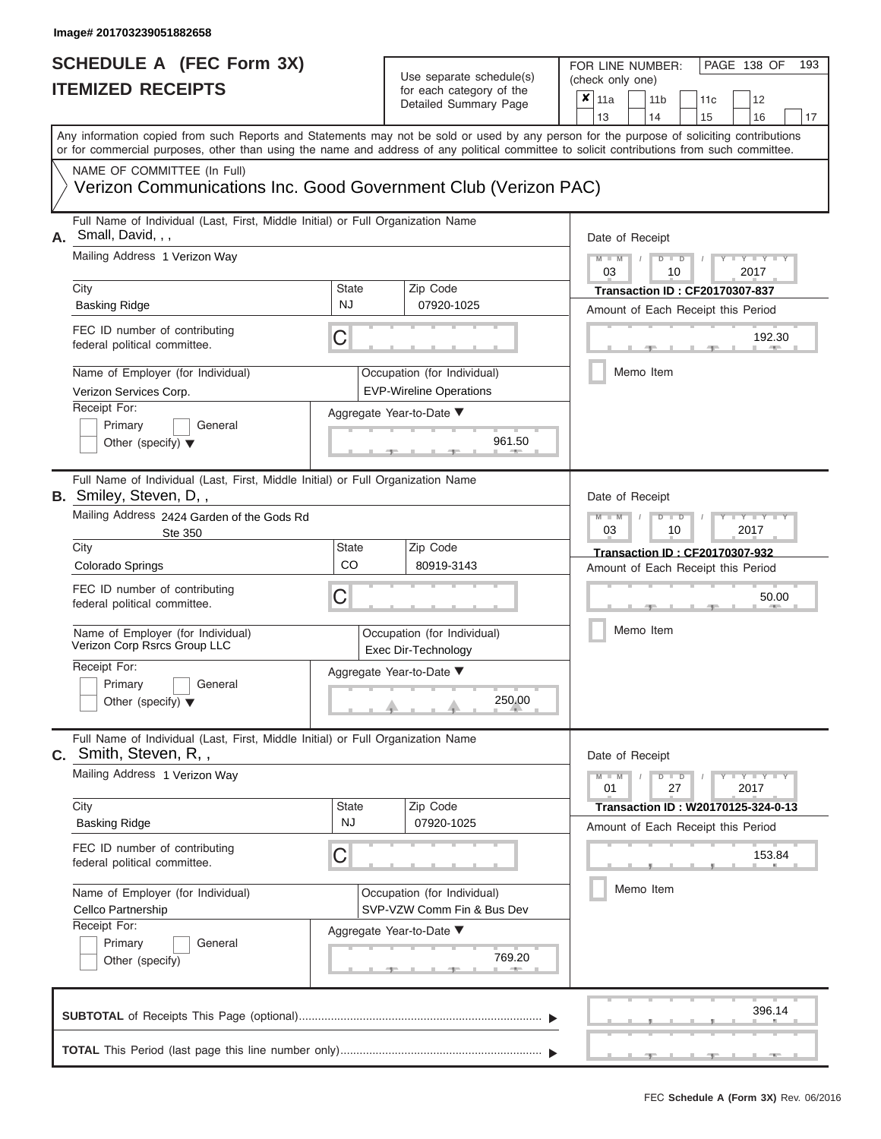FOR LINE NUMBER:<br>(check only one)

PAGE 138 OF 193

| IIEMIZEV REVEIPIJ |                                                                                                                                                                                                                                                                                         |                                                    | for each category of the                                      | $\pmb{\times}$                                                | 11a                                         |           | 11 <sub>b</sub>      | 11c                                |  | 12                  |    |  |  |  |  |
|-------------------|-----------------------------------------------------------------------------------------------------------------------------------------------------------------------------------------------------------------------------------------------------------------------------------------|----------------------------------------------------|---------------------------------------------------------------|---------------------------------------------------------------|---------------------------------------------|-----------|----------------------|------------------------------------|--|---------------------|----|--|--|--|--|
|                   |                                                                                                                                                                                                                                                                                         |                                                    | Detailed Summary Page                                         |                                                               | 13                                          |           | 14                   | 15                                 |  | 16                  | 17 |  |  |  |  |
|                   | Any information copied from such Reports and Statements may not be sold or used by any person for the purpose of soliciting contributions<br>or for commercial purposes, other than using the name and address of any political committee to solicit contributions from such committee. |                                                    |                                                               |                                                               |                                             |           |                      |                                    |  |                     |    |  |  |  |  |
|                   | NAME OF COMMITTEE (In Full)                                                                                                                                                                                                                                                             |                                                    |                                                               |                                                               |                                             |           |                      |                                    |  |                     |    |  |  |  |  |
|                   | Verizon Communications Inc. Good Government Club (Verizon PAC)                                                                                                                                                                                                                          |                                                    |                                                               |                                                               |                                             |           |                      |                                    |  |                     |    |  |  |  |  |
| А.                | Full Name of Individual (Last, First, Middle Initial) or Full Organization Name<br>Small, David, , ,                                                                                                                                                                                    |                                                    |                                                               |                                                               | Date of Receipt                             |           |                      |                                    |  |                     |    |  |  |  |  |
|                   | Mailing Address 1 Verizon Way                                                                                                                                                                                                                                                           |                                                    |                                                               | $M - M$<br>$D$ $\Box$ $D$<br>$Y = Y +$<br>03<br>2017<br>10    |                                             |           |                      |                                    |  |                     |    |  |  |  |  |
|                   | City                                                                                                                                                                                                                                                                                    | State                                              | Zip Code                                                      | <b>Transaction ID: CF20170307-837</b>                         |                                             |           |                      |                                    |  |                     |    |  |  |  |  |
|                   | <b>Basking Ridge</b>                                                                                                                                                                                                                                                                    | <b>NJ</b>                                          | 07920-1025                                                    |                                                               |                                             |           |                      | Amount of Each Receipt this Period |  |                     |    |  |  |  |  |
|                   | FEC ID number of contributing<br>federal political committee.                                                                                                                                                                                                                           | C                                                  |                                                               |                                                               |                                             |           |                      |                                    |  | 192.30              |    |  |  |  |  |
|                   | Name of Employer (for Individual)<br>Verizon Services Corp.                                                                                                                                                                                                                             |                                                    | Occupation (for Individual)<br><b>EVP-Wireline Operations</b> |                                                               |                                             |           | Memo Item            |                                    |  |                     |    |  |  |  |  |
|                   | Receipt For:                                                                                                                                                                                                                                                                            |                                                    | Aggregate Year-to-Date ▼                                      |                                                               |                                             |           |                      |                                    |  |                     |    |  |  |  |  |
|                   | Primary<br>General<br>Other (specify) $\blacktriangledown$                                                                                                                                                                                                                              |                                                    | 961.50                                                        |                                                               |                                             |           |                      |                                    |  |                     |    |  |  |  |  |
|                   | Full Name of Individual (Last, First, Middle Initial) or Full Organization Name<br><b>B.</b> Smiley, Steven, D,,                                                                                                                                                                        |                                                    |                                                               |                                                               | Date of Receipt                             |           |                      |                                    |  |                     |    |  |  |  |  |
|                   | Mailing Address 2424 Garden of the Gods Rd<br>Ste 350                                                                                                                                                                                                                                   |                                                    |                                                               | $M - M$<br>$D$ $D$<br>$T - Y - T - Y - T$<br>03<br>2017<br>10 |                                             |           |                      |                                    |  |                     |    |  |  |  |  |
|                   | City                                                                                                                                                                                                                                                                                    | State                                              | Zip Code                                                      |                                                               | <b>Transaction ID: CF20170307-932</b>       |           |                      |                                    |  |                     |    |  |  |  |  |
|                   | Colorado Springs                                                                                                                                                                                                                                                                        | CO                                                 | 80919-3143                                                    |                                                               | Amount of Each Receipt this Period<br>50.00 |           |                      |                                    |  |                     |    |  |  |  |  |
|                   | FEC ID number of contributing<br>federal political committee.                                                                                                                                                                                                                           | C                                                  |                                                               |                                                               |                                             |           |                      |                                    |  |                     |    |  |  |  |  |
|                   | Name of Employer (for Individual)<br>Verizon Corp Rsrcs Group LLC                                                                                                                                                                                                                       | Occupation (for Individual)<br>Exec Dir-Technology |                                                               |                                                               |                                             | Memo Item |                      |                                    |  |                     |    |  |  |  |  |
|                   | Receipt For:<br>Primary<br>General<br>Other (specify) $\blacktriangledown$                                                                                                                                                                                                              |                                                    | Aggregate Year-to-Date ▼<br>250.00                            |                                                               |                                             |           |                      |                                    |  |                     |    |  |  |  |  |
|                   | Full Name of Individual (Last, First, Middle Initial) or Full Organization Name<br>C. Smith, Steven, R,,                                                                                                                                                                                |                                                    |                                                               |                                                               | Date of Receipt                             |           |                      |                                    |  |                     |    |  |  |  |  |
|                   | Mailing Address 1 Verizon Way                                                                                                                                                                                                                                                           |                                                    |                                                               |                                                               | $M - M$<br>01                               |           | $D$ $\Box$ $D$<br>27 |                                    |  | $Y = Y = Y$<br>2017 |    |  |  |  |  |
|                   | City                                                                                                                                                                                                                                                                                    | <b>State</b>                                       | Zip Code                                                      |                                                               |                                             |           |                      | Transaction ID: W20170125-324-0-13 |  |                     |    |  |  |  |  |
|                   | <b>Basking Ridge</b>                                                                                                                                                                                                                                                                    | NJ                                                 | 07920-1025                                                    |                                                               |                                             |           |                      | Amount of Each Receipt this Period |  |                     |    |  |  |  |  |
|                   | FEC ID number of contributing<br>federal political committee.                                                                                                                                                                                                                           | C                                                  |                                                               |                                                               |                                             |           |                      |                                    |  | 153.84<br>. .       |    |  |  |  |  |
|                   | Name of Employer (for Individual)                                                                                                                                                                                                                                                       |                                                    | Occupation (for Individual)                                   |                                                               |                                             |           | Memo Item            |                                    |  |                     |    |  |  |  |  |
|                   | Cellco Partnership                                                                                                                                                                                                                                                                      |                                                    | SVP-VZW Comm Fin & Bus Dev                                    |                                                               |                                             |           |                      |                                    |  |                     |    |  |  |  |  |
|                   | Receipt For:                                                                                                                                                                                                                                                                            |                                                    | Aggregate Year-to-Date ▼                                      |                                                               |                                             |           |                      |                                    |  |                     |    |  |  |  |  |
|                   | General<br>Primary<br>Other (specify)                                                                                                                                                                                                                                                   |                                                    | 769.20<br><b>AND</b>                                          |                                                               |                                             |           |                      |                                    |  |                     |    |  |  |  |  |
|                   |                                                                                                                                                                                                                                                                                         |                                                    |                                                               |                                                               |                                             |           |                      |                                    |  | 396.14              |    |  |  |  |  |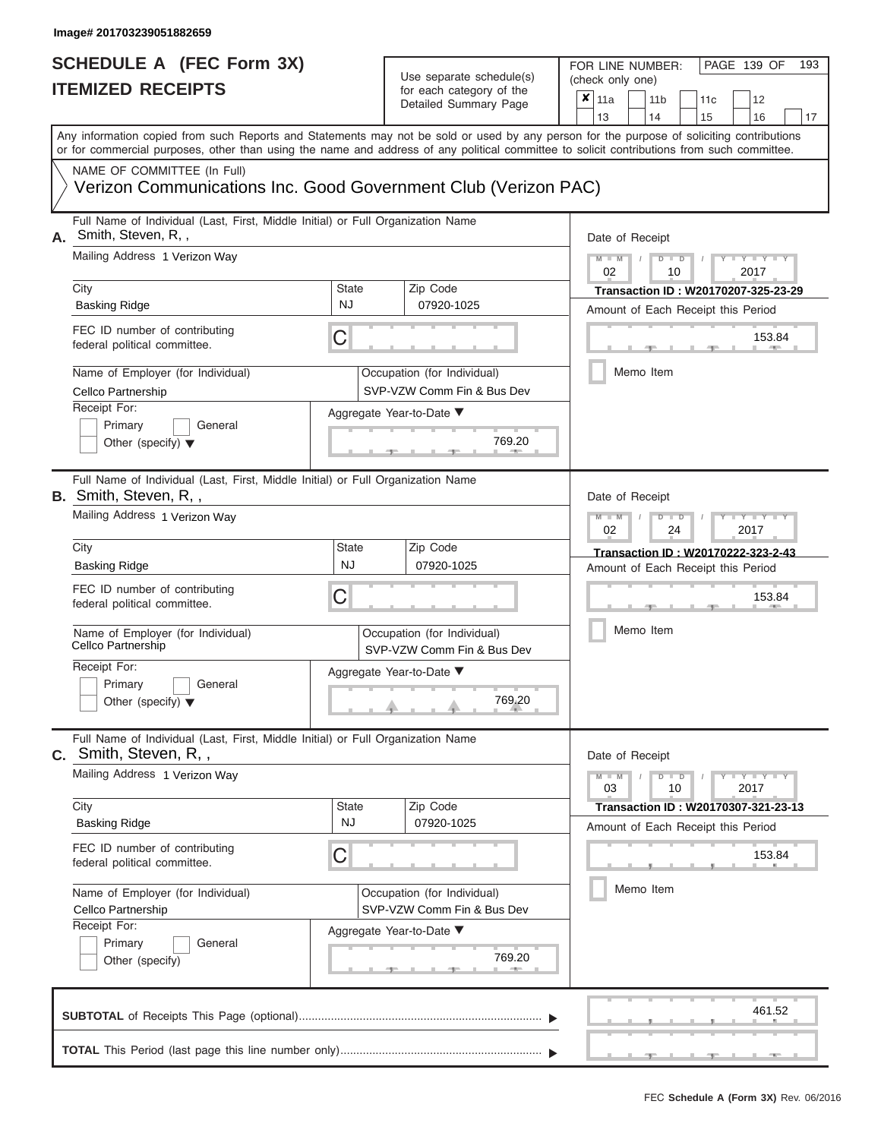FOR LINE NUMBER:<br>(check only one)

PAGE 139 OF 193

| <u>IIEMIZED REVEIFIJ</u>                                                                                                                                                                                                                                                                |                           | for each category of the                                  | ×<br>11a                                                     | 11 <sub>b</sub>                                                           | 11c | 12                          |    |  |  |  |  |  |  |
|-----------------------------------------------------------------------------------------------------------------------------------------------------------------------------------------------------------------------------------------------------------------------------------------|---------------------------|-----------------------------------------------------------|--------------------------------------------------------------|---------------------------------------------------------------------------|-----|-----------------------------|----|--|--|--|--|--|--|
|                                                                                                                                                                                                                                                                                         |                           | Detailed Summary Page                                     | 13                                                           | 14                                                                        | 15  | 16                          | 17 |  |  |  |  |  |  |
| Any information copied from such Reports and Statements may not be sold or used by any person for the purpose of soliciting contributions<br>or for commercial purposes, other than using the name and address of any political committee to solicit contributions from such committee. |                           |                                                           |                                                              |                                                                           |     |                             |    |  |  |  |  |  |  |
| NAME OF COMMITTEE (In Full)<br>Verizon Communications Inc. Good Government Club (Verizon PAC)                                                                                                                                                                                           |                           |                                                           |                                                              |                                                                           |     |                             |    |  |  |  |  |  |  |
| Full Name of Individual (Last, First, Middle Initial) or Full Organization Name<br>Smith, Steven, R,,<br>А.                                                                                                                                                                             |                           |                                                           |                                                              | Date of Receipt                                                           |     |                             |    |  |  |  |  |  |  |
| Mailing Address 1 Verizon Way                                                                                                                                                                                                                                                           |                           |                                                           | $M - M$<br>$D$ $\Box$ $D$<br>$Y - Y - Y$<br>02<br>10<br>2017 |                                                                           |     |                             |    |  |  |  |  |  |  |
| City<br><b>Basking Ridge</b>                                                                                                                                                                                                                                                            | <b>State</b><br><b>NJ</b> | Zip Code<br>07920-1025                                    |                                                              | Transaction ID: W20170207-325-23-29<br>Amount of Each Receipt this Period |     |                             |    |  |  |  |  |  |  |
| FEC ID number of contributing<br>federal political committee.                                                                                                                                                                                                                           | C                         |                                                           |                                                              |                                                                           |     | 153.84                      |    |  |  |  |  |  |  |
| Name of Employer (for Individual)<br>Cellco Partnership                                                                                                                                                                                                                                 |                           | Occupation (for Individual)<br>SVP-VZW Comm Fin & Bus Dev |                                                              | Memo Item                                                                 |     |                             |    |  |  |  |  |  |  |
| Receipt For:<br>Primary<br>General<br>Other (specify) $\blacktriangledown$                                                                                                                                                                                                              |                           | Aggregate Year-to-Date ▼<br>769.20                        |                                                              |                                                                           |     |                             |    |  |  |  |  |  |  |
| Full Name of Individual (Last, First, Middle Initial) or Full Organization Name<br><b>B.</b> Smith, Steven, R,,                                                                                                                                                                         |                           |                                                           | Date of Receipt                                              |                                                                           |     |                             |    |  |  |  |  |  |  |
| Mailing Address 1 Verizon Way                                                                                                                                                                                                                                                           |                           |                                                           | $M - M$<br>02                                                | $D$ $D$<br>24                                                             |     | Y I Y I<br>2017             |    |  |  |  |  |  |  |
| City<br><b>Basking Ridge</b>                                                                                                                                                                                                                                                            | <b>State</b><br>NJ        | Zip Code<br>07920-1025                                    |                                                              | Transaction ID: W20170222-323-2-43<br>Amount of Each Receipt this Period  |     |                             |    |  |  |  |  |  |  |
| FEC ID number of contributing<br>federal political committee.                                                                                                                                                                                                                           | C                         |                                                           |                                                              | 153.84                                                                    |     |                             |    |  |  |  |  |  |  |
| Name of Employer (for Individual)<br>Cellco Partnership                                                                                                                                                                                                                                 |                           | Occupation (for Individual)<br>SVP-VZW Comm Fin & Bus Dev |                                                              | Memo Item                                                                 |     |                             |    |  |  |  |  |  |  |
| Receipt For:<br>Primary<br>General<br>Other (specify) $\blacktriangledown$                                                                                                                                                                                                              |                           | Aggregate Year-to-Date ▼<br>769.20                        |                                                              |                                                                           |     |                             |    |  |  |  |  |  |  |
| Full Name of Individual (Last, First, Middle Initial) or Full Organization Name<br><b>C.</b> Smith, Steven, R,,                                                                                                                                                                         |                           |                                                           | Date of Receipt                                              |                                                                           |     |                             |    |  |  |  |  |  |  |
| Mailing Address 1 Verizon Way                                                                                                                                                                                                                                                           |                           |                                                           | $M - M$<br>03                                                | $D$ $\Box$ $D$<br>10                                                      |     | $Y - Y - Y - Y - Y$<br>2017 |    |  |  |  |  |  |  |
| City<br><b>Basking Ridge</b>                                                                                                                                                                                                                                                            | <b>State</b><br>NJ        | Zip Code<br>07920-1025                                    |                                                              | Transaction ID: W20170307-321-23-13<br>Amount of Each Receipt this Period |     |                             |    |  |  |  |  |  |  |
| FEC ID number of contributing<br>federal political committee.                                                                                                                                                                                                                           | C                         |                                                           |                                                              |                                                                           |     | 153.84                      |    |  |  |  |  |  |  |
| Name of Employer (for Individual)<br>Cellco Partnership                                                                                                                                                                                                                                 |                           | Occupation (for Individual)<br>SVP-VZW Comm Fin & Bus Dev |                                                              | Memo Item                                                                 |     |                             |    |  |  |  |  |  |  |
| Receipt For:<br>Primary<br>General<br>Other (specify)                                                                                                                                                                                                                                   |                           | Aggregate Year-to-Date ▼<br>769.20<br>$-$                 |                                                              |                                                                           |     |                             |    |  |  |  |  |  |  |
|                                                                                                                                                                                                                                                                                         |                           |                                                           |                                                              |                                                                           |     | 461.52                      |    |  |  |  |  |  |  |
|                                                                                                                                                                                                                                                                                         |                           |                                                           |                                                              |                                                                           |     |                             |    |  |  |  |  |  |  |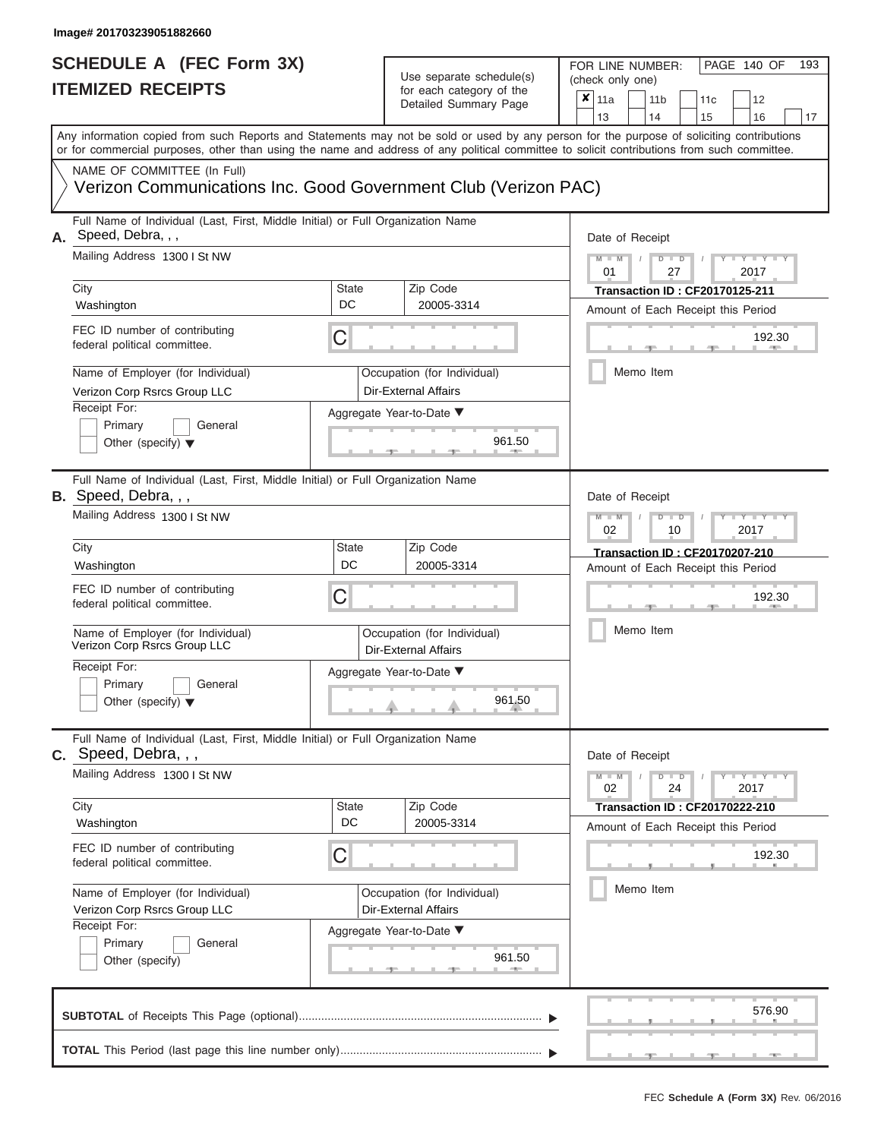# **SCHEDULE A (FEC Form 3X)**

| SCHEDULE A (FEC Form 3X)<br><b>ITEMIZED RECEIPTS</b>                                                                                                                                                                                                                                                                                                                                     |                         | Use separate schedule(s)<br>for each category of the<br>Detailed Summary Page                                              | 193<br>FOR LINE NUMBER:<br>PAGE 140 OF<br>(check only one)<br>$\boldsymbol{x}$<br>11a<br>11 <sub>b</sub><br>11 <sub>c</sub><br>12<br>13<br>14                                          |
|------------------------------------------------------------------------------------------------------------------------------------------------------------------------------------------------------------------------------------------------------------------------------------------------------------------------------------------------------------------------------------------|-------------------------|----------------------------------------------------------------------------------------------------------------------------|----------------------------------------------------------------------------------------------------------------------------------------------------------------------------------------|
| Any information copied from such Reports and Statements may not be sold or used by any person for the purpose of soliciting contributions<br>or for commercial purposes, other than using the name and address of any political committee to solicit contributions from such committee.<br>NAME OF COMMITTEE (In Full)                                                                   |                         |                                                                                                                            | 15<br>16<br>17                                                                                                                                                                         |
| Verizon Communications Inc. Good Government Club (Verizon PAC)                                                                                                                                                                                                                                                                                                                           |                         |                                                                                                                            |                                                                                                                                                                                        |
| Full Name of Individual (Last, First, Middle Initial) or Full Organization Name<br>A. Speed, Debra, , ,<br>Mailing Address 1300 I St NW<br>City<br>Washington<br>FEC ID number of contributing<br>federal political committee.<br>Name of Employer (for Individual)<br>Verizon Corp Rsrcs Group LLC                                                                                      | <b>State</b><br>DC<br>С | Zip Code<br>20005-3314<br>Occupation (for Individual)<br><b>Dir-External Affairs</b>                                       | Date of Receipt<br>$M - M$ /<br>Y I Y I<br>$D$ $D$<br>01<br>2017<br>27<br>Transaction ID: CF20170125-211<br>Amount of Each Receipt this Period<br>192.30<br><b>AND IN</b><br>Memo Item |
| Receipt For:<br>Primary<br>General<br>Other (specify) $\blacktriangledown$                                                                                                                                                                                                                                                                                                               |                         | Aggregate Year-to-Date ▼<br>961.50                                                                                         |                                                                                                                                                                                        |
| Full Name of Individual (Last, First, Middle Initial) or Full Organization Name<br><b>B.</b> Speed, Debra, , ,<br>Mailing Address 1300 I St NW<br>City<br>Washington<br>FEC ID number of contributing<br>federal political committee.<br>Name of Employer (for Individual)<br>Verizon Corp Rsrcs Group LLC<br>Receipt For:<br>Primary<br>General<br>Other (specify) $\blacktriangledown$ | State<br>DC<br>С        | Zip Code<br>20005-3314<br>Occupation (for Individual)<br><b>Dir-External Affairs</b><br>Aggregate Year-to-Date ▼<br>961.50 | Date of Receipt<br>$M - M$<br>Y TYT<br>$D$ $D$<br>02<br>2017<br>10<br>Transaction ID: CF20170207-210<br>Amount of Each Receipt this Period<br>192.30<br>Memo Item                      |
| Full Name of Individual (Last, First, Middle Initial) or Full Organization Name<br>$c.$ Speed, Debra, , ,<br>Mailing Address 1300 I St NW<br>City                                                                                                                                                                                                                                        | <b>State</b>            | Zip Code                                                                                                                   | Date of Receipt<br>$M - M$<br>$D$ $D$<br>$T - Y - T - Y - T - Y$<br>02<br>24<br>2017<br><b>Transaction ID: CF20170222-210</b>                                                          |
| Washington<br>FEC ID number of contributing<br>federal political committee.                                                                                                                                                                                                                                                                                                              | DC<br>С                 | 20005-3314                                                                                                                 | Amount of Each Receipt this Period<br>192.30                                                                                                                                           |
| Name of Employer (for Individual)<br>Verizon Corp Rsrcs Group LLC<br>Receipt For:<br>Primary<br>General<br>Other (specify)                                                                                                                                                                                                                                                               |                         | Occupation (for Individual)<br><b>Dir-External Affairs</b><br>Aggregate Year-to-Date ▼<br>961.50                           | Memo Item                                                                                                                                                                              |
|                                                                                                                                                                                                                                                                                                                                                                                          |                         |                                                                                                                            | 576.90<br>$-1$                                                                                                                                                                         |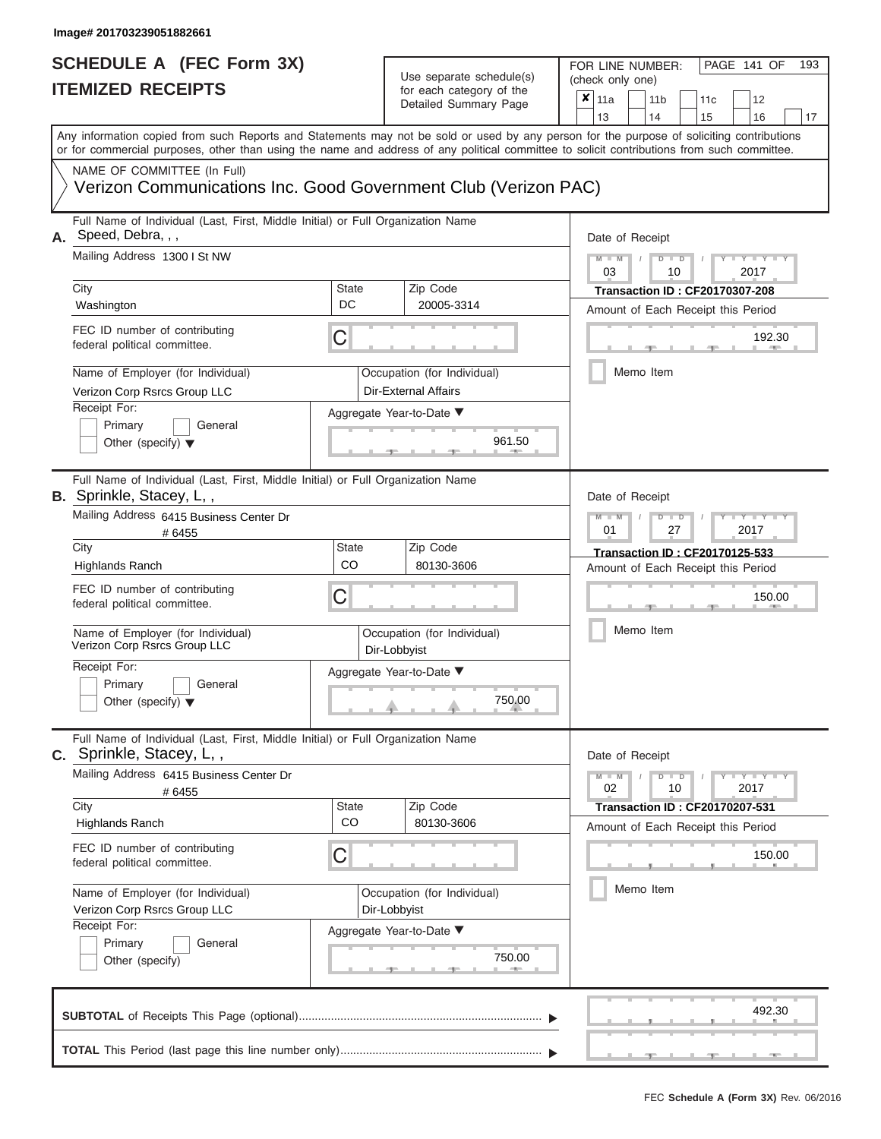## Use separate schedule(s)

| SCHEDULE A (FEC Form 3X)<br><b>ITEMIZED RECEIPTS</b>                                                                                                          |              | Use separate schedule(s)<br>for each category of the<br>Detailed Summary Page | 193<br>FOR LINE NUMBER:<br>PAGE 141 OF<br>(check only one)<br>$\overline{\mathbf{x}}$   11a<br>11 <sub>b</sub><br>12<br>11c                                                                                                                                                                                           |
|---------------------------------------------------------------------------------------------------------------------------------------------------------------|--------------|-------------------------------------------------------------------------------|-----------------------------------------------------------------------------------------------------------------------------------------------------------------------------------------------------------------------------------------------------------------------------------------------------------------------|
|                                                                                                                                                               |              |                                                                               | 13<br>14<br>15<br>16<br>17<br>Any information copied from such Reports and Statements may not be sold or used by any person for the purpose of soliciting contributions<br>or for commercial purposes, other than using the name and address of any political committee to solicit contributions from such committee. |
| NAME OF COMMITTEE (In Full)<br>Verizon Communications Inc. Good Government Club (Verizon PAC)                                                                 |              |                                                                               |                                                                                                                                                                                                                                                                                                                       |
| Full Name of Individual (Last, First, Middle Initial) or Full Organization Name<br>A. Speed, Debra, , ,<br>Mailing Address 1300 I St NW                       |              |                                                                               | Date of Receipt<br>$M = M$ /<br>$D$ $D$<br>$Y - Y - T$<br>03<br>2017<br>10                                                                                                                                                                                                                                            |
| City<br>Washington                                                                                                                                            | State<br>DC. | Zip Code<br>20005-3314                                                        | <b>Transaction ID: CF20170307-208</b><br>Amount of Each Receipt this Period                                                                                                                                                                                                                                           |
| FEC ID number of contributing<br>federal political committee.                                                                                                 | С            |                                                                               | 192.30<br><b>CONTRACTOR</b>                                                                                                                                                                                                                                                                                           |
| Name of Employer (for Individual)<br>Verizon Corp Rsrcs Group LLC                                                                                             |              | Occupation (for Individual)<br><b>Dir-External Affairs</b>                    | Memo Item                                                                                                                                                                                                                                                                                                             |
| Receipt For:<br>Primary<br>General<br>Other (specify) $\blacktriangledown$                                                                                    |              | Aggregate Year-to-Date ▼<br>961.50                                            |                                                                                                                                                                                                                                                                                                                       |
| Full Name of Individual (Last, First, Middle Initial) or Full Organization Name<br><b>B.</b> Sprinkle, Stacey, L,,<br>Mailing Address 6415 Business Center Dr |              |                                                                               | Date of Receipt<br>$M - M$<br>$D$ $\Box$ $D$<br>Y TY<br>01<br>2017<br>27                                                                                                                                                                                                                                              |
| # 6455<br>City<br><b>Highlands Ranch</b>                                                                                                                      | State<br>CO  | Zip Code<br>80130-3606                                                        | Transaction ID: CF20170125-533<br>Amount of Each Receipt this Period                                                                                                                                                                                                                                                  |
| FEC ID number of contributing<br>federal political committee.                                                                                                 | С            |                                                                               | 150.00                                                                                                                                                                                                                                                                                                                |
| Name of Employer (for Individual)<br>Verizon Corp Rsrcs Group LLC                                                                                             |              | Occupation (for Individual)<br>Dir-Lobbyist                                   | Memo Item                                                                                                                                                                                                                                                                                                             |
| Receipt For:<br>Primary<br>General<br>Other (specify) $\blacktriangledown$                                                                                    |              | Aggregate Year-to-Date ▼<br>750.00                                            |                                                                                                                                                                                                                                                                                                                       |
| Full Name of Individual (Last, First, Middle Initial) or Full Organization Name<br>C. Sprinkle, Stacey, L,,                                                   |              |                                                                               | Date of Receipt                                                                                                                                                                                                                                                                                                       |
| Mailing Address 6415 Business Center Dr<br># 6455<br>City                                                                                                     | <b>State</b> | Zip Code                                                                      | $M - M$<br>$D$ $D$<br>$T - Y = T - Y$<br>02<br>10<br>2017                                                                                                                                                                                                                                                             |
| <b>Highlands Ranch</b>                                                                                                                                        | CO           | 80130-3606                                                                    | <b>Transaction ID: CF20170207-531</b><br>Amount of Each Receipt this Period                                                                                                                                                                                                                                           |
| FEC ID number of contributing<br>federal political committee.                                                                                                 | С            |                                                                               | 150.00                                                                                                                                                                                                                                                                                                                |
| Name of Employer (for Individual)<br>Verizon Corp Rsrcs Group LLC                                                                                             |              | Occupation (for Individual)<br>Dir-Lobbyist                                   | Memo Item                                                                                                                                                                                                                                                                                                             |
| Receipt For:<br>Primary<br>General<br>Other (specify)                                                                                                         |              | Aggregate Year-to-Date ▼<br>750.00                                            |                                                                                                                                                                                                                                                                                                                       |
|                                                                                                                                                               |              |                                                                               | 492.30                                                                                                                                                                                                                                                                                                                |
|                                                                                                                                                               |              |                                                                               |                                                                                                                                                                                                                                                                                                                       |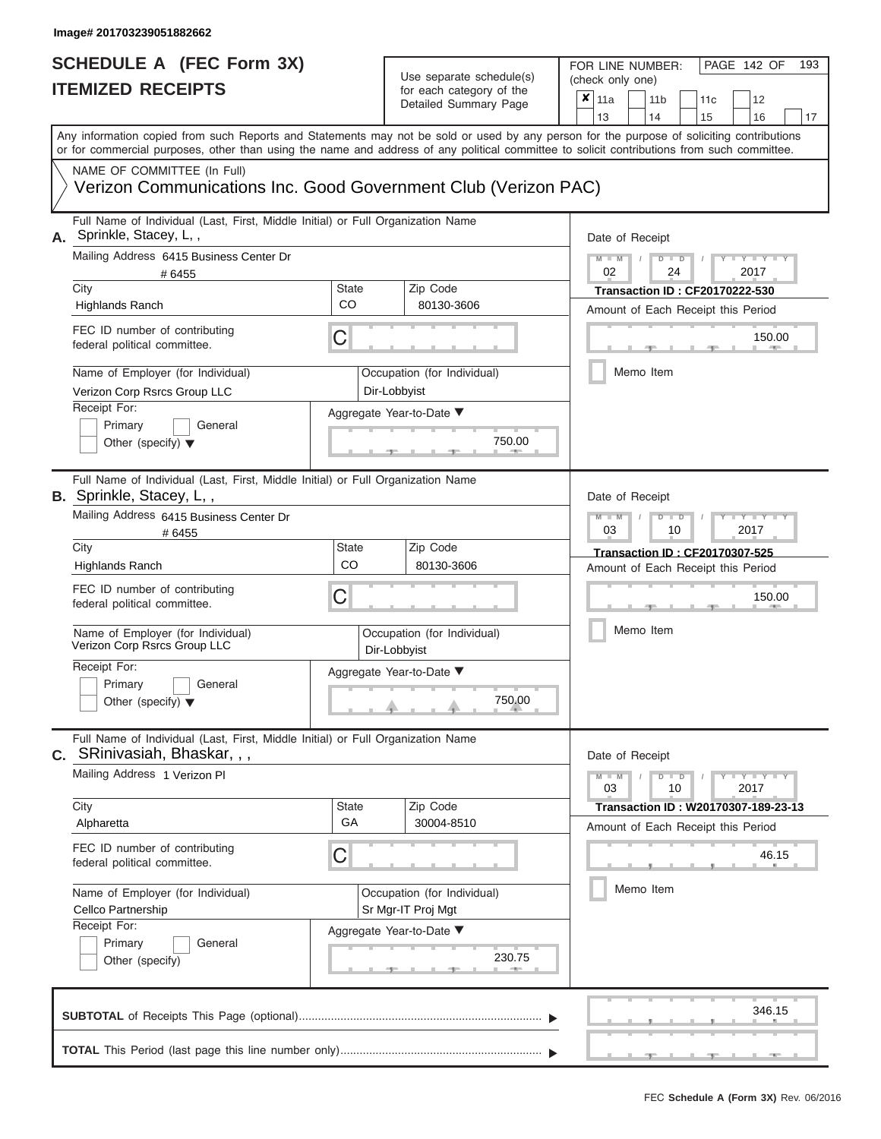# **SCHEDULE A (FEC Form 3X)**

| SCHEDULE A (FEC Form 3X)<br><b>ITEMIZED RECEIPTS</b>                                                                                                                                                                                                                                                                                                                                                                          |                         | Use separate schedule(s)<br>for each category of the<br>Detailed Summary Page                                     | 193<br>FOR LINE NUMBER:<br>PAGE 142 OF<br>(check only one)<br>$\overline{\mathbf{x}}$   11a<br>11 <sub>b</sub><br>11 <sub>c</sub><br>12                                                                       |
|-------------------------------------------------------------------------------------------------------------------------------------------------------------------------------------------------------------------------------------------------------------------------------------------------------------------------------------------------------------------------------------------------------------------------------|-------------------------|-------------------------------------------------------------------------------------------------------------------|---------------------------------------------------------------------------------------------------------------------------------------------------------------------------------------------------------------|
| Any information copied from such Reports and Statements may not be sold or used by any person for the purpose of soliciting contributions<br>or for commercial purposes, other than using the name and address of any political committee to solicit contributions from such committee.                                                                                                                                       |                         |                                                                                                                   | 13<br>14<br>15<br>16<br>17                                                                                                                                                                                    |
| NAME OF COMMITTEE (In Full)<br>Verizon Communications Inc. Good Government Club (Verizon PAC)                                                                                                                                                                                                                                                                                                                                 |                         |                                                                                                                   |                                                                                                                                                                                                               |
| Full Name of Individual (Last, First, Middle Initial) or Full Organization Name<br>Sprinkle, Stacey, L,,<br>А.<br>Mailing Address 6415 Business Center Dr<br># 6455<br>City<br><b>Highlands Ranch</b><br>FEC ID number of contributing<br>federal political committee.<br>Name of Employer (for Individual)<br>Verizon Corp Rsrcs Group LLC<br>Receipt For:<br>Primary<br>General<br>Other (specify) $\blacktriangledown$     | State<br><b>CO</b><br>C | Zip Code<br>80130-3606<br>Occupation (for Individual)<br>Dir-Lobbyist<br>Aggregate Year-to-Date ▼<br>750.00       | Date of Receipt<br>$M - M$<br>$D$ $D$<br>$Y - Y - I$<br>$\sqrt{2}$<br>02<br>24<br>2017<br><b>Transaction ID: CF20170222-530</b><br>Amount of Each Receipt this Period<br>150.00<br><b>1. 400</b><br>Memo Item |
| Full Name of Individual (Last, First, Middle Initial) or Full Organization Name<br><b>B.</b> Sprinkle, Stacey, L,,<br>Mailing Address 6415 Business Center Dr<br># 6455<br>City<br><b>Highlands Ranch</b><br>FEC ID number of contributing<br>federal political committee.<br>Name of Employer (for Individual)<br>Verizon Corp Rsrcs Group LLC<br>Receipt For:<br>Primary<br>General<br>Other (specify) $\blacktriangledown$ | <b>State</b><br>CO<br>С | Zip Code<br>80130-3606<br>Occupation (for Individual)<br>Dir-Lobbyist<br>Aggregate Year-to-Date ▼<br>750.00       | Date of Receipt<br>$M - M$<br>$D$ $\Box$ $D$<br>Y TYT<br>03<br>2017<br>10<br>Transaction ID: CF20170307-525<br>Amount of Each Receipt this Period<br>150.00<br>Memo Item                                      |
| Full Name of Individual (Last, First, Middle Initial) or Full Organization Name<br>SRinivasiah, Bhaskar, , ,<br>С.<br>Mailing Address 1 Verizon Pl<br>City<br>Alpharetta<br>FEC ID number of contributing<br>federal political committee.<br>Name of Employer (for Individual)<br>Cellco Partnership<br>Receipt For:<br>Primary<br>General<br>Other (specify)                                                                 | <b>State</b><br>GA<br>С | Zip Code<br>30004-8510<br>Occupation (for Individual)<br>Sr Mgr-IT Proj Mgt<br>Aggregate Year-to-Date ▼<br>230.75 | Date of Receipt<br>$M - M$<br>$D$ $D$<br>$T - Y - T - Y - T - Y$<br>03<br>10<br>2017<br>Transaction ID : W20170307-189-23-13<br>Amount of Each Receipt this Period<br>46.15<br>Memo Item                      |
|                                                                                                                                                                                                                                                                                                                                                                                                                               |                         |                                                                                                                   | 346.15<br>$-9$<br>$-1$                                                                                                                                                                                        |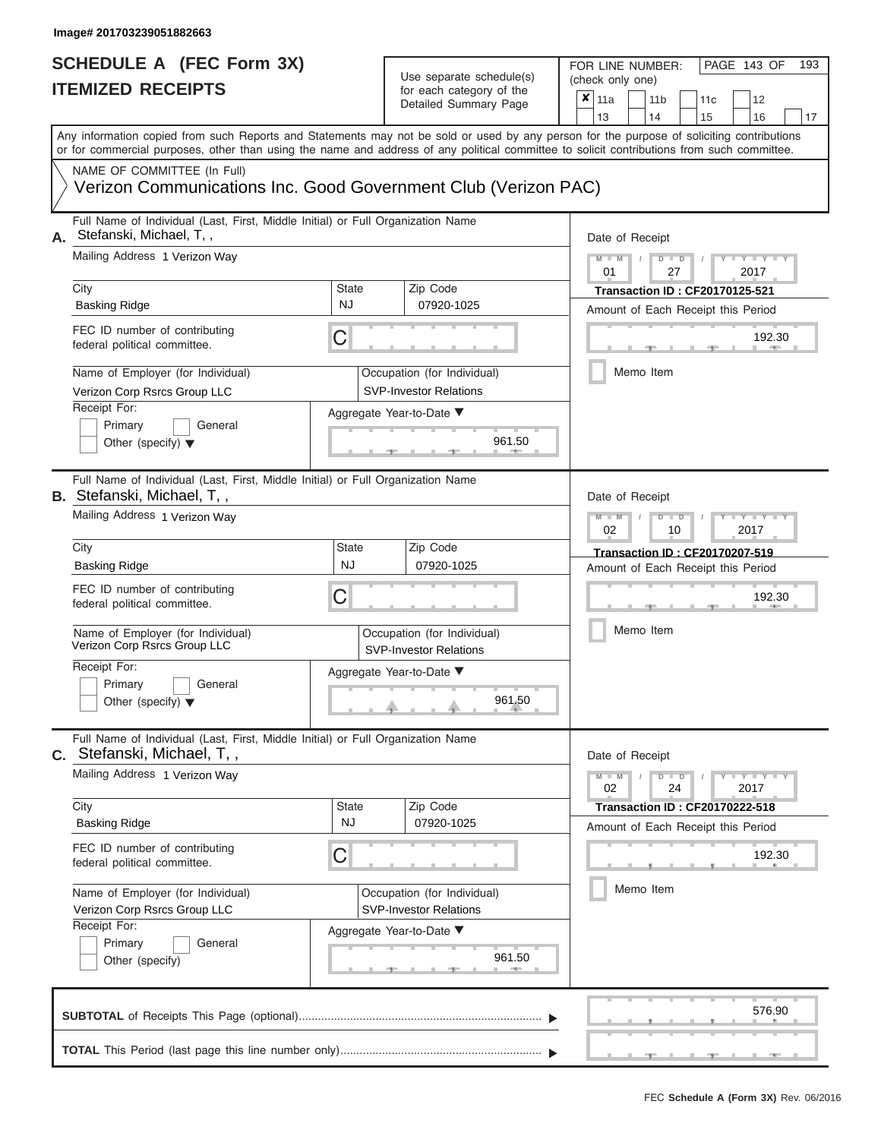### **SCHEDULE A (FEC Form 3X) ITEMIZED RECEIPTS**

## Use separate schedule(s)<br>for each category of the

FOR LINE NUMBER:<br>(check only one)

PAGE 143 OF 193

|    | IILMILLU INLVLII I                                                                                                                         |                              |  | iui cauli calcyuly ul lilic<br>Detailed Summary Page         | ×                                                                                   | 11a             |  | 11 <sub>b</sub>                    |                      | 11c                                   |  | 12                |    |  |  |  |  |
|----|--------------------------------------------------------------------------------------------------------------------------------------------|------------------------------|--|--------------------------------------------------------------|-------------------------------------------------------------------------------------|-----------------|--|------------------------------------|----------------------|---------------------------------------|--|-------------------|----|--|--|--|--|
|    | Any information copied from such Reports and Statements may not be sold or used by any person for the purpose of soliciting contributions  |                              |  |                                                              |                                                                                     | 13              |  | 14                                 |                      | 15                                    |  | 16                | 17 |  |  |  |  |
|    | or for commercial purposes, other than using the name and address of any political committee to solicit contributions from such committee. |                              |  |                                                              |                                                                                     |                 |  |                                    |                      |                                       |  |                   |    |  |  |  |  |
|    | NAME OF COMMITTEE (In Full)                                                                                                                |                              |  |                                                              |                                                                                     |                 |  |                                    |                      |                                       |  |                   |    |  |  |  |  |
|    | Verizon Communications Inc. Good Government Club (Verizon PAC)                                                                             |                              |  |                                                              |                                                                                     |                 |  |                                    |                      |                                       |  |                   |    |  |  |  |  |
| А. | Full Name of Individual (Last, First, Middle Initial) or Full Organization Name<br>Stefanski, Michael, T,,                                 | Date of Receipt              |  |                                                              |                                                                                     |                 |  |                                    |                      |                                       |  |                   |    |  |  |  |  |
|    | Mailing Address 1 Verizon Way                                                                                                              |                              |  |                                                              | $M - M$<br>$D$ $D$                                                                  |                 |  |                                    |                      |                                       |  |                   |    |  |  |  |  |
|    |                                                                                                                                            |                              |  |                                                              |                                                                                     | 01              |  |                                    | 27                   |                                       |  | 2017              |    |  |  |  |  |
|    | City                                                                                                                                       | <b>State</b>                 |  | Zip Code                                                     |                                                                                     |                 |  |                                    |                      | <b>Transaction ID: CF20170125-521</b> |  |                   |    |  |  |  |  |
|    | <b>Basking Ridge</b>                                                                                                                       | <b>NJ</b>                    |  | 07920-1025                                                   | Amount of Each Receipt this Period                                                  |                 |  |                                    |                      |                                       |  |                   |    |  |  |  |  |
|    | FEC ID number of contributing<br>federal political committee.                                                                              | C                            |  |                                                              | 192.30                                                                              |                 |  |                                    |                      |                                       |  |                   |    |  |  |  |  |
|    | Name of Employer (for Individual)                                                                                                          |                              |  | Occupation (for Individual)                                  |                                                                                     |                 |  | Memo Item                          |                      |                                       |  |                   |    |  |  |  |  |
|    | Verizon Corp Rsrcs Group LLC                                                                                                               |                              |  | <b>SVP-Investor Relations</b>                                |                                                                                     |                 |  |                                    |                      |                                       |  |                   |    |  |  |  |  |
|    | Receipt For:<br>General                                                                                                                    |                              |  | Aggregate Year-to-Date ▼                                     |                                                                                     |                 |  |                                    |                      |                                       |  |                   |    |  |  |  |  |
|    | Primary<br>Other (specify) $\blacktriangledown$                                                                                            |                              |  | 961.50                                                       |                                                                                     |                 |  |                                    |                      |                                       |  |                   |    |  |  |  |  |
|    |                                                                                                                                            |                              |  |                                                              |                                                                                     |                 |  |                                    |                      |                                       |  |                   |    |  |  |  |  |
|    | Full Name of Individual (Last, First, Middle Initial) or Full Organization Name<br><b>B.</b> Stefanski, Michael, T,,                       |                              |  |                                                              |                                                                                     |                 |  |                                    |                      |                                       |  |                   |    |  |  |  |  |
|    | Mailing Address 1 Verizon Way                                                                                                              |                              |  |                                                              | Date of Receipt<br>$M - M$<br>$\overline{\mathsf{D}}$<br>$\Box$<br>02<br>2017<br>10 |                 |  |                                    |                      |                                       |  |                   |    |  |  |  |  |
|    |                                                                                                                                            |                              |  |                                                              |                                                                                     |                 |  |                                    |                      |                                       |  |                   |    |  |  |  |  |
|    | City                                                                                                                                       | <b>State</b>                 |  | Zip Code                                                     |                                                                                     |                 |  |                                    |                      | <b>Transaction ID: CF20170207-519</b> |  |                   |    |  |  |  |  |
|    | <b>Basking Ridge</b>                                                                                                                       | <b>NJ</b><br>07920-1025<br>C |  |                                                              |                                                                                     |                 |  | Amount of Each Receipt this Period |                      |                                       |  |                   |    |  |  |  |  |
|    | FEC ID number of contributing                                                                                                              |                              |  |                                                              |                                                                                     |                 |  |                                    |                      |                                       |  | 192.30            |    |  |  |  |  |
|    | federal political committee.                                                                                                               |                              |  |                                                              |                                                                                     |                 |  |                                    |                      |                                       |  |                   |    |  |  |  |  |
|    | Name of Employer (for Individual)<br>Verizon Corp Rsrcs Group LLC                                                                          |                              |  | Occupation (for Individual)<br><b>SVP-Investor Relations</b> |                                                                                     |                 |  | Memo Item                          |                      |                                       |  |                   |    |  |  |  |  |
|    | Receipt For:                                                                                                                               |                              |  | Aggregate Year-to-Date ▼                                     |                                                                                     |                 |  |                                    |                      |                                       |  |                   |    |  |  |  |  |
|    | Primary<br>General<br>Other (specify) $\blacktriangledown$                                                                                 |                              |  | 961.50                                                       |                                                                                     |                 |  |                                    |                      |                                       |  |                   |    |  |  |  |  |
|    |                                                                                                                                            |                              |  |                                                              |                                                                                     |                 |  |                                    |                      |                                       |  |                   |    |  |  |  |  |
| С. | Full Name of Individual (Last, First, Middle Initial) or Full Organization Name<br>Stefanski, Michael, T,,                                 |                              |  |                                                              |                                                                                     | Date of Receipt |  |                                    |                      |                                       |  |                   |    |  |  |  |  |
|    | Mailing Address 1 Verizon Way                                                                                                              |                              |  |                                                              |                                                                                     | $M - M$<br>02   |  |                                    | $D$ $\Box$ $D$<br>24 |                                       |  | Y - Y - Y<br>2017 |    |  |  |  |  |
|    | City                                                                                                                                       | State                        |  | Zip Code                                                     |                                                                                     |                 |  |                                    |                      | <b>Transaction ID: CF20170222-518</b> |  |                   |    |  |  |  |  |
|    | <b>Basking Ridge</b>                                                                                                                       | <b>NJ</b>                    |  | 07920-1025                                                   |                                                                                     |                 |  |                                    |                      | Amount of Each Receipt this Period    |  |                   |    |  |  |  |  |
|    | FEC ID number of contributing<br>federal political committee.                                                                              | С                            |  |                                                              |                                                                                     |                 |  |                                    |                      |                                       |  | 192.30            |    |  |  |  |  |
|    | Name of Employer (for Individual)                                                                                                          |                              |  | Occupation (for Individual)                                  |                                                                                     |                 |  | Memo Item                          |                      |                                       |  |                   |    |  |  |  |  |
|    | Verizon Corp Rsrcs Group LLC                                                                                                               |                              |  | <b>SVP-Investor Relations</b>                                |                                                                                     |                 |  |                                    |                      |                                       |  |                   |    |  |  |  |  |
|    | Receipt For:                                                                                                                               |                              |  | Aggregate Year-to-Date ▼                                     |                                                                                     |                 |  |                                    |                      |                                       |  |                   |    |  |  |  |  |
|    | Primary<br>General<br>Other (specify)                                                                                                      |                              |  | 961.50                                                       |                                                                                     |                 |  |                                    |                      |                                       |  |                   |    |  |  |  |  |
|    |                                                                                                                                            |                              |  |                                                              |                                                                                     |                 |  |                                    |                      |                                       |  |                   |    |  |  |  |  |
|    |                                                                                                                                            |                              |  |                                                              |                                                                                     |                 |  |                                    |                      |                                       |  | 576.90            |    |  |  |  |  |
|    |                                                                                                                                            |                              |  |                                                              |                                                                                     |                 |  |                                    |                      |                                       |  |                   |    |  |  |  |  |
|    |                                                                                                                                            |                              |  |                                                              |                                                                                     |                 |  |                                    |                      |                                       |  |                   |    |  |  |  |  |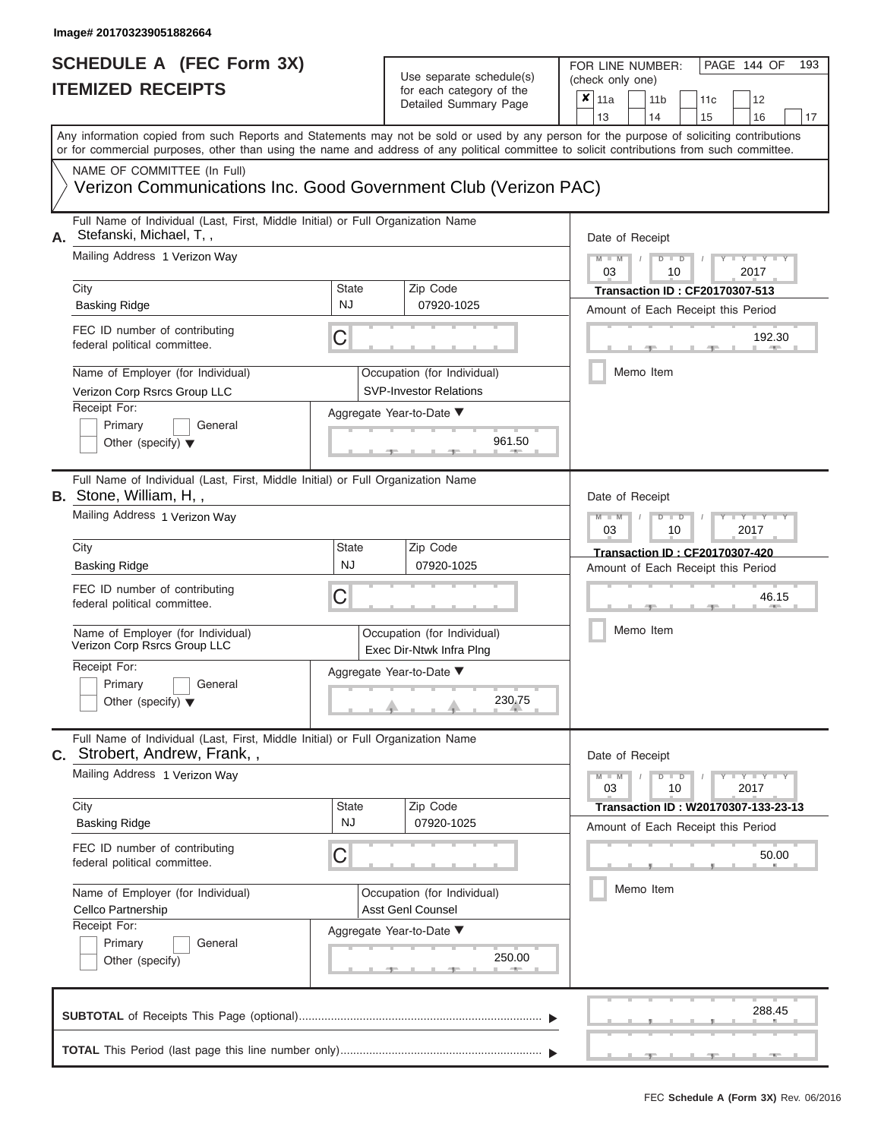# **SCHEDULE A (FEC Form 3X)**

| SCHEDULE A (FEC Form 3X)<br><b>ITEMIZED RECEIPTS</b>                                                                                                                                                                                                                                                                                                                                                  |                                | Use separate schedule(s)<br>for each category of the<br>Detailed Summary Page                                           | 193<br>FOR LINE NUMBER:<br>PAGE 144 OF<br>(check only one)<br>$\overline{\mathbf{x}}$   11a<br>11 <sub>b</sub><br>12<br>11c<br>13<br>14                                                                  |
|-------------------------------------------------------------------------------------------------------------------------------------------------------------------------------------------------------------------------------------------------------------------------------------------------------------------------------------------------------------------------------------------------------|--------------------------------|-------------------------------------------------------------------------------------------------------------------------|----------------------------------------------------------------------------------------------------------------------------------------------------------------------------------------------------------|
| Any information copied from such Reports and Statements may not be sold or used by any person for the purpose of soliciting contributions<br>or for commercial purposes, other than using the name and address of any political committee to solicit contributions from such committee.<br>NAME OF COMMITTEE (In Full)<br>Verizon Communications Inc. Good Government Club (Verizon PAC)              |                                |                                                                                                                         | 15<br>16<br>17                                                                                                                                                                                           |
| Full Name of Individual (Last, First, Middle Initial) or Full Organization Name<br>Stefanski, Michael, T,,<br>А.<br>Mailing Address 1 Verizon Way<br>City<br><b>Basking Ridge</b><br>FEC ID number of contributing<br>federal political committee.<br>Name of Employer (for Individual)                                                                                                               | <b>State</b><br><b>NJ</b><br>C | Zip Code<br>07920-1025<br>Occupation (for Individual)                                                                   | Date of Receipt<br>$M - M$<br>$D$ $D$<br>Y I Y I<br>$\sqrt{2}$<br>03<br>2017<br>10<br><b>Transaction ID: CF20170307-513</b><br>Amount of Each Receipt this Period<br>192.30<br><b>Allen</b><br>Memo Item |
| Verizon Corp Rsrcs Group LLC<br>Receipt For:<br>Primary<br>General<br>Other (specify) $\blacktriangledown$                                                                                                                                                                                                                                                                                            |                                | <b>SVP-Investor Relations</b><br>Aggregate Year-to-Date ▼<br>961.50                                                     |                                                                                                                                                                                                          |
| Full Name of Individual (Last, First, Middle Initial) or Full Organization Name<br><b>B.</b> Stone, William, H,,<br>Mailing Address 1 Verizon Way<br>City<br><b>Basking Ridge</b><br>FEC ID number of contributing<br>federal political committee.<br>Name of Employer (for Individual)<br>Verizon Corp Rsrcs Group LLC<br>Receipt For:<br>Primary<br>General<br>Other (specify) $\blacktriangledown$ | State<br><b>NJ</b><br>С        | Zip Code<br>07920-1025<br>Occupation (for Individual)<br>Exec Dir-Ntwk Infra Plng<br>Aggregate Year-to-Date ▼<br>230.75 | Date of Receipt<br>$M - M$<br>$D$ $\Box$ $D$<br>Y I Y<br>03<br>2017<br>10<br><b>Transaction ID: CF20170307-420</b><br>Amount of Each Receipt this Period<br>46.15<br>Memo Item                           |
| Full Name of Individual (Last, First, Middle Initial) or Full Organization Name<br>C. Strobert, Andrew, Frank,,<br>Mailing Address 1 Verizon Way<br>City<br><b>Basking Ridge</b><br>FEC ID number of contributing<br>federal political committee.<br>Name of Employer (for Individual)<br>Cellco Partnership<br>Receipt For:<br>Primary<br>General<br>Other (specify)                                 | State<br><b>NJ</b><br>С        | Zip Code<br>07920-1025<br>Occupation (for Individual)<br>Asst Genl Counsel<br>Aggregate Year-to-Date ▼<br>250.00        | Date of Receipt<br>$M - M$<br>$D$ $D$<br>$T - Y - T - Y - T - Y$<br>10<br>03<br>2017<br>Transaction ID: W20170307-133-23-13<br>Amount of Each Receipt this Period<br>50.00<br>Memo Item                  |
|                                                                                                                                                                                                                                                                                                                                                                                                       |                                |                                                                                                                         | 288.45                                                                                                                                                                                                   |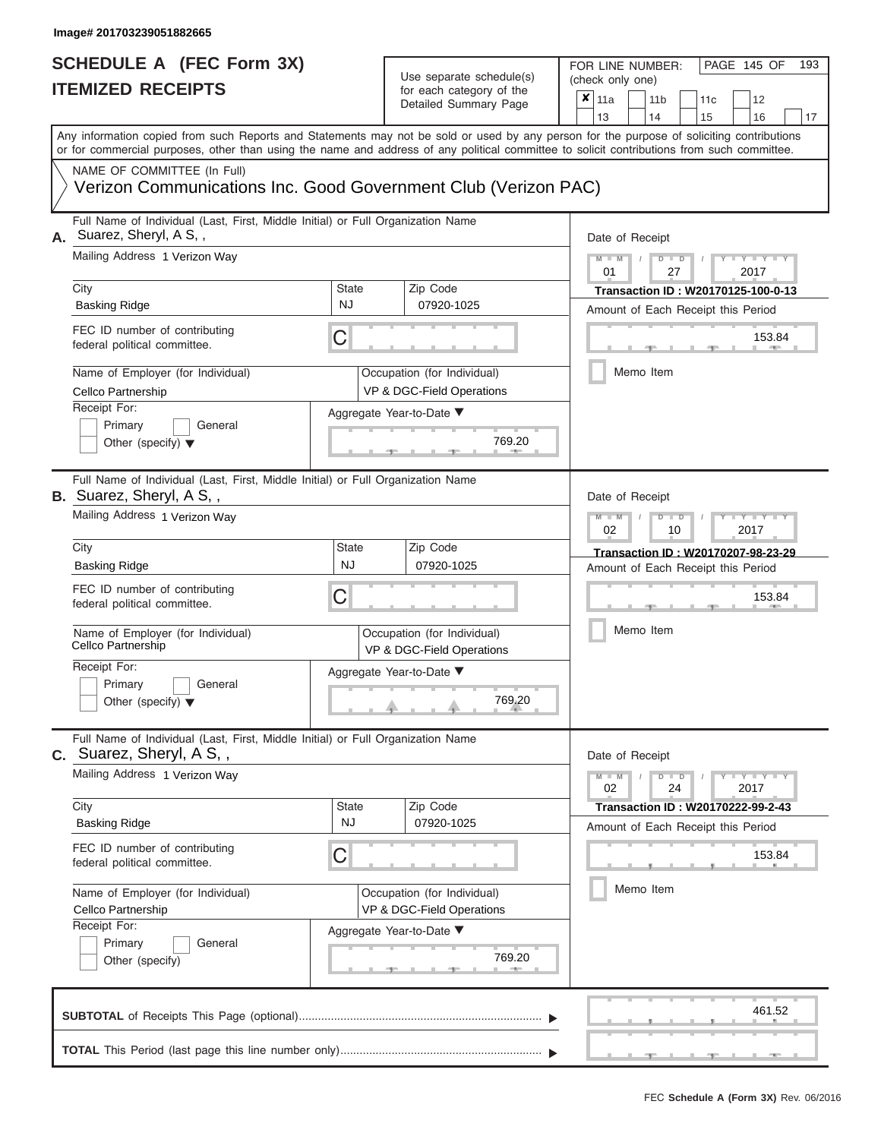### **SCHEDULE A (FEC Form 3X) ITEMIZED RECEIPTS**

## Use separate schedule(s)<br>for each category of the

FOR LINE NUMBER:<br>(check only one)

PAGE 145 OF 193

| IIEMILED REVEIFIJ                                                                                                                                                                                                                                                                       |                          | ior each category of the                                 | ×         | 11a             |  | 11 <sub>b</sub> |      | 11c                                                                      | 12                  |        |    |  |  |  |
|-----------------------------------------------------------------------------------------------------------------------------------------------------------------------------------------------------------------------------------------------------------------------------------------|--------------------------|----------------------------------------------------------|-----------|-----------------|--|-----------------|------|--------------------------------------------------------------------------|---------------------|--------|----|--|--|--|
|                                                                                                                                                                                                                                                                                         |                          | Detailed Summary Page                                    |           | 13              |  | 14              |      | 15                                                                       | 16                  |        | 17 |  |  |  |
| Any information copied from such Reports and Statements may not be sold or used by any person for the purpose of soliciting contributions<br>or for commercial purposes, other than using the name and address of any political committee to solicit contributions from such committee. |                          |                                                          |           |                 |  |                 |      |                                                                          |                     |        |    |  |  |  |
| NAME OF COMMITTEE (In Full)<br>Verizon Communications Inc. Good Government Club (Verizon PAC)                                                                                                                                                                                           |                          |                                                          |           |                 |  |                 |      |                                                                          |                     |        |    |  |  |  |
| Full Name of Individual (Last, First, Middle Initial) or Full Organization Name<br>Suarez, Sheryl, A S,,<br>А.                                                                                                                                                                          |                          |                                                          |           | Date of Receipt |  |                 |      |                                                                          |                     |        |    |  |  |  |
| Mailing Address 1 Verizon Way                                                                                                                                                                                                                                                           |                          | $M - M$<br>01                                            |           | $D$ $D$<br>27   |  |                 | 2017 | $-1$ $-1$                                                                |                     |        |    |  |  |  |
| City<br><b>Basking Ridge</b>                                                                                                                                                                                                                                                            | State<br><b>NJ</b>       | Zip Code<br>07920-1025                                   |           |                 |  |                 |      | Transaction ID: W20170125-100-0-13<br>Amount of Each Receipt this Period |                     |        |    |  |  |  |
| FEC ID number of contributing<br>federal political committee.                                                                                                                                                                                                                           | С                        |                                                          |           |                 |  |                 |      |                                                                          |                     | 153.84 |    |  |  |  |
| Name of Employer (for Individual)<br>Cellco Partnership                                                                                                                                                                                                                                 |                          | Occupation (for Individual)<br>VP & DGC-Field Operations | Memo Item |                 |  |                 |      |                                                                          |                     |        |    |  |  |  |
| Receipt For:<br>Primary<br>General<br>Other (specify) $\blacktriangledown$                                                                                                                                                                                                              | Aggregate Year-to-Date ▼ |                                                          |           |                 |  |                 |      |                                                                          |                     |        |    |  |  |  |
| Full Name of Individual (Last, First, Middle Initial) or Full Organization Name<br><b>B.</b> Suarez, Sheryl, A S,,                                                                                                                                                                      |                          |                                                          |           | Date of Receipt |  |                 |      |                                                                          |                     |        |    |  |  |  |
| Mailing Address 1 Verizon Way                                                                                                                                                                                                                                                           |                          | $M - M$<br>$\Box$<br>$T - Y$<br>ъ<br>02<br>10<br>2017    |           |                 |  |                 |      |                                                                          |                     |        |    |  |  |  |
| City<br><b>Basking Ridge</b>                                                                                                                                                                                                                                                            | State<br><b>NJ</b>       | Zip Code<br>07920-1025                                   |           |                 |  |                 |      | Transaction ID: W20170207-98-23-29<br>Amount of Each Receipt this Period |                     |        |    |  |  |  |
| FEC ID number of contributing<br>federal political committee.                                                                                                                                                                                                                           | С                        |                                                          |           |                 |  |                 |      |                                                                          |                     | 153.84 |    |  |  |  |
| Name of Employer (for Individual)<br>Cellco Partnership                                                                                                                                                                                                                                 |                          | Occupation (for Individual)<br>VP & DGC-Field Operations |           |                 |  | Memo Item       |      |                                                                          |                     |        |    |  |  |  |
| Receipt For:<br>Primary<br>General<br>Other (specify) $\blacktriangledown$                                                                                                                                                                                                              |                          | Aggregate Year-to-Date ▼<br>769.20                       |           |                 |  |                 |      |                                                                          |                     |        |    |  |  |  |
| Full Name of Individual (Last, First, Middle Initial) or Full Organization Name<br>$c.$ Suarez, Sheryl, A S,,                                                                                                                                                                           |                          |                                                          |           | Date of Receipt |  |                 |      |                                                                          |                     |        |    |  |  |  |
| Mailing Address 1 Verizon Way                                                                                                                                                                                                                                                           |                          |                                                          |           | $M - M$<br>02   |  | $D$ $D$         | 24   |                                                                          | $Y - Y - Y$<br>2017 |        |    |  |  |  |
| City<br><b>Basking Ridge</b>                                                                                                                                                                                                                                                            | State<br>NJ.             | Zip Code<br>07920-1025                                   |           |                 |  |                 |      | Transaction ID: W20170222-99-2-43<br>Amount of Each Receipt this Period  |                     |        |    |  |  |  |
| FEC ID number of contributing<br>federal political committee.                                                                                                                                                                                                                           | С                        |                                                          |           |                 |  |                 |      |                                                                          |                     | 153.84 |    |  |  |  |
| Name of Employer (for Individual)<br>Cellco Partnership                                                                                                                                                                                                                                 |                          | Occupation (for Individual)<br>VP & DGC-Field Operations |           | Memo Item       |  |                 |      |                                                                          |                     |        |    |  |  |  |
| Receipt For:<br>General<br>Primary<br>Other (specify)                                                                                                                                                                                                                                   |                          | Aggregate Year-to-Date ▼<br>769.20                       |           |                 |  |                 |      |                                                                          |                     |        |    |  |  |  |
|                                                                                                                                                                                                                                                                                         |                          |                                                          |           |                 |  |                 |      |                                                                          |                     | 461.52 |    |  |  |  |
|                                                                                                                                                                                                                                                                                         |                          |                                                          |           |                 |  |                 |      |                                                                          |                     |        |    |  |  |  |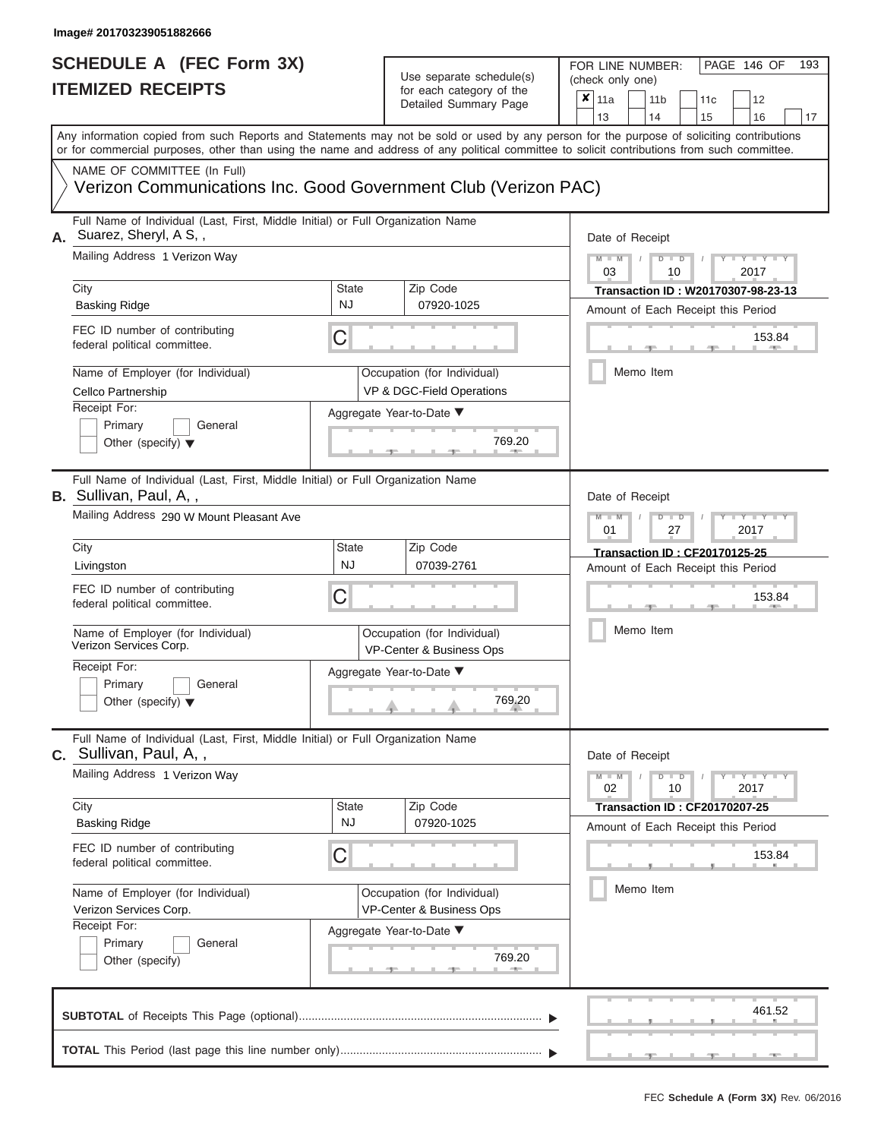| SCHEDULE A (FEC Form 3X)<br><b>ITEMIZED RECEIPTS</b>                                                                                                                                                                                                                                                                                                                                      |                         | Use separate schedule(s)<br>for each category of the<br>Detailed Summary Page                                            | 193<br>FOR LINE NUMBER:<br>PAGE 146 OF<br>(check only one)<br>$\overline{\mathbf{x}}$   11a<br>11 <sub>b</sub><br>11c<br>12                                                                                                        |
|-------------------------------------------------------------------------------------------------------------------------------------------------------------------------------------------------------------------------------------------------------------------------------------------------------------------------------------------------------------------------------------------|-------------------------|--------------------------------------------------------------------------------------------------------------------------|------------------------------------------------------------------------------------------------------------------------------------------------------------------------------------------------------------------------------------|
| Any information copied from such Reports and Statements may not be sold or used by any person for the purpose of soliciting contributions<br>or for commercial purposes, other than using the name and address of any political committee to solicit contributions from such committee.                                                                                                   |                         |                                                                                                                          | 13<br>14<br>15<br>16<br>17                                                                                                                                                                                                         |
| NAME OF COMMITTEE (In Full)<br>Verizon Communications Inc. Good Government Club (Verizon PAC)                                                                                                                                                                                                                                                                                             |                         |                                                                                                                          |                                                                                                                                                                                                                                    |
| Full Name of Individual (Last, First, Middle Initial) or Full Organization Name<br>A. Suarez, Sheryl, A S,,<br>Mailing Address 1 Verizon Way<br>City<br><b>Basking Ridge</b><br>FEC ID number of contributing<br>federal political committee.<br>Name of Employer (for Individual)<br>Cellco Partnership<br>Receipt For:<br>Primary<br>General<br>Other (specify) $\blacktriangledown$    | State<br><b>NJ</b><br>C | Zip Code<br>07920-1025<br>Occupation (for Individual)<br>VP & DGC-Field Operations<br>Aggregate Year-to-Date ▼<br>769.20 | Date of Receipt<br>$M - M$<br>$Y - Y - Y$<br>$D$ $D$<br>$\sqrt{ }$<br>03<br>2017<br>10<br>Transaction ID: W20170307-98-23-13<br>Amount of Each Receipt this Period<br>153.84<br>Memo Item                                          |
| Full Name of Individual (Last, First, Middle Initial) or Full Organization Name<br>B. Sullivan, Paul, A,,<br>Mailing Address 290 W Mount Pleasant Ave<br>City<br>Livingston<br>FEC ID number of contributing<br>federal political committee.<br>Name of Employer (for Individual)<br>Verizon Services Corp.<br>Receipt For:<br>Primary<br>General<br>Other (specify) $\blacktriangledown$ | State<br><b>NJ</b><br>С | Zip Code<br>07039-2761<br>Occupation (for Individual)<br>VP-Center & Business Ops<br>Aggregate Year-to-Date ▼<br>769.20  | Date of Receipt<br>$M - M$<br>$D$ $\Box$ $D$<br>$Y - Y$<br>01<br>2017<br>27<br><b>Transaction ID: CF20170125-25</b><br>Amount of Each Receipt this Period<br>153.84<br>Memo Item                                                   |
| Full Name of Individual (Last, First, Middle Initial) or Full Organization Name<br>C. Sullivan, Paul, A,,<br>Mailing Address 1 Verizon Way<br>City<br><b>Basking Ridge</b><br>FEC ID number of contributing<br>federal political committee.<br>Name of Employer (for Individual)<br>Verizon Services Corp.<br>Receipt For:<br>General<br>Primary<br>Other (specify)                       | State<br><b>NJ</b><br>С | Zip Code<br>07920-1025<br>Occupation (for Individual)<br>VP-Center & Business Ops<br>Aggregate Year-to-Date ▼<br>769.20  | Date of Receipt<br>$M - M$<br>$D$ $D$<br>$\mathbf{I} = \mathbf{Y} + \mathbf{I} + \mathbf{Y} + \mathbf{I}$<br>10<br>2017<br>02<br><b>Transaction ID: CF20170207-25</b><br>Amount of Each Receipt this Period<br>153.84<br>Memo Item |
|                                                                                                                                                                                                                                                                                                                                                                                           |                         |                                                                                                                          | 461.52                                                                                                                                                                                                                             |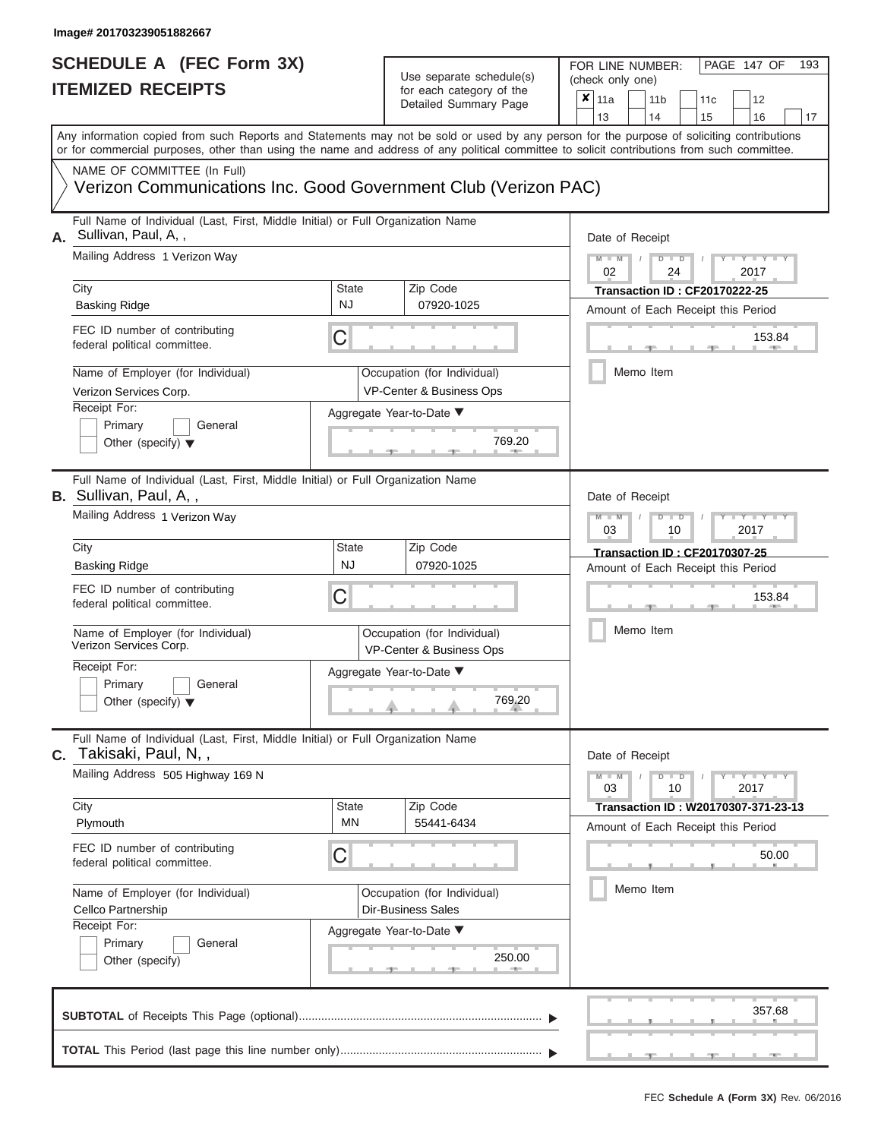### **SCHEDULE A (FEC Form 3X) ITEMIZED RECEIPTS**

## Use separate schedule(s)

| SCHEDULE A (FEC Form 3X)<br><b>ITEMIZED RECEIPTS</b>                                                                                                                                                                                                                                                                                             |                                                                                                       | Use separate schedule(s)<br>for each category of the<br>Detailed Summary Page                                 | 193<br>FOR LINE NUMBER:<br>PAGE 147 OF<br>(check only one)<br>$\boldsymbol{x}$<br>11a<br>11 <sub>b</sub><br>11c<br>12                                                         |  |  |  |  |  |
|--------------------------------------------------------------------------------------------------------------------------------------------------------------------------------------------------------------------------------------------------------------------------------------------------------------------------------------------------|-------------------------------------------------------------------------------------------------------|---------------------------------------------------------------------------------------------------------------|-------------------------------------------------------------------------------------------------------------------------------------------------------------------------------|--|--|--|--|--|
| or for commercial purposes, other than using the name and address of any political committee to solicit contributions from such committee.                                                                                                                                                                                                       |                                                                                                       |                                                                                                               | 13<br>14<br>15<br>16<br>17<br>Any information copied from such Reports and Statements may not be sold or used by any person for the purpose of soliciting contributions       |  |  |  |  |  |
| NAME OF COMMITTEE (In Full)<br>Verizon Communications Inc. Good Government Club (Verizon PAC)                                                                                                                                                                                                                                                    |                                                                                                       |                                                                                                               |                                                                                                                                                                               |  |  |  |  |  |
| Full Name of Individual (Last, First, Middle Initial) or Full Organization Name<br>A. Sullivan, Paul, A,,<br>Mailing Address 1 Verizon Wav<br>City<br><b>Basking Ridge</b><br>FEC ID number of contributing<br>federal political committee.<br>Name of Employer (for Individual)<br>Verizon Services Corp.<br>Receipt For:<br>Primary<br>General | State<br><b>NJ</b><br>C                                                                               | Zip Code<br>07920-1025<br>Occupation (for Individual)<br>VP-Center & Business Ops<br>Aggregate Year-to-Date ▼ | Date of Receipt<br>$M - M$<br>$D$ $D$<br>$Y - Y - I$<br>02<br>24<br>2017<br><b>Transaction ID: CF20170222-25</b><br>Amount of Each Receipt this Period<br>153.84<br>Memo Item |  |  |  |  |  |
| Other (specify) $\blacktriangledown$<br>Full Name of Individual (Last, First, Middle Initial) or Full Organization Name                                                                                                                                                                                                                          |                                                                                                       | 769.20                                                                                                        |                                                                                                                                                                               |  |  |  |  |  |
| <b>B.</b> Sullivan, Paul, A,,<br>Mailing Address 1 Verizon Way<br>City                                                                                                                                                                                                                                                                           | State                                                                                                 | Zip Code                                                                                                      | Date of Receipt<br>$M - M$<br>$D$ $\Box$ $D$<br>Y I Y<br>03<br>2017<br>10<br><b>Transaction ID: CF20170307-25</b>                                                             |  |  |  |  |  |
| <b>Basking Ridge</b><br>FEC ID number of contributing<br>federal political committee.<br>Name of Employer (for Individual)<br>Verizon Services Corp.<br>Receipt For:<br>Primary<br>General                                                                                                                                                       | <b>NJ</b><br>С<br>Occupation (for Individual)<br>VP-Center & Business Ops<br>Aggregate Year-to-Date ▼ | Amount of Each Receipt this Period<br>153.84<br>Memo Item                                                     |                                                                                                                                                                               |  |  |  |  |  |
| Other (specify) $\blacktriangledown$<br>Full Name of Individual (Last, First, Middle Initial) or Full Organization Name<br>Takisaki, Paul, N,,<br>C.<br>Mailing Address 505 Highway 169 N<br>City                                                                                                                                                | State                                                                                                 | 769.20<br>Zip Code                                                                                            | Date of Receipt<br>$M - M$<br>$D$ $D$<br>$T-T$ $T$ $T$ $T$ $T$ $T$ $T$<br>10<br>2017<br>03<br>Transaction ID: W20170307-371-23-13                                             |  |  |  |  |  |
| Plymouth<br>FEC ID number of contributing<br>federal political committee.                                                                                                                                                                                                                                                                        | MN<br>С                                                                                               | 55441-6434                                                                                                    | Amount of Each Receipt this Period<br>50.00                                                                                                                                   |  |  |  |  |  |
| Name of Employer (for Individual)<br>Cellco Partnership<br>Receipt For:<br>Primary<br>General<br>Other (specify)                                                                                                                                                                                                                                 |                                                                                                       | Occupation (for Individual)<br><b>Dir-Business Sales</b><br>Aggregate Year-to-Date ▼<br>250.00                | Memo Item                                                                                                                                                                     |  |  |  |  |  |
|                                                                                                                                                                                                                                                                                                                                                  |                                                                                                       |                                                                                                               | 357.68                                                                                                                                                                        |  |  |  |  |  |
|                                                                                                                                                                                                                                                                                                                                                  |                                                                                                       |                                                                                                               |                                                                                                                                                                               |  |  |  |  |  |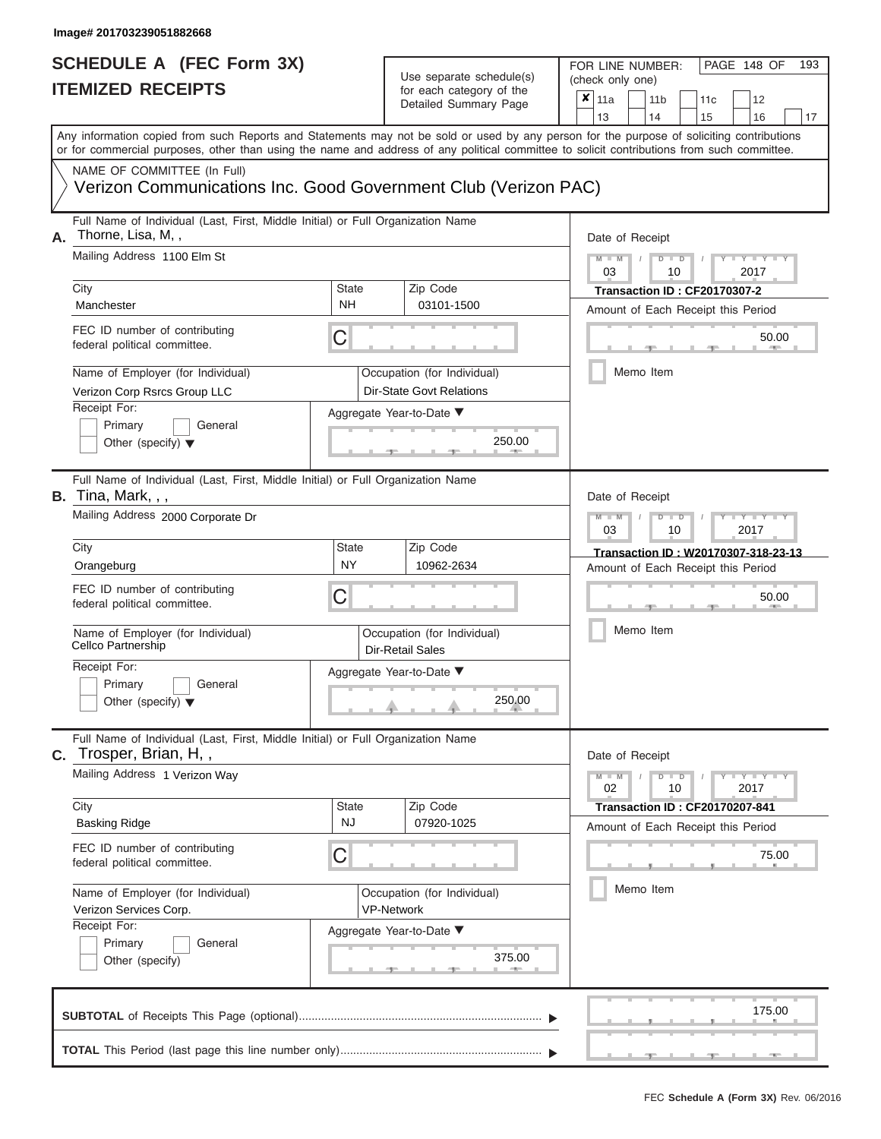# **SCHEDULE A (FEC Form 3X)**

| SCHEDULE A (FEC Form 3X)<br><b>ITEMIZED RECEIPTS</b>                                                                                                                                                                                                                                                                                                                                     |                                | Use separate schedule(s)<br>for each category of the<br>Detailed Summary Page                                                  | 193<br>FOR LINE NUMBER:<br>PAGE 148 OF<br>(check only one)<br>×<br>l 11a<br>12<br>11 <sub>b</sub><br>11 <sub>c</sub><br>13<br>14<br>15<br>16<br>17                                        |  |  |  |  |  |
|------------------------------------------------------------------------------------------------------------------------------------------------------------------------------------------------------------------------------------------------------------------------------------------------------------------------------------------------------------------------------------------|--------------------------------|--------------------------------------------------------------------------------------------------------------------------------|-------------------------------------------------------------------------------------------------------------------------------------------------------------------------------------------|--|--|--|--|--|
| Any information copied from such Reports and Statements may not be sold or used by any person for the purpose of soliciting contributions<br>or for commercial purposes, other than using the name and address of any political committee to solicit contributions from such committee.<br>NAME OF COMMITTEE (In Full)<br>Verizon Communications Inc. Good Government Club (Verizon PAC) |                                |                                                                                                                                |                                                                                                                                                                                           |  |  |  |  |  |
| Full Name of Individual (Last, First, Middle Initial) or Full Organization Name<br>Thorne, Lisa, M,,<br>А.<br>Mailing Address 1100 Elm St<br>City<br>Manchester<br>FEC ID number of contributing<br>federal political committee.<br>Name of Employer (for Individual)<br>Verizon Corp Rsrcs Group LLC<br>Receipt For:<br>Primary<br>General<br>Other (specify) $\blacktriangledown$      | <b>State</b><br><b>NH</b><br>С | Zip Code<br>03101-1500<br>Occupation (for Individual)<br><b>Dir-State Govt Relations</b><br>Aggregate Year-to-Date ▼<br>250.00 | Date of Receipt<br>$M$ – $M$ /<br>$D$ $D$<br>$Y - Y - T$<br>03<br>2017<br>10<br>Transaction ID: CF20170307-2<br>Amount of Each Receipt this Period<br>50.00<br><b>AND IN</b><br>Memo Item |  |  |  |  |  |
| Full Name of Individual (Last, First, Middle Initial) or Full Organization Name<br><b>B.</b> Tina, Mark, , ,<br>Mailing Address 2000 Corporate Dr<br>City<br>Orangeburg<br>FEC ID number of contributing<br>federal political committee.<br>Name of Employer (for Individual)<br>Cellco Partnership<br>Receipt For:<br>Primary<br>General<br>Other (specify) $\blacktriangledown$        | State<br><b>NY</b><br>С        | Zip Code<br>10962-2634<br>Occupation (for Individual)<br>Dir-Retail Sales<br>Aggregate Year-to-Date ▼<br>250.00                | Date of Receipt<br>$M - M$<br>$D$ $D$<br>Y TYT<br>03<br>2017<br>10<br>Transaction ID: W20170307-318-23-13<br>Amount of Each Receipt this Period<br>50.00<br>Memo Item                     |  |  |  |  |  |
| Full Name of Individual (Last, First, Middle Initial) or Full Organization Name<br>Trosper, Brian, H,,<br>С.<br>Mailing Address 1 Verizon Way<br>City<br><b>Basking Ridge</b><br>FEC ID number of contributing<br>federal political committee.<br>Name of Employer (for Individual)<br>Verizon Services Corp.<br>Receipt For:<br>Primary<br>General<br>Other (specify)                   | <b>State</b><br><b>NJ</b><br>С | Zip Code<br>07920-1025<br>Occupation (for Individual)<br><b>VP-Network</b><br>Aggregate Year-to-Date ▼<br>375.00               | Date of Receipt<br>$M - M$<br>$D$ $D$<br>$T - Y = Y - T Y$<br>02<br>10<br>2017<br><b>Transaction ID: CF20170207-841</b><br>Amount of Each Receipt this Period<br>75.00<br>Memo Item       |  |  |  |  |  |
|                                                                                                                                                                                                                                                                                                                                                                                          |                                |                                                                                                                                | 175.00<br>$-1$                                                                                                                                                                            |  |  |  |  |  |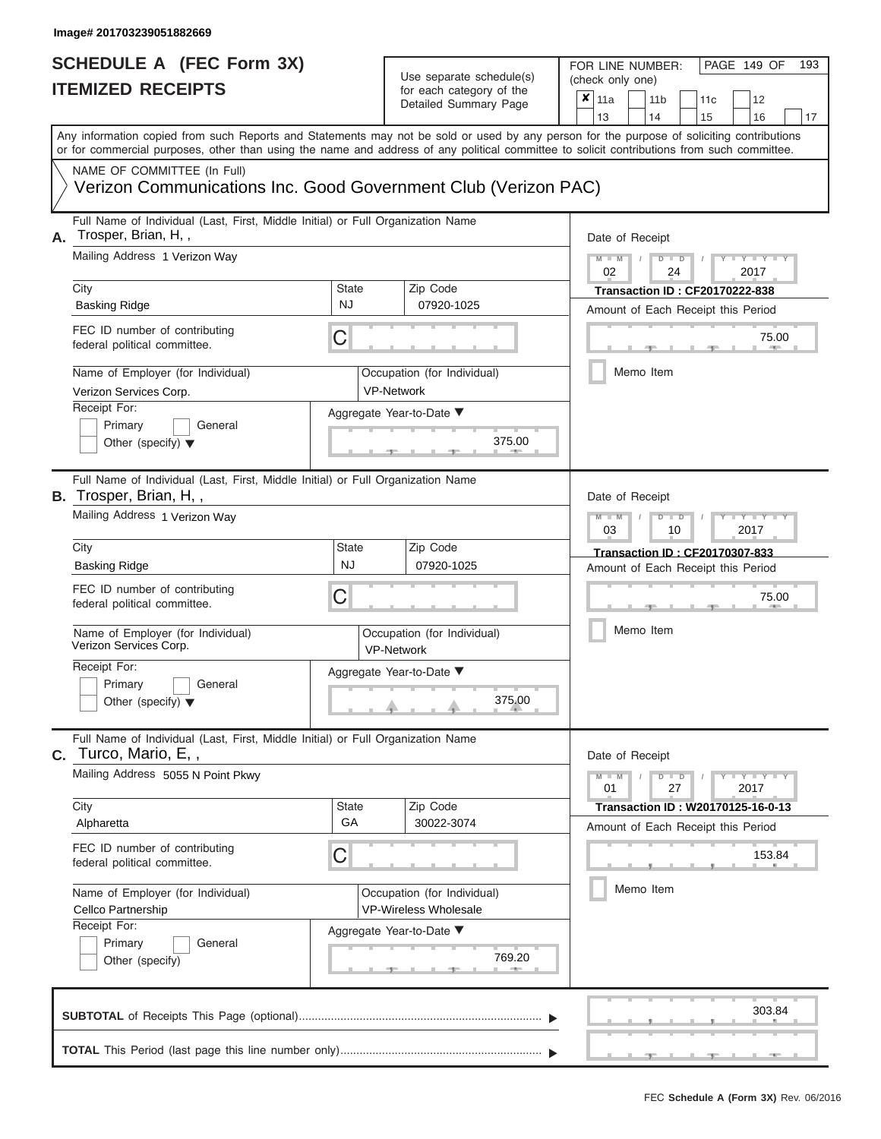| SCHEDULE A (FEC Form 3X)<br><b>ITEMIZED RECEIPTS</b>                                                                                                                                                                                                                                                                                                                                            |                                | Use separate schedule(s)<br>for each category of the<br>Detailed Summary Page                                        | 193<br>FOR LINE NUMBER:<br>PAGE 149 OF<br>(check only one)<br>$\overline{\mathbf{x}}$   11a<br>11 <sub>b</sub><br>12<br>11c                                                                           |
|-------------------------------------------------------------------------------------------------------------------------------------------------------------------------------------------------------------------------------------------------------------------------------------------------------------------------------------------------------------------------------------------------|--------------------------------|----------------------------------------------------------------------------------------------------------------------|-------------------------------------------------------------------------------------------------------------------------------------------------------------------------------------------------------|
| Any information copied from such Reports and Statements may not be sold or used by any person for the purpose of soliciting contributions<br>or for commercial purposes, other than using the name and address of any political committee to solicit contributions from such committee.                                                                                                         |                                |                                                                                                                      | 13<br>14<br>15<br>16<br>17                                                                                                                                                                            |
| NAME OF COMMITTEE (In Full)<br>Verizon Communications Inc. Good Government Club (Verizon PAC)                                                                                                                                                                                                                                                                                                   |                                |                                                                                                                      |                                                                                                                                                                                                       |
| Full Name of Individual (Last, First, Middle Initial) or Full Organization Name<br>Trosper, Brian, H,,<br>А.<br>Mailing Address 1 Verizon Way<br>City<br><b>Basking Ridge</b><br>FEC ID number of contributing<br>federal political committee.<br>Name of Employer (for Individual)<br>Verizon Services Corp.<br>Receipt For:<br>Primary<br>General<br>Other (specify) $\blacktriangledown$     | <b>State</b><br><b>NJ</b><br>C | Zip Code<br>07920-1025<br>Occupation (for Individual)<br><b>VP-Network</b><br>Aggregate Year-to-Date ▼<br>375.00     | Date of Receipt<br>$M - M$<br>$D$ $D$<br>Y I Y I<br>$\sqrt{ }$<br>02<br>24<br>2017<br><b>Transaction ID: CF20170222-838</b><br>Amount of Each Receipt this Period<br>75.00<br><b>AND</b><br>Memo Item |
| Full Name of Individual (Last, First, Middle Initial) or Full Organization Name<br><b>B.</b> Trosper, Brian, H,,<br>Mailing Address 1 Verizon Way<br>City<br><b>Basking Ridge</b><br>FEC ID number of contributing<br>federal political committee.<br>Name of Employer (for Individual)<br>Verizon Services Corp.<br>Receipt For:<br>Primary<br>General<br>Other (specify) $\blacktriangledown$ | State<br><b>NJ</b><br>С        | Zip Code<br>07920-1025<br>Occupation (for Individual)<br><b>VP-Network</b><br>Aggregate Year-to-Date ▼<br>375.00     | Date of Receipt<br>$M - M$<br>$D$ $\Box$ $D$<br>Y I Y<br>03<br>2017<br>10<br>Transaction ID: CF20170307-833<br>Amount of Each Receipt this Period<br>75.00<br>Memo Item                               |
| Full Name of Individual (Last, First, Middle Initial) or Full Organization Name<br>Turco, Mario, E,,<br>С.<br>Mailing Address 5055 N Point Pkwy<br>City<br>Alpharetta<br>FEC ID number of contributing<br>federal political committee.<br>Name of Employer (for Individual)<br>Cellco Partnership<br>Receipt For:<br>Primary<br>General<br>Other (specify)                                      | State<br>GA<br>С               | Zip Code<br>30022-3074<br>Occupation (for Individual)<br>VP-Wireless Wholesale<br>Aggregate Year-to-Date ▼<br>769.20 | Date of Receipt<br>$M - M$<br>$D$ $D$<br>$T - Y = Y - T Y$<br>27<br>01<br>2017<br>Transaction ID: W20170125-16-0-13<br>Amount of Each Receipt this Period<br>153.84<br>Memo Item                      |
|                                                                                                                                                                                                                                                                                                                                                                                                 |                                |                                                                                                                      | 303.84                                                                                                                                                                                                |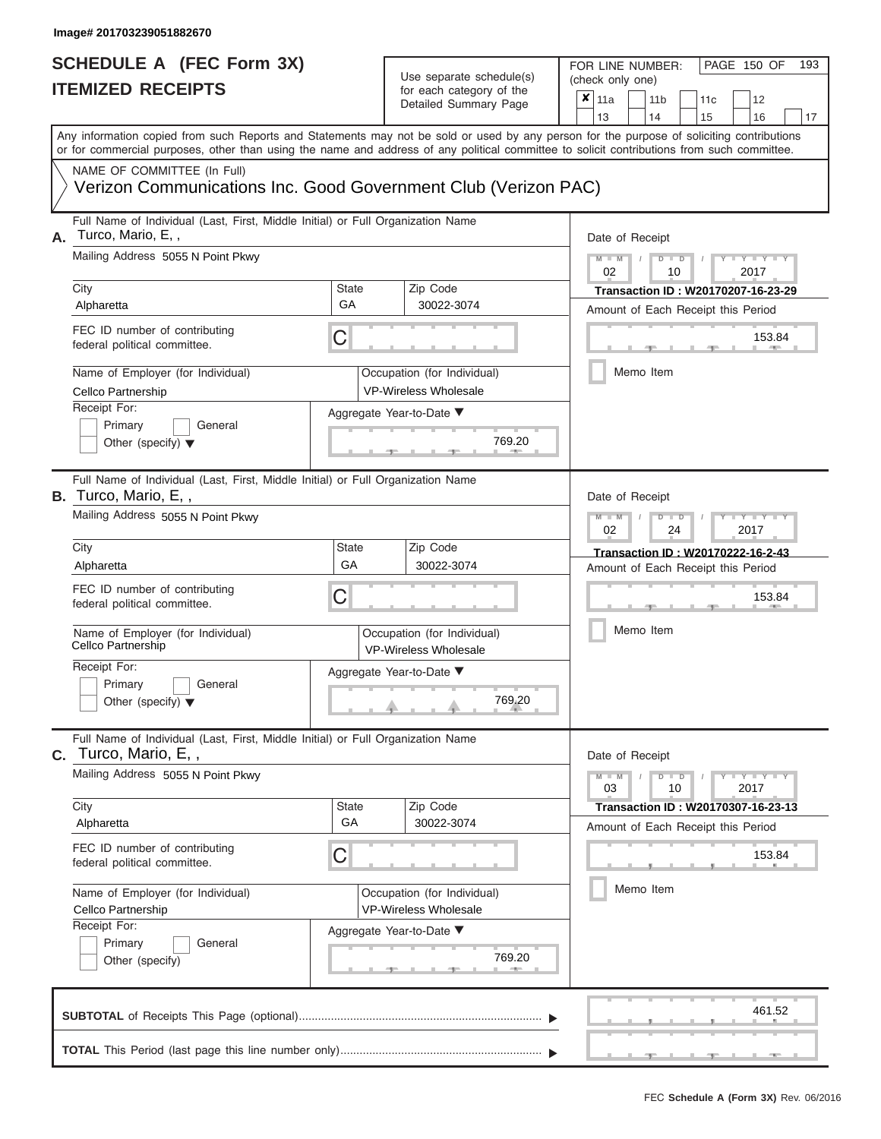## Use separate schedule(s)

FOR LINE NUMBER:<br>(check only one)

PAGE 150 OF 193

|    | IIEMIZED KEUEIPIS                                                                                                                                                                                                                                                                       |                                                               | for each category of the<br>Detailed Summary Page           | ×                                                                                                                                                        | 11a             |  | 11 <sub>b</sub> |               | 11c                               | 12                                 |    |  |  |  |
|----|-----------------------------------------------------------------------------------------------------------------------------------------------------------------------------------------------------------------------------------------------------------------------------------------|---------------------------------------------------------------|-------------------------------------------------------------|----------------------------------------------------------------------------------------------------------------------------------------------------------|-----------------|--|-----------------|---------------|-----------------------------------|------------------------------------|----|--|--|--|
|    |                                                                                                                                                                                                                                                                                         |                                                               |                                                             |                                                                                                                                                          | 13              |  | 14              |               | 15                                | 16                                 | 17 |  |  |  |
|    | Any information copied from such Reports and Statements may not be sold or used by any person for the purpose of soliciting contributions<br>or for commercial purposes, other than using the name and address of any political committee to solicit contributions from such committee. |                                                               |                                                             |                                                                                                                                                          |                 |  |                 |               |                                   |                                    |    |  |  |  |
|    | NAME OF COMMITTEE (In Full)                                                                                                                                                                                                                                                             |                                                               |                                                             |                                                                                                                                                          |                 |  |                 |               |                                   |                                    |    |  |  |  |
|    | Verizon Communications Inc. Good Government Club (Verizon PAC)                                                                                                                                                                                                                          |                                                               |                                                             |                                                                                                                                                          |                 |  |                 |               |                                   |                                    |    |  |  |  |
| А. | Full Name of Individual (Last, First, Middle Initial) or Full Organization Name<br>Turco, Mario, E,,                                                                                                                                                                                    |                                                               |                                                             |                                                                                                                                                          | Date of Receipt |  |                 |               |                                   |                                    |    |  |  |  |
|    | Mailing Address 5055 N Point Pkwy                                                                                                                                                                                                                                                       |                                                               |                                                             | $M - M$<br>$Y - Y - Y$<br>$D$ $D$<br>02<br>2017<br>10<br>Transaction ID: W20170207-16-23-29<br>Amount of Each Receipt this Period<br>153.84<br>Memo Item |                 |  |                 |               |                                   |                                    |    |  |  |  |
|    | City                                                                                                                                                                                                                                                                                    | <b>State</b>                                                  | Zip Code                                                    |                                                                                                                                                          |                 |  |                 |               |                                   |                                    |    |  |  |  |
|    | Alpharetta                                                                                                                                                                                                                                                                              | GA                                                            | 30022-3074                                                  |                                                                                                                                                          |                 |  |                 |               |                                   |                                    |    |  |  |  |
|    | FEC ID number of contributing<br>C<br>federal political committee.                                                                                                                                                                                                                      |                                                               |                                                             |                                                                                                                                                          |                 |  |                 |               |                                   |                                    |    |  |  |  |
|    | Name of Employer (for Individual)<br>Cellco Partnership                                                                                                                                                                                                                                 |                                                               | Occupation (for Individual)<br><b>VP-Wireless Wholesale</b> |                                                                                                                                                          |                 |  |                 |               |                                   |                                    |    |  |  |  |
|    | Receipt For:                                                                                                                                                                                                                                                                            |                                                               | Aggregate Year-to-Date ▼                                    |                                                                                                                                                          |                 |  |                 |               |                                   |                                    |    |  |  |  |
|    | Primary<br>General<br>Other (specify) $\blacktriangledown$                                                                                                                                                                                                                              |                                                               | 769.20                                                      |                                                                                                                                                          |                 |  |                 |               |                                   |                                    |    |  |  |  |
|    |                                                                                                                                                                                                                                                                                         |                                                               |                                                             |                                                                                                                                                          |                 |  |                 |               |                                   |                                    |    |  |  |  |
|    | Full Name of Individual (Last, First, Middle Initial) or Full Organization Name<br><b>B.</b> Turco, Mario, E,,                                                                                                                                                                          |                                                               | Date of Receipt                                             |                                                                                                                                                          |                 |  |                 |               |                                   |                                    |    |  |  |  |
|    | Mailing Address 5055 N Point Pkwy                                                                                                                                                                                                                                                       | $M - M$<br>$T - Y = T - Y = T$<br>$D$ $D$<br>02<br>24<br>2017 |                                                             |                                                                                                                                                          |                 |  |                 |               |                                   |                                    |    |  |  |  |
|    | City                                                                                                                                                                                                                                                                                    | <b>State</b>                                                  |                                                             |                                                                                                                                                          |                 |  |                 |               | Transaction ID: W20170222-16-2-43 |                                    |    |  |  |  |
|    | Alpharetta                                                                                                                                                                                                                                                                              | GA                                                            | 30022-3074                                                  | Amount of Each Receipt this Period                                                                                                                       |                 |  |                 |               |                                   |                                    |    |  |  |  |
|    | FEC ID number of contributing<br>federal political committee.                                                                                                                                                                                                                           | C                                                             |                                                             |                                                                                                                                                          |                 |  |                 |               |                                   | 153.84                             |    |  |  |  |
|    | Name of Employer (for Individual)<br>Cellco Partnership                                                                                                                                                                                                                                 |                                                               | Occupation (for Individual)<br><b>VP-Wireless Wholesale</b> |                                                                                                                                                          |                 |  | Memo Item       |               |                                   |                                    |    |  |  |  |
|    | Receipt For:                                                                                                                                                                                                                                                                            |                                                               | Aggregate Year-to-Date ▼                                    |                                                                                                                                                          |                 |  |                 |               |                                   |                                    |    |  |  |  |
|    | Primary<br>General<br>Other (specify) $\blacktriangledown$                                                                                                                                                                                                                              |                                                               | 769.20                                                      |                                                                                                                                                          |                 |  |                 |               |                                   |                                    |    |  |  |  |
|    | Full Name of Individual (Last, First, Middle Initial) or Full Organization Name<br><b>C.</b> Turco, Mario, E,,                                                                                                                                                                          |                                                               |                                                             |                                                                                                                                                          | Date of Receipt |  |                 |               |                                   |                                    |    |  |  |  |
|    | Mailing Address 5055 N Point Pkwy                                                                                                                                                                                                                                                       |                                                               |                                                             |                                                                                                                                                          | $M - M$<br>03   |  |                 | $D$ $D$<br>10 |                                   | $-Y - Y - Y - Y$<br>2017           |    |  |  |  |
|    | City                                                                                                                                                                                                                                                                                    | <b>State</b>                                                  | Zip Code                                                    |                                                                                                                                                          |                 |  |                 |               |                                   | Transaction ID: W20170307-16-23-13 |    |  |  |  |
|    | Alpharetta                                                                                                                                                                                                                                                                              | GA                                                            | 30022-3074                                                  |                                                                                                                                                          |                 |  |                 |               |                                   | Amount of Each Receipt this Period |    |  |  |  |
|    | FEC ID number of contributing<br>C<br>federal political committee.                                                                                                                                                                                                                      |                                                               |                                                             |                                                                                                                                                          |                 |  |                 |               |                                   | 153.84                             |    |  |  |  |
|    | Name of Employer (for Individual)                                                                                                                                                                                                                                                       |                                                               | Occupation (for Individual)                                 |                                                                                                                                                          |                 |  | Memo Item       |               |                                   |                                    |    |  |  |  |
|    | Cellco Partnership                                                                                                                                                                                                                                                                      |                                                               | <b>VP-Wireless Wholesale</b>                                |                                                                                                                                                          |                 |  |                 |               |                                   |                                    |    |  |  |  |
|    | Receipt For:                                                                                                                                                                                                                                                                            | Aggregate Year-to-Date ▼                                      |                                                             |                                                                                                                                                          |                 |  |                 |               |                                   |                                    |    |  |  |  |
|    | Primary<br>General                                                                                                                                                                                                                                                                      |                                                               |                                                             |                                                                                                                                                          |                 |  |                 |               |                                   |                                    |    |  |  |  |
|    | Other (specify)                                                                                                                                                                                                                                                                         |                                                               | 769.20<br><b>AND</b>                                        |                                                                                                                                                          |                 |  |                 |               |                                   |                                    |    |  |  |  |
|    |                                                                                                                                                                                                                                                                                         |                                                               |                                                             |                                                                                                                                                          |                 |  |                 |               |                                   | 461.52                             |    |  |  |  |
|    |                                                                                                                                                                                                                                                                                         |                                                               |                                                             |                                                                                                                                                          |                 |  |                 |               |                                   |                                    |    |  |  |  |
|    |                                                                                                                                                                                                                                                                                         |                                                               |                                                             |                                                                                                                                                          |                 |  |                 |               |                                   |                                    |    |  |  |  |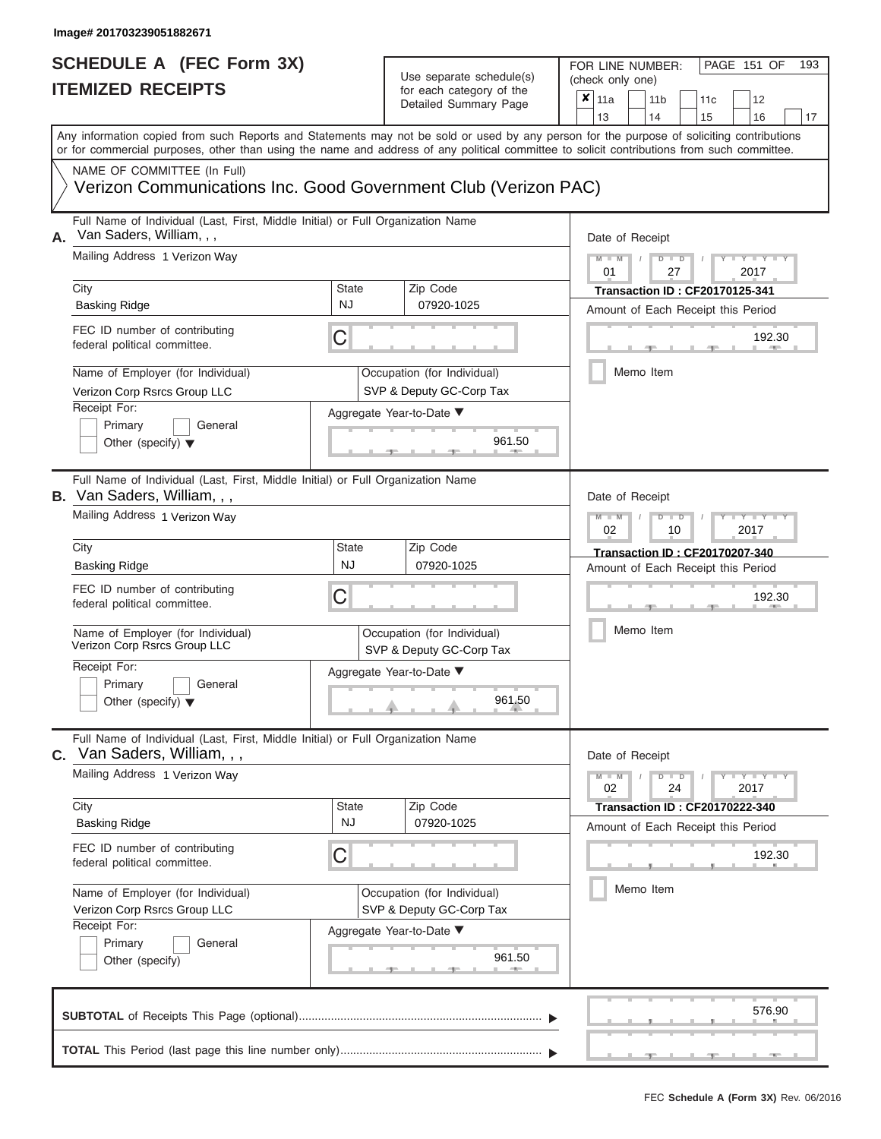### **SCHEDULE A (FEC Form 3X) ITEMIZED RECEIPTS**

## Use separate schedule(s)

| SCHEDULE A (FEC Form 3X)<br><b>ITEMIZED RECEIPTS</b>                                                                                                                                                                                                                                                                                                                                                     |                         | Use separate schedule(s)<br>for each category of the<br>Detailed Summary Page                                           | 193<br>FOR LINE NUMBER:<br>PAGE 151 OF<br>(check only one)<br>$\boldsymbol{x}$<br>11a<br>11 <sub>b</sub><br>12<br>11c<br>13<br>14<br>15<br>16<br>17                                                       |
|----------------------------------------------------------------------------------------------------------------------------------------------------------------------------------------------------------------------------------------------------------------------------------------------------------------------------------------------------------------------------------------------------------|-------------------------|-------------------------------------------------------------------------------------------------------------------------|-----------------------------------------------------------------------------------------------------------------------------------------------------------------------------------------------------------|
| Any information copied from such Reports and Statements may not be sold or used by any person for the purpose of soliciting contributions<br>or for commercial purposes, other than using the name and address of any political committee to solicit contributions from such committee.<br>NAME OF COMMITTEE (In Full)<br>Verizon Communications Inc. Good Government Club (Verizon PAC)                 |                         |                                                                                                                         |                                                                                                                                                                                                           |
| Full Name of Individual (Last, First, Middle Initial) or Full Organization Name<br>Van Saders, William, , ,<br>А.<br>Mailing Address 1 Verizon Way<br>City<br><b>Basking Ridge</b><br>FEC ID number of contributing<br>federal political committee.<br>Name of Employer (for Individual)<br>Verizon Corp Rsrcs Group LLC<br>Receipt For:<br>Primary<br>General<br>Other (specify) $\blacktriangledown$   | State<br><b>NJ</b><br>C | Zip Code<br>07920-1025<br>Occupation (for Individual)<br>SVP & Deputy GC-Corp Tax<br>Aggregate Year-to-Date ▼<br>961.50 | Date of Receipt<br>$M - M$<br>$D$ $D$<br>$Y - Y - I$<br>01<br>27<br>2017<br><b>Transaction ID: CF20170125-341</b><br>Amount of Each Receipt this Period<br>192.30<br>Memo Item                            |
| Full Name of Individual (Last, First, Middle Initial) or Full Organization Name<br><b>B.</b> Van Saders, William,,,<br>Mailing Address 1 Verizon Way<br>City<br><b>Basking Ridge</b><br>FEC ID number of contributing<br>federal political committee.<br>Name of Employer (for Individual)<br>Verizon Corp Rsrcs Group LLC<br>Receipt For:<br>Primary<br>General<br>Other (specify) $\blacktriangledown$ | State<br><b>NJ</b><br>С | Zip Code<br>07920-1025<br>Occupation (for Individual)<br>SVP & Deputy GC-Corp Tax<br>Aggregate Year-to-Date ▼<br>961.50 | Date of Receipt<br>$M - M$<br>$D$ $\Box$ $D$<br>$Y - Y$<br>2017<br>02<br>10<br>Transaction ID: CF20170207-340<br>Amount of Each Receipt this Period<br>192.30<br>Memo Item                                |
| Full Name of Individual (Last, First, Middle Initial) or Full Organization Name<br>Van Saders, William, , ,<br>С.<br>Mailing Address 1 Verizon Way<br>City<br><b>Basking Ridge</b><br>FEC ID number of contributing<br>federal political committee.<br>Name of Employer (for Individual)<br>Verizon Corp Rsrcs Group LLC<br>Receipt For:<br>Primary<br>General<br>Other (specify)                        | State<br><b>NJ</b><br>С | Zip Code<br>07920-1025<br>Occupation (for Individual)<br>SVP & Deputy GC-Corp Tax<br>Aggregate Year-to-Date ▼<br>961.50 | Date of Receipt<br>$M - M$<br>$D$ $D$<br>$\mathbf{I} = \mathbf{Y} + \mathbf{Y}$<br>24<br>2017<br>02<br><b>Transaction ID: CF20170222-340</b><br>Amount of Each Receipt this Period<br>192.30<br>Memo Item |
|                                                                                                                                                                                                                                                                                                                                                                                                          |                         |                                                                                                                         | 576.90                                                                                                                                                                                                    |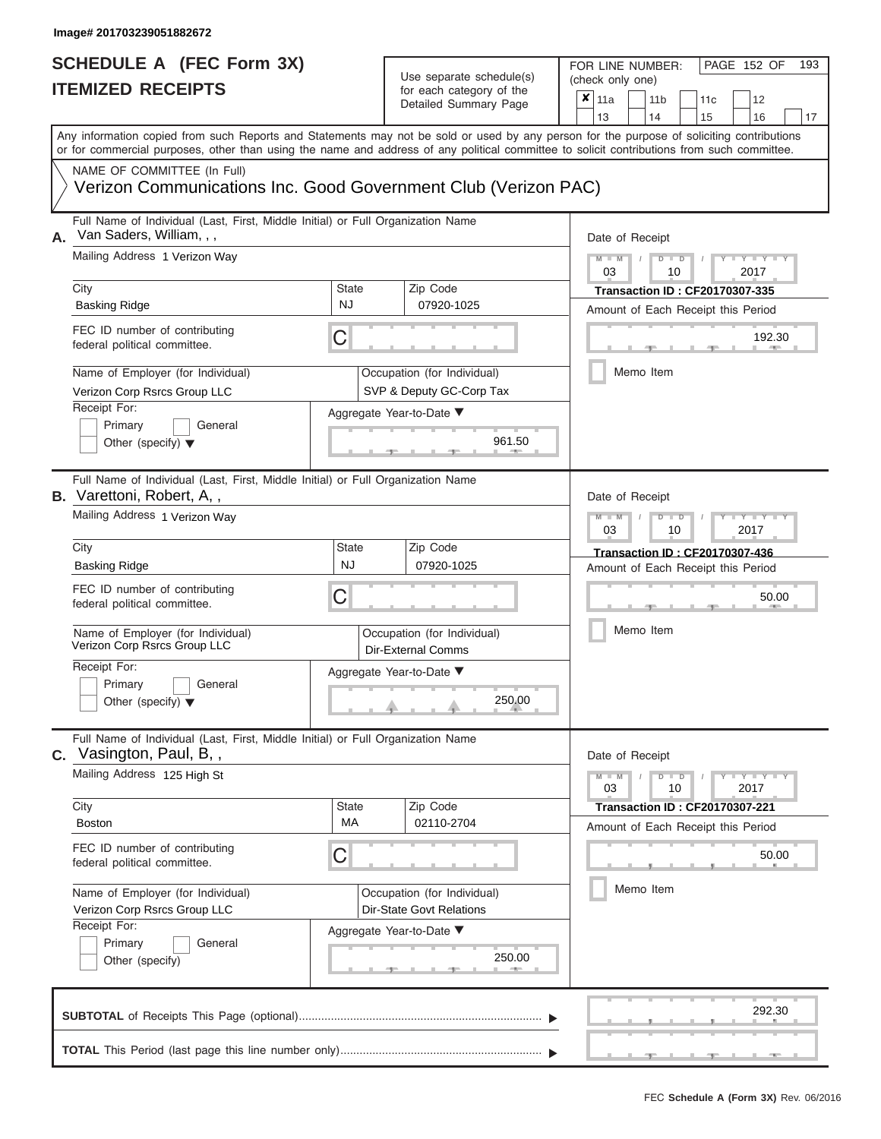### **SCHEDULE A (FEC Form 3X) ITEMIZED RECEIPTS**

## Use separate schedule(s)<br>for each category of the

FOR LINE NUMBER:<br>(check only one)

PAGE 152 OF 193

|    | IILMILLU INLVLII I                                                                                                                                                                                                                                                                      |                                                                  |                 | iui eauli caleyuly ul lile<br>Detailed Summary Page     | ×                                                                           | 11a             |           | 14                                                                          | 11 <sub>b</sub> | 11c                                                                         |  | 12                  |    |  |  |  |  |
|----|-----------------------------------------------------------------------------------------------------------------------------------------------------------------------------------------------------------------------------------------------------------------------------------------|------------------------------------------------------------------|-----------------|---------------------------------------------------------|-----------------------------------------------------------------------------|-----------------|-----------|-----------------------------------------------------------------------------|-----------------|-----------------------------------------------------------------------------|--|---------------------|----|--|--|--|--|
|    | Any information copied from such Reports and Statements may not be sold or used by any person for the purpose of soliciting contributions<br>or for commercial purposes, other than using the name and address of any political committee to solicit contributions from such committee. |                                                                  |                 |                                                         |                                                                             | 13              |           |                                                                             |                 | 15                                                                          |  | 16                  | 17 |  |  |  |  |
|    | NAME OF COMMITTEE (In Full)<br>Verizon Communications Inc. Good Government Club (Verizon PAC)                                                                                                                                                                                           |                                                                  |                 |                                                         |                                                                             |                 |           |                                                                             |                 |                                                                             |  |                     |    |  |  |  |  |
| Α. | Full Name of Individual (Last, First, Middle Initial) or Full Organization Name<br>Van Saders, William, , ,                                                                                                                                                                             |                                                                  |                 |                                                         | Date of Receipt<br>$M - M$<br>$D$ $D$                                       |                 |           |                                                                             |                 |                                                                             |  |                     |    |  |  |  |  |
|    | Mailing Address 1 Verizon Way<br>City                                                                                                                                                                                                                                                   |                                                                  | 03              |                                                         |                                                                             | 10              |           |                                                                             | 2017            |                                                                             |  |                     |    |  |  |  |  |
|    | <b>Basking Ridge</b>                                                                                                                                                                                                                                                                    | <b>State</b><br><b>NJ</b>                                        |                 | Zip Code<br>07920-1025                                  | <b>Transaction ID: CF20170307-335</b><br>Amount of Each Receipt this Period |                 |           |                                                                             |                 |                                                                             |  |                     |    |  |  |  |  |
|    | FEC ID number of contributing<br>federal political committee.                                                                                                                                                                                                                           | C                                                                |                 |                                                         | 192.30                                                                      |                 |           |                                                                             |                 |                                                                             |  |                     |    |  |  |  |  |
|    | Name of Employer (for Individual)<br>Verizon Corp Rsrcs Group LLC                                                                                                                                                                                                                       | Occupation (for Individual)<br>SVP & Deputy GC-Corp Tax          |                 |                                                         | Memo Item                                                                   |                 |           |                                                                             |                 |                                                                             |  |                     |    |  |  |  |  |
|    | Receipt For:<br>Primary<br>General<br>Other (specify) $\blacktriangledown$                                                                                                                                                                                                              |                                                                  |                 |                                                         |                                                                             |                 |           |                                                                             |                 |                                                                             |  |                     |    |  |  |  |  |
|    | Full Name of Individual (Last, First, Middle Initial) or Full Organization Name<br><b>B.</b> Varettoni, Robert, A,,                                                                                                                                                                     |                                                                  | Date of Receipt |                                                         |                                                                             |                 |           |                                                                             |                 |                                                                             |  |                     |    |  |  |  |  |
|    | Mailing Address 1 Verizon Way                                                                                                                                                                                                                                                           | $M - M$<br>$\Box$<br>$\overline{\mathsf{D}}$<br>03<br>2017<br>10 |                 |                                                         |                                                                             |                 |           |                                                                             |                 |                                                                             |  |                     |    |  |  |  |  |
|    | City<br><b>Basking Ridge</b>                                                                                                                                                                                                                                                            | Zip Code<br>07920-1025                                           |                 |                                                         |                                                                             |                 |           | <b>Transaction ID: CF20170307-436</b><br>Amount of Each Receipt this Period |                 |                                                                             |  |                     |    |  |  |  |  |
|    | FEC ID number of contributing<br>federal political committee.                                                                                                                                                                                                                           | C                                                                |                 |                                                         |                                                                             |                 |           |                                                                             |                 |                                                                             |  | 50.00               |    |  |  |  |  |
|    | Name of Employer (for Individual)<br>Verizon Corp Rsrcs Group LLC                                                                                                                                                                                                                       |                                                                  |                 | Occupation (for Individual)<br>Dir-External Comms       |                                                                             |                 | Memo Item |                                                                             |                 |                                                                             |  |                     |    |  |  |  |  |
|    | Receipt For:<br>Primary<br>General<br>Other (specify) $\blacktriangledown$                                                                                                                                                                                                              |                                                                  |                 | Aggregate Year-to-Date ▼<br>250.00                      |                                                                             |                 |           |                                                                             |                 |                                                                             |  |                     |    |  |  |  |  |
| С. | Full Name of Individual (Last, First, Middle Initial) or Full Organization Name<br>Vasington, Paul, B,,                                                                                                                                                                                 |                                                                  |                 |                                                         |                                                                             | Date of Receipt |           |                                                                             |                 |                                                                             |  |                     |    |  |  |  |  |
|    | Mailing Address 125 High St                                                                                                                                                                                                                                                             |                                                                  |                 |                                                         |                                                                             | $M - M$<br>03   |           |                                                                             | $D$ $D$<br>10   |                                                                             |  | $Y - Y - Y$<br>2017 |    |  |  |  |  |
|    | City<br><b>Boston</b>                                                                                                                                                                                                                                                                   | <b>State</b><br>МA                                               |                 | Zip Code<br>02110-2704                                  |                                                                             |                 |           |                                                                             |                 | <b>Transaction ID: CF20170307-221</b><br>Amount of Each Receipt this Period |  |                     |    |  |  |  |  |
|    | FEC ID number of contributing<br>federal political committee.                                                                                                                                                                                                                           | С                                                                |                 |                                                         |                                                                             |                 |           |                                                                             |                 |                                                                             |  | 50.00               |    |  |  |  |  |
|    | Name of Employer (for Individual)<br>Verizon Corp Rsrcs Group LLC                                                                                                                                                                                                                       |                                                                  |                 | Occupation (for Individual)<br>Dir-State Govt Relations |                                                                             | Memo Item       |           |                                                                             |                 |                                                                             |  |                     |    |  |  |  |  |
|    | Receipt For:<br>Primary<br>General<br>Other (specify)                                                                                                                                                                                                                                   |                                                                  |                 | Aggregate Year-to-Date ▼<br>250.00                      |                                                                             |                 |           |                                                                             |                 |                                                                             |  |                     |    |  |  |  |  |
|    |                                                                                                                                                                                                                                                                                         |                                                                  |                 |                                                         |                                                                             |                 |           |                                                                             |                 |                                                                             |  | 292.30              |    |  |  |  |  |
|    |                                                                                                                                                                                                                                                                                         |                                                                  |                 |                                                         |                                                                             |                 |           |                                                                             |                 |                                                                             |  |                     |    |  |  |  |  |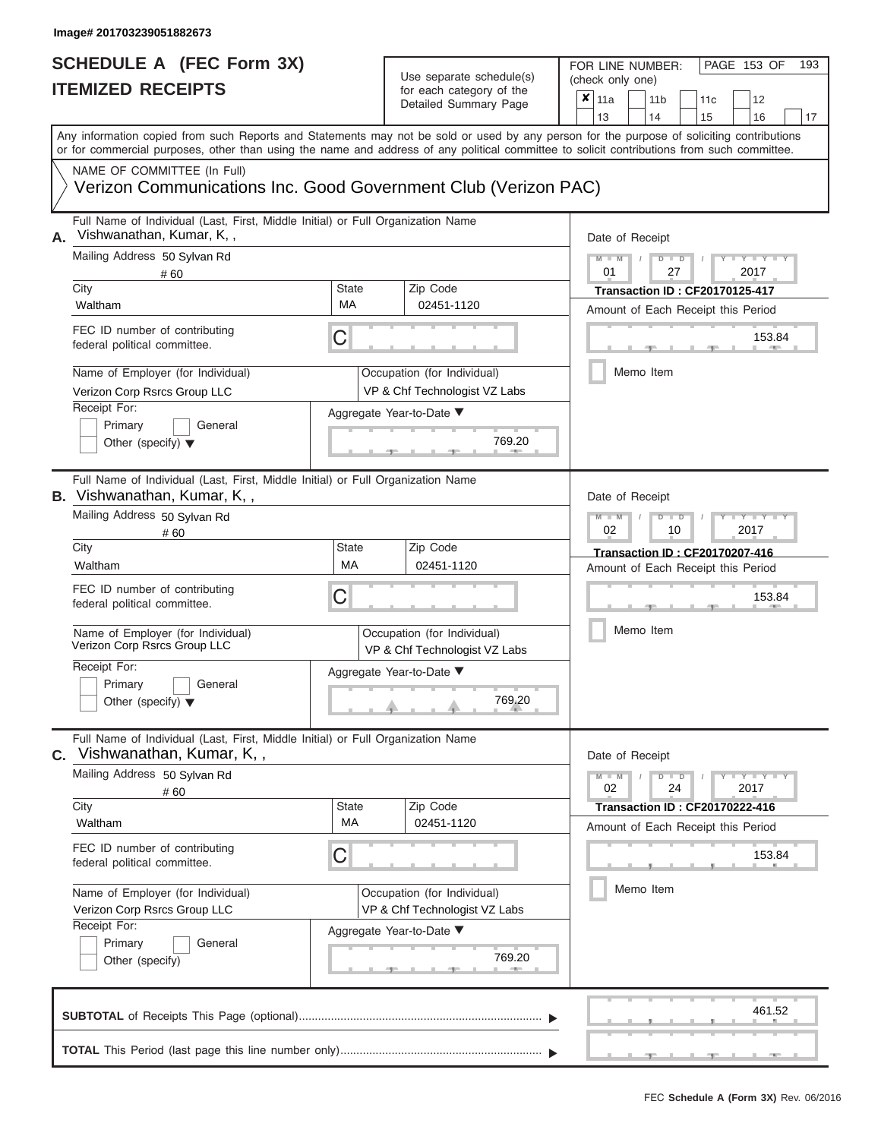## Use separate schedule(s)

| SCHEDULE A (FEC Form 3X)<br><b>ITEMIZED RECEIPTS</b>                                                                                                                                                                                                                                                                                                                                                 | Use separate schedule(s)<br>for each category of the<br>Detailed Summary Page                                                                    | 193<br>FOR LINE NUMBER:<br>PAGE 153 OF<br>(check only one)<br>$\overline{\mathbf{x}}$   11a<br>11 <sub>b</sub><br>11c<br>12<br>13<br>14<br>15<br>16<br>17                                |
|------------------------------------------------------------------------------------------------------------------------------------------------------------------------------------------------------------------------------------------------------------------------------------------------------------------------------------------------------------------------------------------------------|--------------------------------------------------------------------------------------------------------------------------------------------------|------------------------------------------------------------------------------------------------------------------------------------------------------------------------------------------|
| Any information copied from such Reports and Statements may not be sold or used by any person for the purpose of soliciting contributions<br>or for commercial purposes, other than using the name and address of any political committee to solicit contributions from such committee.<br>NAME OF COMMITTEE (In Full)<br>Verizon Communications Inc. Good Government Club (Verizon PAC)             |                                                                                                                                                  |                                                                                                                                                                                          |
| Full Name of Individual (Last, First, Middle Initial) or Full Organization Name<br>Vishwanathan, Kumar, K,,<br>А.<br>Mailing Address 50 Sylvan Rd<br># 60<br>City<br>Waltham<br>FEC ID number of contributing<br>federal political committee.<br>Name of Employer (for Individual)<br>Verizon Corp Rsrcs Group LLC<br>Receipt For:<br>Primary<br>General<br>Other (specify) $\blacktriangledown$     | Zip Code<br>State<br>MA<br>02451-1120<br>С<br>Occupation (for Individual)<br>VP & Chf Technologist VZ Labs<br>Aggregate Year-to-Date ▼<br>769.20 | Date of Receipt<br>$M - M$<br>$D$ $D$<br>Y I Y I<br>$\sqrt{ }$<br>01<br>27<br>2017<br><b>Transaction ID: CF20170125-417</b><br>Amount of Each Receipt this Period<br>153.84<br>Memo Item |
| Full Name of Individual (Last, First, Middle Initial) or Full Organization Name<br><b>B.</b> Vishwanathan, Kumar, K,,<br>Mailing Address 50 Sylvan Rd<br># 60<br>City<br>Waltham<br>FEC ID number of contributing<br>federal political committee.<br>Name of Employer (for Individual)<br>Verizon Corp Rsrcs Group LLC<br>Receipt For:<br>Primary<br>General<br>Other (specify) $\blacktriangledown$ | Zip Code<br>State<br>MA<br>02451-1120<br>С<br>Occupation (for Individual)<br>VP & Chf Technologist VZ Labs<br>Aggregate Year-to-Date ▼<br>769.20 | Date of Receipt<br>$M - M$<br>$D$ $\Box$ $D$<br>Y TY<br>2017<br>02<br>10<br>Transaction ID: CF20170207-416<br>Amount of Each Receipt this Period<br>153.84<br>Memo Item                  |
| Full Name of Individual (Last, First, Middle Initial) or Full Organization Name<br>Vishwanathan, Kumar, K,,<br>С.<br>Mailing Address 50 Sylvan Rd<br>#60<br>City<br>Waltham<br>FEC ID number of contributing<br>federal political committee.<br>Name of Employer (for Individual)<br>Verizon Corp Rsrcs Group LLC<br>Receipt For:<br>Primary<br>General<br>Other (specify)                           | Zip Code<br>State<br>MA<br>02451-1120<br>С<br>Occupation (for Individual)<br>VP & Chf Technologist VZ Labs<br>Aggregate Year-to-Date ▼<br>769.20 | Date of Receipt<br>$M - M$<br>$D$ $D$<br>$+Y+Y+Y$<br>24<br>2017<br>02<br><b>Transaction ID: CF20170222-416</b><br>Amount of Each Receipt this Period<br>153.84<br>Memo Item              |
|                                                                                                                                                                                                                                                                                                                                                                                                      |                                                                                                                                                  | 461.52                                                                                                                                                                                   |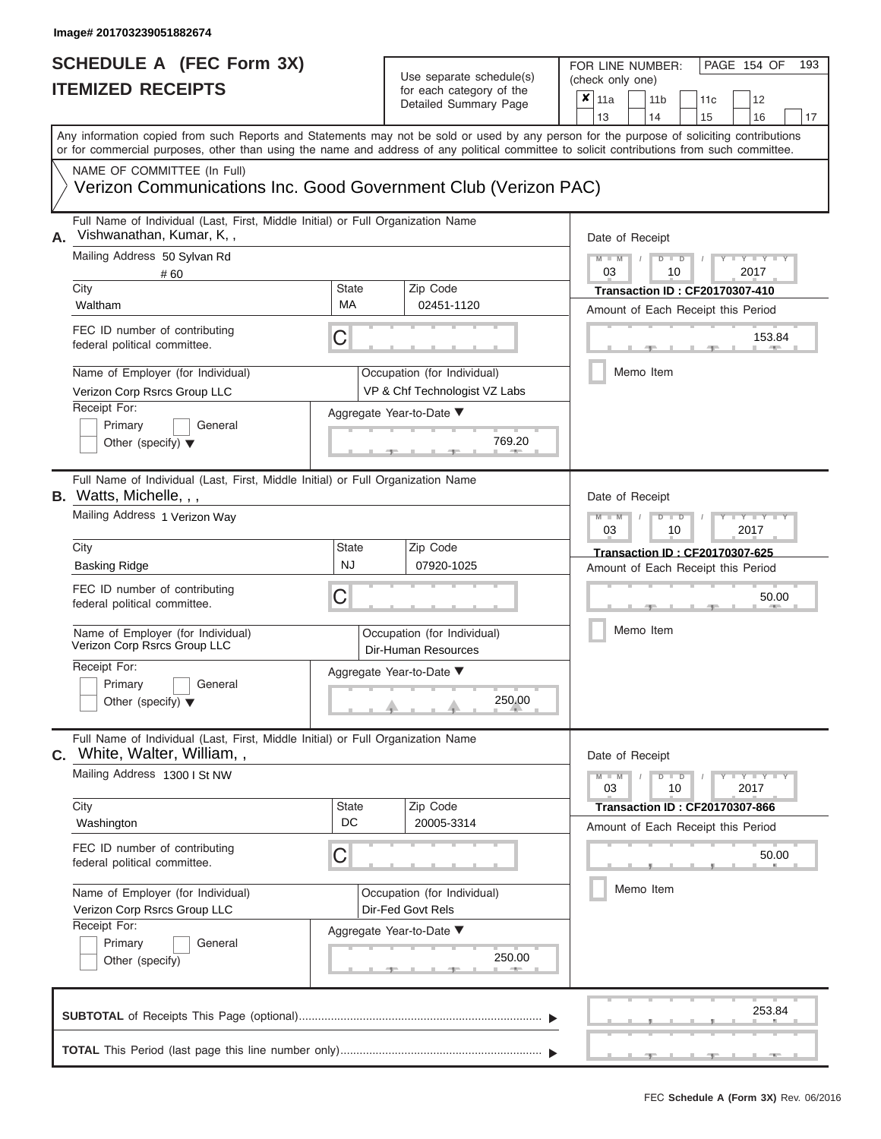| SCHEDULE A (FEC Form 3X)<br><b>ITEMIZED RECEIPTS</b>                                                                                                                                                                                                                                                                                                                                                   |                         | Use separate schedule(s)<br>for each category of the<br>Detailed Summary Page                                                | 193<br>FOR LINE NUMBER:<br>PAGE 154 OF<br>(check only one)<br>$\boldsymbol{x}$<br>11a<br>11 <sub>b</sub><br>12<br>11c                                                                                    |
|--------------------------------------------------------------------------------------------------------------------------------------------------------------------------------------------------------------------------------------------------------------------------------------------------------------------------------------------------------------------------------------------------------|-------------------------|------------------------------------------------------------------------------------------------------------------------------|----------------------------------------------------------------------------------------------------------------------------------------------------------------------------------------------------------|
| Any information copied from such Reports and Statements may not be sold or used by any person for the purpose of soliciting contributions<br>or for commercial purposes, other than using the name and address of any political committee to solicit contributions from such committee.<br>NAME OF COMMITTEE (In Full)<br>Verizon Communications Inc. Good Government Club (Verizon PAC)               |                         |                                                                                                                              | 13<br>14<br>15<br>16<br>17                                                                                                                                                                               |
| Full Name of Individual (Last, First, Middle Initial) or Full Organization Name<br>Vishwanathan, Kumar, K,,<br>А.<br>Mailing Address 50 Sylvan Rd<br># 60<br>City<br>Waltham<br>FEC ID number of contributing<br>federal political committee.<br>Name of Employer (for Individual)<br>Verizon Corp Rsrcs Group LLC<br>Receipt For:<br>Primary<br>General<br>Other (specify) $\blacktriangledown$       | State<br>MA<br>С        | Zip Code<br>02451-1120<br>Occupation (for Individual)<br>VP & Chf Technologist VZ Labs<br>Aggregate Year-to-Date ▼<br>769.20 | Date of Receipt<br>$M - M$<br>$D$ $D$<br>$Y - Y - I$<br>$\sqrt{ }$<br>03<br>10<br>2017<br><b>Transaction ID: CF20170307-410</b><br>Amount of Each Receipt this Period<br>153.84<br>Memo Item             |
| Full Name of Individual (Last, First, Middle Initial) or Full Organization Name<br><b>B.</b> Watts, Michelle, , ,<br>Mailing Address 1 Verizon Way<br>City<br><b>Basking Ridge</b><br>FEC ID number of contributing<br>federal political committee.<br>Name of Employer (for Individual)<br>Verizon Corp Rsrcs Group LLC<br>Receipt For:<br>Primary<br>General<br>Other (specify) $\blacktriangledown$ | State<br><b>NJ</b><br>С | Zip Code<br>07920-1025<br>Occupation (for Individual)<br>Dir-Human Resources<br>Aggregate Year-to-Date ▼<br>250.00           | Date of Receipt<br>$M - M$<br>$D$ $\Box$ $D$<br>Y Y<br>03<br>2017<br>10<br>Transaction ID: CF20170307-625<br>Amount of Each Receipt this Period<br>50.00<br>Memo Item                                    |
| Full Name of Individual (Last, First, Middle Initial) or Full Organization Name<br><b>C.</b> White, Walter, William,,<br>Mailing Address 1300 I St NW<br>City<br>Washington<br>FEC ID number of contributing<br>federal political committee.<br>Name of Employer (for Individual)<br>Verizon Corp Rsrcs Group LLC<br>Receipt For:<br>Primary<br>General<br>Other (specify)                             | State<br>DC<br>С        | Zip Code<br>20005-3314<br>Occupation (for Individual)<br>Dir-Fed Govt Rels<br>Aggregate Year-to-Date ▼<br>250.00             | Date of Receipt<br>$M - M$<br>$D$ $D$<br>$\mathbf{I} = \mathbf{Y} + \mathbf{Y}$<br>10<br>2017<br>03<br><b>Transaction ID: CF20170307-866</b><br>Amount of Each Receipt this Period<br>50.00<br>Memo Item |
|                                                                                                                                                                                                                                                                                                                                                                                                        |                         |                                                                                                                              | 253.84                                                                                                                                                                                                   |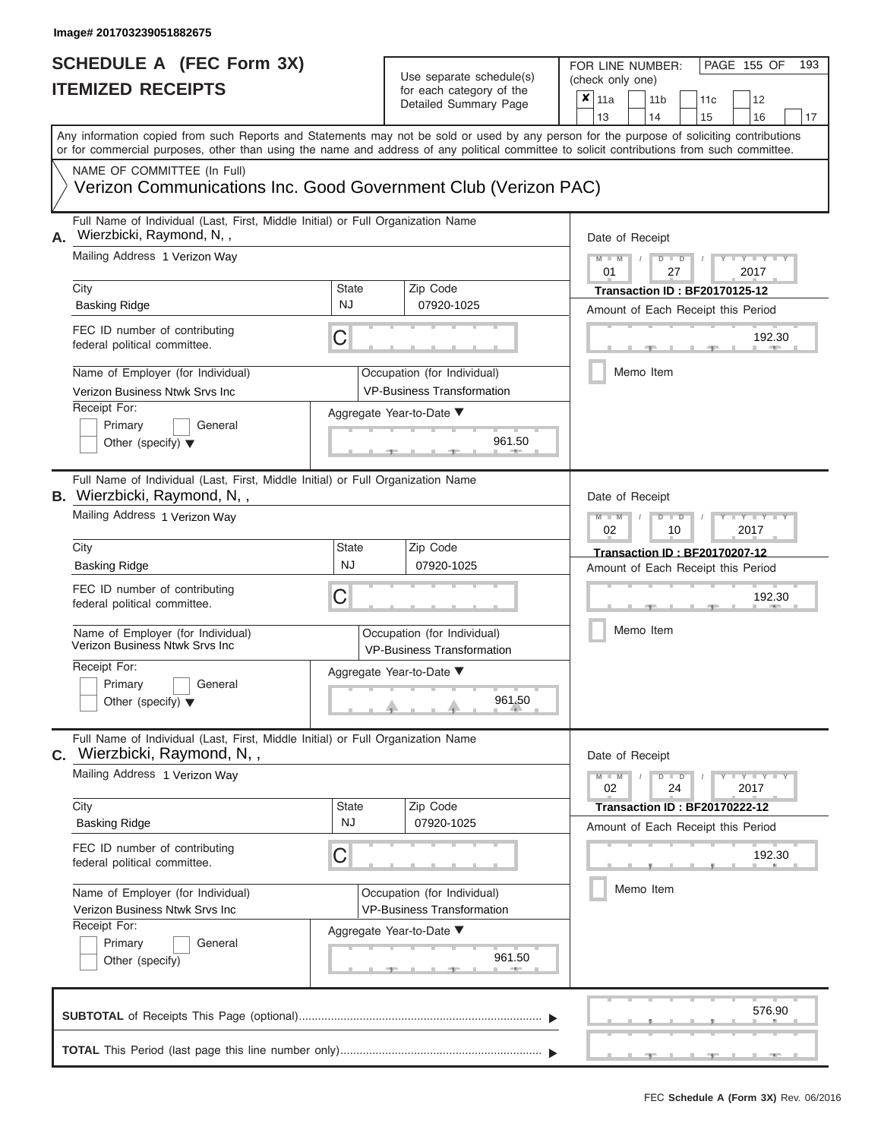ı

### **SCHEDULE A (FEC Form 3X) ITEMIZED RECEIPTS**

## Use separate schedule(s)<br>for each category of the

FOR LINE NUMBER:<br>(check only one)

PAGE 155 OF 193

|    | IILMILLU RLVLIF IJ                                                                                                                                                                                                                                                                      |                           |                                        | iul each caleguly of the<br>Detailed Summary Page                | ×                                            | 11a                 |  | 11 <sub>b</sub>                       |  | 11c                                  |  | 12                  |    |  |  |  |  |  |
|----|-----------------------------------------------------------------------------------------------------------------------------------------------------------------------------------------------------------------------------------------------------------------------------------------|---------------------------|----------------------------------------|------------------------------------------------------------------|----------------------------------------------|---------------------|--|---------------------------------------|--|--------------------------------------|--|---------------------|----|--|--|--|--|--|
|    |                                                                                                                                                                                                                                                                                         |                           |                                        |                                                                  |                                              | 13                  |  | 14                                    |  | 15                                   |  | 16                  | 17 |  |  |  |  |  |
|    | Any information copied from such Reports and Statements may not be sold or used by any person for the purpose of soliciting contributions<br>or for commercial purposes, other than using the name and address of any political committee to solicit contributions from such committee. |                           |                                        |                                                                  |                                              |                     |  |                                       |  |                                      |  |                     |    |  |  |  |  |  |
|    | NAME OF COMMITTEE (In Full)                                                                                                                                                                                                                                                             |                           |                                        |                                                                  |                                              |                     |  |                                       |  |                                      |  |                     |    |  |  |  |  |  |
|    | Verizon Communications Inc. Good Government Club (Verizon PAC)                                                                                                                                                                                                                          |                           |                                        |                                                                  |                                              |                     |  |                                       |  |                                      |  |                     |    |  |  |  |  |  |
| Α. | Full Name of Individual (Last, First, Middle Initial) or Full Organization Name<br>Wierzbicki, Raymond, N,,                                                                                                                                                                             |                           |                                        |                                                                  | Date of Receipt                              |                     |  |                                       |  |                                      |  |                     |    |  |  |  |  |  |
|    | Mailing Address 1 Verizon Way                                                                                                                                                                                                                                                           |                           | $M - M$<br>$D$ $D$<br>01<br>27<br>2017 |                                                                  |                                              |                     |  |                                       |  |                                      |  |                     |    |  |  |  |  |  |
|    | City                                                                                                                                                                                                                                                                                    | State                     |                                        | Zip Code                                                         |                                              |                     |  |                                       |  | <b>Transaction ID: BF20170125-12</b> |  |                     |    |  |  |  |  |  |
|    | <b>Basking Ridge</b>                                                                                                                                                                                                                                                                    | <b>NJ</b>                 |                                        | 07920-1025                                                       | Amount of Each Receipt this Period<br>192.30 |                     |  |                                       |  |                                      |  |                     |    |  |  |  |  |  |
|    | FEC ID number of contributing<br>federal political committee.                                                                                                                                                                                                                           | С                         |                                        |                                                                  |                                              |                     |  |                                       |  |                                      |  |                     |    |  |  |  |  |  |
|    | Name of Employer (for Individual)<br>Verizon Business Ntwk Srvs Inc                                                                                                                                                                                                                     |                           |                                        | Occupation (for Individual)<br><b>VP-Business Transformation</b> |                                              |                     |  | Memo Item                             |  |                                      |  |                     |    |  |  |  |  |  |
|    | Receipt For:                                                                                                                                                                                                                                                                            |                           |                                        | Aggregate Year-to-Date ▼                                         |                                              |                     |  |                                       |  |                                      |  |                     |    |  |  |  |  |  |
|    | Primary<br>General<br>Other (specify) $\blacktriangledown$                                                                                                                                                                                                                              |                           |                                        | 961.50                                                           |                                              |                     |  |                                       |  |                                      |  |                     |    |  |  |  |  |  |
|    | Full Name of Individual (Last, First, Middle Initial) or Full Organization Name<br><b>B.</b> Wierzbicki, Raymond, N,,                                                                                                                                                                   |                           |                                        |                                                                  |                                              | Date of Receipt     |  |                                       |  |                                      |  |                     |    |  |  |  |  |  |
|    | Mailing Address 1 Verizon Way                                                                                                                                                                                                                                                           |                           |                                        |                                                                  |                                              |                     |  | $M$ $M$<br>$\Box$<br>02<br>2017<br>10 |  |                                      |  |                     |    |  |  |  |  |  |
|    | City                                                                                                                                                                                                                                                                                    | Zip Code<br>State         |                                        |                                                                  |                                              |                     |  |                                       |  | <b>Transaction ID: BF20170207-12</b> |  |                     |    |  |  |  |  |  |
|    | <b>Basking Ridge</b>                                                                                                                                                                                                                                                                    | <b>NJ</b>                 |                                        | 07920-1025                                                       | Amount of Each Receipt this Period           |                     |  |                                       |  |                                      |  |                     |    |  |  |  |  |  |
|    | FEC ID number of contributing<br>federal political committee.                                                                                                                                                                                                                           | С                         |                                        |                                                                  |                                              | 192.30<br>Memo Item |  |                                       |  |                                      |  |                     |    |  |  |  |  |  |
|    | Name of Employer (for Individual)<br>Verizon Business Ntwk Srvs Inc                                                                                                                                                                                                                     |                           |                                        | Occupation (for Individual)<br><b>VP-Business Transformation</b> |                                              |                     |  |                                       |  |                                      |  |                     |    |  |  |  |  |  |
|    | Receipt For:                                                                                                                                                                                                                                                                            | Aggregate Year-to-Date ▼  |                                        |                                                                  |                                              |                     |  |                                       |  |                                      |  |                     |    |  |  |  |  |  |
|    | Primary<br>General<br>Other (specify) $\blacktriangledown$                                                                                                                                                                                                                              |                           |                                        | 961.50                                                           |                                              |                     |  |                                       |  |                                      |  |                     |    |  |  |  |  |  |
| С. | Full Name of Individual (Last, First, Middle Initial) or Full Organization Name<br>Wierzbicki, Raymond, N,,                                                                                                                                                                             |                           |                                        |                                                                  |                                              | Date of Receipt     |  |                                       |  |                                      |  |                     |    |  |  |  |  |  |
|    | Mailing Address 1 Verizon Way                                                                                                                                                                                                                                                           |                           |                                        |                                                                  |                                              | $M - M$<br>02       |  | $D$ $D$<br>24                         |  |                                      |  | $Y - Y - Y$<br>2017 |    |  |  |  |  |  |
|    | City                                                                                                                                                                                                                                                                                    | <b>State</b><br><b>NJ</b> |                                        | Zip Code<br>07920-1025                                           |                                              |                     |  |                                       |  | <b>Transaction ID: BF20170222-12</b> |  |                     |    |  |  |  |  |  |
|    | <b>Basking Ridge</b>                                                                                                                                                                                                                                                                    |                           |                                        |                                                                  |                                              |                     |  |                                       |  | Amount of Each Receipt this Period   |  |                     |    |  |  |  |  |  |
|    | FEC ID number of contributing<br>federal political committee.                                                                                                                                                                                                                           | С                         |                                        |                                                                  |                                              |                     |  |                                       |  |                                      |  | 192.30              |    |  |  |  |  |  |
|    | Name of Employer (for Individual)                                                                                                                                                                                                                                                       |                           |                                        | Occupation (for Individual)                                      |                                              |                     |  | Memo Item                             |  |                                      |  |                     |    |  |  |  |  |  |
|    | Verizon Business Ntwk Srvs Inc                                                                                                                                                                                                                                                          |                           |                                        | <b>VP-Business Transformation</b>                                |                                              |                     |  |                                       |  |                                      |  |                     |    |  |  |  |  |  |
|    | Receipt For:<br>Primary<br>General                                                                                                                                                                                                                                                      |                           |                                        | Aggregate Year-to-Date ▼                                         |                                              |                     |  |                                       |  |                                      |  |                     |    |  |  |  |  |  |
|    | Other (specify)                                                                                                                                                                                                                                                                         |                           |                                        |                                                                  |                                              |                     |  |                                       |  |                                      |  |                     |    |  |  |  |  |  |
|    |                                                                                                                                                                                                                                                                                         |                           |                                        |                                                                  |                                              |                     |  |                                       |  |                                      |  | 576.90              |    |  |  |  |  |  |
|    |                                                                                                                                                                                                                                                                                         |                           |                                        |                                                                  |                                              |                     |  |                                       |  |                                      |  |                     |    |  |  |  |  |  |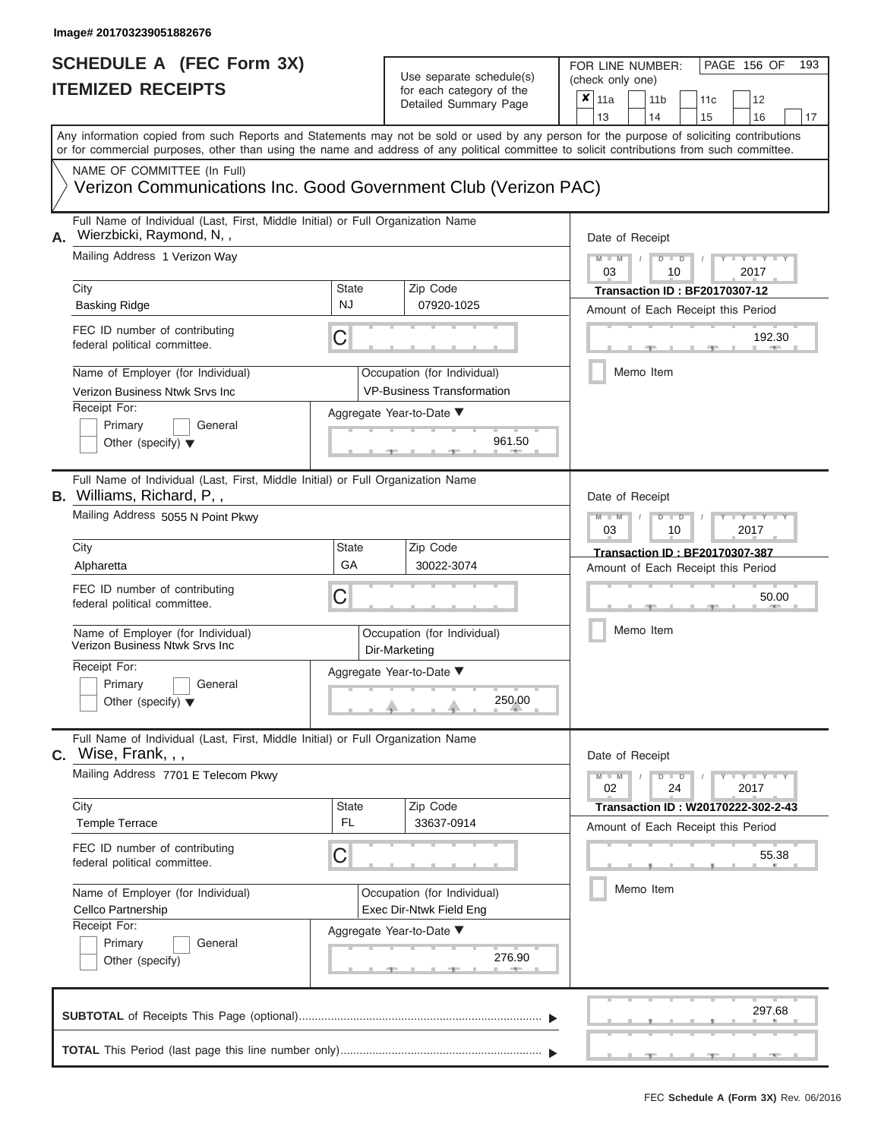### **SCHEDULE A (FEC Form 3X) ITEMIZED RECEIPTS**

## Use separate schedule(s)

| SCHEDULE A (FEC Form 3X)<br><b>ITEMIZED RECEIPTS</b>                                                                                               |                    | Use separate schedule(s)<br>for each category of the<br>Detailed Summary Page | 193<br>FOR LINE NUMBER:<br>PAGE 156 OF<br>(check only one)<br>$\boldsymbol{x}$<br>11a<br>11 <sub>b</sub><br>12<br>11c                                                   |  |  |  |  |  |  |  |  |
|----------------------------------------------------------------------------------------------------------------------------------------------------|--------------------|-------------------------------------------------------------------------------|-------------------------------------------------------------------------------------------------------------------------------------------------------------------------|--|--|--|--|--|--|--|--|
| or for commercial purposes, other than using the name and address of any political committee to solicit contributions from such committee.         |                    |                                                                               | 13<br>14<br>15<br>16<br>17<br>Any information copied from such Reports and Statements may not be sold or used by any person for the purpose of soliciting contributions |  |  |  |  |  |  |  |  |
| NAME OF COMMITTEE (In Full)<br>Verizon Communications Inc. Good Government Club (Verizon PAC)                                                      |                    |                                                                               |                                                                                                                                                                         |  |  |  |  |  |  |  |  |
| Full Name of Individual (Last, First, Middle Initial) or Full Organization Name<br>Wierzbicki, Raymond, N,,<br>А.<br>Mailing Address 1 Verizon Wav |                    |                                                                               | Date of Receipt<br>$M - M$<br>$D$ $D$<br>$Y - Y - I$<br>03<br>2017<br>10                                                                                                |  |  |  |  |  |  |  |  |
| City<br><b>Basking Ridge</b>                                                                                                                       | State<br><b>NJ</b> | Zip Code<br>07920-1025                                                        | <b>Transaction ID: BF20170307-12</b><br>Amount of Each Receipt this Period                                                                                              |  |  |  |  |  |  |  |  |
| FEC ID number of contributing<br>federal political committee.                                                                                      | C                  |                                                                               | 192.30                                                                                                                                                                  |  |  |  |  |  |  |  |  |
| Name of Employer (for Individual)<br>Verizon Business Ntwk Srvs Inc<br>Receipt For:                                                                |                    | Occupation (for Individual)<br><b>VP-Business Transformation</b>              | Memo Item                                                                                                                                                               |  |  |  |  |  |  |  |  |
| Primary<br>General<br>Other (specify) $\blacktriangledown$                                                                                         |                    | Aggregate Year-to-Date ▼<br>961.50                                            |                                                                                                                                                                         |  |  |  |  |  |  |  |  |
| Full Name of Individual (Last, First, Middle Initial) or Full Organization Name<br>B. Williams, Richard, P,,<br>Mailing Address 5055 N Point Pkwy  |                    |                                                                               | Date of Receipt<br>$M - M$<br>$D$ $D$<br>Y Y                                                                                                                            |  |  |  |  |  |  |  |  |
| City                                                                                                                                               | State              | Zip Code                                                                      | 03<br>2017<br>10                                                                                                                                                        |  |  |  |  |  |  |  |  |
| Alpharetta                                                                                                                                         | GA                 | 30022-3074                                                                    | Transaction ID: BF20170307-387<br>Amount of Each Receipt this Period                                                                                                    |  |  |  |  |  |  |  |  |
| FEC ID number of contributing<br>federal political committee.                                                                                      | С                  |                                                                               | 50.00                                                                                                                                                                   |  |  |  |  |  |  |  |  |
| Name of Employer (for Individual)<br>Verizon Business Ntwk Srvs Inc                                                                                |                    | Occupation (for Individual)<br>Dir-Marketing                                  | Memo Item                                                                                                                                                               |  |  |  |  |  |  |  |  |
| Receipt For:                                                                                                                                       |                    | Aggregate Year-to-Date ▼                                                      |                                                                                                                                                                         |  |  |  |  |  |  |  |  |
| Primary<br>General<br>Other (specify) $\blacktriangledown$                                                                                         |                    | 250.00                                                                        |                                                                                                                                                                         |  |  |  |  |  |  |  |  |
| Full Name of Individual (Last, First, Middle Initial) or Full Organization Name<br>$c.$ Wise, Frank, , ,                                           |                    |                                                                               | Date of Receipt                                                                                                                                                         |  |  |  |  |  |  |  |  |
| Mailing Address 7701 E Telecom Pkwy                                                                                                                |                    |                                                                               | $M - M$<br>$D$ $D$<br>$T - Y = Y - T Y$<br>24<br>2017<br>02                                                                                                             |  |  |  |  |  |  |  |  |
| City<br><b>Temple Terrace</b>                                                                                                                      | State<br>FL.       | Zip Code<br>33637-0914                                                        | Transaction ID: W20170222-302-2-43<br>Amount of Each Receipt this Period                                                                                                |  |  |  |  |  |  |  |  |
| FEC ID number of contributing<br>federal political committee.                                                                                      | С                  |                                                                               | 55.38                                                                                                                                                                   |  |  |  |  |  |  |  |  |
| Name of Employer (for Individual)<br>Cellco Partnership                                                                                            |                    | Occupation (for Individual)<br>Exec Dir-Ntwk Field Eng                        | Memo Item                                                                                                                                                               |  |  |  |  |  |  |  |  |
| Receipt For:<br>Primary<br>General<br>Other (specify)                                                                                              |                    | Aggregate Year-to-Date ▼<br>276.90                                            |                                                                                                                                                                         |  |  |  |  |  |  |  |  |
|                                                                                                                                                    |                    |                                                                               | 297.68                                                                                                                                                                  |  |  |  |  |  |  |  |  |
|                                                                                                                                                    |                    |                                                                               |                                                                                                                                                                         |  |  |  |  |  |  |  |  |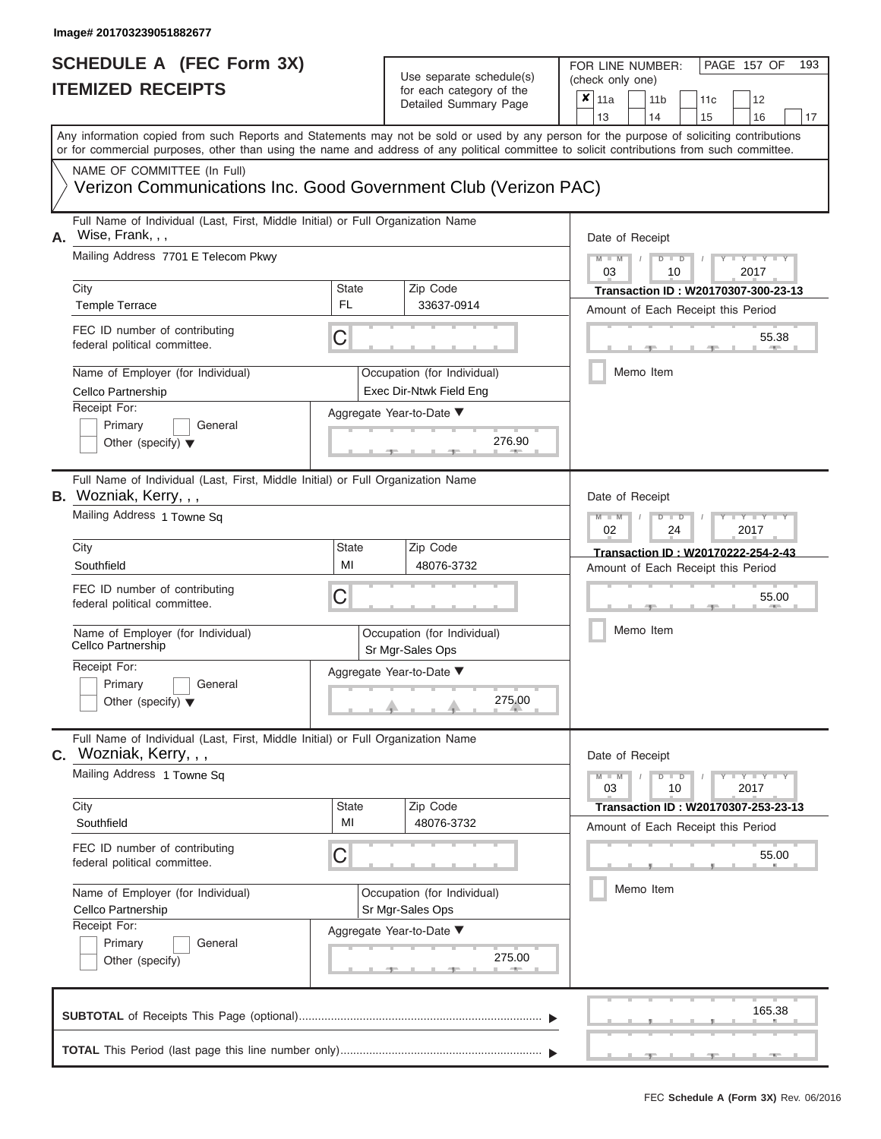FOR LINE NUMBER:<br>(check only one)

PAGE 157 OF 193

| IILMILLU I\LVLII IJ |                                                                                                                                                                                                                                                                                         | iui cauli calcyuly ul lile<br>Detailed Summary Page    | ×                                                                                             | 11a       |                 |           | 11 <sub>b</sub> | 11c                                                                                           |    | 12 |                                                                           |    |  |  |  |
|---------------------|-----------------------------------------------------------------------------------------------------------------------------------------------------------------------------------------------------------------------------------------------------------------------------------------|--------------------------------------------------------|-----------------------------------------------------------------------------------------------|-----------|-----------------|-----------|-----------------|-----------------------------------------------------------------------------------------------|----|----|---------------------------------------------------------------------------|----|--|--|--|
|                     | Any information copied from such Reports and Statements may not be sold or used by any person for the purpose of soliciting contributions<br>or for commercial purposes, other than using the name and address of any political committee to solicit contributions from such committee. |                                                        |                                                                                               |           | 13              |           | 14              |                                                                                               | 15 |    | 16                                                                        | 17 |  |  |  |
|                     | NAME OF COMMITTEE (In Full)<br>Verizon Communications Inc. Good Government Club (Verizon PAC)                                                                                                                                                                                           |                                                        |                                                                                               |           |                 |           |                 |                                                                                               |    |    |                                                                           |    |  |  |  |
| А.                  | Full Name of Individual (Last, First, Middle Initial) or Full Organization Name<br>Wise, Frank, , ,<br>Mailing Address 7701 E Telecom Pkwy                                                                                                                                              |                                                        | Date of Receipt<br>$M - M$<br>$D$ $D$                                                         |           |                 |           |                 |                                                                                               |    |    |                                                                           |    |  |  |  |
|                     | City<br><b>State</b><br><b>FL</b><br><b>Temple Terrace</b>                                                                                                                                                                                                                              |                                                        | 03<br>2017<br>10<br>Transaction ID: W20170307-300-23-13<br>Amount of Each Receipt this Period |           |                 |           |                 |                                                                                               |    |    |                                                                           |    |  |  |  |
|                     | FEC ID number of contributing<br>C<br>federal political committee.                                                                                                                                                                                                                      | 33637-0914                                             |                                                                                               |           |                 |           |                 |                                                                                               |    |    | 55.38                                                                     |    |  |  |  |
|                     | Name of Employer (for Individual)<br>Cellco Partnership<br>Receipt For:                                                                                                                                                                                                                 | Occupation (for Individual)<br>Exec Dir-Ntwk Field Eng |                                                                                               |           |                 |           |                 | Memo Item                                                                                     |    |    |                                                                           |    |  |  |  |
|                     | Primary<br>General<br>Other (specify) $\blacktriangledown$                                                                                                                                                                                                                              | Aggregate Year-to-Date ▼<br>276.90                     |                                                                                               |           |                 |           |                 |                                                                                               |    |    |                                                                           |    |  |  |  |
|                     | Full Name of Individual (Last, First, Middle Initial) or Full Organization Name<br><b>B.</b> Wozniak, Kerry, , ,                                                                                                                                                                        |                                                        | Date of Receipt                                                                               |           |                 |           |                 |                                                                                               |    |    |                                                                           |    |  |  |  |
|                     | Mailing Address 1 Towne Sq<br>City                                                                                                                                                                                                                                                      | Zip Code<br>State                                      |                                                                                               |           |                 |           |                 | $M - M$<br>Y<br>D<br>$\blacksquare$<br>02<br>2017<br>24<br>Transaction ID: W20170222-254-2-43 |    |    |                                                                           |    |  |  |  |
|                     | MI<br>Southfield                                                                                                                                                                                                                                                                        |                                                        | 48076-3732                                                                                    |           |                 |           |                 |                                                                                               |    |    | Amount of Each Receipt this Period                                        |    |  |  |  |
|                     | FEC ID number of contributing<br>С<br>federal political committee.                                                                                                                                                                                                                      | Occupation (for Individual)<br>Sr Mgr-Sales Ops        |                                                                                               |           |                 |           |                 |                                                                                               |    |    | 55.00                                                                     |    |  |  |  |
|                     | Name of Employer (for Individual)<br>Cellco Partnership                                                                                                                                                                                                                                 |                                                        |                                                                                               |           |                 | Memo Item |                 |                                                                                               |    |    |                                                                           |    |  |  |  |
|                     | Receipt For:<br>Primary<br>General<br>Other (specify) $\blacktriangledown$                                                                                                                                                                                                              |                                                        | Aggregate Year-to-Date ▼<br>275.00                                                            |           |                 |           |                 |                                                                                               |    |    |                                                                           |    |  |  |  |
| С.                  | Full Name of Individual (Last, First, Middle Initial) or Full Organization Name<br>Wozniak, Kerry, , ,                                                                                                                                                                                  |                                                        |                                                                                               |           | Date of Receipt |           |                 |                                                                                               |    |    |                                                                           |    |  |  |  |
|                     | Mailing Address 1 Towne Sq<br><b>State</b>                                                                                                                                                                                                                                              |                                                        | Zip Code                                                                                      |           | $M - M$<br>03   |           |                 | $D$ $D$<br>10                                                                                 |    |    | $Y = Y = Y$<br>2017                                                       |    |  |  |  |
|                     | City<br>MI<br>Southfield                                                                                                                                                                                                                                                                |                                                        | 48076-3732                                                                                    |           |                 |           |                 |                                                                                               |    |    | Transaction ID: W20170307-253-23-13<br>Amount of Each Receipt this Period |    |  |  |  |
|                     | FEC ID number of contributing<br>С<br>federal political committee.                                                                                                                                                                                                                      |                                                        |                                                                                               |           |                 |           |                 |                                                                                               |    |    | 55.00                                                                     |    |  |  |  |
|                     | Name of Employer (for Individual)<br>Cellco Partnership<br>Receipt For:                                                                                                                                                                                                                 |                                                        |                                                                                               | Memo Item |                 |           |                 |                                                                                               |    |    |                                                                           |    |  |  |  |
|                     | Primary<br>General<br>Other (specify)                                                                                                                                                                                                                                                   |                                                        | Aggregate Year-to-Date ▼<br>275.00                                                            |           |                 |           |                 |                                                                                               |    |    |                                                                           |    |  |  |  |
|                     |                                                                                                                                                                                                                                                                                         |                                                        |                                                                                               |           |                 |           |                 |                                                                                               |    |    | 165.38                                                                    |    |  |  |  |
|                     |                                                                                                                                                                                                                                                                                         |                                                        |                                                                                               |           |                 |           |                 |                                                                                               |    |    |                                                                           |    |  |  |  |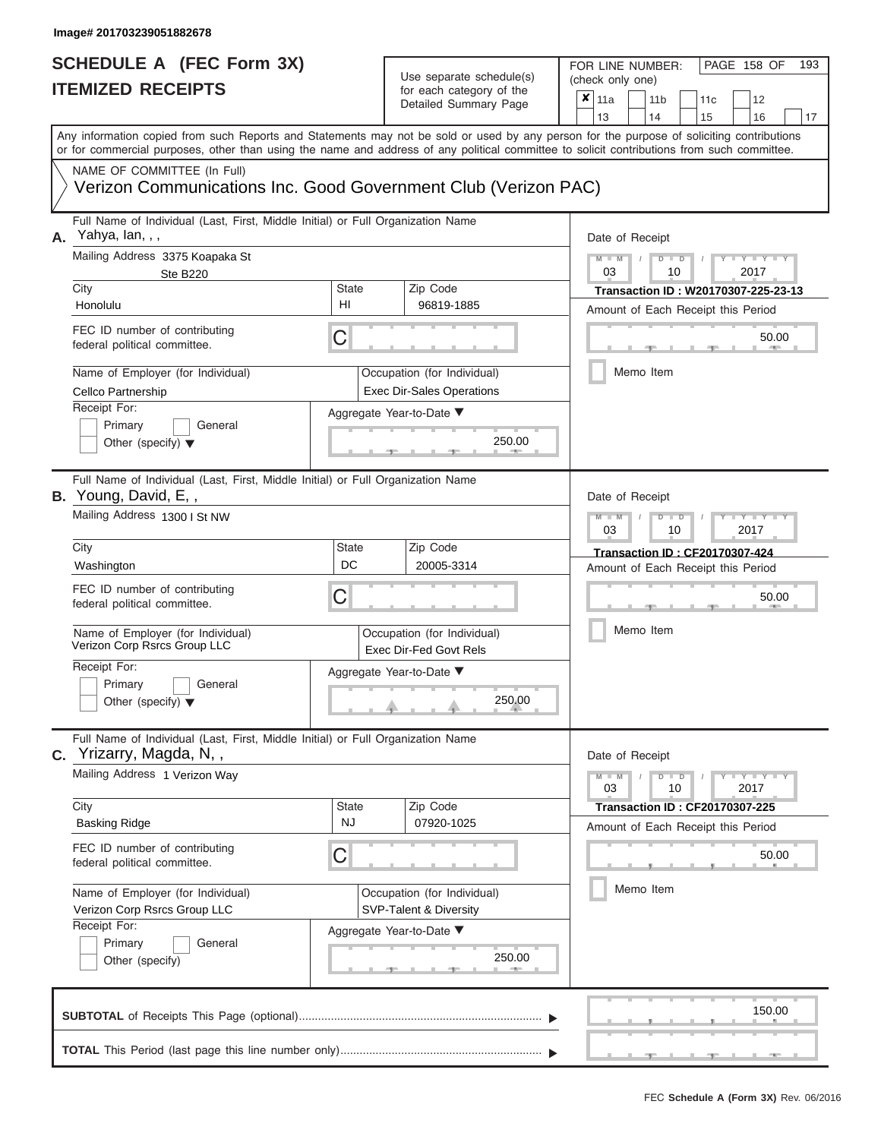# **SCHEDULE A (FEC Form 3X)**

| SCHEDULE A (FEC Form 3X)<br><b>ITEMIZED RECEIPTS</b>                                                                                                                                                                                                                                                                                                                                      |                                | Use separate schedule(s)<br>for each category of the<br>Detailed Summary Page                                                   | 193<br>FOR LINE NUMBER:<br>PAGE 158 OF<br>(check only one)<br>$\overline{\mathbf{x}}$   11a<br>11 <sub>b</sub><br>12<br>11c<br>13<br>14<br>15<br>16<br>17                                                                                 |
|-------------------------------------------------------------------------------------------------------------------------------------------------------------------------------------------------------------------------------------------------------------------------------------------------------------------------------------------------------------------------------------------|--------------------------------|---------------------------------------------------------------------------------------------------------------------------------|-------------------------------------------------------------------------------------------------------------------------------------------------------------------------------------------------------------------------------------------|
| Any information copied from such Reports and Statements may not be sold or used by any person for the purpose of soliciting contributions<br>or for commercial purposes, other than using the name and address of any political committee to solicit contributions from such committee.<br>NAME OF COMMITTEE (In Full)<br>Verizon Communications Inc. Good Government Club (Verizon PAC)  |                                |                                                                                                                                 |                                                                                                                                                                                                                                           |
| Full Name of Individual (Last, First, Middle Initial) or Full Organization Name<br>A. Yahya, lan, , ,<br>Mailing Address 3375 Koapaka St<br><b>Ste B220</b><br>City<br>Honolulu<br>FEC ID number of contributing<br>federal political committee.<br>Name of Employer (for Individual)<br>Cellco Partnership<br>Receipt For:<br>Primary<br>General<br>Other (specify) $\blacktriangledown$ | <b>State</b><br>HI<br>С        | Zip Code<br>96819-1885<br>Occupation (for Individual)<br><b>Exec Dir-Sales Operations</b><br>Aggregate Year-to-Date ▼<br>250.00 | Date of Receipt<br>$M - M$<br>$Y - Y - Y$<br>$D$ $D$<br>$\frac{1}{2}$<br>03<br>2017<br>10<br>Transaction ID: W20170307-225-23-13<br>Amount of Each Receipt this Period<br>50.00<br><b>AND I</b><br>Memo Item                              |
| Full Name of Individual (Last, First, Middle Initial) or Full Organization Name<br>B. Young, David, E,,<br>Mailing Address 1300 I St NW<br>City<br>Washington<br>FEC ID number of contributing<br>federal political committee.<br>Name of Employer (for Individual)<br>Verizon Corp Rsrcs Group LLC<br>Receipt For:<br>Primary<br>General<br>Other (specify) $\blacktriangledown$         | <b>State</b><br>DC<br>С        | Zip Code<br>20005-3314<br>Occupation (for Individual)<br><b>Exec Dir-Fed Govt Rels</b><br>Aggregate Year-to-Date ▼<br>250.00    | Date of Receipt<br>$M - M$<br>$D$ $\Box$ $D$<br>Y I Y I<br>03<br>2017<br>10<br><b>Transaction ID: CF20170307-424</b><br>Amount of Each Receipt this Period<br>50.00<br>Memo Item                                                          |
| Full Name of Individual (Last, First, Middle Initial) or Full Organization Name<br>Yrizarry, Magda, N,,<br>С.<br>Mailing Address 1 Verizon Way<br>City<br><b>Basking Ridge</b><br>FEC ID number of contributing<br>federal political committee.<br>Name of Employer (for Individual)<br>Verizon Corp Rsrcs Group LLC<br>Receipt For:<br>Primary<br>General<br>Other (specify)             | <b>State</b><br><b>NJ</b><br>С | Zip Code<br>07920-1025<br>Occupation (for Individual)<br>SVP-Talent & Diversity<br>Aggregate Year-to-Date ▼<br>250.00           | Date of Receipt<br>$M - M$<br>$D$ $\Box$ $D$<br>$\mathbf{I} = \mathbf{Y} - \mathbf{I} - \mathbf{Y} - \mathbf{I}$<br>10<br>2017<br>03<br><b>Transaction ID: CF20170307-225</b><br>Amount of Each Receipt this Period<br>50.00<br>Memo Item |
|                                                                                                                                                                                                                                                                                                                                                                                           |                                |                                                                                                                                 | 150.00                                                                                                                                                                                                                                    |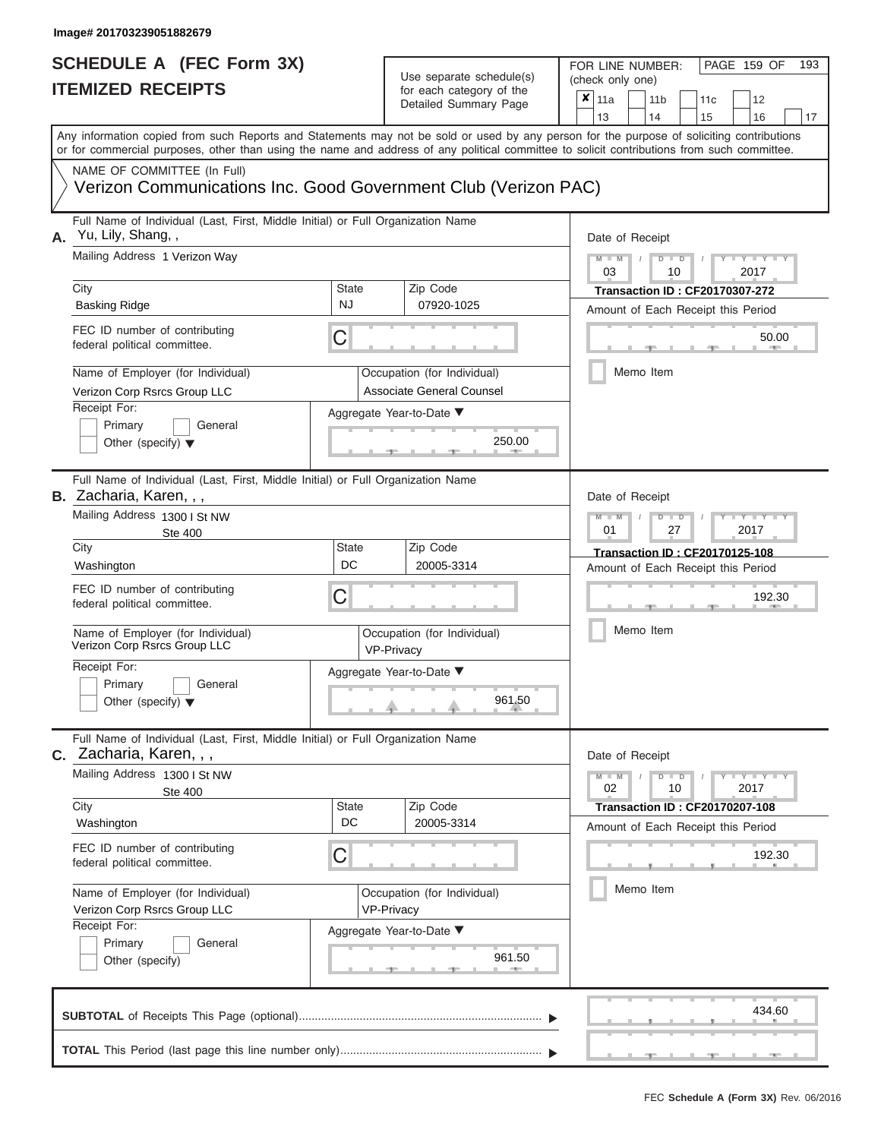### **SCHEDULE A (FEC Form 3X) ITEMIZED RECEIPTS**

## Use separate schedule(s)  $\frac{1}{\pi}$  for each category of the

FOR LINE NUMBER:<br>(check only one)

PAGE 159 OF 193

| IIEMILED REVEIFIJ                                                                                                                                                                                                                                                                       |                                                          | ior each category of the                              | ×                                                                           | 11a                                                    |                     | 11 <sub>b</sub> |               | 11c | 12                                                                          |        |
|-----------------------------------------------------------------------------------------------------------------------------------------------------------------------------------------------------------------------------------------------------------------------------------------|----------------------------------------------------------|-------------------------------------------------------|-----------------------------------------------------------------------------|--------------------------------------------------------|---------------------|-----------------|---------------|-----|-----------------------------------------------------------------------------|--------|
|                                                                                                                                                                                                                                                                                         |                                                          | Detailed Summary Page                                 |                                                                             | 13                                                     |                     | 14              |               | 15  | 16                                                                          | 17     |
| Any information copied from such Reports and Statements may not be sold or used by any person for the purpose of soliciting contributions<br>or for commercial purposes, other than using the name and address of any political committee to solicit contributions from such committee. |                                                          |                                                       |                                                                             |                                                        |                     |                 |               |     |                                                                             |        |
| NAME OF COMMITTEE (In Full)<br>Verizon Communications Inc. Good Government Club (Verizon PAC)                                                                                                                                                                                           |                                                          |                                                       |                                                                             |                                                        |                     |                 |               |     |                                                                             |        |
| Full Name of Individual (Last, First, Middle Initial) or Full Organization Name<br>Yu, Lily, Shang, ,<br>Α.                                                                                                                                                                             | Date of Receipt                                          |                                                       |                                                                             |                                                        |                     |                 |               |     |                                                                             |        |
| Mailing Address 1 Verizon Way                                                                                                                                                                                                                                                           |                                                          |                                                       |                                                                             | $M - M$<br>$\mathbf{y}$<br>$D$ $D$<br>03<br>10<br>2017 |                     |                 |               |     |                                                                             |        |
| City<br><b>Basking Ridge</b>                                                                                                                                                                                                                                                            | <b>State</b><br><b>NJ</b>                                | Zip Code<br>07920-1025                                | <b>Transaction ID: CF20170307-272</b><br>Amount of Each Receipt this Period |                                                        |                     |                 |               |     |                                                                             |        |
| FEC ID number of contributing<br>federal political committee.                                                                                                                                                                                                                           | С                                                        |                                                       |                                                                             |                                                        |                     |                 |               |     |                                                                             | 50.00  |
| Name of Employer (for Individual)<br>Verizon Corp Rsrcs Group LLC                                                                                                                                                                                                                       | Occupation (for Individual)<br>Associate General Counsel |                                                       |                                                                             |                                                        |                     | Memo Item       |               |     |                                                                             |        |
| Receipt For:<br>Primary<br>General<br>Other (specify) $\blacktriangledown$                                                                                                                                                                                                              |                                                          | Aggregate Year-to-Date ▼<br>250.00                    |                                                                             |                                                        |                     |                 |               |     |                                                                             |        |
| Full Name of Individual (Last, First, Middle Initial) or Full Organization Name<br>B. Zacharia, Karen, , ,                                                                                                                                                                              |                                                          |                                                       |                                                                             | Date of Receipt                                        |                     |                 |               |     |                                                                             |        |
| Mailing Address 1300 I St NW<br>Ste 400                                                                                                                                                                                                                                                 |                                                          | $M - M$<br>$T - Y$<br>ъ<br>$\Box$<br>01<br>2017<br>27 |                                                                             |                                                        |                     |                 |               |     |                                                                             |        |
| City<br>Washington                                                                                                                                                                                                                                                                      | <b>State</b><br>DC                                       | Zip Code<br>20005-3314                                |                                                                             |                                                        |                     |                 |               |     | <b>Transaction ID: CF20170125-108</b><br>Amount of Each Receipt this Period |        |
| FEC ID number of contributing<br>federal political committee.                                                                                                                                                                                                                           | С                                                        |                                                       |                                                                             |                                                        | 192.30<br>Memo Item |                 |               |     |                                                                             |        |
| Name of Employer (for Individual)<br>Verizon Corp Rsrcs Group LLC                                                                                                                                                                                                                       | Occupation (for Individual)<br>VP-Privacy                |                                                       |                                                                             |                                                        |                     |                 |               |     |                                                                             |        |
| Receipt For:<br>Primary<br>General<br>Other (specify) $\blacktriangledown$                                                                                                                                                                                                              |                                                          | Aggregate Year-to-Date ▼<br>961.50                    |                                                                             |                                                        |                     |                 |               |     |                                                                             |        |
| Full Name of Individual (Last, First, Middle Initial) or Full Organization Name<br>$c.$ Zacharia, Karen, , ,                                                                                                                                                                            |                                                          |                                                       |                                                                             | Date of Receipt                                        |                     |                 |               |     |                                                                             |        |
| Mailing Address 1300 I St NW<br><b>Ste 400</b>                                                                                                                                                                                                                                          |                                                          |                                                       |                                                                             | $M - M$<br>02                                          |                     |                 | $D$ $D$<br>10 |     | $T - Y = T - Y = T - Y$<br>2017                                             |        |
| City<br>Washington                                                                                                                                                                                                                                                                      | <b>State</b><br>DC                                       | Zip Code<br>20005-3314                                |                                                                             |                                                        |                     |                 |               |     | <b>Transaction ID: CF20170207-108</b><br>Amount of Each Receipt this Period |        |
| FEC ID number of contributing<br>federal political committee.                                                                                                                                                                                                                           | С<br>Occupation (for Individual)<br>VP-Privacy           |                                                       |                                                                             |                                                        | 192.30              |                 |               |     |                                                                             |        |
| Name of Employer (for Individual)<br>Verizon Corp Rsrcs Group LLC                                                                                                                                                                                                                       |                                                          |                                                       |                                                                             |                                                        | Memo Item           |                 |               |     |                                                                             |        |
| Receipt For:<br>General<br>Primary<br>Other (specify)                                                                                                                                                                                                                                   |                                                          | Aggregate Year-to-Date ▼<br>961.50                    |                                                                             |                                                        |                     |                 |               |     |                                                                             |        |
|                                                                                                                                                                                                                                                                                         |                                                          |                                                       |                                                                             |                                                        |                     |                 |               |     |                                                                             | 434.60 |
|                                                                                                                                                                                                                                                                                         |                                                          |                                                       |                                                                             |                                                        |                     |                 |               |     |                                                                             |        |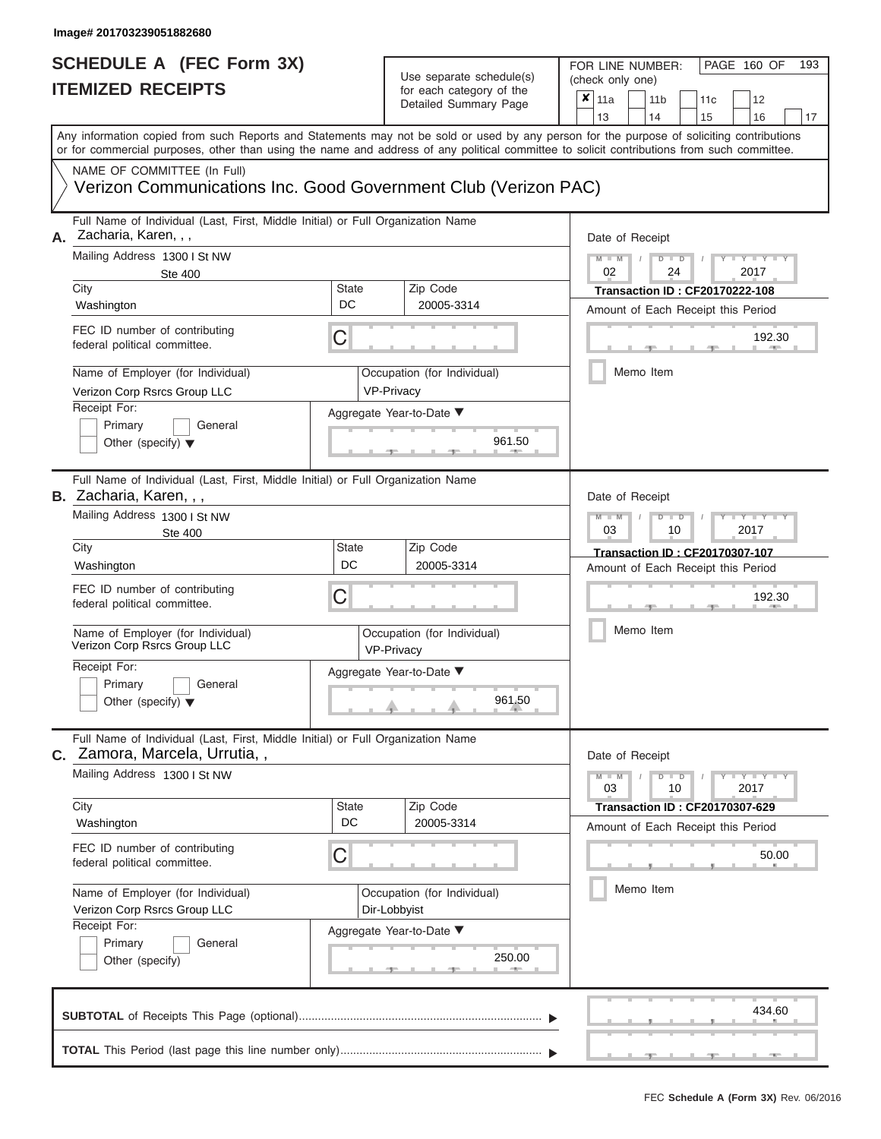# **SCHEDULE A (FEC Form 3X)**

| SCHEDULE A (FEC Form 3X)<br><b>ITEMIZED RECEIPTS</b>                                                                                                                                                                                                                                                                                                                                                          |                         | Use separate schedule(s)<br>for each category of the<br>Detailed Summary Page                                   | 193<br>FOR LINE NUMBER:<br>PAGE 160 OF<br>(check only one)<br>$\overline{\mathbf{x}}$   11a<br>11 <sub>b</sub><br>12<br>11c<br>13<br>14<br>15<br>16<br>17                                                                                 |
|---------------------------------------------------------------------------------------------------------------------------------------------------------------------------------------------------------------------------------------------------------------------------------------------------------------------------------------------------------------------------------------------------------------|-------------------------|-----------------------------------------------------------------------------------------------------------------|-------------------------------------------------------------------------------------------------------------------------------------------------------------------------------------------------------------------------------------------|
| Any information copied from such Reports and Statements may not be sold or used by any person for the purpose of soliciting contributions<br>or for commercial purposes, other than using the name and address of any political committee to solicit contributions from such committee.<br>NAME OF COMMITTEE (In Full)<br>Verizon Communications Inc. Good Government Club (Verizon PAC)                      |                         |                                                                                                                 |                                                                                                                                                                                                                                           |
| Full Name of Individual (Last, First, Middle Initial) or Full Organization Name<br>A. Zacharia, Karen, , ,<br>Mailing Address 1300 I St NW<br><b>Ste 400</b><br>City<br>Washington<br>FEC ID number of contributing<br>federal political committee.<br>Name of Employer (for Individual)<br>Verizon Corp Rsrcs Group LLC<br>Receipt For:<br>Primary<br>General<br>Other (specify) $\blacktriangledown$        | <b>State</b><br>DC<br>С | Zip Code<br>20005-3314<br>Occupation (for Individual)<br>VP-Privacy<br>Aggregate Year-to-Date ▼<br>961.50       | Date of Receipt<br>$M - M$<br>$D$ $D$<br>Y I Y I<br>$\sqrt{ }$<br>02<br>2017<br>24<br><b>Transaction ID: CF20170222-108</b><br>Amount of Each Receipt this Period<br>192.30<br><b>CONTRACTOR</b><br>Memo Item                             |
| Full Name of Individual (Last, First, Middle Initial) or Full Organization Name<br><b>B.</b> Zacharia, Karen, , ,<br>Mailing Address 1300 I St NW<br><b>Ste 400</b><br>City<br>Washington<br>FEC ID number of contributing<br>federal political committee.<br>Name of Employer (for Individual)<br>Verizon Corp Rsrcs Group LLC<br>Receipt For:<br>Primary<br>General<br>Other (specify) $\blacktriangledown$ | <b>State</b><br>DC<br>С | Zip Code<br>20005-3314<br>Occupation (for Individual)<br>VP-Privacy<br>Aggregate Year-to-Date ▼<br>961.50<br>J. | Date of Receipt<br>$M - M$<br>$D$ $\Box$ $D$<br>Y I Y I<br>03<br>2017<br>10<br><b>Transaction ID: CF20170307-107</b><br>Amount of Each Receipt this Period<br>192.30<br>Memo Item                                                         |
| Full Name of Individual (Last, First, Middle Initial) or Full Organization Name<br>C. Zamora, Marcela, Urrutia,,<br>Mailing Address 1300 I St NW<br>City<br>Washington<br>FEC ID number of contributing<br>federal political committee.<br>Name of Employer (for Individual)<br>Verizon Corp Rsrcs Group LLC<br>Receipt For:<br>Primary<br>General<br>Other (specify)                                         | <b>State</b><br>DC<br>С | Zip Code<br>20005-3314<br>Occupation (for Individual)<br>Dir-Lobbyist<br>Aggregate Year-to-Date ▼<br>250.00     | Date of Receipt<br>$M - M$<br>$D$ $\Box$ $D$<br>$\mathbf{I} = \mathbf{Y} - \mathbf{I} - \mathbf{Y} - \mathbf{I}$<br>10<br>2017<br>03<br><b>Transaction ID: CF20170307-629</b><br>Amount of Each Receipt this Period<br>50.00<br>Memo Item |
|                                                                                                                                                                                                                                                                                                                                                                                                               |                         |                                                                                                                 | 434.60                                                                                                                                                                                                                                    |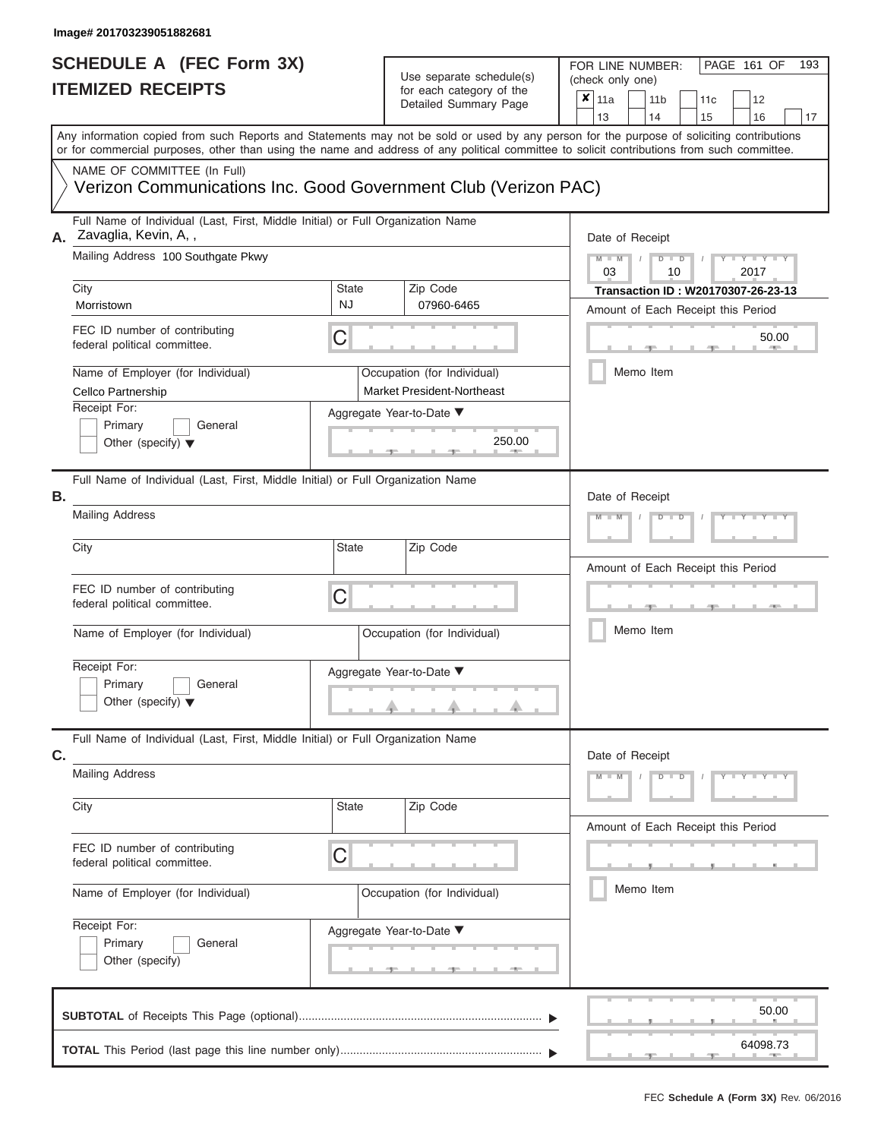FOR LINE NUMBER:<br>(check only one)

PAGE 161 OF 193

| IIEMIZED REGEIPIS                                                                                                                                                                                                                                                                       |                                  | for each category of the                                         | ×<br>12<br>11a<br>11 <sub>b</sub>                                          |  |  |  |  |  |  |
|-----------------------------------------------------------------------------------------------------------------------------------------------------------------------------------------------------------------------------------------------------------------------------------------|----------------------------------|------------------------------------------------------------------|----------------------------------------------------------------------------|--|--|--|--|--|--|
|                                                                                                                                                                                                                                                                                         |                                  | Detailed Summary Page                                            | 11c<br>13<br>14<br>15<br>16<br>17                                          |  |  |  |  |  |  |
| Any information copied from such Reports and Statements may not be sold or used by any person for the purpose of soliciting contributions<br>or for commercial purposes, other than using the name and address of any political committee to solicit contributions from such committee. |                                  |                                                                  |                                                                            |  |  |  |  |  |  |
| NAME OF COMMITTEE (In Full)<br>Verizon Communications Inc. Good Government Club (Verizon PAC)                                                                                                                                                                                           |                                  |                                                                  |                                                                            |  |  |  |  |  |  |
| Full Name of Individual (Last, First, Middle Initial) or Full Organization Name<br>A. Zavaglia, Kevin, A,,                                                                                                                                                                              |                                  |                                                                  | Date of Receipt                                                            |  |  |  |  |  |  |
| Mailing Address 100 Southgate Pkwy                                                                                                                                                                                                                                                      |                                  |                                                                  | Y - Y -<br>$M -$<br>$\overline{\mathsf{M}}$<br>$D$ $D$<br>03<br>10<br>2017 |  |  |  |  |  |  |
| City<br>Morristown                                                                                                                                                                                                                                                                      | <b>State</b><br>NJ               | Zip Code<br>07960-6465                                           | Transaction ID: W20170307-26-23-13<br>Amount of Each Receipt this Period   |  |  |  |  |  |  |
| FEC ID number of contributing<br>federal political committee.                                                                                                                                                                                                                           | C                                |                                                                  | 50.00                                                                      |  |  |  |  |  |  |
| Name of Employer (for Individual)<br>Cellco Partnership                                                                                                                                                                                                                                 |                                  | Occupation (for Individual)<br><b>Market President-Northeast</b> | Memo Item                                                                  |  |  |  |  |  |  |
| Receipt For:<br>Primary<br>General<br>Other (specify) $\blacktriangledown$                                                                                                                                                                                                              | Aggregate Year-to-Date ▼         | 250.00                                                           |                                                                            |  |  |  |  |  |  |
| Full Name of Individual (Last, First, Middle Initial) or Full Organization Name<br>В.                                                                                                                                                                                                   |                                  |                                                                  | Date of Receipt                                                            |  |  |  |  |  |  |
| <b>Mailing Address</b>                                                                                                                                                                                                                                                                  |                                  |                                                                  | $M - M$<br>Y TY TY T<br>D<br>D                                             |  |  |  |  |  |  |
| City                                                                                                                                                                                                                                                                                    | <b>State</b>                     | Zip Code                                                         | Amount of Each Receipt this Period                                         |  |  |  |  |  |  |
| FEC ID number of contributing<br>federal political committee.                                                                                                                                                                                                                           | C<br>Occupation (for Individual) |                                                                  |                                                                            |  |  |  |  |  |  |
| Name of Employer (for Individual)                                                                                                                                                                                                                                                       |                                  |                                                                  | Memo Item                                                                  |  |  |  |  |  |  |
| Receipt For:<br>Primary<br>General<br>Other (specify) $\blacktriangledown$                                                                                                                                                                                                              | Aggregate Year-to-Date ▼         |                                                                  |                                                                            |  |  |  |  |  |  |
| Full Name of Individual (Last, First, Middle Initial) or Full Organization Name<br>C.                                                                                                                                                                                                   |                                  |                                                                  | Date of Receipt                                                            |  |  |  |  |  |  |
| <b>Mailing Address</b>                                                                                                                                                                                                                                                                  |                                  |                                                                  | $M -$<br>$Y - Y - Y$<br>$D$ $D$<br>т<br>M                                  |  |  |  |  |  |  |
| City                                                                                                                                                                                                                                                                                    | <b>State</b>                     | Zip Code                                                         | Amount of Each Receipt this Period                                         |  |  |  |  |  |  |
| FEC ID number of contributing<br>federal political committee.                                                                                                                                                                                                                           | C                                |                                                                  |                                                                            |  |  |  |  |  |  |
| Name of Employer (for Individual)                                                                                                                                                                                                                                                       |                                  | Occupation (for Individual)                                      | Memo Item                                                                  |  |  |  |  |  |  |
| Receipt For:<br>Primary<br>General<br>Other (specify)                                                                                                                                                                                                                                   | Aggregate Year-to-Date ▼         |                                                                  |                                                                            |  |  |  |  |  |  |
|                                                                                                                                                                                                                                                                                         |                                  |                                                                  | 50.00                                                                      |  |  |  |  |  |  |
|                                                                                                                                                                                                                                                                                         |                                  |                                                                  | 64098.73                                                                   |  |  |  |  |  |  |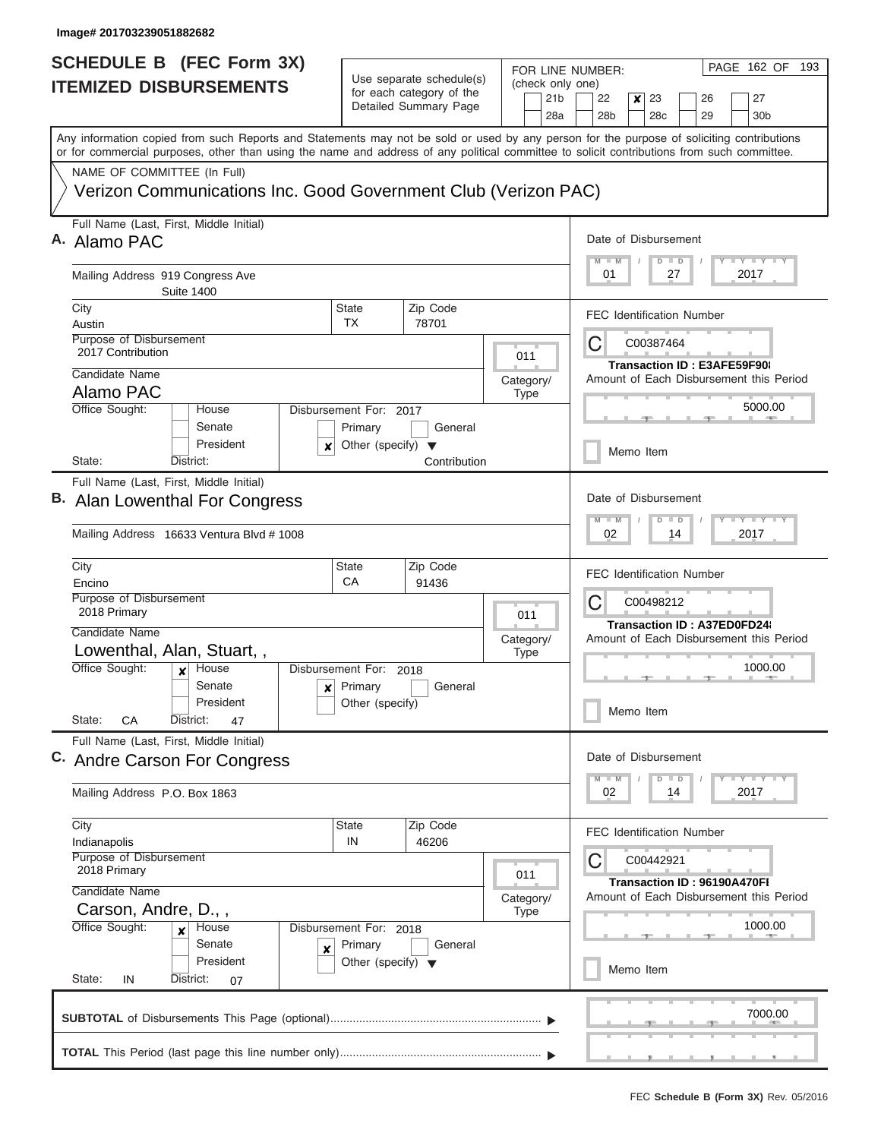| <b>SCHEDULE B</b> (FEC Form 3X)                                                                                                                                                                                                                                                         |                                                      |                       |           |                                     |          | FOR LINE NUMBER:                                                                        |                                                                             |                                               |  |          | PAGE 162 OF                | 193                                     |
|-----------------------------------------------------------------------------------------------------------------------------------------------------------------------------------------------------------------------------------------------------------------------------------------|------------------------------------------------------|-----------------------|-----------|-------------------------------------|----------|-----------------------------------------------------------------------------------------|-----------------------------------------------------------------------------|-----------------------------------------------|--|----------|----------------------------|-----------------------------------------|
| <b>ITEMIZED DISBURSEMENTS</b>                                                                                                                                                                                                                                                           | Use separate schedule(s)<br>for each category of the |                       |           | (check only one)<br>21 <sub>b</sub> | 22<br>27 |                                                                                         |                                                                             |                                               |  |          |                            |                                         |
|                                                                                                                                                                                                                                                                                         |                                                      | Detailed Summary Page |           |                                     | 28a      | 28 <sub>b</sub>                                                                         | ×                                                                           | 23<br>28c                                     |  | 26<br>29 | 30 <sub>b</sub>            |                                         |
| Any information copied from such Reports and Statements may not be sold or used by any person for the purpose of soliciting contributions<br>or for commercial purposes, other than using the name and address of any political committee to solicit contributions from such committee. |                                                      |                       |           |                                     |          |                                                                                         |                                                                             |                                               |  |          |                            |                                         |
| NAME OF COMMITTEE (In Full)                                                                                                                                                                                                                                                             |                                                      |                       |           |                                     |          |                                                                                         |                                                                             |                                               |  |          |                            |                                         |
| Verizon Communications Inc. Good Government Club (Verizon PAC)                                                                                                                                                                                                                          |                                                      |                       |           |                                     |          |                                                                                         |                                                                             |                                               |  |          |                            |                                         |
| Full Name (Last, First, Middle Initial)<br>A. Alamo PAC                                                                                                                                                                                                                                 |                                                      |                       |           |                                     |          | Date of Disbursement<br>$T$ $Y$ $T$ $Y$ $T$ $Y$                                         |                                                                             |                                               |  |          |                            |                                         |
| Mailing Address 919 Congress Ave<br><b>Suite 1400</b>                                                                                                                                                                                                                                   |                                                      |                       |           |                                     |          | $M$ $M$<br>01                                                                           |                                                                             | $D \parallel D$<br>27                         |  |          | 2017                       |                                         |
| City<br>Austin                                                                                                                                                                                                                                                                          | <b>State</b><br><b>TX</b>                            | Zip Code<br>78701     |           |                                     |          | <b>FEC Identification Number</b>                                                        |                                                                             |                                               |  |          |                            |                                         |
| Purpose of Disbursement<br>2017 Contribution                                                                                                                                                                                                                                            |                                                      |                       |           | 011                                 |          | C                                                                                       |                                                                             | C00387464                                     |  |          | Transaction ID: E3AFE59F90 |                                         |
| Candidate Name<br>Alamo PAC                                                                                                                                                                                                                                                             |                                                      |                       | Category/ |                                     |          |                                                                                         |                                                                             |                                               |  |          |                            | Amount of Each Disbursement this Period |
| Office Sought:<br>House<br>Senate                                                                                                                                                                                                                                                       | Disbursement For: 2017<br>Primary                    | General               |           | <b>Type</b>                         |          |                                                                                         |                                                                             |                                               |  |          |                            | 5000.00                                 |
| President<br>x<br>State:<br>District:                                                                                                                                                                                                                                                   | Other (specify) $\blacktriangledown$                 | Contribution          |           |                                     |          |                                                                                         | Memo Item                                                                   |                                               |  |          |                            |                                         |
| Full Name (Last, First, Middle Initial)<br>B. Alan Lowenthal For Congress                                                                                                                                                                                                               |                                                      |                       |           |                                     |          | Date of Disbursement<br>$M - M$                                                         |                                                                             |                                               |  |          | <b>LEYTHY LE</b>           |                                         |
| Mailing Address 16633 Ventura Blvd # 1008                                                                                                                                                                                                                                               |                                                      |                       |           |                                     |          | 02                                                                                      |                                                                             | D<br>$\blacksquare$<br>14                     |  |          | 2017                       |                                         |
| City<br>Encino                                                                                                                                                                                                                                                                          | <b>State</b><br>CA                                   | Zip Code<br>91436     |           |                                     |          | <b>FEC Identification Number</b>                                                        |                                                                             |                                               |  |          |                            |                                         |
| Purpose of Disbursement<br>2018 Primary                                                                                                                                                                                                                                                 | 011                                                  |                       |           |                                     |          | С<br>C00498212<br>Transaction ID: A37ED0FD24<br>Amount of Each Disbursement this Period |                                                                             |                                               |  |          |                            |                                         |
| Candidate Name<br>Lowenthal, Alan, Stuart,,                                                                                                                                                                                                                                             |                                                      |                       | Category/ | <b>Type</b>                         |          |                                                                                         |                                                                             |                                               |  |          |                            |                                         |
| Office Sought:<br>House<br>$\boldsymbol{x}$                                                                                                                                                                                                                                             | Disbursement For: 2018                               |                       |           |                                     |          |                                                                                         |                                                                             |                                               |  |          |                            | 1000.00                                 |
| Senate<br>President<br>State:<br>СA<br>District:<br>47                                                                                                                                                                                                                                  | $\mathbf{x}$ Primary<br>Other (specify)              | General               |           |                                     |          |                                                                                         | Memo Item                                                                   |                                               |  |          |                            |                                         |
| Full Name (Last, First, Middle Initial)<br>C. Andre Carson For Congress                                                                                                                                                                                                                 |                                                      |                       |           |                                     |          | Date of Disbursement                                                                    |                                                                             |                                               |  |          |                            |                                         |
| Mailing Address P.O. Box 1863                                                                                                                                                                                                                                                           |                                                      |                       |           |                                     |          | $M - M$<br>02                                                                           |                                                                             | $D$ $D$<br>14                                 |  |          | Y FY FY FY<br>2017         |                                         |
| City                                                                                                                                                                                                                                                                                    | <b>State</b>                                         | Zip Code              |           |                                     |          |                                                                                         |                                                                             |                                               |  |          |                            |                                         |
| Indianapolis<br>Purpose of Disbursement                                                                                                                                                                                                                                                 | IN<br>46206                                          |                       |           |                                     |          |                                                                                         |                                                                             | <b>FEC Identification Number</b><br>C00442921 |  |          |                            |                                         |
| 2018 Primary<br>011<br>Candidate Name<br>Category/                                                                                                                                                                                                                                      |                                                      |                       |           |                                     |          |                                                                                         | C<br>Transaction ID: 96190A470FI<br>Amount of Each Disbursement this Period |                                               |  |          |                            |                                         |
| Carson, Andre, D.,,<br>Office Sought:<br><b>House</b><br>$\boldsymbol{x}$                                                                                                                                                                                                               | Disbursement For: 2018                               |                       | Type      |                                     |          |                                                                                         |                                                                             |                                               |  |          |                            | 1000.00                                 |
| Senate<br>$\pmb{\times}$<br>President<br>State:<br>District:<br>IN<br>07                                                                                                                                                                                                                | Primary<br>Other (specify) $\blacktriangledown$      | General               |           |                                     |          |                                                                                         | Memo Item                                                                   |                                               |  |          |                            |                                         |
|                                                                                                                                                                                                                                                                                         |                                                      |                       |           |                                     |          |                                                                                         |                                                                             |                                               |  |          |                            |                                         |
|                                                                                                                                                                                                                                                                                         |                                                      |                       |           |                                     |          |                                                                                         |                                                                             |                                               |  |          |                            | 7000.00                                 |
|                                                                                                                                                                                                                                                                                         |                                                      |                       |           |                                     |          |                                                                                         |                                                                             |                                               |  |          |                            |                                         |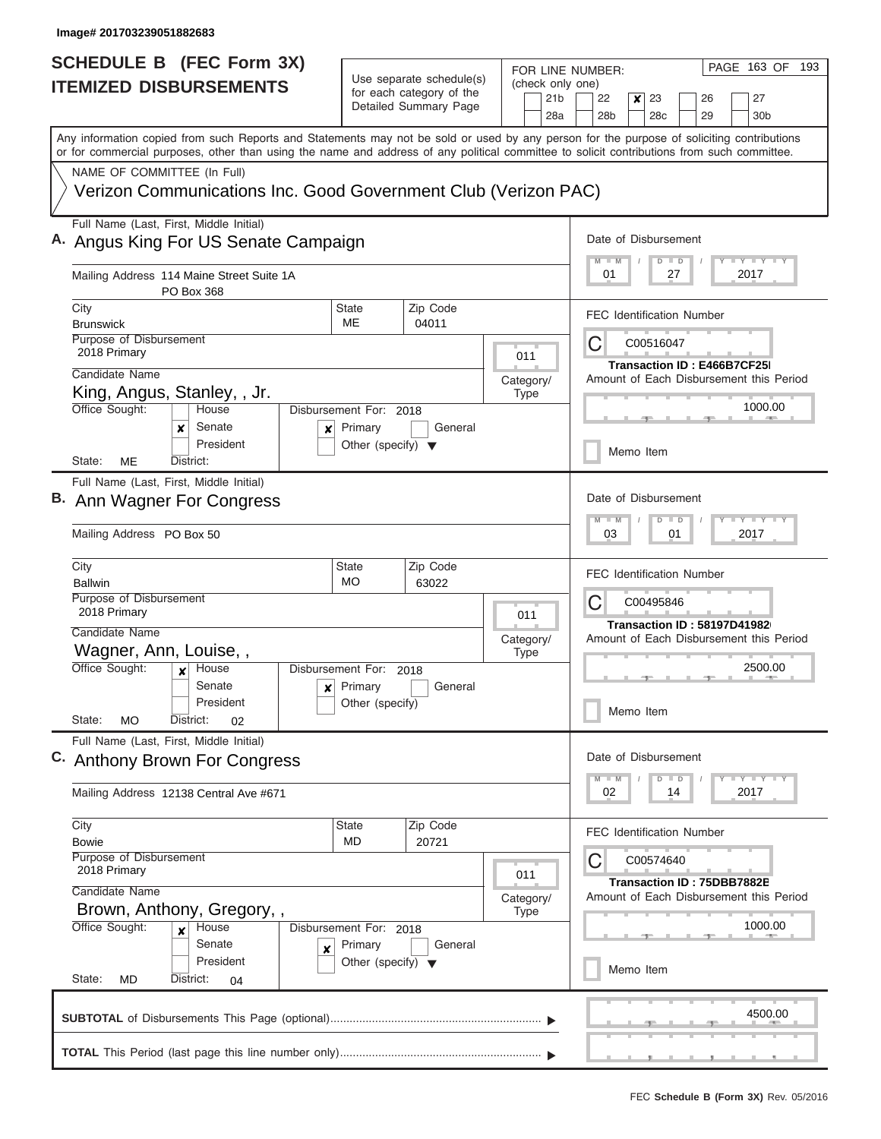| <b>SCHEDULE B (FEC Form 3X)</b>                                                                                                                                                                                                                                                         |                                                                               |                                                      |                                            |                                                                              | PAGE 163 OF 193<br>FOR LINE NUMBER:                                               |  |  |  |
|-----------------------------------------------------------------------------------------------------------------------------------------------------------------------------------------------------------------------------------------------------------------------------------------|-------------------------------------------------------------------------------|------------------------------------------------------|--------------------------------------------|------------------------------------------------------------------------------|-----------------------------------------------------------------------------------|--|--|--|
| <b>ITEMIZED DISBURSEMENTS</b>                                                                                                                                                                                                                                                           | Use separate schedule(s)<br>for each category of the<br>Detailed Summary Page |                                                      | (check only one)<br>21 <sub>b</sub><br>28a | 22<br>×<br>23<br>26<br>27<br>28 <sub>b</sub><br>28c<br>29<br>30 <sub>b</sub> |                                                                                   |  |  |  |
| Any information copied from such Reports and Statements may not be sold or used by any person for the purpose of soliciting contributions<br>or for commercial purposes, other than using the name and address of any political committee to solicit contributions from such committee. |                                                                               |                                                      |                                            |                                                                              |                                                                                   |  |  |  |
| NAME OF COMMITTEE (In Full)                                                                                                                                                                                                                                                             |                                                                               |                                                      |                                            |                                                                              |                                                                                   |  |  |  |
| Verizon Communications Inc. Good Government Club (Verizon PAC)                                                                                                                                                                                                                          |                                                                               |                                                      |                                            |                                                                              |                                                                                   |  |  |  |
| Full Name (Last, First, Middle Initial)<br>A. Angus King For US Senate Campaign                                                                                                                                                                                                         |                                                                               |                                                      |                                            |                                                                              | Date of Disbursement<br>Y I Y I Y I Y<br>$M$ $M$<br>$D$ $D$                       |  |  |  |
| Mailing Address 114 Maine Street Suite 1A<br><b>PO Box 368</b>                                                                                                                                                                                                                          |                                                                               |                                                      |                                            |                                                                              | 2017<br>01<br>27                                                                  |  |  |  |
| City<br><b>Brunswick</b>                                                                                                                                                                                                                                                                | <b>State</b><br>ME                                                            | Zip Code<br>04011                                    |                                            |                                                                              | <b>FEC Identification Number</b>                                                  |  |  |  |
| Purpose of Disbursement<br>2018 Primary                                                                                                                                                                                                                                                 |                                                                               |                                                      | 011                                        |                                                                              | C<br>C00516047                                                                    |  |  |  |
| Candidate Name                                                                                                                                                                                                                                                                          |                                                                               |                                                      |                                            |                                                                              | Transaction ID: E466B7CF25I<br>Amount of Each Disbursement this Period            |  |  |  |
| King, Angus, Stanley, , Jr.                                                                                                                                                                                                                                                             | Category/<br><b>Type</b>                                                      |                                                      |                                            |                                                                              |                                                                                   |  |  |  |
| Office Sought:<br>House<br>Senate<br>x<br>$\boldsymbol{x}$<br>President                                                                                                                                                                                                                 | Disbursement For: 2018<br>Primary                                             | General                                              |                                            |                                                                              | 1000.00                                                                           |  |  |  |
| State:<br>MЕ<br>District:                                                                                                                                                                                                                                                               | Other (specify) $\blacktriangledown$                                          |                                                      |                                            |                                                                              | Memo Item                                                                         |  |  |  |
| Full Name (Last, First, Middle Initial)<br>B. Ann Wagner For Congress<br>Mailing Address PO Box 50                                                                                                                                                                                      |                                                                               |                                                      |                                            |                                                                              | Date of Disbursement<br>$Y = Y = Y - Y$<br>$M - M$<br>$D$ $D$<br>03<br>01<br>2017 |  |  |  |
| City<br><b>Ballwin</b>                                                                                                                                                                                                                                                                  | <b>State</b><br>МO                                                            | Zip Code<br>63022                                    |                                            |                                                                              | <b>FEC Identification Number</b>                                                  |  |  |  |
| Purpose of Disbursement<br>2018 Primary                                                                                                                                                                                                                                                 |                                                                               |                                                      | 011                                        |                                                                              | C<br>C00495846<br>Transaction ID: 58197D41982                                     |  |  |  |
| Candidate Name<br>Wagner, Ann, Louise, ,                                                                                                                                                                                                                                                |                                                                               |                                                      | Category/                                  |                                                                              | Amount of Each Disbursement this Period                                           |  |  |  |
| Office Sought:<br>House                                                                                                                                                                                                                                                                 | Disbursement For: 2018                                                        |                                                      | <b>Type</b>                                |                                                                              | 2500.00                                                                           |  |  |  |
| Senate<br>×                                                                                                                                                                                                                                                                             | Primary                                                                       | General                                              |                                            |                                                                              |                                                                                   |  |  |  |
| President<br>State:<br><b>MO</b><br>District:<br>02                                                                                                                                                                                                                                     | Other (specify)                                                               |                                                      |                                            |                                                                              | Memo Item                                                                         |  |  |  |
| Full Name (Last, First, Middle Initial)<br>C. Anthony Brown For Congress                                                                                                                                                                                                                |                                                                               |                                                      |                                            |                                                                              |                                                                                   |  |  |  |
| Mailing Address 12138 Central Ave #671                                                                                                                                                                                                                                                  |                                                                               | Y TY TY TY<br>$M$ $M$<br>$D$ $D$<br>02<br>2017<br>14 |                                            |                                                                              |                                                                                   |  |  |  |
| City<br><b>Bowie</b>                                                                                                                                                                                                                                                                    | <b>State</b><br>MD                                                            | Zip Code<br>20721                                    |                                            |                                                                              | <b>FEC Identification Number</b>                                                  |  |  |  |
| Purpose of Disbursement<br>2018 Primary                                                                                                                                                                                                                                                 | 011                                                                           | C00574640<br>Transaction ID: 75DBB7882E              |                                            |                                                                              |                                                                                   |  |  |  |
| Candidate Name                                                                                                                                                                                                                                                                          | Category/                                                                     | Amount of Each Disbursement this Period              |                                            |                                                                              |                                                                                   |  |  |  |
| Brown, Anthony, Gregory,,<br>Office Sought:<br>Disbursement For: 2018<br>House                                                                                                                                                                                                          | <b>Type</b>                                                                   | 1000.00                                              |                                            |                                                                              |                                                                                   |  |  |  |
| Senate<br>X<br>President                                                                                                                                                                                                                                                                | Primary<br>Other (specify) $\blacktriangledown$                               | General                                              |                                            |                                                                              | Memo Item                                                                         |  |  |  |
| State:<br>MD<br>District:<br>04                                                                                                                                                                                                                                                         |                                                                               |                                                      |                                            |                                                                              |                                                                                   |  |  |  |
|                                                                                                                                                                                                                                                                                         |                                                                               |                                                      |                                            |                                                                              | 4500.00                                                                           |  |  |  |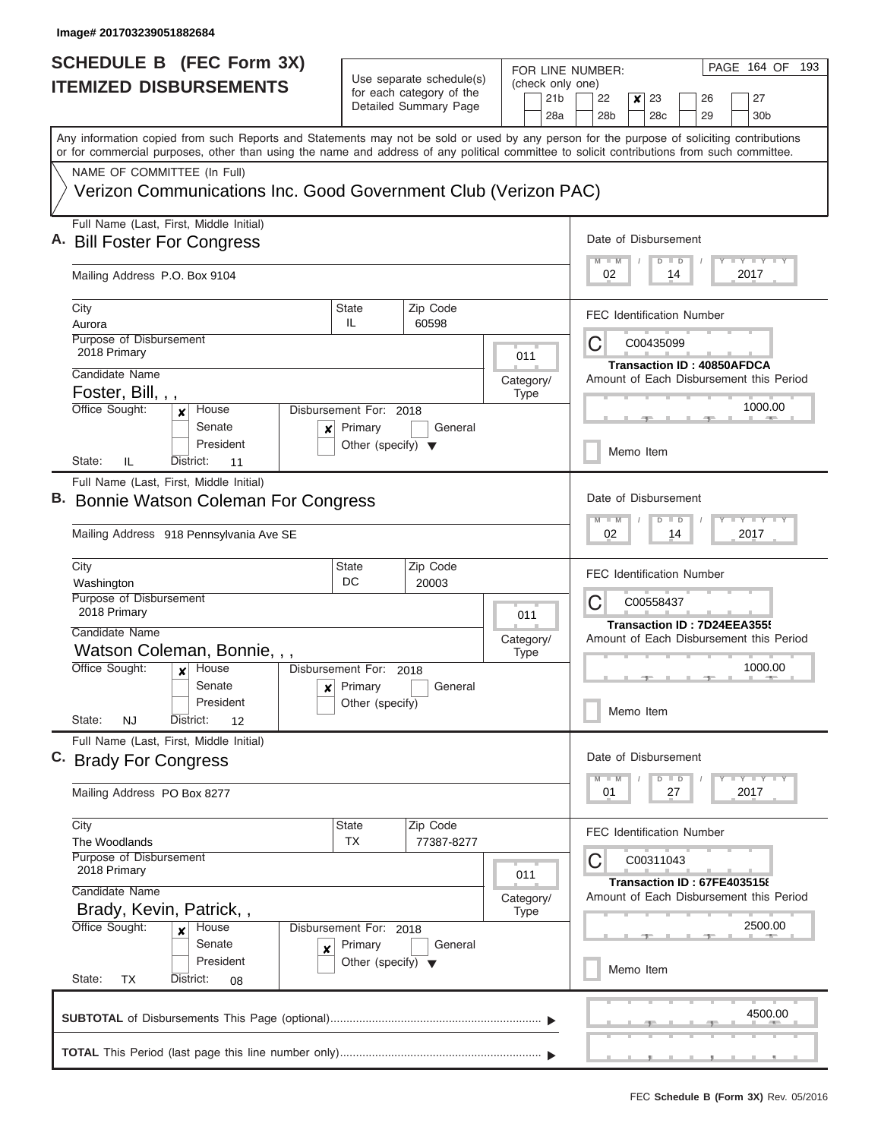I

| <b>ITEMIZED DISBURSEMENTS</b><br>Any information copied from such Reports and Statements may not be sold or used by any person for the purpose of soliciting contributions<br>or for commercial purposes, other than using the name and address of any political committee to solicit contributions from such committee.<br>NAME OF COMMITTEE (In Full)<br>Verizon Communications Inc. Good Government Club (Verizon PAC) |                                                                           | Use separate schedule(s)<br>for each category of the<br>Detailed Summary Page         | (check only one)<br>21 <sub>b</sub><br>28a | 22<br>23<br>26<br>27<br>×<br>28 <sub>b</sub><br>28 <sub>c</sub><br>29<br>30 <sub>b</sub> |
|---------------------------------------------------------------------------------------------------------------------------------------------------------------------------------------------------------------------------------------------------------------------------------------------------------------------------------------------------------------------------------------------------------------------------|---------------------------------------------------------------------------|---------------------------------------------------------------------------------------|--------------------------------------------|------------------------------------------------------------------------------------------|
|                                                                                                                                                                                                                                                                                                                                                                                                                           |                                                                           |                                                                                       |                                            |                                                                                          |
|                                                                                                                                                                                                                                                                                                                                                                                                                           |                                                                           |                                                                                       |                                            |                                                                                          |
|                                                                                                                                                                                                                                                                                                                                                                                                                           |                                                                           |                                                                                       |                                            |                                                                                          |
|                                                                                                                                                                                                                                                                                                                                                                                                                           |                                                                           |                                                                                       |                                            |                                                                                          |
| Full Name (Last, First, Middle Initial)<br>A. Bill Foster For Congress                                                                                                                                                                                                                                                                                                                                                    |                                                                           |                                                                                       |                                            | Date of Disbursement<br>Y I Y I Y I Y<br>$M$ $M$<br>$D$ $D$                              |
| Mailing Address P.O. Box 9104                                                                                                                                                                                                                                                                                                                                                                                             |                                                                           |                                                                                       |                                            | 02<br>14<br>2017                                                                         |
| City<br>Aurora                                                                                                                                                                                                                                                                                                                                                                                                            | <b>State</b><br>IL.                                                       | Zip Code<br>60598                                                                     |                                            | <b>FEC Identification Number</b>                                                         |
| Purpose of Disbursement<br>2018 Primary                                                                                                                                                                                                                                                                                                                                                                                   |                                                                           |                                                                                       | 011                                        | C<br>C00435099                                                                           |
| Candidate Name                                                                                                                                                                                                                                                                                                                                                                                                            |                                                                           |                                                                                       | Category/                                  | <b>Transaction ID: 40850AFDCA</b><br>Amount of Each Disbursement this Period             |
| Foster, Bill, , ,                                                                                                                                                                                                                                                                                                                                                                                                         |                                                                           |                                                                                       | <b>Type</b>                                |                                                                                          |
| Office Sought:<br>House<br>$\boldsymbol{x}$<br>Senate<br>×<br>President                                                                                                                                                                                                                                                                                                                                                   | Disbursement For: 2018<br>Primary<br>Other (specify) $\blacktriangledown$ | General                                                                               |                                            | 1000.00                                                                                  |
| State:<br>IL<br>District:<br>11                                                                                                                                                                                                                                                                                                                                                                                           |                                                                           |                                                                                       |                                            | Memo Item                                                                                |
| Full Name (Last, First, Middle Initial)<br><b>Bonnie Watson Coleman For Congress</b><br>Mailing Address 918 Pennsylvania Ave SE                                                                                                                                                                                                                                                                                           |                                                                           | Date of Disbursement<br>$Y = Y = Y = Y + Y$<br>$M - M$<br>$D$ $D$<br>02<br>14<br>2017 |                                            |                                                                                          |
| City                                                                                                                                                                                                                                                                                                                                                                                                                      | <b>State</b><br>DC                                                        | Zip Code<br>20003                                                                     |                                            | <b>FEC Identification Number</b>                                                         |
| Washington<br>Purpose of Disbursement<br>2018 Primary                                                                                                                                                                                                                                                                                                                                                                     | 011                                                                       | C<br>C00558437                                                                        |                                            |                                                                                          |
| Candidate Name                                                                                                                                                                                                                                                                                                                                                                                                            |                                                                           |                                                                                       | Category/                                  | Transaction ID: 7D24EEA355!<br>Amount of Each Disbursement this Period                   |
| Watson Coleman, Bonnie, , ,                                                                                                                                                                                                                                                                                                                                                                                               |                                                                           |                                                                                       | <b>Type</b>                                |                                                                                          |
| Office Sought:<br>House<br>$\boldsymbol{x}$                                                                                                                                                                                                                                                                                                                                                                               | Disbursement For: 2018                                                    |                                                                                       |                                            | 1000.00                                                                                  |
| Senate<br>×<br>President<br>State:                                                                                                                                                                                                                                                                                                                                                                                        | Primary<br>Other (specify)                                                | General                                                                               |                                            | Memo Item                                                                                |
| NJ<br>District:<br>12<br>Full Name (Last, First, Middle Initial)                                                                                                                                                                                                                                                                                                                                                          |                                                                           |                                                                                       |                                            |                                                                                          |
| C. Brady For Congress                                                                                                                                                                                                                                                                                                                                                                                                     |                                                                           |                                                                                       |                                            | Date of Disbursement                                                                     |
| Mailing Address PO Box 8277                                                                                                                                                                                                                                                                                                                                                                                               |                                                                           | Y FY FY FY<br>$M$ $M$<br>$D$ $D$<br>01<br>27<br>2017                                  |                                            |                                                                                          |
| City<br>The Woodlands                                                                                                                                                                                                                                                                                                                                                                                                     | State<br>TX                                                               | Zip Code<br>77387-8277                                                                |                                            | <b>FEC Identification Number</b>                                                         |
| Purpose of Disbursement<br>2018 Primary                                                                                                                                                                                                                                                                                                                                                                                   | C<br>C00311043<br>Transaction ID: 67FE4035158                             |                                                                                       |                                            |                                                                                          |
| Candidate Name<br>Brady, Kevin, Patrick,,                                                                                                                                                                                                                                                                                                                                                                                 | Amount of Each Disbursement this Period                                   |                                                                                       |                                            |                                                                                          |
| Office Sought:<br>Disbursement For: 2018<br>House<br>$\boldsymbol{x}$<br>Senate                                                                                                                                                                                                                                                                                                                                           | 2500.00                                                                   |                                                                                       |                                            |                                                                                          |
| X<br>President<br>State:<br>ТX<br>District:<br>08                                                                                                                                                                                                                                                                                                                                                                         | Primary<br>Other (specify) $\blacktriangledown$                           | General                                                                               |                                            | Memo Item                                                                                |
|                                                                                                                                                                                                                                                                                                                                                                                                                           |                                                                           |                                                                                       |                                            | 4500.00                                                                                  |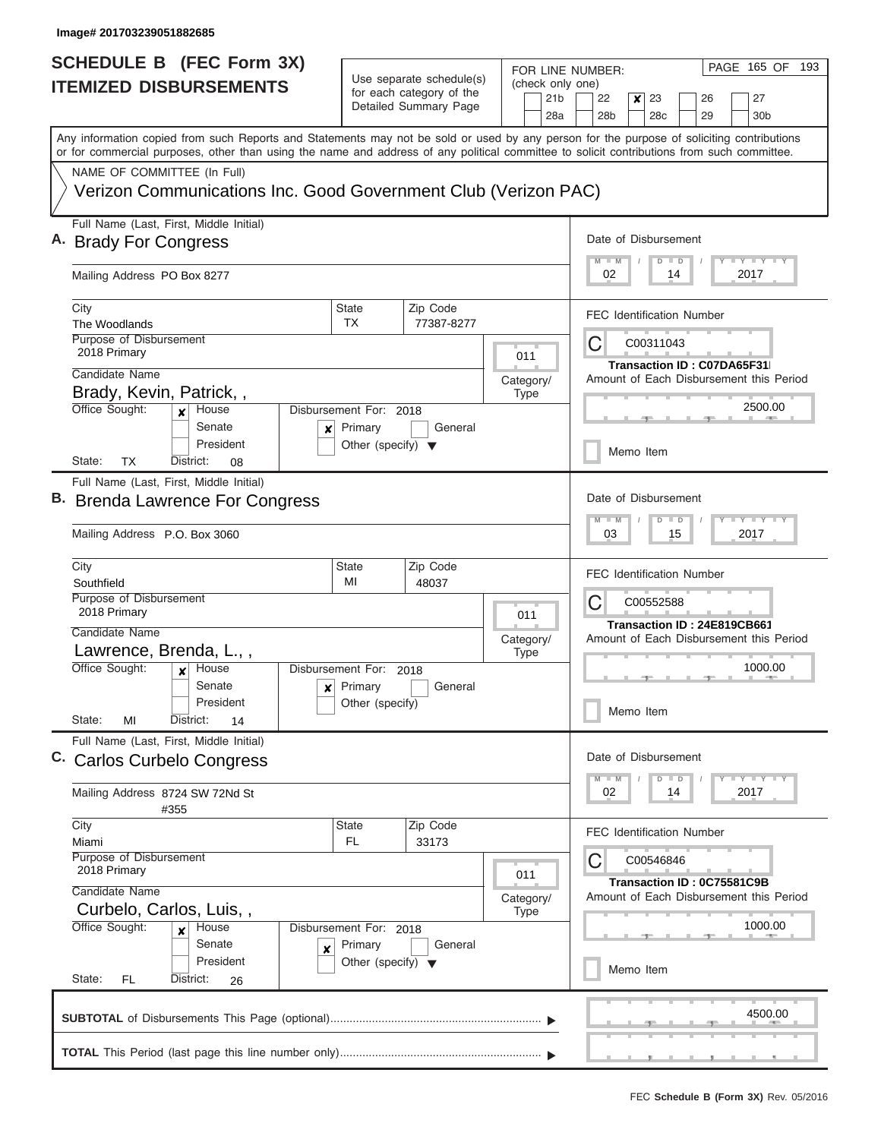I

| <b>SCHEDULE B (FEC Form 3X)</b>                                                                                                            |                                                                     | Use separate schedule(s)                                              | FOR LINE NUMBER:                           | PAGE 165 OF 193                                                                                                                           |  |  |  |
|--------------------------------------------------------------------------------------------------------------------------------------------|---------------------------------------------------------------------|-----------------------------------------------------------------------|--------------------------------------------|-------------------------------------------------------------------------------------------------------------------------------------------|--|--|--|
| <b>ITEMIZED DISBURSEMENTS</b>                                                                                                              |                                                                     | for each category of the<br>Detailed Summary Page                     | (check only one)<br>21 <sub>b</sub><br>28a | 22<br>23<br>27<br>×<br>26<br>28 <sub>b</sub><br>28 <sub>c</sub><br>29<br>30 <sub>b</sub>                                                  |  |  |  |
| or for commercial purposes, other than using the name and address of any political committee to solicit contributions from such committee. |                                                                     |                                                                       |                                            | Any information copied from such Reports and Statements may not be sold or used by any person for the purpose of soliciting contributions |  |  |  |
| NAME OF COMMITTEE (In Full)                                                                                                                |                                                                     |                                                                       |                                            |                                                                                                                                           |  |  |  |
| Verizon Communications Inc. Good Government Club (Verizon PAC)                                                                             |                                                                     |                                                                       |                                            |                                                                                                                                           |  |  |  |
| Full Name (Last, First, Middle Initial)<br><b>Brady For Congress</b>                                                                       |                                                                     |                                                                       |                                            | Date of Disbursement<br>Y FY FY FY<br>$M - M$<br>$D$ $D$                                                                                  |  |  |  |
| Mailing Address PO Box 8277                                                                                                                |                                                                     |                                                                       |                                            | 2017<br>02<br>14                                                                                                                          |  |  |  |
| City<br>The Woodlands                                                                                                                      | <b>State</b><br>TX                                                  | Zip Code<br>77387-8277                                                |                                            | <b>FEC Identification Number</b>                                                                                                          |  |  |  |
| <b>Purpose of Disbursement</b><br>2018 Primary                                                                                             |                                                                     | 011                                                                   | C<br>C00311043                             |                                                                                                                                           |  |  |  |
| Candidate Name                                                                                                                             |                                                                     |                                                                       |                                            | Transaction ID: C07DA65F31<br>Amount of Each Disbursement this Period                                                                     |  |  |  |
| Brady, Kevin, Patrick,,                                                                                                                    |                                                                     |                                                                       | Category/<br><b>Type</b>                   |                                                                                                                                           |  |  |  |
| Office Sought:<br>House<br>$\mathbf x$<br>Senate                                                                                           | Disbursement For: 2018<br>Primary<br>X                              | General                                                               |                                            | 2500.00                                                                                                                                   |  |  |  |
| President<br>TX<br>State:<br>District:<br>08                                                                                               | Other (specify) $\blacktriangledown$                                |                                                                       |                                            | Memo Item                                                                                                                                 |  |  |  |
| Full Name (Last, First, Middle Initial)                                                                                                    |                                                                     |                                                                       |                                            |                                                                                                                                           |  |  |  |
| B. Brenda Lawrence For Congress                                                                                                            |                                                                     |                                                                       |                                            | Date of Disbursement                                                                                                                      |  |  |  |
| Mailing Address P.O. Box 3060                                                                                                              |                                                                     |                                                                       |                                            |                                                                                                                                           |  |  |  |
| City<br>Southfield                                                                                                                         | <b>State</b><br>Zip Code<br>MI<br>48037                             |                                                                       |                                            |                                                                                                                                           |  |  |  |
| Purpose of Disbursement<br>2018 Primary                                                                                                    |                                                                     |                                                                       | 011                                        | C<br>C00552588                                                                                                                            |  |  |  |
| Candidate Name                                                                                                                             |                                                                     |                                                                       | Category/                                  | Transaction ID: 24E819CB661<br>Amount of Each Disbursement this Period                                                                    |  |  |  |
| Lawrence, Brenda, L.,,                                                                                                                     |                                                                     |                                                                       | <b>Type</b>                                |                                                                                                                                           |  |  |  |
| Office Sought:<br>House<br>$\mathbf{x}$                                                                                                    | Disbursement For:                                                   | 2018                                                                  |                                            | 1000.00                                                                                                                                   |  |  |  |
| Senate                                                                                                                                     | $x$ Primary                                                         | General                                                               |                                            |                                                                                                                                           |  |  |  |
| President<br>State:<br>MI<br>District:<br>14                                                                                               | Other (specify)                                                     |                                                                       |                                            | Memo Item                                                                                                                                 |  |  |  |
| Full Name (Last, First, Middle Initial)<br>C. Carlos Curbelo Congress                                                                      |                                                                     |                                                                       |                                            | Date of Disbursement                                                                                                                      |  |  |  |
| Mailing Address 8724 SW 72Nd St<br>#355                                                                                                    |                                                                     |                                                                       |                                            |                                                                                                                                           |  |  |  |
| City<br>Miami                                                                                                                              | <b>State</b><br>FL                                                  | Zip Code<br>33173                                                     |                                            | <b>FEC Identification Number</b>                                                                                                          |  |  |  |
| Purpose of Disbursement<br>2018 Primary                                                                                                    | 011                                                                 |                                                                       |                                            |                                                                                                                                           |  |  |  |
| Candidate Name<br>Curbelo, Carlos, Luis,,                                                                                                  | Category/<br><b>Type</b>                                            | Transaction ID: 0C75581C9B<br>Amount of Each Disbursement this Period |                                            |                                                                                                                                           |  |  |  |
| Office Sought:<br>House<br>$\mathbf x$                                                                                                     | Disbursement For: 2018                                              |                                                                       |                                            |                                                                                                                                           |  |  |  |
| Senate<br>President                                                                                                                        | Primary<br>$\boldsymbol{x}$<br>Other (specify) $\blacktriangledown$ | General                                                               |                                            | Memo Item                                                                                                                                 |  |  |  |
| State:<br>FL.<br>District:<br>26                                                                                                           |                                                                     |                                                                       |                                            |                                                                                                                                           |  |  |  |
|                                                                                                                                            |                                                                     |                                                                       |                                            | 4500.00                                                                                                                                   |  |  |  |
|                                                                                                                                            |                                                                     |                                                                       |                                            |                                                                                                                                           |  |  |  |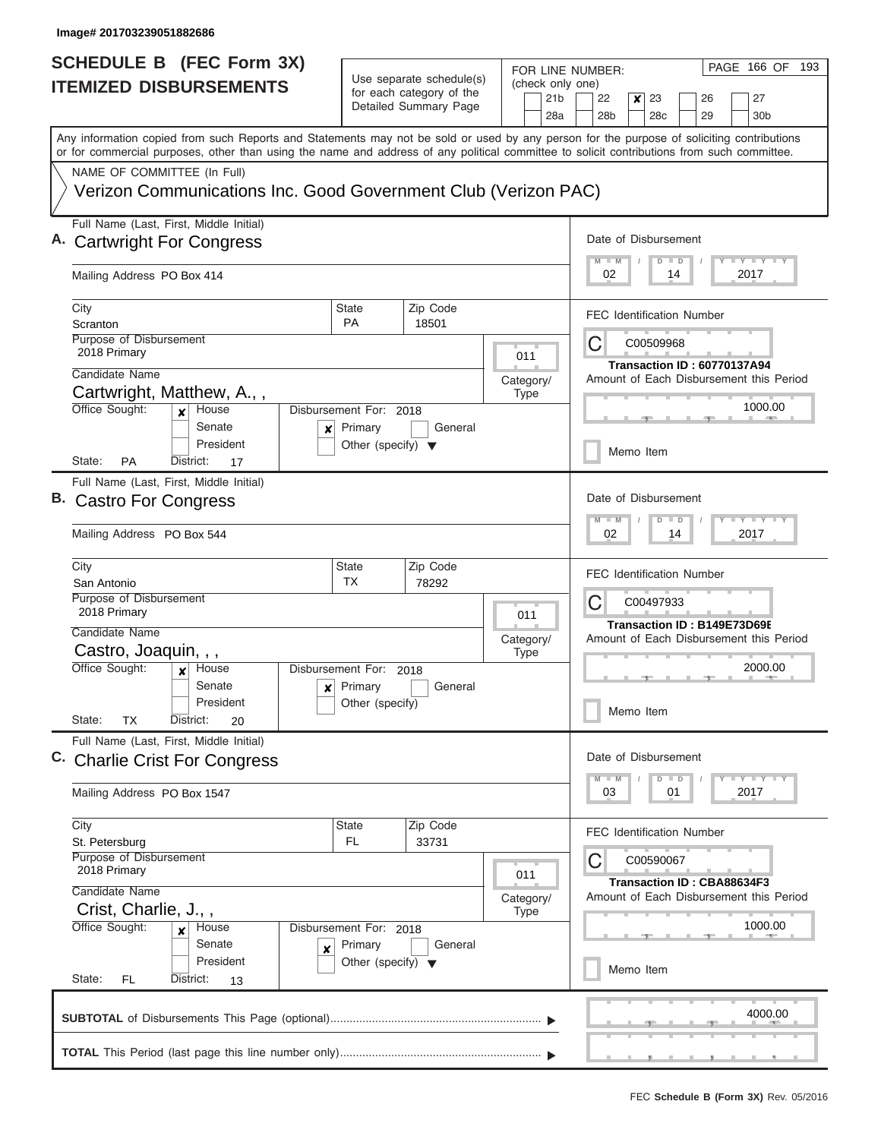| <b>SCHEDULE B (FEC Form 3X)</b>                                                                                                                                                                                                                                                         |                                                                               |                                    |                                                                       |                                     | PAGE 166 OF 193<br>FOR LINE NUMBER:                                                                                         |  |  |
|-----------------------------------------------------------------------------------------------------------------------------------------------------------------------------------------------------------------------------------------------------------------------------------------|-------------------------------------------------------------------------------|------------------------------------|-----------------------------------------------------------------------|-------------------------------------|-----------------------------------------------------------------------------------------------------------------------------|--|--|
| <b>ITEMIZED DISBURSEMENTS</b>                                                                                                                                                                                                                                                           | Use separate schedule(s)<br>for each category of the<br>Detailed Summary Page |                                    |                                                                       | (check only one)<br>21 <sub>b</sub> | 22<br>×<br>23<br>26<br>27                                                                                                   |  |  |
|                                                                                                                                                                                                                                                                                         |                                                                               |                                    |                                                                       | 28a                                 | 28 <sub>b</sub><br>28c<br>29<br>30b                                                                                         |  |  |
| Any information copied from such Reports and Statements may not be sold or used by any person for the purpose of soliciting contributions<br>or for commercial purposes, other than using the name and address of any political committee to solicit contributions from such committee. |                                                                               |                                    |                                                                       |                                     |                                                                                                                             |  |  |
| NAME OF COMMITTEE (In Full)                                                                                                                                                                                                                                                             |                                                                               |                                    |                                                                       |                                     |                                                                                                                             |  |  |
| Verizon Communications Inc. Good Government Club (Verizon PAC)                                                                                                                                                                                                                          |                                                                               |                                    |                                                                       |                                     |                                                                                                                             |  |  |
| Full Name (Last, First, Middle Initial)                                                                                                                                                                                                                                                 |                                                                               |                                    |                                                                       |                                     | Date of Disbursement                                                                                                        |  |  |
| A. Cartwright For Congress                                                                                                                                                                                                                                                              | $I - Y - I - Y - I - Y$<br>$M$ $M$<br>$\blacksquare$                          |                                    |                                                                       |                                     |                                                                                                                             |  |  |
| Mailing Address PO Box 414                                                                                                                                                                                                                                                              |                                                                               |                                    |                                                                       |                                     | 02<br>2017<br>14                                                                                                            |  |  |
| City<br>Scranton                                                                                                                                                                                                                                                                        | <b>State</b><br><b>PA</b>                                                     | Zip Code<br>18501                  |                                                                       |                                     | <b>FEC Identification Number</b>                                                                                            |  |  |
| Purpose of Disbursement<br>2018 Primary                                                                                                                                                                                                                                                 |                                                                               |                                    |                                                                       |                                     | C<br>C00509968                                                                                                              |  |  |
|                                                                                                                                                                                                                                                                                         | 011                                                                           | <b>Transaction ID: 60770137A94</b> |                                                                       |                                     |                                                                                                                             |  |  |
| Candidate Name                                                                                                                                                                                                                                                                          |                                                                               | Category/                          | Amount of Each Disbursement this Period                               |                                     |                                                                                                                             |  |  |
| Cartwright, Matthew, A.,,                                                                                                                                                                                                                                                               |                                                                               |                                    |                                                                       | Type                                | 1000.00                                                                                                                     |  |  |
| Office Sought:<br>House<br>$\mathbf x$<br>Senate                                                                                                                                                                                                                                        | Disbursement For: 2018<br>Primary                                             | General                            |                                                                       |                                     |                                                                                                                             |  |  |
| ×<br>President                                                                                                                                                                                                                                                                          | Other (specify) $\blacktriangledown$                                          |                                    |                                                                       |                                     |                                                                                                                             |  |  |
| <b>PA</b><br>State:<br>District:<br>17                                                                                                                                                                                                                                                  |                                                                               |                                    |                                                                       |                                     | Memo Item                                                                                                                   |  |  |
| Full Name (Last, First, Middle Initial)                                                                                                                                                                                                                                                 |                                                                               |                                    |                                                                       |                                     |                                                                                                                             |  |  |
| B. Castro For Congress                                                                                                                                                                                                                                                                  |                                                                               |                                    |                                                                       |                                     | Date of Disbursement                                                                                                        |  |  |
| Mailing Address PO Box 544                                                                                                                                                                                                                                                              | $-1$ $-1$ $-1$ $-1$ $-1$<br>$M - M$<br>$\Box$<br>D<br>02<br>14<br>2017        |                                    |                                                                       |                                     |                                                                                                                             |  |  |
| City                                                                                                                                                                                                                                                                                    | State<br><b>TX</b>                                                            | Zip Code<br>78292                  |                                                                       |                                     | <b>FEC Identification Number</b>                                                                                            |  |  |
| San Antonio<br>Purpose of Disbursement                                                                                                                                                                                                                                                  |                                                                               |                                    |                                                                       |                                     | C00497933                                                                                                                   |  |  |
| 2018 Primary                                                                                                                                                                                                                                                                            |                                                                               |                                    |                                                                       | 011                                 | C                                                                                                                           |  |  |
| Candidate Name                                                                                                                                                                                                                                                                          |                                                                               |                                    |                                                                       | Category/                           | Transaction ID: B149E73D69E<br>Amount of Each Disbursement this Period                                                      |  |  |
| Castro, Joaquin, , ,                                                                                                                                                                                                                                                                    |                                                                               |                                    |                                                                       | <b>Type</b>                         |                                                                                                                             |  |  |
| Office Sought:<br>House                                                                                                                                                                                                                                                                 | Disbursement For: 2018                                                        |                                    |                                                                       |                                     | 2000.00                                                                                                                     |  |  |
| Senate<br>$\boldsymbol{\mathsf{x}}$                                                                                                                                                                                                                                                     | Primary                                                                       | General                            |                                                                       |                                     |                                                                                                                             |  |  |
| President<br>State:<br>TX<br>District:<br>20                                                                                                                                                                                                                                            | Other (specify)                                                               |                                    |                                                                       |                                     | Memo Item                                                                                                                   |  |  |
| Full Name (Last, First, Middle Initial)                                                                                                                                                                                                                                                 |                                                                               |                                    |                                                                       |                                     |                                                                                                                             |  |  |
| C. Charlie Crist For Congress                                                                                                                                                                                                                                                           |                                                                               |                                    |                                                                       |                                     | Date of Disbursement<br>$\mathbf{I}$ $\mathbf{Y}$ $\mathbf{I}$ $\mathbf{Y}$ $\mathbf{I}$ $\mathbf{Y}$<br>$M - M$<br>$D$ $D$ |  |  |
| Mailing Address PO Box 1547                                                                                                                                                                                                                                                             |                                                                               |                                    |                                                                       |                                     |                                                                                                                             |  |  |
| City                                                                                                                                                                                                                                                                                    | <b>State</b>                                                                  | Zip Code                           |                                                                       |                                     | <b>FEC</b> Identification Number                                                                                            |  |  |
| St. Petersburg<br>Purpose of Disbursement                                                                                                                                                                                                                                               | FL.                                                                           | 33731                              |                                                                       |                                     |                                                                                                                             |  |  |
| 2018 Primary                                                                                                                                                                                                                                                                            |                                                                               | 011                                | C00590067                                                             |                                     |                                                                                                                             |  |  |
| Candidate Name                                                                                                                                                                                                                                                                          |                                                                               |                                    | Transaction ID: CBA88634F3<br>Amount of Each Disbursement this Period |                                     |                                                                                                                             |  |  |
| Crist, Charlie, J.,,                                                                                                                                                                                                                                                                    | Category/<br><b>Type</b>                                                      |                                    |                                                                       |                                     |                                                                                                                             |  |  |
| Office Sought:<br>Disbursement For: 2018<br>House<br>x                                                                                                                                                                                                                                  |                                                                               | 1000.00                            |                                                                       |                                     |                                                                                                                             |  |  |
| Senate                                                                                                                                                                                                                                                                                  | Primary<br>General<br>X<br>President<br>Other (specify) $\blacktriangledown$  |                                    |                                                                       |                                     |                                                                                                                             |  |  |
|                                                                                                                                                                                                                                                                                         |                                                                               |                                    |                                                                       |                                     |                                                                                                                             |  |  |
| State:<br>FL<br>District:<br>13                                                                                                                                                                                                                                                         |                                                                               |                                    |                                                                       |                                     |                                                                                                                             |  |  |
|                                                                                                                                                                                                                                                                                         |                                                                               |                                    |                                                                       |                                     | 4000.00                                                                                                                     |  |  |
|                                                                                                                                                                                                                                                                                         |                                                                               |                                    |                                                                       |                                     |                                                                                                                             |  |  |
|                                                                                                                                                                                                                                                                                         |                                                                               |                                    |                                                                       |                                     |                                                                                                                             |  |  |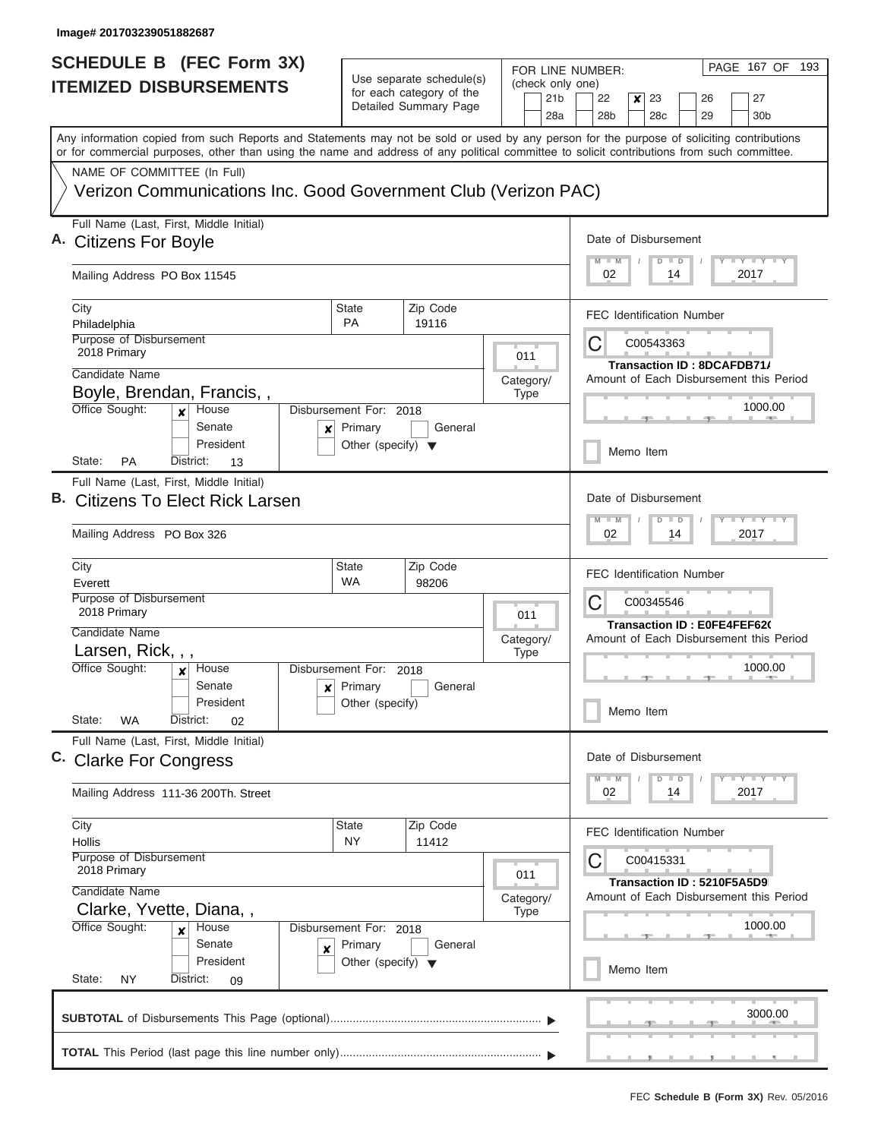| <b>SCHEDULE B (FEC Form 3X)</b><br><b>ITEMIZED DISBURSEMENTS</b>                                                                                                                         |                                                            | Use separate schedule(s)<br>for each category of the<br>Detailed Summary Page | (check only one)<br>21 <sub>b</sub>                                                             | PAGE 167 OF 193<br>FOR LINE NUMBER:<br>22<br>$\boldsymbol{x}$<br>23<br>26<br>27 |                                                                                                                                                                                                                                                                                                                                            |  |  |  |  |
|------------------------------------------------------------------------------------------------------------------------------------------------------------------------------------------|------------------------------------------------------------|-------------------------------------------------------------------------------|-------------------------------------------------------------------------------------------------|---------------------------------------------------------------------------------|--------------------------------------------------------------------------------------------------------------------------------------------------------------------------------------------------------------------------------------------------------------------------------------------------------------------------------------------|--|--|--|--|
|                                                                                                                                                                                          |                                                            |                                                                               |                                                                                                 | 28a                                                                             | 28 <sub>b</sub><br>29<br>28c<br>30 <sub>b</sub><br>Any information copied from such Reports and Statements may not be sold or used by any person for the purpose of soliciting contributions<br>or for commercial purposes, other than using the name and address of any political committee to solicit contributions from such committee. |  |  |  |  |
| NAME OF COMMITTEE (In Full)<br>Verizon Communications Inc. Good Government Club (Verizon PAC)                                                                                            |                                                            |                                                                               |                                                                                                 |                                                                                 |                                                                                                                                                                                                                                                                                                                                            |  |  |  |  |
| Full Name (Last, First, Middle Initial)<br>A. Citizens For Boyle<br>Mailing Address PO Box 11545                                                                                         |                                                            |                                                                               |                                                                                                 |                                                                                 | Date of Disbursement<br>Y I Y I Y I Y<br>$M$ $M$<br>$D$ $D$<br>2017<br>02<br>14                                                                                                                                                                                                                                                            |  |  |  |  |
| City<br>Philadelphia<br>Purpose of Disbursement<br>2018 Primary                                                                                                                          | State<br><b>PA</b><br>House<br>Disbursement For: 2018<br>× |                                                                               |                                                                                                 | 011                                                                             | <b>FEC Identification Number</b><br>С<br>C00543363                                                                                                                                                                                                                                                                                         |  |  |  |  |
| Candidate Name<br>Boyle, Brendan, Francis,,<br>Office Sought:                                                                                                                            |                                                            |                                                                               |                                                                                                 | Category/<br>Type                                                               | Transaction ID: 8DCAFDB71/<br>Amount of Each Disbursement this Period<br>1000.00                                                                                                                                                                                                                                                           |  |  |  |  |
| Senate<br>President<br>PA<br>State:<br>District:<br>13                                                                                                                                   | x                                                          | Primary<br>Other (specify) $\blacktriangledown$                               | General                                                                                         |                                                                                 | Memo Item                                                                                                                                                                                                                                                                                                                                  |  |  |  |  |
| Full Name (Last, First, Middle Initial)<br>B. Citizens To Elect Rick Larsen<br>Mailing Address PO Box 326                                                                                |                                                            |                                                                               | Date of Disbursement<br>$T-T$ $T$ $T$ $T$ $T$ $T$ $T$<br>$M - M$<br>$D$ $D$<br>02<br>2017<br>14 |                                                                                 |                                                                                                                                                                                                                                                                                                                                            |  |  |  |  |
| City<br>Everett<br>Purpose of Disbursement<br>2018 Primary<br>Candidate Name<br>Larsen, Rick, , ,                                                                                        |                                                            | <b>State</b><br><b>WA</b>                                                     | Zip Code<br>98206                                                                               | 011<br>Category/<br><b>Type</b>                                                 | <b>FEC Identification Number</b><br>С<br>C00345546<br><b>Transaction ID: E0FE4FEF620</b><br>Amount of Each Disbursement this Period                                                                                                                                                                                                        |  |  |  |  |
| Office Sought:<br>House<br>×<br>Senate<br>President<br>State:<br>WA<br>District:<br>02                                                                                                   |                                                            | Disbursement For: 2018<br>$x$ Primary<br>Other (specify)                      | General                                                                                         |                                                                                 | 1000.00<br>Memo Item                                                                                                                                                                                                                                                                                                                       |  |  |  |  |
| Full Name (Last, First, Middle Initial)<br>C. Clarke For Congress                                                                                                                        |                                                            |                                                                               |                                                                                                 |                                                                                 | Date of Disbursement<br>Y FY FY FY<br>$M$ M<br>$D$ $D$                                                                                                                                                                                                                                                                                     |  |  |  |  |
| Mailing Address 111-36 200Th. Street<br>City<br>Hollis<br>Purpose of Disbursement<br>2018 Primary<br>Candidate Name<br>Clarke, Yvette, Diana,,<br>Office Sought:<br>House<br>x<br>Senate | ×                                                          | State<br>NY.<br>Disbursement For: 2018<br>Primary                             | Zip Code<br>11412<br>General                                                                    | 011<br>Category/<br>Type                                                        | 02<br>2017<br>14<br><b>FEC Identification Number</b><br>C<br>C00415331<br>Transaction ID: 5210F5A5D9<br>Amount of Each Disbursement this Period<br>1000.00                                                                                                                                                                                 |  |  |  |  |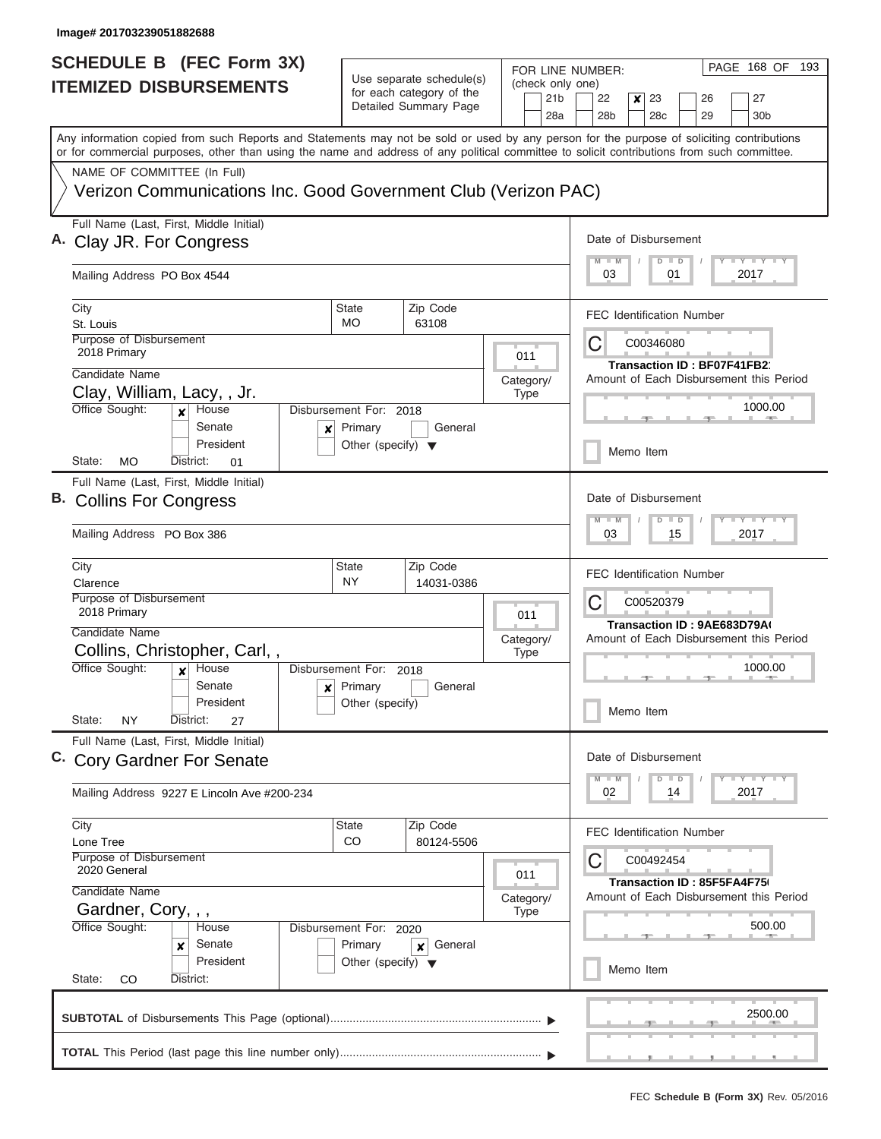| Use separate schedule(s)<br>(check only one)<br><b>ITEMIZED DISBURSEMENTS</b><br>for each category of the<br>21b<br>22<br>27<br>×<br>23<br>26<br>Detailed Summary Page<br>28b<br>28c<br>29<br>30 <sub>b</sub><br>28a<br>Any information copied from such Reports and Statements may not be sold or used by any person for the purpose of soliciting contributions<br>or for commercial purposes, other than using the name and address of any political committee to solicit contributions from such committee.<br>NAME OF COMMITTEE (In Full)<br>Verizon Communications Inc. Good Government Club (Verizon PAC)<br>Full Name (Last, First, Middle Initial)<br>Date of Disbursement<br>$M - M$<br>$D$ $D$<br>2017<br>Mailing Address PO Box 4544<br>03<br>01<br><b>State</b><br>Zip Code<br>City<br><b>FEC Identification Number</b><br>MO<br>St. Louis<br>63108<br>Purpose of Disbursement<br>C<br>C00346080<br>2018 Primary<br>011<br>Transaction ID: BF07F41FB2<br>Candidate Name<br>Amount of Each Disbursement this Period<br>Category/<br>Clay, William, Lacy, , Jr.<br>Type<br>Office Sought:<br>House<br>Disbursement For: 2018<br>$\mathbf{x}$<br>Senate<br>Primary<br>General<br>×<br>President<br>Other (specify) $\blacktriangledown$<br>Memo Item<br>State:<br>МO<br>District:<br>01<br>Full Name (Last, First, Middle Initial)<br>Date of Disbursement<br>$M - M$<br>$D$ $D$<br>Mailing Address PO Box 386<br>03<br>15<br>2017<br>City<br><b>State</b><br>Zip Code<br><b>FEC Identification Number</b><br><b>NY</b><br>Clarence<br>14031-0386<br>Purpose of Disbursement<br>C<br>C00520379<br>2018 Primary<br>011<br>Transaction ID: 9AE683D79A<br>Candidate Name<br>Category/<br>Collins, Christopher, Carl,,<br><b>Type</b><br>Office Sought:<br>1000.00<br>House<br>Disbursement For: 2018<br>Senate<br>$x$ Primary<br>General<br>President<br>Other (specify)<br>Memo Item<br>State:<br>ΝY<br>District:<br>27<br>Full Name (Last, First, Middle Initial)<br>Date of Disbursement<br>$M - M$<br>$D$ $D$<br>02<br>2017<br>14<br>Mailing Address 9227 E Lincoln Ave #200-234<br>City<br>State<br>Zip Code<br><b>FEC Identification Number</b><br>CO.<br>80124-5506<br>Lone Tree<br>Purpose of Disbursement<br>C00492454<br>2020 General<br>011<br>Transaction ID: 85F5FA4F75<br>Candidate Name<br>Category/<br>Gardner, Cory, , , | <b>SCHEDULE B (FEC Form 3X)</b> |                                         | PAGE 168 OF 193<br>FOR LINE NUMBER:     |
|--------------------------------------------------------------------------------------------------------------------------------------------------------------------------------------------------------------------------------------------------------------------------------------------------------------------------------------------------------------------------------------------------------------------------------------------------------------------------------------------------------------------------------------------------------------------------------------------------------------------------------------------------------------------------------------------------------------------------------------------------------------------------------------------------------------------------------------------------------------------------------------------------------------------------------------------------------------------------------------------------------------------------------------------------------------------------------------------------------------------------------------------------------------------------------------------------------------------------------------------------------------------------------------------------------------------------------------------------------------------------------------------------------------------------------------------------------------------------------------------------------------------------------------------------------------------------------------------------------------------------------------------------------------------------------------------------------------------------------------------------------------------------------------------------------------------------------------------------------------------------------------------------------------------------------------------------------------------------------------------------------------------------------------------------------------------------------------------------------------------------------------------------------------------------------------------------------------------------------------------------------------------------------------------------------------------------------------------------|---------------------------------|-----------------------------------------|-----------------------------------------|
| A. Clay JR. For Congress<br>B. Collins For Congress<br>C. Cory Gardner For Senate                                                                                                                                                                                                                                                                                                                                                                                                                                                                                                                                                                                                                                                                                                                                                                                                                                                                                                                                                                                                                                                                                                                                                                                                                                                                                                                                                                                                                                                                                                                                                                                                                                                                                                                                                                                                                                                                                                                                                                                                                                                                                                                                                                                                                                                                |                                 |                                         |                                         |
|                                                                                                                                                                                                                                                                                                                                                                                                                                                                                                                                                                                                                                                                                                                                                                                                                                                                                                                                                                                                                                                                                                                                                                                                                                                                                                                                                                                                                                                                                                                                                                                                                                                                                                                                                                                                                                                                                                                                                                                                                                                                                                                                                                                                                                                                                                                                                  |                                 |                                         |                                         |
|                                                                                                                                                                                                                                                                                                                                                                                                                                                                                                                                                                                                                                                                                                                                                                                                                                                                                                                                                                                                                                                                                                                                                                                                                                                                                                                                                                                                                                                                                                                                                                                                                                                                                                                                                                                                                                                                                                                                                                                                                                                                                                                                                                                                                                                                                                                                                  |                                 |                                         |                                         |
|                                                                                                                                                                                                                                                                                                                                                                                                                                                                                                                                                                                                                                                                                                                                                                                                                                                                                                                                                                                                                                                                                                                                                                                                                                                                                                                                                                                                                                                                                                                                                                                                                                                                                                                                                                                                                                                                                                                                                                                                                                                                                                                                                                                                                                                                                                                                                  |                                 |                                         |                                         |
|                                                                                                                                                                                                                                                                                                                                                                                                                                                                                                                                                                                                                                                                                                                                                                                                                                                                                                                                                                                                                                                                                                                                                                                                                                                                                                                                                                                                                                                                                                                                                                                                                                                                                                                                                                                                                                                                                                                                                                                                                                                                                                                                                                                                                                                                                                                                                  |                                 |                                         | Y FY FY FY                              |
|                                                                                                                                                                                                                                                                                                                                                                                                                                                                                                                                                                                                                                                                                                                                                                                                                                                                                                                                                                                                                                                                                                                                                                                                                                                                                                                                                                                                                                                                                                                                                                                                                                                                                                                                                                                                                                                                                                                                                                                                                                                                                                                                                                                                                                                                                                                                                  |                                 |                                         |                                         |
|                                                                                                                                                                                                                                                                                                                                                                                                                                                                                                                                                                                                                                                                                                                                                                                                                                                                                                                                                                                                                                                                                                                                                                                                                                                                                                                                                                                                                                                                                                                                                                                                                                                                                                                                                                                                                                                                                                                                                                                                                                                                                                                                                                                                                                                                                                                                                  |                                 |                                         |                                         |
|                                                                                                                                                                                                                                                                                                                                                                                                                                                                                                                                                                                                                                                                                                                                                                                                                                                                                                                                                                                                                                                                                                                                                                                                                                                                                                                                                                                                                                                                                                                                                                                                                                                                                                                                                                                                                                                                                                                                                                                                                                                                                                                                                                                                                                                                                                                                                  |                                 |                                         |                                         |
|                                                                                                                                                                                                                                                                                                                                                                                                                                                                                                                                                                                                                                                                                                                                                                                                                                                                                                                                                                                                                                                                                                                                                                                                                                                                                                                                                                                                                                                                                                                                                                                                                                                                                                                                                                                                                                                                                                                                                                                                                                                                                                                                                                                                                                                                                                                                                  |                                 |                                         |                                         |
|                                                                                                                                                                                                                                                                                                                                                                                                                                                                                                                                                                                                                                                                                                                                                                                                                                                                                                                                                                                                                                                                                                                                                                                                                                                                                                                                                                                                                                                                                                                                                                                                                                                                                                                                                                                                                                                                                                                                                                                                                                                                                                                                                                                                                                                                                                                                                  |                                 |                                         |                                         |
|                                                                                                                                                                                                                                                                                                                                                                                                                                                                                                                                                                                                                                                                                                                                                                                                                                                                                                                                                                                                                                                                                                                                                                                                                                                                                                                                                                                                                                                                                                                                                                                                                                                                                                                                                                                                                                                                                                                                                                                                                                                                                                                                                                                                                                                                                                                                                  |                                 |                                         | 1000.00                                 |
|                                                                                                                                                                                                                                                                                                                                                                                                                                                                                                                                                                                                                                                                                                                                                                                                                                                                                                                                                                                                                                                                                                                                                                                                                                                                                                                                                                                                                                                                                                                                                                                                                                                                                                                                                                                                                                                                                                                                                                                                                                                                                                                                                                                                                                                                                                                                                  |                                 |                                         |                                         |
|                                                                                                                                                                                                                                                                                                                                                                                                                                                                                                                                                                                                                                                                                                                                                                                                                                                                                                                                                                                                                                                                                                                                                                                                                                                                                                                                                                                                                                                                                                                                                                                                                                                                                                                                                                                                                                                                                                                                                                                                                                                                                                                                                                                                                                                                                                                                                  |                                 |                                         |                                         |
|                                                                                                                                                                                                                                                                                                                                                                                                                                                                                                                                                                                                                                                                                                                                                                                                                                                                                                                                                                                                                                                                                                                                                                                                                                                                                                                                                                                                                                                                                                                                                                                                                                                                                                                                                                                                                                                                                                                                                                                                                                                                                                                                                                                                                                                                                                                                                  |                                 | Y FY FY FY                              |                                         |
|                                                                                                                                                                                                                                                                                                                                                                                                                                                                                                                                                                                                                                                                                                                                                                                                                                                                                                                                                                                                                                                                                                                                                                                                                                                                                                                                                                                                                                                                                                                                                                                                                                                                                                                                                                                                                                                                                                                                                                                                                                                                                                                                                                                                                                                                                                                                                  |                                 |                                         |                                         |
|                                                                                                                                                                                                                                                                                                                                                                                                                                                                                                                                                                                                                                                                                                                                                                                                                                                                                                                                                                                                                                                                                                                                                                                                                                                                                                                                                                                                                                                                                                                                                                                                                                                                                                                                                                                                                                                                                                                                                                                                                                                                                                                                                                                                                                                                                                                                                  |                                 |                                         |                                         |
|                                                                                                                                                                                                                                                                                                                                                                                                                                                                                                                                                                                                                                                                                                                                                                                                                                                                                                                                                                                                                                                                                                                                                                                                                                                                                                                                                                                                                                                                                                                                                                                                                                                                                                                                                                                                                                                                                                                                                                                                                                                                                                                                                                                                                                                                                                                                                  |                                 |                                         |                                         |
|                                                                                                                                                                                                                                                                                                                                                                                                                                                                                                                                                                                                                                                                                                                                                                                                                                                                                                                                                                                                                                                                                                                                                                                                                                                                                                                                                                                                                                                                                                                                                                                                                                                                                                                                                                                                                                                                                                                                                                                                                                                                                                                                                                                                                                                                                                                                                  |                                 |                                         |                                         |
|                                                                                                                                                                                                                                                                                                                                                                                                                                                                                                                                                                                                                                                                                                                                                                                                                                                                                                                                                                                                                                                                                                                                                                                                                                                                                                                                                                                                                                                                                                                                                                                                                                                                                                                                                                                                                                                                                                                                                                                                                                                                                                                                                                                                                                                                                                                                                  |                                 |                                         | Amount of Each Disbursement this Period |
|                                                                                                                                                                                                                                                                                                                                                                                                                                                                                                                                                                                                                                                                                                                                                                                                                                                                                                                                                                                                                                                                                                                                                                                                                                                                                                                                                                                                                                                                                                                                                                                                                                                                                                                                                                                                                                                                                                                                                                                                                                                                                                                                                                                                                                                                                                                                                  |                                 |                                         |                                         |
|                                                                                                                                                                                                                                                                                                                                                                                                                                                                                                                                                                                                                                                                                                                                                                                                                                                                                                                                                                                                                                                                                                                                                                                                                                                                                                                                                                                                                                                                                                                                                                                                                                                                                                                                                                                                                                                                                                                                                                                                                                                                                                                                                                                                                                                                                                                                                  |                                 |                                         |                                         |
|                                                                                                                                                                                                                                                                                                                                                                                                                                                                                                                                                                                                                                                                                                                                                                                                                                                                                                                                                                                                                                                                                                                                                                                                                                                                                                                                                                                                                                                                                                                                                                                                                                                                                                                                                                                                                                                                                                                                                                                                                                                                                                                                                                                                                                                                                                                                                  |                                 |                                         |                                         |
|                                                                                                                                                                                                                                                                                                                                                                                                                                                                                                                                                                                                                                                                                                                                                                                                                                                                                                                                                                                                                                                                                                                                                                                                                                                                                                                                                                                                                                                                                                                                                                                                                                                                                                                                                                                                                                                                                                                                                                                                                                                                                                                                                                                                                                                                                                                                                  |                                 |                                         |                                         |
|                                                                                                                                                                                                                                                                                                                                                                                                                                                                                                                                                                                                                                                                                                                                                                                                                                                                                                                                                                                                                                                                                                                                                                                                                                                                                                                                                                                                                                                                                                                                                                                                                                                                                                                                                                                                                                                                                                                                                                                                                                                                                                                                                                                                                                                                                                                                                  |                                 |                                         |                                         |
|                                                                                                                                                                                                                                                                                                                                                                                                                                                                                                                                                                                                                                                                                                                                                                                                                                                                                                                                                                                                                                                                                                                                                                                                                                                                                                                                                                                                                                                                                                                                                                                                                                                                                                                                                                                                                                                                                                                                                                                                                                                                                                                                                                                                                                                                                                                                                  |                                 | Y TY TY TY                              |                                         |
|                                                                                                                                                                                                                                                                                                                                                                                                                                                                                                                                                                                                                                                                                                                                                                                                                                                                                                                                                                                                                                                                                                                                                                                                                                                                                                                                                                                                                                                                                                                                                                                                                                                                                                                                                                                                                                                                                                                                                                                                                                                                                                                                                                                                                                                                                                                                                  |                                 |                                         |                                         |
|                                                                                                                                                                                                                                                                                                                                                                                                                                                                                                                                                                                                                                                                                                                                                                                                                                                                                                                                                                                                                                                                                                                                                                                                                                                                                                                                                                                                                                                                                                                                                                                                                                                                                                                                                                                                                                                                                                                                                                                                                                                                                                                                                                                                                                                                                                                                                  |                                 |                                         |                                         |
|                                                                                                                                                                                                                                                                                                                                                                                                                                                                                                                                                                                                                                                                                                                                                                                                                                                                                                                                                                                                                                                                                                                                                                                                                                                                                                                                                                                                                                                                                                                                                                                                                                                                                                                                                                                                                                                                                                                                                                                                                                                                                                                                                                                                                                                                                                                                                  |                                 | Amount of Each Disbursement this Period |                                         |
|                                                                                                                                                                                                                                                                                                                                                                                                                                                                                                                                                                                                                                                                                                                                                                                                                                                                                                                                                                                                                                                                                                                                                                                                                                                                                                                                                                                                                                                                                                                                                                                                                                                                                                                                                                                                                                                                                                                                                                                                                                                                                                                                                                                                                                                                                                                                                  |                                 | <b>Type</b><br>500.00                   |                                         |
| Office Sought:<br>Disbursement For: 2020<br>House<br>Senate<br>Primary<br>General<br>×<br>x<br>President<br>Other (specify) $\blacktriangledown$                                                                                                                                                                                                                                                                                                                                                                                                                                                                                                                                                                                                                                                                                                                                                                                                                                                                                                                                                                                                                                                                                                                                                                                                                                                                                                                                                                                                                                                                                                                                                                                                                                                                                                                                                                                                                                                                                                                                                                                                                                                                                                                                                                                                 |                                 |                                         |                                         |
| Memo Item<br>State:<br>District:<br>CO                                                                                                                                                                                                                                                                                                                                                                                                                                                                                                                                                                                                                                                                                                                                                                                                                                                                                                                                                                                                                                                                                                                                                                                                                                                                                                                                                                                                                                                                                                                                                                                                                                                                                                                                                                                                                                                                                                                                                                                                                                                                                                                                                                                                                                                                                                           |                                 |                                         |                                         |
|                                                                                                                                                                                                                                                                                                                                                                                                                                                                                                                                                                                                                                                                                                                                                                                                                                                                                                                                                                                                                                                                                                                                                                                                                                                                                                                                                                                                                                                                                                                                                                                                                                                                                                                                                                                                                                                                                                                                                                                                                                                                                                                                                                                                                                                                                                                                                  |                                 |                                         | 2500.00                                 |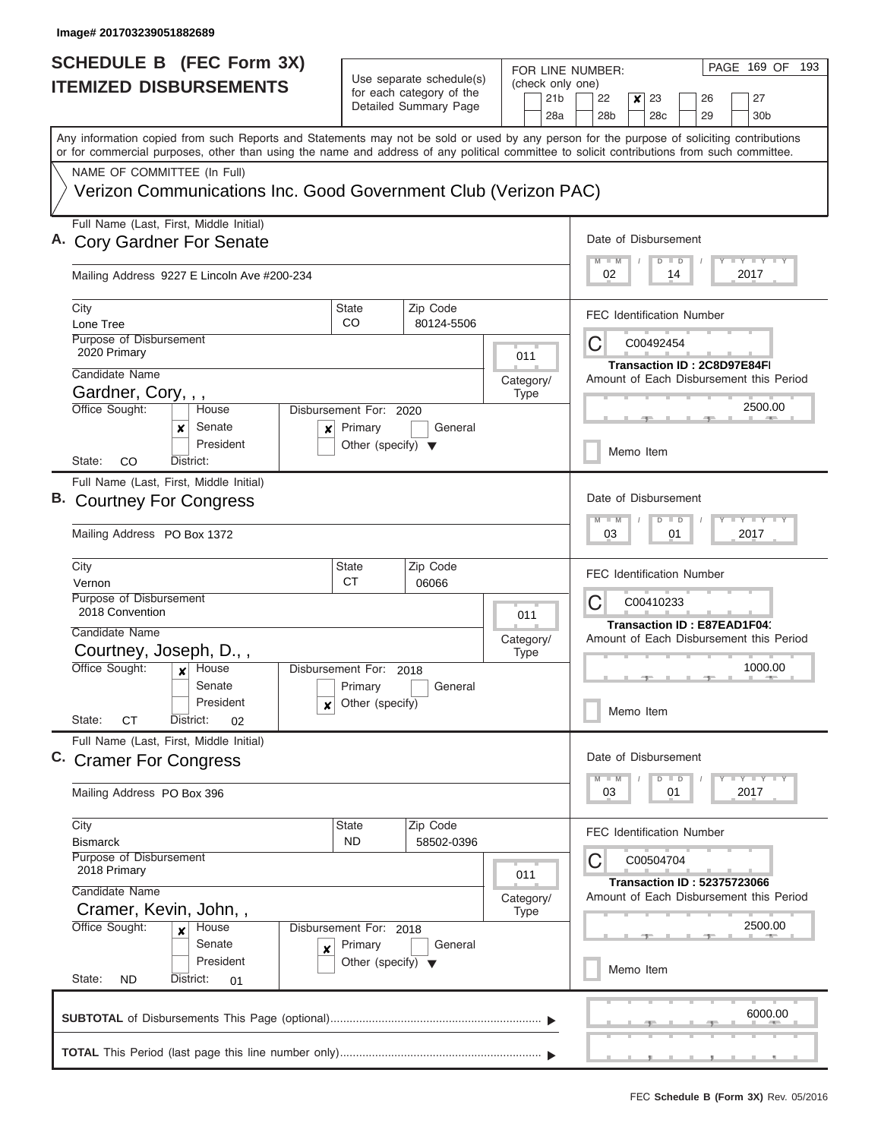| <b>SCHEDULE B</b> (FEC Form 3X)                                                                                                                                                                                                                                                         |                                                 |                                                      |                          | PAGE 169 OF 193<br>FOR LINE NUMBER:                                                      |  |  |  |  |  |  |  |
|-----------------------------------------------------------------------------------------------------------------------------------------------------------------------------------------------------------------------------------------------------------------------------------------|-------------------------------------------------|------------------------------------------------------|--------------------------|------------------------------------------------------------------------------------------|--|--|--|--|--|--|--|
| <b>ITEMIZED DISBURSEMENTS</b>                                                                                                                                                                                                                                                           |                                                 | Use separate schedule(s)<br>for each category of the | (check only one)         |                                                                                          |  |  |  |  |  |  |  |
|                                                                                                                                                                                                                                                                                         |                                                 | Detailed Summary Page                                | 21 <sub>b</sub><br>28a   | 23<br>27<br>22<br>x<br>26<br>28 <sub>b</sub><br>28 <sub>c</sub><br>29<br>30 <sub>b</sub> |  |  |  |  |  |  |  |
| Any information copied from such Reports and Statements may not be sold or used by any person for the purpose of soliciting contributions<br>or for commercial purposes, other than using the name and address of any political committee to solicit contributions from such committee. |                                                 |                                                      |                          |                                                                                          |  |  |  |  |  |  |  |
| NAME OF COMMITTEE (In Full)                                                                                                                                                                                                                                                             |                                                 |                                                      |                          |                                                                                          |  |  |  |  |  |  |  |
| Verizon Communications Inc. Good Government Club (Verizon PAC)                                                                                                                                                                                                                          |                                                 |                                                      |                          |                                                                                          |  |  |  |  |  |  |  |
| Full Name (Last, First, Middle Initial)<br>A. Cory Gardner For Senate                                                                                                                                                                                                                   |                                                 |                                                      |                          | Date of Disbursement<br>Y I Y I Y I Y<br>$M$ $M$<br>$D$ $D$                              |  |  |  |  |  |  |  |
| Mailing Address 9227 E Lincoln Ave #200-234                                                                                                                                                                                                                                             |                                                 |                                                      |                          | 02<br>2017<br>14                                                                         |  |  |  |  |  |  |  |
| City                                                                                                                                                                                                                                                                                    | <b>State</b>                                    | Zip Code                                             |                          | <b>FEC Identification Number</b>                                                         |  |  |  |  |  |  |  |
| Lone Tree<br>Purpose of Disbursement                                                                                                                                                                                                                                                    | CO                                              | 80124-5506                                           |                          |                                                                                          |  |  |  |  |  |  |  |
| 2020 Primary                                                                                                                                                                                                                                                                            |                                                 |                                                      | 011                      | С<br>C00492454                                                                           |  |  |  |  |  |  |  |
| Candidate Name                                                                                                                                                                                                                                                                          |                                                 |                                                      |                          | <b>Transaction ID: 2C8D97E84FI</b><br>Amount of Each Disbursement this Period            |  |  |  |  |  |  |  |
| Gardner, Cory, , ,                                                                                                                                                                                                                                                                      |                                                 |                                                      | Category/<br><b>Type</b> |                                                                                          |  |  |  |  |  |  |  |
| Office Sought:<br>House                                                                                                                                                                                                                                                                 | Disbursement For: 2020                          |                                                      |                          | 2500.00                                                                                  |  |  |  |  |  |  |  |
| Senate<br>x<br>$\boldsymbol{x}$<br>President                                                                                                                                                                                                                                            | Primary<br>Other (specify) $\blacktriangledown$ | General                                              |                          | Memo Item                                                                                |  |  |  |  |  |  |  |
| State:<br>CO<br>District:                                                                                                                                                                                                                                                               |                                                 |                                                      |                          |                                                                                          |  |  |  |  |  |  |  |
| Full Name (Last, First, Middle Initial)<br>B. Courtney For Congress                                                                                                                                                                                                                     |                                                 |                                                      |                          | Date of Disbursement<br>$Y = Y = Y - Y$<br>$M - M$<br>$D$ $D$                            |  |  |  |  |  |  |  |
| Mailing Address PO Box 1372                                                                                                                                                                                                                                                             |                                                 |                                                      |                          |                                                                                          |  |  |  |  |  |  |  |
| City                                                                                                                                                                                                                                                                                    | <b>State</b>                                    | Zip Code                                             |                          | <b>FEC Identification Number</b>                                                         |  |  |  |  |  |  |  |
| Vernon<br>Purpose of Disbursement                                                                                                                                                                                                                                                       | <b>CT</b>                                       | 06066                                                |                          |                                                                                          |  |  |  |  |  |  |  |
| 2018 Convention                                                                                                                                                                                                                                                                         |                                                 |                                                      | 011                      | С<br>C00410233                                                                           |  |  |  |  |  |  |  |
| Candidate Name                                                                                                                                                                                                                                                                          |                                                 |                                                      | Category/                | Transaction ID: E87EAD1F04<br>Amount of Each Disbursement this Period                    |  |  |  |  |  |  |  |
| Courtney, Joseph, D.,,                                                                                                                                                                                                                                                                  |                                                 |                                                      | <b>Type</b>              |                                                                                          |  |  |  |  |  |  |  |
| Office Sought:<br>House                                                                                                                                                                                                                                                                 | Disbursement For: 2018                          |                                                      |                          | 1000.00                                                                                  |  |  |  |  |  |  |  |
| Senate                                                                                                                                                                                                                                                                                  | Primary                                         | General                                              |                          |                                                                                          |  |  |  |  |  |  |  |
| President<br>$\boldsymbol{x}$<br>State:<br>СT<br>District:<br>02                                                                                                                                                                                                                        | Other (specify)                                 |                                                      |                          | Memo Item                                                                                |  |  |  |  |  |  |  |
| Full Name (Last, First, Middle Initial)                                                                                                                                                                                                                                                 |                                                 |                                                      |                          | Date of Disbursement                                                                     |  |  |  |  |  |  |  |
| C. Cramer For Congress                                                                                                                                                                                                                                                                  |                                                 |                                                      |                          |                                                                                          |  |  |  |  |  |  |  |
| Mailing Address PO Box 396                                                                                                                                                                                                                                                              |                                                 |                                                      |                          | Y FY FY FY<br>$M - M$<br>$D$ $D$<br>2017<br>03<br>01                                     |  |  |  |  |  |  |  |
| City                                                                                                                                                                                                                                                                                    | State                                           | Zip Code                                             |                          | <b>FEC Identification Number</b>                                                         |  |  |  |  |  |  |  |
| <b>Bismarck</b><br>Purpose of Disbursement                                                                                                                                                                                                                                              | <b>ND</b>                                       | 58502-0396                                           |                          |                                                                                          |  |  |  |  |  |  |  |
| 2018 Primary                                                                                                                                                                                                                                                                            |                                                 |                                                      | 011                      | С<br>C00504704                                                                           |  |  |  |  |  |  |  |
| Candidate Name                                                                                                                                                                                                                                                                          |                                                 |                                                      | Category/                | <b>Transaction ID: 52375723066</b><br>Amount of Each Disbursement this Period            |  |  |  |  |  |  |  |
| Cramer, Kevin, John,,                                                                                                                                                                                                                                                                   |                                                 |                                                      | <b>Type</b>              |                                                                                          |  |  |  |  |  |  |  |
| Office Sought:<br>House<br>×                                                                                                                                                                                                                                                            | Disbursement For: 2018                          |                                                      |                          | 2500.00                                                                                  |  |  |  |  |  |  |  |
| Senate<br>$\pmb{\times}$                                                                                                                                                                                                                                                                | Primary                                         | General                                              |                          |                                                                                          |  |  |  |  |  |  |  |
| President<br>State:<br>District:<br>ND<br>01                                                                                                                                                                                                                                            | Other (specify) $\blacktriangledown$            |                                                      |                          | Memo Item                                                                                |  |  |  |  |  |  |  |
|                                                                                                                                                                                                                                                                                         |                                                 |                                                      |                          |                                                                                          |  |  |  |  |  |  |  |
|                                                                                                                                                                                                                                                                                         |                                                 |                                                      |                          | 6000.00                                                                                  |  |  |  |  |  |  |  |
|                                                                                                                                                                                                                                                                                         |                                                 |                                                      |                          |                                                                                          |  |  |  |  |  |  |  |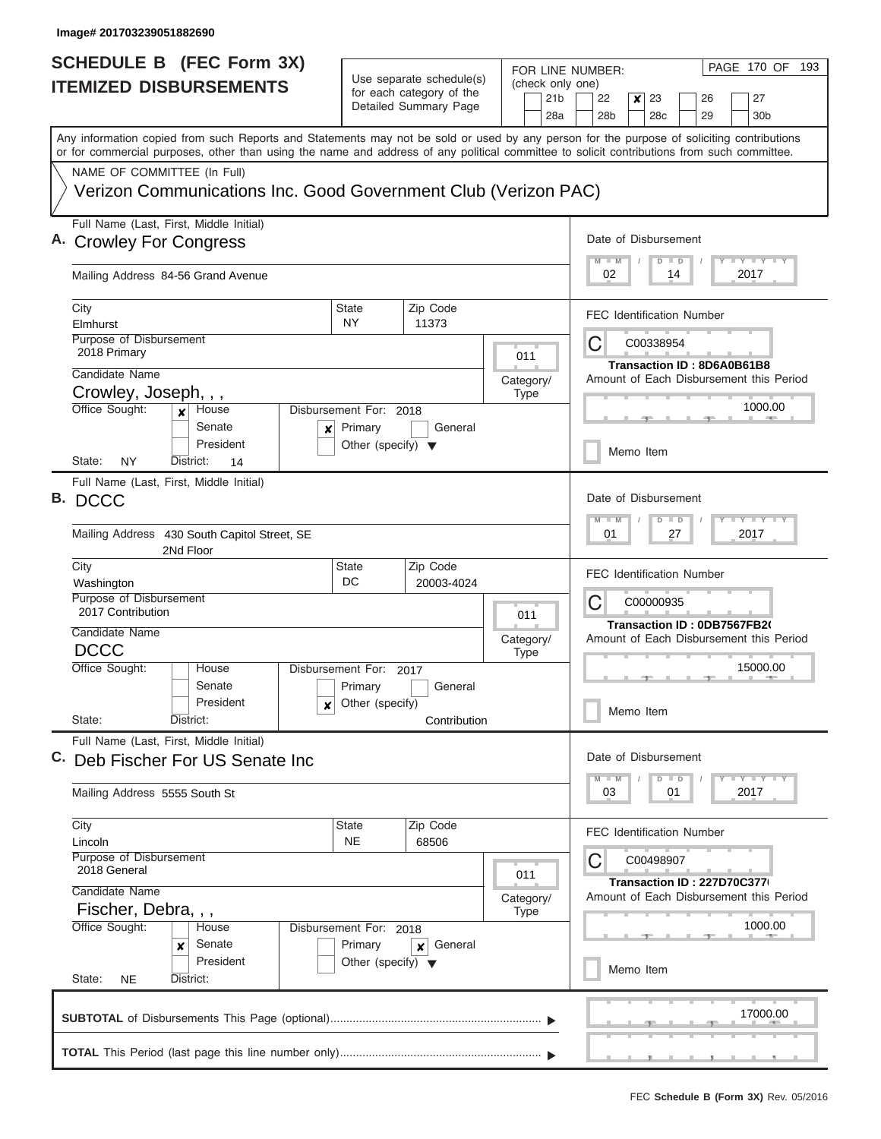| <b>SCHEDULE B (FEC Form 3X)</b>                                                                                                                                                                                                                                                         |                                      |                                                      |             |                        | FOR LINE NUMBER: |           |                                 |                                   |  | PAGE 170 OF 193                         |  |  |  |
|-----------------------------------------------------------------------------------------------------------------------------------------------------------------------------------------------------------------------------------------------------------------------------------------|--------------------------------------|------------------------------------------------------|-------------|------------------------|------------------|-----------|---------------------------------|-----------------------------------|--|-----------------------------------------|--|--|--|
| <b>ITEMIZED DISBURSEMENTS</b>                                                                                                                                                                                                                                                           |                                      | Use separate schedule(s)<br>for each category of the |             |                        | (check only one) |           |                                 |                                   |  |                                         |  |  |  |
|                                                                                                                                                                                                                                                                                         |                                      | Detailed Summary Page                                |             | 21 <sub>b</sub><br>28a | 22<br>28b        | x         | 23<br>28c                       | 26<br>29                          |  | 27<br>30 <sub>b</sub>                   |  |  |  |
| Any information copied from such Reports and Statements may not be sold or used by any person for the purpose of soliciting contributions<br>or for commercial purposes, other than using the name and address of any political committee to solicit contributions from such committee. |                                      |                                                      |             |                        |                  |           |                                 |                                   |  |                                         |  |  |  |
| NAME OF COMMITTEE (In Full)                                                                                                                                                                                                                                                             |                                      |                                                      |             |                        |                  |           |                                 |                                   |  |                                         |  |  |  |
| Verizon Communications Inc. Good Government Club (Verizon PAC)                                                                                                                                                                                                                          |                                      |                                                      |             |                        |                  |           |                                 |                                   |  |                                         |  |  |  |
| Full Name (Last, First, Middle Initial)<br>A. Crowley For Congress                                                                                                                                                                                                                      |                                      |                                                      |             |                        | $M - M$          |           | Date of Disbursement<br>$D$ $D$ |                                   |  | Y FY FY FY                              |  |  |  |
| Mailing Address 84-56 Grand Avenue                                                                                                                                                                                                                                                      |                                      |                                                      |             |                        | 02               |           |                                 | 14                                |  | 2017                                    |  |  |  |
| City                                                                                                                                                                                                                                                                                    | <b>State</b><br><b>NY</b>            | Zip Code                                             |             |                        |                  |           |                                 | <b>FEC Identification Number</b>  |  |                                         |  |  |  |
| Elmhurst<br>Purpose of Disbursement                                                                                                                                                                                                                                                     |                                      | 11373                                                |             |                        | C                |           | C00338954                       |                                   |  |                                         |  |  |  |
| 2018 Primary                                                                                                                                                                                                                                                                            |                                      |                                                      | 011         |                        |                  |           |                                 |                                   |  |                                         |  |  |  |
| Candidate Name                                                                                                                                                                                                                                                                          |                                      |                                                      | Category/   |                        |                  |           |                                 | <b>Transaction ID: 8D6A0B61B8</b> |  | Amount of Each Disbursement this Period |  |  |  |
| Crowley, Joseph, , ,                                                                                                                                                                                                                                                                    |                                      |                                                      | <b>Type</b> |                        |                  |           |                                 |                                   |  |                                         |  |  |  |
| Office Sought:<br>House<br>x<br>Senate<br>$\boldsymbol{x}$                                                                                                                                                                                                                              | Disbursement For: 2018<br>Primary    | General                                              |             |                        |                  |           |                                 |                                   |  | 1000.00                                 |  |  |  |
| President<br>State:<br>ΝY<br>District:<br>14                                                                                                                                                                                                                                            | Other (specify) $\blacktriangledown$ |                                                      |             |                        |                  | Memo Item |                                 |                                   |  |                                         |  |  |  |
| Full Name (Last, First, Middle Initial)                                                                                                                                                                                                                                                 |                                      |                                                      |             |                        |                  |           |                                 |                                   |  |                                         |  |  |  |
| B. DCCC                                                                                                                                                                                                                                                                                 |                                      |                                                      |             |                        | $M - M$          |           | Date of Disbursement            |                                   |  |                                         |  |  |  |
| Mailing Address 430 South Capitol Street, SE<br>2Nd Floor                                                                                                                                                                                                                               |                                      |                                                      |             |                        |                  |           |                                 | $D$ $D$<br>27                     |  | $Y = Y = Y + Y + Y$<br>2017             |  |  |  |
| City<br>Washington                                                                                                                                                                                                                                                                      | <b>State</b><br>DC                   | Zip Code<br>20003-4024                               |             |                        |                  |           |                                 | <b>FEC Identification Number</b>  |  |                                         |  |  |  |
| Purpose of Disbursement<br>2017 Contribution                                                                                                                                                                                                                                            |                                      |                                                      |             |                        | C                |           | C00000935                       |                                   |  |                                         |  |  |  |
|                                                                                                                                                                                                                                                                                         |                                      |                                                      | 011         |                        |                  |           |                                 | Transaction ID: 0DB7567FB20       |  |                                         |  |  |  |
| Candidate Name<br><b>DCCC</b>                                                                                                                                                                                                                                                           |                                      |                                                      | Category/   |                        |                  |           |                                 |                                   |  | Amount of Each Disbursement this Period |  |  |  |
| Office Sought:<br>House                                                                                                                                                                                                                                                                 | Disbursement For: 2017               |                                                      | <b>Type</b> |                        |                  |           |                                 |                                   |  | 15000.00                                |  |  |  |
| Senate                                                                                                                                                                                                                                                                                  | Primary                              | General                                              |             |                        |                  |           |                                 |                                   |  |                                         |  |  |  |
| President<br>×                                                                                                                                                                                                                                                                          | Other (specify)                      |                                                      |             |                        |                  | Memo Item |                                 |                                   |  |                                         |  |  |  |
| State:<br>District:                                                                                                                                                                                                                                                                     |                                      | Contribution                                         |             |                        |                  |           |                                 |                                   |  |                                         |  |  |  |
| Full Name (Last, First, Middle Initial)<br>C.<br>Deb Fischer For US Senate Inc                                                                                                                                                                                                          |                                      |                                                      |             |                        |                  |           | Date of Disbursement            |                                   |  |                                         |  |  |  |
| Mailing Address 5555 South St                                                                                                                                                                                                                                                           |                                      |                                                      |             |                        | $M$ $M$<br>03    |           | $D$ $D$<br>01                   |                                   |  | $Y$ $Y$ $Y$ $Y$ $Y$<br>2017             |  |  |  |
| City                                                                                                                                                                                                                                                                                    | <b>State</b>                         | Zip Code                                             |             |                        |                  |           |                                 | <b>FEC Identification Number</b>  |  |                                         |  |  |  |
| Lincoln<br>Purpose of Disbursement                                                                                                                                                                                                                                                      | <b>NE</b>                            | 68506                                                |             |                        |                  |           | C00498907                       |                                   |  |                                         |  |  |  |
| 2018 General                                                                                                                                                                                                                                                                            |                                      |                                                      | 011         |                        |                  |           |                                 |                                   |  |                                         |  |  |  |
| Candidate Name                                                                                                                                                                                                                                                                          |                                      |                                                      | Category/   |                        |                  |           |                                 | Transaction ID: 227D70C377        |  | Amount of Each Disbursement this Period |  |  |  |
| Fischer, Debra, , ,                                                                                                                                                                                                                                                                     |                                      |                                                      | <b>Type</b> |                        |                  |           |                                 |                                   |  |                                         |  |  |  |
| Office Sought:<br>House                                                                                                                                                                                                                                                                 | Disbursement For: 2018               |                                                      |             |                        |                  |           |                                 |                                   |  | 1000.00                                 |  |  |  |
| Senate<br>x                                                                                                                                                                                                                                                                             | Primary                              | General<br>×                                         |             |                        |                  |           |                                 |                                   |  |                                         |  |  |  |
| President<br>State:<br><b>NE</b><br>District:                                                                                                                                                                                                                                           | Other (specify) $\blacktriangledown$ |                                                      |             |                        |                  | Memo Item |                                 |                                   |  |                                         |  |  |  |
|                                                                                                                                                                                                                                                                                         |                                      |                                                      |             |                        |                  |           |                                 |                                   |  |                                         |  |  |  |
|                                                                                                                                                                                                                                                                                         |                                      |                                                      |             |                        |                  |           |                                 |                                   |  | 17000.00                                |  |  |  |
|                                                                                                                                                                                                                                                                                         |                                      |                                                      |             |                        |                  |           |                                 |                                   |  |                                         |  |  |  |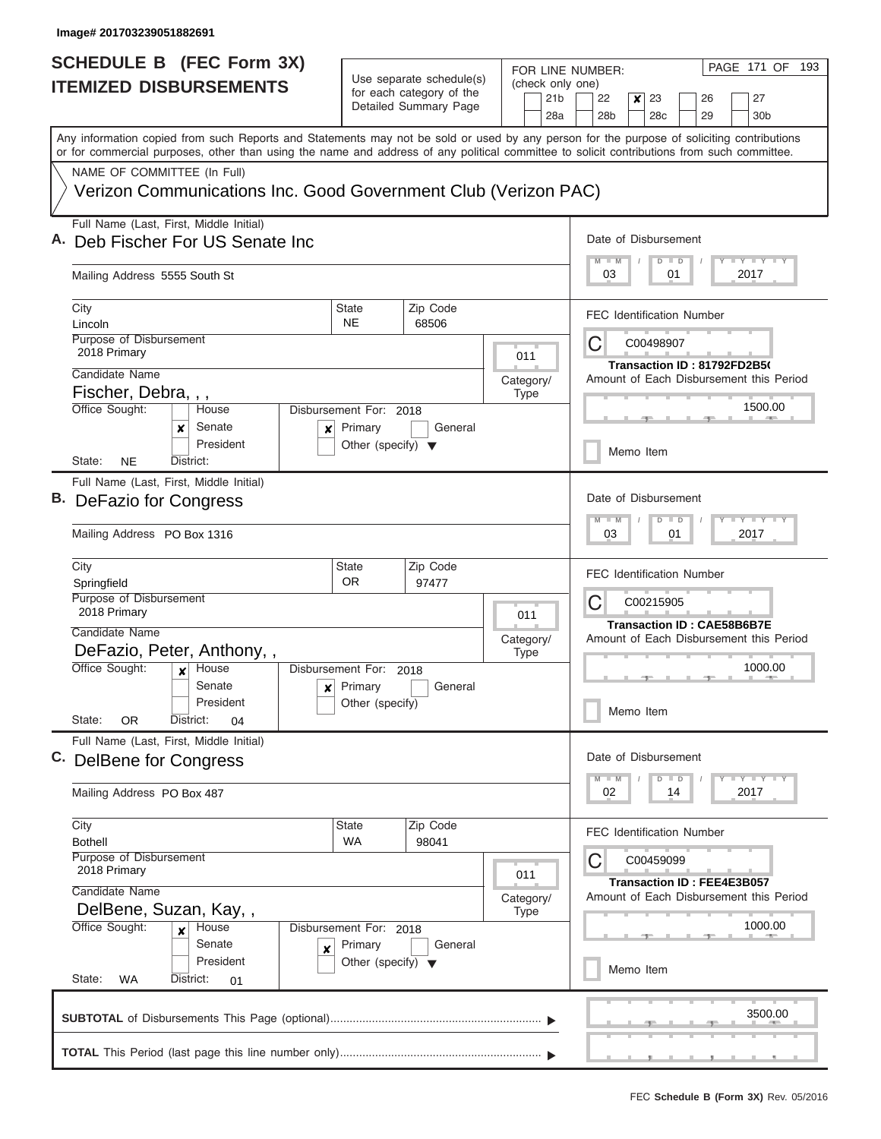| <b>SCHEDULE B</b> (FEC Form 3X)                                                                                                                                                                                                                                                         |                                                                                 | Use separate schedule(s)                                         |  |                                 | PAGE 171 OF<br>193<br>FOR LINE NUMBER:                                                                                                   |
|-----------------------------------------------------------------------------------------------------------------------------------------------------------------------------------------------------------------------------------------------------------------------------------------|---------------------------------------------------------------------------------|------------------------------------------------------------------|--|---------------------------------|------------------------------------------------------------------------------------------------------------------------------------------|
| <b>ITEMIZED DISBURSEMENTS</b>                                                                                                                                                                                                                                                           | (check only one)<br>21 <sub>b</sub><br>28a                                      | 22<br>23<br>27<br>×<br>26<br>29<br>30 <sub>b</sub><br>28b<br>28c |  |                                 |                                                                                                                                          |
| Any information copied from such Reports and Statements may not be sold or used by any person for the purpose of soliciting contributions<br>or for commercial purposes, other than using the name and address of any political committee to solicit contributions from such committee. |                                                                                 |                                                                  |  |                                 |                                                                                                                                          |
| NAME OF COMMITTEE (In Full)<br>Verizon Communications Inc. Good Government Club (Verizon PAC)                                                                                                                                                                                           |                                                                                 |                                                                  |  |                                 |                                                                                                                                          |
| Full Name (Last, First, Middle Initial)<br>A. Deb Fischer For US Senate Inc<br>Mailing Address 5555 South St                                                                                                                                                                            | Date of Disbursement<br>Y I Y I Y I Y<br>$M$ $M$<br>$D$ $D$<br>03<br>01<br>2017 |                                                                  |  |                                 |                                                                                                                                          |
| City<br>Lincoln<br><b>Purpose of Disbursement</b>                                                                                                                                                                                                                                       | State<br><b>NE</b>                                                              | Zip Code<br>68506                                                |  |                                 | <b>FEC Identification Number</b>                                                                                                         |
| 2018 Primary<br>Candidate Name<br>Fischer, Debra, , ,<br>Office Sought:<br>House<br>Senate<br>x<br>×<br>President<br>State:<br><b>NE</b><br>District:                                                                                                                                   | Disbursement For: 2018<br>Primary<br>Other (specify) $\blacktriangledown$       | General                                                          |  | 011<br>Category/<br><b>Type</b> | С<br>C00498907<br>Transaction ID: 81792FD2B50<br>Amount of Each Disbursement this Period<br>1500.00<br>Memo Item                         |
| Full Name (Last, First, Middle Initial)<br>B. DeFazio for Congress<br>Mailing Address PO Box 1316                                                                                                                                                                                       |                                                                                 |                                                                  |  |                                 | Date of Disbursement<br>$T - Y$ $T - Y$ $T - Y$<br>$M - M$<br>$\overline{D}$<br>$\blacksquare$<br>03<br>01<br>2017                       |
| City<br>Springfield<br>Purpose of Disbursement<br>2018 Primary<br>Candidate Name<br>DeFazio, Peter, Anthony,,<br>Office Sought:<br>House<br>$\boldsymbol{x}$                                                                                                                            | <b>State</b><br><b>OR</b><br>Disbursement For: 2018                             | Zip Code<br>97477                                                |  | 011<br>Category/<br><b>Type</b> | <b>FEC Identification Number</b><br>C00215905<br><b>Transaction ID: CAE58B6B7E</b><br>Amount of Each Disbursement this Period<br>1000.00 |
| Senate<br>President<br>State:<br>OR.<br>District:<br>04                                                                                                                                                                                                                                 | $\mathbf{x}$ Primary<br>Other (specify)                                         | General                                                          |  |                                 | Memo Item                                                                                                                                |
| Full Name (Last, First, Middle Initial)<br>C. DelBene for Congress<br>Mailing Address PO Box 487                                                                                                                                                                                        |                                                                                 |                                                                  |  |                                 | Date of Disbursement<br>Y FY FY FY<br>$M - M$<br>$D$ $D$<br>02<br>2017<br>14                                                             |
| City<br><b>Bothell</b><br>Purpose of Disbursement<br>2018 Primary<br>Candidate Name                                                                                                                                                                                                     | State<br><b>WA</b>                                                              | Zip Code<br>98041                                                |  | 011                             | <b>FEC Identification Number</b><br>C<br>C00459099<br><b>Transaction ID: FEE4E3B057</b>                                                  |
| DelBene, Suzan, Kay,,<br>Office Sought:<br>House<br>$\mathbf{x}$<br>Senate<br>$\boldsymbol{x}$<br>President<br>State:<br><b>WA</b><br>District:<br>01                                                                                                                                   | Disbursement For: 2018<br>Primary<br>Other (specify) $\blacktriangledown$       | General                                                          |  | Category/<br><b>Type</b>        | Amount of Each Disbursement this Period<br>1000.00<br>Memo Item                                                                          |
|                                                                                                                                                                                                                                                                                         |                                                                                 |                                                                  |  |                                 | 3500.00                                                                                                                                  |
|                                                                                                                                                                                                                                                                                         |                                                                                 |                                                                  |  |                                 |                                                                                                                                          |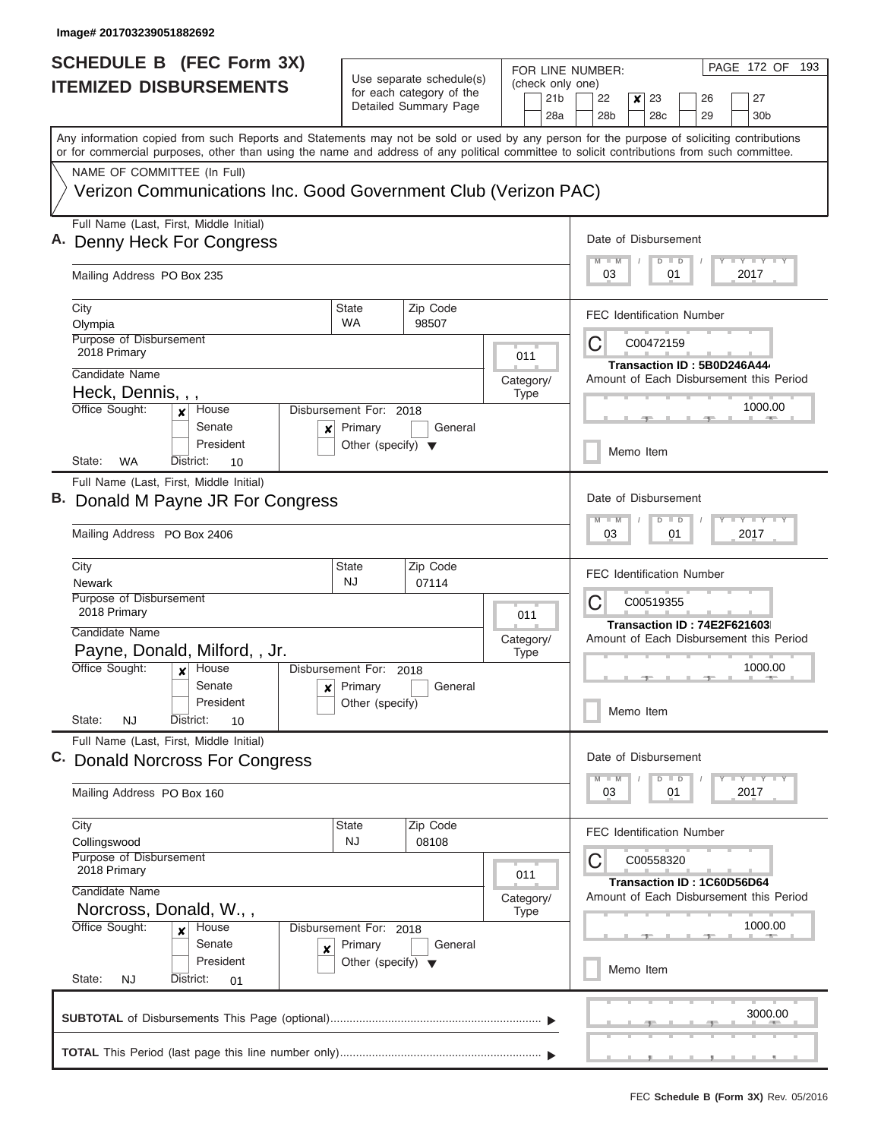| <b>SCHEDULE B (FEC Form 3X)</b>                                                                                                                                                                                                                                                         |                                                                           | Use separate schedule(s)                   |                                                                              |  | PAGE 172 OF 193<br>FOR LINE NUMBER:                                                      |  |  |  |  |  |  |  |
|-----------------------------------------------------------------------------------------------------------------------------------------------------------------------------------------------------------------------------------------------------------------------------------------|---------------------------------------------------------------------------|--------------------------------------------|------------------------------------------------------------------------------|--|------------------------------------------------------------------------------------------|--|--|--|--|--|--|--|
| <b>ITEMIZED DISBURSEMENTS</b>                                                                                                                                                                                                                                                           |                                                                           | (check only one)<br>21 <sub>b</sub><br>28a | 22<br>x<br>23<br>26<br>27<br>28 <sub>b</sub><br>28c<br>29<br>30 <sub>b</sub> |  |                                                                                          |  |  |  |  |  |  |  |
| Any information copied from such Reports and Statements may not be sold or used by any person for the purpose of soliciting contributions<br>or for commercial purposes, other than using the name and address of any political committee to solicit contributions from such committee. |                                                                           |                                            |                                                                              |  |                                                                                          |  |  |  |  |  |  |  |
| NAME OF COMMITTEE (In Full)<br>Verizon Communications Inc. Good Government Club (Verizon PAC)                                                                                                                                                                                           |                                                                           |                                            |                                                                              |  |                                                                                          |  |  |  |  |  |  |  |
| Full Name (Last, First, Middle Initial)<br>A. Denny Heck For Congress                                                                                                                                                                                                                   |                                                                           |                                            |                                                                              |  | Date of Disbursement<br><b>LY LY LY</b><br>D<br>$\blacksquare$                           |  |  |  |  |  |  |  |
| Mailing Address PO Box 235                                                                                                                                                                                                                                                              |                                                                           |                                            |                                                                              |  | 2017<br>03<br>01                                                                         |  |  |  |  |  |  |  |
| City<br>Olympia                                                                                                                                                                                                                                                                         | <b>State</b><br><b>WA</b>                                                 | Zip Code<br>98507                          |                                                                              |  | <b>FEC Identification Number</b>                                                         |  |  |  |  |  |  |  |
| Purpose of Disbursement<br>2018 Primary<br>Candidate Name                                                                                                                                                                                                                               |                                                                           |                                            | 011                                                                          |  | С<br>C00472159<br>Transaction ID: 5B0D246A44                                             |  |  |  |  |  |  |  |
| Heck, Dennis, , ,<br>Office Sought:                                                                                                                                                                                                                                                     |                                                                           |                                            | Category/<br><b>Type</b>                                                     |  | Amount of Each Disbursement this Period<br>1000.00                                       |  |  |  |  |  |  |  |
| <b>House</b><br>x<br>Senate<br>x<br>President<br><b>WA</b><br>State:<br>District:<br>10                                                                                                                                                                                                 | Disbursement For: 2018<br>Primary<br>Other (specify) $\blacktriangledown$ | General                                    |                                                                              |  | Memo Item                                                                                |  |  |  |  |  |  |  |
| Full Name (Last, First, Middle Initial)<br>B. Donald M Payne JR For Congress                                                                                                                                                                                                            |                                                                           |                                            |                                                                              |  | Date of Disbursement<br><b>LEY LEY</b><br>$M - M$<br>D<br>$\blacksquare$                 |  |  |  |  |  |  |  |
| Mailing Address PO Box 2406                                                                                                                                                                                                                                                             |                                                                           | 01<br>2017<br>03                           |                                                                              |  |                                                                                          |  |  |  |  |  |  |  |
| City<br><b>Newark</b><br>Purpose of Disbursement<br>2018 Primary                                                                                                                                                                                                                        | <b>State</b><br>NJ                                                        | Zip Code<br>07114                          | 011                                                                          |  | <b>FEC Identification Number</b><br>C<br>C00519355<br><b>Transaction ID: 74E2F621603</b> |  |  |  |  |  |  |  |
| Candidate Name<br>Payne, Donald, Milford, , Jr.<br>Office Sought:<br>House<br>X                                                                                                                                                                                                         | Disbursement For: 2018                                                    |                                            | Category/<br><b>Type</b>                                                     |  | Amount of Each Disbursement this Period<br>1000.00                                       |  |  |  |  |  |  |  |
| Senate<br>President<br>State:<br>District:<br>NJ<br>10                                                                                                                                                                                                                                  | $x$ Primary<br>Other (specify)                                            | General                                    |                                                                              |  | Memo Item                                                                                |  |  |  |  |  |  |  |
| Full Name (Last, First, Middle Initial)<br><b>Donald Norcross For Congress</b>                                                                                                                                                                                                          |                                                                           |                                            |                                                                              |  | Date of Disbursement                                                                     |  |  |  |  |  |  |  |
| Mailing Address PO Box 160                                                                                                                                                                                                                                                              |                                                                           |                                            |                                                                              |  | $T$ $Y$ $T$ $Y$ $T$ $Y$<br>$M - M$<br>D<br>$\blacksquare$<br>2017<br>03<br>01            |  |  |  |  |  |  |  |
| City<br>Collingswood<br>Purpose of Disbursement<br>2018 Primary                                                                                                                                                                                                                         | <b>State</b><br>NJ                                                        | Zip Code<br>08108                          | 011                                                                          |  | <b>FEC Identification Number</b><br>С<br>C00558320                                       |  |  |  |  |  |  |  |
| Candidate Name<br>Norcross, Donald, W.,,<br>Office Sought:<br>House<br>$\boldsymbol{x}$                                                                                                                                                                                                 | Disbursement For: 2018                                                    |                                            | Category/<br><b>Type</b>                                                     |  | Transaction ID: 1C60D56D64<br>Amount of Each Disbursement this Period<br>1000.00         |  |  |  |  |  |  |  |
| Senate<br>×<br>President<br>State:<br>District:<br><b>NJ</b><br>01                                                                                                                                                                                                                      | Primary<br>Other (specify) $\blacktriangledown$                           | General                                    |                                                                              |  | Memo Item                                                                                |  |  |  |  |  |  |  |
|                                                                                                                                                                                                                                                                                         |                                                                           |                                            |                                                                              |  | 3000.00                                                                                  |  |  |  |  |  |  |  |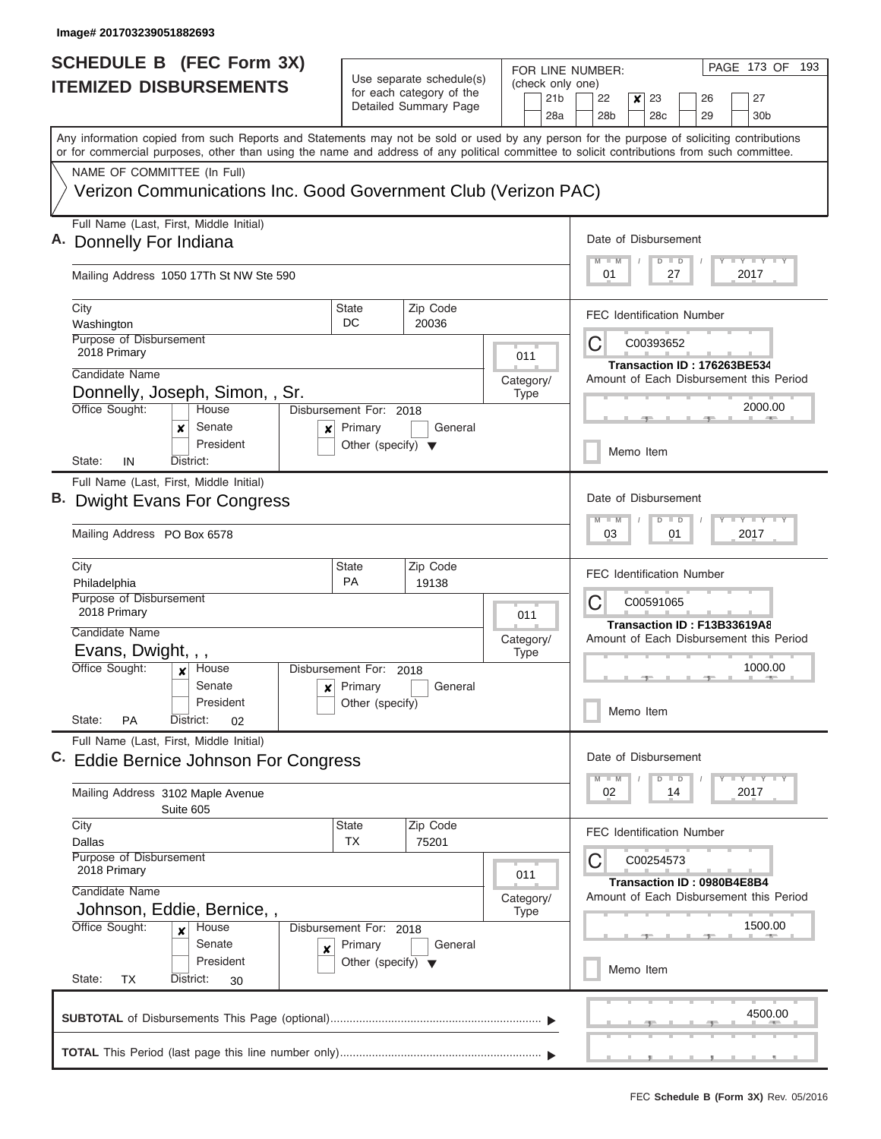I

| <b>SCHEDULE B (FEC Form 3X)</b>                                                                                                                                                                                                                                                         |                                                 |                                                      | FOR LINE NUMBER:                    | PAGE 173 OF 193                                                       |  |  |  |  |  |  |
|-----------------------------------------------------------------------------------------------------------------------------------------------------------------------------------------------------------------------------------------------------------------------------------------|-------------------------------------------------|------------------------------------------------------|-------------------------------------|-----------------------------------------------------------------------|--|--|--|--|--|--|
| <b>ITEMIZED DISBURSEMENTS</b>                                                                                                                                                                                                                                                           |                                                 | Use separate schedule(s)<br>for each category of the | (check only one)<br>21 <sub>b</sub> | 22<br>23<br>26<br>27<br>x                                             |  |  |  |  |  |  |
|                                                                                                                                                                                                                                                                                         |                                                 | Detailed Summary Page                                | 28a                                 | 29<br>28b<br>28 <sub>c</sub><br>30 <sub>b</sub>                       |  |  |  |  |  |  |
| Any information copied from such Reports and Statements may not be sold or used by any person for the purpose of soliciting contributions<br>or for commercial purposes, other than using the name and address of any political committee to solicit contributions from such committee. |                                                 |                                                      |                                     |                                                                       |  |  |  |  |  |  |
| NAME OF COMMITTEE (In Full)                                                                                                                                                                                                                                                             |                                                 |                                                      |                                     |                                                                       |  |  |  |  |  |  |
| Verizon Communications Inc. Good Government Club (Verizon PAC)                                                                                                                                                                                                                          |                                                 |                                                      |                                     |                                                                       |  |  |  |  |  |  |
| Full Name (Last, First, Middle Initial)<br>Donnelly For Indiana                                                                                                                                                                                                                         |                                                 |                                                      |                                     | Date of Disbursement<br>Y LY LY LY<br>$M$ $M$<br>$D$ $D$              |  |  |  |  |  |  |
| Mailing Address 1050 17Th St NW Ste 590                                                                                                                                                                                                                                                 |                                                 |                                                      |                                     | 01<br>27<br>2017                                                      |  |  |  |  |  |  |
| City<br>Washington                                                                                                                                                                                                                                                                      | State<br>DC                                     | Zip Code<br>20036                                    |                                     | <b>FEC Identification Number</b>                                      |  |  |  |  |  |  |
| <b>Purpose of Disbursement</b>                                                                                                                                                                                                                                                          |                                                 |                                                      |                                     | C<br>C00393652                                                        |  |  |  |  |  |  |
| 2018 Primary                                                                                                                                                                                                                                                                            |                                                 |                                                      | 011                                 | Transaction ID: 176263BE534                                           |  |  |  |  |  |  |
| Candidate Name<br>Donnelly, Joseph, Simon, , Sr.                                                                                                                                                                                                                                        |                                                 |                                                      | Category/                           | Amount of Each Disbursement this Period                               |  |  |  |  |  |  |
| Office Sought:<br>House                                                                                                                                                                                                                                                                 | Disbursement For: 2018                          |                                                      | <b>Type</b>                         | 2000.00                                                               |  |  |  |  |  |  |
| Senate<br>x<br>x<br>President                                                                                                                                                                                                                                                           | Primary<br>Other (specify) $\blacktriangledown$ | General                                              |                                     | Memo Item                                                             |  |  |  |  |  |  |
| State:<br>IN<br>District:                                                                                                                                                                                                                                                               |                                                 |                                                      |                                     |                                                                       |  |  |  |  |  |  |
| Full Name (Last, First, Middle Initial)<br>B. Dwight Evans For Congress                                                                                                                                                                                                                 |                                                 |                                                      |                                     |                                                                       |  |  |  |  |  |  |
| Mailing Address PO Box 6578                                                                                                                                                                                                                                                             |                                                 |                                                      | 03<br>01<br>2017                    |                                                                       |  |  |  |  |  |  |
| City<br>Philadelphia                                                                                                                                                                                                                                                                    | <b>State</b><br><b>PA</b>                       | Zip Code<br>19138                                    |                                     | <b>FEC Identification Number</b>                                      |  |  |  |  |  |  |
| Purpose of Disbursement<br>2018 Primary                                                                                                                                                                                                                                                 |                                                 |                                                      |                                     | C<br>C00591065                                                        |  |  |  |  |  |  |
| Candidate Name                                                                                                                                                                                                                                                                          |                                                 |                                                      | 011                                 | Transaction ID: F13B33619A8                                           |  |  |  |  |  |  |
| Evans, Dwight, , ,                                                                                                                                                                                                                                                                      |                                                 |                                                      | Category/<br><b>Type</b>            | Amount of Each Disbursement this Period                               |  |  |  |  |  |  |
| Office Sought:<br>House                                                                                                                                                                                                                                                                 | Disbursement For: 2018                          |                                                      |                                     | 1000.00                                                               |  |  |  |  |  |  |
| Senate<br>×                                                                                                                                                                                                                                                                             | Primary                                         | General                                              |                                     |                                                                       |  |  |  |  |  |  |
| President<br>State:<br><b>PA</b><br>District:<br>02                                                                                                                                                                                                                                     | Other (specify)                                 |                                                      |                                     | Memo Item                                                             |  |  |  |  |  |  |
| Full Name (Last, First, Middle Initial)                                                                                                                                                                                                                                                 |                                                 |                                                      |                                     | Date of Disbursement                                                  |  |  |  |  |  |  |
| C. Eddie Bernice Johnson For Congress                                                                                                                                                                                                                                                   |                                                 |                                                      |                                     | $Y - Y - Y - Y - Y$<br>$M - M$<br>$D$ $D$                             |  |  |  |  |  |  |
| Mailing Address 3102 Maple Avenue<br>Suite 605                                                                                                                                                                                                                                          |                                                 |                                                      |                                     | 02<br>2017<br>14                                                      |  |  |  |  |  |  |
| City<br>Dallas                                                                                                                                                                                                                                                                          | State<br><b>TX</b>                              | Zip Code<br>75201                                    |                                     | <b>FEC Identification Number</b>                                      |  |  |  |  |  |  |
| Purpose of Disbursement<br>2018 Primary                                                                                                                                                                                                                                                 |                                                 |                                                      | 011                                 | C<br>C00254573                                                        |  |  |  |  |  |  |
| Candidate Name<br>Johnson, Eddie, Bernice,,                                                                                                                                                                                                                                             |                                                 |                                                      | Category/<br><b>Type</b>            | Transaction ID: 0980B4E8B4<br>Amount of Each Disbursement this Period |  |  |  |  |  |  |
| Office Sought:<br>House<br>$\mathbf{x}$                                                                                                                                                                                                                                                 | Disbursement For: 2018                          |                                                      |                                     | 1500.00                                                               |  |  |  |  |  |  |
| Senate<br>$\boldsymbol{x}$<br>President                                                                                                                                                                                                                                                 | Primary<br>Other (specify) $\blacktriangledown$ | General                                              |                                     | Memo Item                                                             |  |  |  |  |  |  |
| State:<br>ТX<br>District:<br>30                                                                                                                                                                                                                                                         |                                                 |                                                      |                                     |                                                                       |  |  |  |  |  |  |
|                                                                                                                                                                                                                                                                                         |                                                 |                                                      |                                     | 4500.00                                                               |  |  |  |  |  |  |
|                                                                                                                                                                                                                                                                                         |                                                 |                                                      |                                     |                                                                       |  |  |  |  |  |  |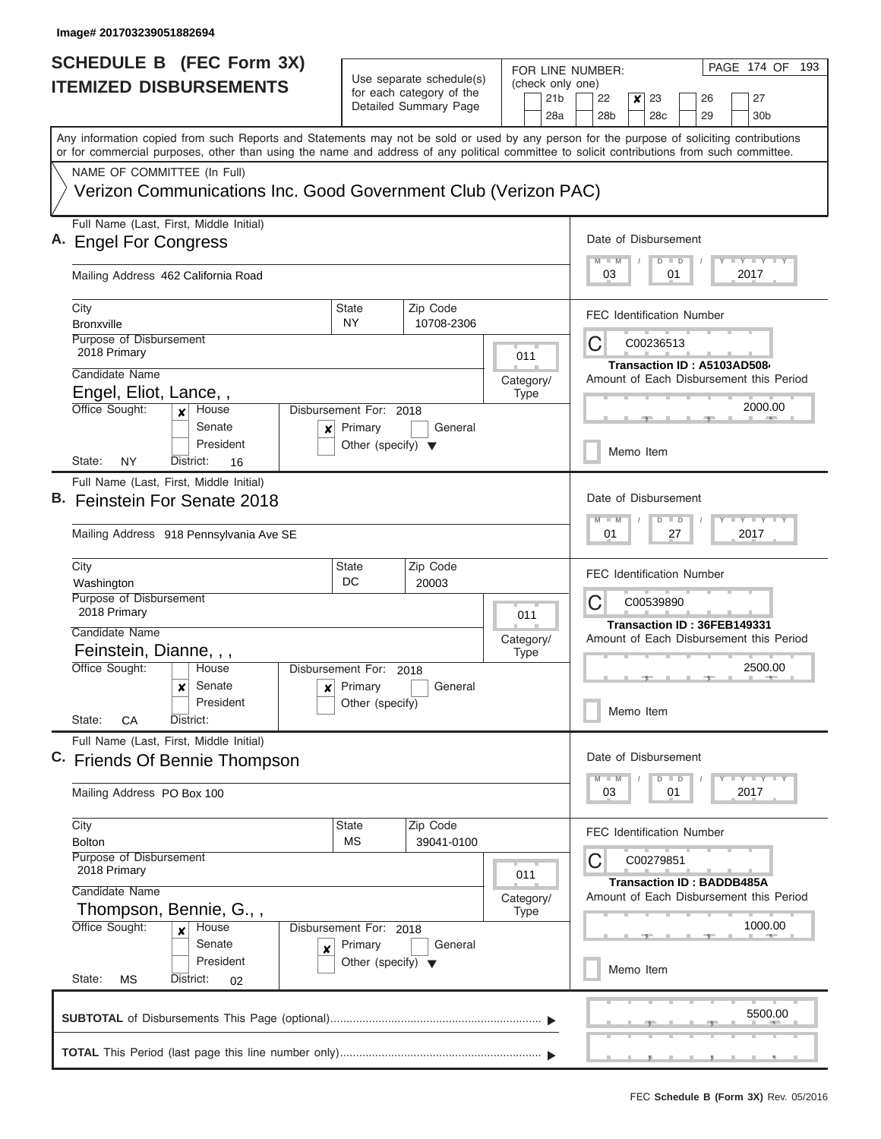| <b>SCHEDULE B (FEC Form 3X)</b>                                                                                                                                                                                                                                                         |                                      |                                                      | FOR LINE NUMBER: | PAGE 174 OF 193                                                             |  |  |  |  |  |  |  |
|-----------------------------------------------------------------------------------------------------------------------------------------------------------------------------------------------------------------------------------------------------------------------------------------|--------------------------------------|------------------------------------------------------|------------------|-----------------------------------------------------------------------------|--|--|--|--|--|--|--|
| <b>ITEMIZED DISBURSEMENTS</b>                                                                                                                                                                                                                                                           |                                      | Use separate schedule(s)<br>for each category of the | (check only one) |                                                                             |  |  |  |  |  |  |  |
|                                                                                                                                                                                                                                                                                         |                                      | Detailed Summary Page                                | 21 <sub>b</sub>  | 22<br>27<br>x<br>23<br>26                                                   |  |  |  |  |  |  |  |
|                                                                                                                                                                                                                                                                                         |                                      |                                                      | 28a              | 28 <sub>b</sub><br>28c<br>29<br>30b                                         |  |  |  |  |  |  |  |
| Any information copied from such Reports and Statements may not be sold or used by any person for the purpose of soliciting contributions<br>or for commercial purposes, other than using the name and address of any political committee to solicit contributions from such committee. |                                      |                                                      |                  |                                                                             |  |  |  |  |  |  |  |
| NAME OF COMMITTEE (In Full)                                                                                                                                                                                                                                                             |                                      |                                                      |                  |                                                                             |  |  |  |  |  |  |  |
| Verizon Communications Inc. Good Government Club (Verizon PAC)                                                                                                                                                                                                                          |                                      |                                                      |                  |                                                                             |  |  |  |  |  |  |  |
| Full Name (Last, First, Middle Initial)<br>A. Engel For Congress                                                                                                                                                                                                                        |                                      |                                                      |                  | Date of Disbursement                                                        |  |  |  |  |  |  |  |
|                                                                                                                                                                                                                                                                                         |                                      |                                                      |                  | Y FY FY FY<br>$D$ $D$                                                       |  |  |  |  |  |  |  |
| Mailing Address 462 California Road                                                                                                                                                                                                                                                     |                                      |                                                      |                  | 2017<br>03<br>01                                                            |  |  |  |  |  |  |  |
| City<br><b>Bronxville</b>                                                                                                                                                                                                                                                               | <b>State</b><br><b>NY</b>            | Zip Code<br>10708-2306                               |                  | <b>FEC Identification Number</b>                                            |  |  |  |  |  |  |  |
| Purpose of Disbursement<br>2018 Primary                                                                                                                                                                                                                                                 |                                      |                                                      | 011              | С<br>C00236513                                                              |  |  |  |  |  |  |  |
| Candidate Name                                                                                                                                                                                                                                                                          |                                      |                                                      | Category/        | Transaction ID: A5103AD5084<br>Amount of Each Disbursement this Period      |  |  |  |  |  |  |  |
| Engel, Eliot, Lance,,                                                                                                                                                                                                                                                                   |                                      |                                                      | Type             |                                                                             |  |  |  |  |  |  |  |
| Office Sought:<br>House<br>$\mathbf{x}$                                                                                                                                                                                                                                                 | Disbursement For: 2018               |                                                      |                  | 2000.00                                                                     |  |  |  |  |  |  |  |
| Senate<br>×                                                                                                                                                                                                                                                                             | Primary                              | General                                              |                  |                                                                             |  |  |  |  |  |  |  |
| President                                                                                                                                                                                                                                                                               | Other (specify) $\blacktriangledown$ |                                                      |                  | Memo Item                                                                   |  |  |  |  |  |  |  |
| State:<br>ΝY<br>District:<br>16                                                                                                                                                                                                                                                         |                                      |                                                      |                  |                                                                             |  |  |  |  |  |  |  |
| Full Name (Last, First, Middle Initial)                                                                                                                                                                                                                                                 |                                      |                                                      |                  | Date of Disbursement                                                        |  |  |  |  |  |  |  |
| B. Feinstein For Senate 2018                                                                                                                                                                                                                                                            |                                      |                                                      |                  | $T$ $Y$ $T$ $Y$ $T$<br>$M - M$<br>$D$ $D$                                   |  |  |  |  |  |  |  |
| Mailing Address 918 Pennsylvania Ave SE                                                                                                                                                                                                                                                 |                                      |                                                      |                  |                                                                             |  |  |  |  |  |  |  |
| City                                                                                                                                                                                                                                                                                    | <b>State</b><br>DC                   | Zip Code                                             |                  | <b>FEC Identification Number</b>                                            |  |  |  |  |  |  |  |
| Washington<br>Purpose of Disbursement                                                                                                                                                                                                                                                   |                                      | 20003                                                |                  | С<br>C00539890                                                              |  |  |  |  |  |  |  |
| 2018 Primary                                                                                                                                                                                                                                                                            |                                      |                                                      | 011              |                                                                             |  |  |  |  |  |  |  |
| Candidate Name                                                                                                                                                                                                                                                                          |                                      |                                                      | Category/        | Transaction ID: 36FEB149331<br>Amount of Each Disbursement this Period      |  |  |  |  |  |  |  |
| Feinstein, Dianne, , ,                                                                                                                                                                                                                                                                  |                                      |                                                      | <b>Type</b>      |                                                                             |  |  |  |  |  |  |  |
| Office Sought:<br>House                                                                                                                                                                                                                                                                 | Disbursement For: 2018               |                                                      |                  | 2500.00                                                                     |  |  |  |  |  |  |  |
| Senate<br>×<br>x                                                                                                                                                                                                                                                                        | Primary                              | General                                              |                  |                                                                             |  |  |  |  |  |  |  |
| President<br>State:<br>District:<br>СA                                                                                                                                                                                                                                                  | Other (specify)                      |                                                      |                  | Memo Item                                                                   |  |  |  |  |  |  |  |
| Full Name (Last, First, Middle Initial)                                                                                                                                                                                                                                                 |                                      |                                                      |                  |                                                                             |  |  |  |  |  |  |  |
| C. Friends Of Bennie Thompson                                                                                                                                                                                                                                                           |                                      |                                                      |                  | Date of Disbursement                                                        |  |  |  |  |  |  |  |
| Mailing Address PO Box 100                                                                                                                                                                                                                                                              |                                      |                                                      |                  | $T$ $Y$ $T$ $Y$ $T$ $Y$<br>$D$ $D$<br>2017<br>03<br>01                      |  |  |  |  |  |  |  |
| City                                                                                                                                                                                                                                                                                    | <b>State</b><br>MS                   | Zip Code<br>39041-0100                               |                  | <b>FEC Identification Number</b>                                            |  |  |  |  |  |  |  |
| <b>Bolton</b><br>Purpose of Disbursement                                                                                                                                                                                                                                                |                                      |                                                      |                  | C00279851                                                                   |  |  |  |  |  |  |  |
| 2018 Primary                                                                                                                                                                                                                                                                            |                                      |                                                      | 011              |                                                                             |  |  |  |  |  |  |  |
| Candidate Name                                                                                                                                                                                                                                                                          |                                      |                                                      | Category/        | <b>Transaction ID: BADDB485A</b><br>Amount of Each Disbursement this Period |  |  |  |  |  |  |  |
| Thompson, Bennie, G.,,                                                                                                                                                                                                                                                                  |                                      |                                                      | <b>Type</b>      |                                                                             |  |  |  |  |  |  |  |
| Office Sought:<br>House<br>$\boldsymbol{x}$                                                                                                                                                                                                                                             | Disbursement For: 2018               |                                                      |                  | 1000.00                                                                     |  |  |  |  |  |  |  |
| Senate<br>X                                                                                                                                                                                                                                                                             | Primary                              | General                                              |                  |                                                                             |  |  |  |  |  |  |  |
| President                                                                                                                                                                                                                                                                               | Other (specify) $\blacktriangledown$ |                                                      |                  | Memo Item                                                                   |  |  |  |  |  |  |  |
| State:<br>МS<br>District:<br>02                                                                                                                                                                                                                                                         |                                      |                                                      |                  |                                                                             |  |  |  |  |  |  |  |
|                                                                                                                                                                                                                                                                                         |                                      |                                                      |                  | 5500.00                                                                     |  |  |  |  |  |  |  |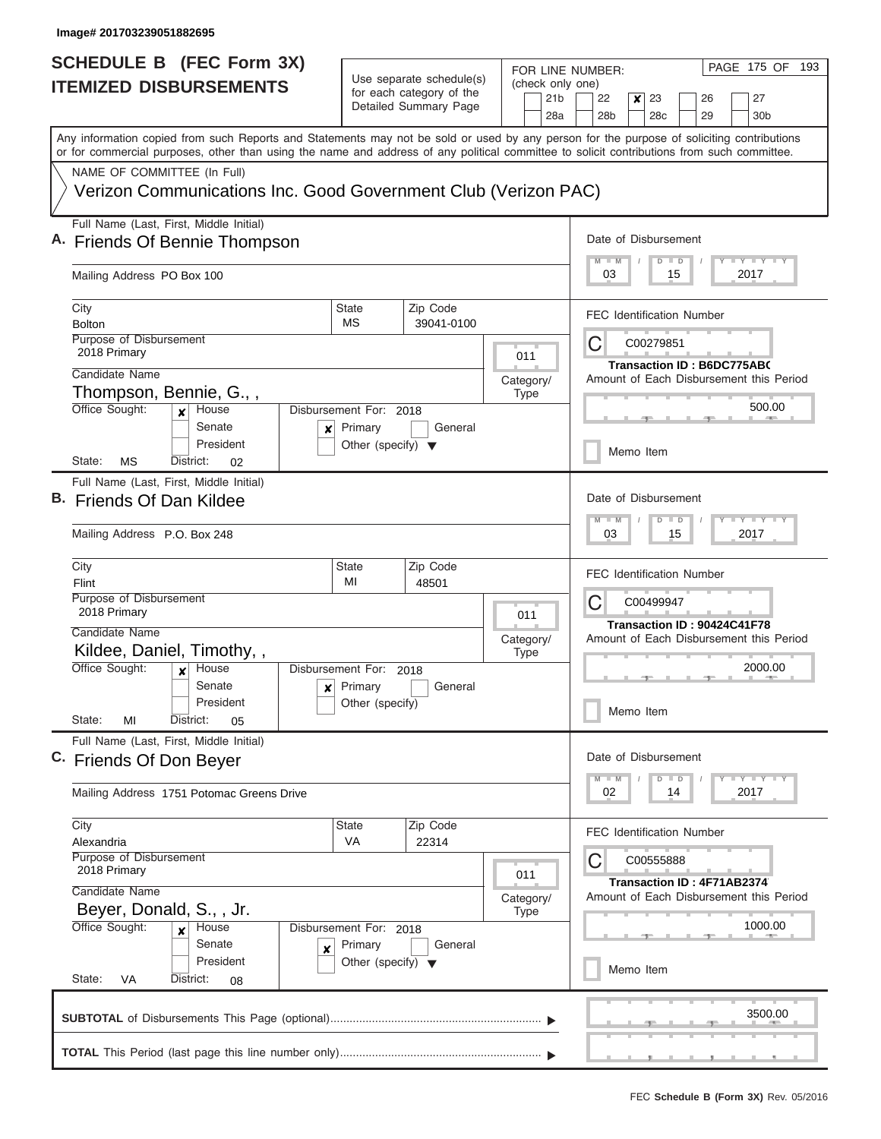| <b>SCHEDULE B (FEC Form 3X)</b>                                                                                                                                                                                                                                                         |                                                                           |                                                                               | FOR LINE NUMBER:                           | PAGE 175 OF 193                                                                                                                      |  |  |  |  |  |  |
|-----------------------------------------------------------------------------------------------------------------------------------------------------------------------------------------------------------------------------------------------------------------------------------------|---------------------------------------------------------------------------|-------------------------------------------------------------------------------|--------------------------------------------|--------------------------------------------------------------------------------------------------------------------------------------|--|--|--|--|--|--|
| <b>ITEMIZED DISBURSEMENTS</b>                                                                                                                                                                                                                                                           |                                                                           | Use separate schedule(s)<br>for each category of the<br>Detailed Summary Page | (check only one)<br>21 <sub>b</sub><br>28a | 22<br>x<br>27<br>23<br>26<br>28 <sub>b</sub><br>28c<br>29<br>30b                                                                     |  |  |  |  |  |  |
| Any information copied from such Reports and Statements may not be sold or used by any person for the purpose of soliciting contributions<br>or for commercial purposes, other than using the name and address of any political committee to solicit contributions from such committee. |                                                                           |                                                                               |                                            |                                                                                                                                      |  |  |  |  |  |  |
| NAME OF COMMITTEE (In Full)                                                                                                                                                                                                                                                             |                                                                           |                                                                               |                                            |                                                                                                                                      |  |  |  |  |  |  |
| Verizon Communications Inc. Good Government Club (Verizon PAC)                                                                                                                                                                                                                          |                                                                           |                                                                               |                                            |                                                                                                                                      |  |  |  |  |  |  |
| Full Name (Last, First, Middle Initial)<br>A. Friends Of Bennie Thompson<br>Mailing Address PO Box 100                                                                                                                                                                                  |                                                                           |                                                                               |                                            | Date of Disbursement<br><b>LY LY LY</b><br>$D$ $D$<br>15<br>2017<br>03                                                               |  |  |  |  |  |  |
| City<br><b>Bolton</b>                                                                                                                                                                                                                                                                   | State<br>МS                                                               | Zip Code                                                                      |                                            | <b>FEC Identification Number</b>                                                                                                     |  |  |  |  |  |  |
| Purpose of Disbursement<br>2018 Primary                                                                                                                                                                                                                                                 |                                                                           | 39041-0100                                                                    |                                            | С<br>C00279851                                                                                                                       |  |  |  |  |  |  |
| Candidate Name                                                                                                                                                                                                                                                                          |                                                                           |                                                                               | 011                                        | Transaction ID: B6DC775AB0                                                                                                           |  |  |  |  |  |  |
| Thompson, Bennie, G.,,                                                                                                                                                                                                                                                                  |                                                                           |                                                                               | Category/<br><b>Type</b>                   | Amount of Each Disbursement this Period                                                                                              |  |  |  |  |  |  |
| Office Sought:<br><b>House</b><br>$\mathbf{x}$<br>Senate<br>x<br>President                                                                                                                                                                                                              | Disbursement For: 2018<br>Primary<br>Other (specify) $\blacktriangledown$ | General                                                                       |                                            | 500.00                                                                                                                               |  |  |  |  |  |  |
| State:<br>MS<br>District:<br>02                                                                                                                                                                                                                                                         |                                                                           |                                                                               |                                            | Memo Item                                                                                                                            |  |  |  |  |  |  |
| Full Name (Last, First, Middle Initial)<br>B. Friends Of Dan Kildee                                                                                                                                                                                                                     |                                                                           |                                                                               |                                            | Date of Disbursement<br>$\mathbf{I}$ $\mathbf{Y}$ $\mathbf{I}$ $\mathbf{Y}$ $\mathbf{I}$ $\mathbf{Y}$<br>$-M$<br>D<br>$\blacksquare$ |  |  |  |  |  |  |
| Mailing Address P.O. Box 248                                                                                                                                                                                                                                                            |                                                                           |                                                                               |                                            |                                                                                                                                      |  |  |  |  |  |  |
| City<br>Flint<br>Purpose of Disbursement                                                                                                                                                                                                                                                | <b>State</b><br>Zip Code<br>MI<br>48501                                   |                                                                               |                                            |                                                                                                                                      |  |  |  |  |  |  |
| 2018 Primary<br>Candidate Name                                                                                                                                                                                                                                                          |                                                                           |                                                                               | 011<br>Category/                           | C<br>Transaction ID: 90424C41F78<br>Amount of Each Disbursement this Period                                                          |  |  |  |  |  |  |
| Kildee, Daniel, Timothy,,                                                                                                                                                                                                                                                               |                                                                           |                                                                               | <b>Type</b>                                |                                                                                                                                      |  |  |  |  |  |  |
| Office Sought:<br>House<br>X<br>Senate                                                                                                                                                                                                                                                  | Disbursement For: 2018<br>$x$ Primary                                     | General                                                                       |                                            | 2000.00                                                                                                                              |  |  |  |  |  |  |
| President<br>State:<br>МI<br>District:<br>05                                                                                                                                                                                                                                            | Other (specify)                                                           |                                                                               |                                            | Memo Item                                                                                                                            |  |  |  |  |  |  |
| Full Name (Last, First, Middle Initial)<br>C. Friends Of Don Beyer                                                                                                                                                                                                                      |                                                                           |                                                                               |                                            | Date of Disbursement                                                                                                                 |  |  |  |  |  |  |
| Mailing Address 1751 Potomac Greens Drive                                                                                                                                                                                                                                               |                                                                           |                                                                               |                                            | $T - Y$ $T - Y$<br>$\blacksquare$ D<br>2017<br>02<br>14                                                                              |  |  |  |  |  |  |
| City<br>Alexandria<br>Purpose of Disbursement                                                                                                                                                                                                                                           | State<br>VA                                                               | Zip Code<br>22314                                                             |                                            | <b>FEC Identification Number</b><br>С<br>C00555888                                                                                   |  |  |  |  |  |  |
| 2018 Primary<br>Candidate Name                                                                                                                                                                                                                                                          |                                                                           |                                                                               | 011<br>Category/                           | Transaction ID: 4F71AB2374<br>Amount of Each Disbursement this Period                                                                |  |  |  |  |  |  |
| Beyer, Donald, S., , Jr.<br>Office Sought:<br>House<br>×                                                                                                                                                                                                                                | Disbursement For: 2018                                                    |                                                                               | <b>Type</b>                                | 1000.00                                                                                                                              |  |  |  |  |  |  |
| Senate<br>×<br>President<br>State:<br>VA<br>District:<br>08                                                                                                                                                                                                                             | Primary<br>Other (specify) $\blacktriangledown$                           | General                                                                       |                                            | Memo Item                                                                                                                            |  |  |  |  |  |  |
|                                                                                                                                                                                                                                                                                         |                                                                           |                                                                               |                                            | 3500.00                                                                                                                              |  |  |  |  |  |  |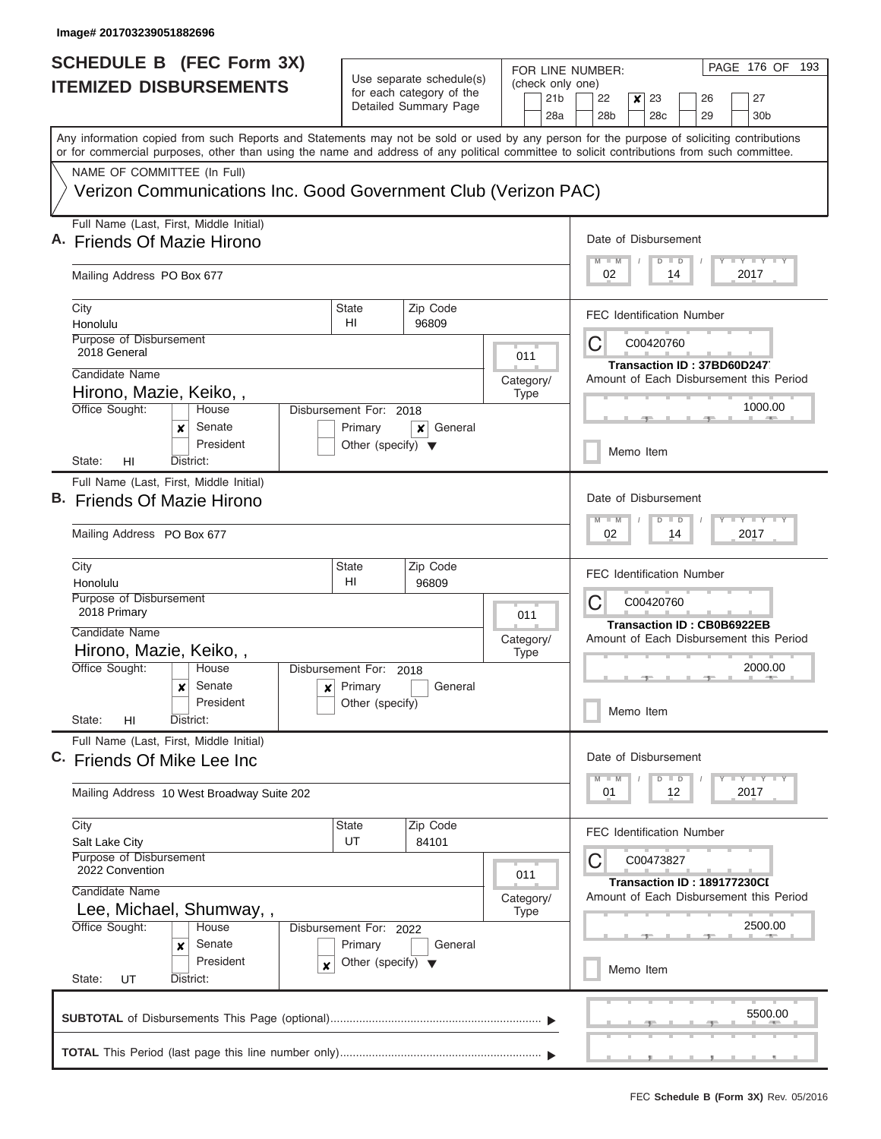I

| <b>SCHEDULE B (FEC Form 3X)</b>                                                                                                                                                                                                                                                         |                                                                                       |                                                      | FOR LINE NUMBER:         | PAGE 176 OF 193                                                  |
|-----------------------------------------------------------------------------------------------------------------------------------------------------------------------------------------------------------------------------------------------------------------------------------------|---------------------------------------------------------------------------------------|------------------------------------------------------|--------------------------|------------------------------------------------------------------|
| <b>ITEMIZED DISBURSEMENTS</b>                                                                                                                                                                                                                                                           |                                                                                       | Use separate schedule(s)<br>for each category of the | (check only one)         |                                                                  |
|                                                                                                                                                                                                                                                                                         |                                                                                       | Detailed Summary Page                                | 21 <sub>b</sub><br>28a   | 22<br>27<br>x<br>23<br>26<br>28b<br>28c<br>29<br>30 <sub>b</sub> |
| Any information copied from such Reports and Statements may not be sold or used by any person for the purpose of soliciting contributions<br>or for commercial purposes, other than using the name and address of any political committee to solicit contributions from such committee. |                                                                                       |                                                      |                          |                                                                  |
| NAME OF COMMITTEE (In Full)                                                                                                                                                                                                                                                             |                                                                                       |                                                      |                          |                                                                  |
| Verizon Communications Inc. Good Government Club (Verizon PAC)                                                                                                                                                                                                                          |                                                                                       |                                                      |                          |                                                                  |
| Full Name (Last, First, Middle Initial)<br>A. Friends Of Mazie Hirono                                                                                                                                                                                                                   |                                                                                       |                                                      |                          | Date of Disbursement<br>Y I Y I Y I Y<br>$M$ $M$<br>$D$ $D$      |
| Mailing Address PO Box 677                                                                                                                                                                                                                                                              |                                                                                       |                                                      |                          | 02<br>2017<br>14                                                 |
| City<br>Honolulu                                                                                                                                                                                                                                                                        | State<br>HI                                                                           | Zip Code<br>96809                                    |                          | <b>FEC Identification Number</b>                                 |
| <b>Purpose of Disbursement</b><br>2018 General                                                                                                                                                                                                                                          |                                                                                       |                                                      | 011                      | C<br>C00420760<br>Transaction ID: 37BD60D247.                    |
| Candidate Name                                                                                                                                                                                                                                                                          |                                                                                       |                                                      | Category/                | Amount of Each Disbursement this Period                          |
| Hirono, Mazie, Keiko,,<br>Office Sought:<br>House                                                                                                                                                                                                                                       | Disbursement For: 2018                                                                |                                                      | <b>Type</b>              | 1000.00                                                          |
| Senate<br>x<br>President                                                                                                                                                                                                                                                                | Primary<br>Other (specify) $\blacktriangledown$                                       | General<br>×                                         |                          | Memo Item                                                        |
| State:<br>HI<br>District:                                                                                                                                                                                                                                                               |                                                                                       |                                                      |                          |                                                                  |
| Full Name (Last, First, Middle Initial)<br>B. Friends Of Mazie Hirono<br>Mailing Address PO Box 677                                                                                                                                                                                     | Date of Disbursement<br>$Y = Y = Y + Y + Y$<br>$M - M$<br>$D$ $D$<br>02<br>14<br>2017 |                                                      |                          |                                                                  |
| City                                                                                                                                                                                                                                                                                    | <b>State</b>                                                                          | Zip Code                                             |                          | <b>FEC Identification Number</b>                                 |
| Honolulu<br>Purpose of Disbursement<br>2018 Primary                                                                                                                                                                                                                                     | HI                                                                                    | 96809                                                |                          | C<br>C00420760                                                   |
| Candidate Name                                                                                                                                                                                                                                                                          |                                                                                       |                                                      | 011                      | Transaction ID: CB0B6922EB                                       |
| Hirono, Mazie, Keiko,,                                                                                                                                                                                                                                                                  |                                                                                       |                                                      | Category/<br><b>Type</b> | Amount of Each Disbursement this Period                          |
| Office Sought:<br>House                                                                                                                                                                                                                                                                 | Disbursement For: 2018                                                                |                                                      |                          | 2000.00                                                          |
| Senate<br>x<br>$\mathbf{x}$<br>President<br>State:<br>District:<br>HI                                                                                                                                                                                                                   | Primary<br>Other (specify)                                                            | General                                              |                          | Memo Item                                                        |
| Full Name (Last, First, Middle Initial)<br>C. Friends Of Mike Lee Inc                                                                                                                                                                                                                   |                                                                                       |                                                      |                          | Date of Disbursement                                             |
| Mailing Address 10 West Broadway Suite 202                                                                                                                                                                                                                                              |                                                                                       |                                                      |                          | $D$ $D$<br>Y FY FY FY<br>$M$ $M$<br>01<br>12<br>2017             |
| City<br>Salt Lake City                                                                                                                                                                                                                                                                  | State<br>UT                                                                           | Zip Code<br>84101                                    |                          | <b>FEC Identification Number</b>                                 |
| Purpose of Disbursement<br>2022 Convention                                                                                                                                                                                                                                              |                                                                                       |                                                      | 011                      | C00473827<br>Transaction ID: 189177230CI                         |
| Candidate Name<br>Lee, Michael, Shumway,,                                                                                                                                                                                                                                               |                                                                                       |                                                      | Category/<br><b>Type</b> | Amount of Each Disbursement this Period                          |
| Office Sought:<br>House<br>Senate<br>x<br>President                                                                                                                                                                                                                                     | Disbursement For: 2022<br>Primary                                                     | General                                              |                          | 2500.00                                                          |
| x<br>State:<br>District:<br>UT                                                                                                                                                                                                                                                          | Other (specify) $\blacktriangledown$                                                  |                                                      |                          | Memo Item                                                        |
|                                                                                                                                                                                                                                                                                         |                                                                                       |                                                      |                          | 5500.00                                                          |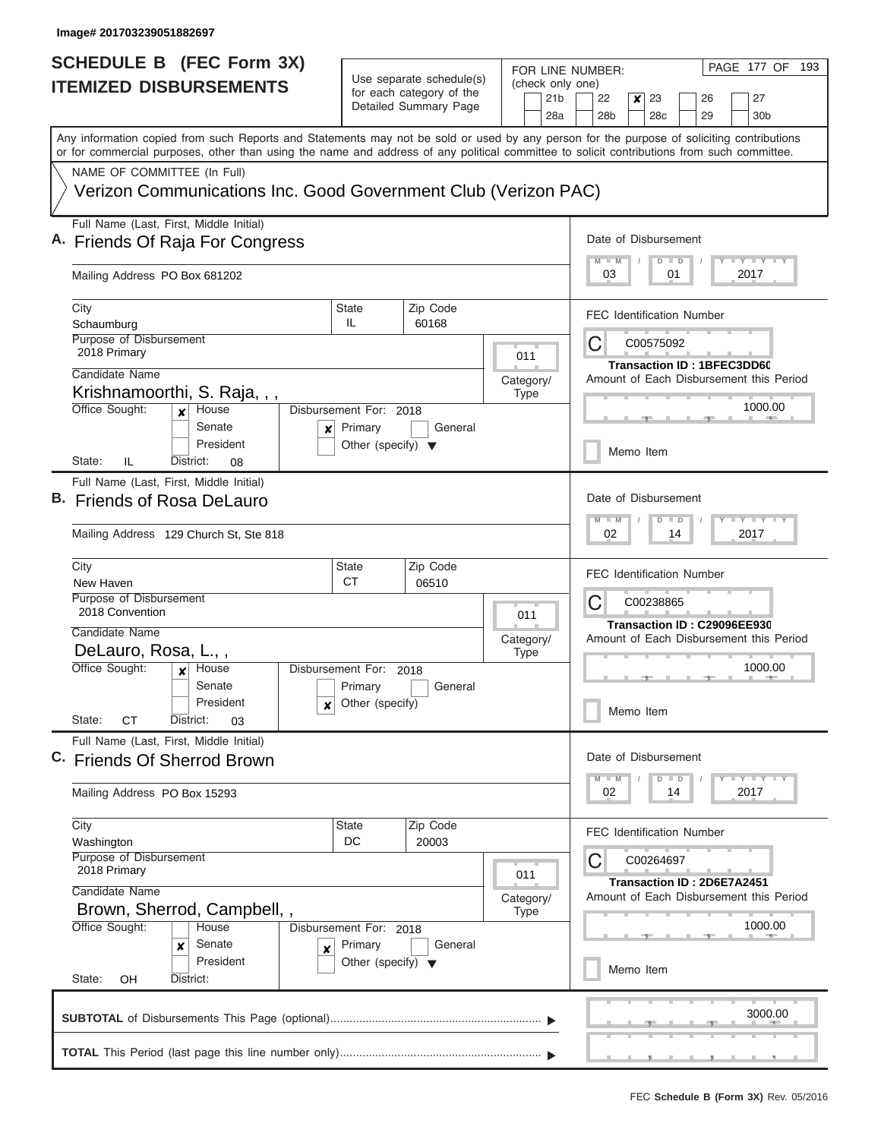| <b>SCHEDULE B</b> (FEC Form 3X)<br><b>ITEMIZED DISBURSEMENTS</b>                                                                                                                                                                                                                        |                                                                | Use separate schedule(s)<br>for each category of the            |                                                                            |                              |           | (check only one)   | PAGE 177 OF 193<br>FOR LINE NUMBER: |                                                                                  |  |                        |                                   |  |                           |                 |  |
|-----------------------------------------------------------------------------------------------------------------------------------------------------------------------------------------------------------------------------------------------------------------------------------------|----------------------------------------------------------------|-----------------------------------------------------------------|----------------------------------------------------------------------------|------------------------------|-----------|--------------------|-------------------------------------|----------------------------------------------------------------------------------|--|------------------------|-----------------------------------|--|---------------------------|-----------------|--|
|                                                                                                                                                                                                                                                                                         |                                                                |                                                                 |                                                                            | Detailed Summary Page        |           |                    | 21 <sub>b</sub><br>28a              | 22<br>×<br>23<br>26<br>27<br>28 <sub>b</sub><br>28c<br>29                        |  |                        |                                   |  |                           | 30 <sub>b</sub> |  |
| Any information copied from such Reports and Statements may not be sold or used by any person for the purpose of soliciting contributions<br>or for commercial purposes, other than using the name and address of any political committee to solicit contributions from such committee. |                                                                |                                                                 |                                                                            |                              |           |                    |                                     |                                                                                  |  |                        |                                   |  |                           |                 |  |
| NAME OF COMMITTEE (In Full)<br>Verizon Communications Inc. Good Government Club (Verizon PAC)                                                                                                                                                                                           |                                                                |                                                                 |                                                                            |                              |           |                    |                                     |                                                                                  |  |                        |                                   |  |                           |                 |  |
| Full Name (Last, First, Middle Initial)<br>A. Friends Of Raja For Congress<br>Mailing Address PO Box 681202                                                                                                                                                                             |                                                                |                                                                 |                                                                            |                              |           |                    |                                     | Date of Disbursement<br>$M$ $M$<br>03                                            |  | $D$ $D$<br>01          |                                   |  | Y L Y L Y L Y<br>2017     |                 |  |
| City<br>Schaumburg                                                                                                                                                                                                                                                                      |                                                                |                                                                 | State<br>IL                                                                | Zip Code<br>60168            |           |                    |                                     | <b>FEC Identification Number</b>                                                 |  |                        |                                   |  |                           |                 |  |
| Purpose of Disbursement<br>2018 Primary<br>Candidate Name                                                                                                                                                                                                                               |                                                                |                                                                 |                                                                            |                              |           | 011                |                                     |                                                                                  |  | C00575092              | <b>Transaction ID: 1BFEC3DD60</b> |  |                           |                 |  |
| Krishnamoorthi, S. Raja, , ,<br>Office Sought:<br>x<br>State:<br>IL                                                                                                                                                                                                                     | House<br>Senate<br>President<br>District:<br>08                | x                                                               | Disbursement For: 2018<br>Primary<br>Other (specify) $\blacktriangledown$  | General                      | Category/ | Type               |                                     | Amount of Each Disbursement this Period                                          |  | Memo Item              |                                   |  |                           | 1000.00         |  |
| Full Name (Last, First, Middle Initial)<br>в.<br><b>Friends of Rosa DeLauro</b><br>Mailing Address 129 Church St, Ste 818                                                                                                                                                               |                                                                |                                                                 |                                                                            |                              |           |                    |                                     | Date of Disbursement<br>$M - M$<br>02                                            |  | $D$ $D$<br>14          |                                   |  | $T - Y = Y - T Y$<br>2017 |                 |  |
| City<br>New Haven<br>Purpose of Disbursement<br>2018 Convention<br>Candidate Name<br>DeLauro, Rosa, L.,,<br>Office Sought:<br>×                                                                                                                                                         | House<br>Senate<br>President                                   | x                                                               | <b>State</b><br>СT<br>Disbursement For: 2018<br>Primary<br>Other (specify) | Zip Code<br>06510<br>General | Category/ | 011<br><b>Type</b> |                                     | <b>FEC Identification Number</b><br>Amount of Each Disbursement this Period      |  | C00238865<br>Memo Item | Transaction ID: C29096EE930       |  |                           | 1000.00         |  |
| State:<br>СT<br>Full Name (Last, First, Middle Initial)<br>C. Friends Of Sherrod Brown                                                                                                                                                                                                  | District:<br>03                                                |                                                                 |                                                                            |                              |           |                    |                                     | Date of Disbursement                                                             |  |                        |                                   |  |                           |                 |  |
| Mailing Address PO Box 15293                                                                                                                                                                                                                                                            |                                                                |                                                                 |                                                                            |                              |           |                    |                                     | $M$ $M$<br>02                                                                    |  | $D$ $D$<br>14          |                                   |  | 2017                      | $T + Y + Y + Y$ |  |
| City<br>Washington<br>Purpose of Disbursement<br>2018 Primary                                                                                                                                                                                                                           |                                                                |                                                                 | State<br>DC                                                                | Zip Code<br>20003            |           | 011                |                                     | <b>FEC Identification Number</b>                                                 |  | C00264697              |                                   |  |                           |                 |  |
| Candidate Name<br>Office Sought:                                                                                                                                                                                                                                                        | Brown, Sherrod, Campbell, ,<br>House<br>Disbursement For: 2018 |                                                                 |                                                                            |                              |           |                    | Category/<br>Type                   | Transaction ID: 2D6E7A2451<br>Amount of Each Disbursement this Period<br>1000.00 |  |                        |                                   |  |                           |                 |  |
| x<br>State:<br><b>OH</b>                                                                                                                                                                                                                                                                | Senate<br>President<br>District:                               | Primary<br>General<br>×<br>Other (specify) $\blacktriangledown$ |                                                                            |                              |           |                    |                                     | Memo Item                                                                        |  |                        |                                   |  |                           |                 |  |
|                                                                                                                                                                                                                                                                                         |                                                                |                                                                 |                                                                            |                              |           |                    |                                     |                                                                                  |  |                        |                                   |  |                           | 3000.00         |  |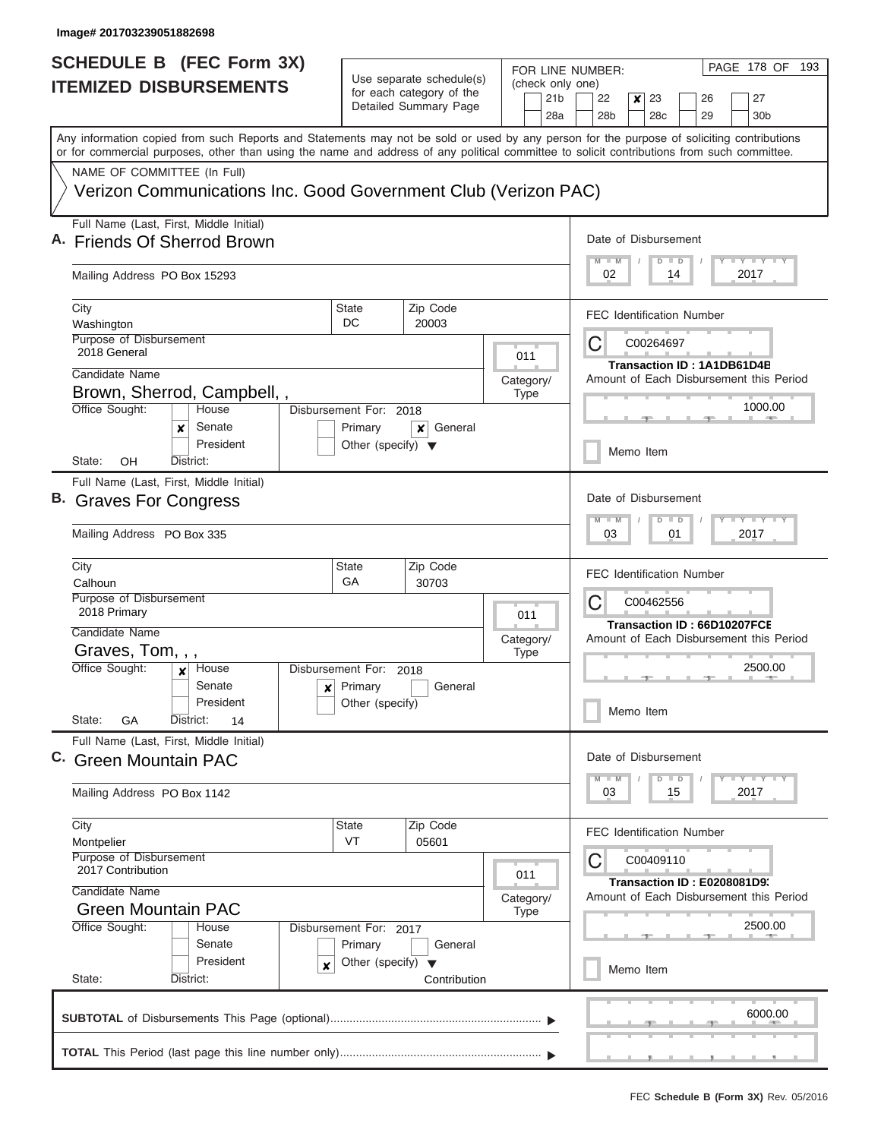| Use separate schedule(s)<br>(check only one)<br>for each category of the<br>21 <sub>b</sub><br>22<br>23<br>26<br>27<br>×<br>Detailed Summary Page<br>28 <sub>b</sub><br>28c<br>29<br>28a<br>30 <sub>b</sub><br>Any information copied from such Reports and Statements may not be sold or used by any person for the purpose of soliciting contributions<br>or for commercial purposes, other than using the name and address of any political committee to solicit contributions from such committee.<br>NAME OF COMMITTEE (In Full)<br>Verizon Communications Inc. Good Government Club (Verizon PAC)<br>Full Name (Last, First, Middle Initial)<br>Date of Disbursement<br>$T - Y = T - Y$<br>D<br>$\blacksquare$<br>2017<br>02<br>14<br>Mailing Address PO Box 15293<br>Zip Code<br>City<br>State<br><b>FEC Identification Number</b><br>DC<br>20003<br>Washington<br>Purpose of Disbursement<br>C<br>C00264697<br>2018 General<br>011<br>Transaction ID: 1A1DB61D4B<br>Candidate Name<br>Amount of Each Disbursement this Period<br>Category/<br>Brown, Sherrod, Campbell,,<br><b>Type</b><br>1000.00<br>Office Sought:<br>House<br>Disbursement For: 2018<br>Senate<br>Primary<br>General<br>x<br>×<br>President<br>Other (specify) $\blacktriangledown$<br>Memo Item<br>State:<br>OH<br>District:<br>Full Name (Last, First, Middle Initial)<br>Date of Disbursement<br>$Y - Y$<br>M<br>$-M$<br>$\overline{D}$<br>$\blacksquare$<br>Mailing Address PO Box 335<br>03<br>01<br>2017<br>State<br>Zip Code<br>City<br><b>FEC Identification Number</b><br>GA<br>Calhoun<br>30703<br>Purpose of Disbursement<br>C<br>C00462556<br>2018 Primary<br>011<br>Transaction ID: 66D10207FCE<br>Candidate Name<br>Amount of Each Disbursement this Period<br>Category/<br>Graves, Tom, , ,<br><b>Type</b><br>Office Sought:<br>2500.00<br>House<br>Disbursement For: 2018<br>×<br>Primary<br>General<br>Senate<br>$\mathsf{x}$<br>President<br>Other (specify)<br>Memo Item<br>State:<br>GA<br>District:<br>14<br>Full Name (Last, First, Middle Initial)<br>Date of Disbursement<br><b>Green Mountain PAC</b><br>$I - Y - I - Y - I - Y$<br>$-M$<br>$\overline{D}$<br>$\blacksquare$<br>03<br>15<br>2017<br>Mailing Address PO Box 1142<br>State<br>Zip Code<br>City<br>FEC Identification Number<br>VT<br>05601<br>Montpelier<br>Purpose of Disbursement<br>C<br>C00409110<br>2017 Contribution<br>011<br>Transaction ID: E0208081D9:<br>Candidate Name<br>Amount of Each Disbursement this Period<br>Category/<br><b>Green Mountain PAC</b><br><b>Type</b><br>2500.00<br>Office Sought:<br>House<br>Disbursement For: 2017<br>Senate<br>Primary<br>General<br>President<br>Other (specify)<br>×<br>Memo Item<br>State:<br>District:<br>Contribution<br>6000.00 | <b>SCHEDULE B (FEC Form 3X)</b> |  |  | PAGE 178 OF 193<br>FOR LINE NUMBER: |  |  |  |  |  |  |
|--------------------------------------------------------------------------------------------------------------------------------------------------------------------------------------------------------------------------------------------------------------------------------------------------------------------------------------------------------------------------------------------------------------------------------------------------------------------------------------------------------------------------------------------------------------------------------------------------------------------------------------------------------------------------------------------------------------------------------------------------------------------------------------------------------------------------------------------------------------------------------------------------------------------------------------------------------------------------------------------------------------------------------------------------------------------------------------------------------------------------------------------------------------------------------------------------------------------------------------------------------------------------------------------------------------------------------------------------------------------------------------------------------------------------------------------------------------------------------------------------------------------------------------------------------------------------------------------------------------------------------------------------------------------------------------------------------------------------------------------------------------------------------------------------------------------------------------------------------------------------------------------------------------------------------------------------------------------------------------------------------------------------------------------------------------------------------------------------------------------------------------------------------------------------------------------------------------------------------------------------------------------------------------------------------------------------------------------------------------------------------------------------------------------------------------------------------------------------------------------------------------------------------------------------------------------------------------------------------------------------------------------------------------------------------------------------------------------------------------------------------------|---------------------------------|--|--|-------------------------------------|--|--|--|--|--|--|
|                                                                                                                                                                                                                                                                                                                                                                                                                                                                                                                                                                                                                                                                                                                                                                                                                                                                                                                                                                                                                                                                                                                                                                                                                                                                                                                                                                                                                                                                                                                                                                                                                                                                                                                                                                                                                                                                                                                                                                                                                                                                                                                                                                                                                                                                                                                                                                                                                                                                                                                                                                                                                                                                                                                                                              | <b>ITEMIZED DISBURSEMENTS</b>   |  |  |                                     |  |  |  |  |  |  |
|                                                                                                                                                                                                                                                                                                                                                                                                                                                                                                                                                                                                                                                                                                                                                                                                                                                                                                                                                                                                                                                                                                                                                                                                                                                                                                                                                                                                                                                                                                                                                                                                                                                                                                                                                                                                                                                                                                                                                                                                                                                                                                                                                                                                                                                                                                                                                                                                                                                                                                                                                                                                                                                                                                                                                              |                                 |  |  |                                     |  |  |  |  |  |  |
|                                                                                                                                                                                                                                                                                                                                                                                                                                                                                                                                                                                                                                                                                                                                                                                                                                                                                                                                                                                                                                                                                                                                                                                                                                                                                                                                                                                                                                                                                                                                                                                                                                                                                                                                                                                                                                                                                                                                                                                                                                                                                                                                                                                                                                                                                                                                                                                                                                                                                                                                                                                                                                                                                                                                                              |                                 |  |  |                                     |  |  |  |  |  |  |
|                                                                                                                                                                                                                                                                                                                                                                                                                                                                                                                                                                                                                                                                                                                                                                                                                                                                                                                                                                                                                                                                                                                                                                                                                                                                                                                                                                                                                                                                                                                                                                                                                                                                                                                                                                                                                                                                                                                                                                                                                                                                                                                                                                                                                                                                                                                                                                                                                                                                                                                                                                                                                                                                                                                                                              |                                 |  |  |                                     |  |  |  |  |  |  |
|                                                                                                                                                                                                                                                                                                                                                                                                                                                                                                                                                                                                                                                                                                                                                                                                                                                                                                                                                                                                                                                                                                                                                                                                                                                                                                                                                                                                                                                                                                                                                                                                                                                                                                                                                                                                                                                                                                                                                                                                                                                                                                                                                                                                                                                                                                                                                                                                                                                                                                                                                                                                                                                                                                                                                              | A. Friends Of Sherrod Brown     |  |  |                                     |  |  |  |  |  |  |
|                                                                                                                                                                                                                                                                                                                                                                                                                                                                                                                                                                                                                                                                                                                                                                                                                                                                                                                                                                                                                                                                                                                                                                                                                                                                                                                                                                                                                                                                                                                                                                                                                                                                                                                                                                                                                                                                                                                                                                                                                                                                                                                                                                                                                                                                                                                                                                                                                                                                                                                                                                                                                                                                                                                                                              |                                 |  |  |                                     |  |  |  |  |  |  |
|                                                                                                                                                                                                                                                                                                                                                                                                                                                                                                                                                                                                                                                                                                                                                                                                                                                                                                                                                                                                                                                                                                                                                                                                                                                                                                                                                                                                                                                                                                                                                                                                                                                                                                                                                                                                                                                                                                                                                                                                                                                                                                                                                                                                                                                                                                                                                                                                                                                                                                                                                                                                                                                                                                                                                              |                                 |  |  |                                     |  |  |  |  |  |  |
|                                                                                                                                                                                                                                                                                                                                                                                                                                                                                                                                                                                                                                                                                                                                                                                                                                                                                                                                                                                                                                                                                                                                                                                                                                                                                                                                                                                                                                                                                                                                                                                                                                                                                                                                                                                                                                                                                                                                                                                                                                                                                                                                                                                                                                                                                                                                                                                                                                                                                                                                                                                                                                                                                                                                                              |                                 |  |  |                                     |  |  |  |  |  |  |
|                                                                                                                                                                                                                                                                                                                                                                                                                                                                                                                                                                                                                                                                                                                                                                                                                                                                                                                                                                                                                                                                                                                                                                                                                                                                                                                                                                                                                                                                                                                                                                                                                                                                                                                                                                                                                                                                                                                                                                                                                                                                                                                                                                                                                                                                                                                                                                                                                                                                                                                                                                                                                                                                                                                                                              |                                 |  |  |                                     |  |  |  |  |  |  |
|                                                                                                                                                                                                                                                                                                                                                                                                                                                                                                                                                                                                                                                                                                                                                                                                                                                                                                                                                                                                                                                                                                                                                                                                                                                                                                                                                                                                                                                                                                                                                                                                                                                                                                                                                                                                                                                                                                                                                                                                                                                                                                                                                                                                                                                                                                                                                                                                                                                                                                                                                                                                                                                                                                                                                              |                                 |  |  |                                     |  |  |  |  |  |  |
|                                                                                                                                                                                                                                                                                                                                                                                                                                                                                                                                                                                                                                                                                                                                                                                                                                                                                                                                                                                                                                                                                                                                                                                                                                                                                                                                                                                                                                                                                                                                                                                                                                                                                                                                                                                                                                                                                                                                                                                                                                                                                                                                                                                                                                                                                                                                                                                                                                                                                                                                                                                                                                                                                                                                                              |                                 |  |  |                                     |  |  |  |  |  |  |
|                                                                                                                                                                                                                                                                                                                                                                                                                                                                                                                                                                                                                                                                                                                                                                                                                                                                                                                                                                                                                                                                                                                                                                                                                                                                                                                                                                                                                                                                                                                                                                                                                                                                                                                                                                                                                                                                                                                                                                                                                                                                                                                                                                                                                                                                                                                                                                                                                                                                                                                                                                                                                                                                                                                                                              |                                 |  |  |                                     |  |  |  |  |  |  |
|                                                                                                                                                                                                                                                                                                                                                                                                                                                                                                                                                                                                                                                                                                                                                                                                                                                                                                                                                                                                                                                                                                                                                                                                                                                                                                                                                                                                                                                                                                                                                                                                                                                                                                                                                                                                                                                                                                                                                                                                                                                                                                                                                                                                                                                                                                                                                                                                                                                                                                                                                                                                                                                                                                                                                              |                                 |  |  |                                     |  |  |  |  |  |  |
|                                                                                                                                                                                                                                                                                                                                                                                                                                                                                                                                                                                                                                                                                                                                                                                                                                                                                                                                                                                                                                                                                                                                                                                                                                                                                                                                                                                                                                                                                                                                                                                                                                                                                                                                                                                                                                                                                                                                                                                                                                                                                                                                                                                                                                                                                                                                                                                                                                                                                                                                                                                                                                                                                                                                                              | B. Graves For Congress          |  |  |                                     |  |  |  |  |  |  |
|                                                                                                                                                                                                                                                                                                                                                                                                                                                                                                                                                                                                                                                                                                                                                                                                                                                                                                                                                                                                                                                                                                                                                                                                                                                                                                                                                                                                                                                                                                                                                                                                                                                                                                                                                                                                                                                                                                                                                                                                                                                                                                                                                                                                                                                                                                                                                                                                                                                                                                                                                                                                                                                                                                                                                              |                                 |  |  |                                     |  |  |  |  |  |  |
|                                                                                                                                                                                                                                                                                                                                                                                                                                                                                                                                                                                                                                                                                                                                                                                                                                                                                                                                                                                                                                                                                                                                                                                                                                                                                                                                                                                                                                                                                                                                                                                                                                                                                                                                                                                                                                                                                                                                                                                                                                                                                                                                                                                                                                                                                                                                                                                                                                                                                                                                                                                                                                                                                                                                                              |                                 |  |  |                                     |  |  |  |  |  |  |
|                                                                                                                                                                                                                                                                                                                                                                                                                                                                                                                                                                                                                                                                                                                                                                                                                                                                                                                                                                                                                                                                                                                                                                                                                                                                                                                                                                                                                                                                                                                                                                                                                                                                                                                                                                                                                                                                                                                                                                                                                                                                                                                                                                                                                                                                                                                                                                                                                                                                                                                                                                                                                                                                                                                                                              |                                 |  |  |                                     |  |  |  |  |  |  |
|                                                                                                                                                                                                                                                                                                                                                                                                                                                                                                                                                                                                                                                                                                                                                                                                                                                                                                                                                                                                                                                                                                                                                                                                                                                                                                                                                                                                                                                                                                                                                                                                                                                                                                                                                                                                                                                                                                                                                                                                                                                                                                                                                                                                                                                                                                                                                                                                                                                                                                                                                                                                                                                                                                                                                              |                                 |  |  |                                     |  |  |  |  |  |  |
|                                                                                                                                                                                                                                                                                                                                                                                                                                                                                                                                                                                                                                                                                                                                                                                                                                                                                                                                                                                                                                                                                                                                                                                                                                                                                                                                                                                                                                                                                                                                                                                                                                                                                                                                                                                                                                                                                                                                                                                                                                                                                                                                                                                                                                                                                                                                                                                                                                                                                                                                                                                                                                                                                                                                                              |                                 |  |  |                                     |  |  |  |  |  |  |
|                                                                                                                                                                                                                                                                                                                                                                                                                                                                                                                                                                                                                                                                                                                                                                                                                                                                                                                                                                                                                                                                                                                                                                                                                                                                                                                                                                                                                                                                                                                                                                                                                                                                                                                                                                                                                                                                                                                                                                                                                                                                                                                                                                                                                                                                                                                                                                                                                                                                                                                                                                                                                                                                                                                                                              |                                 |  |  |                                     |  |  |  |  |  |  |
|                                                                                                                                                                                                                                                                                                                                                                                                                                                                                                                                                                                                                                                                                                                                                                                                                                                                                                                                                                                                                                                                                                                                                                                                                                                                                                                                                                                                                                                                                                                                                                                                                                                                                                                                                                                                                                                                                                                                                                                                                                                                                                                                                                                                                                                                                                                                                                                                                                                                                                                                                                                                                                                                                                                                                              |                                 |  |  |                                     |  |  |  |  |  |  |
|                                                                                                                                                                                                                                                                                                                                                                                                                                                                                                                                                                                                                                                                                                                                                                                                                                                                                                                                                                                                                                                                                                                                                                                                                                                                                                                                                                                                                                                                                                                                                                                                                                                                                                                                                                                                                                                                                                                                                                                                                                                                                                                                                                                                                                                                                                                                                                                                                                                                                                                                                                                                                                                                                                                                                              |                                 |  |  |                                     |  |  |  |  |  |  |
|                                                                                                                                                                                                                                                                                                                                                                                                                                                                                                                                                                                                                                                                                                                                                                                                                                                                                                                                                                                                                                                                                                                                                                                                                                                                                                                                                                                                                                                                                                                                                                                                                                                                                                                                                                                                                                                                                                                                                                                                                                                                                                                                                                                                                                                                                                                                                                                                                                                                                                                                                                                                                                                                                                                                                              |                                 |  |  |                                     |  |  |  |  |  |  |
|                                                                                                                                                                                                                                                                                                                                                                                                                                                                                                                                                                                                                                                                                                                                                                                                                                                                                                                                                                                                                                                                                                                                                                                                                                                                                                                                                                                                                                                                                                                                                                                                                                                                                                                                                                                                                                                                                                                                                                                                                                                                                                                                                                                                                                                                                                                                                                                                                                                                                                                                                                                                                                                                                                                                                              |                                 |  |  |                                     |  |  |  |  |  |  |
|                                                                                                                                                                                                                                                                                                                                                                                                                                                                                                                                                                                                                                                                                                                                                                                                                                                                                                                                                                                                                                                                                                                                                                                                                                                                                                                                                                                                                                                                                                                                                                                                                                                                                                                                                                                                                                                                                                                                                                                                                                                                                                                                                                                                                                                                                                                                                                                                                                                                                                                                                                                                                                                                                                                                                              |                                 |  |  |                                     |  |  |  |  |  |  |
|                                                                                                                                                                                                                                                                                                                                                                                                                                                                                                                                                                                                                                                                                                                                                                                                                                                                                                                                                                                                                                                                                                                                                                                                                                                                                                                                                                                                                                                                                                                                                                                                                                                                                                                                                                                                                                                                                                                                                                                                                                                                                                                                                                                                                                                                                                                                                                                                                                                                                                                                                                                                                                                                                                                                                              |                                 |  |  |                                     |  |  |  |  |  |  |
|                                                                                                                                                                                                                                                                                                                                                                                                                                                                                                                                                                                                                                                                                                                                                                                                                                                                                                                                                                                                                                                                                                                                                                                                                                                                                                                                                                                                                                                                                                                                                                                                                                                                                                                                                                                                                                                                                                                                                                                                                                                                                                                                                                                                                                                                                                                                                                                                                                                                                                                                                                                                                                                                                                                                                              |                                 |  |  |                                     |  |  |  |  |  |  |
|                                                                                                                                                                                                                                                                                                                                                                                                                                                                                                                                                                                                                                                                                                                                                                                                                                                                                                                                                                                                                                                                                                                                                                                                                                                                                                                                                                                                                                                                                                                                                                                                                                                                                                                                                                                                                                                                                                                                                                                                                                                                                                                                                                                                                                                                                                                                                                                                                                                                                                                                                                                                                                                                                                                                                              |                                 |  |  |                                     |  |  |  |  |  |  |
|                                                                                                                                                                                                                                                                                                                                                                                                                                                                                                                                                                                                                                                                                                                                                                                                                                                                                                                                                                                                                                                                                                                                                                                                                                                                                                                                                                                                                                                                                                                                                                                                                                                                                                                                                                                                                                                                                                                                                                                                                                                                                                                                                                                                                                                                                                                                                                                                                                                                                                                                                                                                                                                                                                                                                              |                                 |  |  |                                     |  |  |  |  |  |  |
|                                                                                                                                                                                                                                                                                                                                                                                                                                                                                                                                                                                                                                                                                                                                                                                                                                                                                                                                                                                                                                                                                                                                                                                                                                                                                                                                                                                                                                                                                                                                                                                                                                                                                                                                                                                                                                                                                                                                                                                                                                                                                                                                                                                                                                                                                                                                                                                                                                                                                                                                                                                                                                                                                                                                                              |                                 |  |  |                                     |  |  |  |  |  |  |
|                                                                                                                                                                                                                                                                                                                                                                                                                                                                                                                                                                                                                                                                                                                                                                                                                                                                                                                                                                                                                                                                                                                                                                                                                                                                                                                                                                                                                                                                                                                                                                                                                                                                                                                                                                                                                                                                                                                                                                                                                                                                                                                                                                                                                                                                                                                                                                                                                                                                                                                                                                                                                                                                                                                                                              |                                 |  |  |                                     |  |  |  |  |  |  |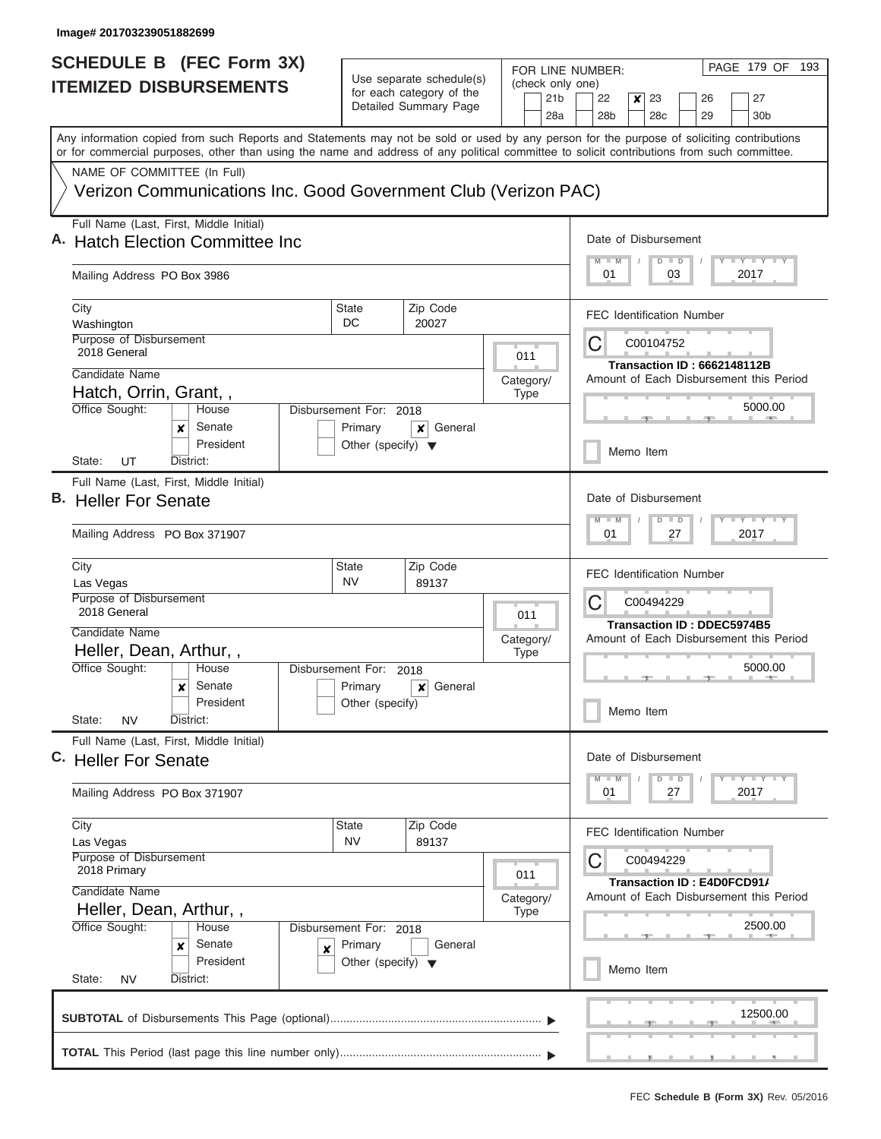$\overline{\phantom{a}}$ 

| (check only one)<br><b>ITEMIZED DISBURSEMENTS</b><br>for each category of the<br>21 <sub>b</sub><br>22<br>$\pmb{\times}$<br>23<br>26<br>27<br>Detailed Summary Page<br>28 <sub>b</sub><br>28c<br>29<br>30 <sub>b</sub><br>28a<br>Any information copied from such Reports and Statements may not be sold or used by any person for the purpose of soliciting contributions<br>or for commercial purposes, other than using the name and address of any political committee to solicit contributions from such committee.<br>NAME OF COMMITTEE (In Full)<br>Verizon Communications Inc. Good Government Club (Verizon PAC)<br>Full Name (Last, First, Middle Initial)<br>Date of Disbursement<br>A. Hatch Election Committee Inc<br>Y LY LY LY<br>$D$ $D$<br>2017<br>Mailing Address PO Box 3986<br>01<br>03<br>City<br><b>State</b><br>Zip Code<br><b>FEC Identification Number</b><br>DC<br>20027<br>Washington<br>Purpose of Disbursement<br>С<br>C00104752<br>2018 General<br>011<br><b>Transaction ID: 6662148112B</b><br>Candidate Name<br>Amount of Each Disbursement this Period<br>Category/<br>Hatch, Orrin, Grant,,<br><b>Type</b><br>5000.00<br>Office Sought:<br>Disbursement For: 2018<br>House<br>Senate<br>Primary<br>General<br>x<br>×<br>President<br>Other (specify) $\blacktriangledown$<br>Memo Item<br>State:<br>UT<br>District:<br>Full Name (Last, First, Middle Initial)<br>Date of Disbursement<br>B. Heller For Senate<br>Y<br><b>LLY</b><br>$-M$<br>$\overline{D}$<br>D<br>2017<br>Mailing Address PO Box 371907<br>01<br>27<br>City<br><b>State</b><br>Zip Code<br><b>FEC Identification Number</b><br><b>NV</b><br>Las Vegas<br>89137<br>Purpose of Disbursement<br>С<br>C00494229<br>2018 General<br>011<br><b>Transaction ID: DDEC5974B5</b><br>Candidate Name<br>Amount of Each Disbursement this Period<br>Category/<br>Heller, Dean, Arthur,,<br><b>Type</b><br>Office Sought:<br>5000.00<br>Disbursement For: 2018<br>House<br>Senate<br>General<br>Primary<br>×<br>$\boldsymbol{x}$<br>President<br>Other (specify)<br>Memo Item<br>State:<br><b>NV</b><br>District:<br>Full Name (Last, First, Middle Initial)<br>Date of Disbursement<br>C. Heller For Senate<br>$T - Y$ $T - Y$ $T - Y$<br>$\overline{D}$<br>$\blacksquare$<br>2017<br>Mailing Address PO Box 371907<br>01<br>27<br>City<br>Zip Code<br>State<br><b>FEC Identification Number</b><br><b>NV</b><br>89137<br>Las Vegas<br>Purpose of Disbursement<br>С<br>C00494229<br>2018 Primary<br>011<br>Transaction ID: E4D0FCD91/<br>Candidate Name<br>Amount of Each Disbursement this Period<br>Category/<br>Heller, Dean, Arthur,,<br><b>Type</b><br>2500.00<br>Office Sought:<br>Disbursement For: 2018<br>House<br>Senate<br>Primary<br>General<br>x<br>×<br>President<br>Other (specify) $\blacktriangledown$<br>Memo Item<br>State:<br><b>NV</b><br>District:<br><b>The Common</b><br>12500.00 | <b>SCHEDULE B</b> (FEC Form 3X) |  | Use separate schedule(s) |  |  | FOR LINE NUMBER: |  |  |  | PAGE 179 OF 193 |  |
|---------------------------------------------------------------------------------------------------------------------------------------------------------------------------------------------------------------------------------------------------------------------------------------------------------------------------------------------------------------------------------------------------------------------------------------------------------------------------------------------------------------------------------------------------------------------------------------------------------------------------------------------------------------------------------------------------------------------------------------------------------------------------------------------------------------------------------------------------------------------------------------------------------------------------------------------------------------------------------------------------------------------------------------------------------------------------------------------------------------------------------------------------------------------------------------------------------------------------------------------------------------------------------------------------------------------------------------------------------------------------------------------------------------------------------------------------------------------------------------------------------------------------------------------------------------------------------------------------------------------------------------------------------------------------------------------------------------------------------------------------------------------------------------------------------------------------------------------------------------------------------------------------------------------------------------------------------------------------------------------------------------------------------------------------------------------------------------------------------------------------------------------------------------------------------------------------------------------------------------------------------------------------------------------------------------------------------------------------------------------------------------------------------------------------------------------------------------------------------------------------------------------------------------------------------------------------------------------------------------------------------------------------------------------------------------------------------------------------------------------------------------------------------------------------------------------------------------------------------------------------------------------------|---------------------------------|--|--------------------------|--|--|------------------|--|--|--|-----------------|--|
|                                                                                                                                                                                                                                                                                                                                                                                                                                                                                                                                                                                                                                                                                                                                                                                                                                                                                                                                                                                                                                                                                                                                                                                                                                                                                                                                                                                                                                                                                                                                                                                                                                                                                                                                                                                                                                                                                                                                                                                                                                                                                                                                                                                                                                                                                                                                                                                                                                                                                                                                                                                                                                                                                                                                                                                                                                                                                                   |                                 |  |                          |  |  |                  |  |  |  |                 |  |
|                                                                                                                                                                                                                                                                                                                                                                                                                                                                                                                                                                                                                                                                                                                                                                                                                                                                                                                                                                                                                                                                                                                                                                                                                                                                                                                                                                                                                                                                                                                                                                                                                                                                                                                                                                                                                                                                                                                                                                                                                                                                                                                                                                                                                                                                                                                                                                                                                                                                                                                                                                                                                                                                                                                                                                                                                                                                                                   |                                 |  |                          |  |  |                  |  |  |  |                 |  |
|                                                                                                                                                                                                                                                                                                                                                                                                                                                                                                                                                                                                                                                                                                                                                                                                                                                                                                                                                                                                                                                                                                                                                                                                                                                                                                                                                                                                                                                                                                                                                                                                                                                                                                                                                                                                                                                                                                                                                                                                                                                                                                                                                                                                                                                                                                                                                                                                                                                                                                                                                                                                                                                                                                                                                                                                                                                                                                   |                                 |  |                          |  |  |                  |  |  |  |                 |  |
|                                                                                                                                                                                                                                                                                                                                                                                                                                                                                                                                                                                                                                                                                                                                                                                                                                                                                                                                                                                                                                                                                                                                                                                                                                                                                                                                                                                                                                                                                                                                                                                                                                                                                                                                                                                                                                                                                                                                                                                                                                                                                                                                                                                                                                                                                                                                                                                                                                                                                                                                                                                                                                                                                                                                                                                                                                                                                                   |                                 |  |                          |  |  |                  |  |  |  |                 |  |
|                                                                                                                                                                                                                                                                                                                                                                                                                                                                                                                                                                                                                                                                                                                                                                                                                                                                                                                                                                                                                                                                                                                                                                                                                                                                                                                                                                                                                                                                                                                                                                                                                                                                                                                                                                                                                                                                                                                                                                                                                                                                                                                                                                                                                                                                                                                                                                                                                                                                                                                                                                                                                                                                                                                                                                                                                                                                                                   |                                 |  |                          |  |  |                  |  |  |  |                 |  |
|                                                                                                                                                                                                                                                                                                                                                                                                                                                                                                                                                                                                                                                                                                                                                                                                                                                                                                                                                                                                                                                                                                                                                                                                                                                                                                                                                                                                                                                                                                                                                                                                                                                                                                                                                                                                                                                                                                                                                                                                                                                                                                                                                                                                                                                                                                                                                                                                                                                                                                                                                                                                                                                                                                                                                                                                                                                                                                   |                                 |  |                          |  |  |                  |  |  |  |                 |  |
|                                                                                                                                                                                                                                                                                                                                                                                                                                                                                                                                                                                                                                                                                                                                                                                                                                                                                                                                                                                                                                                                                                                                                                                                                                                                                                                                                                                                                                                                                                                                                                                                                                                                                                                                                                                                                                                                                                                                                                                                                                                                                                                                                                                                                                                                                                                                                                                                                                                                                                                                                                                                                                                                                                                                                                                                                                                                                                   |                                 |  |                          |  |  |                  |  |  |  |                 |  |
|                                                                                                                                                                                                                                                                                                                                                                                                                                                                                                                                                                                                                                                                                                                                                                                                                                                                                                                                                                                                                                                                                                                                                                                                                                                                                                                                                                                                                                                                                                                                                                                                                                                                                                                                                                                                                                                                                                                                                                                                                                                                                                                                                                                                                                                                                                                                                                                                                                                                                                                                                                                                                                                                                                                                                                                                                                                                                                   |                                 |  |                          |  |  |                  |  |  |  |                 |  |
|                                                                                                                                                                                                                                                                                                                                                                                                                                                                                                                                                                                                                                                                                                                                                                                                                                                                                                                                                                                                                                                                                                                                                                                                                                                                                                                                                                                                                                                                                                                                                                                                                                                                                                                                                                                                                                                                                                                                                                                                                                                                                                                                                                                                                                                                                                                                                                                                                                                                                                                                                                                                                                                                                                                                                                                                                                                                                                   |                                 |  |                          |  |  |                  |  |  |  |                 |  |
|                                                                                                                                                                                                                                                                                                                                                                                                                                                                                                                                                                                                                                                                                                                                                                                                                                                                                                                                                                                                                                                                                                                                                                                                                                                                                                                                                                                                                                                                                                                                                                                                                                                                                                                                                                                                                                                                                                                                                                                                                                                                                                                                                                                                                                                                                                                                                                                                                                                                                                                                                                                                                                                                                                                                                                                                                                                                                                   |                                 |  |                          |  |  |                  |  |  |  |                 |  |
|                                                                                                                                                                                                                                                                                                                                                                                                                                                                                                                                                                                                                                                                                                                                                                                                                                                                                                                                                                                                                                                                                                                                                                                                                                                                                                                                                                                                                                                                                                                                                                                                                                                                                                                                                                                                                                                                                                                                                                                                                                                                                                                                                                                                                                                                                                                                                                                                                                                                                                                                                                                                                                                                                                                                                                                                                                                                                                   |                                 |  |                          |  |  |                  |  |  |  |                 |  |
|                                                                                                                                                                                                                                                                                                                                                                                                                                                                                                                                                                                                                                                                                                                                                                                                                                                                                                                                                                                                                                                                                                                                                                                                                                                                                                                                                                                                                                                                                                                                                                                                                                                                                                                                                                                                                                                                                                                                                                                                                                                                                                                                                                                                                                                                                                                                                                                                                                                                                                                                                                                                                                                                                                                                                                                                                                                                                                   |                                 |  |                          |  |  |                  |  |  |  |                 |  |
|                                                                                                                                                                                                                                                                                                                                                                                                                                                                                                                                                                                                                                                                                                                                                                                                                                                                                                                                                                                                                                                                                                                                                                                                                                                                                                                                                                                                                                                                                                                                                                                                                                                                                                                                                                                                                                                                                                                                                                                                                                                                                                                                                                                                                                                                                                                                                                                                                                                                                                                                                                                                                                                                                                                                                                                                                                                                                                   |                                 |  |                          |  |  |                  |  |  |  |                 |  |
|                                                                                                                                                                                                                                                                                                                                                                                                                                                                                                                                                                                                                                                                                                                                                                                                                                                                                                                                                                                                                                                                                                                                                                                                                                                                                                                                                                                                                                                                                                                                                                                                                                                                                                                                                                                                                                                                                                                                                                                                                                                                                                                                                                                                                                                                                                                                                                                                                                                                                                                                                                                                                                                                                                                                                                                                                                                                                                   |                                 |  |                          |  |  |                  |  |  |  |                 |  |
|                                                                                                                                                                                                                                                                                                                                                                                                                                                                                                                                                                                                                                                                                                                                                                                                                                                                                                                                                                                                                                                                                                                                                                                                                                                                                                                                                                                                                                                                                                                                                                                                                                                                                                                                                                                                                                                                                                                                                                                                                                                                                                                                                                                                                                                                                                                                                                                                                                                                                                                                                                                                                                                                                                                                                                                                                                                                                                   |                                 |  |                          |  |  |                  |  |  |  |                 |  |
|                                                                                                                                                                                                                                                                                                                                                                                                                                                                                                                                                                                                                                                                                                                                                                                                                                                                                                                                                                                                                                                                                                                                                                                                                                                                                                                                                                                                                                                                                                                                                                                                                                                                                                                                                                                                                                                                                                                                                                                                                                                                                                                                                                                                                                                                                                                                                                                                                                                                                                                                                                                                                                                                                                                                                                                                                                                                                                   |                                 |  |                          |  |  |                  |  |  |  |                 |  |
|                                                                                                                                                                                                                                                                                                                                                                                                                                                                                                                                                                                                                                                                                                                                                                                                                                                                                                                                                                                                                                                                                                                                                                                                                                                                                                                                                                                                                                                                                                                                                                                                                                                                                                                                                                                                                                                                                                                                                                                                                                                                                                                                                                                                                                                                                                                                                                                                                                                                                                                                                                                                                                                                                                                                                                                                                                                                                                   |                                 |  |                          |  |  |                  |  |  |  |                 |  |
|                                                                                                                                                                                                                                                                                                                                                                                                                                                                                                                                                                                                                                                                                                                                                                                                                                                                                                                                                                                                                                                                                                                                                                                                                                                                                                                                                                                                                                                                                                                                                                                                                                                                                                                                                                                                                                                                                                                                                                                                                                                                                                                                                                                                                                                                                                                                                                                                                                                                                                                                                                                                                                                                                                                                                                                                                                                                                                   |                                 |  |                          |  |  |                  |  |  |  |                 |  |
|                                                                                                                                                                                                                                                                                                                                                                                                                                                                                                                                                                                                                                                                                                                                                                                                                                                                                                                                                                                                                                                                                                                                                                                                                                                                                                                                                                                                                                                                                                                                                                                                                                                                                                                                                                                                                                                                                                                                                                                                                                                                                                                                                                                                                                                                                                                                                                                                                                                                                                                                                                                                                                                                                                                                                                                                                                                                                                   |                                 |  |                          |  |  |                  |  |  |  |                 |  |
|                                                                                                                                                                                                                                                                                                                                                                                                                                                                                                                                                                                                                                                                                                                                                                                                                                                                                                                                                                                                                                                                                                                                                                                                                                                                                                                                                                                                                                                                                                                                                                                                                                                                                                                                                                                                                                                                                                                                                                                                                                                                                                                                                                                                                                                                                                                                                                                                                                                                                                                                                                                                                                                                                                                                                                                                                                                                                                   |                                 |  |                          |  |  |                  |  |  |  |                 |  |
|                                                                                                                                                                                                                                                                                                                                                                                                                                                                                                                                                                                                                                                                                                                                                                                                                                                                                                                                                                                                                                                                                                                                                                                                                                                                                                                                                                                                                                                                                                                                                                                                                                                                                                                                                                                                                                                                                                                                                                                                                                                                                                                                                                                                                                                                                                                                                                                                                                                                                                                                                                                                                                                                                                                                                                                                                                                                                                   |                                 |  |                          |  |  |                  |  |  |  |                 |  |
|                                                                                                                                                                                                                                                                                                                                                                                                                                                                                                                                                                                                                                                                                                                                                                                                                                                                                                                                                                                                                                                                                                                                                                                                                                                                                                                                                                                                                                                                                                                                                                                                                                                                                                                                                                                                                                                                                                                                                                                                                                                                                                                                                                                                                                                                                                                                                                                                                                                                                                                                                                                                                                                                                                                                                                                                                                                                                                   |                                 |  |                          |  |  |                  |  |  |  |                 |  |
|                                                                                                                                                                                                                                                                                                                                                                                                                                                                                                                                                                                                                                                                                                                                                                                                                                                                                                                                                                                                                                                                                                                                                                                                                                                                                                                                                                                                                                                                                                                                                                                                                                                                                                                                                                                                                                                                                                                                                                                                                                                                                                                                                                                                                                                                                                                                                                                                                                                                                                                                                                                                                                                                                                                                                                                                                                                                                                   |                                 |  |                          |  |  |                  |  |  |  |                 |  |
|                                                                                                                                                                                                                                                                                                                                                                                                                                                                                                                                                                                                                                                                                                                                                                                                                                                                                                                                                                                                                                                                                                                                                                                                                                                                                                                                                                                                                                                                                                                                                                                                                                                                                                                                                                                                                                                                                                                                                                                                                                                                                                                                                                                                                                                                                                                                                                                                                                                                                                                                                                                                                                                                                                                                                                                                                                                                                                   |                                 |  |                          |  |  |                  |  |  |  |                 |  |
|                                                                                                                                                                                                                                                                                                                                                                                                                                                                                                                                                                                                                                                                                                                                                                                                                                                                                                                                                                                                                                                                                                                                                                                                                                                                                                                                                                                                                                                                                                                                                                                                                                                                                                                                                                                                                                                                                                                                                                                                                                                                                                                                                                                                                                                                                                                                                                                                                                                                                                                                                                                                                                                                                                                                                                                                                                                                                                   |                                 |  |                          |  |  |                  |  |  |  |                 |  |
|                                                                                                                                                                                                                                                                                                                                                                                                                                                                                                                                                                                                                                                                                                                                                                                                                                                                                                                                                                                                                                                                                                                                                                                                                                                                                                                                                                                                                                                                                                                                                                                                                                                                                                                                                                                                                                                                                                                                                                                                                                                                                                                                                                                                                                                                                                                                                                                                                                                                                                                                                                                                                                                                                                                                                                                                                                                                                                   |                                 |  |                          |  |  |                  |  |  |  |                 |  |
|                                                                                                                                                                                                                                                                                                                                                                                                                                                                                                                                                                                                                                                                                                                                                                                                                                                                                                                                                                                                                                                                                                                                                                                                                                                                                                                                                                                                                                                                                                                                                                                                                                                                                                                                                                                                                                                                                                                                                                                                                                                                                                                                                                                                                                                                                                                                                                                                                                                                                                                                                                                                                                                                                                                                                                                                                                                                                                   |                                 |  |                          |  |  |                  |  |  |  |                 |  |
|                                                                                                                                                                                                                                                                                                                                                                                                                                                                                                                                                                                                                                                                                                                                                                                                                                                                                                                                                                                                                                                                                                                                                                                                                                                                                                                                                                                                                                                                                                                                                                                                                                                                                                                                                                                                                                                                                                                                                                                                                                                                                                                                                                                                                                                                                                                                                                                                                                                                                                                                                                                                                                                                                                                                                                                                                                                                                                   |                                 |  |                          |  |  |                  |  |  |  |                 |  |
|                                                                                                                                                                                                                                                                                                                                                                                                                                                                                                                                                                                                                                                                                                                                                                                                                                                                                                                                                                                                                                                                                                                                                                                                                                                                                                                                                                                                                                                                                                                                                                                                                                                                                                                                                                                                                                                                                                                                                                                                                                                                                                                                                                                                                                                                                                                                                                                                                                                                                                                                                                                                                                                                                                                                                                                                                                                                                                   |                                 |  |                          |  |  |                  |  |  |  |                 |  |
|                                                                                                                                                                                                                                                                                                                                                                                                                                                                                                                                                                                                                                                                                                                                                                                                                                                                                                                                                                                                                                                                                                                                                                                                                                                                                                                                                                                                                                                                                                                                                                                                                                                                                                                                                                                                                                                                                                                                                                                                                                                                                                                                                                                                                                                                                                                                                                                                                                                                                                                                                                                                                                                                                                                                                                                                                                                                                                   |                                 |  |                          |  |  |                  |  |  |  |                 |  |
|                                                                                                                                                                                                                                                                                                                                                                                                                                                                                                                                                                                                                                                                                                                                                                                                                                                                                                                                                                                                                                                                                                                                                                                                                                                                                                                                                                                                                                                                                                                                                                                                                                                                                                                                                                                                                                                                                                                                                                                                                                                                                                                                                                                                                                                                                                                                                                                                                                                                                                                                                                                                                                                                                                                                                                                                                                                                                                   |                                 |  |                          |  |  |                  |  |  |  |                 |  |
|                                                                                                                                                                                                                                                                                                                                                                                                                                                                                                                                                                                                                                                                                                                                                                                                                                                                                                                                                                                                                                                                                                                                                                                                                                                                                                                                                                                                                                                                                                                                                                                                                                                                                                                                                                                                                                                                                                                                                                                                                                                                                                                                                                                                                                                                                                                                                                                                                                                                                                                                                                                                                                                                                                                                                                                                                                                                                                   |                                 |  |                          |  |  |                  |  |  |  |                 |  |
|                                                                                                                                                                                                                                                                                                                                                                                                                                                                                                                                                                                                                                                                                                                                                                                                                                                                                                                                                                                                                                                                                                                                                                                                                                                                                                                                                                                                                                                                                                                                                                                                                                                                                                                                                                                                                                                                                                                                                                                                                                                                                                                                                                                                                                                                                                                                                                                                                                                                                                                                                                                                                                                                                                                                                                                                                                                                                                   |                                 |  |                          |  |  |                  |  |  |  |                 |  |
|                                                                                                                                                                                                                                                                                                                                                                                                                                                                                                                                                                                                                                                                                                                                                                                                                                                                                                                                                                                                                                                                                                                                                                                                                                                                                                                                                                                                                                                                                                                                                                                                                                                                                                                                                                                                                                                                                                                                                                                                                                                                                                                                                                                                                                                                                                                                                                                                                                                                                                                                                                                                                                                                                                                                                                                                                                                                                                   |                                 |  |                          |  |  |                  |  |  |  |                 |  |
|                                                                                                                                                                                                                                                                                                                                                                                                                                                                                                                                                                                                                                                                                                                                                                                                                                                                                                                                                                                                                                                                                                                                                                                                                                                                                                                                                                                                                                                                                                                                                                                                                                                                                                                                                                                                                                                                                                                                                                                                                                                                                                                                                                                                                                                                                                                                                                                                                                                                                                                                                                                                                                                                                                                                                                                                                                                                                                   |                                 |  |                          |  |  |                  |  |  |  |                 |  |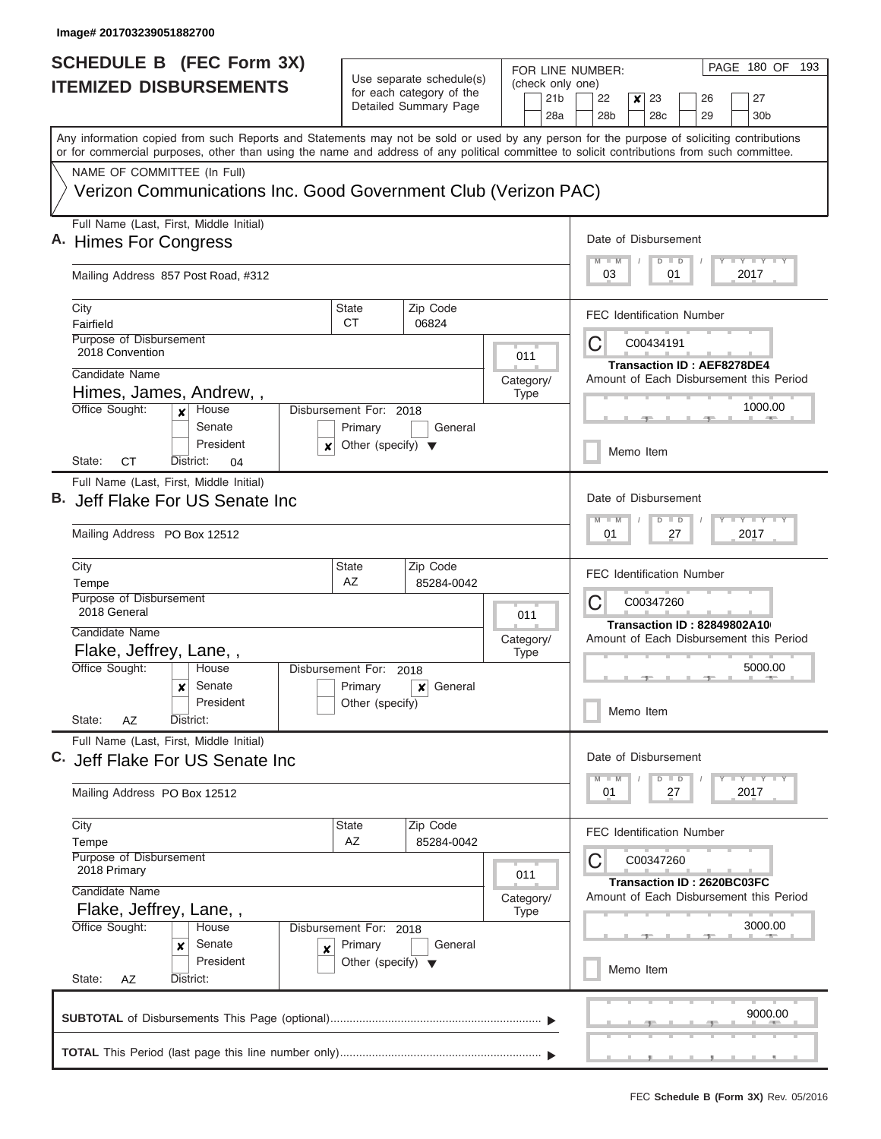$\overline{\phantom{a}}$ 

| <b>SCHEDULE B (FEC Form 3X)</b>                                                                                                                                                                                                                                                         |                                      |                                                      | FOR LINE NUMBER:                       | PAGE 180 OF 193                                                              |
|-----------------------------------------------------------------------------------------------------------------------------------------------------------------------------------------------------------------------------------------------------------------------------------------|--------------------------------------|------------------------------------------------------|----------------------------------------|------------------------------------------------------------------------------|
| <b>ITEMIZED DISBURSEMENTS</b>                                                                                                                                                                                                                                                           |                                      | Use separate schedule(s)<br>for each category of the | (check only one)                       |                                                                              |
|                                                                                                                                                                                                                                                                                         |                                      | Detailed Summary Page                                | 21 <sub>b</sub><br>28a                 | 22<br>27<br>x<br>23<br>26<br>28b<br>28c<br>29<br>30 <sub>b</sub>             |
| Any information copied from such Reports and Statements may not be sold or used by any person for the purpose of soliciting contributions<br>or for commercial purposes, other than using the name and address of any political committee to solicit contributions from such committee. |                                      |                                                      |                                        |                                                                              |
| NAME OF COMMITTEE (In Full)                                                                                                                                                                                                                                                             |                                      |                                                      |                                        |                                                                              |
| Verizon Communications Inc. Good Government Club (Verizon PAC)                                                                                                                                                                                                                          |                                      |                                                      |                                        |                                                                              |
| Full Name (Last, First, Middle Initial)<br>A. Himes For Congress                                                                                                                                                                                                                        |                                      |                                                      |                                        | Date of Disbursement<br>Y I Y I Y I Y                                        |
| Mailing Address 857 Post Road, #312                                                                                                                                                                                                                                                     |                                      |                                                      |                                        | $M$ $M$<br>$D$ $D$<br>03<br>01<br>2017                                       |
| City<br>Fairfield                                                                                                                                                                                                                                                                       | State<br>СT                          | Zip Code<br>06824                                    |                                        | <b>FEC Identification Number</b>                                             |
| Purpose of Disbursement<br>2018 Convention                                                                                                                                                                                                                                              |                                      |                                                      | 011                                    | C<br>C00434191                                                               |
| Candidate Name                                                                                                                                                                                                                                                                          |                                      |                                                      | Category/                              | <b>Transaction ID: AEF8278DE4</b><br>Amount of Each Disbursement this Period |
| Himes, James, Andrew,,                                                                                                                                                                                                                                                                  |                                      |                                                      | <b>Type</b>                            |                                                                              |
| Office Sought:<br>House<br>$\mathbf{x}$<br>Senate                                                                                                                                                                                                                                       | Disbursement For: 2018<br>Primary    | General                                              |                                        | 1000.00                                                                      |
| President<br>x<br>СT<br>State:<br>District:<br>04                                                                                                                                                                                                                                       | Other (specify) $\blacktriangledown$ |                                                      |                                        | Memo Item                                                                    |
| Full Name (Last, First, Middle Initial)                                                                                                                                                                                                                                                 |                                      |                                                      |                                        |                                                                              |
| B. Jeff Flake For US Senate Inc                                                                                                                                                                                                                                                         |                                      |                                                      |                                        | Date of Disbursement<br>$Y = Y = Y + Y + Y$                                  |
| Mailing Address PO Box 12512                                                                                                                                                                                                                                                            |                                      |                                                      | $M - M$<br>$D$ $D$<br>01<br>27<br>2017 |                                                                              |
| City<br>Tempe                                                                                                                                                                                                                                                                           | <b>State</b><br><b>AZ</b>            | Zip Code<br>85284-0042                               |                                        | <b>FEC Identification Number</b>                                             |
| Purpose of Disbursement<br>2018 General                                                                                                                                                                                                                                                 |                                      |                                                      | 011                                    | C<br>C00347260                                                               |
| Candidate Name                                                                                                                                                                                                                                                                          |                                      |                                                      | Category/                              | Transaction ID: 82849802A10<br>Amount of Each Disbursement this Period       |
| Flake, Jeffrey, Lane,,                                                                                                                                                                                                                                                                  |                                      |                                                      | <b>Type</b>                            |                                                                              |
| Office Sought:<br>House                                                                                                                                                                                                                                                                 | Disbursement For: 2018               |                                                      |                                        | 5000.00                                                                      |
| Senate<br>x<br>President                                                                                                                                                                                                                                                                | Primary<br>Other (specify)           | General<br>×                                         |                                        |                                                                              |
| State:<br>AZ<br>District:                                                                                                                                                                                                                                                               |                                      |                                                      |                                        | Memo Item                                                                    |
| Full Name (Last, First, Middle Initial)<br>C. Jeff Flake For US Senate Inc                                                                                                                                                                                                              |                                      |                                                      |                                        | Date of Disbursement                                                         |
| Mailing Address PO Box 12512                                                                                                                                                                                                                                                            |                                      |                                                      |                                        | $D$ $D$<br>$Y$ $Y$ $Y$ $Y$ $Y$<br>$M - M$<br>01<br>27<br>2017                |
| City<br>Tempe                                                                                                                                                                                                                                                                           | State<br>AZ                          | Zip Code<br>85284-0042                               |                                        | <b>FEC Identification Number</b>                                             |
| Purpose of Disbursement<br>2018 Primary                                                                                                                                                                                                                                                 |                                      |                                                      |                                        | C00347260                                                                    |
| Candidate Name                                                                                                                                                                                                                                                                          |                                      |                                                      | 011<br>Category/                       | Transaction ID: 2620BC03FC<br>Amount of Each Disbursement this Period        |
| Flake, Jeffrey, Lane,,                                                                                                                                                                                                                                                                  |                                      |                                                      | <b>Type</b>                            |                                                                              |
| Office Sought:<br>House<br>Senate<br>×<br>X                                                                                                                                                                                                                                             | Disbursement For: 2018<br>Primary    | General                                              |                                        | 3000.00                                                                      |
| President<br>State:<br>District:<br>AZ                                                                                                                                                                                                                                                  | Other (specify) $\blacktriangledown$ |                                                      |                                        | Memo Item                                                                    |
|                                                                                                                                                                                                                                                                                         |                                      |                                                      |                                        | 9000.00                                                                      |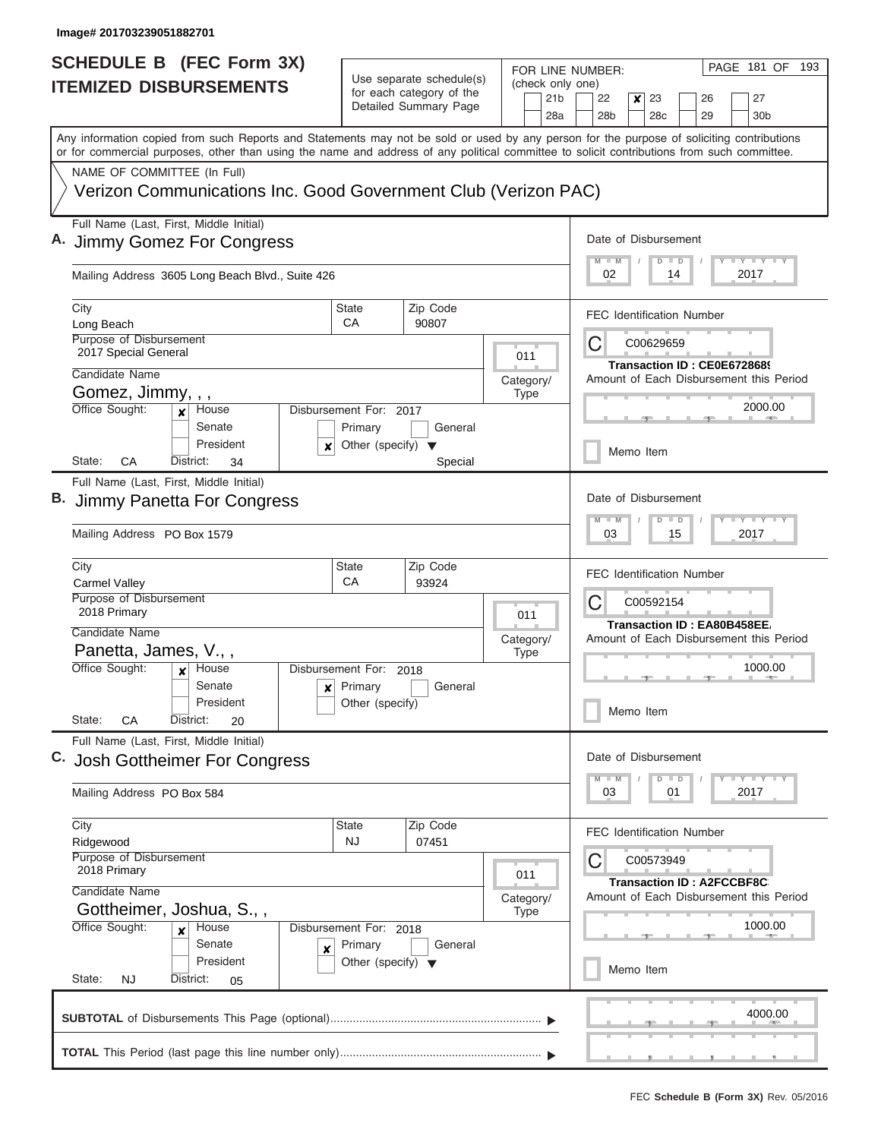| <b>SCHEDULE B (FEC Form 3X)</b>                                                                                                                                                                                                                                                         |                                                                   |                                                                               |                                            | PAGE 181 OF 193<br>FOR LINE NUMBER:                                                                                         |  |  |  |  |  |  |
|-----------------------------------------------------------------------------------------------------------------------------------------------------------------------------------------------------------------------------------------------------------------------------------------|-------------------------------------------------------------------|-------------------------------------------------------------------------------|--------------------------------------------|-----------------------------------------------------------------------------------------------------------------------------|--|--|--|--|--|--|
| <b>ITEMIZED DISBURSEMENTS</b>                                                                                                                                                                                                                                                           |                                                                   | Use separate schedule(s)<br>for each category of the<br>Detailed Summary Page | (check only one)<br>21 <sub>b</sub><br>28a | 22<br>$\boldsymbol{x}$<br>27<br>23<br>26<br>28 <sub>b</sub><br>28c<br>29<br>30 <sub>b</sub>                                 |  |  |  |  |  |  |
| Any information copied from such Reports and Statements may not be sold or used by any person for the purpose of soliciting contributions<br>or for commercial purposes, other than using the name and address of any political committee to solicit contributions from such committee. |                                                                   |                                                                               |                                            |                                                                                                                             |  |  |  |  |  |  |
| NAME OF COMMITTEE (In Full)<br>Verizon Communications Inc. Good Government Club (Verizon PAC)                                                                                                                                                                                           |                                                                   |                                                                               |                                            |                                                                                                                             |  |  |  |  |  |  |
| Full Name (Last, First, Middle Initial)<br>A. Jimmy Gomez For Congress<br>Mailing Address 3605 Long Beach Blvd., Suite 426                                                                                                                                                              |                                                                   |                                                                               |                                            | Date of Disbursement<br>$Y = Y = Y$<br>$\blacksquare$ M<br>D<br>$\blacksquare$<br>2017<br>02<br>14                          |  |  |  |  |  |  |
| City<br>Long Beach                                                                                                                                                                                                                                                                      | State<br>СA                                                       | Zip Code<br>90807                                                             |                                            | <b>FEC Identification Number</b>                                                                                            |  |  |  |  |  |  |
| Purpose of Disbursement<br>2017 Special General                                                                                                                                                                                                                                         |                                                                   |                                                                               | 011                                        | С<br>C00629659<br>Transaction ID: CE0E6728689                                                                               |  |  |  |  |  |  |
| Candidate Name<br>Gomez, Jimmy, , ,                                                                                                                                                                                                                                                     |                                                                   |                                                                               | Category/<br><b>Type</b>                   | Amount of Each Disbursement this Period                                                                                     |  |  |  |  |  |  |
| Office Sought:<br>Disbursement For: 2017<br>House<br>Senate<br>President<br>×<br>State:<br>СA<br>District:<br>34                                                                                                                                                                        |                                                                   | 2000.00<br>Memo Item                                                          |                                            |                                                                                                                             |  |  |  |  |  |  |
| Full Name (Last, First, Middle Initial)<br>B. Jimmy Panetta For Congress                                                                                                                                                                                                                |                                                                   |                                                                               |                                            | Date of Disbursement<br><b>LY LY L</b><br>W<br>D<br>$\blacksquare$                                                          |  |  |  |  |  |  |
| Mailing Address PO Box 1579                                                                                                                                                                                                                                                             |                                                                   |                                                                               |                                            | 03<br>15<br>2017                                                                                                            |  |  |  |  |  |  |
| City<br><b>Carmel Valley</b><br>Purpose of Disbursement<br>2018 Primary<br>Candidate Name                                                                                                                                                                                               | State<br>CA                                                       | Zip Code<br>93924                                                             | 011<br>Category/                           | <b>FEC Identification Number</b><br>C<br>C00592154<br>Transaction ID: EA80B458EE<br>Amount of Each Disbursement this Period |  |  |  |  |  |  |
| Panetta, James, V.,,<br>Office Sought:<br>House<br>Senate<br>President<br>State:<br>СA<br>District:<br>20                                                                                                                                                                               | Disbursement For: 2018<br>$\mathbf{x}$ Primary<br>Other (specify) | General                                                                       | <b>Type</b>                                | 1000.00<br>Memo Item                                                                                                        |  |  |  |  |  |  |
| Full Name (Last, First, Middle Initial)<br>C. Josh Gottheimer For Congress                                                                                                                                                                                                              |                                                                   |                                                                               |                                            | Date of Disbursement                                                                                                        |  |  |  |  |  |  |
| Mailing Address PO Box 584                                                                                                                                                                                                                                                              |                                                                   |                                                                               |                                            | <b>LY LY LY</b><br>$\blacksquare$ D<br>2017<br>03<br>01                                                                     |  |  |  |  |  |  |
| City<br>Ridgewood<br>Purpose of Disbursement<br>2018 Primary                                                                                                                                                                                                                            | State<br>NJ.                                                      | Zip Code<br>07451                                                             | 011                                        | <b>FEC Identification Number</b><br>С<br>C00573949<br><b>Transaction ID: A2FCCBF8C</b>                                      |  |  |  |  |  |  |
| Candidate Name<br>Gottheimer, Joshua, S.,,<br>Office Sought:<br>House<br>X                                                                                                                                                                                                              | Disbursement For: 2018                                            |                                                                               | Category/<br><b>Type</b>                   | Amount of Each Disbursement this Period<br>1000.00                                                                          |  |  |  |  |  |  |
| Senate                                                                                                                                                                                                                                                                                  | Primary<br>×                                                      | General                                                                       |                                            |                                                                                                                             |  |  |  |  |  |  |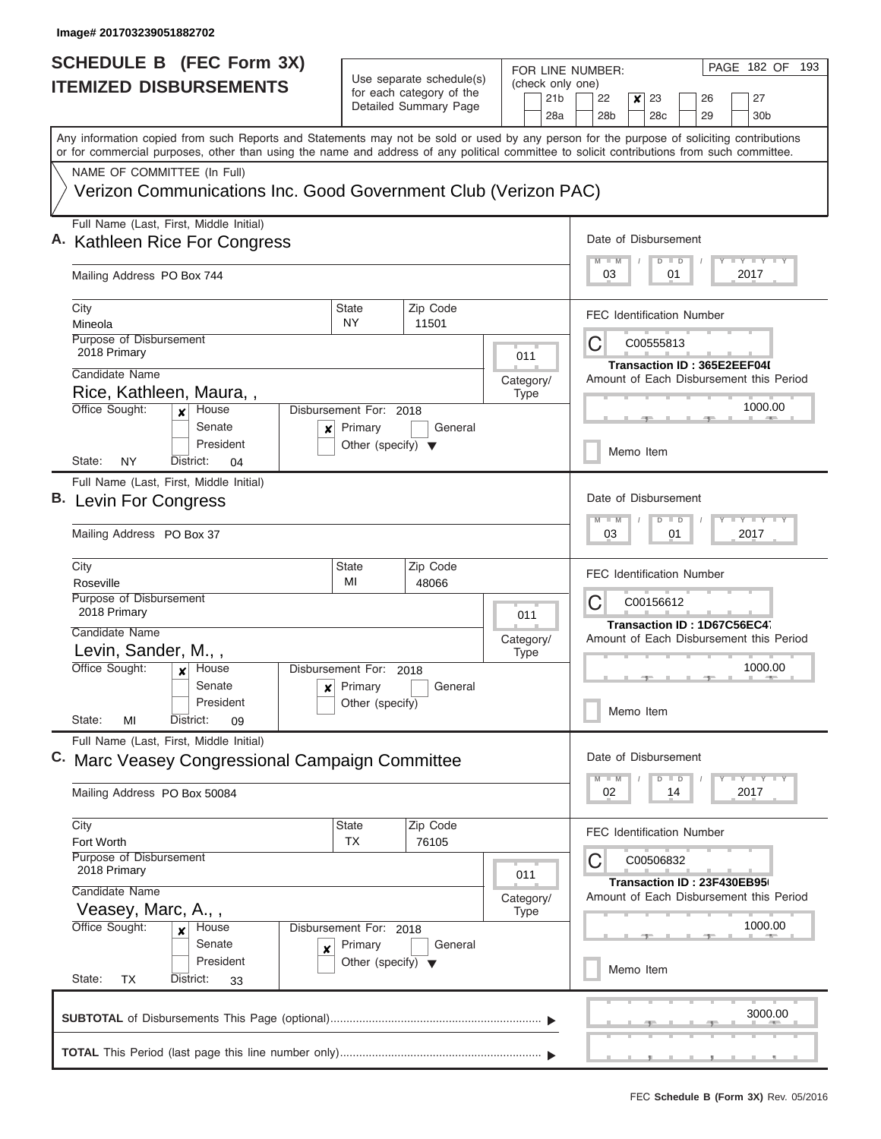| <b>SCHEDULE B (FEC Form 3X)</b>                                                                                                                                                                                                                                                         |                                                                           |                                                                               | FOR LINE NUMBER:                           | PAGE 182 OF 193                                                                                                                                      |  |  |  |  |  |  |
|-----------------------------------------------------------------------------------------------------------------------------------------------------------------------------------------------------------------------------------------------------------------------------------------|---------------------------------------------------------------------------|-------------------------------------------------------------------------------|--------------------------------------------|------------------------------------------------------------------------------------------------------------------------------------------------------|--|--|--|--|--|--|
| <b>ITEMIZED DISBURSEMENTS</b>                                                                                                                                                                                                                                                           |                                                                           | Use separate schedule(s)<br>for each category of the<br>Detailed Summary Page | (check only one)<br>21 <sub>b</sub><br>28a | 22<br>×<br>23<br>26<br>27<br>28b<br>28 <sub>c</sub><br>29<br>30 <sub>b</sub>                                                                         |  |  |  |  |  |  |
| Any information copied from such Reports and Statements may not be sold or used by any person for the purpose of soliciting contributions<br>or for commercial purposes, other than using the name and address of any political committee to solicit contributions from such committee. |                                                                           |                                                                               |                                            |                                                                                                                                                      |  |  |  |  |  |  |
| NAME OF COMMITTEE (In Full)<br>Verizon Communications Inc. Good Government Club (Verizon PAC)                                                                                                                                                                                           |                                                                           |                                                                               |                                            |                                                                                                                                                      |  |  |  |  |  |  |
| Full Name (Last, First, Middle Initial)<br>A. Kathleen Rice For Congress<br>Mailing Address PO Box 744                                                                                                                                                                                  |                                                                           |                                                                               |                                            | Date of Disbursement<br>Y FY FY FY<br>$D$ $D$<br>$-M$<br>03<br>01<br>2017                                                                            |  |  |  |  |  |  |
| City<br>Mineola                                                                                                                                                                                                                                                                         | State<br>NY.                                                              | Zip Code<br>11501                                                             |                                            | <b>FEC Identification Number</b>                                                                                                                     |  |  |  |  |  |  |
| <b>Purpose of Disbursement</b><br>2018 Primary<br>Candidate Name                                                                                                                                                                                                                        |                                                                           |                                                                               | 011<br>Category/                           | C<br>C00555813<br><b>Transaction ID: 365E2EEF04I</b><br>Amount of Each Disbursement this Period                                                      |  |  |  |  |  |  |
| Rice, Kathleen, Maura,,<br>Office Sought:<br>House<br>×<br>Senate<br>×<br>President<br>State:<br>NY.<br>District:<br>04                                                                                                                                                                 | Disbursement For: 2018<br>Primary<br>Other (specify) $\blacktriangledown$ | General                                                                       | <b>Type</b>                                | 1000.00<br>Memo Item                                                                                                                                 |  |  |  |  |  |  |
| Full Name (Last, First, Middle Initial)<br>B. Levin For Congress<br>Mailing Address PO Box 37                                                                                                                                                                                           |                                                                           |                                                                               |                                            | Date of Disbursement<br>$T - Y = T - Y = T - Y$<br>$\overline{M}$<br>$-W$<br>D<br>$\blacksquare$<br>03<br>01<br>2017                                 |  |  |  |  |  |  |
| City<br>Roseville<br>Purpose of Disbursement<br>2018 Primary<br>Candidate Name<br>Levin, Sander, M.,,<br>Office Sought:<br>House<br>$\boldsymbol{x}$<br>Senate<br>President<br>State:<br>MI<br>District:<br>09                                                                          | State<br>MI<br>Disbursement For: 2018<br>$x$ Primary<br>Other (specify)   | Zip Code<br>48066<br>General                                                  | 011<br>Category/<br><b>Type</b>            | <b>FEC Identification Number</b><br>C<br>C00156612<br>Transaction ID: 1D67C56EC47<br>Amount of Each Disbursement this Period<br>1000.00<br>Memo Item |  |  |  |  |  |  |
| Full Name (Last, First, Middle Initial)<br>C. Marc Veasey Congressional Campaign Committee<br>Mailing Address PO Box 50084                                                                                                                                                              |                                                                           |                                                                               |                                            | Date of Disbursement<br>$T$ $Y$ $T$ $Y$ $T$ $Y$<br>M<br>D<br>$\Box$<br>$-M$<br>02<br>2017<br>14                                                      |  |  |  |  |  |  |
| City<br>Fort Worth<br>Purpose of Disbursement<br>2018 Primary<br>Candidate Name<br>Veasey, Marc, A.,,                                                                                                                                                                                   | State<br>TX                                                               | Zip Code<br>76105                                                             | 011<br>Category/<br><b>Type</b>            | <b>FEC Identification Number</b><br>С<br>C00506832<br>Transaction ID: 23F430EB95<br>Amount of Each Disbursement this Period                          |  |  |  |  |  |  |
| Office Sought:<br>House<br>x<br>Senate<br>$\pmb{\times}$<br>President<br>State:<br>TX<br>District:<br>33                                                                                                                                                                                | Disbursement For: 2018<br>Primary<br>Other (specify) $\blacktriangledown$ | General                                                                       |                                            | 1000.00<br>Memo Item                                                                                                                                 |  |  |  |  |  |  |
|                                                                                                                                                                                                                                                                                         |                                                                           |                                                                               |                                            | 3000.00                                                                                                                                              |  |  |  |  |  |  |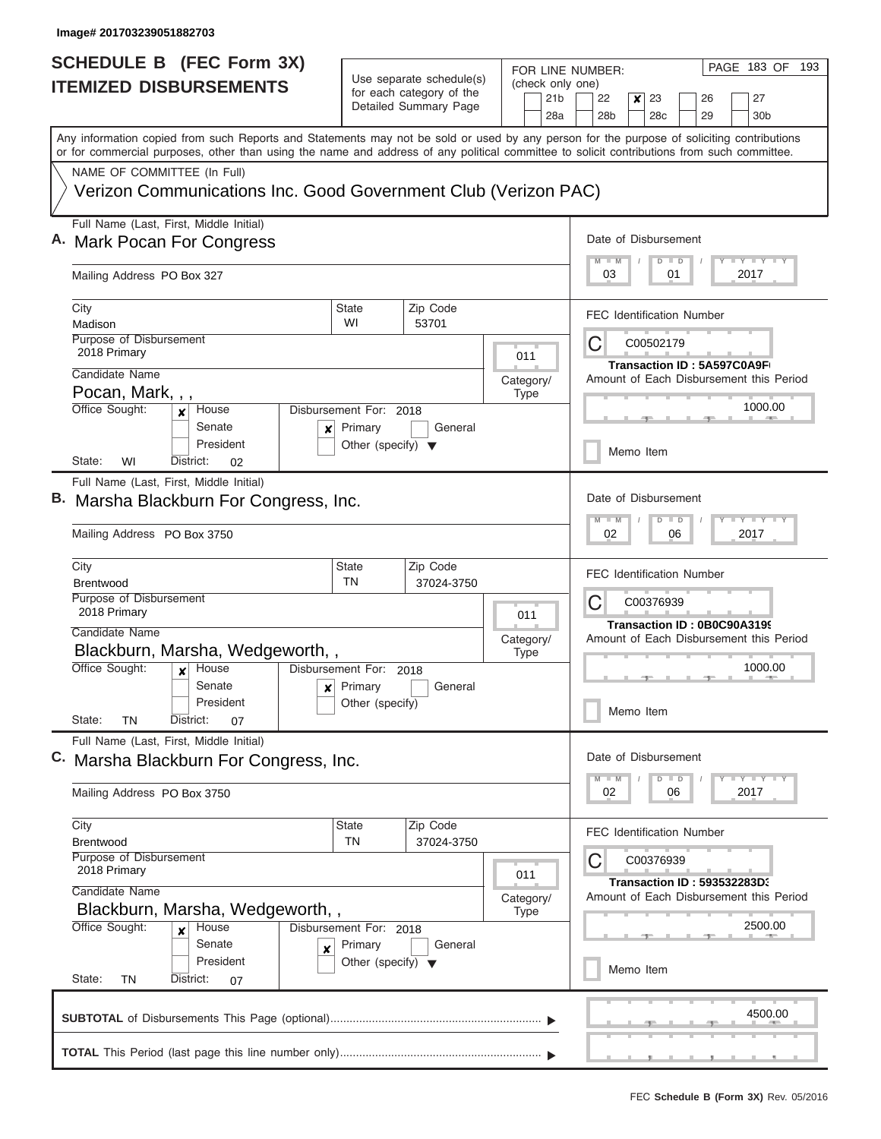| <b>SCHEDULE B (FEC Form 3X)</b>                                                                                                                                                                                                                                                         |                                      |                                                      |                        | PAGE 183 OF 193<br>FOR LINE NUMBER:                                           |  |  |  |  |  |  |  |
|-----------------------------------------------------------------------------------------------------------------------------------------------------------------------------------------------------------------------------------------------------------------------------------------|--------------------------------------|------------------------------------------------------|------------------------|-------------------------------------------------------------------------------|--|--|--|--|--|--|--|
| <b>ITEMIZED DISBURSEMENTS</b>                                                                                                                                                                                                                                                           |                                      | Use separate schedule(s)<br>for each category of the | (check only one)       |                                                                               |  |  |  |  |  |  |  |
|                                                                                                                                                                                                                                                                                         |                                      | Detailed Summary Page                                | 21 <sub>b</sub><br>28a | 27<br>22<br>×<br>23<br>26<br>28b<br>28c<br>29<br>30 <sub>b</sub>              |  |  |  |  |  |  |  |
| Any information copied from such Reports and Statements may not be sold or used by any person for the purpose of soliciting contributions<br>or for commercial purposes, other than using the name and address of any political committee to solicit contributions from such committee. |                                      |                                                      |                        |                                                                               |  |  |  |  |  |  |  |
| NAME OF COMMITTEE (In Full)                                                                                                                                                                                                                                                             |                                      |                                                      |                        |                                                                               |  |  |  |  |  |  |  |
| Verizon Communications Inc. Good Government Club (Verizon PAC)                                                                                                                                                                                                                          |                                      |                                                      |                        |                                                                               |  |  |  |  |  |  |  |
| Full Name (Last, First, Middle Initial)<br>A. Mark Pocan For Congress                                                                                                                                                                                                                   |                                      |                                                      |                        | Date of Disbursement<br>Y LY LY LY<br>$M$ $M$<br>$D$ $D$                      |  |  |  |  |  |  |  |
| Mailing Address PO Box 327                                                                                                                                                                                                                                                              |                                      |                                                      |                        | 2017<br>03<br>01                                                              |  |  |  |  |  |  |  |
| City<br>Madison                                                                                                                                                                                                                                                                         | <b>State</b><br>WI                   | Zip Code<br>53701                                    |                        | <b>FEC Identification Number</b>                                              |  |  |  |  |  |  |  |
| Purpose of Disbursement<br>2018 Primary                                                                                                                                                                                                                                                 |                                      |                                                      | 011                    | C<br>C00502179                                                                |  |  |  |  |  |  |  |
| Candidate Name                                                                                                                                                                                                                                                                          |                                      |                                                      | Category/              | Transaction ID: 5A597C0A9F<br>Amount of Each Disbursement this Period         |  |  |  |  |  |  |  |
| Pocan, Mark, , ,                                                                                                                                                                                                                                                                        |                                      |                                                      | <b>Type</b>            |                                                                               |  |  |  |  |  |  |  |
| Office Sought:<br>House<br>×<br>Senate<br>×                                                                                                                                                                                                                                             | Disbursement For: 2018<br>Primary    | General                                              |                        | 1000.00                                                                       |  |  |  |  |  |  |  |
| President<br>State:<br>WI<br>District:<br>02                                                                                                                                                                                                                                            | Other (specify) $\blacktriangledown$ |                                                      |                        | Memo Item                                                                     |  |  |  |  |  |  |  |
| Full Name (Last, First, Middle Initial)                                                                                                                                                                                                                                                 |                                      |                                                      |                        |                                                                               |  |  |  |  |  |  |  |
| B. Marsha Blackburn For Congress, Inc.                                                                                                                                                                                                                                                  |                                      |                                                      |                        | Date of Disbursement<br>Y FY FY FY<br>$M - M$<br>$D$ $D$                      |  |  |  |  |  |  |  |
| Mailing Address PO Box 3750                                                                                                                                                                                                                                                             |                                      |                                                      |                        | 02<br>06<br>2017                                                              |  |  |  |  |  |  |  |
| City<br><b>Brentwood</b>                                                                                                                                                                                                                                                                | <b>State</b><br>TN                   | Zip Code<br>37024-3750                               |                        | <b>FEC Identification Number</b>                                              |  |  |  |  |  |  |  |
| Purpose of Disbursement<br>2018 Primary                                                                                                                                                                                                                                                 |                                      |                                                      | 011                    | C<br>C00376939                                                                |  |  |  |  |  |  |  |
| Candidate Name                                                                                                                                                                                                                                                                          |                                      |                                                      | Category/              | Transaction ID: 0B0C90A3199<br>Amount of Each Disbursement this Period        |  |  |  |  |  |  |  |
| Blackburn, Marsha, Wedgeworth,,                                                                                                                                                                                                                                                         |                                      |                                                      | <b>Type</b>            |                                                                               |  |  |  |  |  |  |  |
| Office Sought:<br>House                                                                                                                                                                                                                                                                 | Disbursement For: 2018               |                                                      |                        | 1000.00                                                                       |  |  |  |  |  |  |  |
| Senate<br>×                                                                                                                                                                                                                                                                             | Primary                              | General                                              |                        |                                                                               |  |  |  |  |  |  |  |
| President<br>State:<br>ΤN<br>District:<br>07                                                                                                                                                                                                                                            | Other (specify)                      |                                                      |                        | Memo Item                                                                     |  |  |  |  |  |  |  |
| Full Name (Last, First, Middle Initial)<br>C. Marsha Blackburn For Congress, Inc.                                                                                                                                                                                                       |                                      |                                                      |                        | Date of Disbursement                                                          |  |  |  |  |  |  |  |
|                                                                                                                                                                                                                                                                                         |                                      |                                                      |                        | $Y - Y - Y - Y - I - Y$<br>$M - M$<br>$D$ $D$                                 |  |  |  |  |  |  |  |
| Mailing Address PO Box 3750                                                                                                                                                                                                                                                             |                                      |                                                      |                        | 02<br>2017<br>06                                                              |  |  |  |  |  |  |  |
| City<br>Brentwood                                                                                                                                                                                                                                                                       | <b>State</b><br>TN                   | Zip Code<br>37024-3750                               |                        | <b>FEC Identification Number</b>                                              |  |  |  |  |  |  |  |
| Purpose of Disbursement<br>2018 Primary                                                                                                                                                                                                                                                 |                                      |                                                      | 011                    | C00376939                                                                     |  |  |  |  |  |  |  |
| Candidate Name                                                                                                                                                                                                                                                                          |                                      |                                                      | Category/              | <b>Transaction ID: 593532283D:</b><br>Amount of Each Disbursement this Period |  |  |  |  |  |  |  |
| Blackburn, Marsha, Wedgeworth,,                                                                                                                                                                                                                                                         |                                      |                                                      | <b>Type</b>            |                                                                               |  |  |  |  |  |  |  |
| Office Sought:<br>House<br>X<br>Senate<br>$\boldsymbol{x}$                                                                                                                                                                                                                              | Disbursement For: 2018<br>Primary    | General                                              |                        | 2500.00                                                                       |  |  |  |  |  |  |  |
| President<br>State:<br>TN<br>District:<br>07                                                                                                                                                                                                                                            | Other (specify) $\blacktriangledown$ |                                                      |                        | Memo Item                                                                     |  |  |  |  |  |  |  |
|                                                                                                                                                                                                                                                                                         |                                      |                                                      |                        | 4500.00                                                                       |  |  |  |  |  |  |  |
|                                                                                                                                                                                                                                                                                         |                                      |                                                      |                        |                                                                               |  |  |  |  |  |  |  |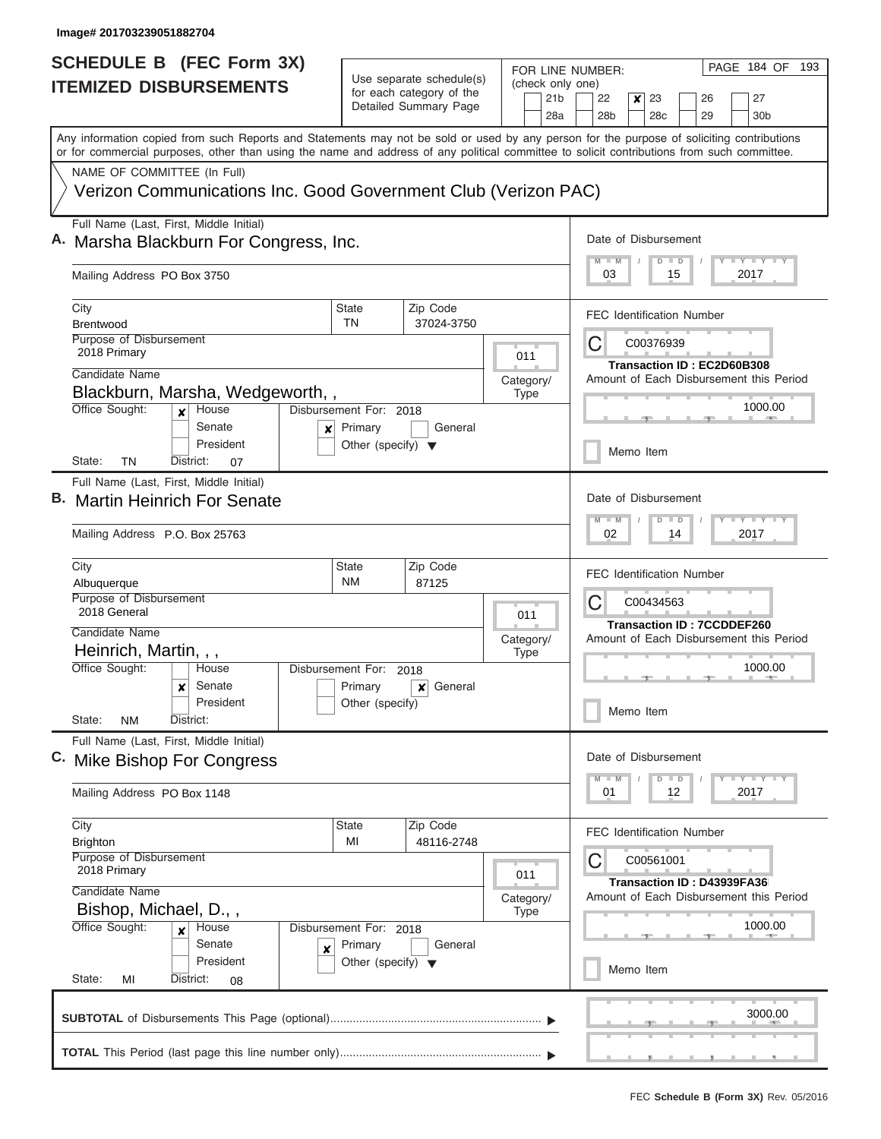| <b>SCHEDULE B</b> (FEC Form 3X)                                                                                                                                                                                                                                                         |                                                      |                                                                               | FOR LINE NUMBER:                           | PAGE 184 OF 193                                                                                                                    |
|-----------------------------------------------------------------------------------------------------------------------------------------------------------------------------------------------------------------------------------------------------------------------------------------|------------------------------------------------------|-------------------------------------------------------------------------------|--------------------------------------------|------------------------------------------------------------------------------------------------------------------------------------|
| <b>ITEMIZED DISBURSEMENTS</b>                                                                                                                                                                                                                                                           |                                                      | Use separate schedule(s)<br>for each category of the<br>Detailed Summary Page | (check only one)<br>21 <sub>b</sub><br>28a | 22<br>23<br>27<br>×<br>26<br>29<br>28b<br>28c<br>30 <sub>b</sub>                                                                   |
| Any information copied from such Reports and Statements may not be sold or used by any person for the purpose of soliciting contributions<br>or for commercial purposes, other than using the name and address of any political committee to solicit contributions from such committee. |                                                      |                                                                               |                                            |                                                                                                                                    |
| NAME OF COMMITTEE (In Full)<br>Verizon Communications Inc. Good Government Club (Verizon PAC)                                                                                                                                                                                           |                                                      |                                                                               |                                            |                                                                                                                                    |
| Full Name (Last, First, Middle Initial)<br>A. Marsha Blackburn For Congress, Inc.<br>Mailing Address PO Box 3750                                                                                                                                                                        |                                                      |                                                                               |                                            | Date of Disbursement<br><b>TEY LY LY</b><br>$\Box$<br>$\blacksquare$ M<br>D<br>03<br>15<br>2017                                    |
| City<br><b>Brentwood</b>                                                                                                                                                                                                                                                                | <b>State</b><br><b>TN</b>                            | Zip Code<br>37024-3750                                                        |                                            | <b>FEC Identification Number</b>                                                                                                   |
| <b>Purpose of Disbursement</b><br>2018 Primary                                                                                                                                                                                                                                          |                                                      |                                                                               | 011                                        | C<br>C00376939<br>Transaction ID: EC2D60B308                                                                                       |
| Candidate Name<br>Blackburn, Marsha, Wedgeworth,,<br>Office Sought:<br>House                                                                                                                                                                                                            | Disbursement For: 2018                               |                                                                               | Category/<br><b>Type</b>                   | Amount of Each Disbursement this Period<br>1000.00                                                                                 |
| $\boldsymbol{x}$<br>Senate<br>x<br>President<br>State:<br>TN<br>District:<br>07                                                                                                                                                                                                         | Primary<br>Other (specify) $\blacktriangledown$      | General                                                                       |                                            | Memo Item                                                                                                                          |
| Full Name (Last, First, Middle Initial)<br>B. Martin Heinrich For Senate                                                                                                                                                                                                                |                                                      |                                                                               |                                            | Date of Disbursement<br>$\overline{\mathbf{y}}$<br>$-1 - Y$<br>$\overline{M}$<br>W<br>$\blacksquare$<br>D                          |
| Mailing Address P.O. Box 25763                                                                                                                                                                                                                                                          |                                                      |                                                                               |                                            | 02<br>2017<br>14                                                                                                                   |
| City<br>Albuquerque<br>Purpose of Disbursement<br>2018 General<br>Candidate Name                                                                                                                                                                                                        | <b>State</b><br><b>NM</b>                            | Zip Code<br>87125                                                             | 011                                        | <b>FEC Identification Number</b><br>C<br>C00434563<br><b>Transaction ID: 7CCDDEF260</b><br>Amount of Each Disbursement this Period |
| Heinrich, Martin, , ,<br>Office Sought:<br>House<br>Senate<br>x<br>President                                                                                                                                                                                                            | Disbursement For: 2018<br>Primary<br>Other (specify) | General<br>$\boldsymbol{x}$                                                   | Category/<br><b>Type</b>                   | 1000.00                                                                                                                            |
| State:<br><b>NM</b><br>District:                                                                                                                                                                                                                                                        |                                                      |                                                                               |                                            | Memo Item                                                                                                                          |
| Full Name (Last, First, Middle Initial)<br>C. Mike Bishop For Congress                                                                                                                                                                                                                  |                                                      |                                                                               |                                            | Date of Disbursement<br>$T$ $T$ $T$ $T$ $T$ $T$ $T$ $T$ $T$<br>$\blacksquare$<br>D                                                 |
| Mailing Address PO Box 1148                                                                                                                                                                                                                                                             |                                                      |                                                                               |                                            | 2017<br>01<br>12                                                                                                                   |
| City<br><b>Brighton</b><br><b>Purpose of Disbursement</b><br>2018 Primary                                                                                                                                                                                                               | <b>State</b><br>MI                                   | Zip Code<br>48116-2748                                                        | 011                                        | <b>FEC Identification Number</b><br>C<br>C00561001<br>Transaction ID: D43939FA36                                                   |
| Candidate Name<br>Bishop, Michael, D.,,<br>Office Sought:<br>House                                                                                                                                                                                                                      | Disbursement For: 2018                               |                                                                               | Category/<br>Type                          | Amount of Each Disbursement this Period<br>1000.00                                                                                 |
| ×<br>Senate<br>×<br>President                                                                                                                                                                                                                                                           | Primary<br>Other (specify) $\blacktriangledown$      | General                                                                       |                                            | Memo Item                                                                                                                          |
| State:<br>District:<br>МI<br>08                                                                                                                                                                                                                                                         |                                                      |                                                                               |                                            | 3000.00                                                                                                                            |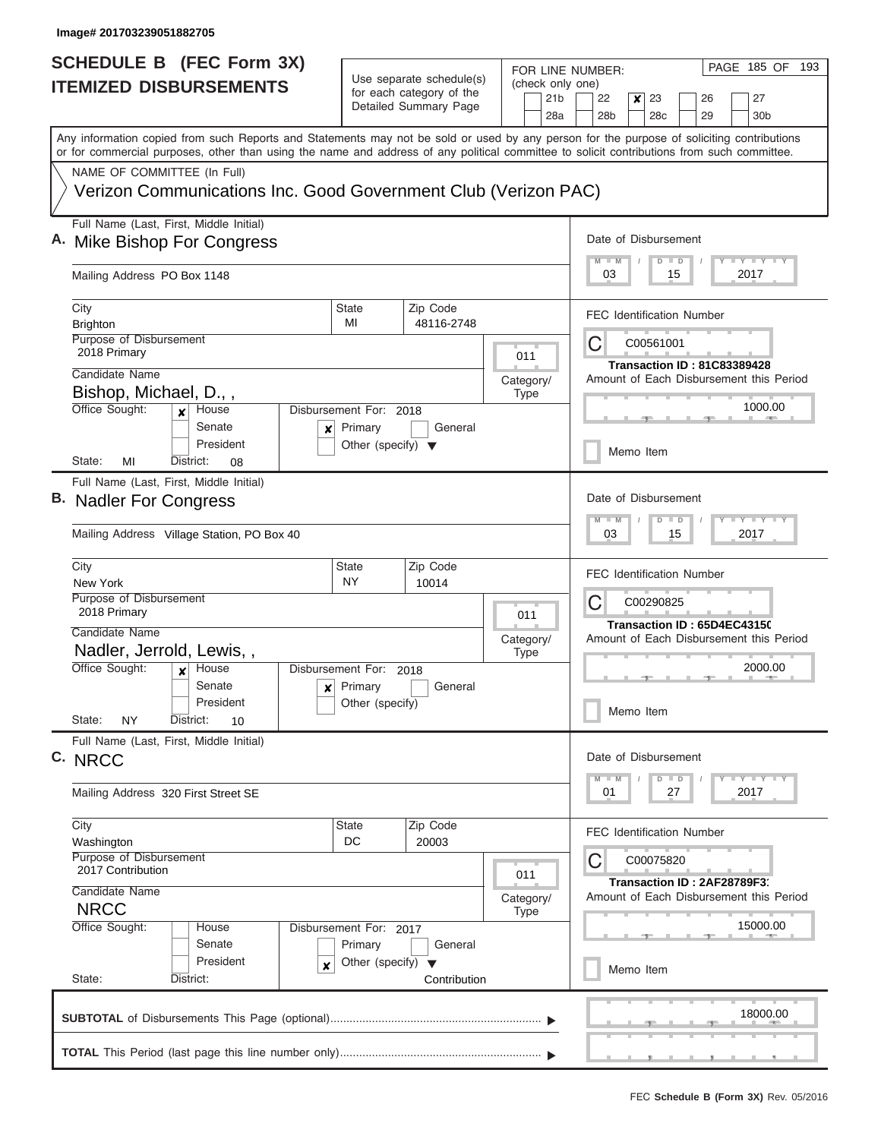| <b>SCHEDULE B</b> (FEC Form 3X)                                                                                                                                                                                                                                                         |                                                                                          |                                                                               |           |                          |                                            | PAGE 185 OF<br>193<br>FOR LINE NUMBER:                                                                                                    |  |  |  |  |  |  |
|-----------------------------------------------------------------------------------------------------------------------------------------------------------------------------------------------------------------------------------------------------------------------------------------|------------------------------------------------------------------------------------------|-------------------------------------------------------------------------------|-----------|--------------------------|--------------------------------------------|-------------------------------------------------------------------------------------------------------------------------------------------|--|--|--|--|--|--|
| <b>ITEMIZED DISBURSEMENTS</b>                                                                                                                                                                                                                                                           |                                                                                          | Use separate schedule(s)<br>for each category of the<br>Detailed Summary Page |           |                          | (check only one)<br>21 <sub>b</sub><br>28a | 22<br>23<br>27<br>x<br>26<br>28 <sub>b</sub><br>28c<br>29<br>30 <sub>b</sub>                                                              |  |  |  |  |  |  |
| Any information copied from such Reports and Statements may not be sold or used by any person for the purpose of soliciting contributions<br>or for commercial purposes, other than using the name and address of any political committee to solicit contributions from such committee. |                                                                                          |                                                                               |           |                          |                                            |                                                                                                                                           |  |  |  |  |  |  |
| NAME OF COMMITTEE (In Full)<br>Verizon Communications Inc. Good Government Club (Verizon PAC)                                                                                                                                                                                           |                                                                                          |                                                                               |           |                          |                                            |                                                                                                                                           |  |  |  |  |  |  |
| Full Name (Last, First, Middle Initial)<br>A. Mike Bishop For Congress<br>Mailing Address PO Box 1148                                                                                                                                                                                   |                                                                                          |                                                                               |           |                          |                                            | Date of Disbursement<br>$T$ $Y$ $T$ $Y$ $T$ $Y$<br>$M$ $M$<br>$D$ $D$<br>2017<br>03<br>15                                                 |  |  |  |  |  |  |
| City<br><b>Brighton</b>                                                                                                                                                                                                                                                                 | <b>State</b><br>Zip Code<br>MI<br>48116-2748                                             |                                                                               |           |                          |                                            | <b>FEC Identification Number</b>                                                                                                          |  |  |  |  |  |  |
| Purpose of Disbursement<br>2018 Primary<br>Candidate Name<br>Bishop, Michael, D.,,<br>Office Sought:<br>House<br>$\mathbf{x}$<br>Senate<br>×<br>President                                                                                                                               | Disbursement For: 2018<br>Primary<br>Other (specify) $\blacktriangledown$                | General                                                                       |           | 011<br>Category/<br>Type |                                            | С<br>C00561001<br><b>Transaction ID: 81C83389428</b><br>Amount of Each Disbursement this Period<br>1000.00                                |  |  |  |  |  |  |
| State:<br>MI<br>District:<br>08<br>Full Name (Last, First, Middle Initial)<br>B. Nadler For Congress<br>Mailing Address Village Station, PO Box 40                                                                                                                                      |                                                                                          |                                                                               |           |                          |                                            | Memo Item<br>Date of Disbursement<br>$T - Y$ $T - Y$ $T - Y$<br>$M - M$<br>$D$ $D$<br>2017<br>03<br>15                                    |  |  |  |  |  |  |
| City<br>New York<br>Purpose of Disbursement<br>2018 Primary<br>Candidate Name<br>Nadler, Jerrold, Lewis,,                                                                                                                                                                               | <b>State</b><br>NY.                                                                      | Zip Code<br>10014                                                             | Category/ | 011<br><b>Type</b>       |                                            | <b>FEC Identification Number</b><br>С<br>C00290825<br>Transaction ID: 65D4EC43150<br>Amount of Each Disbursement this Period              |  |  |  |  |  |  |
| Office Sought:<br>House<br>$\boldsymbol{x}$<br>Senate<br>President<br>State:<br><b>NY</b><br>District:<br>10                                                                                                                                                                            | Disbursement For:<br>2018<br>$\mathbf{x}$ Primary<br>General<br>Other (specify)          |                                                                               |           |                          |                                            | 2000.00<br>Memo Item                                                                                                                      |  |  |  |  |  |  |
| Full Name (Last, First, Middle Initial)<br>C. NRCC<br>Mailing Address 320 First Street SE                                                                                                                                                                                               |                                                                                          |                                                                               |           |                          |                                            | Date of Disbursement<br>$T$ $Y$ $T$ $Y$ $T$ $Y$<br>$M - M$<br>$D$ $D$<br>2017<br>01<br>27                                                 |  |  |  |  |  |  |
| City<br>Washington<br>Purpose of Disbursement<br>2017 Contribution<br>Candidate Name<br><b>NRCC</b><br>Office Sought:<br>House<br>Senate<br>President                                                                                                                                   | State<br>DC<br>Disbursement For: 2017<br>Primary<br>Other (specify) $\blacktriangledown$ | Zip Code<br>20003<br>General                                                  |           | 011<br>Category/<br>Type |                                            | <b>FEC Identification Number</b><br>С<br>C00075820<br>Transaction ID : 2AF28789F31<br>Amount of Each Disbursement this Period<br>15000.00 |  |  |  |  |  |  |
| ×<br>State:<br>District:                                                                                                                                                                                                                                                                |                                                                                          | Contribution                                                                  |           |                          |                                            | Memo Item<br>18000.00                                                                                                                     |  |  |  |  |  |  |
|                                                                                                                                                                                                                                                                                         |                                                                                          |                                                                               |           |                          |                                            |                                                                                                                                           |  |  |  |  |  |  |

L  $\sim$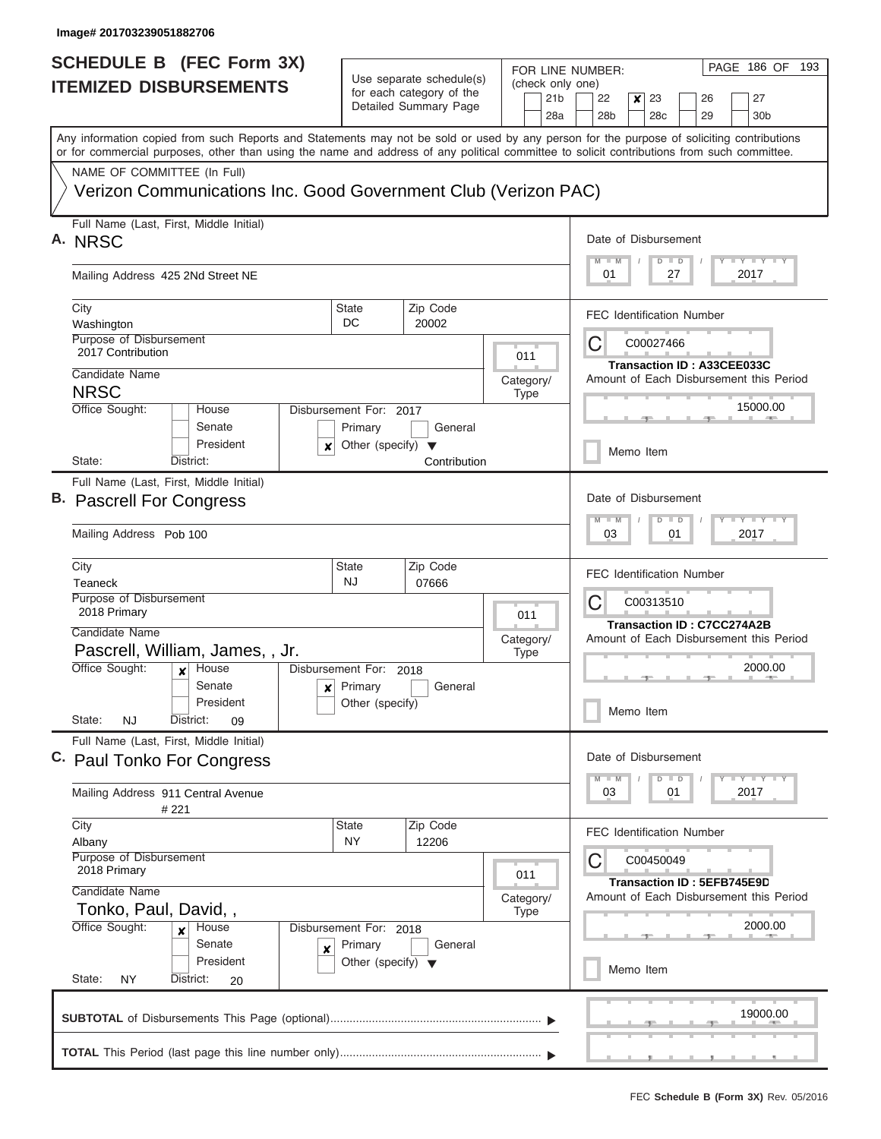$\overline{\phantom{a}}$ 

| <b>SCHEDULE B (FEC Form 3X)</b>                                                                                                                                                                                                                                                         |                                                 |                                                                               | FOR LINE NUMBER:                           | PAGE 186 OF 193                                                                                           |  |  |  |  |  |  |
|-----------------------------------------------------------------------------------------------------------------------------------------------------------------------------------------------------------------------------------------------------------------------------------------|-------------------------------------------------|-------------------------------------------------------------------------------|--------------------------------------------|-----------------------------------------------------------------------------------------------------------|--|--|--|--|--|--|
| <b>ITEMIZED DISBURSEMENTS</b>                                                                                                                                                                                                                                                           |                                                 | Use separate schedule(s)<br>for each category of the<br>Detailed Summary Page | (check only one)<br>21 <sub>b</sub><br>28a | 22<br>26<br>27<br>x<br>23<br>28 <sub>b</sub><br>28c<br>29<br>30 <sub>b</sub>                              |  |  |  |  |  |  |
| Any information copied from such Reports and Statements may not be sold or used by any person for the purpose of soliciting contributions<br>or for commercial purposes, other than using the name and address of any political committee to solicit contributions from such committee. |                                                 |                                                                               |                                            |                                                                                                           |  |  |  |  |  |  |
| NAME OF COMMITTEE (In Full)                                                                                                                                                                                                                                                             |                                                 |                                                                               |                                            |                                                                                                           |  |  |  |  |  |  |
| Verizon Communications Inc. Good Government Club (Verizon PAC)                                                                                                                                                                                                                          |                                                 |                                                                               |                                            |                                                                                                           |  |  |  |  |  |  |
| Full Name (Last, First, Middle Initial)<br>A. NRSC                                                                                                                                                                                                                                      |                                                 |                                                                               |                                            | Date of Disbursement<br>$T$ $Y$ $T$ $Y$ $T$ $Y$<br>M<br>$\blacksquare$ M<br>$D$ $D$                       |  |  |  |  |  |  |
| Mailing Address 425 2Nd Street NE                                                                                                                                                                                                                                                       |                                                 |                                                                               |                                            | 27<br>2017<br>01                                                                                          |  |  |  |  |  |  |
| City<br>Washington                                                                                                                                                                                                                                                                      | State<br>DC                                     | Zip Code<br>20002                                                             |                                            | <b>FEC Identification Number</b>                                                                          |  |  |  |  |  |  |
| Purpose of Disbursement<br>2017 Contribution                                                                                                                                                                                                                                            |                                                 |                                                                               | 011                                        | C<br>C00027466                                                                                            |  |  |  |  |  |  |
| Candidate Name                                                                                                                                                                                                                                                                          |                                                 |                                                                               | Category/                                  | Transaction ID: A33CEE033C<br>Amount of Each Disbursement this Period                                     |  |  |  |  |  |  |
| <b>NRSC</b><br>Office Sought:<br>House                                                                                                                                                                                                                                                  | Disbursement For: 2017                          |                                                                               | <b>Type</b>                                | 15000.00                                                                                                  |  |  |  |  |  |  |
| Senate<br>President<br>×                                                                                                                                                                                                                                                                | Primary<br>Other (specify) $\blacktriangledown$ | General                                                                       |                                            | Memo Item                                                                                                 |  |  |  |  |  |  |
| State:<br>District:                                                                                                                                                                                                                                                                     |                                                 | Contribution                                                                  |                                            |                                                                                                           |  |  |  |  |  |  |
| Full Name (Last, First, Middle Initial)<br>B. Pascrell For Congress                                                                                                                                                                                                                     |                                                 |                                                                               |                                            | Date of Disbursement<br>$\overline{\mathsf{M}}$<br>$T - Y = T Y$<br>W<br>$\overline{D}$<br>$\blacksquare$ |  |  |  |  |  |  |
| Mailing Address Pob 100                                                                                                                                                                                                                                                                 |                                                 |                                                                               |                                            | 03<br>01<br>2017                                                                                          |  |  |  |  |  |  |
| City<br>Teaneck                                                                                                                                                                                                                                                                         | State<br><b>NJ</b>                              | Zip Code<br>07666                                                             |                                            | <b>FEC Identification Number</b>                                                                          |  |  |  |  |  |  |
| Purpose of Disbursement<br>2018 Primary<br>Candidate Name                                                                                                                                                                                                                               |                                                 |                                                                               | 011                                        | C<br>C00313510<br><b>Transaction ID: C7CC274A2B</b>                                                       |  |  |  |  |  |  |
| Pascrell, William, James, , Jr.                                                                                                                                                                                                                                                         |                                                 |                                                                               | Category/<br><b>Type</b>                   | Amount of Each Disbursement this Period                                                                   |  |  |  |  |  |  |
| Office Sought:<br>House<br>$\boldsymbol{x}$<br>Senate                                                                                                                                                                                                                                   | Disbursement For: 2018                          |                                                                               |                                            | 2000.00                                                                                                   |  |  |  |  |  |  |
| President<br>State:<br>District:<br>NJ.<br>09                                                                                                                                                                                                                                           | $\mathbf{x}$ Primary<br>Other (specify)         | General                                                                       |                                            | Memo Item                                                                                                 |  |  |  |  |  |  |
| Full Name (Last, First, Middle Initial)<br>C. Paul Tonko For Congress                                                                                                                                                                                                                   |                                                 |                                                                               |                                            | Date of Disbursement                                                                                      |  |  |  |  |  |  |
| Mailing Address 911 Central Avenue<br>#221                                                                                                                                                                                                                                              |                                                 |                                                                               |                                            | Y FY FY FY<br>$M - M$<br>$\blacksquare$ D<br>2017<br>03<br>01                                             |  |  |  |  |  |  |
| City                                                                                                                                                                                                                                                                                    | State                                           | Zip Code                                                                      |                                            | <b>FEC Identification Number</b>                                                                          |  |  |  |  |  |  |
| Albany<br>Purpose of Disbursement<br>2018 Primary                                                                                                                                                                                                                                       | NY                                              | 12206                                                                         | 011                                        | C<br>C00450049                                                                                            |  |  |  |  |  |  |
| Candidate Name<br>Tonko, Paul, David,,                                                                                                                                                                                                                                                  |                                                 |                                                                               | Category/<br>Type                          | Transaction ID: 5EFB745E9D<br>Amount of Each Disbursement this Period                                     |  |  |  |  |  |  |
| Office Sought:<br>House<br>$\boldsymbol{x}$<br>Senate<br>×                                                                                                                                                                                                                              | Disbursement For: 2018<br>Primary               | General                                                                       |                                            | 2000.00                                                                                                   |  |  |  |  |  |  |
| President<br>State:<br>District:<br>NY.<br>20                                                                                                                                                                                                                                           | Other (specify) $\blacktriangledown$            |                                                                               |                                            | Memo Item                                                                                                 |  |  |  |  |  |  |
|                                                                                                                                                                                                                                                                                         |                                                 |                                                                               |                                            | 19000.00                                                                                                  |  |  |  |  |  |  |
|                                                                                                                                                                                                                                                                                         |                                                 |                                                                               |                                            |                                                                                                           |  |  |  |  |  |  |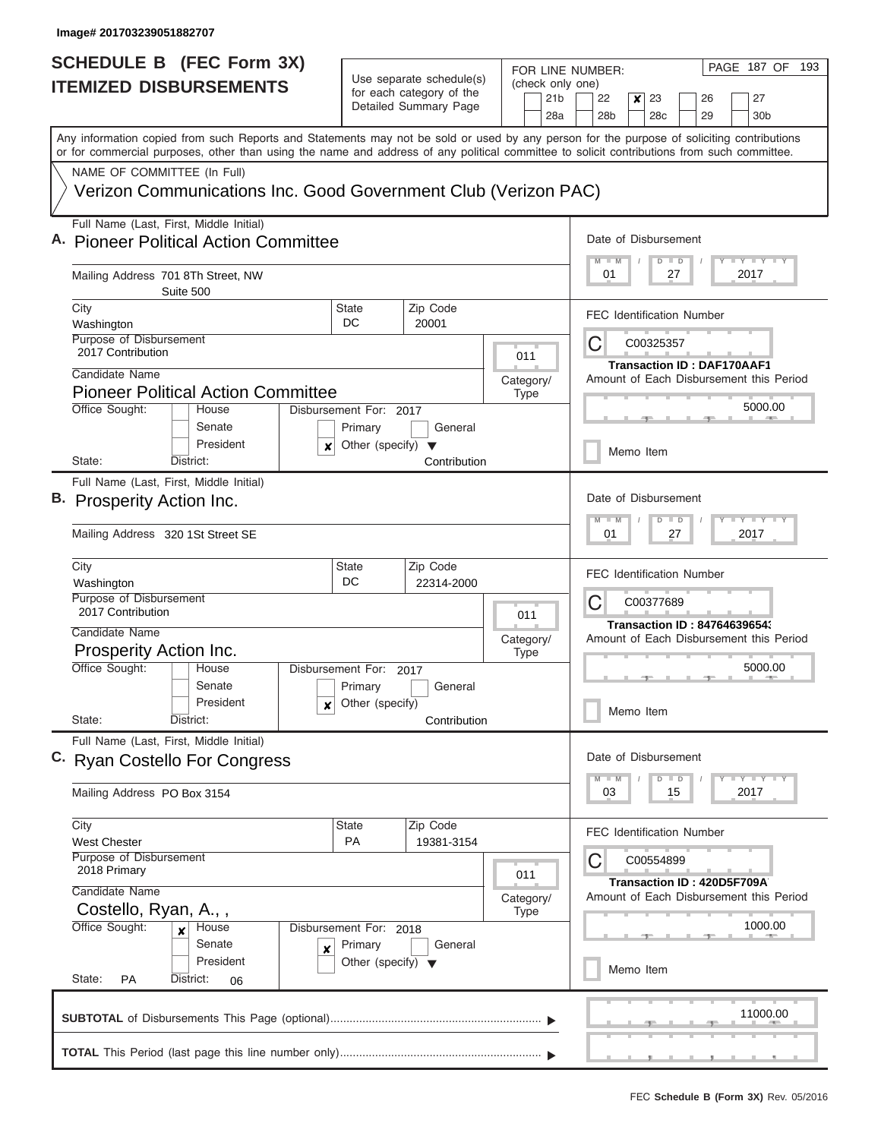| <b>SCHEDULE B (FEC Form 3X)</b>                                                                                                                                                                                                                                                         |                                                 |                                                      |           |             | FOR LINE NUMBER: |                                                                                |           |                           |                            |  | PAGE 187 OF                                                      | 193 |  |  |
|-----------------------------------------------------------------------------------------------------------------------------------------------------------------------------------------------------------------------------------------------------------------------------------------|-------------------------------------------------|------------------------------------------------------|-----------|-------------|------------------|--------------------------------------------------------------------------------|-----------|---------------------------|----------------------------|--|------------------------------------------------------------------|-----|--|--|
| <b>ITEMIZED DISBURSEMENTS</b>                                                                                                                                                                                                                                                           |                                                 | Use separate schedule(s)<br>for each category of the |           |             | (check only one) |                                                                                |           |                           |                            |  |                                                                  |     |  |  |
|                                                                                                                                                                                                                                                                                         |                                                 | Detailed Summary Page                                |           |             | 21 <sub>b</sub>  | 22                                                                             | ×         | 23                        | 26                         |  | 27                                                               |     |  |  |
|                                                                                                                                                                                                                                                                                         |                                                 |                                                      |           |             | 28a              | 28 <sub>b</sub>                                                                |           | 28c                       | 29                         |  | 30 <sub>b</sub>                                                  |     |  |  |
| Any information copied from such Reports and Statements may not be sold or used by any person for the purpose of soliciting contributions<br>or for commercial purposes, other than using the name and address of any political committee to solicit contributions from such committee. |                                                 |                                                      |           |             |                  |                                                                                |           |                           |                            |  |                                                                  |     |  |  |
| NAME OF COMMITTEE (In Full)                                                                                                                                                                                                                                                             |                                                 |                                                      |           |             |                  |                                                                                |           |                           |                            |  |                                                                  |     |  |  |
| Verizon Communications Inc. Good Government Club (Verizon PAC)                                                                                                                                                                                                                          |                                                 |                                                      |           |             |                  |                                                                                |           |                           |                            |  |                                                                  |     |  |  |
| Full Name (Last, First, Middle Initial)<br>A. Pioneer Political Action Committee                                                                                                                                                                                                        |                                                 |                                                      |           |             |                  | Date of Disbursement                                                           |           |                           |                            |  |                                                                  |     |  |  |
|                                                                                                                                                                                                                                                                                         |                                                 |                                                      |           |             |                  | $M$ $M$                                                                        |           | $D$ $D$                   |                            |  | Y I Y I Y I Y                                                    |     |  |  |
| Mailing Address 701 8Th Street, NW<br>Suite 500                                                                                                                                                                                                                                         |                                                 |                                                      |           |             |                  | 01                                                                             |           | 27                        |                            |  | 2017                                                             |     |  |  |
| City<br>Washington                                                                                                                                                                                                                                                                      | State<br>DC                                     | Zip Code<br>20001                                    |           |             |                  | <b>FEC Identification Number</b>                                               |           |                           |                            |  |                                                                  |     |  |  |
| Purpose of Disbursement                                                                                                                                                                                                                                                                 |                                                 |                                                      |           |             |                  | С                                                                              |           | C00325357                 |                            |  |                                                                  |     |  |  |
| 2017 Contribution                                                                                                                                                                                                                                                                       |                                                 |                                                      |           | 011         |                  |                                                                                |           |                           |                            |  | <b>Transaction ID: DAF170AAF1</b>                                |     |  |  |
| Candidate Name                                                                                                                                                                                                                                                                          |                                                 |                                                      | Category/ |             |                  |                                                                                |           |                           |                            |  | Amount of Each Disbursement this Period                          |     |  |  |
| <b>Pioneer Political Action Committee</b>                                                                                                                                                                                                                                               |                                                 |                                                      |           | <b>Type</b> |                  |                                                                                |           |                           |                            |  | 5000.00                                                          |     |  |  |
| Office Sought:<br>House<br>Senate                                                                                                                                                                                                                                                       | Disbursement For: 2017<br>Primary               | General                                              |           |             |                  |                                                                                |           |                           |                            |  |                                                                  |     |  |  |
| President<br>×                                                                                                                                                                                                                                                                          | Other (specify)                                 | $\blacktriangledown$                                 |           |             |                  | Memo Item                                                                      |           |                           |                            |  |                                                                  |     |  |  |
| State:<br>District:                                                                                                                                                                                                                                                                     |                                                 | Contribution                                         |           |             |                  |                                                                                |           |                           |                            |  |                                                                  |     |  |  |
| Full Name (Last, First, Middle Initial)                                                                                                                                                                                                                                                 |                                                 |                                                      |           |             |                  |                                                                                |           |                           |                            |  |                                                                  |     |  |  |
| B. Prosperity Action Inc.                                                                                                                                                                                                                                                               |                                                 |                                                      |           |             |                  | Date of Disbursement                                                           |           |                           |                            |  |                                                                  |     |  |  |
|                                                                                                                                                                                                                                                                                         |                                                 |                                                      |           |             |                  | M<br>W                                                                         |           | D<br>$\blacksquare$       |                            |  | $\mathbf{I} = \mathbf{Y} - \mathbf{I} - \mathbf{Y} - \mathbf{I}$ |     |  |  |
| Mailing Address 320 1St Street SE                                                                                                                                                                                                                                                       |                                                 |                                                      |           |             |                  | 01                                                                             |           | 27                        |                            |  | 2017                                                             |     |  |  |
| City                                                                                                                                                                                                                                                                                    | State                                           | Zip Code                                             |           |             |                  | <b>FEC Identification Number</b>                                               |           |                           |                            |  |                                                                  |     |  |  |
| Washington<br>Purpose of Disbursement                                                                                                                                                                                                                                                   | DC                                              | 22314-2000                                           |           |             |                  |                                                                                |           |                           |                            |  |                                                                  |     |  |  |
| 2017 Contribution                                                                                                                                                                                                                                                                       |                                                 |                                                      |           | 011         |                  | C                                                                              |           | C00377689                 |                            |  |                                                                  |     |  |  |
| Candidate Name                                                                                                                                                                                                                                                                          |                                                 |                                                      | Category/ |             |                  | <b>Transaction ID: 84764639654;</b><br>Amount of Each Disbursement this Period |           |                           |                            |  |                                                                  |     |  |  |
| Prosperity Action Inc.                                                                                                                                                                                                                                                                  |                                                 |                                                      |           | <b>Type</b> |                  | 5000.00                                                                        |           |                           |                            |  |                                                                  |     |  |  |
| Office Sought:<br>House                                                                                                                                                                                                                                                                 | Disbursement For: 2017                          |                                                      |           |             |                  |                                                                                |           |                           |                            |  |                                                                  |     |  |  |
| Senate<br>President                                                                                                                                                                                                                                                                     |                                                 | Primary<br>General                                   |           |             |                  |                                                                                |           |                           |                            |  |                                                                  |     |  |  |
| x<br>State:<br>District:                                                                                                                                                                                                                                                                | Other (specify)                                 | Contribution                                         |           |             |                  | Memo Item                                                                      |           |                           |                            |  |                                                                  |     |  |  |
| Full Name (Last, First, Middle Initial)                                                                                                                                                                                                                                                 |                                                 |                                                      |           |             |                  |                                                                                |           |                           |                            |  |                                                                  |     |  |  |
| C. Ryan Costello For Congress                                                                                                                                                                                                                                                           |                                                 |                                                      |           |             |                  | Date of Disbursement                                                           |           |                           |                            |  |                                                                  |     |  |  |
| Mailing Address PO Box 3154                                                                                                                                                                                                                                                             |                                                 |                                                      |           |             |                  | $M - M$<br>03                                                                  |           | D<br>$\blacksquare$<br>15 |                            |  | $Y - Y - Y - Y - I - Y$<br>2017                                  |     |  |  |
|                                                                                                                                                                                                                                                                                         |                                                 |                                                      |           |             |                  |                                                                                |           |                           |                            |  |                                                                  |     |  |  |
| City<br><b>West Chester</b>                                                                                                                                                                                                                                                             | State<br>PA                                     | Zip Code<br>19381-3154                               |           |             |                  | <b>FEC Identification Number</b>                                               |           |                           |                            |  |                                                                  |     |  |  |
| Purpose of Disbursement                                                                                                                                                                                                                                                                 |                                                 |                                                      |           |             |                  |                                                                                |           | C00554899                 |                            |  |                                                                  |     |  |  |
| 2018 Primary                                                                                                                                                                                                                                                                            |                                                 |                                                      |           | 011         |                  |                                                                                |           |                           | Transaction ID: 420D5F709A |  |                                                                  |     |  |  |
| Candidate Name                                                                                                                                                                                                                                                                          |                                                 |                                                      | Category/ |             |                  |                                                                                |           |                           |                            |  | Amount of Each Disbursement this Period                          |     |  |  |
| Costello, Ryan, A.,,                                                                                                                                                                                                                                                                    |                                                 |                                                      |           | <b>Type</b> |                  |                                                                                |           |                           |                            |  |                                                                  |     |  |  |
| Office Sought:<br>House<br>×                                                                                                                                                                                                                                                            | Disbursement For: 2018                          |                                                      |           |             |                  |                                                                                |           |                           |                            |  | 1000.00                                                          |     |  |  |
| Senate<br>×<br>President                                                                                                                                                                                                                                                                | Primary<br>Other (specify) $\blacktriangledown$ | General                                              |           |             |                  |                                                                                |           |                           |                            |  |                                                                  |     |  |  |
| State:<br><b>PA</b><br>District:<br>06                                                                                                                                                                                                                                                  |                                                 |                                                      |           |             |                  |                                                                                | Memo Item |                           |                            |  |                                                                  |     |  |  |
|                                                                                                                                                                                                                                                                                         |                                                 |                                                      |           |             |                  |                                                                                |           |                           |                            |  |                                                                  |     |  |  |
|                                                                                                                                                                                                                                                                                         |                                                 |                                                      |           |             |                  |                                                                                |           |                           |                            |  | 11000.00                                                         |     |  |  |
|                                                                                                                                                                                                                                                                                         |                                                 |                                                      |           |             |                  |                                                                                |           |                           |                            |  |                                                                  |     |  |  |
|                                                                                                                                                                                                                                                                                         |                                                 |                                                      |           |             |                  |                                                                                |           |                           |                            |  |                                                                  |     |  |  |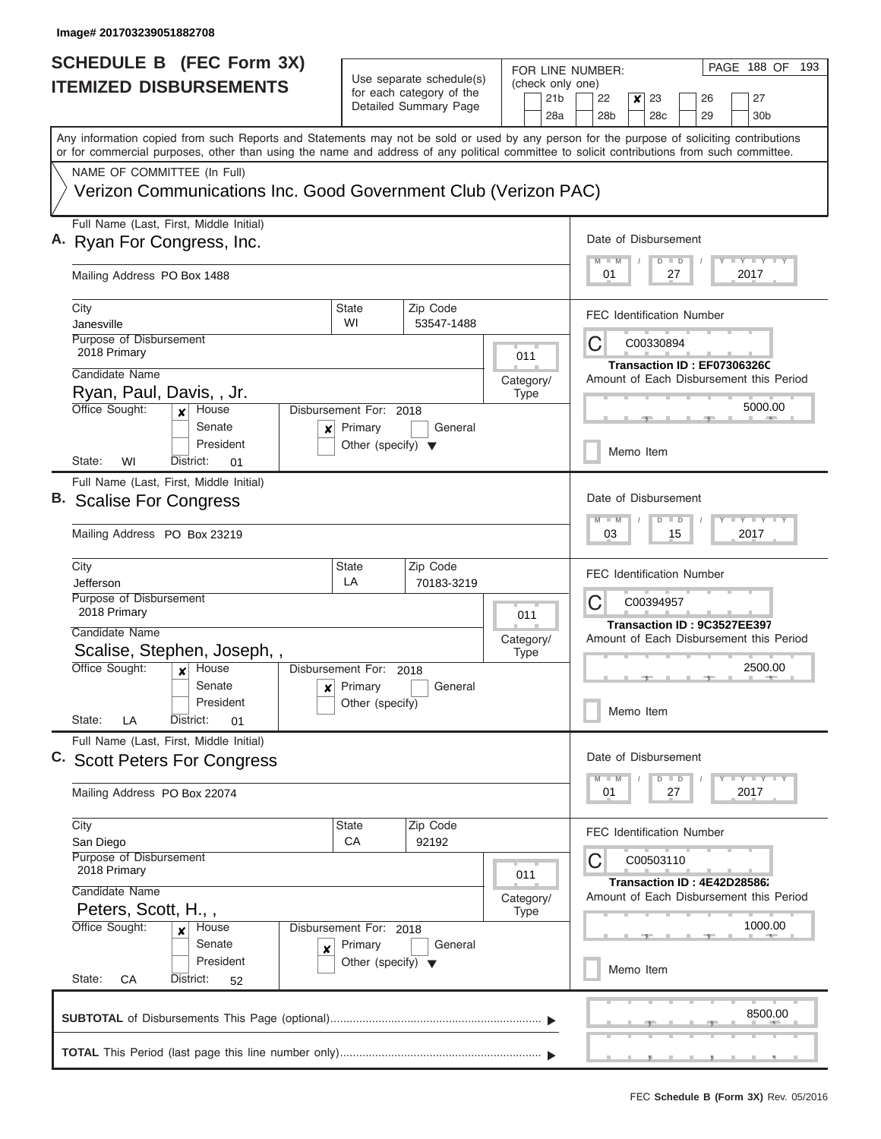| <b>SCHEDULE B</b> (FEC Form 3X)                                                                                                                                                                                                                                                         |                                       |                                                                               | FOR LINE NUMBER:                           | PAGE 188 OF 193                                                                             |  |  |  |  |  |  |
|-----------------------------------------------------------------------------------------------------------------------------------------------------------------------------------------------------------------------------------------------------------------------------------------|---------------------------------------|-------------------------------------------------------------------------------|--------------------------------------------|---------------------------------------------------------------------------------------------|--|--|--|--|--|--|
| <b>ITEMIZED DISBURSEMENTS</b>                                                                                                                                                                                                                                                           |                                       | Use separate schedule(s)<br>for each category of the<br>Detailed Summary Page | (check only one)<br>21 <sub>b</sub><br>28a | 22<br>$\boldsymbol{x}$<br>23<br>27<br>26<br>28 <sub>b</sub><br>28c<br>29<br>30 <sub>b</sub> |  |  |  |  |  |  |
| Any information copied from such Reports and Statements may not be sold or used by any person for the purpose of soliciting contributions<br>or for commercial purposes, other than using the name and address of any political committee to solicit contributions from such committee. |                                       |                                                                               |                                            |                                                                                             |  |  |  |  |  |  |
| NAME OF COMMITTEE (In Full)                                                                                                                                                                                                                                                             |                                       |                                                                               |                                            |                                                                                             |  |  |  |  |  |  |
| Verizon Communications Inc. Good Government Club (Verizon PAC)                                                                                                                                                                                                                          |                                       |                                                                               |                                            |                                                                                             |  |  |  |  |  |  |
| Full Name (Last, First, Middle Initial)<br>A. Ryan For Congress, Inc.                                                                                                                                                                                                                   |                                       |                                                                               |                                            | Date of Disbursement<br>Y L Y L Y L Y<br>$M$ $M$<br>$D$ $D$                                 |  |  |  |  |  |  |
| Mailing Address PO Box 1488                                                                                                                                                                                                                                                             |                                       |                                                                               |                                            | 01<br>27<br>2017                                                                            |  |  |  |  |  |  |
| City<br>Janesville                                                                                                                                                                                                                                                                      | <b>State</b><br>WI                    | Zip Code<br>53547-1488                                                        |                                            | <b>FEC Identification Number</b>                                                            |  |  |  |  |  |  |
| Purpose of Disbursement<br>2018 Primary                                                                                                                                                                                                                                                 |                                       |                                                                               | 011                                        | С<br>C00330894                                                                              |  |  |  |  |  |  |
| Candidate Name                                                                                                                                                                                                                                                                          |                                       |                                                                               | Category/                                  | Transaction ID: EF07306326C<br>Amount of Each Disbursement this Period                      |  |  |  |  |  |  |
| Ryan, Paul, Davis, , Jr.                                                                                                                                                                                                                                                                |                                       |                                                                               | <b>Type</b>                                | 5000.00                                                                                     |  |  |  |  |  |  |
| Office Sought:<br>House<br>$\mathbf{x}$<br>Senate<br>$\boldsymbol{x}$                                                                                                                                                                                                                   | Disbursement For: 2018<br>Primary     | General                                                                       |                                            |                                                                                             |  |  |  |  |  |  |
| President<br>State:<br>WI<br>District:<br>01                                                                                                                                                                                                                                            | Other (specify) $\blacktriangledown$  |                                                                               |                                            | Memo Item                                                                                   |  |  |  |  |  |  |
| Full Name (Last, First, Middle Initial)                                                                                                                                                                                                                                                 |                                       |                                                                               |                                            |                                                                                             |  |  |  |  |  |  |
| B. Scalise For Congress                                                                                                                                                                                                                                                                 |                                       |                                                                               |                                            | Date of Disbursement<br>Y FY FY FY<br>$M - M$<br>$D$ $D$                                    |  |  |  |  |  |  |
| Mailing Address PO Box 23219                                                                                                                                                                                                                                                            |                                       |                                                                               |                                            | 03<br>15<br>2017                                                                            |  |  |  |  |  |  |
| City<br>Jefferson                                                                                                                                                                                                                                                                       | <b>State</b><br>LA                    | Zip Code<br>70183-3219                                                        |                                            | <b>FEC Identification Number</b>                                                            |  |  |  |  |  |  |
| Purpose of Disbursement<br>2018 Primary                                                                                                                                                                                                                                                 |                                       |                                                                               | 011                                        | С<br>C00394957                                                                              |  |  |  |  |  |  |
| Candidate Name                                                                                                                                                                                                                                                                          |                                       |                                                                               | Category/                                  | Transaction ID: 9C3527EE397<br>Amount of Each Disbursement this Period                      |  |  |  |  |  |  |
| Scalise, Stephen, Joseph,,<br>Office Sought:<br>House                                                                                                                                                                                                                                   | <b>Type</b><br>Disbursement For: 2018 |                                                                               |                                            | 2500.00                                                                                     |  |  |  |  |  |  |
| Senate<br>$\mathbf{x}$                                                                                                                                                                                                                                                                  | Primary                               | General                                                                       |                                            |                                                                                             |  |  |  |  |  |  |
| President<br>State:<br>LA<br>District:<br>01                                                                                                                                                                                                                                            | Other (specify)                       |                                                                               |                                            | Memo Item                                                                                   |  |  |  |  |  |  |
| Full Name (Last, First, Middle Initial)                                                                                                                                                                                                                                                 |                                       |                                                                               |                                            | Date of Disbursement                                                                        |  |  |  |  |  |  |
| C. Scott Peters For Congress                                                                                                                                                                                                                                                            |                                       |                                                                               |                                            | $D$ $D$<br>$Y$ $Y$ $Y$ $Y$ $Y$<br>$M - M$                                                   |  |  |  |  |  |  |
| Mailing Address PO Box 22074                                                                                                                                                                                                                                                            |                                       |                                                                               |                                            | 01<br>27<br>2017                                                                            |  |  |  |  |  |  |
| City<br>San Diego                                                                                                                                                                                                                                                                       | State<br>CA                           | Zip Code<br>92192                                                             |                                            | <b>FEC Identification Number</b>                                                            |  |  |  |  |  |  |
| Purpose of Disbursement<br>2018 Primary                                                                                                                                                                                                                                                 |                                       |                                                                               |                                            | C<br>C00503110                                                                              |  |  |  |  |  |  |
| Candidate Name                                                                                                                                                                                                                                                                          |                                       |                                                                               | 011<br>Category/                           | Transaction ID: 4E42D28586:<br>Amount of Each Disbursement this Period                      |  |  |  |  |  |  |
| Peters, Scott, H.,,                                                                                                                                                                                                                                                                     |                                       |                                                                               | <b>Type</b>                                |                                                                                             |  |  |  |  |  |  |
| Office Sought:<br>House<br>Senate<br>$\boldsymbol{x}$                                                                                                                                                                                                                                   | Disbursement For: 2018<br>Primary     | General                                                                       |                                            | 1000.00                                                                                     |  |  |  |  |  |  |
| President<br>State:<br>CA<br>District:<br>52                                                                                                                                                                                                                                            | Other (specify) $\blacktriangledown$  |                                                                               |                                            | Memo Item                                                                                   |  |  |  |  |  |  |
|                                                                                                                                                                                                                                                                                         |                                       |                                                                               |                                            |                                                                                             |  |  |  |  |  |  |
|                                                                                                                                                                                                                                                                                         |                                       |                                                                               |                                            | 8500.00                                                                                     |  |  |  |  |  |  |
|                                                                                                                                                                                                                                                                                         |                                       |                                                                               |                                            |                                                                                             |  |  |  |  |  |  |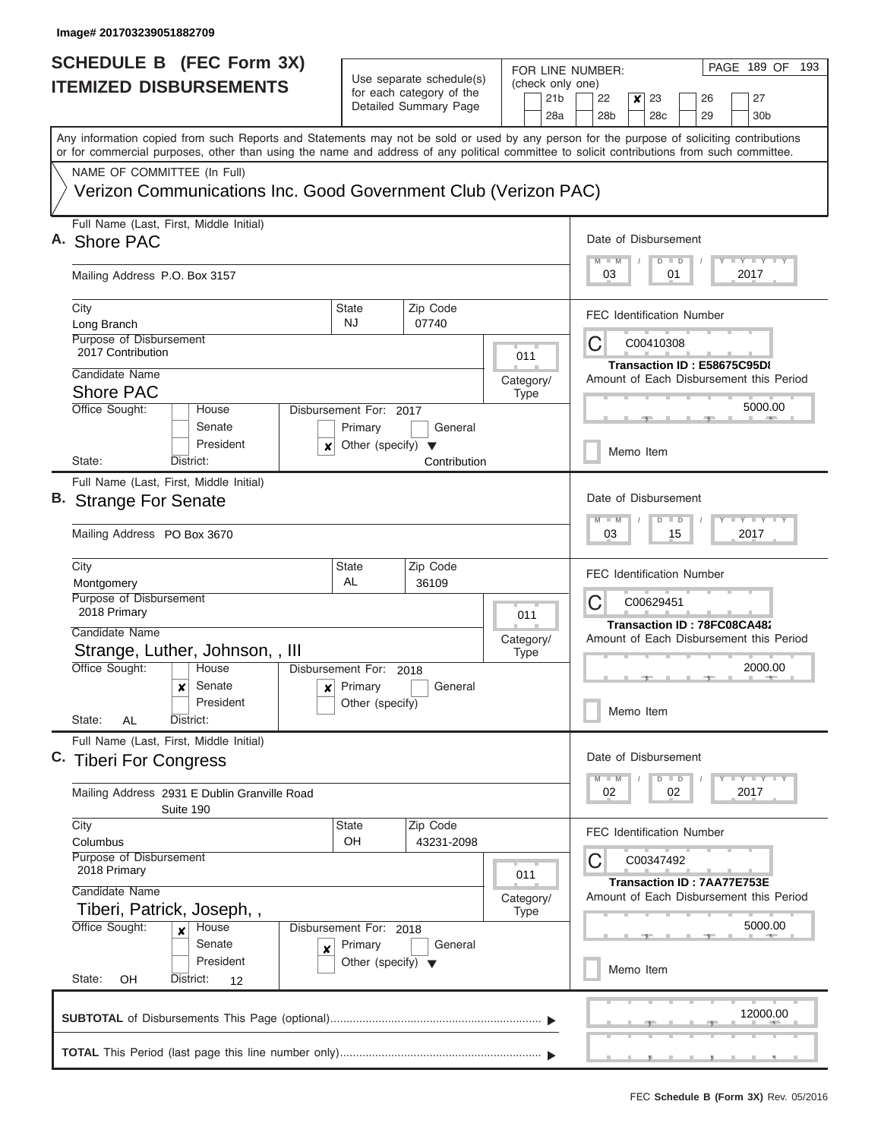I

| <b>SCHEDULE B (FEC Form 3X)</b>                                                                                                                                                                                                                                                         |                                                 |                                                                               | FOR LINE NUMBER:                           | PAGE 189 OF 193                                                              |  |  |  |  |  |  |
|-----------------------------------------------------------------------------------------------------------------------------------------------------------------------------------------------------------------------------------------------------------------------------------------|-------------------------------------------------|-------------------------------------------------------------------------------|--------------------------------------------|------------------------------------------------------------------------------|--|--|--|--|--|--|
| <b>ITEMIZED DISBURSEMENTS</b>                                                                                                                                                                                                                                                           |                                                 | Use separate schedule(s)<br>for each category of the<br>Detailed Summary Page | (check only one)<br>21 <sub>b</sub><br>28a | 22<br>26<br>27<br>x<br>23<br>28c<br>28 <sub>b</sub><br>29<br>30 <sub>b</sub> |  |  |  |  |  |  |
| Any information copied from such Reports and Statements may not be sold or used by any person for the purpose of soliciting contributions<br>or for commercial purposes, other than using the name and address of any political committee to solicit contributions from such committee. |                                                 |                                                                               |                                            |                                                                              |  |  |  |  |  |  |
| NAME OF COMMITTEE (In Full)                                                                                                                                                                                                                                                             |                                                 |                                                                               |                                            |                                                                              |  |  |  |  |  |  |
| Verizon Communications Inc. Good Government Club (Verizon PAC)                                                                                                                                                                                                                          |                                                 |                                                                               |                                            |                                                                              |  |  |  |  |  |  |
| Full Name (Last, First, Middle Initial)<br>A. Shore PAC                                                                                                                                                                                                                                 |                                                 |                                                                               |                                            | Date of Disbursement<br><b>LY LY LY</b><br>D<br>$\blacksquare$               |  |  |  |  |  |  |
| Mailing Address P.O. Box 3157                                                                                                                                                                                                                                                           |                                                 |                                                                               |                                            | 03<br>01<br>2017                                                             |  |  |  |  |  |  |
| City<br>Long Branch                                                                                                                                                                                                                                                                     | State<br>NJ                                     | Zip Code<br>07740                                                             |                                            | <b>FEC Identification Number</b>                                             |  |  |  |  |  |  |
| <b>Purpose of Disbursement</b><br>2017 Contribution                                                                                                                                                                                                                                     |                                                 |                                                                               | 011                                        | C<br>C00410308                                                               |  |  |  |  |  |  |
| Candidate Name                                                                                                                                                                                                                                                                          |                                                 |                                                                               | Category/                                  | Transaction ID: E58675C95D<br>Amount of Each Disbursement this Period        |  |  |  |  |  |  |
| <b>Shore PAC</b>                                                                                                                                                                                                                                                                        |                                                 |                                                                               | <b>Type</b>                                |                                                                              |  |  |  |  |  |  |
| Office Sought:<br>House<br>Senate                                                                                                                                                                                                                                                       | Disbursement For: 2017<br>Primary               | General                                                                       |                                            | 5000.00                                                                      |  |  |  |  |  |  |
| President<br>State:<br>District:                                                                                                                                                                                                                                                        | Other (specify)<br>×                            | Contribution                                                                  |                                            | Memo Item                                                                    |  |  |  |  |  |  |
| Full Name (Last, First, Middle Initial)                                                                                                                                                                                                                                                 |                                                 |                                                                               |                                            |                                                                              |  |  |  |  |  |  |
| B. Strange For Senate                                                                                                                                                                                                                                                                   |                                                 |                                                                               |                                            | Date of Disbursement                                                         |  |  |  |  |  |  |
| Mailing Address PO Box 3670                                                                                                                                                                                                                                                             |                                                 |                                                                               |                                            | $L - Y = L - Y$<br>M<br>W<br>$\blacksquare$<br>D<br>03<br>15<br>2017         |  |  |  |  |  |  |
| City<br>Montgomery                                                                                                                                                                                                                                                                      | State<br>AL                                     | Zip Code<br>36109                                                             |                                            | <b>FEC Identification Number</b>                                             |  |  |  |  |  |  |
| Purpose of Disbursement<br>2018 Primary                                                                                                                                                                                                                                                 |                                                 |                                                                               | 011                                        | C<br>C00629451                                                               |  |  |  |  |  |  |
| Candidate Name                                                                                                                                                                                                                                                                          |                                                 |                                                                               |                                            | Transaction ID: 78FC08CA482                                                  |  |  |  |  |  |  |
| Strange, Luther, Johnson, , III                                                                                                                                                                                                                                                         |                                                 |                                                                               | Category/<br><b>Type</b>                   | Amount of Each Disbursement this Period                                      |  |  |  |  |  |  |
| Office Sought:<br>House                                                                                                                                                                                                                                                                 | Disbursement For: 2018                          |                                                                               |                                            | 2000.00                                                                      |  |  |  |  |  |  |
| $x$ Senate                                                                                                                                                                                                                                                                              | $\mathbf{x}$ Primary                            | General                                                                       |                                            |                                                                              |  |  |  |  |  |  |
| President<br>State:<br>District:<br>AL                                                                                                                                                                                                                                                  | Other (specify)                                 |                                                                               |                                            | Memo Item                                                                    |  |  |  |  |  |  |
| Full Name (Last, First, Middle Initial)<br>C. Tiberi For Congress                                                                                                                                                                                                                       |                                                 |                                                                               |                                            | Date of Disbursement                                                         |  |  |  |  |  |  |
|                                                                                                                                                                                                                                                                                         |                                                 |                                                                               |                                            | Y FY FY FY<br>$M - M$<br>$\overline{D}$<br>$\blacksquare$                    |  |  |  |  |  |  |
| Mailing Address 2931 E Dublin Granville Road<br>Suite 190                                                                                                                                                                                                                               |                                                 |                                                                               |                                            | 2017<br>02<br>02                                                             |  |  |  |  |  |  |
| City<br>Columbus                                                                                                                                                                                                                                                                        | State<br>OH                                     | Zip Code<br>43231-2098                                                        |                                            | <b>FEC Identification Number</b>                                             |  |  |  |  |  |  |
| Purpose of Disbursement<br>2018 Primary                                                                                                                                                                                                                                                 |                                                 |                                                                               | 011                                        | C<br>C00347492                                                               |  |  |  |  |  |  |
| Candidate Name                                                                                                                                                                                                                                                                          |                                                 |                                                                               | Category/                                  | Transaction ID: 7AA77E753E<br>Amount of Each Disbursement this Period        |  |  |  |  |  |  |
| Tiberi, Patrick, Joseph, ,<br>Office Sought:<br>House<br>×                                                                                                                                                                                                                              | Disbursement For: 2018                          |                                                                               | <b>Type</b>                                | 5000.00                                                                      |  |  |  |  |  |  |
| Senate<br>×<br>President                                                                                                                                                                                                                                                                | Primary<br>Other (specify) $\blacktriangledown$ | General                                                                       |                                            | Memo Item                                                                    |  |  |  |  |  |  |
| State:<br>District:<br>OH<br>$12 \overline{ }$                                                                                                                                                                                                                                          |                                                 |                                                                               |                                            |                                                                              |  |  |  |  |  |  |
|                                                                                                                                                                                                                                                                                         |                                                 |                                                                               |                                            | 12000.00                                                                     |  |  |  |  |  |  |
|                                                                                                                                                                                                                                                                                         |                                                 |                                                                               |                                            |                                                                              |  |  |  |  |  |  |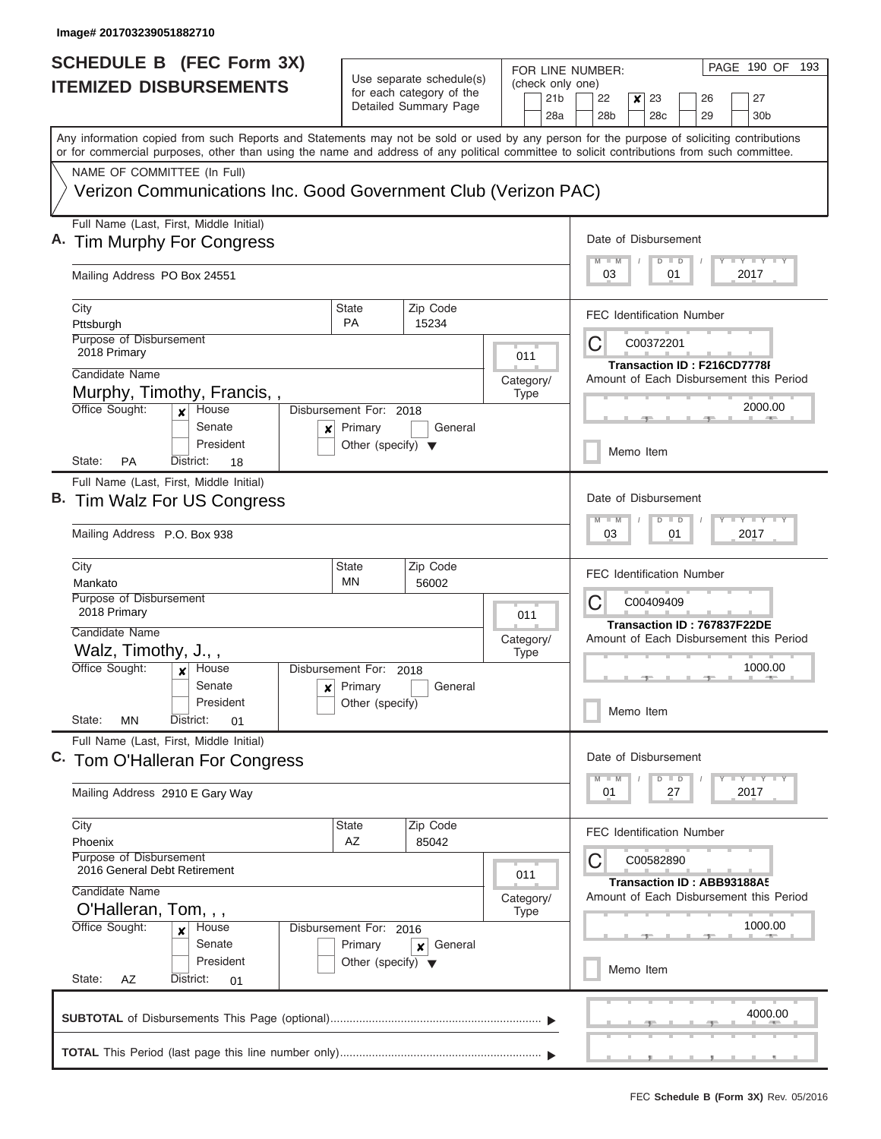| <b>SCHEDULE B (FEC Form 3X)</b>                                                                                                                                                                                                                                                         |                                                                           |                                                      |           |             |                        | FOR LINE NUMBER:                                           |          | PAGE 190 OF<br>193    |  |  |  |  |  |
|-----------------------------------------------------------------------------------------------------------------------------------------------------------------------------------------------------------------------------------------------------------------------------------------|---------------------------------------------------------------------------|------------------------------------------------------|-----------|-------------|------------------------|------------------------------------------------------------|----------|-----------------------|--|--|--|--|--|
| <b>ITEMIZED DISBURSEMENTS</b>                                                                                                                                                                                                                                                           |                                                                           | Use separate schedule(s)<br>for each category of the |           |             | (check only one)       |                                                            |          |                       |  |  |  |  |  |
|                                                                                                                                                                                                                                                                                         |                                                                           | Detailed Summary Page                                |           |             | 21 <sub>b</sub><br>28a | 22<br>23<br>×<br>28 <sub>b</sub><br>28c                    | 26<br>29 | 27<br>30 <sub>b</sub> |  |  |  |  |  |
| Any information copied from such Reports and Statements may not be sold or used by any person for the purpose of soliciting contributions<br>or for commercial purposes, other than using the name and address of any political committee to solicit contributions from such committee. |                                                                           |                                                      |           |             |                        |                                                            |          |                       |  |  |  |  |  |
| NAME OF COMMITTEE (In Full)                                                                                                                                                                                                                                                             |                                                                           |                                                      |           |             |                        |                                                            |          |                       |  |  |  |  |  |
| Verizon Communications Inc. Good Government Club (Verizon PAC)                                                                                                                                                                                                                          |                                                                           |                                                      |           |             |                        |                                                            |          |                       |  |  |  |  |  |
| Full Name (Last, First, Middle Initial)<br>A. Tim Murphy For Congress                                                                                                                                                                                                                   |                                                                           |                                                      |           |             |                        | Date of Disbursement                                       |          |                       |  |  |  |  |  |
| Mailing Address PO Box 24551                                                                                                                                                                                                                                                            |                                                                           |                                                      |           |             |                        | <b>TY TY TY</b><br>D<br>$\blacksquare$<br>03<br>01<br>2017 |          |                       |  |  |  |  |  |
| City<br>Pttsburgh                                                                                                                                                                                                                                                                       | State<br><b>PA</b>                                                        | Zip Code<br>15234                                    |           |             |                        | <b>FEC Identification Number</b>                           |          |                       |  |  |  |  |  |
| Purpose of Disbursement<br>2018 Primary                                                                                                                                                                                                                                                 |                                                                           |                                                      |           |             |                        |                                                            |          |                       |  |  |  |  |  |
| Candidate Name                                                                                                                                                                                                                                                                          |                                                                           |                                                      | Category/ |             |                        | Transaction ID: F216CD7778F                                |          |                       |  |  |  |  |  |
| Murphy, Timothy, Francis,,<br>Office Sought:<br>House<br>Disbursement For: 2018<br>$\boldsymbol{x}$<br>Senate<br>×                                                                                                                                                                      |                                                                           | Amount of Each Disbursement this Period<br>2000.00   |           |             |                        |                                                            |          |                       |  |  |  |  |  |
| President<br>State:<br><b>PA</b><br>District:<br>18                                                                                                                                                                                                                                     | Other (specify) $\blacktriangledown$                                      |                                                      |           |             |                        | Memo Item                                                  |          |                       |  |  |  |  |  |
| Full Name (Last, First, Middle Initial)<br>B. Tim Walz For US Congress                                                                                                                                                                                                                  |                                                                           |                                                      |           |             |                        | Date of Disbursement<br>M<br>$-W$<br>D<br>$\blacksquare$   |          | $T - Y = T - Y$       |  |  |  |  |  |
| Mailing Address P.O. Box 938                                                                                                                                                                                                                                                            |                                                                           |                                                      |           |             |                        | 03<br>2017<br>01                                           |          |                       |  |  |  |  |  |
| City<br>Mankato                                                                                                                                                                                                                                                                         | State<br>MN                                                               | Zip Code<br>56002                                    |           |             |                        | FEC Identification Number                                  |          |                       |  |  |  |  |  |
| Purpose of Disbursement                                                                                                                                                                                                                                                                 |                                                                           |                                                      |           |             |                        | C<br>C00409409                                             |          |                       |  |  |  |  |  |
| 2018 Primary                                                                                                                                                                                                                                                                            |                                                                           |                                                      |           | 011         |                        | Transaction ID: 767837F22DE                                |          |                       |  |  |  |  |  |
| Candidate Name                                                                                                                                                                                                                                                                          |                                                                           |                                                      | Category/ |             |                        | Amount of Each Disbursement this Period                    |          |                       |  |  |  |  |  |
| Walz, Timothy, J.,,<br>Office Sought:<br>House<br>X                                                                                                                                                                                                                                     | Disbursement For: 2018                                                    |                                                      |           | <b>Type</b> |                        | 1000.00                                                    |          |                       |  |  |  |  |  |
| Senate<br>President                                                                                                                                                                                                                                                                     | $x$ Primary<br>Other (specify)                                            | General                                              |           |             |                        |                                                            |          |                       |  |  |  |  |  |
| State:<br><b>MN</b><br>District:<br>01                                                                                                                                                                                                                                                  |                                                                           |                                                      |           |             |                        | Memo Item                                                  |          |                       |  |  |  |  |  |
| Full Name (Last, First, Middle Initial)<br>C. Tom O'Halleran For Congress                                                                                                                                                                                                               |                                                                           |                                                      |           |             |                        | Date of Disbursement                                       |          |                       |  |  |  |  |  |
| Mailing Address 2910 E Gary Way                                                                                                                                                                                                                                                         |                                                                           |                                                      |           |             |                        | D<br>$\blacksquare$ D<br>01<br>27                          |          | Y I Y I Y I Y<br>2017 |  |  |  |  |  |
| City                                                                                                                                                                                                                                                                                    | State                                                                     | Zip Code                                             |           |             |                        | <b>FEC Identification Number</b>                           |          |                       |  |  |  |  |  |
| Phoenix                                                                                                                                                                                                                                                                                 | AZ                                                                        | 85042                                                |           |             |                        |                                                            |          |                       |  |  |  |  |  |
| Purpose of Disbursement<br>2016 General Debt Retirement<br>Candidate Name                                                                                                                                                                                                               |                                                                           |                                                      |           | 011         |                        | C00582890<br>Transaction ID: ABB93188A5                    |          |                       |  |  |  |  |  |
| O'Halleran, Tom, , ,                                                                                                                                                                                                                                                                    |                                                                           |                                                      | Category/ | <b>Type</b> |                        | Amount of Each Disbursement this Period                    |          |                       |  |  |  |  |  |
| Office Sought:<br>House<br>×<br>Senate<br>President                                                                                                                                                                                                                                     | Disbursement For: 2016<br>Primary<br>Other (specify) $\blacktriangledown$ | General<br>$\boldsymbol{x}$                          |           |             |                        |                                                            |          | 1000.00               |  |  |  |  |  |
| State:<br>AZ<br>District:<br>01                                                                                                                                                                                                                                                         |                                                                           |                                                      |           |             |                        | Memo Item                                                  |          |                       |  |  |  |  |  |
|                                                                                                                                                                                                                                                                                         |                                                                           |                                                      |           |             |                        |                                                            |          | 4000.00               |  |  |  |  |  |
|                                                                                                                                                                                                                                                                                         |                                                                           |                                                      |           |             |                        |                                                            |          |                       |  |  |  |  |  |

L  $\sim$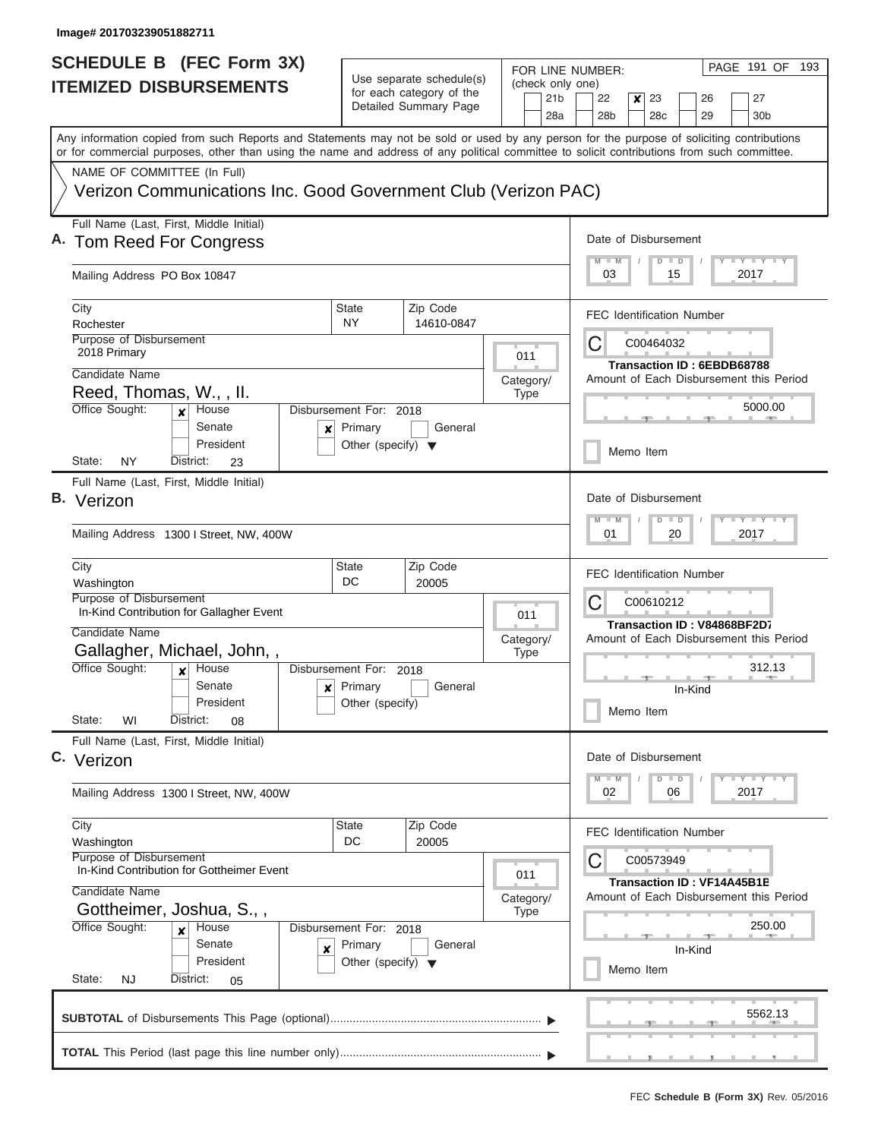| <b>SCHEDULE B (FEC Form 3X)</b>                                                                                                                                                                                                                                                         |                                                                                      | FOR LINE NUMBER:                           | PAGE 191 OF 193                                                                                                                                  |  |  |  |  |  |
|-----------------------------------------------------------------------------------------------------------------------------------------------------------------------------------------------------------------------------------------------------------------------------------------|--------------------------------------------------------------------------------------|--------------------------------------------|--------------------------------------------------------------------------------------------------------------------------------------------------|--|--|--|--|--|
| <b>ITEMIZED DISBURSEMENTS</b>                                                                                                                                                                                                                                                           | Use separate schedule(s)<br>for each category of the<br>Detailed Summary Page        | (check only one)<br>21 <sub>b</sub><br>28a | 22<br>23<br>26<br>27<br>×<br>28b<br>28 <sub>c</sub><br>29<br>30 <sub>b</sub>                                                                     |  |  |  |  |  |
| Any information copied from such Reports and Statements may not be sold or used by any person for the purpose of soliciting contributions<br>or for commercial purposes, other than using the name and address of any political committee to solicit contributions from such committee. |                                                                                      |                                            |                                                                                                                                                  |  |  |  |  |  |
| NAME OF COMMITTEE (In Full)<br>Verizon Communications Inc. Good Government Club (Verizon PAC)                                                                                                                                                                                           |                                                                                      |                                            |                                                                                                                                                  |  |  |  |  |  |
| Full Name (Last, First, Middle Initial)<br>A. Tom Reed For Congress<br>Mailing Address PO Box 10847                                                                                                                                                                                     |                                                                                      |                                            | Date of Disbursement<br>Y I Y I Y I Y<br>$D$ $D$<br>M<br>03<br>15<br>2017                                                                        |  |  |  |  |  |
| City<br>Rochester<br><b>Purpose of Disbursement</b>                                                                                                                                                                                                                                     | Zip Code<br>State<br>NY.<br>14610-0847                                               |                                            | <b>FEC Identification Number</b><br>C<br>C00464032                                                                                               |  |  |  |  |  |
| 2018 Primary<br>Candidate Name<br>Reed, Thomas, W., , II.                                                                                                                                                                                                                               |                                                                                      | 011<br>Category/<br><b>Type</b>            | <b>Transaction ID: 6EBDB68788</b><br>Amount of Each Disbursement this Period                                                                     |  |  |  |  |  |
| Office Sought:<br>House<br>×<br>Senate<br>×<br>President<br>State:<br><b>NY</b><br>District:<br>23                                                                                                                                                                                      | Disbursement For: 2018<br>Primary<br>General<br>Other (specify) $\blacktriangledown$ |                                            | 5000.00<br>Memo Item                                                                                                                             |  |  |  |  |  |
| Full Name (Last, First, Middle Initial)<br>B. Verizon                                                                                                                                                                                                                                   |                                                                                      |                                            | Date of Disbursement<br>$T - Y$ $T - Y$ $T - Y$<br>$\overline{M}$<br>$-W$<br>D<br>$\blacksquare$                                                 |  |  |  |  |  |
| Mailing Address 1300 I Street, NW, 400W<br>City<br>Washington<br>Purpose of Disbursement<br>In-Kind Contribution for Gallagher Event<br>Candidate Name                                                                                                                                  | Zip Code<br>State<br>DC<br>20005                                                     | 011<br>Category/                           | 2017<br>01<br>20<br><b>FEC Identification Number</b><br>C<br>C00610212<br>Transaction ID: V84868BF2D7<br>Amount of Each Disbursement this Period |  |  |  |  |  |
| Gallagher, Michael, John,,<br>Office Sought:<br>House<br>$\boldsymbol{x}$<br>Senate<br>President<br>State:<br>WI<br>District:<br>08                                                                                                                                                     | Disbursement For: 2018<br>$x$ Primary<br>General<br>Other (specify)                  | <b>Type</b>                                | 312.13<br>In-Kind<br>Memo Item                                                                                                                   |  |  |  |  |  |
| Full Name (Last, First, Middle Initial)<br>C. Verizon                                                                                                                                                                                                                                   |                                                                                      |                                            | Date of Disbursement<br>$T$ $Y$ $T$ $Y$ $T$ $Y$<br>M<br>$D$ $D$<br>$-M$                                                                          |  |  |  |  |  |
| Mailing Address 1300   Street, NW, 400W                                                                                                                                                                                                                                                 |                                                                                      |                                            | 02<br>06<br>2017                                                                                                                                 |  |  |  |  |  |
| City<br>Washington<br>Purpose of Disbursement<br>In-Kind Contribution for Gottheimer Event<br>Candidate Name<br>Gottheimer, Joshua, S.,,<br>Office Sought:<br>House<br>$\mathbf{x}$<br>Senate                                                                                           | Zip Code<br>State<br>DC<br>20005<br>Disbursement For: 2018<br>Primary<br>General     | 011<br>Category/<br><b>Type</b>            | <b>FEC Identification Number</b><br>С<br>C00573949<br><b>Transaction ID: VF14A45B1B</b><br>Amount of Each Disbursement this Period<br>250.00     |  |  |  |  |  |
| $\boldsymbol{x}$<br>President<br>State:<br>NJ<br>District:<br>05                                                                                                                                                                                                                        | Other (specify) $\blacktriangledown$                                                 |                                            | In-Kind<br>Memo Item                                                                                                                             |  |  |  |  |  |
|                                                                                                                                                                                                                                                                                         |                                                                                      |                                            | 5562.13                                                                                                                                          |  |  |  |  |  |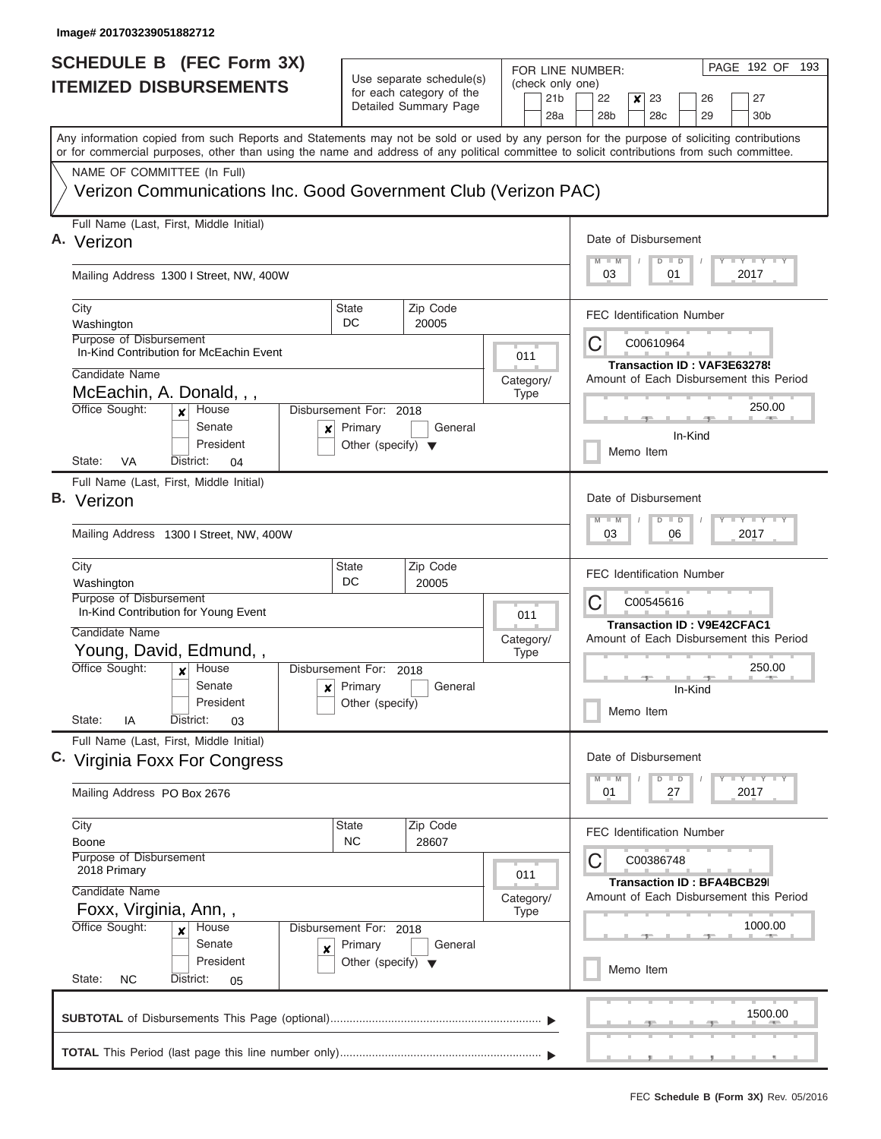| <b>SCHEDULE B (FEC Form 3X)</b>                                                                                                                                                                                                                                                         |                                                                                  |                                                                               |                                 |                                            | FOR LINE NUMBER:                      |  |                                                             |                      |           |  | PAGE 192 OF 193                                                          |  |  |  |  |  |
|-----------------------------------------------------------------------------------------------------------------------------------------------------------------------------------------------------------------------------------------------------------------------------------------|----------------------------------------------------------------------------------|-------------------------------------------------------------------------------|---------------------------------|--------------------------------------------|---------------------------------------|--|-------------------------------------------------------------|----------------------|-----------|--|--------------------------------------------------------------------------|--|--|--|--|--|
| <b>ITEMIZED DISBURSEMENTS</b>                                                                                                                                                                                                                                                           |                                                                                  | Use separate schedule(s)<br>for each category of the<br>Detailed Summary Page |                                 | (check only one)<br>21 <sub>b</sub><br>28a | 23<br>28c                             |  | 26<br>29                                                    |                      | 27<br>30b |  |                                                                          |  |  |  |  |  |
| Any information copied from such Reports and Statements may not be sold or used by any person for the purpose of soliciting contributions<br>or for commercial purposes, other than using the name and address of any political committee to solicit contributions from such committee. |                                                                                  |                                                                               |                                 |                                            | 28 <sub>b</sub>                       |  |                                                             |                      |           |  |                                                                          |  |  |  |  |  |
| NAME OF COMMITTEE (In Full)<br>Verizon Communications Inc. Good Government Club (Verizon PAC)                                                                                                                                                                                           |                                                                                  |                                                                               |                                 |                                            |                                       |  |                                                             |                      |           |  |                                                                          |  |  |  |  |  |
| Full Name (Last, First, Middle Initial)<br>A. Verizon<br>Mailing Address 1300 I Street, NW, 400W                                                                                                                                                                                        |                                                                                  |                                                                               |                                 |                                            | Date of Disbursement<br>$M$ $M$<br>03 |  | $D$ $D$<br>01                                               |                      |           |  | $T - Y = T - Y$<br>2017                                                  |  |  |  |  |  |
| City<br>Washington<br>Purpose of Disbursement<br>In-Kind Contribution for McEachin Event                                                                                                                                                                                                | State<br>DC                                                                      | Zip Code<br>20005                                                             | 011                             |                                            | <b>FEC Identification Number</b><br>C |  | C00610964                                                   |                      |           |  |                                                                          |  |  |  |  |  |
| Candidate Name<br>McEachin, A. Donald, , ,<br>Office Sought:<br>House<br>$\boldsymbol{x}$                                                                                                                                                                                               | Disbursement For: 2018                                                           |                                                                               | Category/<br>Type               |                                            |                                       |  | Transaction ID: VAF3E63278                                  |                      |           |  | Amount of Each Disbursement this Period<br>250.00                        |  |  |  |  |  |
| ×<br>President<br>State:<br>VA<br>District:<br>04                                                                                                                                                                                                                                       | Senate<br>Primary<br>General<br>Other (specify) $\blacktriangledown$             |                                                                               |                                 |                                            |                                       |  |                                                             | In-Kind<br>Memo Item |           |  |                                                                          |  |  |  |  |  |
| Full Name (Last, First, Middle Initial)<br><b>B.</b> Verizon<br>Mailing Address 1300   Street, NW, 400W                                                                                                                                                                                 |                                                                                  |                                                                               |                                 |                                            | Date of Disbursement<br>$M - M$<br>03 |  | D<br>$\blacksquare$<br>06                                   |                      |           |  | $\mathbf{I} = \mathbf{Y}$ $\mathbf{I} = \mathbf{Y}$ $\mathbf{I}$<br>2017 |  |  |  |  |  |
| City<br>Washington<br>Purpose of Disbursement<br>In-Kind Contribution for Young Event<br>Candidate Name<br>Young, David, Edmund,,<br>Office Sought:<br>House<br>$\boldsymbol{x}$<br>Senate<br>President<br>State:<br>IA<br>District:<br>03                                              | State<br>DC<br>Disbursement For: 2018<br>$\mathbf{x}$ Primary<br>Other (specify) | Zip Code<br>20005<br>General                                                  | 011<br>Category/<br><b>Type</b> |                                            | <b>FEC Identification Number</b><br>C |  | C00545616<br><b>Transaction ID: V9E42CFAC1</b><br>Memo Item | In-Kind              |           |  | Amount of Each Disbursement this Period<br>250.00                        |  |  |  |  |  |
| Full Name (Last, First, Middle Initial)<br>C. Virginia Foxx For Congress<br>Mailing Address PO Box 2676                                                                                                                                                                                 |                                                                                  |                                                                               |                                 |                                            | Date of Disbursement<br>M<br>01       |  | $D$ $D$<br>27                                               |                      |           |  | $Y$ $Y$ $Y$ $Y$ $Y$<br>2017                                              |  |  |  |  |  |
| City<br>Boone<br>Purpose of Disbursement<br>2018 Primary<br>Candidate Name<br>Foxx, Virginia, Ann,,<br>Office Sought:<br><b>House</b><br>$\boldsymbol{x}$                                                                                                                               | State<br><b>NC</b><br>Disbursement For: 2018                                     | Zip Code<br>28607                                                             | 011<br>Category/<br><b>Type</b> |                                            | <b>FEC Identification Number</b><br>C |  | C00386748<br>Transaction ID: BFA4BCB29                      |                      |           |  | Amount of Each Disbursement this Period<br>1000.00                       |  |  |  |  |  |
| Senate<br>×<br>President<br>State:<br><b>NC</b><br>District:<br>05                                                                                                                                                                                                                      | Primary<br>Other (specify) $\blacktriangledown$                                  | General                                                                       |                                 | Memo Item                                  |                                       |  |                                                             |                      |           |  |                                                                          |  |  |  |  |  |
|                                                                                                                                                                                                                                                                                         |                                                                                  |                                                                               |                                 |                                            |                                       |  |                                                             |                      |           |  | 1500.00                                                                  |  |  |  |  |  |